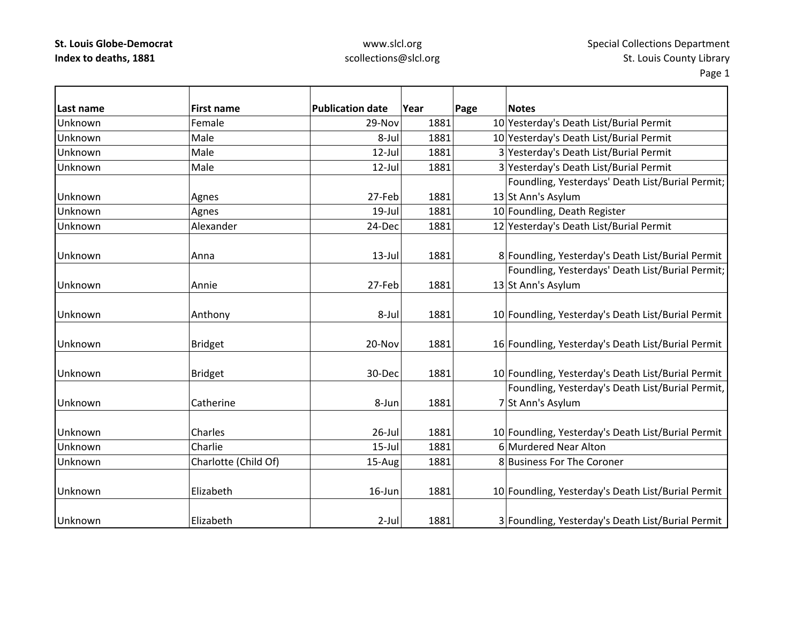# www.slcl.org scollections@slcl.org

| Last name | <b>First name</b>    | <b>Publication date</b> | Year | <b>Notes</b>                                       |
|-----------|----------------------|-------------------------|------|----------------------------------------------------|
| Unknown   | Female               | 29-Nov                  | 1881 | Page<br>10 Yesterday's Death List/Burial Permit    |
| Unknown   | Male                 | 8-Jul                   | 1881 | 10 Yesterday's Death List/Burial Permit            |
| Unknown   | Male                 | $12$ -Jul               | 1881 | 3 Yesterday's Death List/Burial Permit             |
| Unknown   | Male                 | 12-Jul                  | 1881 | 3 Yesterday's Death List/Burial Permit             |
|           |                      |                         |      | Foundling, Yesterdays' Death List/Burial Permit;   |
|           |                      |                         |      |                                                    |
| Unknown   | Agnes                | 27-Feb                  | 1881 | 13 St Ann's Asylum                                 |
| Unknown   | Agnes                | 19-Jul                  | 1881 | 10 Foundling, Death Register                       |
| Unknown   | Alexander            | 24-Dec                  | 1881 | 12 Yesterday's Death List/Burial Permit            |
| Unknown   | Anna                 | $13$ -Jul               | 1881 | 8 Foundling, Yesterday's Death List/Burial Permit  |
|           |                      |                         |      | Foundling, Yesterdays' Death List/Burial Permit;   |
| Unknown   | Annie                | 27-Feb                  | 1881 | 13 St Ann's Asylum                                 |
|           |                      |                         |      |                                                    |
| Unknown   | Anthony              | 8-Jul                   | 1881 | 10 Foundling, Yesterday's Death List/Burial Permit |
| Unknown   | <b>Bridget</b>       | 20-Nov                  | 1881 | 16 Foundling, Yesterday's Death List/Burial Permit |
| Unknown   | <b>Bridget</b>       | 30-Dec                  | 1881 | 10 Foundling, Yesterday's Death List/Burial Permit |
|           |                      |                         |      | Foundling, Yesterday's Death List/Burial Permit,   |
| Unknown   | Catherine            | 8-Jun                   | 1881 | 7 St Ann's Asylum                                  |
| Unknown   | Charles              | $26$ -Jul               | 1881 | 10 Foundling, Yesterday's Death List/Burial Permit |
| Unknown   | Charlie              | $15$ -Jul               | 1881 | 6 Murdered Near Alton                              |
| Unknown   | Charlotte (Child Of) | 15-Aug                  | 1881 | 8 Business For The Coroner                         |
| Unknown   | Elizabeth            | $16$ -Jun               | 1881 | 10 Foundling, Yesterday's Death List/Burial Permit |
| Unknown   | Elizabeth            | $2$ -Jul                | 1881 | 3 Foundling, Yesterday's Death List/Burial Permit  |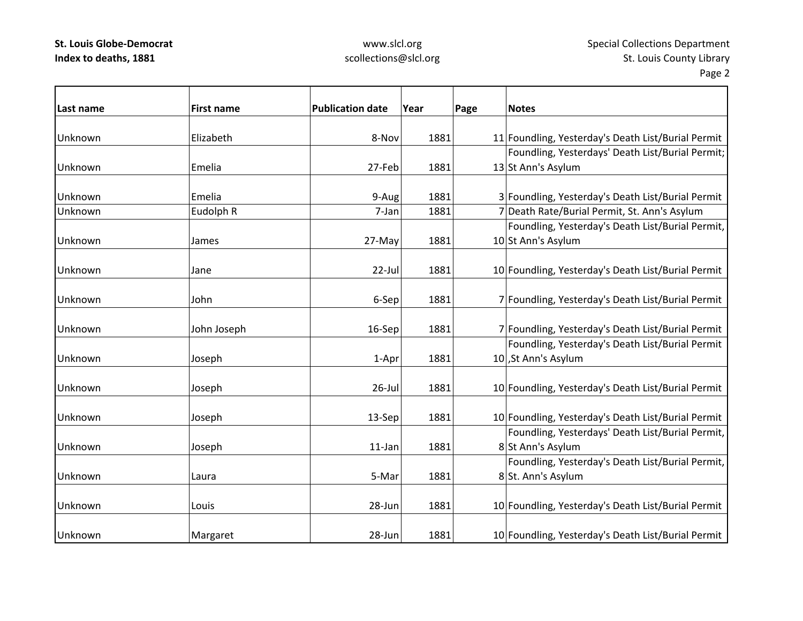### www.slcl.org scollections@slcl.org

| Last name | <b>First name</b> | <b>Publication date</b><br>Year |      | Page | <b>Notes</b>                                       |
|-----------|-------------------|---------------------------------|------|------|----------------------------------------------------|
| Unknown   | Elizabeth         | 8-Nov                           | 1881 |      | 11 Foundling, Yesterday's Death List/Burial Permit |
|           |                   |                                 |      |      | Foundling, Yesterdays' Death List/Burial Permit;   |
| Unknown   | Emelia            | 27-Feb                          | 1881 |      | 13 St Ann's Asylum                                 |
| Unknown   | Emelia            | 9-Aug                           | 1881 |      | 3 Foundling, Yesterday's Death List/Burial Permit  |
| Unknown   | Eudolph R         | 7-Jan                           | 1881 |      | 7 Death Rate/Burial Permit, St. Ann's Asylum       |
|           |                   |                                 |      |      | Foundling, Yesterday's Death List/Burial Permit,   |
| Unknown   | James             | 27-May                          | 1881 |      | 10 St Ann's Asylum                                 |
| Unknown   | Jane              | 22-Jul                          | 1881 |      | 10 Foundling, Yesterday's Death List/Burial Permit |
| Unknown   | John              | 6-Sep                           | 1881 |      | 7 Foundling, Yesterday's Death List/Burial Permit  |
| Unknown   | John Joseph       | 16-Sep                          | 1881 |      | 7 Foundling, Yesterday's Death List/Burial Permit  |
|           |                   |                                 |      |      | Foundling, Yesterday's Death List/Burial Permit    |
| Unknown   | Joseph            | 1-Apr                           | 1881 |      | 10 St Ann's Asylum                                 |
| Unknown   | Joseph            | $26$ -Jul                       | 1881 |      | 10 Foundling, Yesterday's Death List/Burial Permit |
| Unknown   | Joseph            | 13-Sep                          | 1881 |      | 10 Foundling, Yesterday's Death List/Burial Permit |
|           |                   |                                 |      |      | Foundling, Yesterdays' Death List/Burial Permit,   |
| Unknown   | Joseph            | 11-Jan                          | 1881 |      | 8 St Ann's Asylum                                  |
|           |                   |                                 |      |      | Foundling, Yesterday's Death List/Burial Permit,   |
| Unknown   | Laura             | 5-Mar                           | 1881 |      | 8 St. Ann's Asylum                                 |
| Unknown   | Louis             | 28-Jun                          | 1881 |      | 10 Foundling, Yesterday's Death List/Burial Permit |
| Unknown   | Margaret          | 28-Jun                          | 1881 |      | 10 Foundling, Yesterday's Death List/Burial Permit |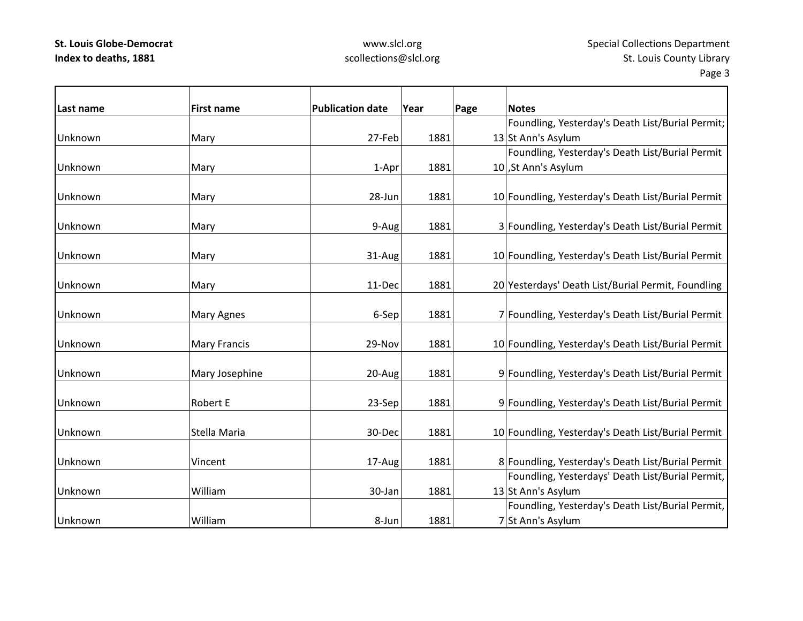### www.slcl.org scollections@slcl.org

Page 3

 $\overline{\phantom{0}}$ 

| Last name | <b>First name</b>   | <b>Publication date</b> | Year | Page | <b>Notes</b>                                       |
|-----------|---------------------|-------------------------|------|------|----------------------------------------------------|
|           |                     |                         |      |      | Foundling, Yesterday's Death List/Burial Permit;   |
| Unknown   | Mary                | 27-Feb                  | 1881 |      | 13 St Ann's Asylum                                 |
|           |                     |                         |      |      | Foundling, Yesterday's Death List/Burial Permit    |
| Unknown   | Mary                | 1-Apr                   | 1881 |      | 10, St Ann's Asylum                                |
|           |                     |                         |      |      |                                                    |
| Unknown   | Mary                | 28-Jun                  | 1881 |      | 10 Foundling, Yesterday's Death List/Burial Permit |
|           |                     |                         |      |      |                                                    |
| Unknown   | Mary                | 9-Aug                   | 1881 |      | 3 Foundling, Yesterday's Death List/Burial Permit  |
| Unknown   | Mary                | 31-Aug                  | 1881 |      | 10 Foundling, Yesterday's Death List/Burial Permit |
|           |                     |                         |      |      |                                                    |
| Unknown   | Mary                | 11-Dec                  | 1881 |      | 20 Yesterdays' Death List/Burial Permit, Foundling |
|           |                     |                         |      |      |                                                    |
| Unknown   | Mary Agnes          | 6-Sep                   | 1881 |      | 7 Foundling, Yesterday's Death List/Burial Permit  |
|           |                     |                         |      |      |                                                    |
| Unknown   | <b>Mary Francis</b> | 29-Nov                  | 1881 |      | 10 Foundling, Yesterday's Death List/Burial Permit |
|           |                     |                         |      |      |                                                    |
| Unknown   | Mary Josephine      | 20-Aug                  | 1881 |      | 9 Foundling, Yesterday's Death List/Burial Permit  |
| Unknown   | <b>Robert E</b>     | 23-Sep                  | 1881 |      | 9 Foundling, Yesterday's Death List/Burial Permit  |
|           |                     |                         |      |      |                                                    |
| Unknown   | Stella Maria        | 30-Dec                  | 1881 |      | 10 Foundling, Yesterday's Death List/Burial Permit |
|           |                     |                         |      |      |                                                    |
| Unknown   | Vincent             | 17-Aug                  | 1881 |      | 8 Foundling, Yesterday's Death List/Burial Permit  |
|           |                     |                         |      |      | Foundling, Yesterdays' Death List/Burial Permit,   |
| Unknown   | William             | 30-Jan                  | 1881 |      | 13 St Ann's Asylum                                 |
|           |                     |                         |      |      | Foundling, Yesterday's Death List/Burial Permit,   |
| Unknown   | William             | 8-Jun                   | 1881 |      | 7 St Ann's Asylum                                  |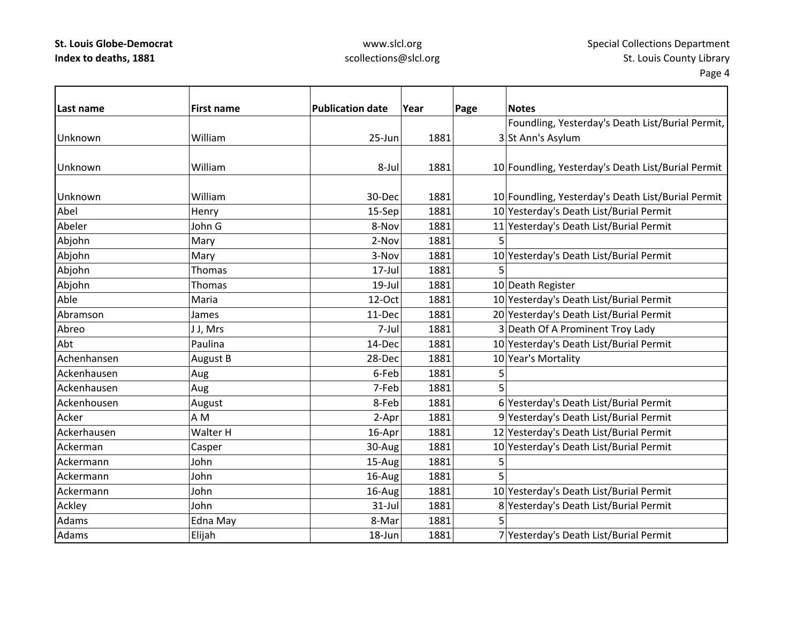### www.slcl.org scollections@slcl.org

| Last name   | <b>First name</b> | <b>Publication date</b> | Year | Page | <b>Notes</b>                                       |
|-------------|-------------------|-------------------------|------|------|----------------------------------------------------|
|             |                   |                         |      |      | Foundling, Yesterday's Death List/Burial Permit,   |
| Unknown     | William           | 25-Jun                  | 1881 |      | 3 St Ann's Asylum                                  |
|             |                   |                         |      |      |                                                    |
| Unknown     | William           | 8-Jul                   | 1881 |      | 10 Foundling, Yesterday's Death List/Burial Permit |
|             |                   |                         |      |      |                                                    |
| Unknown     | William           | 30-Dec                  | 1881 |      | 10 Foundling, Yesterday's Death List/Burial Permit |
| Abel        | Henry             | 15-Sep                  | 1881 |      | 10 Yesterday's Death List/Burial Permit            |
| Abeler      | John G            | 8-Nov                   | 1881 |      | 11 Yesterday's Death List/Burial Permit            |
| Abjohn      | Mary              | 2-Nov                   | 1881 | 5    |                                                    |
| Abjohn      | Mary              | 3-Nov                   | 1881 |      | 10 Yesterday's Death List/Burial Permit            |
| Abjohn      | Thomas            | $17 -$ Jul              | 1881 | 5    |                                                    |
| Abjohn      | <b>Thomas</b>     | 19-Jul                  | 1881 |      | 10 Death Register                                  |
| Able        | Maria             | 12-Oct                  | 1881 |      | 10 Yesterday's Death List/Burial Permit            |
| Abramson    | James             | 11-Dec                  | 1881 |      | 20 Yesterday's Death List/Burial Permit            |
| Abreo       | J J, Mrs          | 7-Jul                   | 1881 |      | 3 Death Of A Prominent Troy Lady                   |
| Abt         | Paulina           | 14-Dec                  | 1881 |      | 10 Yesterday's Death List/Burial Permit            |
| Achenhansen | August B          | 28-Dec                  | 1881 |      | 10 Year's Mortality                                |
| Ackenhausen | Aug               | 6-Feb                   | 1881 | 5    |                                                    |
| Ackenhausen | Aug               | 7-Feb                   | 1881 | 5    |                                                    |
| Ackenhousen | August            | 8-Feb                   | 1881 |      | 6 Yesterday's Death List/Burial Permit             |
| Acker       | AM                | 2-Apr                   | 1881 |      | 9 Yesterday's Death List/Burial Permit             |
| Ackerhausen | Walter H          | 16-Apr                  | 1881 |      | 12 Yesterday's Death List/Burial Permit            |
| Ackerman    | Casper            | 30-Aug                  | 1881 |      | 10 Yesterday's Death List/Burial Permit            |
| Ackermann   | John              | 15-Aug                  | 1881 | 5    |                                                    |
| Ackermann   | John              | 16-Aug                  | 1881 | 5    |                                                    |
| Ackermann   | John              | 16-Aug                  | 1881 |      | 10 Yesterday's Death List/Burial Permit            |
| Ackley      | John              | $31$ -Jul               | 1881 |      | 8 Yesterday's Death List/Burial Permit             |
| Adams       | Edna May          | 8-Mar                   | 1881 |      |                                                    |
| Adams       | Elijah            | 18-Jun                  | 1881 |      | 7 Yesterday's Death List/Burial Permit             |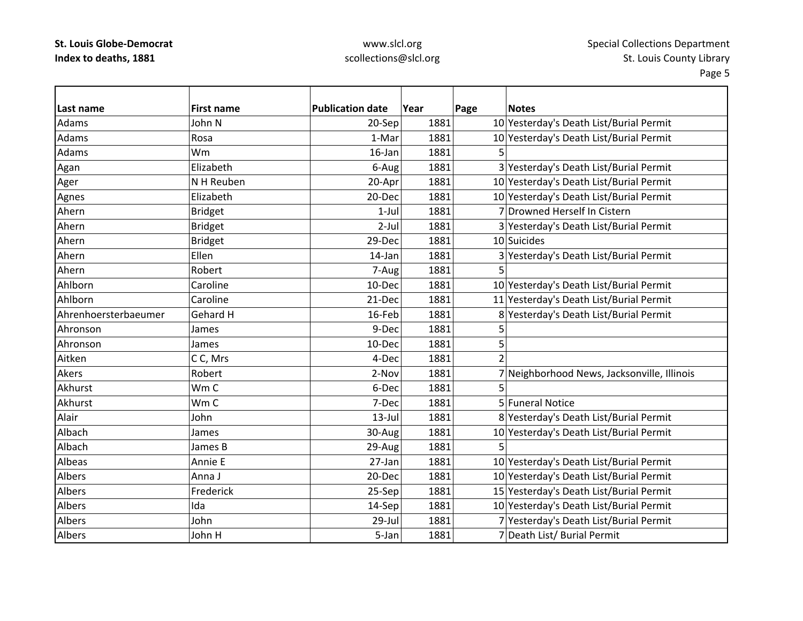# www.slcl.org scollections@slcl.org

| Last name            | <b>First name</b> | <b>Publication date</b> | Year | Page           | <b>Notes</b>                                |
|----------------------|-------------------|-------------------------|------|----------------|---------------------------------------------|
| Adams                | John N            | 20-Sep                  | 1881 |                | 10 Yesterday's Death List/Burial Permit     |
| Adams                | Rosa              | 1-Mar                   | 1881 |                | 10 Yesterday's Death List/Burial Permit     |
| Adams                | Wm                | 16-Jan                  | 1881 | 5              |                                             |
| Agan                 | Elizabeth         | 6-Aug                   | 1881 |                | 3 Yesterday's Death List/Burial Permit      |
| Ager                 | N H Reuben        | 20-Apr                  | 1881 |                | 10 Yesterday's Death List/Burial Permit     |
| Agnes                | Elizabeth         | 20-Dec                  | 1881 |                | 10 Yesterday's Death List/Burial Permit     |
| Ahern                | <b>Bridget</b>    | $1-Jul$                 | 1881 |                | 7 Drowned Herself In Cistern                |
| Ahern                | <b>Bridget</b>    | $2$ -Jul                | 1881 |                | 3 Yesterday's Death List/Burial Permit      |
| Ahern                | <b>Bridget</b>    | 29-Dec                  | 1881 |                | 10 Suicides                                 |
| Ahern                | Ellen             | 14-Jan                  | 1881 |                | 3 Yesterday's Death List/Burial Permit      |
| Ahern                | Robert            | 7-Aug                   | 1881 | 5              |                                             |
| Ahlborn              | Caroline          | 10-Dec                  | 1881 |                | 10 Yesterday's Death List/Burial Permit     |
| Ahlborn              | Caroline          | 21-Dec                  | 1881 |                | 11 Yesterday's Death List/Burial Permit     |
| Ahrenhoersterbaeumer | Gehard H          | 16-Feb                  | 1881 |                | 8 Yesterday's Death List/Burial Permit      |
| Ahronson             | James             | 9-Dec                   | 1881 | 5              |                                             |
| Ahronson             | James             | 10-Dec                  | 1881 | 5              |                                             |
| Aitken               | CC, Mrs           | 4-Dec                   | 1881 | $\overline{2}$ |                                             |
| Akers                | Robert            | 2-Nov                   | 1881 |                | 7 Neighborhood News, Jacksonville, Illinois |
| Akhurst              | Wm C              | 6-Dec                   | 1881 |                |                                             |
| Akhurst              | Wm C              | 7-Dec                   | 1881 |                | 5 Funeral Notice                            |
| Alair                | John              | $13$ -Jul               | 1881 |                | 8 Yesterday's Death List/Burial Permit      |
| Albach               | James             | 30-Aug                  | 1881 |                | 10 Yesterday's Death List/Burial Permit     |
| Albach               | James B           | 29-Aug                  | 1881 | 5              |                                             |
| Albeas               | Annie E           | 27-Jan                  | 1881 |                | 10 Yesterday's Death List/Burial Permit     |
| Albers               | Anna J            | 20-Dec                  | 1881 |                | 10 Yesterday's Death List/Burial Permit     |
| Albers               | Frederick         | 25-Sep                  | 1881 |                | 15 Yesterday's Death List/Burial Permit     |
| Albers               | Ida               | 14-Sep                  | 1881 |                | 10 Yesterday's Death List/Burial Permit     |
| <b>Albers</b>        | John              | 29-Jul                  | 1881 |                | 7 Yesterday's Death List/Burial Permit      |
| Albers               | John H            | 5-Jan                   | 1881 |                | 7 Death List/ Burial Permit                 |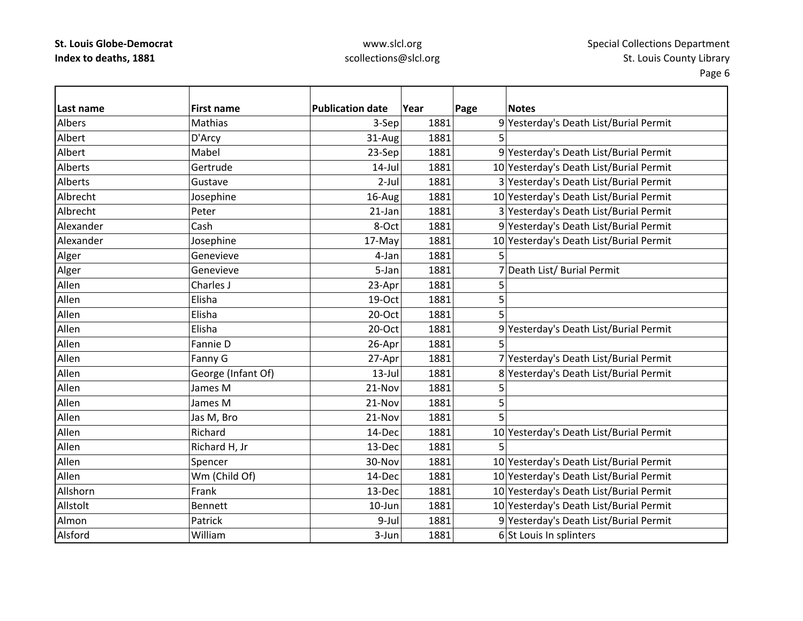### www.slcl.org scollections@slcl.org

**Last name First name Publication date Year Page Notes** AlbersMathias 1981 1881 9 Yesterday's Death List/Burial Permit Albert D'Arcy 31‐Aug 1881 5 AlbertMabel 23-Sep 1881 9 Yesterday's Death List/Burial Permit Alberts Gertrude14-Jul 1881 10 Yesterday's Death List/Burial Permit Alberts Gustave2-Jul 1881 3 Yesterday's Death List/Burial Permit AlbrechtJosephine 16‐Aug 1881 1881 10 Yesterday's Death List/Burial Permit Albrecht Peter21-Jan 1881 3 Yesterday's Death List/Burial Permit Alexander Cash8-Oct | 1881 9 Yesterday's Death List/Burial Permit AlexanderJosephine 17‐May 1881 10 Yesterday's Death List/Burial Permit Alger Genevieve | 4-Jan 1881 5 Alger Genevieve  $\vert$  5-Jan 1881 7 Death List/ Burial Permit Allen Charles J 23‐Apr 1881 5 Allen Elisha 19‐Oct 1881 5 Allen Elisha 20‐Oct 1881 5 AllenElisha 20–Oct 1881 9 Yesterday's Death List/Burial Permit Allen Fannie $26 - Apr$  1881 5 AllenFanny G 27-Apr 1881 7 Yesterday's Death List/Burial Permit AllenGeorge (Infant Of)  $\vert$  13-Jul 1881 8 Yesterday's Death List/Burial Permit Allenn |James M | 21-Nov| 1881| 5 Allenn |James M | 21-Nov| 1881| 5 AllenJas M, Bro  $\vert$  21-Nov  $\vert$  1881 5 AllenRichard 14‐Dec 1881 10 Yesterday's Death List/Burial Permit AllenRichard H, Jr  $13-\text{Dec}$  1881 5 AllenSpencer 30‐Nov 1881 10 Yesterday's Death List/Burial Permit AllenWm (Child Of)  $(14$ -Dec 1881  $10$  Yesterday's Death List/Burial Permit AllshornFrank 13‐Dec 1881 10 Yesterday's Death List/Burial Permit AllstoltBennett 10–Jun 10–Jun 1881 10 Yesterday's Death List/Burial Permit AlmonPatrick 1881 9-Jul 1881 9-Yesterday's Death List/Burial Permit Alsford William $3$ -Jun 1881 6 St Louis In splinters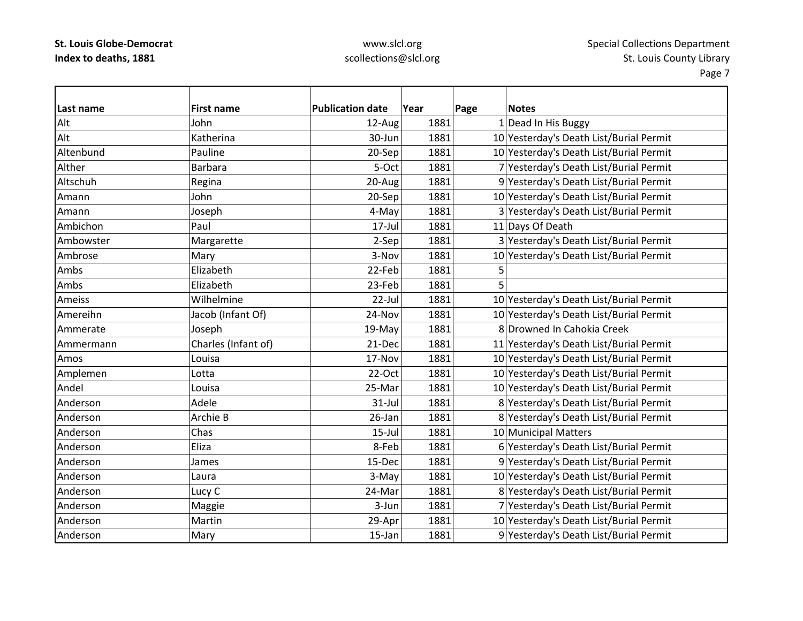# www.slcl.org scollections@slcl.org

| lLast name | <b>First name</b>   | <b>Publication date</b> | Year |      | Page | <b>Notes</b>                            |
|------------|---------------------|-------------------------|------|------|------|-----------------------------------------|
| Alt        | John                | 12-Aug                  |      | 1881 |      | 1 Dead In His Buggy                     |
| Alt        | Katherina           | 30-Jun                  |      | 1881 |      | 10 Yesterday's Death List/Burial Permit |
| Altenbund  | Pauline             | 20-Sep                  |      | 1881 |      | 10 Yesterday's Death List/Burial Permit |
| Alther     | <b>Barbara</b>      | 5-Oct                   |      | 1881 |      | 7 Yesterday's Death List/Burial Permit  |
| Altschuh   | Regina              | 20-Aug                  |      | 1881 |      | 9 Yesterday's Death List/Burial Permit  |
| Amann      | John                | 20-Sep                  |      | 1881 |      | 10 Yesterday's Death List/Burial Permit |
| Amann      | Joseph              | 4-May                   |      | 1881 |      | 3 Yesterday's Death List/Burial Permit  |
| Ambichon   | Paul                | 17-Jul                  |      | 1881 |      | 11 Days Of Death                        |
| Ambowster  | Margarette          | 2-Sep                   |      | 1881 |      | 3 Yesterday's Death List/Burial Permit  |
| Ambrose    | Mary                | 3-Nov                   |      | 1881 |      | 10 Yesterday's Death List/Burial Permit |
| Ambs       | Elizabeth           | 22-Feb                  |      | 1881 | 5    |                                         |
| Ambs       | Elizabeth           | 23-Feb                  |      | 1881 | 5    |                                         |
| Ameiss     | Wilhelmine          | 22-Jul                  |      | 1881 |      | 10 Yesterday's Death List/Burial Permit |
| Amereihn   | Jacob (Infant Of)   | 24-Nov                  |      | 1881 |      | 10 Yesterday's Death List/Burial Permit |
| Ammerate   | Joseph              | 19-May                  |      | 1881 |      | 8 Drowned In Cahokia Creek              |
| Ammermann  | Charles (Infant of) | 21-Dec                  |      | 1881 |      | 11 Yesterday's Death List/Burial Permit |
| Amos       | Louisa              | 17-Nov                  |      | 1881 |      | 10 Yesterday's Death List/Burial Permit |
| Amplemen   | Lotta               | 22-Oct                  |      | 1881 |      | 10 Yesterday's Death List/Burial Permit |
| Andel      | Louisa              | 25-Mar                  |      | 1881 |      | 10 Yesterday's Death List/Burial Permit |
| Anderson   | Adele               | $31$ -Jul               |      | 1881 |      | 8 Yesterday's Death List/Burial Permit  |
| Anderson   | Archie B            | 26-Jan                  |      | 1881 |      | 8 Yesterday's Death List/Burial Permit  |
| Anderson   | Chas                | $15$ -Jul               |      | 1881 |      | 10 Municipal Matters                    |
| Anderson   | Eliza               | 8-Feb                   |      | 1881 |      | 6 Yesterday's Death List/Burial Permit  |
| Anderson   | James               | 15-Dec                  |      | 1881 |      | 9 Yesterday's Death List/Burial Permit  |
| Anderson   | Laura               | 3-May                   |      | 1881 |      | 10 Yesterday's Death List/Burial Permit |
| Anderson   | Lucy C              | 24-Mar                  |      | 1881 |      | 8 Yesterday's Death List/Burial Permit  |
| Anderson   | Maggie              | 3-Jun                   |      | 1881 |      | 7 Yesterday's Death List/Burial Permit  |
| Anderson   | Martin              | 29-Apr                  |      | 1881 |      | 10 Yesterday's Death List/Burial Permit |
| Anderson   | Mary                | 15-Jan                  |      | 1881 |      | 9 Yesterday's Death List/Burial Permit  |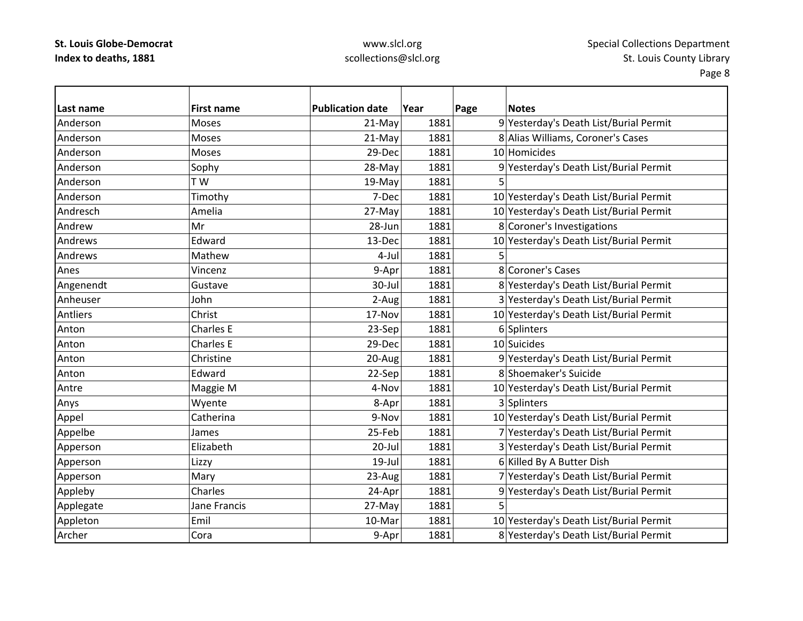# www.slcl.org scollections@slcl.org

| Last name | <b>First name</b> | <b>Publication date</b> | Year | Page | <b>Notes</b>                            |
|-----------|-------------------|-------------------------|------|------|-----------------------------------------|
| Anderson  | Moses             | 21-May                  | 1881 |      | 9 Yesterday's Death List/Burial Permit  |
| Anderson  | Moses             | 21-May                  | 1881 |      | 8 Alias Williams, Coroner's Cases       |
| Anderson  | Moses             | 29-Dec                  | 1881 |      | 10 Homicides                            |
| Anderson  | Sophy             | 28-May                  | 1881 |      | 9 Yesterday's Death List/Burial Permit  |
| Anderson  | T W               | 19-May                  | 1881 |      |                                         |
| Anderson  | Timothy           | 7-Dec                   | 1881 |      | 10 Yesterday's Death List/Burial Permit |
| Andresch  | Amelia            | 27-May                  | 1881 |      | 10 Yesterday's Death List/Burial Permit |
| Andrew    | Mr                | 28-Jun                  | 1881 |      | 8 Coroner's Investigations              |
| Andrews   | Edward            | 13-Dec                  | 1881 |      | 10 Yesterday's Death List/Burial Permit |
| Andrews   | Mathew            | 4-Jul                   | 1881 | 5    |                                         |
| Anes      | Vincenz           | 9-Apr                   | 1881 |      | 8 Coroner's Cases                       |
| Angenendt | Gustave           | 30-Jul                  | 1881 |      | 8 Yesterday's Death List/Burial Permit  |
| Anheuser  | John              | 2-Aug                   | 1881 |      | 3 Yesterday's Death List/Burial Permit  |
| Antliers  | Christ            | 17-Nov                  | 1881 |      | 10 Yesterday's Death List/Burial Permit |
| Anton     | <b>Charles E</b>  | 23-Sep                  | 1881 |      | 6 Splinters                             |
| Anton     | <b>Charles E</b>  | 29-Dec                  | 1881 |      | 10 Suicides                             |
| Anton     | Christine         | 20-Aug                  | 1881 |      | 9 Yesterday's Death List/Burial Permit  |
| Anton     | Edward            | 22-Sep                  | 1881 |      | 8 Shoemaker's Suicide                   |
| Antre     | Maggie M          | 4-Nov                   | 1881 |      | 10 Yesterday's Death List/Burial Permit |
| Anys      | Wyente            | 8-Apr                   | 1881 |      | 3 Splinters                             |
| Appel     | Catherina         | 9-Nov                   | 1881 |      | 10 Yesterday's Death List/Burial Permit |
| Appelbe   | James             | 25-Feb                  | 1881 |      | 7 Yesterday's Death List/Burial Permit  |
| Apperson  | Elizabeth         | 20-Jul                  | 1881 |      | 3 Yesterday's Death List/Burial Permit  |
| Apperson  | Lizzy             | 19-Jul                  | 1881 |      | 6 Killed By A Butter Dish               |
| Apperson  | Mary              | 23-Aug                  | 1881 |      | 7 Yesterday's Death List/Burial Permit  |
| Appleby   | Charles           | 24-Apr                  | 1881 |      | 9 Yesterday's Death List/Burial Permit  |
| Applegate | Jane Francis      | 27-May                  | 1881 | 5    |                                         |
| Appleton  | Emil              | 10-Mar                  | 1881 |      | 10 Yesterday's Death List/Burial Permit |
| Archer    | Cora              | 9-Apr                   | 1881 |      | 8 Yesterday's Death List/Burial Permit  |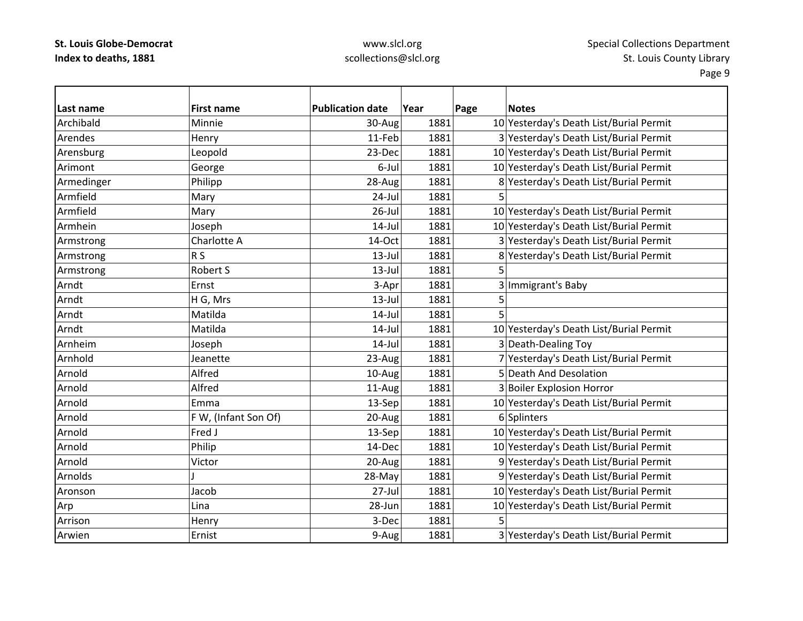# www.slcl.org scollections@slcl.org

| l Last name | <b>First name</b>    | <b>Publication date</b> | Year | Page<br><b>Notes</b>                    |
|-------------|----------------------|-------------------------|------|-----------------------------------------|
| Archibald   | Minnie               | 30-Aug                  | 1881 | 10 Yesterday's Death List/Burial Permit |
| Arendes     | Henry                | 11-Feb                  | 1881 | 3 Yesterday's Death List/Burial Permit  |
| Arensburg   | Leopold              | 23-Dec                  | 1881 | 10 Yesterday's Death List/Burial Permit |
| Arimont     | George               | 6-Jul                   | 1881 | 10 Yesterday's Death List/Burial Permit |
| Armedinger  | Philipp              | 28-Aug                  | 1881 | 8 Yesterday's Death List/Burial Permit  |
| Armfield    | Mary                 | 24-Jul                  | 1881 | 5                                       |
| Armfield    | Mary                 | $26$ -Jul               | 1881 | 10 Yesterday's Death List/Burial Permit |
| Armhein     | Joseph               | $14$ -Jul               | 1881 | 10 Yesterday's Death List/Burial Permit |
| Armstrong   | Charlotte A          | 14-Oct                  | 1881 | 3 Yesterday's Death List/Burial Permit  |
| Armstrong   | R <sub>S</sub>       | $13$ -Jul               | 1881 | 8 Yesterday's Death List/Burial Permit  |
| Armstrong   | Robert S             | $13$ -Jul               | 1881 | 5                                       |
| Arndt       | Ernst                | 3-Apr                   | 1881 | 3 Immigrant's Baby                      |
| Arndt       | H G, Mrs             | $13$ -Jul               | 1881 | 5                                       |
| Arndt       | Matilda              | $14$ -Jul               | 1881 | 5                                       |
| Arndt       | Matilda              | $14$ -Jul               | 1881 | 10 Yesterday's Death List/Burial Permit |
| Arnheim     | Joseph               | $14$ -Jul               | 1881 | 3 Death-Dealing Toy                     |
| Arnhold     | Jeanette             | 23-Aug                  | 1881 | 7 Yesterday's Death List/Burial Permit  |
| Arnold      | Alfred               | 10-Aug                  | 1881 | 5 Death And Desolation                  |
| Arnold      | Alfred               | 11-Aug                  | 1881 | 3 Boiler Explosion Horror               |
| Arnold      | Emma                 | 13-Sep                  | 1881 | 10 Yesterday's Death List/Burial Permit |
| Arnold      | F W, (Infant Son Of) | 20-Aug                  | 1881 | 6 Splinters                             |
| Arnold      | Fred J               | 13-Sep                  | 1881 | 10 Yesterday's Death List/Burial Permit |
| Arnold      | Philip               | 14-Dec                  | 1881 | 10 Yesterday's Death List/Burial Permit |
| Arnold      | Victor               | 20-Aug                  | 1881 | 9 Yesterday's Death List/Burial Permit  |
| Arnolds     |                      | 28-May                  | 1881 | 9 Yesterday's Death List/Burial Permit  |
| Aronson     | Jacob                | 27-Jul                  | 1881 | 10 Yesterday's Death List/Burial Permit |
| Arp         | Lina                 | 28-Jun                  | 1881 | 10 Yesterday's Death List/Burial Permit |
| Arrison     | Henry                | 3-Dec                   | 1881 |                                         |
| Arwien      | Ernist               | 9-Aug                   | 1881 | 3 Yesterday's Death List/Burial Permit  |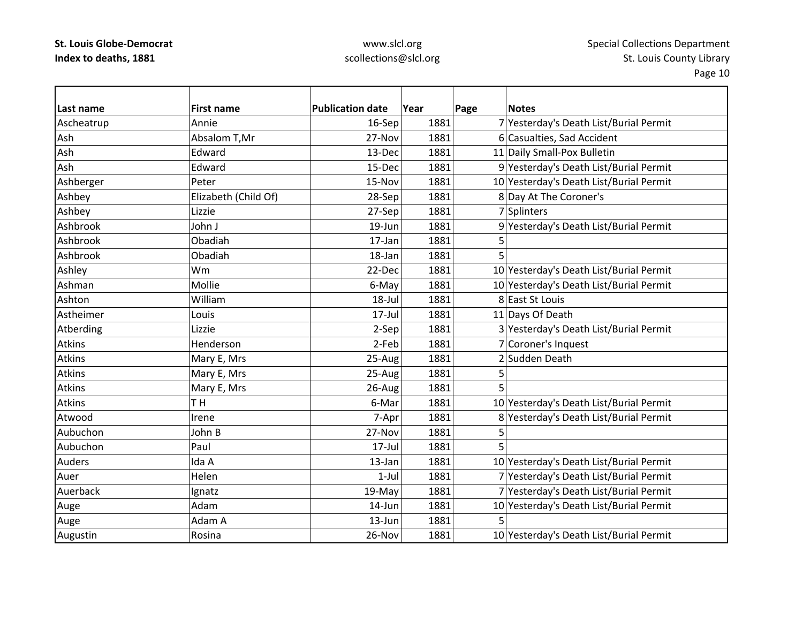# www.slcl.org scollections@slcl.org

| Last name     | <b>First name</b>    | <b>Publication date</b> | Year | Page | <b>Notes</b>                            |
|---------------|----------------------|-------------------------|------|------|-----------------------------------------|
| Ascheatrup    | Annie                | 16-Sep                  | 1881 |      | 7 Yesterday's Death List/Burial Permit  |
| Ash           | Absalom T, Mr        | 27-Nov                  | 1881 |      | 6 Casualties, Sad Accident              |
| Ash           | Edward               | 13-Dec                  | 1881 |      | 11 Daily Small-Pox Bulletin             |
| Ash           | Edward               | 15-Dec                  | 1881 |      | 9 Yesterday's Death List/Burial Permit  |
| Ashberger     | Peter                | 15-Nov                  | 1881 |      | 10 Yesterday's Death List/Burial Permit |
| Ashbey        | Elizabeth (Child Of) | 28-Sep                  | 1881 |      | 8 Day At The Coroner's                  |
| Ashbey        | Lizzie               | 27-Sep                  | 1881 |      | 7 Splinters                             |
| Ashbrook      | John J               | 19-Jun                  | 1881 |      | 9 Yesterday's Death List/Burial Permit  |
| Ashbrook      | Obadiah              | 17-Jan                  | 1881 | 5    |                                         |
| Ashbrook      | Obadiah              | 18-Jan                  | 1881 | 5    |                                         |
| Ashley        | Wm                   | 22-Dec                  | 1881 |      | 10 Yesterday's Death List/Burial Permit |
| Ashman        | Mollie               | 6-May                   | 1881 |      | 10 Yesterday's Death List/Burial Permit |
| Ashton        | William              | 18-Jul                  | 1881 |      | 8 East St Louis                         |
| Astheimer     | Louis                | 17-Jul                  | 1881 |      | 11 Days Of Death                        |
| Atberding     | Lizzie               | 2-Sep                   | 1881 |      | 3 Yesterday's Death List/Burial Permit  |
| <b>Atkins</b> | Henderson            | 2-Feb                   | 1881 |      | 7 Coroner's Inquest                     |
| <b>Atkins</b> | Mary E, Mrs          | 25-Aug                  | 1881 |      | 2 Sudden Death                          |
| <b>Atkins</b> | Mary E, Mrs          | 25-Aug                  | 1881 | 5    |                                         |
| <b>Atkins</b> | Mary E, Mrs          | 26-Aug                  | 1881 |      |                                         |
| <b>Atkins</b> | TH                   | 6-Mar                   | 1881 |      | 10 Yesterday's Death List/Burial Permit |
| Atwood        | Irene                | 7-Apr                   | 1881 |      | 8 Yesterday's Death List/Burial Permit  |
| Aubuchon      | John B               | 27-Nov                  | 1881 | 5    |                                         |
| Aubuchon      | Paul                 | 17-Jul                  | 1881 | 5    |                                         |
| <b>Auders</b> | Ida A                | 13-Jan                  | 1881 |      | 10 Yesterday's Death List/Burial Permit |
| Auer          | Helen                | $1-Jul$                 | 1881 |      | 7 Yesterday's Death List/Burial Permit  |
| Auerback      | Ignatz               | 19-May                  | 1881 |      | 7 Yesterday's Death List/Burial Permit  |
| Auge          | Adam                 | 14-Jun                  | 1881 |      | 10 Yesterday's Death List/Burial Permit |
| Auge          | Adam A               | 13-Jun                  | 1881 | 5    |                                         |
| Augustin      | Rosina               | 26-Nov                  | 1881 |      | 10 Yesterday's Death List/Burial Permit |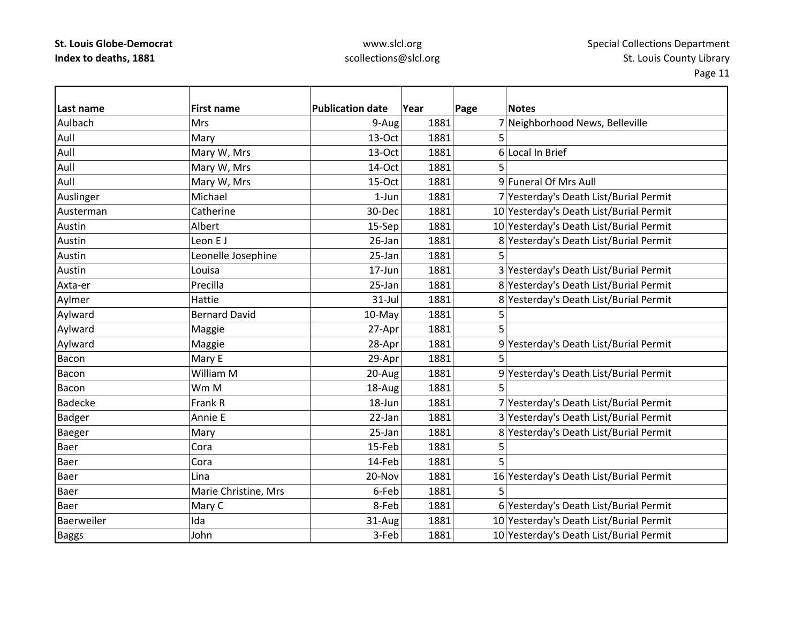# www.slcl.org scollections@slcl.org

| Last name      | <b>First name</b>    | <b>Publication date</b> | Year | Page | <b>Notes</b>                            |
|----------------|----------------------|-------------------------|------|------|-----------------------------------------|
| Aulbach        | <b>Mrs</b>           | 9-Aug                   | 1881 |      | 7 Neighborhood News, Belleville         |
| Aull           | Mary                 | 13-Oct                  | 1881 |      |                                         |
| Aull           | Mary W, Mrs          | 13-Oct                  | 1881 |      | 6 Local In Brief                        |
| Aull           | Mary W, Mrs          | 14-Oct                  | 1881 | 5    |                                         |
| Aull           | Mary W, Mrs          | 15-Oct                  | 1881 |      | 9 Funeral Of Mrs Aull                   |
| Auslinger      | Michael              | $1-Jun$                 | 1881 |      | 7 Yesterday's Death List/Burial Permit  |
| Austerman      | Catherine            | 30-Dec                  | 1881 |      | 10 Yesterday's Death List/Burial Permit |
| Austin         | Albert               | 15-Sep                  | 1881 |      | 10 Yesterday's Death List/Burial Permit |
| Austin         | Leon E J             | 26-Jan                  | 1881 |      | 8 Yesterday's Death List/Burial Permit  |
| Austin         | Leonelle Josephine   | 25-Jan                  | 1881 |      |                                         |
| Austin         | Louisa               | 17-Jun                  | 1881 |      | 3 Yesterday's Death List/Burial Permit  |
| Axta-er        | Precilla             | 25-Jan                  | 1881 |      | 8 Yesterday's Death List/Burial Permit  |
| Aylmer         | Hattie               | $31$ -Jul               | 1881 |      | 8 Yesterday's Death List/Burial Permit  |
| Aylward        | <b>Bernard David</b> | $10-May$                | 1881 | 5    |                                         |
| Aylward        | Maggie               | 27-Apr                  | 1881 | 5    |                                         |
| Aylward        | Maggie               | 28-Apr                  | 1881 |      | 9 Yesterday's Death List/Burial Permit  |
| Bacon          | Mary E               | 29-Apr                  | 1881 | 5    |                                         |
| Bacon          | William M            | 20-Aug                  | 1881 |      | 9 Yesterday's Death List/Burial Permit  |
| Bacon          | Wm M                 | 18-Aug                  | 1881 |      |                                         |
| <b>Badecke</b> | Frank R              | 18-Jun                  | 1881 |      | 7 Yesterday's Death List/Burial Permit  |
| <b>Badger</b>  | Annie E              | 22-Jan                  | 1881 |      | 3 Yesterday's Death List/Burial Permit  |
| Baeger         | Mary                 | 25-Jan                  | 1881 |      | 8 Yesterday's Death List/Burial Permit  |
| <b>Baer</b>    | Cora                 | 15-Feb                  | 1881 | 5    |                                         |
| Baer           | Cora                 | 14-Feb                  | 1881 |      |                                         |
| <b>Baer</b>    | Lina                 | 20-Nov                  | 1881 |      | 16 Yesterday's Death List/Burial Permit |
| Baer           | Marie Christine, Mrs | 6-Feb                   | 1881 | 5    |                                         |
| <b>Baer</b>    | Mary C               | 8-Feb                   | 1881 |      | 6 Yesterday's Death List/Burial Permit  |
| Baerweiler     | Ida                  | 31-Aug                  | 1881 |      | 10 Yesterday's Death List/Burial Permit |
| <b>Baggs</b>   | John                 | 3-Feb                   | 1881 |      | 10 Yesterday's Death List/Burial Permit |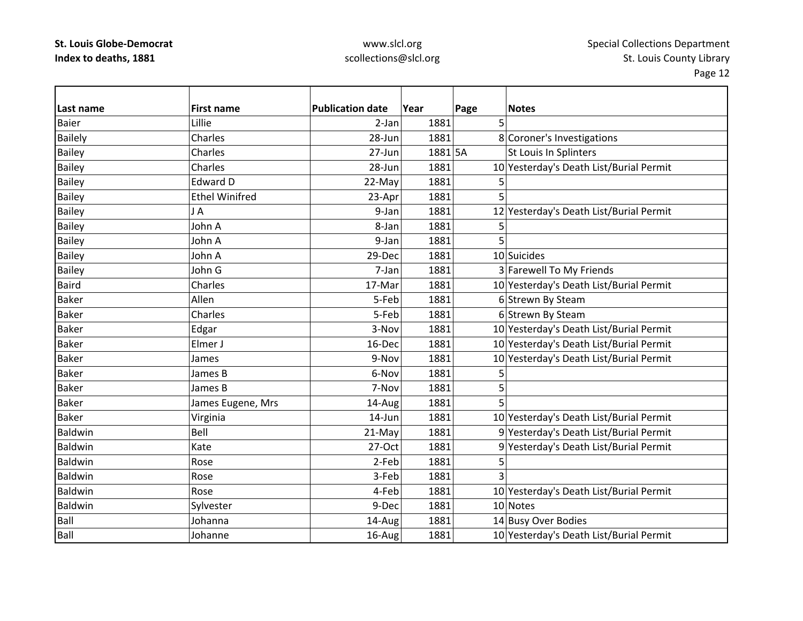### www.slcl.org scollections@slcl.org

Page 12

 $\overline{\phantom{0}}$ 

| Last name      | <b>First name</b>     | <b>Publication date</b> | Year    | Page           | <b>Notes</b>                            |
|----------------|-----------------------|-------------------------|---------|----------------|-----------------------------------------|
| <b>Baier</b>   | Lillie                | $2-Jan$                 | 1881    | 5              |                                         |
| <b>Bailely</b> | Charles               | 28-Jun                  | 1881    |                | 8 Coroner's Investigations              |
| <b>Bailey</b>  | Charles               | 27-Jun                  | 1881 5A |                | St Louis In Splinters                   |
| <b>Bailey</b>  | Charles               | 28-Jun                  | 1881    |                | 10 Yesterday's Death List/Burial Permit |
| <b>Bailey</b>  | <b>Edward D</b>       | 22-May                  | 1881    | 5              |                                         |
| <b>Bailey</b>  | <b>Ethel Winifred</b> | 23-Apr                  | 1881    | 5              |                                         |
| <b>Bailey</b>  | JA                    | 9-Jan                   | 1881    |                | 12 Yesterday's Death List/Burial Permit |
| <b>Bailey</b>  | John A                | 8-Jan                   | 1881    | 5              |                                         |
| <b>Bailey</b>  | John A                | 9-Jan                   | 1881    | 5              |                                         |
| <b>Bailey</b>  | John A                | 29-Dec                  | 1881    |                | 10 Suicides                             |
| <b>Bailey</b>  | John G                | 7-Jan                   | 1881    |                | 3 Farewell To My Friends                |
| <b>Baird</b>   | Charles               | 17-Mar                  | 1881    |                | 10 Yesterday's Death List/Burial Permit |
| <b>Baker</b>   | Allen                 | 5-Feb                   | 1881    |                | 6 Strewn By Steam                       |
| <b>Baker</b>   | Charles               | 5-Feb                   | 1881    |                | 6 Strewn By Steam                       |
| <b>Baker</b>   | Edgar                 | 3-Nov                   | 1881    |                | 10 Yesterday's Death List/Burial Permit |
| <b>Baker</b>   | Elmer J               | 16-Dec                  | 1881    |                | 10 Yesterday's Death List/Burial Permit |
| <b>Baker</b>   | James                 | 9-Nov                   | 1881    |                | 10 Yesterday's Death List/Burial Permit |
| <b>Baker</b>   | James B               | 6-Nov                   | 1881    | 5              |                                         |
| <b>Baker</b>   | James B               | 7-Nov                   | 1881    | 5              |                                         |
| <b>Baker</b>   | James Eugene, Mrs     | 14-Aug                  | 1881    | 5              |                                         |
| <b>Baker</b>   | Virginia              | 14-Jun                  | 1881    |                | 10 Yesterday's Death List/Burial Permit |
| Baldwin        | Bell                  | 21-May                  | 1881    |                | 9 Yesterday's Death List/Burial Permit  |
| Baldwin        | Kate                  | 27-Oct                  | 1881    |                | 9 Yesterday's Death List/Burial Permit  |
| Baldwin        | Rose                  | 2-Feb                   | 1881    | 5              |                                         |
| Baldwin        | Rose                  | 3-Feb                   | 1881    | $\overline{3}$ |                                         |
| Baldwin        | Rose                  | 4-Feb                   | 1881    |                | 10 Yesterday's Death List/Burial Permit |
| <b>Baldwin</b> | Sylvester             | 9-Dec                   | 1881    |                | 10 Notes                                |
| Ball           | Johanna               | 14-Aug                  | 1881    |                | 14 Busy Over Bodies                     |
| Ball           | Johanne               | 16-Aug                  | 1881    |                | 10 Yesterday's Death List/Burial Permit |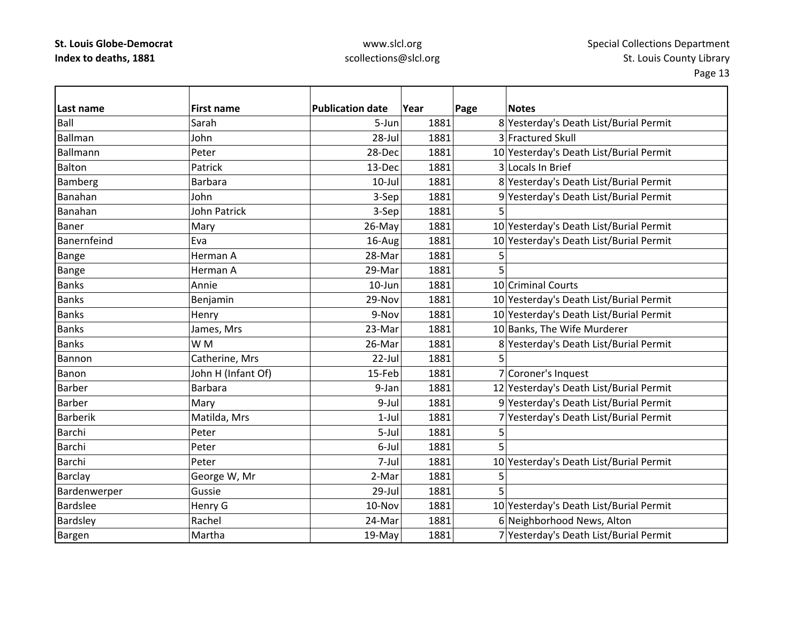# www.slcl.org scollections@slcl.org

| Last name       | <b>First name</b>  | <b>Publication date</b> | Year | Page | <b>Notes</b>                            |
|-----------------|--------------------|-------------------------|------|------|-----------------------------------------|
| Ball            | Sarah              | 5-Jun                   | 1881 |      | 8 Yesterday's Death List/Burial Permit  |
| Ballman         | John               | 28-Jul                  | 1881 |      | 3 Fractured Skull                       |
| Ballmann        | Peter              | 28-Dec                  | 1881 |      | 10 Yesterday's Death List/Burial Permit |
| <b>Balton</b>   | Patrick            | 13-Dec                  | 1881 |      | 3 Locals In Brief                       |
| <b>Bamberg</b>  | <b>Barbara</b>     | $10$ -Jul               | 1881 |      | 8 Yesterday's Death List/Burial Permit  |
| Banahan         | John               | 3-Sep                   | 1881 |      | 9 Yesterday's Death List/Burial Permit  |
| Banahan         | John Patrick       | 3-Sep                   | 1881 | 5    |                                         |
| Baner           | Mary               | 26-May                  | 1881 |      | 10 Yesterday's Death List/Burial Permit |
| Banernfeind     | Eva                | 16-Aug                  | 1881 |      | 10 Yesterday's Death List/Burial Permit |
| Bange           | Herman A           | 28-Mar                  | 1881 | 5    |                                         |
| Bange           | Herman A           | 29-Mar                  | 1881 | 5    |                                         |
| <b>Banks</b>    | Annie              | 10-Jun                  | 1881 |      | 10 Criminal Courts                      |
| <b>Banks</b>    | Benjamin           | 29-Nov                  | 1881 |      | 10 Yesterday's Death List/Burial Permit |
| <b>Banks</b>    | Henry              | 9-Nov                   | 1881 |      | 10 Yesterday's Death List/Burial Permit |
| <b>Banks</b>    | James, Mrs         | 23-Mar                  | 1881 |      | 10 Banks, The Wife Murderer             |
| <b>Banks</b>    | W M                | 26-Mar                  | 1881 |      | 8 Yesterday's Death List/Burial Permit  |
| Bannon          | Catherine, Mrs     | 22-Jul                  | 1881 | 5    |                                         |
| Banon           | John H (Infant Of) | 15-Feb                  | 1881 |      | 7 Coroner's Inquest                     |
| Barber          | <b>Barbara</b>     | 9-Jan                   | 1881 |      | 12 Yesterday's Death List/Burial Permit |
| <b>Barber</b>   | Mary               | 9-Jul                   | 1881 |      | 9 Yesterday's Death List/Burial Permit  |
| <b>Barberik</b> | Matilda, Mrs       | $1-Jul$                 | 1881 |      | 7 Yesterday's Death List/Burial Permit  |
| Barchi          | Peter              | 5-Jul                   | 1881 | 5    |                                         |
| <b>Barchi</b>   | Peter              | 6-Jul                   | 1881 | 5    |                                         |
| Barchi          | Peter              | 7-Jul                   | 1881 |      | 10 Yesterday's Death List/Burial Permit |
| <b>Barclay</b>  | George W, Mr       | 2-Mar                   | 1881 | 5    |                                         |
| Bardenwerper    | Gussie             | 29-Jul                  | 1881 | 5    |                                         |
| <b>Bardslee</b> | Henry G            | 10-Nov                  | 1881 |      | 10 Yesterday's Death List/Burial Permit |
| <b>Bardsley</b> | Rachel             | 24-Mar                  | 1881 |      | 6 Neighborhood News, Alton              |
| Bargen          | Martha             | 19-May                  | 1881 |      | 7 Yesterday's Death List/Burial Permit  |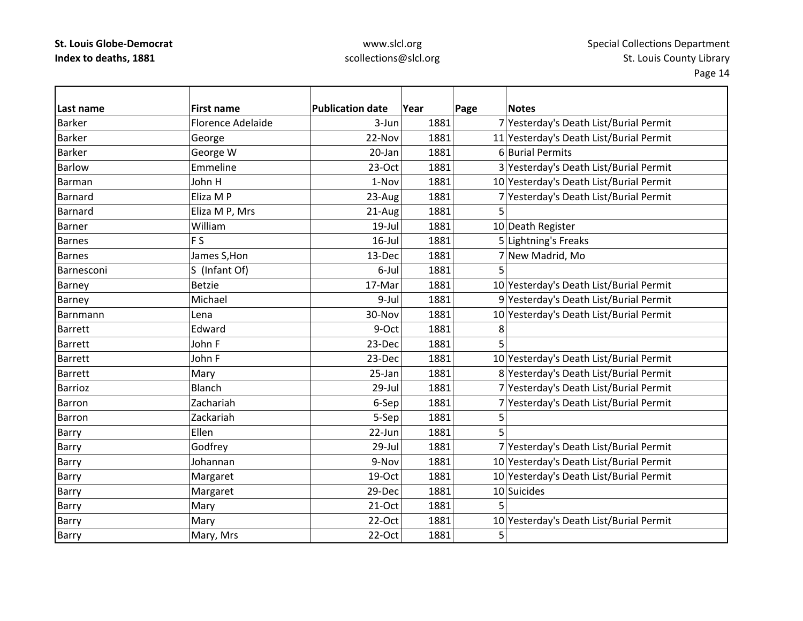# www.slcl.org scollections@slcl.org

| Last name       | <b>First name</b>        | <b>Publication date</b> | Year | Page | <b>Notes</b>                            |
|-----------------|--------------------------|-------------------------|------|------|-----------------------------------------|
| <b>Barker</b>   | <b>Florence Adelaide</b> | 3-Jun                   | 1881 |      | 7 Yesterday's Death List/Burial Permit  |
| <b>Barker</b>   | George                   | 22-Nov                  | 1881 |      | 11 Yesterday's Death List/Burial Permit |
| <b>Barker</b>   | George W                 | 20-Jan                  | 1881 |      | 6 Burial Permits                        |
| <b>Barlow</b>   | Emmeline                 | $23-Oct$                | 1881 |      | 3 Yesterday's Death List/Burial Permit  |
| Barman          | John H                   | 1-Nov                   | 1881 |      | 10 Yesterday's Death List/Burial Permit |
| Barnard         | Eliza M P                | 23-Aug                  | 1881 |      | 7 Yesterday's Death List/Burial Permit  |
| Barnard         | Eliza M P, Mrs           | 21-Aug                  | 1881 | 5    |                                         |
| Barner          | William                  | $19$ -Jul               | 1881 |      | 10 Death Register                       |
| <b>Barnes</b>   | F <sub>S</sub>           | $16$ -Jul               | 1881 |      | 5 Lightning's Freaks                    |
| <b>Barnes</b>   | James S, Hon             | 13-Dec                  | 1881 |      | 7 New Madrid, Mo                        |
| Barnesconi      | S (Infant Of)            | 6-Jul                   | 1881 | 5    |                                         |
| Barney          | <b>Betzie</b>            | 17-Mar                  | 1881 |      | 10 Yesterday's Death List/Burial Permit |
| Barney          | Michael                  | 9-Jul                   | 1881 |      | 9 Yesterday's Death List/Burial Permit  |
| <b>Barnmann</b> | Lena                     | 30-Nov                  | 1881 |      | 10 Yesterday's Death List/Burial Permit |
| <b>Barrett</b>  | Edward                   | 9-Oct                   | 1881 | 8    |                                         |
| <b>Barrett</b>  | John F                   | 23-Dec                  | 1881 | 5    |                                         |
| <b>Barrett</b>  | John F                   | 23-Dec                  | 1881 |      | 10 Yesterday's Death List/Burial Permit |
| <b>Barrett</b>  | Mary                     | 25-Jan                  | 1881 |      | 8 Yesterday's Death List/Burial Permit  |
| Barrioz         | Blanch                   | 29-Jul                  | 1881 |      | 7 Yesterday's Death List/Burial Permit  |
| <b>Barron</b>   | Zachariah                | 6-Sep                   | 1881 |      | 7 Yesterday's Death List/Burial Permit  |
| <b>Barron</b>   | Zackariah                | 5-Sep                   | 1881 | 5    |                                         |
| Barry           | Ellen                    | 22-Jun                  | 1881 | 5    |                                         |
| Barry           | Godfrey                  | 29-Jul                  | 1881 |      | 7 Yesterday's Death List/Burial Permit  |
| Barry           | Johannan                 | 9-Nov                   | 1881 |      | 10 Yesterday's Death List/Burial Permit |
| Barry           | Margaret                 | 19-Oct                  | 1881 |      | 10 Yesterday's Death List/Burial Permit |
| Barry           | Margaret                 | 29-Dec                  | 1881 |      | 10 Suicides                             |
| Barry           | Mary                     | 21-Oct                  | 1881 | 5    |                                         |
| Barry           | Mary                     | 22-Oct                  | 1881 |      | 10 Yesterday's Death List/Burial Permit |
| Barry           | Mary, Mrs                | 22-Oct                  | 1881 | 5    |                                         |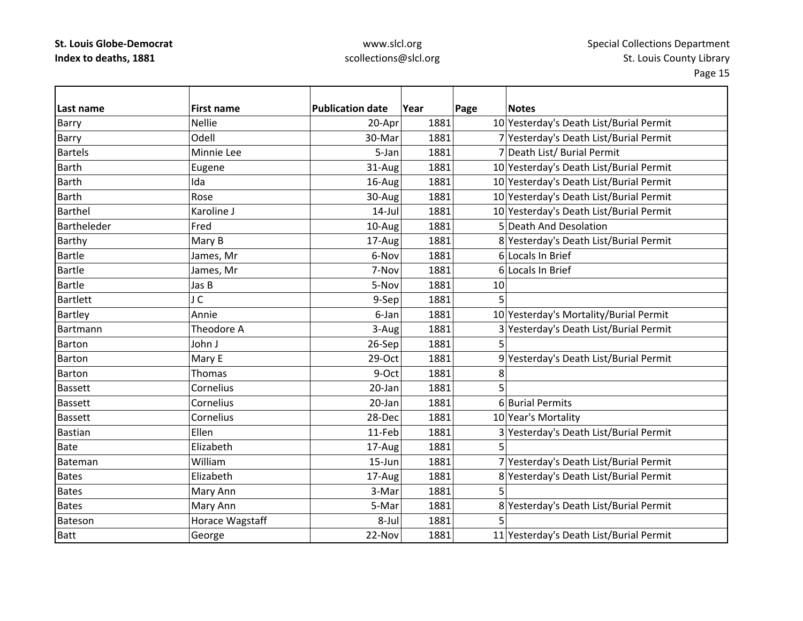# www.slcl.org scollections@slcl.org

| Last name       | <b>First name</b> | <b>Publication date</b> | Year | Page | <b>Notes</b>                            |
|-----------------|-------------------|-------------------------|------|------|-----------------------------------------|
| Barry           | <b>Nellie</b>     | 20-Apr                  | 1881 |      | 10 Yesterday's Death List/Burial Permit |
| Barry           | Odell             | 30-Mar                  | 1881 |      | 7 Yesterday's Death List/Burial Permit  |
| <b>Bartels</b>  | Minnie Lee        | 5-Jan                   | 1881 |      | 7 Death List/ Burial Permit             |
| <b>Barth</b>    | Eugene            | 31-Aug                  | 1881 |      | 10 Yesterday's Death List/Burial Permit |
| <b>Barth</b>    | Ida               | 16-Aug                  | 1881 |      | 10 Yesterday's Death List/Burial Permit |
| <b>Barth</b>    | Rose              | 30-Aug                  | 1881 |      | 10 Yesterday's Death List/Burial Permit |
| <b>Barthel</b>  | Karoline J        | $14$ -Jul               | 1881 |      | 10 Yesterday's Death List/Burial Permit |
| Bartheleder     | Fred              | 10-Aug                  | 1881 |      | 5 Death And Desolation                  |
| <b>Barthy</b>   | Mary B            | 17-Aug                  | 1881 |      | 8 Yesterday's Death List/Burial Permit  |
| <b>Bartle</b>   | James, Mr         | 6-Nov                   | 1881 |      | 6 Locals In Brief                       |
| <b>Bartle</b>   | James, Mr         | 7-Nov                   | 1881 |      | 6 Locals In Brief                       |
| <b>Bartle</b>   | Jas B             | 5-Nov                   | 1881 | 10   |                                         |
| <b>Bartlett</b> | J C               | 9-Sep                   | 1881 | 5    |                                         |
| <b>Bartley</b>  | Annie             | 6-Jan                   | 1881 |      | 10 Yesterday's Mortality/Burial Permit  |
| Bartmann        | Theodore A        | 3-Aug                   | 1881 |      | 3 Yesterday's Death List/Burial Permit  |
| Barton          | John J            | 26-Sep                  | 1881 | 5    |                                         |
| Barton          | Mary E            | 29-Oct                  | 1881 |      | 9 Yesterday's Death List/Burial Permit  |
| <b>Barton</b>   | Thomas            | 9-Oct                   | 1881 | 8    |                                         |
| <b>Bassett</b>  | Cornelius         | 20-Jan                  | 1881 | 5    |                                         |
| <b>Bassett</b>  | Cornelius         | 20-Jan                  | 1881 |      | 6 Burial Permits                        |
| <b>Bassett</b>  | Cornelius         | 28-Dec                  | 1881 |      | 10 Year's Mortality                     |
| <b>Bastian</b>  | Ellen             | 11-Feb                  | 1881 |      | 3 Yesterday's Death List/Burial Permit  |
| <b>Bate</b>     | Elizabeth         | 17-Aug                  | 1881 | 5    |                                         |
| Bateman         | William           | 15-Jun                  | 1881 |      | 7 Yesterday's Death List/Burial Permit  |
| <b>Bates</b>    | Elizabeth         | 17-Aug                  | 1881 |      | 8 Yesterday's Death List/Burial Permit  |
| <b>Bates</b>    | Mary Ann          | 3-Mar                   | 1881 | 5    |                                         |
| <b>Bates</b>    | Mary Ann          | 5-Mar                   | 1881 |      | 8 Yesterday's Death List/Burial Permit  |
| <b>Bateson</b>  | Horace Wagstaff   | 8-Jul                   | 1881 |      |                                         |
| <b>Batt</b>     | George            | 22-Nov                  | 1881 |      | 11 Yesterday's Death List/Burial Permit |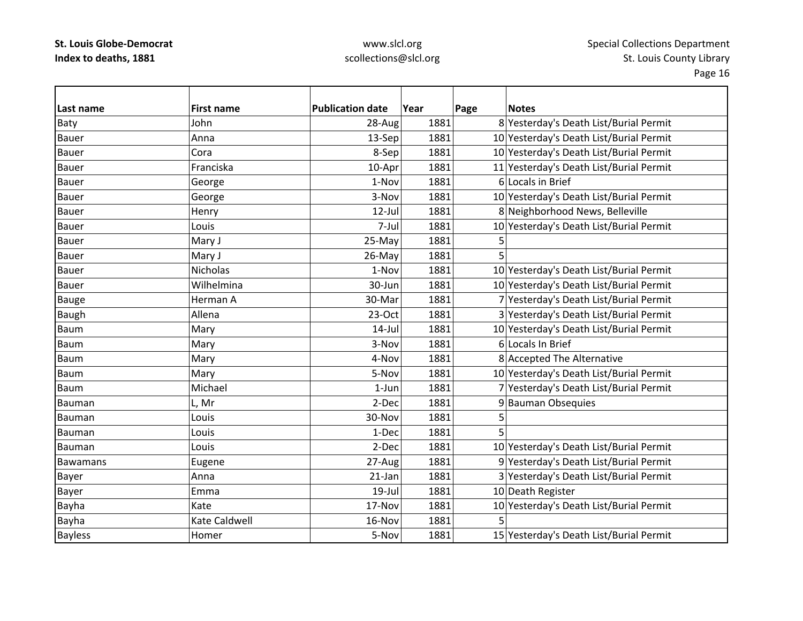# www.slcl.org scollections@slcl.org

| Last name       | <b>First name</b> | <b>Publication date</b> | Year | Page | <b>Notes</b>                            |
|-----------------|-------------------|-------------------------|------|------|-----------------------------------------|
| Baty            | John              | 28-Aug                  | 1881 |      | 8 Yesterday's Death List/Burial Permit  |
| Bauer           | Anna              | 13-Sep                  | 1881 |      | 10 Yesterday's Death List/Burial Permit |
| <b>Bauer</b>    | Cora              | 8-Sep                   | 1881 |      | 10 Yesterday's Death List/Burial Permit |
| <b>Bauer</b>    | Franciska         | 10-Apr                  | 1881 |      | 11 Yesterday's Death List/Burial Permit |
| <b>Bauer</b>    | George            | 1-Nov                   | 1881 |      | 6 Locals in Brief                       |
| <b>Bauer</b>    | George            | 3-Nov                   | 1881 |      | 10 Yesterday's Death List/Burial Permit |
| <b>Bauer</b>    | Henry             | $12$ -Jul               | 1881 |      | 8 Neighborhood News, Belleville         |
| <b>Bauer</b>    | Louis             | 7-Jul                   | 1881 |      | 10 Yesterday's Death List/Burial Permit |
| <b>Bauer</b>    | Mary J            | 25-May                  | 1881 | 5    |                                         |
| <b>Bauer</b>    | Mary J            | 26-May                  | 1881 | 5    |                                         |
| <b>Bauer</b>    | Nicholas          | 1-Nov                   | 1881 |      | 10 Yesterday's Death List/Burial Permit |
| <b>Bauer</b>    | Wilhelmina        | 30-Jun                  | 1881 |      | 10 Yesterday's Death List/Burial Permit |
| <b>Bauge</b>    | Herman A          | 30-Mar                  | 1881 |      | 7 Yesterday's Death List/Burial Permit  |
| <b>Baugh</b>    | Allena            | 23-Oct                  | 1881 |      | 3 Yesterday's Death List/Burial Permit  |
| <b>Baum</b>     | Mary              | $14$ -Jul               | 1881 |      | 10 Yesterday's Death List/Burial Permit |
| Baum            | Mary              | 3-Nov                   | 1881 |      | 6 Locals In Brief                       |
| <b>Baum</b>     | Mary              | 4-Nov                   | 1881 |      | 8 Accepted The Alternative              |
| <b>Baum</b>     | Mary              | 5-Nov                   | 1881 |      | 10 Yesterday's Death List/Burial Permit |
| Baum            | Michael           | $1-Jun$                 | 1881 |      | 7 Yesterday's Death List/Burial Permit  |
| Bauman          | L, Mr             | 2-Dec                   | 1881 |      | 9 Bauman Obsequies                      |
| Bauman          | Louis             | 30-Nov                  | 1881 | 5    |                                         |
| Bauman          | Louis             | 1-Dec                   | 1881 | 5    |                                         |
| Bauman          | Louis             | 2-Dec                   | 1881 |      | 10 Yesterday's Death List/Burial Permit |
| <b>Bawamans</b> | Eugene            | 27-Aug                  | 1881 |      | 9 Yesterday's Death List/Burial Permit  |
| Bayer           | Anna              | 21-Jan                  | 1881 |      | 3 Yesterday's Death List/Burial Permit  |
| <b>Bayer</b>    | Emma              | $19$ -Jul               | 1881 |      | 10 Death Register                       |
| Bayha           | Kate              | 17-Nov                  | 1881 |      | 10 Yesterday's Death List/Burial Permit |
| Bayha           | Kate Caldwell     | 16-Nov                  | 1881 | 5    |                                         |
| <b>Bayless</b>  | Homer             | 5-Nov                   | 1881 |      | 15 Yesterday's Death List/Burial Permit |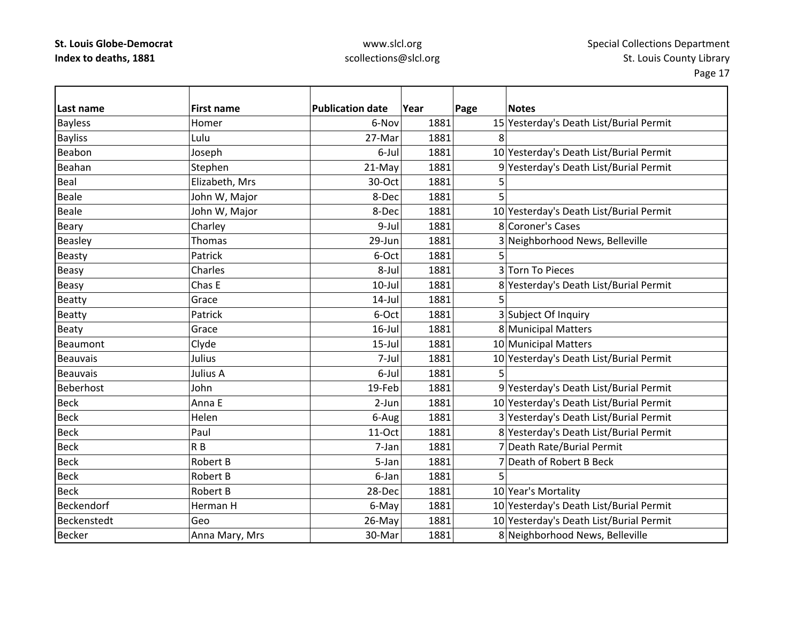### www.slcl.org scollections@slcl.org

| Last name       | <b>First name</b> | <b>Publication date</b> | Year | Page | <b>Notes</b>                            |
|-----------------|-------------------|-------------------------|------|------|-----------------------------------------|
| <b>Bayless</b>  | Homer             | 6-Nov                   | 1881 |      | 15 Yesterday's Death List/Burial Permit |
| <b>Bayliss</b>  | Lulu              | 27-Mar                  | 1881 | 8    |                                         |
| Beabon          | Joseph            | 6-Jul                   | 1881 |      | 10 Yesterday's Death List/Burial Permit |
| Beahan          | Stephen           | 21-May                  | 1881 |      | 9 Yesterday's Death List/Burial Permit  |
| Beal            | Elizabeth, Mrs    | 30-Oct                  | 1881 | 5    |                                         |
| <b>Beale</b>    | John W, Major     | 8-Dec                   | 1881 | 5    |                                         |
| <b>Beale</b>    | John W, Major     | 8-Dec                   | 1881 |      | 10 Yesterday's Death List/Burial Permit |
| <b>Beary</b>    | Charley           | 9-Jul                   | 1881 |      | 8 Coroner's Cases                       |
| Beasley         | <b>Thomas</b>     | 29-Jun                  | 1881 |      | 3 Neighborhood News, Belleville         |
| <b>Beasty</b>   | Patrick           | 6-Oct                   | 1881 |      |                                         |
| <b>Beasy</b>    | Charles           | 8-Jul                   | 1881 |      | 3 Torn To Pieces                        |
| Beasy           | Chas E            | $10$ -Jul               | 1881 |      | 8 Yesterday's Death List/Burial Permit  |
| Beatty          | Grace             | $14$ -Jul               | 1881 |      |                                         |
| <b>Beatty</b>   | Patrick           | 6-Oct                   | 1881 |      | 3 Subject Of Inquiry                    |
| <b>Beaty</b>    | Grace             | $16$ -Jul               | 1881 |      | 8 Municipal Matters                     |
| Beaumont        | Clyde             | $15$ -Jul               | 1881 |      | 10 Municipal Matters                    |
| <b>Beauvais</b> | Julius            | 7-Jul                   | 1881 |      | 10 Yesterday's Death List/Burial Permit |
| <b>Beauvais</b> | Julius A          | 6-Jul                   | 1881 |      |                                         |
| Beberhost       | John              | 19-Feb                  | 1881 |      | 9 Yesterday's Death List/Burial Permit  |
| <b>Beck</b>     | Anna E            | $2-Jun$                 | 1881 |      | 10 Yesterday's Death List/Burial Permit |
| <b>Beck</b>     | Helen             | 6-Aug                   | 1881 |      | 3 Yesterday's Death List/Burial Permit  |
| <b>Beck</b>     | Paul              | 11-Oct                  | 1881 |      | 8 Yesterday's Death List/Burial Permit  |
| <b>Beck</b>     | R <sub>B</sub>    | 7-Jan                   | 1881 |      | 7 Death Rate/Burial Permit              |
| <b>Beck</b>     | <b>Robert B</b>   | 5-Jan                   | 1881 |      | 7 Death of Robert B Beck                |
| <b>Beck</b>     | Robert B          | 6-Jan                   | 1881 | 5    |                                         |
| <b>Beck</b>     | Robert B          | 28-Dec                  | 1881 |      | 10 Year's Mortality                     |
| Beckendorf      | Herman H          | 6-May                   | 1881 |      | 10 Yesterday's Death List/Burial Permit |
| Beckenstedt     | Geo               | 26-May                  | 1881 |      | 10 Yesterday's Death List/Burial Permit |
| <b>Becker</b>   | Anna Mary, Mrs    | 30-Mar                  | 1881 |      | 8 Neighborhood News, Belleville         |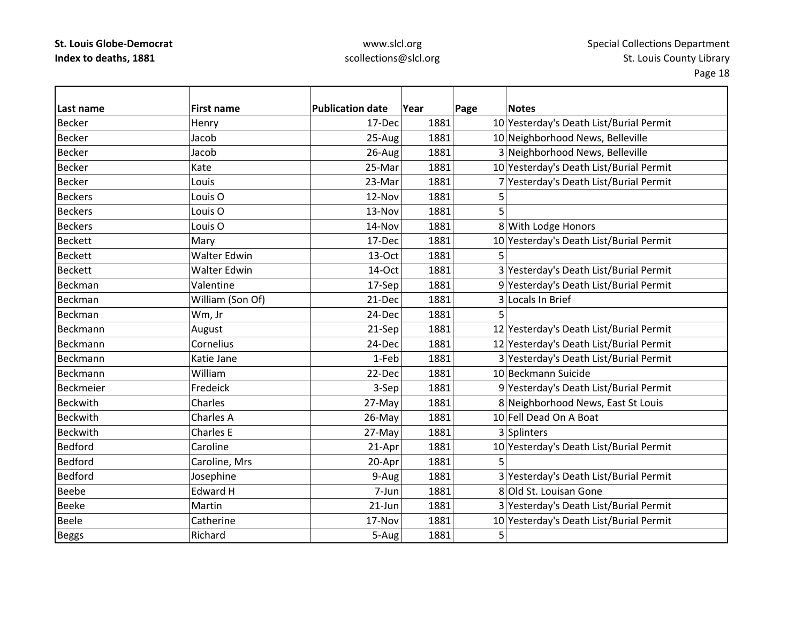# www.slcl.org scollections@slcl.org

| Last name       | <b>First name</b>   | <b>Publication date</b> | Year | Page | <b>Notes</b>                            |
|-----------------|---------------------|-------------------------|------|------|-----------------------------------------|
| <b>Becker</b>   | Henry               | 17-Dec                  | 1881 |      | 10 Yesterday's Death List/Burial Permit |
| <b>Becker</b>   | Jacob               | 25-Aug                  | 1881 |      | 10 Neighborhood News, Belleville        |
| <b>Becker</b>   | Jacob               | 26-Aug                  | 1881 |      | 3 Neighborhood News, Belleville         |
| <b>Becker</b>   | Kate                | 25-Mar                  | 1881 |      | 10 Yesterday's Death List/Burial Permit |
| <b>Becker</b>   | Louis               | 23-Mar                  | 1881 |      | 7 Yesterday's Death List/Burial Permit  |
| <b>Beckers</b>  | Louis <sub>O</sub>  | 12-Nov                  | 1881 | 5    |                                         |
| <b>Beckers</b>  | Louis <sub>O</sub>  | 13-Nov                  | 1881 | 5    |                                         |
| <b>Beckers</b>  | Louis <sub>O</sub>  | 14-Nov                  | 1881 |      | 8 With Lodge Honors                     |
| <b>Beckett</b>  | Mary                | 17-Dec                  | 1881 |      | 10 Yesterday's Death List/Burial Permit |
| <b>Beckett</b>  | <b>Walter Edwin</b> | 13-Oct                  | 1881 |      |                                         |
| <b>Beckett</b>  | <b>Walter Edwin</b> | 14-Oct                  | 1881 |      | 3 Yesterday's Death List/Burial Permit  |
| Beckman         | Valentine           | 17-Sep                  | 1881 |      | 9 Yesterday's Death List/Burial Permit  |
| Beckman         | William (Son Of)    | 21-Dec                  | 1881 |      | 3 Locals In Brief                       |
| Beckman         | Wm, Jr              | 24-Dec                  | 1881 | 5    |                                         |
| Beckmann        | August              | 21-Sep                  | 1881 |      | 12 Yesterday's Death List/Burial Permit |
| Beckmann        | Cornelius           | 24-Dec                  | 1881 |      | 12 Yesterday's Death List/Burial Permit |
| Beckmann        | Katie Jane          | 1-Feb                   | 1881 |      | 3 Yesterday's Death List/Burial Permit  |
| Beckmann        | William             | 22-Dec                  | 1881 |      | 10 Beckmann Suicide                     |
| Beckmeier       | Fredeick            | 3-Sep                   | 1881 |      | 9 Yesterday's Death List/Burial Permit  |
| <b>Beckwith</b> | Charles             | 27-May                  | 1881 |      | 8 Neighborhood News, East St Louis      |
| <b>Beckwith</b> | Charles A           | 26-May                  | 1881 |      | 10 Fell Dead On A Boat                  |
| <b>Beckwith</b> | <b>Charles E</b>    | 27-May                  | 1881 |      | 3 Splinters                             |
| <b>Bedford</b>  | Caroline            | 21-Apr                  | 1881 |      | 10 Yesterday's Death List/Burial Permit |
| <b>Bedford</b>  | Caroline, Mrs       | 20-Apr                  | 1881 | 5.   |                                         |
| <b>Bedford</b>  | Josephine           | 9-Aug                   | 1881 |      | 3 Yesterday's Death List/Burial Permit  |
| <b>Beebe</b>    | Edward H            | 7-Jun                   | 1881 |      | 8 Old St. Louisan Gone                  |
| <b>Beeke</b>    | Martin              | $21$ -Jun               | 1881 |      | 3 Yesterday's Death List/Burial Permit  |
| <b>Beele</b>    | Catherine           | 17-Nov                  | 1881 |      | 10 Yesterday's Death List/Burial Permit |
| <b>Beggs</b>    | Richard             | 5-Aug                   | 1881 | 5    |                                         |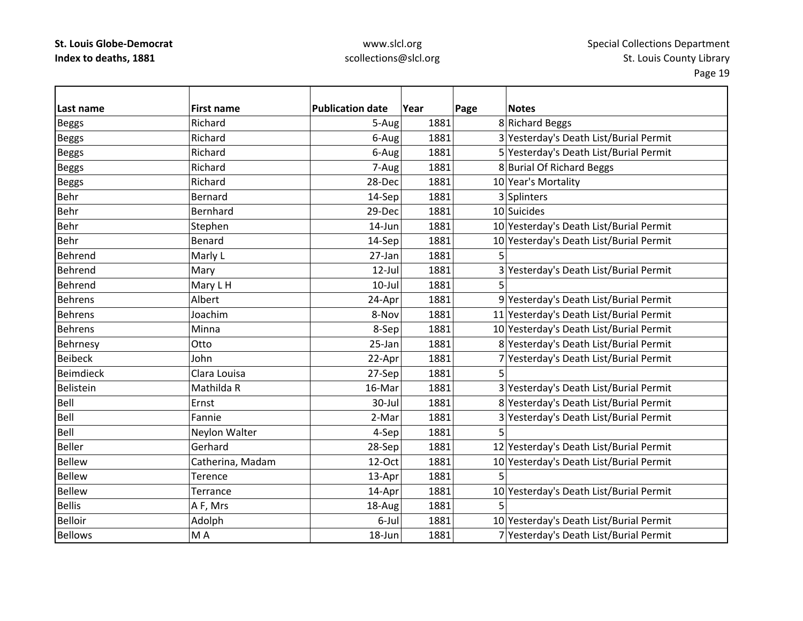# www.slcl.org scollections@slcl.org

| Last name        | <b>First name</b> | <b>Publication date</b> | Year | Page | <b>Notes</b>                            |
|------------------|-------------------|-------------------------|------|------|-----------------------------------------|
| <b>Beggs</b>     | Richard           | 5-Aug                   | 1881 |      | 8 Richard Beggs                         |
| <b>Beggs</b>     | Richard           | 6-Aug                   | 1881 |      | 3 Yesterday's Death List/Burial Permit  |
| <b>Beggs</b>     | Richard           | 6-Aug                   | 1881 |      | 5 Yesterday's Death List/Burial Permit  |
| <b>Beggs</b>     | Richard           | 7-Aug                   | 1881 |      | 8 Burial Of Richard Beggs               |
| <b>Beggs</b>     | Richard           | 28-Dec                  | 1881 |      | 10 Year's Mortality                     |
| Behr             | <b>Bernard</b>    | 14-Sep                  | 1881 |      | 3 Splinters                             |
| Behr             | Bernhard          | 29-Dec                  | 1881 |      | 10 Suicides                             |
| Behr             | Stephen           | 14-Jun                  | 1881 |      | 10 Yesterday's Death List/Burial Permit |
| <b>Behr</b>      | Benard            | 14-Sep                  | 1881 |      | 10 Yesterday's Death List/Burial Permit |
| Behrend          | Marly L           | 27-Jan                  | 1881 | 5    |                                         |
| Behrend          | Mary              | $12$ -Jul               | 1881 |      | 3 Yesterday's Death List/Burial Permit  |
| Behrend          | Mary L H          | $10$ -Jul               | 1881 | 5    |                                         |
| <b>Behrens</b>   | Albert            | 24-Apr                  | 1881 |      | 9 Yesterday's Death List/Burial Permit  |
| <b>Behrens</b>   | Joachim           | 8-Nov                   | 1881 |      | 11 Yesterday's Death List/Burial Permit |
| <b>Behrens</b>   | Minna             | 8-Sep                   | 1881 |      | 10 Yesterday's Death List/Burial Permit |
| Behrnesy         | Otto              | 25-Jan                  | 1881 |      | 8 Yesterday's Death List/Burial Permit  |
| <b>Beibeck</b>   | John              | 22-Apr                  | 1881 |      | 7 Yesterday's Death List/Burial Permit  |
| <b>Beimdieck</b> | Clara Louisa      | 27-Sep                  | 1881 | 5    |                                         |
| Belistein        | Mathilda R        | 16-Mar                  | 1881 |      | 3 Yesterday's Death List/Burial Permit  |
| Bell             | Ernst             | 30-Jul                  | 1881 |      | 8 Yesterday's Death List/Burial Permit  |
| Bell             | Fannie            | 2-Mar                   | 1881 |      | 3 Yesterday's Death List/Burial Permit  |
| Bell             | Neylon Walter     | 4-Sep                   | 1881 | 5    |                                         |
| <b>Beller</b>    | Gerhard           | 28-Sep                  | 1881 |      | 12 Yesterday's Death List/Burial Permit |
| <b>Bellew</b>    | Catherina, Madam  | 12-Oct                  | 1881 |      | 10 Yesterday's Death List/Burial Permit |
| <b>Bellew</b>    | Terence           | 13-Apr                  | 1881 | 5    |                                         |
| <b>Bellew</b>    | Terrance          | 14-Apr                  | 1881 |      | 10 Yesterday's Death List/Burial Permit |
| <b>Bellis</b>    | A F, Mrs          | 18-Aug                  | 1881 | 5    |                                         |
| <b>Belloir</b>   | Adolph            | 6-Jul                   | 1881 |      | 10 Yesterday's Death List/Burial Permit |
| <b>Bellows</b>   | MA                | 18-Jun                  | 1881 |      | 7 Yesterday's Death List/Burial Permit  |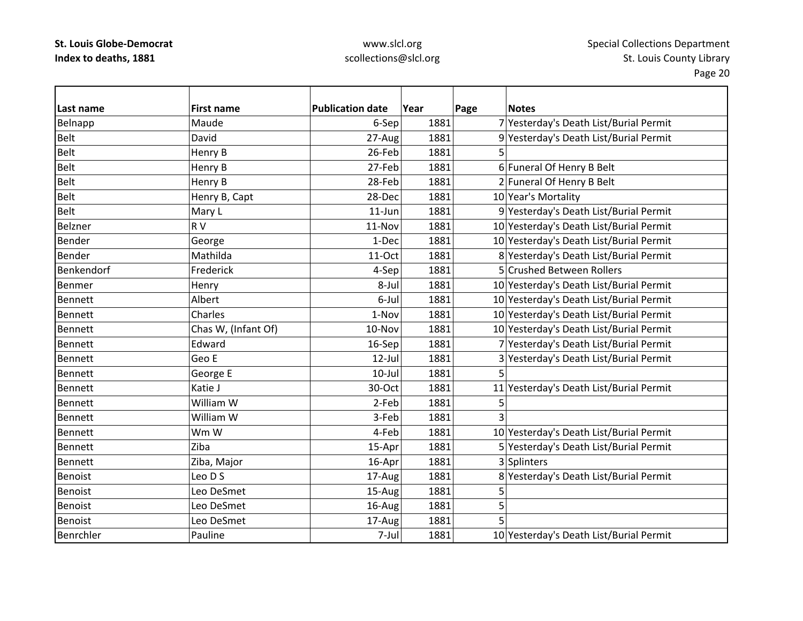# www.slcl.org scollections@slcl.org

| Last name      | <b>First name</b>   | <b>Publication date</b> | Year | Page | <b>Notes</b>                            |
|----------------|---------------------|-------------------------|------|------|-----------------------------------------|
| Belnapp        | Maude               | 6-Sep                   | 1881 |      | 7 Yesterday's Death List/Burial Permit  |
| <b>Belt</b>    | David               | 27-Aug                  | 1881 |      | 9 Yesterday's Death List/Burial Permit  |
| Belt           | Henry B             | 26-Feb                  | 1881 | 5    |                                         |
| <b>Belt</b>    | Henry B             | 27-Feb                  | 1881 |      | 6 Funeral Of Henry B Belt               |
| <b>Belt</b>    | Henry B             | 28-Feb                  | 1881 |      | 2 Funeral Of Henry B Belt               |
| <b>Belt</b>    | Henry B, Capt       | 28-Dec                  | 1881 |      | 10 Year's Mortality                     |
| <b>Belt</b>    | Mary L              | $11$ -Jun               | 1881 |      | 9 Yesterday's Death List/Burial Permit  |
| Belzner        | RV                  | 11-Nov                  | 1881 |      | 10 Yesterday's Death List/Burial Permit |
| <b>Bender</b>  | George              | 1-Dec                   | 1881 |      | 10 Yesterday's Death List/Burial Permit |
| <b>Bender</b>  | Mathilda            | 11-Oct                  | 1881 |      | 8 Yesterday's Death List/Burial Permit  |
| Benkendorf     | Frederick           | 4-Sep                   | 1881 |      | 5 Crushed Between Rollers               |
| Benmer         | Henry               | 8-Jul                   | 1881 |      | 10 Yesterday's Death List/Burial Permit |
| <b>Bennett</b> | Albert              | 6-Jul                   | 1881 |      | 10 Yesterday's Death List/Burial Permit |
| <b>Bennett</b> | Charles             | 1-Nov                   | 1881 |      | 10 Yesterday's Death List/Burial Permit |
| <b>Bennett</b> | Chas W, (Infant Of) | 10-Nov                  | 1881 |      | 10 Yesterday's Death List/Burial Permit |
| <b>Bennett</b> | Edward              | 16-Sep                  | 1881 |      | 7 Yesterday's Death List/Burial Permit  |
| Bennett        | Geo E               | $12$ -Jul               | 1881 |      | 3 Yesterday's Death List/Burial Permit  |
| <b>Bennett</b> | George E            | $10$ -Jul               | 1881 | 5    |                                         |
| Bennett        | Katie J             | 30-Oct                  | 1881 |      | 11 Yesterday's Death List/Burial Permit |
| <b>Bennett</b> | William W           | 2-Feb                   | 1881 | 5    |                                         |
| Bennett        | William W           | 3-Feb                   | 1881 |      |                                         |
| <b>Bennett</b> | Wm W                | 4-Feb                   | 1881 |      | 10 Yesterday's Death List/Burial Permit |
| <b>Bennett</b> | Ziba                | 15-Apr                  | 1881 |      | 5 Yesterday's Death List/Burial Permit  |
| Bennett        | Ziba, Major         | 16-Apr                  | 1881 |      | 3 Splinters                             |
| Benoist        | Leo D S             | 17-Aug                  | 1881 |      | 8 Yesterday's Death List/Burial Permit  |
| <b>Benoist</b> | Leo DeSmet          | 15-Aug                  | 1881 | 5    |                                         |
| Benoist        | Leo DeSmet          | 16-Aug                  | 1881 | 5    |                                         |
| Benoist        | Leo DeSmet          | 17-Aug                  | 1881 | 5    |                                         |
| Benrchler      | Pauline             | 7-Jul                   | 1881 |      | 10 Yesterday's Death List/Burial Permit |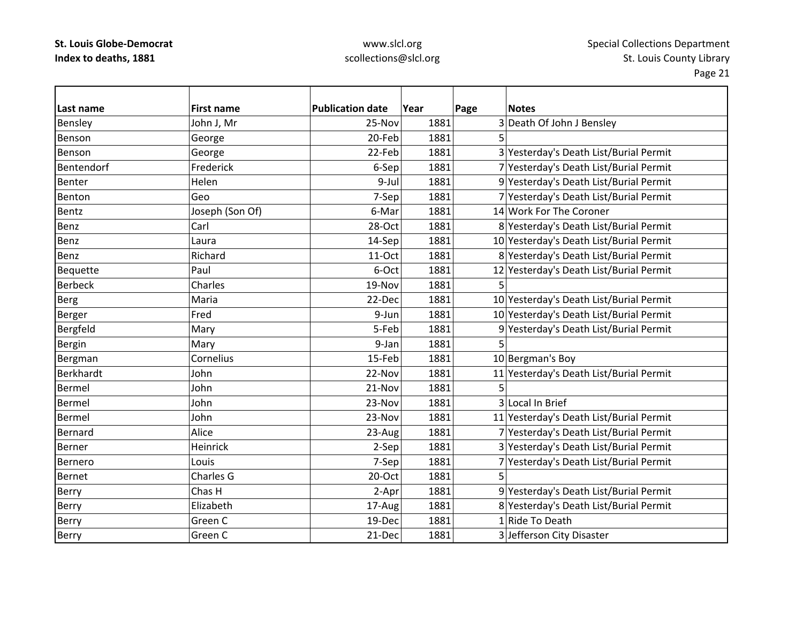### www.slcl.org scollections@slcl.org

| Last name        | <b>First name</b> | <b>Publication date</b> | Year | Page | <b>Notes</b>                            |
|------------------|-------------------|-------------------------|------|------|-----------------------------------------|
| Bensley          | John J, Mr        | 25-Nov                  | 1881 |      | 3 Death Of John J Bensley               |
| Benson           | George            | 20-Feb                  | 1881 |      |                                         |
| Benson           | George            | 22-Feb                  | 1881 |      | 3 Yesterday's Death List/Burial Permit  |
| Bentendorf       | Frederick         | 6-Sep                   | 1881 |      | 7 Yesterday's Death List/Burial Permit  |
| <b>Benter</b>    | Helen             | 9-Jul                   | 1881 |      | 9 Yesterday's Death List/Burial Permit  |
| Benton           | Geo               | 7-Sep                   | 1881 |      | 7 Yesterday's Death List/Burial Permit  |
| Bentz            | Joseph (Son Of)   | 6-Mar                   | 1881 |      | 14 Work For The Coroner                 |
| Benz             | Carl              | 28-Oct                  | 1881 |      | 8 Yesterday's Death List/Burial Permit  |
| Benz             | Laura             | 14-Sep                  | 1881 |      | 10 Yesterday's Death List/Burial Permit |
| Benz             | Richard           | 11-Oct                  | 1881 |      | 8 Yesterday's Death List/Burial Permit  |
| <b>Bequette</b>  | Paul              | 6-Oct                   | 1881 |      | 12 Yesterday's Death List/Burial Permit |
| <b>Berbeck</b>   | Charles           | 19-Nov                  | 1881 | 5    |                                         |
| <b>Berg</b>      | Maria             | 22-Dec                  | 1881 |      | 10 Yesterday's Death List/Burial Permit |
| Berger           | Fred              | 9-Jun                   | 1881 |      | 10 Yesterday's Death List/Burial Permit |
| Bergfeld         | Mary              | 5-Feb                   | 1881 |      | 9 Yesterday's Death List/Burial Permit  |
| Bergin           | Mary              | 9-Jan                   | 1881 | 5    |                                         |
| Bergman          | Cornelius         | 15-Feb                  | 1881 |      | 10 Bergman's Boy                        |
| <b>Berkhardt</b> | John              | 22-Nov                  | 1881 |      | 11 Yesterday's Death List/Burial Permit |
| <b>Bermel</b>    | John              | 21-Nov                  | 1881 | 5    |                                         |
| <b>Bermel</b>    | John              | 23-Nov                  | 1881 |      | 3 Local In Brief                        |
| <b>Bermel</b>    | John              | 23-Nov                  | 1881 |      | 11 Yesterday's Death List/Burial Permit |
| Bernard          | Alice             | 23-Aug                  | 1881 |      | 7 Yesterday's Death List/Burial Permit  |
| Berner           | Heinrick          | 2-Sep                   | 1881 |      | 3 Yesterday's Death List/Burial Permit  |
| Bernero          | Louis             | 7-Sep                   | 1881 |      | 7 Yesterday's Death List/Burial Permit  |
| <b>Bernet</b>    | Charles G         | 20-Oct                  | 1881 | 5    |                                         |
| Berry            | Chas H            | 2-Apr                   | 1881 |      | 9 Yesterday's Death List/Burial Permit  |
| Berry            | Elizabeth         | 17-Aug                  | 1881 |      | 8 Yesterday's Death List/Burial Permit  |
| Berry            | Green C           | 19-Dec                  | 1881 |      | 1 Ride To Death                         |
| <b>Berry</b>     | Green C           | 21-Dec                  | 1881 |      | 3 Jefferson City Disaster               |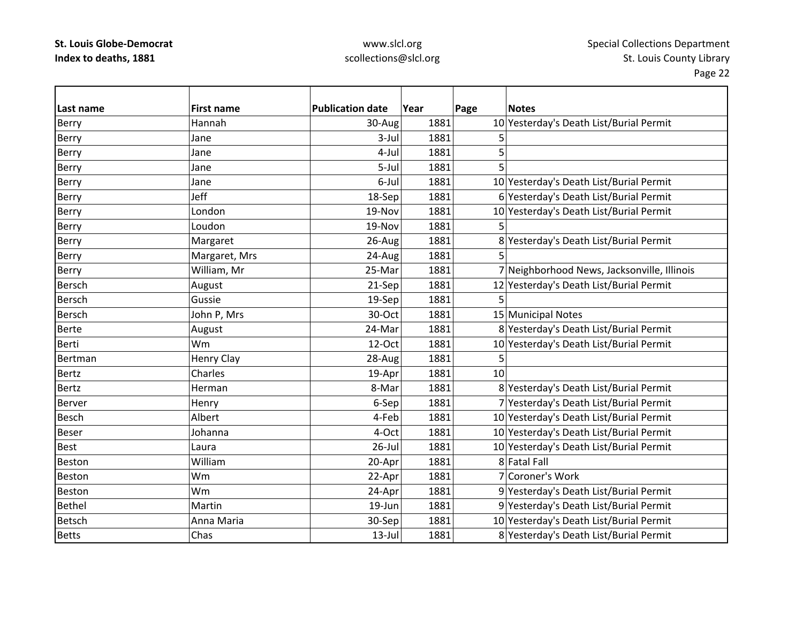### www.slcl.org scollections@slcl.org

| Last name     | <b>First name</b> | <b>Publication date</b> | Year | Page<br><b>Notes</b>                        |
|---------------|-------------------|-------------------------|------|---------------------------------------------|
| Berry         | Hannah            | 30-Aug                  | 1881 | 10 Yesterday's Death List/Burial Permit     |
| Berry         | Jane              | $3$ -Jul                | 1881 | 5                                           |
| Berry         | Jane              | 4-Jul                   | 1881 | 5                                           |
| Berry         | Jane              | 5-Jul                   | 1881 | 5                                           |
| Berry         | Jane              | 6-Jul                   | 1881 | 10 Yesterday's Death List/Burial Permit     |
| Berry         | Jeff              | 18-Sep                  | 1881 | 6 Yesterday's Death List/Burial Permit      |
| Berry         | London            | 19-Nov                  | 1881 | 10 Yesterday's Death List/Burial Permit     |
| Berry         | Loudon            | 19-Nov                  | 1881 |                                             |
| Berry         | Margaret          | 26-Aug                  | 1881 | 8 Yesterday's Death List/Burial Permit      |
| Berry         | Margaret, Mrs     | 24-Aug                  | 1881 | 5                                           |
| <b>Berry</b>  | William, Mr       | 25-Mar                  | 1881 | 7 Neighborhood News, Jacksonville, Illinois |
| <b>Bersch</b> | August            | 21-Sep                  | 1881 | 12 Yesterday's Death List/Burial Permit     |
| Bersch        | Gussie            | 19-Sep                  | 1881 | 5                                           |
| <b>Bersch</b> | John P, Mrs       | 30-Oct                  | 1881 | 15 Municipal Notes                          |
| <b>Berte</b>  | August            | 24-Mar                  | 1881 | 8 Yesterday's Death List/Burial Permit      |
| Berti         | Wm                | 12-Oct                  | 1881 | 10 Yesterday's Death List/Burial Permit     |
| Bertman       | Henry Clay        | 28-Aug                  | 1881 | 5                                           |
| <b>Bertz</b>  | Charles           | 19-Apr                  | 1881 | 10                                          |
| <b>Bertz</b>  | Herman            | 8-Mar                   | 1881 | 8 Yesterday's Death List/Burial Permit      |
| <b>Berver</b> | Henry             | 6-Sep                   | 1881 | 7 Yesterday's Death List/Burial Permit      |
| <b>Besch</b>  | Albert            | 4-Feb                   | 1881 | 10 Yesterday's Death List/Burial Permit     |
| <b>Beser</b>  | Johanna           | 4-Oct                   | 1881 | 10 Yesterday's Death List/Burial Permit     |
| Best          | Laura             | $26$ -Jul               | 1881 | 10 Yesterday's Death List/Burial Permit     |
| Beston        | William           | 20-Apr                  | 1881 | 8 Fatal Fall                                |
| <b>Beston</b> | Wm                | 22-Apr                  | 1881 | 7 Coroner's Work                            |
| Beston        | Wm                | 24-Apr                  | 1881 | 9 Yesterday's Death List/Burial Permit      |
| <b>Bethel</b> | Martin            | 19-Jun                  | 1881 | 9 Yesterday's Death List/Burial Permit      |
| <b>Betsch</b> | Anna Maria        | 30-Sep                  | 1881 | 10 Yesterday's Death List/Burial Permit     |
| <b>Betts</b>  | Chas              | $13$ -Jul               | 1881 | 8 Yesterday's Death List/Burial Permit      |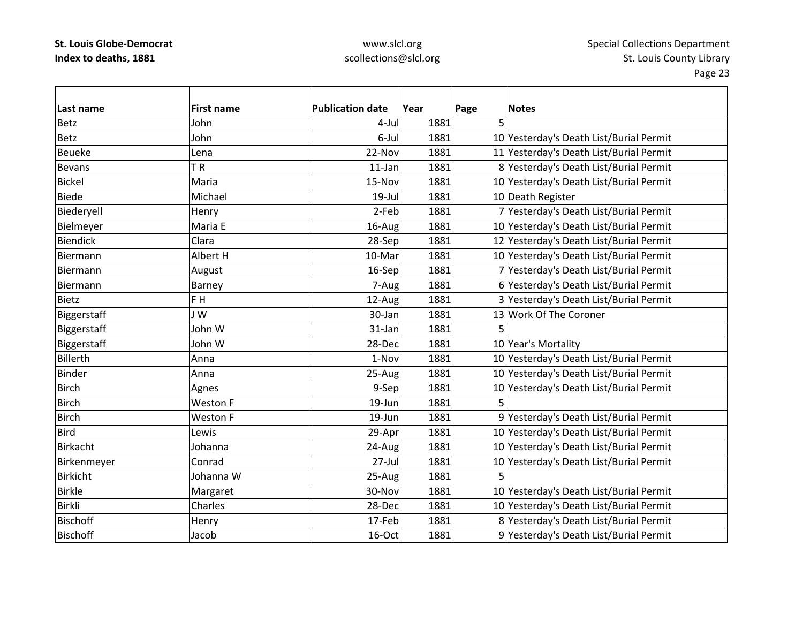### www.slcl.org scollections@slcl.org

| Last name       | <b>First name</b> | <b>Publication date</b> | Year | Page | <b>Notes</b>                            |
|-----------------|-------------------|-------------------------|------|------|-----------------------------------------|
| <b>Betz</b>     | John              | 4-Jul                   | 1881 | 5    |                                         |
| <b>Betz</b>     | John              | 6-Jul                   | 1881 |      | 10 Yesterday's Death List/Burial Permit |
| <b>Beueke</b>   | Lena              | 22-Nov                  | 1881 |      | 11 Yesterday's Death List/Burial Permit |
| <b>Bevans</b>   | TR                | $11$ -Jan               | 1881 |      | 8 Yesterday's Death List/Burial Permit  |
| <b>Bickel</b>   | Maria             | 15-Nov                  | 1881 |      | 10 Yesterday's Death List/Burial Permit |
| <b>Biede</b>    | Michael           | 19-Jul                  | 1881 |      | 10 Death Register                       |
| Biederyell      | Henry             | 2-Feb                   | 1881 |      | 7 Yesterday's Death List/Burial Permit  |
| Bielmeyer       | Maria E           | 16-Aug                  | 1881 |      | 10 Yesterday's Death List/Burial Permit |
| <b>Biendick</b> | Clara             | 28-Sep                  | 1881 |      | 12 Yesterday's Death List/Burial Permit |
| Biermann        | Albert H          | 10-Mar                  | 1881 |      | 10 Yesterday's Death List/Burial Permit |
| Biermann        | August            | 16-Sep                  | 1881 |      | 7 Yesterday's Death List/Burial Permit  |
| Biermann        | Barney            | 7-Aug                   | 1881 |      | 6 Yesterday's Death List/Burial Permit  |
| <b>Bietz</b>    | F H               | 12-Aug                  | 1881 |      | 3 Yesterday's Death List/Burial Permit  |
| Biggerstaff     | JW                | 30-Jan                  | 1881 |      | 13 Work Of The Coroner                  |
| Biggerstaff     | John W            | 31-Jan                  | 1881 | 5    |                                         |
| Biggerstaff     | John W            | 28-Dec                  | 1881 |      | 10 Year's Mortality                     |
| Billerth        | Anna              | 1-Nov                   | 1881 |      | 10 Yesterday's Death List/Burial Permit |
| <b>Binder</b>   | Anna              | 25-Aug                  | 1881 |      | 10 Yesterday's Death List/Burial Permit |
| <b>Birch</b>    | Agnes             | 9-Sep                   | 1881 |      | 10 Yesterday's Death List/Burial Permit |
| <b>Birch</b>    | <b>Weston F</b>   | 19-Jun                  | 1881 | 5    |                                         |
| <b>Birch</b>    | Weston F          | 19-Jun                  | 1881 |      | 9 Yesterday's Death List/Burial Permit  |
| <b>Bird</b>     | Lewis             | 29-Apr                  | 1881 |      | 10 Yesterday's Death List/Burial Permit |
| Birkacht        | Johanna           | 24-Aug                  | 1881 |      | 10 Yesterday's Death List/Burial Permit |
| Birkenmeyer     | Conrad            | $27 -$ Jul              | 1881 |      | 10 Yesterday's Death List/Burial Permit |
| <b>Birkicht</b> | Johanna W         | 25-Aug                  | 1881 | 5    |                                         |
| <b>Birkle</b>   | Margaret          | 30-Nov                  | 1881 |      | 10 Yesterday's Death List/Burial Permit |
| Birkli          | Charles           | 28-Dec                  | 1881 |      | 10 Yesterday's Death List/Burial Permit |
| <b>Bischoff</b> | Henry             | 17-Feb                  | 1881 |      | 8 Yesterday's Death List/Burial Permit  |
| <b>Bischoff</b> | Jacob             | 16-Oct                  | 1881 |      | 9 Yesterday's Death List/Burial Permit  |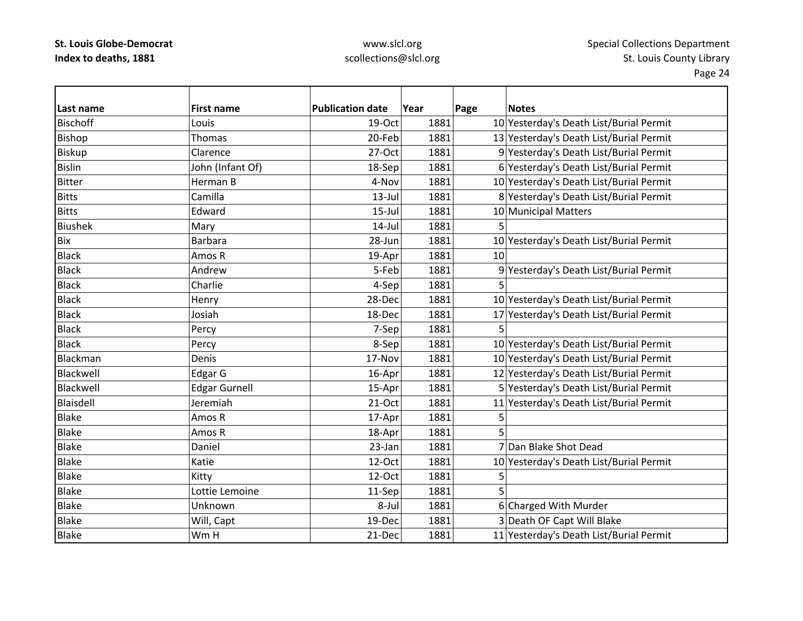# www.slcl.org scollections@slcl.org

| Last name       | <b>First name</b>    | <b>Publication date</b> | Year | Page<br><b>Notes</b>                    |
|-----------------|----------------------|-------------------------|------|-----------------------------------------|
| <b>Bischoff</b> | Louis                | 19-Oct                  | 1881 | 10 Yesterday's Death List/Burial Permit |
| <b>Bishop</b>   | Thomas               | 20-Feb                  | 1881 | 13 Yesterday's Death List/Burial Permit |
| <b>Biskup</b>   | Clarence             | 27-Oct                  | 1881 | 9 Yesterday's Death List/Burial Permit  |
| <b>Bislin</b>   | John (Infant Of)     | 18-Sep                  | 1881 | 6 Yesterday's Death List/Burial Permit  |
| <b>Bitter</b>   | Herman B             | 4-Nov                   | 1881 | 10 Yesterday's Death List/Burial Permit |
| <b>Bitts</b>    | Camilla              | $13$ -Jul               | 1881 | 8 Yesterday's Death List/Burial Permit  |
| <b>Bitts</b>    | Edward               | $15$ -Jul               | 1881 | 10 Municipal Matters                    |
| <b>Biushek</b>  | Mary                 | $14$ -Jul               | 1881 |                                         |
| <b>Bix</b>      | <b>Barbara</b>       | 28-Jun                  | 1881 | 10 Yesterday's Death List/Burial Permit |
| <b>Black</b>    | Amos R               | 19-Apr                  | 1881 | 10                                      |
| <b>Black</b>    | Andrew               | 5-Feb                   | 1881 | 9 Yesterday's Death List/Burial Permit  |
| <b>Black</b>    | Charlie              | 4-Sep                   | 1881 | 5                                       |
| <b>Black</b>    | Henry                | 28-Dec                  | 1881 | 10 Yesterday's Death List/Burial Permit |
| <b>Black</b>    | Josiah               | 18-Dec                  | 1881 | 17 Yesterday's Death List/Burial Permit |
| <b>Black</b>    | Percy                | 7-Sep                   | 1881 | 5                                       |
| <b>Black</b>    | Percy                | 8-Sep                   | 1881 | 10 Yesterday's Death List/Burial Permit |
| Blackman        | Denis                | 17-Nov                  | 1881 | 10 Yesterday's Death List/Burial Permit |
| Blackwell       | Edgar G              | 16-Apr                  | 1881 | 12 Yesterday's Death List/Burial Permit |
| Blackwell       | <b>Edgar Gurnell</b> | 15-Apr                  | 1881 | 5 Yesterday's Death List/Burial Permit  |
| Blaisdell       | Jeremiah             | 21-Oct                  | 1881 | 11 Yesterday's Death List/Burial Permit |
| <b>Blake</b>    | Amos R               | 17-Apr                  | 1881 | 5                                       |
| <b>Blake</b>    | Amos R               | 18-Apr                  | 1881 | 5                                       |
| <b>Blake</b>    | Daniel               | 23-Jan                  | 1881 | 7 Dan Blake Shot Dead                   |
| <b>Blake</b>    | Katie                | 12-Oct                  | 1881 | 10 Yesterday's Death List/Burial Permit |
| <b>Blake</b>    | Kitty                | 12-Oct                  | 1881 | 5                                       |
| <b>Blake</b>    | Lottie Lemoine       | 11-Sep                  | 1881 | 5                                       |
| <b>Blake</b>    | Unknown              | 8-Jul                   | 1881 | 6 Charged With Murder                   |
| <b>Blake</b>    | Will, Capt           | 19-Dec                  | 1881 | 3 Death OF Capt Will Blake              |
| <b>Blake</b>    | Wm H                 | 21-Dec                  | 1881 | 11 Yesterday's Death List/Burial Permit |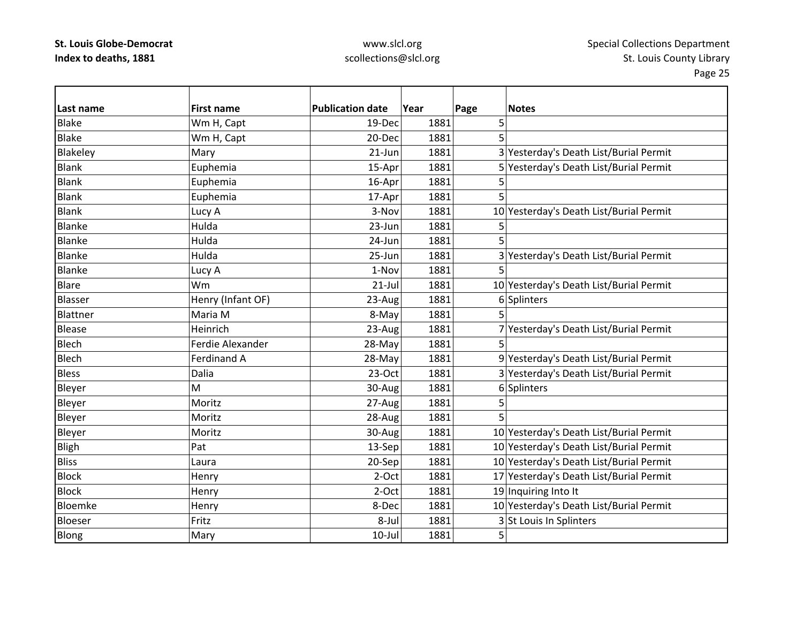# www.slcl.org scollections@slcl.org

| Last name     | <b>First name</b>  | <b>Publication date</b> | Year | Page | <b>Notes</b>                            |
|---------------|--------------------|-------------------------|------|------|-----------------------------------------|
| <b>Blake</b>  | Wm H, Capt         | 19-Dec                  | 1881 | 5    |                                         |
| <b>Blake</b>  | Wm H, Capt         | 20-Dec                  | 1881 | 5    |                                         |
| Blakeley      | Mary               | $21$ -Jun               | 1881 |      | 3 Yesterday's Death List/Burial Permit  |
| <b>Blank</b>  | Euphemia           | 15-Apr                  | 1881 |      | 5 Yesterday's Death List/Burial Permit  |
| <b>Blank</b>  | Euphemia           | 16-Apr                  | 1881 | 5    |                                         |
| <b>Blank</b>  | Euphemia           | 17-Apr                  | 1881 | 5    |                                         |
| <b>Blank</b>  | Lucy A             | 3-Nov                   | 1881 |      | 10 Yesterday's Death List/Burial Permit |
| Blanke        | Hulda              | 23-Jun                  | 1881 | 5    |                                         |
| Blanke        | Hulda              | 24-Jun                  | 1881 | 5    |                                         |
| Blanke        | Hulda              | 25-Jun                  | 1881 |      | 3 Yesterday's Death List/Burial Permit  |
| <b>Blanke</b> | Lucy A             | 1-Nov                   | 1881 | 5    |                                         |
| <b>Blare</b>  | Wm                 | $21$ -Jul               | 1881 |      | 10 Yesterday's Death List/Burial Permit |
| Blasser       | Henry (Infant OF)  | 23-Aug                  | 1881 |      | 6 Splinters                             |
| Blattner      | Maria M            | 8-May                   | 1881 |      |                                         |
| Blease        | Heinrich           | 23-Aug                  | 1881 |      | 7 Yesterday's Death List/Burial Permit  |
| <b>Blech</b>  | Ferdie Alexander   | 28-May                  | 1881 | 5    |                                         |
| Blech         | <b>Ferdinand A</b> | 28-May                  | 1881 |      | 9 Yesterday's Death List/Burial Permit  |
| <b>Bless</b>  | Dalia              | $23-Oct$                | 1881 |      | 3 Yesterday's Death List/Burial Permit  |
| Bleyer        | M                  | 30-Aug                  | 1881 |      | 6 Splinters                             |
| Bleyer        | Moritz             | 27-Aug                  | 1881 | 5    |                                         |
| Bleyer        | Moritz             | 28-Aug                  | 1881 | 5    |                                         |
| Bleyer        | Moritz             | 30-Aug                  | 1881 |      | 10 Yesterday's Death List/Burial Permit |
| Bligh         | Pat                | 13-Sep                  | 1881 |      | 10 Yesterday's Death List/Burial Permit |
| <b>Bliss</b>  | Laura              | 20-Sep                  | 1881 |      | 10 Yesterday's Death List/Burial Permit |
| <b>Block</b>  | Henry              | 2-Oct                   | 1881 |      | 17 Yesterday's Death List/Burial Permit |
| <b>Block</b>  | Henry              | $2-Oct$                 | 1881 |      | 19 Inquiring Into It                    |
| Bloemke       | Henry              | 8-Dec                   | 1881 |      | 10 Yesterday's Death List/Burial Permit |
| Bloeser       | Fritz              | 8-Jul                   | 1881 |      | 3 St Louis In Splinters                 |
| Blong         | Mary               | $10$ -Jul               | 1881 | 5    |                                         |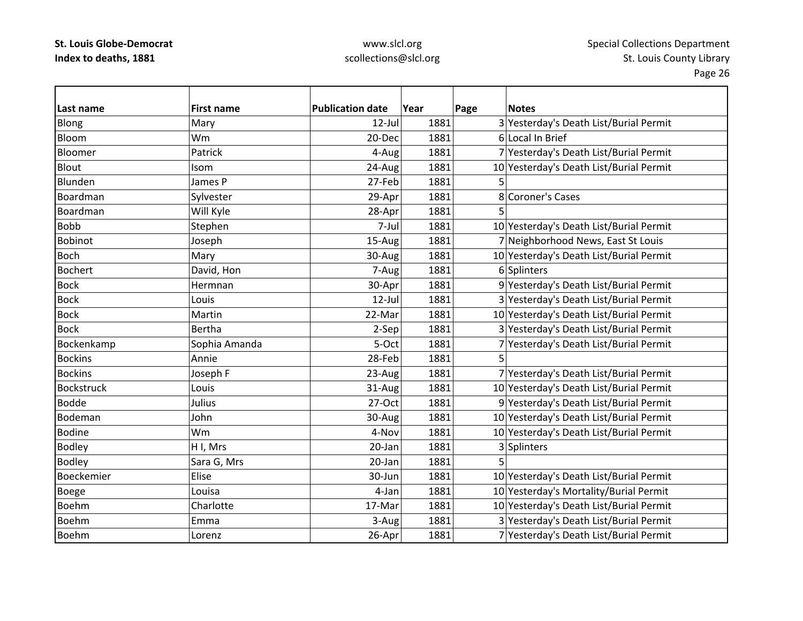# www.slcl.org scollections@slcl.org

| Last name         | <b>First name</b> | <b>Publication date</b> | Year | Page | <b>Notes</b>                            |
|-------------------|-------------------|-------------------------|------|------|-----------------------------------------|
| Blong             | Mary              | 12-Jul                  | 1881 |      | 3 Yesterday's Death List/Burial Permit  |
| Bloom             | Wm                | 20-Dec                  | 1881 |      | 6 Local In Brief                        |
| Bloomer           | Patrick           | 4-Aug                   | 1881 |      | 7 Yesterday's Death List/Burial Permit  |
| <b>Blout</b>      | Isom              | 24-Aug                  | 1881 |      | 10 Yesterday's Death List/Burial Permit |
| Blunden           | James P           | 27-Feb                  | 1881 | 5.   |                                         |
| Boardman          | Sylvester         | 29-Apr                  | 1881 |      | 8 Coroner's Cases                       |
| Boardman          | Will Kyle         | 28-Apr                  | 1881 | 5    |                                         |
| <b>Bobb</b>       | Stephen           | 7-Jul                   | 1881 |      | 10 Yesterday's Death List/Burial Permit |
| <b>Bobinot</b>    | Joseph            | 15-Aug                  | 1881 |      | 7 Neighborhood News, East St Louis      |
| <b>Boch</b>       | Mary              | 30-Aug                  | 1881 |      | 10 Yesterday's Death List/Burial Permit |
| <b>Bochert</b>    | David, Hon        | 7-Aug                   | 1881 |      | 6 Splinters                             |
| <b>Bock</b>       | Hermnan           | 30-Apr                  | 1881 |      | 9 Yesterday's Death List/Burial Permit  |
| <b>Bock</b>       | Louis             | $12$ -Jul               | 1881 |      | 3 Yesterday's Death List/Burial Permit  |
| <b>Bock</b>       | Martin            | 22-Mar                  | 1881 |      | 10 Yesterday's Death List/Burial Permit |
| <b>Bock</b>       | Bertha            | 2-Sep                   | 1881 |      | 3 Yesterday's Death List/Burial Permit  |
| Bockenkamp        | Sophia Amanda     | 5-Oct                   | 1881 |      | 7 Yesterday's Death List/Burial Permit  |
| <b>Bockins</b>    | Annie             | 28-Feb                  | 1881 | 5    |                                         |
| <b>Bockins</b>    | Joseph F          | 23-Aug                  | 1881 |      | 7 Yesterday's Death List/Burial Permit  |
| <b>Bockstruck</b> | Louis             | 31-Aug                  | 1881 |      | 10 Yesterday's Death List/Burial Permit |
| <b>Bodde</b>      | Julius            | 27-Oct                  | 1881 |      | 9 Yesterday's Death List/Burial Permit  |
| Bodeman           | John              | 30-Aug                  | 1881 |      | 10 Yesterday's Death List/Burial Permit |
| <b>Bodine</b>     | Wm                | 4-Nov                   | 1881 |      | 10 Yesterday's Death List/Burial Permit |
| <b>Bodley</b>     | H I, Mrs          | 20-Jan                  | 1881 |      | 3 Splinters                             |
| <b>Bodley</b>     | Sara G, Mrs       | 20-Jan                  | 1881 |      |                                         |
| Boeckemier        | Elise             | 30-Jun                  | 1881 |      | 10 Yesterday's Death List/Burial Permit |
| <b>Boege</b>      | Louisa            | 4-Jan                   | 1881 |      | 10 Yesterday's Mortality/Burial Permit  |
| <b>Boehm</b>      | Charlotte         | 17-Mar                  | 1881 |      | 10 Yesterday's Death List/Burial Permit |
| <b>Boehm</b>      | Emma              | 3-Aug                   | 1881 |      | 3 Yesterday's Death List/Burial Permit  |
| <b>Boehm</b>      | Lorenz            | 26-Apr                  | 1881 |      | 7 Yesterday's Death List/Burial Permit  |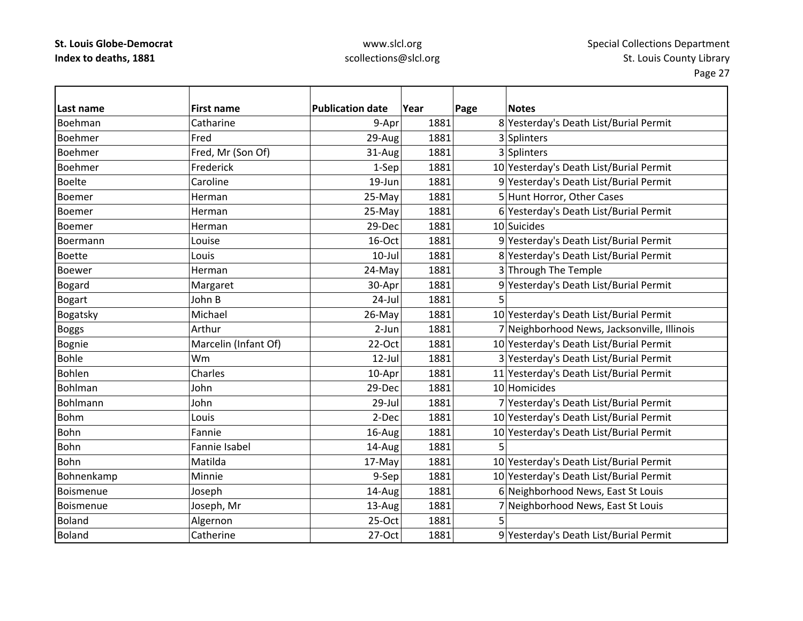### www.slcl.org scollections@slcl.org

| Last name      | <b>First name</b>    | <b>Publication date</b> | Year | Page | <b>Notes</b>                                |
|----------------|----------------------|-------------------------|------|------|---------------------------------------------|
| Boehman        | Catharine            | 9-Apr                   | 1881 |      | 8 Yesterday's Death List/Burial Permit      |
| <b>Boehmer</b> | Fred                 | 29-Aug                  | 1881 |      | 3 Splinters                                 |
| Boehmer        | Fred, Mr (Son Of)    | 31-Aug                  | 1881 |      | 3 Splinters                                 |
| <b>Boehmer</b> | Frederick            | 1-Sep                   | 1881 |      | 10 Yesterday's Death List/Burial Permit     |
| <b>Boelte</b>  | Caroline             | 19-Jun                  | 1881 |      | 9 Yesterday's Death List/Burial Permit      |
| <b>Boemer</b>  | Herman               | 25-May                  | 1881 |      | 5 Hunt Horror, Other Cases                  |
| <b>Boemer</b>  | Herman               | 25-May                  | 1881 |      | 6 Yesterday's Death List/Burial Permit      |
| Boemer         | Herman               | 29-Dec                  | 1881 |      | 10 Suicides                                 |
| Boermann       | Louise               | 16-Oct                  | 1881 |      | 9 Yesterday's Death List/Burial Permit      |
| <b>Boette</b>  | Louis                | $10 -$ Jul              | 1881 |      | 8 Yesterday's Death List/Burial Permit      |
| <b>Boewer</b>  | Herman               | 24-May                  | 1881 |      | 3 Through The Temple                        |
| <b>Bogard</b>  | Margaret             | 30-Apr                  | 1881 |      | 9 Yesterday's Death List/Burial Permit      |
| <b>Bogart</b>  | John B               | 24-Jul                  | 1881 |      |                                             |
| Bogatsky       | Michael              | 26-May                  | 1881 |      | 10 Yesterday's Death List/Burial Permit     |
| <b>Boggs</b>   | Arthur               | 2-Jun                   | 1881 |      | 7 Neighborhood News, Jacksonville, Illinois |
| Bognie         | Marcelin (Infant Of) | 22-Oct                  | 1881 |      | 10 Yesterday's Death List/Burial Permit     |
| <b>Bohle</b>   | Wm                   | $12$ -Jul               | 1881 |      | 3 Yesterday's Death List/Burial Permit      |
| <b>Bohlen</b>  | Charles              | 10-Apr                  | 1881 |      | 11 Yesterday's Death List/Burial Permit     |
| <b>Bohlman</b> | John                 | 29-Dec                  | 1881 |      | 10 Homicides                                |
| Bohlmann       | John                 | 29-Jul                  | 1881 |      | 7 Yesterday's Death List/Burial Permit      |
| <b>Bohm</b>    | Louis                | 2-Dec                   | 1881 |      | 10 Yesterday's Death List/Burial Permit     |
| <b>Bohn</b>    | Fannie               | 16-Aug                  | 1881 |      | 10 Yesterday's Death List/Burial Permit     |
| Bohn           | Fannie Isabel        | 14-Aug                  | 1881 |      |                                             |
| Bohn           | Matilda              | 17-May                  | 1881 |      | 10 Yesterday's Death List/Burial Permit     |
| Bohnenkamp     | Minnie               | 9-Sep                   | 1881 |      | 10 Yesterday's Death List/Burial Permit     |
| Boismenue      | Joseph               | 14-Aug                  | 1881 |      | 6 Neighborhood News, East St Louis          |
| Boismenue      | Joseph, Mr           | 13-Aug                  | 1881 |      | 7 Neighborhood News, East St Louis          |
| <b>Boland</b>  | Algernon             | 25-Oct                  | 1881 |      |                                             |
| <b>Boland</b>  | Catherine            | 27-Oct                  | 1881 |      | 9 Yesterday's Death List/Burial Permit      |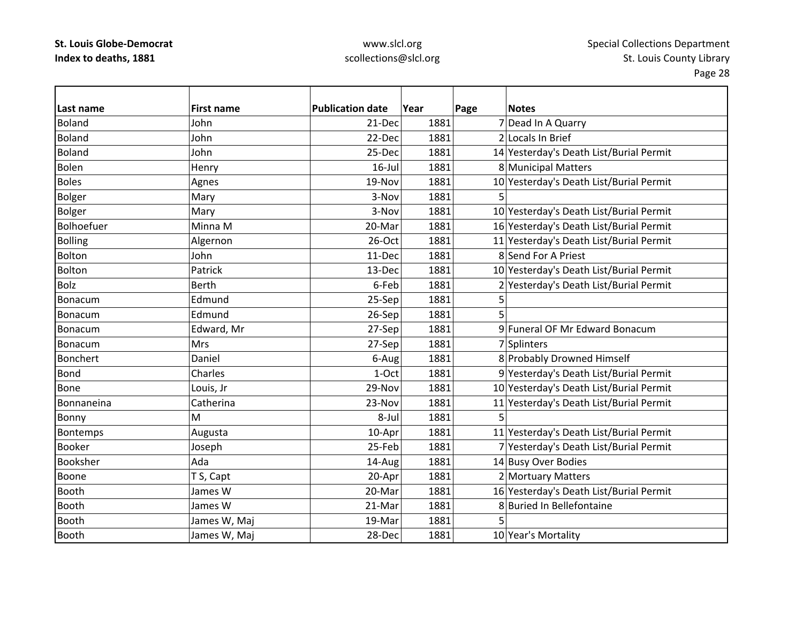# www.slcl.org scollections@slcl.org

| Last name       | <b>First name</b> | <b>Publication date</b> | Year | Page<br><b>Notes</b>                    |
|-----------------|-------------------|-------------------------|------|-----------------------------------------|
| <b>Boland</b>   | John              | 21-Dec                  | 1881 | 7 Dead In A Quarry                      |
| <b>Boland</b>   | John              | 22-Dec                  | 1881 | 2 Locals In Brief                       |
| <b>Boland</b>   | John              | 25-Dec                  | 1881 | 14 Yesterday's Death List/Burial Permit |
| <b>Bolen</b>    | Henry             | $16$ -Jul               | 1881 | 8 Municipal Matters                     |
| <b>Boles</b>    | Agnes             | 19-Nov                  | 1881 | 10 Yesterday's Death List/Burial Permit |
| <b>Bolger</b>   | Mary              | 3-Nov                   | 1881 | 5                                       |
| <b>Bolger</b>   | Mary              | 3-Nov                   | 1881 | 10 Yesterday's Death List/Burial Permit |
| Bolhoefuer      | Minna M           | 20-Mar                  | 1881 | 16 Yesterday's Death List/Burial Permit |
| <b>Bolling</b>  | Algernon          | 26-Oct                  | 1881 | 11 Yesterday's Death List/Burial Permit |
| Bolton          | John              | 11-Dec                  | 1881 | 8 Send For A Priest                     |
| Bolton          | Patrick           | 13-Dec                  | 1881 | 10 Yesterday's Death List/Burial Permit |
| <b>Bolz</b>     | <b>Berth</b>      | 6-Feb                   | 1881 | 2 Yesterday's Death List/Burial Permit  |
| Bonacum         | Edmund            | 25-Sep                  | 1881 | 5                                       |
| Bonacum         | Edmund            | 26-Sep                  | 1881 |                                         |
| Bonacum         | Edward, Mr        | 27-Sep                  | 1881 | 9 Funeral OF Mr Edward Bonacum          |
| Bonacum         | <b>Mrs</b>        | 27-Sep                  | 1881 | 7 Splinters                             |
| <b>Bonchert</b> | Daniel            | 6-Aug                   | 1881 | 8 Probably Drowned Himself              |
| <b>Bond</b>     | Charles           | 1-Oct                   | 1881 | 9 Yesterday's Death List/Burial Permit  |
| <b>Bone</b>     | Louis, Jr         | 29-Nov                  | 1881 | 10 Yesterday's Death List/Burial Permit |
| Bonnaneina      | Catherina         | 23-Nov                  | 1881 | 11 Yesterday's Death List/Burial Permit |
| Bonny           | M                 | 8-Jul                   | 1881 | 5                                       |
| Bontemps        | Augusta           | 10-Apr                  | 1881 | 11 Yesterday's Death List/Burial Permit |
| <b>Booker</b>   | Joseph            | 25-Feb                  | 1881 | 7 Yesterday's Death List/Burial Permit  |
| Booksher        | Ada               | 14-Aug                  | 1881 | 14 Busy Over Bodies                     |
| Boone           | T S, Capt         | 20-Apr                  | 1881 | 2 Mortuary Matters                      |
| <b>Booth</b>    | James W           | 20-Mar                  | 1881 | 16 Yesterday's Death List/Burial Permit |
| <b>Booth</b>    | James W           | 21-Mar                  | 1881 | 8 Buried In Bellefontaine               |
| <b>Booth</b>    | James W, Maj      | 19-Mar                  | 1881 |                                         |
| Booth           | James W, Maj      | 28-Dec                  | 1881 | 10 Year's Mortality                     |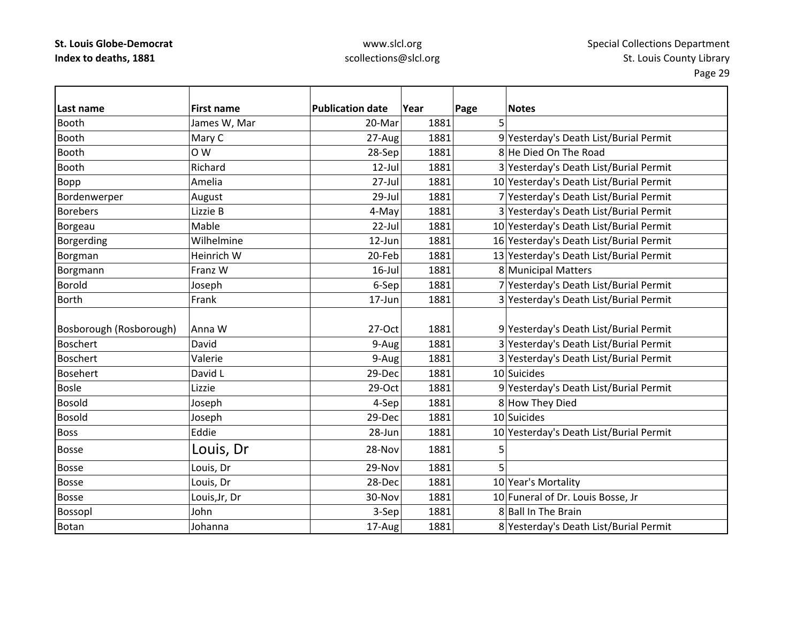# www.slcl.org scollections@slcl.org

| lLast name              | <b>First name</b> | <b>Publication date</b> | Year | Page | <b>Notes</b>                            |
|-------------------------|-------------------|-------------------------|------|------|-----------------------------------------|
| <b>Booth</b>            | James W, Mar      | 20-Mar                  | 1881 | 5    |                                         |
| <b>Booth</b>            | Mary C            | 27-Aug                  | 1881 |      | 9 Yesterday's Death List/Burial Permit  |
| <b>Booth</b>            | O W               | 28-Sep                  | 1881 |      | 8 He Died On The Road                   |
| <b>Booth</b>            | Richard           | 12-Jul                  | 1881 |      | 3 Yesterday's Death List/Burial Permit  |
| Bopp                    | Amelia            | 27-Jul                  | 1881 |      | 10 Yesterday's Death List/Burial Permit |
| Bordenwerper            | August            | 29-Jul                  | 1881 |      | 7 Yesterday's Death List/Burial Permit  |
| <b>Borebers</b>         | Lizzie B          | 4-May                   | 1881 |      | 3 Yesterday's Death List/Burial Permit  |
| Borgeau                 | Mable             | 22-Jul                  | 1881 |      | 10 Yesterday's Death List/Burial Permit |
| Borgerding              | Wilhelmine        | 12-Jun                  | 1881 |      | 16 Yesterday's Death List/Burial Permit |
| Borgman                 | Heinrich W        | 20-Feb                  | 1881 |      | 13 Yesterday's Death List/Burial Permit |
| Borgmann                | Franz W           | $16$ -Jul               | 1881 |      | 8 Municipal Matters                     |
| <b>Borold</b>           | Joseph            | 6-Sep                   | 1881 |      | 7 Yesterday's Death List/Burial Permit  |
| <b>Borth</b>            | Frank             | 17-Jun                  | 1881 |      | 3 Yesterday's Death List/Burial Permit  |
|                         |                   |                         |      |      |                                         |
| Bosborough (Rosborough) | Anna W            | 27-Oct                  | 1881 |      | 9 Yesterday's Death List/Burial Permit  |
| <b>Boschert</b>         | David             | 9-Aug                   | 1881 |      | 3 Yesterday's Death List/Burial Permit  |
| <b>Boschert</b>         | Valerie           | 9-Aug                   | 1881 |      | 3 Yesterday's Death List/Burial Permit  |
| <b>Bosehert</b>         | David L           | 29-Dec                  | 1881 |      | 10 Suicides                             |
| <b>Bosle</b>            | Lizzie            | 29-Oct                  | 1881 |      | 9 Yesterday's Death List/Burial Permit  |
| <b>Bosold</b>           | Joseph            | 4-Sep                   | 1881 |      | 8 How They Died                         |
| <b>Bosold</b>           | Joseph            | 29-Dec                  | 1881 |      | 10 Suicides                             |
| <b>Boss</b>             | Eddie             | 28-Jun                  | 1881 |      | 10 Yesterday's Death List/Burial Permit |
| <b>Bosse</b>            | Louis, Dr         | 28-Nov                  | 1881 | 5    |                                         |
| <b>Bosse</b>            | Louis, Dr         | 29-Nov                  | 1881 | 5    |                                         |
| <b>Bosse</b>            | Louis, Dr         | 28-Dec                  | 1881 |      | 10 Year's Mortality                     |
| <b>Bosse</b>            | Louis, Jr, Dr     | 30-Nov                  | 1881 |      | 10 Funeral of Dr. Louis Bosse, Jr       |
| <b>Bossopl</b>          | John              | 3-Sep                   | 1881 |      | 8 Ball In The Brain                     |
| <b>Botan</b>            | Johanna           | 17-Aug                  | 1881 |      | 8 Yesterday's Death List/Burial Permit  |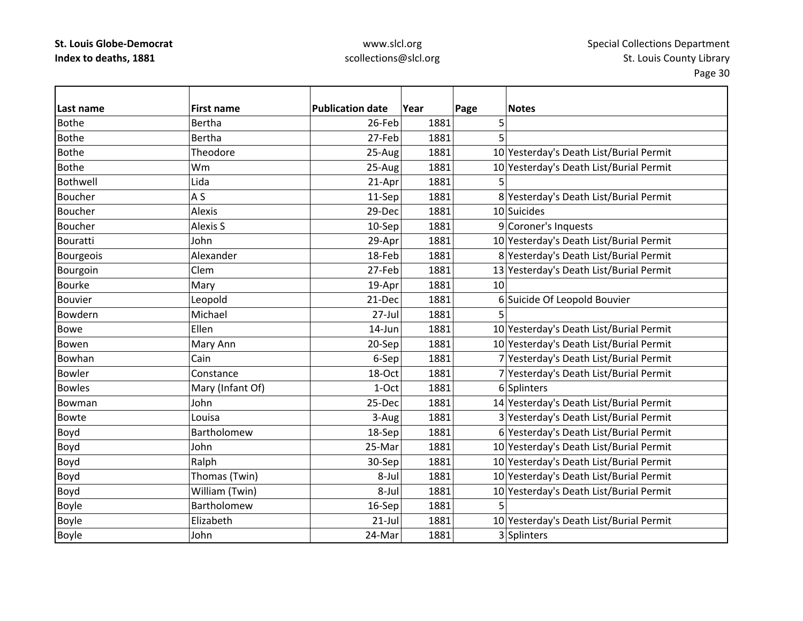# www.slcl.org scollections@slcl.org

| Last name       | <b>First name</b>  | <b>Publication date</b> | Year | Page | <b>Notes</b>                            |
|-----------------|--------------------|-------------------------|------|------|-----------------------------------------|
| <b>Bothe</b>    | <b>Bertha</b>      | 26-Feb                  | 1881 | 5    |                                         |
| <b>Bothe</b>    | Bertha             | 27-Feb                  | 1881 | 5    |                                         |
| <b>Bothe</b>    | Theodore           | 25-Aug                  | 1881 |      | 10 Yesterday's Death List/Burial Permit |
| <b>Bothe</b>    | Wm                 | 25-Aug                  | 1881 |      | 10 Yesterday's Death List/Burial Permit |
| Bothwell        | Lida               | 21-Apr                  | 1881 |      |                                         |
| <b>Boucher</b>  | A S                | 11-Sep                  | 1881 |      | 8 Yesterday's Death List/Burial Permit  |
| <b>Boucher</b>  | Alexis             | 29-Dec                  | 1881 |      | 10 Suicides                             |
| Boucher         | <b>Alexis S</b>    | 10-Sep                  | 1881 |      | 9 Coroner's Inquests                    |
| <b>Bouratti</b> | John               | 29-Apr                  | 1881 |      | 10 Yesterday's Death List/Burial Permit |
| Bourgeois       | Alexander          | 18-Feb                  | 1881 |      | 8 Yesterday's Death List/Burial Permit  |
| Bourgoin        | Clem               | 27-Feb                  | 1881 |      | 13 Yesterday's Death List/Burial Permit |
| <b>Bourke</b>   | Mary               | 19-Apr                  | 1881 | 10   |                                         |
| <b>Bouvier</b>  | Leopold            | 21-Dec                  | 1881 |      | 6 Suicide Of Leopold Bouvier            |
| Bowdern         | Michael            | $27$ -Jul               | 1881 |      |                                         |
| <b>Bowe</b>     | Ellen              | $14$ -Jun               | 1881 |      | 10 Yesterday's Death List/Burial Permit |
| Bowen           | Mary Ann           | 20-Sep                  | 1881 |      | 10 Yesterday's Death List/Burial Permit |
| Bowhan          | Cain               | 6-Sep                   | 1881 |      | 7 Yesterday's Death List/Burial Permit  |
| <b>Bowler</b>   | Constance          | 18-Oct                  | 1881 |      | 7 Yesterday's Death List/Burial Permit  |
| <b>Bowles</b>   | Mary (Infant Of)   | 1-Oct                   | 1881 |      | 6 Splinters                             |
| Bowman          | John               | 25-Dec                  | 1881 |      | 14 Yesterday's Death List/Burial Permit |
| Bowte           | Louisa             | 3-Aug                   | 1881 |      | 3 Yesterday's Death List/Burial Permit  |
| Boyd            | <b>Bartholomew</b> | 18-Sep                  | 1881 |      | 6 Yesterday's Death List/Burial Permit  |
| Boyd            | John               | 25-Mar                  | 1881 |      | 10 Yesterday's Death List/Burial Permit |
| Boyd            | Ralph              | 30-Sep                  | 1881 |      | 10 Yesterday's Death List/Burial Permit |
| Boyd            | Thomas (Twin)      | 8-Jul                   | 1881 |      | 10 Yesterday's Death List/Burial Permit |
| Boyd            | William (Twin)     | 8-Jul                   | 1881 |      | 10 Yesterday's Death List/Burial Permit |
| <b>Boyle</b>    | Bartholomew        | 16-Sep                  | 1881 | 5    |                                         |
| <b>Boyle</b>    | Elizabeth          | $21$ -Jul               | 1881 |      | 10 Yesterday's Death List/Burial Permit |
| <b>Boyle</b>    | John               | 24-Mar                  | 1881 |      | 3 Splinters                             |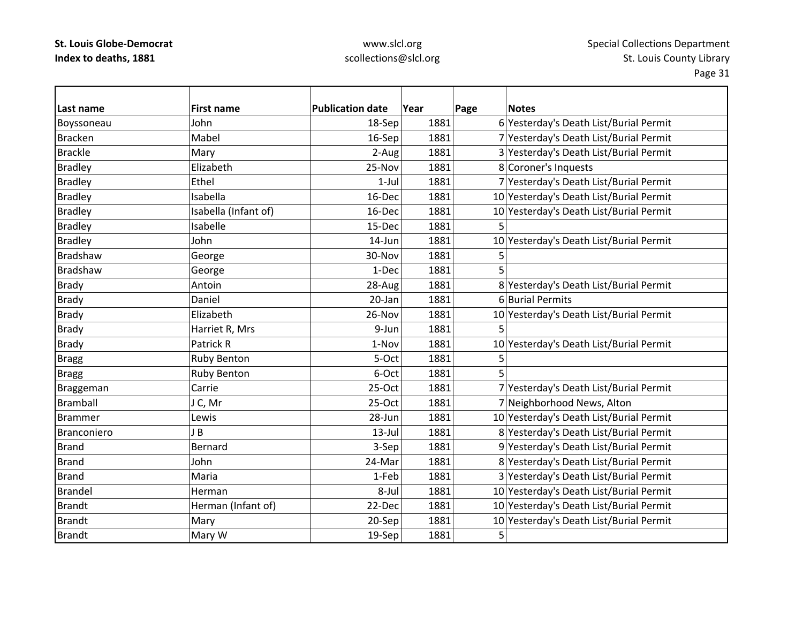### www.slcl.org scollections@slcl.org

| Last name      | <b>First name</b>    | <b>Publication date</b> | Year | Page | <b>Notes</b>                            |
|----------------|----------------------|-------------------------|------|------|-----------------------------------------|
| Boyssoneau     | John                 | 18-Sep                  | 1881 |      | 6 Yesterday's Death List/Burial Permit  |
| <b>Bracken</b> | Mabel                | 16-Sep                  | 1881 |      | 7 Yesterday's Death List/Burial Permit  |
| <b>Brackle</b> | Mary                 | 2-Aug                   | 1881 |      | 3 Yesterday's Death List/Burial Permit  |
| <b>Bradley</b> | Elizabeth            | 25-Nov                  | 1881 |      | 8 Coroner's Inquests                    |
| <b>Bradley</b> | Ethel                | $1-Jul$                 | 1881 |      | 7 Yesterday's Death List/Burial Permit  |
| <b>Bradley</b> | Isabella             | 16-Dec                  | 1881 |      | 10 Yesterday's Death List/Burial Permit |
| <b>Bradley</b> | Isabella (Infant of) | 16-Dec                  | 1881 |      | 10 Yesterday's Death List/Burial Permit |
| <b>Bradley</b> | Isabelle             | 15-Dec                  | 1881 |      |                                         |
| <b>Bradley</b> | John                 | 14-Jun                  | 1881 |      | 10 Yesterday's Death List/Burial Permit |
| Bradshaw       | George               | 30-Nov                  | 1881 | 5    |                                         |
| Bradshaw       | George               | 1-Dec                   | 1881 | 5    |                                         |
| <b>Brady</b>   | Antoin               | 28-Aug                  | 1881 |      | 8 Yesterday's Death List/Burial Permit  |
| <b>Brady</b>   | Daniel               | 20-Jan                  | 1881 |      | 6 Burial Permits                        |
| <b>Brady</b>   | Elizabeth            | 26-Nov                  | 1881 |      | 10 Yesterday's Death List/Burial Permit |
| <b>Brady</b>   | Harriet R, Mrs       | 9-Jun                   | 1881 | 5    |                                         |
| <b>Brady</b>   | Patrick R            | 1-Nov                   | 1881 |      | 10 Yesterday's Death List/Burial Permit |
| <b>Bragg</b>   | <b>Ruby Benton</b>   | 5-Oct                   | 1881 | 5    |                                         |
| <b>Bragg</b>   | <b>Ruby Benton</b>   | 6-Oct                   | 1881 | 5    |                                         |
| Braggeman      | Carrie               | 25-Oct                  | 1881 |      | 7 Yesterday's Death List/Burial Permit  |
| Bramball       | J C, Mr              | 25-Oct                  | 1881 |      | 7 Neighborhood News, Alton              |
| <b>Brammer</b> | Lewis                | 28-Jun                  | 1881 |      | 10 Yesterday's Death List/Burial Permit |
| Branconiero    | JB                   | $13$ -Jul               | 1881 |      | 8 Yesterday's Death List/Burial Permit  |
| <b>Brand</b>   | <b>Bernard</b>       | 3-Sep                   | 1881 |      | 9 Yesterday's Death List/Burial Permit  |
| <b>Brand</b>   | John                 | 24-Mar                  | 1881 |      | 8 Yesterday's Death List/Burial Permit  |
| <b>Brand</b>   | Maria                | 1-Feb                   | 1881 |      | 3 Yesterday's Death List/Burial Permit  |
| <b>Brandel</b> | Herman               | 8-Jul                   | 1881 |      | 10 Yesterday's Death List/Burial Permit |
| <b>Brandt</b>  | Herman (Infant of)   | 22-Dec                  | 1881 |      | 10 Yesterday's Death List/Burial Permit |
| <b>Brandt</b>  | Mary                 | 20-Sep                  | 1881 |      | 10 Yesterday's Death List/Burial Permit |
| <b>Brandt</b>  | Mary W               | 19-Sep                  | 1881 | 5    |                                         |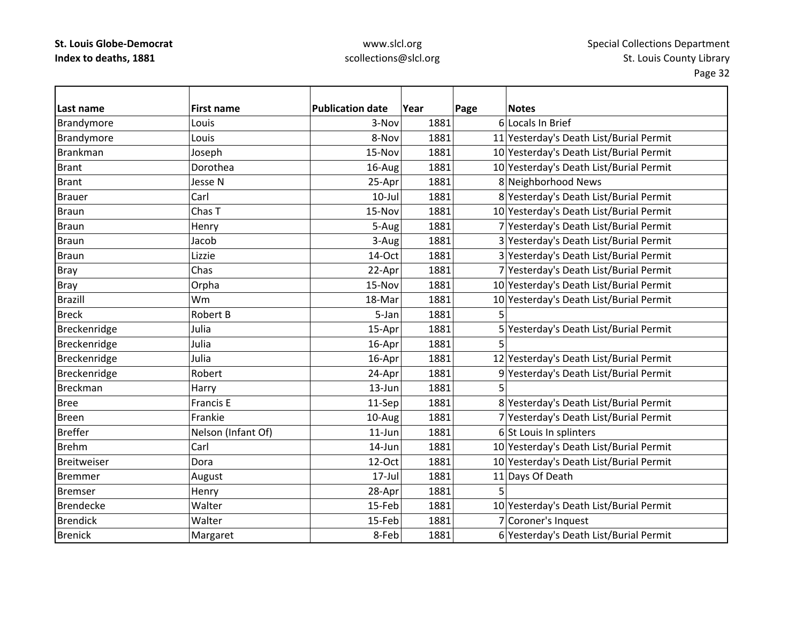# www.slcl.org scollections@slcl.org

| lLast name       | <b>First name</b>  | <b>Publication date</b> | Year | Page | <b>Notes</b>                            |
|------------------|--------------------|-------------------------|------|------|-----------------------------------------|
| Brandymore       | Louis              | 3-Nov                   | 1881 |      | 6 Locals In Brief                       |
| Brandymore       | Louis              | 8-Nov                   | 1881 |      | 11 Yesterday's Death List/Burial Permit |
| Brankman         | Joseph             | 15-Nov                  | 1881 |      | 10 Yesterday's Death List/Burial Permit |
| <b>Brant</b>     | Dorothea           | 16-Aug                  | 1881 |      | 10 Yesterday's Death List/Burial Permit |
| <b>Brant</b>     | Jesse N            | 25-Apr                  | 1881 |      | 8 Neighborhood News                     |
| <b>Brauer</b>    | Carl               | $10$ -Jul               | 1881 |      | 8 Yesterday's Death List/Burial Permit  |
| <b>Braun</b>     | Chas T             | 15-Nov                  | 1881 |      | 10 Yesterday's Death List/Burial Permit |
| <b>Braun</b>     | Henry              | 5-Aug                   | 1881 |      | 7 Yesterday's Death List/Burial Permit  |
| <b>Braun</b>     | Jacob              | 3-Aug                   | 1881 |      | 3 Yesterday's Death List/Burial Permit  |
| <b>Braun</b>     | Lizzie             | 14-Oct                  | 1881 |      | 3 Yesterday's Death List/Burial Permit  |
| <b>Bray</b>      | Chas               | 22-Apr                  | 1881 |      | 7 Yesterday's Death List/Burial Permit  |
| <b>Bray</b>      | Orpha              | 15-Nov                  | 1881 |      | 10 Yesterday's Death List/Burial Permit |
| <b>Brazill</b>   | Wm                 | 18-Mar                  | 1881 |      | 10 Yesterday's Death List/Burial Permit |
| <b>Breck</b>     | Robert B           | 5-Jan                   | 1881 | 5    |                                         |
| Breckenridge     | Julia              | 15-Apr                  | 1881 |      | 5 Yesterday's Death List/Burial Permit  |
| Breckenridge     | Julia              | 16-Apr                  | 1881 | 5    |                                         |
| Breckenridge     | Julia              | 16-Apr                  | 1881 |      | 12 Yesterday's Death List/Burial Permit |
| Breckenridge     | Robert             | 24-Apr                  | 1881 |      | 9 Yesterday's Death List/Burial Permit  |
| <b>Breckman</b>  | Harry              | 13-Jun                  | 1881 |      |                                         |
| <b>Bree</b>      | <b>Francis E</b>   | 11-Sep                  | 1881 |      | 8 Yesterday's Death List/Burial Permit  |
| <b>Breen</b>     | Frankie            | 10-Aug                  | 1881 |      | 7 Yesterday's Death List/Burial Permit  |
| <b>Breffer</b>   | Nelson (Infant Of) | 11-Jun                  | 1881 |      | 6 St Louis In splinters                 |
| <b>Brehm</b>     | Carl               | 14-Jun                  | 1881 |      | 10 Yesterday's Death List/Burial Permit |
| Breitweiser      | Dora               | 12-Oct                  | 1881 |      | 10 Yesterday's Death List/Burial Permit |
| <b>Bremmer</b>   | August             | 17-Jul                  | 1881 |      | 11 Days Of Death                        |
| <b>Bremser</b>   | Henry              | 28-Apr                  | 1881 | 5    |                                         |
| <b>Brendecke</b> | Walter             | 15-Feb                  | 1881 |      | 10 Yesterday's Death List/Burial Permit |
| <b>Brendick</b>  | Walter             | 15-Feb                  | 1881 |      | 7 Coroner's Inquest                     |
| <b>Brenick</b>   | Margaret           | 8-Feb                   | 1881 |      | 6 Yesterday's Death List/Burial Permit  |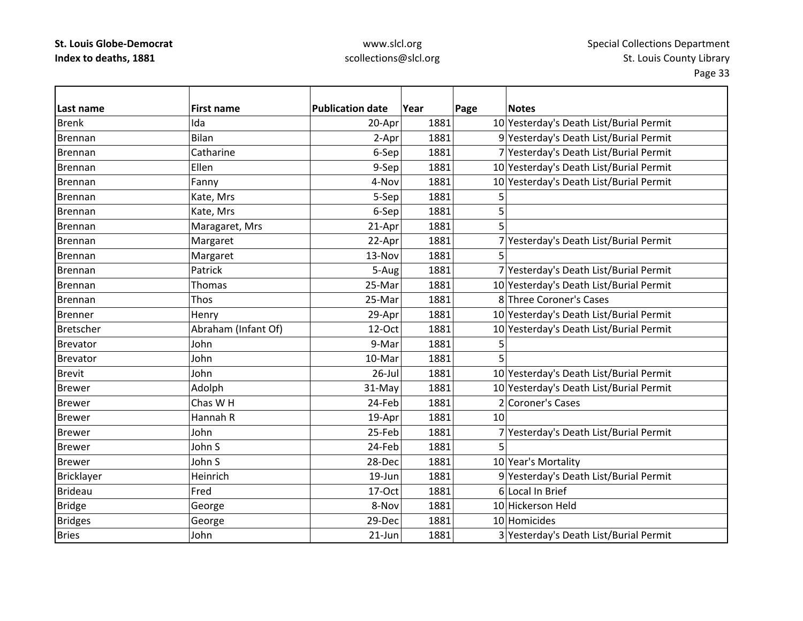# www.slcl.org scollections@slcl.org

| Last name        | <b>First name</b>   | <b>Publication date</b> | Year | Page | <b>Notes</b>                            |
|------------------|---------------------|-------------------------|------|------|-----------------------------------------|
| <b>Brenk</b>     | Ida                 | 20-Apr                  | 1881 |      | 10 Yesterday's Death List/Burial Permit |
| Brennan          | Bilan               | 2-Apr                   | 1881 |      | 9 Yesterday's Death List/Burial Permit  |
| Brennan          | Catharine           | 6-Sep                   | 1881 |      | 7 Yesterday's Death List/Burial Permit  |
| Brennan          | Ellen               | 9-Sep                   | 1881 |      | 10 Yesterday's Death List/Burial Permit |
| Brennan          | Fanny               | 4-Nov                   | 1881 |      | 10 Yesterday's Death List/Burial Permit |
| Brennan          | Kate, Mrs           | 5-Sep                   | 1881 | 5    |                                         |
| Brennan          | Kate, Mrs           | 6-Sep                   | 1881 | 5    |                                         |
| Brennan          | Maragaret, Mrs      | 21-Apr                  | 1881 | 5    |                                         |
| Brennan          | Margaret            | 22-Apr                  | 1881 |      | 7 Yesterday's Death List/Burial Permit  |
| Brennan          | Margaret            | 13-Nov                  | 1881 |      |                                         |
| <b>Brennan</b>   | Patrick             | 5-Aug                   | 1881 |      | 7 Yesterday's Death List/Burial Permit  |
| Brennan          | Thomas              | 25-Mar                  | 1881 |      | 10 Yesterday's Death List/Burial Permit |
| <b>Brennan</b>   | Thos                | 25-Mar                  | 1881 |      | 8 Three Coroner's Cases                 |
| <b>Brenner</b>   | Henry               | 29-Apr                  | 1881 |      | 10 Yesterday's Death List/Burial Permit |
| <b>Bretscher</b> | Abraham (Infant Of) | 12-Oct                  | 1881 |      | 10 Yesterday's Death List/Burial Permit |
| Brevator         | John                | 9-Mar                   | 1881 | 5    |                                         |
| <b>Brevator</b>  | John                | 10-Mar                  | 1881 | 5    |                                         |
| <b>Brevit</b>    | John                | $26$ -Jul               | 1881 |      | 10 Yesterday's Death List/Burial Permit |
| <b>Brewer</b>    | Adolph              | 31-May                  | 1881 |      | 10 Yesterday's Death List/Burial Permit |
| <b>Brewer</b>    | Chas W H            | 24-Feb                  | 1881 |      | 2 Coroner's Cases                       |
| <b>Brewer</b>    | Hannah R            | 19-Apr                  | 1881 | 10   |                                         |
| <b>Brewer</b>    | John                | 25-Feb                  | 1881 |      | 7 Yesterday's Death List/Burial Permit  |
| <b>Brewer</b>    | John S              | 24-Feb                  | 1881 | 5    |                                         |
| <b>Brewer</b>    | John S              | 28-Dec                  | 1881 |      | 10 Year's Mortality                     |
| Bricklayer       | Heinrich            | 19-Jun                  | 1881 |      | 9 Yesterday's Death List/Burial Permit  |
| <b>Brideau</b>   | Fred                | 17-Oct                  | 1881 |      | 6 Local In Brief                        |
| <b>Bridge</b>    | George              | 8-Nov                   | 1881 |      | 10 Hickerson Held                       |
| <b>Bridges</b>   | George              | 29-Dec                  | 1881 |      | 10 Homicides                            |
| <b>Bries</b>     | John                | $21$ -Jun               | 1881 |      | 3 Yesterday's Death List/Burial Permit  |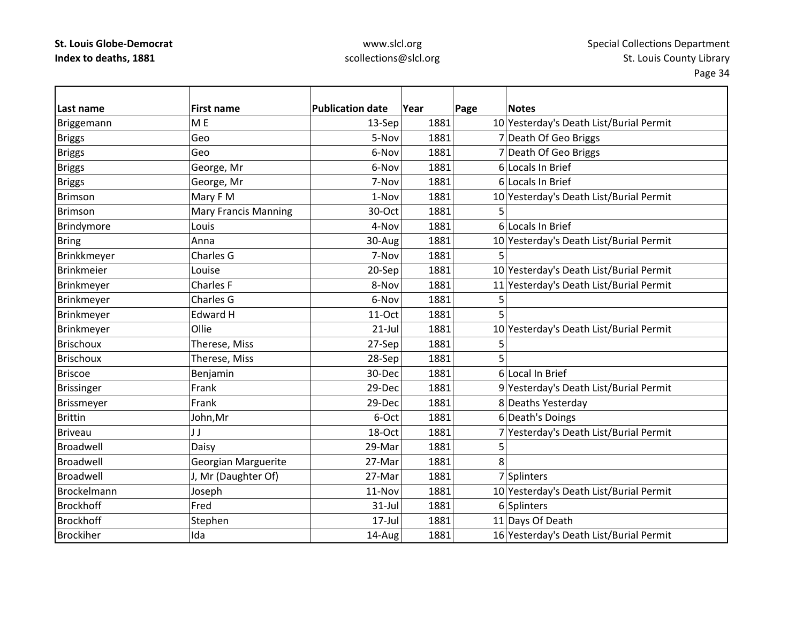# www.slcl.org scollections@slcl.org

| Last name         | <b>First name</b>           | <b>Publication date</b> | Year | Page | <b>Notes</b>                            |
|-------------------|-----------------------------|-------------------------|------|------|-----------------------------------------|
| Briggemann        | M <sub>E</sub>              | 13-Sep                  | 1881 |      | 10 Yesterday's Death List/Burial Permit |
| <b>Briggs</b>     | Geo                         | 5-Nov                   | 1881 |      | 7 Death Of Geo Briggs                   |
| <b>Briggs</b>     | Geo                         | 6-Nov                   | 1881 |      | 7 Death Of Geo Briggs                   |
| <b>Briggs</b>     | George, Mr                  | 6-Nov                   | 1881 |      | 6 Locals In Brief                       |
| <b>Briggs</b>     | George, Mr                  | 7-Nov                   | 1881 |      | 6 Locals In Brief                       |
| <b>Brimson</b>    | Mary F M                    | 1-Nov                   | 1881 |      | 10 Yesterday's Death List/Burial Permit |
| <b>Brimson</b>    | <b>Mary Francis Manning</b> | 30-Oct                  | 1881 | 5    |                                         |
| Brindymore        | Louis                       | 4-Nov                   | 1881 |      | 6 Locals In Brief                       |
| <b>Bring</b>      | Anna                        | 30-Aug                  | 1881 |      | 10 Yesterday's Death List/Burial Permit |
| Brinkkmeyer       | Charles G                   | 7-Nov                   | 1881 | 5    |                                         |
| <b>Brinkmeier</b> | Louise                      | 20-Sep                  | 1881 |      | 10 Yesterday's Death List/Burial Permit |
| Brinkmeyer        | Charles F                   | 8-Nov                   | 1881 |      | 11 Yesterday's Death List/Burial Permit |
| Brinkmeyer        | Charles G                   | 6-Nov                   | 1881 | 5    |                                         |
| Brinkmeyer        | <b>Edward H</b>             | 11-Oct                  | 1881 | 5    |                                         |
| Brinkmeyer        | Ollie                       | $21$ -Jul               | 1881 |      | 10 Yesterday's Death List/Burial Permit |
| <b>Brischoux</b>  | Therese, Miss               | 27-Sep                  | 1881 | 5    |                                         |
| <b>Brischoux</b>  | Therese, Miss               | 28-Sep                  | 1881 | 5    |                                         |
| <b>Briscoe</b>    | Benjamin                    | 30-Dec                  | 1881 |      | 6 Local In Brief                        |
| <b>Brissinger</b> | Frank                       | 29-Dec                  | 1881 |      | 9 Yesterday's Death List/Burial Permit  |
| Brissmeyer        | Frank                       | 29-Dec                  | 1881 |      | 8 Deaths Yesterday                      |
| <b>Brittin</b>    | John,Mr                     | 6-Oct                   | 1881 |      | 6 Death's Doings                        |
| <b>Briveau</b>    | JJ                          | 18-Oct                  | 1881 |      | 7 Yesterday's Death List/Burial Permit  |
| Broadwell         | Daisy                       | 29-Mar                  | 1881 | 5    |                                         |
| Broadwell         | Georgian Marguerite         | 27-Mar                  | 1881 | 8    |                                         |
| Broadwell         | J, Mr (Daughter Of)         | 27-Mar                  | 1881 |      | 7 Splinters                             |
| Brockelmann       | Joseph                      | 11-Nov                  | 1881 |      | 10 Yesterday's Death List/Burial Permit |
| <b>Brockhoff</b>  | Fred                        | $31$ -Jul               | 1881 |      | 6 Splinters                             |
| <b>Brockhoff</b>  | Stephen                     | $17 -$ Jul              | 1881 |      | 11 Days Of Death                        |
| <b>Brockiher</b>  | Ida                         | 14-Aug                  | 1881 |      | 16 Yesterday's Death List/Burial Permit |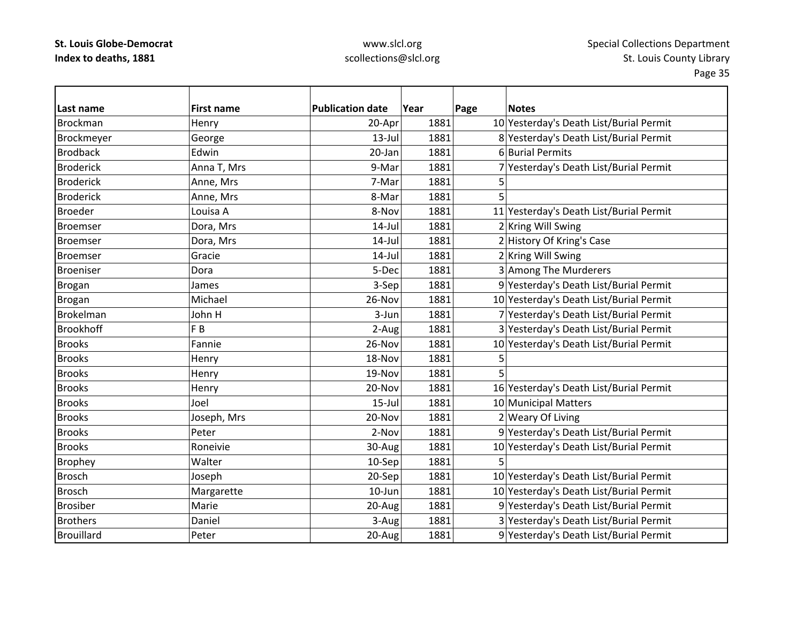### www.slcl.org scollections@slcl.org

| Last name        | <b>First name</b> | <b>Publication date</b> | Year | Page<br><b>Notes</b>                    |
|------------------|-------------------|-------------------------|------|-----------------------------------------|
| <b>Brockman</b>  | Henry             | 20-Apr                  | 1881 | 10 Yesterday's Death List/Burial Permit |
| Brockmeyer       | George            | $13$ -Jul               | 1881 | 8 Yesterday's Death List/Burial Permit  |
| <b>Brodback</b>  | Edwin             | 20-Jan                  | 1881 | 6 Burial Permits                        |
| <b>Broderick</b> | Anna T, Mrs       | 9-Mar                   | 1881 | 7 Yesterday's Death List/Burial Permit  |
| <b>Broderick</b> | Anne, Mrs         | 7-Mar                   | 1881 | 5                                       |
| <b>Broderick</b> | Anne, Mrs         | 8-Mar                   | 1881 | 5                                       |
| <b>Broeder</b>   | Louisa A          | 8-Nov                   | 1881 | 11 Yesterday's Death List/Burial Permit |
| <b>Broemser</b>  | Dora, Mrs         | $14$ -Jul               | 1881 | 2 Kring Will Swing                      |
| <b>Broemser</b>  | Dora, Mrs         | $14$ -Jul               | 1881 | 2 History Of Kring's Case               |
| <b>Broemser</b>  | Gracie            | 14-Jul                  | 1881 | 2 Kring Will Swing                      |
| <b>Broeniser</b> | Dora              | 5-Dec                   | 1881 | 3 Among The Murderers                   |
| <b>Brogan</b>    | James             | 3-Sep                   | 1881 | 9 Yesterday's Death List/Burial Permit  |
| <b>Brogan</b>    | Michael           | 26-Nov                  | 1881 | 10 Yesterday's Death List/Burial Permit |
| Brokelman        | John H            | 3-Jun                   | 1881 | 7 Yesterday's Death List/Burial Permit  |
| <b>Brookhoff</b> | F <sub>B</sub>    | 2-Aug                   | 1881 | 3 Yesterday's Death List/Burial Permit  |
| <b>Brooks</b>    | Fannie            | 26-Nov                  | 1881 | 10 Yesterday's Death List/Burial Permit |
| <b>Brooks</b>    | Henry             | 18-Nov                  | 1881 | 5                                       |
| <b>Brooks</b>    | Henry             | 19-Nov                  | 1881 | 5                                       |
| <b>Brooks</b>    | Henry             | 20-Nov                  | 1881 | 16 Yesterday's Death List/Burial Permit |
| <b>Brooks</b>    | Joel              | $15$ -Jul               | 1881 | 10 Municipal Matters                    |
| <b>Brooks</b>    | Joseph, Mrs       | 20-Nov                  | 1881 | 2 Weary Of Living                       |
| <b>Brooks</b>    | Peter             | 2-Nov                   | 1881 | 9 Yesterday's Death List/Burial Permit  |
| <b>Brooks</b>    | Roneivie          | 30-Aug                  | 1881 | 10 Yesterday's Death List/Burial Permit |
| <b>Brophey</b>   | Walter            | 10-Sep                  | 1881 | 5                                       |
| <b>Brosch</b>    | Joseph            | 20-Sep                  | 1881 | 10 Yesterday's Death List/Burial Permit |
| <b>Brosch</b>    | Margarette        | $10$ -Jun               | 1881 | 10 Yesterday's Death List/Burial Permit |
| <b>Brosiber</b>  | Marie             | 20-Aug                  | 1881 | 9 Yesterday's Death List/Burial Permit  |
| <b>Brothers</b>  | Daniel            | 3-Aug                   | 1881 | 3 Yesterday's Death List/Burial Permit  |
| Brouillard       | Peter             | 20-Aug                  | 1881 | 9 Yesterday's Death List/Burial Permit  |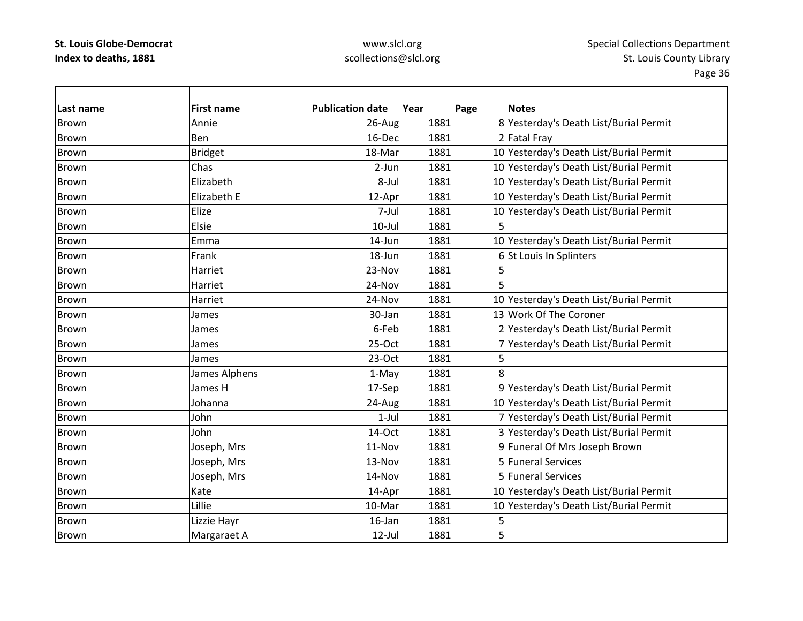# www.slcl.org scollections@slcl.org

|              |                            | <b>Publication date</b> | Year |      | <b>Notes</b>                            |
|--------------|----------------------------|-------------------------|------|------|-----------------------------------------|
| Last name    | <b>First name</b><br>Annie |                         | 1881 | Page |                                         |
| <b>Brown</b> |                            | 26-Aug                  |      |      | 8 Yesterday's Death List/Burial Permit  |
| Brown        | Ben                        | 16-Dec                  | 1881 |      | 2 Fatal Fray                            |
| Brown        | <b>Bridget</b>             | 18-Mar                  | 1881 |      | 10 Yesterday's Death List/Burial Permit |
| <b>Brown</b> | Chas                       | 2-Jun                   | 1881 |      | 10 Yesterday's Death List/Burial Permit |
| Brown        | Elizabeth                  | 8-Jul                   | 1881 |      | 10 Yesterday's Death List/Burial Permit |
| <b>Brown</b> | Elizabeth E                | 12-Apr                  | 1881 |      | 10 Yesterday's Death List/Burial Permit |
| Brown        | Elize                      | 7-Jul                   | 1881 |      | 10 Yesterday's Death List/Burial Permit |
| Brown        | Elsie                      | $10$ -Jul               | 1881 | 5    |                                         |
| <b>Brown</b> | Emma                       | 14-Jun                  | 1881 |      | 10 Yesterday's Death List/Burial Permit |
| Brown        | Frank                      | 18-Jun                  | 1881 |      | 6 St Louis In Splinters                 |
| Brown        | Harriet                    | 23-Nov                  | 1881 | 5    |                                         |
| <b>Brown</b> | Harriet                    | 24-Nov                  | 1881 | 5    |                                         |
| <b>Brown</b> | Harriet                    | 24-Nov                  | 1881 |      | 10 Yesterday's Death List/Burial Permit |
| <b>Brown</b> | James                      | 30-Jan                  | 1881 |      | 13 Work Of The Coroner                  |
| Brown        | James                      | 6-Feb                   | 1881 |      | 2 Yesterday's Death List/Burial Permit  |
| <b>Brown</b> | James                      | 25-Oct                  | 1881 |      | 7 Yesterday's Death List/Burial Permit  |
| <b>Brown</b> | James                      | $23-Oct$                | 1881 | 5    |                                         |
| <b>Brown</b> | James Alphens              | 1-May                   | 1881 | 8    |                                         |
| <b>Brown</b> | James H                    | 17-Sep                  | 1881 |      | 9 Yesterday's Death List/Burial Permit  |
| <b>Brown</b> | Johanna                    | 24-Aug                  | 1881 |      | 10 Yesterday's Death List/Burial Permit |
| Brown        | John                       | $1-Jul$                 | 1881 |      | 7 Yesterday's Death List/Burial Permit  |
| <b>Brown</b> | John                       | 14-Oct                  | 1881 |      | 3 Yesterday's Death List/Burial Permit  |
| <b>Brown</b> | Joseph, Mrs                | 11-Nov                  | 1881 |      | 9 Funeral Of Mrs Joseph Brown           |
| Brown        | Joseph, Mrs                | 13-Nov                  | 1881 |      | 5 Funeral Services                      |
| <b>Brown</b> | Joseph, Mrs                | 14-Nov                  | 1881 |      | 5 Funeral Services                      |
| Brown        | Kate                       | 14-Apr                  | 1881 |      | 10 Yesterday's Death List/Burial Permit |
| <b>Brown</b> | Lillie                     | 10-Mar                  | 1881 |      | 10 Yesterday's Death List/Burial Permit |
| <b>Brown</b> | Lizzie Hayr                | 16-Jan                  | 1881 | 5    |                                         |
| <b>Brown</b> | Margaraet A                | $12$ -Jul               | 1881 | 5    |                                         |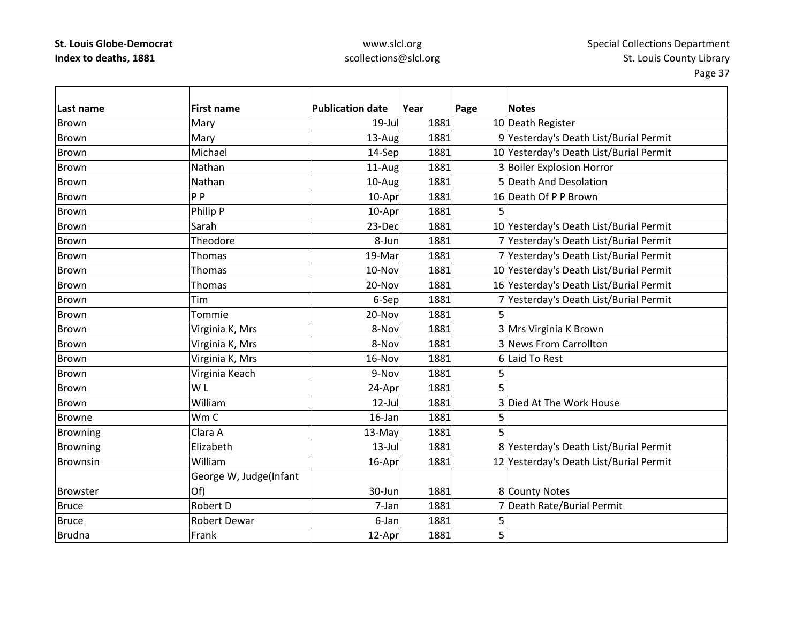# www.slcl.org scollections@slcl.org

| Last name       | <b>First name</b>      | <b>Publication date</b> | Year | Page | <b>Notes</b>                            |
|-----------------|------------------------|-------------------------|------|------|-----------------------------------------|
| <b>Brown</b>    | Mary                   | $19$ -Jul               | 1881 |      | 10 Death Register                       |
| Brown           | Mary                   | 13-Aug                  | 1881 |      | 9 Yesterday's Death List/Burial Permit  |
| <b>Brown</b>    | Michael                | 14-Sep                  | 1881 |      | 10 Yesterday's Death List/Burial Permit |
| <b>Brown</b>    | Nathan                 | 11-Aug                  | 1881 |      | 3 Boiler Explosion Horror               |
| Brown           | Nathan                 | 10-Aug                  | 1881 |      | 5 Death And Desolation                  |
| <b>Brown</b>    | P <sub>P</sub>         | 10-Apr                  | 1881 |      | 16 Death Of P P Brown                   |
| <b>Brown</b>    | Philip P               | 10-Apr                  | 1881 | 5    |                                         |
| <b>Brown</b>    | Sarah                  | 23-Dec                  | 1881 |      | 10 Yesterday's Death List/Burial Permit |
| <b>Brown</b>    | Theodore               | 8-Jun                   | 1881 |      | 7 Yesterday's Death List/Burial Permit  |
| Brown           | Thomas                 | 19-Mar                  | 1881 |      | 7 Yesterday's Death List/Burial Permit  |
| <b>Brown</b>    | Thomas                 | 10-Nov                  | 1881 |      | 10 Yesterday's Death List/Burial Permit |
| <b>Brown</b>    | <b>Thomas</b>          | 20-Nov                  | 1881 |      | 16 Yesterday's Death List/Burial Permit |
| <b>Brown</b>    | Tim                    | 6-Sep                   | 1881 |      | 7 Yesterday's Death List/Burial Permit  |
| <b>Brown</b>    | Tommie                 | 20-Nov                  | 1881 | 5    |                                         |
| <b>Brown</b>    | Virginia K, Mrs        | 8-Nov                   | 1881 |      | 3 Mrs Virginia K Brown                  |
| <b>Brown</b>    | Virginia K, Mrs        | 8-Nov                   | 1881 |      | 3 News From Carrollton                  |
| <b>Brown</b>    | Virginia K, Mrs        | 16-Nov                  | 1881 |      | 6 Laid To Rest                          |
| <b>Brown</b>    | Virginia Keach         | 9-Nov                   | 1881 | 5    |                                         |
| <b>Brown</b>    | W <sub>L</sub>         | 24-Apr                  | 1881 | 5    |                                         |
| <b>Brown</b>    | William                | $12$ -Jul               | 1881 |      | 3 Died At The Work House                |
| <b>Browne</b>   | Wm C                   | 16-Jan                  | 1881 | 5    |                                         |
| <b>Browning</b> | Clara A                | 13-May                  | 1881 | 5    |                                         |
| <b>Browning</b> | Elizabeth              | $13$ -Jul               | 1881 |      | 8 Yesterday's Death List/Burial Permit  |
| <b>Brownsin</b> | William                | 16-Apr                  | 1881 |      | 12 Yesterday's Death List/Burial Permit |
|                 | George W, Judge(Infant |                         |      |      |                                         |
| <b>Browster</b> | Of)                    | 30-Jun                  | 1881 |      | 8 County Notes                          |
| <b>Bruce</b>    | Robert D               | 7-Jan                   | 1881 |      | 7 Death Rate/Burial Permit              |
| <b>Bruce</b>    | <b>Robert Dewar</b>    | 6-Jan                   | 1881 | 5    |                                         |
| <b>Brudna</b>   | Frank                  | 12-Apr                  | 1881 | 5    |                                         |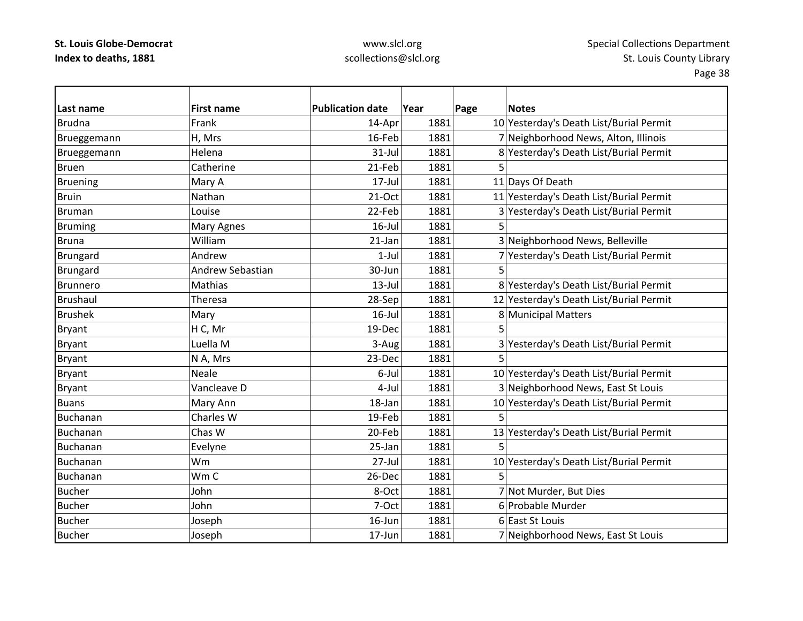# www.slcl.org scollections@slcl.org

| Last name       | <b>First name</b> | <b>Publication date</b> | Year | Page | <b>Notes</b>                            |
|-----------------|-------------------|-------------------------|------|------|-----------------------------------------|
| <b>Brudna</b>   | Frank             | 14-Apr                  | 1881 |      | 10 Yesterday's Death List/Burial Permit |
| Brueggemann     | H, Mrs            | 16-Feb                  | 1881 |      | 7 Neighborhood News, Alton, Illinois    |
| Brueggemann     | Helena            | $31 -$ Jul              | 1881 |      | 8 Yesterday's Death List/Burial Permit  |
| <b>Bruen</b>    | Catherine         | 21-Feb                  | 1881 | 5    |                                         |
| <b>Bruening</b> | Mary A            | $17 -$ Jul              | 1881 |      | 11 Days Of Death                        |
| <b>Bruin</b>    | Nathan            | $21-Oct$                | 1881 |      | 11 Yesterday's Death List/Burial Permit |
| <b>Bruman</b>   | Louise            | 22-Feb                  | 1881 |      | 3 Yesterday's Death List/Burial Permit  |
| <b>Bruming</b>  | Mary Agnes        | $16$ -Jul               | 1881 | 5    |                                         |
| <b>Bruna</b>    | William           | 21-Jan                  | 1881 |      | 3 Neighborhood News, Belleville         |
| Brungard        | Andrew            | $1-Jul$                 | 1881 |      | 7 Yesterday's Death List/Burial Permit  |
| Brungard        | Andrew Sebastian  | 30-Jun                  | 1881 | 5    |                                         |
| <b>Brunnero</b> | Mathias           | $13$ -Jul               | 1881 |      | 8 Yesterday's Death List/Burial Permit  |
| Brushaul        | Theresa           | 28-Sep                  | 1881 |      | 12 Yesterday's Death List/Burial Permit |
| <b>Brushek</b>  | Mary              | 16-Jul                  | 1881 |      | 8 Municipal Matters                     |
| <b>Bryant</b>   | H C, Mr           | 19-Dec                  | 1881 | 5    |                                         |
| Bryant          | Luella M          | 3-Aug                   | 1881 |      | 3 Yesterday's Death List/Burial Permit  |
| <b>Bryant</b>   | N A, Mrs          | 23-Dec                  | 1881 | 5    |                                         |
| <b>Bryant</b>   | <b>Neale</b>      | 6-Jul                   | 1881 |      | 10 Yesterday's Death List/Burial Permit |
| <b>Bryant</b>   | Vancleave D       | $4-Jul$                 | 1881 |      | 3 Neighborhood News, East St Louis      |
| <b>Buans</b>    | Mary Ann          | 18-Jan                  | 1881 |      | 10 Yesterday's Death List/Burial Permit |
| Buchanan        | Charles W         | 19-Feb                  | 1881 | 5    |                                         |
| Buchanan        | Chas W            | 20-Feb                  | 1881 |      | 13 Yesterday's Death List/Burial Permit |
| Buchanan        | Evelyne           | 25-Jan                  | 1881 | 5    |                                         |
| Buchanan        | Wm                | $27 -$ Jul              | 1881 |      | 10 Yesterday's Death List/Burial Permit |
| Buchanan        | Wm C              | 26-Dec                  | 1881 | 5    |                                         |
| <b>Bucher</b>   | John              | 8-Oct                   | 1881 |      | 7 Not Murder, But Dies                  |
| <b>Bucher</b>   | John              | 7-Oct                   | 1881 |      | 6 Probable Murder                       |
| <b>Bucher</b>   | Joseph            | $16$ -Jun               | 1881 |      | 6 East St Louis                         |
| <b>Bucher</b>   | Joseph            | 17-Jun                  | 1881 |      | 7 Neighborhood News, East St Louis      |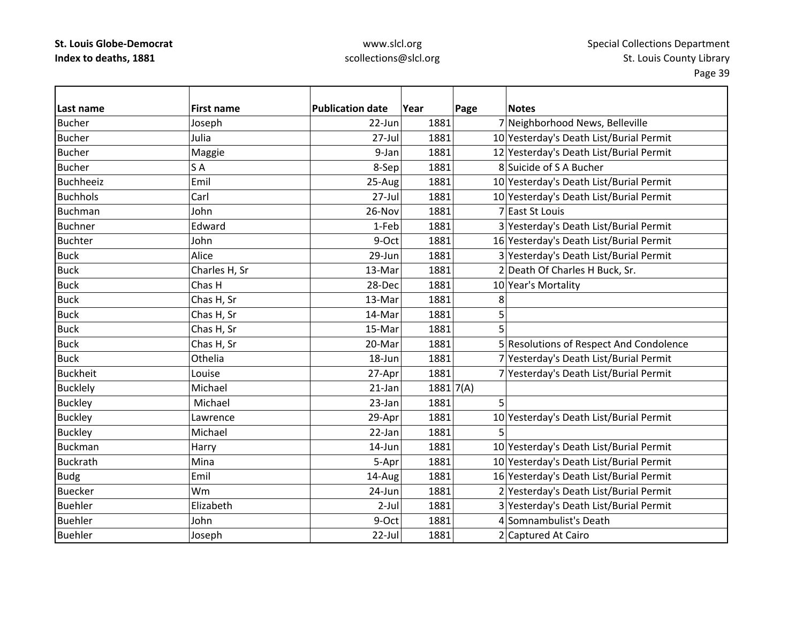# www.slcl.org scollections@slcl.org

| Last name        | <b>First name</b> | <b>Publication date</b> | Year        | Page | <b>Notes</b>                            |
|------------------|-------------------|-------------------------|-------------|------|-----------------------------------------|
| <b>Bucher</b>    | Joseph            | 22-Jun                  | 1881        |      | 7 Neighborhood News, Belleville         |
| <b>Bucher</b>    | Julia             | 27-Jul                  | 1881        |      | 10 Yesterday's Death List/Burial Permit |
| <b>Bucher</b>    | Maggie            | 9-Jan                   | 1881        |      | 12 Yesterday's Death List/Burial Permit |
| <b>Bucher</b>    | SA                | 8-Sep                   | 1881        |      | 8 Suicide of S A Bucher                 |
| <b>Buchheeiz</b> | Emil              | 25-Aug                  | 1881        |      | 10 Yesterday's Death List/Burial Permit |
| <b>Buchhols</b>  | Carl              | 27-Jul                  | 1881        |      | 10 Yesterday's Death List/Burial Permit |
| <b>Buchman</b>   | John              | 26-Nov                  | 1881        |      | 7 East St Louis                         |
| <b>Buchner</b>   | Edward            | 1-Feb                   | 1881        |      | 3 Yesterday's Death List/Burial Permit  |
| <b>Buchter</b>   | John              | 9-Oct                   | 1881        |      | 16 Yesterday's Death List/Burial Permit |
| <b>Buck</b>      | Alice             | 29-Jun                  | 1881        |      | 3 Yesterday's Death List/Burial Permit  |
| <b>Buck</b>      | Charles H, Sr     | 13-Mar                  | 1881        |      | 2 Death Of Charles H Buck, Sr.          |
| <b>Buck</b>      | Chas H            | 28-Dec                  | 1881        |      | 10 Year's Mortality                     |
| <b>Buck</b>      | Chas H, Sr        | 13-Mar                  | 1881        | 8    |                                         |
| <b>Buck</b>      | Chas H, Sr        | 14-Mar                  | 1881        | 5    |                                         |
| <b>Buck</b>      | Chas H, Sr        | 15-Mar                  | 1881        | 5    |                                         |
| <b>Buck</b>      | Chas H, Sr        | 20-Mar                  | 1881        |      | 5 Resolutions of Respect And Condolence |
| <b>Buck</b>      | Othelia           | 18-Jun                  | 1881        |      | 7 Yesterday's Death List/Burial Permit  |
| <b>Buckheit</b>  | Louise            | 27-Apr                  | 1881        |      | 7 Yesterday's Death List/Burial Permit  |
| <b>Bucklely</b>  | Michael           | 21-Jan                  | 1881   7(A) |      |                                         |
| <b>Buckley</b>   | Michael           | 23-Jan                  | 1881        | 5    |                                         |
| <b>Buckley</b>   | Lawrence          | 29-Apr                  | 1881        |      | 10 Yesterday's Death List/Burial Permit |
| <b>Buckley</b>   | Michael           | 22-Jan                  | 1881        | 5    |                                         |
| <b>Buckman</b>   | Harry             | 14-Jun                  | 1881        |      | 10 Yesterday's Death List/Burial Permit |
| <b>Buckrath</b>  | Mina              | 5-Apr                   | 1881        |      | 10 Yesterday's Death List/Burial Permit |
| <b>Budg</b>      | Emil              | 14-Aug                  | 1881        |      | 16 Yesterday's Death List/Burial Permit |
| <b>Buecker</b>   | Wm                | 24-Jun                  | 1881        |      | 2 Yesterday's Death List/Burial Permit  |
| <b>Buehler</b>   | Elizabeth         | $2-Jul$                 | 1881        |      | 3 Yesterday's Death List/Burial Permit  |
| <b>Buehler</b>   | John              | 9-Oct                   | 1881        |      | 4 Somnambulist's Death                  |
| <b>Buehler</b>   | Joseph            | 22-Jul                  | 1881        |      | 2 Captured At Cairo                     |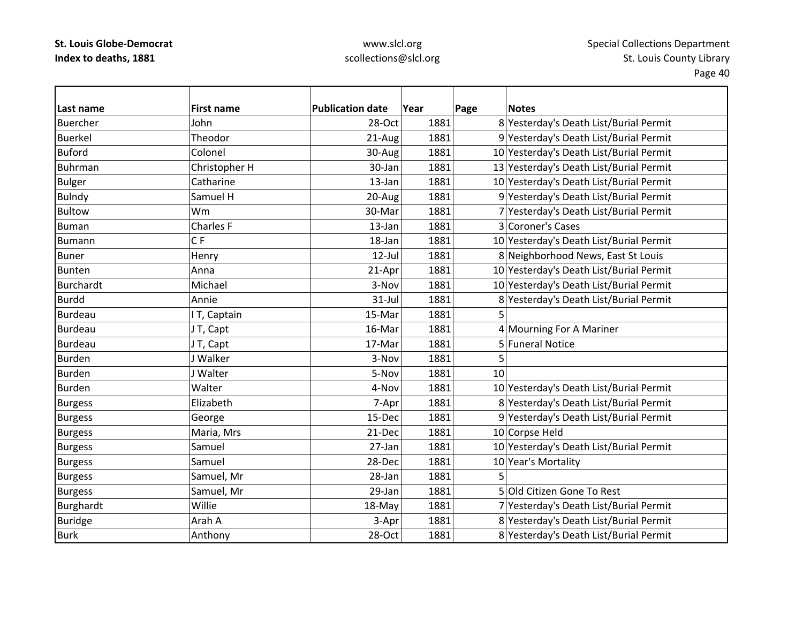### www.slcl.org scollections@slcl.org

**Last name First name Publication date Year Page Notes** Buercher John28-Oct 1881 8 Yesterday's Death List/Burial Permit Buerkel Theodor21-Aug 1881 9 Yesterday's Death List/Burial Permit BufordColonel 1881  $\vert$  30-Aug 1881 10 Yesterday's Death List/Burial Permit BuhrmanChristopher H 30‐Jan 1881 13 Yesterday's Death List/Burial Permit Bulger  $\vert$  Catharine  $\vert$  13-Jan 1881 10 Yesterday's Death List/Burial Permit Bulndy Samuel H 20-Aug 1881 9 Yesterday's Death List/Burial Permit Bultow Wm30-Mar 1881 7 Yesterday's Death List/Burial Permit BumanCharles F 13–Jan 1881 3 Coroner's Cases Bumannn IC CF 18-Jan 18-Jan 1881 10 Yesterday's Death List/Burial Permit BunerHenry 12‐Jul 1881 8 Neighborhood News, East St Louis BuntenAnna 21-Apr 1881 10 Yesterday's Death List/Burial Permit BurchardtMichael 1881 1881 10 Yesterday's Death List/Burial Permit Burdd Annie 31‐Jul 1881 8 Yesterday's Death List/Burial Permit Burdeau $\begin{array}{|c|c|c|c|}\n\hline\n\end{array}$  I T, Captain 15-Mar  $\begin{array}{|c|c|c|}\n\hline\n\end{array}$  1881 5 BurdeauJ T, Capt  $\vert$  16-Mar $\vert$  1881 4 Mourning For A Mariner BurdeauJ T, Capt 17‐Mar 1881 5 Funeral Notice Burdenn 3-Nov 1881 5 Burdenn 5-Nov 1881 10 BurdenWalter 1881 1881 10 Yesterday's Death List/Burial Permit Burgess Elizabeth 7‐Apr 1881 8 Yesterday's Death List/Burial Permit Burgess George 15‐Dec 1881 9 Yesterday's Death List/Burial Permit Burgess Maria, Mrs 21‐Dec 1881 10 Corpse Held Burgess Samuel 27-Jan 1881 10 Yesterday's Death List/Burial Permit Burgess Samuel 28-Dec 1881 10 Year's Mortality Burgess Samuel, Mr 28-Jan 1881 5 Burgess Samuel, Mr 29-Jan 1881 5 Old Citizen Gone To Rest Burghardt 
Humandt 
Unillie IVIII voor alle als-May 1881 7 Yesterday's Death List/Burial Permit Buridge Arah Arah Arah A 3‐Apr 1881 8 Yesterday's Death List/Burial Permit BurkAnthony 28-Oct 1881 8 Yesterday's Death List/Burial Permit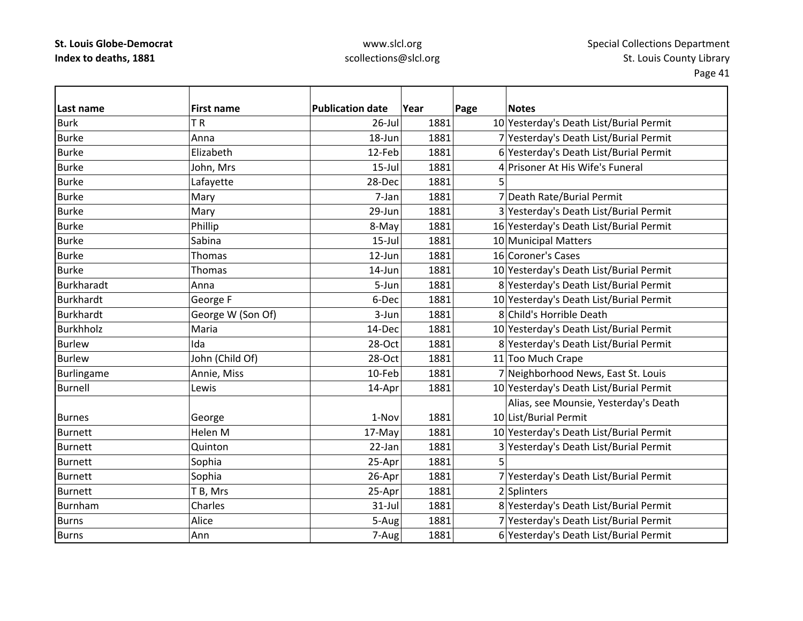# www.slcl.org scollections@slcl.org

| Last name         | <b>First name</b> | <b>Publication date</b> | Year | Page | <b>Notes</b>                            |
|-------------------|-------------------|-------------------------|------|------|-----------------------------------------|
| <b>Burk</b>       | TR                | $26$ -Jul               | 1881 |      | 10 Yesterday's Death List/Burial Permit |
| <b>Burke</b>      | Anna              | 18-Jun                  | 1881 |      | 7 Yesterday's Death List/Burial Permit  |
| <b>Burke</b>      | Elizabeth         | 12-Feb                  | 1881 |      | 6 Yesterday's Death List/Burial Permit  |
| <b>Burke</b>      | John, Mrs         | $15$ -Jul               | 1881 |      | 4 Prisoner At His Wife's Funeral        |
| <b>Burke</b>      | Lafayette         | 28-Dec                  | 1881 |      |                                         |
| <b>Burke</b>      | Mary              | 7-Jan                   | 1881 |      | 7 Death Rate/Burial Permit              |
| <b>Burke</b>      | Mary              | 29-Jun                  | 1881 |      | 3 Yesterday's Death List/Burial Permit  |
| <b>Burke</b>      | Phillip           | 8-May                   | 1881 |      | 16 Yesterday's Death List/Burial Permit |
| <b>Burke</b>      | Sabina            | $15$ -Jul               | 1881 |      | 10 Municipal Matters                    |
| <b>Burke</b>      | Thomas            | 12-Jun                  | 1881 |      | 16 Coroner's Cases                      |
| <b>Burke</b>      | <b>Thomas</b>     | 14-Jun                  | 1881 |      | 10 Yesterday's Death List/Burial Permit |
| <b>Burkharadt</b> | Anna              | 5-Jun                   | 1881 |      | 8 Yesterday's Death List/Burial Permit  |
| <b>Burkhardt</b>  | George F          | 6-Dec                   | 1881 |      | 10 Yesterday's Death List/Burial Permit |
| <b>Burkhardt</b>  | George W (Son Of) | 3-Jun                   | 1881 |      | 8 Child's Horrible Death                |
| <b>Burkhholz</b>  | Maria             | 14-Dec                  | 1881 |      | 10 Yesterday's Death List/Burial Permit |
| <b>Burlew</b>     | Ida               | 28-Oct                  | 1881 |      | 8 Yesterday's Death List/Burial Permit  |
| <b>Burlew</b>     | John (Child Of)   | 28-Oct                  | 1881 |      | 11 Too Much Crape                       |
| Burlingame        | Annie, Miss       | 10-Feb                  | 1881 |      | 7 Neighborhood News, East St. Louis     |
| <b>Burnell</b>    | Lewis             | 14-Apr                  | 1881 |      | 10 Yesterday's Death List/Burial Permit |
|                   |                   |                         |      |      | Alias, see Mounsie, Yesterday's Death   |
| <b>Burnes</b>     | George            | 1-Nov                   | 1881 |      | 10 List/Burial Permit                   |
| <b>Burnett</b>    | Helen M           | 17-May                  | 1881 |      | 10 Yesterday's Death List/Burial Permit |
| <b>Burnett</b>    | Quinton           | 22-Jan                  | 1881 |      | 3 Yesterday's Death List/Burial Permit  |
| <b>Burnett</b>    | Sophia            | 25-Apr                  | 1881 | 5    |                                         |
| <b>Burnett</b>    | Sophia            | 26-Apr                  | 1881 |      | 7 Yesterday's Death List/Burial Permit  |
| <b>Burnett</b>    | T B, Mrs          | 25-Apr                  | 1881 |      | 2 Splinters                             |
| Burnham           | Charles           | 31-Jul                  | 1881 |      | 8 Yesterday's Death List/Burial Permit  |
| <b>Burns</b>      | Alice             | 5-Aug                   | 1881 |      | 7 Yesterday's Death List/Burial Permit  |
| <b>Burns</b>      | Ann               | 7-Aug                   | 1881 |      | 6 Yesterday's Death List/Burial Permit  |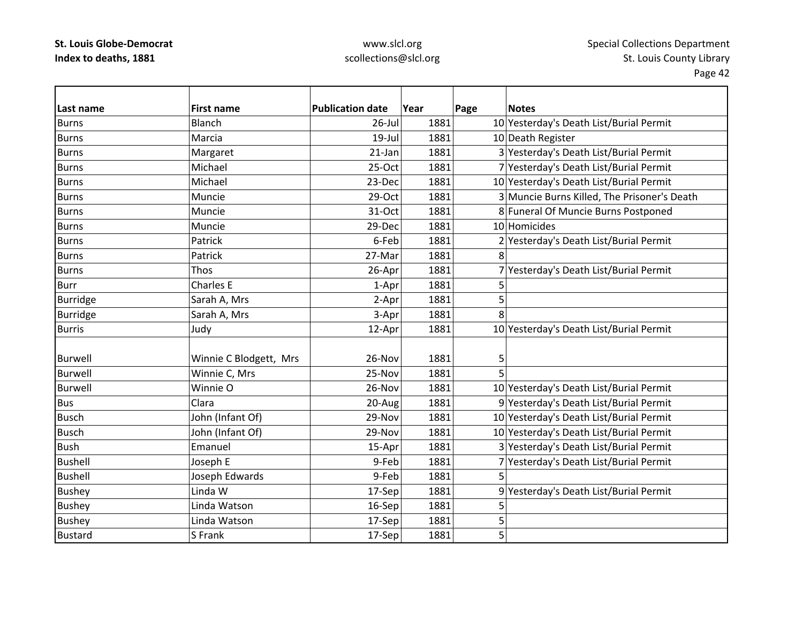# www.slcl.org scollections@slcl.org

| Last name       | <b>First name</b>      | <b>Publication date</b> | Year | Page | <b>Notes</b>                                |
|-----------------|------------------------|-------------------------|------|------|---------------------------------------------|
| <b>Burns</b>    | <b>Blanch</b>          | 26-Jul                  | 1881 |      | 10 Yesterday's Death List/Burial Permit     |
| <b>Burns</b>    | Marcia                 | $19$ -Jul               | 1881 |      | 10 Death Register                           |
| <b>Burns</b>    | Margaret               | 21-Jan                  | 1881 |      | 3 Yesterday's Death List/Burial Permit      |
| <b>Burns</b>    | Michael                | 25-Oct                  | 1881 |      | 7 Yesterday's Death List/Burial Permit      |
| <b>Burns</b>    | Michael                | 23-Dec                  | 1881 |      | 10 Yesterday's Death List/Burial Permit     |
| <b>Burns</b>    | Muncie                 | 29-Oct                  | 1881 |      | 3 Muncie Burns Killed, The Prisoner's Death |
| <b>Burns</b>    | Muncie                 | 31-Oct                  | 1881 |      | 8 Funeral Of Muncie Burns Postponed         |
| <b>Burns</b>    | Muncie                 | 29-Dec                  | 1881 |      | 10 Homicides                                |
| <b>Burns</b>    | Patrick                | 6-Feb                   | 1881 |      | 2 Yesterday's Death List/Burial Permit      |
| <b>Burns</b>    | Patrick                | 27-Mar                  | 1881 | 8    |                                             |
| <b>Burns</b>    | Thos                   | 26-Apr                  | 1881 |      | 7 Yesterday's Death List/Burial Permit      |
| <b>Burr</b>     | <b>Charles E</b>       | 1-Apr                   | 1881 | 5    |                                             |
| <b>Burridge</b> | Sarah A, Mrs           | 2-Apr                   | 1881 | 5    |                                             |
| <b>Burridge</b> | Sarah A, Mrs           | 3-Apr                   | 1881 | 8    |                                             |
| <b>Burris</b>   | Judy                   | 12-Apr                  | 1881 |      | 10 Yesterday's Death List/Burial Permit     |
|                 |                        |                         |      |      |                                             |
| <b>Burwell</b>  | Winnie C Blodgett, Mrs | 26-Nov                  | 1881 | 5    |                                             |
| <b>Burwell</b>  | Winnie C, Mrs          | 25-Nov                  | 1881 | 5    |                                             |
| <b>Burwell</b>  | Winnie O               | 26-Nov                  | 1881 |      | 10 Yesterday's Death List/Burial Permit     |
| <b>Bus</b>      | Clara                  | 20-Aug                  | 1881 |      | 9 Yesterday's Death List/Burial Permit      |
| <b>Busch</b>    | John (Infant Of)       | 29-Nov                  | 1881 |      | 10 Yesterday's Death List/Burial Permit     |
| <b>Busch</b>    | John (Infant Of)       | 29-Nov                  | 1881 |      | 10 Yesterday's Death List/Burial Permit     |
| <b>Bush</b>     | Emanuel                | 15-Apr                  | 1881 |      | 3 Yesterday's Death List/Burial Permit      |
| <b>Bushell</b>  | Joseph E               | 9-Feb                   | 1881 |      | 7 Yesterday's Death List/Burial Permit      |
| <b>Bushell</b>  | Joseph Edwards         | 9-Feb                   | 1881 | 5    |                                             |
| <b>Bushey</b>   | Linda W                | 17-Sep                  | 1881 |      | 9 Yesterday's Death List/Burial Permit      |
| <b>Bushey</b>   | Linda Watson           | 16-Sep                  | 1881 | 5    |                                             |
| <b>Bushey</b>   | Linda Watson           | 17-Sep                  | 1881 | 5    |                                             |
| <b>Bustard</b>  | S Frank                | 17-Sep                  | 1881 | 5    |                                             |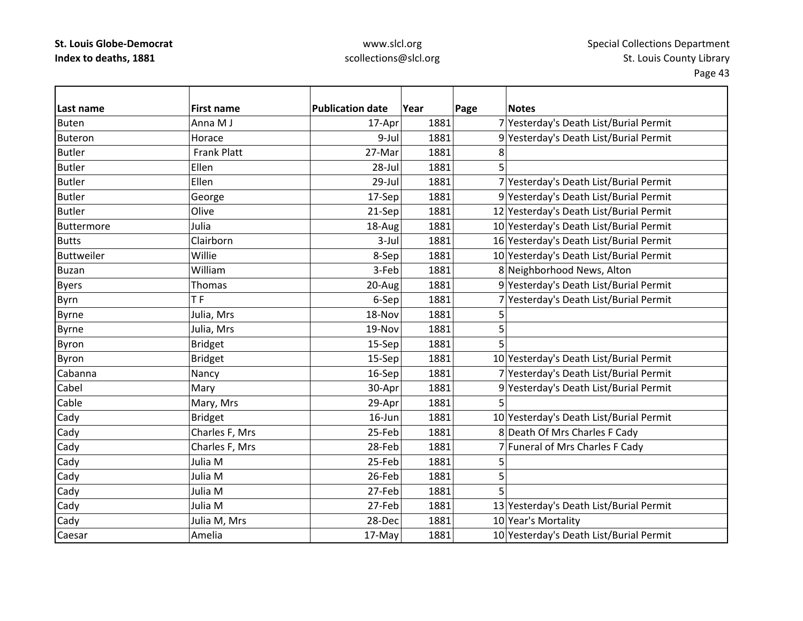# www.slcl.org scollections@slcl.org

| Last name         | <b>First name</b>  | <b>Publication date</b> | Year | Page | <b>Notes</b>                            |
|-------------------|--------------------|-------------------------|------|------|-----------------------------------------|
| <b>Buten</b>      | Anna M J           | 17-Apr                  | 1881 |      | 7 Yesterday's Death List/Burial Permit  |
| Buteron           | Horace             | 9-Jul                   | 1881 |      | 9 Yesterday's Death List/Burial Permit  |
| <b>Butler</b>     | <b>Frank Platt</b> | 27-Mar                  | 1881 | 8    |                                         |
| <b>Butler</b>     | Ellen              | 28-Jul                  | 1881 | 5    |                                         |
| <b>Butler</b>     | Ellen              | 29-Jul                  | 1881 |      | 7 Yesterday's Death List/Burial Permit  |
| <b>Butler</b>     | George             | 17-Sep                  | 1881 |      | 9 Yesterday's Death List/Burial Permit  |
| <b>Butler</b>     | Olive              | 21-Sep                  | 1881 |      | 12 Yesterday's Death List/Burial Permit |
| Buttermore        | Julia              | 18-Aug                  | 1881 |      | 10 Yesterday's Death List/Burial Permit |
| <b>Butts</b>      | Clairborn          | $3$ -Jul                | 1881 |      | 16 Yesterday's Death List/Burial Permit |
| <b>Buttweiler</b> | Willie             | 8-Sep                   | 1881 |      | 10 Yesterday's Death List/Burial Permit |
| <b>Buzan</b>      | William            | 3-Feb                   | 1881 |      | 8 Neighborhood News, Alton              |
| <b>Byers</b>      | Thomas             | 20-Aug                  | 1881 |      | 9 Yesterday's Death List/Burial Permit  |
| Byrn              | <b>TF</b>          | 6-Sep                   | 1881 |      | 7 Yesterday's Death List/Burial Permit  |
| <b>Byrne</b>      | Julia, Mrs         | 18-Nov                  | 1881 | 5    |                                         |
| <b>Byrne</b>      | Julia, Mrs         | 19-Nov                  | 1881 | 5    |                                         |
| <b>Byron</b>      | <b>Bridget</b>     | 15-Sep                  | 1881 | 5    |                                         |
| Byron             | <b>Bridget</b>     | 15-Sep                  | 1881 |      | 10 Yesterday's Death List/Burial Permit |
| Cabanna           | Nancy              | 16-Sep                  | 1881 |      | 7 Yesterday's Death List/Burial Permit  |
| Cabel             | Mary               | 30-Apr                  | 1881 |      | 9 Yesterday's Death List/Burial Permit  |
| Cable             | Mary, Mrs          | 29-Apr                  | 1881 | 5    |                                         |
| Cady              | <b>Bridget</b>     | 16-Jun                  | 1881 |      | 10 Yesterday's Death List/Burial Permit |
| Cady              | Charles F, Mrs     | 25-Feb                  | 1881 |      | 8 Death Of Mrs Charles F Cady           |
| Cady              | Charles F, Mrs     | 28-Feb                  | 1881 |      | 7 Funeral of Mrs Charles F Cady         |
| Cady              | Julia M            | 25-Feb                  | 1881 | 5    |                                         |
| Cady              | Julia M            | 26-Feb                  | 1881 | 5    |                                         |
| Cady              | Julia M            | 27-Feb                  | 1881 | 5    |                                         |
| Cady              | Julia M            | 27-Feb                  | 1881 |      | 13 Yesterday's Death List/Burial Permit |
| Cady              | Julia M, Mrs       | 28-Dec                  | 1881 |      | 10 Year's Mortality                     |
| Caesar            | Amelia             | 17-May                  | 1881 |      | 10 Yesterday's Death List/Burial Permit |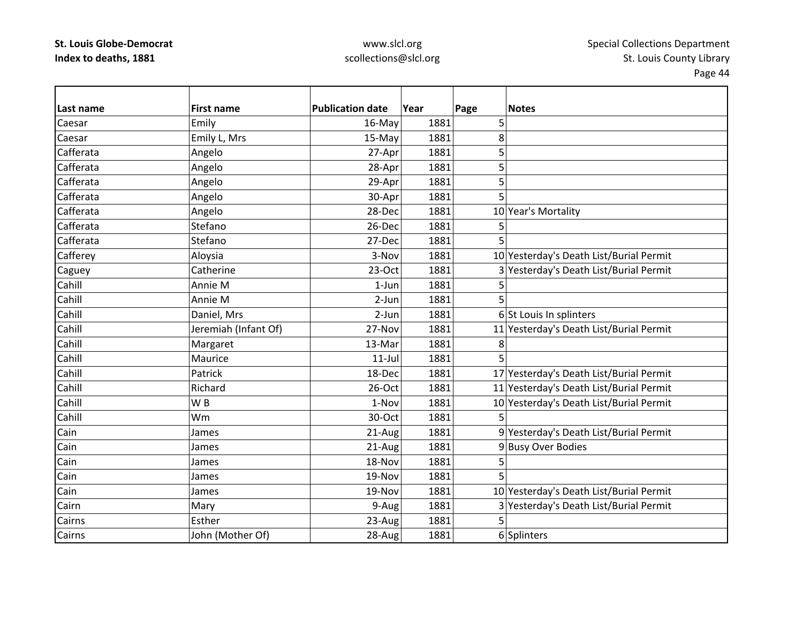Caesar

Caesar

Cahill

Cahill

Cahill

Cahill

Cahill

Cahill

Cahill

Cahill

Cahill

Cahill

Cain

Cain

Cain

Cain

Cain

Cairn

Cairns

Cairns

### www.slcl.org scollections@slcl.org

**Last nameFirst name date Year Page Notes** r |Emily 16-May| 1881| 5 Emily L, Mrs 15-May 1881 8 Cafferata Angelo 27‐Apr 1881 5 Cafferata Angelo 28‐Apr 1881 5 Cafferata Angelo 29‐Apr 1881 5 Cafferata Angelo 30‐Apr 1881 5 CafferataAngelo 28-Dec 1881 10 Year's Mortality Cafferata Stefano26-Dec 1881 5 Cafferata Stefano27-Dec 1881 5 Cafferey Aloysia 3‐Nov 1881 10 Yesterday's Death List/Burial Permit Caguey Catherine 23‐Oct 1881 3 Yesterday's Death List/Burial Permit Anniee M | 1-Jun 1881 5 Anniee M 2-Jun 1881 5 Daniel, Mrs 2-Jun 1881 6 St Louis In splinters Jeremiah (Infant Of) 27‐Nov 1881 11 Yesterday's Death List/Burial Permit Margaret  $\vert$  13-Mar 1881 8 Mauricee 11-Jul 1881 5 Patrick18-Dec 1881 17 Yesterday's Death List/Burial Permit Richard26-Oct 1881 11 Yesterday's Death List/Burial Permit WW B 1-Nov 1-Nov 1881 10 Yesterday's Death List/Burial Permit Wm30-Oct 1881 5 James 21-Aug 1881 9 Yesterday's Death List/Burial Permit James 21-Aug 1881 9 Busy Over Bodies n 18-Nov 1881 5 James 19‐Nov 1881 5 James 19‐Nov 1881 10 Yesterday's Death List/Burial Permit | Mary  $\vert$  9-Aug 1881 3 Yesterday's Death List/Burial Permit s |Esther | 23-Aug | 1881 | 5

John (Mother Of) 28‐Aug 1881 6 Splinters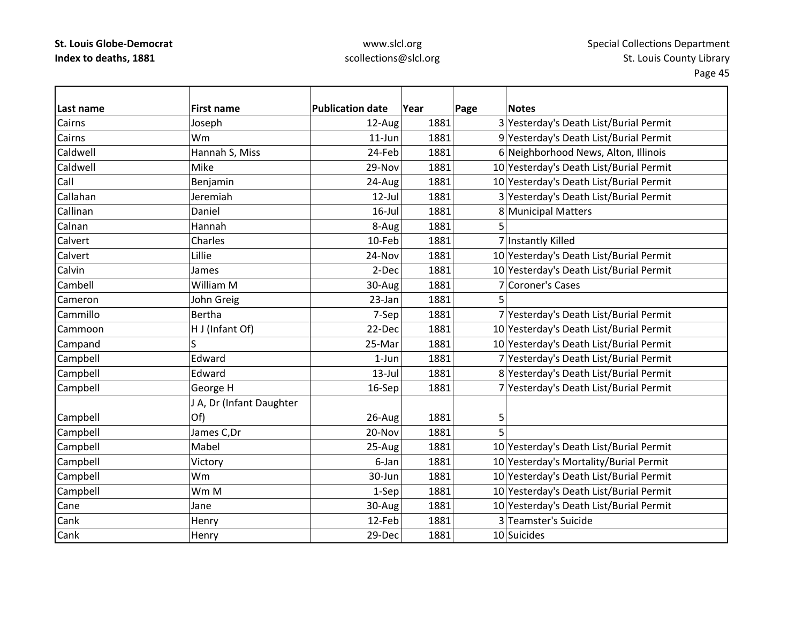### www.slcl.org scollections@slcl.org

**Last nameFirst name Publication date date Year Page Notes** Cairns Joseph 12‐Aug 1881 3 Yesterday's Death List/Burial Permit Cairns Wm11-Jun 1881 9 Yesterday's Death List/Burial Permit CaldwellHannah S, Miss  $24$ -Feb  $1881$  6 Neighborhood News, Alton, Illinois Caldwell Mike29-Nov 1881 10 Yesterday's Death List/Burial Permit CallBenjamin 24-Aug 1881 1881 10 Yesterday's Death List/Burial Permit CallahanJeremiah 12‐Jul 1881 3 Yesterday's Death List/Burial Permit CallinanDaniel 16‐Jul 1881 8 Municipal Matters Calnan Hannah 8‐Aug 1881 5 Calvert Charles10-Feb 1881 7 Instantly Killed **Calvert**  Lillie24-Nov | 1881 | 10 Yesterday's Death List/Burial Permit CalvinJames 2-Dec 1881 10 Yesterday's Death List/Burial Permit CambellWilliam M 30-Aug 1881 7 Coroner's Cases CameronJohn Greig  $23$ -Jan  $1881$  5 CammilloBertha 7‐Sep 1881 7 Yesterday's Death List/Burial Permit Cammoon HH J (Infant Of) 22-Dec 1881 10 Yesterday's Death List/Burial Permit Campand S  $\vert$ S  $\vert$  10 Yesterday's Death List/Burial Permit Campbell Edward 1‐Jun 1881 7 Yesterday's Death List/Burial Permit Campbell Edward 13‐Jul 1881 8 Yesterday's Death List/Burial Permit Campbell George H 16‐Sep 1881 7 Yesterday's Death List/Burial Permit Campbell J A, Dr (Infant Daughter Of) | 26-Aug 1881 5 Campbell  $\vert$  James C,Dr  $\vert$  20-Nov  $\vert$  1881 5 Campbell Mabel 25‐Aug 1881 10 Yesterday's Death List/Burial Permit Campbell Victory 6‐Jan 1881 10 Yesterday's Mortality/Burial Permit Campbell Wm 30‐Jun 1881 10 Yesterday's Death List/Burial Permit Campbell NMM 16 | Wm M 1‐Sep 1881 10 Yesterday's Death List/Burial Permit CaneJane 30‐Aug 1881 10 Yesterday's Death List/Burial Permit CankHenry 12‐Feb 1881 3 Teamster's Suicide CankHenry 29‐Dec 1881 10 Suicides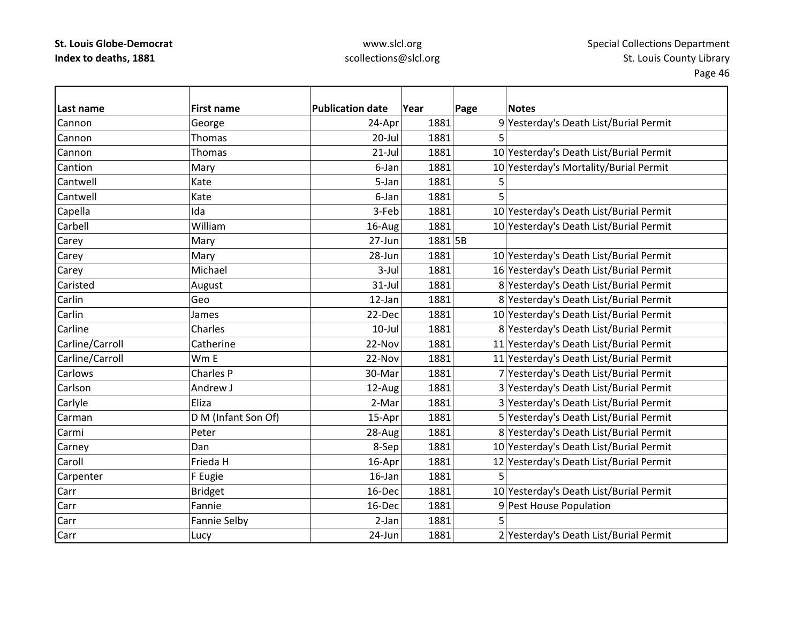### www.slcl.org scollections@slcl.org

**Last name First name Publication date Year Page Notes** CannonGeorge 24-Apr 1881 9 Yesterday's Death List/Burial Permit Cannonn |Thomas | 20-Jul| 1881| 5 CannonThomas 21‐Jul 1881 10 Yesterday's Death List/Burial Permit CantionMary 1881 6-Jan 1881 10 Yesterday's Mortality/Burial Permit **Cantwell**  Katee 5-Jan 1881 5 5 Cantwell Katee 6-Jan 1881 5 Capella Ida 3‐Feb 1881 10 Yesterday's Death List/Burial Permit **Carbell**  William16-Aug 1881 10 Yesterday's Death List/Burial Permit Carey |Mary 27‐Jun 1881 5B Carey Carey 28‐Jun 1881 10 Yesterday's Death List/Burial Permit Carey **Michael 1881** 1881 16 Yesterday's Death List/Burial Permit CaristedAugust 1881 31-Jul 1881 8 Yesterday's Death List/Burial Permit Carlin Geo12-Jan 1881 8 Yesterday's Death List/Burial Permit CarlinJames 22-Dec 1881 10 Yesterday's Death List/Burial Permit CarlineCharles 10‐Jul 1881 8 Yesterday's Death List/Burial Permit Carline/Carroll Catherine 22‐Nov 1881 11 Yesterday's Death List/Burial Permit Carline/Carroll Wm E 22‐Nov 1881 11 Yesterday's Death List/Burial Permit CarlowsCharles P 30‐Mar 1881 7 Yesterday's Death List/Burial Permit **Carlson**  Andrew12-Aug 1881 3 Yesterday's Death List/Burial Permit Carlyle Carlyle Eliza | Eliza | 2‐Mar | 2‐Mar 1881 3 Yesterday's Death List/Burial Permit Carmann | D D M (Infant Son Of)  $\begin{array}{c|c|c|c|c} & & 1881 & & 5 \end{array}$  Yesterday's Death List/Burial Permit Carmi Peter28-Aug 1881 8 Yesterday's Death List/Burial Permit Carney Dan 8‐Sep 1881 10 Yesterday's Death List/Burial Permit Caroll Frieda16-Apr 1881 12 Yesterday's Death List/Burial Permit Carpenter F Eugie 16‐Jan 1881 5 CarrBridget 16‐Dec 1881 10 Yesterday's Death List/Burial Permit Carr Fannie16-Dec 1881 9 Pest House Population Carr Fanniee Selby | 2-Jan | 1881 | 5 CarrLucy 24‐Jun 1881 2 Yesterday's Death List/Burial Permit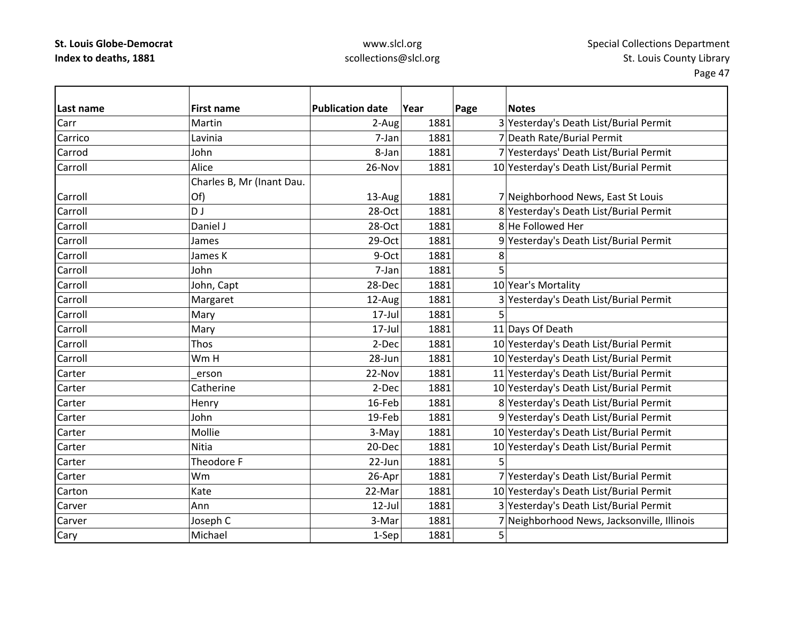# www.slcl.org scollections@slcl.org

| Last name | <b>First name</b>         | <b>Publication date</b> | Year | Page<br><b>Notes</b>                        |
|-----------|---------------------------|-------------------------|------|---------------------------------------------|
| Carr      | Martin                    | 2-Aug                   | 1881 | 3 Yesterday's Death List/Burial Permit      |
| Carrico   | Lavinia                   | 7-Jan                   | 1881 | 7 Death Rate/Burial Permit                  |
| Carrod    | John                      | 8-Jan                   | 1881 | 7 Yesterdays' Death List/Burial Permit      |
| Carroll   | Alice                     | 26-Nov                  | 1881 | 10 Yesterday's Death List/Burial Permit     |
|           | Charles B, Mr (Inant Dau. |                         |      |                                             |
| Carroll   | Of)                       | 13-Aug                  | 1881 | 7 Neighborhood News, East St Louis          |
| Carroll   | D J                       | 28-Oct                  | 1881 | 8 Yesterday's Death List/Burial Permit      |
| Carroll   | Daniel J                  | 28-Oct                  | 1881 | 8 He Followed Her                           |
| Carroll   | James                     | 29-Oct                  | 1881 | 9 Yesterday's Death List/Burial Permit      |
| Carroll   | James K                   | 9-Oct                   | 1881 | 8                                           |
| Carroll   | John                      | 7-Jan                   | 1881 | 5                                           |
| Carroll   | John, Capt                | 28-Dec                  | 1881 | 10 Year's Mortality                         |
| Carroll   | Margaret                  | 12-Aug                  | 1881 | 3 Yesterday's Death List/Burial Permit      |
| Carroll   | Mary                      | $17$ -Jul               | 1881 |                                             |
| Carroll   | Mary                      | 17-Jul                  | 1881 | 11 Days Of Death                            |
| Carroll   | Thos                      | 2-Dec                   | 1881 | 10 Yesterday's Death List/Burial Permit     |
| Carroll   | Wm H                      | 28-Jun                  | 1881 | 10 Yesterday's Death List/Burial Permit     |
| Carter    | erson                     | 22-Nov                  | 1881 | 11 Yesterday's Death List/Burial Permit     |
| Carter    | Catherine                 | 2-Dec                   | 1881 | 10 Yesterday's Death List/Burial Permit     |
| Carter    | Henry                     | 16-Feb                  | 1881 | 8 Yesterday's Death List/Burial Permit      |
| Carter    | John                      | 19-Feb                  | 1881 | 9 Yesterday's Death List/Burial Permit      |
| Carter    | Mollie                    | 3-May                   | 1881 | 10 Yesterday's Death List/Burial Permit     |
| Carter    | Nitia                     | 20-Dec                  | 1881 | 10 Yesterday's Death List/Burial Permit     |
| Carter    | Theodore F                | 22-Jun                  | 1881 |                                             |
| Carter    | Wm                        | 26-Apr                  | 1881 | 7 Yesterday's Death List/Burial Permit      |
| Carton    | Kate                      | 22-Mar                  | 1881 | 10 Yesterday's Death List/Burial Permit     |
| Carver    | Ann                       | 12-Jul                  | 1881 | 3 Yesterday's Death List/Burial Permit      |
| Carver    | Joseph C                  | 3-Mar                   | 1881 | 7 Neighborhood News, Jacksonville, Illinois |
| Cary      | Michael                   | 1-Sep                   | 1881 | 5                                           |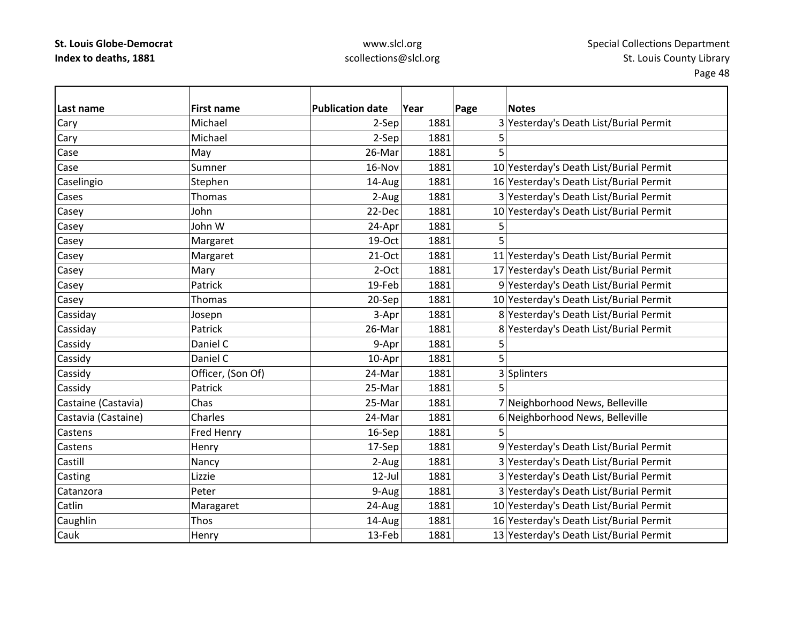### www.slcl.org scollections@slcl.org

**Last name First name Publication date Year Page Notes** Cary Michael 2‐Sep 1881 3 Yesterday's Death List/Burial Permit Cary |Michael | 2-Sep| 1881| 5 Casee |May | 26-Mar 1881 5 CaseSumner 16-Nov 1881 10 Yesterday's Death List/Burial Permit Caselingio Stephen Stephen 14‐Aug 1881 16 Yesterday's Death List/Burial Permit CasesThomas 2-Aug 1881 3 Yesterday's Death List/Burial Permit Casey John 22‐Dec 1881 10 Yesterday's Death List/Burial Permit Casey John W 24‐Apr 1881 5 Casey |Margaret 19-Oct 1881 5 Casey Margaret 21‐Oct 1881 11 Yesterday's Death List/Burial Permit Casey Mary 2‐Oct 1881 17 Yesterday's Death List/Burial Permit Casey Patrick 19‐Feb 1881 9 Yesterday's Death List/Burial Permit Casey 20‐Sep 20‐Sep 1881 10 Yesterday's Death List/Burial Permit 20‐Sep 1881 10 Yesterday's Death List/Burial Permit Cassiday Josepn 3‐Apr 1881 8 Yesterday's Death List/Burial Permit Cassiday Patrick 26‐Mar 1881 8 Yesterday's Death List/Burial Permit Cassidy |Daniel C 9-Apr 1881 5 Cassidy Daniel C 10‐Apr 1881 5 Cassidy **Cassidy Cassidy Cassidy Cassidy Cassidy Cassidy Cassidy Cassidy Cassidy Cassidy Cassid** Cassidy |Patrick | 25‐Mar 1881 5 Castaine (Castavia) Chas 25‐Mar 1881 7 Neighborhood News, Belleville Castavia (Castaine) Charles  $\vert$  24‐Mar $\vert$  1881 $\vert$  6 Neighborhood News, Belleville **Castens** s |Fred Henry 16-Sep| 1881| 5 CastensHenry 17‐Sep 1881 9 Yesterday's Death List/Burial Permit **Castill** Nancy 2-Aug 1881 3 Yesterday's Death List/Burial Permit Casting Lizzie 12‐Jul 1881 3 Yesterday's Death List/Burial Permit CatanzoraPeter 1881 3 Yesterday's Death List/Burial Permit CatlinMaragaret 24-Aug 1881 10 Yesterday's Death List/Burial Permit Caughlin Thos 14‐Aug 1881 16 Yesterday's Death List/Burial Permit CaukHenry 13‐Feb 1881 13 Yesterday's Death List/Burial Permit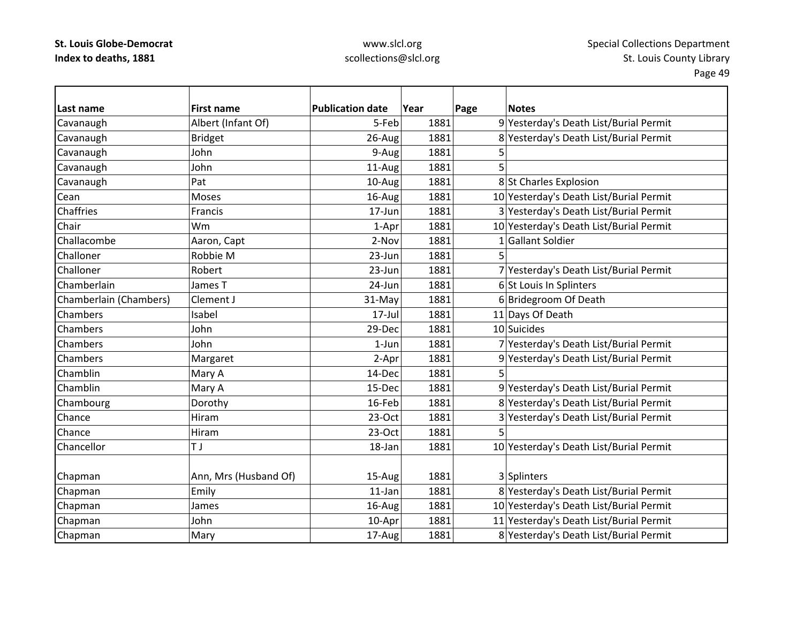**Last name**

Cean

Chair

Chaffries

Challoner

Challoner

Chambers

Chambers

Chambers

**Chambers** 

Chamblin

Chamblin

Chance

Chance

### www.slcl.org scollections@slcl.org

 **First name Publication date Year Page Notes** Cavanaugh Albert (Infant Of) 5‐Feb 1881 9 Yesterday's Death List/Burial Permit Cavanaugh Bridget 26‐Aug 1881 8 Yesterday's Death List/Burial Permit Cavanaugh John 9‐Aug 1881 5 Cavanaugh John 11‐Aug 1881 5 Cavanaugh  $\vert$ Pat  $\vert$  10–Aug 1881 8 St Charles Explosion Moses 16-Aug 1881 16-Aug 1881 10 Yesterday's Death List/Burial Permit Francis 17‐Jun 1881 3 Yesterday's Death List/Burial Permit Wm1-Apr 1881 10 Yesterday's Death List/Burial Permit ChallacombeAaron, Capt 1881 2-Nov 1881 1 Gallant Soldier Robbie $23$ -Jun 1881 5 Robert 23‐Jun 1881 7 Yesterday's Death List/Burial Permit ChamberlainJames T **No. 1891 24-Jun** 1881 **6** St Louis In Splinters Chamberlain (Chambers) Clement J 31‐May 1881 6 Bridegroom Of Death Isabel 17-Jul 1881 11 Days Of Death John29-Dec 1881 10 Suicides John1-Jun 1881 7 Yesterday's Death List/Burial Permit Margaret 2-Apr 1881 9 Yesterday's Death List/Burial Permit n |Mary A | 14-Dec| 1881| 5 Mary A 15‐Dec 1881 9 Yesterday's Death List/Burial Permit Chambourg **Dorothy** Dorothy 16‐Feb 1881 8 Yesterday's Death List/Burial Permit Hiram23-Oct 1881 3 Yesterday's Death List/Burial Permit Hiram23-Oct 1881 5 Chancellorr <u>I</u>T TJ 18–Jan 18–Jan 1881 10 Yesterday's Death List/Burial Permit Chapman  $\vert$ Ann, Mrs (Husband Of)  $\vert$  15-Aug 1881 3 Splinters Chapman Emily 11‐Jan 1881 8 Yesterday's Death List/Burial Permit Chapman James 16‐Aug 1881 10 Yesterday's Death List/Burial Permit Chapman John 10‐Apr 1881 11 Yesterday's Death List/Burial Permit

 $\vert$ Chapman Mary Mary  $\vert$  17-Aug 1881 8 Yesterday's Death List/Burial Permit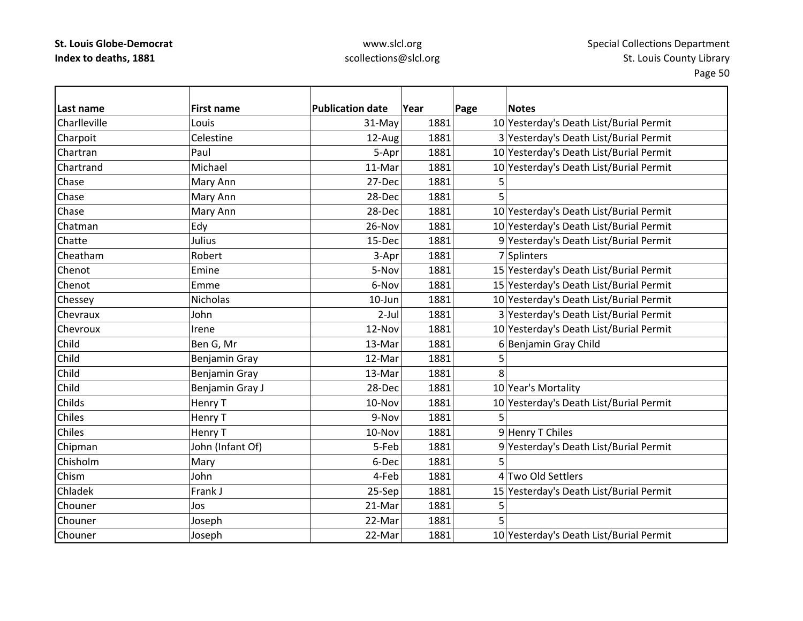# www.slcl.org scollections@slcl.org

| Last name     | <b>First name</b> | <b>Publication date</b> | Year | Page | <b>Notes</b>                            |
|---------------|-------------------|-------------------------|------|------|-----------------------------------------|
| Charlleville  | Louis             | 31-May                  | 1881 |      | 10 Yesterday's Death List/Burial Permit |
| Charpoit      | Celestine         | 12-Aug                  | 1881 |      | 3 Yesterday's Death List/Burial Permit  |
| Chartran      | Paul              | 5-Apr                   | 1881 |      | 10 Yesterday's Death List/Burial Permit |
| Chartrand     | Michael           | 11-Mar                  | 1881 |      | 10 Yesterday's Death List/Burial Permit |
| Chase         | Mary Ann          | 27-Dec                  | 1881 | 5    |                                         |
| Chase         | Mary Ann          | 28-Dec                  | 1881 | 5    |                                         |
| Chase         | Mary Ann          | 28-Dec                  | 1881 |      | 10 Yesterday's Death List/Burial Permit |
| Chatman       | Edy               | 26-Nov                  | 1881 |      | 10 Yesterday's Death List/Burial Permit |
| Chatte        | Julius            | 15-Dec                  | 1881 |      | 9 Yesterday's Death List/Burial Permit  |
| Cheatham      | Robert            | 3-Apr                   | 1881 |      | 7 Splinters                             |
| Chenot        | Emine             | 5-Nov                   | 1881 |      | 15 Yesterday's Death List/Burial Permit |
| Chenot        | Emme              | 6-Nov                   | 1881 |      | 15 Yesterday's Death List/Burial Permit |
| Chessey       | Nicholas          | 10-Jun                  | 1881 |      | 10 Yesterday's Death List/Burial Permit |
| Chevraux      | John              | $2$ -Jul                | 1881 |      | 3 Yesterday's Death List/Burial Permit  |
| Chevroux      | Irene             | 12-Nov                  | 1881 |      | 10 Yesterday's Death List/Burial Permit |
| Child         | Ben G, Mr         | 13-Mar                  | 1881 |      | 6 Benjamin Gray Child                   |
| Child         | Benjamin Gray     | 12-Mar                  | 1881 | 5    |                                         |
| Child         | Benjamin Gray     | 13-Mar                  | 1881 | 8    |                                         |
| Child         | Benjamin Gray J   | 28-Dec                  | 1881 |      | 10 Year's Mortality                     |
| Childs        | Henry T           | 10-Nov                  | 1881 |      | 10 Yesterday's Death List/Burial Permit |
| Chiles        | Henry T           | 9-Nov                   | 1881 | 5    |                                         |
| <b>Chiles</b> | Henry T           | 10-Nov                  | 1881 |      | 9 Henry T Chiles                        |
| Chipman       | John (Infant Of)  | 5-Feb                   | 1881 |      | 9 Yesterday's Death List/Burial Permit  |
| Chisholm      | Mary              | 6-Dec                   | 1881 | 5    |                                         |
| Chism         | John              | 4-Feb                   | 1881 |      | 4 Two Old Settlers                      |
| Chladek       | Frank J           | 25-Sep                  | 1881 |      | 15 Yesterday's Death List/Burial Permit |
| Chouner       | Jos               | 21-Mar                  | 1881 | 5    |                                         |
| Chouner       | Joseph            | 22-Mar                  | 1881 |      |                                         |
| Chouner       | Joseph            | 22-Mar                  | 1881 |      | 10 Yesterday's Death List/Burial Permit |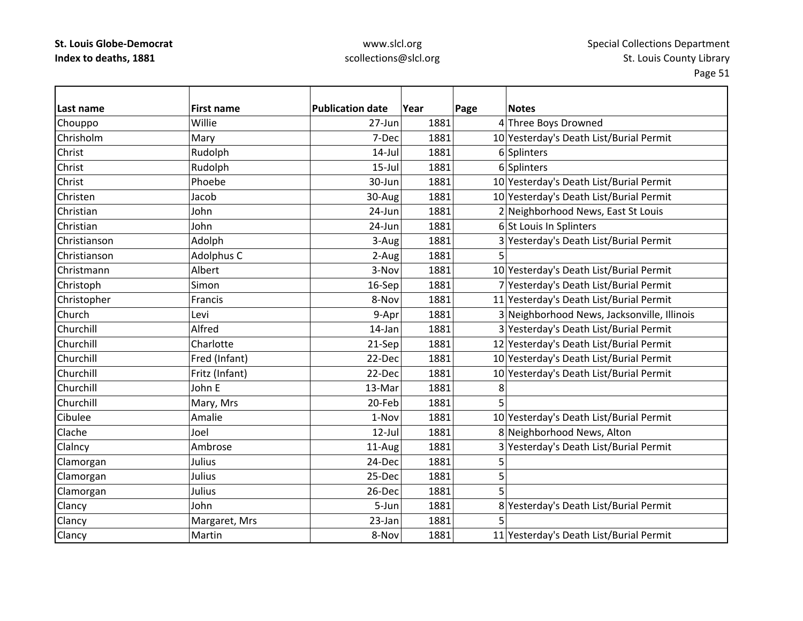# www.slcl.org scollections@slcl.org

| Last name    | <b>First name</b> | <b>Publication date</b> | Year | Page | <b>Notes</b>                                |
|--------------|-------------------|-------------------------|------|------|---------------------------------------------|
| Chouppo      | Willie            | 27-Jun                  | 1881 |      | 4 Three Boys Drowned                        |
| Chrisholm    | Mary              | 7-Dec                   | 1881 |      | 10 Yesterday's Death List/Burial Permit     |
| Christ       | Rudolph           | $14$ -Jul               | 1881 |      | 6 Splinters                                 |
| Christ       | Rudolph           | $15$ -Jul               | 1881 |      | 6 Splinters                                 |
| Christ       | Phoebe            | 30-Jun                  | 1881 |      | 10 Yesterday's Death List/Burial Permit     |
| Christen     | Jacob             | 30-Aug                  | 1881 |      | 10 Yesterday's Death List/Burial Permit     |
| Christian    | John              | 24-Jun                  | 1881 |      | 2 Neighborhood News, East St Louis          |
| Christian    | John              | 24-Jun                  | 1881 |      | 6 St Louis In Splinters                     |
| Christianson | Adolph            | 3-Aug                   | 1881 |      | 3 Yesterday's Death List/Burial Permit      |
| Christianson | Adolphus C        | 2-Aug                   | 1881 | 5    |                                             |
| Christmann   | Albert            | 3-Nov                   | 1881 |      | 10 Yesterday's Death List/Burial Permit     |
| Christoph    | Simon             | 16-Sep                  | 1881 |      | 7 Yesterday's Death List/Burial Permit      |
| Christopher  | Francis           | 8-Nov                   | 1881 |      | 11 Yesterday's Death List/Burial Permit     |
| Church       | Levi              | 9-Apr                   | 1881 |      | 3 Neighborhood News, Jacksonville, Illinois |
| Churchill    | Alfred            | 14-Jan                  | 1881 |      | 3 Yesterday's Death List/Burial Permit      |
| Churchill    | Charlotte         | 21-Sep                  | 1881 |      | 12 Yesterday's Death List/Burial Permit     |
| Churchill    | Fred (Infant)     | 22-Dec                  | 1881 |      | 10 Yesterday's Death List/Burial Permit     |
| Churchill    | Fritz (Infant)    | 22-Dec                  | 1881 |      | 10 Yesterday's Death List/Burial Permit     |
| Churchill    | John E            | 13-Mar                  | 1881 | 8    |                                             |
| Churchill    | Mary, Mrs         | 20-Feb                  | 1881 | 5    |                                             |
| Cibulee      | Amalie            | 1-Nov                   | 1881 |      | 10 Yesterday's Death List/Burial Permit     |
| Clache       | Joel              | $12$ -Jul               | 1881 |      | 8 Neighborhood News, Alton                  |
| Clalncy      | Ambrose           | 11-Aug                  | 1881 |      | 3 Yesterday's Death List/Burial Permit      |
| Clamorgan    | Julius            | 24-Dec                  | 1881 | 5    |                                             |
| Clamorgan    | Julius            | 25-Dec                  | 1881 | 5    |                                             |
| Clamorgan    | Julius            | 26-Dec                  | 1881 | 5    |                                             |
| Clancy       | John              | 5-Jun                   | 1881 |      | 8 Yesterday's Death List/Burial Permit      |
| Clancy       | Margaret, Mrs     | 23-Jan                  | 1881 |      |                                             |
| Clancy       | Martin            | 8-Nov                   | 1881 |      | 11 Yesterday's Death List/Burial Permit     |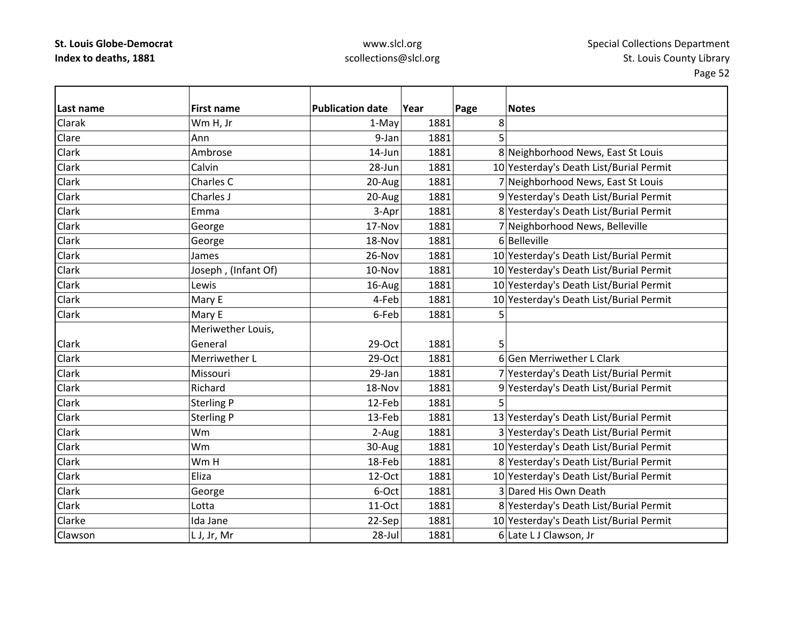# www.slcl.org scollections@slcl.org

| Last name | <b>First name</b>   | <b>Publication date</b> | Year | Page | <b>Notes</b>                            |
|-----------|---------------------|-------------------------|------|------|-----------------------------------------|
| Clarak    | Wm H, Jr            | 1-May                   | 1881 | 8    |                                         |
| Clare     | Ann                 | 9-Jan                   | 1881 | 5    |                                         |
| Clark     | Ambrose             | 14-Jun                  | 1881 |      | 8 Neighborhood News, East St Louis      |
| Clark     | Calvin              | 28-Jun                  | 1881 |      | 10 Yesterday's Death List/Burial Permit |
| Clark     | Charles C           | 20-Aug                  | 1881 |      | 7 Neighborhood News, East St Louis      |
| Clark     | Charles J           | 20-Aug                  | 1881 |      | 9 Yesterday's Death List/Burial Permit  |
| Clark     | Emma                | 3-Apr                   | 1881 |      | 8 Yesterday's Death List/Burial Permit  |
| Clark     | George              | 17-Nov                  | 1881 |      | 7 Neighborhood News, Belleville         |
| Clark     | George              | 18-Nov                  | 1881 |      | 6 Belleville                            |
| Clark     | James               | 26-Nov                  | 1881 |      | 10 Yesterday's Death List/Burial Permit |
| Clark     | Joseph, (Infant Of) | 10-Nov                  | 1881 |      | 10 Yesterday's Death List/Burial Permit |
| Clark     | Lewis               | 16-Aug                  | 1881 |      | 10 Yesterday's Death List/Burial Permit |
| Clark     | Mary E              | 4-Feb                   | 1881 |      | 10 Yesterday's Death List/Burial Permit |
| Clark     | Mary E              | 6-Feb                   | 1881 | 5    |                                         |
|           | Meriwether Louis,   |                         |      |      |                                         |
| Clark     | General             | 29-Oct                  | 1881 | 5    |                                         |
| Clark     | Merriwether L       | $29-Oct$                | 1881 |      | 6 Gen Merriwether L Clark               |
| Clark     | Missouri            | 29-Jan                  | 1881 |      | 7 Yesterday's Death List/Burial Permit  |
| Clark     | Richard             | 18-Nov                  | 1881 |      | 9 Yesterday's Death List/Burial Permit  |
| Clark     | <b>Sterling P</b>   | 12-Feb                  | 1881 | 5    |                                         |
| Clark     | <b>Sterling P</b>   | 13-Feb                  | 1881 |      | 13 Yesterday's Death List/Burial Permit |
| Clark     | Wm                  | 2-Aug                   | 1881 |      | 3 Yesterday's Death List/Burial Permit  |
| Clark     | Wm                  | 30-Aug                  | 1881 |      | 10 Yesterday's Death List/Burial Permit |
| Clark     | Wm H                | 18-Feb                  | 1881 |      | 8 Yesterday's Death List/Burial Permit  |
| Clark     | Eliza               | 12-Oct                  | 1881 |      | 10 Yesterday's Death List/Burial Permit |
| Clark     | George              | 6-Oct                   | 1881 |      | 3 Dared His Own Death                   |
| Clark     | Lotta               | 11-Oct                  | 1881 |      | 8 Yesterday's Death List/Burial Permit  |
| Clarke    | Ida Jane            | 22-Sep                  | 1881 |      | 10 Yesterday's Death List/Burial Permit |
| Clawson   | L J, Jr, Mr         | 28-Jul                  | 1881 |      | 6 Late LJ Clawson, Jr                   |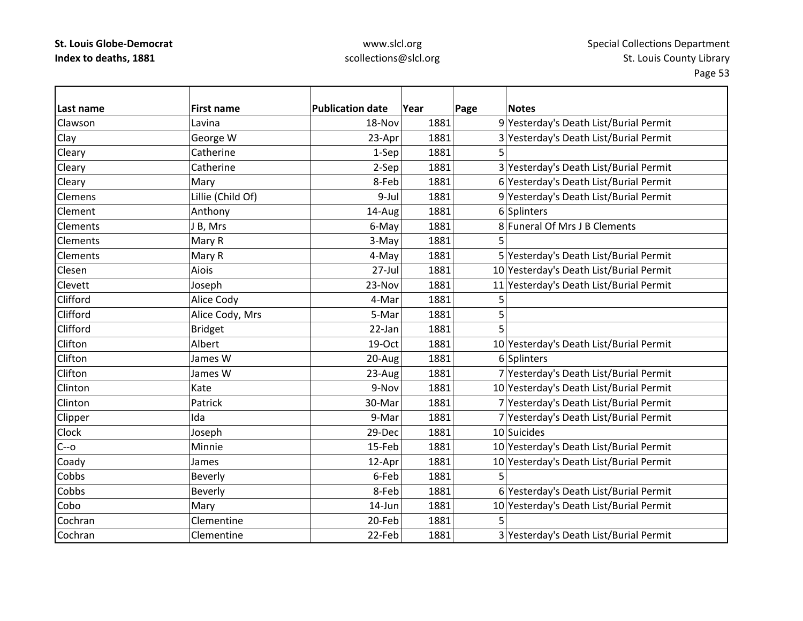# www.slcl.org scollections@slcl.org

| Last name       | <b>First name</b> | <b>Publication date</b> | Year | Page | <b>Notes</b>                            |
|-----------------|-------------------|-------------------------|------|------|-----------------------------------------|
| Clawson         | Lavina            | 18-Nov                  | 1881 |      | 9 Yesterday's Death List/Burial Permit  |
| Clay            | George W          | 23-Apr                  | 1881 |      | 3 Yesterday's Death List/Burial Permit  |
| Cleary          | Catherine         | 1-Sep                   | 1881 | 5    |                                         |
| Cleary          | Catherine         | 2-Sep                   | 1881 |      | 3 Yesterday's Death List/Burial Permit  |
| Cleary          | Mary              | 8-Feb                   | 1881 |      | 6 Yesterday's Death List/Burial Permit  |
| <b>Clemens</b>  | Lillie (Child Of) | 9-Jul                   | 1881 |      | 9 Yesterday's Death List/Burial Permit  |
| Clement         | Anthony           | 14-Aug                  | 1881 |      | 6 Splinters                             |
| <b>Clements</b> | J B, Mrs          | 6-May                   | 1881 |      | 8 Funeral Of Mrs J B Clements           |
| <b>Clements</b> | Mary R            | 3-May                   | 1881 |      |                                         |
| <b>Clements</b> | Mary R            | 4-May                   | 1881 |      | 5 Yesterday's Death List/Burial Permit  |
| Clesen          | Aiois             | 27-Jul                  | 1881 |      | 10 Yesterday's Death List/Burial Permit |
| Clevett         | Joseph            | 23-Nov                  | 1881 |      | 11 Yesterday's Death List/Burial Permit |
| Clifford        | Alice Cody        | 4-Mar                   | 1881 | 5    |                                         |
| Clifford        | Alice Cody, Mrs   | 5-Mar                   | 1881 | 5    |                                         |
| Clifford        | <b>Bridget</b>    | 22-Jan                  | 1881 | 5    |                                         |
| Clifton         | Albert            | 19-Oct                  | 1881 |      | 10 Yesterday's Death List/Burial Permit |
| Clifton         | James W           | 20-Aug                  | 1881 |      | 6 Splinters                             |
| Clifton         | James W           | 23-Aug                  | 1881 |      | 7 Yesterday's Death List/Burial Permit  |
| Clinton         | Kate              | 9-Nov                   | 1881 |      | 10 Yesterday's Death List/Burial Permit |
| Clinton         | Patrick           | 30-Mar                  | 1881 |      | 7 Yesterday's Death List/Burial Permit  |
| Clipper         | Ida               | 9-Mar                   | 1881 |      | 7 Yesterday's Death List/Burial Permit  |
| Clock           | Joseph            | 29-Dec                  | 1881 |      | 10 Suicides                             |
| $C - 0$         | Minnie            | 15-Feb                  | 1881 |      | 10 Yesterday's Death List/Burial Permit |
| Coady           | James             | 12-Apr                  | 1881 |      | 10 Yesterday's Death List/Burial Permit |
| Cobbs           | Beverly           | 6-Feb                   | 1881 | 5    |                                         |
| Cobbs           | Beverly           | 8-Feb                   | 1881 |      | 6 Yesterday's Death List/Burial Permit  |
| Cobo            | Mary              | 14-Jun                  | 1881 |      | 10 Yesterday's Death List/Burial Permit |
| Cochran         | Clementine        | 20-Feb                  | 1881 |      |                                         |
| Cochran         | Clementine        | 22-Feb                  | 1881 |      | 3 Yesterday's Death List/Burial Permit  |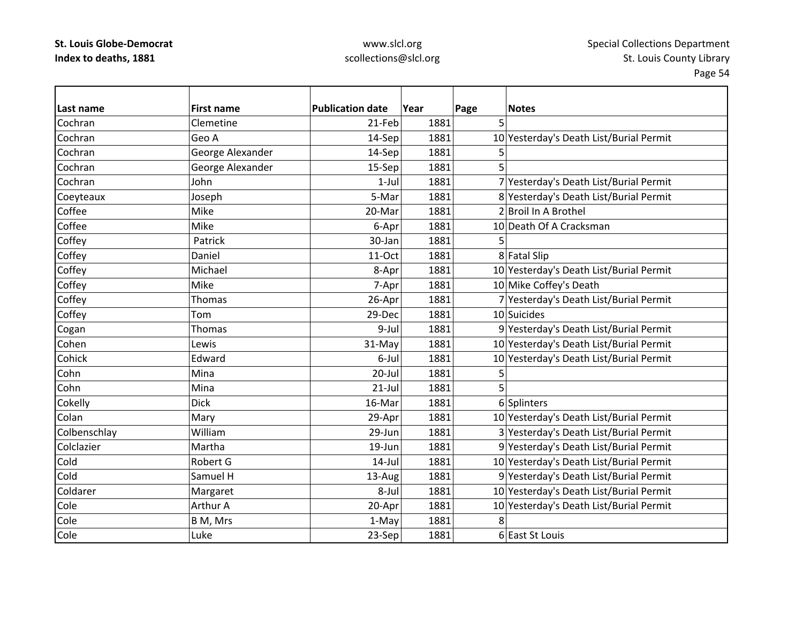### www.slcl.org scollections@slcl.org

| Last name    | <b>First name</b> | <b>Publication date</b> | Year | Page | <b>Notes</b>                            |
|--------------|-------------------|-------------------------|------|------|-----------------------------------------|
| Cochran      | Clemetine         | 21-Feb                  | 1881 | 5    |                                         |
| Cochran      | Geo A             | 14-Sep                  | 1881 |      | 10 Yesterday's Death List/Burial Permit |
| Cochran      | George Alexander  | 14-Sep                  | 1881 | 5    |                                         |
| Cochran      | George Alexander  | 15-Sep                  | 1881 | 5    |                                         |
| Cochran      | John              | $1-Jul$                 | 1881 |      | 7 Yesterday's Death List/Burial Permit  |
| Coeyteaux    | Joseph            | 5-Mar                   | 1881 |      | 8 Yesterday's Death List/Burial Permit  |
| Coffee       | Mike              | 20-Mar                  | 1881 |      | 2 Broil In A Brothel                    |
| Coffee       | Mike              | 6-Apr                   | 1881 |      | 10 Death Of A Cracksman                 |
| Coffey       | Patrick           | 30-Jan                  | 1881 | 5    |                                         |
| Coffey       | Daniel            | 11-Oct                  | 1881 |      | 8 Fatal Slip                            |
| Coffey       | Michael           | 8-Apr                   | 1881 |      | 10 Yesterday's Death List/Burial Permit |
| Coffey       | Mike              | 7-Apr                   | 1881 |      | 10 Mike Coffey's Death                  |
| Coffey       | Thomas            | 26-Apr                  | 1881 |      | 7 Yesterday's Death List/Burial Permit  |
| Coffey       | Tom               | 29-Dec                  | 1881 |      | 10 Suicides                             |
| Cogan        | Thomas            | 9-Jul                   | 1881 |      | 9 Yesterday's Death List/Burial Permit  |
| Cohen        | Lewis             | 31-May                  | 1881 |      | 10 Yesterday's Death List/Burial Permit |
| Cohick       | Edward            | 6-Jul                   | 1881 |      | 10 Yesterday's Death List/Burial Permit |
| Cohn         | Mina              | $20 -$ Jul              | 1881 | 5    |                                         |
| Cohn         | Mina              | $21$ -Jul               | 1881 | 5    |                                         |
| Cokelly      | <b>Dick</b>       | 16-Mar                  | 1881 |      | 6 Splinters                             |
| Colan        | Mary              | 29-Apr                  | 1881 |      | 10 Yesterday's Death List/Burial Permit |
| Colbenschlay | William           | 29-Jun                  | 1881 |      | 3 Yesterday's Death List/Burial Permit  |
| Colclazier   | Martha            | 19-Jun                  | 1881 |      | 9 Yesterday's Death List/Burial Permit  |
| Cold         | Robert G          | $14$ -Jul               | 1881 |      | 10 Yesterday's Death List/Burial Permit |
| Cold         | Samuel H          | 13-Aug                  | 1881 |      | 9 Yesterday's Death List/Burial Permit  |
| Coldarer     | Margaret          | 8-Jul                   | 1881 |      | 10 Yesterday's Death List/Burial Permit |
| Cole         | Arthur A          | 20-Apr                  | 1881 |      | 10 Yesterday's Death List/Burial Permit |
| Cole         | B M, Mrs          | 1-May                   | 1881 | 8    |                                         |
| Cole         | Luke              | 23-Sep                  | 1881 |      | 6 East St Louis                         |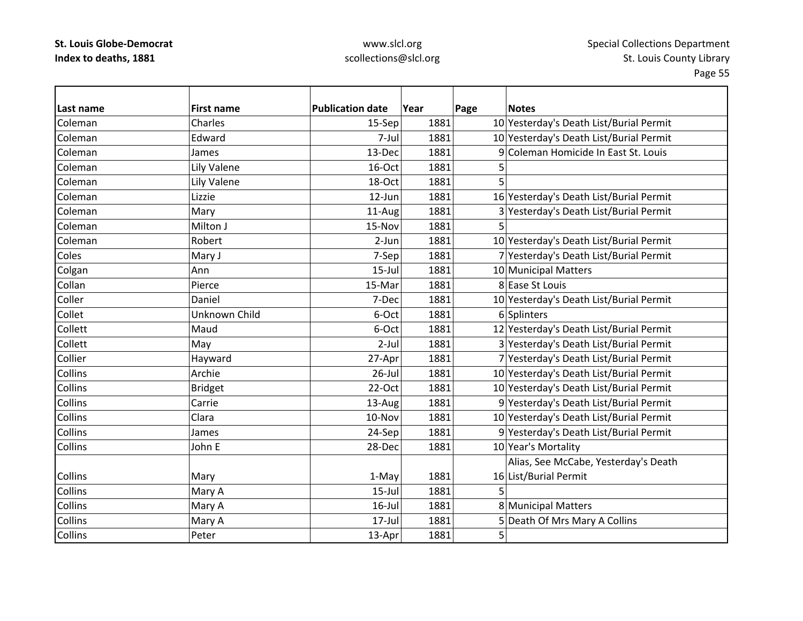# www.slcl.org scollections@slcl.org

| Last name      | <b>First name</b> | <b>Publication date</b> | Year | Page | <b>Notes</b>                            |
|----------------|-------------------|-------------------------|------|------|-----------------------------------------|
| Coleman        | Charles           | 15-Sep                  | 1881 |      | 10 Yesterday's Death List/Burial Permit |
| Coleman        | Edward            | 7-Jul                   | 1881 |      | 10 Yesterday's Death List/Burial Permit |
| Coleman        | James             | 13-Dec                  | 1881 |      | 9 Coleman Homicide In East St. Louis    |
| Coleman        | Lily Valene       | 16-Oct                  | 1881 | 5    |                                         |
| Coleman        | Lily Valene       | 18-Oct                  | 1881 |      |                                         |
| Coleman        | Lizzie            | 12-Jun                  | 1881 |      | 16 Yesterday's Death List/Burial Permit |
| Coleman        | Mary              | 11-Aug                  | 1881 |      | 3 Yesterday's Death List/Burial Permit  |
| Coleman        | Milton J          | 15-Nov                  | 1881 | 5    |                                         |
| Coleman        | Robert            | 2-Jun                   | 1881 |      | 10 Yesterday's Death List/Burial Permit |
| Coles          | Mary J            | 7-Sep                   | 1881 |      | 7 Yesterday's Death List/Burial Permit  |
| Colgan         | Ann               | $15$ -Jul               | 1881 |      | 10 Municipal Matters                    |
| Collan         | Pierce            | 15-Mar                  | 1881 |      | 8 Ease St Louis                         |
| Coller         | Daniel            | 7-Dec                   | 1881 |      | 10 Yesterday's Death List/Burial Permit |
| Collet         | Unknown Child     | 6-Oct                   | 1881 |      | 6 Splinters                             |
| Collett        | Maud              | 6-Oct                   | 1881 |      | 12 Yesterday's Death List/Burial Permit |
| Collett        | May               | $2$ -Jul                | 1881 |      | 3 Yesterday's Death List/Burial Permit  |
| Collier        | Hayward           | 27-Apr                  | 1881 |      | 7 Yesterday's Death List/Burial Permit  |
| <b>Collins</b> | Archie            | $26$ -Jul               | 1881 |      | 10 Yesterday's Death List/Burial Permit |
| <b>Collins</b> | <b>Bridget</b>    | 22-Oct                  | 1881 |      | 10 Yesterday's Death List/Burial Permit |
| <b>Collins</b> | Carrie            | 13-Aug                  | 1881 |      | 9 Yesterday's Death List/Burial Permit  |
| <b>Collins</b> | Clara             | 10-Nov                  | 1881 |      | 10 Yesterday's Death List/Burial Permit |
| Collins        | James             | 24-Sep                  | 1881 |      | 9 Yesterday's Death List/Burial Permit  |
| Collins        | John E            | 28-Dec                  | 1881 |      | 10 Year's Mortality                     |
|                |                   |                         |      |      | Alias, See McCabe, Yesterday's Death    |
| <b>Collins</b> | Mary              | 1-May                   | 1881 |      | 16 List/Burial Permit                   |
| <b>Collins</b> | Mary A            | $15$ -Jul               | 1881 | 5    |                                         |
| <b>Collins</b> | Mary A            | $16$ -Jul               | 1881 |      | 8 Municipal Matters                     |
| <b>Collins</b> | Mary A            | $17$ -Jul               | 1881 |      | 5 Death Of Mrs Mary A Collins           |
| Collins        | Peter             | 13-Apr                  | 1881 | 5    |                                         |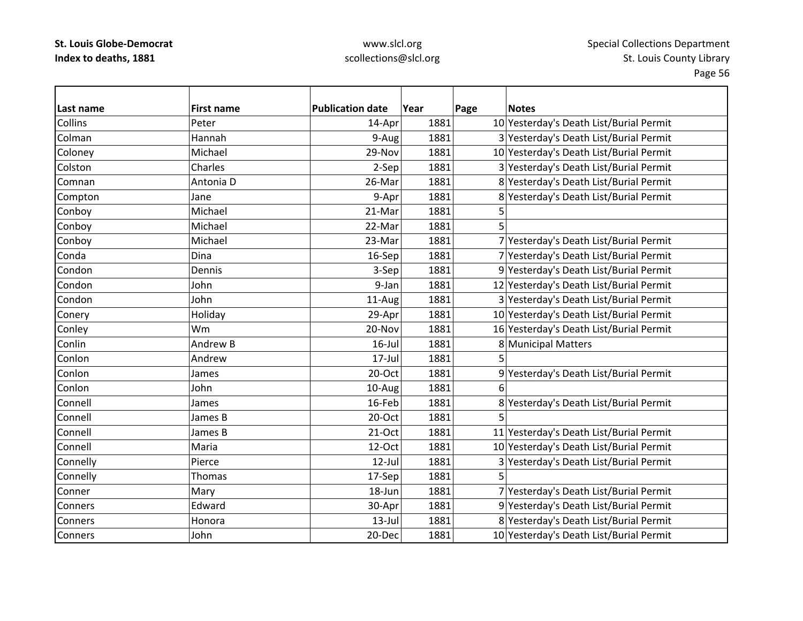### www.slcl.org scollections@slcl.org

**Last nameFirst name Publication date date Year Page Notes Collins** Peter 14–Apr 1881 10 Yesterday's Death List/Burial Permit ColmanHannah 19–19–1881 1881 3 Yesterday's Death List/Burial Permit Coloney Michael 29‐Nov 1881 10 Yesterday's Death List/Burial Permit ColstonCharles 2–Sep 1881 3 Yesterday's Death List/Burial Permit ComnanAntonia D 26-Mar 1881 8 Yesterday's Death List/Burial Permit Compton Jane Jane June 1881 8 Yesterday's Death List/Burial Permit Conboy Michael 21‐Mar 1881 5 Conboy |Michael 22-Mar 1881 5 Conboy Michael 23‐Mar 1881 7 Yesterday's Death List/Burial Permit CondaDina 16‐Sep 1881 7 Yesterday's Death List/Burial Permit CondonDennis 2– 1881 9 Yesterday's Death List/Burial Permit CondonJohn 1881 1881 12 Yesterday's Death List/Burial Permit CondonJohn 11‐Aug 1881 3 Yesterday's Death List/Burial Permit Conery Holiday 29‐Apr 1881 10 Yesterday's Death List/Burial Permit Conley Wm 20‐Nov 1881 16 Yesterday's Death List/Burial Permit Conlin Andrew16-Jul 1881 8 Municipal Matters Conlon Andreww 17-Jul 1881 5 ConlonJames 20 20-Oct 1881 9 Yesterday's Death List/Burial Permit Conlon John 10‐Aug 1881 6 Connell James16-Feb 1881 8 Yesterday's Death List/Burial Permit Connell James $20$ -Oct  $1881$  5 Connell James21-Oct 1881 11 Yesterday's Death List/Burial Permit Connell Maria12‐Oct 1881 10 Yesterday's Death List/Burial Permit Connelly **Pierce** 12‐Jul 1881 3 Yesterday's Death List/Burial Permit Connelly Thomas 17‐Sep 1881 5 ConnerMary 18 18-Jun 1881 7 Yesterday's Death List/Burial Permit Conners Edward30-Apr 1881 9 Yesterday's Death List/Burial Permit **Conners**  Honora13-Jul 1881 8 Yesterday's Death List/Burial Permit Conners John20-Dec 1881 10 Yesterday's Death List/Burial Permit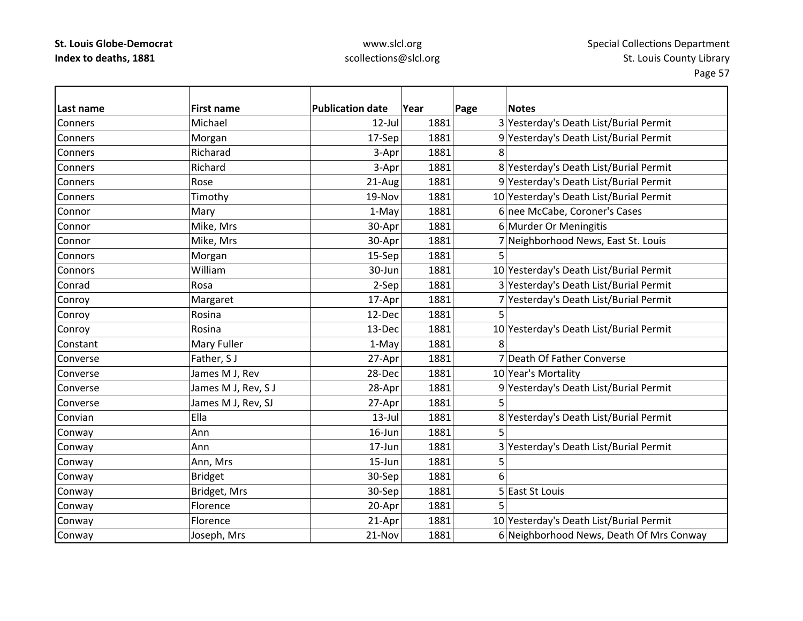# www.slcl.org scollections@slcl.org

| Last name      | <b>First name</b>   | <b>Publication date</b> | Year | Page | <b>Notes</b>                             |
|----------------|---------------------|-------------------------|------|------|------------------------------------------|
| <b>Conners</b> | Michael             | $12$ -Jul               | 1881 |      | 3 Yesterday's Death List/Burial Permit   |
| Conners        | Morgan              | 17-Sep                  | 1881 |      | 9 Yesterday's Death List/Burial Permit   |
| <b>Conners</b> | Richarad            | 3-Apr                   | 1881 | 8    |                                          |
| Conners        | Richard             | 3-Apr                   | 1881 |      | 8 Yesterday's Death List/Burial Permit   |
| Conners        | Rose                | 21-Aug                  | 1881 |      | 9 Yesterday's Death List/Burial Permit   |
| Conners        | Timothy             | 19-Nov                  | 1881 |      | 10 Yesterday's Death List/Burial Permit  |
| Connor         | Mary                | 1-May                   | 1881 |      | 6 nee McCabe, Coroner's Cases            |
| Connor         | Mike, Mrs           | 30-Apr                  | 1881 |      | 6 Murder Or Meningitis                   |
| Connor         | Mike, Mrs           | 30-Apr                  | 1881 |      | 7 Neighborhood News, East St. Louis      |
| Connors        | Morgan              | 15-Sep                  | 1881 | 5    |                                          |
| Connors        | William             | 30-Jun                  | 1881 |      | 10 Yesterday's Death List/Burial Permit  |
| Conrad         | Rosa                | 2-Sep                   | 1881 |      | 3 Yesterday's Death List/Burial Permit   |
| Conroy         | Margaret            | 17-Apr                  | 1881 |      | 7 Yesterday's Death List/Burial Permit   |
| Conroy         | Rosina              | 12-Dec                  | 1881 |      |                                          |
| Conroy         | Rosina              | 13-Dec                  | 1881 |      | 10 Yesterday's Death List/Burial Permit  |
| Constant       | Mary Fuller         | 1-May                   | 1881 | 8    |                                          |
| Converse       | Father, SJ          | 27-Apr                  | 1881 |      | 7 Death Of Father Converse               |
| Converse       | James M J, Rev      | 28-Dec                  | 1881 |      | 10 Year's Mortality                      |
| Converse       | James M J, Rev, S J | 28-Apr                  | 1881 |      | 9 Yesterday's Death List/Burial Permit   |
| Converse       | James M J, Rev, SJ  | 27-Apr                  | 1881 | 5    |                                          |
| Convian        | Ella                | $13$ -Jul               | 1881 |      | 8 Yesterday's Death List/Burial Permit   |
| Conway         | Ann                 | 16-Jun                  | 1881 | 5    |                                          |
| Conway         | Ann                 | 17-Jun                  | 1881 |      | 3 Yesterday's Death List/Burial Permit   |
| Conway         | Ann, Mrs            | 15-Jun                  | 1881 | 5    |                                          |
| Conway         | <b>Bridget</b>      | 30-Sep                  | 1881 | 6    |                                          |
| Conway         | Bridget, Mrs        | 30-Sep                  | 1881 |      | 5 East St Louis                          |
| Conway         | Florence            | 20-Apr                  | 1881 | 5    |                                          |
| Conway         | Florence            | 21-Apr                  | 1881 |      | 10 Yesterday's Death List/Burial Permit  |
| Conway         | Joseph, Mrs         | 21-Nov                  | 1881 |      | 6 Neighborhood News, Death Of Mrs Conway |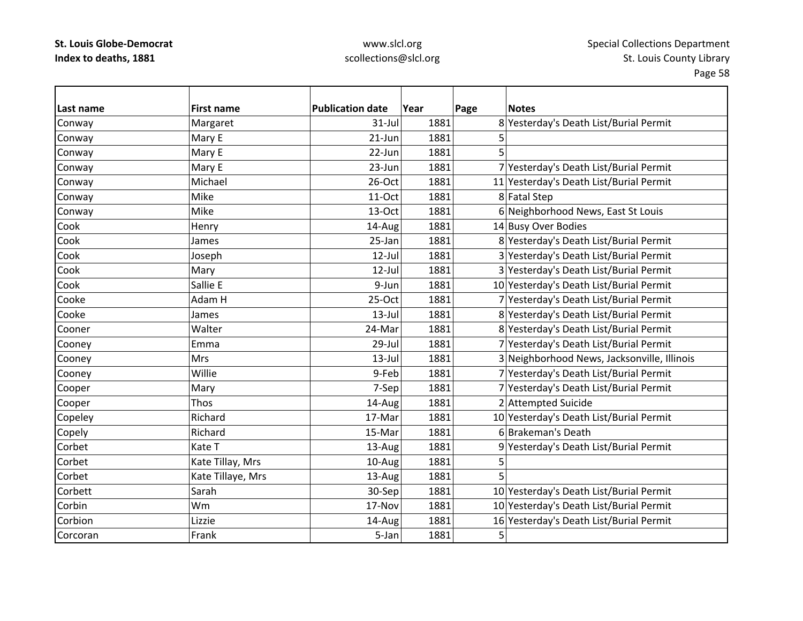### www.slcl.org scollections@slcl.org

Page 58

**Last name First name Publication date Year Page Notes** Conway Margaret 31‐Jul 1881 8 Yesterday's Death List/Burial Permit Conway |Mary E | 21-Jun| 1881| 5 Conway |Mary E | 22-Jun| 1881| 5 Conway Mary E 23-Jun 23-Jun 1881 7 Yesterday's Death List/Burial Permit Conway Michael 1881 20-Oct 1881 11 Yesterday's Death List/Burial Permit Conway Mike Nike 11‐Oct 1881 8 Fatal Step Conway  $\vert$  Mike  $\vert$  13–Oct 1881 6 Neighborhood News, East St Louis CookHenry 14-Aug 1881 1881 14 Busy Over Bodies CookJames 25-Jan 1881 8 Yesterday's Death List/Burial Permit CookJoseph 12‐Jul 1881 3 Yesterday's Death List/Burial Permit Cook| 12-Jul  $|$  1881 3 Yesterday's Death List/Burial Permit Cook Sallie9-Jun 1881 10 Yesterday's Death List/Burial Permit Cooke Adam25‐Oct | 1881 7 Yesterday's Death List/Burial Permit CookeJames 13‐Jul 1881 8 Yesterday's Death List/Burial Permit CoonerWalter 24-Mar 1881 8 Yesterday's Death List/Burial Permit Cooney Emma 29‐Jul 1881 7 Yesterday's Death List/Burial Permit Cooney Mrs 13‐Jul 1881 3 Neighborhood News, Jacksonville, Illinois Cooney Willie 9‐Feb 1881 7 Yesterday's Death List/Burial Permit Cooper Mary Mary 7‐Sep 1881 7‐Yesterday's Death List/Burial Permit 7 Amery 7‐Sep 1881 7 Yesterday's Death List Cooper Thos Thos 14-Aug 1881 2 Attempted Suicide Copeley Richard 17‐Mar 1881 10 Yesterday's Death List/Burial Permit Copely **Richard 15‐Mar 1881** 6 Brakeman's Death Richard 15‐Mar 1881 6 Brakeman's Death CorbetKate T 13-Aug 1881 9 Yesterday's Death List/Burial Permit Corbett |Kate Tillay, Mrs | 10-Aug| 1881| 5 **Corbet** t |Kate Tillaye, Mrs | 13-Aug| 1881| 5 Corbett Sarah30-Sep 1881 10 Yesterday's Death List/Burial Permit **Corbin**  Wm17-Nov 1881 10 Yesterday's Death List/Burial Permit Corbion Lizzie 14‐Aug 1881 16 Yesterday's Death List/Burial Permit CorcoranFrank 5‐Jan 1881 5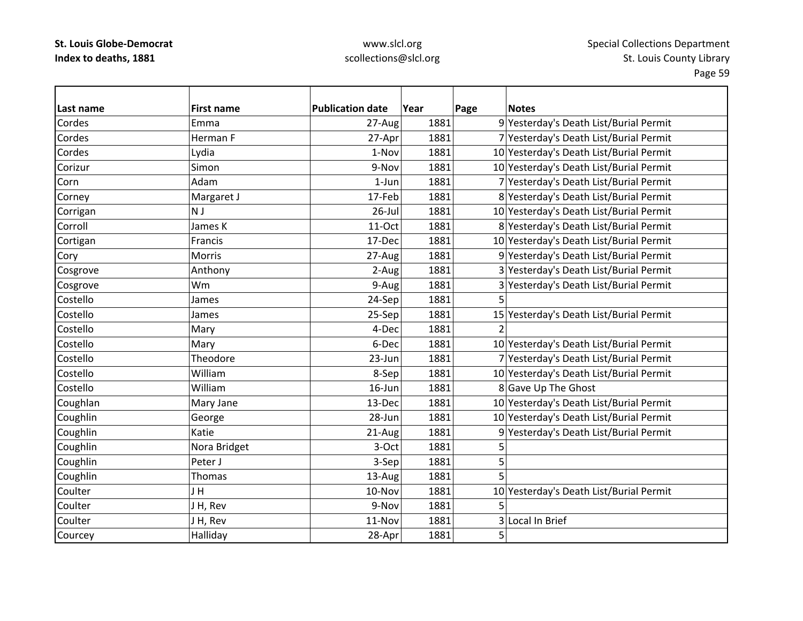# www.slcl.org scollections@slcl.org

| Last name | <b>First name</b> | <b>Publication date</b> | Year | Page | <b>Notes</b>                            |
|-----------|-------------------|-------------------------|------|------|-----------------------------------------|
| Cordes    | Emma              | 27-Aug                  | 1881 |      | 9 Yesterday's Death List/Burial Permit  |
| Cordes    | Herman F          | 27-Apr                  | 1881 |      | 7 Yesterday's Death List/Burial Permit  |
| Cordes    | Lydia             | 1-Nov                   | 1881 |      | 10 Yesterday's Death List/Burial Permit |
| Corizur   | Simon             | 9-Nov                   | 1881 |      | 10 Yesterday's Death List/Burial Permit |
| Corn      | Adam              | $1$ -Jun                | 1881 |      | 7 Yesterday's Death List/Burial Permit  |
| Corney    | Margaret J        | 17-Feb                  | 1881 |      | 8 Yesterday's Death List/Burial Permit  |
| Corrigan  | N J               | $26$ -Jul               | 1881 |      | 10 Yesterday's Death List/Burial Permit |
| Corroll   | James K           | 11-Oct                  | 1881 |      | 8 Yesterday's Death List/Burial Permit  |
| Cortigan  | Francis           | 17-Dec                  | 1881 |      | 10 Yesterday's Death List/Burial Permit |
| Cory      | Morris            | 27-Aug                  | 1881 |      | 9 Yesterday's Death List/Burial Permit  |
| Cosgrove  | Anthony           | 2-Aug                   | 1881 |      | 3 Yesterday's Death List/Burial Permit  |
| Cosgrove  | Wm                | 9-Aug                   | 1881 |      | 3 Yesterday's Death List/Burial Permit  |
| Costello  | James             | 24-Sep                  | 1881 | 5    |                                         |
| Costello  | James             | 25-Sep                  | 1881 |      | 15 Yesterday's Death List/Burial Permit |
| Costello  | Mary              | 4-Dec                   | 1881 |      |                                         |
| Costello  | Mary              | 6-Dec                   | 1881 |      | 10 Yesterday's Death List/Burial Permit |
| Costello  | Theodore          | 23-Jun                  | 1881 |      | 7 Yesterday's Death List/Burial Permit  |
| Costello  | William           | 8-Sep                   | 1881 |      | 10 Yesterday's Death List/Burial Permit |
| Costello  | William           | $16$ -Jun               | 1881 |      | 8 Gave Up The Ghost                     |
| Coughlan  | Mary Jane         | 13-Dec                  | 1881 |      | 10 Yesterday's Death List/Burial Permit |
| Coughlin  | George            | 28-Jun                  | 1881 |      | 10 Yesterday's Death List/Burial Permit |
| Coughlin  | Katie             | 21-Aug                  | 1881 |      | 9 Yesterday's Death List/Burial Permit  |
| Coughlin  | Nora Bridget      | 3-Oct                   | 1881 | 5    |                                         |
| Coughlin  | Peter J           | 3-Sep                   | 1881 | 5    |                                         |
| Coughlin  | <b>Thomas</b>     | 13-Aug                  | 1881 | 5    |                                         |
| Coulter   | JH                | 10-Nov                  | 1881 |      | 10 Yesterday's Death List/Burial Permit |
| Coulter   | JH, Rev           | 9-Nov                   | 1881 | 5    |                                         |
| Coulter   | J H, Rev          | 11-Nov                  | 1881 |      | 3 Local In Brief                        |
| Courcey   | Halliday          | 28-Apr                  | 1881 | 5    |                                         |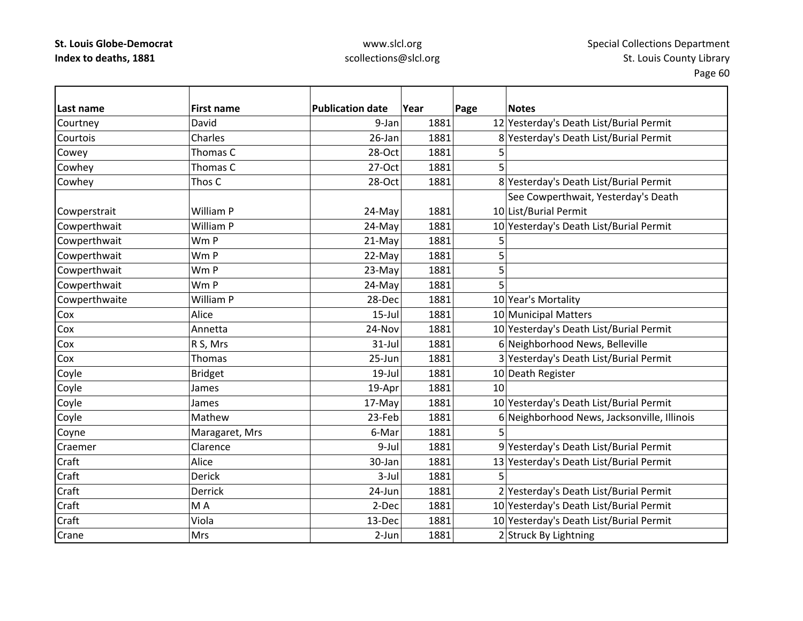# www.slcl.org scollections@slcl.org

| Last name     | <b>First name</b> | <b>Publication date</b> | Year | Page | <b>Notes</b>                                |
|---------------|-------------------|-------------------------|------|------|---------------------------------------------|
| Courtney      | David             | 9-Jan                   | 1881 |      | 12 Yesterday's Death List/Burial Permit     |
| Courtois      | Charles           | 26-Jan                  | 1881 |      | 8 Yesterday's Death List/Burial Permit      |
| Cowey         | Thomas C          | 28-Oct                  | 1881 | 5    |                                             |
| Cowhey        | Thomas C          | 27-Oct                  | 1881 | 5    |                                             |
| Cowhey        | Thos C            | 28-Oct                  | 1881 |      | 8 Yesterday's Death List/Burial Permit      |
|               |                   |                         |      |      | See Cowperthwait, Yesterday's Death         |
| Cowperstrait  | William P         | 24-May                  | 1881 |      | 10 List/Burial Permit                       |
| Cowperthwait  | William P         | 24-May                  | 1881 |      | 10 Yesterday's Death List/Burial Permit     |
| Cowperthwait  | Wm P              | 21-May                  | 1881 | 5    |                                             |
| Cowperthwait  | Wm P              | 22-May                  | 1881 | 5    |                                             |
| Cowperthwait  | Wm P              | 23-May                  | 1881 | 5    |                                             |
| Cowperthwait  | Wm P              | 24-May                  | 1881 | 5    |                                             |
| Cowperthwaite | William P         | 28-Dec                  | 1881 |      | 10 Year's Mortality                         |
| Cox           | Alice             | $15$ -Jul               | 1881 |      | 10 Municipal Matters                        |
| Cox           | Annetta           | 24-Nov                  | 1881 |      | 10 Yesterday's Death List/Burial Permit     |
| Cox           | R S, Mrs          | $31$ -Jul               | 1881 |      | 6 Neighborhood News, Belleville             |
| Cox           | Thomas            | 25-Jun                  | 1881 |      | 3 Yesterday's Death List/Burial Permit      |
| Coyle         | <b>Bridget</b>    | $19$ -Jul               | 1881 |      | 10 Death Register                           |
| Coyle         | James             | 19-Apr                  | 1881 | 10   |                                             |
| Coyle         | James             | 17-May                  | 1881 |      | 10 Yesterday's Death List/Burial Permit     |
| Coyle         | Mathew            | 23-Feb                  | 1881 |      | 6 Neighborhood News, Jacksonville, Illinois |
| Coyne         | Maragaret, Mrs    | 6-Mar                   | 1881 | 5    |                                             |
| Craemer       | Clarence          | 9-Jul                   | 1881 |      | 9 Yesterday's Death List/Burial Permit      |
| Craft         | Alice             | 30-Jan                  | 1881 |      | 13 Yesterday's Death List/Burial Permit     |
| Craft         | <b>Derick</b>     | $3$ -Jul                | 1881 | 5    |                                             |
| Craft         | Derrick           | 24-Jun                  | 1881 |      | 2 Yesterday's Death List/Burial Permit      |
| Craft         | MA                | 2-Dec                   | 1881 |      | 10 Yesterday's Death List/Burial Permit     |
| Craft         | Viola             | 13-Dec                  | 1881 |      | 10 Yesterday's Death List/Burial Permit     |
| Crane         | <b>Mrs</b>        | $2-Jun$                 | 1881 |      | 2 Struck By Lightning                       |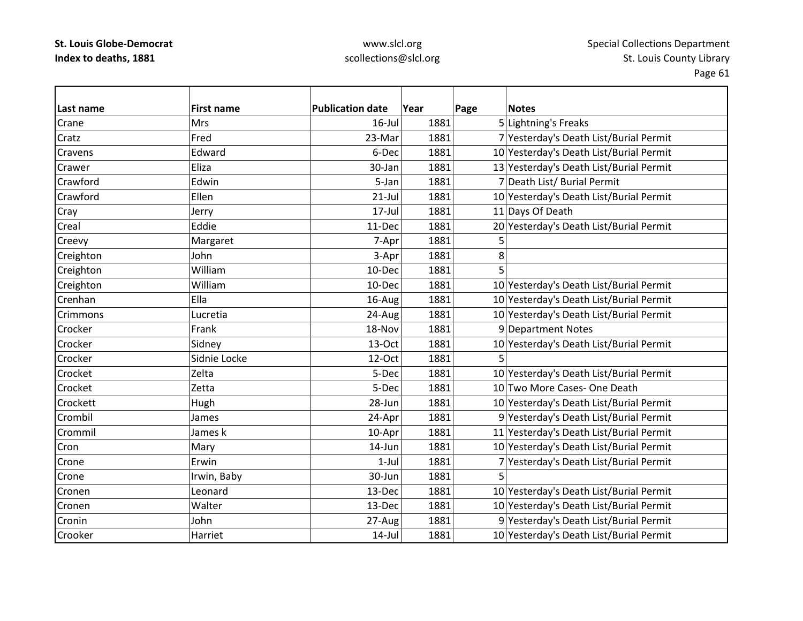# www.slcl.org scollections@slcl.org

| Last name | <b>First name</b> | <b>Publication date</b> | Year | Page | <b>Notes</b>                            |
|-----------|-------------------|-------------------------|------|------|-----------------------------------------|
| Crane     | Mrs               | $16$ -Jul               | 1881 |      | 5 Lightning's Freaks                    |
| Cratz     | Fred              | 23-Mar                  | 1881 |      | 7 Yesterday's Death List/Burial Permit  |
| Cravens   | Edward            | 6-Dec                   | 1881 |      | 10 Yesterday's Death List/Burial Permit |
| Crawer    | Eliza             | 30-Jan                  | 1881 |      | 13 Yesterday's Death List/Burial Permit |
| Crawford  | Edwin             | 5-Jan                   | 1881 |      | 7 Death List/ Burial Permit             |
| Crawford  | Ellen             | $21$ -Jul               | 1881 |      | 10 Yesterday's Death List/Burial Permit |
| Cray      | Jerry             | 17-Jul                  | 1881 |      | 11 Days Of Death                        |
| Creal     | Eddie             | 11-Dec                  | 1881 |      | 20 Yesterday's Death List/Burial Permit |
| Creevy    | Margaret          | 7-Apr                   | 1881 | 5    |                                         |
| Creighton | John              | 3-Apr                   | 1881 | 8    |                                         |
| Creighton | William           | 10-Dec                  | 1881 | 5    |                                         |
| Creighton | William           | 10-Dec                  | 1881 |      | 10 Yesterday's Death List/Burial Permit |
| Crenhan   | Ella              | 16-Aug                  | 1881 |      | 10 Yesterday's Death List/Burial Permit |
| Crimmons  | Lucretia          | 24-Aug                  | 1881 |      | 10 Yesterday's Death List/Burial Permit |
| Crocker   | Frank             | 18-Nov                  | 1881 |      | 9 Department Notes                      |
| Crocker   | Sidney            | 13-Oct                  | 1881 |      | 10 Yesterday's Death List/Burial Permit |
| Crocker   | Sidnie Locke      | 12-Oct                  | 1881 | 5    |                                         |
| Crocket   | Zelta             | 5-Dec                   | 1881 |      | 10 Yesterday's Death List/Burial Permit |
| Crocket   | Zetta             | 5-Dec                   | 1881 |      | 10 Two More Cases- One Death            |
| Crockett  | Hugh              | 28-Jun                  | 1881 |      | 10 Yesterday's Death List/Burial Permit |
| Crombil   | James             | 24-Apr                  | 1881 |      | 9 Yesterday's Death List/Burial Permit  |
| Crommil   | James k           | 10-Apr                  | 1881 |      | 11 Yesterday's Death List/Burial Permit |
| Cron      | Mary              | 14-Jun                  | 1881 |      | 10 Yesterday's Death List/Burial Permit |
| Crone     | Erwin             | $1-Jul$                 | 1881 |      | 7 Yesterday's Death List/Burial Permit  |
| Crone     | Irwin, Baby       | 30-Jun                  | 1881 |      |                                         |
| Cronen    | Leonard           | 13-Dec                  | 1881 |      | 10 Yesterday's Death List/Burial Permit |
| Cronen    | Walter            | 13-Dec                  | 1881 |      | 10 Yesterday's Death List/Burial Permit |
| Cronin    | John              | 27-Aug                  | 1881 |      | 9 Yesterday's Death List/Burial Permit  |
| Crooker   | Harriet           | $14$ -Jul               | 1881 |      | 10 Yesterday's Death List/Burial Permit |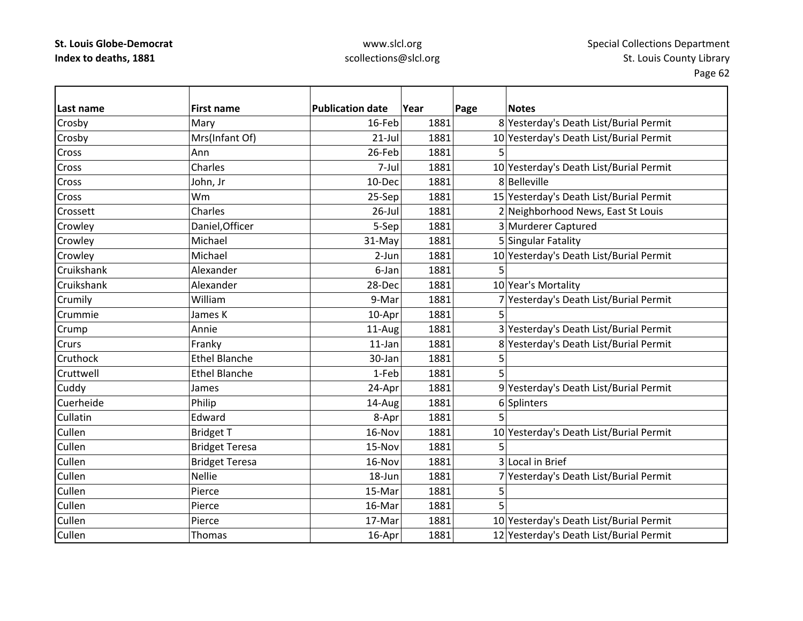**Last name**

### www.slcl.org scollections@slcl.org

Page 62 **First name Publication date Year Page Notes**

| Crosby     | Mary                  | $16$ -Feb | 1881 |   | 8 Yesterday's Death List/Burial Permit  |
|------------|-----------------------|-----------|------|---|-----------------------------------------|
| Crosby     | Mrs(Infant Of)        | $21$ -Jul | 1881 |   | 10 Yesterday's Death List/Burial Permit |
| Cross      | Ann                   | 26-Feb    | 1881 |   |                                         |
| Cross      | Charles               | 7-Jul     | 1881 |   | 10 Yesterday's Death List/Burial Permit |
| Cross      | John, Jr              | 10-Dec    | 1881 |   | 8 Belleville                            |
| Cross      | <b>Wm</b>             | 25-Sep    | 1881 |   | 15 Yesterday's Death List/Burial Permit |
| Crossett   | Charles               | 26-Jul    | 1881 |   | 2 Neighborhood News, East St Louis      |
| Crowley    | Daniel, Officer       | 5-Sep     | 1881 |   | 3 Murderer Captured                     |
| Crowley    | Michael               | 31-May    | 1881 |   | 5 Singular Fatality                     |
| Crowley    | Michael               | 2-Jun     | 1881 |   | 10 Yesterday's Death List/Burial Permit |
| Cruikshank | Alexander             | 6-Jan     | 1881 | 5 |                                         |
| Cruikshank | Alexander             | 28-Dec    | 1881 |   | 10 Year's Mortality                     |
| Crumily    | William               | 9-Mar     | 1881 |   | 7 Yesterday's Death List/Burial Permit  |
| Crummie    | James K               | 10-Apr    | 1881 | 5 |                                         |
| Crump      | Annie                 | 11-Aug    | 1881 |   | 3 Yesterday's Death List/Burial Permit  |
| Crurs      | Franky                | $11$ -Jan | 1881 |   | 8 Yesterday's Death List/Burial Permit  |
| Cruthock   | <b>Ethel Blanche</b>  | 30-Jan    | 1881 | 5 |                                         |
| Cruttwell  | <b>Ethel Blanche</b>  | 1-Feb     | 1881 |   |                                         |
| Cuddy      | James                 | 24-Apr    | 1881 |   | 9 Yesterday's Death List/Burial Permit  |
| Cuerheide  | Philip                | 14-Aug    | 1881 |   | 6 Splinters                             |
| Cullatin   | Edward                | 8-Apr     | 1881 | 5 |                                         |
| Cullen     | Bridget T             | 16-Nov    | 1881 |   | 10 Yesterday's Death List/Burial Permit |
| Cullen     | <b>Bridget Teresa</b> | 15-Nov    | 1881 |   |                                         |
| Cullen     | <b>Bridget Teresa</b> | 16-Nov    | 1881 |   | 3 Local in Brief                        |
| Cullen     | <b>Nellie</b>         | 18-Jun    | 1881 |   | 7 Yesterday's Death List/Burial Permit  |
| Cullen     | Pierce                | 15-Mar    | 1881 | 5 |                                         |
| Cullen     | Pierce                | 16-Mar    | 1881 |   |                                         |
| Cullen     | Pierce                | 17-Mar    | 1881 |   | 10 Yesterday's Death List/Burial Permit |
| Cullen     | Thomas                | 16-Apr    | 1881 |   | 12 Yesterday's Death List/Burial Permit |
|            |                       |           |      |   |                                         |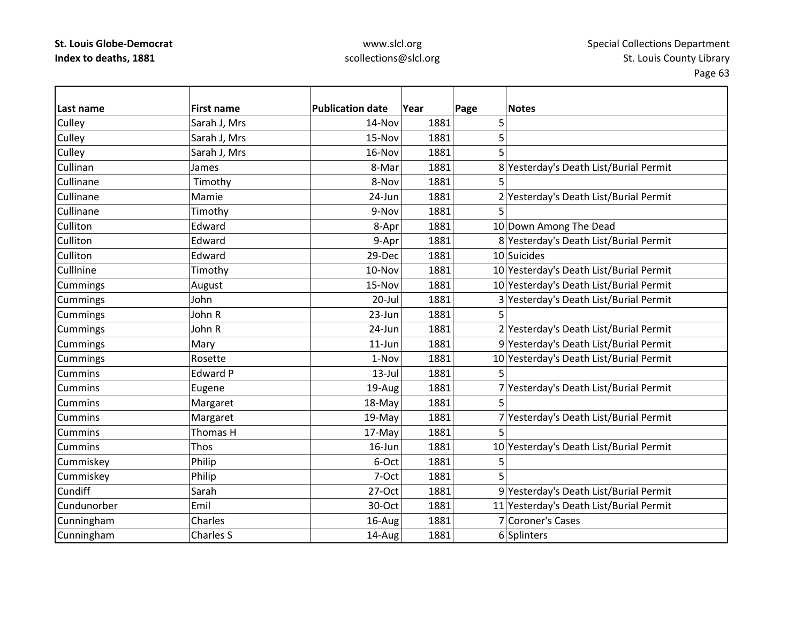### www.slcl.org scollections@slcl.org

Page 63

**Last name First name Publication date Year Page Notes** Culley Sarah J, Mrs 14-Nov 1881 5 Culley Sarah J, Mrs 15‐Nov 1881 5 Culley Sarah J, Mrs 16‐Nov 1881 5 CullinanJames 8‐Mar 1881 8‐Mar 1881 8 Yesterday's Death List/Burial Permit Cullinanee | Timothy | 8-Nov| 1881| 5 CullinaneMamie 24‐Jun 1881 24‐Jun 1881 2 Yesterday's Death List/Burial Permit Cullinanee |Timothy | 9-Nov| 1881| 5 **Culliton** Edward **1891** 1881 10 Down Among The Dead **Culliton** Edward 1881 9-Apr 1881 8 Yesterday's Death List/Burial Permit **Culliton** Edward 10 Suicides 29-Dec 1881 10 Suicides **Culllnine** Timothy 10‐Nov 1881 10 Yesterday's Death List/Burial Permit Cummings August 15-Nov 1881 10 Yesterday's Death List/Burial Permit Cummings John 20‐Jul 1881 3 Yesterday's Death List/Burial Permit Cummings John R 23‐Jun 1881 5 Cummings John R 24‐Jun 1881 2 Yesterday's Death List/Burial Permit Cummings Mary 11‐Jun 1881 9 Yesterday's Death List/Burial Permit Cummings  $\begin{array}{c|c|c|c} \text{Rosette} & \text{Rosette} & \text{Rosette} & \text{Rosette} \end{array}$  16.1-Nov  $\begin{array}{c|c|c|c} \text{Rosell} & \text{Rosell} & \text{Rosell} & \text{Rosell} \end{array}$ Cummins Edward $13$ -Jul  $1881$  5 **Cummins** Eugene 19-Aug 1881 7 Yesterday's Death List/Burial Permit **Cummins** | Margaret  $\vert$  18-May 1881 5 CumminsMargaret 19‐May 1881 7 Yesterday's Death List/Burial Permit **Cummins** s |Thomas H | 17-May| 1881| 5 CumminsThos 16–Jun 16-Jun 1881 10 Yesterday's Death List/Burial Permit Cummiskey Philip Research Philip 6-Oct 1881 5 Cummiskey Philip 7‐Oct 1881 5 **Cundiff**  Sarah27-Oct 1881 9 Yesterday's Death List/Burial Permit CundunorberEmil 30-Oct 1881 11 Yesterday's Death List/Burial Permit Cunningham Charles Charles 16–Aug 1881 7 Coroner's Cases Cunningham Charles S 14-Aug 1881 6 Splinters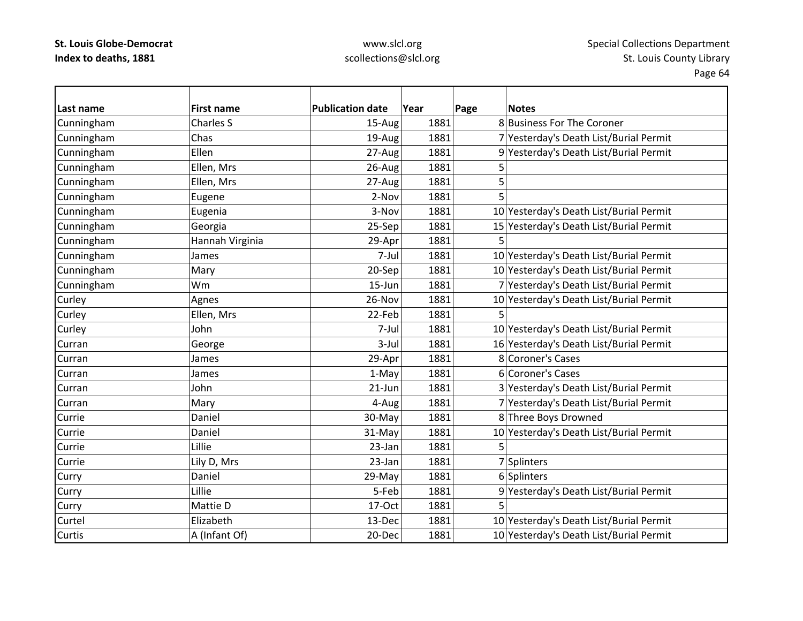### www.slcl.org scollections@slcl.org

**Last name First name Publication date Year Page Notes** Cunningham Charles S 15‐Aug 1881 8 Business For The Coroner Cunningham Chas 19‐Aug 1881 7 Yesterday's Death List/Burial Permit Cunningham Ellen 27‐Aug 1881 9 Yesterday's Death List/Burial Permit Cunningham Ellen, Mrs  $\vert$  26-Aug 1881 5 Cunningham Ellen, Mrs | 27-Aug 1881 5 Cunningham Eugene 2‐Nov 1881 5 Cunningham Eugenia 3‐Nov 1881 10 Yesterday's Death List/Burial Permit Cunningham Georgia 25‐Sep 1881 15 Yesterday's Death List/Burial Permit Cunningham **Hannah Virginia** | 29‐Apr 1881 5 Cunningham James 7‐Jul 1881 10 Yesterday's Death List/Burial Permit  $\lvert$  Cunningham  $\lvert$  Mary  $\lvert$   $\lvert$  20-Sep 1881 10 Yesterday's Death List/Burial Permit Cunningham Wm 15‐Jun 1881 7 Yesterday's Death List/Burial Permit Curley Agnes 26‐Nov 1881 10 Yesterday's Death List/Burial Permit Curley Ellen, Mrs 22‐Feb 1881 5 Curley John 7‐Jul 1881 10 Yesterday's Death List/Burial Permit CurranGeorge 1881 1881 16 Yesterday's Death List/Burial Permit CurranJames 29‐Apr 1881 8 Coroner's Cases CurranJames 1‐May 1881 6 Coroner's Cases CurranJohn 21‐Jun 1881 3 Yesterday's Death List/Burial Permit Curran| Mary  $\begin{array}{ccc} | & 4-Aug| & 1881| & 7 \end{array}$  Yesterday's Death List/Burial Permit CurrieDaniel 2011 1881 8 Three Boys Drowned CurrieDaniel 31-May 1881 1881 10 Yesterday's Death List/Burial Permit Currie Lillie 23‐Jan 1881 5Curriee |Lily D, Mrs | 23-Jan| 1881| 7|Splinters Curry Curry Daniel 29‐May 1881 6 Splinters Curry Lillie 5‐Feb 1881 9 Yesterday's Death List/Burial Permit Curry |Mattie D 17‐Oct 1881 5 Curtel Elizabeth13-Dec 1881 10 Yesterday's Death List/Burial Permit **Curtis** s la la la la la f A (Infant Of) 20-Dec 1881 10 Yesterday's Death List/Burial Permit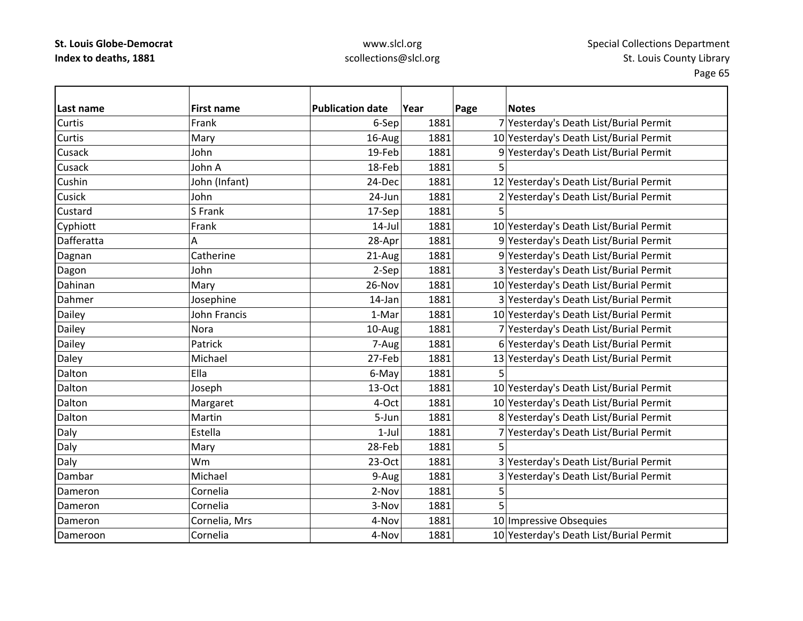### www.slcl.org scollections@slcl.org

**Last name First name Publication date Year Page Notes** Curtis Frank6-Sep 1881 7 Yesterday's Death List/Burial Permit **Curtis** Mary 16-Aug 1881 1881 10 Yesterday's Death List/Burial Permit **Cusack**  John19-Feb 1881 9 Yesterday's Death List/Burial Permit Cusack John18-Feb 1881 5 CushinJohn (Infant) 24-Dec 1881 12 Yesterday's Death List/Burial Permit Cusick John24-Jun 1881 2Yesterday's Death List/Burial Permit Custardd |S Frank | 17-Sep| 1881| 5 Cyphiott Frank 14‐Jul 1881 10 Yesterday's Death List/Burial Permit Dafferattaa | A A 28-Apr 1881 9 Yesterday's Death List/Burial Permit Dagnan Catherine 21-Aug 1881 9 Yesterday's Death List/Burial Permit Dagon John John 2‐Sep 1881 3 Yesterday's Death List/Burial Permit DahinanMary 26-Nov 1881 10 Yesterday's Death List/Burial Permit DahmerJosephine 14‐Jan 1881 3 Yesterday's Death List/Burial Permit Dailey John Francis 1–Mar 1881 10 Yesterday's Death List/Burial Permit Dailey Nora 10‐Aug 1881 7 Yesterday's Death List/Burial Permit Dailey **Patrick** Patrick **Patrick** 1881 **6** Yesterday's Death List/Burial Permit Daley Michael 27‐Feb 1881 13 Yesterday's Death List/Burial Permit Daltonn |Ella | 6-May 1881 5 **Dalton** Joseph 13–Oct 1881 10 Yesterday's Death List/Burial Permit Dalton|Margaret  $\vert$   $\vert$  4-Oct $\vert$  1881 $\vert$  10 Yesterday's Death List/Burial Permit **Dalton** Martin 1881 5-Jun 1881 8 Yesterday's Death List/Burial Permit Daly **Estella** 1-Jul 1881 7 Yesterday's Death List/Burial Permit Daly |Mary | 28-Feb| 1881| 5 Daly 23-Oct 1881 3 Yesterday's Death List/Burial Permit DambarMichael 1881 3 Yesterday's Death List/Burial Permit Dameron Cornelia 2‐Nov 1881 55 Dameron Cornelia 3‐Nov 1881 5 DameronCornelia, Mrs 1998 1998 120 Metal 1881 10 Impressive Obsequies DameroonCornelia 1981 1881 10 Yesterday's Death List/Burial Permit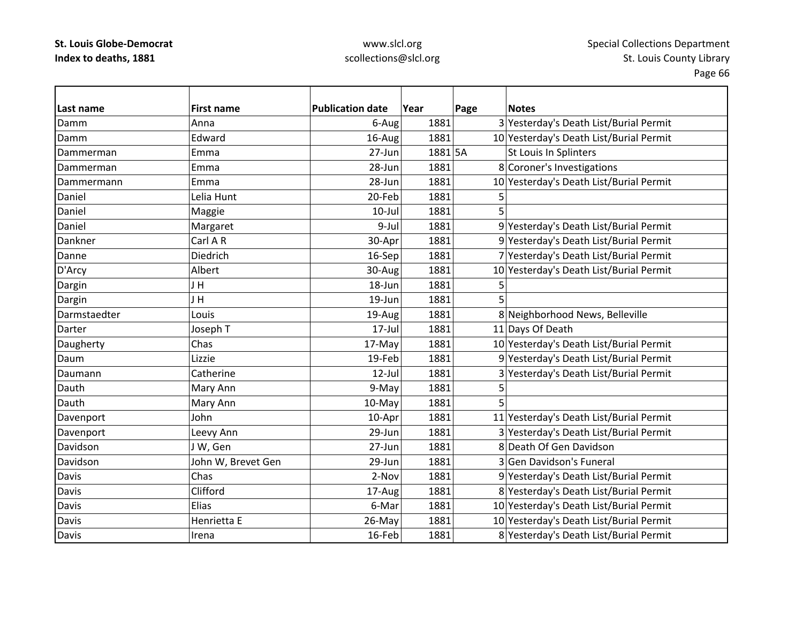### www.slcl.org scollections@slcl.org

**Last nameFirst name Publication date date Year Page Notes** Damm Anna 6‐Aug 1881 3 Yesterday's Death List/Burial Permit DammEdward 16-Aug 1881 10 Yesterday's Death List/Burial Permit DammermanEmma 27-Jun 1881 5A St Louis In Splinters DammermanEmma 28-Jun 1881 8 Coroner's Investigations DammermannEmma 28-Jun 1881 10 Yesterday's Death List/Burial Permit Daniel Lelia20-Feb 1881  $\overline{5}$ Daniel Maggie 10‐Jul 1881 5 DanielMargaret 19–10 9-Jul 1881 9 Yesterday's Death List/Burial Permit Dankner Carl A30-Apr 1881 9 Yesterday's Death List/Burial Permit Danne Diedrich16-Sep 1881 7 Yesterday's Death List/Burial Permit D'Arcy Albert 30‐Aug 1881 10 Yesterday's Death List/Burial Permit Dargin J H 18‐Jun 1881 5 Dargin J H 19‐Jun 1881 5 Darmstaedter Louis19-Aug 1881 8 Neighborhood News, Belleville DarterJoseph T  $17$ –Jul  $1881$  1881  $11$  Days Of Death Daugherty Chas Chas 17‐May 1881 10 Yesterday's Death List/Burial Permit Daum Lizzie 19‐Feb 1881 9 Yesterday's Death List/Burial Permit DaumannCatherine 12‐Jul 1881 3 Yesterday's Death List/Burial Permit Dauthh |Mary Ann | 9-May| 1881| 5 DauthMary Ann 10-May 1881 5 Davenport John John 10‐Apr 1881 11 Yesterday's Death List/Burial Permit Davenport  $\vert$  Leevy Ann  $\vert$  29-Jun $\vert$  1881 3 Yesterday's Death List/Burial Permit DavidsonJ W, Gen 27‐Jun 27‐Jun 27‐Jun 1881 8 Death Of Gen Davidson DavidsonJohn W, Brevet Gen  $\vert$  29-Jun 1881 3 Gen Davidson's Funeral DavisChas 2-Nov 1881 9 Yesterday's Death List/Burial Permit Davis Clifford17-Aug 1881 8 Yesterday's Death List/Burial Permit DavisElias 6-Mar 1881 1881 10 Yesterday's Death List/Burial Permit Davis Henrietta26-May 1881 10 Yesterday's Death List/Burial Permit Davis Irena16-Feb 1881 8 Yesterday's Death List/Burial Permit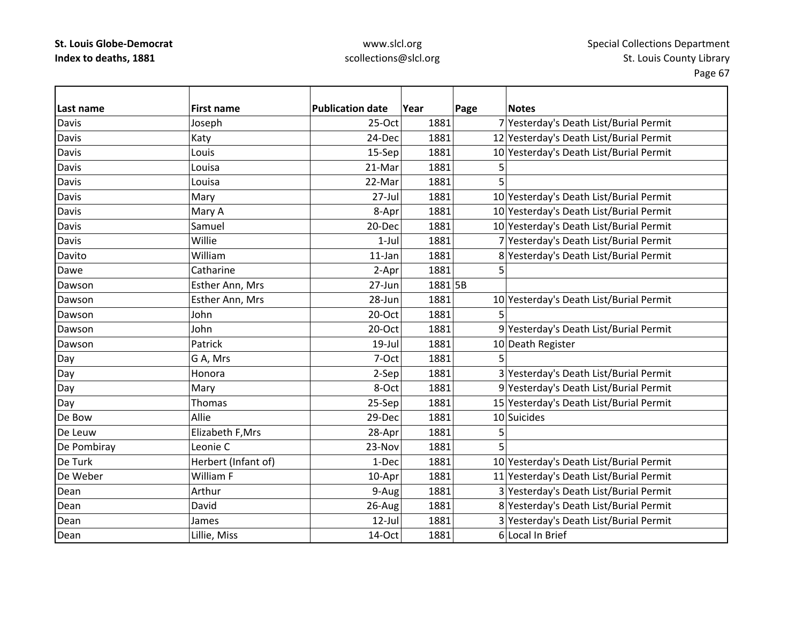# www.slcl.org scollections@slcl.org

| lLast name   | <b>First name</b>   | <b>Publication date</b> | Year    | Page | <b>Notes</b>                            |
|--------------|---------------------|-------------------------|---------|------|-----------------------------------------|
| <b>Davis</b> | Joseph              | $25-Oct$                | 1881    |      | 7 Yesterday's Death List/Burial Permit  |
| <b>Davis</b> | Katy                | 24-Dec                  | 1881    |      | 12 Yesterday's Death List/Burial Permit |
| Davis        | Louis               | 15-Sep                  | 1881    |      | 10 Yesterday's Death List/Burial Permit |
| <b>Davis</b> | Louisa              | 21-Mar                  | 1881    | 5    |                                         |
| Davis        | Louisa              | 22-Mar                  | 1881    | 5    |                                         |
| <b>Davis</b> | Mary                | $27 -$ Jul              | 1881    |      | 10 Yesterday's Death List/Burial Permit |
| Davis        | Mary A              | 8-Apr                   | 1881    |      | 10 Yesterday's Death List/Burial Permit |
| Davis        | Samuel              | 20-Dec                  | 1881    |      | 10 Yesterday's Death List/Burial Permit |
| <b>Davis</b> | Willie              | $1$ -Jul                | 1881    |      | 7 Yesterday's Death List/Burial Permit  |
| Davito       | William             | $11$ -Jan               | 1881    |      | 8 Yesterday's Death List/Burial Permit  |
| Dawe         | Catharine           | 2-Apr                   | 1881    | 5    |                                         |
| Dawson       | Esther Ann, Mrs     | 27-Jun                  | 1881 5B |      |                                         |
| Dawson       | Esther Ann, Mrs     | 28-Jun                  | 1881    |      | 10 Yesterday's Death List/Burial Permit |
| Dawson       | John                | 20-Oct                  | 1881    | 5    |                                         |
| Dawson       | John                | 20-Oct                  | 1881    |      | 9 Yesterday's Death List/Burial Permit  |
| Dawson       | Patrick             | $19$ -Jul               | 1881    |      | 10 Death Register                       |
| Day          | G A, Mrs            | 7-Oct                   | 1881    | 5    |                                         |
| Day          | Honora              | 2-Sep                   | 1881    |      | 3 Yesterday's Death List/Burial Permit  |
| Day          | Mary                | 8-Oct                   | 1881    |      | 9 Yesterday's Death List/Burial Permit  |
| Day          | Thomas              | 25-Sep                  | 1881    |      | 15 Yesterday's Death List/Burial Permit |
| De Bow       | Allie               | 29-Dec                  | 1881    |      | 10 Suicides                             |
| De Leuw      | Elizabeth F, Mrs    | 28-Apr                  | 1881    | 5    |                                         |
| De Pombiray  | Leonie C            | 23-Nov                  | 1881    | 5    |                                         |
| De Turk      | Herbert (Infant of) | 1-Dec                   | 1881    |      | 10 Yesterday's Death List/Burial Permit |
| De Weber     | William F           | 10-Apr                  | 1881    |      | 11 Yesterday's Death List/Burial Permit |
| Dean         | Arthur              | 9-Aug                   | 1881    |      | 3 Yesterday's Death List/Burial Permit  |
| Dean         | David               | 26-Aug                  | 1881    |      | 8 Yesterday's Death List/Burial Permit  |
| Dean         | James               | 12-Jul                  | 1881    |      | 3 Yesterday's Death List/Burial Permit  |
| Dean         | Lillie, Miss        | 14-Oct                  | 1881    |      | 6 Local In Brief                        |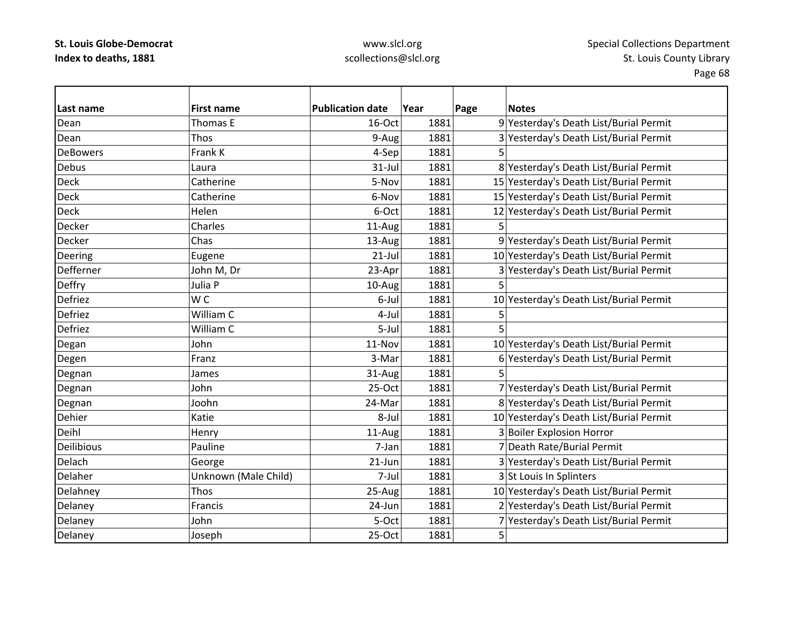### www.slcl.org scollections@slcl.org

**Last name First name Publication date Year Page Notes** DeanThomas E 16‐Oct 1881 9 Yesterday's Death List/Burial Permit DeanThos 19–Aug 1881 3 Yesterday's Death List/Burial Permit **DeBowers**  Frankk K | 4-Sep | 1881 | 5 Debus Laura31-Jul 1881 8 Yesterday's Death List/Burial Permit Deck**Catherine** 5-Nov 1881 15 Yesterday's Death List/Burial Permit Deck Catherine6-Nov 1881 15 Yesterday's Death List/Burial Permit Deck Helen6-Oct 1881 12 Yesterday's Death List/Burial Permit Decker Charles11-Aug 1881 5 Decker Chas13-Aug 1881 9 Yesterday's Death List/Burial Permit Deering Eugene  $\vert$  Eugene  $\vert$  21‐Jul 1881 10 Yesterday's Death List/Burial Permit DeffernerJohn M, Dr 23-Apr 1881 3 Yesterday's Death List/Burial Permit Deffry Julia P 10‐Aug 1881 5 Defriezz IW W C 6-Jul 1881 1881 10 Yesterday's Death List/Burial Permit DefriezWilliam C m C 4-Jul 1881 5 DefriezWilliam C m C 5-Jul 1881 5 Degan John John 11‐Nov 1881 10 Yesterday's Death List/Burial Permit Degen Franz Franz 1881 8-Mar 1881 6 Yesterday's Death List/Burial Permit Degnan James 31‐Aug 1881 5 Degnan John John 25‐Oct 1881 7 Yesterday's Death List/Burial Permit Degnan 1900hn and  $\vert$  1881 8 Yesterday's Death List/Burial Permit Dehier Katie8-Jul 1881 10 Yesterday's Death List/Burial Permit DeihlHenry 11-Aug 1881 3 Boiler Explosion Horror Deilibious Paulinee 7-Jan 1881 7 Death Rate/Burial Permit DelachGeorge 21-Jun 1881 3 Yesterday's Death List/Burial Permit DelaherUnknown (Male Child)  $|7$ -Jul 1881 3 St Louis In Splinters Delahney 25‐Aug 1881 10 Yesterday's Death List/Burial Permit 25‐Aug 1881 10 Yesterday's Death List/Burial Permit Delaney Francis Francis 24‐Jun 1881 2 Yesterday's Death List/Burial Permit Delaney John 5‐Oct 1881 7 Yesterday's Death List/Burial Permit Delaney Joseph 25‐Oct 1881 5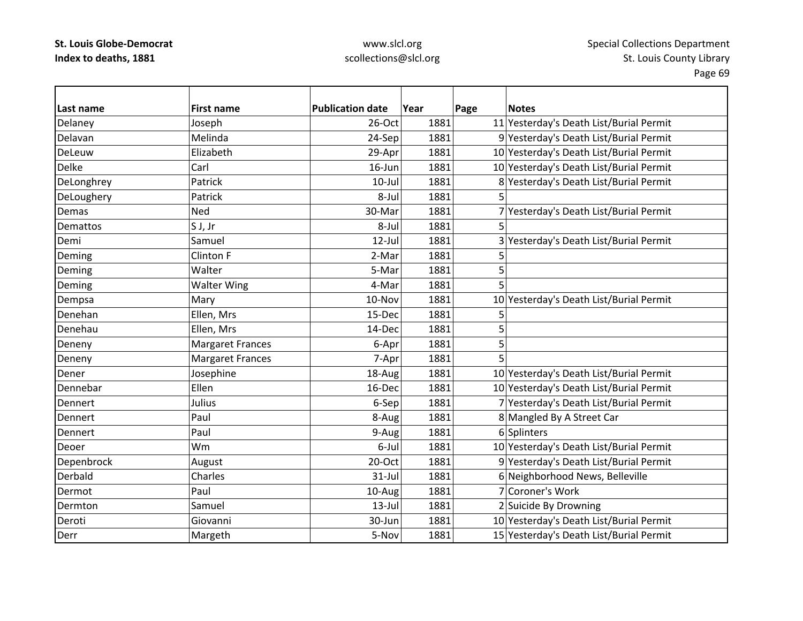### www.slcl.org scollections@slcl.org

**Last name First name Publication date Year Page Notes** Delaney Joseph 26-Oct 1881 11 Yesterday's Death List/Burial Permit DelavanMelinda 24‐Sep 1881 9 Yesterday's Death List/Burial Permit DeLeuwElizabeth 29-Apr 1881 10 Yesterday's Death List/Burial Permit DelkeCarl 16–Jun 16-Jun 1881 10 Yesterday's Death List/Burial Permit DeLonghrey Patrick  $\vert$ Patrick  $\vert$  10-Jul 1881 8 Yesterday's Death List/Burial Permit DeLoughery Patrick Research Patrick Beloughery 5 Demas Ned30-Mar 1881 7 Yesterday's Death List/Burial Permit Demattoss S S J, Jr 8-Jul | 8-Jul | 1881 | 5 DemiSamuel 12‐Jul 1881 3 Yesterday's Death List/Burial Permit Deming Clinton F 2‐Mar 1881 5 Deming Walter 5‐Mar 1881 5 Deming Natter Wing Number 1881 5 Dempsa Mary Mary 10-Nov 1881 10-Nov 1881 10 Yesterday's Death List/Burial Permit DenehanEllen, Mrs 15-Dec 1881 5 DenehauEllen, Mrs  $14-\text{Dec}$  1881 5 Deneny Margaret Frances 16-Apr 1881 5 Deneny Margaret Frances November 1881 5 DenerJosephine 18-Aug 18-Aug 1881 10 Yesterday's Death List/Burial Permit Dennebar Ellen16-Dec 1881 10 Yesterday's Death List/Burial Permit **Dennert**  Julius6-Sep 1881 7 Yesterday's Death List/Burial Permit DennertPaul 1881 8-Aug 1881 8 Mangled By A Street Car Dennert Paul 9‐Aug 1881 6 Splinters Deoer Wm6-Jul 1881 10 Yesterday's Death List/Burial Permit Depenbrock August August 20-Oct 1881 9 Yesterday's Death List/Burial Permit Derbald Charles 31‐Jul 1881 6 Neighborhood News, Belleville DermotPaul 10‐Aug 1881 7 Coroner's Work DermtonSamuel 13-Jul 1881 2 Suicide By Drowning DerotiGiovanni 1881 1881 10 Yesterday's Death List/Burial Permit DerrMargeth 1881 5-Nov 1881 15 Yesterday's Death List/Burial Permit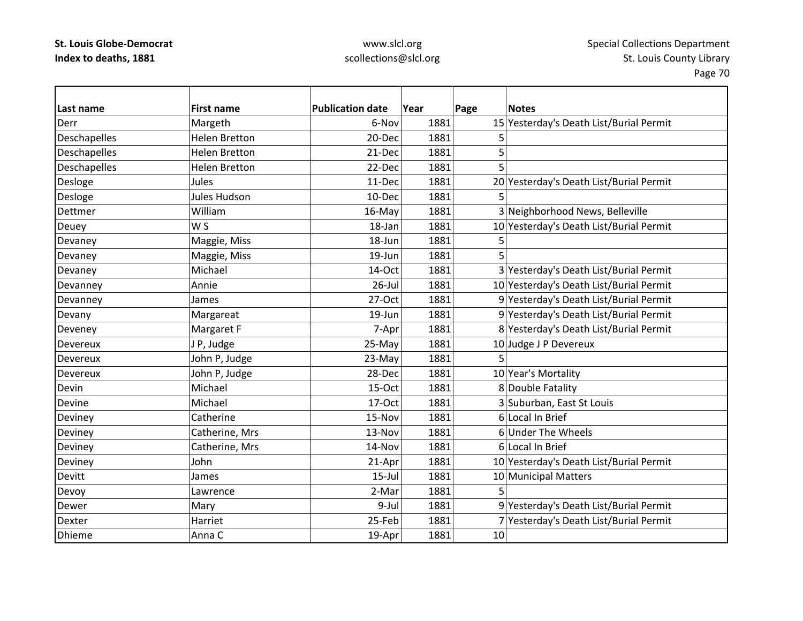# www.slcl.org scollections@slcl.org

| Last name     | <b>First name</b>    | <b>Publication date</b> | Year | Page | <b>Notes</b>                            |
|---------------|----------------------|-------------------------|------|------|-----------------------------------------|
| Derr          | Margeth              | 6-Nov                   | 1881 |      | 15 Yesterday's Death List/Burial Permit |
| Deschapelles  | <b>Helen Bretton</b> | 20-Dec                  | 1881 | 5    |                                         |
| Deschapelles  | <b>Helen Bretton</b> | 21-Dec                  | 1881 | 5    |                                         |
| Deschapelles  | <b>Helen Bretton</b> | 22-Dec                  | 1881 | 5    |                                         |
| Desloge       | Jules                | 11-Dec                  | 1881 |      | 20 Yesterday's Death List/Burial Permit |
| Desloge       | <b>Jules Hudson</b>  | 10-Dec                  | 1881 | 5    |                                         |
| Dettmer       | William              | 16-May                  | 1881 |      | 3 Neighborhood News, Belleville         |
| Deuey         | W S                  | 18-Jan                  | 1881 |      | 10 Yesterday's Death List/Burial Permit |
| Devaney       | Maggie, Miss         | 18-Jun                  | 1881 | 5    |                                         |
| Devaney       | Maggie, Miss         | 19-Jun                  | 1881 | 5    |                                         |
| Devaney       | Michael              | 14-Oct                  | 1881 |      | 3 Yesterday's Death List/Burial Permit  |
| Devanney      | Annie                | $26$ -Jul               | 1881 |      | 10 Yesterday's Death List/Burial Permit |
| Devanney      | James                | 27-Oct                  | 1881 |      | 9 Yesterday's Death List/Burial Permit  |
| Devany        | Margareat            | 19-Jun                  | 1881 |      | 9 Yesterday's Death List/Burial Permit  |
| Deveney       | Margaret F           | 7-Apr                   | 1881 |      | 8 Yesterday's Death List/Burial Permit  |
| Devereux      | J P, Judge           | 25-May                  | 1881 |      | 10 Judge J P Devereux                   |
| Devereux      | John P, Judge        | 23-May                  | 1881 | 5    |                                         |
| Devereux      | John P, Judge        | 28-Dec                  | 1881 |      | 10 Year's Mortality                     |
| Devin         | Michael              | 15-Oct                  | 1881 |      | 8 Double Fatality                       |
| Devine        | Michael              | 17-Oct                  | 1881 |      | 3 Suburban, East St Louis               |
| Deviney       | Catherine            | 15-Nov                  | 1881 |      | 6 Local In Brief                        |
| Deviney       | Catherine, Mrs       | 13-Nov                  | 1881 |      | 6 Under The Wheels                      |
| Deviney       | Catherine, Mrs       | 14-Nov                  | 1881 |      | 6 Local In Brief                        |
| Deviney       | John                 | 21-Apr                  | 1881 |      | 10 Yesterday's Death List/Burial Permit |
| Devitt        | James                | $15$ -Jul               | 1881 |      | 10 Municipal Matters                    |
| Devoy         | Lawrence             | 2-Mar                   | 1881 | 5    |                                         |
| Dewer         | Mary                 | 9-Jul                   | 1881 |      | 9 Yesterday's Death List/Burial Permit  |
| Dexter        | Harriet              | 25-Feb                  | 1881 |      | 7 Yesterday's Death List/Burial Permit  |
| <b>Dhieme</b> | Anna C               | 19-Apr                  | 1881 | 10   |                                         |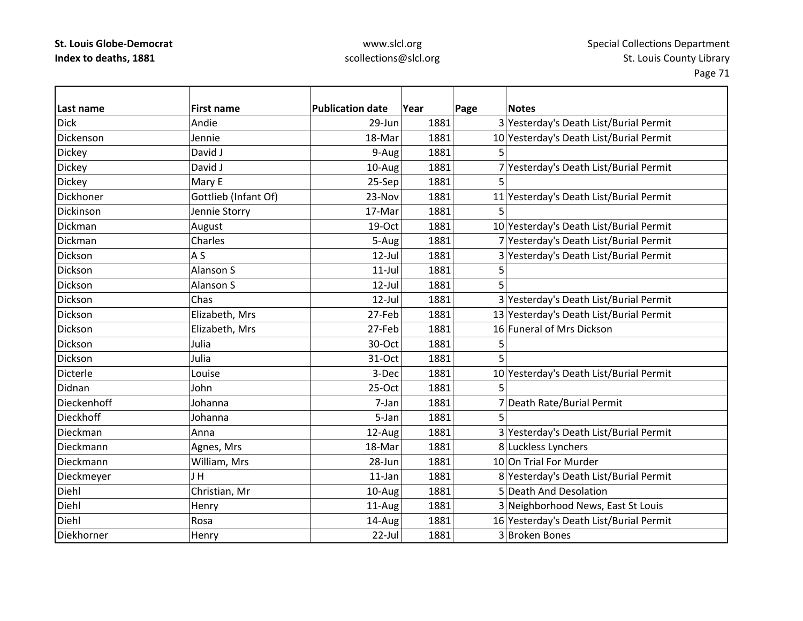# www.slcl.org scollections@slcl.org

| lLast name     | <b>First name</b>    | <b>Publication date</b> | Year | Page | <b>Notes</b>                            |
|----------------|----------------------|-------------------------|------|------|-----------------------------------------|
| <b>Dick</b>    | Andie                | 29-Jun                  | 1881 |      | 3 Yesterday's Death List/Burial Permit  |
| Dickenson      | Jennie               | 18-Mar                  | 1881 |      | 10 Yesterday's Death List/Burial Permit |
| <b>Dickey</b>  | David J              | 9-Aug                   | 1881 | 5    |                                         |
| <b>Dickey</b>  | David J              | 10-Aug                  | 1881 |      | 7 Yesterday's Death List/Burial Permit  |
| <b>Dickey</b>  | Mary E               | 25-Sep                  | 1881 | 5    |                                         |
| Dickhoner      | Gottlieb (Infant Of) | 23-Nov                  | 1881 |      | 11 Yesterday's Death List/Burial Permit |
| Dickinson      | Jennie Storry        | 17-Mar                  | 1881 | 5    |                                         |
| <b>Dickman</b> | August               | 19-Oct                  | 1881 |      | 10 Yesterday's Death List/Burial Permit |
| Dickman        | Charles              | 5-Aug                   | 1881 |      | 7 Yesterday's Death List/Burial Permit  |
| Dickson        | A S                  | $12$ -Jul               | 1881 |      | 3 Yesterday's Death List/Burial Permit  |
| Dickson        | Alanson S            | $11$ -Jul               | 1881 | 5    |                                         |
| Dickson        | Alanson S            | $12$ -Jul               | 1881 | 5    |                                         |
| Dickson        | Chas                 | $12$ -Jul               | 1881 |      | 3 Yesterday's Death List/Burial Permit  |
| Dickson        | Elizabeth, Mrs       | 27-Feb                  | 1881 |      | 13 Yesterday's Death List/Burial Permit |
| Dickson        | Elizabeth, Mrs       | 27-Feb                  | 1881 |      | 16 Funeral of Mrs Dickson               |
| Dickson        | Julia                | 30-Oct                  | 1881 | 5    |                                         |
| Dickson        | Julia                | 31-Oct                  | 1881 | 5    |                                         |
| Dicterle       | Louise               | 3-Dec                   | 1881 |      | 10 Yesterday's Death List/Burial Permit |
| Didnan         | John                 | $25-Oct$                | 1881 | 5    |                                         |
| Dieckenhoff    | Johanna              | 7-Jan                   | 1881 |      | 7 Death Rate/Burial Permit              |
| Dieckhoff      | Johanna              | 5-Jan                   | 1881 | 5    |                                         |
| Dieckman       | Anna                 | 12-Aug                  | 1881 |      | 3 Yesterday's Death List/Burial Permit  |
| Dieckmann      | Agnes, Mrs           | 18-Mar                  | 1881 |      | 8 Luckless Lynchers                     |
| Dieckmann      | William, Mrs         | 28-Jun                  | 1881 |      | 10 On Trial For Murder                  |
| Dieckmeyer     | JH                   | $11$ -Jan               | 1881 |      | 8 Yesterday's Death List/Burial Permit  |
| Diehl          | Christian, Mr        | 10-Aug                  | 1881 |      | 5 Death And Desolation                  |
| Diehl          | Henry                | 11-Aug                  | 1881 |      | 3 Neighborhood News, East St Louis      |
| Diehl          | Rosa                 | 14-Aug                  | 1881 |      | 16 Yesterday's Death List/Burial Permit |
| Diekhorner     | Henry                | 22-Jul                  | 1881 |      | 3 Broken Bones                          |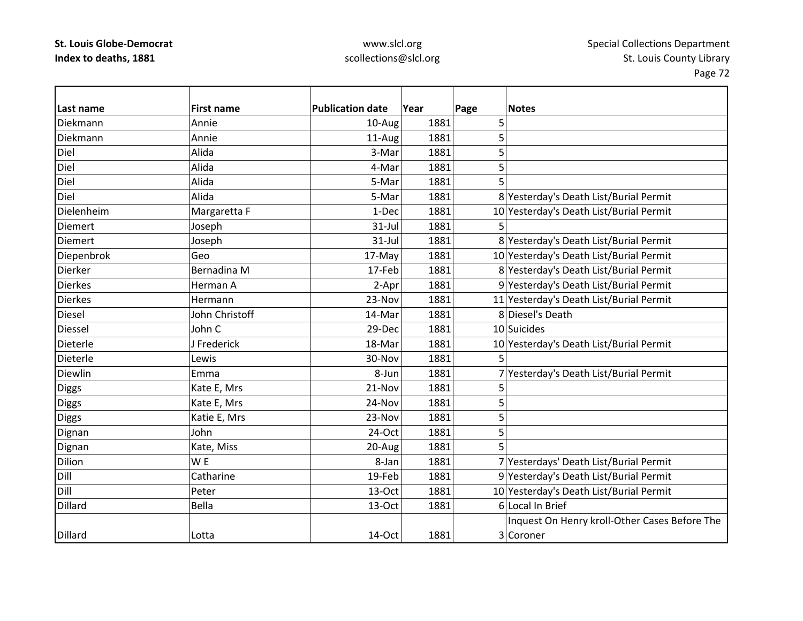# www.slcl.org scollections@slcl.org

| Last name      | <b>First name</b> | <b>Publication date</b> | Year | Page | <b>Notes</b>                                  |
|----------------|-------------------|-------------------------|------|------|-----------------------------------------------|
| Diekmann       | Annie             | 10-Aug                  | 1881 | 5    |                                               |
| Diekmann       | Annie             | 11-Aug                  | 1881 | 5    |                                               |
| Diel           | Alida             | 3-Mar                   | 1881 | 5    |                                               |
| Diel           | Alida             | 4-Mar                   | 1881 | 5    |                                               |
| Diel           | Alida             | 5-Mar                   | 1881 | 5    |                                               |
| Diel           | Alida             | 5-Mar                   | 1881 |      | 8 Yesterday's Death List/Burial Permit        |
| Dielenheim     | Margaretta F      | 1-Dec                   | 1881 |      | 10 Yesterday's Death List/Burial Permit       |
| <b>Diemert</b> | Joseph            | 31-Jul                  | 1881 | 5    |                                               |
| <b>Diemert</b> | Joseph            | $31$ -Jul               | 1881 |      | 8 Yesterday's Death List/Burial Permit        |
| Diepenbrok     | Geo               | 17-May                  | 1881 |      | 10 Yesterday's Death List/Burial Permit       |
| Dierker        | Bernadina M       | 17-Feb                  | 1881 |      | 8 Yesterday's Death List/Burial Permit        |
| <b>Dierkes</b> | Herman A          | 2-Apr                   | 1881 |      | 9 Yesterday's Death List/Burial Permit        |
| <b>Dierkes</b> | Hermann           | 23-Nov                  | 1881 |      | 11 Yesterday's Death List/Burial Permit       |
| <b>Diesel</b>  | John Christoff    | 14-Mar                  | 1881 |      | 8 Diesel's Death                              |
| <b>Diessel</b> | John C            | 29-Dec                  | 1881 |      | 10 Suicides                                   |
| Dieterle       | J Frederick       | 18-Mar                  | 1881 |      | 10 Yesterday's Death List/Burial Permit       |
| Dieterle       | Lewis             | 30-Nov                  | 1881 | 5    |                                               |
| Diewlin        | Emma              | 8-Jun                   | 1881 |      | 7 Yesterday's Death List/Burial Permit        |
| <b>Diggs</b>   | Kate E, Mrs       | 21-Nov                  | 1881 | 5    |                                               |
| <b>Diggs</b>   | Kate E, Mrs       | 24-Nov                  | 1881 | 5    |                                               |
| <b>Diggs</b>   | Katie E, Mrs      | 23-Nov                  | 1881 | 5    |                                               |
| Dignan         | John              | 24-Oct                  | 1881 | 5    |                                               |
| Dignan         | Kate, Miss        | 20-Aug                  | 1881 | 5    |                                               |
| <b>Dilion</b>  | W <sub>E</sub>    | 8-Jan                   | 1881 |      | 7 Yesterdays' Death List/Burial Permit        |
| Dill           | Catharine         | 19-Feb                  | 1881 |      | 9 Yesterday's Death List/Burial Permit        |
| Dill           | Peter             | 13-Oct                  | 1881 |      | 10 Yesterday's Death List/Burial Permit       |
| Dillard        | Bella             | 13-Oct                  | 1881 |      | 6 Local In Brief                              |
|                |                   |                         |      |      | Inquest On Henry kroll-Other Cases Before The |
| <b>Dillard</b> | Lotta             | 14-Oct                  | 1881 |      | 3 Coroner                                     |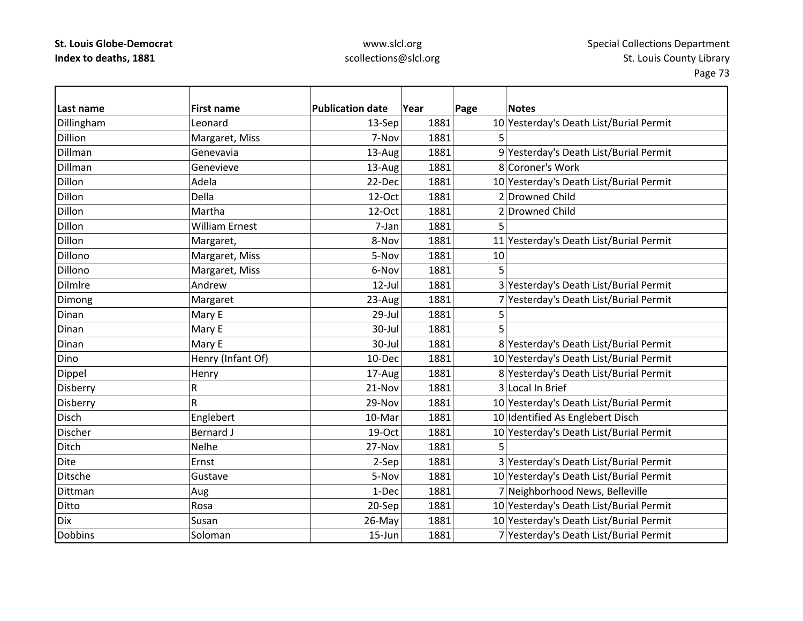### www.slcl.org scollections@slcl.org

Page 73

 $\overline{\phantom{0}}$ 

| Last name      | <b>First name</b>     | <b>Publication date</b> | Year | Page<br><b>Notes</b>                    |
|----------------|-----------------------|-------------------------|------|-----------------------------------------|
| Dillingham     | Leonard               | 13-Sep                  | 1881 | 10 Yesterday's Death List/Burial Permit |
| <b>Dillion</b> | Margaret, Miss        | 7-Nov                   | 1881 | 5.                                      |
| Dillman        | Genevavia             | 13-Aug                  | 1881 | 9 Yesterday's Death List/Burial Permit  |
| Dillman        | Genevieve             | 13-Aug                  | 1881 | 8 Coroner's Work                        |
| Dillon         | Adela                 | 22-Dec                  | 1881 | 10 Yesterday's Death List/Burial Permit |
| Dillon         | Della                 | 12-Oct                  | 1881 | 2 Drowned Child                         |
| Dillon         | Martha                | 12-Oct                  | 1881 | 2 Drowned Child                         |
| Dillon         | <b>William Ernest</b> | 7-Jan                   | 1881 | 5                                       |
| Dillon         | Margaret,             | 8-Nov                   | 1881 | 11 Yesterday's Death List/Burial Permit |
| Dillono        | Margaret, Miss        | 5-Nov                   | 1881 | 10                                      |
| Dillono        | Margaret, Miss        | 6-Nov                   | 1881 | 5                                       |
| Dilmlre        | Andrew                | $12$ -Jul               | 1881 | 3 Yesterday's Death List/Burial Permit  |
| Dimong         | Margaret              | 23-Aug                  | 1881 | 7 Yesterday's Death List/Burial Permit  |
| Dinan          | Mary E                | 29-Jul                  | 1881 | 5                                       |
| Dinan          | Mary E                | 30-Jul                  | 1881 | 5                                       |
| Dinan          | Mary E                | 30-Jul                  | 1881 | 8 Yesterday's Death List/Burial Permit  |
| Dino           | Henry (Infant Of)     | 10-Dec                  | 1881 | 10 Yesterday's Death List/Burial Permit |
| Dippel         | Henry                 | 17-Aug                  | 1881 | 8 Yesterday's Death List/Burial Permit  |
| Disberry       | R                     | 21-Nov                  | 1881 | 3 Local In Brief                        |
| Disberry       | R                     | 29-Nov                  | 1881 | 10 Yesterday's Death List/Burial Permit |
| Disch          | Englebert             | 10-Mar                  | 1881 | 10 Identified As Englebert Disch        |
| <b>Discher</b> | <b>Bernard J</b>      | 19-Oct                  | 1881 | 10 Yesterday's Death List/Burial Permit |
| Ditch          | Nelhe                 | 27-Nov                  | 1881 |                                         |
| <b>Dite</b>    | Ernst                 | 2-Sep                   | 1881 | 3 Yesterday's Death List/Burial Permit  |
| Ditsche        | Gustave               | 5-Nov                   | 1881 | 10 Yesterday's Death List/Burial Permit |
| <b>Dittman</b> | Aug                   | 1-Dec                   | 1881 | 7 Neighborhood News, Belleville         |
| Ditto          | Rosa                  | 20-Sep                  | 1881 | 10 Yesterday's Death List/Burial Permit |
| <b>Dix</b>     | Susan                 | 26-May                  | 1881 | 10 Yesterday's Death List/Burial Permit |
| <b>Dobbins</b> | Soloman               | $15 - Jun$              | 1881 | 7 Yesterday's Death List/Burial Permit  |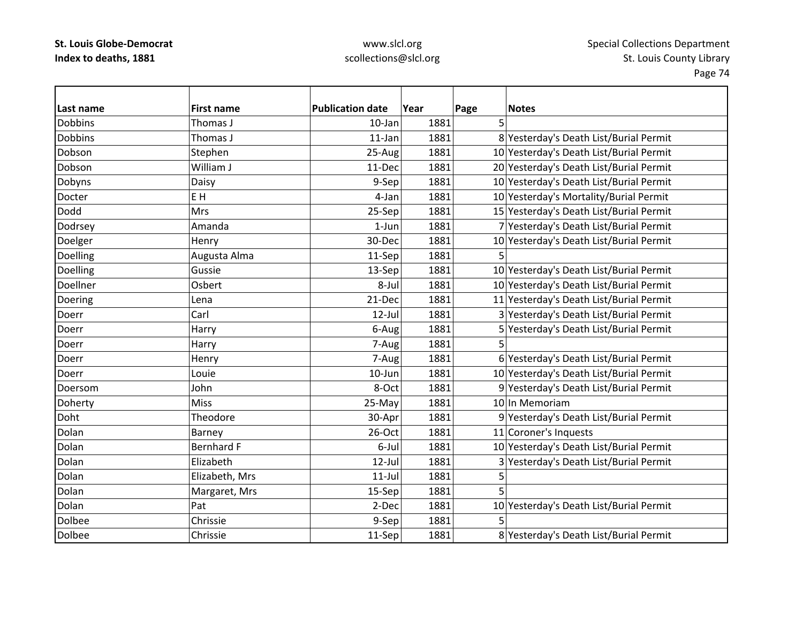# www.slcl.org scollections@slcl.org

| Last name      | <b>First name</b> | <b>Publication date</b> | Year | Page | <b>Notes</b>                            |
|----------------|-------------------|-------------------------|------|------|-----------------------------------------|
| <b>Dobbins</b> | Thomas J          | 10-Jan                  | 1881 | 5    |                                         |
| Dobbins        | Thomas J          | $11$ -Jan               | 1881 |      | 8 Yesterday's Death List/Burial Permit  |
| Dobson         | Stephen           | 25-Aug                  | 1881 |      | 10 Yesterday's Death List/Burial Permit |
| Dobson         | William J         | 11-Dec                  | 1881 |      | 20 Yesterday's Death List/Burial Permit |
| Dobyns         | Daisy             | 9-Sep                   | 1881 |      | 10 Yesterday's Death List/Burial Permit |
| Docter         | EH                | 4-Jan                   | 1881 |      | 10 Yesterday's Mortality/Burial Permit  |
| Dodd           | Mrs               | 25-Sep                  | 1881 |      | 15 Yesterday's Death List/Burial Permit |
| Dodrsey        | Amanda            | $1-Jun$                 | 1881 |      | 7 Yesterday's Death List/Burial Permit  |
| Doelger        | Henry             | 30-Dec                  | 1881 |      | 10 Yesterday's Death List/Burial Permit |
| Doelling       | Augusta Alma      | 11-Sep                  | 1881 | 5    |                                         |
| Doelling       | Gussie            | 13-Sep                  | 1881 |      | 10 Yesterday's Death List/Burial Permit |
| Doellner       | Osbert            | 8-Jul                   | 1881 |      | 10 Yesterday's Death List/Burial Permit |
| Doering        | Lena              | 21-Dec                  | 1881 |      | 11 Yesterday's Death List/Burial Permit |
| Doerr          | Carl              | 12-Jul                  | 1881 |      | 3 Yesterday's Death List/Burial Permit  |
| Doerr          | Harry             | 6-Aug                   | 1881 |      | 5 Yesterday's Death List/Burial Permit  |
| Doerr          | Harry             | 7-Aug                   | 1881 | 5    |                                         |
| Doerr          | Henry             | 7-Aug                   | 1881 |      | 6 Yesterday's Death List/Burial Permit  |
| Doerr          | Louie             | $10$ -Jun               | 1881 |      | 10 Yesterday's Death List/Burial Permit |
| Doersom        | John              | 8-Oct                   | 1881 |      | 9 Yesterday's Death List/Burial Permit  |
| Doherty        | <b>Miss</b>       | 25-May                  | 1881 |      | 10 In Memoriam                          |
| Doht           | Theodore          | 30-Apr                  | 1881 |      | 9 Yesterday's Death List/Burial Permit  |
| Dolan          | Barney            | 26-Oct                  | 1881 |      | 11 Coroner's Inquests                   |
| Dolan          | <b>Bernhard F</b> | 6-Jul                   | 1881 |      | 10 Yesterday's Death List/Burial Permit |
| Dolan          | Elizabeth         | 12-Jul                  | 1881 |      | 3 Yesterday's Death List/Burial Permit  |
| Dolan          | Elizabeth, Mrs    | $11$ -Jul               | 1881 | 5    |                                         |
| Dolan          | Margaret, Mrs     | 15-Sep                  | 1881 | 5    |                                         |
| Dolan          | Pat               | 2-Dec                   | 1881 |      | 10 Yesterday's Death List/Burial Permit |
| Dolbee         | Chrissie          | 9-Sep                   | 1881 |      |                                         |
| <b>Dolbee</b>  | Chrissie          | 11-Sep                  | 1881 |      | 8 Yesterday's Death List/Burial Permit  |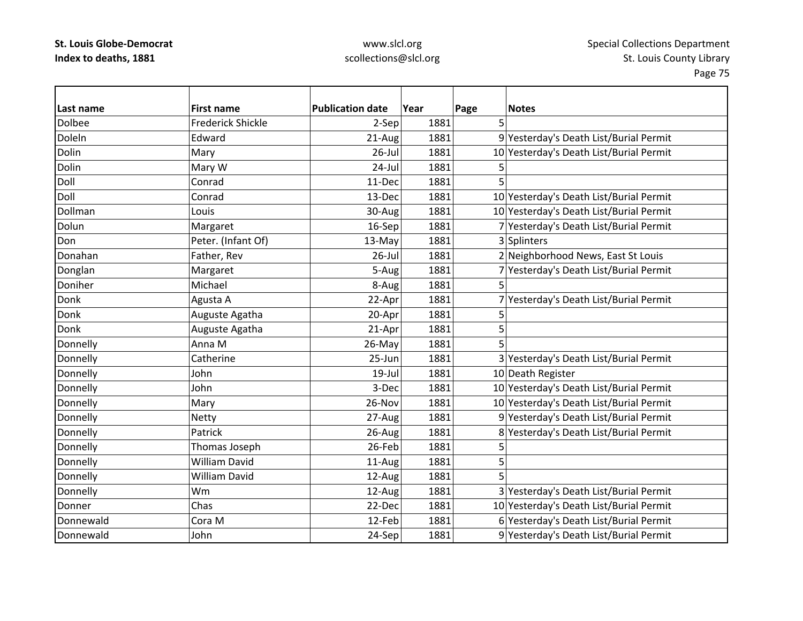# www.slcl.org scollections@slcl.org

| Last name     | <b>First name</b>        | <b>Publication date</b> | Year | Page | <b>Notes</b>                            |
|---------------|--------------------------|-------------------------|------|------|-----------------------------------------|
| <b>Dolbee</b> | <b>Frederick Shickle</b> | 2-Sep                   | 1881 | 5    |                                         |
| Doleln        | Edward                   | 21-Aug                  | 1881 |      | 9 Yesterday's Death List/Burial Permit  |
| Dolin         | Mary                     | $26$ -Jul               | 1881 |      | 10 Yesterday's Death List/Burial Permit |
| Dolin         | Mary W                   | 24-Jul                  | 1881 | 5    |                                         |
| Doll          | Conrad                   | 11-Dec                  | 1881 | 5    |                                         |
| Doll          | Conrad                   | 13-Dec                  | 1881 |      | 10 Yesterday's Death List/Burial Permit |
| Dollman       | Louis                    | 30-Aug                  | 1881 |      | 10 Yesterday's Death List/Burial Permit |
| Dolun         | Margaret                 | 16-Sep                  | 1881 |      | 7 Yesterday's Death List/Burial Permit  |
| Don           | Peter. (Infant Of)       | 13-May                  | 1881 |      | 3 Splinters                             |
| Donahan       | Father, Rev              | $26$ -Jul               | 1881 |      | 2 Neighborhood News, East St Louis      |
| Donglan       | Margaret                 | 5-Aug                   | 1881 |      | 7 Yesterday's Death List/Burial Permit  |
| Doniher       | Michael                  | 8-Aug                   | 1881 | 5    |                                         |
| Donk          | Agusta A                 | 22-Apr                  | 1881 |      | 7 Yesterday's Death List/Burial Permit  |
| Donk          | Auguste Agatha           | 20-Apr                  | 1881 | 5    |                                         |
| Donk          | Auguste Agatha           | 21-Apr                  | 1881 | 5    |                                         |
| Donnelly      | Anna M                   | 26-May                  | 1881 | 5    |                                         |
| Donnelly      | Catherine                | 25-Jun                  | 1881 |      | 3 Yesterday's Death List/Burial Permit  |
| Donnelly      | John                     | 19-Jul                  | 1881 |      | 10 Death Register                       |
| Donnelly      | John                     | 3-Dec                   | 1881 |      | 10 Yesterday's Death List/Burial Permit |
| Donnelly      | Mary                     | 26-Nov                  | 1881 |      | 10 Yesterday's Death List/Burial Permit |
| Donnelly      | <b>Netty</b>             | 27-Aug                  | 1881 |      | 9 Yesterday's Death List/Burial Permit  |
| Donnelly      | Patrick                  | 26-Aug                  | 1881 |      | 8 Yesterday's Death List/Burial Permit  |
| Donnelly      | Thomas Joseph            | 26-Feb                  | 1881 | 5    |                                         |
| Donnelly      | <b>William David</b>     | 11-Aug                  | 1881 | 5    |                                         |
| Donnelly      | <b>William David</b>     | 12-Aug                  | 1881 | 5    |                                         |
| Donnelly      | Wm                       | 12-Aug                  | 1881 |      | 3 Yesterday's Death List/Burial Permit  |
| Donner        | Chas                     | 22-Dec                  | 1881 |      | 10 Yesterday's Death List/Burial Permit |
| Donnewald     | Cora M                   | 12-Feb                  | 1881 |      | 6 Yesterday's Death List/Burial Permit  |
| Donnewald     | John                     | 24-Sep                  | 1881 |      | 9 Yesterday's Death List/Burial Permit  |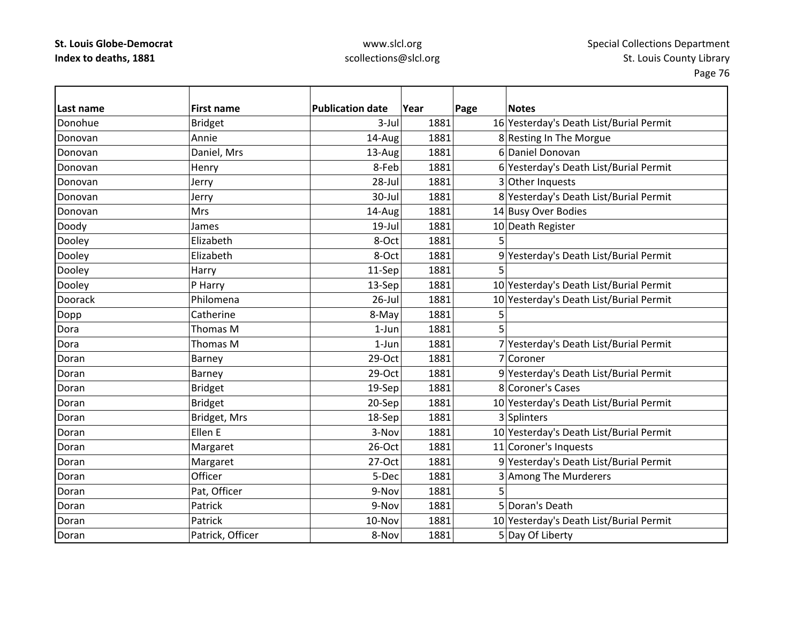# www.slcl.org scollections@slcl.org

| Last name | <b>First name</b> | <b>Publication date</b> | Year | Page | <b>Notes</b>                            |
|-----------|-------------------|-------------------------|------|------|-----------------------------------------|
| Donohue   | <b>Bridget</b>    | $3$ -Jul                | 1881 |      | 16 Yesterday's Death List/Burial Permit |
| Donovan   | Annie             | 14-Aug                  | 1881 |      | 8 Resting In The Morgue                 |
| Donovan   | Daniel, Mrs       | 13-Aug                  | 1881 |      | 6 Daniel Donovan                        |
| Donovan   | Henry             | 8-Feb                   | 1881 |      | 6 Yesterday's Death List/Burial Permit  |
| Donovan   | Jerry             | 28-Jul                  | 1881 |      | 3 Other Inquests                        |
| Donovan   | Jerry             | 30-Jul                  | 1881 |      | 8 Yesterday's Death List/Burial Permit  |
| Donovan   | <b>Mrs</b>        | 14-Aug                  | 1881 |      | 14 Busy Over Bodies                     |
| Doody     | James             | $19$ -Jul               | 1881 |      | 10 Death Register                       |
| Dooley    | Elizabeth         | 8-Oct                   | 1881 | 5    |                                         |
| Dooley    | Elizabeth         | 8-Oct                   | 1881 |      | 9 Yesterday's Death List/Burial Permit  |
| Dooley    | Harry             | 11-Sep                  | 1881 | 5    |                                         |
| Dooley    | P Harry           | 13-Sep                  | 1881 |      | 10 Yesterday's Death List/Burial Permit |
| Doorack   | Philomena         | $26$ -Jul               | 1881 |      | 10 Yesterday's Death List/Burial Permit |
| Dopp      | Catherine         | 8-May                   | 1881 | 5    |                                         |
| Dora      | Thomas M          | $1$ -Jun                | 1881 | 5    |                                         |
| Dora      | Thomas M          | $1-Jun$                 | 1881 |      | 7 Yesterday's Death List/Burial Permit  |
| Doran     | Barney            | 29-Oct                  | 1881 |      | 7 Coroner                               |
| Doran     | Barney            | 29-Oct                  | 1881 |      | 9 Yesterday's Death List/Burial Permit  |
| Doran     | <b>Bridget</b>    | 19-Sep                  | 1881 |      | 8 Coroner's Cases                       |
| Doran     | <b>Bridget</b>    | 20-Sep                  | 1881 |      | 10 Yesterday's Death List/Burial Permit |
| Doran     | Bridget, Mrs      | 18-Sep                  | 1881 |      | 3 Splinters                             |
| Doran     | Ellen E           | 3-Nov                   | 1881 |      | 10 Yesterday's Death List/Burial Permit |
| Doran     | Margaret          | 26-Oct                  | 1881 |      | 11 Coroner's Inquests                   |
| Doran     | Margaret          | $27-Oct$                | 1881 |      | 9 Yesterday's Death List/Burial Permit  |
| Doran     | Officer           | 5-Dec                   | 1881 |      | 3 Among The Murderers                   |
| Doran     | Pat, Officer      | 9-Nov                   | 1881 | 5    |                                         |
| Doran     | Patrick           | 9-Nov                   | 1881 |      | 5 Doran's Death                         |
| Doran     | Patrick           | 10-Nov                  | 1881 |      | 10 Yesterday's Death List/Burial Permit |
| Doran     | Patrick, Officer  | 8-Nov                   | 1881 |      | 5 Day Of Liberty                        |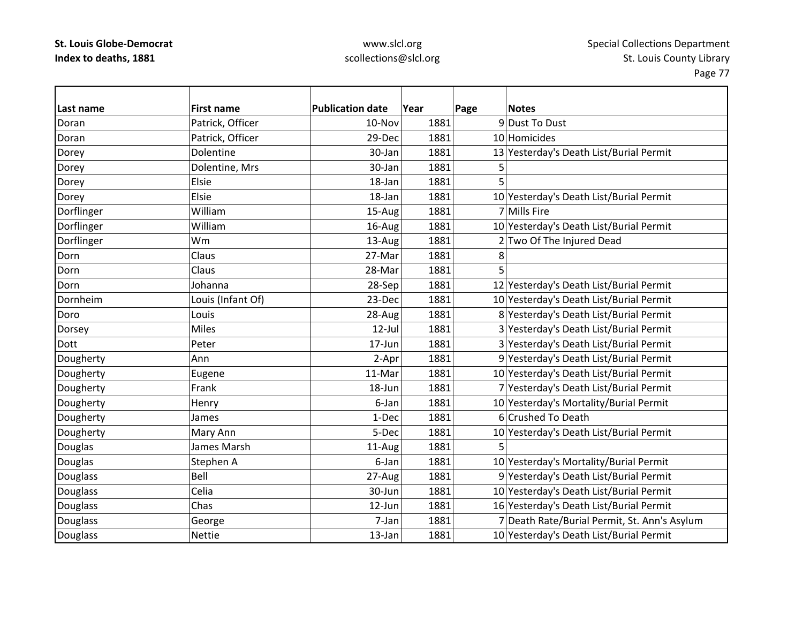# www.slcl.org scollections@slcl.org

| Last name       | <b>First name</b> | <b>Publication date</b> | Year | Page | <b>Notes</b>                                 |
|-----------------|-------------------|-------------------------|------|------|----------------------------------------------|
| Doran           | Patrick, Officer  | 10-Nov                  | 1881 |      | 9 Dust To Dust                               |
| Doran           | Patrick, Officer  | 29-Dec                  | 1881 |      | 10 Homicides                                 |
| Dorey           | Dolentine         | 30-Jan                  | 1881 |      | 13 Yesterday's Death List/Burial Permit      |
| Dorey           | Dolentine, Mrs    | 30-Jan                  | 1881 | 5    |                                              |
| Dorey           | Elsie             | 18-Jan                  | 1881 | 5    |                                              |
| Dorey           | Elsie             | 18-Jan                  | 1881 |      | 10 Yesterday's Death List/Burial Permit      |
| Dorflinger      | William           | 15-Aug                  | 1881 |      | 7 Mills Fire                                 |
| Dorflinger      | William           | 16-Aug                  | 1881 |      | 10 Yesterday's Death List/Burial Permit      |
| Dorflinger      | Wm                | 13-Aug                  | 1881 |      | 2 Two Of The Injured Dead                    |
| Dorn            | Claus             | 27-Mar                  | 1881 | 8    |                                              |
| Dorn            | Claus             | 28-Mar                  | 1881 | 5    |                                              |
| Dorn            | Johanna           | 28-Sep                  | 1881 |      | 12 Yesterday's Death List/Burial Permit      |
| Dornheim        | Louis (Infant Of) | 23-Dec                  | 1881 |      | 10 Yesterday's Death List/Burial Permit      |
| Doro            | Louis             | 28-Aug                  | 1881 |      | 8 Yesterday's Death List/Burial Permit       |
| Dorsey          | <b>Miles</b>      | $12$ -Jul               | 1881 |      | 3 Yesterday's Death List/Burial Permit       |
| <b>Dott</b>     | Peter             | 17-Jun                  | 1881 |      | 3 Yesterday's Death List/Burial Permit       |
| Dougherty       | Ann               | 2-Apr                   | 1881 |      | 9 Yesterday's Death List/Burial Permit       |
| Dougherty       | Eugene            | 11-Mar                  | 1881 |      | 10 Yesterday's Death List/Burial Permit      |
| Dougherty       | Frank             | 18-Jun                  | 1881 |      | 7 Yesterday's Death List/Burial Permit       |
| Dougherty       | Henry             | 6-Jan                   | 1881 |      | 10 Yesterday's Mortality/Burial Permit       |
| Dougherty       | James             | 1-Dec                   | 1881 |      | 6 Crushed To Death                           |
| Dougherty       | Mary Ann          | 5-Dec                   | 1881 |      | 10 Yesterday's Death List/Burial Permit      |
| Douglas         | James Marsh       | 11-Aug                  | 1881 | 5    |                                              |
| Douglas         | Stephen A         | 6-Jan                   | 1881 |      | 10 Yesterday's Mortality/Burial Permit       |
| Douglass        | Bell              | 27-Aug                  | 1881 |      | 9 Yesterday's Death List/Burial Permit       |
| Douglass        | Celia             | 30-Jun                  | 1881 |      | 10 Yesterday's Death List/Burial Permit      |
| <b>Douglass</b> | Chas              | 12-Jun                  | 1881 |      | 16 Yesterday's Death List/Burial Permit      |
| Douglass        | George            | 7-Jan                   | 1881 |      | 7 Death Rate/Burial Permit, St. Ann's Asylum |
| Douglass        | Nettie            | 13-Jan                  | 1881 |      | 10 Yesterday's Death List/Burial Permit      |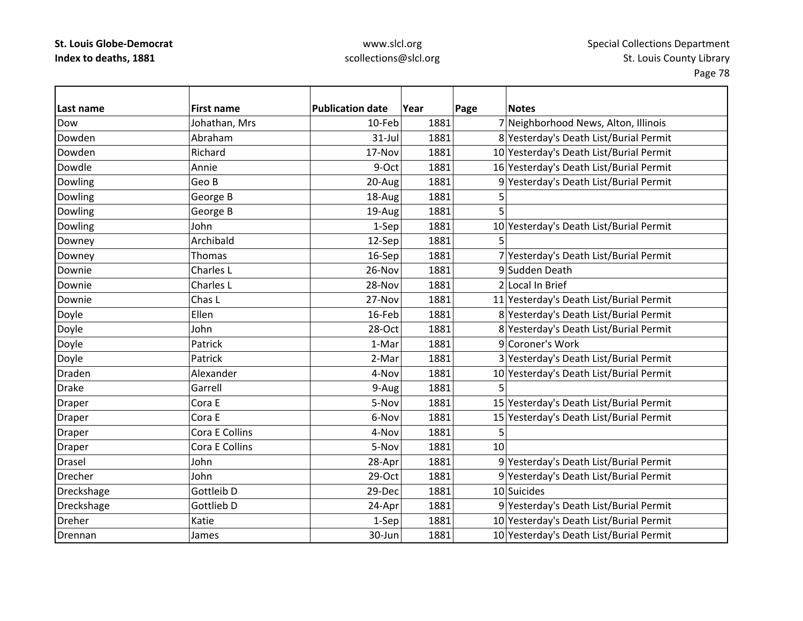# www.slcl.org scollections@slcl.org

| Last name      | <b>First name</b> | <b>Publication date</b> | Year | Page | <b>Notes</b>                            |
|----------------|-------------------|-------------------------|------|------|-----------------------------------------|
| Dow            | Johathan, Mrs     | 10-Feb                  | 1881 |      | 7 Neighborhood News, Alton, Illinois    |
| Dowden         | Abraham           | 31-Jul                  | 1881 |      | 8 Yesterday's Death List/Burial Permit  |
| Dowden         | Richard           | 17-Nov                  | 1881 |      | 10 Yesterday's Death List/Burial Permit |
| Dowdle         | Annie             | 9-Oct                   | 1881 |      | 16 Yesterday's Death List/Burial Permit |
| Dowling        | Geo B             | 20-Aug                  | 1881 |      | 9 Yesterday's Death List/Burial Permit  |
| Dowling        | George B          | 18-Aug                  | 1881 | 5    |                                         |
| Dowling        | George B          | 19-Aug                  | 1881 | 5    |                                         |
| Dowling        | John              | 1-Sep                   | 1881 |      | 10 Yesterday's Death List/Burial Permit |
| Downey         | Archibald         | 12-Sep                  | 1881 | 5    |                                         |
| Downey         | <b>Thomas</b>     | 16-Sep                  | 1881 |      | 7 Yesterday's Death List/Burial Permit  |
| Downie         | Charles L         | 26-Nov                  | 1881 |      | 9 Sudden Death                          |
| Downie         | Charles L         | 28-Nov                  | 1881 |      | 2 Local In Brief                        |
| Downie         | Chas L            | 27-Nov                  | 1881 |      | 11 Yesterday's Death List/Burial Permit |
| Doyle          | Ellen             | 16-Feb                  | 1881 |      | 8 Yesterday's Death List/Burial Permit  |
| Doyle          | John              | 28-Oct                  | 1881 |      | 8 Yesterday's Death List/Burial Permit  |
| Doyle          | Patrick           | 1-Mar                   | 1881 |      | 9 Coroner's Work                        |
| Doyle          | Patrick           | 2-Mar                   | 1881 |      | 3 Yesterday's Death List/Burial Permit  |
| Draden         | Alexander         | 4-Nov                   | 1881 |      | 10 Yesterday's Death List/Burial Permit |
| <b>Drake</b>   | Garrell           | 9-Aug                   | 1881 |      |                                         |
| Draper         | Cora E            | 5-Nov                   | 1881 |      | 15 Yesterday's Death List/Burial Permit |
| Draper         | Cora E            | 6-Nov                   | 1881 |      | 15 Yesterday's Death List/Burial Permit |
| Draper         | Cora E Collins    | 4-Nov                   | 1881 | 5    |                                         |
| <b>Draper</b>  | Cora E Collins    | 5-Nov                   | 1881 | 10   |                                         |
| Drasel         | John              | 28-Apr                  | 1881 |      | 9 Yesterday's Death List/Burial Permit  |
| <b>Drecher</b> | John              | 29-Oct                  | 1881 |      | 9 Yesterday's Death List/Burial Permit  |
| Dreckshage     | Gottleib D        | 29-Dec                  | 1881 |      | 10 Suicides                             |
| Dreckshage     | Gottlieb D        | 24-Apr                  | 1881 |      | 9 Yesterday's Death List/Burial Permit  |
| <b>Dreher</b>  | Katie             | 1-Sep                   | 1881 |      | 10 Yesterday's Death List/Burial Permit |
| Drennan        | James             | 30-Jun                  | 1881 |      | 10 Yesterday's Death List/Burial Permit |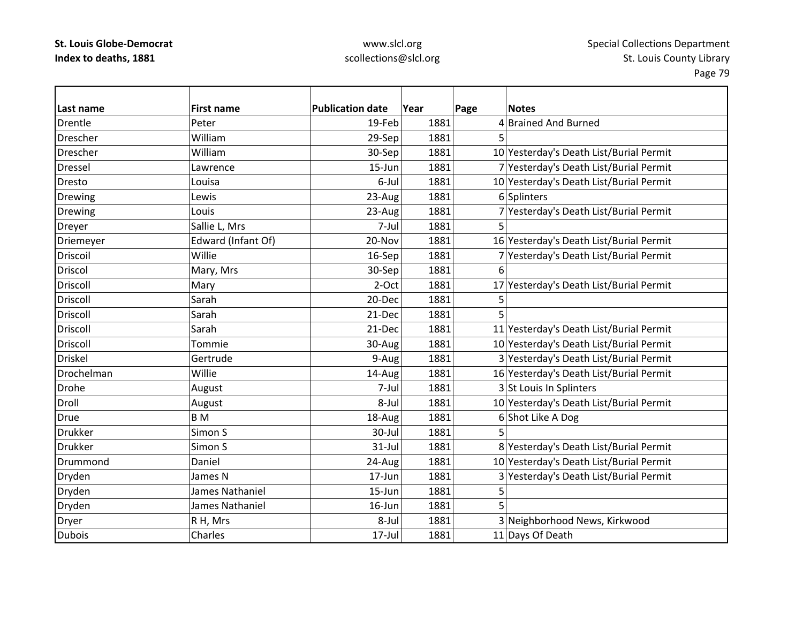# www.slcl.org scollections@slcl.org

| Last name       | <b>First name</b>  | <b>Publication date</b> | Year | Page<br><b>Notes</b>                    |
|-----------------|--------------------|-------------------------|------|-----------------------------------------|
| <b>Drentle</b>  | Peter              | 19-Feb                  | 1881 | 4 Brained And Burned                    |
| Drescher        | William            | 29-Sep                  | 1881 | 5                                       |
| Drescher        | William            | 30-Sep                  | 1881 | 10 Yesterday's Death List/Burial Permit |
| <b>Dressel</b>  | Lawrence           | $15 - Jun$              | 1881 | 7 Yesterday's Death List/Burial Permit  |
| Dresto          | Louisa             | 6-Jul                   | 1881 | 10 Yesterday's Death List/Burial Permit |
| Drewing         | Lewis              | 23-Aug                  | 1881 | 6 Splinters                             |
| <b>Drewing</b>  | Louis              | 23-Aug                  | 1881 | 7 Yesterday's Death List/Burial Permit  |
| <b>Dreyer</b>   | Sallie L, Mrs      | 7-Jul                   | 1881 | 5                                       |
| Driemeyer       | Edward (Infant Of) | 20-Nov                  | 1881 | 16 Yesterday's Death List/Burial Permit |
| Driscoil        | Willie             | 16-Sep                  | 1881 | 7 Yesterday's Death List/Burial Permit  |
| Driscol         | Mary, Mrs          | 30-Sep                  | 1881 | 6                                       |
| Driscoll        | Mary               | 2-Oct                   | 1881 | 17 Yesterday's Death List/Burial Permit |
| <b>Driscoll</b> | Sarah              | 20-Dec                  | 1881 | 5                                       |
| <b>Driscoll</b> | Sarah              | 21-Dec                  | 1881 | 5                                       |
| <b>Driscoll</b> | Sarah              | 21-Dec                  | 1881 | 11 Yesterday's Death List/Burial Permit |
| Driscoll        | Tommie             | 30-Aug                  | 1881 | 10 Yesterday's Death List/Burial Permit |
| <b>Driskel</b>  | Gertrude           | 9-Aug                   | 1881 | 3 Yesterday's Death List/Burial Permit  |
| Drochelman      | Willie             | 14-Aug                  | 1881 | 16 Yesterday's Death List/Burial Permit |
| Drohe           | August             | 7-Jul                   | 1881 | 3 St Louis In Splinters                 |
| Droll           | August             | 8-Jul                   | 1881 | 10 Yesterday's Death List/Burial Permit |
| Drue            | B <sub>M</sub>     | 18-Aug                  | 1881 | 6 Shot Like A Dog                       |
| <b>Drukker</b>  | Simon S            | 30-Jul                  | 1881 | 5                                       |
| <b>Drukker</b>  | Simon S            | $31$ -Jul               | 1881 | 8 Yesterday's Death List/Burial Permit  |
| Drummond        | Daniel             | 24-Aug                  | 1881 | 10 Yesterday's Death List/Burial Permit |
| Dryden          | James N            | 17-Jun                  | 1881 | 3 Yesterday's Death List/Burial Permit  |
| Dryden          | James Nathaniel    | $15 - Jun$              | 1881 | 5                                       |
| Dryden          | James Nathaniel    | 16-Jun                  | 1881 | 5                                       |
| Dryer           | R H, Mrs           | 8-Jul                   | 1881 | 3 Neighborhood News, Kirkwood           |
| <b>Dubois</b>   | Charles            | $17 -$ Jul              | 1881 | 11 Days Of Death                        |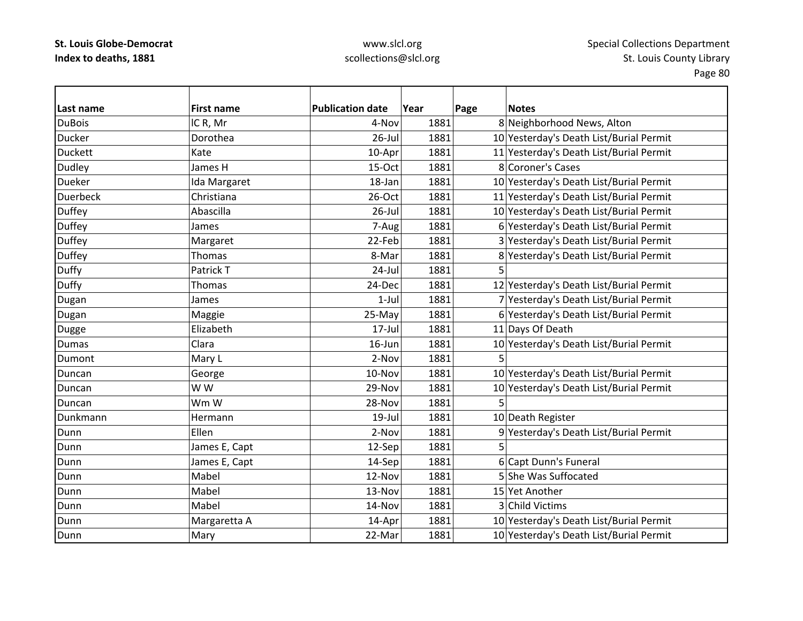# www.slcl.org scollections@slcl.org

| Last name       | <b>First name</b> | <b>Publication date</b> | Year | Page | <b>Notes</b>                            |
|-----------------|-------------------|-------------------------|------|------|-----------------------------------------|
| <b>DuBois</b>   | IC R, Mr          | 4-Nov                   | 1881 |      | 8 Neighborhood News, Alton              |
| Ducker          | Dorothea          | $26$ -Jul               | 1881 |      | 10 Yesterday's Death List/Burial Permit |
| <b>Duckett</b>  | Kate              | 10-Apr                  | 1881 |      | 11 Yesterday's Death List/Burial Permit |
| Dudley          | James H           | 15-Oct                  | 1881 |      | 8 Coroner's Cases                       |
| Dueker          | Ida Margaret      | 18-Jan                  | 1881 |      | 10 Yesterday's Death List/Burial Permit |
| <b>Duerbeck</b> | Christiana        | 26-Oct                  | 1881 |      | 11 Yesterday's Death List/Burial Permit |
| Duffey          | Abascilla         | $26$ -Jul               | 1881 |      | 10 Yesterday's Death List/Burial Permit |
| <b>Duffey</b>   | James             | 7-Aug                   | 1881 |      | 6 Yesterday's Death List/Burial Permit  |
| <b>Duffey</b>   | Margaret          | 22-Feb                  | 1881 |      | 3 Yesterday's Death List/Burial Permit  |
| Duffey          | Thomas            | 8-Mar                   | 1881 |      | 8 Yesterday's Death List/Burial Permit  |
| <b>Duffy</b>    | Patrick T         | $24$ -Jul               | 1881 |      |                                         |
| Duffy           | Thomas            | 24-Dec                  | 1881 |      | 12 Yesterday's Death List/Burial Permit |
| Dugan           | James             | $1-Jul$                 | 1881 |      | 7 Yesterday's Death List/Burial Permit  |
| Dugan           | Maggie            | 25-May                  | 1881 |      | 6 Yesterday's Death List/Burial Permit  |
| Dugge           | Elizabeth         | 17-Jul                  | 1881 |      | 11 Days Of Death                        |
| <b>Dumas</b>    | Clara             | 16-Jun                  | 1881 |      | 10 Yesterday's Death List/Burial Permit |
| Dumont          | Mary L            | 2-Nov                   | 1881 | 5    |                                         |
| Duncan          | George            | 10-Nov                  | 1881 |      | 10 Yesterday's Death List/Burial Permit |
| Duncan          | W W               | 29-Nov                  | 1881 |      | 10 Yesterday's Death List/Burial Permit |
| Duncan          | Wm W              | 28-Nov                  | 1881 | 5    |                                         |
| Dunkmann        | Hermann           | $19$ -Jul               | 1881 |      | 10 Death Register                       |
| Dunn            | Ellen             | 2-Nov                   | 1881 |      | 9 Yesterday's Death List/Burial Permit  |
| Dunn            | James E, Capt     | 12-Sep                  | 1881 |      |                                         |
| Dunn            | James E, Capt     | 14-Sep                  | 1881 |      | 6 Capt Dunn's Funeral                   |
| Dunn            | Mabel             | 12-Nov                  | 1881 |      | 5 She Was Suffocated                    |
| Dunn            | Mabel             | 13-Nov                  | 1881 |      | 15 Yet Another                          |
| Dunn            | Mabel             | 14-Nov                  | 1881 |      | 3 Child Victims                         |
| Dunn            | Margaretta A      | 14-Apr                  | 1881 |      | 10 Yesterday's Death List/Burial Permit |
| Dunn            | Mary              | 22-Mar                  | 1881 |      | 10 Yesterday's Death List/Burial Permit |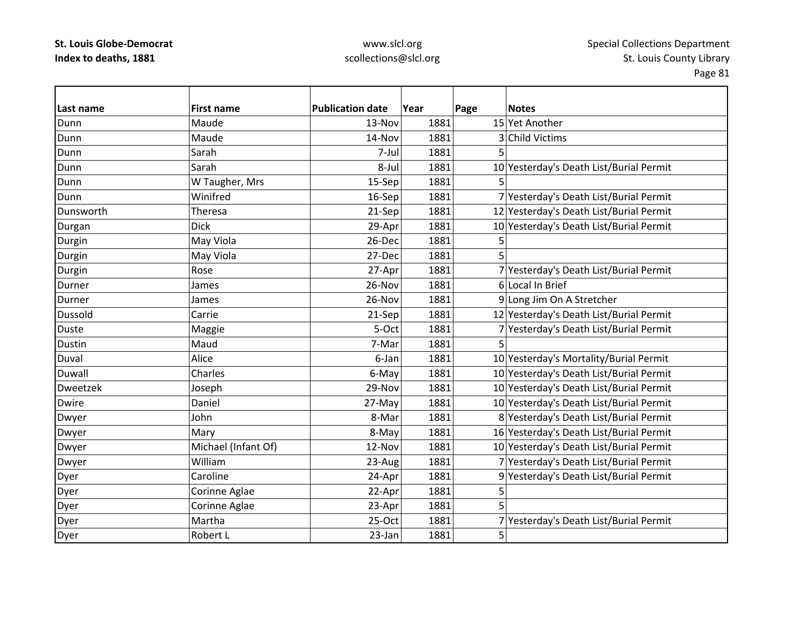# www.slcl.org scollections@slcl.org

| lLast name      | <b>First name</b>   | <b>Publication date</b> | Year | Page | <b>Notes</b>                            |
|-----------------|---------------------|-------------------------|------|------|-----------------------------------------|
| Dunn            | Maude               | 13-Nov                  | 1881 |      | 15 Yet Another                          |
| Dunn            | Maude               | 14-Nov                  | 1881 |      | 3 Child Victims                         |
| Dunn            | Sarah               | 7-Jul                   | 1881 | 5    |                                         |
| Dunn            | Sarah               | 8-Jul                   | 1881 |      | 10 Yesterday's Death List/Burial Permit |
| Dunn            | W Taugher, Mrs      | 15-Sep                  | 1881 | 5.   |                                         |
| Dunn            | Winifred            | 16-Sep                  | 1881 |      | 7 Yesterday's Death List/Burial Permit  |
| Dunsworth       | Theresa             | 21-Sep                  | 1881 |      | 12 Yesterday's Death List/Burial Permit |
| Durgan          | <b>Dick</b>         | 29-Apr                  | 1881 |      | 10 Yesterday's Death List/Burial Permit |
| Durgin          | May Viola           | 26-Dec                  | 1881 | 5    |                                         |
| Durgin          | May Viola           | 27-Dec                  | 1881 | 5    |                                         |
| Durgin          | Rose                | 27-Apr                  | 1881 |      | 7 Yesterday's Death List/Burial Permit  |
| Durner          | James               | 26-Nov                  | 1881 |      | 6 Local In Brief                        |
| Durner          | James               | 26-Nov                  | 1881 |      | 9 Long Jim On A Stretcher               |
| <b>Dussold</b>  | Carrie              | 21-Sep                  | 1881 |      | 12 Yesterday's Death List/Burial Permit |
| <b>Duste</b>    | Maggie              | 5-Oct                   | 1881 |      | 7 Yesterday's Death List/Burial Permit  |
| <b>Dustin</b>   | Maud                | 7-Mar                   | 1881 | 5    |                                         |
| Duval           | Alice               | 6-Jan                   | 1881 |      | 10 Yesterday's Mortality/Burial Permit  |
| <b>Duwall</b>   | Charles             | 6-May                   | 1881 |      | 10 Yesterday's Death List/Burial Permit |
| <b>Dweetzek</b> | Joseph              | 29-Nov                  | 1881 |      | 10 Yesterday's Death List/Burial Permit |
| <b>Dwire</b>    | Daniel              | 27-May                  | 1881 |      | 10 Yesterday's Death List/Burial Permit |
| Dwyer           | John                | 8-Mar                   | 1881 |      | 8 Yesterday's Death List/Burial Permit  |
| Dwyer           | Mary                | 8-May                   | 1881 |      | 16 Yesterday's Death List/Burial Permit |
| Dwyer           | Michael (Infant Of) | 12-Nov                  | 1881 |      | 10 Yesterday's Death List/Burial Permit |
| Dwyer           | William             | 23-Aug                  | 1881 |      | 7 Yesterday's Death List/Burial Permit  |
| Dyer            | Caroline            | 24-Apr                  | 1881 |      | 9 Yesterday's Death List/Burial Permit  |
| Dyer            | Corinne Aglae       | 22-Apr                  | 1881 | 5    |                                         |
| Dyer            | Corinne Aglae       | 23-Apr                  | 1881 | 5    |                                         |
| Dyer            | Martha              | $25-Oct$                | 1881 |      | 7 Yesterday's Death List/Burial Permit  |
| Dyer            | Robert L            | 23-Jan                  | 1881 | 5    |                                         |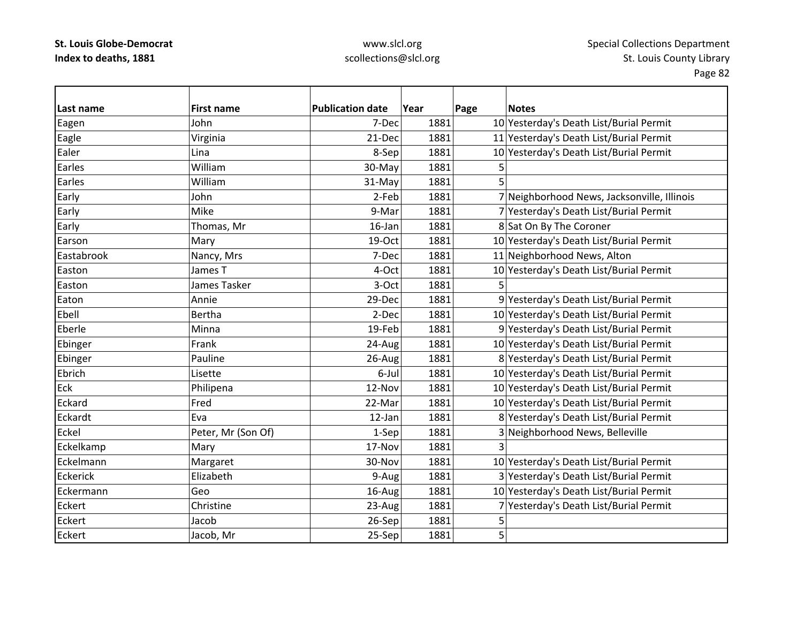# www.slcl.org scollections@slcl.org

| Last name       | <b>First name</b>  | <b>Publication date</b> | Year | Page | <b>Notes</b>                                |
|-----------------|--------------------|-------------------------|------|------|---------------------------------------------|
| Eagen           | John               | 7-Dec                   | 1881 |      | 10 Yesterday's Death List/Burial Permit     |
| Eagle           | Virginia           | 21-Dec                  | 1881 |      | 11 Yesterday's Death List/Burial Permit     |
| Ealer           | Lina               | 8-Sep                   | 1881 |      | 10 Yesterday's Death List/Burial Permit     |
| Earles          | William            | 30-May                  | 1881 | 5    |                                             |
| Earles          | William            | 31-May                  | 1881 | 5    |                                             |
| Early           | John               | 2-Feb                   | 1881 |      | 7 Neighborhood News, Jacksonville, Illinois |
| Early           | Mike               | 9-Mar                   | 1881 |      | 7 Yesterday's Death List/Burial Permit      |
| Early           | Thomas, Mr         | 16-Jan                  | 1881 |      | 8 Sat On By The Coroner                     |
| Earson          | Mary               | 19-Oct                  | 1881 |      | 10 Yesterday's Death List/Burial Permit     |
| Eastabrook      | Nancy, Mrs         | 7-Dec                   | 1881 |      | 11 Neighborhood News, Alton                 |
| Easton          | James T            | 4-Oct                   | 1881 |      | 10 Yesterday's Death List/Burial Permit     |
| Easton          | James Tasker       | 3-Oct                   | 1881 | 5    |                                             |
| Eaton           | Annie              | 29-Dec                  | 1881 |      | 9 Yesterday's Death List/Burial Permit      |
| Ebell           | Bertha             | 2-Dec                   | 1881 |      | 10 Yesterday's Death List/Burial Permit     |
| Eberle          | Minna              | 19-Feb                  | 1881 |      | 9 Yesterday's Death List/Burial Permit      |
| Ebinger         | Frank              | 24-Aug                  | 1881 |      | 10 Yesterday's Death List/Burial Permit     |
| Ebinger         | Pauline            | 26-Aug                  | 1881 |      | 8 Yesterday's Death List/Burial Permit      |
| Ebrich          | Lisette            | 6-Jul                   | 1881 |      | 10 Yesterday's Death List/Burial Permit     |
| Eck             | Philipena          | 12-Nov                  | 1881 |      | 10 Yesterday's Death List/Burial Permit     |
| Eckard          | Fred               | 22-Mar                  | 1881 |      | 10 Yesterday's Death List/Burial Permit     |
| Eckardt         | Eva                | 12-Jan                  | 1881 |      | 8 Yesterday's Death List/Burial Permit      |
| Eckel           | Peter, Mr (Son Of) | 1-Sep                   | 1881 |      | 3 Neighborhood News, Belleville             |
| Eckelkamp       | Mary               | 17-Nov                  | 1881 |      |                                             |
| Eckelmann       | Margaret           | 30-Nov                  | 1881 |      | 10 Yesterday's Death List/Burial Permit     |
| <b>Eckerick</b> | Elizabeth          | 9-Aug                   | 1881 |      | 3 Yesterday's Death List/Burial Permit      |
| Eckermann       | Geo                | 16-Aug                  | 1881 |      | 10 Yesterday's Death List/Burial Permit     |
| Eckert          | Christine          | 23-Aug                  | 1881 |      | 7 Yesterday's Death List/Burial Permit      |
| <b>Eckert</b>   | Jacob              | 26-Sep                  | 1881 | 5    |                                             |
| Eckert          | Jacob, Mr          | 25-Sep                  | 1881 | 5    |                                             |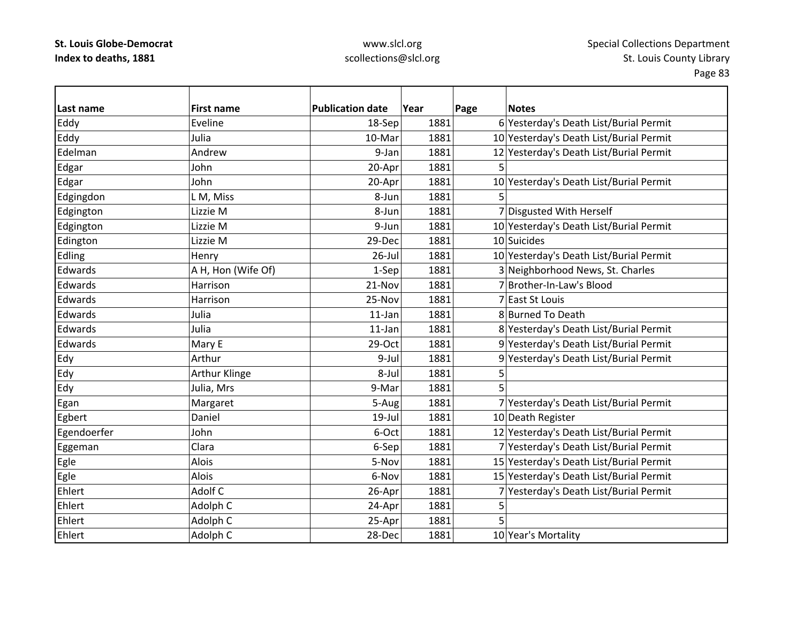# www.slcl.org scollections@slcl.org

| Last name   | <b>First name</b>  | <b>Publication date</b> | Year | Page | <b>Notes</b>                            |
|-------------|--------------------|-------------------------|------|------|-----------------------------------------|
| Eddy        | Eveline            | 18-Sep                  | 1881 |      | 6 Yesterday's Death List/Burial Permit  |
| Eddy        | Julia              | 10-Mar                  | 1881 |      | 10 Yesterday's Death List/Burial Permit |
| Edelman     | Andrew             | 9-Jan                   | 1881 |      | 12 Yesterday's Death List/Burial Permit |
| Edgar       | John               | 20-Apr                  | 1881 | 5    |                                         |
| Edgar       | John               | 20-Apr                  | 1881 |      | 10 Yesterday's Death List/Burial Permit |
| Edgingdon   | L M, Miss          | 8-Jun                   | 1881 | 5    |                                         |
| Edgington   | Lizzie M           | 8-Jun                   | 1881 |      | 7 Disgusted With Herself                |
| Edgington   | Lizzie M           | 9-Jun                   | 1881 |      | 10 Yesterday's Death List/Burial Permit |
| Edington    | Lizzie M           | 29-Dec                  | 1881 |      | 10 Suicides                             |
| Edling      | Henry              | 26-Jul                  | 1881 |      | 10 Yesterday's Death List/Burial Permit |
| Edwards     | A H, Hon (Wife Of) | 1-Sep                   | 1881 |      | 3 Neighborhood News, St. Charles        |
| Edwards     | Harrison           | 21-Nov                  | 1881 |      | 7 Brother-In-Law's Blood                |
| Edwards     | Harrison           | 25-Nov                  | 1881 |      | 7 East St Louis                         |
| Edwards     | Julia              | 11-Jan                  | 1881 |      | 8 Burned To Death                       |
| Edwards     | Julia              | 11-Jan                  | 1881 |      | 8 Yesterday's Death List/Burial Permit  |
| Edwards     | Mary E             | 29-Oct                  | 1881 |      | 9 Yesterday's Death List/Burial Permit  |
| Edy         | Arthur             | 9-Jul                   | 1881 |      | 9 Yesterday's Death List/Burial Permit  |
| Edy         | Arthur Klinge      | 8-Jul                   | 1881 | 5    |                                         |
| Edy         | Julia, Mrs         | 9-Mar                   | 1881 | 5    |                                         |
| Egan        | Margaret           | 5-Aug                   | 1881 |      | 7 Yesterday's Death List/Burial Permit  |
| Egbert      | Daniel             | 19-Jul                  | 1881 |      | 10 Death Register                       |
| Egendoerfer | John               | 6-Oct                   | 1881 |      | 12 Yesterday's Death List/Burial Permit |
| Eggeman     | Clara              | 6-Sep                   | 1881 |      | 7 Yesterday's Death List/Burial Permit  |
| Egle        | Alois              | 5-Nov                   | 1881 |      | 15 Yesterday's Death List/Burial Permit |
| Egle        | Alois              | 6-Nov                   | 1881 |      | 15 Yesterday's Death List/Burial Permit |
| Ehlert      | Adolf C            | 26-Apr                  | 1881 |      | 7 Yesterday's Death List/Burial Permit  |
| Ehlert      | Adolph C           | 24-Apr                  | 1881 | 5    |                                         |
| Ehlert      | Adolph C           | 25-Apr                  | 1881 | 5    |                                         |
| Ehlert      | Adolph C           | 28-Dec                  | 1881 |      | 10 Year's Mortality                     |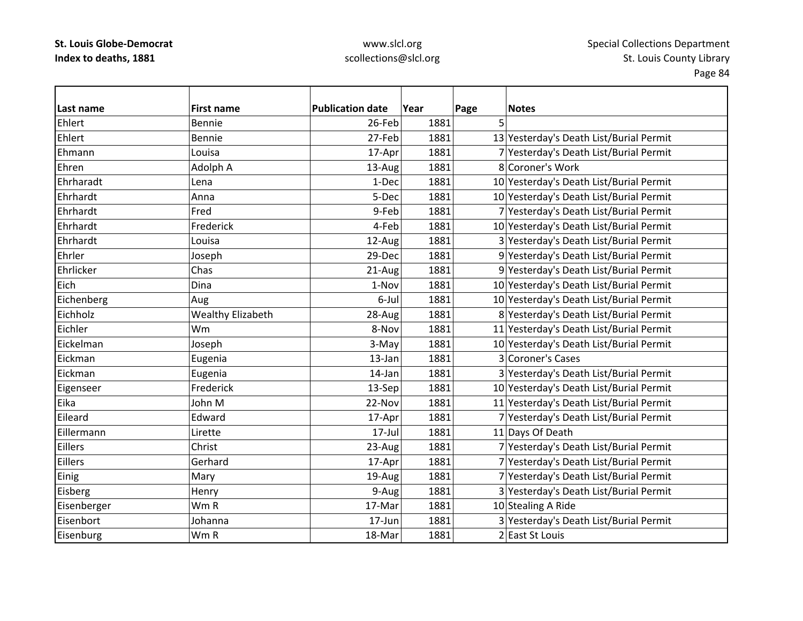# www.slcl.org scollections@slcl.org

| Last name   | <b>First name</b>        | <b>Publication date</b> | Year | Page | <b>Notes</b>                            |
|-------------|--------------------------|-------------------------|------|------|-----------------------------------------|
| Ehlert      | Bennie                   | 26-Feb                  | 1881 | 5    |                                         |
| Ehlert      | Bennie                   | 27-Feb                  | 1881 |      | 13 Yesterday's Death List/Burial Permit |
| Ehmann      | Louisa                   | 17-Apr                  | 1881 |      | 7 Yesterday's Death List/Burial Permit  |
| Ehren       | Adolph A                 | 13-Aug                  | 1881 |      | 8 Coroner's Work                        |
| Ehrharadt   | Lena                     | 1-Dec                   | 1881 |      | 10 Yesterday's Death List/Burial Permit |
| Ehrhardt    | Anna                     | 5-Dec                   | 1881 |      | 10 Yesterday's Death List/Burial Permit |
| Ehrhardt    | Fred                     | 9-Feb                   | 1881 |      | 7 Yesterday's Death List/Burial Permit  |
| Ehrhardt    | Frederick                | 4-Feb                   | 1881 |      | 10 Yesterday's Death List/Burial Permit |
| Ehrhardt    | Louisa                   | 12-Aug                  | 1881 |      | 3 Yesterday's Death List/Burial Permit  |
| Ehrler      | Joseph                   | 29-Dec                  | 1881 |      | 9 Yesterday's Death List/Burial Permit  |
| Ehrlicker   | Chas                     | 21-Aug                  | 1881 |      | 9 Yesterday's Death List/Burial Permit  |
| Eich        | Dina                     | 1-Nov                   | 1881 |      | 10 Yesterday's Death List/Burial Permit |
| Eichenberg  | Aug                      | 6-Jul                   | 1881 |      | 10 Yesterday's Death List/Burial Permit |
| Eichholz    | <b>Wealthy Elizabeth</b> | 28-Aug                  | 1881 |      | 8 Yesterday's Death List/Burial Permit  |
| Eichler     | Wm                       | 8-Nov                   | 1881 |      | 11 Yesterday's Death List/Burial Permit |
| Eickelman   | Joseph                   | 3-May                   | 1881 |      | 10 Yesterday's Death List/Burial Permit |
| Eickman     | Eugenia                  | 13-Jan                  | 1881 |      | 3 Coroner's Cases                       |
| Eickman     | Eugenia                  | $14$ -Jan               | 1881 |      | 3 Yesterday's Death List/Burial Permit  |
| Eigenseer   | Frederick                | 13-Sep                  | 1881 |      | 10 Yesterday's Death List/Burial Permit |
| Eika        | John M                   | 22-Nov                  | 1881 |      | 11 Yesterday's Death List/Burial Permit |
| Eileard     | Edward                   | 17-Apr                  | 1881 |      | 7 Yesterday's Death List/Burial Permit  |
| Eillermann  | Lirette                  | 17-Jul                  | 1881 |      | 11 Days Of Death                        |
| Eillers     | Christ                   | 23-Aug                  | 1881 |      | 7 Yesterday's Death List/Burial Permit  |
| Eillers     | Gerhard                  | 17-Apr                  | 1881 |      | 7 Yesterday's Death List/Burial Permit  |
| Einig       | Mary                     | 19-Aug                  | 1881 |      | 7 Yesterday's Death List/Burial Permit  |
| Eisberg     | Henry                    | 9-Aug                   | 1881 |      | 3 Yesterday's Death List/Burial Permit  |
| Eisenberger | Wm R                     | 17-Mar                  | 1881 |      | 10 Stealing A Ride                      |
| Eisenbort   | Johanna                  | 17-Jun                  | 1881 |      | 3 Yesterday's Death List/Burial Permit  |
| Eisenburg   | Wm R                     | 18-Mar                  | 1881 |      | 2 East St Louis                         |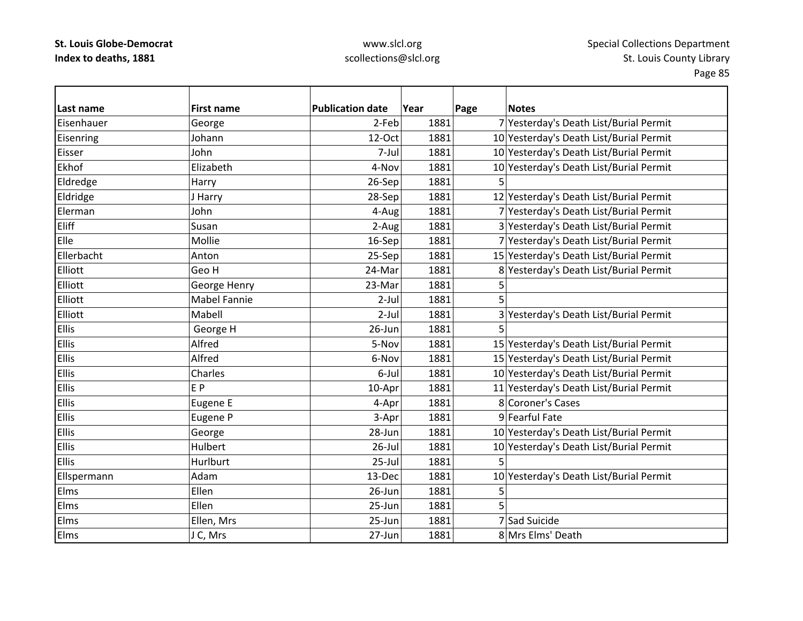### www.slcl.org scollections@slcl.org

**Last name First name Publication date Year Page Notes** EisenhauerGeorge 2-Feb 1881 7 Yesterday's Death List/Burial Permit Eisenring Johann 12‐Oct 1881 10 Yesterday's Death List/Burial Permit Eisser John7-Jul 1881 10 Yesterday's Death List/Burial Permit Ekhof Elizabeth4-Nov 1881 10 Yesterday's Death List/Burial Permit Eldredge Harry 26‐Sep 1881 5 Eldridge J Harry J Harry 28‐Sep 1881 12 Yesterday's Death List/Burial Permit Elerman John 4‐Aug 1881 7 Yesterday's Death List/Burial Permit Eliff Susan2-Aug 1881 3 Yesterday's Death List/Burial Permit ElleMollie 16‐Sep 1881 7 Yesterday's Death List/Burial Permit Ellerbacht Anton25-Sep 1881 15 Yesterday's Death List/Burial Permit ElliottGeo H 24‐Mar 1881 8 Yesterday's Death List/Burial Permit ElliottGeorge Henry **Contract 1881** 5 Elliott Mabel Fanniee 2-Jull 1881 5 ElliottMabell 2-Jul 1881 3 Yesterday's Death List/Burial Permit EllisGeorge H  $26$ -Jun  $1881$  5 Ellis Alfred5-Nov 1881 15 Yesterday's Death List/Burial Permit Ellis Alfred6-Nov 1881 15 Yesterday's Death List/Burial Permit EllisCharles **6**-Jul 1881 10 Yesterday's Death List/Burial Permit Elliss let the set of the set of the set of the set of the set of the set of the set of the set of the set of the s EP 10-Apr 1881 10-Apr 1881 11 Yesterday's Death List/Burial Permit EllisEugene E **Accord 1881 Eugene E** 4-Apr 1881 **8 Coroner's Cases** EllisEugene P 1881 3-Apr 1881 9 Fearful Fate EllisGeorge 28-Jun 1881 10 Yesterday's Death List/Burial Permit EllisHulbert 26-Jul 1881 10 Yesterday's Death List/Burial Permit Ellis Hurlburt 25‐Jul 1881 5Ellspermann Adam 13‐Dec 1881 10 Yesterday's Death List/Burial Permit Elms Ellen $26$ -Jun 1881 5 Elms Ellen $25$ -Jun 1881 5 ElmsEllen, Mrs 25‐Jun 25‐Jun 1881 7 Sad Suicide Elms $J$  C, Mrs  $|$  27-Jun 1881 8 Mrs Elms' Death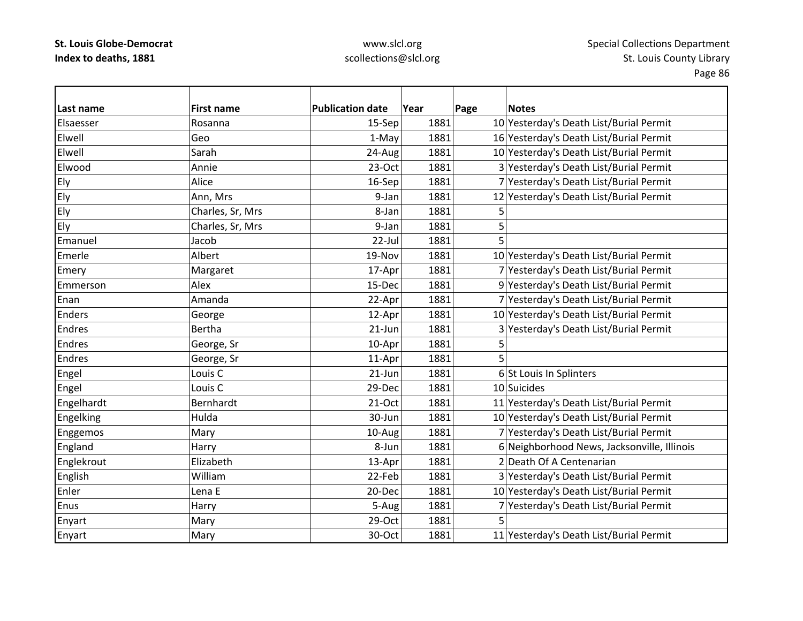### www.slcl.org scollections@slcl.org

**Last name First name Publication date Year Page Notes** Elsaesser Rosanna15-Sep 1881 10 Yesterday's Death List/Burial Permit Elwell Geo1-May 1881 16 Yesterday's Death List/Burial Permit Elwell Sarah $24$ -Aug 1881  $10$  Yesterday's Death List/Burial Permit ElwoodAnnie 23–Oct 1881 3 Yesterday's Death List/Burial Permit Ely **Alice** 16‐Sep 1881 7 Yesterday's Death List/Burial Permit Ely Ann, Mrs 9‐Jan 1881 12 Yesterday's Death List/Burial Permit Ely Charles, Sr, Mrs 1881 5 Ely Charles, Sr, Mrs 1881 5 Emanuel Jacob 22‐Jul 1881 5 EmerleAlbert 19‐Nov 1881 10 Yesterday's Death List/Burial Permit Emery Margaret 17-Apr 1881 7 Yesterday's Death List/Burial Permit EmmersonAlex 15‐Dec 1881 9 Yesterday's Death List/Burial Permit EnanAmanda 22-Apr 1881 7 Yesterday's Death List/Burial Permit EndersGeorge 12-Apr 1881 10 Yesterday's Death List/Burial Permit Endres Bertha21-Jun 1881 3 Yesterday's Death List/Burial Permit EndresGeorge, Sr  $10-Apr$  1881 5 EndresGeorge, Sr  $11-Apr$  1881 5 Engel **Louis C** 21-Jun 1881 6 St Louis In Splinters Engel Louis C 29‐Dec 1881 10 Suicides Engelhardt Bernhardt 21‐Oct 1881 11 Yesterday's Death List/Burial Permit Engelking  $|Hulda$   $|Hulda$  1881  $|Hulba$  1881 10 Yesterday's Death List/Burial Permit Enggemos Mary Mary 10‐Aug 1881 7 Yesterday's Death List/Burial Permit England Harry Harry 1881 8-Jun 1881 6 Neighborhood News, Jacksonville, Illinois Englekrout Elizabeth Elizabeth 13–Apr 1881 2 Death Of A Centenarian English William 22‐Feb 1881 3 Yesterday's Death List/Burial Permit EnlerLena E 20-Dec 1881 10 Yesterday's Death List/Burial Permit EnusHarry **1881** 5-Aug 1881 7 Yesterday's Death List/Burial Permit Enyart Mary 29‐Oct 1881 5 Enyart Mary Mary 1881 30-Oct 1881 12 Yesterday's Death List/Burial Permit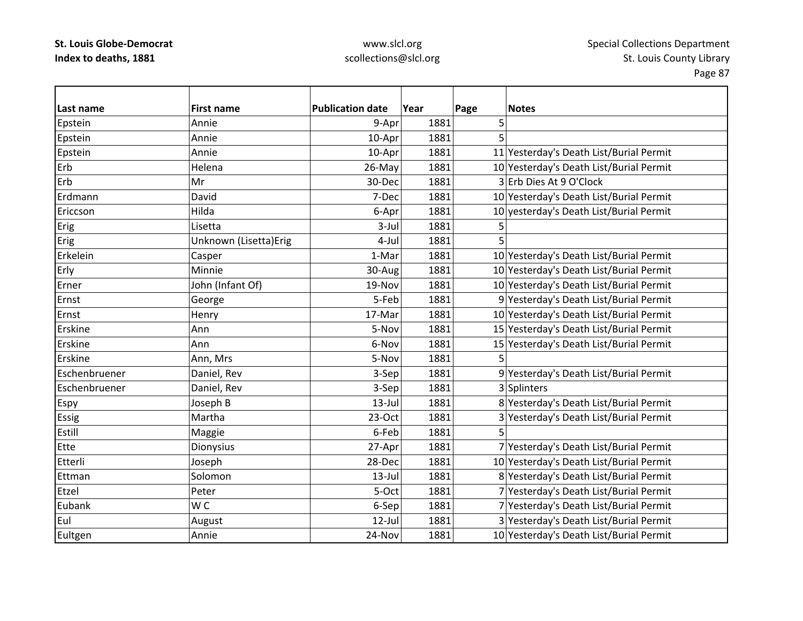# www.slcl.org scollections@slcl.org

| Last name     | <b>First name</b>     | <b>Publication date</b> | Year<br>1881 | Page<br>5 | <b>Notes</b>                            |
|---------------|-----------------------|-------------------------|--------------|-----------|-----------------------------------------|
| Epstein       | Annie                 | 9-Apr                   |              | 5         |                                         |
| Epstein       | Annie                 | 10-Apr                  | 1881         |           |                                         |
| Epstein       | Annie                 | 10-Apr                  | 1881         |           | 11 Yesterday's Death List/Burial Permit |
| Erb           | Helena                | 26-May                  | 1881         |           | 10 Yesterday's Death List/Burial Permit |
| Erb           | Mr                    | 30-Dec                  | 1881         |           | 3 Erb Dies At 9 O'Clock                 |
| Erdmann       | David                 | 7-Dec                   | 1881         |           | 10 Yesterday's Death List/Burial Permit |
| Ericcson      | Hilda                 | 6-Apr                   | 1881         |           | 10 yesterday's Death List/Burial Permit |
| Erig          | Lisetta               | $3-Jul$                 | 1881         | 5         |                                         |
| Erig          | Unknown (Lisetta)Erig | 4-Jul                   | 1881         | 5         |                                         |
| Erkelein      | Casper                | 1-Mar                   | 1881         |           | 10 Yesterday's Death List/Burial Permit |
| Erly          | Minnie                | 30-Aug                  | 1881         |           | 10 Yesterday's Death List/Burial Permit |
| Erner         | John (Infant Of)      | 19-Nov                  | 1881         |           | 10 Yesterday's Death List/Burial Permit |
| Ernst         | George                | 5-Feb                   | 1881         |           | 9 Yesterday's Death List/Burial Permit  |
| Ernst         | Henry                 | 17-Mar                  | 1881         |           | 10 Yesterday's Death List/Burial Permit |
| Erskine       | Ann                   | 5-Nov                   | 1881         |           | 15 Yesterday's Death List/Burial Permit |
| Erskine       | Ann                   | 6-Nov                   | 1881         |           | 15 Yesterday's Death List/Burial Permit |
| Erskine       | Ann, Mrs              | 5-Nov                   | 1881         | 5         |                                         |
| Eschenbruener | Daniel, Rev           | 3-Sep                   | 1881         |           | 9 Yesterday's Death List/Burial Permit  |
| Eschenbruener | Daniel, Rev           | 3-Sep                   | 1881         |           | 3 Splinters                             |
| Espy          | Joseph B              | $13$ -Jul               | 1881         |           | 8 Yesterday's Death List/Burial Permit  |
| <b>Essig</b>  | Martha                | $23-Oct$                | 1881         |           | 3 Yesterday's Death List/Burial Permit  |
| Estill        | Maggie                | 6-Feb                   | 1881         | 5         |                                         |
| Ette          | Dionysius             | 27-Apr                  | 1881         |           | 7 Yesterday's Death List/Burial Permit  |
| Etterli       | Joseph                | 28-Dec                  | 1881         |           | 10 Yesterday's Death List/Burial Permit |
| Ettman        | Solomon               | $13$ -Jul               | 1881         |           | 8 Yesterday's Death List/Burial Permit  |
| Etzel         | Peter                 | 5-Oct                   | 1881         |           | 7 Yesterday's Death List/Burial Permit  |
| Eubank        | W C                   | 6-Sep                   | 1881         |           | 7 Yesterday's Death List/Burial Permit  |
| Eul           | August                | $12$ -Jul               | 1881         |           | 3 Yesterday's Death List/Burial Permit  |
| Eultgen       | Annie                 | 24-Nov                  | 1881         |           | 10 Yesterday's Death List/Burial Permit |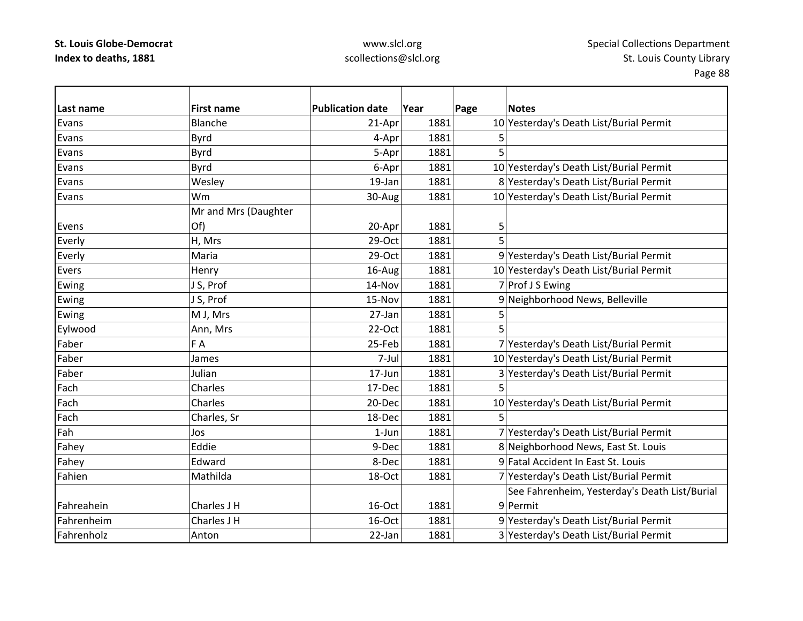### www.slcl.org scollections@slcl.org

**Last name First name Publication date Year Page Notes** Evans Blanche21-Apr 1881 10 Yesterday's Death List/Burial Permit Evans Byrd 4‐Apr 1881 5 Evanss 5-Apr| 1881| 5 EvansByrd 6–Apr 1881 10 Yesterday's Death List/Burial Permit EvansWesley 19‐Jan 1881 8 Yesterday's Death List/Burial Permit Evans Wm30-Aug 1881 1881 10 Yesterday's Death List/Burial Permit Evens Mr and Mrs (Daughter Of) 20-Apr 1881 5 Everly |H, Mrs 29-Oct 1881 5 Everly Maria 29‐Oct 1881 9 Yesterday's Death List/Burial Permit EversHenry 16-Aug 16-Aug 1881 10 Yesterday's Death List/Burial Permit  $\begin{array}{|c|c|c|c|c|}\hline \text{Ewing} & & \text{J S, Prof} & & \text{14-Nov} & & \text{1881} & & \text{7} \end{array}$ Ewing  $\vert$  J S, Prof  $\vert$  15-Nov  $\vert$  1881 9 Neighborhood News, Belleville Ewing M J, Mrs 27‐Jan 1881 5 Eylwood Ann, Mrs 22‐Oct 1881 5 Faberr | F A 25‐Feb 1881 7 Yesterday's Death List/Burial Permit Faber James7-Jul 1881 10 Yesterday's Death List/Burial Permit Faber Julian17-Jun 1881 3 Yesterday's Death List/Burial Permit Fachh |Charles | 17-Dec| 1881 5 FachCharles 20-Dec 1881 10 Yesterday's Death List/Burial Permit FachCharles, Sr  $18-\text{Dec}$  1881 5 FahJos 1990 1-Jun 1881 7 Yesterday's Death List/Burial Permit Fahey Botton Eddie 1881 8 Neighborhood News, East St. Louis Fahey **Edward** Edward **Example 2** Fahey 8-Dec 1881 9 Fatal Accident In East St. Louis FahienMathilda 18‐Oct 1881 7 Yesterday's Death List/Burial Permit Fahreahein $Charles J H$  16-Oct 1881 9|Permit See Fahrenheim, Yesterday's Death List/Burial FahrenheimCharles J H 16-Oct 1881 9 Yesterday's Death List/Burial Permit Fahrenholz Anton22-Jan 1881 3 Yesterday's Death List/Burial Permit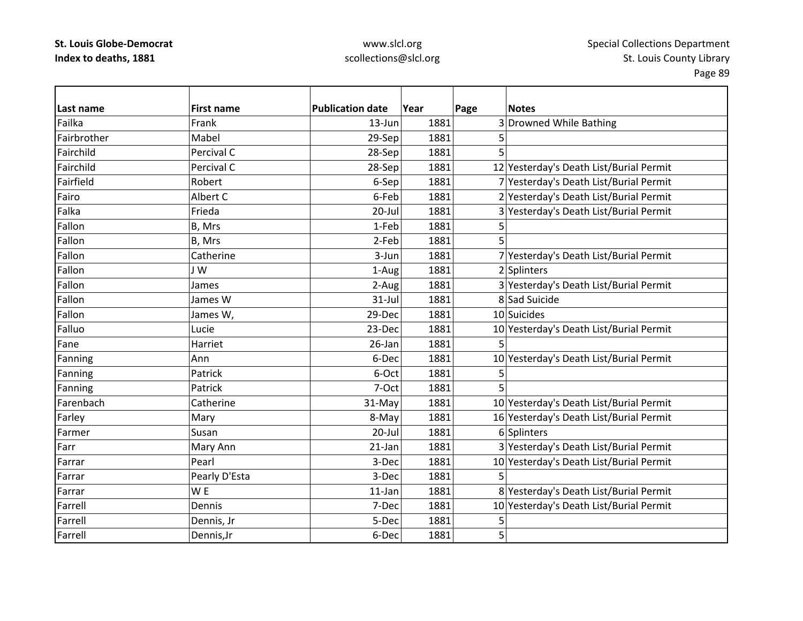### www.slcl.org scollections@slcl.org

**Last name First name Publication date Year Page Notes** Failkaa |Frank 13-Jun| 1881| 3|Drowned While Bathing Fairbrother Mabel 29‐Sep 1881 5 Fairchildd |Percival C | 28-Sep| 1881| 5 FairchildPercival C 28‐Sep 1881 12 Yesterday's Death List/Burial Permit FairfieldRobert 6‐Sep 1881 7 Yesterday's Death List/Burial Permit FairoAlbert C 6‐Feb 1881 2 Yesterday's Death List/Burial Permit FalkaFrieda 20‐Jul 1881 3 Yesterday's Death List/Burial Permit Fallonn |B, Mrs 1-Feb| 1881| 5 Fallonn |B, Mrs 2-Feb| 1881| 5 FallonCatherine **1881** 3-Jun 1881 7 Yesterday's Death List/Burial Permit Fallonn 1-Aug 1881 2 Splinters FallonJames 2-Aug 1881 3 Yesterday's Death List/Burial Permit FallonJames W  $\vert$  31-Jul 1881 8 Sad Suicide Fallonn James W, 29-Dec 1881 10 Suicides FalluoLucie 23-Dec 1881 10 Yesterday's Death List/Burial Permit Fane Harriet 26‐Jan 1881 5Fanning Ann Ann 10 Yesterday's Death List/Burial Permit Fanning |Patrick | 6-Oct 1881 5 Fanning |Patrick | 7-Oct 1881 5 FarenbachCatherine 31-May 1881 10 Yesterday's Death List/Burial Permit Farley Mary Mary  $\vert$  8-May  $\vert$  1881  $\vert$  1881 16 Yesterday's Death List/Burial Permit Farmer Susan20-Jul 1881 6 Splinters FarrMary Ann 1881 21-Jan 1881 3 Yesterday's Death List/Burial Permit FarrarPearl 1881 1881 10 Yesterday's Death List/Burial Permit FarrarPearly D'Esta  $\begin{array}{ccc} 1 & 3-\text{Dec} & 1881 \end{array}$  5 Farrarr IW WE 11-Jan 11-Jan 1881 8 Yesterday's Death List/Burial Permit Farrell Dennis7-Dec 1881 10 Yesterday's Death List/Burial Permit Farrell Dennis, Jr 5‐Dec 1881 5 FarrellDennis,Jr 6‐Dec 1881 5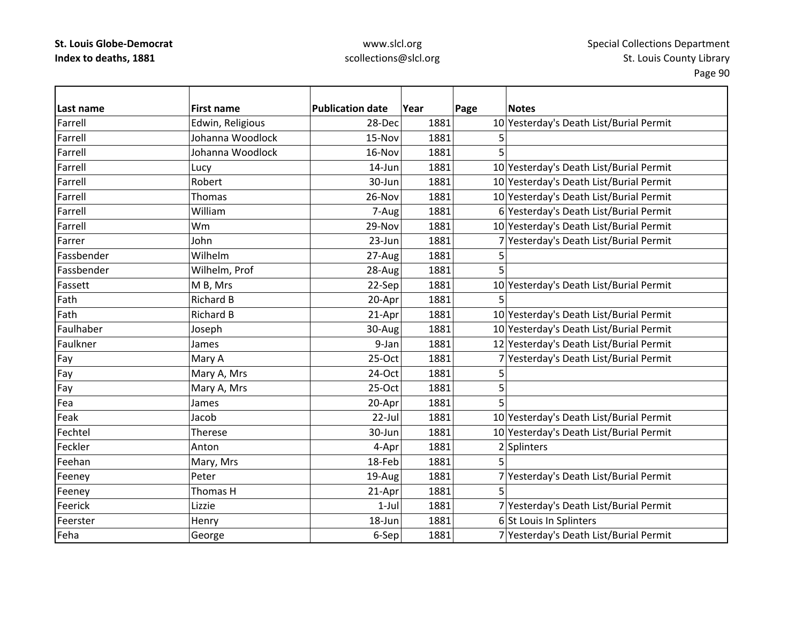Farrell

Farrell

Farrell

Farrell

Farrell

Farrell

Farrell

Farrell

Farrer

Fassett

Fath

Fath

Fea

Feak

Fechtel

Feckler

Feehan

Feerick

Feha

### www.slcl.org scollections@slcl.org

Page 90

**Last name First name Publication date Year Page Notes** Edwin, Religious 10 Yesterday's Death List/Burial Permit Johanna Woodlock 15‐Nov 1881 5 $5$  Johanna Woodlock 16‐Nov 1881 5Lucy 14‐Jun 1881 10 Yesterday's Death List/Burial Permit Robert30-Jun 1881 10 Yesterday's Death List/Burial Permit Thomas26-Nov 1881 10 Yesterday's Death List/Burial Permit William7-Aug 1881 6 Yesterday's Death List/Burial Permit Wm29-Nov 1881 10 Yesterday's Death List/Burial Permit John23-Jun 1881 7 Yesterday's Death List/Burial Permit Fassbender Wilhelm $27 - Aug$   $1881$  5 FassbenderWilhelm, Prof 1881 **28-Aug 1881** 5 MM B, Mrs 22‐Sep 1881 10 Yesterday's Death List/Burial Permit h |Richard B 20-Apr 1881 5 Richard B 21-Apr 1881 10 Yesterday's Death List/Burial Permit FaulhaberJoseph 30-Aug 1881 10 Yesterday's Death List/Burial Permit Faulkner James9-Jan 1881 12 Yesterday's Death List/Burial Permit Fay Mary A 25‐Oct 1881 7 Yesterday's Death List/Burial Permit Fay Mary A, Mrs 1881 5 Fay Mary A, Mrs  $\vert$  25-Oct  $\vert$  1881 5 James 20‐Apr 1881 5 Jacob22-Jul 1881 10 Yesterday's Death List/Burial Permit Therese30-Jun 1881 10 Yesterday's Death List/Burial Permit Anton4-Apr 1881 2 Splinters Mary, Mrs 18–Feb 1881 5 Feeney **Peter** Peter 19–Aug 1881 7 Yesterday's Death List/Burial Permit Feeney |Thomas H 21-Apr| 1881| 5 Lizzie1-Jul 1881 7 Yesterday's Death List/Burial Permit FeersterHenry 18-Jun 1881 6 St Louis In Splinters George 6-Sep 1881 7 Yesterday's Death List/Burial Permit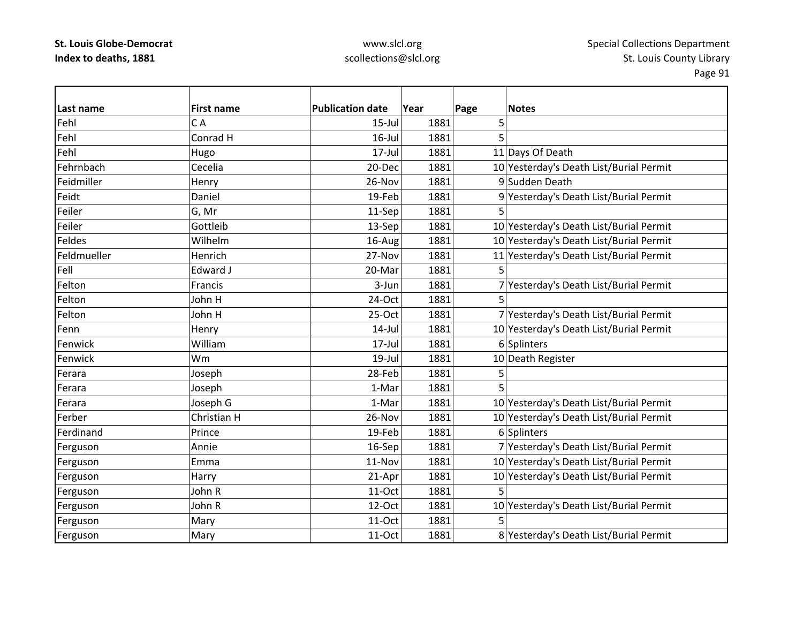# www.slcl.org scollections@slcl.org

| Last name   | <b>First name</b> | <b>Publication date</b> | Year |           | <b>Notes</b>                            |
|-------------|-------------------|-------------------------|------|-----------|-----------------------------------------|
| Fehl        | CA                | $15$ -Jul               | 1881 | Page<br>5 |                                         |
| Fehl        | Conrad H          | $16$ -Jul               | 1881 | 5         |                                         |
|             |                   |                         |      |           |                                         |
| Fehl        | Hugo              | 17-Jul                  | 1881 |           | 11 Days Of Death                        |
| Fehrnbach   | Cecelia           | 20-Dec                  | 1881 |           | 10 Yesterday's Death List/Burial Permit |
| Feidmiller  | Henry             | 26-Nov                  | 1881 |           | 9 Sudden Death                          |
| Feidt       | Daniel            | 19-Feb                  | 1881 |           | 9 Yesterday's Death List/Burial Permit  |
| Feiler      | G, Mr             | 11-Sep                  | 1881 | 5         |                                         |
| Feiler      | Gottleib          | 13-Sep                  | 1881 |           | 10 Yesterday's Death List/Burial Permit |
| Feldes      | Wilhelm           | 16-Aug                  | 1881 |           | 10 Yesterday's Death List/Burial Permit |
| Feldmueller | Henrich           | 27-Nov                  | 1881 |           | 11 Yesterday's Death List/Burial Permit |
| Fell        | <b>Edward J</b>   | 20-Mar                  | 1881 | 5         |                                         |
| Felton      | Francis           | 3-Jun                   | 1881 |           | 7 Yesterday's Death List/Burial Permit  |
| Felton      | John H            | 24-Oct                  | 1881 | 5         |                                         |
| Felton      | John H            | 25-Oct                  | 1881 |           | 7 Yesterday's Death List/Burial Permit  |
| Fenn        | Henry             | $14$ -Jul               | 1881 |           | 10 Yesterday's Death List/Burial Permit |
| Fenwick     | William           | 17-Jul                  | 1881 |           | 6 Splinters                             |
| Fenwick     | Wm                | 19-Jul                  | 1881 |           | 10 Death Register                       |
| Ferara      | Joseph            | 28-Feb                  | 1881 | 5         |                                         |
| Ferara      | Joseph            | 1-Mar                   | 1881 | 5         |                                         |
| Ferara      | Joseph G          | 1-Mar                   | 1881 |           | 10 Yesterday's Death List/Burial Permit |
| Ferber      | Christian H       | 26-Nov                  | 1881 |           | 10 Yesterday's Death List/Burial Permit |
| Ferdinand   | Prince            | 19-Feb                  | 1881 |           | 6 Splinters                             |
| Ferguson    | Annie             | 16-Sep                  | 1881 |           | 7 Yesterday's Death List/Burial Permit  |
| Ferguson    | Emma              | 11-Nov                  | 1881 |           | 10 Yesterday's Death List/Burial Permit |
| Ferguson    | Harry             | 21-Apr                  | 1881 |           | 10 Yesterday's Death List/Burial Permit |
| Ferguson    | John R            | $11-Oct$                | 1881 | 5         |                                         |
| Ferguson    | John R            | 12-Oct                  | 1881 |           | 10 Yesterday's Death List/Burial Permit |
| Ferguson    | Mary              | 11-Oct                  | 1881 | 5         |                                         |
| Ferguson    | Mary              | 11-Oct                  | 1881 |           | 8 Yesterday's Death List/Burial Permit  |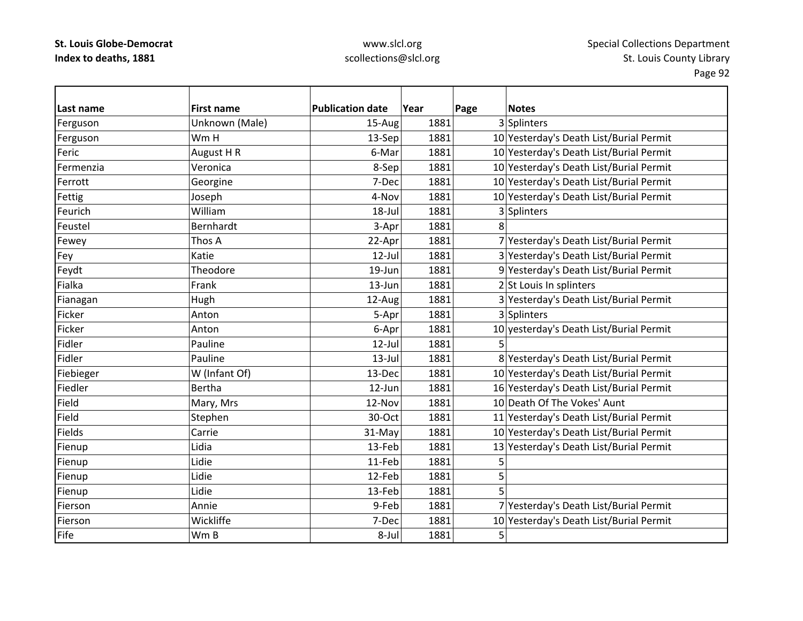# www.slcl.org scollections@slcl.org

| Last name | <b>First name</b> | <b>Publication date</b> | Year | Page | <b>Notes</b>                            |
|-----------|-------------------|-------------------------|------|------|-----------------------------------------|
| Ferguson  | Unknown (Male)    | 15-Aug                  | 1881 |      | 3 Splinters                             |
| Ferguson  | Wm H              | 13-Sep                  | 1881 |      | 10 Yesterday's Death List/Burial Permit |
| Feric     | August H R        | 6-Mar                   | 1881 |      | 10 Yesterday's Death List/Burial Permit |
| Fermenzia | Veronica          | 8-Sep                   | 1881 |      | 10 Yesterday's Death List/Burial Permit |
| Ferrott   | Georgine          | 7-Dec                   | 1881 |      | 10 Yesterday's Death List/Burial Permit |
| Fettig    | Joseph            | 4-Nov                   | 1881 |      | 10 Yesterday's Death List/Burial Permit |
| Feurich   | William           | 18-Jul                  | 1881 |      | 3 Splinters                             |
| Feustel   | Bernhardt         | 3-Apr                   | 1881 | 8    |                                         |
| Fewey     | Thos A            | 22-Apr                  | 1881 |      | 7 Yesterday's Death List/Burial Permit  |
| Fey       | Katie             | $12$ -Jul               | 1881 |      | 3 Yesterday's Death List/Burial Permit  |
| Feydt     | Theodore          | 19-Jun                  | 1881 |      | 9 Yesterday's Death List/Burial Permit  |
| Fialka    | Frank             | 13-Jun                  | 1881 |      | 2 St Louis In splinters                 |
| Fianagan  | Hugh              | 12-Aug                  | 1881 |      | 3 Yesterday's Death List/Burial Permit  |
| Ficker    | Anton             | 5-Apr                   | 1881 |      | 3 Splinters                             |
| Ficker    | Anton             | 6-Apr                   | 1881 |      | 10 yesterday's Death List/Burial Permit |
| Fidler    | Pauline           | $12$ -Jul               | 1881 | 5    |                                         |
| Fidler    | Pauline           | $13$ -Jul               | 1881 |      | 8 Yesterday's Death List/Burial Permit  |
| Fiebieger | W (Infant Of)     | 13-Dec                  | 1881 |      | 10 Yesterday's Death List/Burial Permit |
| Fiedler   | <b>Bertha</b>     | 12-Jun                  | 1881 |      | 16 Yesterday's Death List/Burial Permit |
| Field     | Mary, Mrs         | 12-Nov                  | 1881 |      | 10 Death Of The Vokes' Aunt             |
| Field     | Stephen           | 30-Oct                  | 1881 |      | 11 Yesterday's Death List/Burial Permit |
| Fields    | Carrie            | 31-May                  | 1881 |      | 10 Yesterday's Death List/Burial Permit |
| Fienup    | Lidia             | 13-Feb                  | 1881 |      | 13 Yesterday's Death List/Burial Permit |
| Fienup    | Lidie             | 11-Feb                  | 1881 | 5    |                                         |
| Fienup    | Lidie             | 12-Feb                  | 1881 | 5    |                                         |
| Fienup    | Lidie             | 13-Feb                  | 1881 | 5    |                                         |
| Fierson   | Annie             | 9-Feb                   | 1881 |      | 7 Yesterday's Death List/Burial Permit  |
| Fierson   | Wickliffe         | 7-Dec                   | 1881 |      | 10 Yesterday's Death List/Burial Permit |
| Fife      | Wm B              | 8-Jul                   | 1881 | 5    |                                         |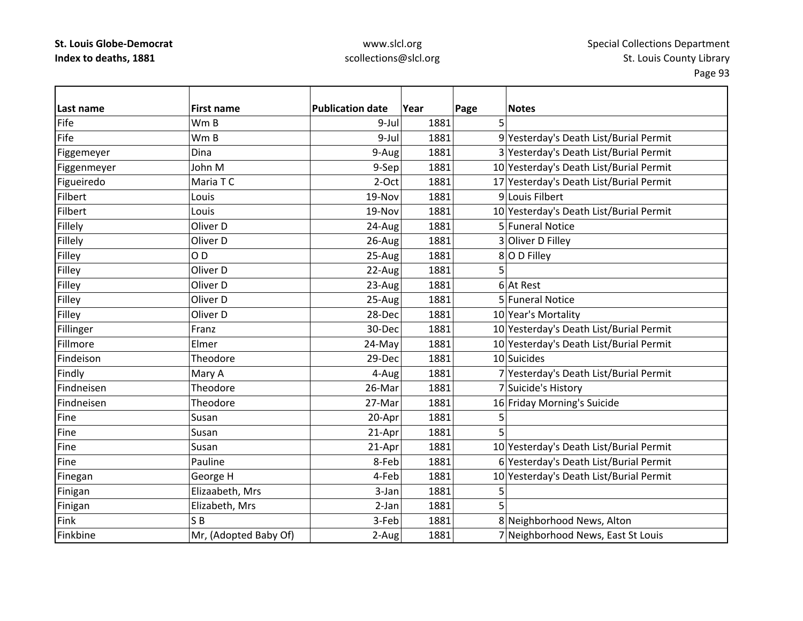### www.slcl.org scollections@slcl.org

Page 93

**Last name First name Publication date Year Page Notes** FifeW<sub>m</sub> B m B | 9-Jul 1881 5 FifeW<sub>m</sub> B 9-Jul 1881 9Yesterday's Death List/Burial Permit Figgemeyer  $|D|$ ina  $|A|$  9-Aug 1881 3 Yesterday's Death List/Burial Permit Figgenmeyer John M 9‐Sep 1881 10 Yesterday's Death List/Burial Permit Figueiredo  $\blacksquare$ Maria T C  $\blacksquare$  2‐Oct 1881 17 Yesterday's Death List/Burial Permit Filbert Louis19-Nov 1881 9 Louis Filbert Filbert Louis19-Nov 1881 10 Yesterday's Death List/Burial Permit Fillely **Cauca Coliver D** 24‐Aug 1881 5 Funeral Notice Fillely **Diver D** 26-Aug 1881 3 Oliver D Filley Filley 25-Aug 1881 8 |O D Filley Filley |Oliver D | 22-Aug 1881 5 Filley 23-Aug 1881 6 |At Rest Filley **Coliver D** 25-Aug 1881 5 Funeral Notice Filley **COLIVER COLLEGAN COLLEGAN COLLEGAN COLLEGAN COLLEGAN COLLEGAN COLLEGAN COLLEGAN COLLEGAN COLLEGAN COLLEGAN COLLEGAN COLLEGAN COLLEGAN COLLEGAN COLLEGAN COLLEGAN COLLEGAN COLLEGAN COLLEGAN COLLEGAN COLLEGAN COLLEGAN** Fillinger Franz Franz 10 Yesterday's Death List/Burial Permit FillmoreElmer 24-May 1881 1881 10 Yesterday's Death List/Burial Permit FindeisonTheodore 29-Dec 1881 10 Suicides Findly Mary A 4–Aug 1881 7 Yesterday's Death List/Burial Permit FindneisenTheodore 26‐Mar 1881 7 Suicide's History FindneisenTheodore 27-Mar 1881 16 Friday Morning's Suicide Fine Susan20-Apr 1881 5 Fine Susan $21-Apr$  1881 5 Fine Susan21-Apr 1881 10 Yesterday's Death List/Burial Permit FinePauline 1881 8-Feb 1881 6 Yesterday's Death List/Burial Permit Finegan George H 1881 1881 10 Yesterday's Death List/Burial Permit Finigan Elizaabeth, Mrs | 3-Jan 1881 5 Finigan Elizabeth, Mrs | 2-Jan 1881 5 Finkk IS S<sub>B</sub>  $3$ -Feb 1881 8 Neighborhood News, Alton FinkbineMr, (Adopted Baby Of)  $\vert$  2-Aug 1881 7 Neighborhood News, East St Louis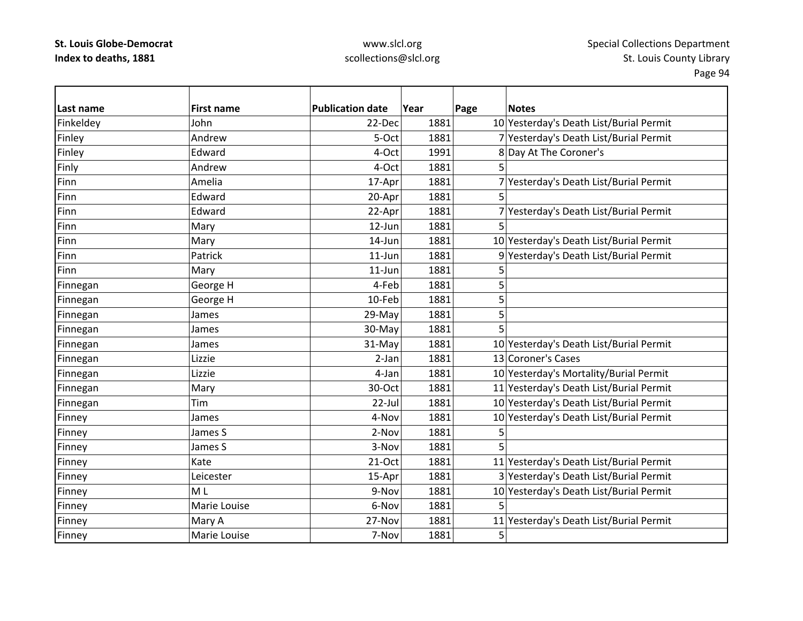# www.slcl.org scollections@slcl.org

| Last name | <b>First name</b> | <b>Publication date</b> | Year | Page | <b>Notes</b>                            |
|-----------|-------------------|-------------------------|------|------|-----------------------------------------|
| Finkeldey | John              | 22-Dec                  | 1881 |      | 10 Yesterday's Death List/Burial Permit |
| Finley    | Andrew            | 5-Oct                   | 1881 |      | 7 Yesterday's Death List/Burial Permit  |
| Finley    | Edward            | 4-Oct                   | 1991 |      | 8 Day At The Coroner's                  |
| Finly     | Andrew            | 4-Oct                   | 1881 | 5    |                                         |
| Finn      | Amelia            | 17-Apr                  | 1881 |      | 7 Yesterday's Death List/Burial Permit  |
| Finn      | Edward            | 20-Apr                  | 1881 | 5    |                                         |
| Finn      | Edward            | 22-Apr                  | 1881 |      | 7 Yesterday's Death List/Burial Permit  |
| Finn      | Mary              | 12-Jun                  | 1881 | 5    |                                         |
| Finn      | Mary              | 14-Jun                  | 1881 |      | 10 Yesterday's Death List/Burial Permit |
| Finn      | Patrick           | $11$ -Jun               | 1881 |      | 9 Yesterday's Death List/Burial Permit  |
| Finn      | Mary              | 11-Jun                  | 1881 | 5    |                                         |
| Finnegan  | George H          | 4-Feb                   | 1881 | 5    |                                         |
| Finnegan  | George H          | 10-Feb                  | 1881 | 5    |                                         |
| Finnegan  | James             | 29-May                  | 1881 | 5    |                                         |
| Finnegan  | James             | 30-May                  | 1881 | 5    |                                         |
| Finnegan  | James             | 31-May                  | 1881 |      | 10 Yesterday's Death List/Burial Permit |
| Finnegan  | Lizzie            | 2-Jan                   | 1881 |      | 13 Coroner's Cases                      |
| Finnegan  | Lizzie            | 4-Jan                   | 1881 |      | 10 Yesterday's Mortality/Burial Permit  |
| Finnegan  | Mary              | 30-Oct                  | 1881 |      | 11 Yesterday's Death List/Burial Permit |
| Finnegan  | Tim               | 22-Jul                  | 1881 |      | 10 Yesterday's Death List/Burial Permit |
| Finney    | James             | 4-Nov                   | 1881 |      | 10 Yesterday's Death List/Burial Permit |
| Finney    | James S           | 2-Nov                   | 1881 | 5    |                                         |
| Finney    | James S           | 3-Nov                   | 1881 | 5    |                                         |
| Finney    | Kate              | 21-Oct                  | 1881 |      | 11 Yesterday's Death List/Burial Permit |
| Finney    | Leicester         | 15-Apr                  | 1881 |      | 3 Yesterday's Death List/Burial Permit  |
| Finney    | M L               | 9-Nov                   | 1881 |      | 10 Yesterday's Death List/Burial Permit |
| Finney    | Marie Louise      | 6-Nov                   | 1881 | 5    |                                         |
| Finney    | Mary A            | 27-Nov                  | 1881 |      | 11 Yesterday's Death List/Burial Permit |
| Finney    | Marie Louise      | 7-Nov                   | 1881 | 5    |                                         |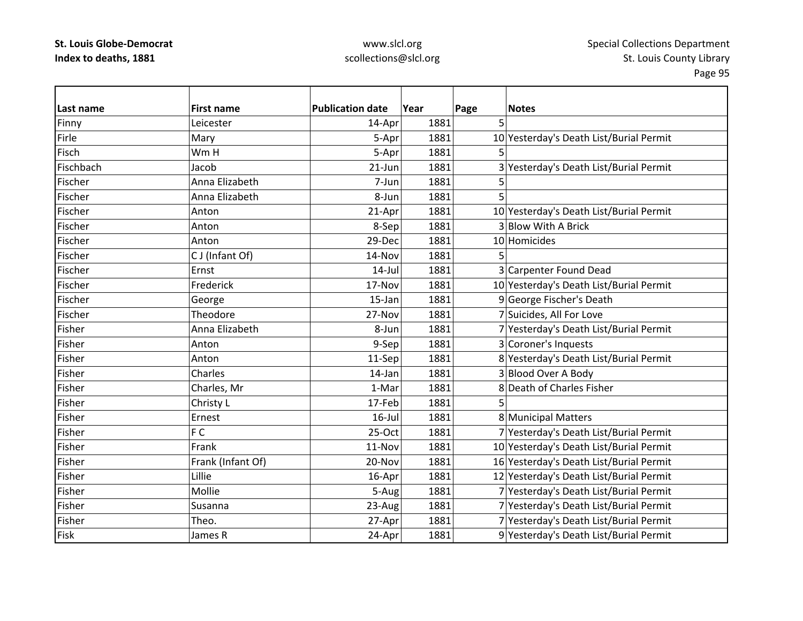### www.slcl.org scollections@slcl.org

**Last nameFirst name Publication date date Year Page Notes** Finny Leicester 14‐Apr 1881 5 FirleMary 1881 1881 10 Yesterday's Death List/Burial Permit **Fisch** Wm H m H | 5-Apr| 1881| 5 FischbachJacob 21‐Jun 1881 3 Yesterday's Death List/Burial Permit Fischer Anna Elizabeth 7‐Jun 1881 5 Fischer Anna Elizabeth8-Jun 1881 5 Fischer Anton21-Apr 1881 10 Yesterday's Death List/Burial Permit Fischer Anton $8-\text{Sep}$  1881 3 Blow With A Brick Fischer Anton29-Dec 1881 10 Homicides Fischerr IC  $\begin{array}{|c|c|c|c|c|c|c|c|}\n\hline\n\text{CJ (Infant Of)} & & & 14-Nov & 1881 & 5\n\end{array}$ FischerErnst 14‐Jul 1881 3 Carpenter Found Dead Fischer Frederick17-Nov 1881 10 Yesterday's Death List/Burial Permit FischerGeorge 15‐Jan 1881 9 George Fischer's Death Fischer**Theodore** 27-Nov 1881 7 Suicides, All For Love Fisher Anna Elizabeth8-Jun 1881 7 Yesterday's Death List/Burial Permit Fisher Anton9-Sep 1881 3 Coroner's Inquests Fisher Anton11-Sep 1881 8 Yesterday's Death List/Burial Permit Fisher Charless 14-Jan 1881 3 Blood Over A Body FisherCharles, Mr 1–Mar 1-Mar 1881 8 Death of Charles Fisher Fisher Christy L 17‐Feb 1881 5 FisherErnest **16-Jul 1881** 8 Municipal Matters Fisherr IF F C 25‐Oct 1881 7 Yesterday's Death List/Burial Permit Fisher Frank11-Nov 1881 10 Yesterday's Death List/Burial Permit FisherFrank (Infant Of) 20‐Nov 1881 16 Yesterday's Death List/Burial Permit Fisher Lillie16-Apr 1881 12 Yesterday's Death List/Burial Permit Fisher Mollie5-Aug 1881 7 Yesterday's Death List/Burial Permit Fisher Susanna23-Aug 1881 7 Yesterday's Death List/Burial Permit FisherTheo. 27‐Apr 1881 7 Yesterday's Death List/Burial Permit FiskJames R 24-Apr | 24-Apr | 1881 | 9 Yesterday's Death List/Burial Permit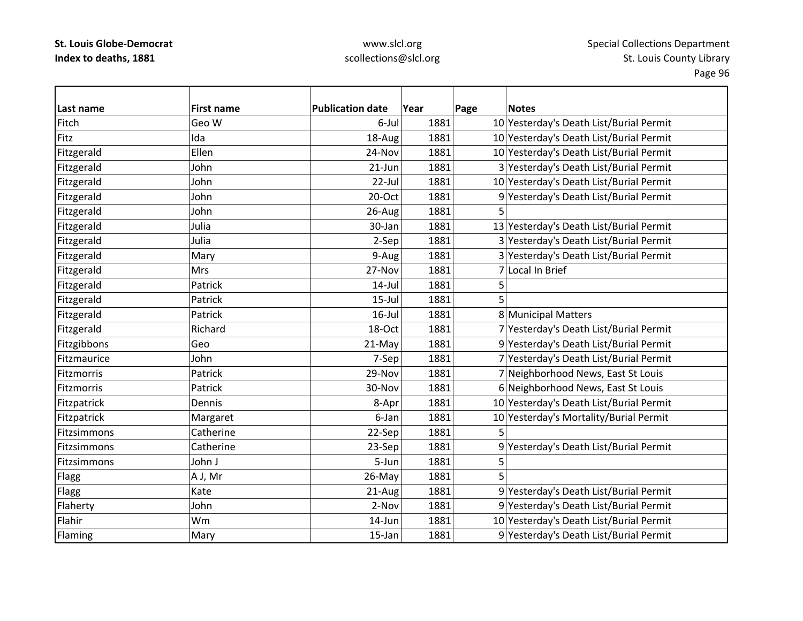### www.slcl.org scollections@slcl.org

**Last name First name Publication date Year Page Notes** FitchGeo W 6-Jul 1881 10 Yesterday's Death List/Burial Permit **Fitz**  Ida18-Aug 1881 10 Yesterday's Death List/Burial Permit Fitzgerald Ellen 24‐Nov 1881 10 Yesterday's Death List/Burial Permit Fitzgerald John John 21‐Jun 1881 3 Yesterday's Death List/Burial Permit Fitzgerald  $\vert$ John  $\vert$  22-Jul 1881 10 Yesterday's Death List/Burial Permit Fitzgerald John 20‐Oct 1881 9 Yesterday's Death List/Burial Permit Fitzgerald John 26‐Aug 1881 5 Fitzgerald Julia 30‐Jan 1881 13 Yesterday's Death List/Burial Permit Fitzgerald Julia 2‐Sep 1881 3 Yesterday's Death List/Burial Permit Fitzgerald Mary Mary 1881 9-Aug 1881 3 Yesterday's Death List/Burial Permit Fitzgerald Mrs Mrs 27‐Nov 1881 7 Local In Brief Fitzgerald Patrick 14‐Jul 1881 5 Fitzgerald Patrick 15‐Jul 1881 5 Fitzgerald **Patrick** Patrick 16‐Jul 1881 8 Municipal Matters Fitzgerald Richard Richard 18-Oct 1881 7 Yesterday's Death List/Burial Permit Fitzgibbons Geo 21‐May 1881 9 Yesterday's Death List/Burial Permit Fitzmaurice John7-Sep 1881 7 Yesterday's Death List/Burial Permit Fitzmorris Patrick29-Nov 1881 7 Neighborhood News, East St Louis **Fitzmorris**  Patrick30-Nov 1881 6 Neighborhood News, East St Louis Fitzpatrick Dennis 8‐Apr 1881 10 Yesterday's Death List/Burial Permit Fitzpatrick Margaret Margaret 6‐Jan 1881 10 Yesterday's Mortality/Burial Permit Fitzsimmons**Catherine**  $22-Sep$   $1881$  5 Fitzsimmons Catherine23-Sep 1881 9 Yesterday's Death List/Burial Permit FitzsimmonsJohn J J 5‐Jun 1881 5 Flagg |A J, Mr | 26-May 1881 5 Flagg Electronic Rate 21-Aug 1881 9 Yesterday's Death List/Burial Permit Flaherty John John 2‐Nov 1881 9 Yesterday's Death List/Burial Permit Flahir Wm14-Jun 1881 10 Yesterday's Death List/Burial Permit Flaming Mary Mary 15‐Jan 1881 9 Yesterday's Death List/Burial Permit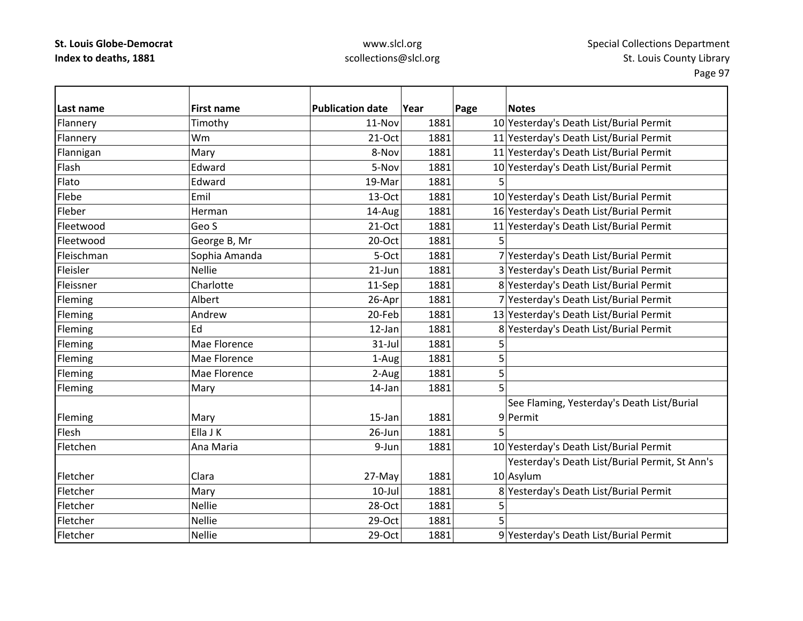# www.slcl.org scollections@slcl.org

| Last name  | <b>First name</b> | <b>Publication date</b> | Year | Page | <b>Notes</b>                                   |
|------------|-------------------|-------------------------|------|------|------------------------------------------------|
| Flannery   | Timothy           | 11-Nov                  | 1881 |      | 10 Yesterday's Death List/Burial Permit        |
| Flannery   | Wm                | 21-Oct                  | 1881 |      | 11 Yesterday's Death List/Burial Permit        |
| Flannigan  | Mary              | 8-Nov                   | 1881 |      | 11 Yesterday's Death List/Burial Permit        |
| Flash      | Edward            | 5-Nov                   | 1881 |      | 10 Yesterday's Death List/Burial Permit        |
| Flato      | Edward            | 19-Mar                  | 1881 | 5    |                                                |
| Flebe      | Emil              | 13-Oct                  | 1881 |      | 10 Yesterday's Death List/Burial Permit        |
| Fleber     | Herman            | 14-Aug                  | 1881 |      | 16 Yesterday's Death List/Burial Permit        |
| Fleetwood  | Geo S             | $21-Oct$                | 1881 |      | 11 Yesterday's Death List/Burial Permit        |
| Fleetwood  | George B, Mr      | 20-Oct                  | 1881 | 5    |                                                |
| Fleischman | Sophia Amanda     | 5-Oct                   | 1881 |      | 7 Yesterday's Death List/Burial Permit         |
| Fleisler   | <b>Nellie</b>     | 21-Jun                  | 1881 |      | 3 Yesterday's Death List/Burial Permit         |
| Fleissner  | Charlotte         | 11-Sep                  | 1881 |      | 8 Yesterday's Death List/Burial Permit         |
| Fleming    | Albert            | 26-Apr                  | 1881 |      | 7 Yesterday's Death List/Burial Permit         |
| Fleming    | Andrew            | 20-Feb                  | 1881 |      | 13 Yesterday's Death List/Burial Permit        |
| Fleming    | Ed                | 12-Jan                  | 1881 |      | 8 Yesterday's Death List/Burial Permit         |
| Fleming    | Mae Florence      | 31-Jul                  | 1881 | 5    |                                                |
| Fleming    | Mae Florence      | 1-Aug                   | 1881 | 5    |                                                |
| Fleming    | Mae Florence      | 2-Aug                   | 1881 | 5    |                                                |
| Fleming    | Mary              | 14-Jan                  | 1881 | 5    |                                                |
|            |                   |                         |      |      | See Flaming, Yesterday's Death List/Burial     |
| Fleming    | Mary              | 15-Jan                  | 1881 |      | 9 Permit                                       |
| Flesh      | Ella J K          | 26-Jun                  | 1881 | 5    |                                                |
| Fletchen   | Ana Maria         | 9-Jun                   | 1881 |      | 10 Yesterday's Death List/Burial Permit        |
|            |                   |                         |      |      | Yesterday's Death List/Burial Permit, St Ann's |
| Fletcher   | Clara             | 27-May                  | 1881 |      | 10 Asylum                                      |
| Fletcher   | Mary              | 10-Jul                  | 1881 |      | 8 Yesterday's Death List/Burial Permit         |
| Fletcher   | <b>Nellie</b>     | 28-Oct                  | 1881 | 5    |                                                |
| Fletcher   | <b>Nellie</b>     | 29-Oct                  | 1881 | 5    |                                                |
| Fletcher   | <b>Nellie</b>     | 29-Oct                  | 1881 |      | 9 Yesterday's Death List/Burial Permit         |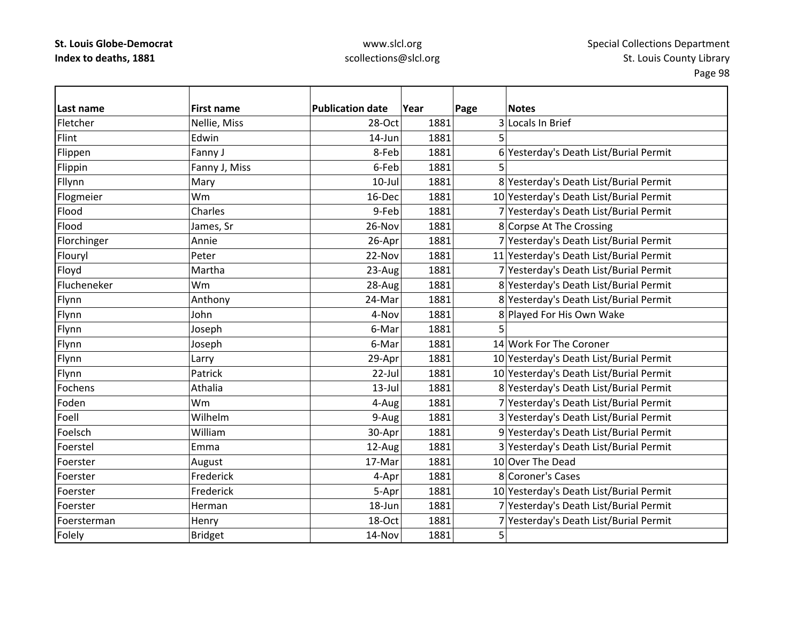### www.slcl.org scollections@slcl.org

**Last name First name Publication date Year Page Notes** FletcherNellie, Miss  $|$  28-Oct 1881 3 Locals In Brief Flint Edwin $14$ -Jun  $1881$  5 Flippen Fanny J Ranny J 8-Feb  $\vert$  8-Feb 1881 6 Yesterday's Death List/Burial Permit Flippin Fanny J, Miss 6‐Feb 1881 5 Fllynn Mary Mary 10‐Jul 1881 8 Yesterday's Death List/Burial Permit Flogmeier NMM 16‐Dec 1881 10 Yesterday's Death List/Burial Permit 16‐Dec 1881 10 Yesterday's Death List/Burial Permit Flood Charles 9‐Feb 1881 7 Yesterday's Death List/Burial Permit FloodJames, Sr 26-Nov 1881 8 Corpse At The Crossing Florchinger Annie 26-Apr 1881 7 Yesterday's Death List/Burial Permit 1881 Flouryl Peter 22‐Nov 1881 11 Yesterday's Death List/Burial Permit Floyd Martha 23‐Aug 1881 7 Yesterday's Death List/Burial Permit Flucheneker Wm28-Aug 1881 8 Yesterday's Death List/Burial Permit Flynn **Anthony Anthony 1881** Bylesterday's Death List/Burial Permit Flynn **1881** Iohn John 1881 4-Nov 1881 8 Played For His Own Wake Flynn Joseph 6‐Mar 1881 5 Flynn Joseph Joseph 6-Mar 1881 14 Work For The Coroner Flynn Larry Larry 29-Apr 1881 10 Yesterday's Death List/Burial Permit Flynn **Patrick** Patrick 22-Jul 1881 10 Yesterday's Death List/Burial Permit Fochens Athalia13-Jul 1881 8 Yesterday's Death List/Burial Permit Foden Wm4-Aug 1881 7 Yesterday's Death List/Burial Permit Foell Wilhelm9-Aug 1881 3 Yesterday's Death List/Burial Permit Foelsch William30-Apr 1881 9 Yesterday's Death List/Burial Permit Foerstel Emma12-Aug 1881 3 Yesterday's Death List/Burial Permit FoersterAugust 17‐Mar 1881 10 Over The Dead Foerster Frederick4-Apr 1881 8 Coroner's Cases Foerster Frederick5-Apr 1881 10 Yesterday's Death List/Burial Permit Foerster Herman18-Jun 1881 7 Yesterday's Death List/Burial Permit FoerstermanHenry 18 18-Oct 1881 7 Yesterday's Death List/Burial Permit Folely Bridget 14‐Nov 1881 5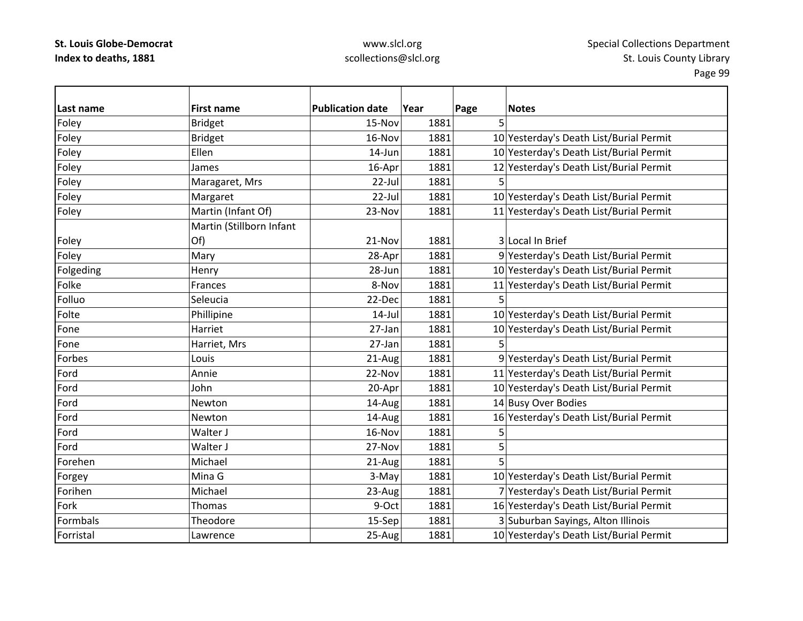### www.slcl.org scollections@slcl.org

**Last name First name Publication date Year Page Notes** Foley |Bridget | 15-Nov| 1881| 5 Foley Bridget 16‐Nov 1881 10 Yesterday's Death List/Burial Permit Foley **Ellen** Ellen 14‐Jun 1881 10 Yesterday's Death List/Burial Permit Foley James Jumes 16‐Apr 1881 12 Yesterday's Death List/Burial Permit Foley Maragaret, Mrs | 22-Jul 1881 5 Foley **Margaret** 1881 1881 1881 10 Yesterday's Death List/Burial Permit |Foley | Martin (Infant Of) 23-Nov 1881 11 Yesterday's Death List/Burial Permit Foley Martin (Stillborn Infant Of) 21-Nov 1881 3 Local In Brief Foley **Mary 1881** 28-Apr 1881 9 Yesterday's Death List/Burial Permit Folgeding Thenry Henry 28-Jun 1881 10 Yesterday's Death List/Burial Permit FolkeFrances **8-Nov** 1881 11 Yesterday's Death List/Burial Permit Folluoo |Seleucia | 22-Dec 1881 5 FoltePhillipine 14‐Jul 1881 10 Yesterday's Death List/Burial Permit FoneHarriet 27‐Jan 1881 10 Yesterday's Death List/Burial Permit FoneHarriet, Mrs  $27$ -Jan 1881 5 Forbes Louis 21‐Aug 1881 9 Yesterday's Death List/Burial Permit Ford Annie 22‐Nov 1881 11 Yesterday's Death List/Burial Permit FordJohn 20–Apr 1881 10 Yesterday's Death List/Burial Permit FordNewton 14‐Aug 1881 14‐Busy Over Bodies FordNewton 14‐Aug 1881 16 Yesterday's Death List/Burial Permit Fordd 16-Nov 1881 5 Fordd |Walter J | 27-Nov | 1881 | 5 Forehen Michael 21‐Aug 1881 5 Forgey Mina G 3‐May 1881 10 Yesterday's Death List/Burial Permit ForihenMichael 23-Aug 1881 7 Yesterday's Death List/Burial Permit Forkk |Thomas | 9-Oct 1881 1881 16 Yesterday's Death List/Burial Permit Formbals Theodore15-Sep 1881 3 Suburban Sayings, Alton Illinois Forristal Lawrence25-Aug 1881 10 Yesterday's Death List/Burial Permit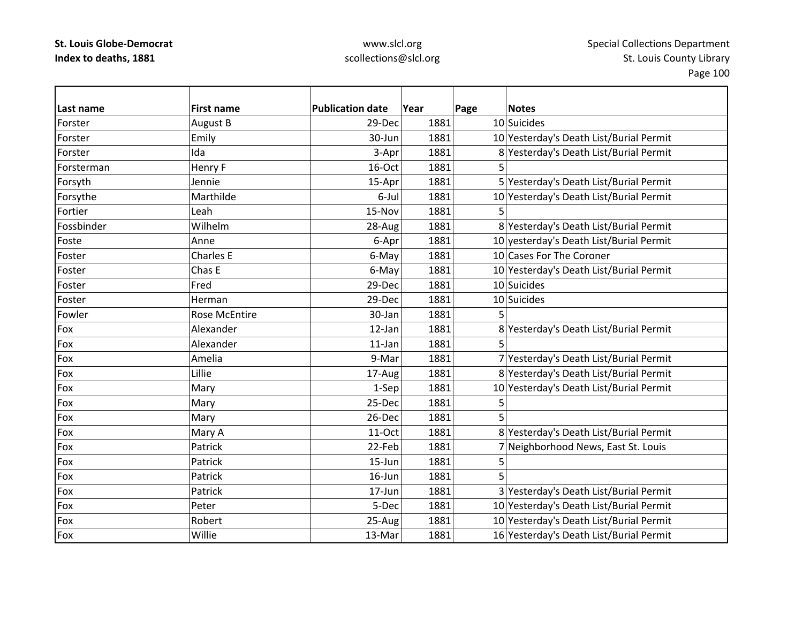| Last name  | <b>First name</b>    | <b>Publication date</b> | Year | Page | <b>Notes</b>                            |
|------------|----------------------|-------------------------|------|------|-----------------------------------------|
| Forster    | August B             | 29-Dec                  | 1881 |      | 10 Suicides                             |
| Forster    | Emily                | 30-Jun                  | 1881 |      | 10 Yesterday's Death List/Burial Permit |
| Forster    | Ida                  | 3-Apr                   | 1881 |      | 8 Yesterday's Death List/Burial Permit  |
| Forsterman | Henry F              | 16-Oct                  | 1881 | 5    |                                         |
| Forsyth    | Jennie               | 15-Apr                  | 1881 |      | 5 Yesterday's Death List/Burial Permit  |
| Forsythe   | Marthilde            | 6-Jul                   | 1881 |      | 10 Yesterday's Death List/Burial Permit |
| Fortier    | Leah                 | 15-Nov                  | 1881 | 5    |                                         |
| Fossbinder | Wilhelm              | 28-Aug                  | 1881 |      | 8 Yesterday's Death List/Burial Permit  |
| Foste      | Anne                 | 6-Apr                   | 1881 |      | 10 yesterday's Death List/Burial Permit |
| Foster     | <b>Charles E</b>     | 6-May                   | 1881 |      | 10 Cases For The Coroner                |
| Foster     | Chas E               | 6-May                   | 1881 |      | 10 Yesterday's Death List/Burial Permit |
| Foster     | Fred                 | 29-Dec                  | 1881 |      | 10 Suicides                             |
| Foster     | Herman               | 29-Dec                  | 1881 |      | 10 Suicides                             |
| Fowler     | <b>Rose McEntire</b> | 30-Jan                  | 1881 |      |                                         |
| Fox        | Alexander            | 12-Jan                  | 1881 |      | 8 Yesterday's Death List/Burial Permit  |
| Fox        | Alexander            | 11-Jan                  | 1881 | 5    |                                         |
| Fox        | Amelia               | 9-Mar                   | 1881 |      | 7 Yesterday's Death List/Burial Permit  |
| Fox        | Lillie               | 17-Aug                  | 1881 |      | 8 Yesterday's Death List/Burial Permit  |
| Fox        | Mary                 | 1-Sep                   | 1881 |      | 10 Yesterday's Death List/Burial Permit |
| Fox        | Mary                 | 25-Dec                  | 1881 | 5    |                                         |
| Fox        | Mary                 | 26-Dec                  | 1881 |      |                                         |
| Fox        | Mary A               | 11-Oct                  | 1881 |      | 8 Yesterday's Death List/Burial Permit  |
| Fox        | Patrick              | 22-Feb                  | 1881 |      | 7 Neighborhood News, East St. Louis     |
| Fox        | Patrick              | $15 - Jun$              | 1881 | 5    |                                         |
| Fox        | Patrick              | $16$ -Jun               | 1881 |      |                                         |
| Fox        | Patrick              | 17-Jun                  | 1881 |      | 3 Yesterday's Death List/Burial Permit  |
| Fox        | Peter                | 5-Dec                   | 1881 |      | 10 Yesterday's Death List/Burial Permit |
| Fox        | Robert               | 25-Aug                  | 1881 |      | 10 Yesterday's Death List/Burial Permit |
| Fox        | Willie               | 13-Mar                  | 1881 |      | 16 Yesterday's Death List/Burial Permit |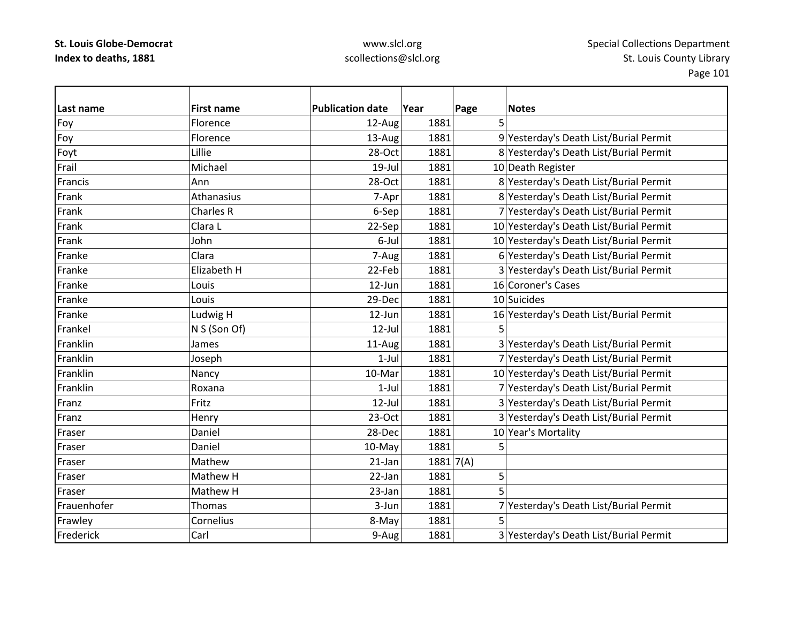| Last name   | <b>First name</b> | <b>Publication date</b> | Year        | Page | <b>Notes</b>                            |
|-------------|-------------------|-------------------------|-------------|------|-----------------------------------------|
| Foy         | Florence          | 12-Aug                  | 1881        | 5    |                                         |
| Foy         | Florence          | 13-Aug                  | 1881        |      | 9 Yesterday's Death List/Burial Permit  |
| Foyt        | Lillie            | 28-Oct                  | 1881        |      | 8 Yesterday's Death List/Burial Permit  |
| Frail       | Michael           | $19$ -Jul               | 1881        |      | 10 Death Register                       |
| Francis     | Ann               | 28-Oct                  | 1881        |      | 8 Yesterday's Death List/Burial Permit  |
| Frank       | Athanasius        | 7-Apr                   | 1881        |      | 8 Yesterday's Death List/Burial Permit  |
| Frank       | Charles R         | 6-Sep                   | 1881        |      | 7 Yesterday's Death List/Burial Permit  |
| Frank       | Clara L           | 22-Sep                  | 1881        |      | 10 Yesterday's Death List/Burial Permit |
| Frank       | John              | 6-Jul                   | 1881        |      | 10 Yesterday's Death List/Burial Permit |
| Franke      | Clara             | 7-Aug                   | 1881        |      | 6 Yesterday's Death List/Burial Permit  |
| Franke      | Elizabeth H       | 22-Feb                  | 1881        |      | 3 Yesterday's Death List/Burial Permit  |
| Franke      | Louis             | 12-Jun                  | 1881        |      | 16 Coroner's Cases                      |
| Franke      | Louis             | 29-Dec                  | 1881        |      | 10 Suicides                             |
| Franke      | Ludwig H          | 12-Jun                  | 1881        |      | 16 Yesterday's Death List/Burial Permit |
| Frankel     | N S (Son Of)      | $12$ -Jul               | 1881        |      |                                         |
| Franklin    | James             | 11-Aug                  | 1881        |      | 3 Yesterday's Death List/Burial Permit  |
| Franklin    | Joseph            | $1-Jul$                 | 1881        |      | 7 Yesterday's Death List/Burial Permit  |
| Franklin    | Nancy             | 10-Mar                  | 1881        |      | 10 Yesterday's Death List/Burial Permit |
| Franklin    | Roxana            | $1$ -Jul                | 1881        |      | 7 Yesterday's Death List/Burial Permit  |
| Franz       | Fritz             | $12$ -Jul               | 1881        |      | 3 Yesterday's Death List/Burial Permit  |
| Franz       | Henry             | $23-Oct$                | 1881        |      | 3 Yesterday's Death List/Burial Permit  |
| Fraser      | Daniel            | 28-Dec                  | 1881        |      | 10 Year's Mortality                     |
| Fraser      | Daniel            | 10-May                  | 1881        | 5    |                                         |
| Fraser      | Mathew            | 21-Jan                  | 1881   7(A) |      |                                         |
| Fraser      | Mathew H          | 22-Jan                  | 1881        | 5    |                                         |
| Fraser      | Mathew H          | 23-Jan                  | 1881        | 5    |                                         |
| Frauenhofer | <b>Thomas</b>     | 3-Jun                   | 1881        |      | 7 Yesterday's Death List/Burial Permit  |
| Frawley     | Cornelius         | 8-May                   | 1881        |      |                                         |
| Frederick   | Carl              | 9-Aug                   | 1881        |      | 3 Yesterday's Death List/Burial Permit  |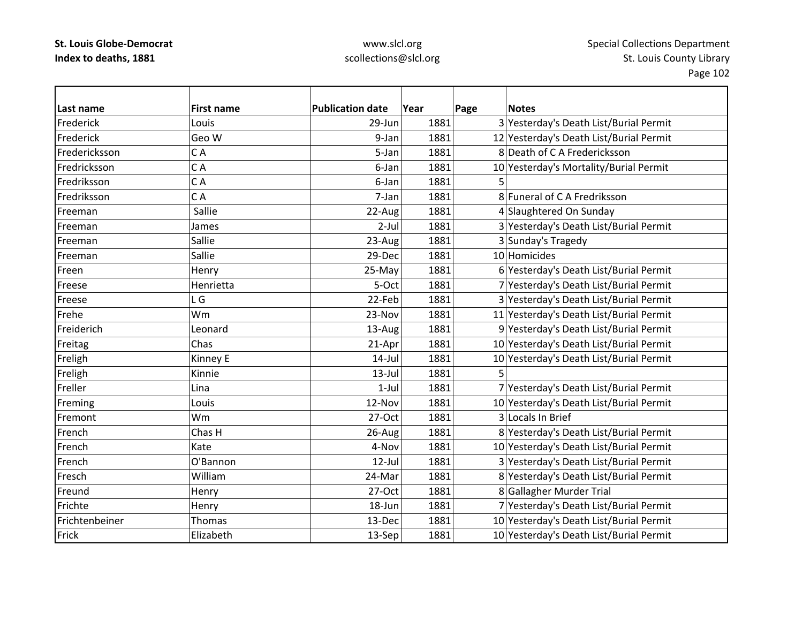| Last name      | <b>First name</b> | <b>Publication date</b> | Year | Page | <b>Notes</b>                            |
|----------------|-------------------|-------------------------|------|------|-----------------------------------------|
| Frederick      | Louis             | 29-Jun                  | 1881 |      | 3 Yesterday's Death List/Burial Permit  |
| Frederick      | Geo W             | 9-Jan                   | 1881 |      | 12 Yesterday's Death List/Burial Permit |
| Fredericksson  | CA                | 5-Jan                   | 1881 |      | 8 Death of C A Fredericksson            |
| Fredricksson   | CA                | 6-Jan                   | 1881 |      | 10 Yesterday's Mortality/Burial Permit  |
| Fredriksson    | CA                | 6-Jan                   | 1881 |      |                                         |
| Fredriksson    | CA                | 7-Jan                   | 1881 |      | 8 Funeral of C A Fredriksson            |
| Freeman        | Sallie            | 22-Aug                  | 1881 |      | 4 Slaughtered On Sunday                 |
| Freeman        | James             | $2$ -Jul                | 1881 |      | 3 Yesterday's Death List/Burial Permit  |
| Freeman        | Sallie            | 23-Aug                  | 1881 |      | 3 Sunday's Tragedy                      |
| Freeman        | Sallie            | 29-Dec                  | 1881 |      | 10 Homicides                            |
| Freen          | Henry             | 25-May                  | 1881 |      | 6 Yesterday's Death List/Burial Permit  |
| Freese         | Henrietta         | 5-Oct                   | 1881 |      | 7 Yesterday's Death List/Burial Permit  |
| Freese         | L G               | 22-Feb                  | 1881 |      | 3 Yesterday's Death List/Burial Permit  |
| Frehe          | Wm                | 23-Nov                  | 1881 |      | 11 Yesterday's Death List/Burial Permit |
| Freiderich     | Leonard           | 13-Aug                  | 1881 |      | 9 Yesterday's Death List/Burial Permit  |
| Freitag        | Chas              | 21-Apr                  | 1881 |      | 10 Yesterday's Death List/Burial Permit |
| Freligh        | Kinney E          | $14$ -Jul               | 1881 |      | 10 Yesterday's Death List/Burial Permit |
| Freligh        | Kinnie            | $13$ -Jul               | 1881 |      |                                         |
| Freller        | Lina              | $1-Jul$                 | 1881 |      | 7 Yesterday's Death List/Burial Permit  |
| Freming        | Louis             | 12-Nov                  | 1881 |      | 10 Yesterday's Death List/Burial Permit |
| Fremont        | Wm                | 27-Oct                  | 1881 |      | 3 Locals In Brief                       |
| French         | Chas H            | 26-Aug                  | 1881 |      | 8 Yesterday's Death List/Burial Permit  |
| French         | Kate              | 4-Nov                   | 1881 |      | 10 Yesterday's Death List/Burial Permit |
| French         | O'Bannon          | $12$ -Jul               | 1881 |      | 3 Yesterday's Death List/Burial Permit  |
| Fresch         | William           | 24-Mar                  | 1881 |      | 8 Yesterday's Death List/Burial Permit  |
| Freund         | Henry             | 27-Oct                  | 1881 |      | 8 Gallagher Murder Trial                |
| Frichte        | Henry             | 18-Jun                  | 1881 |      | 7 Yesterday's Death List/Burial Permit  |
| Frichtenbeiner | Thomas            | 13-Dec                  | 1881 |      | 10 Yesterday's Death List/Burial Permit |
| Frick          | Elizabeth         | 13-Sep                  | 1881 |      | 10 Yesterday's Death List/Burial Permit |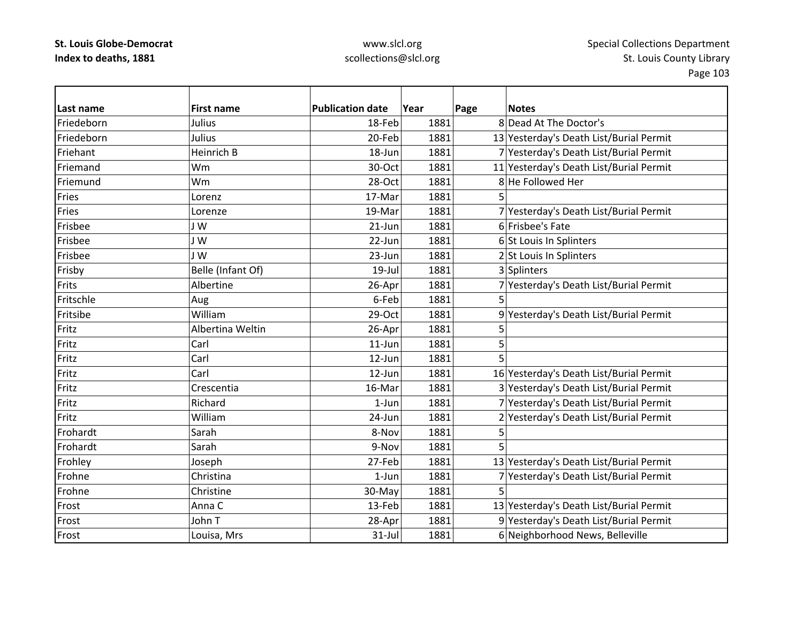| l Last name | <b>First name</b> | <b>Publication date</b> | Year | Page<br><b>Notes</b>                    |
|-------------|-------------------|-------------------------|------|-----------------------------------------|
| Friedeborn  | Julius            | 18-Feb                  | 1881 | 8 Dead At The Doctor's                  |
| Friedeborn  | Julius            | 20-Feb                  | 1881 | 13 Yesterday's Death List/Burial Permit |
| Friehant    | Heinrich B        | 18-Jun                  | 1881 | 7 Yesterday's Death List/Burial Permit  |
| Friemand    | Wm                | 30-Oct                  | 1881 | 11 Yesterday's Death List/Burial Permit |
| Friemund    | Wm                | 28-Oct                  | 1881 | 8 He Followed Her                       |
| Fries       | Lorenz            | 17-Mar                  | 1881 | 5                                       |
| Fries       | Lorenze           | 19-Mar                  | 1881 | 7 Yesterday's Death List/Burial Permit  |
| Frisbee     | J W               | $21$ -Jun               | 1881 | 6 Frisbee's Fate                        |
| Frisbee     | J W               | 22-Jun                  | 1881 | 6 St Louis In Splinters                 |
| Frisbee     | JW                | 23-Jun                  | 1881 | 2 St Louis In Splinters                 |
| Frisby      | Belle (Infant Of) | $19$ -Jul               | 1881 | 3 Splinters                             |
| Frits       | Albertine         | 26-Apr                  | 1881 | 7 Yesterday's Death List/Burial Permit  |
| Fritschle   | Aug               | 6-Feb                   | 1881 | 5                                       |
| Fritsibe    | William           | $29-Oct$                | 1881 | 9 Yesterday's Death List/Burial Permit  |
| Fritz       | Albertina Weltin  | 26-Apr                  | 1881 | 5                                       |
| Fritz       | Carl              | $11$ -Jun               | 1881 | 5                                       |
| Fritz       | Carl              | $12$ -Jun               | 1881 | 5                                       |
| Fritz       | Carl              | 12-Jun                  | 1881 | 16 Yesterday's Death List/Burial Permit |
| Fritz       | Crescentia        | 16-Mar                  | 1881 | 3 Yesterday's Death List/Burial Permit  |
| Fritz       | Richard           | $1-Jun$                 | 1881 | 7 Yesterday's Death List/Burial Permit  |
| Fritz       | William           | 24-Jun                  | 1881 | 2 Yesterday's Death List/Burial Permit  |
| Frohardt    | Sarah             | 8-Nov                   | 1881 | 5                                       |
| Frohardt    | Sarah             | 9-Nov                   | 1881 | 5                                       |
| Frohley     | Joseph            | 27-Feb                  | 1881 | 13 Yesterday's Death List/Burial Permit |
| Frohne      | Christina         | $1-Jun$                 | 1881 | 7 Yesterday's Death List/Burial Permit  |
| Frohne      | Christine         | 30-May                  | 1881 | 5                                       |
| Frost       | Anna C            | 13-Feb                  | 1881 | 13 Yesterday's Death List/Burial Permit |
| Frost       | John T            | 28-Apr                  | 1881 | 9 Yesterday's Death List/Burial Permit  |
| Frost       | Louisa, Mrs       | $31$ -Jul               | 1881 | 6 Neighborhood News, Belleville         |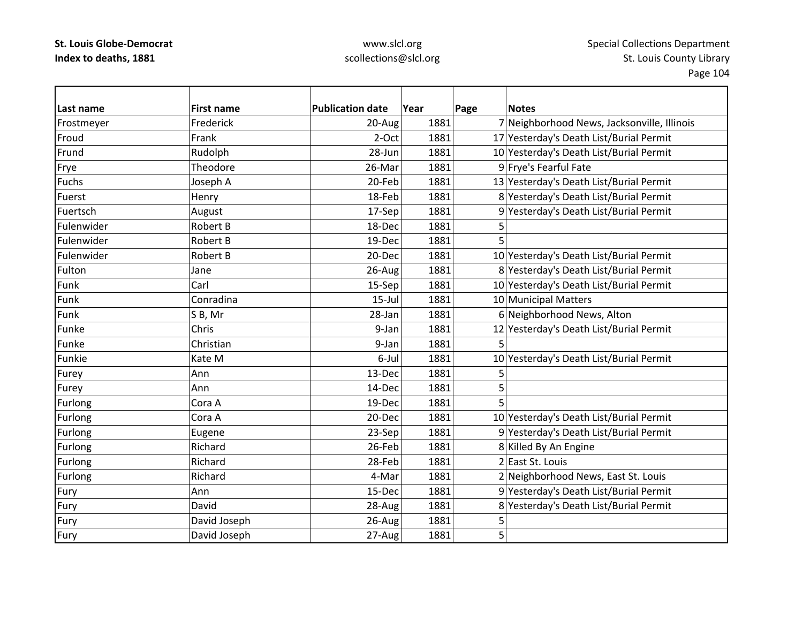| Last name    | <b>First name</b> | <b>Publication date</b> | Year | Page | <b>Notes</b>                                |
|--------------|-------------------|-------------------------|------|------|---------------------------------------------|
| Frostmeyer   | Frederick         | 20-Aug                  | 1881 |      | 7 Neighborhood News, Jacksonville, Illinois |
| Froud        | Frank             | 2-Oct                   | 1881 |      | 17 Yesterday's Death List/Burial Permit     |
| Frund        | Rudolph           | 28-Jun                  | 1881 |      | 10 Yesterday's Death List/Burial Permit     |
| Frye         | Theodore          | 26-Mar                  | 1881 |      | 9 Frye's Fearful Fate                       |
| <b>Fuchs</b> | Joseph A          | 20-Feb                  | 1881 |      | 13 Yesterday's Death List/Burial Permit     |
| Fuerst       | Henry             | 18-Feb                  | 1881 |      | 8 Yesterday's Death List/Burial Permit      |
| Fuertsch     | August            | 17-Sep                  | 1881 |      | 9 Yesterday's Death List/Burial Permit      |
| Fulenwider   | Robert B          | 18-Dec                  | 1881 | 5    |                                             |
| Fulenwider   | <b>Robert B</b>   | 19-Dec                  | 1881 | 5    |                                             |
| Fulenwider   | Robert B          | 20-Dec                  | 1881 |      | 10 Yesterday's Death List/Burial Permit     |
| Fulton       | Jane              | 26-Aug                  | 1881 |      | 8 Yesterday's Death List/Burial Permit      |
| Funk         | Carl              | 15-Sep                  | 1881 |      | 10 Yesterday's Death List/Burial Permit     |
| Funk         | Conradina         | $15$ -Jul               | 1881 |      | 10 Municipal Matters                        |
| Funk         | SB, Mr            | 28-Jan                  | 1881 |      | 6 Neighborhood News, Alton                  |
| Funke        | Chris             | 9-Jan                   | 1881 |      | 12 Yesterday's Death List/Burial Permit     |
| Funke        | Christian         | 9-Jan                   | 1881 | 5    |                                             |
| Funkie       | Kate M            | 6-Jul                   | 1881 |      | 10 Yesterday's Death List/Burial Permit     |
| Furey        | Ann               | 13-Dec                  | 1881 | 5    |                                             |
| Furey        | Ann               | 14-Dec                  | 1881 | 5    |                                             |
| Furlong      | Cora A            | 19-Dec                  | 1881 | 5    |                                             |
| Furlong      | Cora A            | 20-Dec                  | 1881 |      | 10 Yesterday's Death List/Burial Permit     |
| Furlong      | Eugene            | 23-Sep                  | 1881 |      | 9 Yesterday's Death List/Burial Permit      |
| Furlong      | Richard           | 26-Feb                  | 1881 |      | 8 Killed By An Engine                       |
| Furlong      | Richard           | 28-Feb                  | 1881 |      | 2 East St. Louis                            |
| Furlong      | Richard           | 4-Mar                   | 1881 |      | 2 Neighborhood News, East St. Louis         |
| Fury         | Ann               | 15-Dec                  | 1881 |      | 9 Yesterday's Death List/Burial Permit      |
| Fury         | David             | 28-Aug                  | 1881 |      | 8 Yesterday's Death List/Burial Permit      |
| Fury         | David Joseph      | 26-Aug                  | 1881 | 5    |                                             |
| Fury         | David Joseph      | 27-Aug                  | 1881 | 5    |                                             |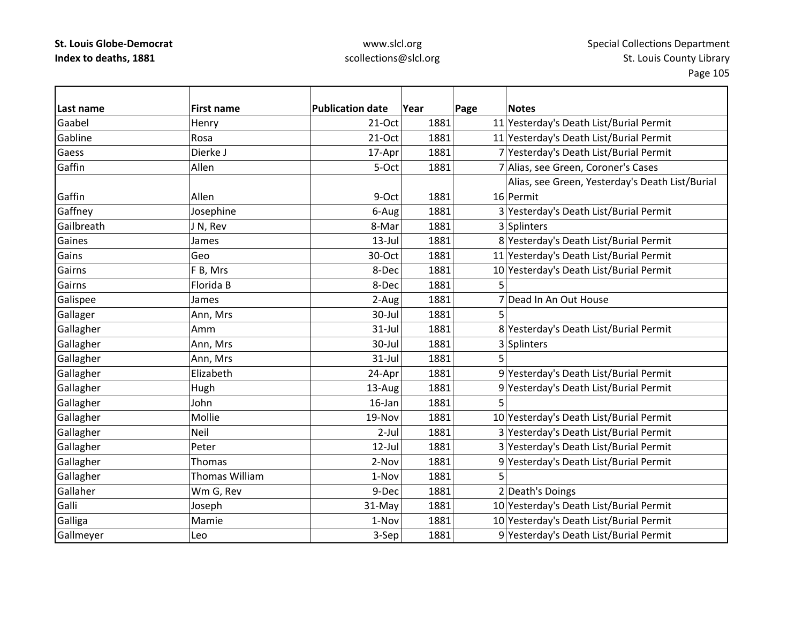| Last name  | <b>First name</b> | <b>Publication date</b> | Year | Page | <b>Notes</b>                                    |
|------------|-------------------|-------------------------|------|------|-------------------------------------------------|
| Gaabel     | Henry             | $21-Oct$                | 1881 |      | 11 Yesterday's Death List/Burial Permit         |
| Gabline    | Rosa              | 21-Oct                  | 1881 |      | 11 Yesterday's Death List/Burial Permit         |
| Gaess      | Dierke J          | 17-Apr                  | 1881 |      | 7 Yesterday's Death List/Burial Permit          |
| Gaffin     | Allen             | 5-Oct                   | 1881 |      | 7 Alias, see Green, Coroner's Cases             |
|            |                   |                         |      |      | Alias, see Green, Yesterday's Death List/Burial |
| Gaffin     | Allen             | 9-Oct                   | 1881 |      | 16 Permit                                       |
| Gaffney    | Josephine         | 6-Aug                   | 1881 |      | 3 Yesterday's Death List/Burial Permit          |
| Gailbreath | J N, Rev          | 8-Mar                   | 1881 |      | 3 Splinters                                     |
| Gaines     | James             | $13$ -Jul               | 1881 |      | 8 Yesterday's Death List/Burial Permit          |
| Gains      | Geo               | 30-Oct                  | 1881 |      | 11 Yesterday's Death List/Burial Permit         |
| Gairns     | F B, Mrs          | 8-Dec                   | 1881 |      | 10 Yesterday's Death List/Burial Permit         |
| Gairns     | Florida B         | 8-Dec                   | 1881 |      |                                                 |
| Galispee   | James             | 2-Aug                   | 1881 |      | Dead In An Out House                            |
| Gallager   | Ann, Mrs          | 30-Jul                  | 1881 | 5    |                                                 |
| Gallagher  | Amm               | $31-Jul$                | 1881 |      | 8 Yesterday's Death List/Burial Permit          |
| Gallagher  | Ann, Mrs          | 30-Jul                  | 1881 |      | 3 Splinters                                     |
| Gallagher  | Ann, Mrs          | $31$ -Jul               | 1881 |      |                                                 |
| Gallagher  | Elizabeth         | 24-Apr                  | 1881 |      | 9 Yesterday's Death List/Burial Permit          |
| Gallagher  | Hugh              | 13-Aug                  | 1881 |      | 9 Yesterday's Death List/Burial Permit          |
| Gallagher  | John              | $16$ -Jan               | 1881 | 5    |                                                 |
| Gallagher  | Mollie            | 19-Nov                  | 1881 |      | 10 Yesterday's Death List/Burial Permit         |
| Gallagher  | Neil              | $2$ -Jul                | 1881 |      | 3 Yesterday's Death List/Burial Permit          |
| Gallagher  | Peter             | $12$ -Jul               | 1881 |      | 3 Yesterday's Death List/Burial Permit          |
| Gallagher  | Thomas            | 2-Nov                   | 1881 |      | 9 Yesterday's Death List/Burial Permit          |
| Gallagher  | Thomas William    | 1-Nov                   | 1881 | 5    |                                                 |
| Gallaher   | Wm G, Rev         | 9-Dec                   | 1881 |      | 2 Death's Doings                                |
| Galli      | Joseph            | 31-May                  | 1881 |      | 10 Yesterday's Death List/Burial Permit         |
| Galliga    | Mamie             | 1-Nov                   | 1881 |      | 10 Yesterday's Death List/Burial Permit         |
| Gallmeyer  | Leo               | 3-Sep                   | 1881 |      | 9 Yesterday's Death List/Burial Permit          |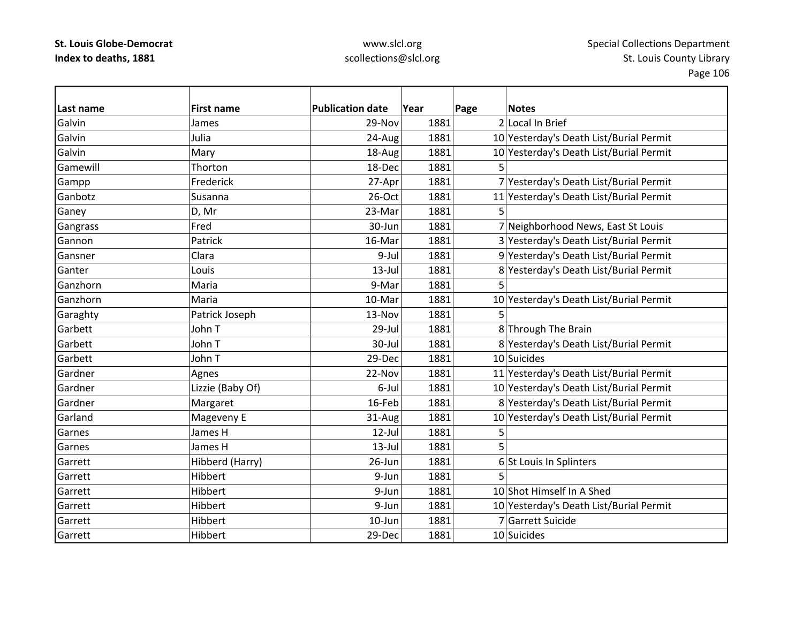| Last name | <b>First name</b> | <b>Publication date</b> | Year | Page | <b>Notes</b>                            |
|-----------|-------------------|-------------------------|------|------|-----------------------------------------|
| Galvin    | James             | 29-Nov                  | 1881 |      | 2 Local In Brief                        |
| Galvin    | Julia             | 24-Aug                  | 1881 |      | 10 Yesterday's Death List/Burial Permit |
| Galvin    | Mary              | 18-Aug                  | 1881 |      | 10 Yesterday's Death List/Burial Permit |
| Gamewill  | Thorton           | 18-Dec                  | 1881 |      |                                         |
| Gampp     | Frederick         | 27-Apr                  | 1881 |      | 7 Yesterday's Death List/Burial Permit  |
| Ganbotz   | Susanna           | 26-Oct                  | 1881 |      | 11 Yesterday's Death List/Burial Permit |
| Ganey     | D, Mr             | 23-Mar                  | 1881 | 5    |                                         |
| Gangrass  | Fred              | 30-Jun                  | 1881 |      | 7 Neighborhood News, East St Louis      |
| Gannon    | Patrick           | 16-Mar                  | 1881 |      | 3 Yesterday's Death List/Burial Permit  |
| Gansner   | Clara             | 9-Jul                   | 1881 |      | 9 Yesterday's Death List/Burial Permit  |
| Ganter    | Louis             | $13$ -Jul               | 1881 |      | 8 Yesterday's Death List/Burial Permit  |
| Ganzhorn  | Maria             | 9-Mar                   | 1881 | 5    |                                         |
| Ganzhorn  | Maria             | 10-Mar                  | 1881 |      | 10 Yesterday's Death List/Burial Permit |
| Garaghty  | Patrick Joseph    | 13-Nov                  | 1881 |      |                                         |
| Garbett   | John T            | 29-Jul                  | 1881 |      | 8 Through The Brain                     |
| Garbett   | John T            | 30-Jul                  | 1881 |      | 8 Yesterday's Death List/Burial Permit  |
| Garbett   | John T            | 29-Dec                  | 1881 |      | 10 Suicides                             |
| Gardner   | Agnes             | 22-Nov                  | 1881 |      | 11 Yesterday's Death List/Burial Permit |
| Gardner   | Lizzie (Baby Of)  | 6-Jul                   | 1881 |      | 10 Yesterday's Death List/Burial Permit |
| Gardner   | Margaret          | 16-Feb                  | 1881 |      | 8 Yesterday's Death List/Burial Permit  |
| Garland   | Mageveny E        | 31-Aug                  | 1881 |      | 10 Yesterday's Death List/Burial Permit |
| Garnes    | James H           | $12$ -Jul               | 1881 | 5    |                                         |
| Garnes    | James H           | $13$ -Jul               | 1881 |      |                                         |
| Garrett   | Hibberd (Harry)   | $26$ -Jun               | 1881 |      | 6 St Louis In Splinters                 |
| Garrett   | Hibbert           | 9-Jun                   | 1881 |      |                                         |
| Garrett   | <b>Hibbert</b>    | 9-Jun                   | 1881 |      | 10 Shot Himself In A Shed               |
| Garrett   | Hibbert           | 9-Jun                   | 1881 |      | 10 Yesterday's Death List/Burial Permit |
| Garrett   | Hibbert           | $10$ -Jun               | 1881 |      | 7 Garrett Suicide                       |
| Garrett   | Hibbert           | 29-Dec                  | 1881 |      | 10 Suicides                             |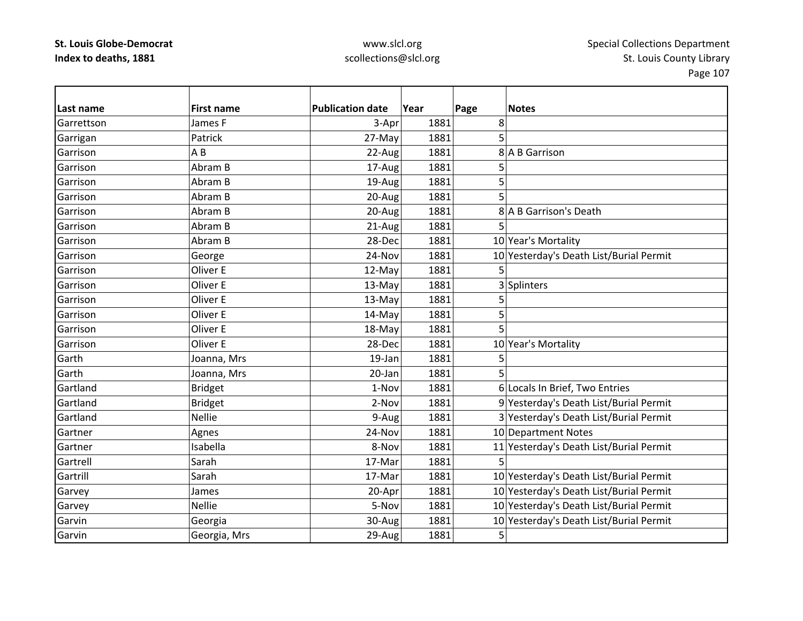| Last name  | <b>First name</b> | <b>Publication date</b> | Year | Page | <b>Notes</b>                            |
|------------|-------------------|-------------------------|------|------|-----------------------------------------|
| Garrettson | James F           | 3-Apr                   | 1881 | 8    |                                         |
| Garrigan   | Patrick           | 27-May                  | 1881 | 5    |                                         |
| Garrison   | A B               | 22-Aug                  | 1881 |      | 8 A B Garrison                          |
| Garrison   | Abram B           | 17-Aug                  | 1881 | 5    |                                         |
| Garrison   | Abram B           | 19-Aug                  | 1881 | 5    |                                         |
| Garrison   | Abram B           | 20-Aug                  | 1881 | 5    |                                         |
| Garrison   | Abram B           | 20-Aug                  | 1881 |      | 8 A B Garrison's Death                  |
| Garrison   | Abram B           | 21-Aug                  | 1881 | 5    |                                         |
| Garrison   | Abram B           | 28-Dec                  | 1881 |      | 10 Year's Mortality                     |
| Garrison   | George            | 24-Nov                  | 1881 |      | 10 Yesterday's Death List/Burial Permit |
| Garrison   | Oliver E          | 12-May                  | 1881 | 5    |                                         |
| Garrison   | Oliver E          | 13-May                  | 1881 |      | 3 Splinters                             |
| Garrison   | Oliver E          | 13-May                  | 1881 | 5    |                                         |
| Garrison   | Oliver E          | 14-May                  | 1881 | 5    |                                         |
| Garrison   | Oliver E          | 18-May                  | 1881 | 5    |                                         |
| Garrison   | Oliver E          | 28-Dec                  | 1881 |      | 10 Year's Mortality                     |
| Garth      | Joanna, Mrs       | 19-Jan                  | 1881 | 5    |                                         |
| Garth      | Joanna, Mrs       | 20-Jan                  | 1881 | 5    |                                         |
| Gartland   | <b>Bridget</b>    | 1-Nov                   | 1881 |      | 6 Locals In Brief, Two Entries          |
| Gartland   | <b>Bridget</b>    | 2-Nov                   | 1881 |      | 9 Yesterday's Death List/Burial Permit  |
| Gartland   | <b>Nellie</b>     | 9-Aug                   | 1881 |      | 3 Yesterday's Death List/Burial Permit  |
| Gartner    | Agnes             | 24-Nov                  | 1881 |      | 10 Department Notes                     |
| Gartner    | Isabella          | 8-Nov                   | 1881 |      | 11 Yesterday's Death List/Burial Permit |
| Gartrell   | Sarah             | 17-Mar                  | 1881 | 5    |                                         |
| Gartrill   | Sarah             | 17-Mar                  | 1881 |      | 10 Yesterday's Death List/Burial Permit |
| Garvey     | James             | 20-Apr                  | 1881 |      | 10 Yesterday's Death List/Burial Permit |
| Garvey     | <b>Nellie</b>     | 5-Nov                   | 1881 |      | 10 Yesterday's Death List/Burial Permit |
| Garvin     | Georgia           | 30-Aug                  | 1881 |      | 10 Yesterday's Death List/Burial Permit |
| Garvin     | Georgia, Mrs      | 29-Aug                  | 1881 | 5    |                                         |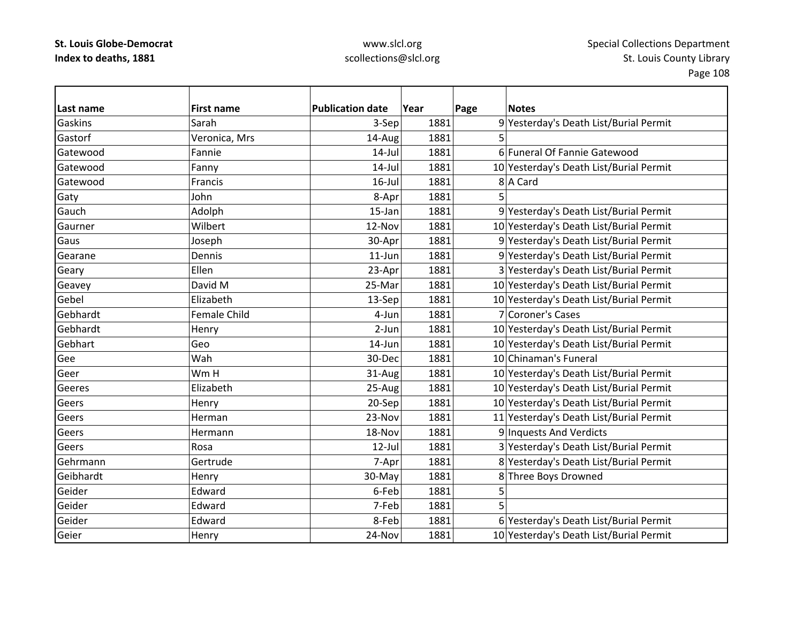| Last name | <b>First name</b> | <b>Publication date</b> | Year | Page | <b>Notes</b>                            |
|-----------|-------------------|-------------------------|------|------|-----------------------------------------|
| Gaskins   | Sarah             | 3-Sep                   | 1881 |      | 9 Yesterday's Death List/Burial Permit  |
| Gastorf   | Veronica, Mrs     | 14-Aug                  | 1881 | 5    |                                         |
| Gatewood  | Fannie            | $14$ -Jul               | 1881 |      | 6 Funeral Of Fannie Gatewood            |
| Gatewood  | Fanny             | $14$ -Jul               | 1881 |      | 10 Yesterday's Death List/Burial Permit |
| Gatewood  | Francis           | $16$ -Jul               | 1881 |      | 8 A Card                                |
| Gaty      | John              | 8-Apr                   | 1881 | 5    |                                         |
| Gauch     | Adolph            | 15-Jan                  | 1881 |      | 9 Yesterday's Death List/Burial Permit  |
| Gaurner   | Wilbert           | 12-Nov                  | 1881 |      | 10 Yesterday's Death List/Burial Permit |
| Gaus      | Joseph            | 30-Apr                  | 1881 |      | 9 Yesterday's Death List/Burial Permit  |
| Gearane   | Dennis            | $11$ -Jun               | 1881 |      | 9 Yesterday's Death List/Burial Permit  |
| Geary     | Ellen             | 23-Apr                  | 1881 |      | 3 Yesterday's Death List/Burial Permit  |
| Geavey    | David M           | 25-Mar                  | 1881 |      | 10 Yesterday's Death List/Burial Permit |
| Gebel     | Elizabeth         | 13-Sep                  | 1881 |      | 10 Yesterday's Death List/Burial Permit |
| Gebhardt  | Female Child      | 4-Jun                   | 1881 |      | 7 Coroner's Cases                       |
| Gebhardt  | Henry             | 2-Jun                   | 1881 |      | 10 Yesterday's Death List/Burial Permit |
| Gebhart   | Geo               | 14-Jun                  | 1881 |      | 10 Yesterday's Death List/Burial Permit |
| Gee       | Wah               | 30-Dec                  | 1881 |      | 10 Chinaman's Funeral                   |
| Geer      | Wm H              | 31-Aug                  | 1881 |      | 10 Yesterday's Death List/Burial Permit |
| Geeres    | Elizabeth         | 25-Aug                  | 1881 |      | 10 Yesterday's Death List/Burial Permit |
| Geers     | Henry             | 20-Sep                  | 1881 |      | 10 Yesterday's Death List/Burial Permit |
| Geers     | Herman            | 23-Nov                  | 1881 |      | 11 Yesterday's Death List/Burial Permit |
| Geers     | Hermann           | 18-Nov                  | 1881 |      | 9 Inquests And Verdicts                 |
| Geers     | Rosa              | $12$ -Jul               | 1881 |      | 3 Yesterday's Death List/Burial Permit  |
| Gehrmann  | Gertrude          | 7-Apr                   | 1881 |      | 8 Yesterday's Death List/Burial Permit  |
| Geibhardt | Henry             | 30-May                  | 1881 |      | 8 Three Boys Drowned                    |
| Geider    | Edward            | 6-Feb                   | 1881 | 5    |                                         |
| Geider    | Edward            | 7-Feb                   | 1881 | 5    |                                         |
| Geider    | Edward            | 8-Feb                   | 1881 |      | 6 Yesterday's Death List/Burial Permit  |
| Geier     | Henry             | 24-Nov                  | 1881 |      | 10 Yesterday's Death List/Burial Permit |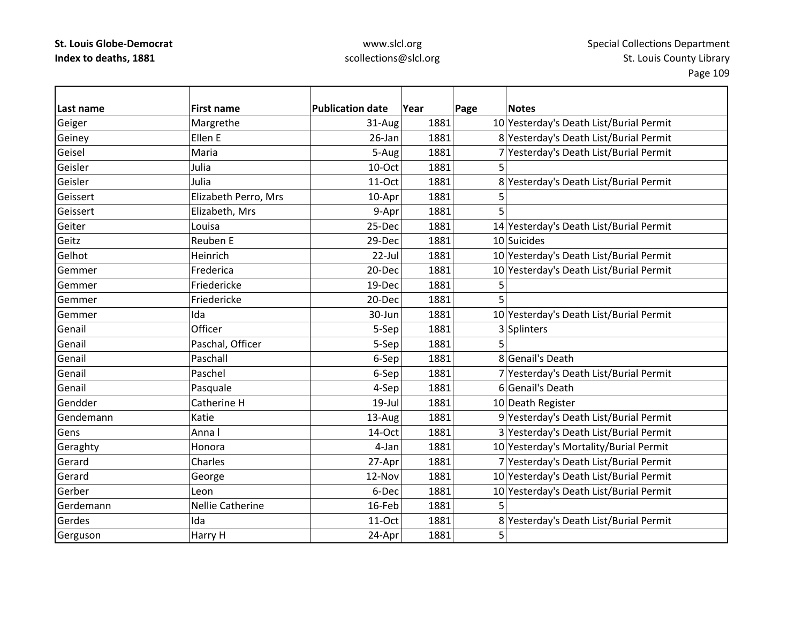| Last name | <b>First name</b>       | <b>Publication date</b> | Year | Page | <b>Notes</b>                            |
|-----------|-------------------------|-------------------------|------|------|-----------------------------------------|
| Geiger    | Margrethe               | 31-Aug                  | 1881 |      | 10 Yesterday's Death List/Burial Permit |
| Geiney    | Ellen E                 | 26-Jan                  | 1881 |      | 8 Yesterday's Death List/Burial Permit  |
| Geisel    | Maria                   | 5-Aug                   | 1881 |      | 7 Yesterday's Death List/Burial Permit  |
| Geisler   | Julia                   | 10-Oct                  | 1881 | 5    |                                         |
| Geisler   | Julia                   | 11-Oct                  | 1881 |      | 8 Yesterday's Death List/Burial Permit  |
| Geissert  | Elizabeth Perro, Mrs    | 10-Apr                  | 1881 | 5    |                                         |
| Geissert  | Elizabeth, Mrs          | 9-Apr                   | 1881 | 5    |                                         |
| Geiter    | Louisa                  | 25-Dec                  | 1881 |      | 14 Yesterday's Death List/Burial Permit |
| Geitz     | Reuben E                | 29-Dec                  | 1881 |      | 10 Suicides                             |
| Gelhot    | Heinrich                | 22-Jul                  | 1881 |      | 10 Yesterday's Death List/Burial Permit |
| Gemmer    | Frederica               | 20-Dec                  | 1881 |      | 10 Yesterday's Death List/Burial Permit |
| Gemmer    | Friedericke             | 19-Dec                  | 1881 | 5    |                                         |
| Gemmer    | Friedericke             | 20-Dec                  | 1881 |      |                                         |
| Gemmer    | Ida                     | 30-Jun                  | 1881 |      | 10 Yesterday's Death List/Burial Permit |
| Genail    | Officer                 | 5-Sep                   | 1881 |      | 3 Splinters                             |
| Genail    | Paschal, Officer        | 5-Sep                   | 1881 | 5    |                                         |
| Genail    | Paschall                | 6-Sep                   | 1881 |      | 8 Genail's Death                        |
| Genail    | Paschel                 | 6-Sep                   | 1881 |      | 7 Yesterday's Death List/Burial Permit  |
| Genail    | Pasquale                | 4-Sep                   | 1881 |      | 6 Genail's Death                        |
| Gendder   | Catherine H             | $19$ -Jul               | 1881 |      | 10 Death Register                       |
| Gendemann | Katie                   | 13-Aug                  | 1881 |      | 9 Yesterday's Death List/Burial Permit  |
| Gens      | Anna l                  | 14-Oct                  | 1881 |      | 3 Yesterday's Death List/Burial Permit  |
| Geraghty  | Honora                  | 4-Jan                   | 1881 |      | 10 Yesterday's Mortality/Burial Permit  |
| Gerard    | Charles                 | 27-Apr                  | 1881 |      | 7 Yesterday's Death List/Burial Permit  |
| Gerard    | George                  | 12-Nov                  | 1881 |      | 10 Yesterday's Death List/Burial Permit |
| Gerber    | Leon                    | 6-Dec                   | 1881 |      | 10 Yesterday's Death List/Burial Permit |
| Gerdemann | <b>Nellie Catherine</b> | 16-Feb                  | 1881 | 5    |                                         |
| Gerdes    | Ida                     | 11-Oct                  | 1881 |      | 8 Yesterday's Death List/Burial Permit  |
| Gerguson  | Harry H                 | 24-Apr                  | 1881 | 5    |                                         |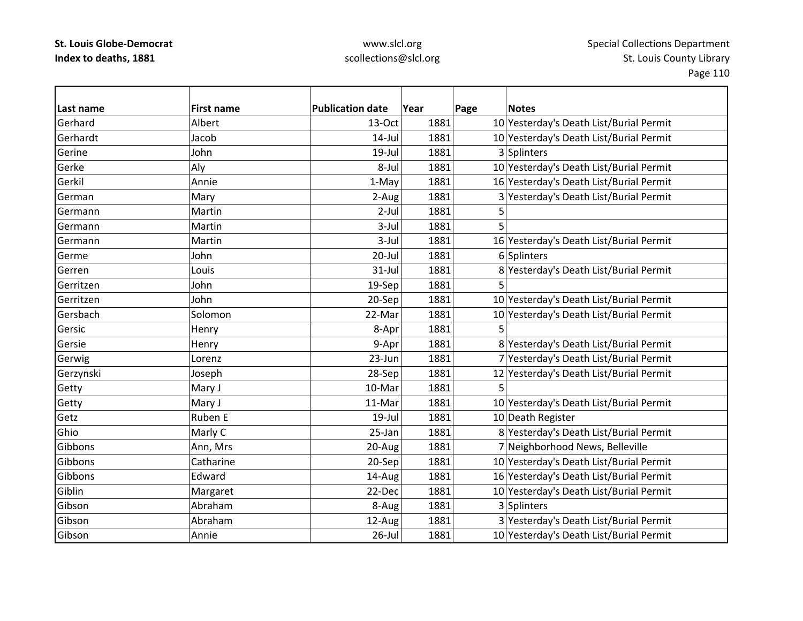| l Last name | <b>First name</b> | <b>Publication date</b> | Year | <b>Notes</b><br>Page                    |
|-------------|-------------------|-------------------------|------|-----------------------------------------|
| Gerhard     | Albert            | 13-Oct                  | 1881 | 10 Yesterday's Death List/Burial Permit |
| Gerhardt    | Jacob             | $14$ -Jul               | 1881 | 10 Yesterday's Death List/Burial Permit |
| Gerine      | John              | 19-Jul                  | 1881 | 3 Splinters                             |
| Gerke       | Aly               | 8-Jul                   | 1881 | 10 Yesterday's Death List/Burial Permit |
| Gerkil      | Annie             | 1-May                   | 1881 | 16 Yesterday's Death List/Burial Permit |
| German      | Mary              | 2-Aug                   | 1881 | 3 Yesterday's Death List/Burial Permit  |
| Germann     | Martin            | $2-Jul$                 | 1881 | 5                                       |
| Germann     | Martin            | $3$ -Jul                | 1881 | 5                                       |
| Germann     | Martin            | $3-Jul$                 | 1881 | 16 Yesterday's Death List/Burial Permit |
| Germe       | John              | $20 -$ Jul              | 1881 | 6 Splinters                             |
| Gerren      | Louis             | $31-Jul$                | 1881 | 8 Yesterday's Death List/Burial Permit  |
| Gerritzen   | John              | 19-Sep                  | 1881 | 5                                       |
| Gerritzen   | John              | 20-Sep                  | 1881 | 10 Yesterday's Death List/Burial Permit |
| Gersbach    | Solomon           | 22-Mar                  | 1881 | 10 Yesterday's Death List/Burial Permit |
| Gersic      | Henry             | 8-Apr                   | 1881 | 5                                       |
| Gersie      | Henry             | 9-Apr                   | 1881 | 8 Yesterday's Death List/Burial Permit  |
| Gerwig      | Lorenz            | 23-Jun                  | 1881 | 7 Yesterday's Death List/Burial Permit  |
| Gerzynski   | Joseph            | 28-Sep                  | 1881 | 12 Yesterday's Death List/Burial Permit |
| Getty       | Mary J            | 10-Mar                  | 1881 | 5                                       |
| Getty       | Mary J            | 11-Mar                  | 1881 | 10 Yesterday's Death List/Burial Permit |
| Getz        | Ruben E           | 19-Jul                  | 1881 | 10 Death Register                       |
| Ghio        | Marly C           | 25-Jan                  | 1881 | 8 Yesterday's Death List/Burial Permit  |
| Gibbons     | Ann, Mrs          | 20-Aug                  | 1881 | 7 Neighborhood News, Belleville         |
| Gibbons     | Catharine         | 20-Sep                  | 1881 | 10 Yesterday's Death List/Burial Permit |
| Gibbons     | Edward            | 14-Aug                  | 1881 | 16 Yesterday's Death List/Burial Permit |
| Giblin      | Margaret          | 22-Dec                  | 1881 | 10 Yesterday's Death List/Burial Permit |
| Gibson      | Abraham           | 8-Aug                   | 1881 | 3 Splinters                             |
| Gibson      | Abraham           | 12-Aug                  | 1881 | 3 Yesterday's Death List/Burial Permit  |
| Gibson      | Annie             | $26$ -Jul               | 1881 | 10 Yesterday's Death List/Burial Permit |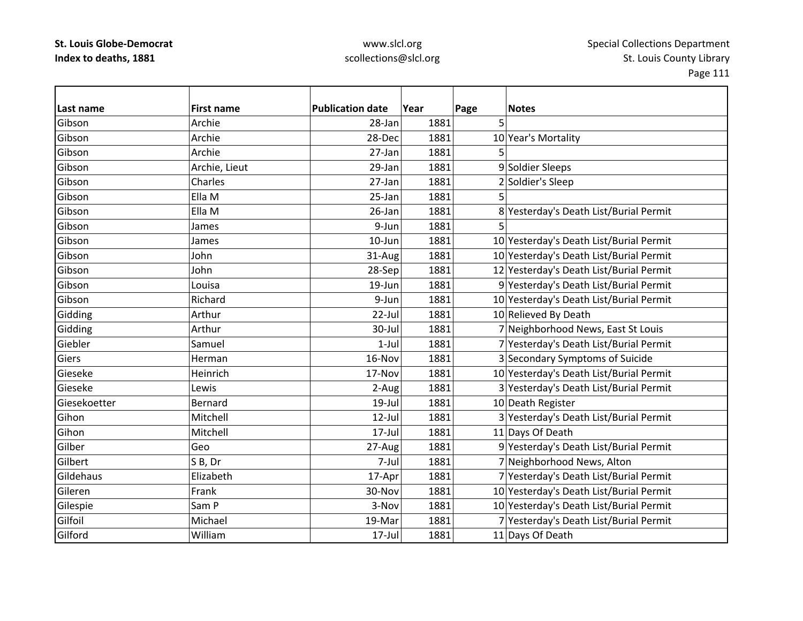### www.slcl.org scollections@slcl.org

**Last nameFirst name Publication date date Year Page Notes** Gibson Archie 28‐Jan 1881 5 GibsonArchie 28-Dec 1881 10 Year's Mortality Gibson Archie 27‐Jan 1881 5 **Gibson** Archie, Lieut 1881 | 29-Jan | 29-Jan | 29-Jan | 29-Jan | 9 | Soldier Sleeps GibsonCharles 27-Jan 1881 2 Soldier's Sleep Gibsonn |Ella M 25-Jan 1881 5 GibsonElla M 26‐Jan 1881 8 Yesterday's Death List/Burial Permit Gibson James 9‐Jun 1881 5 GibsonJames 10‐Jun 1881  $10$ -Jun 1881 10 Yesterday's Death List/Burial Permit GibsonJohn 31-Aug 1881 10 Yesterday's Death List/Burial Permit GibsonJohn 28–Sep 1881 12 Yesterday's Death List/Burial Permit GibsonLouisa 19‐Jun 1881 9 Yesterday's Death List/Burial Permit GibsonRichard 1881 1881 10 Yesterday's Death List/Burial Permit Gidding Arthur Arthur 22-Jul 1881 10 Relieved By Death Gidding Arthur  $\vert$  1881 7 Neighborhood News, East St Louis Giebler Samuel 1‐Jul 1881 7 Yesterday's Death List/Burial Permit **Giers**  Herman16-Nov 1881 3 Secondary Symptoms of Suicide Gieseke Heinrich17-Nov 1881 10 Yesterday's Death List/Burial Permit Gieseke Lewis 2‐Aug 1881 3 Yesterday's Death List/Burial Permit Giesekoetter Bernard19-Jul 1881 10 Death Register GihonMitchell 12‐Jul 1881 3 Yesterday's Death List/Burial Permit GihonMitchell 17-Jul 1881 11 Days Of Death Gilber Geo27-Aug 1881 9 Yesterday's Death List/Burial Permit **Gilbert**  SS B, Dr 7-Jul 1881 7-Neighborhood News, Alton Gildehaus Elizabeth17-Apr 1881 7 Yesterday's Death List/Burial Permit GilerenFrank 10 | 30-Nov | 30-Nov | 30-Nov | 1881 | 10 Yesterday's Death List/Burial Permit Gilespie Sam P 3‐Nov 1881 10 Yesterday's Death List/Burial Permit GilfoilMichael 19‐Mar 1881 7 Yesterday's Death List/Burial Permit Gilford William17-Jul 1881 11 Days Of Death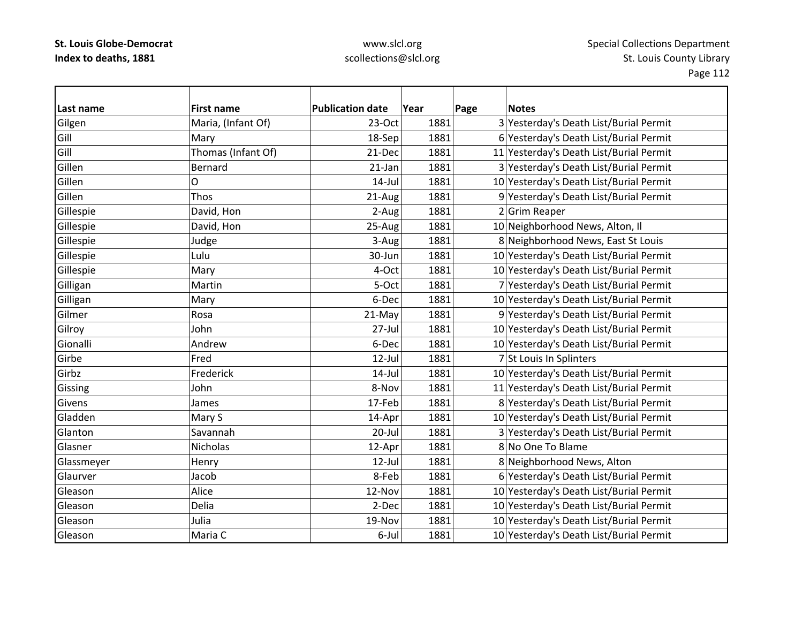| Last name  | <b>First name</b>  | <b>Publication date</b> | Year | Page | <b>Notes</b>                            |
|------------|--------------------|-------------------------|------|------|-----------------------------------------|
| Gilgen     | Maria, (Infant Of) | $23-Oct$                | 1881 |      | 3 Yesterday's Death List/Burial Permit  |
| Gill       | Mary               | 18-Sep                  | 1881 |      | 6 Yesterday's Death List/Burial Permit  |
| Gill       | Thomas (Infant Of) | 21-Dec                  | 1881 |      | 11 Yesterday's Death List/Burial Permit |
| Gillen     | <b>Bernard</b>     | $21$ -Jan               | 1881 |      | 3 Yesterday's Death List/Burial Permit  |
| Gillen     | 0                  | $14$ -Jul               | 1881 |      | 10 Yesterday's Death List/Burial Permit |
| Gillen     | Thos               | 21-Aug                  | 1881 |      | 9 Yesterday's Death List/Burial Permit  |
| Gillespie  | David, Hon         | 2-Aug                   | 1881 |      | 2 Grim Reaper                           |
| Gillespie  | David, Hon         | $25-Aug$                | 1881 |      | 10 Neighborhood News, Alton, Il         |
| Gillespie  | Judge              | 3-Aug                   | 1881 |      | 8 Neighborhood News, East St Louis      |
| Gillespie  | Lulu               | 30-Jun                  | 1881 |      | 10 Yesterday's Death List/Burial Permit |
| Gillespie  | Mary               | 4-Oct                   | 1881 |      | 10 Yesterday's Death List/Burial Permit |
| Gilligan   | Martin             | 5-Oct                   | 1881 |      | 7 Yesterday's Death List/Burial Permit  |
| Gilligan   | Mary               | 6-Dec                   | 1881 |      | 10 Yesterday's Death List/Burial Permit |
| Gilmer     | Rosa               | 21-May                  | 1881 |      | 9 Yesterday's Death List/Burial Permit  |
| Gilroy     | John               | $27 -$ Jul              | 1881 |      | 10 Yesterday's Death List/Burial Permit |
| Gionalli   | Andrew             | 6-Dec                   | 1881 |      | 10 Yesterday's Death List/Burial Permit |
| Girbe      | Fred               | $12$ -Jul               | 1881 |      | 7 St Louis In Splinters                 |
| Girbz      | Frederick          | $14$ -Jul               | 1881 |      | 10 Yesterday's Death List/Burial Permit |
| Gissing    | John               | 8-Nov                   | 1881 |      | 11 Yesterday's Death List/Burial Permit |
| Givens     | James              | 17-Feb                  | 1881 |      | 8 Yesterday's Death List/Burial Permit  |
| Gladden    | Mary S             | 14-Apr                  | 1881 |      | 10 Yesterday's Death List/Burial Permit |
| Glanton    | Savannah           | $20$ -Jul               | 1881 |      | 3 Yesterday's Death List/Burial Permit  |
| Glasner    | Nicholas           | 12-Apr                  | 1881 |      | 8 No One To Blame                       |
| Glassmeyer | Henry              | 12-Jul                  | 1881 |      | 8 Neighborhood News, Alton              |
| Glaurver   | Jacob              | 8-Feb                   | 1881 |      | 6 Yesterday's Death List/Burial Permit  |
| Gleason    | Alice              | 12-Nov                  | 1881 |      | 10 Yesterday's Death List/Burial Permit |
| Gleason    | Delia              | 2-Dec                   | 1881 |      | 10 Yesterday's Death List/Burial Permit |
| Gleason    | Julia              | 19-Nov                  | 1881 |      | 10 Yesterday's Death List/Burial Permit |
| Gleason    | Maria C            | 6-Jul                   | 1881 |      | 10 Yesterday's Death List/Burial Permit |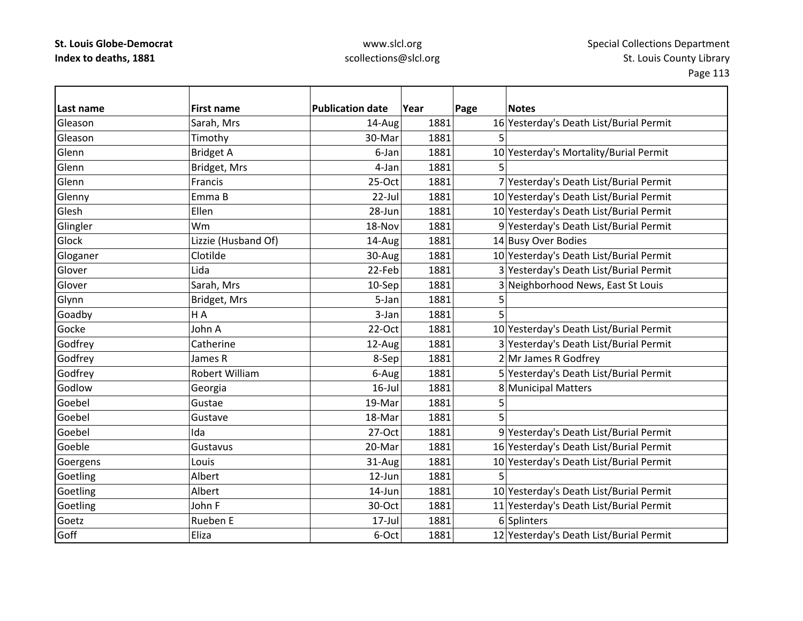| Last name | <b>First name</b>   | <b>Publication date</b> | Year | Page | <b>Notes</b>                            |
|-----------|---------------------|-------------------------|------|------|-----------------------------------------|
| Gleason   | Sarah, Mrs          | 14-Aug                  | 1881 |      | 16 Yesterday's Death List/Burial Permit |
| Gleason   | Timothy             | 30-Mar                  | 1881 | 5    |                                         |
| Glenn     | <b>Bridget A</b>    | 6-Jan                   | 1881 |      | 10 Yesterday's Mortality/Burial Permit  |
| Glenn     | Bridget, Mrs        | 4-Jan                   | 1881 |      |                                         |
| Glenn     | Francis             | $25-Oct$                | 1881 |      | 7 Yesterday's Death List/Burial Permit  |
| Glenny    | Emma B              | 22-Jul                  | 1881 |      | 10 Yesterday's Death List/Burial Permit |
| Glesh     | Ellen               | 28-Jun                  | 1881 |      | 10 Yesterday's Death List/Burial Permit |
| Glingler  | Wm                  | 18-Nov                  | 1881 |      | 9 Yesterday's Death List/Burial Permit  |
| Glock     | Lizzie (Husband Of) | 14-Aug                  | 1881 |      | 14 Busy Over Bodies                     |
| Gloganer  | Clotilde            | 30-Aug                  | 1881 |      | 10 Yesterday's Death List/Burial Permit |
| Glover    | Lida                | 22-Feb                  | 1881 |      | 3 Yesterday's Death List/Burial Permit  |
| Glover    | Sarah, Mrs          | 10-Sep                  | 1881 |      | 3 Neighborhood News, East St Louis      |
| Glynn     | Bridget, Mrs        | 5-Jan                   | 1881 |      |                                         |
| Goadby    | H A                 | 3-Jan                   | 1881 | 5    |                                         |
| Gocke     | John A              | 22-Oct                  | 1881 |      | 10 Yesterday's Death List/Burial Permit |
| Godfrey   | Catherine           | 12-Aug                  | 1881 |      | 3 Yesterday's Death List/Burial Permit  |
| Godfrey   | James R             | 8-Sep                   | 1881 |      | 2 Mr James R Godfrey                    |
| Godfrey   | Robert William      | 6-Aug                   | 1881 |      | 5 Yesterday's Death List/Burial Permit  |
| Godlow    | Georgia             | $16$ -Jul               | 1881 |      | 8 Municipal Matters                     |
| Goebel    | Gustae              | 19-Mar                  | 1881 | 5    |                                         |
| Goebel    | Gustave             | 18-Mar                  | 1881 | 5    |                                         |
| Goebel    | Ida                 | 27-Oct                  | 1881 |      | 9 Yesterday's Death List/Burial Permit  |
| Goeble    | Gustavus            | 20-Mar                  | 1881 |      | 16 Yesterday's Death List/Burial Permit |
| Goergens  | Louis               | 31-Aug                  | 1881 |      | 10 Yesterday's Death List/Burial Permit |
| Goetling  | Albert              | 12-Jun                  | 1881 | 5    |                                         |
| Goetling  | Albert              | 14-Jun                  | 1881 |      | 10 Yesterday's Death List/Burial Permit |
| Goetling  | John F              | 30-Oct                  | 1881 |      | 11 Yesterday's Death List/Burial Permit |
| Goetz     | Rueben E            | 17-Jul                  | 1881 |      | 6 Splinters                             |
| Goff      | Eliza               | 6-Oct                   | 1881 |      | 12 Yesterday's Death List/Burial Permit |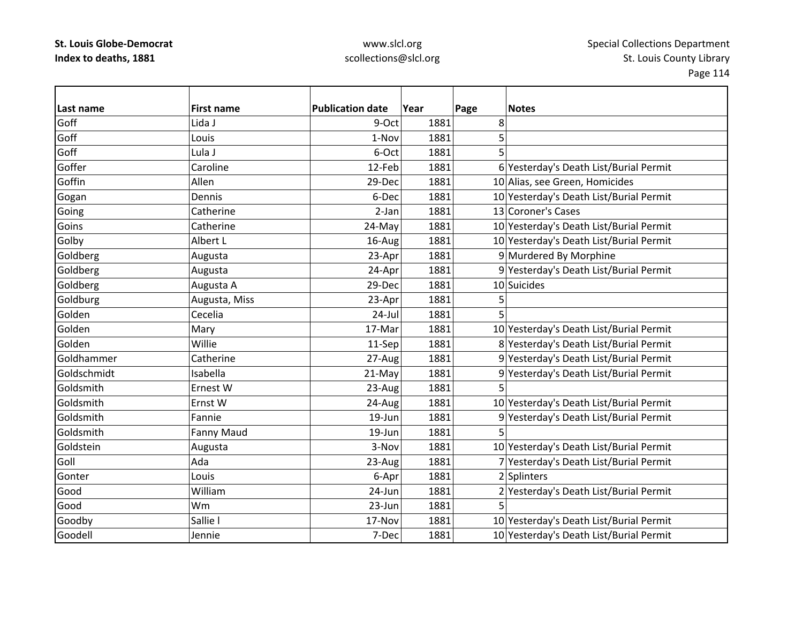| Last name   | <b>First name</b> | <b>Publication date</b> | Year | Page | <b>Notes</b>                            |
|-------------|-------------------|-------------------------|------|------|-----------------------------------------|
| Goff        | Lida J            | 9-Oct                   | 1881 | 8    |                                         |
| Goff        | Louis             | 1-Nov                   | 1881 | 5    |                                         |
| Goff        | Lula J            | 6-Oct                   | 1881 | 5    |                                         |
| Goffer      | Caroline          | 12-Feb                  | 1881 |      | 6 Yesterday's Death List/Burial Permit  |
| Goffin      | Allen             | 29-Dec                  | 1881 |      | 10 Alias, see Green, Homicides          |
| Gogan       | Dennis            | 6-Dec                   | 1881 |      | 10 Yesterday's Death List/Burial Permit |
| Going       | Catherine         | 2-Jan                   | 1881 |      | 13 Coroner's Cases                      |
| Goins       | Catherine         | 24-May                  | 1881 |      | 10 Yesterday's Death List/Burial Permit |
| Golby       | Albert L          | $16$ -Aug               | 1881 |      | 10 Yesterday's Death List/Burial Permit |
| Goldberg    | Augusta           | 23-Apr                  | 1881 |      | 9 Murdered By Morphine                  |
| Goldberg    | Augusta           | 24-Apr                  | 1881 |      | 9 Yesterday's Death List/Burial Permit  |
| Goldberg    | Augusta A         | 29-Dec                  | 1881 |      | 10 Suicides                             |
| Goldburg    | Augusta, Miss     | 23-Apr                  | 1881 | 5    |                                         |
| Golden      | Cecelia           | $24$ -Jul               | 1881 | 5    |                                         |
| Golden      | Mary              | 17-Mar                  | 1881 |      | 10 Yesterday's Death List/Burial Permit |
| Golden      | Willie            | 11-Sep                  | 1881 |      | 8 Yesterday's Death List/Burial Permit  |
| Goldhammer  | Catherine         | 27-Aug                  | 1881 |      | 9 Yesterday's Death List/Burial Permit  |
| Goldschmidt | Isabella          | 21-May                  | 1881 |      | 9 Yesterday's Death List/Burial Permit  |
| Goldsmith   | Ernest W          | 23-Aug                  | 1881 | 5    |                                         |
| Goldsmith   | Ernst W           | 24-Aug                  | 1881 |      | 10 Yesterday's Death List/Burial Permit |
| Goldsmith   | Fannie            | 19-Jun                  | 1881 |      | 9 Yesterday's Death List/Burial Permit  |
| Goldsmith   | <b>Fanny Maud</b> | 19-Jun                  | 1881 |      |                                         |
| Goldstein   | Augusta           | 3-Nov                   | 1881 |      | 10 Yesterday's Death List/Burial Permit |
| Goll        | Ada               | 23-Aug                  | 1881 |      | 7 Yesterday's Death List/Burial Permit  |
| Gonter      | Louis             | 6-Apr                   | 1881 |      | 2 Splinters                             |
| Good        | William           | 24-Jun                  | 1881 |      | 2 Yesterday's Death List/Burial Permit  |
| Good        | Wm                | 23-Jun                  | 1881 |      |                                         |
| Goodby      | Sallie I          | 17-Nov                  | 1881 |      | 10 Yesterday's Death List/Burial Permit |
| Goodell     | Jennie            | 7-Dec                   | 1881 |      | 10 Yesterday's Death List/Burial Permit |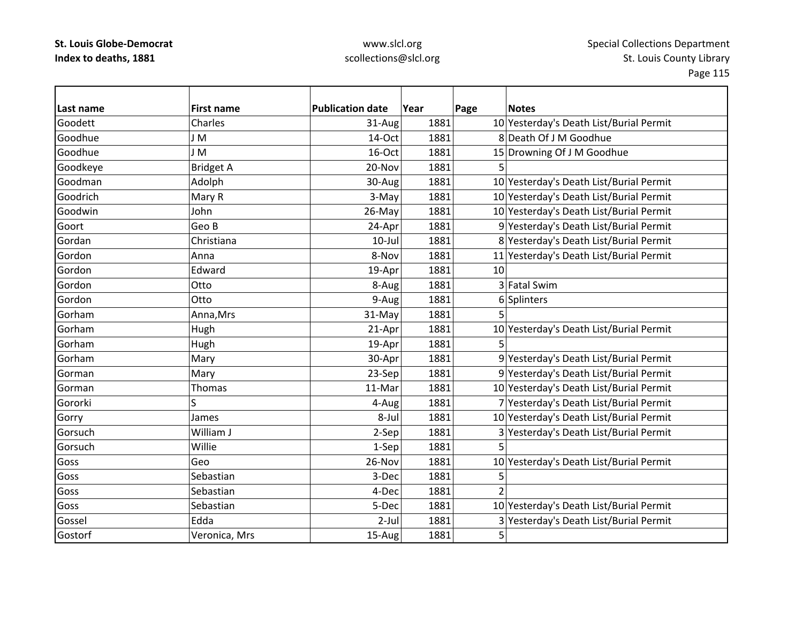### www.slcl.org scollections@slcl.org

**Last name First name Publication date Year Page Notes** Goodett Charles31-Aug 1881 10 Yesterday's Death List/Burial Permit Goodhue J M 14‐Oct 1881 8 Deathh Of J M Goodhue Goodhue J M 16‐Oct 1881 15 Drowning Of J M Goodhue Goodkeye Bridget A 20‐Nov 1881 5 GoodmanAdolph 30-Aug 1881 1881 10 Yesterday's Death List/Burial Permit GoodrichMary R 1981 1881 1881 1881 10 Yesterday's Death List/Burial Permit Goodwin John 26‐May 1881 10 Yesterday's Death List/Burial Permit GoortGeo B 24-Apr 1881 9 Yesterday's Death List/Burial Permit GordanChristiana 10‐Jul 1881 8 Yesterday's Death List/Burial Permit GordonAnna 11|Yesterday's Death List/Burial Permit 1881 11|Seterday's Death List/Burial Permit Gordon Edward 19‐Apr 1881 10 Gordon**Otto**  $8-Auq$  1881 3 Fatal Swim Gordon**Otto** 9-Aug 1881 6 Splinters Gorhamm |Anna,Mrs | 31-May| 1881| 5 GorhamHugh 21-Apr 1881 10 Yesterday's Death List/Burial Permit Gorhamm |Hugh | 19-Apr| 1881| 5 GorhamMary 1881 30-Apr 1881 9 Yesterday's Death List/Burial Permit GormanMary 23-Sep 1881 9 Yesterday's Death List/Burial Permit GormanThomas 11‐Mar 1881 10 Yesterday's Death List/Burial Permit Gororkii S S 1881 1881 7 Yesterday's Death List/Burial Permit Gorry James  $\vert$  James  $\vert$  8-Jul  $\vert$  1881 10 Yesterday's Death List/Burial Permit GorsuchWilliam J 2-Sep 1881 3 Yesterday's Death List/Burial Permit Gorsuch Willie 1‐Sep 1881 5 Goss Geo26-Nov 1881 10 Yesterday's Death List/Burial Permit Goss Sebastiann | 3-Dec 1881 5 Goss Sebastian4-Dec 1881 2 Goss Sebastian5-Dec 1881 10 Yesterday's Death List/Burial Permit Gossel Edda2-Jul 1881 3 Yesterday's Death List/Burial Permit GostorfVeronica, Mrs 15-Aug 15881 5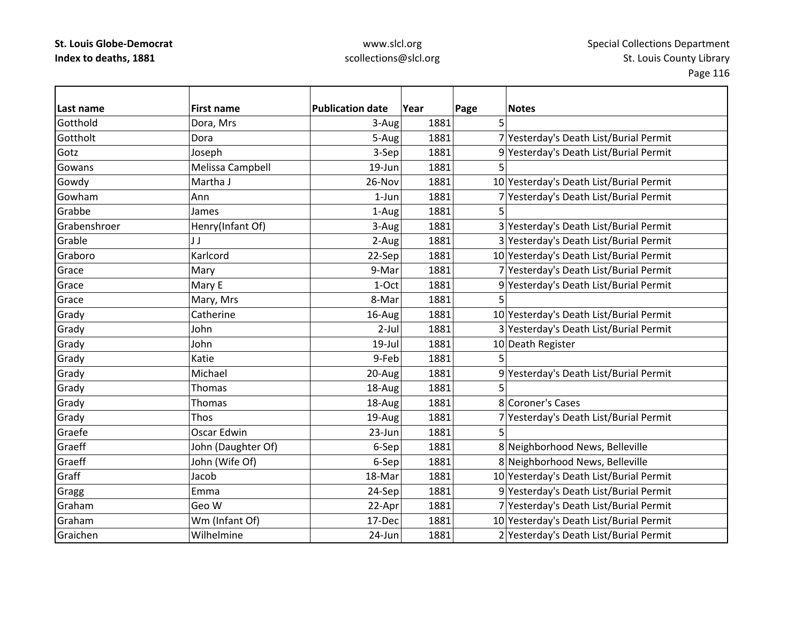| Last name    | <b>First name</b>  | <b>Publication date</b> | Year | Page | <b>Notes</b>                            |
|--------------|--------------------|-------------------------|------|------|-----------------------------------------|
| Gotthold     | Dora, Mrs          | 3-Aug                   | 1881 | 5    |                                         |
| Gottholt     | Dora               | 5-Aug                   | 1881 |      | 7 Yesterday's Death List/Burial Permit  |
| Gotz         | Joseph             | 3-Sep                   | 1881 |      | 9 Yesterday's Death List/Burial Permit  |
| Gowans       | Melissa Campbell   | 19-Jun                  | 1881 | 5    |                                         |
| Gowdy        | Martha J           | 26-Nov                  | 1881 |      | 10 Yesterday's Death List/Burial Permit |
| Gowham       | Ann                | $1$ -Jun                | 1881 |      | 7 Yesterday's Death List/Burial Permit  |
| Grabbe       | James              | 1-Aug                   | 1881 |      |                                         |
| Grabenshroer | Henry(Infant Of)   | 3-Aug                   | 1881 |      | 3 Yesterday's Death List/Burial Permit  |
| Grable       | JJ                 | 2-Aug                   | 1881 |      | 3 Yesterday's Death List/Burial Permit  |
| Graboro      | Karlcord           | 22-Sep                  | 1881 |      | 10 Yesterday's Death List/Burial Permit |
| Grace        | Mary               | 9-Mar                   | 1881 |      | 7 Yesterday's Death List/Burial Permit  |
| Grace        | Mary E             | 1-Oct                   | 1881 |      | 9 Yesterday's Death List/Burial Permit  |
| Grace        | Mary, Mrs          | 8-Mar                   | 1881 | 5    |                                         |
| Grady        | Catherine          | 16-Aug                  | 1881 |      | 10 Yesterday's Death List/Burial Permit |
| Grady        | John               | $2-Jul$                 | 1881 |      | 3 Yesterday's Death List/Burial Permit  |
| Grady        | John               | $19$ -Jul               | 1881 |      | 10 Death Register                       |
| Grady        | Katie              | 9-Feb                   | 1881 | 5    |                                         |
| Grady        | Michael            | 20-Aug                  | 1881 |      | 9 Yesterday's Death List/Burial Permit  |
| Grady        | <b>Thomas</b>      | 18-Aug                  | 1881 |      |                                         |
| Grady        | Thomas             | 18-Aug                  | 1881 |      | 8 Coroner's Cases                       |
| Grady        | Thos               | 19-Aug                  | 1881 |      | 7 Yesterday's Death List/Burial Permit  |
| Graefe       | Oscar Edwin        | 23-Jun                  | 1881 | 5    |                                         |
| Graeff       | John (Daughter Of) | 6-Sep                   | 1881 |      | 8 Neighborhood News, Belleville         |
| Graeff       | John (Wife Of)     | 6-Sep                   | 1881 |      | 8 Neighborhood News, Belleville         |
| Graff        | Jacob              | 18-Mar                  | 1881 |      | 10 Yesterday's Death List/Burial Permit |
| Gragg        | Emma               | 24-Sep                  | 1881 |      | 9 Yesterday's Death List/Burial Permit  |
| Graham       | Geo W              | 22-Apr                  | 1881 |      | 7 Yesterday's Death List/Burial Permit  |
| Graham       | Wm (Infant Of)     | 17-Dec                  | 1881 |      | 10 Yesterday's Death List/Burial Permit |
| Graichen     | Wilhelmine         | 24-Jun                  | 1881 |      | 2 Yesterday's Death List/Burial Permit  |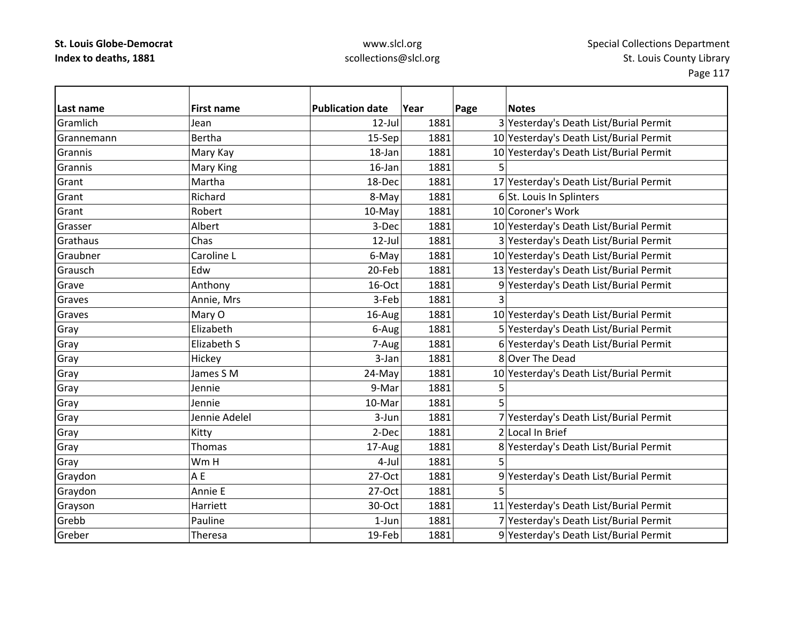| Last name  | <b>First name</b> | <b>Publication date</b> | Year | Page | <b>Notes</b>                            |
|------------|-------------------|-------------------------|------|------|-----------------------------------------|
| Gramlich   | Jean              | $12$ -Jul               | 1881 |      | 3 Yesterday's Death List/Burial Permit  |
| Grannemann | <b>Bertha</b>     | 15-Sep                  | 1881 |      | 10 Yesterday's Death List/Burial Permit |
| Grannis    | Mary Kay          | 18-Jan                  | 1881 |      | 10 Yesterday's Death List/Burial Permit |
| Grannis    | Mary King         | 16-Jan                  | 1881 |      |                                         |
| Grant      | Martha            | 18-Dec                  | 1881 |      | 17 Yesterday's Death List/Burial Permit |
| Grant      | Richard           | 8-May                   | 1881 |      | 6 St. Louis In Splinters                |
| Grant      | Robert            | 10-May                  | 1881 |      | 10 Coroner's Work                       |
| Grasser    | Albert            | 3-Dec                   | 1881 |      | 10 Yesterday's Death List/Burial Permit |
| Grathaus   | Chas              | 12-Jul                  | 1881 |      | 3 Yesterday's Death List/Burial Permit  |
| Graubner   | Caroline L        | 6-May                   | 1881 |      | 10 Yesterday's Death List/Burial Permit |
| Grausch    | Edw               | 20-Feb                  | 1881 |      | 13 Yesterday's Death List/Burial Permit |
| Grave      | Anthony           | 16-Oct                  | 1881 |      | 9 Yesterday's Death List/Burial Permit  |
| Graves     | Annie, Mrs        | 3-Feb                   | 1881 |      |                                         |
| Graves     | Mary O            | 16-Aug                  | 1881 |      | 10 Yesterday's Death List/Burial Permit |
| Gray       | Elizabeth         | 6-Aug                   | 1881 |      | 5 Yesterday's Death List/Burial Permit  |
| Gray       | Elizabeth S       | 7-Aug                   | 1881 |      | 6 Yesterday's Death List/Burial Permit  |
| Gray       | Hickey            | 3-Jan                   | 1881 |      | 8 Over The Dead                         |
| Gray       | James S M         | 24-May                  | 1881 |      | 10 Yesterday's Death List/Burial Permit |
| Gray       | Jennie            | 9-Mar                   | 1881 | 5    |                                         |
| Gray       | Jennie            | 10-Mar                  | 1881 | 5    |                                         |
| Gray       | Jennie Adelel     | 3-Jun                   | 1881 |      | 7 Yesterday's Death List/Burial Permit  |
| Gray       | Kitty             | 2-Dec                   | 1881 |      | 2 Local In Brief                        |
| Gray       | Thomas            | 17-Aug                  | 1881 |      | 8 Yesterday's Death List/Burial Permit  |
| Gray       | Wm H              | 4-Jul                   | 1881 | 5    |                                         |
| Graydon    | A E               | 27-Oct                  | 1881 |      | 9 Yesterday's Death List/Burial Permit  |
| Graydon    | Annie E           | 27-Oct                  | 1881 | 5    |                                         |
| Grayson    | Harriett          | 30-Oct                  | 1881 |      | 11 Yesterday's Death List/Burial Permit |
| Grebb      | Pauline           | 1-Jun                   | 1881 |      | 7 Yesterday's Death List/Burial Permit  |
| Greber     | Theresa           | 19-Feb                  | 1881 |      | 9 Yesterday's Death List/Burial Permit  |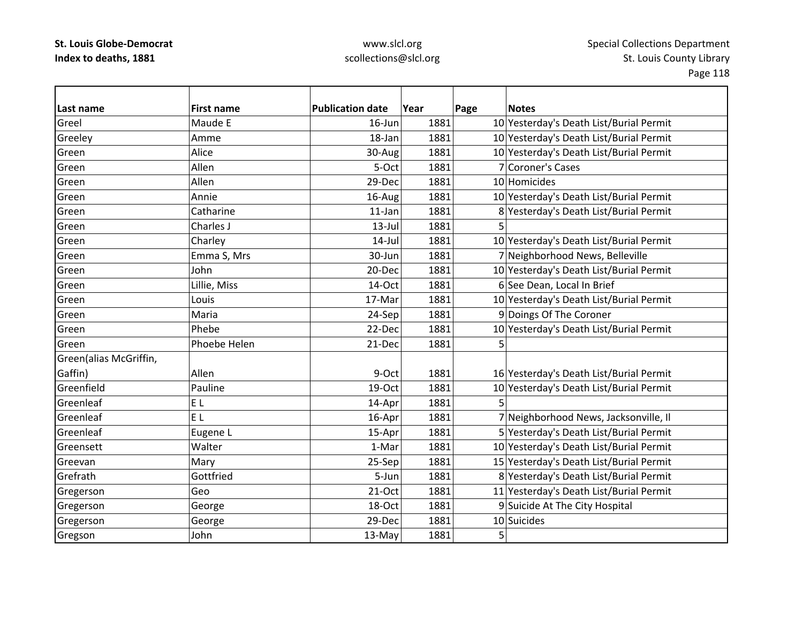| Last name              | <b>First name</b> | <b>Publication date</b> | Year | Page | <b>Notes</b>                            |
|------------------------|-------------------|-------------------------|------|------|-----------------------------------------|
| Greel                  | Maude E           | 16-Jun                  | 1881 |      | 10 Yesterday's Death List/Burial Permit |
| Greeley                | Amme              | 18-Jan                  | 1881 |      | 10 Yesterday's Death List/Burial Permit |
| Green                  | Alice             | 30-Aug                  | 1881 |      | 10 Yesterday's Death List/Burial Permit |
| Green                  | Allen             | 5-Oct                   | 1881 |      | 7 Coroner's Cases                       |
| Green                  | Allen             | 29-Dec                  | 1881 |      | 10 Homicides                            |
| Green                  | Annie             | 16-Aug                  | 1881 |      | 10 Yesterday's Death List/Burial Permit |
| Green                  | Catharine         | $11$ -Jan               | 1881 |      | 8 Yesterday's Death List/Burial Permit  |
| Green                  | Charles J         | $13$ -Jul               | 1881 |      |                                         |
| Green                  | Charley           | $14$ -Jul               | 1881 |      | 10 Yesterday's Death List/Burial Permit |
| Green                  | Emma S, Mrs       | 30-Jun                  | 1881 |      | 7 Neighborhood News, Belleville         |
| Green                  | John              | 20-Dec                  | 1881 |      | 10 Yesterday's Death List/Burial Permit |
| Green                  | Lillie, Miss      | 14-Oct                  | 1881 |      | 6 See Dean, Local In Brief              |
| Green                  | Louis             | 17-Mar                  | 1881 |      | 10 Yesterday's Death List/Burial Permit |
| Green                  | Maria             | 24-Sep                  | 1881 |      | 9 Doings Of The Coroner                 |
| Green                  | Phebe             | 22-Dec                  | 1881 |      | 10 Yesterday's Death List/Burial Permit |
| Green                  | Phoebe Helen      | 21-Dec                  | 1881 | 5    |                                         |
| Green(alias McGriffin, |                   |                         |      |      |                                         |
| Gaffin)                | Allen             | 9-Oct                   | 1881 |      | 16 Yesterday's Death List/Burial Permit |
| Greenfield             | Pauline           | 19-Oct                  | 1881 |      | 10 Yesterday's Death List/Burial Permit |
| Greenleaf              | EL.               | 14-Apr                  | 1881 | 5    |                                         |
| Greenleaf              | E <sub>L</sub>    | 16-Apr                  | 1881 |      | 7 Neighborhood News, Jacksonville, Il   |
| Greenleaf              | Eugene L          | 15-Apr                  | 1881 |      | 5 Yesterday's Death List/Burial Permit  |
| Greensett              | Walter            | 1-Mar                   | 1881 |      | 10 Yesterday's Death List/Burial Permit |
| Greevan                | Mary              | 25-Sep                  | 1881 |      | 15 Yesterday's Death List/Burial Permit |
| Grefrath               | Gottfried         | 5-Jun                   | 1881 |      | 8 Yesterday's Death List/Burial Permit  |
| Gregerson              | Geo               | $21-Oct$                | 1881 |      | 11 Yesterday's Death List/Burial Permit |
| Gregerson              | George            | 18-Oct                  | 1881 |      | 9 Suicide At The City Hospital          |
| Gregerson              | George            | 29-Dec                  | 1881 |      | 10 Suicides                             |
| Gregson                | John              | 13-May                  | 1881 | 5    |                                         |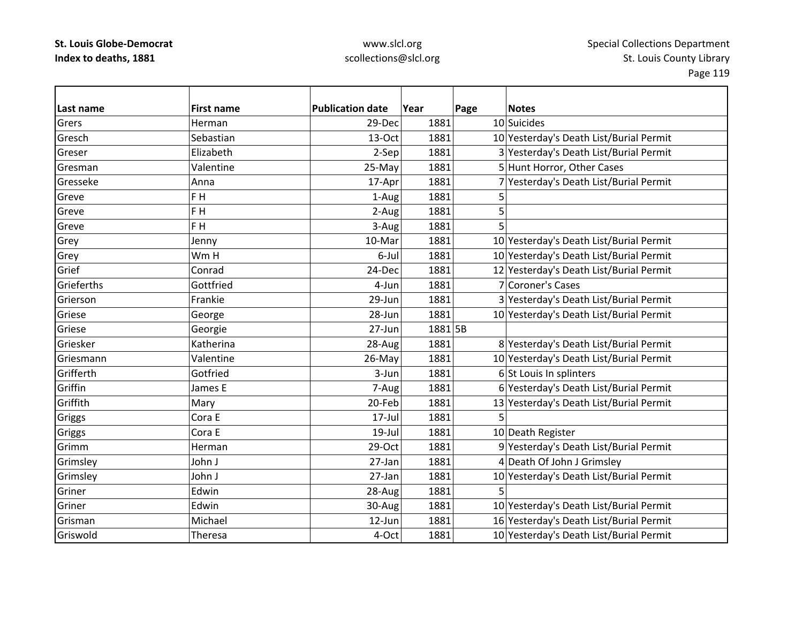| Last name  | <b>First name</b> | <b>Publication date</b> | Year    | Page | <b>Notes</b>                            |
|------------|-------------------|-------------------------|---------|------|-----------------------------------------|
| Grers      | Herman            | 29-Dec                  | 1881    |      | 10 Suicides                             |
| Gresch     | Sebastian         | 13-Oct                  | 1881    |      | 10 Yesterday's Death List/Burial Permit |
| Greser     | Elizabeth         | 2-Sep                   | 1881    |      | 3 Yesterday's Death List/Burial Permit  |
| Gresman    | Valentine         | 25-May                  | 1881    |      | 5 Hunt Horror, Other Cases              |
| Gresseke   | Anna              | 17-Apr                  | 1881    |      | 7 Yesterday's Death List/Burial Permit  |
| Greve      | F H               | 1-Aug                   | 1881    | 5    |                                         |
| Greve      | F H               | 2-Aug                   | 1881    | 5    |                                         |
| Greve      | F H               | 3-Aug                   | 1881    | 5    |                                         |
| Grey       | Jenny             | 10-Mar                  | 1881    |      | 10 Yesterday's Death List/Burial Permit |
| Grey       | Wm H              | 6-Jul                   | 1881    |      | 10 Yesterday's Death List/Burial Permit |
| Grief      | Conrad            | 24-Dec                  | 1881    |      | 12 Yesterday's Death List/Burial Permit |
| Grieferths | Gottfried         | 4-Jun                   | 1881    |      | 7 Coroner's Cases                       |
| Grierson   | Frankie           | 29-Jun                  | 1881    |      | 3 Yesterday's Death List/Burial Permit  |
| Griese     | George            | 28-Jun                  | 1881    |      | 10 Yesterday's Death List/Burial Permit |
| Griese     | Georgie           | 27-Jun                  | 1881 5B |      |                                         |
| Griesker   | Katherina         | 28-Aug                  | 1881    |      | 8 Yesterday's Death List/Burial Permit  |
| Griesmann  | Valentine         | 26-May                  | 1881    |      | 10 Yesterday's Death List/Burial Permit |
| Grifferth  | Gotfried          | 3-Jun                   | 1881    |      | 6 St Louis In splinters                 |
| Griffin    | James E           | 7-Aug                   | 1881    |      | 6 Yesterday's Death List/Burial Permit  |
| Griffith   | Mary              | 20-Feb                  | 1881    |      | 13 Yesterday's Death List/Burial Permit |
| Griggs     | Cora E            | 17-Jul                  | 1881    | 5    |                                         |
| Griggs     | Cora E            | $19$ -Jul               | 1881    |      | 10 Death Register                       |
| Grimm      | Herman            | 29-Oct                  | 1881    |      | 9 Yesterday's Death List/Burial Permit  |
| Grimsley   | John J            | 27-Jan                  | 1881    |      | 4 Death Of John J Grimsley              |
| Grimsley   | John J            | 27-Jan                  | 1881    |      | 10 Yesterday's Death List/Burial Permit |
| Griner     | Edwin             | 28-Aug                  | 1881    | 5    |                                         |
| Griner     | Edwin             | 30-Aug                  | 1881    |      | 10 Yesterday's Death List/Burial Permit |
| Grisman    | Michael           | 12-Jun                  | 1881    |      | 16 Yesterday's Death List/Burial Permit |
| Griswold   | <b>Theresa</b>    | 4-Oct                   | 1881    |      | 10 Yesterday's Death List/Burial Permit |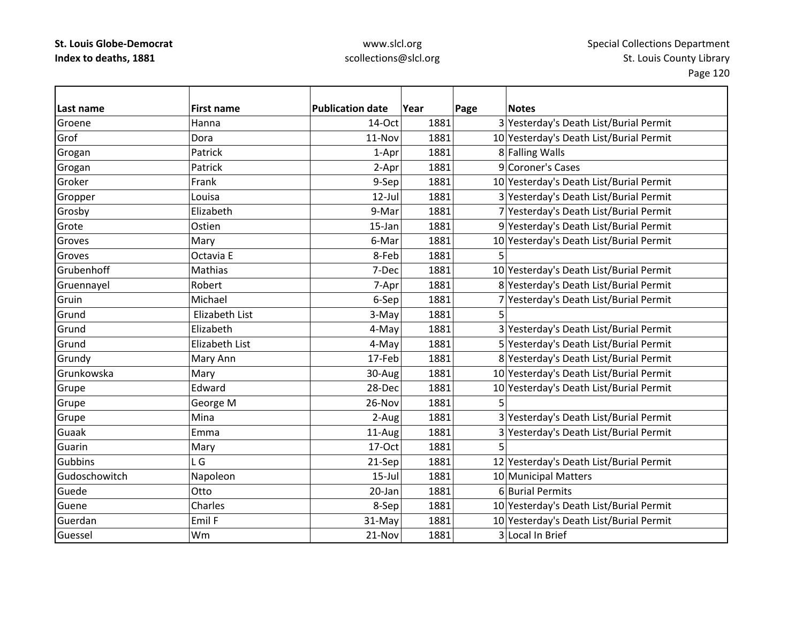| Last name     | <b>First name</b> | <b>Publication date</b> | Year | Page | <b>Notes</b>                            |
|---------------|-------------------|-------------------------|------|------|-----------------------------------------|
| Groene        | Hanna             | 14-Oct                  | 1881 |      | 3 Yesterday's Death List/Burial Permit  |
| Grof          | Dora              | 11-Nov                  | 1881 |      | 10 Yesterday's Death List/Burial Permit |
| Grogan        | Patrick           | 1-Apr                   | 1881 |      | 8 Falling Walls                         |
| Grogan        | Patrick           | 2-Apr                   | 1881 |      | 9 Coroner's Cases                       |
| Groker        | Frank             | 9-Sep                   | 1881 |      | 10 Yesterday's Death List/Burial Permit |
| Gropper       | Louisa            | $12$ -Jul               | 1881 |      | 3 Yesterday's Death List/Burial Permit  |
| Grosby        | Elizabeth         | 9-Mar                   | 1881 |      | 7 Yesterday's Death List/Burial Permit  |
| Grote         | Ostien            | $15$ -Jan               | 1881 |      | 9 Yesterday's Death List/Burial Permit  |
| Groves        | Mary              | 6-Mar                   | 1881 |      | 10 Yesterday's Death List/Burial Permit |
| Groves        | Octavia E         | 8-Feb                   | 1881 | 5    |                                         |
| Grubenhoff    | Mathias           | 7-Dec                   | 1881 |      | 10 Yesterday's Death List/Burial Permit |
| Gruennayel    | Robert            | 7-Apr                   | 1881 |      | 8 Yesterday's Death List/Burial Permit  |
| Gruin         | Michael           | 6-Sep                   | 1881 |      | 7 Yesterday's Death List/Burial Permit  |
| Grund         | Elizabeth List    | 3-May                   | 1881 |      |                                         |
| Grund         | Elizabeth         | 4-May                   | 1881 |      | 3 Yesterday's Death List/Burial Permit  |
| Grund         | Elizabeth List    | 4-May                   | 1881 |      | 5 Yesterday's Death List/Burial Permit  |
| Grundy        | Mary Ann          | 17-Feb                  | 1881 |      | 8 Yesterday's Death List/Burial Permit  |
| Grunkowska    | Mary              | 30-Aug                  | 1881 |      | 10 Yesterday's Death List/Burial Permit |
| Grupe         | Edward            | 28-Dec                  | 1881 |      | 10 Yesterday's Death List/Burial Permit |
| Grupe         | George M          | 26-Nov                  | 1881 | 5    |                                         |
| Grupe         | Mina              | 2-Aug                   | 1881 |      | 3 Yesterday's Death List/Burial Permit  |
| Guaak         | Emma              | 11-Aug                  | 1881 |      | 3 Yesterday's Death List/Burial Permit  |
| Guarin        | Mary              | 17-Oct                  | 1881 |      |                                         |
| Gubbins       | L G               | 21-Sep                  | 1881 |      | 12 Yesterday's Death List/Burial Permit |
| Gudoschowitch | Napoleon          | $15$ -Jul               | 1881 |      | 10 Municipal Matters                    |
| Guede         | Otto              | 20-Jan                  | 1881 |      | 6 Burial Permits                        |
| Guene         | Charles           | 8-Sep                   | 1881 |      | 10 Yesterday's Death List/Burial Permit |
| Guerdan       | Emil F            | 31-May                  | 1881 |      | 10 Yesterday's Death List/Burial Permit |
| Guessel       | Wm                | 21-Nov                  | 1881 |      | 3 Local In Brief                        |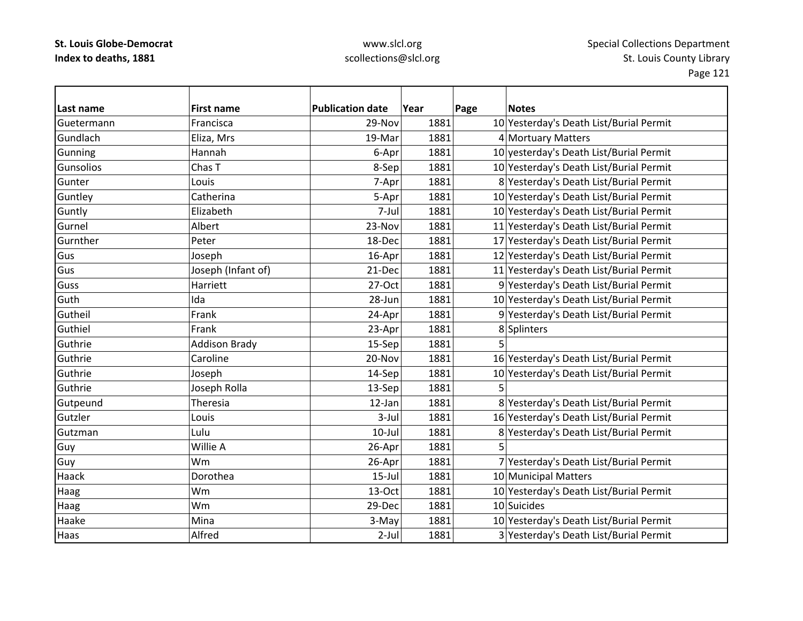### www.slcl.org scollections@slcl.org

**Last nameFirst name Publication date date Year Page Notes** GuetermannFrancisca 29-Nov 1881 10 Yesterday's Death List/Burial Permit GundlachEliza, Mrs 19‐Mar 19‐Mar 1881 4 Mortuary Matters Gunning Hannah 186–Apr 1881 10 yesterday's Death List/Burial Permit **Gunsolios** Chas T **8**-Sep 1881 1881 10 Yesterday's Death List/Burial Permit Gunter Louis7-Apr 1881 8 Yesterday's Death List/Burial Permit Guntley Catherina 1881 1881 10 Yesterday's Death List/Burial Permit Guntly Elizabeth 7‐Jul 1881 10 Yesterday's Death List/Burial Permit Gurnel Albert23-Nov 1881 11 Yesterday's Death List/Burial Permit GurntherPeter 18–Dec 1881 17 Yesterday's Death List/Burial Permit GusJoseph 16‐Apr 16‐Apr 1881 12 Yesterday's Death List/Burial Permit GusJoseph (Infant of) 121-Dec 1881 11 Yesterday's Death List/Burial Permit **Guss** Harriett 27‐Oct 1881 9 Yesterday's Death List/Burial Permit **Guth** Ida 28‐Jun 1881 10 Yesterday's Death List/Burial Permit Gutheil Frank24-Apr 1881 9 Yesterday's Death List/Burial Permit Guthiel Frank23-Apr 1881 8 Splinters Guthriee |Addison Brady 15-Sep| 1881| 5 Guthrie Caroline 20‐Nov 1881 16 Yesterday's Death List/Burial Permit GuthrieJoseph 14‐Sep 1881 10 Yesterday's Death List/Burial Permit GuthrieJoseph Rolla  $13-$ Sep  $1881$  5 Gutpeund Theresia 12-Jan 1881 8 Yesterday's Death List/Burial Permit Gutzler Louis3-Jul 1881 16 Yesterday's Death List/Burial Permit GutzmanLulu 10‐Jul 1881 8 Yesterday's Death List/Burial Permit Guy |Willie A | 26-Apr| 1881| 5 Guy 26-Apr 1881 7 Yesterday's Death List/Burial Permit 26-Apr 1881 7 Yesterday's Death List/Burial Permit Haack Dorothea15-Jul 1881 10 Municipal Matters Haag 13–Oct 1881 10 Yesterday's Death List/Burial Permit 13–000 13–000 1881 10 Yesterday's Death List/Burial Permit Haag |Wm | 29-Dec 1881 10 Suicides HaakeMina 1881 1881 10 Yesterday's Death List/Burial Permit Haas Alfred2-Jul 1881 3 Yesterday's Death List/Burial Permit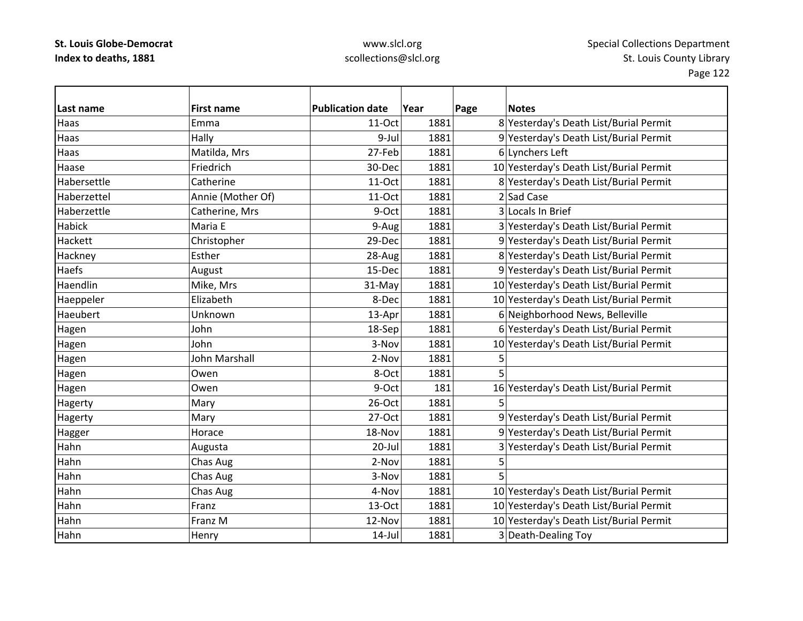| Last name     | <b>First name</b> | <b>Publication date</b> | Year | Page | <b>Notes</b>                            |
|---------------|-------------------|-------------------------|------|------|-----------------------------------------|
| Haas          | Emma              | 11-Oct                  | 1881 |      | 8 Yesterday's Death List/Burial Permit  |
| Haas          | Hally             | 9-Jul                   | 1881 |      | 9 Yesterday's Death List/Burial Permit  |
| Haas          | Matilda, Mrs      | 27-Feb                  | 1881 |      | 6 Lynchers Left                         |
| Haase         | Friedrich         | 30-Dec                  | 1881 |      | 10 Yesterday's Death List/Burial Permit |
| Habersettle   | Catherine         | 11-Oct                  | 1881 |      | 8 Yesterday's Death List/Burial Permit  |
| Haberzettel   | Annie (Mother Of) | 11-Oct                  | 1881 |      | 2 Sad Case                              |
| Haberzettle   | Catherine, Mrs    | 9-Oct                   | 1881 |      | 3 Locals In Brief                       |
| <b>Habick</b> | Maria E           | 9-Aug                   | 1881 |      | 3 Yesterday's Death List/Burial Permit  |
| Hackett       | Christopher       | 29-Dec                  | 1881 |      | 9 Yesterday's Death List/Burial Permit  |
| Hackney       | Esther            | 28-Aug                  | 1881 |      | 8 Yesterday's Death List/Burial Permit  |
| Haefs         | August            | 15-Dec                  | 1881 |      | 9 Yesterday's Death List/Burial Permit  |
| Haendlin      | Mike, Mrs         | 31-May                  | 1881 |      | 10 Yesterday's Death List/Burial Permit |
| Haeppeler     | Elizabeth         | 8-Dec                   | 1881 |      | 10 Yesterday's Death List/Burial Permit |
| Haeubert      | Unknown           | 13-Apr                  | 1881 |      | 6 Neighborhood News, Belleville         |
| Hagen         | John              | 18-Sep                  | 1881 |      | 6 Yesterday's Death List/Burial Permit  |
| Hagen         | John              | 3-Nov                   | 1881 |      | 10 Yesterday's Death List/Burial Permit |
| Hagen         | John Marshall     | 2-Nov                   | 1881 | 5    |                                         |
| Hagen         | Owen              | 8-Oct                   | 1881 | 5    |                                         |
| Hagen         | Owen              | 9-Oct                   | 181  |      | 16 Yesterday's Death List/Burial Permit |
| Hagerty       | Mary              | 26-Oct                  | 1881 | 5    |                                         |
| Hagerty       | Mary              | 27-Oct                  | 1881 |      | 9 Yesterday's Death List/Burial Permit  |
| Hagger        | Horace            | 18-Nov                  | 1881 |      | 9 Yesterday's Death List/Burial Permit  |
| Hahn          | Augusta           | 20-Jul                  | 1881 |      | 3 Yesterday's Death List/Burial Permit  |
| Hahn          | Chas Aug          | 2-Nov                   | 1881 | 5    |                                         |
| Hahn          | Chas Aug          | 3-Nov                   | 1881 | 5    |                                         |
| Hahn          | Chas Aug          | 4-Nov                   | 1881 |      | 10 Yesterday's Death List/Burial Permit |
| Hahn          | Franz             | 13-Oct                  | 1881 |      | 10 Yesterday's Death List/Burial Permit |
| Hahn          | Franz M           | 12-Nov                  | 1881 |      | 10 Yesterday's Death List/Burial Permit |
| Hahn          | Henry             | $14$ -Jul               | 1881 |      | 3 Death-Dealing Toy                     |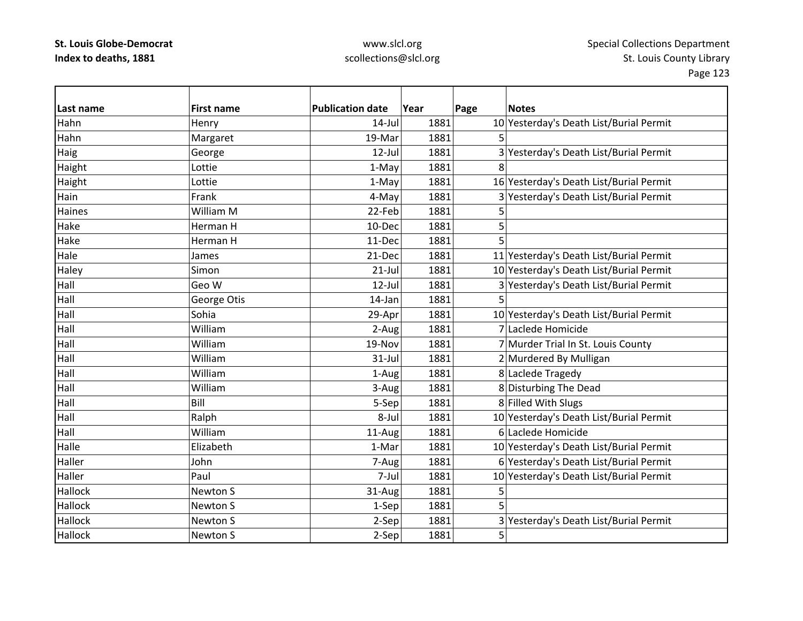| Last name | <b>First name</b> | <b>Publication date</b> | Year | Page | <b>Notes</b>                            |
|-----------|-------------------|-------------------------|------|------|-----------------------------------------|
| Hahn      | Henry             | $14$ -Jul               | 1881 |      | 10 Yesterday's Death List/Burial Permit |
| Hahn      | Margaret          | 19-Mar                  | 1881 |      |                                         |
| Haig      | George            | $12$ -Jul               | 1881 |      | 3 Yesterday's Death List/Burial Permit  |
| Haight    | Lottie            | 1-May                   | 1881 | 8    |                                         |
| Haight    | Lottie            | 1-May                   | 1881 |      | 16 Yesterday's Death List/Burial Permit |
| Hain      | Frank             | 4-May                   | 1881 |      | 3 Yesterday's Death List/Burial Permit  |
| Haines    | William M         | 22-Feb                  | 1881 | 5    |                                         |
| Hake      | Herman H          | 10-Dec                  | 1881 | 5    |                                         |
| Hake      | Herman H          | 11-Dec                  | 1881 | 5    |                                         |
| Hale      | James             | 21-Dec                  | 1881 |      | 11 Yesterday's Death List/Burial Permit |
| Haley     | Simon             | $21$ -Jul               | 1881 |      | 10 Yesterday's Death List/Burial Permit |
| Hall      | Geo W             | $12$ -Jul               | 1881 |      | 3 Yesterday's Death List/Burial Permit  |
| Hall      | George Otis       | 14-Jan                  | 1881 | 5    |                                         |
| Hall      | Sohia             | 29-Apr                  | 1881 |      | 10 Yesterday's Death List/Burial Permit |
| Hall      | William           | 2-Aug                   | 1881 |      | 7 Laclede Homicide                      |
| Hall      | William           | 19-Nov                  | 1881 |      | 7 Murder Trial In St. Louis County      |
| Hall      | William           | $31$ -Jul               | 1881 |      | 2 Murdered By Mulligan                  |
| Hall      | William           | 1-Aug                   | 1881 |      | 8 Laclede Tragedy                       |
| Hall      | William           | 3-Aug                   | 1881 |      | 8 Disturbing The Dead                   |
| Hall      | Bill              | 5-Sep                   | 1881 |      | 8 Filled With Slugs                     |
| Hall      | Ralph             | 8-Jul                   | 1881 |      | 10 Yesterday's Death List/Burial Permit |
| Hall      | William           | 11-Aug                  | 1881 |      | 6 Laclede Homicide                      |
| Halle     | Elizabeth         | 1-Mar                   | 1881 |      | 10 Yesterday's Death List/Burial Permit |
| Haller    | John              | 7-Aug                   | 1881 |      | 6 Yesterday's Death List/Burial Permit  |
| Haller    | Paul              | 7-Jul                   | 1881 |      | 10 Yesterday's Death List/Burial Permit |
| Hallock   | Newton S          | 31-Aug                  | 1881 | 5    |                                         |
| Hallock   | Newton S          | 1-Sep                   | 1881 | 5    |                                         |
| Hallock   | Newton S          | 2-Sep                   | 1881 |      | 3 Yesterday's Death List/Burial Permit  |
| Hallock   | Newton S          | $2-Sep$                 | 1881 | 5    |                                         |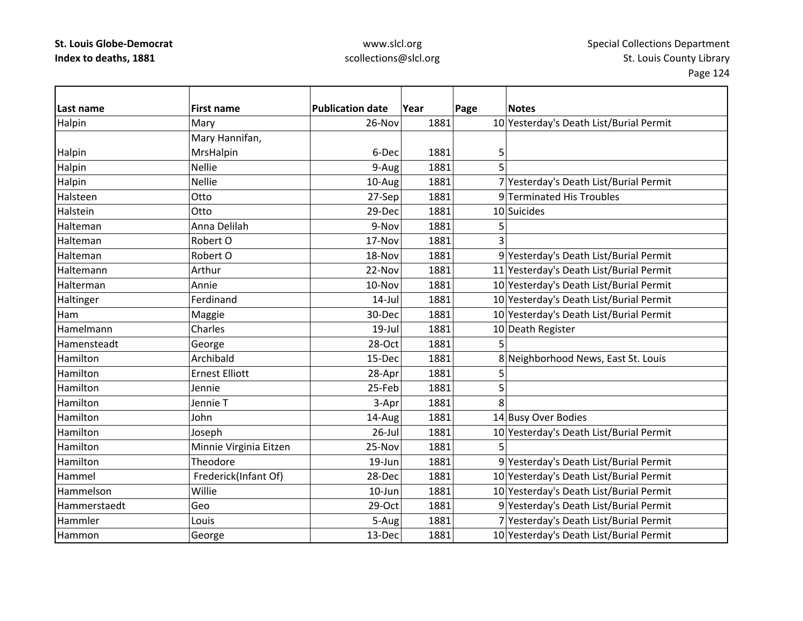### www.slcl.org scollections@slcl.org

**Last nameFirst name Publication date date Year Page Notes** Halpin Mary Mary 26-Nov 1881 10 Yesterday's Death List/Burial Permit 16 Mary 26-Nov 2018 1881 Halpin Mary Hannifan, MrsHalpin 1881 5 Halpin Nellie 1881 – Nellie 1881 – Halpin Halpin Halpin Halpin Halpin Halpin Halpin Halpin Halpin Ha Halpin 10‐Aug 1881 7 Yesterday's Death List/Burial Permit 16alpin 1881 7 Yesterday's Death List/Burial Permit Halsteen Otto27-Sep 1881 9 Terminated His Troubles Halstein**Otto** 29-Dec 1881 10 Suicides HaltemanAnna Delilah 1881 **bilang Participal di Participal di Participal di S** HaltemanRobert O 17-Nov 1881 3 HaltemanRobert O 18-Nov 18-Nov 1881 9 Yesterday's Death List/Burial Permit HaltemannArthur 1881 11 Yesterday's Death List/Burial Permit 1881 HaltermanAnnie 10‐Nov 1881 10‐Nov 1881 10 Yesterday's Death List/Burial Permit Haltinger Ferdinand Ferdinand 14‐Jul 1881 10 Yesterday's Death List/Burial Permit HamMaggie 30-Dec 1881 10 Yesterday's Death List/Burial Permit HamelmannCharles 19 | 19-Jul 1881 10 Death Register Hamensteadtt |George | 28-Oct 1881 5 HamiltonArchibald 15‐Dec 1881 8 Neighborhood News, East St. Louis HamiltonErnest Elliott **1881 1881** 5 Hamilton Jennie 25‐Feb 1881 5 Hamilton Jennie T 3‐Apr 1881 8 HamiltonJohn  $14$ -Aug  $1881$   $14$  Busy Over Bodies Hamilton Joseph 26‐Jul 1881 10 Yesterday's Death List/Burial Permit HamiltonMinnie Virginia Eitzen | 25-Nov | 1881 | 5 HamiltonTheodore 19‐Jun 1881 9 Yesterday's Death List/Burial Permit HammelFrederick(Infant Of) 28-Dec 1881 10 Yesterday's Death List/Burial Permit HammelsonWillie 10 | 10-Jun 1881 10 Yesterday's Death List/Burial Permit Hammerstaedt Geo29-Oct 1881 9 Yesterday's Death List/Burial Permit Hammler Louis5-Aug 1881 7 Yesterday's Death List/Burial Permit HammonGeorge 13‐Dec 1881 10 Yesterday's Death List/Burial Permit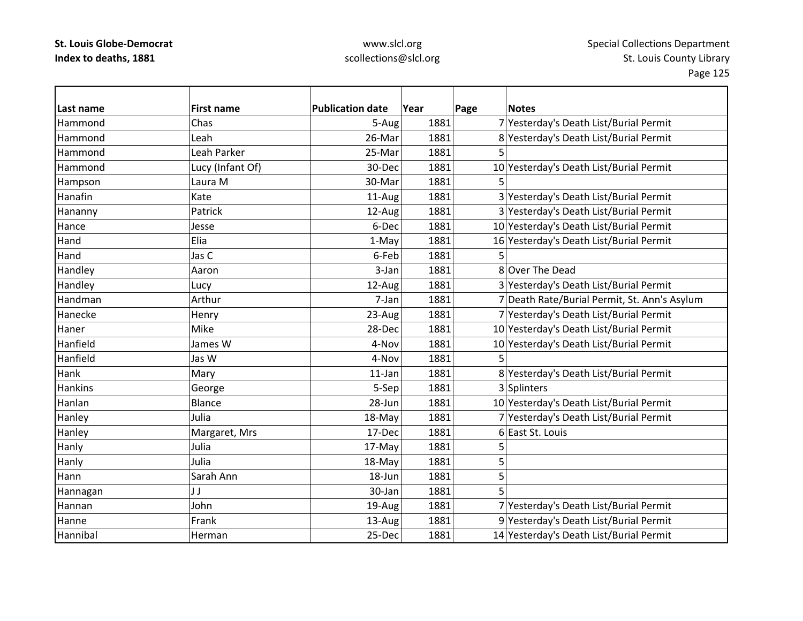| Last name      | <b>First name</b> | <b>Publication date</b> | Year | Page | <b>Notes</b>                                 |
|----------------|-------------------|-------------------------|------|------|----------------------------------------------|
| Hammond        | Chas              | 5-Aug                   | 1881 |      | 7 Yesterday's Death List/Burial Permit       |
| Hammond        | Leah              | 26-Mar                  | 1881 |      | 8 Yesterday's Death List/Burial Permit       |
| Hammond        | Leah Parker       | 25-Mar                  | 1881 | 5    |                                              |
| Hammond        | Lucy (Infant Of)  | 30-Dec                  | 1881 |      | 10 Yesterday's Death List/Burial Permit      |
| Hampson        | Laura M           | 30-Mar                  | 1881 |      |                                              |
| Hanafin        | Kate              | 11-Aug                  | 1881 |      | 3 Yesterday's Death List/Burial Permit       |
| Hananny        | Patrick           | 12-Aug                  | 1881 |      | 3 Yesterday's Death List/Burial Permit       |
| Hance          | Jesse             | 6-Dec                   | 1881 |      | 10 Yesterday's Death List/Burial Permit      |
| Hand           | Elia              | 1-May                   | 1881 |      | 16 Yesterday's Death List/Burial Permit      |
| Hand           | Jas C             | 6-Feb                   | 1881 |      |                                              |
| Handley        | Aaron             | 3-Jan                   | 1881 |      | 8 Over The Dead                              |
| Handley        | Lucy              | 12-Aug                  | 1881 |      | 3 Yesterday's Death List/Burial Permit       |
| Handman        | Arthur            | 7-Jan                   | 1881 |      | 7 Death Rate/Burial Permit, St. Ann's Asylum |
| Hanecke        | Henry             | 23-Aug                  | 1881 |      | 7 Yesterday's Death List/Burial Permit       |
| Haner          | Mike              | 28-Dec                  | 1881 |      | 10 Yesterday's Death List/Burial Permit      |
| Hanfield       | James W           | 4-Nov                   | 1881 |      | 10 Yesterday's Death List/Burial Permit      |
| Hanfield       | Jas W             | 4-Nov                   | 1881 | 5    |                                              |
| Hank           | Mary              | $11$ -Jan               | 1881 |      | 8 Yesterday's Death List/Burial Permit       |
| <b>Hankins</b> | George            | 5-Sep                   | 1881 |      | 3 Splinters                                  |
| Hanlan         | <b>Blance</b>     | 28-Jun                  | 1881 |      | 10 Yesterday's Death List/Burial Permit      |
| Hanley         | Julia             | 18-May                  | 1881 |      | 7 Yesterday's Death List/Burial Permit       |
| Hanley         | Margaret, Mrs     | 17-Dec                  | 1881 |      | 6 East St. Louis                             |
| Hanly          | Julia             | 17-May                  | 1881 | 5    |                                              |
| Hanly          | Julia             | 18-May                  | 1881 | 5    |                                              |
| Hann           | Sarah Ann         | 18-Jun                  | 1881 | 5    |                                              |
| Hannagan       | JJ                | 30-Jan                  | 1881 | 5    |                                              |
| Hannan         | John              | 19-Aug                  | 1881 |      | 7 Yesterday's Death List/Burial Permit       |
| Hanne          | Frank             | 13-Aug                  | 1881 |      | 9 Yesterday's Death List/Burial Permit       |
| Hannibal       | Herman            | 25-Dec                  | 1881 |      | 14 Yesterday's Death List/Burial Permit      |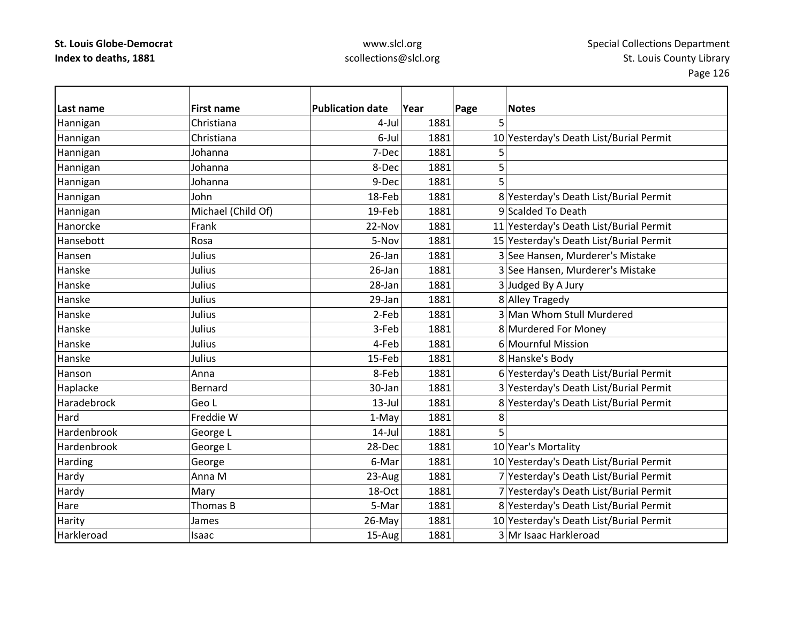| Last name   | <b>First name</b>  | <b>Publication date</b> | Year | Page | <b>Notes</b>                            |
|-------------|--------------------|-------------------------|------|------|-----------------------------------------|
| Hannigan    | Christiana         | 4-Jul                   | 1881 | 5    |                                         |
| Hannigan    | Christiana         | 6-Jul                   | 1881 |      | 10 Yesterday's Death List/Burial Permit |
| Hannigan    | Johanna            | 7-Dec                   | 1881 | 5    |                                         |
| Hannigan    | Johanna            | 8-Dec                   | 1881 | 5    |                                         |
| Hannigan    | Johanna            | 9-Dec                   | 1881 | 5    |                                         |
| Hannigan    | John               | 18-Feb                  | 1881 |      | 8 Yesterday's Death List/Burial Permit  |
| Hannigan    | Michael (Child Of) | 19-Feb                  | 1881 |      | 9 Scalded To Death                      |
| Hanorcke    | Frank              | 22-Nov                  | 1881 |      | 11 Yesterday's Death List/Burial Permit |
| Hansebott   | Rosa               | 5-Nov                   | 1881 |      | 15 Yesterday's Death List/Burial Permit |
| Hansen      | Julius             | 26-Jan                  | 1881 |      | 3 See Hansen, Murderer's Mistake        |
| Hanske      | Julius             | 26-Jan                  | 1881 |      | 3 See Hansen, Murderer's Mistake        |
| Hanske      | Julius             | 28-Jan                  | 1881 |      | 3Judged By A Jury                       |
| Hanske      | Julius             | 29-Jan                  | 1881 |      | 8 Alley Tragedy                         |
| Hanske      | Julius             | 2-Feb                   | 1881 |      | 3 Man Whom Stull Murdered               |
| Hanske      | Julius             | 3-Feb                   | 1881 |      | 8 Murdered For Money                    |
| Hanske      | Julius             | 4-Feb                   | 1881 |      | 6 Mournful Mission                      |
| Hanske      | Julius             | 15-Feb                  | 1881 |      | 8 Hanske's Body                         |
| Hanson      | Anna               | 8-Feb                   | 1881 |      | 6 Yesterday's Death List/Burial Permit  |
| Haplacke    | Bernard            | 30-Jan                  | 1881 |      | 3 Yesterday's Death List/Burial Permit  |
| Haradebrock | Geo L              | $13$ -Jul               | 1881 |      | 8 Yesterday's Death List/Burial Permit  |
| Hard        | Freddie W          | 1-May                   | 1881 | 8    |                                         |
| Hardenbrook | George L           | $14$ -Jul               | 1881 | 5    |                                         |
| Hardenbrook | George L           | 28-Dec                  | 1881 |      | 10 Year's Mortality                     |
| Harding     | George             | 6-Mar                   | 1881 |      | 10 Yesterday's Death List/Burial Permit |
| Hardy       | Anna M             | 23-Aug                  | 1881 |      | 7 Yesterday's Death List/Burial Permit  |
| Hardy       | Mary               | 18-Oct                  | 1881 |      | 7 Yesterday's Death List/Burial Permit  |
| Hare        | Thomas B           | 5-Mar                   | 1881 |      | 8 Yesterday's Death List/Burial Permit  |
| Harity      | James              | 26-May                  | 1881 |      | 10 Yesterday's Death List/Burial Permit |
| Harkleroad  | Isaac              | 15-Aug                  | 1881 |      | 3 Mr Isaac Harkleroad                   |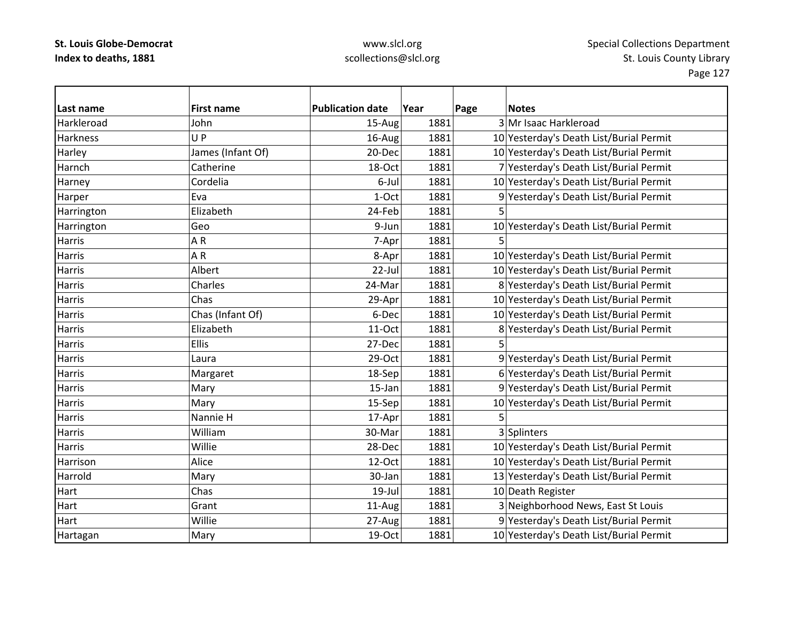### www.slcl.org scollections@slcl.org

**Last name First name Publication date Year Page Notes** Harkleroad John 15‐Aug 1881 3 Mr Isaac Harkleroad **Harkness** s |U UP 16-Aug 1881 10 Yesterday's Death List/Burial Permit Harley James (Infant Of) 1881 1881 10 Yesterday's Death List/Burial Permit HarnchCatherine 18–000 18–000 1881 7 Yesterday's Death List/Burial Permit Harney Cordelia  $\vert$ Cordelia  $\vert$  6-Jul 1881 10 Yesterday's Death List/Burial Permit Harper Eva 1–Oct 1881 9 Yesterday's Death List/Burial Permit 1681 Harrington Elizabeth 24‐Feb 1881 5 Harrington Geo 66 | 9-Jun 1881 | 1881 | 10 Yesterday's Death List/Burial Permit Harriss | A A R | 7-Apr| 1881| 5 Harriss IA AR 1881 1881 10 Yesterday's Death List/Burial Permit HarrisAlbert 22‐Jul 1881 10 Yesterday's Death List/Burial Permit Harris Charles 24‐Mar 1881 8 Yesterday's Death List/Burial Permit Harris Chas29-Apr 1881 10 Yesterday's Death List/Burial Permit HarrisChas (Infant Of) 6‐Dec 1881 10 Yesterday's Death List/Burial Permit Harris Elizabeth11-Oct 1881 8 Yesterday's Death List/Burial Permit **Harris** s |Ellis | 27-Dec| 1881| 5 **Harris**  Laura29-Oct 1881 9 Yesterday's Death List/Burial Permit HarrisMargaret 18–Sep 1881 6 Yesterday's Death List/Burial Permit Harris|Mary  $\vert$  15-Jan $\vert$  1881 $\vert$  9 $\vert$ Yesterday's Death List/Burial Permit Harris| 15‐Sep | 1881 | 15‐Sep | 1881 | 10 Yesterday's Death List/Burial Permit Harris Nannie $17-Apr$  1881 5 Harris William30-Mar 1881 3 Splinters Harris Willie28-Dec 1881 10 Yesterday's Death List/Burial Permit HarrisonAlice 12–Oct 1881 10 Yesterday's Death List/Burial Permit HarroldMary 13 Mary 13 Mary 13 Yesterday's Death List/Burial Permit Hart Chass 19-Jul 1881 10 Death Register **Hart** Grant 11-Aug 1881 3 Neighborhood News, East St Louis **Hart**  Willie27-Aug 1881 9 Yesterday's Death List/Burial Permit Hartagan Mary Mary 19‐Oct 1881 10 Yesterday's Death List/Burial Permit Hartagan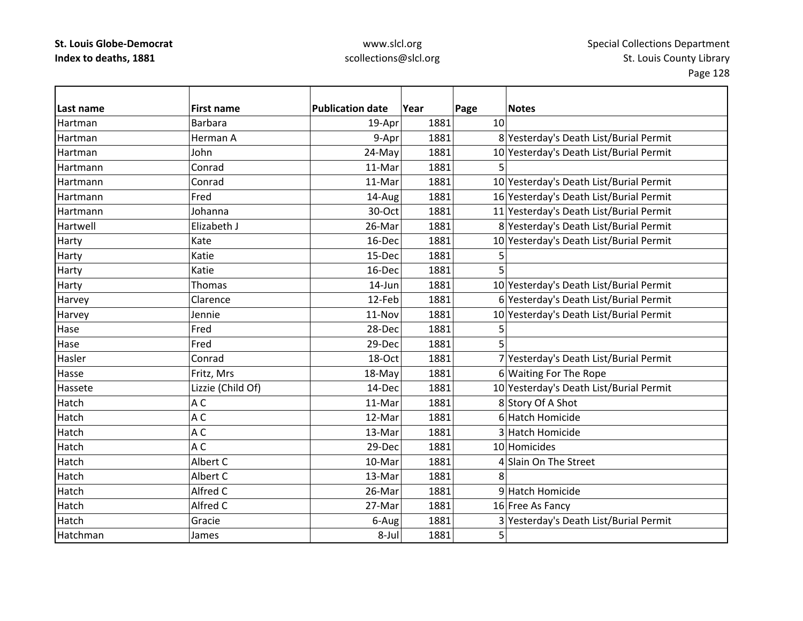| Last name | <b>First name</b> | <b>Publication date</b> | Year | Page | <b>Notes</b>                            |
|-----------|-------------------|-------------------------|------|------|-----------------------------------------|
| Hartman   | <b>Barbara</b>    | 19-Apr                  | 1881 | 10   |                                         |
| Hartman   | Herman A          | 9-Apr                   | 1881 |      | 8 Yesterday's Death List/Burial Permit  |
| Hartman   | John              | 24-May                  | 1881 |      | 10 Yesterday's Death List/Burial Permit |
| Hartmann  | Conrad            | 11-Mar                  | 1881 | 5    |                                         |
| Hartmann  | Conrad            | 11-Mar                  | 1881 |      | 10 Yesterday's Death List/Burial Permit |
| Hartmann  | Fred              | 14-Aug                  | 1881 |      | 16 Yesterday's Death List/Burial Permit |
| Hartmann  | Johanna           | 30-Oct                  | 1881 |      | 11 Yesterday's Death List/Burial Permit |
| Hartwell  | Elizabeth J       | 26-Mar                  | 1881 |      | 8 Yesterday's Death List/Burial Permit  |
| Harty     | Kate              | 16-Dec                  | 1881 |      | 10 Yesterday's Death List/Burial Permit |
| Harty     | Katie             | 15-Dec                  | 1881 | 5    |                                         |
| Harty     | Katie             | 16-Dec                  | 1881 | 5    |                                         |
| Harty     | Thomas            | 14-Jun                  | 1881 |      | 10 Yesterday's Death List/Burial Permit |
| Harvey    | Clarence          | 12-Feb                  | 1881 |      | 6 Yesterday's Death List/Burial Permit  |
| Harvey    | Jennie            | 11-Nov                  | 1881 |      | 10 Yesterday's Death List/Burial Permit |
| Hase      | Fred              | 28-Dec                  | 1881 | 5    |                                         |
| Hase      | Fred              | 29-Dec                  | 1881 | 5    |                                         |
| Hasler    | Conrad            | 18-Oct                  | 1881 |      | 7 Yesterday's Death List/Burial Permit  |
| Hasse     | Fritz, Mrs        | 18-May                  | 1881 |      | 6 Waiting For The Rope                  |
| Hassete   | Lizzie (Child Of) | 14-Dec                  | 1881 |      | 10 Yesterday's Death List/Burial Permit |
| Hatch     | A C               | 11-Mar                  | 1881 |      | 8 Story Of A Shot                       |
| Hatch     | A C               | 12-Mar                  | 1881 |      | 6 Hatch Homicide                        |
| Hatch     | A C               | 13-Mar                  | 1881 |      | 3 Hatch Homicide                        |
| Hatch     | A C               | 29-Dec                  | 1881 |      | 10 Homicides                            |
| Hatch     | Albert C          | 10-Mar                  | 1881 |      | 4 Slain On The Street                   |
| Hatch     | Albert C          | 13-Mar                  | 1881 | 8    |                                         |
| Hatch     | Alfred C          | 26-Mar                  | 1881 |      | 9 Hatch Homicide                        |
| Hatch     | Alfred C          | 27-Mar                  | 1881 |      | 16 Free As Fancy                        |
| Hatch     | Gracie            | 6-Aug                   | 1881 |      | 3 Yesterday's Death List/Burial Permit  |
| Hatchman  | James             | 8-Jul                   | 1881 | 5    |                                         |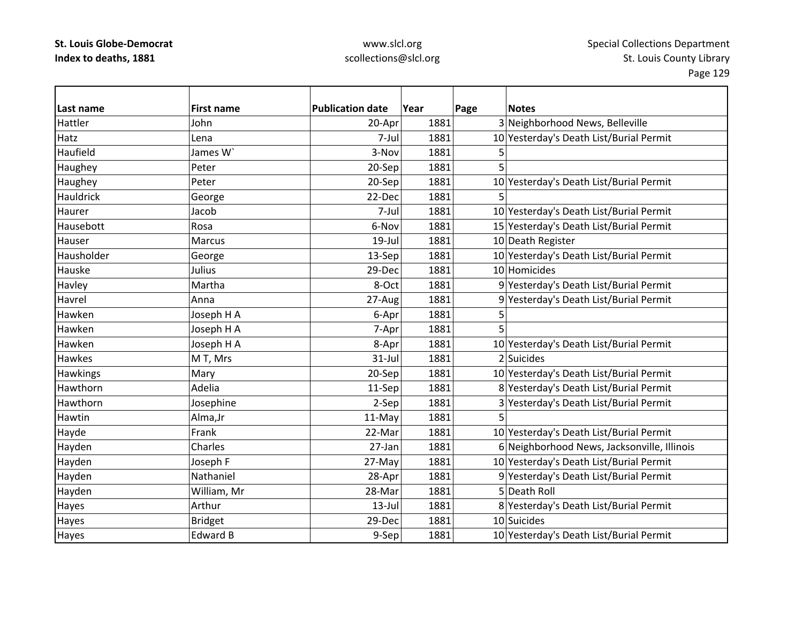| Last name     | <b>First name</b> | <b>Publication date</b> | Year | Page | <b>Notes</b>                                |
|---------------|-------------------|-------------------------|------|------|---------------------------------------------|
| Hattler       | John              | 20-Apr                  | 1881 |      | 3 Neighborhood News, Belleville             |
| Hatz          | Lena              | 7-Jul                   | 1881 |      | 10 Yesterday's Death List/Burial Permit     |
| Haufield      | James W`          | 3-Nov                   | 1881 | 5    |                                             |
| Haughey       | Peter             | 20-Sep                  | 1881 | 5    |                                             |
| Haughey       | Peter             | 20-Sep                  | 1881 |      | 10 Yesterday's Death List/Burial Permit     |
| Hauldrick     | George            | 22-Dec                  | 1881 | 5    |                                             |
| Haurer        | Jacob             | 7-Jul                   | 1881 |      | 10 Yesterday's Death List/Burial Permit     |
| Hausebott     | Rosa              | 6-Nov                   | 1881 |      | 15 Yesterday's Death List/Burial Permit     |
| Hauser        | Marcus            | $19$ -Jul               | 1881 |      | 10 Death Register                           |
| Hausholder    | George            | 13-Sep                  | 1881 |      | 10 Yesterday's Death List/Burial Permit     |
| Hauske        | Julius            | 29-Dec                  | 1881 |      | 10 Homicides                                |
| Havley        | Martha            | 8-Oct                   | 1881 |      | 9 Yesterday's Death List/Burial Permit      |
| Havrel        | Anna              | 27-Aug                  | 1881 |      | 9 Yesterday's Death List/Burial Permit      |
| Hawken        | Joseph H A        | 6-Apr                   | 1881 | 5    |                                             |
| Hawken        | Joseph H A        | 7-Apr                   | 1881 | 5    |                                             |
| Hawken        | Joseph H A        | 8-Apr                   | 1881 |      | 10 Yesterday's Death List/Burial Permit     |
| <b>Hawkes</b> | M T, Mrs          | $31$ -Jul               | 1881 |      | 2 Suicides                                  |
| Hawkings      | Mary              | 20-Sep                  | 1881 |      | 10 Yesterday's Death List/Burial Permit     |
| Hawthorn      | Adelia            | 11-Sep                  | 1881 |      | 8 Yesterday's Death List/Burial Permit      |
| Hawthorn      | Josephine         | 2-Sep                   | 1881 |      | 3 Yesterday's Death List/Burial Permit      |
| Hawtin        | Alma, Jr          | 11-May                  | 1881 | 5    |                                             |
| Hayde         | Frank             | 22-Mar                  | 1881 |      | 10 Yesterday's Death List/Burial Permit     |
| Hayden        | Charles           | 27-Jan                  | 1881 |      | 6 Neighborhood News, Jacksonville, Illinois |
| Hayden        | Joseph F          | 27-May                  | 1881 |      | 10 Yesterday's Death List/Burial Permit     |
| Hayden        | Nathaniel         | 28-Apr                  | 1881 |      | 9 Yesterday's Death List/Burial Permit      |
| Hayden        | William, Mr       | 28-Mar                  | 1881 |      | 5 Death Roll                                |
| Hayes         | Arthur            | $13$ -Jul               | 1881 |      | 8 Yesterday's Death List/Burial Permit      |
| Hayes         | <b>Bridget</b>    | 29-Dec                  | 1881 |      | 10 Suicides                                 |
| Hayes         | <b>Edward B</b>   | 9-Sep                   | 1881 |      | 10 Yesterday's Death List/Burial Permit     |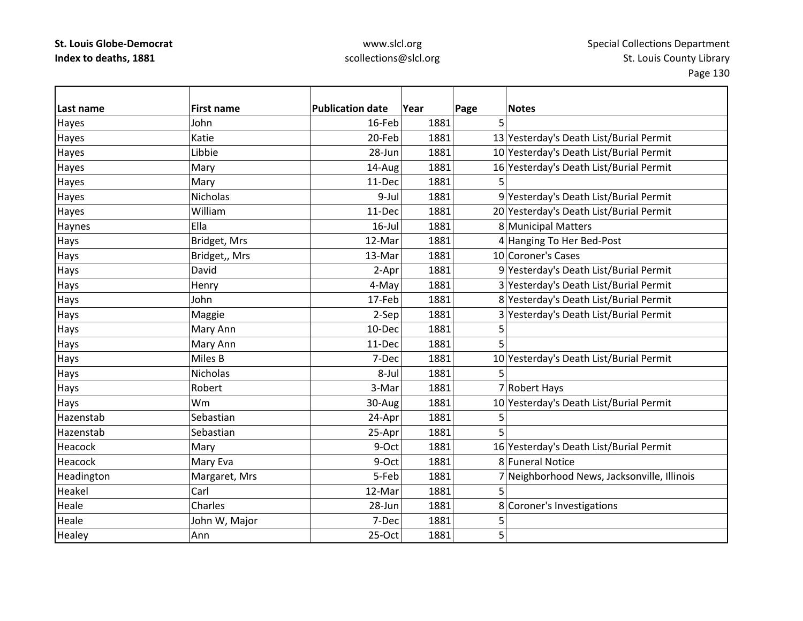| Last name    | <b>First name</b> | <b>Publication date</b> | Year | Page | <b>Notes</b>                                |
|--------------|-------------------|-------------------------|------|------|---------------------------------------------|
| <b>Hayes</b> | John              | 16-Feb                  | 1881 | 5    |                                             |
| Hayes        | Katie             | 20-Feb                  | 1881 |      | 13 Yesterday's Death List/Burial Permit     |
| Hayes        | Libbie            | 28-Jun                  | 1881 |      | 10 Yesterday's Death List/Burial Permit     |
| Hayes        | Mary              | 14-Aug                  | 1881 |      | 16 Yesterday's Death List/Burial Permit     |
| Hayes        | Mary              | 11-Dec                  | 1881 |      |                                             |
| Hayes        | Nicholas          | 9-Jul                   | 1881 |      | 9 Yesterday's Death List/Burial Permit      |
| Hayes        | William           | 11-Dec                  | 1881 |      | 20 Yesterday's Death List/Burial Permit     |
| Haynes       | Ella              | $16$ -Jul               | 1881 |      | 8 Municipal Matters                         |
| Hays         | Bridget, Mrs      | 12-Mar                  | 1881 |      | 4 Hanging To Her Bed-Post                   |
| Hays         | Bridget,, Mrs     | 13-Mar                  | 1881 |      | 10 Coroner's Cases                          |
| Hays         | David             | 2-Apr                   | 1881 |      | 9 Yesterday's Death List/Burial Permit      |
| Hays         | Henry             | 4-May                   | 1881 |      | 3 Yesterday's Death List/Burial Permit      |
| Hays         | John              | 17-Feb                  | 1881 |      | 8 Yesterday's Death List/Burial Permit      |
| Hays         | Maggie            | 2-Sep                   | 1881 |      | 3 Yesterday's Death List/Burial Permit      |
| Hays         | Mary Ann          | 10-Dec                  | 1881 | 5    |                                             |
| Hays         | Mary Ann          | 11-Dec                  | 1881 | 5    |                                             |
| Hays         | Miles B           | 7-Dec                   | 1881 |      | 10 Yesterday's Death List/Burial Permit     |
| Hays         | Nicholas          | 8-Jul                   | 1881 | 5    |                                             |
| Hays         | Robert            | 3-Mar                   | 1881 |      | 7 Robert Hays                               |
| Hays         | Wm                | 30-Aug                  | 1881 |      | 10 Yesterday's Death List/Burial Permit     |
| Hazenstab    | Sebastian         | 24-Apr                  | 1881 | 5    |                                             |
| Hazenstab    | Sebastian         | 25-Apr                  | 1881 | 5    |                                             |
| Heacock      | Mary              | 9-Oct                   | 1881 |      | 16 Yesterday's Death List/Burial Permit     |
| Heacock      | Mary Eva          | 9-Oct                   | 1881 |      | 8 Funeral Notice                            |
| Headington   | Margaret, Mrs     | 5-Feb                   | 1881 |      | 7 Neighborhood News, Jacksonville, Illinois |
| Heakel       | Carl              | 12-Mar                  | 1881 | 5    |                                             |
| Heale        | Charles           | 28-Jun                  | 1881 |      | 8 Coroner's Investigations                  |
| Heale        | John W, Major     | 7-Dec                   | 1881 | 5    |                                             |
| Healey       | Ann               | 25-Oct                  | 1881 | 5    |                                             |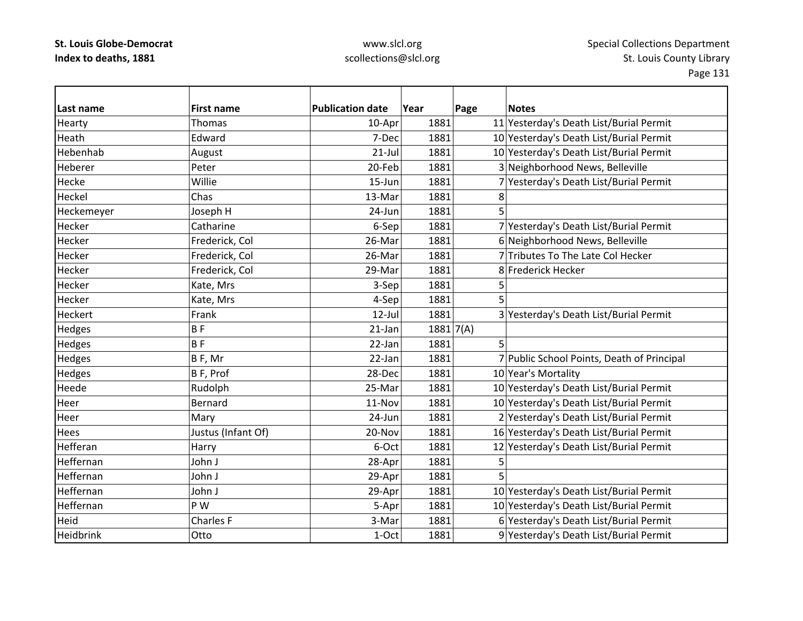### www.slcl.org scollections@slcl.org

**Last name First name Publication date Year Page Notes** Hearty Thomas 10-Apr 1881 11 Yesterday's Death List/Burial Permit 16-Apr 1881 HeathEdward 1981 1881 10 Yesterday's Death List/Burial Permit HebenhabAugust 1881 1881 10 Yesterday's Death List/Burial Permit HebererPeter 20‐Feb 1881 3 Neighborhood News, Belleville HeckeWillie 15‐Jun 1881 7 Yesterday's Death List/Burial Permit Heckel Chas13-Mar 1881  $\bf 8$ Heckemeyer Joseph H 24-Jun 1881 5 Hecker**Catharine** 6-Sep 1881 7 Yesterday's Death List/Burial Permit HeckerFrederick, Col 26‐Mar 1881 6 Neighborhood News, Belleville HeckerFrederick, Col 26-Mar 1881 7 Tributes To The Late Col Hecker HeckerFrederick, Col 29-Mar 1881 8 Frederick Hecker HeckerKate, Mrs  $3-Sep$  1881 5 Heckerr |Kate, Mrs | 4-Sep| 1881| 5 **Heckert**  Frank12-Jul 1881 3 Yesterday's Death List/Burial Permit Hedges  $\begin{vmatrix} B & \cdot & \cdot \\ \cdot & \cdot & \cdot \\ \cdot & \cdot & \cdot \end{vmatrix}$  21-Jan 1881 7(A) Hedges B F 22‐Jan 1881 5 Hedges B F, Mr 22-Jan 1881 7 Public School Points, Death of Principal Hedges B F, Prof 28-Dec 1881 10 Year's Mortality HeedeRudolph 25-Mar 1881 1881 10 Yesterday's Death List/Burial Permit Heer Bernard11-Nov 1881 10 Yesterday's Death List/Burial Permit HeerMary 24‐Jun 1881 24‐Jun 2881 2 Yesterday's Death List/Burial Permit **Hees** Justus (Infant Of) 10 1881 1881 16 Yesterday's Death List/Burial Permit HefferanHarry **6**–Oct 1881 12 Yesterday's Death List/Burial Permit Heffernan John J 28‐Apr 1881 5 Heffernann 29-Apr 1881 5 HeffernanJohn J 29-Apr 1881 10 Yesterday's Death List/Burial Permit HeffernanP W The S-Apr  $\vert$  5-Apr  $\vert$  1881 10 Yesterday's Death List/Burial Permit HeidCharles F **1881** 3-Mar 1881 6 Yesterday's Death List/Burial Permit Heidbrink**Otto** 1-Oct 1881 9 Yesterday's Death List/Burial Permit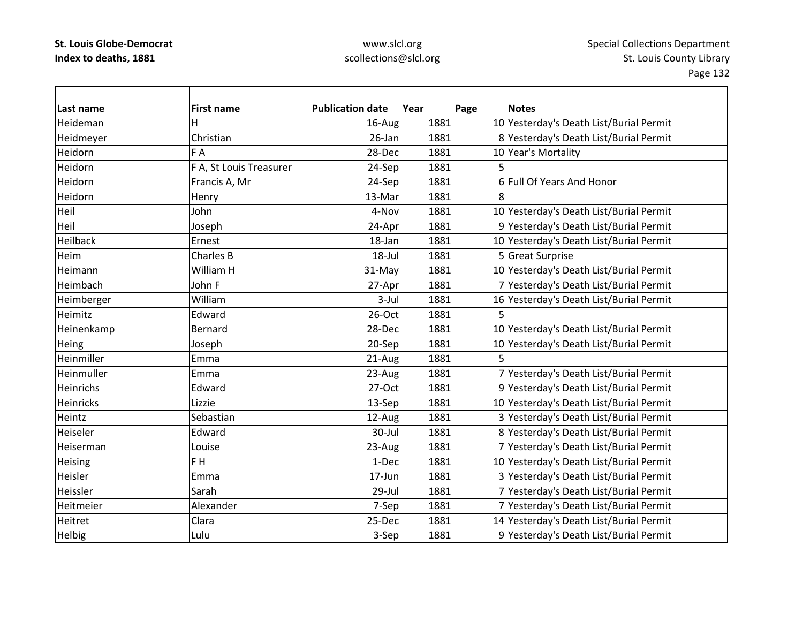| Last name  | <b>First name</b>       | <b>Publication date</b> | Year | Page | <b>Notes</b>                            |
|------------|-------------------------|-------------------------|------|------|-----------------------------------------|
| Heideman   | н                       | 16-Aug                  | 1881 |      | 10 Yesterday's Death List/Burial Permit |
| Heidmeyer  | Christian               | $26$ -Jan               | 1881 |      | 8 Yesterday's Death List/Burial Permit  |
| Heidorn    | F A                     | 28-Dec                  | 1881 |      | 10 Year's Mortality                     |
| Heidorn    | F A, St Louis Treasurer | 24-Sep                  | 1881 | 5    |                                         |
| Heidorn    | Francis A, Mr           | 24-Sep                  | 1881 |      | 6 Full Of Years And Honor               |
| Heidorn    | Henry                   | 13-Mar                  | 1881 | 8    |                                         |
| Heil       | John                    | 4-Nov                   | 1881 |      | 10 Yesterday's Death List/Burial Permit |
| Heil       | Joseph                  | 24-Apr                  | 1881 |      | 9 Yesterday's Death List/Burial Permit  |
| Heilback   | Ernest                  | 18-Jan                  | 1881 |      | 10 Yesterday's Death List/Burial Permit |
| Heim       | Charles B               | 18-Jul                  | 1881 |      | 5 Great Surprise                        |
| Heimann    | William H               | 31-May                  | 1881 |      | 10 Yesterday's Death List/Burial Permit |
| Heimbach   | John F                  | 27-Apr                  | 1881 |      | 7 Yesterday's Death List/Burial Permit  |
| Heimberger | William                 | $3$ -Jul                | 1881 |      | 16 Yesterday's Death List/Burial Permit |
| Heimitz    | Edward                  | 26-Oct                  | 1881 |      |                                         |
| Heinenkamp | <b>Bernard</b>          | 28-Dec                  | 1881 |      | 10 Yesterday's Death List/Burial Permit |
| Heing      | Joseph                  | 20-Sep                  | 1881 |      | 10 Yesterday's Death List/Burial Permit |
| Heinmiller | Emma                    | 21-Aug                  | 1881 | 5    |                                         |
| Heinmuller | Emma                    | 23-Aug                  | 1881 |      | 7 Yesterday's Death List/Burial Permit  |
| Heinrichs  | Edward                  | $27-Oct$                | 1881 |      | 9 Yesterday's Death List/Burial Permit  |
| Heinricks  | Lizzie                  | 13-Sep                  | 1881 |      | 10 Yesterday's Death List/Burial Permit |
| Heintz     | Sebastian               | 12-Aug                  | 1881 |      | 3 Yesterday's Death List/Burial Permit  |
| Heiseler   | Edward                  | 30-Jul                  | 1881 |      | 8 Yesterday's Death List/Burial Permit  |
| Heiserman  | Louise                  | 23-Aug                  | 1881 |      | 7 Yesterday's Death List/Burial Permit  |
| Heising    | F <sub>H</sub>          | 1-Dec                   | 1881 |      | 10 Yesterday's Death List/Burial Permit |
| Heisler    | Emma                    | 17-Jun                  | 1881 |      | 3 Yesterday's Death List/Burial Permit  |
| Heissler   | Sarah                   | 29-Jul                  | 1881 |      | 7 Yesterday's Death List/Burial Permit  |
| Heitmeier  | Alexander               | 7-Sep                   | 1881 |      | 7 Yesterday's Death List/Burial Permit  |
| Heitret    | Clara                   | 25-Dec                  | 1881 |      | 14 Yesterday's Death List/Burial Permit |
| Helbig     | Lulu                    | 3-Sep                   | 1881 |      | 9 Yesterday's Death List/Burial Permit  |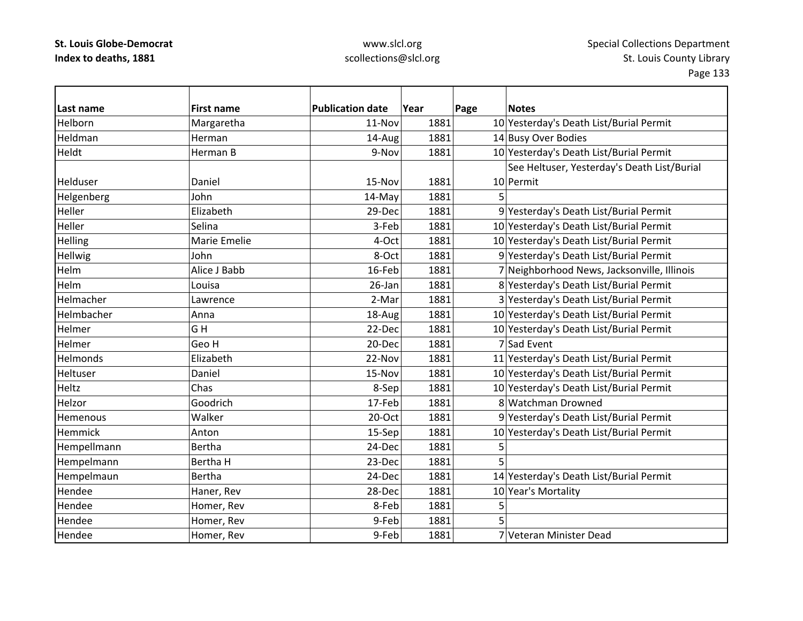| Last name       | <b>First name</b> | <b>Publication date</b> | Year | <b>Notes</b><br>Page                        |
|-----------------|-------------------|-------------------------|------|---------------------------------------------|
| Helborn         | Margaretha        | 11-Nov                  | 1881 | 10 Yesterday's Death List/Burial Permit     |
| Heldman         | Herman            | 14-Aug                  | 1881 | 14 Busy Over Bodies                         |
| Heldt           | Herman B          | 9-Nov                   | 1881 | 10 Yesterday's Death List/Burial Permit     |
|                 |                   |                         |      | See Heltuser, Yesterday's Death List/Burial |
| Helduser        | Daniel            | 15-Nov                  | 1881 | 10 Permit                                   |
| Helgenberg      | John              | 14-May                  | 1881 | 5                                           |
| Heller          | Elizabeth         | 29-Dec                  | 1881 | 9 Yesterday's Death List/Burial Permit      |
| Heller          | Selina            | 3-Feb                   | 1881 | 10 Yesterday's Death List/Burial Permit     |
| Helling         | Marie Emelie      | 4-Oct                   | 1881 | 10 Yesterday's Death List/Burial Permit     |
| Hellwig         | John              | 8-Oct                   | 1881 | 9 Yesterday's Death List/Burial Permit      |
| Helm            | Alice J Babb      | 16-Feb                  | 1881 | 7 Neighborhood News, Jacksonville, Illinois |
| Helm            | Louisa            | 26-Jan                  | 1881 | 8 Yesterday's Death List/Burial Permit      |
| Helmacher       | Lawrence          | 2-Mar                   | 1881 | 3 Yesterday's Death List/Burial Permit      |
| Helmbacher      | Anna              | 18-Aug                  | 1881 | 10 Yesterday's Death List/Burial Permit     |
| Helmer          | GH                | 22-Dec                  | 1881 | 10 Yesterday's Death List/Burial Permit     |
| Helmer          | Geo H             | 20-Dec                  | 1881 | 7 Sad Event                                 |
| <b>Helmonds</b> | Elizabeth         | 22-Nov                  | 1881 | 11 Yesterday's Death List/Burial Permit     |
| Heltuser        | Daniel            | 15-Nov                  | 1881 | 10 Yesterday's Death List/Burial Permit     |
| Heltz           | Chas              | 8-Sep                   | 1881 | 10 Yesterday's Death List/Burial Permit     |
| Helzor          | Goodrich          | 17-Feb                  | 1881 | 8 Watchman Drowned                          |
| Hemenous        | Walker            | 20-Oct                  | 1881 | 9 Yesterday's Death List/Burial Permit      |
| Hemmick         | Anton             | 15-Sep                  | 1881 | 10 Yesterday's Death List/Burial Permit     |
| Hempellmann     | Bertha            | 24-Dec                  | 1881 | 5                                           |
| Hempelmann      | Bertha H          | 23-Dec                  | 1881 | 5                                           |
| Hempelmaun      | <b>Bertha</b>     | 24-Dec                  | 1881 | 14 Yesterday's Death List/Burial Permit     |
| Hendee          | Haner, Rev        | 28-Dec                  | 1881 | 10 Year's Mortality                         |
| Hendee          | Homer, Rev        | 8-Feb                   | 1881 | 5                                           |
| Hendee          | Homer, Rev        | 9-Feb                   | 1881 | 5                                           |
| Hendee          | Homer, Rev        | 9-Feb                   | 1881 | 7 Veteran Minister Dead                     |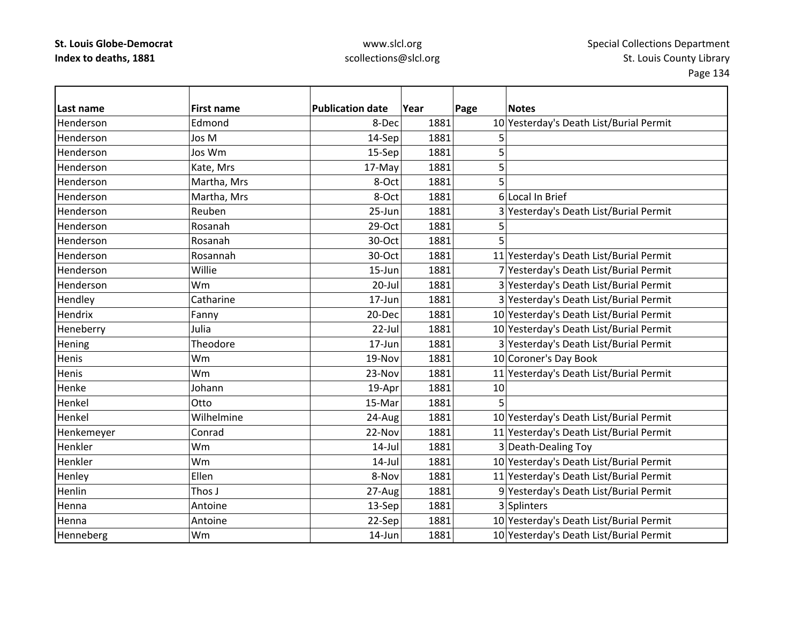| Last name  | <b>First name</b> | <b>Publication date</b> | Year | Page | <b>Notes</b>                            |
|------------|-------------------|-------------------------|------|------|-----------------------------------------|
| Henderson  | Edmond            | 8-Dec                   | 1881 |      | 10 Yesterday's Death List/Burial Permit |
| Henderson  | Jos M             | 14-Sep                  | 1881 | 5    |                                         |
| Henderson  | Jos Wm            | 15-Sep                  | 1881 | 5    |                                         |
| Henderson  | Kate, Mrs         | 17-May                  | 1881 | 5    |                                         |
| Henderson  | Martha, Mrs       | 8-Oct                   | 1881 | 5    |                                         |
| Henderson  | Martha, Mrs       | 8-Oct                   | 1881 |      | 6 Local In Brief                        |
| Henderson  | Reuben            | 25-Jun                  | 1881 |      | 3 Yesterday's Death List/Burial Permit  |
| Henderson  | Rosanah           | 29-Oct                  | 1881 | 5    |                                         |
| Henderson  | Rosanah           | 30-Oct                  | 1881 | 5    |                                         |
| Henderson  | Rosannah          | 30-Oct                  | 1881 |      | 11 Yesterday's Death List/Burial Permit |
| Henderson  | Willie            | 15-Jun                  | 1881 |      | 7 Yesterday's Death List/Burial Permit  |
| Henderson  | Wm                | $20 -$ Jul              | 1881 |      | 3 Yesterday's Death List/Burial Permit  |
| Hendley    | Catharine         | 17-Jun                  | 1881 |      | 3 Yesterday's Death List/Burial Permit  |
| Hendrix    | Fanny             | 20-Dec                  | 1881 |      | 10 Yesterday's Death List/Burial Permit |
| Heneberry  | Julia             | 22-Jul                  | 1881 |      | 10 Yesterday's Death List/Burial Permit |
| Hening     | Theodore          | 17-Jun                  | 1881 |      | 3 Yesterday's Death List/Burial Permit  |
| Henis      | Wm                | 19-Nov                  | 1881 |      | 10 Coroner's Day Book                   |
| Henis      | Wm                | 23-Nov                  | 1881 |      | 11 Yesterday's Death List/Burial Permit |
| Henke      | Johann            | 19-Apr                  | 1881 | 10   |                                         |
| Henkel     | Otto              | 15-Mar                  | 1881 |      |                                         |
| Henkel     | Wilhelmine        | 24-Aug                  | 1881 |      | 10 Yesterday's Death List/Burial Permit |
| Henkemeyer | Conrad            | 22-Nov                  | 1881 |      | 11 Yesterday's Death List/Burial Permit |
| Henkler    | Wm                | $14$ -Jul               | 1881 |      | 3 Death-Dealing Toy                     |
| Henkler    | Wm                | $14$ -Jul               | 1881 |      | 10 Yesterday's Death List/Burial Permit |
| Henley     | Ellen             | 8-Nov                   | 1881 |      | 11 Yesterday's Death List/Burial Permit |
| Henlin     | Thos J            | 27-Aug                  | 1881 |      | 9 Yesterday's Death List/Burial Permit  |
| Henna      | Antoine           | 13-Sep                  | 1881 |      | 3 Splinters                             |
| Henna      | Antoine           | 22-Sep                  | 1881 |      | 10 Yesterday's Death List/Burial Permit |
| Henneberg  | Wm                | $14$ -Jun               | 1881 |      | 10 Yesterday's Death List/Burial Permit |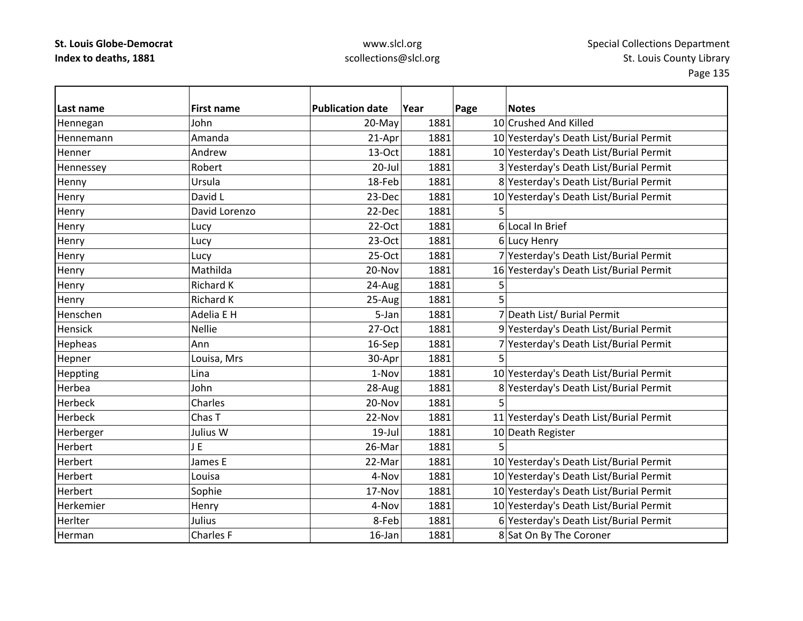| Last name      | <b>First name</b> | <b>Publication date</b> | Year | Page | <b>Notes</b>                            |
|----------------|-------------------|-------------------------|------|------|-----------------------------------------|
| Hennegan       | John              | 20-May                  | 1881 |      | 10 Crushed And Killed                   |
| Hennemann      | Amanda            | 21-Apr                  | 1881 |      | 10 Yesterday's Death List/Burial Permit |
| Henner         | Andrew            | 13-Oct                  | 1881 |      | 10 Yesterday's Death List/Burial Permit |
| Hennessey      | Robert            | $20 -$ Jul              | 1881 |      | 3 Yesterday's Death List/Burial Permit  |
| Henny          | Ursula            | 18-Feb                  | 1881 |      | 8 Yesterday's Death List/Burial Permit  |
| Henry          | David L           | 23-Dec                  | 1881 |      | 10 Yesterday's Death List/Burial Permit |
| Henry          | David Lorenzo     | 22-Dec                  | 1881 | 5    |                                         |
| Henry          | Lucy              | 22-Oct                  | 1881 |      | 6 Local In Brief                        |
| Henry          | Lucy              | 23-Oct                  | 1881 |      | 6 Lucy Henry                            |
| Henry          | Lucy              | 25-Oct                  | 1881 |      | 7 Yesterday's Death List/Burial Permit  |
| Henry          | Mathilda          | 20-Nov                  | 1881 |      | 16 Yesterday's Death List/Burial Permit |
| Henry          | Richard K         | 24-Aug                  | 1881 | 5    |                                         |
| Henry          | Richard K         | 25-Aug                  | 1881 |      |                                         |
| Henschen       | Adelia E H        | 5-Jan                   | 1881 |      | 7 Death List/ Burial Permit             |
| Hensick        | <b>Nellie</b>     | 27-Oct                  | 1881 |      | 9 Yesterday's Death List/Burial Permit  |
| Hepheas        | Ann               | 16-Sep                  | 1881 |      | 7 Yesterday's Death List/Burial Permit  |
| Hepner         | Louisa, Mrs       | 30-Apr                  | 1881 | 5    |                                         |
| Heppting       | Lina              | 1-Nov                   | 1881 |      | 10 Yesterday's Death List/Burial Permit |
| Herbea         | John              | 28-Aug                  | 1881 |      | 8 Yesterday's Death List/Burial Permit  |
| Herbeck        | Charles           | 20-Nov                  | 1881 | 5    |                                         |
| Herbeck        | Chas T            | 22-Nov                  | 1881 |      | 11 Yesterday's Death List/Burial Permit |
| Herberger      | Julius W          | $19$ -Jul               | 1881 |      | 10 Death Register                       |
| Herbert        | JE                | 26-Mar                  | 1881 |      |                                         |
| Herbert        | James E           | 22-Mar                  | 1881 |      | 10 Yesterday's Death List/Burial Permit |
| Herbert        | Louisa            | 4-Nov                   | 1881 |      | 10 Yesterday's Death List/Burial Permit |
| <b>Herbert</b> | Sophie            | 17-Nov                  | 1881 |      | 10 Yesterday's Death List/Burial Permit |
| Herkemier      | Henry             | 4-Nov                   | 1881 |      | 10 Yesterday's Death List/Burial Permit |
| Herlter        | Julius            | 8-Feb                   | 1881 |      | 6 Yesterday's Death List/Burial Permit  |
| Herman         | Charles F         | 16-Jan                  | 1881 |      | 8 Sat On By The Coroner                 |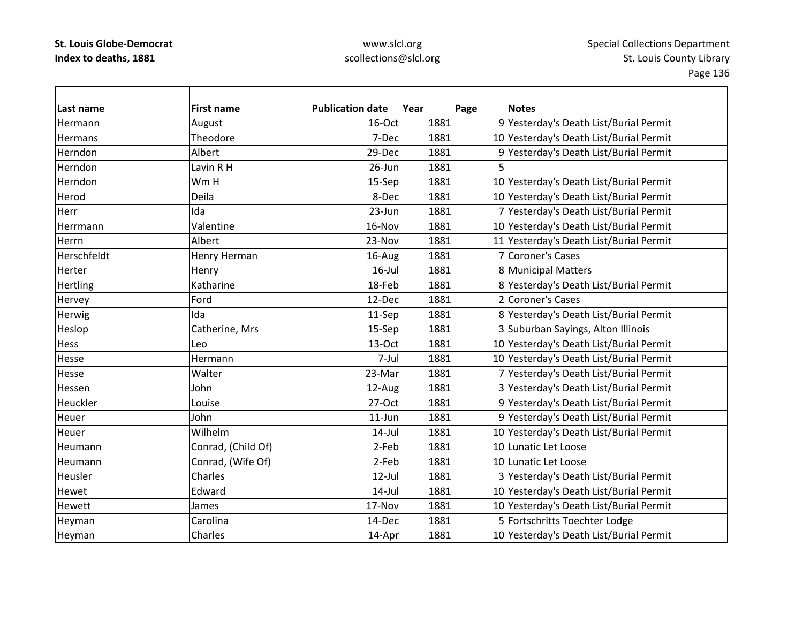| Last name       | <b>First name</b>  | <b>Publication date</b> | Year | Page | <b>Notes</b>                            |
|-----------------|--------------------|-------------------------|------|------|-----------------------------------------|
| Hermann         | August             | 16-Oct                  | 1881 |      | 9 Yesterday's Death List/Burial Permit  |
| <b>Hermans</b>  | Theodore           | 7-Dec                   | 1881 |      | 10 Yesterday's Death List/Burial Permit |
| Herndon         | Albert             | 29-Dec                  | 1881 |      | 9 Yesterday's Death List/Burial Permit  |
| Herndon         | Lavin R H          | 26-Jun                  | 1881 | 5    |                                         |
| Herndon         | Wm H               | 15-Sep                  | 1881 |      | 10 Yesterday's Death List/Burial Permit |
| Herod           | Deila              | 8-Dec                   | 1881 |      | 10 Yesterday's Death List/Burial Permit |
| Herr            | Ida                | 23-Jun                  | 1881 |      | 7 Yesterday's Death List/Burial Permit  |
| Herrmann        | Valentine          | 16-Nov                  | 1881 |      | 10 Yesterday's Death List/Burial Permit |
| Herrn           | Albert             | 23-Nov                  | 1881 |      | 11 Yesterday's Death List/Burial Permit |
| Herschfeldt     | Henry Herman       | 16-Aug                  | 1881 |      | 7 Coroner's Cases                       |
| Herter          | Henry              | $16$ -Jul               | 1881 |      | 8 Municipal Matters                     |
| <b>Hertling</b> | Katharine          | 18-Feb                  | 1881 |      | 8 Yesterday's Death List/Burial Permit  |
| Hervey          | Ford               | 12-Dec                  | 1881 |      | 2 Coroner's Cases                       |
| Herwig          | Ida                | 11-Sep                  | 1881 |      | 8 Yesterday's Death List/Burial Permit  |
| Heslop          | Catherine, Mrs     | 15-Sep                  | 1881 |      | 3 Suburban Sayings, Alton Illinois      |
| Hess            | Leo                | 13-Oct                  | 1881 |      | 10 Yesterday's Death List/Burial Permit |
| Hesse           | Hermann            | 7-Jul                   | 1881 |      | 10 Yesterday's Death List/Burial Permit |
| Hesse           | Walter             | 23-Mar                  | 1881 |      | 7 Yesterday's Death List/Burial Permit  |
| Hessen          | John               | 12-Aug                  | 1881 |      | 3 Yesterday's Death List/Burial Permit  |
| Heuckler        | Louise             | 27-Oct                  | 1881 |      | 9 Yesterday's Death List/Burial Permit  |
| Heuer           | John               | $11$ -Jun               | 1881 |      | 9 Yesterday's Death List/Burial Permit  |
| Heuer           | Wilhelm            | $14$ -Jul               | 1881 |      | 10 Yesterday's Death List/Burial Permit |
| Heumann         | Conrad, (Child Of) | 2-Feb                   | 1881 |      | 10 Lunatic Let Loose                    |
| Heumann         | Conrad, (Wife Of)  | 2-Feb                   | 1881 |      | 10 Lunatic Let Loose                    |
| Heusler         | Charles            | $12$ -Jul               | 1881 |      | 3 Yesterday's Death List/Burial Permit  |
| Hewet           | Edward             | $14$ -Jul               | 1881 |      | 10 Yesterday's Death List/Burial Permit |
| Hewett          | James              | 17-Nov                  | 1881 |      | 10 Yesterday's Death List/Burial Permit |
| Heyman          | Carolina           | 14-Dec                  | 1881 |      | 5 Fortschritts Toechter Lodge           |
| Heyman          | Charles            | 14-Apr                  | 1881 |      | 10 Yesterday's Death List/Burial Permit |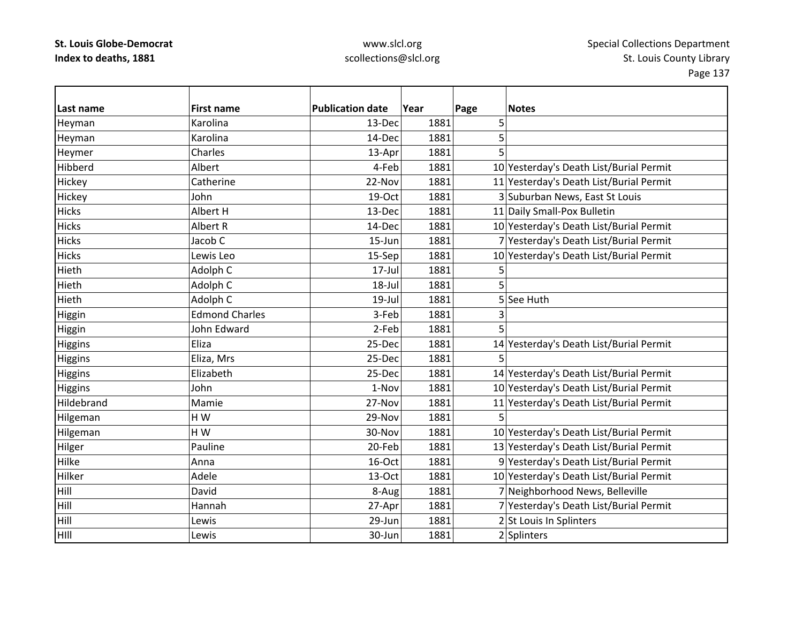### www.slcl.org scollections@slcl.org

 $\overline{\phantom{0}}$ 

| Last name    | <b>First name</b>     | <b>Publication date</b> | Year | Page | <b>Notes</b>                            |
|--------------|-----------------------|-------------------------|------|------|-----------------------------------------|
| Heyman       | Karolina              | 13-Dec                  | 1881 | 5    |                                         |
| Heyman       | Karolina              | 14-Dec                  | 1881 | 5    |                                         |
| Heymer       | Charles               | 13-Apr                  | 1881 | 5    |                                         |
| Hibberd      | Albert                | 4-Feb                   | 1881 |      | 10 Yesterday's Death List/Burial Permit |
| Hickey       | Catherine             | 22-Nov                  | 1881 |      | 11 Yesterday's Death List/Burial Permit |
| Hickey       | John                  | 19-Oct                  | 1881 |      | 3 Suburban News, East St Louis          |
| <b>Hicks</b> | Albert H              | 13-Dec                  | 1881 |      | 11 Daily Small-Pox Bulletin             |
| <b>Hicks</b> | Albert R              | 14-Dec                  | 1881 |      | 10 Yesterday's Death List/Burial Permit |
| <b>Hicks</b> | Jacob C               | 15-Jun                  | 1881 |      | 7 Yesterday's Death List/Burial Permit  |
| <b>Hicks</b> | Lewis Leo             | 15-Sep                  | 1881 |      | 10 Yesterday's Death List/Burial Permit |
| Hieth        | Adolph C              | $17 -$ Jul              | 1881 | 5    |                                         |
| Hieth        | Adolph C              | 18-Jul                  | 1881 | 5    |                                         |
| Hieth        | Adolph C              | $19$ -Jul               | 1881 |      | 5 See Huth                              |
| Higgin       | <b>Edmond Charles</b> | 3-Feb                   | 1881 | 3    |                                         |
| Higgin       | John Edward           | 2-Feb                   | 1881 | 5    |                                         |
| Higgins      | Eliza                 | 25-Dec                  | 1881 |      | 14 Yesterday's Death List/Burial Permit |
| Higgins      | Eliza, Mrs            | 25-Dec                  | 1881 | 5    |                                         |
| Higgins      | Elizabeth             | 25-Dec                  | 1881 |      | 14 Yesterday's Death List/Burial Permit |
| Higgins      | John                  | 1-Nov                   | 1881 |      | 10 Yesterday's Death List/Burial Permit |
| Hildebrand   | Mamie                 | 27-Nov                  | 1881 |      | 11 Yesterday's Death List/Burial Permit |
| Hilgeman     | HW                    | 29-Nov                  | 1881 | 5    |                                         |
| Hilgeman     | HW                    | 30-Nov                  | 1881 |      | 10 Yesterday's Death List/Burial Permit |
| Hilger       | Pauline               | 20-Feb                  | 1881 |      | 13 Yesterday's Death List/Burial Permit |
| Hilke        | Anna                  | 16-Oct                  | 1881 |      | 9 Yesterday's Death List/Burial Permit  |
| Hilker       | Adele                 | 13-Oct                  | 1881 |      | 10 Yesterday's Death List/Burial Permit |
| Hill         | David                 | 8-Aug                   | 1881 |      | 7 Neighborhood News, Belleville         |
| Hill         | Hannah                | 27-Apr                  | 1881 |      | 7 Yesterday's Death List/Burial Permit  |
| Hill         | Lewis                 | 29-Jun                  | 1881 |      | 2 St Louis In Splinters                 |
| HIII         | Lewis                 | 30-Jun                  | 1881 |      | 2 Splinters                             |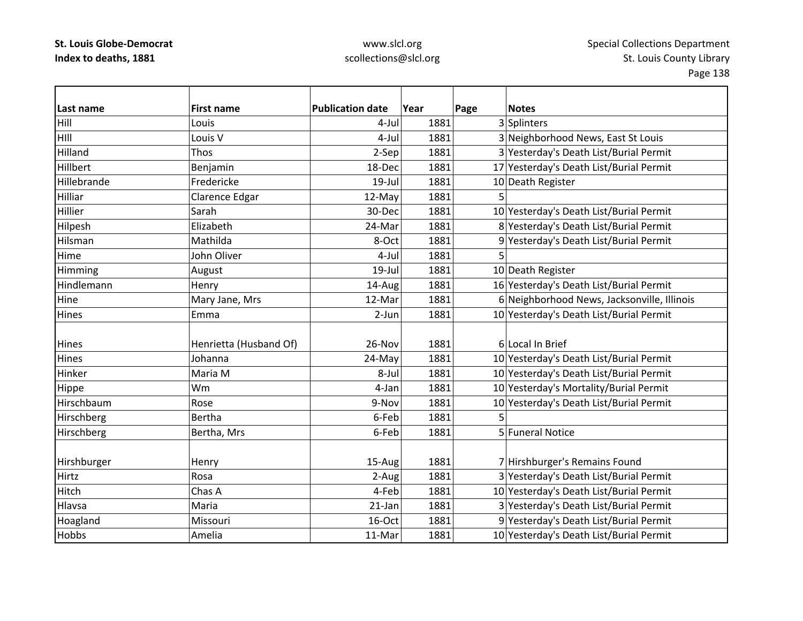| Last name    | <b>First name</b>      | <b>Publication date</b> | Year | Page | <b>Notes</b>                                |
|--------------|------------------------|-------------------------|------|------|---------------------------------------------|
| Hill         | Louis                  | $4-Jul$                 | 1881 |      | 3 Splinters                                 |
| HIII         | Louis V                | 4-Jul                   | 1881 |      | 3 Neighborhood News, East St Louis          |
| Hilland      | Thos                   | 2-Sep                   | 1881 |      | 3 Yesterday's Death List/Burial Permit      |
| Hillbert     | Benjamin               | 18-Dec                  | 1881 |      | 17 Yesterday's Death List/Burial Permit     |
| Hillebrande  | Fredericke             | 19-Jul                  | 1881 |      | 10 Death Register                           |
| Hilliar      | Clarence Edgar         | 12-May                  | 1881 | 5    |                                             |
| Hillier      | Sarah                  | 30-Dec                  | 1881 |      | 10 Yesterday's Death List/Burial Permit     |
| Hilpesh      | Elizabeth              | 24-Mar                  | 1881 |      | 8 Yesterday's Death List/Burial Permit      |
| Hilsman      | Mathilda               | 8-Oct                   | 1881 |      | 9 Yesterday's Death List/Burial Permit      |
| Hime         | John Oliver            | 4-Jul                   | 1881 | 5    |                                             |
| Himming      | August                 | $19$ -Jul               | 1881 |      | 10 Death Register                           |
| Hindlemann   | Henry                  | 14-Aug                  | 1881 |      | 16 Yesterday's Death List/Burial Permit     |
| Hine         | Mary Jane, Mrs         | 12-Mar                  | 1881 |      | 6 Neighborhood News, Jacksonville, Illinois |
| <b>Hines</b> | Emma                   | 2-Jun                   | 1881 |      | 10 Yesterday's Death List/Burial Permit     |
|              |                        |                         |      |      |                                             |
| <b>Hines</b> | Henrietta (Husband Of) | 26-Nov                  | 1881 |      | 6 Local In Brief                            |
| Hines        | Johanna                | 24-May                  | 1881 |      | 10 Yesterday's Death List/Burial Permit     |
| Hinker       | Maria M                | 8-Jul                   | 1881 |      | 10 Yesterday's Death List/Burial Permit     |
| Hippe        | Wm                     | 4-Jan                   | 1881 |      | 10 Yesterday's Mortality/Burial Permit      |
| Hirschbaum   | Rose                   | 9-Nov                   | 1881 |      | 10 Yesterday's Death List/Burial Permit     |
| Hirschberg   | Bertha                 | 6-Feb                   | 1881 | 5    |                                             |
| Hirschberg   | Bertha, Mrs            | 6-Feb                   | 1881 |      | 5 Funeral Notice                            |
|              |                        |                         |      |      |                                             |
| Hirshburger  | Henry                  | 15-Aug                  | 1881 |      | 7 Hirshburger's Remains Found               |
| Hirtz        | Rosa                   | 2-Aug                   | 1881 |      | 3 Yesterday's Death List/Burial Permit      |
| Hitch        | Chas A                 | 4-Feb                   | 1881 |      | 10 Yesterday's Death List/Burial Permit     |
| Hlavsa       | Maria                  | 21-Jan                  | 1881 |      | 3 Yesterday's Death List/Burial Permit      |
| Hoagland     | Missouri               | 16-Oct                  | 1881 |      | 9 Yesterday's Death List/Burial Permit      |
| Hobbs        | Amelia                 | 11-Mar                  | 1881 |      | 10 Yesterday's Death List/Burial Permit     |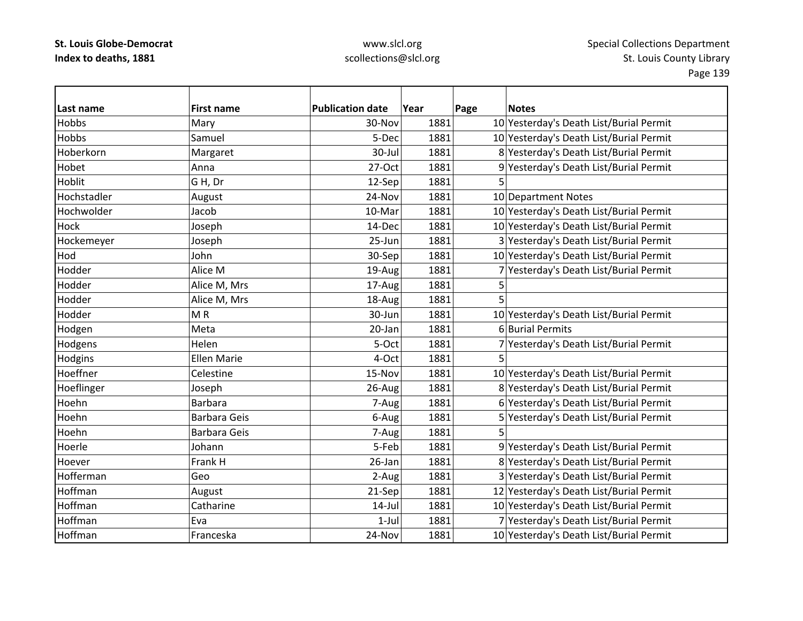### www.slcl.org scollections@slcl.org

 $\overline{\phantom{0}}$ 

| Last name    | <b>First name</b>   | <b>Publication date</b> | Year | Page | <b>Notes</b>                            |
|--------------|---------------------|-------------------------|------|------|-----------------------------------------|
| <b>Hobbs</b> | Mary                | 30-Nov                  | 1881 |      | 10 Yesterday's Death List/Burial Permit |
| <b>Hobbs</b> | Samuel              | 5-Dec                   | 1881 |      | 10 Yesterday's Death List/Burial Permit |
| Hoberkorn    | Margaret            | 30-Jul                  | 1881 |      | 8 Yesterday's Death List/Burial Permit  |
| Hobet        | Anna                | 27-Oct                  | 1881 |      | 9 Yesterday's Death List/Burial Permit  |
| Hoblit       | GH, Dr              | 12-Sep                  | 1881 | 5    |                                         |
| Hochstadler  | August              | 24-Nov                  | 1881 |      | 10 Department Notes                     |
| Hochwolder   | Jacob               | 10-Mar                  | 1881 |      | 10 Yesterday's Death List/Burial Permit |
| Hock         | Joseph              | 14-Dec                  | 1881 |      | 10 Yesterday's Death List/Burial Permit |
| Hockemeyer   | Joseph              | 25-Jun                  | 1881 |      | 3 Yesterday's Death List/Burial Permit  |
| Hod          | John                | 30-Sep                  | 1881 |      | 10 Yesterday's Death List/Burial Permit |
| Hodder       | Alice M             | 19-Aug                  | 1881 |      | 7 Yesterday's Death List/Burial Permit  |
| Hodder       | Alice M, Mrs        | 17-Aug                  | 1881 |      |                                         |
| Hodder       | Alice M, Mrs        | 18-Aug                  | 1881 |      |                                         |
| Hodder       | MR                  | 30-Jun                  | 1881 |      | 10 Yesterday's Death List/Burial Permit |
| Hodgen       | Meta                | 20-Jan                  | 1881 |      | 6 Burial Permits                        |
| Hodgens      | Helen               | 5-Oct                   | 1881 |      | 7 Yesterday's Death List/Burial Permit  |
| Hodgins      | <b>Ellen Marie</b>  | 4-Oct                   | 1881 | 5    |                                         |
| Hoeffner     | Celestine           | 15-Nov                  | 1881 |      | 10 Yesterday's Death List/Burial Permit |
| Hoeflinger   | Joseph              | 26-Aug                  | 1881 |      | 8 Yesterday's Death List/Burial Permit  |
| Hoehn        | <b>Barbara</b>      | 7-Aug                   | 1881 |      | 6 Yesterday's Death List/Burial Permit  |
| Hoehn        | <b>Barbara Geis</b> | 6-Aug                   | 1881 |      | 5 Yesterday's Death List/Burial Permit  |
| Hoehn        | <b>Barbara Geis</b> | 7-Aug                   | 1881 |      |                                         |
| Hoerle       | Johann              | 5-Feb                   | 1881 |      | 9 Yesterday's Death List/Burial Permit  |
| Hoever       | Frank H             | 26-Jan                  | 1881 |      | 8 Yesterday's Death List/Burial Permit  |
| Hofferman    | Geo                 | 2-Aug                   | 1881 |      | 3 Yesterday's Death List/Burial Permit  |
| Hoffman      | August              | 21-Sep                  | 1881 |      | 12 Yesterday's Death List/Burial Permit |
| Hoffman      | Catharine           | $14$ -Jul               | 1881 |      | 10 Yesterday's Death List/Burial Permit |
| Hoffman      | Eva                 | $1-Jul$                 | 1881 |      | 7 Yesterday's Death List/Burial Permit  |
| Hoffman      | Franceska           | 24-Nov                  | 1881 |      | 10 Yesterday's Death List/Burial Permit |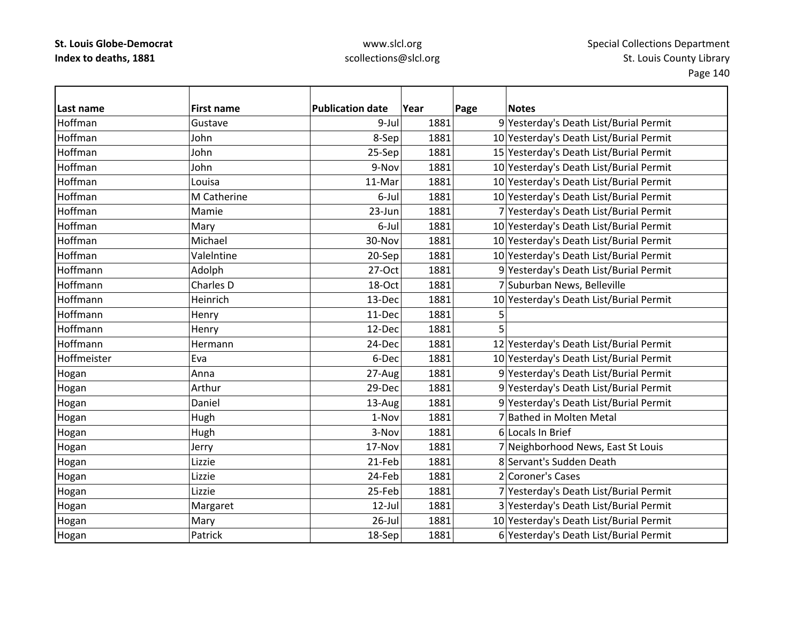### www.slcl.org scollections@slcl.org

 $\overline{\phantom{0}}$ 

| Last name   | <b>First name</b> | <b>Publication date</b> | Year | Page | <b>Notes</b>                            |
|-------------|-------------------|-------------------------|------|------|-----------------------------------------|
| Hoffman     | Gustave           | 9-Jul                   | 1881 |      | 9 Yesterday's Death List/Burial Permit  |
| Hoffman     | John              | 8-Sep                   | 1881 |      | 10 Yesterday's Death List/Burial Permit |
| Hoffman     | John              | 25-Sep                  | 1881 |      | 15 Yesterday's Death List/Burial Permit |
| Hoffman     | John              | 9-Nov                   | 1881 |      | 10 Yesterday's Death List/Burial Permit |
| Hoffman     | Louisa            | 11-Mar                  | 1881 |      | 10 Yesterday's Death List/Burial Permit |
| Hoffman     | M Catherine       | 6-Jul                   | 1881 |      | 10 Yesterday's Death List/Burial Permit |
| Hoffman     | Mamie             | 23-Jun                  | 1881 |      | 7 Yesterday's Death List/Burial Permit  |
| Hoffman     | Mary              | 6-Jul                   | 1881 |      | 10 Yesterday's Death List/Burial Permit |
| Hoffman     | Michael           | 30-Nov                  | 1881 |      | 10 Yesterday's Death List/Burial Permit |
| Hoffman     | ValeIntine        | 20-Sep                  | 1881 |      | 10 Yesterday's Death List/Burial Permit |
| Hoffmann    | Adolph            | 27-Oct                  | 1881 |      | 9 Yesterday's Death List/Burial Permit  |
| Hoffmann    | Charles D         | 18-Oct                  | 1881 |      | 7 Suburban News, Belleville             |
| Hoffmann    | Heinrich          | 13-Dec                  | 1881 |      | 10 Yesterday's Death List/Burial Permit |
| Hoffmann    | Henry             | 11-Dec                  | 1881 |      |                                         |
| Hoffmann    | Henry             | 12-Dec                  | 1881 |      |                                         |
| Hoffmann    | Hermann           | 24-Dec                  | 1881 |      | 12 Yesterday's Death List/Burial Permit |
| Hoffmeister | Eva               | 6-Dec                   | 1881 |      | 10 Yesterday's Death List/Burial Permit |
| Hogan       | Anna              | 27-Aug                  | 1881 |      | 9 Yesterday's Death List/Burial Permit  |
| Hogan       | Arthur            | 29-Dec                  | 1881 |      | 9 Yesterday's Death List/Burial Permit  |
| Hogan       | Daniel            | 13-Aug                  | 1881 |      | 9 Yesterday's Death List/Burial Permit  |
| Hogan       | Hugh              | 1-Nov                   | 1881 |      | 7 Bathed in Molten Metal                |
| Hogan       | Hugh              | 3-Nov                   | 1881 |      | 6 Locals In Brief                       |
| Hogan       | Jerry             | 17-Nov                  | 1881 |      | 7 Neighborhood News, East St Louis      |
| Hogan       | Lizzie            | 21-Feb                  | 1881 |      | 8 Servant's Sudden Death                |
| Hogan       | Lizzie            | 24-Feb                  | 1881 |      | 2 Coroner's Cases                       |
| Hogan       | Lizzie            | 25-Feb                  | 1881 |      | 7 Yesterday's Death List/Burial Permit  |
| Hogan       | Margaret          | $12$ -Jul               | 1881 |      | 3 Yesterday's Death List/Burial Permit  |
| Hogan       | Mary              | $26$ -Jul               | 1881 |      | 10 Yesterday's Death List/Burial Permit |
| Hogan       | Patrick           | 18-Sep                  | 1881 |      | 6 Yesterday's Death List/Burial Permit  |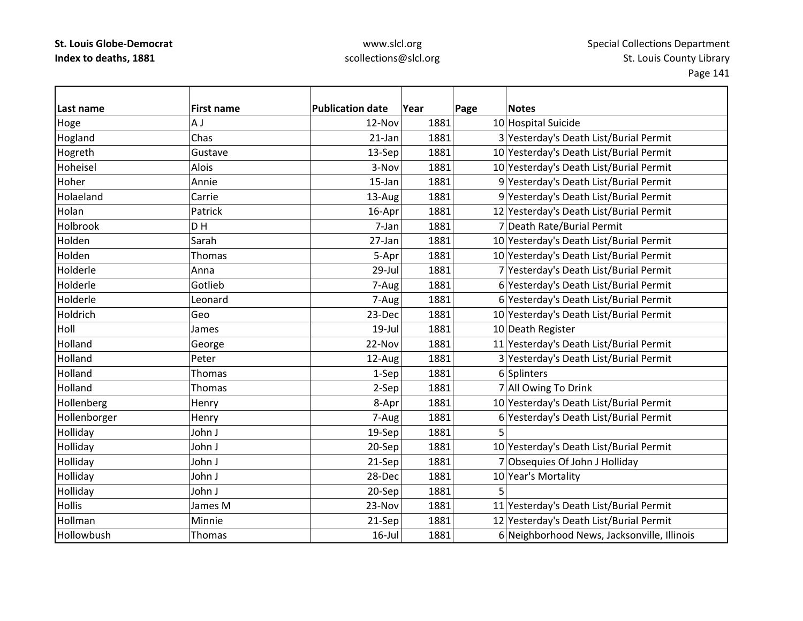| Last name     | <b>First name</b> | <b>Publication date</b> | Year | Page | <b>Notes</b>                                |
|---------------|-------------------|-------------------------|------|------|---------------------------------------------|
| Hoge          | A J               | 12-Nov                  | 1881 |      | 10 Hospital Suicide                         |
| Hogland       | Chas              | $21$ -Jan               | 1881 |      | 3 Yesterday's Death List/Burial Permit      |
| Hogreth       | Gustave           | 13-Sep                  | 1881 |      | 10 Yesterday's Death List/Burial Permit     |
| Hoheisel      | Alois             | 3-Nov                   | 1881 |      | 10 Yesterday's Death List/Burial Permit     |
| Hoher         | Annie             | 15-Jan                  | 1881 |      | 9 Yesterday's Death List/Burial Permit      |
| Holaeland     | Carrie            | 13-Aug                  | 1881 |      | 9 Yesterday's Death List/Burial Permit      |
| Holan         | Patrick           | 16-Apr                  | 1881 |      | 12 Yesterday's Death List/Burial Permit     |
| Holbrook      | DH                | 7-Jan                   | 1881 |      | 7 Death Rate/Burial Permit                  |
| Holden        | Sarah             | 27-Jan                  | 1881 |      | 10 Yesterday's Death List/Burial Permit     |
| Holden        | Thomas            | 5-Apr                   | 1881 |      | 10 Yesterday's Death List/Burial Permit     |
| Holderle      | Anna              | 29-Jul                  | 1881 |      | 7 Yesterday's Death List/Burial Permit      |
| Holderle      | Gotlieb           | 7-Aug                   | 1881 |      | 6 Yesterday's Death List/Burial Permit      |
| Holderle      | Leonard           | 7-Augl                  | 1881 |      | 6 Yesterday's Death List/Burial Permit      |
| Holdrich      | Geo               | 23-Dec                  | 1881 |      | 10 Yesterday's Death List/Burial Permit     |
| Holl          | James             | $19$ -Jul               | 1881 |      | 10 Death Register                           |
| Holland       | George            | 22-Nov                  | 1881 |      | 11 Yesterday's Death List/Burial Permit     |
| Holland       | Peter             | 12-Aug                  | 1881 |      | 3 Yesterday's Death List/Burial Permit      |
| Holland       | Thomas            | 1-Sep                   | 1881 |      | 6 Splinters                                 |
| Holland       | Thomas            | 2-Sep                   | 1881 |      | 7 All Owing To Drink                        |
| Hollenberg    | Henry             | 8-Apr                   | 1881 |      | 10 Yesterday's Death List/Burial Permit     |
| Hollenborger  | Henry             | 7-Aug                   | 1881 |      | 6 Yesterday's Death List/Burial Permit      |
| Holliday      | John J            | 19-Sep                  | 1881 | 5    |                                             |
| Holliday      | John J            | 20-Sep                  | 1881 |      | 10 Yesterday's Death List/Burial Permit     |
| Holliday      | John J            | 21-Sep                  | 1881 |      | 7 Obsequies Of John J Holliday              |
| Holliday      | John J            | 28-Dec                  | 1881 |      | 10 Year's Mortality                         |
| Holliday      | John J            | 20-Sep                  | 1881 | 5    |                                             |
| <b>Hollis</b> | James M           | 23-Nov                  | 1881 |      | 11 Yesterday's Death List/Burial Permit     |
| Hollman       | Minnie            | 21-Sep                  | 1881 |      | 12 Yesterday's Death List/Burial Permit     |
| Hollowbush    | Thomas            | $16$ -Jul               | 1881 |      | 6 Neighborhood News, Jacksonville, Illinois |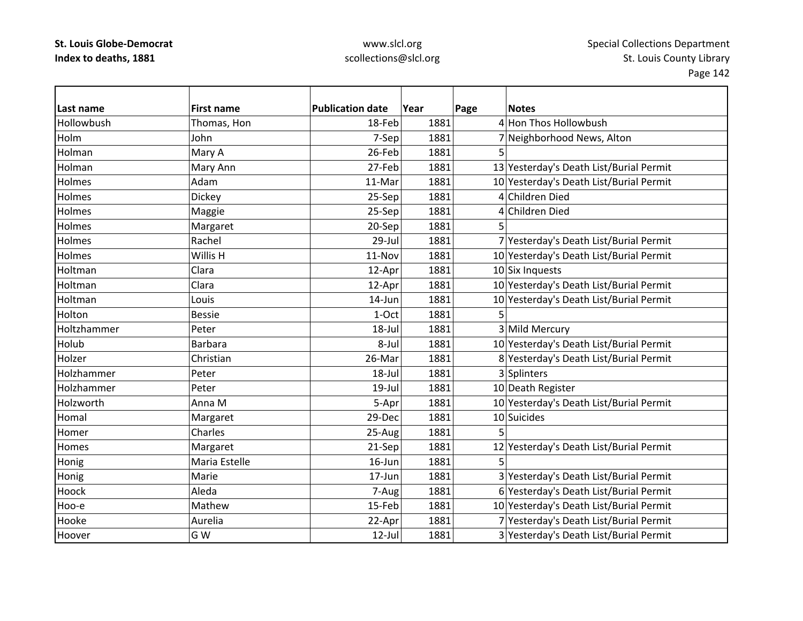| Last name   | <b>First name</b> | <b>Publication date</b> | Year | Page | <b>Notes</b>                            |
|-------------|-------------------|-------------------------|------|------|-----------------------------------------|
| Hollowbush  | Thomas, Hon       | 18-Feb                  | 1881 |      | 4 Hon Thos Hollowbush                   |
| Holm        | John              | 7-Sep                   | 1881 |      | 7 Neighborhood News, Alton              |
| Holman      | Mary A            | 26-Feb                  | 1881 | 5    |                                         |
| Holman      | Mary Ann          | 27-Feb                  | 1881 |      | 13 Yesterday's Death List/Burial Permit |
| Holmes      | Adam              | 11-Mar                  | 1881 |      | 10 Yesterday's Death List/Burial Permit |
| Holmes      | Dickey            | 25-Sep                  | 1881 |      | 4 Children Died                         |
| Holmes      | Maggie            | 25-Sep                  | 1881 |      | 4 Children Died                         |
| Holmes      | Margaret          | 20-Sep                  | 1881 |      |                                         |
| Holmes      | Rachel            | 29-Jul                  | 1881 |      | 7 Yesterday's Death List/Burial Permit  |
| Holmes      | Willis H          | 11-Nov                  | 1881 |      | 10 Yesterday's Death List/Burial Permit |
| Holtman     | Clara             | 12-Apr                  | 1881 |      | 10 Six Inquests                         |
| Holtman     | Clara             | 12-Apr                  | 1881 |      | 10 Yesterday's Death List/Burial Permit |
| Holtman     | Louis             | 14-Jun                  | 1881 |      | 10 Yesterday's Death List/Burial Permit |
| Holton      | <b>Bessie</b>     | 1-Oct                   | 1881 |      |                                         |
| Holtzhammer | Peter             | 18-Jul                  | 1881 |      | 3 Mild Mercury                          |
| Holub       | <b>Barbara</b>    | 8-Jul                   | 1881 |      | 10 Yesterday's Death List/Burial Permit |
| Holzer      | Christian         | 26-Mar                  | 1881 |      | 8 Yesterday's Death List/Burial Permit  |
| Holzhammer  | Peter             | $18 -$ Jul              | 1881 |      | 3 Splinters                             |
| Holzhammer  | Peter             | $19$ -Jul               | 1881 |      | 10 Death Register                       |
| Holzworth   | Anna M            | 5-Apr                   | 1881 |      | 10 Yesterday's Death List/Burial Permit |
| Homal       | Margaret          | 29-Dec                  | 1881 |      | 10 Suicides                             |
| Homer       | Charles           | 25-Aug                  | 1881 |      |                                         |
| Homes       | Margaret          | 21-Sep                  | 1881 |      | 12 Yesterday's Death List/Burial Permit |
| Honig       | Maria Estelle     | $16$ -Jun               | 1881 | 5    |                                         |
| Honig       | Marie             | 17-Jun                  | 1881 |      | 3 Yesterday's Death List/Burial Permit  |
| Hoock       | Aleda             | 7-Aug                   | 1881 |      | 6 Yesterday's Death List/Burial Permit  |
| Hoo-e       | Mathew            | 15-Feb                  | 1881 |      | 10 Yesterday's Death List/Burial Permit |
| Hooke       | Aurelia           | 22-Apr                  | 1881 |      | 7 Yesterday's Death List/Burial Permit  |
| Hoover      | G W               | 12-Jul                  | 1881 |      | 3 Yesterday's Death List/Burial Permit  |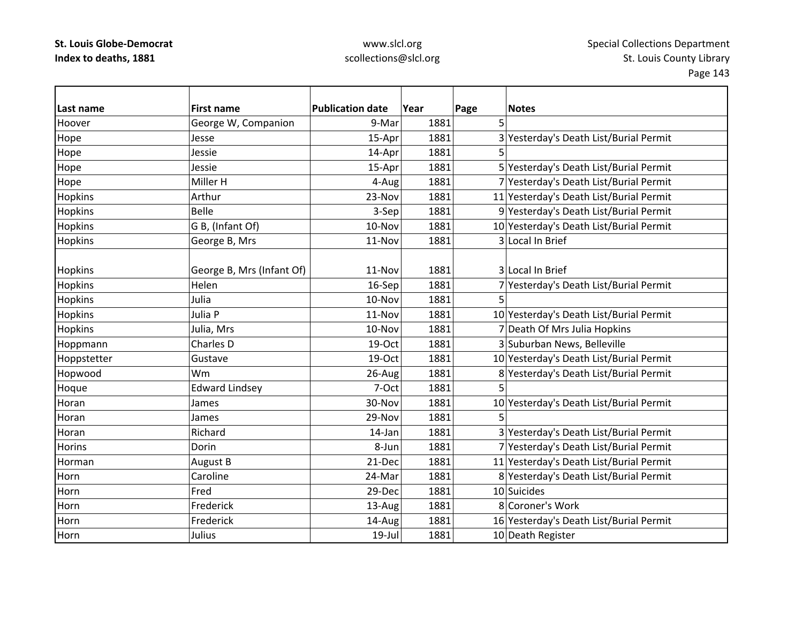| Last name      | <b>First name</b>         | <b>Publication date</b> | Year | Page | <b>Notes</b>                            |
|----------------|---------------------------|-------------------------|------|------|-----------------------------------------|
| Hoover         | George W, Companion       | 9-Mar                   | 1881 | 5    |                                         |
| Hope           | Jesse                     | 15-Apr                  | 1881 |      | 3 Yesterday's Death List/Burial Permit  |
| Hope           | Jessie                    | 14-Apr                  | 1881 | 5    |                                         |
| Hope           | Jessie                    | 15-Apr                  | 1881 |      | 5 Yesterday's Death List/Burial Permit  |
| Hope           | Miller H                  | 4-Aug                   | 1881 |      | 7 Yesterday's Death List/Burial Permit  |
| Hopkins        | Arthur                    | 23-Nov                  | 1881 |      | 11 Yesterday's Death List/Burial Permit |
| <b>Hopkins</b> | <b>Belle</b>              | 3-Sep                   | 1881 |      | 9 Yesterday's Death List/Burial Permit  |
| Hopkins        | G B, (Infant Of)          | 10-Nov                  | 1881 |      | 10 Yesterday's Death List/Burial Permit |
| Hopkins        | George B, Mrs             | 11-Nov                  | 1881 |      | 3 Local In Brief                        |
|                |                           |                         |      |      |                                         |
| <b>Hopkins</b> | George B, Mrs (Infant Of) | 11-Nov                  | 1881 |      | 3 Local In Brief                        |
| Hopkins        | Helen                     | 16-Sep                  | 1881 |      | 7 Yesterday's Death List/Burial Permit  |
| Hopkins        | Julia                     | 10-Nov                  | 1881 | 5    |                                         |
| Hopkins        | Julia P                   | 11-Nov                  | 1881 |      | 10 Yesterday's Death List/Burial Permit |
| <b>Hopkins</b> | Julia, Mrs                | 10-Nov                  | 1881 |      | 7 Death Of Mrs Julia Hopkins            |
| Hoppmann       | Charles D                 | 19-Oct                  | 1881 |      | 3 Suburban News, Belleville             |
| Hoppstetter    | Gustave                   | 19-Oct                  | 1881 |      | 10 Yesterday's Death List/Burial Permit |
| Hopwood        | Wm                        | 26-Aug                  | 1881 |      | 8 Yesterday's Death List/Burial Permit  |
| Hoque          | <b>Edward Lindsey</b>     | 7-Oct                   | 1881 |      |                                         |
| Horan          | James                     | 30-Nov                  | 1881 |      | 10 Yesterday's Death List/Burial Permit |
| Horan          | James                     | 29-Nov                  | 1881 | 5    |                                         |
| Horan          | Richard                   | 14-Jan                  | 1881 |      | 3 Yesterday's Death List/Burial Permit  |
| <b>Horins</b>  | Dorin                     | 8-Jun                   | 1881 |      | 7 Yesterday's Death List/Burial Permit  |
| Horman         | <b>August B</b>           | 21-Dec                  | 1881 |      | 11 Yesterday's Death List/Burial Permit |
| Horn           | Caroline                  | 24-Mar                  | 1881 |      | 8 Yesterday's Death List/Burial Permit  |
| Horn           | Fred                      | 29-Dec                  | 1881 |      | 10 Suicides                             |
| Horn           | Frederick                 | 13-Aug                  | 1881 |      | 8 Coroner's Work                        |
| Horn           | Frederick                 | 14-Aug                  | 1881 |      | 16 Yesterday's Death List/Burial Permit |
| Horn           | Julius                    | $19$ -Jul               | 1881 |      | 10 Death Register                       |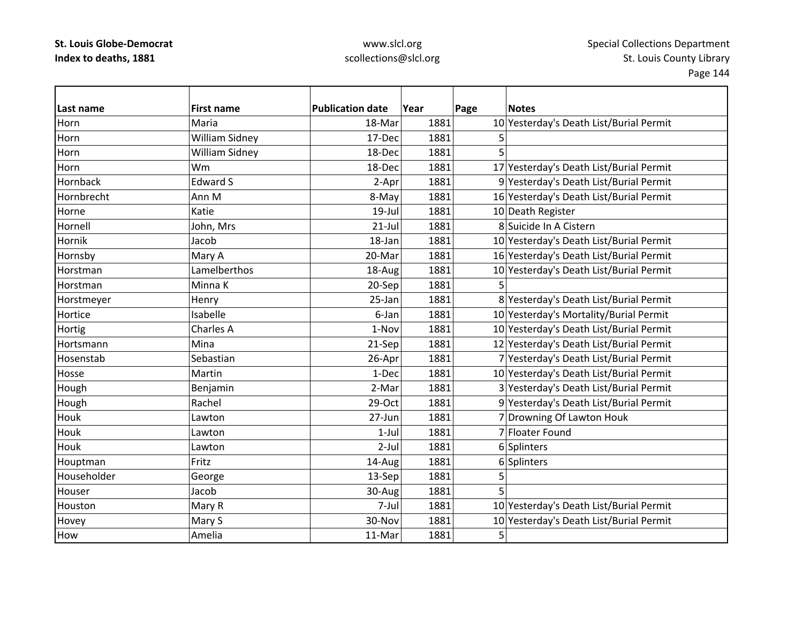| Last name   | <b>First name</b>     | <b>Publication date</b> | Year | Page | <b>Notes</b>                            |
|-------------|-----------------------|-------------------------|------|------|-----------------------------------------|
| Horn        | Maria                 | 18-Mar                  | 1881 |      | 10 Yesterday's Death List/Burial Permit |
| Horn        | <b>William Sidney</b> | 17-Dec                  | 1881 | 5    |                                         |
| Horn        | <b>William Sidney</b> | 18-Dec                  | 1881 | 5    |                                         |
| Horn        | Wm                    | 18-Dec                  | 1881 |      | 17 Yesterday's Death List/Burial Permit |
| Hornback    | <b>Edward S</b>       | 2-Apr                   | 1881 |      | 9 Yesterday's Death List/Burial Permit  |
| Hornbrecht  | Ann M                 | 8-May                   | 1881 |      | 16 Yesterday's Death List/Burial Permit |
| Horne       | Katie                 | $19$ -Jul               | 1881 |      | 10 Death Register                       |
| Hornell     | John, Mrs             | $21$ -Jul               | 1881 |      | 8 Suicide In A Cistern                  |
| Hornik      | Jacob                 | 18-Jan                  | 1881 |      | 10 Yesterday's Death List/Burial Permit |
| Hornsby     | Mary A                | 20-Mar                  | 1881 |      | 16 Yesterday's Death List/Burial Permit |
| Horstman    | Lamelberthos          | 18-Aug                  | 1881 |      | 10 Yesterday's Death List/Burial Permit |
| Horstman    | Minna K               | 20-Sep                  | 1881 | 5    |                                         |
| Horstmeyer  | Henry                 | 25-Jan                  | 1881 |      | 8 Yesterday's Death List/Burial Permit  |
| Hortice     | Isabelle              | 6-Jan                   | 1881 |      | 10 Yesterday's Mortality/Burial Permit  |
| Hortig      | <b>Charles A</b>      | 1-Nov                   | 1881 |      | 10 Yesterday's Death List/Burial Permit |
| Hortsmann   | Mina                  | 21-Sep                  | 1881 |      | 12 Yesterday's Death List/Burial Permit |
| Hosenstab   | Sebastian             | 26-Apr                  | 1881 |      | 7 Yesterday's Death List/Burial Permit  |
| Hosse       | Martin                | 1-Dec                   | 1881 |      | 10 Yesterday's Death List/Burial Permit |
| Hough       | Benjamin              | 2-Mar                   | 1881 |      | 3 Yesterday's Death List/Burial Permit  |
| Hough       | Rachel                | 29-Oct                  | 1881 |      | 9 Yesterday's Death List/Burial Permit  |
| Houk        | Lawton                | 27-Jun                  | 1881 |      | 7 Drowning Of Lawton Houk               |
| Houk        | Lawton                | $1-Jul$                 | 1881 |      | 7 Floater Found                         |
| Houk        | Lawton                | $2-Jul$                 | 1881 |      | 6 Splinters                             |
| Houptman    | Fritz                 | 14-Aug                  | 1881 |      | 6 Splinters                             |
| Householder | George                | 13-Sep                  | 1881 | 5    |                                         |
| Houser      | Jacob                 | 30-Aug                  | 1881 | 5    |                                         |
| Houston     | Mary R                | 7-Jul                   | 1881 |      | 10 Yesterday's Death List/Burial Permit |
| Hovey       | Mary S                | 30-Nov                  | 1881 |      | 10 Yesterday's Death List/Burial Permit |
| How         | Amelia                | 11-Mar                  | 1881 | 5    |                                         |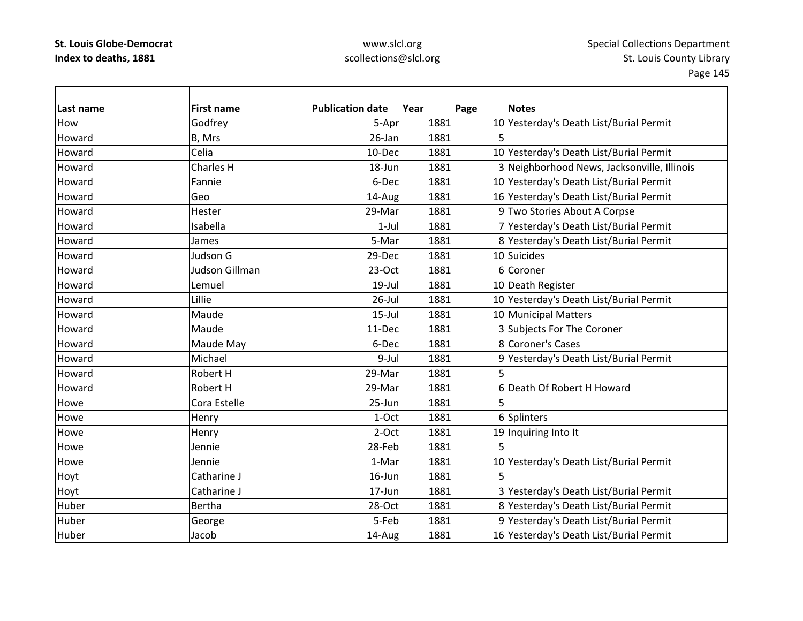| Last name | <b>First name</b> | <b>Publication date</b> | Year | Page | <b>Notes</b>                                |
|-----------|-------------------|-------------------------|------|------|---------------------------------------------|
| How       | Godfrey           | 5-Apr                   | 1881 |      | 10 Yesterday's Death List/Burial Permit     |
| Howard    | B, Mrs            | 26-Jan                  | 1881 | 5    |                                             |
| Howard    | Celia             | 10-Dec                  | 1881 |      | 10 Yesterday's Death List/Burial Permit     |
| Howard    | Charles H         | 18-Jun                  | 1881 |      | 3 Neighborhood News, Jacksonville, Illinois |
| Howard    | Fannie            | 6-Dec                   | 1881 |      | 10 Yesterday's Death List/Burial Permit     |
| Howard    | Geo               | 14-Aug                  | 1881 |      | 16 Yesterday's Death List/Burial Permit     |
| Howard    | Hester            | 29-Mar                  | 1881 |      | 9 Two Stories About A Corpse                |
| Howard    | Isabella          | $1-Jul$                 | 1881 |      | 7 Yesterday's Death List/Burial Permit      |
| Howard    | James             | 5-Mar                   | 1881 |      | 8 Yesterday's Death List/Burial Permit      |
| Howard    | Judson G          | 29-Dec                  | 1881 |      | 10 Suicides                                 |
| Howard    | Judson Gillman    | 23-Oct                  | 1881 |      | 6 Coroner                                   |
| Howard    | Lemuel            | $19$ -Jul               | 1881 |      | 10 Death Register                           |
| Howard    | Lillie            | $26$ -Jul               | 1881 |      | 10 Yesterday's Death List/Burial Permit     |
| Howard    | Maude             | $15$ -Jul               | 1881 |      | 10 Municipal Matters                        |
| Howard    | Maude             | 11-Dec                  | 1881 |      | 3 Subjects For The Coroner                  |
| Howard    | Maude May         | 6-Dec                   | 1881 |      | 8 Coroner's Cases                           |
| Howard    | Michael           | 9-Jul                   | 1881 |      | 9 Yesterday's Death List/Burial Permit      |
| Howard    | Robert H          | 29-Mar                  | 1881 |      |                                             |
| Howard    | Robert H          | 29-Mar                  | 1881 |      | 6 Death Of Robert H Howard                  |
| Howe      | Cora Estelle      | 25-Jun                  | 1881 |      |                                             |
| Howe      | Henry             | 1-Oct                   | 1881 |      | 6 Splinters                                 |
| Howe      | Henry             | $2-Oct$                 | 1881 |      | 19 Inquiring Into It                        |
| Howe      | Jennie            | 28-Feb                  | 1881 |      |                                             |
| Howe      | Jennie            | 1-Mar                   | 1881 |      | 10 Yesterday's Death List/Burial Permit     |
| Hoyt      | Catharine J       | 16-Jun                  | 1881 | 5    |                                             |
| Hoyt      | Catharine J       | $17$ -Jun               | 1881 |      | 3 Yesterday's Death List/Burial Permit      |
| Huber     | Bertha            | 28-Oct                  | 1881 |      | 8 Yesterday's Death List/Burial Permit      |
| Huber     | George            | 5-Feb                   | 1881 |      | 9 Yesterday's Death List/Burial Permit      |
| Huber     | Jacob             | 14-Aug                  | 1881 |      | 16 Yesterday's Death List/Burial Permit     |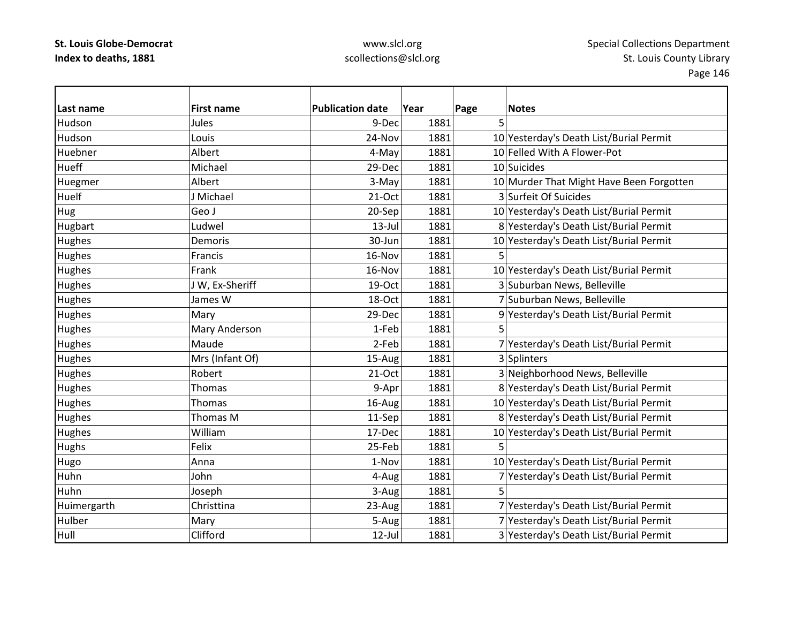## www.slcl.org scollections@slcl.org

| Last name    | <b>First name</b> | <b>Publication date</b> | Year | Page | <b>Notes</b>                             |
|--------------|-------------------|-------------------------|------|------|------------------------------------------|
| Hudson       | <b>Jules</b>      | 9-Dec                   | 1881 | 5    |                                          |
| Hudson       | Louis             | 24-Nov                  | 1881 |      | 10 Yesterday's Death List/Burial Permit  |
| Huebner      | Albert            | 4-May                   | 1881 |      | 10 Felled With A Flower-Pot              |
| <b>Hueff</b> | Michael           | 29-Dec                  | 1881 |      | 10 Suicides                              |
| Huegmer      | Albert            | 3-May                   | 1881 |      | 10 Murder That Might Have Been Forgotten |
| <b>Huelf</b> | J Michael         | $21-Oct$                | 1881 |      | 3 Surfeit Of Suicides                    |
| Hug          | Geo J             | 20-Sep                  | 1881 |      | 10 Yesterday's Death List/Burial Permit  |
| Hugbart      | Ludwel            | $13$ -Jul               | 1881 |      | 8 Yesterday's Death List/Burial Permit   |
| Hughes       | <b>Demoris</b>    | 30-Jun                  | 1881 |      | 10 Yesterday's Death List/Burial Permit  |
| Hughes       | Francis           | 16-Nov                  | 1881 | 5    |                                          |
| Hughes       | Frank             | 16-Nov                  | 1881 |      | 10 Yesterday's Death List/Burial Permit  |
| Hughes       | J W, Ex-Sheriff   | 19-Oct                  | 1881 |      | 3 Suburban News, Belleville              |
| Hughes       | James W           | 18-Oct                  | 1881 |      | 7 Suburban News, Belleville              |
| Hughes       | Mary              | 29-Dec                  | 1881 |      | 9 Yesterday's Death List/Burial Permit   |
| Hughes       | Mary Anderson     | 1-Feb                   | 1881 |      |                                          |
| Hughes       | Maude             | 2-Feb                   | 1881 |      | 7 Yesterday's Death List/Burial Permit   |
| Hughes       | Mrs (Infant Of)   | 15-Aug                  | 1881 |      | 3 Splinters                              |
| Hughes       | Robert            | 21-Oct                  | 1881 |      | 3 Neighborhood News, Belleville          |
| Hughes       | Thomas            | 9-Apr                   | 1881 |      | 8 Yesterday's Death List/Burial Permit   |
| Hughes       | Thomas            | 16-Aug                  | 1881 |      | 10 Yesterday's Death List/Burial Permit  |
| Hughes       | Thomas M          | 11-Sep                  | 1881 |      | 8 Yesterday's Death List/Burial Permit   |
| Hughes       | William           | 17-Dec                  | 1881 |      | 10 Yesterday's Death List/Burial Permit  |
| <b>Hughs</b> | Felix             | 25-Feb                  | 1881 |      |                                          |
| Hugo         | Anna              | 1-Nov                   | 1881 |      | 10 Yesterday's Death List/Burial Permit  |
| Huhn         | John              | 4-Aug                   | 1881 |      | 7 Yesterday's Death List/Burial Permit   |
| Huhn         | Joseph            | 3-Aug                   | 1881 | 5    |                                          |
| Huimergarth  | Christtina        | 23-Aug                  | 1881 |      | 7 Yesterday's Death List/Burial Permit   |
| Hulber       | Mary              | 5-Aug                   | 1881 |      | 7 Yesterday's Death List/Burial Permit   |
| Hull         | Clifford          | $12$ -Jul               | 1881 |      | 3 Yesterday's Death List/Burial Permit   |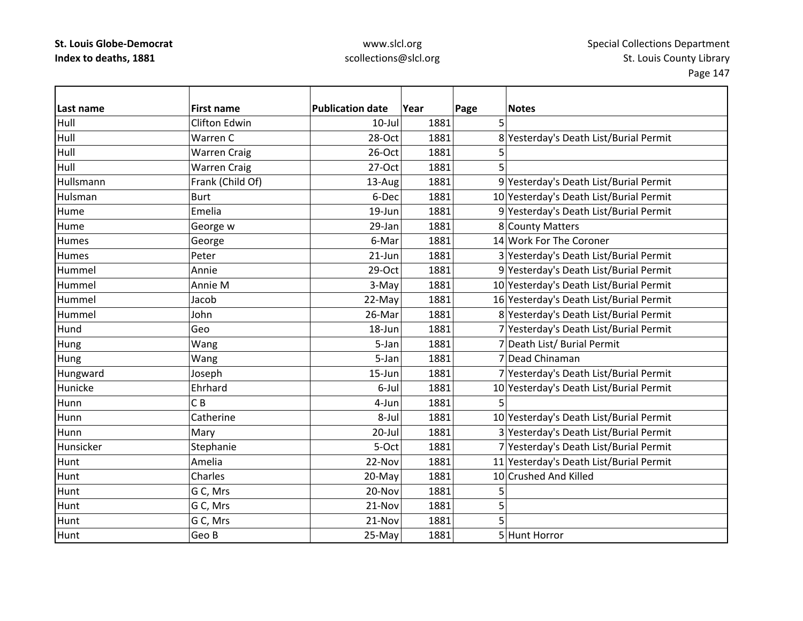### www.slcl.org scollections@slcl.org

**Last name First name Publication date Year Page Notes** Hull Clifton Edwin 10‐Jul 1881 5 Hull Warren28-Oct | 1881 8 Yesterday's Death List/Burial Permit Hull Warren Craig 26‐Oct 1881 5 Hull Warren Craig 27‐Oct 1881 5 HullsmannFrank (Child Of)  $13$ -Aug  $|$  1881 9 Yesterday's Death List/Burial Permit HulsmanBurt 6-Dec 1881 10 Yesterday's Death List/Burial Permit Hume $\left|\text{Emelia}\right\rangle$  19–Jun  $\left|\text{Im}\right\rangle$  1881 9 $\left|\text{Yesterday}\right\rangle$ s Death List/Burial Permit HumeGeorge w 29-Jan 1881 8 County Matters HumesGeorge **6**-Mar 1881 14 Work For The Coroner **Humes** Peter 21‐Jun 1881 3 Yesterday's Death List/Burial Permit Hummel Annie29-Oct 1881 9 Yesterday's Death List/Burial Permit Hummel Annie3-May 1881 10 Yesterday's Death List/Burial Permit Hummel Jacob22-May 1881 16 Yesterday's Death List/Burial Permit Hummel John 1881 36-Mar 1881 8 Yesterday's Death List/Burial Permit **Hund**  Geo18-Jun 1881 7 Yesterday's Death List/Burial Permit Hung 1881 | Wang | S-Jan | 5-Jan | 1881 | 7 | Death List/ Burial Permit Hung Nang Wang 1881 5-Jan 1881 7 Dead Chinaman Hungward Joseph 15–Jun 1881 7 Yesterday's Death List/Burial Permit Hunicke Ehrhard6-Jul 1881 10 Yesterday's Death List/Burial Permit **Hunn** n IC C B 4-Jun 1881 5 **Hunn** Catherine **8**-Jul 1881 10 Yesterday's Death List/Burial Permit **Hunn** Mary 20-Jul 1881 3 Yesterday's Death List/Burial Permit Hunsicker Stephanie 5‐Oct 1881 7 Yesterday's Death List/Burial Permit Hunt Amelia22-Nov 1881 11 Yesterday's Death List/Burial Permit Hunt Charles20-May 1881 1881 10 Crushed And Killed Huntt || G G C, Mrs 20-Nov 1881 5 Huntt || G G C, Mrs  $21$ -Nov  $1881$  5 Huntt lG G C, Mrs 21-Nov 1881 5 HuntGeo B  $25-May$  1881 5 Hunt Horror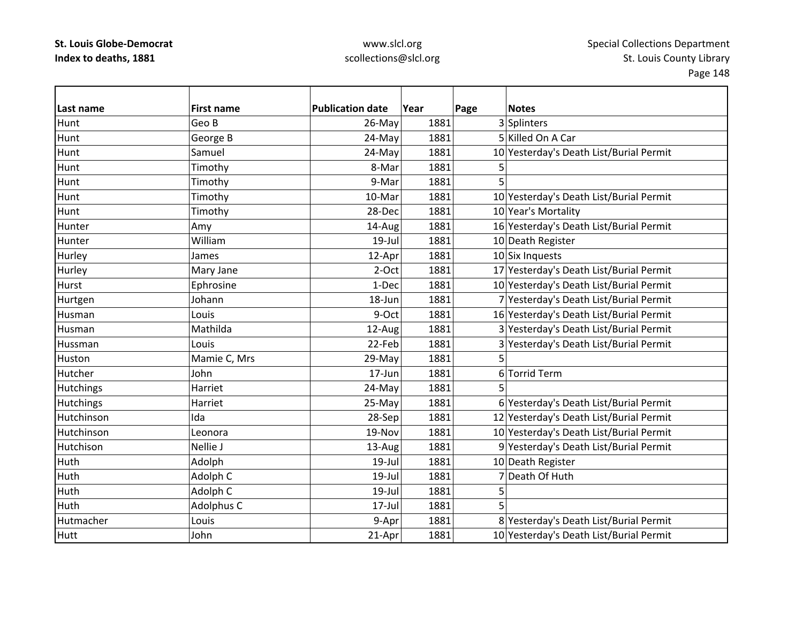| Last name        | <b>First name</b> | <b>Publication date</b> | Year | Page<br><b>Notes</b>                    |
|------------------|-------------------|-------------------------|------|-----------------------------------------|
| Hunt             | Geo B             | 26-May                  | 1881 | 3 Splinters                             |
| Hunt             | George B          | 24-May                  | 1881 | 5 Killed On A Car                       |
| Hunt             | Samuel            | 24-May                  | 1881 | 10 Yesterday's Death List/Burial Permit |
| Hunt             | Timothy           | 8-Mar                   | 1881 | 5                                       |
| Hunt             | Timothy           | 9-Mar                   | 1881 | 5                                       |
| Hunt             | Timothy           | 10-Mar                  | 1881 | 10 Yesterday's Death List/Burial Permit |
| Hunt             | Timothy           | 28-Dec                  | 1881 | 10 Year's Mortality                     |
| Hunter           | Amy               | 14-Aug                  | 1881 | 16 Yesterday's Death List/Burial Permit |
| Hunter           | William           | $19$ -Jul               | 1881 | 10 Death Register                       |
| Hurley           | James             | 12-Apr                  | 1881 | $10$ Six Inquests                       |
| Hurley           | Mary Jane         | 2-Oct                   | 1881 | 17 Yesterday's Death List/Burial Permit |
| <b>Hurst</b>     | Ephrosine         | 1-Dec                   | 1881 | 10 Yesterday's Death List/Burial Permit |
| Hurtgen          | Johann            | 18-Jun                  | 1881 | 7 Yesterday's Death List/Burial Permit  |
| Husman           | Louis             | 9-Oct                   | 1881 | 16 Yesterday's Death List/Burial Permit |
| Husman           | Mathilda          | 12-Aug                  | 1881 | 3 Yesterday's Death List/Burial Permit  |
| Hussman          | Louis             | 22-Feb                  | 1881 | 3 Yesterday's Death List/Burial Permit  |
| Huston           | Mamie C, Mrs      | 29-May                  | 1881 | 5                                       |
| Hutcher          | John              | 17-Jun                  | 1881 | 6 Torrid Term                           |
| Hutchings        | Harriet           | 24-May                  | 1881 | 5                                       |
| <b>Hutchings</b> | Harriet           | 25-May                  | 1881 | 6 Yesterday's Death List/Burial Permit  |
| Hutchinson       | Ida               | 28-Sep                  | 1881 | 12 Yesterday's Death List/Burial Permit |
| Hutchinson       | Leonora           | 19-Nov                  | 1881 | 10 Yesterday's Death List/Burial Permit |
| Hutchison        | Nellie J          | 13-Aug                  | 1881 | 9 Yesterday's Death List/Burial Permit  |
| Huth             | Adolph            | $19$ -Jul               | 1881 | 10 Death Register                       |
| Huth             | Adolph C          | $19$ -Jul               | 1881 | 7 Death Of Huth                         |
| Huth             | Adolph C          | 19-Jul                  | 1881 | 5                                       |
| Huth             | Adolphus C        | 17-Jul                  | 1881 | 5                                       |
| Hutmacher        | Louis             | 9-Apr                   | 1881 | 8 Yesterday's Death List/Burial Permit  |
| <b>Hutt</b>      | John              | 21-Apr                  | 1881 | 10 Yesterday's Death List/Burial Permit |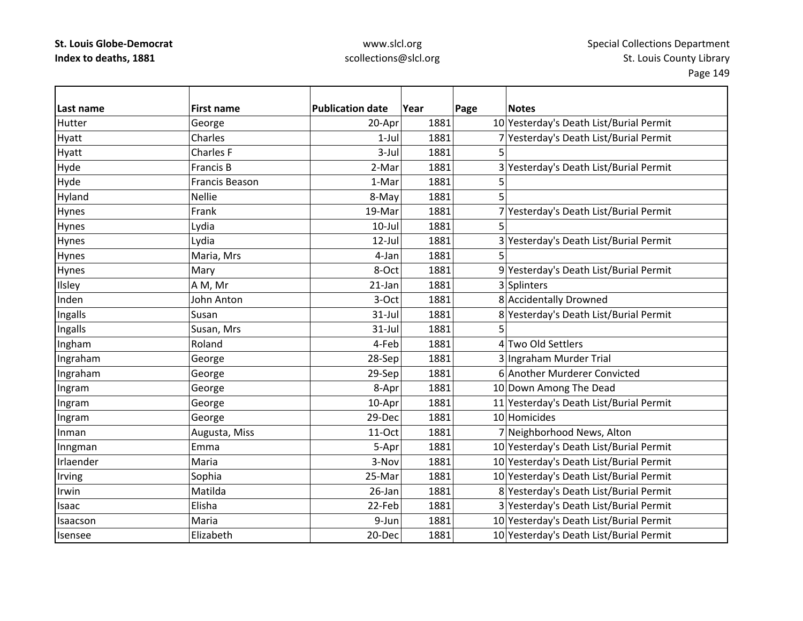| Last name | <b>First name</b> | <b>Publication date</b> | Year | Page | <b>Notes</b>                            |
|-----------|-------------------|-------------------------|------|------|-----------------------------------------|
| Hutter    | George            | 20-Apr                  | 1881 |      | 10 Yesterday's Death List/Burial Permit |
| Hyatt     | Charles           | $1$ -Jul                | 1881 |      | 7 Yesterday's Death List/Burial Permit  |
| Hyatt     | Charles F         | 3-Jul                   | 1881 | 5    |                                         |
| Hyde      | <b>Francis B</b>  | 2-Mar                   | 1881 |      | 3 Yesterday's Death List/Burial Permit  |
| Hyde      | Francis Beason    | 1-Mar                   | 1881 | 5    |                                         |
| Hyland    | <b>Nellie</b>     | 8-May                   | 1881 | 5    |                                         |
| Hynes     | Frank             | 19-Mar                  | 1881 |      | 7 Yesterday's Death List/Burial Permit  |
| Hynes     | Lydia             | $10$ -Jul               | 1881 | 5    |                                         |
| Hynes     | Lydia             | $12$ -Jul               | 1881 |      | 3 Yesterday's Death List/Burial Permit  |
| Hynes     | Maria, Mrs        | 4-Jan                   | 1881 | 5    |                                         |
| Hynes     | Mary              | 8-Oct                   | 1881 |      | 9 Yesterday's Death List/Burial Permit  |
| Ilsley    | A M, Mr           | $21$ -Jan               | 1881 |      | 3 Splinters                             |
| Inden     | John Anton        | 3-Oct                   | 1881 |      | 8 Accidentally Drowned                  |
| Ingalls   | Susan             | $31$ -Jul               | 1881 |      | 8 Yesterday's Death List/Burial Permit  |
| Ingalls   | Susan, Mrs        | $31$ -Jul               | 1881 | 5    |                                         |
| Ingham    | Roland            | 4-Feb                   | 1881 |      | 4 Two Old Settlers                      |
| Ingraham  | George            | 28-Sep                  | 1881 |      | 3 Ingraham Murder Trial                 |
| Ingraham  | George            | 29-Sep                  | 1881 |      | 6 Another Murderer Convicted            |
| Ingram    | George            | 8-Apr                   | 1881 |      | 10 Down Among The Dead                  |
| Ingram    | George            | 10-Apr                  | 1881 |      | 11 Yesterday's Death List/Burial Permit |
| Ingram    | George            | 29-Dec                  | 1881 |      | 10 Homicides                            |
| Inman     | Augusta, Miss     | 11-Oct                  | 1881 |      | 7 Neighborhood News, Alton              |
| Inngman   | Emma              | 5-Apr                   | 1881 |      | 10 Yesterday's Death List/Burial Permit |
| Irlaender | Maria             | 3-Nov                   | 1881 |      | 10 Yesterday's Death List/Burial Permit |
| Irving    | Sophia            | 25-Mar                  | 1881 |      | 10 Yesterday's Death List/Burial Permit |
| Irwin     | Matilda           | 26-Jan                  | 1881 |      | 8 Yesterday's Death List/Burial Permit  |
| Isaac     | Elisha            | 22-Feb                  | 1881 |      | 3 Yesterday's Death List/Burial Permit  |
| Isaacson  | Maria             | 9-Jun                   | 1881 |      | 10 Yesterday's Death List/Burial Permit |
| Isensee   | Elizabeth         | 20-Dec                  | 1881 |      | 10 Yesterday's Death List/Burial Permit |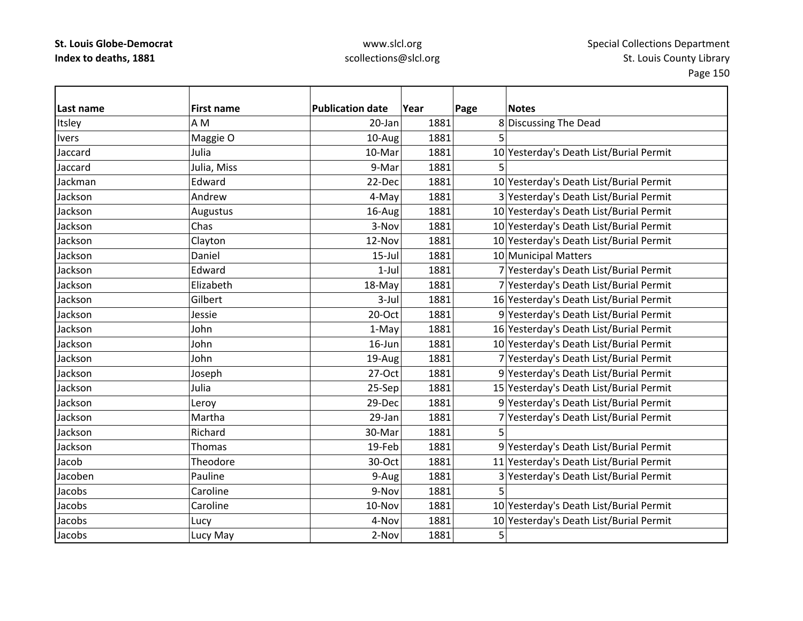| Last name    | <b>First name</b> | <b>Publication date</b> | Year | Page | <b>Notes</b>                            |
|--------------|-------------------|-------------------------|------|------|-----------------------------------------|
| Itsley       | A <sub>M</sub>    | $20$ -Jan               | 1881 |      | 8 Discussing The Dead                   |
| <b>Ivers</b> | Maggie O          | 10-Aug                  | 1881 | 5    |                                         |
| Jaccard      | Julia             | 10-Mar                  | 1881 |      | 10 Yesterday's Death List/Burial Permit |
| Jaccard      | Julia, Miss       | 9-Mar                   | 1881 |      |                                         |
| Jackman      | Edward            | 22-Dec                  | 1881 |      | 10 Yesterday's Death List/Burial Permit |
| Jackson      | Andrew            | 4-May                   | 1881 |      | 3 Yesterday's Death List/Burial Permit  |
| Jackson      | Augustus          | 16-Aug                  | 1881 |      | 10 Yesterday's Death List/Burial Permit |
| Jackson      | Chas              | 3-Nov                   | 1881 |      | 10 Yesterday's Death List/Burial Permit |
| Jackson      | Clayton           | 12-Nov                  | 1881 |      | 10 Yesterday's Death List/Burial Permit |
| Jackson      | Daniel            | $15 -$ Jul              | 1881 |      | 10 Municipal Matters                    |
| Jackson      | Edward            | $1-Jul$                 | 1881 |      | 7 Yesterday's Death List/Burial Permit  |
| Jackson      | Elizabeth         | 18-May                  | 1881 |      | 7 Yesterday's Death List/Burial Permit  |
| Jackson      | Gilbert           | $3$ -Jul                | 1881 |      | 16 Yesterday's Death List/Burial Permit |
| Jackson      | Jessie            | 20-Oct                  | 1881 |      | 9 Yesterday's Death List/Burial Permit  |
| Jackson      | John              | 1-May                   | 1881 |      | 16 Yesterday's Death List/Burial Permit |
| Jackson      | John              | 16-Jun                  | 1881 |      | 10 Yesterday's Death List/Burial Permit |
| Jackson      | John              | 19-Aug                  | 1881 |      | 7 Yesterday's Death List/Burial Permit  |
| Jackson      | Joseph            | 27-Oct                  | 1881 |      | 9 Yesterday's Death List/Burial Permit  |
| Jackson      | Julia             | 25-Sep                  | 1881 |      | 15 Yesterday's Death List/Burial Permit |
| Jackson      | Leroy             | 29-Dec                  | 1881 |      | 9 Yesterday's Death List/Burial Permit  |
| Jackson      | Martha            | 29-Jan                  | 1881 |      | Yesterday's Death List/Burial Permit    |
| Jackson      | Richard           | 30-Mar                  | 1881 | 5    |                                         |
| Jackson      | Thomas            | 19-Feb                  | 1881 |      | 9 Yesterday's Death List/Burial Permit  |
| Jacob        | Theodore          | 30-Oct                  | 1881 |      | 11 Yesterday's Death List/Burial Permit |
| Jacoben      | Pauline           | 9-Aug                   | 1881 |      | 3 Yesterday's Death List/Burial Permit  |
| Jacobs       | Caroline          | 9-Nov                   | 1881 | 5    |                                         |
| Jacobs       | Caroline          | 10-Nov                  | 1881 |      | 10 Yesterday's Death List/Burial Permit |
| Jacobs       | Lucy              | 4-Nov                   | 1881 |      | 10 Yesterday's Death List/Burial Permit |
| Jacobs       | Lucy May          | 2-Nov                   | 1881 | 5    |                                         |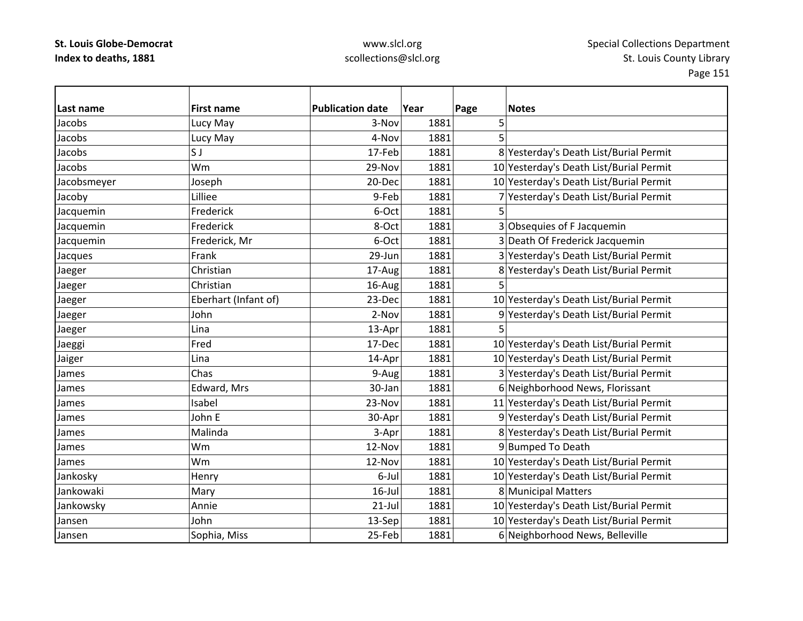### www.slcl.org scollections@slcl.org

**Last name First name Publication date Year Page Notes** Jacobss 3-Nov 1881 5 Jacobs Lucy May 4‐Nov 1881 5 Jacobss IS J 17‐Feb 1881 8 Yesterday's Death List/Burial Permit Jacobs Wm29-Nov 1881 10 Yesterday's Death List/Burial Permit Jacobsmeyer Joseph  $\vert$  20-Dec 1881  $\vert$  20-Dec  $\vert$  1881  $\vert$  10  $\vert$  Yesterday's Death List/Burial Permit Jacoby Lilliee 9‐Feb 1881 7 Yesterday's Death List/Burial Permit Jacquemin Frederick 6‐Oct 1881 5 Jacquemin Frederick Research Beauty Superintendent Section 1881 3 Obsequies of F Jacquemin Jacquemin Frederick, Mr 6‐Oct 1881 3 Death Of Frederick Jacquemin Jacques Frank Frank 29‐Jun 1881 3 Yesterday's Death List/Burial Permit 3 Jaeger Christian 17‐Aug 1881 8 Yesterday's Death List/Burial Permit Jaeger Christian 16‐Aug 1881 5 Jaeger Frank (Infant of) 23‐Dec 1881 10 Yesterday's Death List/Burial Permit (Infant of) 23‐Dec 1881 John 2-Nov 1881 9 Yesterday's Death List/Burial Permit Jaeger Lina (Lina 13‐Apr 1881 5 Jaeggi Fred 17‐Dec 1881 10 Yesterday's Death List/Burial Permit Jaiger Lina 14‐Apr 1881 10 Yesterday's Death List/Burial Permit James Chas 9‐Aug 1881 3 Yesterday's Death List/Burial Permit JamesEdward, Mrs 1981 **1881** 1881 **6** Neighborhood News, Florissant JamesIsabel 23-Nov 1881 11 Yesterday's Death List/Burial Permit JamesJohn E E 30-Apr 1881 9 Yesterday's Death List/Burial Permit James Malinda3-Apr 1881 8 Yesterday's Death List/Burial Permit James Wm12-Nov 1881 9 Bumped To Death James Wm12-Nov 1881 10 Yesterday's Death List/Burial Permit Jankosky Henry 6‐Jul 1881 10 Yesterday's Death List/Burial Permit JankowakiMary 16–Jul 1881 8 Municipal Matters Jankowsky |Annie | 21-Jul | 1881 | 10 |Yesterday's Death List/Burial Permit JansenJohn 13–Sep 1881 10 Yesterday's Death List/Burial Permit JansenSophia, Miss 25‐Feb 1881 6 Neighborhood News, Belleville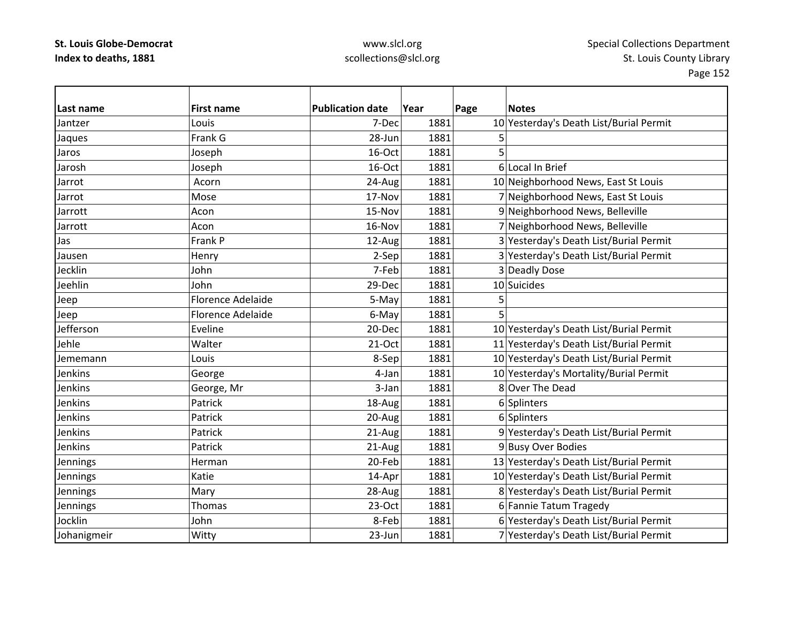| Last name       | <b>First name</b>        | <b>Publication date</b> | Year | Page<br><b>Notes</b>                    |
|-----------------|--------------------------|-------------------------|------|-----------------------------------------|
| Jantzer         | Louis                    | 7-Dec                   | 1881 | 10 Yesterday's Death List/Burial Permit |
| Jaques          | Frank G                  | 28-Jun                  | 1881 | 5                                       |
| Jaros           | Joseph                   | 16-Oct                  | 1881 | 5                                       |
| Jarosh          | Joseph                   | 16-Oct                  | 1881 | 6 Local In Brief                        |
| Jarrot          | Acorn                    | 24-Aug                  | 1881 | 10 Neighborhood News, East St Louis     |
| Jarrot          | Mose                     | 17-Nov                  | 1881 | 7 Neighborhood News, East St Louis      |
| Jarrott         | Acon                     | 15-Nov                  | 1881 | 9 Neighborhood News, Belleville         |
| Jarrott         | Acon                     | 16-Nov                  | 1881 | 7 Neighborhood News, Belleville         |
| Jas             | Frank P                  | 12-Aug                  | 1881 | 3 Yesterday's Death List/Burial Permit  |
| Jausen          | Henry                    | 2-Sep                   | 1881 | 3 Yesterday's Death List/Burial Permit  |
| Jecklin         | John                     | 7-Feb                   | 1881 | 3 Deadly Dose                           |
| Jeehlin         | John                     | 29-Dec                  | 1881 | 10 Suicides                             |
| Jeep            | <b>Florence Adelaide</b> | 5-May                   | 1881 | 5                                       |
| Jeep            | Florence Adelaide        | 6-May                   | 1881 | 5                                       |
| Jefferson       | Eveline                  | 20-Dec                  | 1881 | 10 Yesterday's Death List/Burial Permit |
| Jehle           | Walter                   | $21-Oct$                | 1881 | 11 Yesterday's Death List/Burial Permit |
| Jememann        | Louis                    | 8-Sep                   | 1881 | 10 Yesterday's Death List/Burial Permit |
| Jenkins         | George                   | 4-Jan                   | 1881 | 10 Yesterday's Mortality/Burial Permit  |
| Jenkins         | George, Mr               | 3-Jan                   | 1881 | 8 Over The Dead                         |
| <b>Jenkins</b>  | Patrick                  | 18-Aug                  | 1881 | 6 Splinters                             |
| Jenkins         | Patrick                  | 20-Aug                  | 1881 | 6 Splinters                             |
| Jenkins         | Patrick                  | 21-Aug                  | 1881 | 9 Yesterday's Death List/Burial Permit  |
| Jenkins         | Patrick                  | 21-Aug                  | 1881 | 9 Busy Over Bodies                      |
| Jennings        | Herman                   | 20-Feb                  | 1881 | 13 Yesterday's Death List/Burial Permit |
| Jennings        | Katie                    | 14-Apr                  | 1881 | 10 Yesterday's Death List/Burial Permit |
| Jennings        | Mary                     | 28-Aug                  | 1881 | 8 Yesterday's Death List/Burial Permit  |
| <b>Jennings</b> | <b>Thomas</b>            | $23-Oct$                | 1881 | 6 Fannie Tatum Tragedy                  |
| Jocklin         | John                     | 8-Feb                   | 1881 | 6 Yesterday's Death List/Burial Permit  |
| Johanigmeir     | Witty                    | 23-Jun                  | 1881 | 7 Yesterday's Death List/Burial Permit  |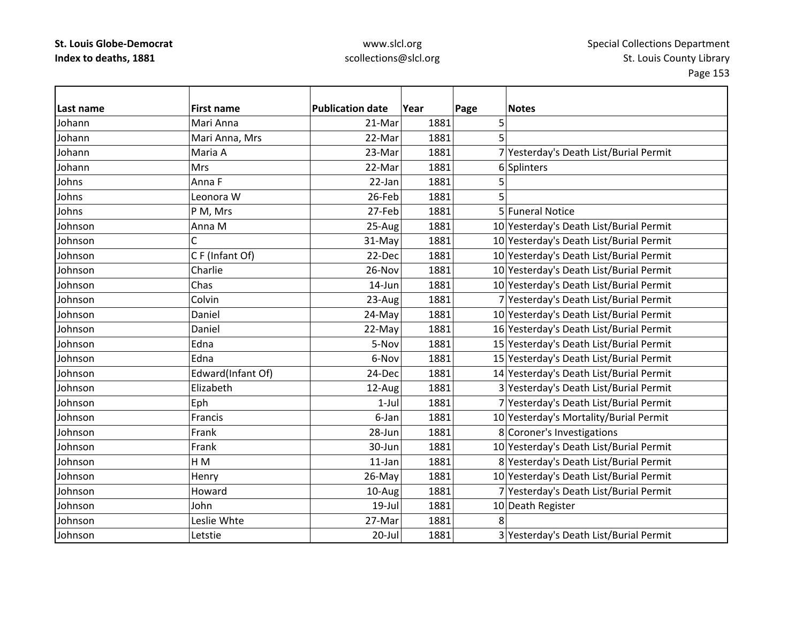| lLast name | <b>First name</b> | <b>Publication date</b> | Year | Page<br><b>Notes</b>                    |
|------------|-------------------|-------------------------|------|-----------------------------------------|
| Johann     | Mari Anna         | 21-Mar                  | 1881 | 5                                       |
| Johann     | Mari Anna, Mrs    | 22-Mar                  | 1881 | 5                                       |
| Johann     | Maria A           | 23-Mar                  | 1881 | 7 Yesterday's Death List/Burial Permit  |
| Johann     | <b>Mrs</b>        | 22-Mar                  | 1881 | 6 Splinters                             |
| Johns      | Anna F            | 22-Jan                  | 1881 | 5                                       |
| Johns      | Leonora W         | 26-Feb                  | 1881 | 5                                       |
| Johns      | P M, Mrs          | 27-Feb                  | 1881 | 5 Funeral Notice                        |
| Johnson    | Anna M            | 25-Aug                  | 1881 | 10 Yesterday's Death List/Burial Permit |
| Johnson    | C                 | $31-May$                | 1881 | 10 Yesterday's Death List/Burial Permit |
| Johnson    | CF (Infant Of)    | 22-Dec                  | 1881 | 10 Yesterday's Death List/Burial Permit |
| Johnson    | Charlie           | 26-Nov                  | 1881 | 10 Yesterday's Death List/Burial Permit |
| Johnson    | Chas              | 14-Jun                  | 1881 | 10 Yesterday's Death List/Burial Permit |
| Johnson    | Colvin            | 23-Aug                  | 1881 | 7 Yesterday's Death List/Burial Permit  |
| Johnson    | Daniel            | $24-May$                | 1881 | 10 Yesterday's Death List/Burial Permit |
| Johnson    | Daniel            | 22-May                  | 1881 | 16 Yesterday's Death List/Burial Permit |
| Johnson    | Edna              | 5-Nov                   | 1881 | 15 Yesterday's Death List/Burial Permit |
| Johnson    | Edna              | 6-Nov                   | 1881 | 15 Yesterday's Death List/Burial Permit |
| Johnson    | Edward(Infant Of) | 24-Dec                  | 1881 | 14 Yesterday's Death List/Burial Permit |
| Johnson    | Elizabeth         | 12-Aug                  | 1881 | 3 Yesterday's Death List/Burial Permit  |
| Johnson    | Eph               | $1-Jul$                 | 1881 | 7 Yesterday's Death List/Burial Permit  |
| Johnson    | Francis           | 6-Jan                   | 1881 | 10 Yesterday's Mortality/Burial Permit  |
| Johnson    | Frank             | 28-Jun                  | 1881 | 8 Coroner's Investigations              |
| Johnson    | Frank             | 30-Jun                  | 1881 | 10 Yesterday's Death List/Burial Permit |
| Johnson    | H <sub>M</sub>    | 11-Jan                  | 1881 | 8 Yesterday's Death List/Burial Permit  |
| Johnson    | Henry             | 26-May                  | 1881 | 10 Yesterday's Death List/Burial Permit |
| Johnson    | Howard            | 10-Aug                  | 1881 | 7 Yesterday's Death List/Burial Permit  |
| Johnson    | John              | 19-Jul                  | 1881 | 10 Death Register                       |
| Johnson    | Leslie Whte       | 27-Mar                  | 1881 | 8                                       |
| Johnson    | Letstie           | $20$ -Jul               | 1881 | 3 Yesterday's Death List/Burial Permit  |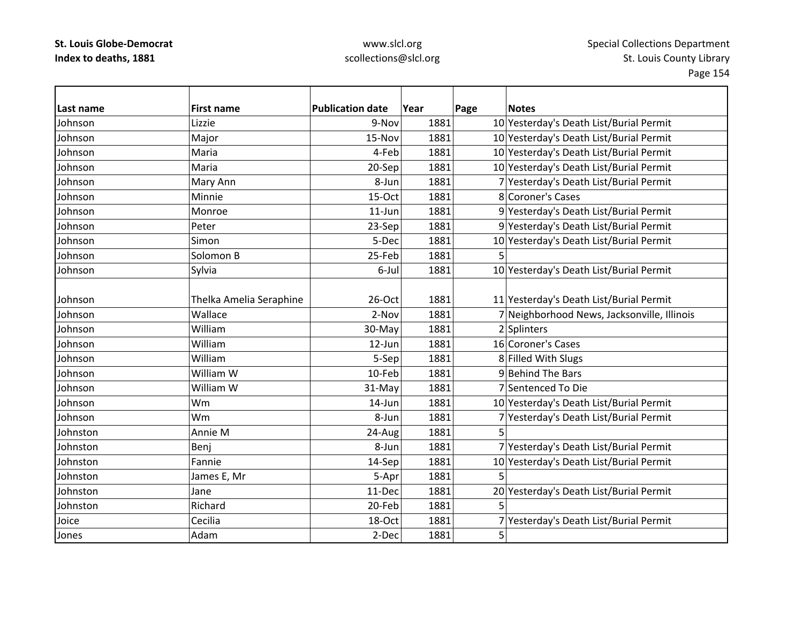| Last name | <b>First name</b>       | <b>Publication date</b> | Year | Page | <b>Notes</b>                                |
|-----------|-------------------------|-------------------------|------|------|---------------------------------------------|
| Johnson   | Lizzie                  | 9-Nov                   | 1881 |      | 10 Yesterday's Death List/Burial Permit     |
| Johnson   | Major                   | 15-Nov                  | 1881 |      | 10 Yesterday's Death List/Burial Permit     |
| Johnson   | Maria                   | 4-Feb                   | 1881 |      | 10 Yesterday's Death List/Burial Permit     |
| Johnson   | Maria                   | 20-Sep                  | 1881 |      | 10 Yesterday's Death List/Burial Permit     |
| Johnson   | Mary Ann                | 8-Jun                   | 1881 |      | 7 Yesterday's Death List/Burial Permit      |
| Johnson   | Minnie                  | 15-Oct                  | 1881 |      | 8 Coroner's Cases                           |
| Johnson   | Monroe                  | $11$ -Jun               | 1881 |      | 9 Yesterday's Death List/Burial Permit      |
| Johnson   | Peter                   | 23-Sep                  | 1881 |      | 9 Yesterday's Death List/Burial Permit      |
| Johnson   | Simon                   | 5-Dec                   | 1881 |      | 10 Yesterday's Death List/Burial Permit     |
| Johnson   | Solomon B               | 25-Feb                  | 1881 | 5    |                                             |
| Johnson   | Sylvia                  | 6-Jul                   | 1881 |      | 10 Yesterday's Death List/Burial Permit     |
|           |                         |                         |      |      |                                             |
| Johnson   | Thelka Amelia Seraphine | 26-Oct                  | 1881 |      | 11 Yesterday's Death List/Burial Permit     |
| Johnson   | Wallace                 | 2-Nov                   | 1881 |      | 7 Neighborhood News, Jacksonville, Illinois |
| Johnson   | William                 | 30-May                  | 1881 |      | 2 Splinters                                 |
| Johnson   | William                 | $12$ -Jun               | 1881 |      | 16 Coroner's Cases                          |
| Johnson   | William                 | 5-Sep                   | 1881 |      | 8 Filled With Slugs                         |
| Johnson   | William W               | 10-Feb                  | 1881 |      | 9 Behind The Bars                           |
| Johnson   | William W               | 31-May                  | 1881 |      | 7 Sentenced To Die                          |
| Johnson   | Wm                      | 14-Jun                  | 1881 |      | 10 Yesterday's Death List/Burial Permit     |
| Johnson   | Wm                      | 8-Jun                   | 1881 |      | 7 Yesterday's Death List/Burial Permit      |
| Johnston  | Annie M                 | 24-Aug                  | 1881 | 5    |                                             |
| Johnston  | Benj                    | 8-Jun                   | 1881 |      | 7 Yesterday's Death List/Burial Permit      |
| Johnston  | Fannie                  | 14-Sep                  | 1881 |      | 10 Yesterday's Death List/Burial Permit     |
| Johnston  | James E, Mr             | 5-Apr                   | 1881 | 5    |                                             |
| Johnston  | Jane                    | 11-Dec                  | 1881 |      | 20 Yesterday's Death List/Burial Permit     |
| Johnston  | Richard                 | 20-Feb                  | 1881 | 5    |                                             |
| Joice     | Cecilia                 | 18-Oct                  | 1881 |      | 7 Yesterday's Death List/Burial Permit      |
| Jones     | Adam                    | 2-Dec                   | 1881 | 5    |                                             |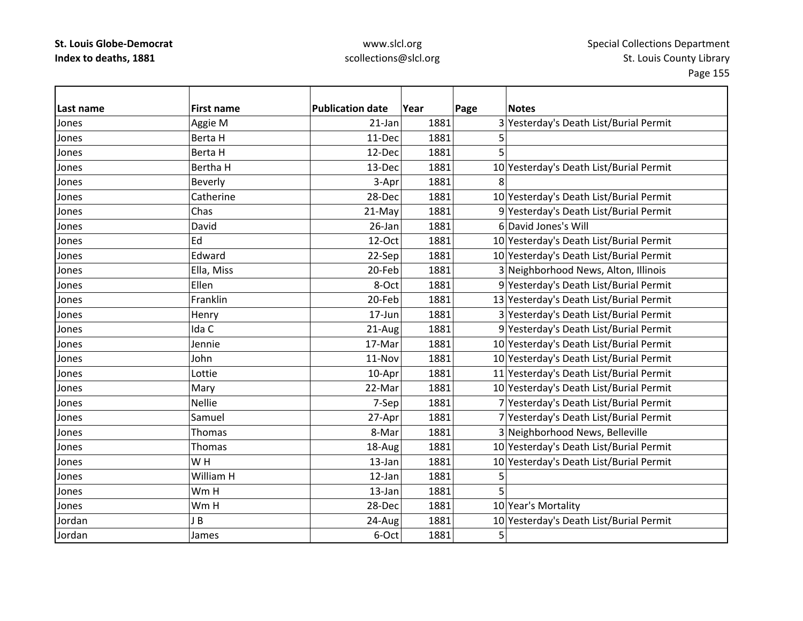| Last name | <b>First name</b> | <b>Publication date</b> | Year | Page | <b>Notes</b>                            |
|-----------|-------------------|-------------------------|------|------|-----------------------------------------|
| Jones     | Aggie M           | $21$ -Jan               | 1881 |      | 3 Yesterday's Death List/Burial Permit  |
| Jones     | Berta H           | 11-Dec                  | 1881 | 5    |                                         |
| Jones     | Berta H           | 12-Dec                  | 1881 | 5    |                                         |
| Jones     | <b>Bertha H</b>   | 13-Dec                  | 1881 |      | 10 Yesterday's Death List/Burial Permit |
| Jones     | Beverly           | 3-Apr                   | 1881 | 8    |                                         |
| Jones     | Catherine         | 28-Dec                  | 1881 |      | 10 Yesterday's Death List/Burial Permit |
| Jones     | Chas              | 21-May                  | 1881 |      | 9 Yesterday's Death List/Burial Permit  |
| Jones     | David             | 26-Jan                  | 1881 |      | 6 David Jones's Will                    |
| Jones     | Ed                | 12-Oct                  | 1881 |      | 10 Yesterday's Death List/Burial Permit |
| Jones     | Edward            | 22-Sep                  | 1881 |      | 10 Yesterday's Death List/Burial Permit |
| Jones     | Ella, Miss        | 20-Feb                  | 1881 |      | 3 Neighborhood News, Alton, Illinois    |
| Jones     | Ellen             | 8-Oct                   | 1881 |      | 9 Yesterday's Death List/Burial Permit  |
| Jones     | Franklin          | 20-Feb                  | 1881 |      | 13 Yesterday's Death List/Burial Permit |
| Jones     | Henry             | 17-Jun                  | 1881 |      | 3 Yesterday's Death List/Burial Permit  |
| Jones     | Ida C             | 21-Aug                  | 1881 |      | 9 Yesterday's Death List/Burial Permit  |
| Jones     | Jennie            | 17-Mar                  | 1881 |      | 10 Yesterday's Death List/Burial Permit |
| Jones     | John              | 11-Nov                  | 1881 |      | 10 Yesterday's Death List/Burial Permit |
| Jones     | Lottie            | 10-Apr                  | 1881 |      | 11 Yesterday's Death List/Burial Permit |
| Jones     | Mary              | 22-Mar                  | 1881 |      | 10 Yesterday's Death List/Burial Permit |
| Jones     | <b>Nellie</b>     | 7-Sep                   | 1881 |      | 7 Yesterday's Death List/Burial Permit  |
| Jones     | Samuel            | 27-Apr                  | 1881 |      | 7 Yesterday's Death List/Burial Permit  |
| Jones     | Thomas            | 8-Mar                   | 1881 |      | 3 Neighborhood News, Belleville         |
| Jones     | Thomas            | 18-Aug                  | 1881 |      | 10 Yesterday's Death List/Burial Permit |
| Jones     | WH                | 13-Jan                  | 1881 |      | 10 Yesterday's Death List/Burial Permit |
| Jones     | William H         | 12-Jan                  | 1881 | 5    |                                         |
| Jones     | Wm H              | 13-Jan                  | 1881 | 5    |                                         |
| Jones     | Wm H              | 28-Dec                  | 1881 |      | 10 Year's Mortality                     |
| Jordan    | JB                | 24-Aug                  | 1881 |      | 10 Yesterday's Death List/Burial Permit |
| Jordan    | James             | 6-Oct                   | 1881 | 5    |                                         |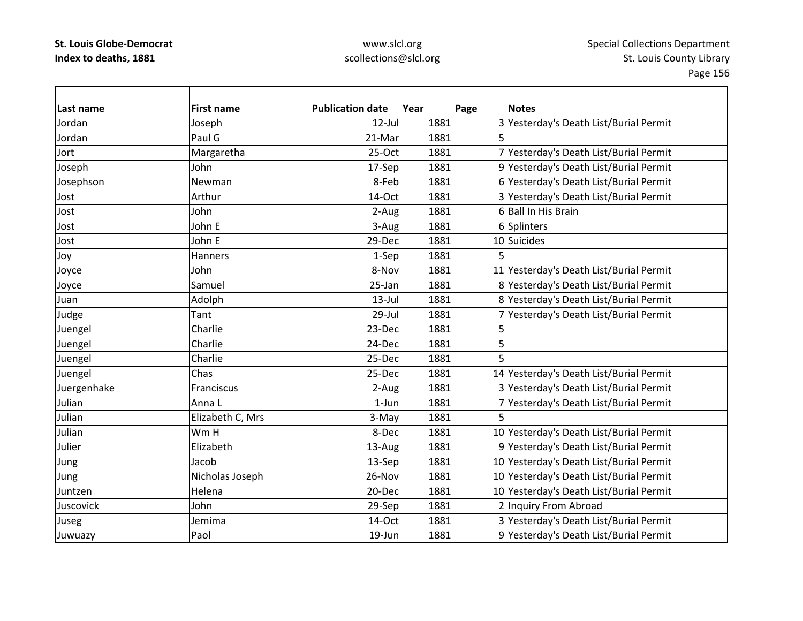## www.slcl.org scollections@slcl.org

 $\overline{\phantom{0}}$ 

| Last name   | <b>First name</b> | <b>Publication date</b> | Year | Page | <b>Notes</b>                            |
|-------------|-------------------|-------------------------|------|------|-----------------------------------------|
| Jordan      | Joseph            | 12-Jul                  | 1881 |      | 3 Yesterday's Death List/Burial Permit  |
| Jordan      | Paul G            | 21-Mar                  | 1881 | 5    |                                         |
| Jort        | Margaretha        | 25-Oct                  | 1881 |      | 7 Yesterday's Death List/Burial Permit  |
| Joseph      | John              | 17-Sep                  | 1881 |      | 9 Yesterday's Death List/Burial Permit  |
| Josephson   | Newman            | 8-Feb                   | 1881 |      | 6 Yesterday's Death List/Burial Permit  |
| Jost        | Arthur            | 14-Oct                  | 1881 |      | 3 Yesterday's Death List/Burial Permit  |
| Jost        | John              | 2-Aug                   | 1881 |      | 6 Ball In His Brain                     |
| Jost        | John E            | 3-Aug                   | 1881 |      | 6 Splinters                             |
| Jost        | John E            | 29-Dec                  | 1881 |      | 10 Suicides                             |
| Joy         | Hanners           | 1-Sep                   | 1881 |      |                                         |
| Joyce       | John              | 8-Nov                   | 1881 |      | 11 Yesterday's Death List/Burial Permit |
| Joyce       | Samuel            | 25-Jan                  | 1881 |      | 8 Yesterday's Death List/Burial Permit  |
| Juan        | Adolph            | $13$ -Jul               | 1881 |      | 8 Yesterday's Death List/Burial Permit  |
| Judge       | Tant              | 29-Jul                  | 1881 |      | 7 Yesterday's Death List/Burial Permit  |
| Juengel     | Charlie           | 23-Dec                  | 1881 | 5    |                                         |
| Juengel     | Charlie           | 24-Dec                  | 1881 | 5    |                                         |
| Juengel     | Charlie           | 25-Dec                  | 1881 | 5    |                                         |
| Juengel     | Chas              | 25-Dec                  | 1881 |      | 14 Yesterday's Death List/Burial Permit |
| Juergenhake | Franciscus        | 2-Aug                   | 1881 |      | 3 Yesterday's Death List/Burial Permit  |
| Julian      | Anna L            | $1$ -Jun                | 1881 |      | 7 Yesterday's Death List/Burial Permit  |
| Julian      | Elizabeth C, Mrs  | 3-May                   | 1881 | 5    |                                         |
| Julian      | Wm H              | 8-Dec                   | 1881 |      | 10 Yesterday's Death List/Burial Permit |
| Julier      | Elizabeth         | 13-Aug                  | 1881 |      | 9 Yesterday's Death List/Burial Permit  |
| Jung        | Jacob             | 13-Sep                  | 1881 |      | 10 Yesterday's Death List/Burial Permit |
| Jung        | Nicholas Joseph   | 26-Nov                  | 1881 |      | 10 Yesterday's Death List/Burial Permit |
| Juntzen     | Helena            | 20-Dec                  | 1881 |      | 10 Yesterday's Death List/Burial Permit |
| Juscovick   | John              | 29-Sep                  | 1881 |      | 2 Inquiry From Abroad                   |
| Juseg       | Jemima            | 14-Oct                  | 1881 |      | 3 Yesterday's Death List/Burial Permit  |
| Juwuazy     | Paol              | 19-Jun                  | 1881 |      | 9 Yesterday's Death List/Burial Permit  |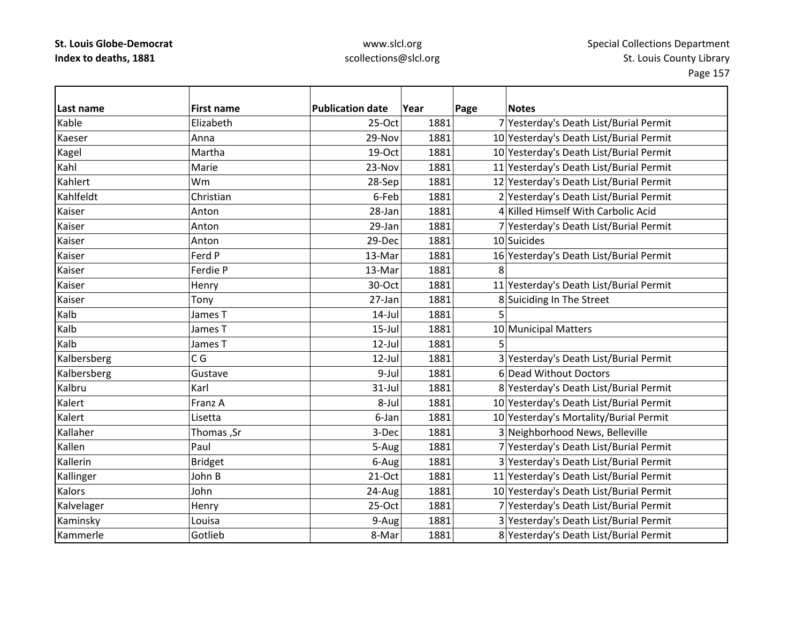| Last name   | <b>First name</b> | <b>Publication date</b> | Year | Page | <b>Notes</b>                            |
|-------------|-------------------|-------------------------|------|------|-----------------------------------------|
| Kable       | Elizabeth         | 25-Oct                  | 1881 |      | 7 Yesterday's Death List/Burial Permit  |
| Kaeser      | Anna              | 29-Nov                  | 1881 |      | 10 Yesterday's Death List/Burial Permit |
| Kagel       | Martha            | 19-Oct                  | 1881 |      | 10 Yesterday's Death List/Burial Permit |
| Kahl        | Marie             | 23-Nov                  | 1881 |      | 11 Yesterday's Death List/Burial Permit |
| Kahlert     | Wm                | 28-Sep                  | 1881 |      | 12 Yesterday's Death List/Burial Permit |
| Kahlfeldt   | Christian         | 6-Feb                   | 1881 |      | 2 Yesterday's Death List/Burial Permit  |
| Kaiser      | Anton             | 28-Jan                  | 1881 |      | 4 Killed Himself With Carbolic Acid     |
| Kaiser      | Anton             | 29-Jan                  | 1881 |      | 7 Yesterday's Death List/Burial Permit  |
| Kaiser      | Anton             | 29-Dec                  | 1881 |      | 10 Suicides                             |
| Kaiser      | Ferd P            | 13-Mar                  | 1881 |      | 16 Yesterday's Death List/Burial Permit |
| Kaiser      | Ferdie P          | 13-Mar                  | 1881 | 8    |                                         |
| Kaiser      | Henry             | 30-Oct                  | 1881 |      | 11 Yesterday's Death List/Burial Permit |
| Kaiser      | Tony              | 27-Jan                  | 1881 |      | 8 Suiciding In The Street               |
| Kalb        | James T           | $14$ -Jul               | 1881 | 5    |                                         |
| Kalb        | James T           | $15$ -Jul               | 1881 |      | 10 Municipal Matters                    |
| Kalb        | James T           | 12-Jul                  | 1881 | 5    |                                         |
| Kalbersberg | C G               | $12$ -Jul               | 1881 |      | 3 Yesterday's Death List/Burial Permit  |
| Kalbersberg | Gustave           | 9-Jul                   | 1881 |      | 6 Dead Without Doctors                  |
| Kalbru      | Karl              | $31-Jul$                | 1881 |      | 8 Yesterday's Death List/Burial Permit  |
| Kalert      | Franz A           | 8-Jul                   | 1881 |      | 10 Yesterday's Death List/Burial Permit |
| Kalert      | Lisetta           | 6-Jan                   | 1881 |      | 10 Yesterday's Mortality/Burial Permit  |
| Kallaher    | Thomas, Sr        | 3-Dec                   | 1881 |      | 3 Neighborhood News, Belleville         |
| Kallen      | Paul              | 5-Aug                   | 1881 |      | 7 Yesterday's Death List/Burial Permit  |
| Kallerin    | <b>Bridget</b>    | 6-Aug                   | 1881 |      | 3 Yesterday's Death List/Burial Permit  |
| Kallinger   | John B            | $21-Oct$                | 1881 |      | 11 Yesterday's Death List/Burial Permit |
| Kalors      | John              | 24-Aug                  | 1881 |      | 10 Yesterday's Death List/Burial Permit |
| Kalvelager  | Henry             | 25-Oct                  | 1881 |      | 7 Yesterday's Death List/Burial Permit  |
| Kaminsky    | Louisa            | 9-Aug                   | 1881 |      | 3 Yesterday's Death List/Burial Permit  |
| Kammerle    | Gotlieb           | 8-Mar                   | 1881 |      | 8 Yesterday's Death List/Burial Permit  |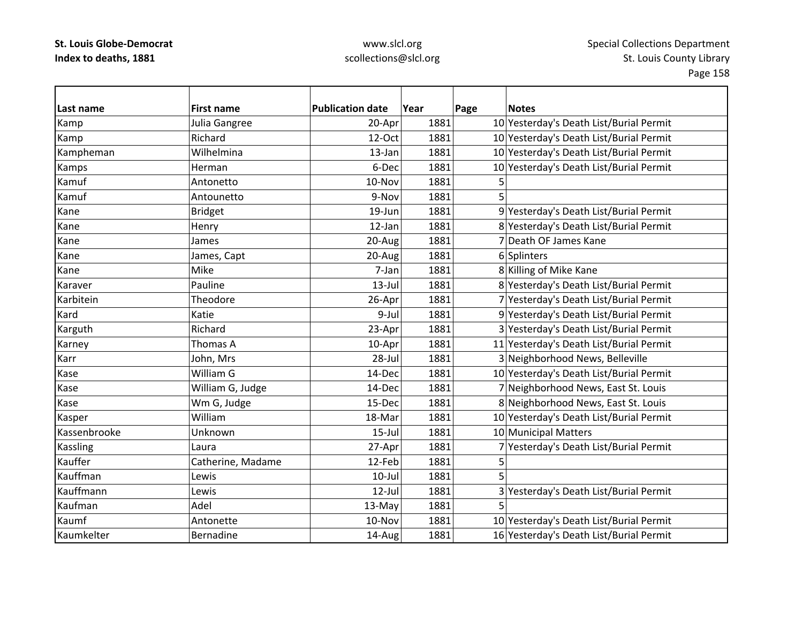| Last name    | <b>First name</b> | <b>Publication date</b> | Year | Page | <b>Notes</b>                            |
|--------------|-------------------|-------------------------|------|------|-----------------------------------------|
| Kamp         | Julia Gangree     | 20-Apr                  | 1881 |      | 10 Yesterday's Death List/Burial Permit |
| Kamp         | Richard           | 12-Oct                  | 1881 |      | 10 Yesterday's Death List/Burial Permit |
| Kampheman    | Wilhelmina        | 13-Jan                  | 1881 |      | 10 Yesterday's Death List/Burial Permit |
| Kamps        | Herman            | 6-Dec                   | 1881 |      | 10 Yesterday's Death List/Burial Permit |
| Kamuf        | Antonetto         | 10-Nov                  | 1881 | 5    |                                         |
| Kamuf        | Antounetto        | 9-Nov                   | 1881 | 5    |                                         |
| Kane         | <b>Bridget</b>    | 19-Jun                  | 1881 |      | 9 Yesterday's Death List/Burial Permit  |
| Kane         | Henry             | 12-Jan                  | 1881 |      | 8 Yesterday's Death List/Burial Permit  |
| Kane         | James             | 20-Aug                  | 1881 |      | 7 Death OF James Kane                   |
| Kane         | James, Capt       | 20-Aug                  | 1881 |      | 6 Splinters                             |
| Kane         | Mike              | 7-Jan                   | 1881 |      | 8 Killing of Mike Kane                  |
| Karaver      | Pauline           | $13$ -Jul               | 1881 |      | 8 Yesterday's Death List/Burial Permit  |
| Karbitein    | Theodore          | 26-Apr                  | 1881 |      | 7 Yesterday's Death List/Burial Permit  |
| Kard         | Katie             | $9$ -Jul                | 1881 |      | 9 Yesterday's Death List/Burial Permit  |
| Karguth      | Richard           | 23-Apr                  | 1881 |      | 3 Yesterday's Death List/Burial Permit  |
| Karney       | Thomas A          | 10-Apr                  | 1881 |      | 11 Yesterday's Death List/Burial Permit |
| Karr         | John, Mrs         | 28-Jul                  | 1881 |      | 3 Neighborhood News, Belleville         |
| Kase         | William G         | 14-Dec                  | 1881 |      | 10 Yesterday's Death List/Burial Permit |
| Kase         | William G, Judge  | 14-Dec                  | 1881 |      | 7 Neighborhood News, East St. Louis     |
| Kase         | Wm G, Judge       | 15-Dec                  | 1881 |      | 8 Neighborhood News, East St. Louis     |
| Kasper       | William           | 18-Mar                  | 1881 |      | 10 Yesterday's Death List/Burial Permit |
| Kassenbrooke | Unknown           | $15$ -Jul               | 1881 |      | 10 Municipal Matters                    |
| Kassling     | Laura             | 27-Apr                  | 1881 |      | 7 Yesterday's Death List/Burial Permit  |
| Kauffer      | Catherine, Madame | 12-Feb                  | 1881 | 5    |                                         |
| Kauffman     | Lewis             | $10$ -Jul               | 1881 |      |                                         |
| Kauffmann    | Lewis             | $12$ -Jul               | 1881 |      | 3 Yesterday's Death List/Burial Permit  |
| Kaufman      | Adel              | 13-May                  | 1881 |      |                                         |
| Kaumf        | Antonette         | 10-Nov                  | 1881 |      | 10 Yesterday's Death List/Burial Permit |
| Kaumkelter   | Bernadine         | 14-Aug                  | 1881 |      | 16 Yesterday's Death List/Burial Permit |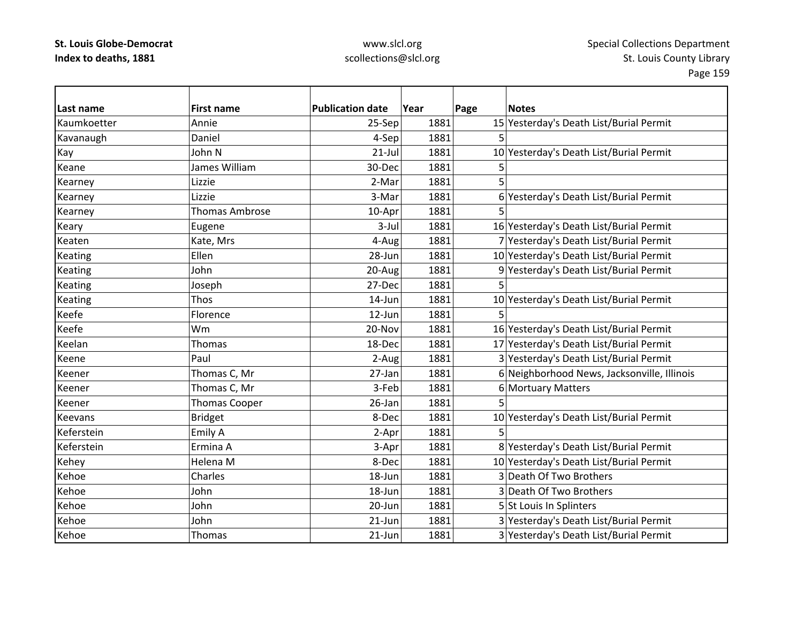| Last name      | <b>First name</b>     | <b>Publication date</b> | Year | Page | <b>Notes</b>                                |
|----------------|-----------------------|-------------------------|------|------|---------------------------------------------|
| Kaumkoetter    | Annie                 | 25-Sep                  | 1881 |      | 15 Yesterday's Death List/Burial Permit     |
| Kavanaugh      | Daniel                | 4-Sep                   | 1881 |      |                                             |
| Kay            | John N                | $21$ -Jul               | 1881 |      | 10 Yesterday's Death List/Burial Permit     |
| Keane          | James William         | 30-Dec                  | 1881 |      |                                             |
| Kearney        | Lizzie                | 2-Mar                   | 1881 |      |                                             |
| Kearney        | Lizzie                | 3-Mar                   | 1881 |      | 6 Yesterday's Death List/Burial Permit      |
| Kearney        | <b>Thomas Ambrose</b> | 10-Apr                  | 1881 |      |                                             |
| Keary          | Eugene                | $3$ -Jul                | 1881 |      | 16 Yesterday's Death List/Burial Permit     |
| Keaten         | Kate, Mrs             | 4-Aug                   | 1881 |      | 7 Yesterday's Death List/Burial Permit      |
| Keating        | Ellen                 | 28-Jun                  | 1881 |      | 10 Yesterday's Death List/Burial Permit     |
| Keating        | John                  | 20-Aug                  | 1881 |      | 9 Yesterday's Death List/Burial Permit      |
| Keating        | Joseph                | 27-Dec                  | 1881 |      |                                             |
| <b>Keating</b> | Thos                  | 14-Jun                  | 1881 |      | 10 Yesterday's Death List/Burial Permit     |
| Keefe          | Florence              | 12-Jun                  | 1881 |      |                                             |
| Keefe          | Wm                    | 20-Nov                  | 1881 |      | 16 Yesterday's Death List/Burial Permit     |
| Keelan         | <b>Thomas</b>         | 18-Dec                  | 1881 |      | 17 Yesterday's Death List/Burial Permit     |
| Keene          | Paul                  | 2-Aug                   | 1881 |      | 3 Yesterday's Death List/Burial Permit      |
| Keener         | Thomas C, Mr          | 27-Jan                  | 1881 |      | 6 Neighborhood News, Jacksonville, Illinois |
| Keener         | Thomas C, Mr          | 3-Feb                   | 1881 |      | 6 Mortuary Matters                          |
| Keener         | Thomas Cooper         | 26-Jan                  | 1881 | 5    |                                             |
| Keevans        | <b>Bridget</b>        | 8-Dec                   | 1881 |      | 10 Yesterday's Death List/Burial Permit     |
| Keferstein     | <b>Emily A</b>        | 2-Apr                   | 1881 |      |                                             |
| Keferstein     | Ermina A              | 3-Apr                   | 1881 |      | 8 Yesterday's Death List/Burial Permit      |
| Kehey          | Helena M              | 8-Dec                   | 1881 |      | 10 Yesterday's Death List/Burial Permit     |
| Kehoe          | Charles               | 18-Jun                  | 1881 |      | 3 Death Of Two Brothers                     |
| Kehoe          | John                  | 18-Jun                  | 1881 |      | 3 Death Of Two Brothers                     |
| Kehoe          | John                  | 20-Jun                  | 1881 |      | 5 St Louis In Splinters                     |
| Kehoe          | John                  | 21-Jun                  | 1881 |      | 3 Yesterday's Death List/Burial Permit      |
| Kehoe          | Thomas                | $21$ -Jun               | 1881 |      | 3 Yesterday's Death List/Burial Permit      |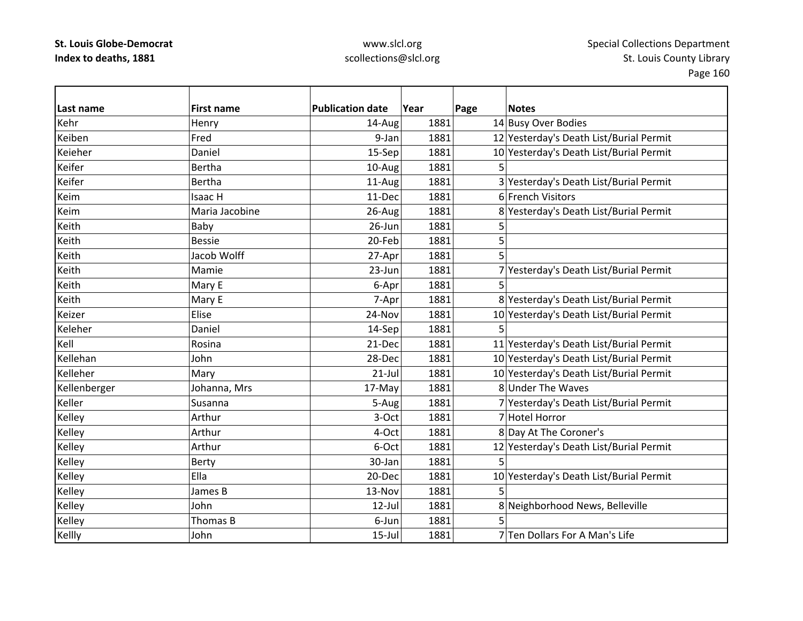| Last name    | <b>First name</b> | <b>Publication date</b> | Year | Page | <b>Notes</b>                            |
|--------------|-------------------|-------------------------|------|------|-----------------------------------------|
| Kehr         | Henry             | 14-Aug                  | 1881 |      | 14 Busy Over Bodies                     |
| Keiben       | Fred              | 9-Jan                   | 1881 |      | 12 Yesterday's Death List/Burial Permit |
| Keieher      | Daniel            | 15-Sep                  | 1881 |      | 10 Yesterday's Death List/Burial Permit |
| Keifer       | Bertha            | 10-Aug                  | 1881 | 5    |                                         |
| Keifer       | Bertha            | 11-Aug                  | 1881 |      | 3 Yesterday's Death List/Burial Permit  |
| Keim         | <b>Isaac H</b>    | 11-Dec                  | 1881 |      | 6 French Visitors                       |
| Keim         | Maria Jacobine    | 26-Aug                  | 1881 |      | 8 Yesterday's Death List/Burial Permit  |
| Keith        | Baby              | 26-Jun                  | 1881 | 5    |                                         |
| Keith        | <b>Bessie</b>     | 20-Feb                  | 1881 | 5    |                                         |
| Keith        | Jacob Wolff       | 27-Apr                  | 1881 | 5    |                                         |
| Keith        | Mamie             | 23-Jun                  | 1881 |      | 7 Yesterday's Death List/Burial Permit  |
| Keith        | Mary E            | 6-Apr                   | 1881 | 5    |                                         |
| Keith        | Mary E            | 7-Apr                   | 1881 |      | 8 Yesterday's Death List/Burial Permit  |
| Keizer       | Elise             | 24-Nov                  | 1881 |      | 10 Yesterday's Death List/Burial Permit |
| Keleher      | Daniel            | 14-Sep                  | 1881 | 5    |                                         |
| Kell         | Rosina            | 21-Dec                  | 1881 |      | 11 Yesterday's Death List/Burial Permit |
| Kellehan     | John              | 28-Dec                  | 1881 |      | 10 Yesterday's Death List/Burial Permit |
| Kelleher     | Mary              | $21$ -Jul               | 1881 |      | 10 Yesterday's Death List/Burial Permit |
| Kellenberger | Johanna, Mrs      | 17-May                  | 1881 |      | 8 Under The Waves                       |
| Keller       | Susanna           | 5-Aug                   | 1881 |      | 7 Yesterday's Death List/Burial Permit  |
| Kelley       | Arthur            | 3-Oct                   | 1881 |      | 7 Hotel Horror                          |
| Kelley       | Arthur            | 4-Oct                   | 1881 |      | 8 Day At The Coroner's                  |
| Kelley       | Arthur            | 6-Oct                   | 1881 |      | 12 Yesterday's Death List/Burial Permit |
| Kelley       | Berty             | 30-Jan                  | 1881 | 5    |                                         |
| Kelley       | Ella              | 20-Dec                  | 1881 |      | 10 Yesterday's Death List/Burial Permit |
| Kelley       | James B           | 13-Nov                  | 1881 | 5    |                                         |
| Kelley       | John              | 12-Jul                  | 1881 |      | 8 Neighborhood News, Belleville         |
| Kelley       | Thomas B          | 6-Jun                   | 1881 |      |                                         |
| Kellly       | John              | $15$ -Jul               | 1881 |      | 7 Ten Dollars For A Man's Life          |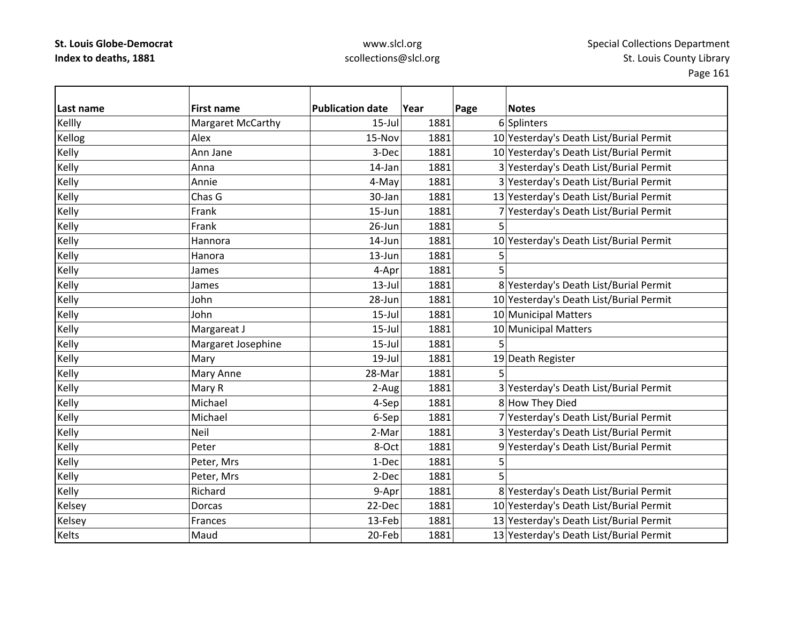| Last name | <b>First name</b>  | <b>Publication date</b> | Year | Page | <b>Notes</b>                            |
|-----------|--------------------|-------------------------|------|------|-----------------------------------------|
| Kellly    | Margaret McCarthy  | $15$ -Jul               | 1881 |      | 6 Splinters                             |
| Kellog    | Alex               | 15-Nov                  | 1881 |      | 10 Yesterday's Death List/Burial Permit |
| Kelly     | Ann Jane           | 3-Dec                   | 1881 |      | 10 Yesterday's Death List/Burial Permit |
| Kelly     | Anna               | 14-Jan                  | 1881 |      | 3 Yesterday's Death List/Burial Permit  |
| Kelly     | Annie              | 4-May                   | 1881 |      | 3 Yesterday's Death List/Burial Permit  |
| Kelly     | Chas G             | 30-Jan                  | 1881 |      | 13 Yesterday's Death List/Burial Permit |
| Kelly     | Frank              | 15-Jun                  | 1881 |      | 7 Yesterday's Death List/Burial Permit  |
| Kelly     | Frank              | 26-Jun                  | 1881 | 5    |                                         |
| Kelly     | Hannora            | 14-Jun                  | 1881 |      | 10 Yesterday's Death List/Burial Permit |
| Kelly     | Hanora             | 13-Jun                  | 1881 | 5    |                                         |
| Kelly     | James              | 4-Apr                   | 1881 | 5    |                                         |
| Kelly     | James              | $13$ -Jul               | 1881 |      | 8 Yesterday's Death List/Burial Permit  |
| Kelly     | John               | 28-Jun                  | 1881 |      | 10 Yesterday's Death List/Burial Permit |
| Kelly     | John               | $15$ -Jul               | 1881 |      | 10 Municipal Matters                    |
| Kelly     | Margareat J        | $15$ -Jul               | 1881 |      | 10 Municipal Matters                    |
| Kelly     | Margaret Josephine | $15$ -Jul               | 1881 | 5    |                                         |
| Kelly     | Mary               | 19-Jul                  | 1881 |      | 19 Death Register                       |
| Kelly     | Mary Anne          | 28-Mar                  | 1881 |      |                                         |
| Kelly     | Mary R             | 2-Aug                   | 1881 |      | 3 Yesterday's Death List/Burial Permit  |
| Kelly     | Michael            | 4-Sep                   | 1881 |      | 8 How They Died                         |
| Kelly     | Michael            | 6-Sep                   | 1881 |      | 7 Yesterday's Death List/Burial Permit  |
| Kelly     | Neil               | 2-Mar                   | 1881 |      | 3 Yesterday's Death List/Burial Permit  |
| Kelly     | Peter              | 8-Oct                   | 1881 |      | 9 Yesterday's Death List/Burial Permit  |
| Kelly     | Peter, Mrs         | 1-Dec                   | 1881 | 5    |                                         |
| Kelly     | Peter, Mrs         | 2-Dec                   | 1881 |      |                                         |
| Kelly     | Richard            | 9-Apr                   | 1881 |      | 8 Yesterday's Death List/Burial Permit  |
| Kelsey    | Dorcas             | 22-Dec                  | 1881 |      | 10 Yesterday's Death List/Burial Permit |
| Kelsey    | Frances            | 13-Feb                  | 1881 |      | 13 Yesterday's Death List/Burial Permit |
| Kelts     | Maud               | 20-Feb                  | 1881 |      | 13 Yesterday's Death List/Burial Permit |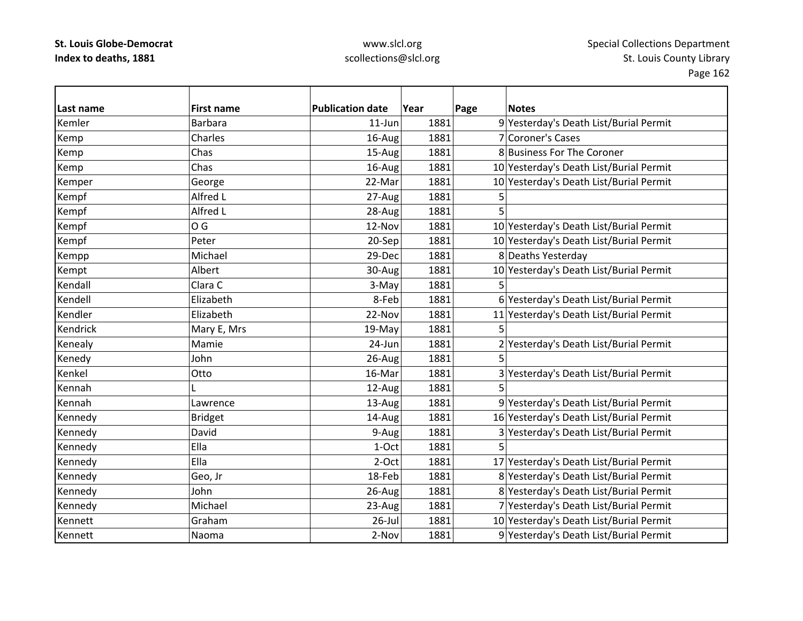| Last name | <b>First name</b> | <b>Publication date</b> | Year | Page | <b>Notes</b>                            |
|-----------|-------------------|-------------------------|------|------|-----------------------------------------|
| Kemler    | <b>Barbara</b>    | $11$ -Jun               | 1881 |      | 9 Yesterday's Death List/Burial Permit  |
| Kemp      | Charles           | 16-Aug                  | 1881 |      | 7 Coroner's Cases                       |
| Kemp      | Chas              | 15-Aug                  | 1881 |      | 8 Business For The Coroner              |
| Kemp      | Chas              | 16-Aug                  | 1881 |      | 10 Yesterday's Death List/Burial Permit |
| Kemper    | George            | 22-Mar                  | 1881 |      | 10 Yesterday's Death List/Burial Permit |
| Kempf     | Alfred L          | 27-Aug                  | 1881 | 5    |                                         |
| Kempf     | Alfred L          | 28-Aug                  | 1881 | 5    |                                         |
| Kempf     | O G               | 12-Nov                  | 1881 |      | 10 Yesterday's Death List/Burial Permit |
| Kempf     | Peter             | 20-Sep                  | 1881 |      | 10 Yesterday's Death List/Burial Permit |
| Kempp     | Michael           | 29-Dec                  | 1881 |      | 8 Deaths Yesterday                      |
| Kempt     | Albert            | 30-Aug                  | 1881 |      | 10 Yesterday's Death List/Burial Permit |
| Kendall   | Clara C           | 3-May                   | 1881 | 5    |                                         |
| Kendell   | Elizabeth         | 8-Feb                   | 1881 |      | 6 Yesterday's Death List/Burial Permit  |
| Kendler   | Elizabeth         | 22-Nov                  | 1881 |      | 11 Yesterday's Death List/Burial Permit |
| Kendrick  | Mary E, Mrs       | 19-May                  | 1881 | 5    |                                         |
| Kenealy   | Mamie             | 24-Jun                  | 1881 |      | 2 Yesterday's Death List/Burial Permit  |
| Kenedy    | John              | 26-Aug                  | 1881 | 5    |                                         |
| Kenkel    | Otto              | 16-Mar                  | 1881 |      | 3 Yesterday's Death List/Burial Permit  |
| Kennah    |                   | 12-Aug                  | 1881 | 5    |                                         |
| Kennah    | Lawrence          | 13-Aug                  | 1881 |      | 9 Yesterday's Death List/Burial Permit  |
| Kennedy   | <b>Bridget</b>    | 14-Aug                  | 1881 |      | 16 Yesterday's Death List/Burial Permit |
| Kennedy   | David             | 9-Aug                   | 1881 |      | 3 Yesterday's Death List/Burial Permit  |
| Kennedy   | Ella              | 1-Oct                   | 1881 |      |                                         |
| Kennedy   | Ella              | 2-Oct                   | 1881 |      | 17 Yesterday's Death List/Burial Permit |
| Kennedy   | Geo, Jr           | 18-Feb                  | 1881 |      | 8 Yesterday's Death List/Burial Permit  |
| Kennedy   | John              | 26-Aug                  | 1881 |      | 8 Yesterday's Death List/Burial Permit  |
| Kennedy   | Michael           | 23-Aug                  | 1881 |      | 7 Yesterday's Death List/Burial Permit  |
| Kennett   | Graham            | $26$ -Jul               | 1881 |      | 10 Yesterday's Death List/Burial Permit |
| Kennett   | Naoma             | 2-Nov                   | 1881 |      | 9 Yesterday's Death List/Burial Permit  |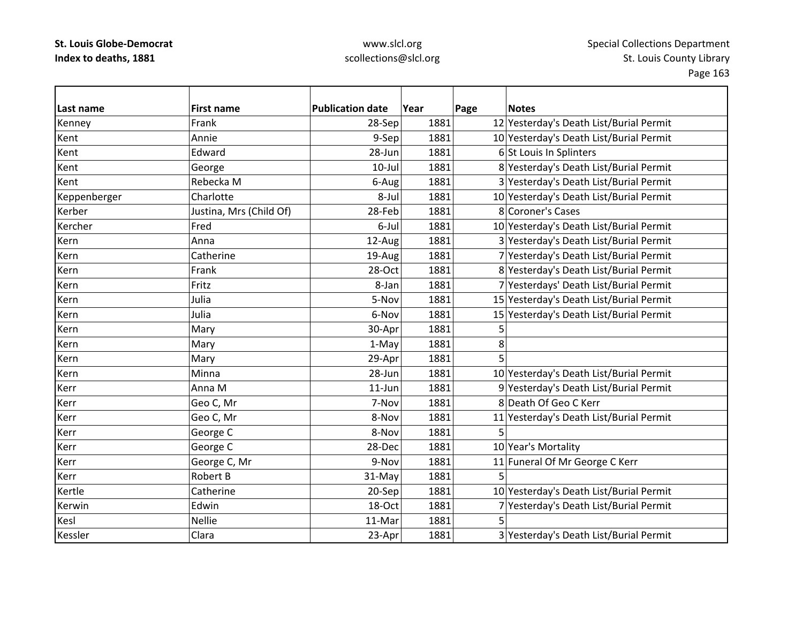| Last name    | <b>First name</b>       | <b>Publication date</b> | Year | Page | <b>Notes</b>                            |
|--------------|-------------------------|-------------------------|------|------|-----------------------------------------|
| Kenney       | Frank                   | 28-Sep                  | 1881 |      | 12 Yesterday's Death List/Burial Permit |
| Kent         | Annie                   | 9-Sep                   | 1881 |      | 10 Yesterday's Death List/Burial Permit |
| Kent         | Edward                  | 28-Jun                  | 1881 |      | 6 St Louis In Splinters                 |
| Kent         | George                  | $10$ -Jul               | 1881 |      | 8 Yesterday's Death List/Burial Permit  |
| Kent         | Rebecka M               | 6-Aug                   | 1881 |      | 3 Yesterday's Death List/Burial Permit  |
| Keppenberger | Charlotte               | 8-Jul                   | 1881 |      | 10 Yesterday's Death List/Burial Permit |
| Kerber       | Justina, Mrs (Child Of) | 28-Feb                  | 1881 |      | 8 Coroner's Cases                       |
| Kercher      | Fred                    | 6-Jul                   | 1881 |      | 10 Yesterday's Death List/Burial Permit |
| Kern         | Anna                    | 12-Aug                  | 1881 |      | 3 Yesterday's Death List/Burial Permit  |
| Kern         | Catherine               | 19-Aug                  | 1881 |      | 7 Yesterday's Death List/Burial Permit  |
| Kern         | Frank                   | 28-Oct                  | 1881 |      | 8 Yesterday's Death List/Burial Permit  |
| Kern         | Fritz                   | 8-Jan                   | 1881 |      | 7 Yesterdays' Death List/Burial Permit  |
| Kern         | Julia                   | 5-Nov                   | 1881 |      | 15 Yesterday's Death List/Burial Permit |
| Kern         | Julia                   | 6-Nov                   | 1881 |      | 15 Yesterday's Death List/Burial Permit |
| Kern         | Mary                    | 30-Apr                  | 1881 | 5    |                                         |
| Kern         | Mary                    | 1-May                   | 1881 | 8    |                                         |
| Kern         | Mary                    | 29-Apr                  | 1881 | 5    |                                         |
| Kern         | Minna                   | 28-Jun                  | 1881 |      | 10 Yesterday's Death List/Burial Permit |
| Kerr         | Anna M                  | $11$ -Jun               | 1881 |      | 9 Yesterday's Death List/Burial Permit  |
| Kerr         | Geo C, Mr               | 7-Nov                   | 1881 |      | 8 Death Of Geo C Kerr                   |
| Kerr         | Geo C, Mr               | 8-Nov                   | 1881 |      | 11 Yesterday's Death List/Burial Permit |
| Kerr         | George C                | 8-Nov                   | 1881 | 5    |                                         |
| Kerr         | George C                | 28-Dec                  | 1881 |      | 10 Year's Mortality                     |
| Kerr         | George C, Mr            | 9-Nov                   | 1881 |      | 11 Funeral Of Mr George C Kerr          |
| Kerr         | <b>Robert B</b>         | 31-May                  | 1881 | 5    |                                         |
| Kertle       | Catherine               | 20-Sep                  | 1881 |      | 10 Yesterday's Death List/Burial Permit |
| Kerwin       | Edwin                   | 18-Oct                  | 1881 |      | 7 Yesterday's Death List/Burial Permit  |
| Kesl         | <b>Nellie</b>           | 11-Mar                  | 1881 | 5    |                                         |
| Kessler      | Clara                   | 23-Apr                  | 1881 |      | 3 Yesterday's Death List/Burial Permit  |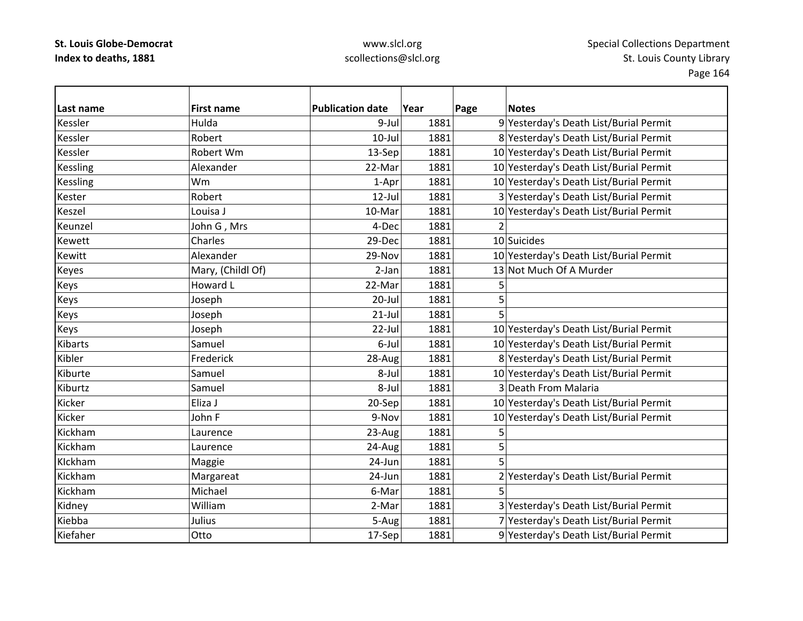| lLast name      | <b>First name</b> | <b>Publication date</b> | Year | Page<br><b>Notes</b>                    |
|-----------------|-------------------|-------------------------|------|-----------------------------------------|
| Kessler         | Hulda             | 9-Jul                   | 1881 | 9 Yesterday's Death List/Burial Permit  |
| Kessler         | Robert            | $10$ -Jul               | 1881 | 8 Yesterday's Death List/Burial Permit  |
| Kessler         | Robert Wm         | 13-Sep                  | 1881 | 10 Yesterday's Death List/Burial Permit |
| <b>Kessling</b> | Alexander         | 22-Mar                  | 1881 | 10 Yesterday's Death List/Burial Permit |
| <b>Kessling</b> | Wm                | 1-Apr                   | 1881 | 10 Yesterday's Death List/Burial Permit |
| Kester          | Robert            | $12$ -Jul               | 1881 | 3 Yesterday's Death List/Burial Permit  |
| Keszel          | Louisa J          | 10-Mar                  | 1881 | 10 Yesterday's Death List/Burial Permit |
| Keunzel         | John G, Mrs       | 4-Dec                   | 1881 |                                         |
| Kewett          | Charles           | 29-Dec                  | 1881 | 10 Suicides                             |
| Kewitt          | Alexander         | 29-Nov                  | 1881 | 10 Yesterday's Death List/Burial Permit |
| Keyes           | Mary, (Childl Of) | $2-Jan$                 | 1881 | 13 Not Much Of A Murder                 |
| Keys            | Howard L          | 22-Mar                  | 1881 | 5                                       |
| Keys            | Joseph            | $20$ -Jul               | 1881 | 5                                       |
| Keys            | Joseph            | $21$ -Jul               | 1881 | 5                                       |
| Keys            | Joseph            | 22-Jul                  | 1881 | 10 Yesterday's Death List/Burial Permit |
| <b>Kibarts</b>  | Samuel            | 6-Jul                   | 1881 | 10 Yesterday's Death List/Burial Permit |
| Kibler          | Frederick         | 28-Aug                  | 1881 | 8 Yesterday's Death List/Burial Permit  |
| Kiburte         | Samuel            | 8-Jul                   | 1881 | 10 Yesterday's Death List/Burial Permit |
| Kiburtz         | Samuel            | 8-Jul                   | 1881 | 3 Death From Malaria                    |
| Kicker          | Eliza J           | 20-Sep                  | 1881 | 10 Yesterday's Death List/Burial Permit |
| Kicker          | John F            | 9-Nov                   | 1881 | 10 Yesterday's Death List/Burial Permit |
| Kickham         | Laurence          | 23-Aug                  | 1881 | 5                                       |
| Kickham         | Laurence          | 24-Aug                  | 1881 | 5                                       |
| Klckham         | Maggie            | 24-Jun                  | 1881 | 5                                       |
| Kickham         | Margareat         | 24-Jun                  | 1881 | 2 Yesterday's Death List/Burial Permit  |
| Kickham         | Michael           | 6-Mar                   | 1881 | 5                                       |
| Kidney          | William           | 2-Mar                   | 1881 | 3 Yesterday's Death List/Burial Permit  |
| Kiebba          | Julius            | 5-Aug                   | 1881 | 7 Yesterday's Death List/Burial Permit  |
| Kiefaher        | Otto              | 17-Sep                  | 1881 | 9 Yesterday's Death List/Burial Permit  |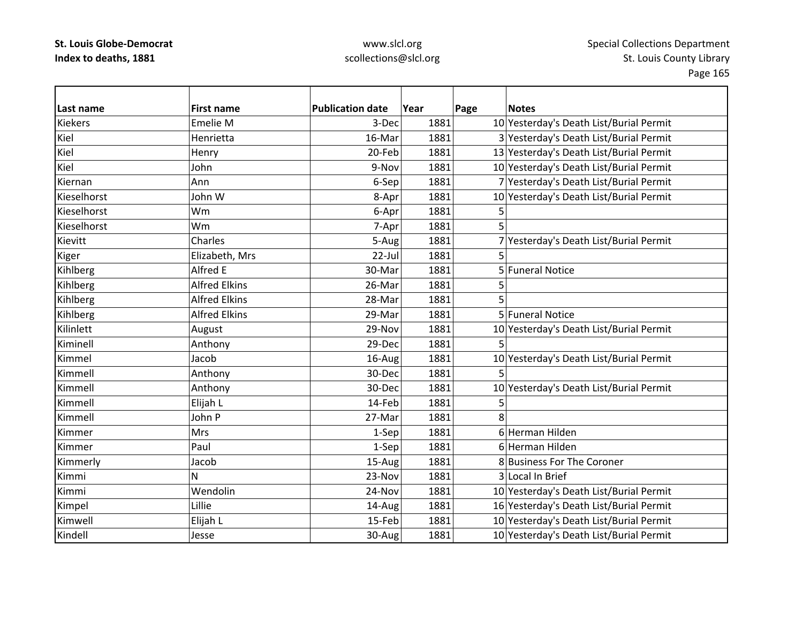| Last name      | <b>First name</b>    | <b>Publication date</b> | Year | Page | <b>Notes</b>                            |
|----------------|----------------------|-------------------------|------|------|-----------------------------------------|
| <b>Kiekers</b> | Emelie M             | 3-Dec                   | 1881 |      | 10 Yesterday's Death List/Burial Permit |
| Kiel           | Henrietta            | 16-Mar                  | 1881 |      | 3 Yesterday's Death List/Burial Permit  |
| Kiel           | Henry                | 20-Feb                  | 1881 |      | 13 Yesterday's Death List/Burial Permit |
| Kiel           | John                 | 9-Nov                   | 1881 |      | 10 Yesterday's Death List/Burial Permit |
| Kiernan        | Ann                  | 6-Sep                   | 1881 |      | 7 Yesterday's Death List/Burial Permit  |
| Kieselhorst    | John W               | 8-Apr                   | 1881 |      | 10 Yesterday's Death List/Burial Permit |
| Kieselhorst    | Wm                   | 6-Apr                   | 1881 | 5    |                                         |
| Kieselhorst    | Wm                   | 7-Apr                   | 1881 |      |                                         |
| Kievitt        | Charles              | 5-Aug                   | 1881 |      | 7 Yesterday's Death List/Burial Permit  |
| Kiger          | Elizabeth, Mrs       | $22$ -Jul               | 1881 | 5    |                                         |
| Kihlberg       | Alfred E             | 30-Mar                  | 1881 |      | 5 Funeral Notice                        |
| Kihlberg       | <b>Alfred Elkins</b> | 26-Mar                  | 1881 | 5    |                                         |
| Kihlberg       | <b>Alfred Elkins</b> | 28-Mar                  | 1881 |      |                                         |
| Kihlberg       | <b>Alfred Elkins</b> | 29-Mar                  | 1881 |      | 5 Funeral Notice                        |
| Kilinlett      | August               | 29-Nov                  | 1881 |      | 10 Yesterday's Death List/Burial Permit |
| Kiminell       | Anthony              | 29-Dec                  | 1881 | 5    |                                         |
| Kimmel         | Jacob                | 16-Aug                  | 1881 |      | 10 Yesterday's Death List/Burial Permit |
| Kimmell        | Anthony              | 30-Dec                  | 1881 |      |                                         |
| Kimmell        | Anthony              | 30-Dec                  | 1881 |      | 10 Yesterday's Death List/Burial Permit |
| Kimmell        | Elijah L             | 14-Feb                  | 1881 | 5    |                                         |
| Kimmell        | John P               | 27-Mar                  | 1881 | 8    |                                         |
| Kimmer         | <b>Mrs</b>           | 1-Sep                   | 1881 |      | 6 Herman Hilden                         |
| Kimmer         | Paul                 | $1-Sep$                 | 1881 |      | 6 Herman Hilden                         |
| Kimmerly       | Jacob                | 15-Aug                  | 1881 |      | 8 Business For The Coroner              |
| Kimmi          | N                    | 23-Nov                  | 1881 |      | 3 Local In Brief                        |
| Kimmi          | Wendolin             | 24-Nov                  | 1881 |      | 10 Yesterday's Death List/Burial Permit |
| Kimpel         | Lillie               | 14-Aug                  | 1881 |      | 16 Yesterday's Death List/Burial Permit |
| Kimwell        | Elijah L             | 15-Feb                  | 1881 |      | 10 Yesterday's Death List/Burial Permit |
| Kindell        | Jesse                | 30-Aug                  | 1881 |      | 10 Yesterday's Death List/Burial Permit |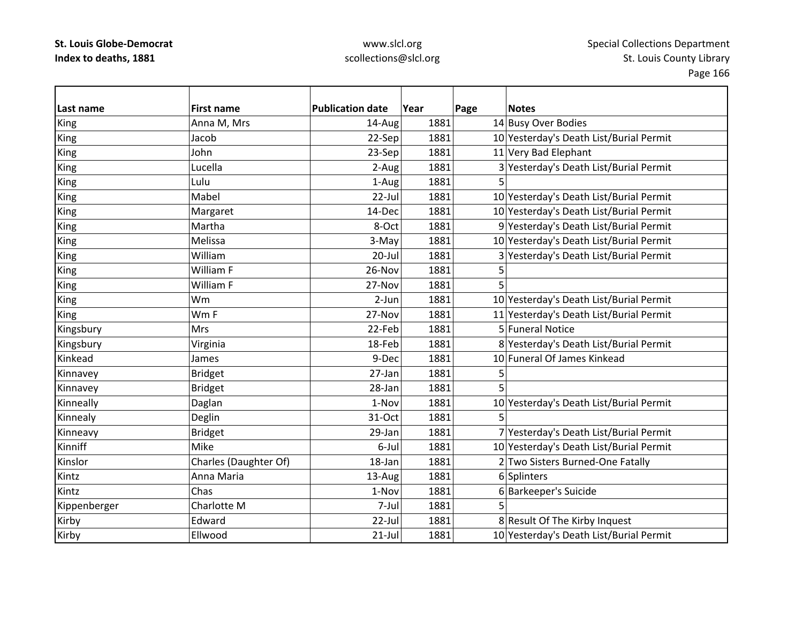| Last name    | <b>First name</b>     | <b>Publication date</b> | Year | Page | <b>Notes</b>                            |
|--------------|-----------------------|-------------------------|------|------|-----------------------------------------|
| <b>King</b>  | Anna M, Mrs           | 14-Aug                  | 1881 |      | 14 Busy Over Bodies                     |
| King         | Jacob                 | 22-Sep                  | 1881 |      | 10 Yesterday's Death List/Burial Permit |
| <b>King</b>  | John                  | 23-Sep                  | 1881 |      | 11 Very Bad Elephant                    |
| King         | Lucella               | 2-Aug                   | 1881 |      | 3 Yesterday's Death List/Burial Permit  |
| King         | Lulu                  | 1-Aug                   | 1881 |      |                                         |
| King         | Mabel                 | 22-Jul                  | 1881 |      | 10 Yesterday's Death List/Burial Permit |
| King         | Margaret              | 14-Dec                  | 1881 |      | 10 Yesterday's Death List/Burial Permit |
| King         | Martha                | 8-Oct                   | 1881 |      | 9 Yesterday's Death List/Burial Permit  |
| King         | Melissa               | 3-May                   | 1881 |      | 10 Yesterday's Death List/Burial Permit |
| King         | William               | $20$ -Jul               | 1881 |      | 3 Yesterday's Death List/Burial Permit  |
| King         | William F             | 26-Nov                  | 1881 |      |                                         |
| King         | William F             | 27-Nov                  | 1881 | 5    |                                         |
| King         | Wm                    | $2-Jun$                 | 1881 |      | 10 Yesterday's Death List/Burial Permit |
| <b>King</b>  | Wm F                  | 27-Nov                  | 1881 |      | 11 Yesterday's Death List/Burial Permit |
| Kingsbury    | <b>Mrs</b>            | 22-Feb                  | 1881 |      | 5 Funeral Notice                        |
| Kingsbury    | Virginia              | 18-Feb                  | 1881 |      | 8 Yesterday's Death List/Burial Permit  |
| Kinkead      | James                 | 9-Dec                   | 1881 |      | 10 Funeral Of James Kinkead             |
| Kinnavey     | <b>Bridget</b>        | 27-Jan                  | 1881 |      |                                         |
| Kinnavey     | <b>Bridget</b>        | 28-Jan                  | 1881 |      |                                         |
| Kinneally    | Daglan                | 1-Nov                   | 1881 |      | 10 Yesterday's Death List/Burial Permit |
| Kinnealy     | Deglin                | 31-Oct                  | 1881 | 5    |                                         |
| Kinneavy     | <b>Bridget</b>        | 29-Jan                  | 1881 |      | 7 Yesterday's Death List/Burial Permit  |
| Kinniff      | Mike                  | 6-Jul                   | 1881 |      | 10 Yesterday's Death List/Burial Permit |
| Kinslor      | Charles (Daughter Of) | 18-Jan                  | 1881 |      | 2 Two Sisters Burned-One Fatally        |
| Kintz        | Anna Maria            | 13-Aug                  | 1881 |      | 6 Splinters                             |
| Kintz        | Chas                  | 1-Nov                   | 1881 |      | 6 Barkeeper's Suicide                   |
| Kippenberger | Charlotte M           | 7-Jul                   | 1881 | 5    |                                         |
| Kirby        | Edward                | 22-Jul                  | 1881 |      | 8 Result Of The Kirby Inquest           |
| Kirby        | Ellwood               | $21$ -Jul               | 1881 |      | 10 Yesterday's Death List/Burial Permit |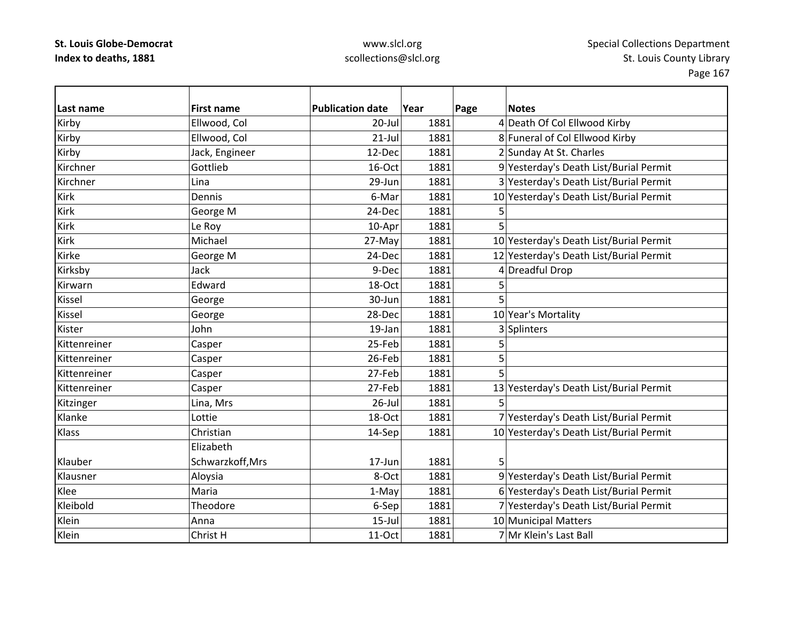| Last name    | <b>First name</b> | <b>Publication date</b> | Year | Page | <b>Notes</b>                            |
|--------------|-------------------|-------------------------|------|------|-----------------------------------------|
| Kirby        | Ellwood, Col      | 20-Jul                  | 1881 |      | 4 Death Of Col Ellwood Kirby            |
| Kirby        | Ellwood, Col      | $21$ -Jul               | 1881 |      | 8 Funeral of Col Ellwood Kirby          |
| Kirby        | Jack, Engineer    | 12-Dec                  | 1881 |      | 2 Sunday At St. Charles                 |
| Kirchner     | Gottlieb          | 16-Oct                  | 1881 |      | 9 Yesterday's Death List/Burial Permit  |
| Kirchner     | Lina              | 29-Jun                  | 1881 |      | 3 Yesterday's Death List/Burial Permit  |
| Kirk         | Dennis            | 6-Mar                   | 1881 |      | 10 Yesterday's Death List/Burial Permit |
| Kirk         | George M          | 24-Dec                  | 1881 | 5    |                                         |
| Kirk         | Le Roy            | 10-Apr                  | 1881 | 5    |                                         |
| Kirk         | Michael           | 27-May                  | 1881 |      | 10 Yesterday's Death List/Burial Permit |
| Kirke        | George M          | 24-Dec                  | 1881 |      | 12 Yesterday's Death List/Burial Permit |
| Kirksby      | Jack              | 9-Dec                   | 1881 |      | 4 Dreadful Drop                         |
| Kirwarn      | Edward            | 18-Oct                  | 1881 | 5    |                                         |
| Kissel       | George            | 30-Jun                  | 1881 | 5    |                                         |
| Kissel       | George            | 28-Dec                  | 1881 |      | 10 Year's Mortality                     |
| Kister       | John              | 19-Jan                  | 1881 |      | 3 Splinters                             |
| Kittenreiner | Casper            | 25-Feb                  | 1881 | 5    |                                         |
| Kittenreiner | Casper            | 26-Feb                  | 1881 | 5    |                                         |
| Kittenreiner | Casper            | 27-Feb                  | 1881 | 5    |                                         |
| Kittenreiner | Casper            | 27-Feb                  | 1881 |      | 13 Yesterday's Death List/Burial Permit |
| Kitzinger    | Lina, Mrs         | $26$ -Jul               | 1881 | 5    |                                         |
| Klanke       | Lottie            | 18-Oct                  | 1881 |      | 7 Yesterday's Death List/Burial Permit  |
| Klass        | Christian         | 14-Sep                  | 1881 |      | 10 Yesterday's Death List/Burial Permit |
|              | Elizabeth         |                         |      |      |                                         |
| Klauber      | Schwarzkoff, Mrs  | 17-Jun                  | 1881 | 5    |                                         |
| Klausner     | Aloysia           | 8-Oct                   | 1881 |      | 9 Yesterday's Death List/Burial Permit  |
| Klee         | Maria             | 1-May                   | 1881 |      | 6 Yesterday's Death List/Burial Permit  |
| Kleibold     | Theodore          | 6-Sep                   | 1881 |      | 7 Yesterday's Death List/Burial Permit  |
| Klein        | Anna              | $15$ -Jul               | 1881 |      | 10 Municipal Matters                    |
| Klein        | Christ H          | 11-Oct                  | 1881 |      | 7 Mr Klein's Last Ball                  |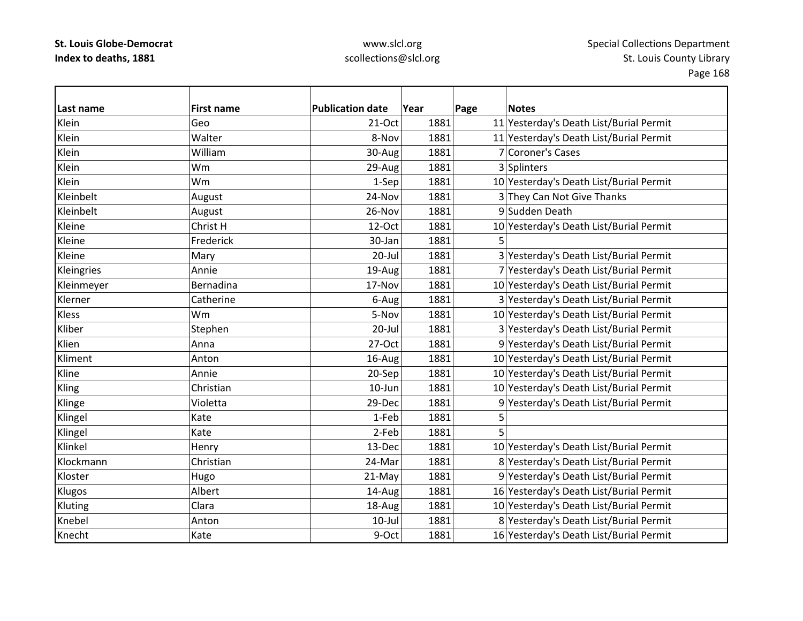| Last name  | <b>First name</b> | <b>Publication date</b> | Year | Page | <b>Notes</b>                            |
|------------|-------------------|-------------------------|------|------|-----------------------------------------|
| Klein      | Geo               | 21-Oct                  | 1881 |      | 11 Yesterday's Death List/Burial Permit |
| Klein      | Walter            | 8-Nov                   | 1881 |      | 11 Yesterday's Death List/Burial Permit |
| Klein      | William           | 30-Aug                  | 1881 |      | 7 Coroner's Cases                       |
| Klein      | Wm                | 29-Aug                  | 1881 |      | 3 Splinters                             |
| Klein      | Wm                | 1-Sep                   | 1881 |      | 10 Yesterday's Death List/Burial Permit |
| Kleinbelt  | August            | 24-Nov                  | 1881 |      | 3 They Can Not Give Thanks              |
| Kleinbelt  | August            | 26-Nov                  | 1881 |      | 9 Sudden Death                          |
| Kleine     | Christ H          | 12-Oct                  | 1881 |      | 10 Yesterday's Death List/Burial Permit |
| Kleine     | Frederick         | 30-Jan                  | 1881 | 5    |                                         |
| Kleine     | Mary              | 20-Jul                  | 1881 |      | 3 Yesterday's Death List/Burial Permit  |
| Kleingries | Annie             | 19-Aug                  | 1881 |      | 7 Yesterday's Death List/Burial Permit  |
| Kleinmeyer | Bernadina         | 17-Nov                  | 1881 |      | 10 Yesterday's Death List/Burial Permit |
| Klerner    | Catherine         | 6-Aug                   | 1881 |      | 3 Yesterday's Death List/Burial Permit  |
| Kless      | Wm                | 5-Nov                   | 1881 |      | 10 Yesterday's Death List/Burial Permit |
| Kliber     | Stephen           | $20$ -Jul               | 1881 |      | 3 Yesterday's Death List/Burial Permit  |
| Klien      | Anna              | 27-Oct                  | 1881 |      | 9 Yesterday's Death List/Burial Permit  |
| Kliment    | Anton             | 16-Aug                  | 1881 |      | 10 Yesterday's Death List/Burial Permit |
| Kline      | Annie             | 20-Sep                  | 1881 |      | 10 Yesterday's Death List/Burial Permit |
| Kling      | Christian         | 10-Jun                  | 1881 |      | 10 Yesterday's Death List/Burial Permit |
| Klinge     | Violetta          | 29-Dec                  | 1881 |      | 9 Yesterday's Death List/Burial Permit  |
| Klingel    | Kate              | 1-Feb                   | 1881 | 5    |                                         |
| Klingel    | Kate              | 2-Feb                   | 1881 |      |                                         |
| Klinkel    | Henry             | 13-Dec                  | 1881 |      | 10 Yesterday's Death List/Burial Permit |
| Klockmann  | Christian         | 24-Mar                  | 1881 |      | 8 Yesterday's Death List/Burial Permit  |
| Kloster    | Hugo              | 21-May                  | 1881 |      | 9 Yesterday's Death List/Burial Permit  |
| Klugos     | Albert            | 14-Aug                  | 1881 |      | 16 Yesterday's Death List/Burial Permit |
| Kluting    | Clara             | 18-Aug                  | 1881 |      | 10 Yesterday's Death List/Burial Permit |
| Knebel     | Anton             | $10$ -Jul               | 1881 |      | 8 Yesterday's Death List/Burial Permit  |
| Knecht     | Kate              | 9-Oct                   | 1881 |      | 16 Yesterday's Death List/Burial Permit |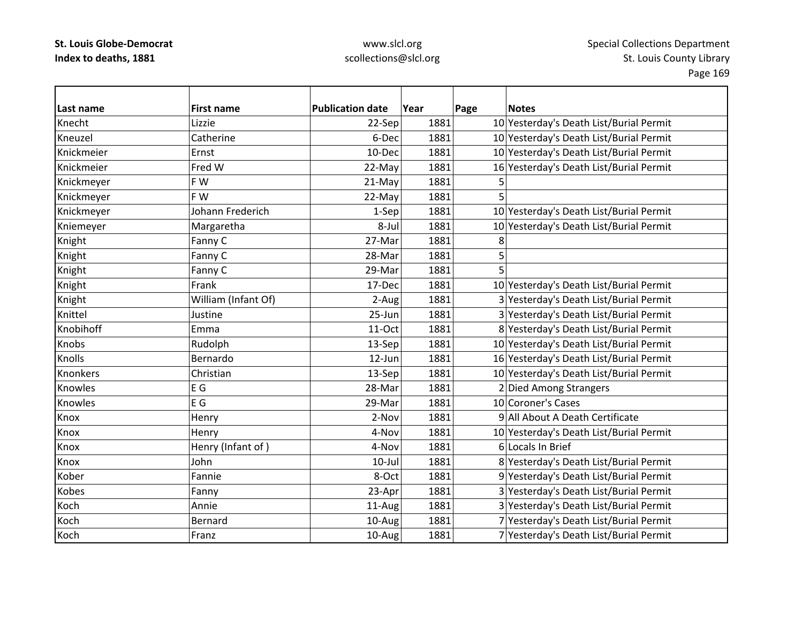| Last name    | <b>First name</b>   | <b>Publication date</b> | Year | Page | <b>Notes</b>                            |
|--------------|---------------------|-------------------------|------|------|-----------------------------------------|
| Knecht       | Lizzie              | 22-Sep                  | 1881 |      | 10 Yesterday's Death List/Burial Permit |
| Kneuzel      | Catherine           | 6-Dec                   | 1881 |      | 10 Yesterday's Death List/Burial Permit |
| Knickmeier   | Ernst               | 10-Dec                  | 1881 |      | 10 Yesterday's Death List/Burial Permit |
| Knickmeier   | Fred W              | 22-May                  | 1881 |      | 16 Yesterday's Death List/Burial Permit |
| Knickmeyer   | FW                  | 21-May                  | 1881 | 5    |                                         |
| Knickmeyer   | F W                 | 22-May                  | 1881 | 5    |                                         |
| Knickmeyer   | Johann Frederich    | 1-Sep                   | 1881 |      | 10 Yesterday's Death List/Burial Permit |
| Kniemeyer    | Margaretha          | 8-Jul                   | 1881 |      | 10 Yesterday's Death List/Burial Permit |
| Knight       | Fanny C             | 27-Mar                  | 1881 | 8    |                                         |
| Knight       | Fanny C             | 28-Mar                  | 1881 | 5    |                                         |
| Knight       | Fanny C             | 29-Mar                  | 1881 | 5    |                                         |
| Knight       | Frank               | 17-Dec                  | 1881 |      | 10 Yesterday's Death List/Burial Permit |
| Knight       | William (Infant Of) | 2-Aug                   | 1881 |      | 3 Yesterday's Death List/Burial Permit  |
| Knittel      | Justine             | 25-Jun                  | 1881 |      | 3 Yesterday's Death List/Burial Permit  |
| Knobihoff    | Emma                | 11-Oct                  | 1881 |      | 8 Yesterday's Death List/Burial Permit  |
| <b>Knobs</b> | Rudolph             | 13-Sep                  | 1881 |      | 10 Yesterday's Death List/Burial Permit |
| Knolls       | Bernardo            | $12$ -Jun               | 1881 |      | 16 Yesterday's Death List/Burial Permit |
| Knonkers     | Christian           | 13-Sep                  | 1881 |      | 10 Yesterday's Death List/Burial Permit |
| Knowles      | E G                 | 28-Mar                  | 1881 |      | 2 Died Among Strangers                  |
| Knowles      | E G                 | 29-Mar                  | 1881 |      | 10 Coroner's Cases                      |
| Knox         | Henry               | 2-Nov                   | 1881 |      | 9 All About A Death Certificate         |
| Knox         | Henry               | 4-Nov                   | 1881 |      | 10 Yesterday's Death List/Burial Permit |
| Knox         | Henry (Infant of)   | 4-Nov                   | 1881 |      | 6 Locals In Brief                       |
| Knox         | John                | $10$ -Jul               | 1881 |      | 8 Yesterday's Death List/Burial Permit  |
| Kober        | Fannie              | 8-Oct                   | 1881 |      | 9 Yesterday's Death List/Burial Permit  |
| Kobes        | Fanny               | 23-Apr                  | 1881 |      | 3 Yesterday's Death List/Burial Permit  |
| Koch         | Annie               | 11-Aug                  | 1881 |      | 3 Yesterday's Death List/Burial Permit  |
| Koch         | Bernard             | 10-Aug                  | 1881 |      | 7 Yesterday's Death List/Burial Permit  |
| Koch         | Franz               | 10-Aug                  | 1881 |      | 7 Yesterday's Death List/Burial Permit  |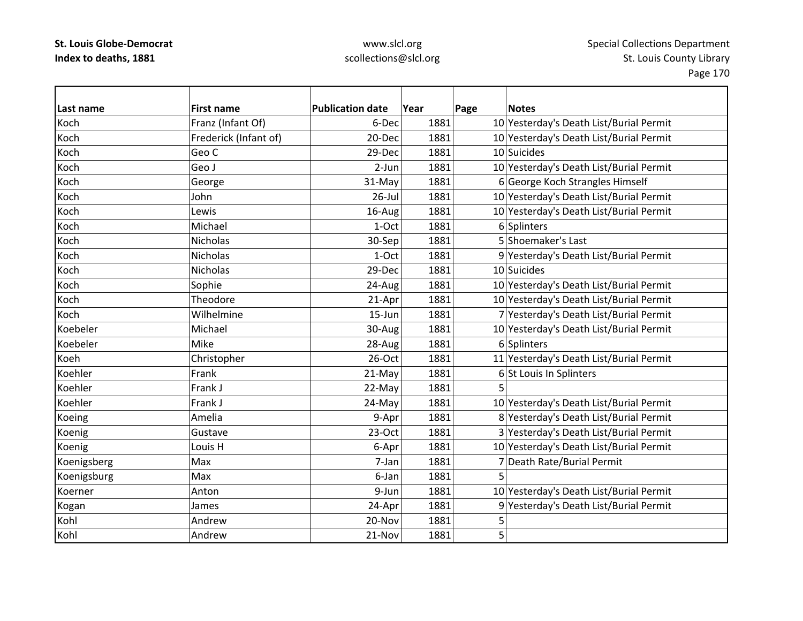| Last name   | <b>First name</b>     | <b>Publication date</b> | Year | Page<br><b>Notes</b>                    |
|-------------|-----------------------|-------------------------|------|-----------------------------------------|
| Koch        | Franz (Infant Of)     | 6-Dec                   | 1881 | 10 Yesterday's Death List/Burial Permit |
| Koch        | Frederick (Infant of) | 20-Dec                  | 1881 | 10 Yesterday's Death List/Burial Permit |
| Koch        | Geo C                 | 29-Dec                  | 1881 | 10 Suicides                             |
| Koch        | Geo J                 | $2-Jun$                 | 1881 | 10 Yesterday's Death List/Burial Permit |
| Koch        | George                | 31-May                  | 1881 | 6 George Koch Strangles Himself         |
| Koch        | John                  | $26$ -Jul               | 1881 | 10 Yesterday's Death List/Burial Permit |
| Koch        | Lewis                 | 16-Aug                  | 1881 | 10 Yesterday's Death List/Burial Permit |
| Koch        | Michael               | 1-Oct                   | 1881 | 6 Splinters                             |
| Koch        | Nicholas              | 30-Sep                  | 1881 | 5 Shoemaker's Last                      |
| Koch        | <b>Nicholas</b>       | 1-Oct                   | 1881 | 9 Yesterday's Death List/Burial Permit  |
| Koch        | Nicholas              | 29-Dec                  | 1881 | 10 Suicides                             |
| Koch        | Sophie                | 24-Aug                  | 1881 | 10 Yesterday's Death List/Burial Permit |
| Koch        | Theodore              | 21-Apr                  | 1881 | 10 Yesterday's Death List/Burial Permit |
| Koch        | Wilhelmine            | $15 - Jun$              | 1881 | 7 Yesterday's Death List/Burial Permit  |
| Koebeler    | Michael               | 30-Aug                  | 1881 | 10 Yesterday's Death List/Burial Permit |
| Koebeler    | Mike                  | 28-Aug                  | 1881 | 6 Splinters                             |
| Koeh        | Christopher           | 26-Oct                  | 1881 | 11 Yesterday's Death List/Burial Permit |
| Koehler     | Frank                 | 21-May                  | 1881 | 6 St Louis In Splinters                 |
| Koehler     | Frank J               | 22-May                  | 1881 | 5                                       |
| Koehler     | Frank J               | 24-May                  | 1881 | 10 Yesterday's Death List/Burial Permit |
| Koeing      | Amelia                | 9-Apr                   | 1881 | 8 Yesterday's Death List/Burial Permit  |
| Koenig      | Gustave               | $23-Oct$                | 1881 | 3 Yesterday's Death List/Burial Permit  |
| Koenig      | Louis H               | 6-Apr                   | 1881 | 10 Yesterday's Death List/Burial Permit |
| Koenigsberg | Max                   | 7-Jan                   | 1881 | 7 Death Rate/Burial Permit              |
| Koenigsburg | Max                   | 6-Jan                   | 1881 | 5                                       |
| Koerner     | Anton                 | 9-Jun                   | 1881 | 10 Yesterday's Death List/Burial Permit |
| Kogan       | James                 | 24-Apr                  | 1881 | 9 Yesterday's Death List/Burial Permit  |
| Kohl        | Andrew                | 20-Nov                  | 1881 | 5                                       |
| Kohl        | Andrew                | 21-Nov                  | 1881 | 5                                       |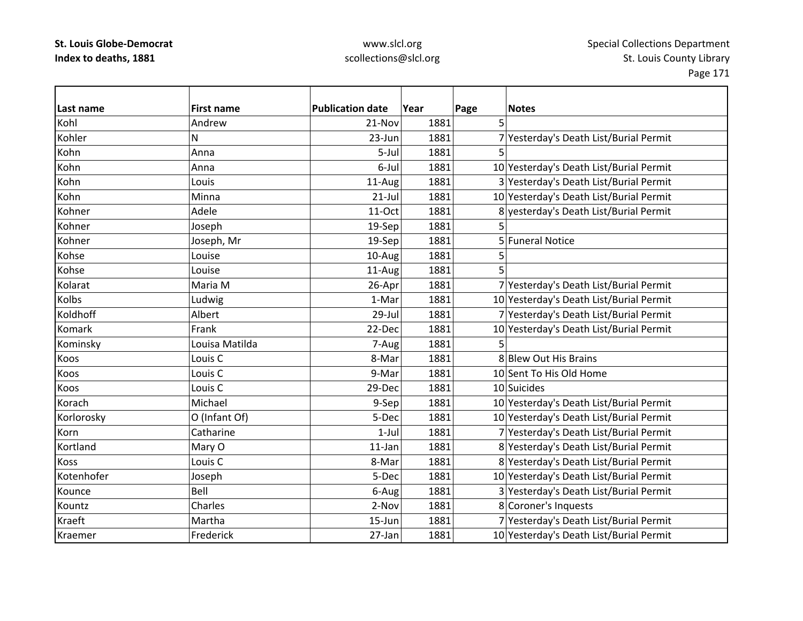# www.slcl.org scollections@slcl.org

Page 171

| Last name   | <b>First name</b>  | <b>Publication date</b> | Year | Page | <b>Notes</b>                            |
|-------------|--------------------|-------------------------|------|------|-----------------------------------------|
| Kohl        | Andrew             | 21-Nov                  | 1881 | 5    |                                         |
| Kohler      | N                  | 23-Jun                  | 1881 |      | 7 Yesterday's Death List/Burial Permit  |
| Kohn        | Anna               | 5-Jul                   | 1881 | 5    |                                         |
| Kohn        | Anna               | 6-Jul                   | 1881 |      | 10 Yesterday's Death List/Burial Permit |
| Kohn        | Louis              | 11-Aug                  | 1881 |      | 3 Yesterday's Death List/Burial Permit  |
| Kohn        | Minna              | $21$ -Jul               | 1881 |      | 10 Yesterday's Death List/Burial Permit |
| Kohner      | Adele              | 11-Oct                  | 1881 |      | 8 yesterday's Death List/Burial Permit  |
| Kohner      | Joseph             | 19-Sep                  | 1881 | 5    |                                         |
| Kohner      | Joseph, Mr         | 19-Sep                  | 1881 |      | 5 Funeral Notice                        |
| Kohse       | Louise             | 10-Aug                  | 1881 | 5    |                                         |
| Kohse       | Louise             | 11-Aug                  | 1881 |      |                                         |
| Kolarat     | Maria M            | 26-Apr                  | 1881 |      | 7 Yesterday's Death List/Burial Permit  |
| Kolbs       | Ludwig             | 1-Mar                   | 1881 |      | 10 Yesterday's Death List/Burial Permit |
| Koldhoff    | Albert             | 29-Jul                  | 1881 |      | 7 Yesterday's Death List/Burial Permit  |
| Komark      | Frank              | 22-Dec                  | 1881 |      | 10 Yesterday's Death List/Burial Permit |
| Kominsky    | Louisa Matilda     | 7-Aug                   | 1881 | 5    |                                         |
| Koos        | Louis C            | 8-Mar                   | 1881 |      | 8 Blew Out His Brains                   |
| Koos        | Louis <sub>C</sub> | 9-Mar                   | 1881 |      | 10 Sent To His Old Home                 |
| Koos        | Louis <sub>C</sub> | 29-Dec                  | 1881 |      | 10 Suicides                             |
| Korach      | Michael            | 9-Sep                   | 1881 |      | 10 Yesterday's Death List/Burial Permit |
| Korlorosky  | O (Infant Of)      | 5-Dec                   | 1881 |      | 10 Yesterday's Death List/Burial Permit |
| Korn        | Catharine          | $1-Jul$                 | 1881 |      | 7 Yesterday's Death List/Burial Permit  |
| Kortland    | Mary O             | $11$ -Jan               | 1881 |      | 8 Yesterday's Death List/Burial Permit  |
| <b>Koss</b> | Louis C            | 8-Mar                   | 1881 |      | 8 Yesterday's Death List/Burial Permit  |
| Kotenhofer  | Joseph             | 5-Dec                   | 1881 |      | 10 Yesterday's Death List/Burial Permit |
| Kounce      | Bell               | 6-Aug                   | 1881 |      | 3 Yesterday's Death List/Burial Permit  |
| Kountz      | Charles            | 2-Nov                   | 1881 |      | 8 Coroner's Inquests                    |
| Kraeft      | Martha             | 15-Jun                  | 1881 |      | 7 Yesterday's Death List/Burial Permit  |
| Kraemer     | Frederick          | 27-Jan                  | 1881 |      | 10 Yesterday's Death List/Burial Permit |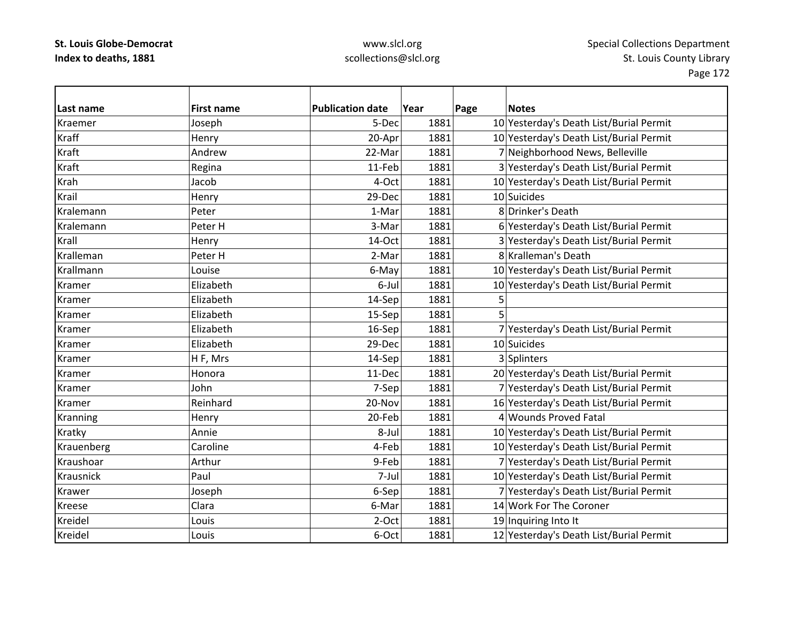### www.slcl.org scollections@slcl.org

**Last name First name Publication date Year Page Notes** Kraemer Joseph 5‐Dec 1881 10 Yesterday's Death List/Burial Permit KraffHenry 1881 1881 10 Yesterday's Death List/Burial Permit Kraft Andrew $22$ -Mar  $1881$  7 Neighborhood News, Belleville KraftRegina 11 11‐Feb 1881 3 Yesterday's Death List/Burial Permit KrahJacob 1881 1881 10 Yesterday's Death List/Burial Permit KrailHenry 29-Dec 1881 10 Suicides KralemannPeter 1981 1-Mar 1881 8 Drinker's Death KralemannPeter H 1881 3-Mar 1881 6 Yesterday's Death List/Burial Permit KrallHenry 14–Oct 1881 3 Yesterday's Death List/Burial Permit KrallemanPeter H 2-Mar 1881 8 Kralleman's Death Krallmann Louise 6‐May 1881 10 Yesterday's Death List/Burial Permit Kramer Elizabeth6-Jul 1881 10 Yesterday's Death List/Burial Permit Kramer Elizabethh 14-Sep 1881 5 Kramer Elizabethh 15-Sep 1881 5 Kramer Elizabeth16-Sep 1881 7 Yesterday's Death List/Burial Permit Kramer Elizabeth Elizabeth 29-Dec 1881 10 Suicides Kramer HF, Mrs  $14$ -Sep 1881 3 Splinters Kramer Honora11-Dec 1881 20 Yesterday's Death List/Burial Permit Kramer John7-Sep 1881 7 Yesterday's Death List/Burial Permit Kramer Reinhard20-Nov 1881 16 Yesterday's Death List/Burial Permit Kranning 
Henry 
Henry 
20-Feb 1881

Henry 2018 1881

Henry 20-Feb 1881  $\frac{4}{100}$  Mounds Proved Fatal Kratky Annie Annie Annie Belui 1881 1881 10 Yesterday's Death List/Burial Permit Krauenberg Caroline | Caroline | 4‐Feb 1881 10 Yesterday's Death List/Burial Permit KraushoarArthur 1881 9-Feb 1881 7 Yesterday's Death List/Burial Permit KrausnickPaul 1881 1881 10 Yesterday's Death List/Burial Permit Krawer Joseph 6‐Sep 1881 7 Yesterday's Death List/Burial Permit Kreese Claraa 6-Mar 1881 14 Work For The Coroner Kreidel Louis2-Oct 1881 19 Inquiring Into It Kreidel Louis6-Oct 1881 12 Yesterday's Death List/Burial Permit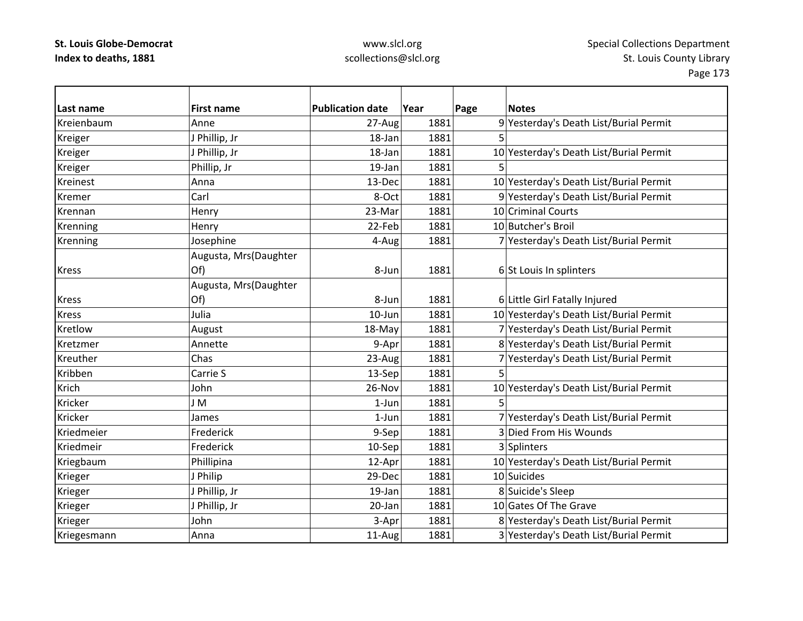### www.slcl.org scollections@slcl.org

**Last name First name Publication date Year Page Notes** KreienbaumAnne 27-Aug 1881 9 Yesterday's Death List/Burial Permit Kreiger J Phillip, Jr 18‐Jan 1881 5 Kreiger  $|J$  Phillip, Jr  $|J - 18-1$ an  $|J - 1881|$  1881 10 Yesterday's Death List/Burial Permit Kreiger Phillip, Jr 19‐Jan 1881 5 Kreinest Anna13-Dec 1881 10 Yesterday's Death List/Burial Permit Kremer Carl 8‐Oct 1881 9 Yesterday's Death List/Burial Permit KrennanHenry **23-Mar** 1881 10 Criminal Courts Krenning Henry Henry 22‐Feb 1881 10 Butcher's Broil Krenning Josephine 1881 7 Yesterday's Death List/Burial Permit Kress Augusta, Mrs(Daughter Of) 8-Jun 1881 6 St Louis In splinters Kress Augusta, Mrs(Daughter Of) 8-Jun 1881 6 Little Girl Fatally Injured Kress Julia10-Jun 1881 10 Yesterday's Death List/Burial Permit KretlowAugust 18‐May 1881 7 Yesterday's Death List/Burial Permit Kretzmer Annette9-Apr 1881 8 Yesterday's Death List/Burial Permit Kreuther Chas23-Aug 1881 7 Yesterday's Death List/Burial Permit Kribbenn |Carrie S | 13-Sep| 1881| 5 KrichJohn 26-Nov 1881 10 Yesterday's Death List/Burial Permit Kricker J M 1‐Jun 1881 5Kricker James1-Jun 1881 7 Yesterday's Death List/Burial Permit Kriedmeier Frederick9-Sep 1881 3 Died From His Wounds Kriedmeir Frederick10-Sep 1881 3 Splinters Kriegbaum  $\vert$ Phillipina  $\vert$  12‐Apr $\vert$  1881 $\vert$  10 Yesterday's Death List/Burial Permit Krieger J Philip 29‐Dec 1881 10 Suicides Krieger JJ Phillip, Jr 19‐Jan 1881 8 Suicide's Sleep Krieger JJ Phillip, Jr 20-Jan 1881 10 Gates Of The Grave Krieger John 3‐Apr 1881 8 Yesterday's Death List/Burial Permit Kriegesmann Anna 11‐Aug 1881 3 Yesterday's Death List/Burial Permit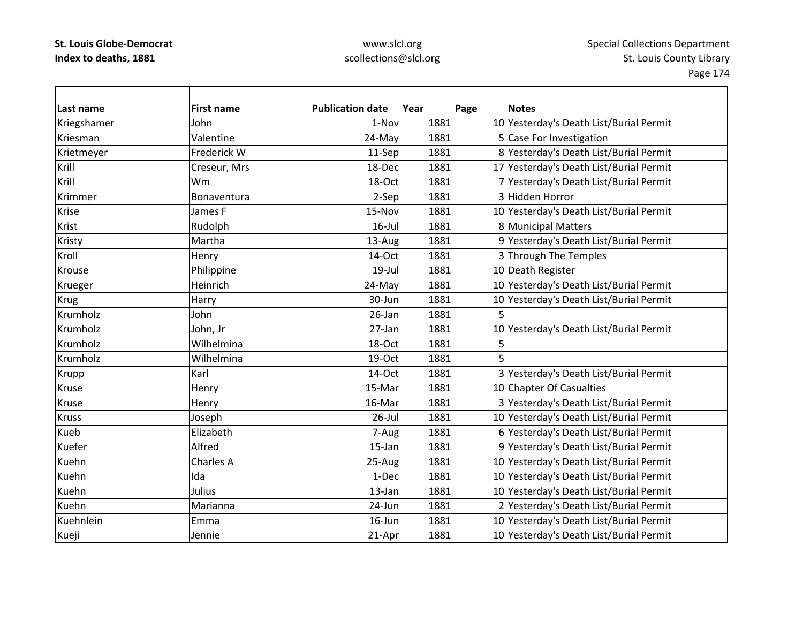## www.slcl.org scollections@slcl.org

Page 174

| Last name      | <b>First name</b> | <b>Publication date</b> | Year | Page | <b>Notes</b>                            |
|----------------|-------------------|-------------------------|------|------|-----------------------------------------|
| Kriegshamer    | John              | 1-Nov                   | 1881 |      | 10 Yesterday's Death List/Burial Permit |
| Kriesman       | Valentine         | 24-May                  | 1881 |      | 5 Case For Investigation                |
| Krietmeyer     | Frederick W       | 11-Sep                  | 1881 |      | 8 Yesterday's Death List/Burial Permit  |
| Krill          | Creseur, Mrs      | 18-Dec                  | 1881 |      | 17 Yesterday's Death List/Burial Permit |
| Krill          | Wm                | 18-Oct                  | 1881 |      | 7 Yesterday's Death List/Burial Permit  |
| <b>Krimmer</b> | Bonaventura       | 2-Sep                   | 1881 |      | 3 Hidden Horror                         |
| Krise          | James F           | 15-Nov                  | 1881 |      | 10 Yesterday's Death List/Burial Permit |
| Krist          | Rudolph           | $16$ -Jul               | 1881 |      | 8 Municipal Matters                     |
| Kristy         | Martha            | 13-Aug                  | 1881 |      | 9 Yesterday's Death List/Burial Permit  |
| Kroll          | Henry             | 14-Oct                  | 1881 |      | 3 Through The Temples                   |
| Krouse         | Philippine        | $19$ -Jul               | 1881 |      | 10 Death Register                       |
| Krueger        | Heinrich          | 24-May                  | 1881 |      | 10 Yesterday's Death List/Burial Permit |
| <b>Krug</b>    | Harry             | 30-Jun                  | 1881 |      | 10 Yesterday's Death List/Burial Permit |
| Krumholz       | John              | 26-Jan                  | 1881 | 5    |                                         |
| Krumholz       | John, Jr          | 27-Jan                  | 1881 |      | 10 Yesterday's Death List/Burial Permit |
| Krumholz       | Wilhelmina        | 18-Oct                  | 1881 | 5    |                                         |
| Krumholz       | Wilhelmina        | 19-Oct                  | 1881 | 5    |                                         |
| <b>Krupp</b>   | Karl              | 14-Oct                  | 1881 |      | 3 Yesterday's Death List/Burial Permit  |
| Kruse          | Henry             | 15-Mar                  | 1881 |      | 10 Chapter Of Casualties                |
| Kruse          | Henry             | 16-Mar                  | 1881 |      | 3 Yesterday's Death List/Burial Permit  |
| <b>Kruss</b>   | Joseph            | $26$ -Jul               | 1881 |      | 10 Yesterday's Death List/Burial Permit |
| Kueb           | Elizabeth         | 7-Aug                   | 1881 |      | 6 Yesterday's Death List/Burial Permit  |
| Kuefer         | Alfred            | 15-Jan                  | 1881 |      | 9 Yesterday's Death List/Burial Permit  |
| Kuehn          | Charles A         | 25-Aug                  | 1881 |      | 10 Yesterday's Death List/Burial Permit |
| Kuehn          | Ida               | 1-Dec                   | 1881 |      | 10 Yesterday's Death List/Burial Permit |
| Kuehn          | Julius            | 13-Jan                  | 1881 |      | 10 Yesterday's Death List/Burial Permit |
| Kuehn          | Marianna          | 24-Jun                  | 1881 |      | 2 Yesterday's Death List/Burial Permit  |
| Kuehnlein      | Emma              | 16-Jun                  | 1881 |      | 10 Yesterday's Death List/Burial Permit |
| Kueji          | Jennie            | 21-Apr                  | 1881 |      | 10 Yesterday's Death List/Burial Permit |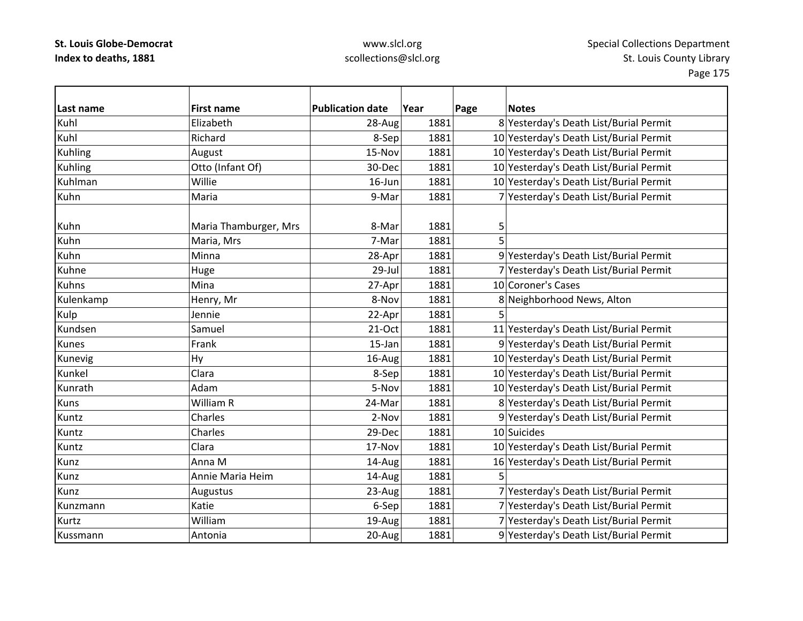| Last name      | <b>First name</b>     | <b>Publication date</b> | Year | <b>Notes</b><br>Page                    |
|----------------|-----------------------|-------------------------|------|-----------------------------------------|
| Kuhl           | Elizabeth             | 28-Aug                  | 1881 | 8 Yesterday's Death List/Burial Permit  |
| Kuhl           | Richard               | 8-Sep                   | 1881 | 10 Yesterday's Death List/Burial Permit |
| <b>Kuhling</b> | August                | 15-Nov                  | 1881 | 10 Yesterday's Death List/Burial Permit |
| Kuhling        | Otto (Infant Of)      | 30-Dec                  | 1881 | 10 Yesterday's Death List/Burial Permit |
| Kuhlman        | Willie                | $16$ -Jun               | 1881 | 10 Yesterday's Death List/Burial Permit |
| Kuhn           | Maria                 | 9-Mar                   | 1881 | 7 Yesterday's Death List/Burial Permit  |
|                |                       |                         |      |                                         |
| Kuhn           | Maria Thamburger, Mrs | 8-Mar                   | 1881 | 5                                       |
| Kuhn           | Maria, Mrs            | 7-Mar                   | 1881 | 5                                       |
| Kuhn           | Minna                 | 28-Apr                  | 1881 | 9 Yesterday's Death List/Burial Permit  |
| Kuhne          | Huge                  | 29-Jul                  | 1881 | 7 Yesterday's Death List/Burial Permit  |
| <b>Kuhns</b>   | Mina                  | 27-Apr                  | 1881 | 10 Coroner's Cases                      |
| Kulenkamp      | Henry, Mr             | 8-Nov                   | 1881 | 8 Neighborhood News, Alton              |
| Kulp           | Jennie                | 22-Apr                  | 1881 |                                         |
| Kundsen        | Samuel                | 21-Oct                  | 1881 | 11 Yesterday's Death List/Burial Permit |
| Kunes          | Frank                 | 15-Jan                  | 1881 | 9 Yesterday's Death List/Burial Permit  |
| Kunevig        | <b>Hy</b>             | 16-Aug                  | 1881 | 10 Yesterday's Death List/Burial Permit |
| Kunkel         | Clara                 | 8-Sep                   | 1881 | 10 Yesterday's Death List/Burial Permit |
| Kunrath        | Adam                  | 5-Nov                   | 1881 | 10 Yesterday's Death List/Burial Permit |
| Kuns           | William R             | 24-Mar                  | 1881 | 8 Yesterday's Death List/Burial Permit  |
| Kuntz          | Charles               | 2-Nov                   | 1881 | 9 Yesterday's Death List/Burial Permit  |
| Kuntz          | Charles               | 29-Dec                  | 1881 | 10 Suicides                             |
| Kuntz          | Clara                 | 17-Nov                  | 1881 | 10 Yesterday's Death List/Burial Permit |
| Kunz           | Anna M                | 14-Aug                  | 1881 | 16 Yesterday's Death List/Burial Permit |
| Kunz           | Annie Maria Heim      | 14-Aug                  | 1881 | 5                                       |
| Kunz           | Augustus              | 23-Aug                  | 1881 | 7 Yesterday's Death List/Burial Permit  |
| Kunzmann       | Katie                 | 6-Sep                   | 1881 | 7 Yesterday's Death List/Burial Permit  |
| Kurtz          | William               | 19-Aug                  | 1881 | 7 Yesterday's Death List/Burial Permit  |
| Kussmann       | Antonia               | 20-Aug                  | 1881 | 9 Yesterday's Death List/Burial Permit  |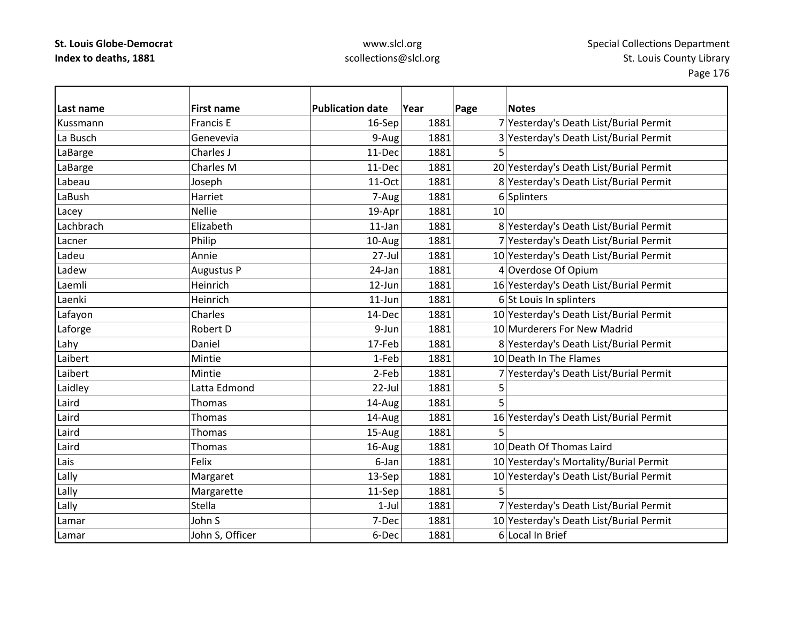| Last name | <b>First name</b> | <b>Publication date</b> | Year | Page | <b>Notes</b>                            |
|-----------|-------------------|-------------------------|------|------|-----------------------------------------|
| Kussmann  | Francis E         | 16-Sep                  | 1881 |      | 7 Yesterday's Death List/Burial Permit  |
| La Busch  | Genevevia         | 9-Aug                   | 1881 |      | 3 Yesterday's Death List/Burial Permit  |
| LaBarge   | Charles J         | 11-Dec                  | 1881 | 5    |                                         |
| LaBarge   | Charles M         | 11-Dec                  | 1881 |      | 20 Yesterday's Death List/Burial Permit |
| Labeau    | Joseph            | 11-Oct                  | 1881 |      | 8 Yesterday's Death List/Burial Permit  |
| LaBush    | Harriet           | 7-Aug                   | 1881 |      | 6 Splinters                             |
| Lacey     | <b>Nellie</b>     | 19-Apr                  | 1881 | 10   |                                         |
| Lachbrach | Elizabeth         | $11$ -Jan               | 1881 |      | 8 Yesterday's Death List/Burial Permit  |
| Lacner    | Philip            | 10-Aug                  | 1881 |      | 7 Yesterday's Death List/Burial Permit  |
| Ladeu     | Annie             | 27-Jul                  | 1881 |      | 10 Yesterday's Death List/Burial Permit |
| Ladew     | Augustus P        | 24-Jan                  | 1881 |      | 4 Overdose Of Opium                     |
| Laemli    | Heinrich          | 12-Jun                  | 1881 |      | 16 Yesterday's Death List/Burial Permit |
| Laenki    | Heinrich          | $11$ -Jun               | 1881 |      | 6 St Louis In splinters                 |
| Lafayon   | Charles           | 14-Dec                  | 1881 |      | 10 Yesterday's Death List/Burial Permit |
| Laforge   | Robert D          | 9-Jun                   | 1881 |      | 10 Murderers For New Madrid             |
| Lahy      | Daniel            | 17-Feb                  | 1881 |      | 8 Yesterday's Death List/Burial Permit  |
| Laibert   | Mintie            | 1-Feb                   | 1881 |      | 10 Death In The Flames                  |
| Laibert   | Mintie            | 2-Feb                   | 1881 |      | 7 Yesterday's Death List/Burial Permit  |
| Laidley   | Latta Edmond      | 22-Jul                  | 1881 | 5    |                                         |
| Laird     | <b>Thomas</b>     | 14-Aug                  | 1881 | 5    |                                         |
| Laird     | Thomas            | 14-Aug                  | 1881 |      | 16 Yesterday's Death List/Burial Permit |
| Laird     | Thomas            | 15-Aug                  | 1881 | 5    |                                         |
| Laird     | Thomas            | 16-Aug                  | 1881 |      | 10 Death Of Thomas Laird                |
| Lais      | Felix             | 6-Jan                   | 1881 |      | 10 Yesterday's Mortality/Burial Permit  |
| Lally     | Margaret          | 13-Sep                  | 1881 |      | 10 Yesterday's Death List/Burial Permit |
| Lally     | Margarette        | 11-Sep                  | 1881 | 5    |                                         |
| Lally     | Stella            | $1-Jul$                 | 1881 |      | 7 Yesterday's Death List/Burial Permit  |
| Lamar     | John S            | 7-Dec                   | 1881 |      | 10 Yesterday's Death List/Burial Permit |
| Lamar     | John S, Officer   | 6-Dec                   | 1881 |      | 6 Local In Brief                        |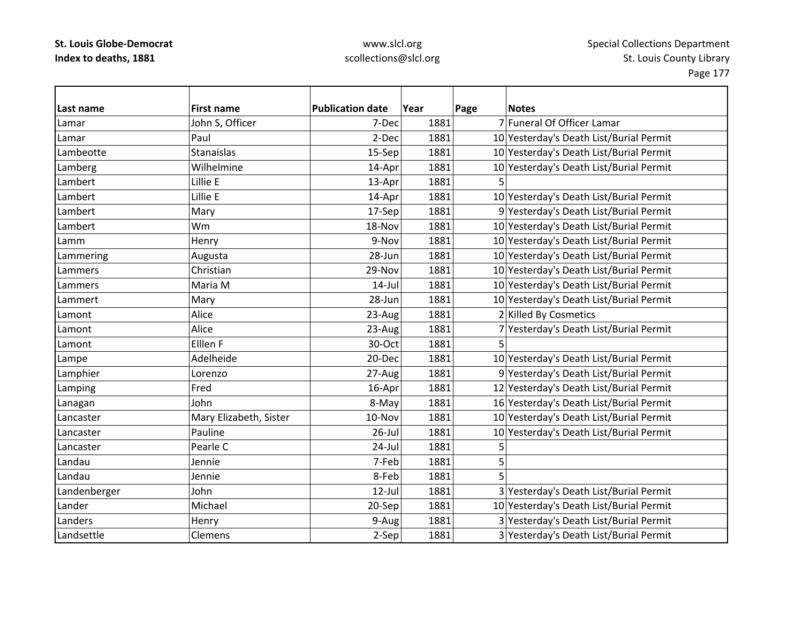### www.slcl.org scollections@slcl.org

**Last name First name Publication date Year Page Notes** LamarJohn S, Officer 7-Dec 1881 7 Funeral Of Officer Lamar LamarPaul 2-Dec 1881 10 Yesterday's Death List/Burial Permit LambeotteStanaislas 15‐Sep 1881 10 Yesterday's Death List/Burial Permit Lamberg Wilhelmine 14‐Apr 1881 10 Yesterday's Death List/Burial Permit LambertLillie E  $13-Apr$  1881 5 Lambert Lillie14-Apr 1881 10 Yesterday's Death List/Burial Permit LambertMary 17-Sep 1881 9 Yesterday's Death List/Burial Permit Lambert Wm18-Nov 1881 10 Yesterday's Death List/Burial Permit LammHenry 1881 1881 10 Yesterday's Death List/Burial Permit Lammering  $\vert$ Augusta  $\vert$  28-Jun $\vert$  1881 10 Yesterday's Death List/Burial Permit Lammers Christian29-Nov 1881 10 Yesterday's Death List/Burial Permit LammersMaria M 14-Jul 1881 10 Yesterday's Death List/Burial Permit LammertMary 28–Jun 1881 10 Yesterday's Death List/Burial Permit Lamont Alice $23$ -Aug 1881 2 Killed By Cosmetics Lamont Alice23-Aug 1881 7 Yesterday's Death List/Burial Permit LamontElllen F  $30-Oct$  1881 5 Lampe Adelheide 20‐Dec 1881 10 Yesterday's Death List/Burial Permit Lamphier Lorenzo 27‐Aug 1881 9 Yesterday's Death List/Burial Permit Lamping Fred Fred 16‐Apr 1881 12 Yesterday's Death List/Burial Permit Lanagan John John 1881 8-May 1881 16 Yesterday's Death List/Burial Permit LancasterMary Elizabeth, Sister | 10-Nov 1881 10 Yesterday's Death List/Burial Permit Lancaster Pauline26-Jul 1881 10 Yesterday's Death List/Burial Permit Lancaster Pearlee C 24-Jul 1881 5 5 Landau Jennie 7‐Feb 1881 5 Landau Jennie 8‐Feb 1881 5 Landenberger John 12‐Jul 1881 3 Yesterday's Death List/Burial Permit LanderMichael 20–Sep 1881 10 Yesterday's Death List/Burial Permit LandersHenry 1881 3 Yesterday's Death List/Burial Permit LandsettleClemens 2-Sep 1881 3 Yesterday's Death List/Burial Permit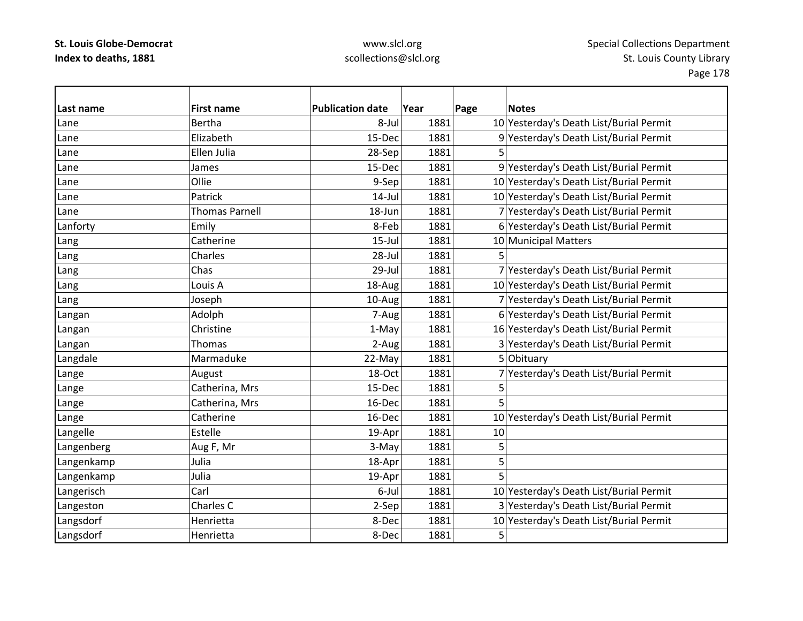### www.slcl.org scollections@slcl.org

**Last name First name Publication date Year Page Notes** LaneBertha **8**-Jul 1881 1881 10 Yesterday's Death List/Burial Permit Lane Elizabeth15‐Dec 1881 9 Yesterday's Death List/Burial Permit Lane Ellen Julia 28‐Sep 1881 5 LaneJames 15‐Dec 1881 9 Yesterday's Death List/Burial Permit LaneOllie 1881 1881 10 Yesterday's Death List/Burial Permit LanePatrick 14‐Jul 1881 10 Yesterday's Death List/Burial Permit LaneThomas Parnell 18–Jun 18–Jun 1881 7 Yesterday's Death List/Burial Permit Lanforty Emily 8‐Feb 1881 6 Yesterday's Death List/Burial Permit Lang Catherine 15‐Jul 1881 10 Municipal Matters Lang Charles 28‐Jul 1881 5 | 28‐Jul 1881 5 | 28‐Jul 1881 5 | 28‐Jul 1881 5 | 1 Lang Chas 29‐Jul 1881 7 Yesterday's Death List/Burial Permit Lang 1869 1881 1891 1892 18–Aug 1881 1881 10 Yesterday's Death List/Burial Permit Lang 106eph 10‐Aug 10‐Aug 1881 7 Yesterday's Death List/Burial Permit Langan Adolph 7‐Aug 1881 6 Yesterday's Death List/Burial Permit Langan 16 Christine 1–May 1–May 1881 16 Yesterday's Death List/Burial Permit Langan Thomas  $\vert$ Thomas  $\vert$  2-Aug 1881 3 Yesterday's Death List/Burial Permit Langdale Marmaduke 22‐May 1881 5 Obituary Lange  $\vert$ August  $\vert$  18-Oct 1881 7 Yesterday's Death List/Burial Permit Lange  $\vert$ Catherina, Mrs  $\vert$  15-Dec 1881 5 Lange Catherina, Mrs 16-Dec 1881 5 Lange Catherine  $\vert$  16-Dec 1881 10 Yesterday's Death List/Burial Permit Langelle Estelle 19‐Apr 1881 10 Langenberg  $\begin{array}{|c|c|c|c|c|c|c|c|c|}\n\hline\end{array}$  Aug F, Mr 3-May 1881 5 Langenkamp Julia 18–Apr 1881 5 Langenkamp Julia 19‐Apr 1881 5 Langerisch Carl 6‐Jul 1881 10 Yesterday's Death List/Burial Permit Langeston Charles C 2‐Sep 1881 3 Yesterday's Death List/Burial Permit Langsdorf Henrietta 8‐Dec 1881 10 Yesterday's Death List/Burial Permit Langsdorf Henrietta | 8-Dec 1881 5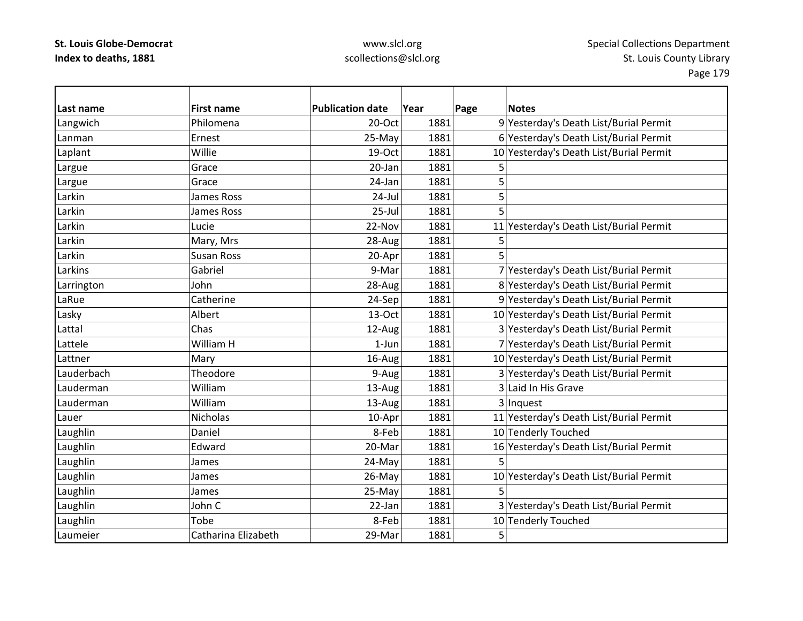| Last name  | <b>First name</b>   | <b>Publication date</b> | Year | Page | <b>Notes</b>                            |
|------------|---------------------|-------------------------|------|------|-----------------------------------------|
| Langwich   | Philomena           | 20-Oct                  | 1881 |      | 9 Yesterday's Death List/Burial Permit  |
| Lanman     | Ernest              | 25-May                  | 1881 |      | 6 Yesterday's Death List/Burial Permit  |
| Laplant    | Willie              | 19-Oct                  | 1881 |      | 10 Yesterday's Death List/Burial Permit |
| Largue     | Grace               | 20-Jan                  | 1881 | 5    |                                         |
| Largue     | Grace               | 24-Jan                  | 1881 | 5    |                                         |
| Larkin     | <b>James Ross</b>   | $24$ -Jul               | 1881 | 5    |                                         |
| Larkin     | James Ross          | $25 -$ Jul              | 1881 | 5    |                                         |
| Larkin     | Lucie               | 22-Nov                  | 1881 |      | 11 Yesterday's Death List/Burial Permit |
| Larkin     | Mary, Mrs           | 28-Aug                  | 1881 | 5    |                                         |
| Larkin     | <b>Susan Ross</b>   | 20-Apr                  | 1881 | 5    |                                         |
| Larkins    | Gabriel             | 9-Mar                   | 1881 |      | 7 Yesterday's Death List/Burial Permit  |
| Larrington | John                | 28-Aug                  | 1881 |      | 8 Yesterday's Death List/Burial Permit  |
| LaRue      | Catherine           | 24-Sep                  | 1881 |      | 9 Yesterday's Death List/Burial Permit  |
| Lasky      | Albert              | 13-Oct                  | 1881 |      | 10 Yesterday's Death List/Burial Permit |
| Lattal     | Chas                | 12-Aug                  | 1881 |      | 3 Yesterday's Death List/Burial Permit  |
| Lattele    | William H           | $1$ -Jun                | 1881 |      | 7 Yesterday's Death List/Burial Permit  |
| Lattner    | Mary                | 16-Aug                  | 1881 |      | 10 Yesterday's Death List/Burial Permit |
| Lauderbach | Theodore            | 9-Aug                   | 1881 |      | 3 Yesterday's Death List/Burial Permit  |
| Lauderman  | William             | 13-Aug                  | 1881 |      | 3 Laid In His Grave                     |
| Lauderman  | William             | 13-Aug                  | 1881 |      | 3 Inquest                               |
| Lauer      | <b>Nicholas</b>     | 10-Apr                  | 1881 |      | 11 Yesterday's Death List/Burial Permit |
| Laughlin   | Daniel              | 8-Feb                   | 1881 |      | 10 Tenderly Touched                     |
| Laughlin   | Edward              | 20-Mar                  | 1881 |      | 16 Yesterday's Death List/Burial Permit |
| Laughlin   | James               | 24-May                  | 1881 | 5    |                                         |
| Laughlin   | James               | 26-May                  | 1881 |      | 10 Yesterday's Death List/Burial Permit |
| Laughlin   | James               | 25-May                  | 1881 | 5    |                                         |
| Laughlin   | John C              | 22-Jan                  | 1881 |      | 3 Yesterday's Death List/Burial Permit  |
| Laughlin   | Tobe                | 8-Feb                   | 1881 |      | 10 Tenderly Touched                     |
| Laumeier   | Catharina Elizabeth | 29-Mar                  | 1881 | 5    |                                         |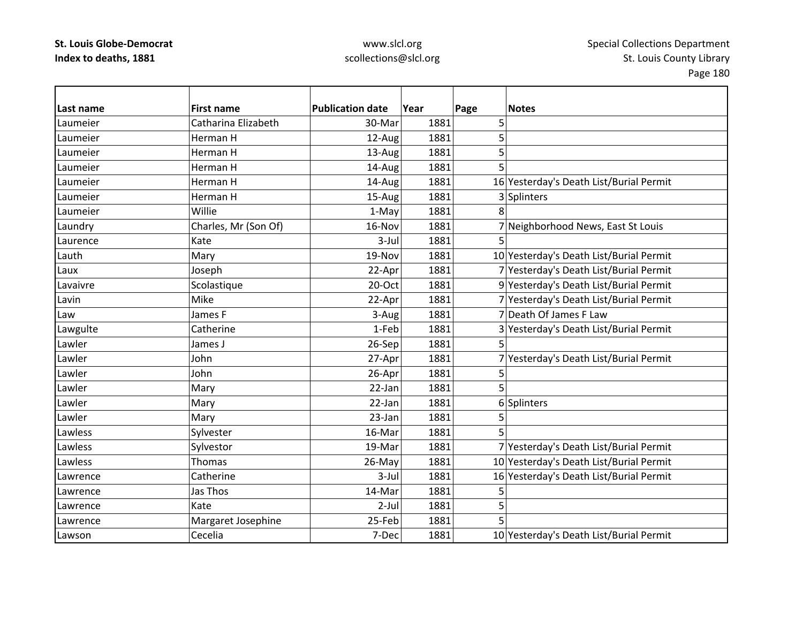| Last name | <b>First name</b>    | <b>Publication date</b> | Year | Page | <b>Notes</b>                            |
|-----------|----------------------|-------------------------|------|------|-----------------------------------------|
| Laumeier  | Catharina Elizabeth  | 30-Mar                  | 1881 | 5    |                                         |
| Laumeier  | Herman H             | 12-Aug                  | 1881 | 5    |                                         |
| Laumeier  | Herman H             | 13-Aug                  | 1881 | 5    |                                         |
| Laumeier  | Herman H             | 14-Aug                  | 1881 | 5    |                                         |
| Laumeier  | Herman H             | 14-Aug                  | 1881 |      | 16 Yesterday's Death List/Burial Permit |
| Laumeier  | Herman H             | 15-Aug                  | 1881 |      | 3 Splinters                             |
| Laumeier  | Willie               | 1-May                   | 1881 | 8    |                                         |
| Laundry   | Charles, Mr (Son Of) | 16-Nov                  | 1881 |      | 7 Neighborhood News, East St Louis      |
| Laurence  | Kate                 | 3-Jul                   | 1881 |      |                                         |
| Lauth     | Mary                 | 19-Nov                  | 1881 |      | 10 Yesterday's Death List/Burial Permit |
| Laux      | Joseph               | 22-Apr                  | 1881 |      | 7 Yesterday's Death List/Burial Permit  |
| Lavaivre  | Scolastique          | 20-Oct                  | 1881 |      | 9 Yesterday's Death List/Burial Permit  |
| Lavin     | Mike                 | 22-Apr                  | 1881 |      | 7 Yesterday's Death List/Burial Permit  |
| Law       | James F              | 3-Aug                   | 1881 |      | 7 Death Of James F Law                  |
| Lawgulte  | Catherine            | 1-Feb                   | 1881 |      | 3 Yesterday's Death List/Burial Permit  |
| Lawler    | James J              | 26-Sep                  | 1881 | 5    |                                         |
| Lawler    | John                 | 27-Apr                  | 1881 |      | 7 Yesterday's Death List/Burial Permit  |
| Lawler    | John                 | 26-Apr                  | 1881 | 5    |                                         |
| Lawler    | Mary                 | 22-Jan                  | 1881 | 5    |                                         |
| Lawler    | Mary                 | 22-Jan                  | 1881 |      | 6 Splinters                             |
| Lawler    | Mary                 | 23-Jan                  | 1881 | 5    |                                         |
| Lawless   | Sylvester            | 16-Mar                  | 1881 | 5    |                                         |
| Lawless   | Sylvestor            | 19-Mar                  | 1881 |      | 7 Yesterday's Death List/Burial Permit  |
| Lawless   | Thomas               | 26-May                  | 1881 |      | 10 Yesterday's Death List/Burial Permit |
| Lawrence  | Catherine            | $3-Jul$                 | 1881 |      | 16 Yesterday's Death List/Burial Permit |
| Lawrence  | Jas Thos             | 14-Mar                  | 1881 | 5    |                                         |
| Lawrence  | Kate                 | $2-Jul$                 | 1881 | 5    |                                         |
| Lawrence  | Margaret Josephine   | 25-Feb                  | 1881 | 5    |                                         |
| Lawson    | Cecelia              | 7-Dec                   | 1881 |      | 10 Yesterday's Death List/Burial Permit |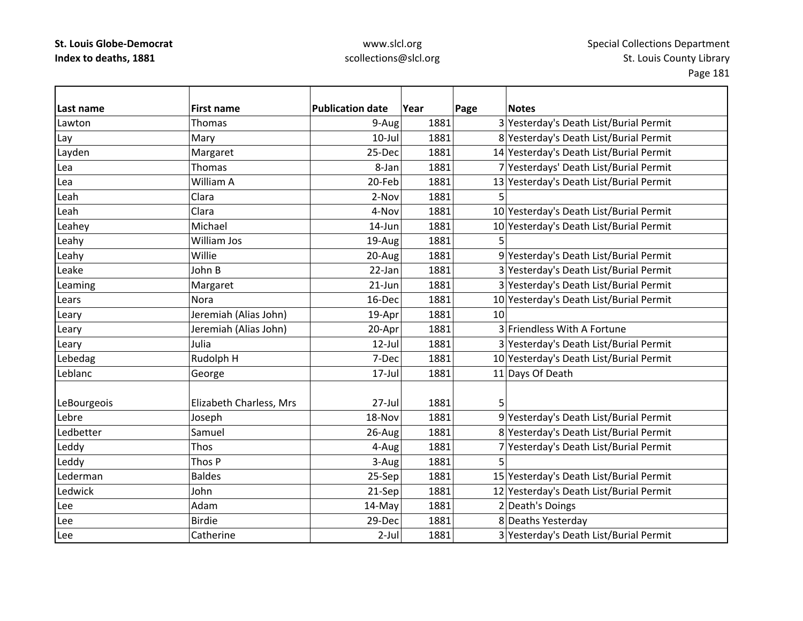| Last name   | <b>First name</b>       | <b>Publication date</b> | Year | Page | <b>Notes</b>                            |
|-------------|-------------------------|-------------------------|------|------|-----------------------------------------|
| Lawton      | Thomas                  | 9-Aug                   | 1881 |      | 3 Yesterday's Death List/Burial Permit  |
| Lay         | Mary                    | 10-Jul                  | 1881 |      | 8 Yesterday's Death List/Burial Permit  |
| Layden      | Margaret                | 25-Dec                  | 1881 |      | 14 Yesterday's Death List/Burial Permit |
| Lea         | Thomas                  | 8-Jan                   | 1881 |      | 7 Yesterdays' Death List/Burial Permit  |
| Lea         | William A               | 20-Feb                  | 1881 |      | 13 Yesterday's Death List/Burial Permit |
| Leah        | Clara                   | 2-Nov                   | 1881 | 5    |                                         |
| Leah        | Clara                   | 4-Nov                   | 1881 |      | 10 Yesterday's Death List/Burial Permit |
| Leahey      | Michael                 | 14-Jun                  | 1881 |      | 10 Yesterday's Death List/Burial Permit |
| Leahy       | William Jos             | 19-Aug                  | 1881 |      |                                         |
| Leahy       | Willie                  | 20-Aug                  | 1881 |      | 9 Yesterday's Death List/Burial Permit  |
| Leake       | John B                  | 22-Jan                  | 1881 |      | 3 Yesterday's Death List/Burial Permit  |
| Leaming     | Margaret                | $21$ -Jun               | 1881 |      | 3 Yesterday's Death List/Burial Permit  |
| Lears       | Nora                    | 16-Dec                  | 1881 |      | 10 Yesterday's Death List/Burial Permit |
| Leary       | Jeremiah (Alias John)   | 19-Apr                  | 1881 | 10   |                                         |
| Leary       | Jeremiah (Alias John)   | 20-Apr                  | 1881 |      | 3 Friendless With A Fortune             |
| Leary       | Julia                   | 12-Jul                  | 1881 |      | 3 Yesterday's Death List/Burial Permit  |
| Lebedag     | Rudolph H               | 7-Dec                   | 1881 |      | 10 Yesterday's Death List/Burial Permit |
| Leblanc     | George                  | 17-Jul                  | 1881 |      | 11 Days Of Death                        |
|             |                         |                         |      |      |                                         |
| LeBourgeois | Elizabeth Charless, Mrs | 27-Jul                  | 1881 | 5    |                                         |
| Lebre       | Joseph                  | 18-Nov                  | 1881 |      | 9 Yesterday's Death List/Burial Permit  |
| Ledbetter   | Samuel                  | 26-Aug                  | 1881 |      | 8 Yesterday's Death List/Burial Permit  |
| Leddy       | Thos                    | 4-Aug                   | 1881 |      | 7 Yesterday's Death List/Burial Permit  |
| Leddy       | Thos P                  | 3-Aug                   | 1881 | 5    |                                         |
| Lederman    | <b>Baldes</b>           | 25-Sep                  | 1881 |      | 15 Yesterday's Death List/Burial Permit |
| Ledwick     | John                    | 21-Sep                  | 1881 |      | 12 Yesterday's Death List/Burial Permit |
| Lee         | Adam                    | 14-May                  | 1881 |      | 2 Death's Doings                        |
| Lee         | <b>Birdie</b>           | 29-Dec                  | 1881 |      | 8 Deaths Yesterday                      |
| Lee         | Catherine               | $2$ -Jul                | 1881 |      | 3 Yesterday's Death List/Burial Permit  |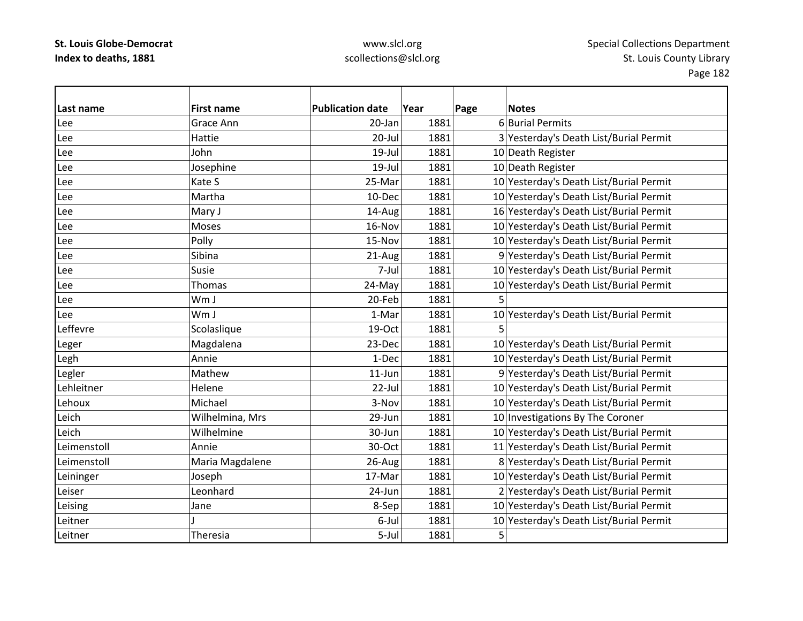| Last name   | <b>First name</b> | <b>Publication date</b> | Year | Page<br><b>Notes</b>                    |
|-------------|-------------------|-------------------------|------|-----------------------------------------|
| Lee         | Grace Ann         | 20-Jan                  | 1881 | 6 Burial Permits                        |
| Lee         | Hattie            | 20-Jul                  | 1881 | 3 Yesterday's Death List/Burial Permit  |
| Lee         | John              | $19$ -Jul               | 1881 | 10 Death Register                       |
| Lee         | Josephine         | 19-Jul                  | 1881 | 10 Death Register                       |
| Lee         | Kate S            | 25-Mar                  | 1881 | 10 Yesterday's Death List/Burial Permit |
| Lee         | Martha            | 10-Dec                  | 1881 | 10 Yesterday's Death List/Burial Permit |
| Lee         | Mary J            | 14-Aug                  | 1881 | 16 Yesterday's Death List/Burial Permit |
| Lee         | Moses             | 16-Nov                  | 1881 | 10 Yesterday's Death List/Burial Permit |
| Lee         | Polly             | 15-Nov                  | 1881 | 10 Yesterday's Death List/Burial Permit |
| Lee         | Sibina            | 21-Aug                  | 1881 | 9 Yesterday's Death List/Burial Permit  |
| Lee         | Susie             | 7-Jul                   | 1881 | 10 Yesterday's Death List/Burial Permit |
| Lee         | <b>Thomas</b>     | 24-May                  | 1881 | 10 Yesterday's Death List/Burial Permit |
| Lee         | Wm J              | 20-Feb                  | 1881 | 5                                       |
| Lee         | Wm J              | 1-Mar                   | 1881 | 10 Yesterday's Death List/Burial Permit |
| Leffevre    | Scolaslique       | 19-Oct                  | 1881 | 5                                       |
| Leger       | Magdalena         | 23-Dec                  | 1881 | 10 Yesterday's Death List/Burial Permit |
| Legh        | Annie             | 1-Dec                   | 1881 | 10 Yesterday's Death List/Burial Permit |
| Legler      | Mathew            | $11$ -Jun               | 1881 | 9 Yesterday's Death List/Burial Permit  |
| Lehleitner  | Helene            | $22$ -Jul               | 1881 | 10 Yesterday's Death List/Burial Permit |
| Lehoux      | Michael           | 3-Nov                   | 1881 | 10 Yesterday's Death List/Burial Permit |
| Leich       | Wilhelmina, Mrs   | 29-Jun                  | 1881 | 10 Investigations By The Coroner        |
| Leich       | Wilhelmine        | 30-Jun                  | 1881 | 10 Yesterday's Death List/Burial Permit |
| Leimenstoll | Annie             | 30-Oct                  | 1881 | 11 Yesterday's Death List/Burial Permit |
| Leimenstoll | Maria Magdalene   | 26-Aug                  | 1881 | 8 Yesterday's Death List/Burial Permit  |
| Leininger   | Joseph            | 17-Mar                  | 1881 | 10 Yesterday's Death List/Burial Permit |
| Leiser      | Leonhard          | 24-Jun                  | 1881 | 2 Yesterday's Death List/Burial Permit  |
| Leising     | Jane              | 8-Sep                   | 1881 | 10 Yesterday's Death List/Burial Permit |
| Leitner     |                   | 6-Jul                   | 1881 | 10 Yesterday's Death List/Burial Permit |
| Leitner     | Theresia          | 5-Jul                   | 1881 | 5                                       |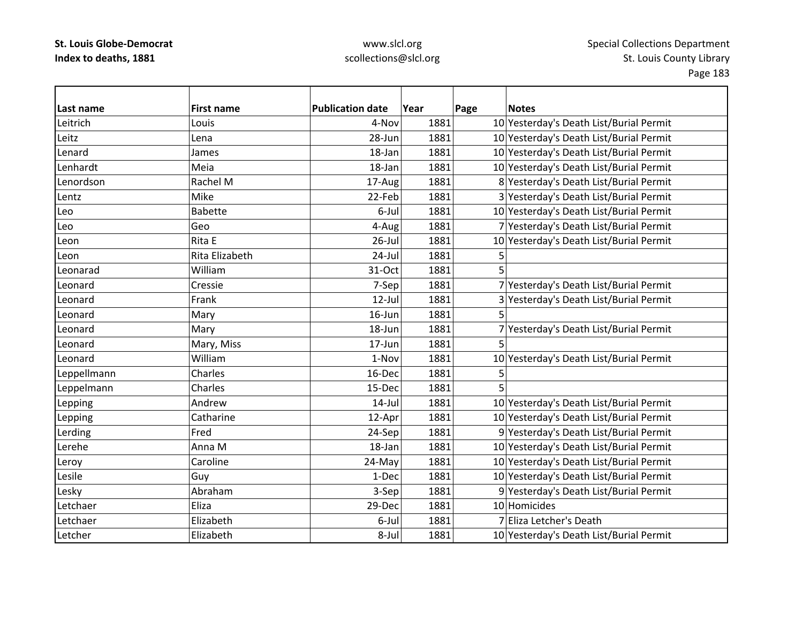| Last name   | <b>First name</b> | <b>Publication date</b> | Year | Page           | <b>Notes</b>                            |
|-------------|-------------------|-------------------------|------|----------------|-----------------------------------------|
| Leitrich    | Louis             | 4-Nov                   | 1881 |                | 10 Yesterday's Death List/Burial Permit |
| Leitz       | Lena              | 28-Jun                  | 1881 |                | 10 Yesterday's Death List/Burial Permit |
| Lenard      | James             | 18-Jan                  | 1881 |                | 10 Yesterday's Death List/Burial Permit |
| Lenhardt    | Meia              | 18-Jan                  | 1881 |                | 10 Yesterday's Death List/Burial Permit |
| Lenordson   | Rachel M          | 17-Aug                  | 1881 |                | 8 Yesterday's Death List/Burial Permit  |
| Lentz       | Mike              | 22-Feb                  | 1881 |                | 3 Yesterday's Death List/Burial Permit  |
| Leo         | <b>Babette</b>    | 6-Jul                   | 1881 |                | 10 Yesterday's Death List/Burial Permit |
| Leo         | Geo               | 4-Aug                   | 1881 |                | 7 Yesterday's Death List/Burial Permit  |
| Leon        | Rita E            | $26$ -Jul               | 1881 |                | 10 Yesterday's Death List/Burial Permit |
| Leon        | Rita Elizabeth    | 24-Jul                  | 1881 | 5              |                                         |
| Leonarad    | William           | 31-Oct                  | 1881 | 5              |                                         |
| Leonard     | Cressie           | 7-Sep                   | 1881 |                | 7 Yesterday's Death List/Burial Permit  |
| Leonard     | Frank             | $12$ -Jul               | 1881 |                | 3 Yesterday's Death List/Burial Permit  |
| Leonard     | Mary              | 16-Jun                  | 1881 | 5              |                                         |
| Leonard     | Mary              | 18-Jun                  | 1881 |                | 7 Yesterday's Death List/Burial Permit  |
| Leonard     | Mary, Miss        | 17-Jun                  | 1881 | 5              |                                         |
| Leonard     | William           | 1-Nov                   | 1881 |                | 10 Yesterday's Death List/Burial Permit |
| Leppellmann | Charles           | 16-Dec                  | 1881 | 5              |                                         |
| Leppelmann  | Charles           | 15-Dec                  | 1881 | $\overline{5}$ |                                         |
| Lepping     | Andrew            | $14$ -Jul               | 1881 |                | 10 Yesterday's Death List/Burial Permit |
| Lepping     | Catharine         | 12-Apr                  | 1881 |                | 10 Yesterday's Death List/Burial Permit |
| Lerding     | Fred              | 24-Sep                  | 1881 |                | 9 Yesterday's Death List/Burial Permit  |
| Lerehe      | Anna M            | 18-Jan                  | 1881 |                | 10 Yesterday's Death List/Burial Permit |
| Leroy       | Caroline          | 24-May                  | 1881 |                | 10 Yesterday's Death List/Burial Permit |
| Lesile      | Guy               | 1-Dec                   | 1881 |                | 10 Yesterday's Death List/Burial Permit |
| Lesky       | Abraham           | 3-Sep                   | 1881 |                | 9 Yesterday's Death List/Burial Permit  |
| Letchaer    | Eliza             | 29-Dec                  | 1881 |                | 10 Homicides                            |
| Letchaer    | Elizabeth         | 6-Jul                   | 1881 |                | 7 Eliza Letcher's Death                 |
| Letcher     | Elizabeth         | 8-Jul                   | 1881 |                | 10 Yesterday's Death List/Burial Permit |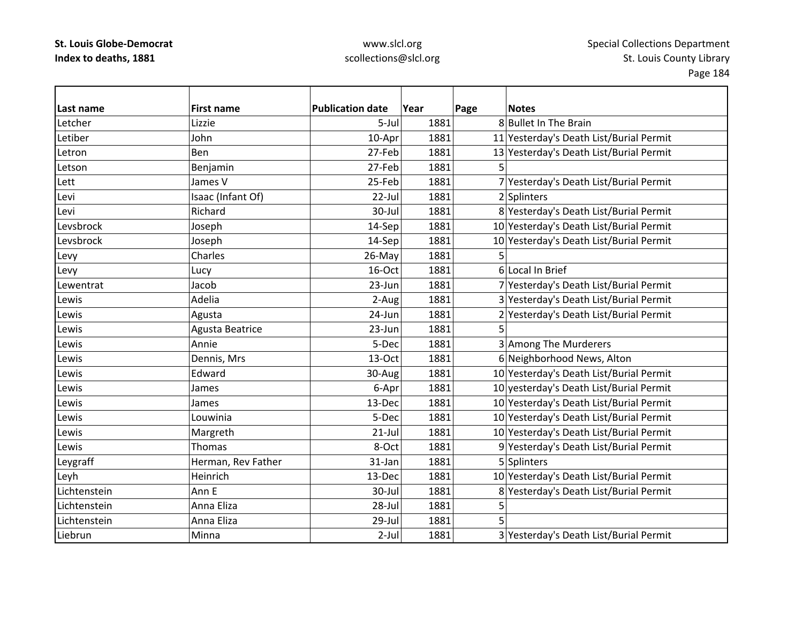### www.slcl.org scollections@slcl.org

**Last name First name Publication date Year Page Notes** Letcher Lizziee 5-Jul 1881 8 Bullet In The Brain Letiber John10-Apr 1881 11 Yesterday's Death List/Burial Permit LetronBen 27-Feb 1881 13 Yesterday's Death List/Burial Permit Letson Benjamin 27‐Feb 1881 5 Lett James25-Feb 1881 7 Yesterday's Death List/Burial Permit Levi Isaac (Infant Of) 22‐Jul 1881 2 Splinters Levi Richard30-Jul 1881 8 Yesterday's Death List/Burial Permit LevsbrockJoseph 14‐Sep 1881 10 Yesterday's Death List/Burial Permit Levsbrock Joseph 14‐Sep 1881 10 Yesterday's Death List/Burial Permit Levy |Charles | 26-May| 1881| 5 Levy  $\vert$  Lucy  $\vert$  16-Oct 1881 6 Local In Brief Lewentrat Jacob23-Jun 1881 7 Yesterday's Death List/Burial Permit Lewis Adelia2-Aug 1881 3 Yesterday's Death List/Burial Permit Lewis Agusta 24‐Jun 1881 2 Yesterday's Death List/Burial Permit Lewis  $\begin{array}{|c|c|c|c|c|}\n\hline\n\text{Agusta Beatrice} & & & 23-\text{Jun} & 1881 & 5\n\end{array}$ Lewis Annie5-Dec 1881 3 Among The Murderers LewisDennis, Mrs 13 -0ct 1881 6 Neighborhood News, Alton Lewis Edward30-Aug 1881 10 Yesterday's Death List/Burial Permit LewisJames 1981 1881 1881 10 yesterday's Death List/Burial Permit LewisJames 13‐Dec 1881 10 Yesterday's Death List/Burial Permit Lewis Louwinia5-Dec 1881 10 Yesterday's Death List/Burial Permit LewisMargreth 21‐Jul 1881 10 Yesterday's Death List/Burial Permit LewisThomas 1986 1881 1881 9 Yesterday's Death List/Burial Permit Leygraff **Herman, Rev Father** 131-Jan 1881 5 Splinters Leyh Heinrich 13‐Dec 1881 10 Yesterday's Death List/Burial Permit LichtensteinAnn E E 30-Jul 1881 8 Yesterday's Death List/Burial Permit LichtensteinAnna Eliza 1881 | 28-Jul 1881 | 5 LichtensteinAnna Eliza 1881 **1881** 5 LiebrunMinna  $\vert$  2-Jul 1881 3 Yesterday's Death List/Burial Permit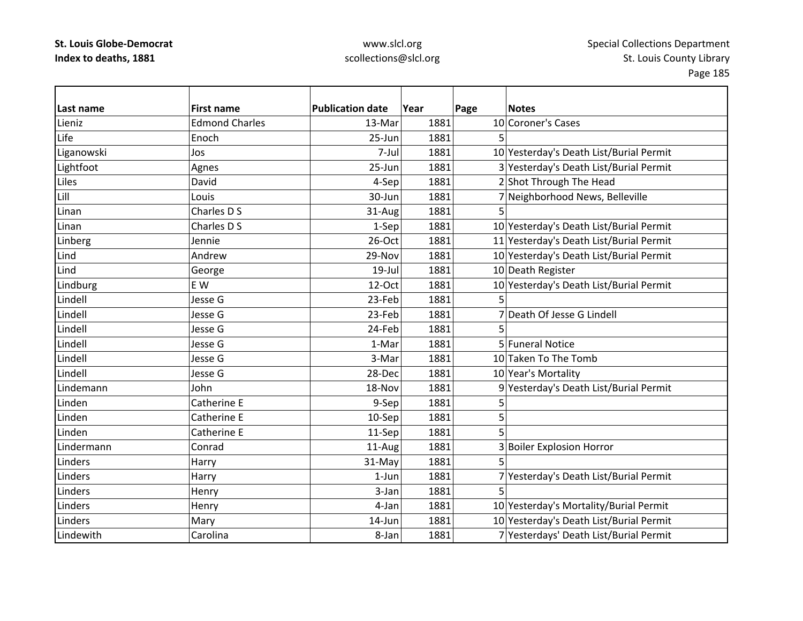## www.slcl.org scollections@slcl.org

 $\overline{\phantom{a}}$ 

| Last name  | <b>First name</b>     | <b>Publication date</b> | Year | Page | <b>Notes</b>                            |
|------------|-----------------------|-------------------------|------|------|-----------------------------------------|
| Lieniz     | <b>Edmond Charles</b> | 13-Mar                  | 1881 |      | 10 Coroner's Cases                      |
| Life       | Enoch                 | 25-Jun                  | 1881 | 5    |                                         |
| Liganowski | Jos                   | 7-Jul                   | 1881 |      | 10 Yesterday's Death List/Burial Permit |
| Lightfoot  | Agnes                 | 25-Jun                  | 1881 |      | 3 Yesterday's Death List/Burial Permit  |
| Liles      | David                 | 4-Sep                   | 1881 |      | 2 Shot Through The Head                 |
| Lill       | Louis                 | 30-Jun                  | 1881 |      | 7 Neighborhood News, Belleville         |
| Linan      | Charles D S           | 31-Aug                  | 1881 | 5    |                                         |
| Linan      | Charles D S           | 1-Sep                   | 1881 |      | 10 Yesterday's Death List/Burial Permit |
| Linberg    | Jennie                | 26-Oct                  | 1881 |      | 11 Yesterday's Death List/Burial Permit |
| Lind       | Andrew                | 29-Nov                  | 1881 |      | 10 Yesterday's Death List/Burial Permit |
| Lind       | George                | 19-Jul                  | 1881 |      | 10 Death Register                       |
| Lindburg   | E W                   | 12-Oct                  | 1881 |      | 10 Yesterday's Death List/Burial Permit |
| Lindell    | Jesse G               | 23-Feb                  | 1881 |      |                                         |
| Lindell    | Jesse G               | 23-Feb                  | 1881 |      | 7 Death Of Jesse G Lindell              |
| Lindell    | Jesse G               | 24-Feb                  | 1881 |      |                                         |
| Lindell    | Jesse G               | 1-Mar                   | 1881 |      | 5 Funeral Notice                        |
| Lindell    | Jesse G               | 3-Mar                   | 1881 |      | 10 Taken To The Tomb                    |
| Lindell    | Jesse G               | 28-Dec                  | 1881 |      | 10 Year's Mortality                     |
| Lindemann  | John                  | 18-Nov                  | 1881 |      | 9 Yesterday's Death List/Burial Permit  |
| Linden     | Catherine E           | 9-Sep                   | 1881 | 5    |                                         |
| Linden     | Catherine E           | 10-Sep                  | 1881 | 5    |                                         |
| Linden     | Catherine E           | 11-Sep                  | 1881 | 5    |                                         |
| Lindermann | Conrad                | 11-Aug                  | 1881 |      | 3 Boiler Explosion Horror               |
| Linders    | Harry                 | 31-May                  | 1881 | 5    |                                         |
| Linders    | Harry                 | $1-Jun$                 | 1881 |      | 7 Yesterday's Death List/Burial Permit  |
| Linders    | Henry                 | 3-Jan                   | 1881 | 5    |                                         |
| Linders    | Henry                 | 4-Jan                   | 1881 |      | 10 Yesterday's Mortality/Burial Permit  |
| Linders    | Mary                  | 14-Jun                  | 1881 |      | 10 Yesterday's Death List/Burial Permit |
| Lindewith  | Carolina              | 8-Jan                   | 1881 |      | 7 Yesterdays' Death List/Burial Permit  |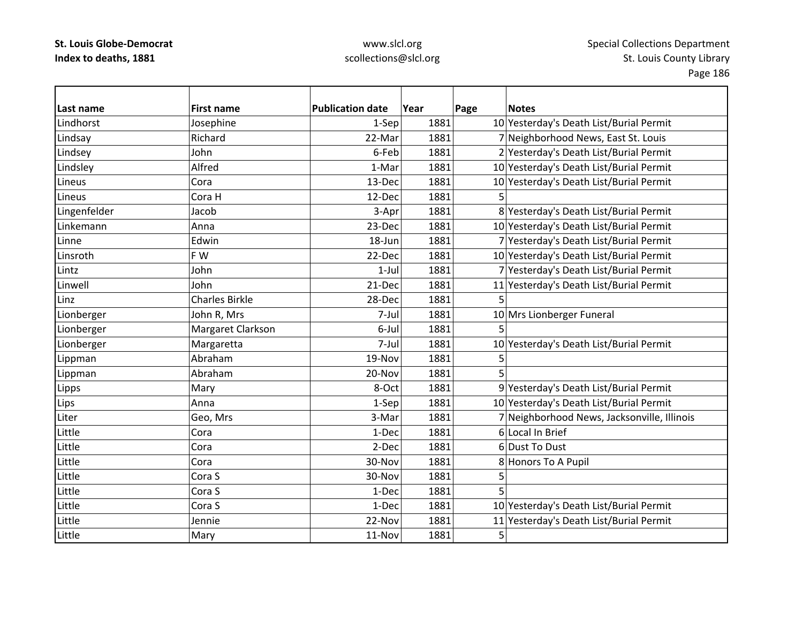| Last name    | <b>First name</b>     | <b>Publication date</b> | Year | Page | <b>Notes</b>                                |
|--------------|-----------------------|-------------------------|------|------|---------------------------------------------|
| Lindhorst    | Josephine             | 1-Sep                   | 1881 |      | 10 Yesterday's Death List/Burial Permit     |
| Lindsay      | Richard               | 22-Mar                  | 1881 |      | 7 Neighborhood News, East St. Louis         |
| Lindsey      | John                  | 6-Feb                   | 1881 |      | 2 Yesterday's Death List/Burial Permit      |
| Lindsley     | Alfred                | 1-Mar                   | 1881 |      | 10 Yesterday's Death List/Burial Permit     |
| Lineus       | Cora                  | 13-Dec                  | 1881 |      | 10 Yesterday's Death List/Burial Permit     |
| Lineus       | Cora H                | 12-Dec                  | 1881 | 5    |                                             |
| Lingenfelder | Jacob                 | 3-Apr                   | 1881 |      | 8 Yesterday's Death List/Burial Permit      |
| Linkemann    | Anna                  | 23-Dec                  | 1881 |      | 10 Yesterday's Death List/Burial Permit     |
| Linne        | Edwin                 | 18-Jun                  | 1881 |      | 7 Yesterday's Death List/Burial Permit      |
| Linsroth     | F W                   | 22-Dec                  | 1881 |      | 10 Yesterday's Death List/Burial Permit     |
| Lintz        | John                  | $1$ -Jul                | 1881 |      | 7 Yesterday's Death List/Burial Permit      |
| Linwell      | John                  | 21-Dec                  | 1881 |      | 11 Yesterday's Death List/Burial Permit     |
| Linz         | <b>Charles Birkle</b> | 28-Dec                  | 1881 |      |                                             |
| Lionberger   | John R, Mrs           | 7-Jul                   | 1881 |      | 10 Mrs Lionberger Funeral                   |
| Lionberger   | Margaret Clarkson     | 6-Jul                   | 1881 | 5    |                                             |
| Lionberger   | Margaretta            | 7-Jul                   | 1881 |      | 10 Yesterday's Death List/Burial Permit     |
| Lippman      | Abraham               | 19-Nov                  | 1881 | 5    |                                             |
| Lippman      | Abraham               | 20-Nov                  | 1881 | 5    |                                             |
| Lipps        | Mary                  | 8-Oct                   | 1881 |      | 9 Yesterday's Death List/Burial Permit      |
| Lips         | Anna                  | 1-Sep                   | 1881 |      | 10 Yesterday's Death List/Burial Permit     |
| Liter        | Geo, Mrs              | 3-Mar                   | 1881 |      | 7 Neighborhood News, Jacksonville, Illinois |
| Little       | Cora                  | 1-Dec                   | 1881 |      | 6 Local In Brief                            |
| Little       | Cora                  | 2-Dec                   | 1881 |      | 6Dust To Dust                               |
| Little       | Cora                  | 30-Nov                  | 1881 |      | 8 Honors To A Pupil                         |
| Little       | Cora S                | 30-Nov                  | 1881 | 5    |                                             |
| Little       | Cora S                | 1-Dec                   | 1881 | 5    |                                             |
| Little       | Cora S                | 1-Dec                   | 1881 |      | 10 Yesterday's Death List/Burial Permit     |
| Little       | Jennie                | 22-Nov                  | 1881 |      | 11 Yesterday's Death List/Burial Permit     |
| Little       | Mary                  | 11-Nov                  | 1881 | 5    |                                             |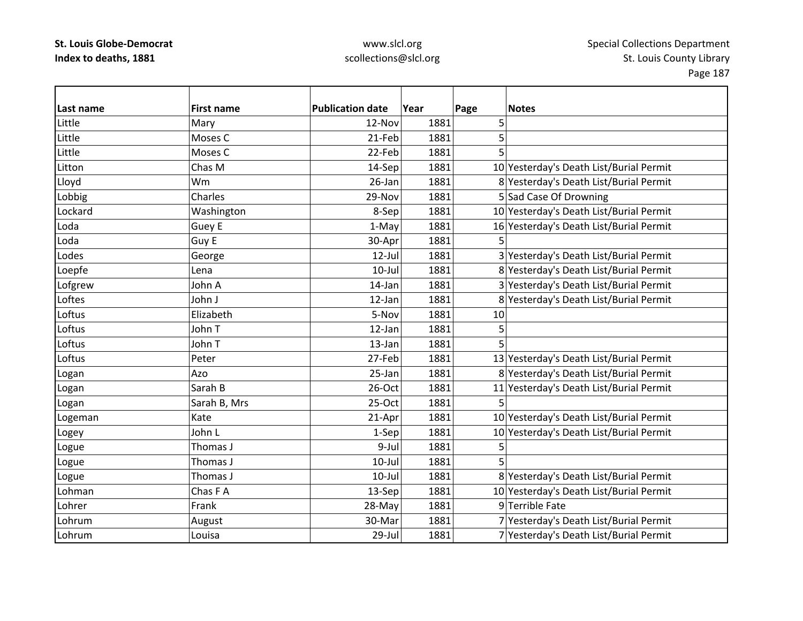| Last name | <b>First name</b> | <b>Publication date</b> | Year | Page<br><b>Notes</b>                    |
|-----------|-------------------|-------------------------|------|-----------------------------------------|
| Little    | Mary              | 12-Nov                  | 1881 | 5                                       |
| Little    | Moses C           | 21-Feb                  | 1881 | 5                                       |
| Little    | Moses C           | 22-Feb                  | 1881 | 5                                       |
| Litton    | Chas M            | 14-Sep                  | 1881 | 10 Yesterday's Death List/Burial Permit |
| Lloyd     | Wm                | 26-Jan                  | 1881 | 8 Yesterday's Death List/Burial Permit  |
| Lobbig    | Charles           | 29-Nov                  | 1881 | 5 Sad Case Of Drowning                  |
| Lockard   | Washington        | 8-Sep                   | 1881 | 10 Yesterday's Death List/Burial Permit |
| Loda      | Guey E            | 1-May                   | 1881 | 16 Yesterday's Death List/Burial Permit |
| Loda      | Guy E             | 30-Apr                  | 1881 | 5                                       |
| Lodes     | George            | 12-Jul                  | 1881 | 3 Yesterday's Death List/Burial Permit  |
| Loepfe    | Lena              | $10 -$ Jul              | 1881 | 8 Yesterday's Death List/Burial Permit  |
| Lofgrew   | John A            | 14-Jan                  | 1881 | 3 Yesterday's Death List/Burial Permit  |
| Loftes    | John J            | 12-Jan                  | 1881 | 8 Yesterday's Death List/Burial Permit  |
| Loftus    | Elizabeth         | 5-Nov                   | 1881 | 10                                      |
| Loftus    | John T            | $12$ -Jan               | 1881 | 5                                       |
| Loftus    | John T            | 13-Jan                  | 1881 | 5                                       |
| Loftus    | Peter             | 27-Feb                  | 1881 | 13 Yesterday's Death List/Burial Permit |
| Logan     | Azo               | 25-Jan                  | 1881 | 8 Yesterday's Death List/Burial Permit  |
| Logan     | Sarah B           | 26-Oct                  | 1881 | 11 Yesterday's Death List/Burial Permit |
| Logan     | Sarah B, Mrs      | $25-Oct$                | 1881 | 5                                       |
| Logeman   | Kate              | 21-Apr                  | 1881 | 10 Yesterday's Death List/Burial Permit |
| Logey     | John L            | 1-Sep                   | 1881 | 10 Yesterday's Death List/Burial Permit |
| Logue     | Thomas J          | 9-Jul                   | 1881 | 5                                       |
| Logue     | Thomas J          | $10$ -Jul               | 1881 | 5                                       |
| Logue     | Thomas J          | $10$ -Jul               | 1881 | 8 Yesterday's Death List/Burial Permit  |
| Lohman    | Chas F A          | 13-Sep                  | 1881 | 10 Yesterday's Death List/Burial Permit |
| Lohrer    | Frank             | 28-May                  | 1881 | 9 Terrible Fate                         |
| Lohrum    | August            | 30-Mar                  | 1881 | 7 Yesterday's Death List/Burial Permit  |
| Lohrum    | Louisa            | 29-Jul                  | 1881 | 7 Yesterday's Death List/Burial Permit  |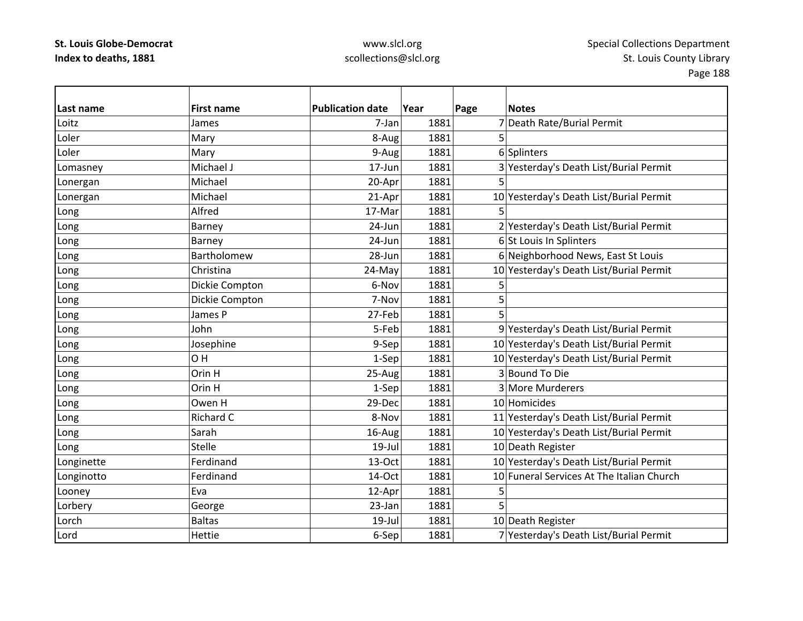| Last name  | <b>First name</b>  | <b>Publication date</b> | Year | Page | <b>Notes</b>                              |
|------------|--------------------|-------------------------|------|------|-------------------------------------------|
| Loitz      | James              | 7-Jan                   | 1881 |      | 7 Death Rate/Burial Permit                |
| Loler      | Mary               | 8-Aug                   | 1881 | 5    |                                           |
| Loler      | Mary               | 9-Aug                   | 1881 |      | 6 Splinters                               |
| Lomasney   | Michael J          | 17-Jun                  | 1881 |      | 3 Yesterday's Death List/Burial Permit    |
| Lonergan   | Michael            | 20-Apr                  | 1881 |      |                                           |
| Lonergan   | Michael            | 21-Apr                  | 1881 |      | 10 Yesterday's Death List/Burial Permit   |
| Long       | Alfred             | 17-Mar                  | 1881 | 5    |                                           |
| Long       | Barney             | 24-Jun                  | 1881 |      | 2 Yesterday's Death List/Burial Permit    |
| Long       | <b>Barney</b>      | 24-Jun                  | 1881 |      | 6 St Louis In Splinters                   |
| Long       | <b>Bartholomew</b> | 28-Jun                  | 1881 |      | 6 Neighborhood News, East St Louis        |
| Long       | Christina          | 24-May                  | 1881 |      | 10 Yesterday's Death List/Burial Permit   |
| Long       | Dickie Compton     | 6-Nov                   | 1881 | 5    |                                           |
| Long       | Dickie Compton     | 7-Nov                   | 1881 | 5    |                                           |
| Long       | James P            | 27-Feb                  | 1881 | 5    |                                           |
| Long       | John               | 5-Feb                   | 1881 |      | 9 Yesterday's Death List/Burial Permit    |
| Long       | Josephine          | 9-Sep                   | 1881 |      | 10 Yesterday's Death List/Burial Permit   |
| Long       | OH                 | 1-Sep                   | 1881 |      | 10 Yesterday's Death List/Burial Permit   |
| Long       | Orin H             | 25-Aug                  | 1881 |      | 3 Bound To Die                            |
| Long       | Orin H             | 1-Sep                   | 1881 |      | 3 More Murderers                          |
| Long       | Owen H             | 29-Dec                  | 1881 |      | 10 Homicides                              |
| Long       | Richard C          | 8-Nov                   | 1881 |      | 11 Yesterday's Death List/Burial Permit   |
| Long       | Sarah              | 16-Aug                  | 1881 |      | 10 Yesterday's Death List/Burial Permit   |
| Long       | <b>Stelle</b>      | $19$ -Jul               | 1881 |      | 10 Death Register                         |
| Longinette | Ferdinand          | 13-Oct                  | 1881 |      | 10 Yesterday's Death List/Burial Permit   |
| Longinotto | Ferdinand          | 14-Oct                  | 1881 |      | 10 Funeral Services At The Italian Church |
| Looney     | Eva                | 12-Apr                  | 1881 | 5    |                                           |
| Lorbery    | George             | 23-Jan                  | 1881 | 5    |                                           |
| Lorch      | <b>Baltas</b>      | 19-Jul                  | 1881 |      | 10 Death Register                         |
| Lord       | Hettie             | 6-Sep                   | 1881 |      | 7 Yesterday's Death List/Burial Permit    |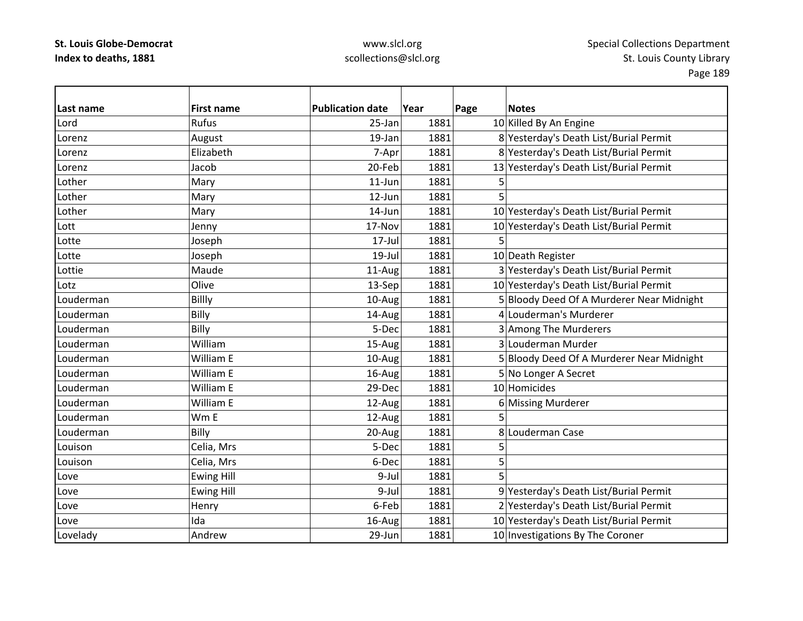| Last name | <b>First name</b> | <b>Publication date</b> | Year | Page | <b>Notes</b>                              |
|-----------|-------------------|-------------------------|------|------|-------------------------------------------|
| Lord      | Rufus             | 25-Jan                  | 1881 |      | 10 Killed By An Engine                    |
| Lorenz    | August            | 19-Jan                  | 1881 |      | 8 Yesterday's Death List/Burial Permit    |
| Lorenz    | Elizabeth         | 7-Apr                   | 1881 |      | 8 Yesterday's Death List/Burial Permit    |
| Lorenz    | Jacob             | 20-Feb                  | 1881 |      | 13 Yesterday's Death List/Burial Permit   |
| Lother    | Mary              | 11-Jun                  | 1881 | 5    |                                           |
| Lother    | Mary              | 12-Jun                  | 1881 | 5    |                                           |
| Lother    | Mary              | 14-Jun                  | 1881 |      | 10 Yesterday's Death List/Burial Permit   |
| Lott      | Jenny             | 17-Nov                  | 1881 |      | 10 Yesterday's Death List/Burial Permit   |
| Lotte     | Joseph            | $17 -$ Jul              | 1881 | 5    |                                           |
| Lotte     | Joseph            | $19 -$ Jul              | 1881 |      | 10 Death Register                         |
| Lottie    | Maude             | 11-Aug                  | 1881 |      | 3 Yesterday's Death List/Burial Permit    |
| Lotz      | Olive             | 13-Sep                  | 1881 |      | 10 Yesterday's Death List/Burial Permit   |
| Louderman | Billly            | 10-Aug                  | 1881 |      | 5 Bloody Deed Of A Murderer Near Midnight |
| Louderman | Billy             | 14-Aug                  | 1881 |      | 4 Louderman's Murderer                    |
| Louderman | Billy             | 5-Dec                   | 1881 |      | 3 Among The Murderers                     |
| Louderman | William           | 15-Aug                  | 1881 |      | 3 Louderman Murder                        |
| Louderman | William E         | 10-Aug                  | 1881 |      | 5 Bloody Deed Of A Murderer Near Midnight |
| Louderman | William E         | 16-Aug                  | 1881 |      | 5 No Longer A Secret                      |
| Louderman | William E         | 29-Dec                  | 1881 |      | 10 Homicides                              |
| Louderman | William E         | 12-Aug                  | 1881 |      | 6 Missing Murderer                        |
| Louderman | Wm E              | 12-Aug                  | 1881 | 5    |                                           |
| Louderman | Billy             | 20-Aug                  | 1881 |      | 8 Louderman Case                          |
| Louison   | Celia, Mrs        | 5-Dec                   | 1881 | 5    |                                           |
| Louison   | Celia, Mrs        | 6-Dec                   | 1881 | 5    |                                           |
| Love      | <b>Ewing Hill</b> | 9-Jul                   | 1881 | 5    |                                           |
| Love      | <b>Ewing Hill</b> | 9-Jul                   | 1881 |      | 9 Yesterday's Death List/Burial Permit    |
| Love      | Henry             | 6-Feb                   | 1881 |      | 2 Yesterday's Death List/Burial Permit    |
| Love      | Ida               | 16-Aug                  | 1881 |      | 10 Yesterday's Death List/Burial Permit   |
| Lovelady  | Andrew            | 29-Jun                  | 1881 |      | 10 Investigations By The Coroner          |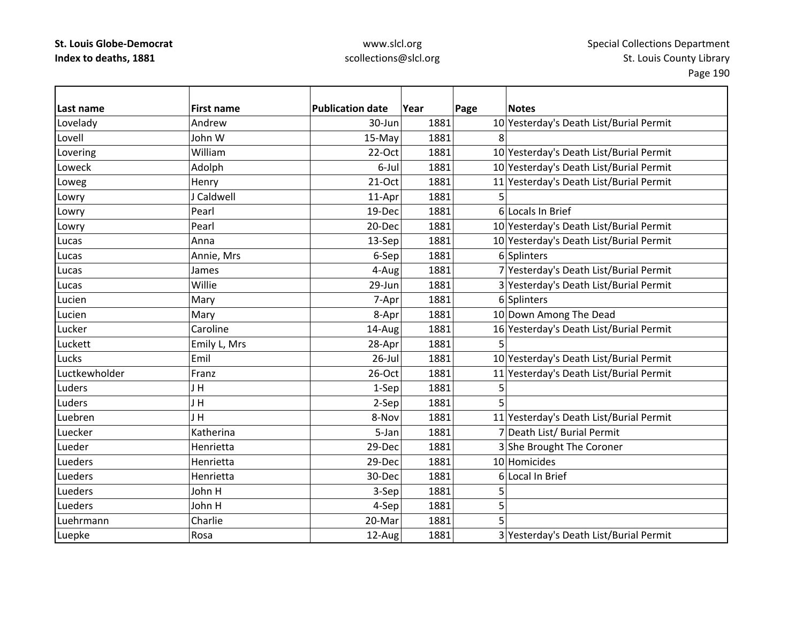| Last name     | <b>First name</b> | <b>Publication date</b> | Year | <b>Notes</b><br>Page                    |
|---------------|-------------------|-------------------------|------|-----------------------------------------|
| Lovelady      | Andrew            | 30-Jun                  | 1881 | 10 Yesterday's Death List/Burial Permit |
| Lovell        | John W            | 15-May                  | 1881 | 8                                       |
| Lovering      | William           | 22-Oct                  | 1881 | 10 Yesterday's Death List/Burial Permit |
| Loweck        | Adolph            | 6-Jul                   | 1881 | 10 Yesterday's Death List/Burial Permit |
| Loweg         | Henry             | $21-Oct$                | 1881 | 11 Yesterday's Death List/Burial Permit |
| Lowry         | J Caldwell        | 11-Apr                  | 1881 | 5                                       |
| Lowry         | Pearl             | 19-Dec                  | 1881 | 6 Locals In Brief                       |
| Lowry         | Pearl             | 20-Dec                  | 1881 | 10 Yesterday's Death List/Burial Permit |
| Lucas         | Anna              | 13-Sep                  | 1881 | 10 Yesterday's Death List/Burial Permit |
| Lucas         | Annie, Mrs        | 6-Sep                   | 1881 | 6 Splinters                             |
| Lucas         | James             | 4-Aug                   | 1881 | 7 Yesterday's Death List/Burial Permit  |
| Lucas         | Willie            | 29-Jun                  | 1881 | 3 Yesterday's Death List/Burial Permit  |
| Lucien        | Mary              | 7-Apr                   | 1881 | 6 Splinters                             |
| Lucien        | Mary              | 8-Apr                   | 1881 | 10 Down Among The Dead                  |
| Lucker        | Caroline          | 14-Aug                  | 1881 | 16 Yesterday's Death List/Burial Permit |
| Luckett       | Emily L, Mrs      | 28-Apr                  | 1881 | 5                                       |
| Lucks         | Emil              | $26$ -Jul               | 1881 | 10 Yesterday's Death List/Burial Permit |
| Luctkewholder | Franz             | 26-Oct                  | 1881 | 11 Yesterday's Death List/Burial Permit |
| Luders        | J H               | 1-Sep                   | 1881 | 5                                       |
| Luders        | J H               | 2-Sep                   | 1881 | 5                                       |
| Luebren       | JH                | 8-Nov                   | 1881 | 11 Yesterday's Death List/Burial Permit |
| Luecker       | Katherina         | 5-Jan                   | 1881 | 7 Death List/ Burial Permit             |
| Lueder        | Henrietta         | 29-Dec                  | 1881 | 3 She Brought The Coroner               |
| Lueders       | Henrietta         | 29-Dec                  | 1881 | 10 Homicides                            |
| Lueders       | Henrietta         | 30-Dec                  | 1881 | 6 Local In Brief                        |
| Lueders       | John H            | 3-Sep                   | 1881 | 5                                       |
| Lueders       | John H            | 4-Sep                   | 1881 | 5                                       |
| Luehrmann     | Charlie           | 20-Mar                  | 1881 | 5                                       |
| Luepke        | Rosa              | 12-Aug                  | 1881 | 3 Yesterday's Death List/Burial Permit  |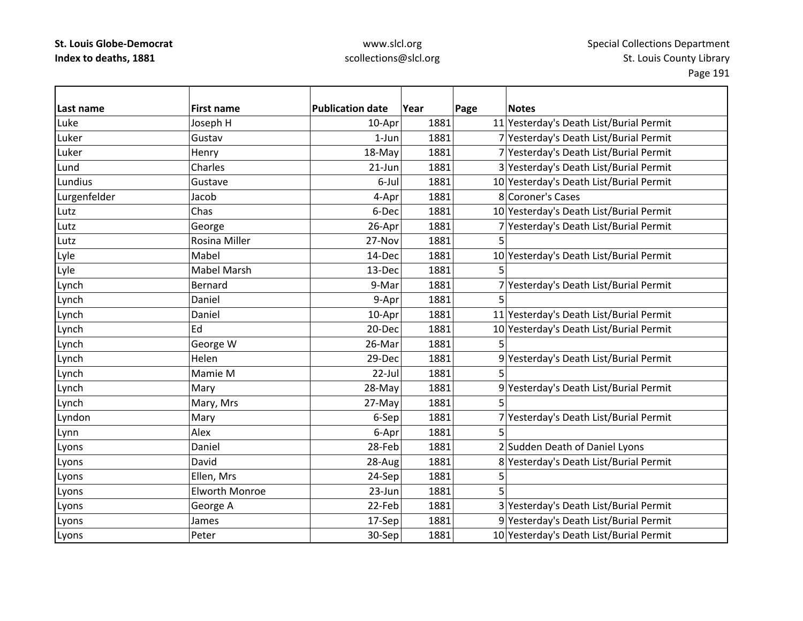| Last name    | <b>First name</b>     | <b>Publication date</b> | Year | Page | <b>Notes</b>                            |
|--------------|-----------------------|-------------------------|------|------|-----------------------------------------|
| Luke         | Joseph H              | 10-Apr                  | 1881 |      | 11 Yesterday's Death List/Burial Permit |
| Luker        | Gustav                | $1$ -Jun                | 1881 |      | 7 Yesterday's Death List/Burial Permit  |
| Luker        | Henry                 | 18-May                  | 1881 |      | 7 Yesterday's Death List/Burial Permit  |
| Lund         | Charles               | $21$ -Jun               | 1881 |      | 3 Yesterday's Death List/Burial Permit  |
| Lundius      | Gustave               | 6-Jul                   | 1881 |      | 10 Yesterday's Death List/Burial Permit |
| Lurgenfelder | Jacob                 | 4-Apr                   | 1881 |      | 8 Coroner's Cases                       |
| Lutz         | Chas                  | 6-Dec                   | 1881 |      | 10 Yesterday's Death List/Burial Permit |
| Lutz         | George                | 26-Apr                  | 1881 |      | 7 Yesterday's Death List/Burial Permit  |
| Lutz         | Rosina Miller         | 27-Nov                  | 1881 | 5    |                                         |
| Lyle         | Mabel                 | 14-Dec                  | 1881 |      | 10 Yesterday's Death List/Burial Permit |
| Lyle         | Mabel Marsh           | 13-Dec                  | 1881 | 5    |                                         |
| Lynch        | Bernard               | 9-Mar                   | 1881 |      | 7 Yesterday's Death List/Burial Permit  |
| Lynch        | Daniel                | 9-Apr                   | 1881 | 5    |                                         |
| Lynch        | Daniel                | 10-Apr                  | 1881 |      | 11 Yesterday's Death List/Burial Permit |
| Lynch        | Ed                    | 20-Dec                  | 1881 |      | 10 Yesterday's Death List/Burial Permit |
| Lynch        | George W              | 26-Mar                  | 1881 | 5    |                                         |
| Lynch        | Helen                 | 29-Dec                  | 1881 |      | 9 Yesterday's Death List/Burial Permit  |
| Lynch        | Mamie M               | 22-Jul                  | 1881 |      |                                         |
| Lynch        | Mary                  | 28-May                  | 1881 |      | 9 Yesterday's Death List/Burial Permit  |
| Lynch        | Mary, Mrs             | 27-May                  | 1881 | 5    |                                         |
| Lyndon       | Mary                  | 6-Sep                   | 1881 |      | 7 Yesterday's Death List/Burial Permit  |
| Lynn         | Alex                  | 6-Apr                   | 1881 | 5    |                                         |
| Lyons        | Daniel                | 28-Feb                  | 1881 |      | 2 Sudden Death of Daniel Lyons          |
| Lyons        | David                 | 28-Aug                  | 1881 |      | 8 Yesterday's Death List/Burial Permit  |
| Lyons        | Ellen, Mrs            | 24-Sep                  | 1881 | 5    |                                         |
| Lyons        | <b>Elworth Monroe</b> | 23-Jun                  | 1881 | 5    |                                         |
| Lyons        | George A              | 22-Feb                  | 1881 |      | 3 Yesterday's Death List/Burial Permit  |
| Lyons        | James                 | 17-Sep                  | 1881 |      | 9 Yesterday's Death List/Burial Permit  |
| Lyons        | Peter                 | 30-Sep                  | 1881 |      | 10 Yesterday's Death List/Burial Permit |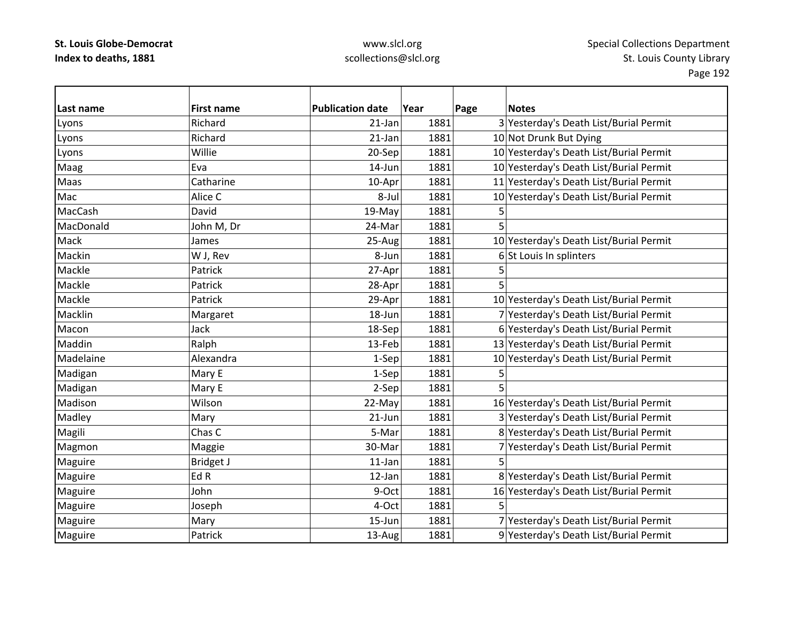| Last name | <b>First name</b> | <b>Publication date</b> | Year | Page | <b>Notes</b>                            |
|-----------|-------------------|-------------------------|------|------|-----------------------------------------|
| Lyons     | Richard           | 21-Jan                  | 1881 |      | 3 Yesterday's Death List/Burial Permit  |
| Lyons     | Richard           | 21-Jan                  | 1881 |      | 10 Not Drunk But Dying                  |
| Lyons     | Willie            | 20-Sep                  | 1881 |      | 10 Yesterday's Death List/Burial Permit |
| Maag      | Eva               | 14-Jun                  | 1881 |      | 10 Yesterday's Death List/Burial Permit |
| Maas      | Catharine         | 10-Apr                  | 1881 |      | 11 Yesterday's Death List/Burial Permit |
| Mac       | Alice C           | 8-Jul                   | 1881 |      | 10 Yesterday's Death List/Burial Permit |
| MacCash   | David             | 19-May                  | 1881 | 5    |                                         |
| MacDonald | John M, Dr        | 24-Mar                  | 1881 | 5    |                                         |
| Mack      | James             | 25-Aug                  | 1881 |      | 10 Yesterday's Death List/Burial Permit |
| Mackin    | W J, Rev          | 8-Jun                   | 1881 |      | 6 St Louis In splinters                 |
| Mackle    | Patrick           | 27-Apr                  | 1881 | 5    |                                         |
| Mackle    | Patrick           | 28-Apr                  | 1881 | 5    |                                         |
| Mackle    | Patrick           | 29-Apr                  | 1881 |      | 10 Yesterday's Death List/Burial Permit |
| Macklin   | Margaret          | 18-Jun                  | 1881 |      | 7 Yesterday's Death List/Burial Permit  |
| Macon     | Jack              | 18-Sep                  | 1881 |      | 6 Yesterday's Death List/Burial Permit  |
| Maddin    | Ralph             | 13-Feb                  | 1881 |      | 13 Yesterday's Death List/Burial Permit |
| Madelaine | Alexandra         | 1-Sep                   | 1881 |      | 10 Yesterday's Death List/Burial Permit |
| Madigan   | Mary E            | 1-Sep                   | 1881 | 5    |                                         |
| Madigan   | Mary E            | 2-Sep                   | 1881 | 5    |                                         |
| Madison   | Wilson            | 22-May                  | 1881 |      | 16 Yesterday's Death List/Burial Permit |
| Madley    | Mary              | $21$ -Jun               | 1881 |      | 3 Yesterday's Death List/Burial Permit  |
| Magili    | Chas C            | 5-Mar                   | 1881 |      | 8 Yesterday's Death List/Burial Permit  |
| Magmon    | Maggie            | 30-Mar                  | 1881 |      | 7 Yesterday's Death List/Burial Permit  |
| Maguire   | <b>Bridget J</b>  | 11-Jan                  | 1881 | 5    |                                         |
| Maguire   | Ed R              | 12-Jan                  | 1881 |      | 8 Yesterday's Death List/Burial Permit  |
| Maguire   | John              | 9-Oct                   | 1881 |      | 16 Yesterday's Death List/Burial Permit |
| Maguire   | Joseph            | 4-Oct                   | 1881 |      |                                         |
| Maguire   | Mary              | 15-Jun                  | 1881 |      | 7 Yesterday's Death List/Burial Permit  |
| Maguire   | Patrick           | 13-Aug                  | 1881 |      | 9 Yesterday's Death List/Burial Permit  |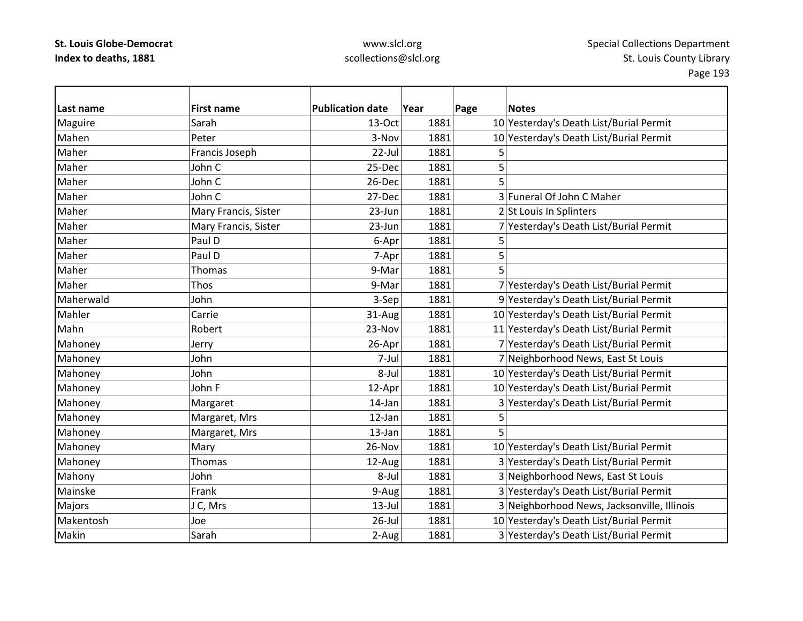## www.slcl.org scollections@slcl.org

 $\overline{\phantom{0}}$ 

| Last name | <b>First name</b>    | <b>Publication date</b> | Year | Page | <b>Notes</b>                                |
|-----------|----------------------|-------------------------|------|------|---------------------------------------------|
| Maguire   | Sarah                | 13-Oct                  | 1881 |      | 10 Yesterday's Death List/Burial Permit     |
| Mahen     | Peter                | 3-Nov                   | 1881 |      | 10 Yesterday's Death List/Burial Permit     |
| Maher     | Francis Joseph       | 22-Jul                  | 1881 | 5    |                                             |
| Maher     | John C               | 25-Dec                  | 1881 | 5    |                                             |
| Maher     | John C               | 26-Dec                  | 1881 |      |                                             |
| Maher     | John C               | 27-Dec                  | 1881 |      | 3 Funeral Of John C Maher                   |
| Maher     | Mary Francis, Sister | 23-Jun                  | 1881 |      | 2 St Louis In Splinters                     |
| Maher     | Mary Francis, Sister | 23-Jun                  | 1881 |      | 7 Yesterday's Death List/Burial Permit      |
| Maher     | Paul D               | 6-Apr                   | 1881 | 5    |                                             |
| Maher     | Paul D               | 7-Apr                   | 1881 | 5    |                                             |
| Maher     | Thomas               | 9-Mar                   | 1881 | 5    |                                             |
| Maher     | Thos                 | 9-Mar                   | 1881 |      | 7 Yesterday's Death List/Burial Permit      |
| Maherwald | John                 | 3-Sep                   | 1881 |      | 9 Yesterday's Death List/Burial Permit      |
| Mahler    | Carrie               | 31-Aug                  | 1881 |      | 10 Yesterday's Death List/Burial Permit     |
| Mahn      | Robert               | 23-Nov                  | 1881 |      | 11 Yesterday's Death List/Burial Permit     |
| Mahoney   | Jerry                | 26-Apr                  | 1881 |      | 7 Yesterday's Death List/Burial Permit      |
| Mahoney   | John                 | 7-Jul                   | 1881 |      | 7 Neighborhood News, East St Louis          |
| Mahoney   | John                 | 8-Jul                   | 1881 |      | 10 Yesterday's Death List/Burial Permit     |
| Mahoney   | John F               | 12-Apr                  | 1881 |      | 10 Yesterday's Death List/Burial Permit     |
| Mahoney   | Margaret             | 14-Jan                  | 1881 |      | 3 Yesterday's Death List/Burial Permit      |
| Mahoney   | Margaret, Mrs        | 12-Jan                  | 1881 | 5    |                                             |
| Mahoney   | Margaret, Mrs        | 13-Jan                  | 1881 |      |                                             |
| Mahoney   | Mary                 | 26-Nov                  | 1881 |      | 10 Yesterday's Death List/Burial Permit     |
| Mahoney   | Thomas               | 12-Aug                  | 1881 |      | 3 Yesterday's Death List/Burial Permit      |
| Mahony    | John                 | 8-Jul                   | 1881 |      | 3 Neighborhood News, East St Louis          |
| Mainske   | Frank                | 9-Aug                   | 1881 |      | 3 Yesterday's Death List/Burial Permit      |
| Majors    | J C, Mrs             | $13$ -Jul               | 1881 |      | 3 Neighborhood News, Jacksonville, Illinois |
| Makentosh | Joe                  | 26-Jul                  | 1881 |      | 10 Yesterday's Death List/Burial Permit     |
| Makin     | Sarah                | 2-Aug                   | 1881 |      | 3 Yesterday's Death List/Burial Permit      |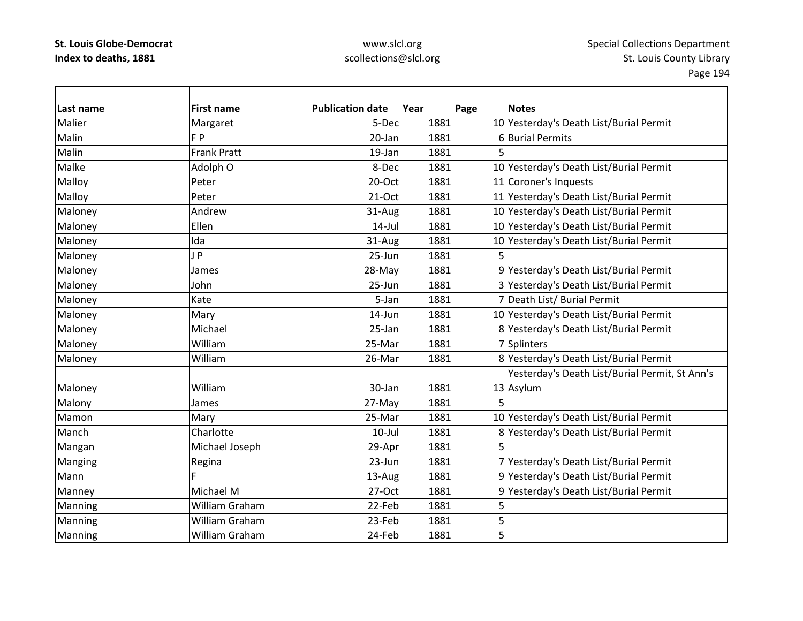| Last name | <b>First name</b>  | <b>Publication date</b> | Year | Page<br><b>Notes</b>                           |
|-----------|--------------------|-------------------------|------|------------------------------------------------|
| Malier    | Margaret           | 5-Dec                   | 1881 | 10 Yesterday's Death List/Burial Permit        |
| Malin     | F P                | 20-Jan                  | 1881 | 6 Burial Permits                               |
| Malin     | <b>Frank Pratt</b> | 19-Jan                  | 1881 | 5                                              |
| Malke     | Adolph O           | 8-Dec                   | 1881 | 10 Yesterday's Death List/Burial Permit        |
| Malloy    | Peter              | $20$ -Oct               | 1881 | 11 Coroner's Inquests                          |
| Malloy    | Peter              | 21-Oct                  | 1881 | 11 Yesterday's Death List/Burial Permit        |
| Maloney   | Andrew             | 31-Aug                  | 1881 | 10 Yesterday's Death List/Burial Permit        |
| Maloney   | Ellen              | $14$ -Jul               | 1881 | 10 Yesterday's Death List/Burial Permit        |
| Maloney   | Ida                | 31-Aug                  | 1881 | 10 Yesterday's Death List/Burial Permit        |
| Maloney   | JP                 | 25-Jun                  | 1881 | 5                                              |
| Maloney   | James              | 28-May                  | 1881 | 9 Yesterday's Death List/Burial Permit         |
| Maloney   | John               | 25-Jun                  | 1881 | 3 Yesterday's Death List/Burial Permit         |
| Maloney   | Kate               | 5-Jan                   | 1881 | 7 Death List/ Burial Permit                    |
| Maloney   | Mary               | 14-Jun                  | 1881 | 10 Yesterday's Death List/Burial Permit        |
| Maloney   | Michael            | 25-Jan                  | 1881 | 8 Yesterday's Death List/Burial Permit         |
| Maloney   | William            | 25-Mar                  | 1881 | 7 Splinters                                    |
| Maloney   | William            | 26-Mar                  | 1881 | 8 Yesterday's Death List/Burial Permit         |
|           |                    |                         |      | Yesterday's Death List/Burial Permit, St Ann's |
| Maloney   | William            | 30-Jan                  | 1881 | 13 Asylum                                      |
| Malony    | James              | 27-May                  | 1881 | 5                                              |
| Mamon     | Mary               | 25-Mar                  | 1881 | 10 Yesterday's Death List/Burial Permit        |
| Manch     | Charlotte          | $10$ -Jul               | 1881 | 8 Yesterday's Death List/Burial Permit         |
| Mangan    | Michael Joseph     | 29-Apr                  | 1881 |                                                |
| Manging   | Regina             | $23 - Jun$              | 1881 | 7 Yesterday's Death List/Burial Permit         |
| Mann      | Ē                  | 13-Aug                  | 1881 | 9 Yesterday's Death List/Burial Permit         |
| Manney    | Michael M          | 27-Oct                  | 1881 | 9 Yesterday's Death List/Burial Permit         |
| Manning   | William Graham     | 22-Feb                  | 1881 | 5                                              |
| Manning   | William Graham     | 23-Feb                  | 1881 | 5                                              |
| Manning   | William Graham     | 24-Feb                  | 1881 | 5                                              |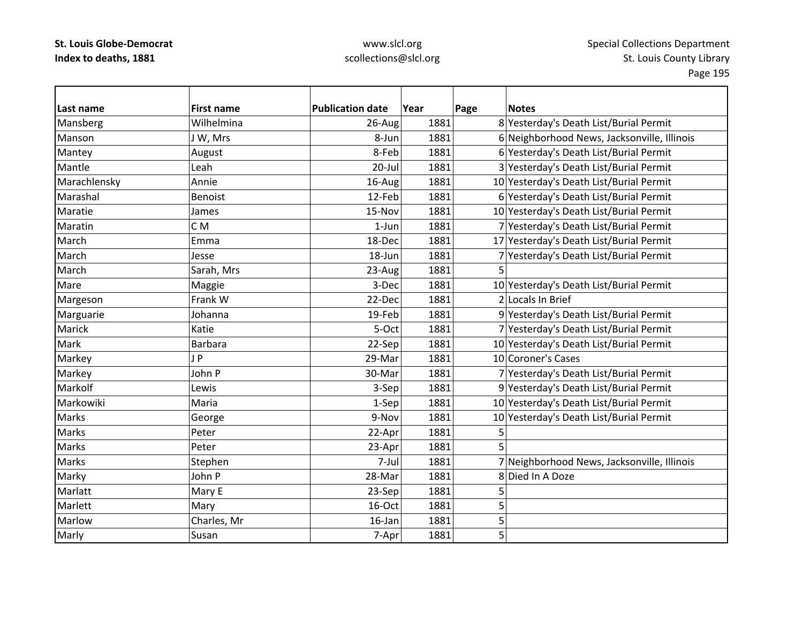## www.slcl.org scollections@slcl.org

 $\overline{\phantom{a}}$ 

| Last name    | <b>First name</b> | <b>Publication date</b> | Year | Page | <b>Notes</b>                                |
|--------------|-------------------|-------------------------|------|------|---------------------------------------------|
| Mansberg     | Wilhelmina        | 26-Aug                  | 1881 |      | 8 Yesterday's Death List/Burial Permit      |
| Manson       | J W, Mrs          | 8-Jun                   | 1881 |      | 6 Neighborhood News, Jacksonville, Illinois |
| Mantey       | August            | 8-Feb                   | 1881 |      | 6 Yesterday's Death List/Burial Permit      |
| Mantle       | Leah              | $20 -$ Jul              | 1881 |      | 3 Yesterday's Death List/Burial Permit      |
| Marachlensky | Annie             | 16-Aug                  | 1881 |      | 10 Yesterday's Death List/Burial Permit     |
| Marashal     | <b>Benoist</b>    | 12-Feb                  | 1881 |      | 6 Yesterday's Death List/Burial Permit      |
| Maratie      | James             | 15-Nov                  | 1881 |      | 10 Yesterday's Death List/Burial Permit     |
| Maratin      | C <sub>M</sub>    | $1-Jun$                 | 1881 |      | 7 Yesterday's Death List/Burial Permit      |
| March        | Emma              | 18-Dec                  | 1881 |      | 17 Yesterday's Death List/Burial Permit     |
| March        | Jesse             | 18-Jun                  | 1881 |      | 7 Yesterday's Death List/Burial Permit      |
| March        | Sarah, Mrs        | 23-Aug                  | 1881 | 5    |                                             |
| Mare         | Maggie            | 3-Dec                   | 1881 |      | 10 Yesterday's Death List/Burial Permit     |
| Margeson     | Frank W           | 22-Dec                  | 1881 |      | 2 Locals In Brief                           |
| Marguarie    | Johanna           | 19-Feb                  | 1881 |      | 9 Yesterday's Death List/Burial Permit      |
| Marick       | Katie             | 5-Oct                   | 1881 |      | 7 Yesterday's Death List/Burial Permit      |
| Mark         | Barbara           | 22-Sep                  | 1881 |      | 10 Yesterday's Death List/Burial Permit     |
| Markey       | JP                | 29-Mar                  | 1881 |      | 10 Coroner's Cases                          |
| Markey       | John P            | 30-Mar                  | 1881 |      | 7 Yesterday's Death List/Burial Permit      |
| Markolf      | Lewis             | 3-Sep                   | 1881 |      | 9 Yesterday's Death List/Burial Permit      |
| Markowiki    | Maria             | $1-Sep$                 | 1881 |      | 10 Yesterday's Death List/Burial Permit     |
| <b>Marks</b> | George            | 9-Nov                   | 1881 |      | 10 Yesterday's Death List/Burial Permit     |
| <b>Marks</b> | Peter             | 22-Apr                  | 1881 | 5    |                                             |
| <b>Marks</b> | Peter             | 23-Apr                  | 1881 | 5    |                                             |
| <b>Marks</b> | Stephen           | 7-Jul                   | 1881 |      | 7 Neighborhood News, Jacksonville, Illinois |
| Marky        | John P            | 28-Mar                  | 1881 |      | 8 Died In A Doze                            |
| Marlatt      | Mary E            | 23-Sep                  | 1881 | 5    |                                             |
| Marlett      | Mary              | 16-Oct                  | 1881 | 5    |                                             |
| Marlow       | Charles, Mr       | 16-Jan                  | 1881 | 5    |                                             |
| Marly        | Susan             | 7-Apr                   | 1881 | 5    |                                             |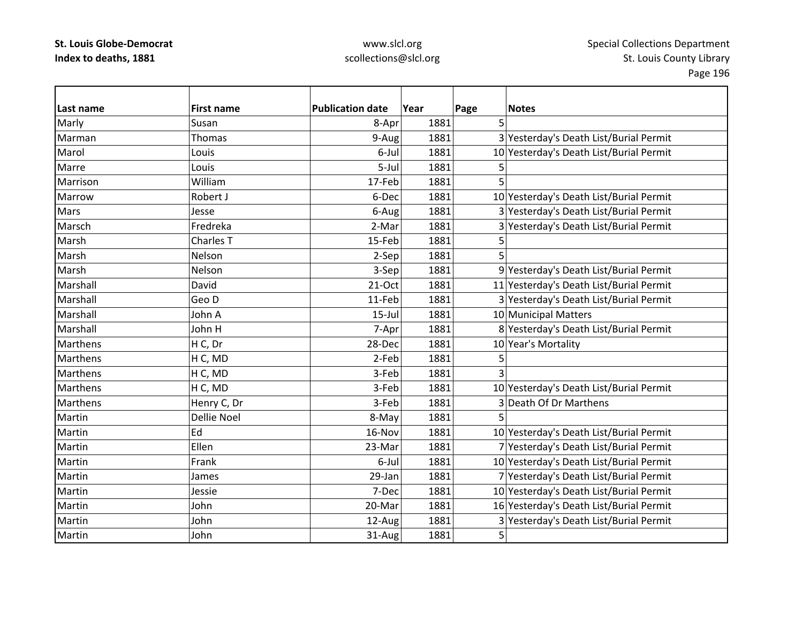| Last name | <b>First name</b>    | <b>Publication date</b> | Year | Page | <b>Notes</b>                            |
|-----------|----------------------|-------------------------|------|------|-----------------------------------------|
| Marly     | Susan                | 8-Apr                   | 1881 | 5    |                                         |
| Marman    | Thomas               | 9-Aug                   | 1881 |      | 3 Yesterday's Death List/Burial Permit  |
| Marol     | Louis                | 6-Jul                   | 1881 |      | 10 Yesterday's Death List/Burial Permit |
| Marre     | Louis                | 5-Jul                   | 1881 | 5    |                                         |
| Marrison  | William              | 17-Feb                  | 1881 | 5    |                                         |
| Marrow    | Robert J             | 6-Dec                   | 1881 |      | 10 Yesterday's Death List/Burial Permit |
| Mars      | Jesse                | 6-Aug                   | 1881 |      | 3 Yesterday's Death List/Burial Permit  |
| Marsch    | Fredreka             | 2-Mar                   | 1881 |      | 3 Yesterday's Death List/Burial Permit  |
| Marsh     | Charles <sub>T</sub> | 15-Feb                  | 1881 | 5    |                                         |
| Marsh     | Nelson               | 2-Sep                   | 1881 | 5    |                                         |
| Marsh     | Nelson               | 3-Sep                   | 1881 |      | 9 Yesterday's Death List/Burial Permit  |
| Marshall  | David                | 21-Oct                  | 1881 |      | 11 Yesterday's Death List/Burial Permit |
| Marshall  | Geo D                | 11-Feb                  | 1881 |      | 3 Yesterday's Death List/Burial Permit  |
| Marshall  | John A               | $15$ -Jul               | 1881 |      | 10 Municipal Matters                    |
| Marshall  | John H               | 7-Apr                   | 1881 |      | 8 Yesterday's Death List/Burial Permit  |
| Marthens  | H C, Dr              | 28-Dec                  | 1881 |      | 10 Year's Mortality                     |
| Marthens  | H C, MD              | 2-Feb                   | 1881 | 5    |                                         |
| Marthens  | H C, MD              | 3-Feb                   | 1881 | 3    |                                         |
| Marthens  | H C, MD              | 3-Feb                   | 1881 |      | 10 Yesterday's Death List/Burial Permit |
| Marthens  | Henry C, Dr          | 3-Feb                   | 1881 |      | 3 Death Of Dr Marthens                  |
| Martin    | <b>Dellie Noel</b>   | 8-May                   | 1881 | 5    |                                         |
| Martin    | Ed                   | 16-Nov                  | 1881 |      | 10 Yesterday's Death List/Burial Permit |
| Martin    | Ellen                | 23-Mar                  | 1881 |      | 7 Yesterday's Death List/Burial Permit  |
| Martin    | Frank                | 6-Jul                   | 1881 |      | 10 Yesterday's Death List/Burial Permit |
| Martin    | James                | 29-Jan                  | 1881 |      | 7 Yesterday's Death List/Burial Permit  |
| Martin    | Jessie               | 7-Dec                   | 1881 |      | 10 Yesterday's Death List/Burial Permit |
| Martin    | John                 | 20-Mar                  | 1881 |      | 16 Yesterday's Death List/Burial Permit |
| Martin    | John                 | 12-Aug                  | 1881 |      | 3 Yesterday's Death List/Burial Permit  |
| Martin    | John                 | 31-Aug                  | 1881 | 5    |                                         |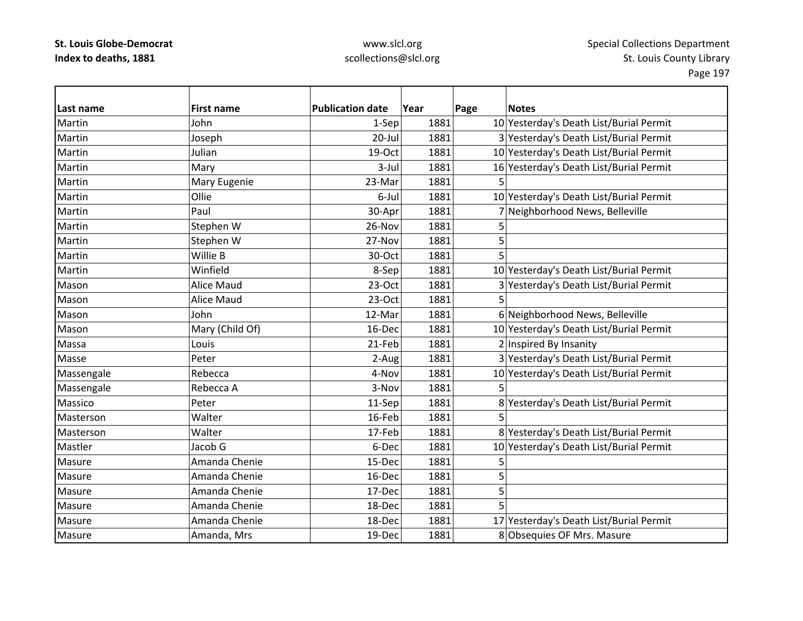| Last name  | <b>First name</b> | <b>Publication date</b> | Year | Page | <b>Notes</b>                            |
|------------|-------------------|-------------------------|------|------|-----------------------------------------|
| Martin     | John              | 1-Sep                   | 1881 |      | 10 Yesterday's Death List/Burial Permit |
| Martin     | Joseph            | $20$ -Jul               | 1881 |      | 3 Yesterday's Death List/Burial Permit  |
| Martin     | Julian            | 19-Oct                  | 1881 |      | 10 Yesterday's Death List/Burial Permit |
| Martin     | Mary              | 3-Jul                   | 1881 |      | 16 Yesterday's Death List/Burial Permit |
| Martin     | Mary Eugenie      | 23-Mar                  | 1881 | 5.   |                                         |
| Martin     | Ollie             | 6-Jul                   | 1881 |      | 10 Yesterday's Death List/Burial Permit |
| Martin     | Paul              | 30-Apr                  | 1881 |      | Neighborhood News, Belleville           |
| Martin     | Stephen W         | 26-Nov                  | 1881 | 5    |                                         |
| Martin     | Stephen W         | 27-Nov                  | 1881 | 5    |                                         |
| Martin     | Willie B          | 30-Oct                  | 1881 | 5    |                                         |
| Martin     | Winfield          | 8-Sep                   | 1881 |      | 10 Yesterday's Death List/Burial Permit |
| Mason      | <b>Alice Maud</b> | $23-Oct$                | 1881 |      | 3 Yesterday's Death List/Burial Permit  |
| Mason      | <b>Alice Maud</b> | $23-Oct$                | 1881 |      |                                         |
| Mason      | John              | 12-Mar                  | 1881 |      | 6 Neighborhood News, Belleville         |
| Mason      | Mary (Child Of)   | 16-Dec                  | 1881 |      | 10 Yesterday's Death List/Burial Permit |
| Massa      | Louis             | 21-Feb                  | 1881 |      | 2 Inspired By Insanity                  |
| Masse      | Peter             | 2-Aug                   | 1881 |      | 3 Yesterday's Death List/Burial Permit  |
| Massengale | Rebecca           | 4-Nov                   | 1881 |      | 10 Yesterday's Death List/Burial Permit |
| Massengale | Rebecca A         | 3-Nov                   | 1881 |      |                                         |
| Massico    | Peter             | 11-Sep                  | 1881 |      | 8 Yesterday's Death List/Burial Permit  |
| Masterson  | Walter            | 16-Feb                  | 1881 | 5    |                                         |
| Masterson  | Walter            | 17-Feb                  | 1881 |      | 8 Yesterday's Death List/Burial Permit  |
| Mastler    | Jacob G           | 6-Dec                   | 1881 |      | 10 Yesterday's Death List/Burial Permit |
| Masure     | Amanda Chenie     | 15-Dec                  | 1881 | 5    |                                         |
| Masure     | Amanda Chenie     | 16-Dec                  | 1881 | 5    |                                         |
| Masure     | Amanda Chenie     | 17-Dec                  | 1881 | 5    |                                         |
| Masure     | Amanda Chenie     | 18-Dec                  | 1881 |      |                                         |
| Masure     | Amanda Chenie     | 18-Dec                  | 1881 |      | 17 Yesterday's Death List/Burial Permit |
| Masure     | Amanda, Mrs       | 19-Dec                  | 1881 |      | 8 Obsequies OF Mrs. Masure              |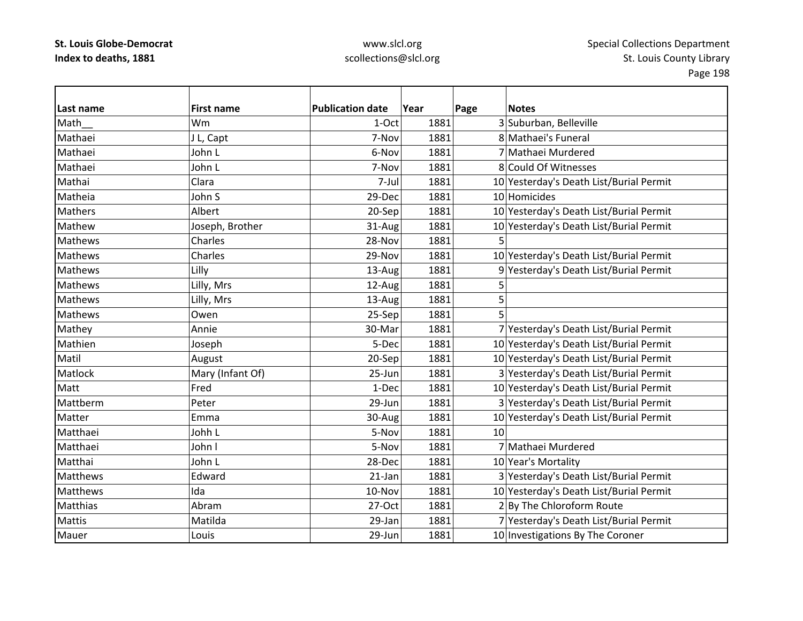| Last name       | <b>First name</b> | <b>Publication date</b> | Year | Page | <b>Notes</b>                            |
|-----------------|-------------------|-------------------------|------|------|-----------------------------------------|
| Math            | Wm                | 1-Oct                   | 1881 |      | 3 Suburban, Belleville                  |
| Mathaei         | J L, Capt         | 7-Nov                   | 1881 |      | 8 Mathaei's Funeral                     |
| Mathaei         | John L            | 6-Nov                   | 1881 |      | 7 Mathaei Murdered                      |
| Mathaei         | John L            | 7-Nov                   | 1881 |      | 8 Could Of Witnesses                    |
| Mathai          | Clara             | 7-Jul                   | 1881 |      | 10 Yesterday's Death List/Burial Permit |
| Matheia         | John S            | 29-Dec                  | 1881 |      | 10 Homicides                            |
| Mathers         | Albert            | 20-Sep                  | 1881 |      | 10 Yesterday's Death List/Burial Permit |
| Mathew          | Joseph, Brother   | 31-Aug                  | 1881 |      | 10 Yesterday's Death List/Burial Permit |
| <b>Mathews</b>  | Charles           | 28-Nov                  | 1881 |      |                                         |
| <b>Mathews</b>  | Charles           | 29-Nov                  | 1881 |      | 10 Yesterday's Death List/Burial Permit |
| <b>Mathews</b>  | Lilly             | 13-Aug                  | 1881 |      | 9 Yesterday's Death List/Burial Permit  |
| Mathews         | Lilly, Mrs        | 12-Aug                  | 1881 | 5    |                                         |
| <b>Mathews</b>  | Lilly, Mrs        | 13-Aug                  | 1881 | 5    |                                         |
| Mathews         | Owen              | 25-Sep                  | 1881 | 5    |                                         |
| Mathey          | Annie             | 30-Mar                  | 1881 |      | 7 Yesterday's Death List/Burial Permit  |
| Mathien         | Joseph            | 5-Dec                   | 1881 |      | 10 Yesterday's Death List/Burial Permit |
| Matil           | August            | 20-Sep                  | 1881 |      | 10 Yesterday's Death List/Burial Permit |
| Matlock         | Mary (Infant Of)  | 25-Jun                  | 1881 |      | 3 Yesterday's Death List/Burial Permit  |
| Matt            | Fred              | 1-Dec                   | 1881 |      | 10 Yesterday's Death List/Burial Permit |
| Mattberm        | Peter             | 29-Jun                  | 1881 |      | 3 Yesterday's Death List/Burial Permit  |
| Matter          | Emma              | 30-Aug                  | 1881 |      | 10 Yesterday's Death List/Burial Permit |
| Matthaei        | Johh L            | 5-Nov                   | 1881 | 10   |                                         |
| Matthaei        | John I            | 5-Nov                   | 1881 |      | 7 Mathaei Murdered                      |
| Matthai         | John L            | 28-Dec                  | 1881 |      | 10 Year's Mortality                     |
| <b>Matthews</b> | Edward            | $21$ -Jan               | 1881 |      | 3 Yesterday's Death List/Burial Permit  |
| Matthews        | Ida               | 10-Nov                  | 1881 |      | 10 Yesterday's Death List/Burial Permit |
| <b>Matthias</b> | Abram             | 27-Oct                  | 1881 |      | 2 By The Chloroform Route               |
| <b>Mattis</b>   | Matilda           | 29-Jan                  | 1881 |      | 7 Yesterday's Death List/Burial Permit  |
| Mauer           | Louis             | 29-Jun                  | 1881 |      | 10 Investigations By The Coroner        |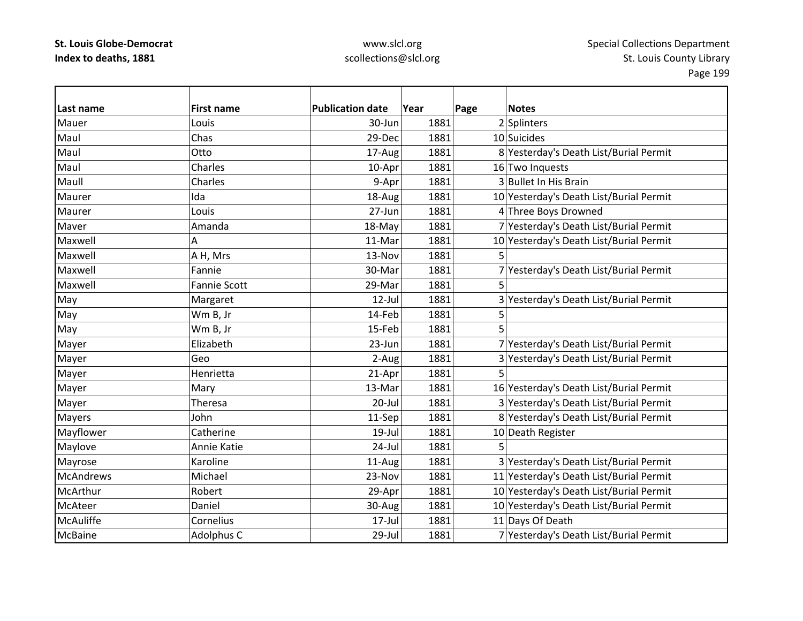## www.slcl.org scollections@slcl.org

5

| Last name        | <b>First name</b>   | <b>Publication date</b> | Year | Page | <b>Notes</b>                            |
|------------------|---------------------|-------------------------|------|------|-----------------------------------------|
| Mauer            | Louis               | 30-Jun                  | 1881 |      | 2 Splinters                             |
| Maul             | Chas                | 29-Dec                  | 1881 |      | 10 Suicides                             |
| Maul             | Otto                | 17-Aug                  | 1881 |      | 8 Yesterday's Death List/Burial Permit  |
| Maul             | Charles             | 10-Apr                  | 1881 |      | 16 Two Inquests                         |
| Maull            | Charles             | 9-Apr                   | 1881 |      | 3 Bullet In His Brain                   |
| Maurer           | Ida                 | 18-Aug                  | 1881 |      | 10 Yesterday's Death List/Burial Permit |
| Maurer           | Louis               | 27-Jun                  | 1881 |      | 4 Three Boys Drowned                    |
| Maver            | Amanda              | 18-May                  | 1881 |      | 7 Yesterday's Death List/Burial Permit  |
| Maxwell          | А                   | 11-Mar                  | 1881 |      | 10 Yesterday's Death List/Burial Permit |
| Maxwell          | A H, Mrs            | 13-Nov                  | 1881 | 5    |                                         |
| Maxwell          | Fannie              | 30-Mar                  | 1881 |      | 7 Yesterday's Death List/Burial Permit  |
| Maxwell          | <b>Fannie Scott</b> | 29-Mar                  | 1881 | 5    |                                         |
| May              | Margaret            | $12$ -Jul               | 1881 |      | 3 Yesterday's Death List/Burial Permit  |
| May              | Wm B, Jr            | 14-Feb                  | 1881 | 5    |                                         |
| May              | Wm B, Jr            | 15-Feb                  | 1881 | 5    |                                         |
| Mayer            | Elizabeth           | 23-Jun                  | 1881 |      | 7 Yesterday's Death List/Burial Permit  |
| Mayer            | Geo                 | 2-Aug                   | 1881 |      | 3 Yesterday's Death List/Burial Permit  |
| Mayer            | Henrietta           | 21-Apr                  | 1881 |      |                                         |
| Mayer            | Mary                | 13-Mar                  | 1881 |      | 16 Yesterday's Death List/Burial Permit |
| Mayer            | Theresa             | $20 -$ Jul              | 1881 |      | 3 Yesterday's Death List/Burial Permit  |
| Mayers           | John                | 11-Sep                  | 1881 |      | 8 Yesterday's Death List/Burial Permit  |
| Mayflower        | Catherine           | $19$ -Jul               | 1881 |      | 10 Death Register                       |
| Maylove          | Annie Katie         | 24-Jul                  | 1881 |      |                                         |
| Mayrose          | Karoline            | 11-Aug                  | 1881 |      | 3 Yesterday's Death List/Burial Permit  |
| <b>McAndrews</b> | Michael             | 23-Nov                  | 1881 |      | 11 Yesterday's Death List/Burial Permit |
| McArthur         | Robert              | 29-Apr                  | 1881 |      | 10 Yesterday's Death List/Burial Permit |
| McAteer          | Daniel              | 30-Aug                  | 1881 |      | 10 Yesterday's Death List/Burial Permit |
| <b>McAuliffe</b> | Cornelius           | 17-Jul                  | 1881 |      | 11 Days Of Death                        |
| <b>McBaine</b>   | Adolphus C          | 29-Jul                  | 1881 |      | 7 Yesterday's Death List/Burial Permit  |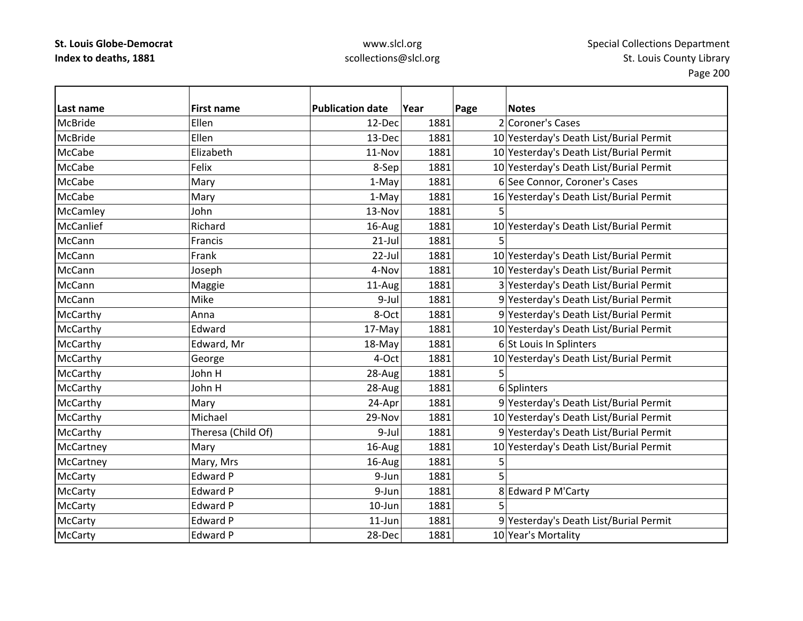| Last name      | <b>First name</b>  | <b>Publication date</b> | Year | Page | <b>Notes</b>                            |
|----------------|--------------------|-------------------------|------|------|-----------------------------------------|
| <b>McBride</b> | Ellen              | 12-Dec                  | 1881 |      | 2 Coroner's Cases                       |
| <b>McBride</b> | Ellen              | 13-Dec                  | 1881 |      | 10 Yesterday's Death List/Burial Permit |
| <b>McCabe</b>  | Elizabeth          | 11-Nov                  | 1881 |      | 10 Yesterday's Death List/Burial Permit |
| <b>McCabe</b>  | Felix              | 8-Sep                   | 1881 |      | 10 Yesterday's Death List/Burial Permit |
| <b>McCabe</b>  | Mary               | 1-May                   | 1881 |      | 6 See Connor, Coroner's Cases           |
| <b>McCabe</b>  | Mary               | 1-May                   | 1881 |      | 16 Yesterday's Death List/Burial Permit |
| McCamley       | John               | 13-Nov                  | 1881 | 5    |                                         |
| McCanlief      | Richard            | 16-Aug                  | 1881 |      | 10 Yesterday's Death List/Burial Permit |
| McCann         | Francis            | $21-Jul$                | 1881 | 5    |                                         |
| McCann         | Frank              | $22$ -Jul               | 1881 |      | 10 Yesterday's Death List/Burial Permit |
| McCann         | Joseph             | 4-Nov                   | 1881 |      | 10 Yesterday's Death List/Burial Permit |
| McCann         | Maggie             | 11-Aug                  | 1881 |      | 3 Yesterday's Death List/Burial Permit  |
| McCann         | Mike               | 9-Jul                   | 1881 |      | 9 Yesterday's Death List/Burial Permit  |
| McCarthy       | Anna               | 8-Oct                   | 1881 |      | 9 Yesterday's Death List/Burial Permit  |
| McCarthy       | Edward             | 17-May                  | 1881 |      | 10 Yesterday's Death List/Burial Permit |
| McCarthy       | Edward, Mr         | 18-May                  | 1881 |      | 6 St Louis In Splinters                 |
| McCarthy       | George             | 4-Oct                   | 1881 |      | 10 Yesterday's Death List/Burial Permit |
| McCarthy       | John H             | 28-Aug                  | 1881 | 5    |                                         |
| McCarthy       | John H             | 28-Aug                  | 1881 |      | 6 Splinters                             |
| McCarthy       | Mary               | 24-Apr                  | 1881 |      | 9 Yesterday's Death List/Burial Permit  |
| McCarthy       | Michael            | 29-Nov                  | 1881 |      | 10 Yesterday's Death List/Burial Permit |
| McCarthy       | Theresa (Child Of) | 9-Jul                   | 1881 |      | 9 Yesterday's Death List/Burial Permit  |
| McCartney      | Mary               | 16-Aug                  | 1881 |      | 10 Yesterday's Death List/Burial Permit |
| McCartney      | Mary, Mrs          | 16-Aug                  | 1881 | 5    |                                         |
| <b>McCarty</b> | <b>Edward P</b>    | 9-Jun                   | 1881 |      |                                         |
| <b>McCarty</b> | Edward P           | 9-Jun                   | 1881 |      | 8 Edward P M'Carty                      |
| <b>McCarty</b> | <b>Edward P</b>    | 10-Jun                  | 1881 |      |                                         |
| <b>McCarty</b> | <b>Edward P</b>    | $11$ -Jun               | 1881 |      | 9 Yesterday's Death List/Burial Permit  |
| McCarty        | <b>Edward P</b>    | 28-Dec                  | 1881 |      | 10 Year's Mortality                     |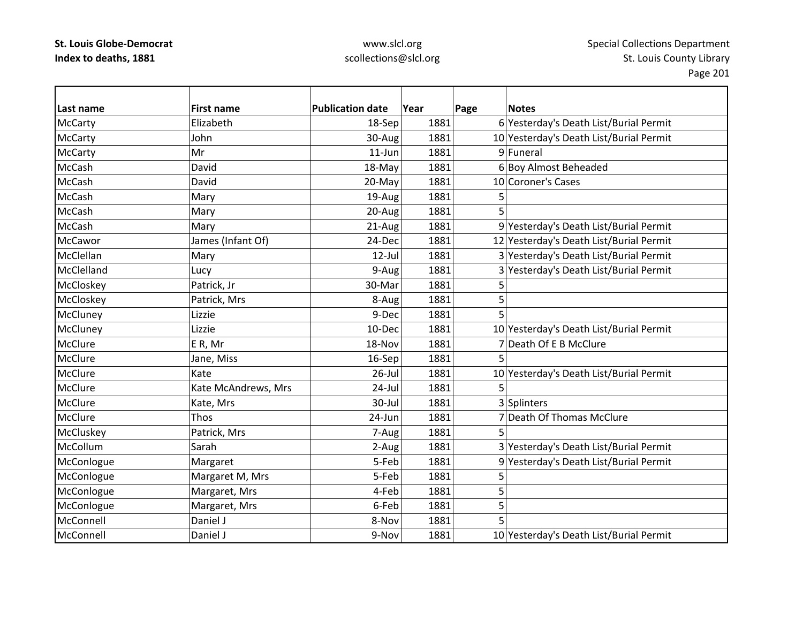| Last name       | <b>First name</b>   | <b>Publication date</b> | Year | Page | <b>Notes</b>                            |
|-----------------|---------------------|-------------------------|------|------|-----------------------------------------|
| <b>McCarty</b>  | Elizabeth           | 18-Sep                  | 1881 |      | 6 Yesterday's Death List/Burial Permit  |
| <b>McCarty</b>  | John                | 30-Aug                  | 1881 |      | 10 Yesterday's Death List/Burial Permit |
| <b>McCarty</b>  | Mr                  | $11$ -Jun               | 1881 |      | 9 Funeral                               |
| McCash          | David               | 18-May                  | 1881 |      | 6 Boy Almost Beheaded                   |
| McCash          | David               | 20-May                  | 1881 |      | 10 Coroner's Cases                      |
| <b>McCash</b>   | Mary                | 19-Aug                  | 1881 | 5    |                                         |
| McCash          | Mary                | 20-Aug                  | 1881 | 5    |                                         |
| <b>McCash</b>   | Mary                | 21-Aug                  | 1881 |      | 9 Yesterday's Death List/Burial Permit  |
| McCawor         | James (Infant Of)   | 24-Dec                  | 1881 |      | 12 Yesterday's Death List/Burial Permit |
| McClellan       | Mary                | $12$ -Jul               | 1881 |      | 3 Yesterday's Death List/Burial Permit  |
| McClelland      | Lucy                | 9-Aug                   | 1881 |      | 3 Yesterday's Death List/Burial Permit  |
| McCloskey       | Patrick, Jr         | 30-Mar                  | 1881 | 5    |                                         |
| McCloskey       | Patrick, Mrs        | 8-Aug                   | 1881 | 5    |                                         |
| McCluney        | Lizzie              | 9-Dec                   | 1881 | 5    |                                         |
| <b>McCluney</b> | Lizzie              | 10-Dec                  | 1881 |      | 10 Yesterday's Death List/Burial Permit |
| McClure         | ER, Mr              | 18-Nov                  | 1881 |      | 7 Death Of E B McClure                  |
| McClure         | Jane, Miss          | 16-Sep                  | 1881 |      |                                         |
| McClure         | Kate                | $26$ -Jul               | 1881 |      | 10 Yesterday's Death List/Burial Permit |
| McClure         | Kate McAndrews, Mrs | 24-Jul                  | 1881 | 5    |                                         |
| McClure         | Kate, Mrs           | 30-Jul                  | 1881 |      | 3 Splinters                             |
| McClure         | Thos                | 24-Jun                  | 1881 |      | 7 Death Of Thomas McClure               |
| McCluskey       | Patrick, Mrs        | 7-Aug                   | 1881 |      |                                         |
| McCollum        | Sarah               | 2-Aug                   | 1881 |      | 3 Yesterday's Death List/Burial Permit  |
| McConlogue      | Margaret            | 5-Feb                   | 1881 |      | 9 Yesterday's Death List/Burial Permit  |
| McConlogue      | Margaret M, Mrs     | 5-Feb                   | 1881 | 5    |                                         |
| McConlogue      | Margaret, Mrs       | 4-Feb                   | 1881 | 5    |                                         |
| McConlogue      | Margaret, Mrs       | 6-Feb                   | 1881 | 5    |                                         |
| McConnell       | Daniel J            | 8-Nov                   | 1881 | 5    |                                         |
| McConnell       | Daniel J            | 9-Nov                   | 1881 |      | 10 Yesterday's Death List/Burial Permit |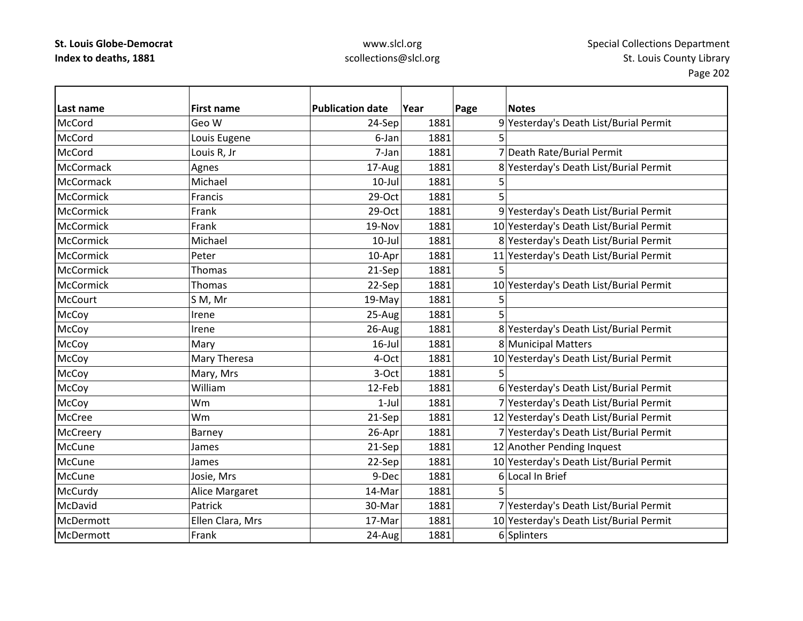| Last name        | <b>First name</b> | <b>Publication date</b> | Year | Page | <b>Notes</b>                            |
|------------------|-------------------|-------------------------|------|------|-----------------------------------------|
| McCord           | Geo W             | 24-Sep                  | 1881 |      | 9 Yesterday's Death List/Burial Permit  |
| McCord           | Louis Eugene      | 6-Jan                   | 1881 | 5    |                                         |
| McCord           | Louis R, Jr       | 7-Jan                   | 1881 |      | 7 Death Rate/Burial Permit              |
| <b>McCormack</b> | Agnes             | 17-Aug                  | 1881 |      | 8 Yesterday's Death List/Burial Permit  |
| McCormack        | Michael           | $10$ -Jul               | 1881 | 5    |                                         |
| <b>McCormick</b> | Francis           | 29-Oct                  | 1881 | 5    |                                         |
| <b>McCormick</b> | Frank             | 29-Oct                  | 1881 |      | 9 Yesterday's Death List/Burial Permit  |
| <b>McCormick</b> | Frank             | 19-Nov                  | 1881 |      | 10 Yesterday's Death List/Burial Permit |
| <b>McCormick</b> | Michael           | $10$ -Jul               | 1881 |      | 8 Yesterday's Death List/Burial Permit  |
| <b>McCormick</b> | Peter             | 10-Apr                  | 1881 |      | 11 Yesterday's Death List/Burial Permit |
| <b>McCormick</b> | <b>Thomas</b>     | 21-Sep                  | 1881 | 5    |                                         |
| <b>McCormick</b> | Thomas            | 22-Sep                  | 1881 |      | 10 Yesterday's Death List/Burial Permit |
| <b>McCourt</b>   | S M, Mr           | 19-May                  | 1881 | 5    |                                         |
| McCoy            | Irene             | 25-Aug                  | 1881 | 5    |                                         |
| McCoy            | Irene             | 26-Aug                  | 1881 |      | 8 Yesterday's Death List/Burial Permit  |
| McCoy            | Mary              | $16$ -Jul               | 1881 |      | 8 Municipal Matters                     |
| McCoy            | Mary Theresa      | 4-Oct                   | 1881 |      | 10 Yesterday's Death List/Burial Permit |
| McCoy            | Mary, Mrs         | 3-Oct                   | 1881 |      |                                         |
| McCoy            | William           | 12-Feb                  | 1881 |      | 6 Yesterday's Death List/Burial Permit  |
| McCoy            | Wm                | $1-Jul$                 | 1881 |      | 7 Yesterday's Death List/Burial Permit  |
| McCree           | Wm                | 21-Sep                  | 1881 |      | 12 Yesterday's Death List/Burial Permit |
| <b>McCreery</b>  | Barney            | 26-Apr                  | 1881 |      | 7 Yesterday's Death List/Burial Permit  |
| McCune           | James             | 21-Sep                  | 1881 |      | 12 Another Pending Inquest              |
| McCune           | James             | 22-Sep                  | 1881 |      | 10 Yesterday's Death List/Burial Permit |
| McCune           | Josie, Mrs        | 9-Dec                   | 1881 |      | 6 Local In Brief                        |
| McCurdy          | Alice Margaret    | 14-Mar                  | 1881 | 5    |                                         |
| McDavid          | Patrick           | 30-Mar                  | 1881 |      | 7 Yesterday's Death List/Burial Permit  |
| McDermott        | Ellen Clara, Mrs  | 17-Mar                  | 1881 |      | 10 Yesterday's Death List/Burial Permit |
| McDermott        | Frank             | 24-Aug                  | 1881 |      | 6 Splinters                             |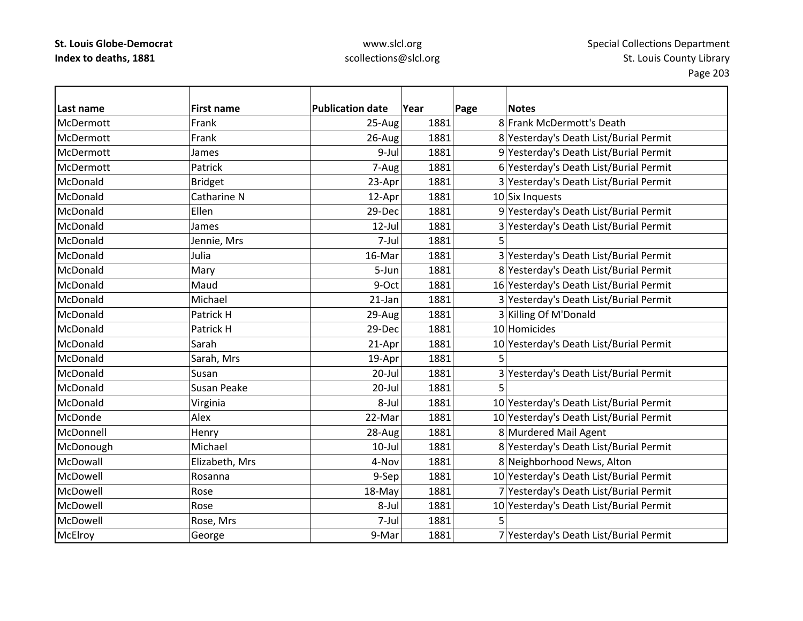| Last name      | <b>First name</b>  | <b>Publication date</b> | Year | Page | <b>Notes</b>                            |
|----------------|--------------------|-------------------------|------|------|-----------------------------------------|
| McDermott      | Frank              | 25-Aug                  | 1881 |      | 8 Frank McDermott's Death               |
| McDermott      | Frank              | 26-Aug                  | 1881 |      | 8 Yesterday's Death List/Burial Permit  |
| McDermott      | James              | 9-Jul                   | 1881 |      | 9 Yesterday's Death List/Burial Permit  |
| McDermott      | Patrick            | 7-Aug                   | 1881 |      | 6 Yesterday's Death List/Burial Permit  |
| McDonald       | <b>Bridget</b>     | 23-Apr                  | 1881 |      | 3 Yesterday's Death List/Burial Permit  |
| McDonald       | Catharine N        | 12-Apr                  | 1881 |      | 10 Six Inquests                         |
| McDonald       | Ellen              | 29-Dec                  | 1881 |      | 9 Yesterday's Death List/Burial Permit  |
| McDonald       | James              | 12-Jul                  | 1881 |      | 3 Yesterday's Death List/Burial Permit  |
| McDonald       | Jennie, Mrs        | 7-Jul                   | 1881 |      |                                         |
| McDonald       | Julia              | 16-Mar                  | 1881 |      | 3 Yesterday's Death List/Burial Permit  |
| McDonald       | Mary               | 5-Jun                   | 1881 |      | 8 Yesterday's Death List/Burial Permit  |
| McDonald       | Maud               | 9-Oct                   | 1881 |      | 16 Yesterday's Death List/Burial Permit |
| McDonald       | Michael            | 21-Jan                  | 1881 |      | 3 Yesterday's Death List/Burial Permit  |
| McDonald       | Patrick H          | 29-Aug                  | 1881 |      | 3 Killing Of M'Donald                   |
| McDonald       | Patrick H          | 29-Dec                  | 1881 |      | 10 Homicides                            |
| McDonald       | Sarah              | 21-Apr                  | 1881 |      | 10 Yesterday's Death List/Burial Permit |
| McDonald       | Sarah, Mrs         | 19-Apr                  | 1881 |      |                                         |
| McDonald       | Susan              | 20-Jul                  | 1881 |      | 3 Yesterday's Death List/Burial Permit  |
| McDonald       | <b>Susan Peake</b> | 20-Jul                  | 1881 | 5    |                                         |
| McDonald       | Virginia           | 8-Jul                   | 1881 |      | 10 Yesterday's Death List/Burial Permit |
| McDonde        | Alex               | 22-Mar                  | 1881 |      | 10 Yesterday's Death List/Burial Permit |
| McDonnell      | Henry              | 28-Aug                  | 1881 |      | 8 Murdered Mail Agent                   |
| McDonough      | Michael            | $10$ -Jul               | 1881 |      | 8 Yesterday's Death List/Burial Permit  |
| McDowall       | Elizabeth, Mrs     | 4-Nov                   | 1881 |      | 8 Neighborhood News, Alton              |
| McDowell       | Rosanna            | 9-Sep                   | 1881 |      | 10 Yesterday's Death List/Burial Permit |
| McDowell       | Rose               | 18-May                  | 1881 |      | 7 Yesterday's Death List/Burial Permit  |
| McDowell       | Rose               | 8-Jul                   | 1881 |      | 10 Yesterday's Death List/Burial Permit |
| McDowell       | Rose, Mrs          | 7-Jul                   | 1881 | 5    |                                         |
| <b>McElroy</b> | George             | 9-Mar                   | 1881 |      | 7 Yesterday's Death List/Burial Permit  |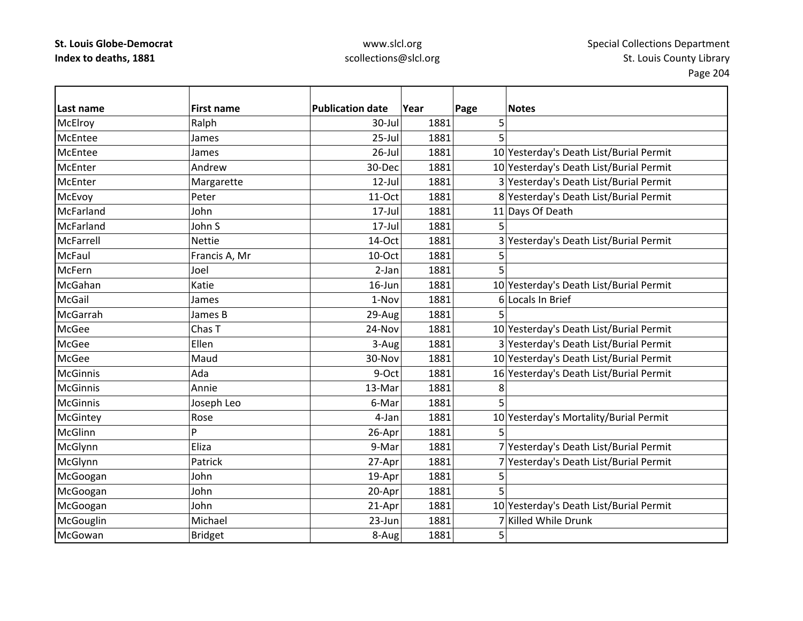| Last name       | <b>First name</b> | <b>Publication date</b> | Year | Page | <b>Notes</b>                            |
|-----------------|-------------------|-------------------------|------|------|-----------------------------------------|
| McElroy         | Ralph             | 30-Jul                  | 1881 | 5    |                                         |
| McEntee         | James             | $25$ -Jul               | 1881 | 5    |                                         |
| McEntee         | James             | $26$ -Jul               | 1881 |      | 10 Yesterday's Death List/Burial Permit |
| <b>McEnter</b>  | Andrew            | 30-Dec                  | 1881 |      | 10 Yesterday's Death List/Burial Permit |
| McEnter         | Margarette        | 12-Jul                  | 1881 |      | 3 Yesterday's Death List/Burial Permit  |
| McEvoy          | Peter             | 11-Oct                  | 1881 |      | 8 Yesterday's Death List/Burial Permit  |
| McFarland       | John              | 17-Jul                  | 1881 |      | 11 Days Of Death                        |
| McFarland       | John S            | $17 -$ Jul              | 1881 |      |                                         |
| McFarrell       | <b>Nettie</b>     | 14-Oct                  | 1881 |      | 3 Yesterday's Death List/Burial Permit  |
| <b>McFaul</b>   | Francis A, Mr     | 10-Oct                  | 1881 | 5    |                                         |
| <b>McFern</b>   | Joel              | $2-Jan$                 | 1881 | 5    |                                         |
| McGahan         | Katie             | $16$ -Jun               | 1881 |      | 10 Yesterday's Death List/Burial Permit |
| McGail          | James             | 1-Nov                   | 1881 |      | 6 Locals In Brief                       |
| McGarrah        | James B           | 29-Aug                  | 1881 |      |                                         |
| <b>McGee</b>    | Chas T            | 24-Nov                  | 1881 |      | 10 Yesterday's Death List/Burial Permit |
| <b>McGee</b>    | Ellen             | 3-Aug                   | 1881 |      | 3 Yesterday's Death List/Burial Permit  |
| <b>McGee</b>    | Maud              | 30-Nov                  | 1881 |      | 10 Yesterday's Death List/Burial Permit |
| <b>McGinnis</b> | Ada               | 9-Oct                   | 1881 |      | 16 Yesterday's Death List/Burial Permit |
| <b>McGinnis</b> | Annie             | 13-Mar                  | 1881 | 8    |                                         |
| <b>McGinnis</b> | Joseph Leo        | 6-Mar                   | 1881 | 5    |                                         |
| McGintey        | Rose              | 4-Jan                   | 1881 |      | 10 Yesterday's Mortality/Burial Permit  |
| McGlinn         | Þ                 | 26-Apr                  | 1881 | 5    |                                         |
| McGlynn         | Eliza             | 9-Mar                   | 1881 |      | 7 Yesterday's Death List/Burial Permit  |
| McGlynn         | Patrick           | 27-Apr                  | 1881 |      | 7 Yesterday's Death List/Burial Permit  |
| McGoogan        | John              | 19-Apr                  | 1881 | 5    |                                         |
| McGoogan        | John              | 20-Apr                  | 1881 | 5    |                                         |
| McGoogan        | John              | 21-Apr                  | 1881 |      | 10 Yesterday's Death List/Burial Permit |
| McGouglin       | Michael           | 23-Jun                  | 1881 |      | 7 Killed While Drunk                    |
| McGowan         | <b>Bridget</b>    | 8-Aug                   | 1881 | 5    |                                         |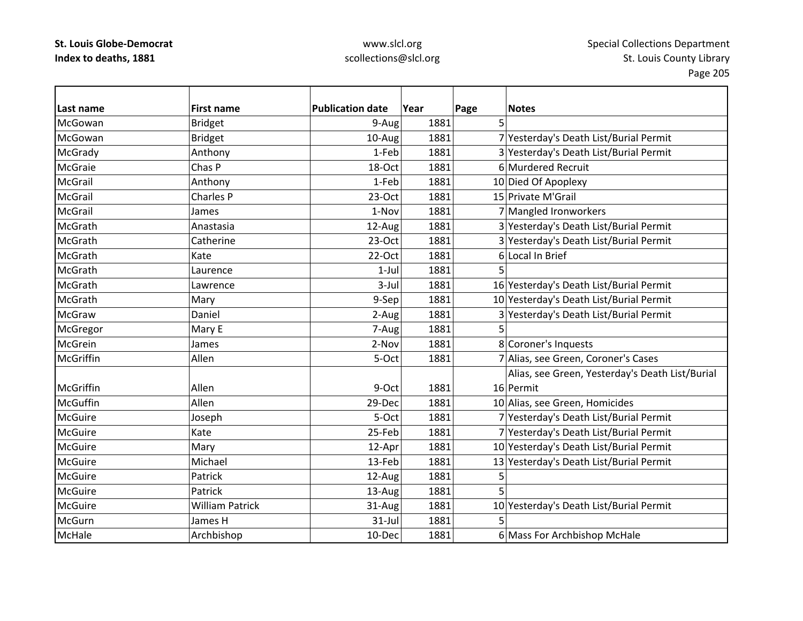| lLast name      | <b>First name</b>      | <b>Publication date</b> | Year | Page<br><b>Notes</b>                            |
|-----------------|------------------------|-------------------------|------|-------------------------------------------------|
| McGowan         | <b>Bridget</b>         | 9-Aug                   | 1881 | 5                                               |
| McGowan         | <b>Bridget</b>         | 10-Aug                  | 1881 | 7 Yesterday's Death List/Burial Permit          |
| McGrady         | Anthony                | 1-Feb                   | 1881 | 3 Yesterday's Death List/Burial Permit          |
| <b>McGraie</b>  | Chas P                 | 18-Oct                  | 1881 | 6 Murdered Recruit                              |
| <b>McGrail</b>  | Anthony                | 1-Feb                   | 1881 | 10 Died Of Apoplexy                             |
| <b>McGrail</b>  | Charles P              | $23-Oct$                | 1881 | 15 Private M'Grail                              |
| <b>McGrail</b>  | James                  | 1-Nov                   | 1881 | 7 Mangled Ironworkers                           |
| McGrath         | Anastasia              | 12-Aug                  | 1881 | 3 Yesterday's Death List/Burial Permit          |
| McGrath         | Catherine              | $23-Oct$                | 1881 | 3 Yesterday's Death List/Burial Permit          |
| McGrath         | Kate                   | 22-Oct                  | 1881 | 6 Local In Brief                                |
| McGrath         | Laurence               | $1-Jul$                 | 1881 | 5                                               |
| McGrath         | Lawrence               | $3-Jul$                 | 1881 | 16 Yesterday's Death List/Burial Permit         |
| McGrath         | Mary                   | 9-Sep                   | 1881 | 10 Yesterday's Death List/Burial Permit         |
| <b>McGraw</b>   | Daniel                 | 2-Aug                   | 1881 | 3 Yesterday's Death List/Burial Permit          |
| McGregor        | Mary E                 | 7-Aug                   | 1881 | 5                                               |
| McGrein         | James                  | 2-Nov                   | 1881 | 8 Coroner's Inquests                            |
| McGriffin       | Allen                  | 5-Oct                   | 1881 | 7 Alias, see Green, Coroner's Cases             |
|                 |                        |                         |      | Alias, see Green, Yesterday's Death List/Burial |
| McGriffin       | Allen                  | 9-Oct                   | 1881 | 16 Permit                                       |
| <b>McGuffin</b> | Allen                  | 29-Dec                  | 1881 | 10 Alias, see Green, Homicides                  |
| McGuire         | Joseph                 | 5-Oct                   | 1881 | 7 Yesterday's Death List/Burial Permit          |
| <b>McGuire</b>  | Kate                   | 25-Feb                  | 1881 | 7 Yesterday's Death List/Burial Permit          |
| <b>McGuire</b>  | Mary                   | 12-Apr                  | 1881 | 10 Yesterday's Death List/Burial Permit         |
| <b>McGuire</b>  | Michael                | 13-Feb                  | 1881 | 13 Yesterday's Death List/Burial Permit         |
| <b>McGuire</b>  | Patrick                | 12-Aug                  | 1881 | 5                                               |
| <b>McGuire</b>  | Patrick                | 13-Aug                  | 1881 | 5                                               |
| <b>McGuire</b>  | <b>William Patrick</b> | 31-Aug                  | 1881 | 10 Yesterday's Death List/Burial Permit         |
| McGurn          | James H                | $31$ -Jul               | 1881 | 5                                               |
| McHale          | Archbishop             | 10-Dec                  | 1881 | 6 Mass For Archbishop McHale                    |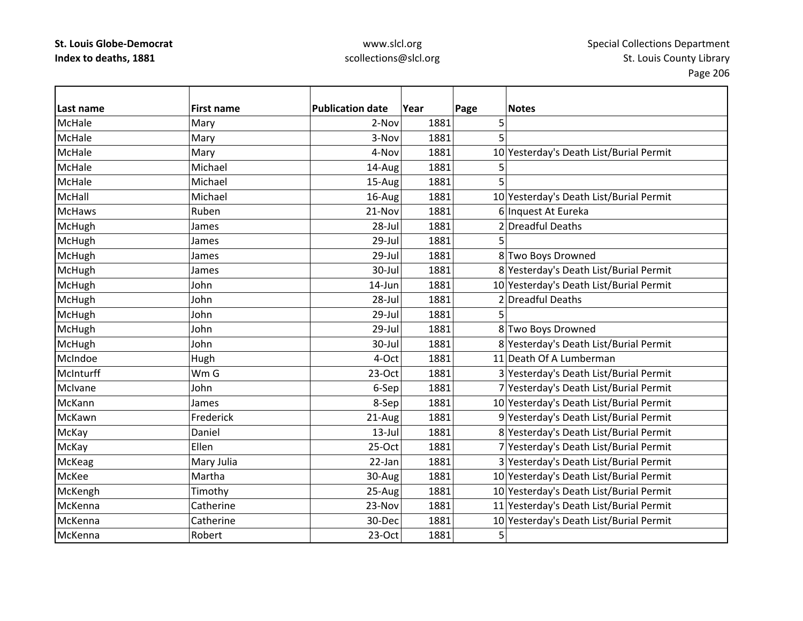## www.slcl.org scollections@slcl.org

 $\overline{\phantom{a}}$ 

| Last name     | <b>First name</b> | <b>Publication date</b> | Year | Page | <b>Notes</b>                            |
|---------------|-------------------|-------------------------|------|------|-----------------------------------------|
| McHale        | Mary              | 2-Nov                   | 1881 | 5    |                                         |
| McHale        | Mary              | 3-Nov                   | 1881 | 5    |                                         |
| McHale        | Mary              | 4-Nov                   | 1881 |      | 10 Yesterday's Death List/Burial Permit |
| McHale        | Michael           | 14-Aug                  | 1881 | 5    |                                         |
| McHale        | Michael           | 15-Aug                  | 1881 | 5    |                                         |
| McHall        | Michael           | 16-Aug                  | 1881 |      | 10 Yesterday's Death List/Burial Permit |
| <b>McHaws</b> | Ruben             | 21-Nov                  | 1881 |      | 6 Inquest At Eureka                     |
| <b>McHugh</b> | James             | 28-Jul                  | 1881 |      | 2 Dreadful Deaths                       |
| McHugh        | James             | 29-Jul                  | 1881 |      |                                         |
| McHugh        | James             | 29-Jul                  | 1881 |      | 8 Two Boys Drowned                      |
| McHugh        | James             | 30-Jul                  | 1881 |      | 8 Yesterday's Death List/Burial Permit  |
| McHugh        | John              | 14-Jun                  | 1881 |      | 10 Yesterday's Death List/Burial Permit |
| <b>McHugh</b> | John              | 28-Jul                  | 1881 |      | 2 Dreadful Deaths                       |
| McHugh        | John              | $29$ -Jul               | 1881 | 5    |                                         |
| McHugh        | John              | $29$ -Jul               | 1881 |      | 8 Two Boys Drowned                      |
| McHugh        | John              | 30-Jul                  | 1881 |      | 8 Yesterday's Death List/Burial Permit  |
| McIndoe       | Hugh              | 4-Oct                   | 1881 |      | 11 Death Of A Lumberman                 |
| McInturff     | Wm G              | 23-Oct                  | 1881 |      | 3 Yesterday's Death List/Burial Permit  |
| McIvane       | John              | 6-Sep                   | 1881 |      | 7 Yesterday's Death List/Burial Permit  |
| McKann        | James             | 8-Sep                   | 1881 |      | 10 Yesterday's Death List/Burial Permit |
| McKawn        | Frederick         | 21-Aug                  | 1881 |      | 9 Yesterday's Death List/Burial Permit  |
| McKay         | Daniel            | $13$ -Jul               | 1881 |      | 8 Yesterday's Death List/Burial Permit  |
| McKay         | Ellen             | 25-Oct                  | 1881 |      | 7 Yesterday's Death List/Burial Permit  |
| McKeag        | Mary Julia        | 22-Jan                  | 1881 |      | 3 Yesterday's Death List/Burial Permit  |
| McKee         | Martha            | 30-Aug                  | 1881 |      | 10 Yesterday's Death List/Burial Permit |
| McKengh       | Timothy           | 25-Aug                  | 1881 |      | 10 Yesterday's Death List/Burial Permit |
| McKenna       | Catherine         | 23-Nov                  | 1881 |      | 11 Yesterday's Death List/Burial Permit |
| McKenna       | Catherine         | 30-Dec                  | 1881 |      | 10 Yesterday's Death List/Burial Permit |
| McKenna       | Robert            | 23-Oct                  | 1881 | 5    |                                         |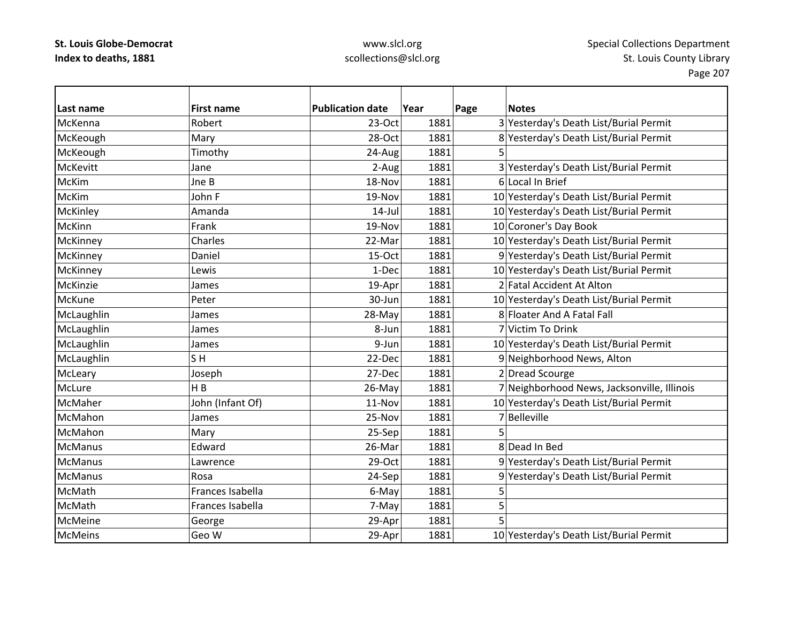## www.slcl.org scollections@slcl.org

5

| Last name       | <b>First name</b> | <b>Publication date</b> | Year | Page | <b>Notes</b>                                |
|-----------------|-------------------|-------------------------|------|------|---------------------------------------------|
| McKenna         | Robert            | $23-Oct$                | 1881 |      | 3 Yesterday's Death List/Burial Permit      |
| McKeough        | Mary              | 28-Oct                  | 1881 |      | 8 Yesterday's Death List/Burial Permit      |
| McKeough        | Timothy           | 24-Aug                  | 1881 |      |                                             |
| <b>McKevitt</b> | Jane              | 2-Aug                   | 1881 |      | 3 Yesterday's Death List/Burial Permit      |
| <b>McKim</b>    | Jne B             | 18-Nov                  | 1881 |      | 6 Local In Brief                            |
| <b>McKim</b>    | John F            | 19-Nov                  | 1881 |      | 10 Yesterday's Death List/Burial Permit     |
| McKinley        | Amanda            | $14$ -Jul               | 1881 |      | 10 Yesterday's Death List/Burial Permit     |
| McKinn          | Frank             | 19-Nov                  | 1881 |      | 10 Coroner's Day Book                       |
| McKinney        | Charles           | 22-Mar                  | 1881 |      | 10 Yesterday's Death List/Burial Permit     |
| McKinney        | Daniel            | 15-Oct                  | 1881 |      | 9 Yesterday's Death List/Burial Permit      |
| McKinney        | Lewis             | 1-Dec                   | 1881 |      | 10 Yesterday's Death List/Burial Permit     |
| McKinzie        | James             | 19-Apr                  | 1881 |      | 2 Fatal Accident At Alton                   |
| <b>McKune</b>   | Peter             | 30-Jun                  | 1881 |      | 10 Yesterday's Death List/Burial Permit     |
| McLaughlin      | James             | 28-May                  | 1881 |      | 8 Floater And A Fatal Fall                  |
| McLaughlin      | James             | 8-Jun                   | 1881 |      | 7 Victim To Drink                           |
| McLaughlin      | James             | 9-Jun                   | 1881 |      | 10 Yesterday's Death List/Burial Permit     |
| McLaughlin      | SH                | 22-Dec                  | 1881 |      | 9 Neighborhood News, Alton                  |
| McLeary         | Joseph            | 27-Dec                  | 1881 |      | 2 Dread Scourge                             |
| McLure          | H B               | 26-May                  | 1881 |      | 7 Neighborhood News, Jacksonville, Illinois |
| McMaher         | John (Infant Of)  | 11-Nov                  | 1881 |      | 10 Yesterday's Death List/Burial Permit     |
| McMahon         | James             | 25-Nov                  | 1881 |      | 7 Belleville                                |
| McMahon         | Mary              | 25-Sep                  | 1881 | 5    |                                             |
| <b>McManus</b>  | Edward            | 26-Mar                  | 1881 |      | 8 Dead In Bed                               |
| <b>McManus</b>  | Lawrence          | 29-Oct                  | 1881 |      | 9 Yesterday's Death List/Burial Permit      |
| <b>McManus</b>  | Rosa              | 24-Sep                  | 1881 |      | 9 Yesterday's Death List/Burial Permit      |
| McMath          | Frances Isabella  | 6-May                   | 1881 | 5    |                                             |
| McMath          | Frances Isabella  | 7-May                   | 1881 | 5    |                                             |
| McMeine         | George            | 29-Apr                  | 1881 |      |                                             |
| <b>McMeins</b>  | Geo W             | 29-Apr                  | 1881 |      | 10 Yesterday's Death List/Burial Permit     |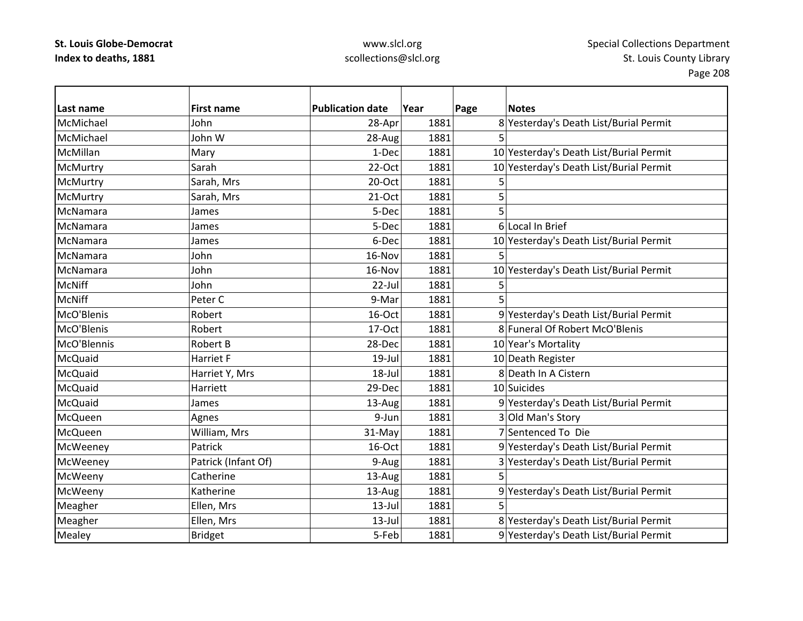| Last name      | <b>First name</b>   | <b>Publication date</b> | Year | Page | <b>Notes</b>                            |
|----------------|---------------------|-------------------------|------|------|-----------------------------------------|
| McMichael      | John                | 28-Apr                  | 1881 |      | 8 Yesterday's Death List/Burial Permit  |
| McMichael      | John W              | 28-Aug                  | 1881 | 5    |                                         |
| McMillan       | Mary                | 1-Dec                   | 1881 |      | 10 Yesterday's Death List/Burial Permit |
| McMurtry       | Sarah               | 22-Oct                  | 1881 |      | 10 Yesterday's Death List/Burial Permit |
| McMurtry       | Sarah, Mrs          | 20-Oct                  | 1881 | 5    |                                         |
| McMurtry       | Sarah, Mrs          | 21-Oct                  | 1881 | 5    |                                         |
| McNamara       | James               | 5-Dec                   | 1881 | 5    |                                         |
| McNamara       | James               | 5-Dec                   | 1881 |      | 6 Local In Brief                        |
| McNamara       | James               | 6-Dec                   | 1881 |      | 10 Yesterday's Death List/Burial Permit |
| McNamara       | John                | 16-Nov                  | 1881 | 5    |                                         |
| McNamara       | John                | 16-Nov                  | 1881 |      | 10 Yesterday's Death List/Burial Permit |
| <b>McNiff</b>  | John                | $22$ -Jul               | 1881 |      |                                         |
| <b>McNiff</b>  | Peter C             | 9-Mar                   | 1881 |      |                                         |
| McO'Blenis     | Robert              | 16-Oct                  | 1881 |      | 9 Yesterday's Death List/Burial Permit  |
| McO'Blenis     | Robert              | 17-Oct                  | 1881 |      | 8 Funeral Of Robert McO'Blenis          |
| McO'Blennis    | Robert B            | 28-Dec                  | 1881 |      | 10 Year's Mortality                     |
| McQuaid        | Harriet F           | $19$ -Jul               | 1881 |      | 10 Death Register                       |
| McQuaid        | Harriet Y, Mrs      | 18-Jul                  | 1881 |      | 8 Death In A Cistern                    |
| McQuaid        | Harriett            | 29-Dec                  | 1881 |      | 10 Suicides                             |
| McQuaid        | James               | 13-Aug                  | 1881 |      | 9 Yesterday's Death List/Burial Permit  |
| <b>McQueen</b> | Agnes               | 9-Jun                   | 1881 |      | 3 Old Man's Story                       |
| McQueen        | William, Mrs        | 31-May                  | 1881 |      | 7 Sentenced To Die                      |
| McWeeney       | Patrick             | 16-Oct                  | 1881 |      | 9 Yesterday's Death List/Burial Permit  |
| McWeeney       | Patrick (Infant Of) | 9-Aug                   | 1881 |      | 3 Yesterday's Death List/Burial Permit  |
| McWeeny        | Catherine           | 13-Aug                  | 1881 | 5    |                                         |
| McWeeny        | Katherine           | 13-Aug                  | 1881 |      | 9 Yesterday's Death List/Burial Permit  |
| Meagher        | Ellen, Mrs          | $13$ -Jul               | 1881 |      |                                         |
| Meagher        | Ellen, Mrs          | $13$ -Jul               | 1881 |      | 8 Yesterday's Death List/Burial Permit  |
| Mealey         | <b>Bridget</b>      | 5-Feb                   | 1881 |      | 9 Yesterday's Death List/Burial Permit  |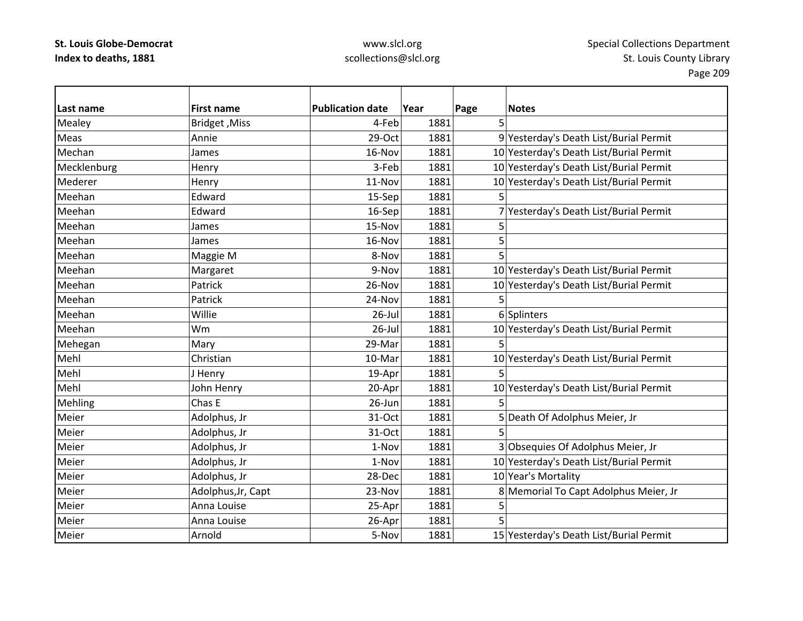| Last name   | <b>First name</b>    | <b>Publication date</b> | Year | Page | <b>Notes</b>                            |
|-------------|----------------------|-------------------------|------|------|-----------------------------------------|
| Mealey      | <b>Bridget, Miss</b> | 4-Feb                   | 1881 | 5    |                                         |
| Meas        | Annie                | 29-Oct                  | 1881 |      | 9 Yesterday's Death List/Burial Permit  |
| Mechan      | James                | 16-Nov                  | 1881 |      | 10 Yesterday's Death List/Burial Permit |
| Mecklenburg | Henry                | 3-Feb                   | 1881 |      | 10 Yesterday's Death List/Burial Permit |
| Mederer     | Henry                | 11-Nov                  | 1881 |      | 10 Yesterday's Death List/Burial Permit |
| Meehan      | Edward               | 15-Sep                  | 1881 | 5    |                                         |
| Meehan      | Edward               |                         | 1881 |      |                                         |
|             |                      | 16-Sep                  |      |      | 7 Yesterday's Death List/Burial Permit  |
| Meehan      | James                | 15-Nov                  | 1881 | 5    |                                         |
| Meehan      | James                | 16-Nov                  | 1881 | 5    |                                         |
| Meehan      | Maggie M             | 8-Nov                   | 1881 |      |                                         |
| Meehan      | Margaret             | 9-Nov                   | 1881 |      | 10 Yesterday's Death List/Burial Permit |
| Meehan      | Patrick              | 26-Nov                  | 1881 |      | 10 Yesterday's Death List/Burial Permit |
| Meehan      | Patrick              | 24-Nov                  | 1881 | 5    |                                         |
| Meehan      | Willie               | $26$ -Jul               | 1881 |      | 6 Splinters                             |
| Meehan      | Wm                   | $26$ -Jul               | 1881 |      | 10 Yesterday's Death List/Burial Permit |
| Mehegan     | Mary                 | 29-Mar                  | 1881 | 5    |                                         |
| Mehl        | Christian            | 10-Mar                  | 1881 |      | 10 Yesterday's Death List/Burial Permit |
| Mehl        | J Henry              | 19-Apr                  | 1881 | 5    |                                         |
| Mehl        | John Henry           | 20-Apr                  | 1881 |      | 10 Yesterday's Death List/Burial Permit |
| Mehling     | Chas E               | 26-Jun                  | 1881 | 5    |                                         |
| Meier       | Adolphus, Jr         | 31-Oct                  | 1881 |      | 5 Death Of Adolphus Meier, Jr           |
| Meier       | Adolphus, Jr         | 31-Oct                  | 1881 |      |                                         |
| Meier       | Adolphus, Jr         | 1-Nov                   | 1881 |      | 3 Obsequies Of Adolphus Meier, Jr       |
| Meier       | Adolphus, Jr         | 1-Nov                   | 1881 |      | 10 Yesterday's Death List/Burial Permit |
| Meier       | Adolphus, Jr         | 28-Dec                  | 1881 |      | 10 Year's Mortality                     |
| Meier       | Adolphus, Jr, Capt   | 23-Nov                  | 1881 |      | 8 Memorial To Capt Adolphus Meier, Jr   |
| Meier       | Anna Louise          | 25-Apr                  | 1881 | 5    |                                         |
| Meier       | Anna Louise          | 26-Apr                  | 1881 | 5    |                                         |
| Meier       | Arnold               | 5-Nov                   | 1881 |      | 15 Yesterday's Death List/Burial Permit |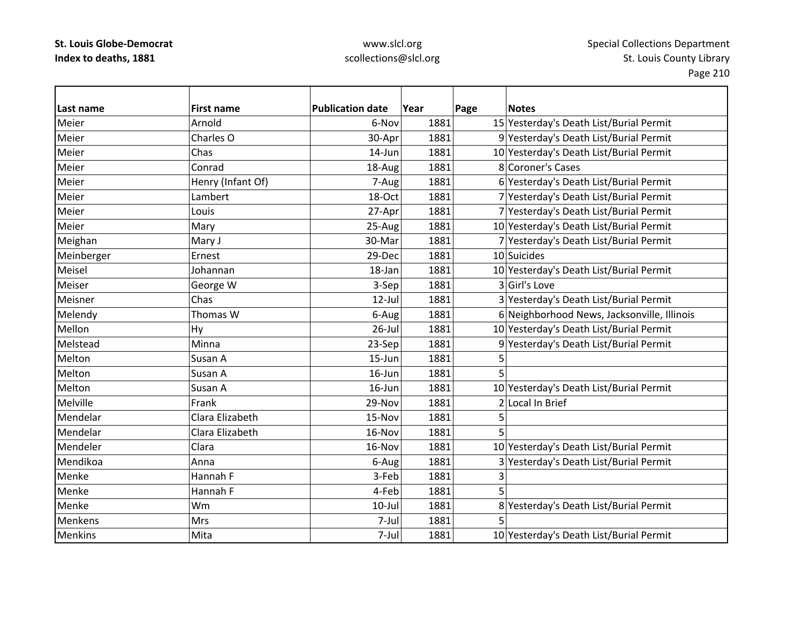| Last name      | <b>First name</b> | <b>Publication date</b> | Year | Page | <b>Notes</b>                                |
|----------------|-------------------|-------------------------|------|------|---------------------------------------------|
| Meier          | Arnold            | 6-Nov                   | 1881 |      | 15 Yesterday's Death List/Burial Permit     |
| Meier          | Charles O         | 30-Apr                  | 1881 |      | 9 Yesterday's Death List/Burial Permit      |
| Meier          | Chas              | 14-Jun                  | 1881 |      | 10 Yesterday's Death List/Burial Permit     |
| Meier          | Conrad            | 18-Aug                  | 1881 |      | 8 Coroner's Cases                           |
| Meier          | Henry (Infant Of) | 7-Aug                   | 1881 |      | 6 Yesterday's Death List/Burial Permit      |
| Meier          | Lambert           | 18-Oct                  | 1881 |      | 7 Yesterday's Death List/Burial Permit      |
| Meier          | Louis             | 27-Apr                  | 1881 |      | 7 Yesterday's Death List/Burial Permit      |
| Meier          | Mary              | 25-Aug                  | 1881 |      | 10 Yesterday's Death List/Burial Permit     |
| Meighan        | Mary J            | 30-Mar                  | 1881 |      | 7 Yesterday's Death List/Burial Permit      |
| Meinberger     | Ernest            | 29-Dec                  | 1881 |      | 10 Suicides                                 |
| Meisel         | Johannan          | 18-Jan                  | 1881 |      | 10 Yesterday's Death List/Burial Permit     |
| Meiser         | George W          | 3-Sep                   | 1881 |      | 3 Girl's Love                               |
| Meisner        | Chas              | $12$ -Jul               | 1881 |      | 3 Yesterday's Death List/Burial Permit      |
| Melendy        | Thomas W          | 6-Aug                   | 1881 |      | 6 Neighborhood News, Jacksonville, Illinois |
| Mellon         | Hy                | $26$ -Jul               | 1881 |      | 10 Yesterday's Death List/Burial Permit     |
| Melstead       | Minna             | 23-Sep                  | 1881 |      | 9 Yesterday's Death List/Burial Permit      |
| Melton         | Susan A           | 15-Jun                  | 1881 | 5    |                                             |
| Melton         | Susan A           | 16-Jun                  | 1881 | 5    |                                             |
| Melton         | Susan A           | $16$ -Jun               | 1881 |      | 10 Yesterday's Death List/Burial Permit     |
| Melville       | Frank             | 29-Nov                  | 1881 |      | 2 Local In Brief                            |
| Mendelar       | Clara Elizabeth   | 15-Nov                  | 1881 | 5    |                                             |
| Mendelar       | Clara Elizabeth   | 16-Nov                  | 1881 | 5    |                                             |
| Mendeler       | Clara             | 16-Nov                  | 1881 |      | 10 Yesterday's Death List/Burial Permit     |
| Mendikoa       | Anna              | 6-Aug                   | 1881 |      | 3 Yesterday's Death List/Burial Permit      |
| Menke          | Hannah F          | 3-Feb                   | 1881 | 3    |                                             |
| Menke          | Hannah F          | 4-Feb                   | 1881 | 5    |                                             |
| Menke          | Wm                | $10$ -Jul               | 1881 |      | 8 Yesterday's Death List/Burial Permit      |
| Menkens        | Mrs               | 7-Jul                   | 1881 | 5    |                                             |
| <b>Menkins</b> | Mita              | 7-Jul                   | 1881 |      | 10 Yesterday's Death List/Burial Permit     |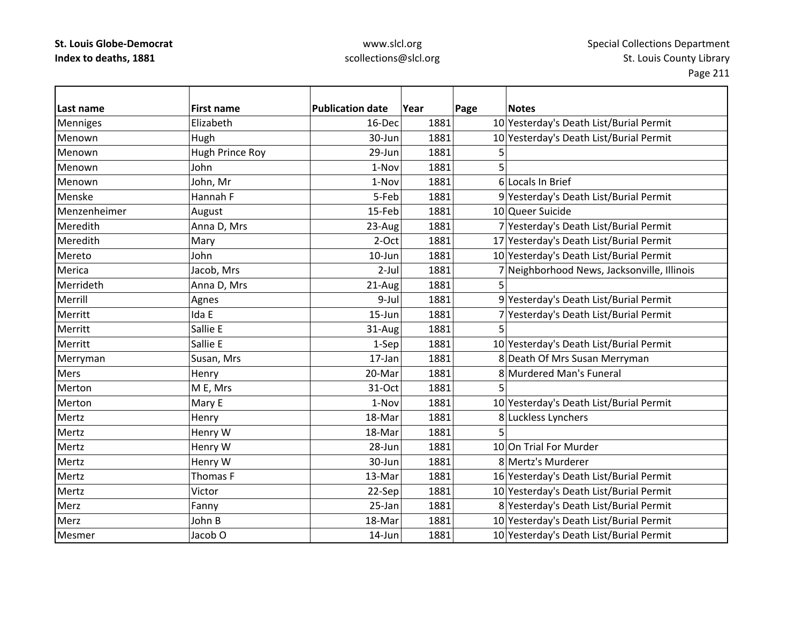| Last name       | <b>First name</b>  | <b>Publication date</b> | Year | Page | <b>Notes</b>                                |
|-----------------|--------------------|-------------------------|------|------|---------------------------------------------|
| <b>Menniges</b> | Elizabeth          | 16-Dec                  | 1881 |      | 10 Yesterday's Death List/Burial Permit     |
| Menown          | Hugh               | 30-Jun                  | 1881 |      | 10 Yesterday's Death List/Burial Permit     |
| Menown          | Hugh Prince Roy    | 29-Jun                  | 1881 | 5    |                                             |
| Menown          | John               | 1-Nov                   | 1881 | 5    |                                             |
| Menown          | John, Mr           | 1-Nov                   | 1881 |      | 6 Locals In Brief                           |
| Menske          | Hannah F           | 5-Feb                   | 1881 |      | 9 Yesterday's Death List/Burial Permit      |
| Menzenheimer    | August             | 15-Feb                  | 1881 |      | 10 Queer Suicide                            |
| Meredith        | Anna D, Mrs        | 23-Aug                  | 1881 |      | 7 Yesterday's Death List/Burial Permit      |
| Meredith        | Mary               | 2-Oct                   | 1881 |      | 17 Yesterday's Death List/Burial Permit     |
| Mereto          | John               | $10$ -Jun               | 1881 |      | 10 Yesterday's Death List/Burial Permit     |
| Merica          | Jacob, Mrs         | $2$ -Jul                | 1881 |      | 7 Neighborhood News, Jacksonville, Illinois |
| Merrideth       | Anna D, Mrs        | 21-Aug                  | 1881 | 5    |                                             |
| Merrill         | Agnes              | 9-Jul                   | 1881 |      | 9 Yesterday's Death List/Burial Permit      |
| Merritt         | Ida E              | 15-Jun                  | 1881 |      | 7 Yesterday's Death List/Burial Permit      |
| Merritt         | Sallie E           | 31-Aug                  | 1881 | 5    |                                             |
| Merritt         | Sallie E           | 1-Sep                   | 1881 |      | 10 Yesterday's Death List/Burial Permit     |
| Merryman        | Susan, Mrs         | $17$ -Jan               | 1881 |      | 8 Death Of Mrs Susan Merryman               |
| Mers            | Henry              | 20-Mar                  | 1881 |      | 8 Murdered Man's Funeral                    |
| Merton          | M E, Mrs           | 31-Oct                  | 1881 |      |                                             |
| Merton          | Mary E             | 1-Nov                   | 1881 |      | 10 Yesterday's Death List/Burial Permit     |
| Mertz           | Henry              | 18-Mar                  | 1881 |      | 8 Luckless Lynchers                         |
| Mertz           | Henry W            | 18-Mar                  | 1881 | 5    |                                             |
| Mertz           | Henry W            | 28-Jun                  | 1881 |      | 10 On Trial For Murder                      |
| Mertz           | Henry W            | 30-Jun                  | 1881 |      | 8 Mertz's Murderer                          |
| Mertz           | Thomas F           | 13-Mar                  | 1881 |      | 16 Yesterday's Death List/Burial Permit     |
| Mertz           | Victor             | 22-Sep                  | 1881 |      | 10 Yesterday's Death List/Burial Permit     |
| Merz            | Fanny              | 25-Jan                  | 1881 |      | 8 Yesterday's Death List/Burial Permit      |
| Merz            | John B             | 18-Mar                  | 1881 |      | 10 Yesterday's Death List/Burial Permit     |
| Mesmer          | Jacob <sub>O</sub> | 14-Jun                  | 1881 |      | 10 Yesterday's Death List/Burial Permit     |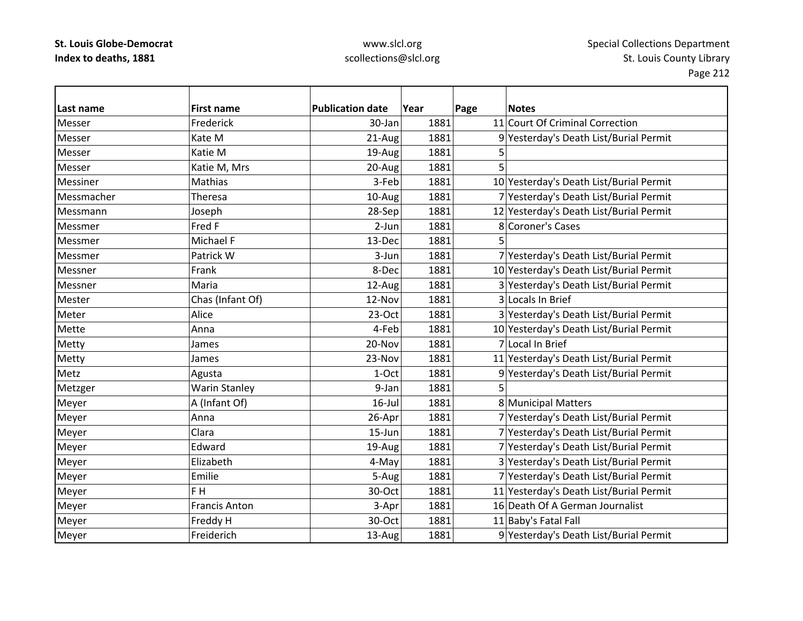| Last name  | <b>First name</b>    | <b>Publication date</b> | Year | Page | <b>Notes</b>                            |
|------------|----------------------|-------------------------|------|------|-----------------------------------------|
| Messer     | Frederick            | 30-Jan                  | 1881 |      | 11 Court Of Criminal Correction         |
| Messer     | Kate M               | 21-Aug                  | 1881 |      | 9 Yesterday's Death List/Burial Permit  |
| Messer     | Katie M              | 19-Aug                  | 1881 | 5    |                                         |
| Messer     | Katie M, Mrs         | 20-Aug                  | 1881 | 5    |                                         |
| Messiner   | Mathias              | 3-Feb                   | 1881 |      | 10 Yesterday's Death List/Burial Permit |
| Messmacher | Theresa              | 10-Aug                  | 1881 |      | 7 Yesterday's Death List/Burial Permit  |
| Messmann   | Joseph               | 28-Sep                  | 1881 |      | 12 Yesterday's Death List/Burial Permit |
| Messmer    | Fred F               | $2-Jun$                 | 1881 |      | 8 Coroner's Cases                       |
| Messmer    | Michael F            | 13-Dec                  | 1881 |      |                                         |
| Messmer    | Patrick W            | 3-Jun                   | 1881 |      | 7 Yesterday's Death List/Burial Permit  |
| Messner    | Frank                | 8-Dec                   | 1881 |      | 10 Yesterday's Death List/Burial Permit |
| Messner    | Maria                | 12-Aug                  | 1881 |      | 3 Yesterday's Death List/Burial Permit  |
| Mester     | Chas (Infant Of)     | 12-Nov                  | 1881 |      | 3 Locals In Brief                       |
| Meter      | Alice                | $23-Oct$                | 1881 |      | 3 Yesterday's Death List/Burial Permit  |
| Mette      | Anna                 | 4-Feb                   | 1881 |      | 10 Yesterday's Death List/Burial Permit |
| Metty      | James                | 20-Nov                  | 1881 |      | 7 Local In Brief                        |
| Metty      | James                | 23-Nov                  | 1881 |      | 11 Yesterday's Death List/Burial Permit |
| Metz       | Agusta               | 1-Oct                   | 1881 |      | 9 Yesterday's Death List/Burial Permit  |
| Metzger    | <b>Warin Stanley</b> | 9-Jan                   | 1881 |      |                                         |
| Meyer      | A (Infant Of)        | $16$ -Jul               | 1881 |      | 8 Municipal Matters                     |
| Meyer      | Anna                 | 26-Apr                  | 1881 |      | 7 Yesterday's Death List/Burial Permit  |
| Meyer      | Clara                | 15-Jun                  | 1881 |      | 7 Yesterday's Death List/Burial Permit  |
| Meyer      | Edward               | 19-Aug                  | 1881 |      | 7 Yesterday's Death List/Burial Permit  |
| Meyer      | Elizabeth            | 4-May                   | 1881 |      | 3 Yesterday's Death List/Burial Permit  |
| Meyer      | Emilie               | 5-Aug                   | 1881 |      | 7 Yesterday's Death List/Burial Permit  |
| Meyer      | F <sub>H</sub>       | 30-Oct                  | 1881 |      | 11 Yesterday's Death List/Burial Permit |
| Meyer      | <b>Francis Anton</b> | 3-Apr                   | 1881 |      | 16 Death Of A German Journalist         |
| Meyer      | Freddy H             | 30-Oct                  | 1881 |      | 11 Baby's Fatal Fall                    |
| Meyer      | Freiderich           | 13-Aug                  | 1881 |      | 9 Yesterday's Death List/Burial Permit  |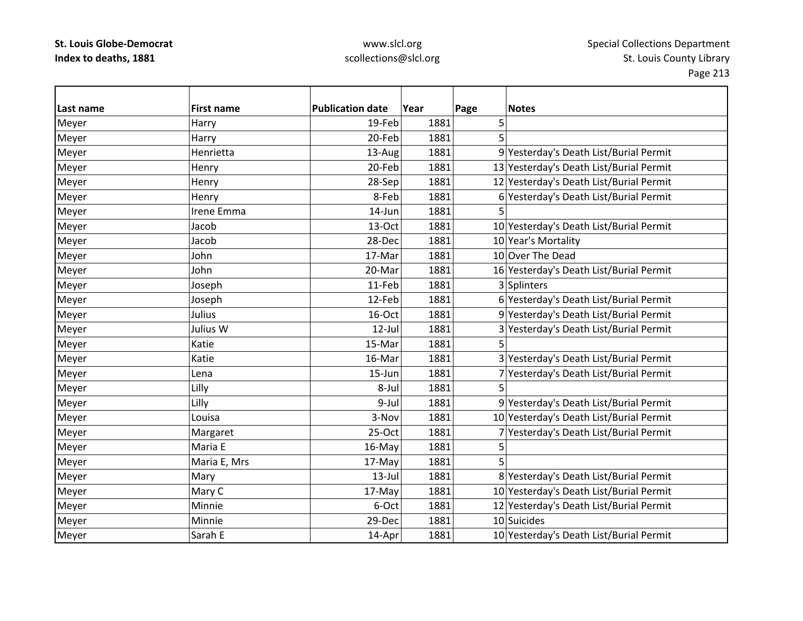| Last name | <b>First name</b> | <b>Publication date</b> | Year | Page | <b>Notes</b>                            |
|-----------|-------------------|-------------------------|------|------|-----------------------------------------|
| Meyer     | Harry             | 19-Feb                  | 1881 | 5    |                                         |
| Meyer     | Harry             | 20-Feb                  | 1881 | 5    |                                         |
| Meyer     | Henrietta         | 13-Aug                  | 1881 |      | 9 Yesterday's Death List/Burial Permit  |
| Meyer     | Henry             | 20-Feb                  | 1881 |      | 13 Yesterday's Death List/Burial Permit |
| Meyer     | Henry             | 28-Sep                  | 1881 |      | 12 Yesterday's Death List/Burial Permit |
| Meyer     | Henry             | 8-Feb                   | 1881 |      | 6 Yesterday's Death List/Burial Permit  |
| Meyer     | Irene Emma        | 14-Jun                  | 1881 | 5    |                                         |
| Meyer     | Jacob             | 13-Oct                  | 1881 |      | 10 Yesterday's Death List/Burial Permit |
| Meyer     | Jacob             | 28-Dec                  | 1881 |      | 10 Year's Mortality                     |
| Meyer     | John              | 17-Mar                  | 1881 |      | 10 Over The Dead                        |
| Meyer     | John              | 20-Mar                  | 1881 |      | 16 Yesterday's Death List/Burial Permit |
| Meyer     | Joseph            | 11-Feb                  | 1881 |      | 3 Splinters                             |
| Meyer     | Joseph            | 12-Feb                  | 1881 |      | 6 Yesterday's Death List/Burial Permit  |
| Meyer     | Julius            | 16-Oct                  | 1881 |      | 9 Yesterday's Death List/Burial Permit  |
| Meyer     | Julius W          | 12-Jul                  | 1881 |      | 3 Yesterday's Death List/Burial Permit  |
| Meyer     | Katie             | 15-Mar                  | 1881 | 5    |                                         |
| Meyer     | Katie             | 16-Mar                  | 1881 |      | 3 Yesterday's Death List/Burial Permit  |
| Meyer     | Lena              | 15-Jun                  | 1881 |      | 7 Yesterday's Death List/Burial Permit  |
| Meyer     | Lilly             | 8-Jul                   | 1881 |      |                                         |
| Meyer     | Lilly             | 9-Jul                   | 1881 |      | 9 Yesterday's Death List/Burial Permit  |
| Meyer     | Louisa            | 3-Nov                   | 1881 |      | 10 Yesterday's Death List/Burial Permit |
| Meyer     | Margaret          | 25-Oct                  | 1881 |      | 7 Yesterday's Death List/Burial Permit  |
| Meyer     | Maria E           | 16-May                  | 1881 | 5    |                                         |
| Meyer     | Maria E, Mrs      | 17-May                  | 1881 | 5    |                                         |
| Meyer     | Mary              | $13$ -Jul               | 1881 |      | 8 Yesterday's Death List/Burial Permit  |
| Meyer     | Mary C            | 17-May                  | 1881 |      | 10 Yesterday's Death List/Burial Permit |
| Meyer     | Minnie            | 6-Oct                   | 1881 |      | 12 Yesterday's Death List/Burial Permit |
| Meyer     | Minnie            | 29-Dec                  | 1881 |      | 10 Suicides                             |
| Meyer     | Sarah E           | 14-Apr                  | 1881 |      | 10 Yesterday's Death List/Burial Permit |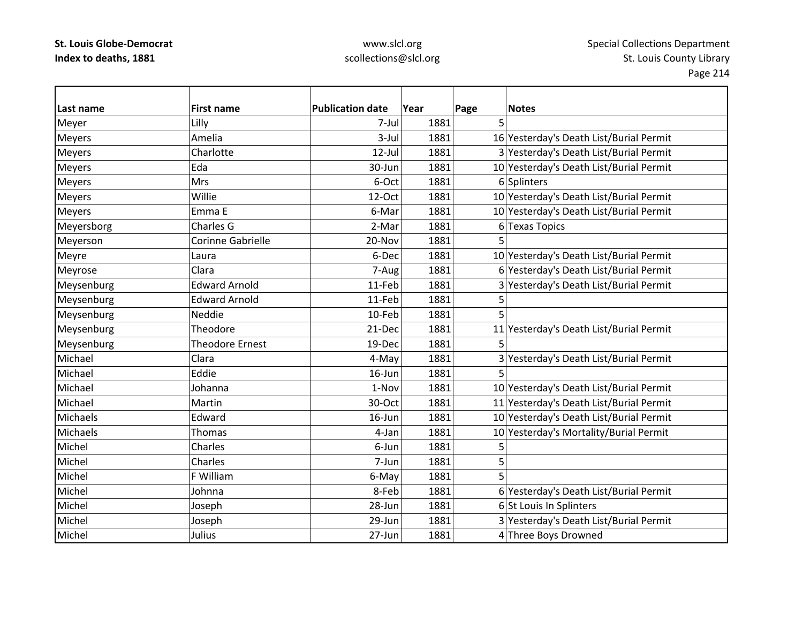| Last name     | <b>First name</b>      | <b>Publication date</b> | Year | Page | <b>Notes</b>                            |
|---------------|------------------------|-------------------------|------|------|-----------------------------------------|
| Meyer         | Lilly                  | 7-Jul                   | 1881 | 5    |                                         |
| <b>Meyers</b> | Amelia                 | 3-Jul                   | 1881 |      | 16 Yesterday's Death List/Burial Permit |
| <b>Meyers</b> | Charlotte              | 12-Jul                  | 1881 |      | 3 Yesterday's Death List/Burial Permit  |
| <b>Meyers</b> | Eda                    | 30-Jun                  | 1881 |      | 10 Yesterday's Death List/Burial Permit |
| <b>Meyers</b> | Mrs                    | 6-Oct                   | 1881 |      | 6 Splinters                             |
| Meyers        | Willie                 | 12-Oct                  | 1881 |      | 10 Yesterday's Death List/Burial Permit |
| Meyers        | Emma E                 | 6-Mar                   | 1881 |      | 10 Yesterday's Death List/Burial Permit |
| Meyersborg    | Charles G              | 2-Mar                   | 1881 | 6    | <b>Texas Topics</b>                     |
| Meyerson      | Corinne Gabrielle      | 20-Nov                  | 1881 |      |                                         |
| Meyre         | Laura                  | 6-Dec                   | 1881 |      | 10 Yesterday's Death List/Burial Permit |
| Meyrose       | Clara                  | 7-Aug                   | 1881 |      | 6 Yesterday's Death List/Burial Permit  |
| Meysenburg    | <b>Edward Arnold</b>   | 11-Feb                  | 1881 |      | 3 Yesterday's Death List/Burial Permit  |
| Meysenburg    | <b>Edward Arnold</b>   | 11-Feb                  | 1881 | 5    |                                         |
| Meysenburg    | Neddie                 | 10-Feb                  | 1881 | 5    |                                         |
| Meysenburg    | Theodore               | 21-Dec                  | 1881 | 11   | Yesterday's Death List/Burial Permit    |
| Meysenburg    | <b>Theodore Ernest</b> | 19-Dec                  | 1881 | 5    |                                         |
| Michael       | Clara                  | 4-May                   | 1881 |      | 3 Yesterday's Death List/Burial Permit  |
| Michael       | Eddie                  | 16-Jun                  | 1881 |      |                                         |
| Michael       | Johanna                | 1-Nov                   | 1881 |      | 10 Yesterday's Death List/Burial Permit |
| Michael       | Martin                 | 30-Oct                  | 1881 |      | 11 Yesterday's Death List/Burial Permit |
| Michaels      | Edward                 | 16-Jun                  | 1881 |      | 10 Yesterday's Death List/Burial Permit |
| Michaels      | Thomas                 | 4-Jan                   | 1881 |      | 10 Yesterday's Mortality/Burial Permit  |
| Michel        | Charles                | 6-Jun                   | 1881 | 5    |                                         |
| Michel        | Charles                | 7-Jun                   | 1881 | 5    |                                         |
| Michel        | F William              | 6-May                   | 1881 | 5    |                                         |
| Michel        | Johnna                 | 8-Feb                   | 1881 |      | 6 Yesterday's Death List/Burial Permit  |
| Michel        | Joseph                 | 28-Jun                  | 1881 |      | 6 St Louis In Splinters                 |
| Michel        | Joseph                 | 29-Jun                  | 1881 |      | 3 Yesterday's Death List/Burial Permit  |
| Michel        | Julius                 | 27-Jun                  | 1881 |      | 4 Three Boys Drowned                    |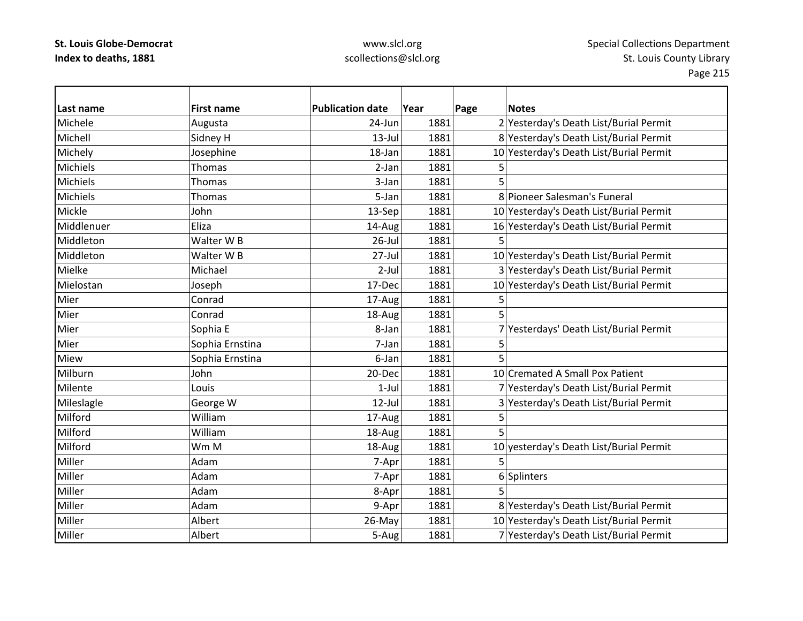| Last name       | <b>First name</b> | <b>Publication date</b> | Year | Page | <b>Notes</b>                            |
|-----------------|-------------------|-------------------------|------|------|-----------------------------------------|
| Michele         | Augusta           | 24-Jun                  | 1881 |      | 2 Yesterday's Death List/Burial Permit  |
| Michell         | Sidney H          | $13$ -Jul               | 1881 |      | 8 Yesterday's Death List/Burial Permit  |
| Michely         | Josephine         | 18-Jan                  | 1881 |      | 10 Yesterday's Death List/Burial Permit |
| Michiels        | Thomas            | 2-Jan                   | 1881 |      |                                         |
| Michiels        | Thomas            | 3-Jan                   | 1881 |      |                                         |
| <b>Michiels</b> | Thomas            | 5-Jan                   | 1881 |      | 8 Pioneer Salesman's Funeral            |
| Mickle          | John              | 13-Sep                  | 1881 |      | 10 Yesterday's Death List/Burial Permit |
| Middlenuer      | Eliza             | 14-Aug                  | 1881 |      | 16 Yesterday's Death List/Burial Permit |
| Middleton       | Walter W B        | $26$ -Jul               | 1881 |      |                                         |
| Middleton       | Walter W B        | 27-Jul                  | 1881 |      | 10 Yesterday's Death List/Burial Permit |
| Mielke          | Michael           | $2-Jul$                 | 1881 |      | 3 Yesterday's Death List/Burial Permit  |
| Mielostan       | Joseph            | 17-Dec                  | 1881 |      | 10 Yesterday's Death List/Burial Permit |
| Mier            | Conrad            | 17-Aug                  | 1881 | 5    |                                         |
| Mier            | Conrad            | 18-Aug                  | 1881 | 5    |                                         |
| Mier            | Sophia E          | 8-Jan                   | 1881 |      | 7 Yesterdays' Death List/Burial Permit  |
| Mier            | Sophia Ernstina   | 7-Jan                   | 1881 | 5    |                                         |
| Miew            | Sophia Ernstina   | 6-Jan                   | 1881 | 5    |                                         |
| Milburn         | John              | 20-Dec                  | 1881 |      | 10 Cremated A Small Pox Patient         |
| Milente         | Louis             | $1-Jul$                 | 1881 |      | 7 Yesterday's Death List/Burial Permit  |
| Mileslagle      | George W          | $12$ -Jul               | 1881 |      | 3 Yesterday's Death List/Burial Permit  |
| Milford         | William           | 17-Aug                  | 1881 | 5    |                                         |
| Milford         | William           | 18-Aug                  | 1881 | 5    |                                         |
| Milford         | Wm M              | 18-Aug                  | 1881 |      | 10 yesterday's Death List/Burial Permit |
| Miller          | Adam              | 7-Apr                   | 1881 | 5    |                                         |
| Miller          | Adam              | 7-Apr                   | 1881 |      | 6 Splinters                             |
| Miller          | Adam              | 8-Apr                   | 1881 | 5    |                                         |
| Miller          | Adam              | 9-Apr                   | 1881 |      | 8 Yesterday's Death List/Burial Permit  |
| Miller          | Albert            | 26-May                  | 1881 |      | 10 Yesterday's Death List/Burial Permit |
| Miller          | Albert            | 5-Aug                   | 1881 |      | 7 Yesterday's Death List/Burial Permit  |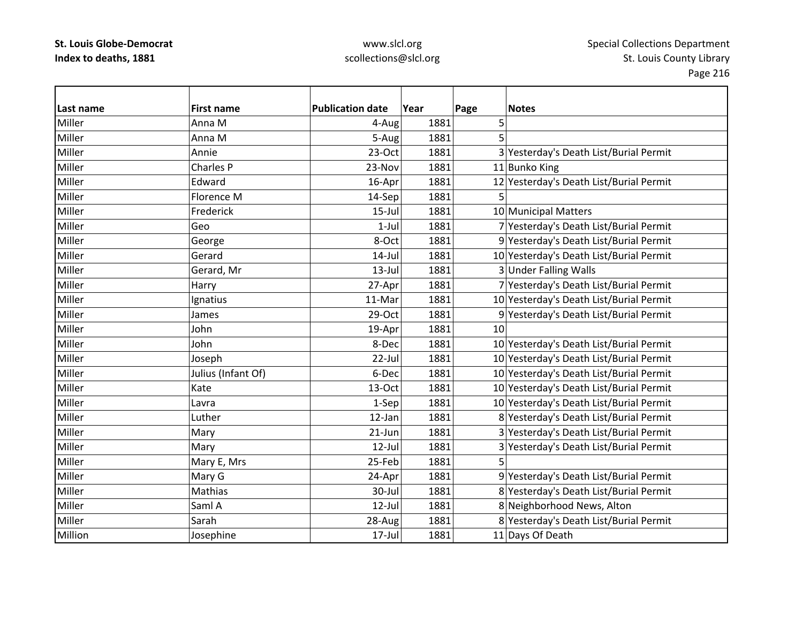| Last name | <b>First name</b>  | <b>Publication date</b> | Year | Page | <b>Notes</b>                            |
|-----------|--------------------|-------------------------|------|------|-----------------------------------------|
| Miller    | Anna M             | 4-Aug                   | 1881 | 5    |                                         |
| Miller    | Anna M             | 5-Aug                   | 1881 | 5    |                                         |
| Miller    | Annie              | 23-Oct                  | 1881 |      | 3 Yesterday's Death List/Burial Permit  |
| Miller    | <b>Charles P</b>   | 23-Nov                  | 1881 |      | 11 Bunko King                           |
| Miller    | Edward             | 16-Apr                  | 1881 |      | 12 Yesterday's Death List/Burial Permit |
| Miller    | Florence M         | 14-Sep                  | 1881 | 5    |                                         |
| Miller    | Frederick          | $15$ -Jul               | 1881 |      | 10 Municipal Matters                    |
| Miller    | Geo                | $1-Jul$                 | 1881 |      | 7 Yesterday's Death List/Burial Permit  |
| Miller    | George             | 8-Oct                   | 1881 |      | 9 Yesterday's Death List/Burial Permit  |
| Miller    | Gerard             | $14$ -Jul               | 1881 |      | 10 Yesterday's Death List/Burial Permit |
| Miller    | Gerard, Mr         | $13$ -Jul               | 1881 |      | 3 Under Falling Walls                   |
| Miller    | Harry              | 27-Apr                  | 1881 |      | 7 Yesterday's Death List/Burial Permit  |
| Miller    | Ignatius           | 11-Mar                  | 1881 |      | 10 Yesterday's Death List/Burial Permit |
| Miller    | James              | 29-Oct                  | 1881 |      | 9 Yesterday's Death List/Burial Permit  |
| Miller    | John               | 19-Apr                  | 1881 | 10   |                                         |
| Miller    | John               | 8-Dec                   | 1881 |      | 10 Yesterday's Death List/Burial Permit |
| Miller    | Joseph             | 22-Jul                  | 1881 |      | 10 Yesterday's Death List/Burial Permit |
| Miller    | Julius (Infant Of) | 6-Dec                   | 1881 |      | 10 Yesterday's Death List/Burial Permit |
| Miller    | Kate               | 13-Oct                  | 1881 |      | 10 Yesterday's Death List/Burial Permit |
| Miller    | Lavra              | 1-Sep                   | 1881 |      | 10 Yesterday's Death List/Burial Permit |
| Miller    | Luther             | 12-Jan                  | 1881 |      | 8 Yesterday's Death List/Burial Permit  |
| Miller    | Mary               | 21-Jun                  | 1881 |      | 3 Yesterday's Death List/Burial Permit  |
| Miller    | Mary               | $12$ -Jul               | 1881 |      | 3 Yesterday's Death List/Burial Permit  |
| Miller    | Mary E, Mrs        | 25-Feb                  | 1881 |      |                                         |
| Miller    | Mary G             | 24-Apr                  | 1881 |      | 9 Yesterday's Death List/Burial Permit  |
| Miller    | Mathias            | 30-Jul                  | 1881 |      | 8 Yesterday's Death List/Burial Permit  |
| Miller    | Saml A             | $12$ -Jul               | 1881 |      | 8 Neighborhood News, Alton              |
| Miller    | Sarah              | 28-Aug                  | 1881 |      | 8 Yesterday's Death List/Burial Permit  |
| Million   | Josephine          | 17-Jul                  | 1881 |      | 11 Days Of Death                        |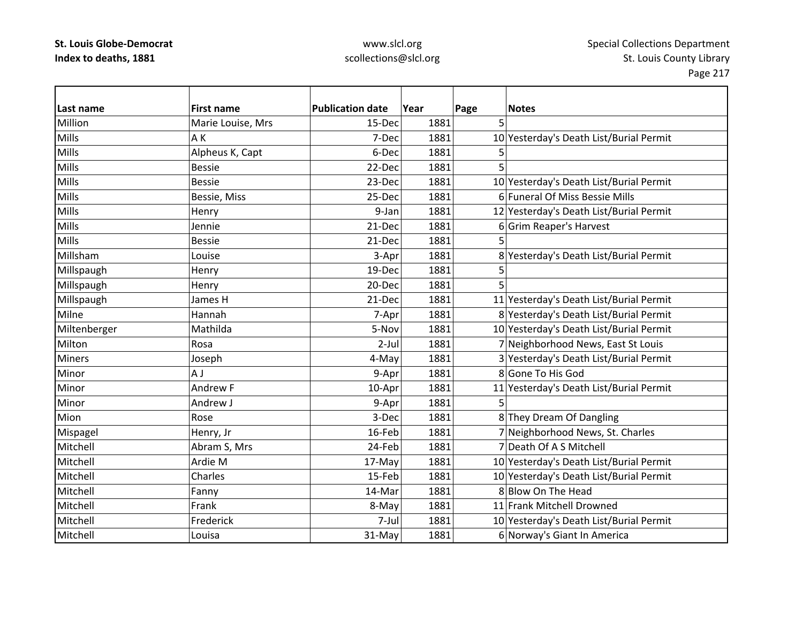| Last name     | <b>First name</b> | <b>Publication date</b> | Year | Page | <b>Notes</b>                            |
|---------------|-------------------|-------------------------|------|------|-----------------------------------------|
| Million       | Marie Louise, Mrs | 15-Dec                  | 1881 | 5    |                                         |
| Mills         | AΚ                | 7-Dec                   | 1881 |      | 10 Yesterday's Death List/Burial Permit |
| Mills         | Alpheus K, Capt   | 6-Dec                   | 1881 | 5    |                                         |
| Mills         | <b>Bessie</b>     | 22-Dec                  | 1881 | 5    |                                         |
| <b>Mills</b>  | <b>Bessie</b>     | 23-Dec                  | 1881 |      | 10 Yesterday's Death List/Burial Permit |
| Mills         | Bessie, Miss      | 25-Dec                  | 1881 |      | 6 Funeral Of Miss Bessie Mills          |
| Mills         | Henry             | 9-Jan                   | 1881 |      | 12 Yesterday's Death List/Burial Permit |
| <b>Mills</b>  | Jennie            | 21-Dec                  | 1881 |      | 6 Grim Reaper's Harvest                 |
| Mills         | <b>Bessie</b>     | 21-Dec                  | 1881 |      |                                         |
| Millsham      | Louise            | 3-Apr                   | 1881 |      | 8 Yesterday's Death List/Burial Permit  |
| Millspaugh    | Henry             | 19-Dec                  | 1881 | 5    |                                         |
| Millspaugh    | Henry             | 20-Dec                  | 1881 | 5    |                                         |
| Millspaugh    | James H           | 21-Dec                  | 1881 |      | 11 Yesterday's Death List/Burial Permit |
| Milne         | Hannah            | 7-Apr                   | 1881 |      | 8 Yesterday's Death List/Burial Permit  |
| Miltenberger  | Mathilda          | 5-Nov                   | 1881 |      | 10 Yesterday's Death List/Burial Permit |
| Milton        | Rosa              | $2$ -Jul                | 1881 |      | 7 Neighborhood News, East St Louis      |
| <b>Miners</b> | Joseph            | 4-May                   | 1881 |      | 3 Yesterday's Death List/Burial Permit  |
| Minor         | A J               | 9-Apr                   | 1881 |      | 8 Gone To His God                       |
| Minor         | Andrew F          | 10-Apr                  | 1881 |      | 11 Yesterday's Death List/Burial Permit |
| Minor         | Andrew J          | 9-Apr                   | 1881 | 5    |                                         |
| Mion          | Rose              | 3-Dec                   | 1881 |      | 8 They Dream Of Dangling                |
| Mispagel      | Henry, Jr         | 16-Feb                  | 1881 |      | 7 Neighborhood News, St. Charles        |
| Mitchell      | Abram S, Mrs      | 24-Feb                  | 1881 |      | 7 Death Of A S Mitchell                 |
| Mitchell      | Ardie M           | 17-May                  | 1881 |      | 10 Yesterday's Death List/Burial Permit |
| Mitchell      | Charles           | 15-Feb                  | 1881 |      | 10 Yesterday's Death List/Burial Permit |
| Mitchell      | Fanny             | 14-Mar                  | 1881 |      | 8 Blow On The Head                      |
| Mitchell      | Frank             | 8-May                   | 1881 |      | 11 Frank Mitchell Drowned               |
| Mitchell      | Frederick         | 7-Jul                   | 1881 |      | 10 Yesterday's Death List/Burial Permit |
| Mitchell      | Louisa            | 31-May                  | 1881 |      | 6 Norway's Giant In America             |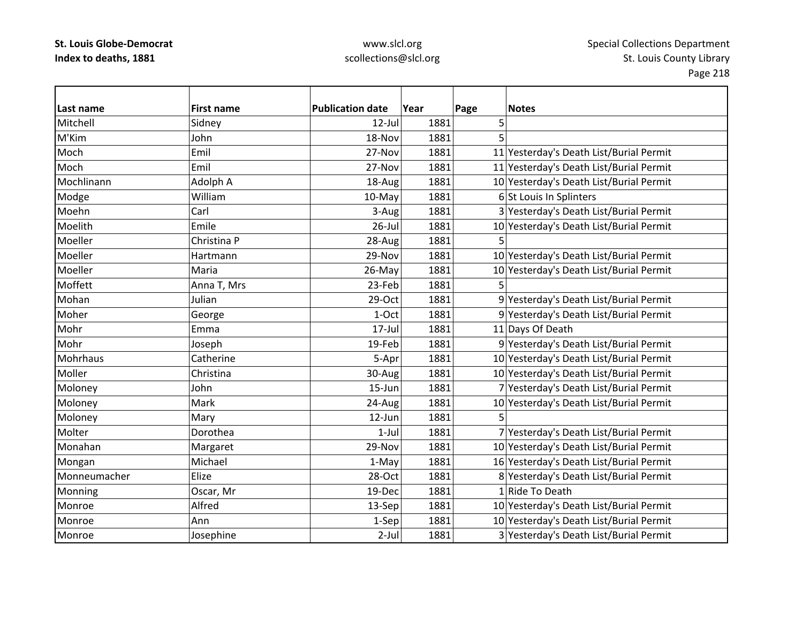| Last name    | <b>First name</b> | <b>Publication date</b> | Year | Page | <b>Notes</b>                            |
|--------------|-------------------|-------------------------|------|------|-----------------------------------------|
| Mitchell     | Sidney            | $12$ -Jul               | 1881 | 5    |                                         |
| M'Kim        | John              | 18-Nov                  | 1881 |      |                                         |
| Moch         | Emil              | 27-Nov                  | 1881 |      | 11 Yesterday's Death List/Burial Permit |
| Moch         | Emil              | 27-Nov                  | 1881 |      | 11 Yesterday's Death List/Burial Permit |
| Mochlinann   | Adolph A          | 18-Aug                  | 1881 |      | 10 Yesterday's Death List/Burial Permit |
| Modge        | William           | 10-May                  | 1881 |      | 6 St Louis In Splinters                 |
| Moehn        | Carl              | 3-Aug                   | 1881 |      | 3 Yesterday's Death List/Burial Permit  |
| Moelith      | Emile             | 26-Jul                  | 1881 |      | 10 Yesterday's Death List/Burial Permit |
| Moeller      | Christina P       | 28-Aug                  | 1881 |      |                                         |
| Moeller      | Hartmann          | 29-Nov                  | 1881 |      | 10 Yesterday's Death List/Burial Permit |
| Moeller      | Maria             | 26-May                  | 1881 |      | 10 Yesterday's Death List/Burial Permit |
| Moffett      | Anna T, Mrs       | 23-Feb                  | 1881 |      |                                         |
| Mohan        | Julian            | 29-Oct                  | 1881 |      | 9 Yesterday's Death List/Burial Permit  |
| Moher        | George            | 1-Oct                   | 1881 |      | 9 Yesterday's Death List/Burial Permit  |
| Mohr         | Emma              | 17-Jul                  | 1881 |      | 11 Days Of Death                        |
| Mohr         | Joseph            | 19-Feb                  | 1881 |      | 9 Yesterday's Death List/Burial Permit  |
| Mohrhaus     | Catherine         | 5-Apr                   | 1881 |      | 10 Yesterday's Death List/Burial Permit |
| Moller       | Christina         | 30-Aug                  | 1881 |      | 10 Yesterday's Death List/Burial Permit |
| Moloney      | John              | $15 - Jun$              | 1881 |      | 7 Yesterday's Death List/Burial Permit  |
| Moloney      | Mark              | 24-Aug                  | 1881 |      | 10 Yesterday's Death List/Burial Permit |
| Moloney      | Mary              | 12-Jun                  | 1881 | 5    |                                         |
| Molter       | Dorothea          | $1-Jul$                 | 1881 |      | 7 Yesterday's Death List/Burial Permit  |
| Monahan      | Margaret          | 29-Nov                  | 1881 |      | 10 Yesterday's Death List/Burial Permit |
| Mongan       | Michael           | 1-May                   | 1881 |      | 16 Yesterday's Death List/Burial Permit |
| Monneumacher | Elize             | 28-Oct                  | 1881 |      | 8 Yesterday's Death List/Burial Permit  |
| Monning      | Oscar, Mr         | 19-Dec                  | 1881 |      | 1 Ride To Death                         |
| Monroe       | Alfred            | 13-Sep                  | 1881 |      | 10 Yesterday's Death List/Burial Permit |
| Monroe       | Ann               | 1-Sep                   | 1881 |      | 10 Yesterday's Death List/Burial Permit |
| Monroe       | Josephine         | $2$ -Jul                | 1881 |      | 3 Yesterday's Death List/Burial Permit  |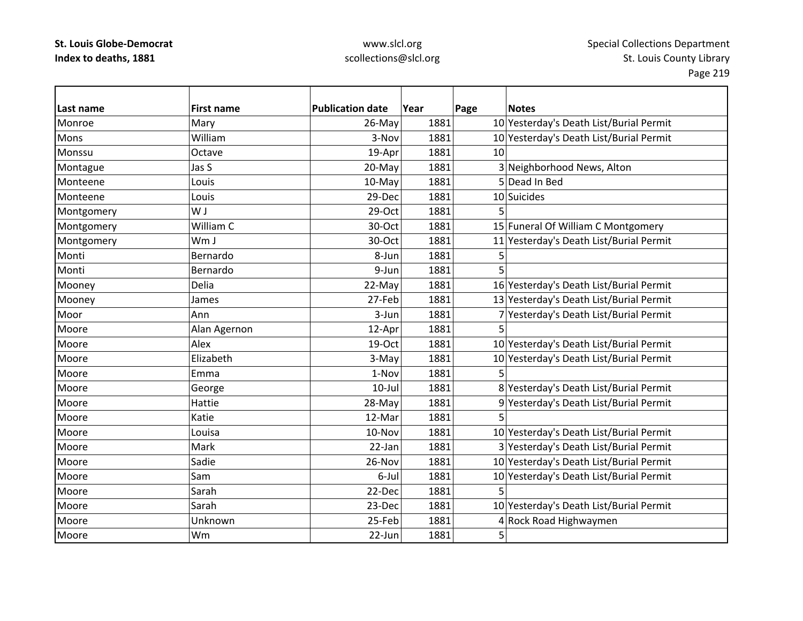## www.slcl.org scollections@slcl.org

 $\overline{\phantom{0}}$ 

| Last name  | <b>First name</b> | <b>Publication date</b> | Year | Page | <b>Notes</b>                            |
|------------|-------------------|-------------------------|------|------|-----------------------------------------|
| Monroe     | Mary              | 26-May                  | 1881 |      | 10 Yesterday's Death List/Burial Permit |
| Mons       | William           | 3-Nov                   | 1881 |      | 10 Yesterday's Death List/Burial Permit |
| Monssu     | Octave            | 19-Apr                  | 1881 | 10   |                                         |
| Montague   | Jas S             | 20-May                  | 1881 |      | 3 Neighborhood News, Alton              |
| Monteene   | Louis             | 10-May                  | 1881 |      | 5 Dead In Bed                           |
| Monteene   | Louis             | 29-Dec                  | 1881 |      | 10 Suicides                             |
| Montgomery | W J               | 29-Oct                  | 1881 | 5    |                                         |
| Montgomery | William C         | 30-Oct                  | 1881 |      | 15 Funeral Of William C Montgomery      |
| Montgomery | Wm J              | 30-Oct                  | 1881 |      | 11 Yesterday's Death List/Burial Permit |
| Monti      | Bernardo          | 8-Jun                   | 1881 | 5    |                                         |
| Monti      | Bernardo          | 9-Jun                   | 1881 | 5    |                                         |
| Mooney     | Delia             | 22-May                  | 1881 |      | 16 Yesterday's Death List/Burial Permit |
| Mooney     | James             | 27-Feb                  | 1881 |      | 13 Yesterday's Death List/Burial Permit |
| Moor       | Ann               | 3-Jun                   | 1881 |      | 7 Yesterday's Death List/Burial Permit  |
| Moore      | Alan Agernon      | 12-Apr                  | 1881 |      |                                         |
| Moore      | Alex              | 19-Oct                  | 1881 |      | 10 Yesterday's Death List/Burial Permit |
| Moore      | Elizabeth         | 3-May                   | 1881 |      | 10 Yesterday's Death List/Burial Permit |
| Moore      | Emma              | 1-Nov                   | 1881 |      |                                         |
| Moore      | George            | $10$ -Jul               | 1881 |      | 8 Yesterday's Death List/Burial Permit  |
| Moore      | Hattie            | 28-May                  | 1881 |      | 9 Yesterday's Death List/Burial Permit  |
| Moore      | Katie             | 12-Mar                  | 1881 | 5    |                                         |
| Moore      | Louisa            | 10-Nov                  | 1881 |      | 10 Yesterday's Death List/Burial Permit |
| Moore      | <b>Mark</b>       | 22-Jan                  | 1881 |      | 3 Yesterday's Death List/Burial Permit  |
| Moore      | Sadie             | 26-Nov                  | 1881 |      | 10 Yesterday's Death List/Burial Permit |
| Moore      | Sam               | 6-Jul                   | 1881 |      | 10 Yesterday's Death List/Burial Permit |
| Moore      | Sarah             | 22-Dec                  | 1881 | 5    |                                         |
| Moore      | Sarah             | 23-Dec                  | 1881 |      | 10 Yesterday's Death List/Burial Permit |
| Moore      | Unknown           | 25-Feb                  | 1881 |      | 4 Rock Road Highwaymen                  |
| Moore      | Wm                | 22-Jun                  | 1881 | 5    |                                         |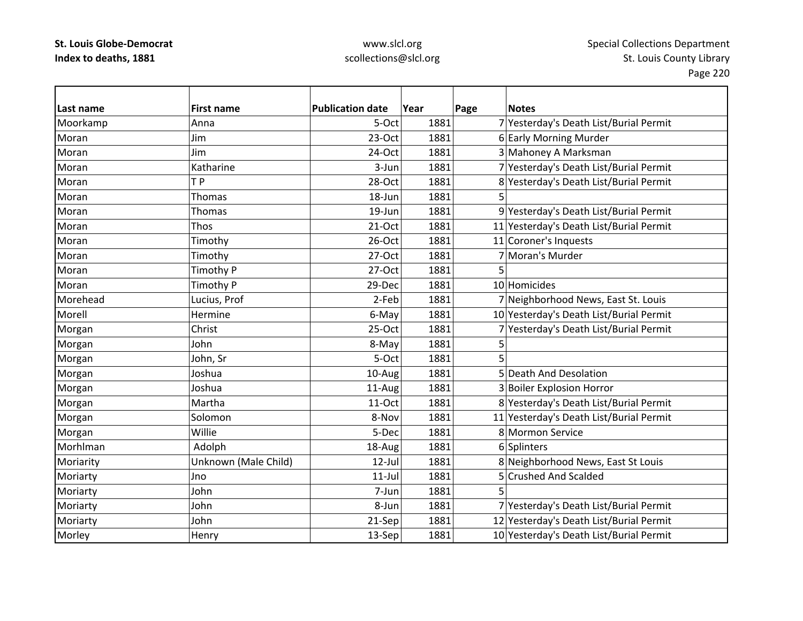### www.slcl.org scollections@slcl.org

**Last name First name Publication date Year Page Notes** Moorkamp Anna Anna Anna 1881 7 Yesterday's Death List/Burial Permit Moran Jim23-Oct 1881 6 Early Morning Murder Moran Jim $24$ -Oct 1881 3 Mahoney A Marksman MoranKatharine 1881 1881 1881 7 Yesterday's Death List/Burial Permit MoranT P 28-Oct 1881 8 Yesterday's Death List/Burial Permit Moran Thomas 18‐Jun 1881 5 MoranThomas 19‐Jun 19‐Jun 1881 9 Yesterday's Death List/Burial Permit MoranThos 21–Oct 1881 11 Yesterday's Death List/Burial Permit MoranTimothy 26-Oct 1881 11 Coroner's Inquests MoranTimothy **27-Oct** 1881 7 Moran's Murder Morann |Timothy P | 27-Oct | 1881 | 5 MoranTimothy P 29-Dec 1881 10 Homicides MoreheadLucius, Prof **2**-Feb 1881 7 Neighborhood News, East St. Louis Morell Hermine6-May 1881 10 Yesterday's Death List/Burial Permit Morgan Christ 25-Oct 1881 7 Yesterday's Death List/Burial Permit Morgan John 8‐May 1881 5 Morgan John, Sr 5‐Oct 1881 5 Morgan Joshua 10‐Aug 1881 5 Death And Desolation Morgan Joshua 11-Aug 1881 3 Boiler Explosion Horror Morgan Martha 11‐Oct 1881 8 Yesterday's Death List/Burial Permit Norgan Morgan Solomon Solomon Resource Superint Band and the Solomon 8-Nov 1881 11 Yesterday's Death List/Burial Permit Morgan Muillie Nuillie hoog and the S-Dec 1881 8 Mormon Service MorhlmanAdolph 18-Aug 1881 6 Splinters Moriarity **Notable 12** 12‐Jul 1881 8 Neighborhood News, East St Louis 1881 Moriarty Jno 11‐Jul 1881 5 Crushed And Scalded Moriarty John 7‐Jun 1881 5 Moriarty John John 1881 7 Yesterday's Death List/Burial Permit Moriarty John John 21‐Sep 1881 12 Yesterday's Death List/Burial Permit Morley Morley Henry Henry 13‐Sep 1881 10 Yesterday's Death List/Burial Permit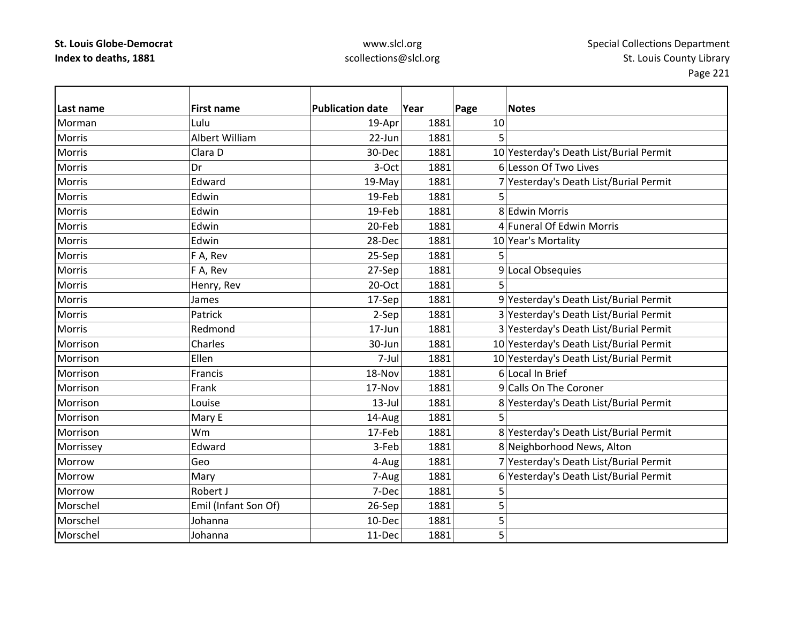### www.slcl.org scollections@slcl.org

**Last name First name Publication date Year Page Notes** Morman Lulu 19‐Apr 1881 10 Morris Albert William $22$ -Jun 1881 5 MorrisClara<sub>D</sub> 30-Dec 1881 10 Yesterday's Death List/Burial Permit Morriss 3-Oct 1881 6 lLesson Of Two Lives Morris Edward19-May 1881 7 Yesterday's Death List/Burial Permit Morris Edwin19-Feb 1881 5 Morris Edwin19-Feb 1881 8 Edwin Morris Morris Edwin20-Feb 1881 4 Funeral Of Edwin Morris Morris Edwin28-Dec 1881 10 Year's Mortality Morriss IF F A, Rev 25-Sep 1881 5 Morriss IF F A, Rev 27‐Sep 1881 9 Local Obsequies MorrisHenry, Rev | 20-Oct | 1881 5 MorrisJames 17‐Sep 1881 9 Yesterday's Death List/Burial Permit Morris Patrick2-Sep 1881 3 Yesterday's Death List/Burial Permit Morris Redmond17-Jun 1881 3 Yesterday's Death List/Burial Permit MorrisonCharles 20 10 30-Jun 1881 10 Yesterday's Death List/Burial Permit MorrisonEllen 1881 1881 10 Yesterday's Death List/Burial Permit MorrisonFrancis 18–Nov 1881 6 Local In Brief MorrisonFrank 17–Nov 1881 9 Calls On The Coroner MorrisonLouise 13–Jul 1881 8 Yesterday's Death List/Burial Permit Morrisonn |Mary E | 14-Aug| 1881| 5 Morrison Wm17-Feb 1881 8 Yesterday's Death List/Burial Permit Morrissey **Edward** Edward 1881 **3**-Feb 1881 8 Neighborhood News, Alton MorrowGeo 4-Aug 1881 7 Yesterday's Death List/Burial Permit MorrowMary 1881 7-Aug 1881 6 Yesterday's Death List/Burial Permit Morroww |Robert J 7-Dec 1881 5 MorschelEmil (Infant Son Of)  $\vert$  26-Sep 1881 5 Morschel Johanna10-Dec 1881 5 Morschel Johanna11-Dec 1881 5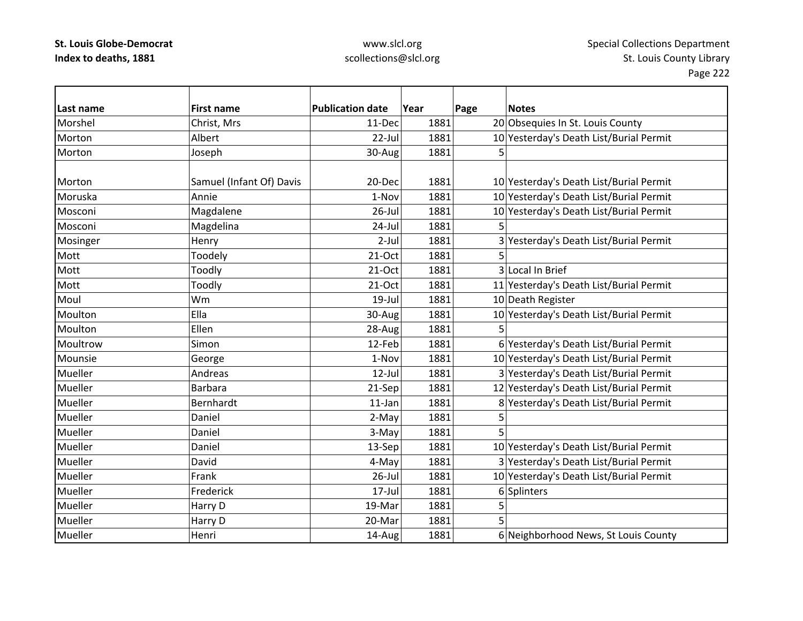| Last name | <b>First name</b>        | <b>Publication date</b> | Year | Page | <b>Notes</b>                            |
|-----------|--------------------------|-------------------------|------|------|-----------------------------------------|
| Morshel   | Christ, Mrs              | 11-Dec                  | 1881 |      | 20 Obsequies In St. Louis County        |
| Morton    | Albert                   | 22-Jul                  | 1881 |      | 10 Yesterday's Death List/Burial Permit |
| Morton    | Joseph                   | 30-Aug                  | 1881 | 5    |                                         |
|           |                          |                         |      |      |                                         |
| Morton    | Samuel (Infant Of) Davis | 20-Dec                  | 1881 |      | 10 Yesterday's Death List/Burial Permit |
| Moruska   | Annie                    | 1-Nov                   | 1881 |      | 10 Yesterday's Death List/Burial Permit |
| Mosconi   | Magdalene                | $26$ -Jul               | 1881 |      | 10 Yesterday's Death List/Burial Permit |
| Mosconi   | Magdelina                | 24-Jul                  | 1881 | 5    |                                         |
| Mosinger  | Henry                    | $2$ -Jul                | 1881 |      | 3 Yesterday's Death List/Burial Permit  |
| Mott      | Toodely                  | $21-Oct$                | 1881 | 5    |                                         |
| Mott      | Toodly                   | $21-Oct$                | 1881 |      | 3 Local In Brief                        |
| Mott      | Toodly                   | 21-Oct                  | 1881 |      | 11 Yesterday's Death List/Burial Permit |
| Moul      | Wm                       | 19-Jul                  | 1881 |      | 10 Death Register                       |
| Moulton   | Ella                     | 30-Aug                  | 1881 |      | 10 Yesterday's Death List/Burial Permit |
| Moulton   | Ellen                    | 28-Aug                  | 1881 |      |                                         |
| Moultrow  | Simon                    | 12-Feb                  | 1881 |      | 6 Yesterday's Death List/Burial Permit  |
| Mounsie   | George                   | 1-Nov                   | 1881 |      | 10 Yesterday's Death List/Burial Permit |
| Mueller   | Andreas                  | $12$ -Jul               | 1881 |      | 3 Yesterday's Death List/Burial Permit  |
| Mueller   | <b>Barbara</b>           | 21-Sep                  | 1881 |      | 12 Yesterday's Death List/Burial Permit |
| Mueller   | Bernhardt                | $11$ -Jan               | 1881 |      | 8 Yesterday's Death List/Burial Permit  |
| Mueller   | Daniel                   | 2-May                   | 1881 | 5    |                                         |
| Mueller   | Daniel                   | 3-May                   | 1881 | 5    |                                         |
| Mueller   | Daniel                   | 13-Sep                  | 1881 |      | 10 Yesterday's Death List/Burial Permit |
| Mueller   | David                    | 4-May                   | 1881 |      | 3 Yesterday's Death List/Burial Permit  |
| Mueller   | Frank                    | $26$ -Jul               | 1881 |      | 10 Yesterday's Death List/Burial Permit |
| Mueller   | Frederick                | 17-Jul                  | 1881 |      | 6 Splinters                             |
| Mueller   | Harry D                  | 19-Mar                  | 1881 | 5    |                                         |
| Mueller   | Harry D                  | 20-Mar                  | 1881 | 5    |                                         |
| Mueller   | Henri                    | 14-Aug                  | 1881 |      | 6 Neighborhood News, St Louis County    |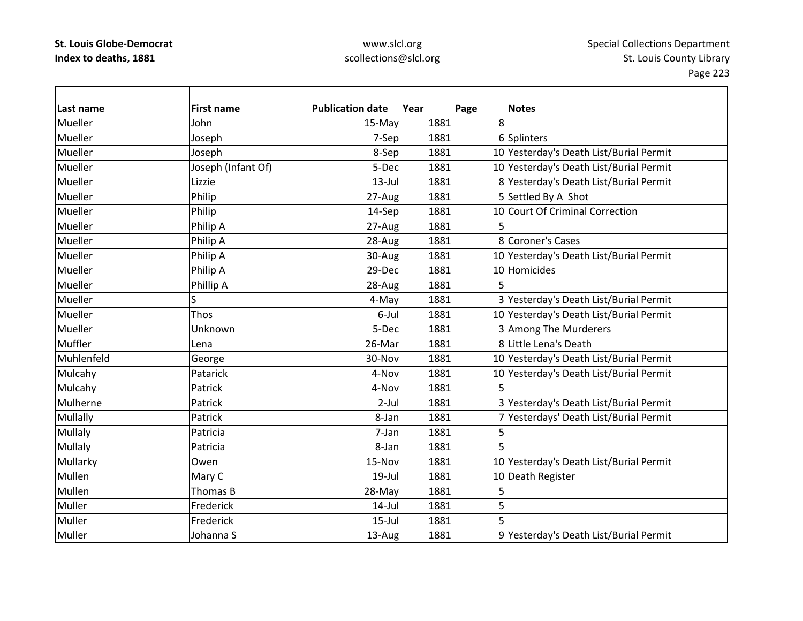| Last name  | <b>First name</b>  | <b>Publication date</b> | Year | Page<br><b>Notes</b>                    |
|------------|--------------------|-------------------------|------|-----------------------------------------|
| Mueller    | John               | 15-May                  | 1881 | 8                                       |
| Mueller    | Joseph             | 7-Sep                   | 1881 | 6 Splinters                             |
| Mueller    | Joseph             | 8-Sep                   | 1881 | 10 Yesterday's Death List/Burial Permit |
| Mueller    | Joseph (Infant Of) | 5-Dec                   | 1881 | 10 Yesterday's Death List/Burial Permit |
| Mueller    | Lizzie             | $13$ -Jul               | 1881 | 8 Yesterday's Death List/Burial Permit  |
| Mueller    | Philip             | 27-Aug                  | 1881 | 5 Settled By A Shot                     |
| Mueller    | Philip             | 14-Sep                  | 1881 | 10 Court Of Criminal Correction         |
| Mueller    | Philip A           | 27-Aug                  | 1881 |                                         |
| Mueller    | Philip A           | 28-Aug                  | 1881 | 8 Coroner's Cases                       |
| Mueller    | Philip A           | 30-Aug                  | 1881 | 10 Yesterday's Death List/Burial Permit |
| Mueller    | Philip A           | 29-Dec                  | 1881 | 10 Homicides                            |
| Mueller    | Phillip A          | 28-Aug                  | 1881 | 5                                       |
| Mueller    | S                  | 4-May                   | 1881 | 3 Yesterday's Death List/Burial Permit  |
| Mueller    | Thos               | 6-Jul                   | 1881 | 10 Yesterday's Death List/Burial Permit |
| Mueller    | Unknown            | 5-Dec                   | 1881 | 3 Among The Murderers                   |
| Muffler    | Lena               | 26-Mar                  | 1881 | 8 Little Lena's Death                   |
| Muhlenfeld | George             | 30-Nov                  | 1881 | 10 Yesterday's Death List/Burial Permit |
| Mulcahy    | Patarick           | 4-Nov                   | 1881 | 10 Yesterday's Death List/Burial Permit |
| Mulcahy    | Patrick            | 4-Nov                   | 1881 | 5                                       |
| Mulherne   | Patrick            | $2$ -Jul                | 1881 | 3 Yesterday's Death List/Burial Permit  |
| Mullally   | Patrick            | 8-Jan                   | 1881 | 7 Yesterdays' Death List/Burial Permit  |
| Mullaly    | Patricia           | 7-Jan                   | 1881 | 5                                       |
| Mullaly    | Patricia           | 8-Jan                   | 1881 | 5                                       |
| Mullarky   | Owen               | 15-Nov                  | 1881 | 10 Yesterday's Death List/Burial Permit |
| Mullen     | Mary C             | 19-Jul                  | 1881 | 10 Death Register                       |
| Mullen     | Thomas B           | 28-May                  | 1881 | 5                                       |
| Muller     | Frederick          | $14$ -Jul               | 1881 | 5                                       |
| Muller     | Frederick          | $15$ -Jul               | 1881 | 5                                       |
| Muller     | Johanna S          | 13-Aug                  | 1881 | 9 Yesterday's Death List/Burial Permit  |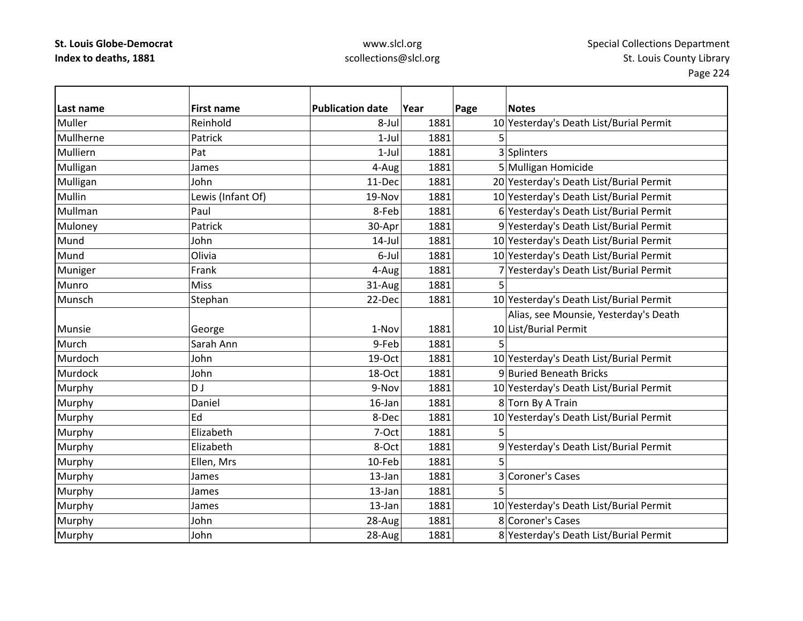| Last name | <b>First name</b> | <b>Publication date</b> | Year | Page | <b>Notes</b>                            |
|-----------|-------------------|-------------------------|------|------|-----------------------------------------|
| Muller    | Reinhold          | 8-Jul                   | 1881 |      | 10 Yesterday's Death List/Burial Permit |
| Mullherne | Patrick           | $1$ -Jul                | 1881 | 5    |                                         |
| Mulliern  | Pat               | $1-Jul$                 | 1881 |      | 3 Splinters                             |
| Mulligan  | James             | 4-Aug                   | 1881 |      | 5 Mulligan Homicide                     |
| Mulligan  | John              | 11-Dec                  | 1881 |      | 20 Yesterday's Death List/Burial Permit |
| Mullin    | Lewis (Infant Of) | 19-Nov                  | 1881 |      | 10 Yesterday's Death List/Burial Permit |
| Mullman   | Paul              | 8-Feb                   | 1881 |      | 6 Yesterday's Death List/Burial Permit  |
| Muloney   | Patrick           | 30-Apr                  | 1881 |      | 9 Yesterday's Death List/Burial Permit  |
| Mund      | John              | $14$ -Jul               | 1881 |      | 10 Yesterday's Death List/Burial Permit |
| Mund      | Olivia            | 6-Jul                   | 1881 |      | 10 Yesterday's Death List/Burial Permit |
| Muniger   | Frank             | 4-Aug                   | 1881 |      | 7 Yesterday's Death List/Burial Permit  |
| Munro     | <b>Miss</b>       | 31-Aug                  | 1881 | 5    |                                         |
| Munsch    | Stephan           | 22-Dec                  | 1881 |      | 10 Yesterday's Death List/Burial Permit |
|           |                   |                         |      |      | Alias, see Mounsie, Yesterday's Death   |
| Munsie    | George            | 1-Nov                   | 1881 |      | 10 List/Burial Permit                   |
| Murch     | Sarah Ann         | 9-Feb                   | 1881 | 5    |                                         |
| Murdoch   | John              | 19-Oct                  | 1881 |      | 10 Yesterday's Death List/Burial Permit |
| Murdock   | John              | 18-Oct                  | 1881 |      | 9 Buried Beneath Bricks                 |
| Murphy    | D J               | 9-Nov                   | 1881 |      | 10 Yesterday's Death List/Burial Permit |
| Murphy    | Daniel            | 16-Jan                  | 1881 |      | 8 Torn By A Train                       |
| Murphy    | Ed                | 8-Dec                   | 1881 |      | 10 Yesterday's Death List/Burial Permit |
| Murphy    | Elizabeth         | 7-Oct                   | 1881 | 5    |                                         |
| Murphy    | Elizabeth         | 8-Oct                   | 1881 |      | 9 Yesterday's Death List/Burial Permit  |
| Murphy    | Ellen, Mrs        | 10-Feb                  | 1881 | 5    |                                         |
| Murphy    | James             | 13-Jan                  | 1881 |      | 3 Coroner's Cases                       |
| Murphy    | James             | 13-Jan                  | 1881 | 5    |                                         |
| Murphy    | James             | 13-Jan                  | 1881 |      | 10 Yesterday's Death List/Burial Permit |
| Murphy    | John              | 28-Aug                  | 1881 |      | 8 Coroner's Cases                       |
| Murphy    | John              | 28-Aug                  | 1881 |      | 8 Yesterday's Death List/Burial Permit  |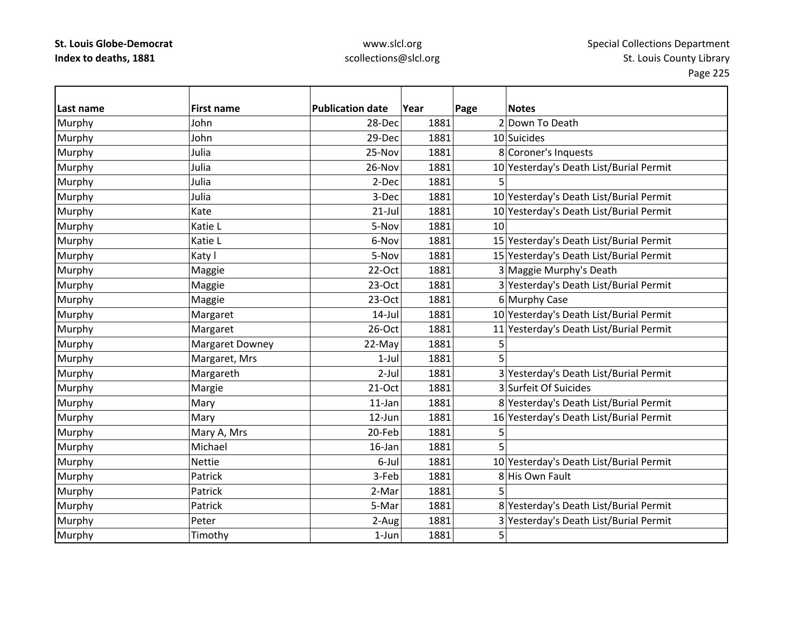| Last name | <b>First name</b> | <b>Publication date</b> | Year | Page | <b>Notes</b>                            |
|-----------|-------------------|-------------------------|------|------|-----------------------------------------|
| Murphy    | John              | 28-Dec                  | 1881 |      | 2 Down To Death                         |
| Murphy    | John              | 29-Dec                  | 1881 |      | 10 Suicides                             |
| Murphy    | Julia             | 25-Nov                  | 1881 |      | 8 Coroner's Inquests                    |
| Murphy    | Julia             | 26-Nov                  | 1881 |      | 10 Yesterday's Death List/Burial Permit |
| Murphy    | Julia             | 2-Dec                   | 1881 |      |                                         |
| Murphy    | Julia             | 3-Dec                   | 1881 |      | 10 Yesterday's Death List/Burial Permit |
| Murphy    | Kate              | $21$ -Jul               | 1881 |      | 10 Yesterday's Death List/Burial Permit |
| Murphy    | Katie L           | 5-Nov                   | 1881 | 10   |                                         |
| Murphy    | Katie L           | 6-Nov                   | 1881 |      | 15 Yesterday's Death List/Burial Permit |
| Murphy    | Katy I            | 5-Nov                   | 1881 |      | 15 Yesterday's Death List/Burial Permit |
| Murphy    | Maggie            | 22-Oct                  | 1881 |      | 3 Maggie Murphy's Death                 |
| Murphy    | Maggie            | $23-Oct$                | 1881 |      | 3 Yesterday's Death List/Burial Permit  |
| Murphy    | Maggie            | 23-Oct                  | 1881 |      | 6 Murphy Case                           |
| Murphy    | Margaret          | $14$ -Jul               | 1881 |      | 10 Yesterday's Death List/Burial Permit |
| Murphy    | Margaret          | 26-Oct                  | 1881 |      | 11 Yesterday's Death List/Burial Permit |
| Murphy    | Margaret Downey   | 22-May                  | 1881 | 5    |                                         |
| Murphy    | Margaret, Mrs     | $1$ -Jul                | 1881 | 5    |                                         |
| Murphy    | Margareth         | $2-Jul$                 | 1881 |      | 3 Yesterday's Death List/Burial Permit  |
| Murphy    | Margie            | $21-Oct$                | 1881 |      | 3 Surfeit Of Suicides                   |
| Murphy    | Mary              | $11$ -Jan               | 1881 |      | 8 Yesterday's Death List/Burial Permit  |
| Murphy    | Mary              | 12-Jun                  | 1881 |      | 16 Yesterday's Death List/Burial Permit |
| Murphy    | Mary A, Mrs       | 20-Feb                  | 1881 | 5    |                                         |
| Murphy    | Michael           | $16$ -Jan               | 1881 |      |                                         |
| Murphy    | <b>Nettie</b>     | 6-Jul                   | 1881 |      | 10 Yesterday's Death List/Burial Permit |
| Murphy    | Patrick           | 3-Feb                   | 1881 |      | 8 His Own Fault                         |
| Murphy    | Patrick           | 2-Mar                   | 1881 | 5    |                                         |
| Murphy    | Patrick           | 5-Mar                   | 1881 |      | 8 Yesterday's Death List/Burial Permit  |
| Murphy    | Peter             | 2-Aug                   | 1881 |      | 3 Yesterday's Death List/Burial Permit  |
| Murphy    | Timothy           | $1-Jun$                 | 1881 | 5    |                                         |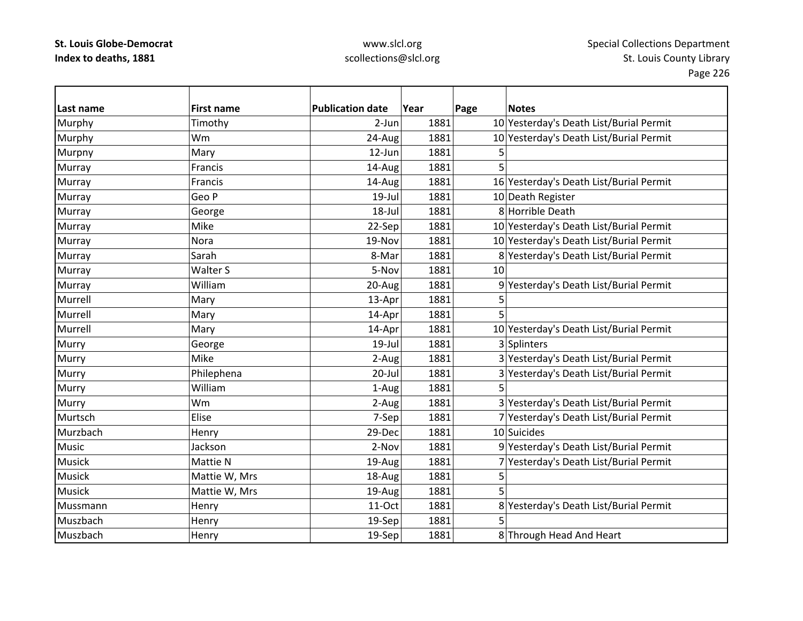## www.slcl.org scollections@slcl.org

 $\overline{\phantom{a}}$ 

| Last name     | <b>First name</b> | <b>Publication date</b> | Year | Page | <b>Notes</b>                            |
|---------------|-------------------|-------------------------|------|------|-----------------------------------------|
| Murphy        | Timothy           | $2-Jun$                 | 1881 |      | 10 Yesterday's Death List/Burial Permit |
| Murphy        | Wm                | 24-Aug                  | 1881 |      | 10 Yesterday's Death List/Burial Permit |
| Murpny        | Mary              | 12-Jun                  | 1881 | 5    |                                         |
| Murray        | Francis           | 14-Aug                  | 1881 | 5    |                                         |
| Murray        | Francis           | 14-Aug                  | 1881 |      | 16 Yesterday's Death List/Burial Permit |
| Murray        | Geo P             | $19$ -Jul               | 1881 |      | 10 Death Register                       |
| Murray        | George            | $18 -$ Jul              | 1881 |      | 8 Horrible Death                        |
| Murray        | Mike              | 22-Sep                  | 1881 |      | 10 Yesterday's Death List/Burial Permit |
| Murray        | Nora              | 19-Nov                  | 1881 |      | 10 Yesterday's Death List/Burial Permit |
| Murray        | Sarah             | 8-Mar                   | 1881 |      | 8 Yesterday's Death List/Burial Permit  |
| Murray        | Walter S          | 5-Nov                   | 1881 | 10   |                                         |
| Murray        | William           | 20-Aug                  | 1881 |      | 9 Yesterday's Death List/Burial Permit  |
| Murrell       | Mary              | 13-Apr                  | 1881 | 5    |                                         |
| Murrell       | Mary              | 14-Apr                  | 1881 | 5    |                                         |
| Murrell       | Mary              | 14-Apr                  | 1881 |      | 10 Yesterday's Death List/Burial Permit |
| Murry         | George            | $19$ -Jul               | 1881 |      | 3 Splinters                             |
| Murry         | Mike              | 2-Aug                   | 1881 |      | 3 Yesterday's Death List/Burial Permit  |
| Murry         | Philephena        | 20-Jul                  | 1881 |      | 3 Yesterday's Death List/Burial Permit  |
| Murry         | William           | 1-Aug                   | 1881 | 5    |                                         |
| Murry         | Wm                | 2-Aug                   | 1881 |      | 3 Yesterday's Death List/Burial Permit  |
| Murtsch       | Elise             | 7-Sep                   | 1881 |      | 7 Yesterday's Death List/Burial Permit  |
| Murzbach      | Henry             | 29-Dec                  | 1881 |      | 10 Suicides                             |
| Music         | Jackson           | 2-Nov                   | 1881 |      | 9 Yesterday's Death List/Burial Permit  |
| <b>Musick</b> | Mattie N          | 19-Aug                  | 1881 |      | 7 Yesterday's Death List/Burial Permit  |
| <b>Musick</b> | Mattie W, Mrs     | 18-Aug                  | 1881 | 5    |                                         |
| <b>Musick</b> | Mattie W, Mrs     | 19-Aug                  | 1881 | 5    |                                         |
| Mussmann      | Henry             | 11-Oct                  | 1881 |      | 8 Yesterday's Death List/Burial Permit  |
| Muszbach      | Henry             | 19-Sep                  | 1881 |      |                                         |
| Muszbach      | Henry             | 19-Sep                  | 1881 |      | 8 Through Head And Heart                |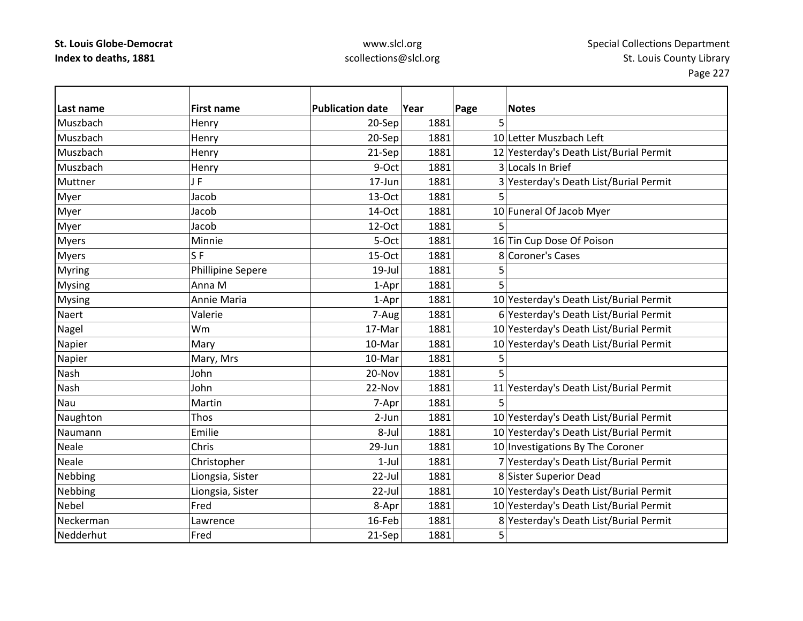| Last name     | <b>First name</b> | <b>Publication date</b> | Year | Page<br><b>Notes</b>                    |
|---------------|-------------------|-------------------------|------|-----------------------------------------|
| Muszbach      | Henry             | 20-Sep                  | 1881 | 5                                       |
| Muszbach      | Henry             | 20-Sep                  | 1881 | 10 Letter Muszbach Left                 |
| Muszbach      | Henry             | 21-Sep                  | 1881 | 12 Yesterday's Death List/Burial Permit |
| Muszbach      | Henry             | 9-Oct                   | 1881 | 3 Locals In Brief                       |
| Muttner       | JF                | 17-Jun                  | 1881 | 3 Yesterday's Death List/Burial Permit  |
| Myer          | Jacob             | 13-Oct                  | 1881 | 5                                       |
| Myer          | Jacob             | 14-Oct                  | 1881 | 10 Funeral Of Jacob Myer                |
| Myer          | Jacob             | 12-Oct                  | 1881 | 5                                       |
| <b>Myers</b>  | Minnie            | 5-Oct                   | 1881 | 16 Tin Cup Dose Of Poison               |
| <b>Myers</b>  | S <sub>F</sub>    | 15-Oct                  | 1881 | 8 Coroner's Cases                       |
| Myring        | Phillipine Sepere | $19$ -Jul               | 1881 | 5                                       |
| <b>Mysing</b> | Anna M            | 1-Apr                   | 1881 | 5                                       |
| <b>Mysing</b> | Annie Maria       | 1-Apr                   | 1881 | 10 Yesterday's Death List/Burial Permit |
| Naert         | Valerie           | 7-Aug                   | 1881 | 6 Yesterday's Death List/Burial Permit  |
| Nagel         | Wm                | 17-Mar                  | 1881 | 10 Yesterday's Death List/Burial Permit |
| Napier        | Mary              | 10-Mar                  | 1881 | 10 Yesterday's Death List/Burial Permit |
| Napier        | Mary, Mrs         | 10-Mar                  | 1881 | 5                                       |
| Nash          | John              | 20-Nov                  | 1881 | 5                                       |
| Nash          | John              | 22-Nov                  | 1881 | 11 Yesterday's Death List/Burial Permit |
| Nau           | Martin            | 7-Apr                   | 1881 | 5                                       |
| Naughton      | Thos              | 2-Jun                   | 1881 | 10 Yesterday's Death List/Burial Permit |
| Naumann       | Emilie            | 8-Jul                   | 1881 | 10 Yesterday's Death List/Burial Permit |
| Neale         | Chris             | 29-Jun                  | 1881 | 10 Investigations By The Coroner        |
| Neale         | Christopher       | $1-Jul$                 | 1881 | 7 Yesterday's Death List/Burial Permit  |
| Nebbing       | Liongsia, Sister  | 22-Jul                  | 1881 | 8 Sister Superior Dead                  |
| Nebbing       | Liongsia, Sister  | 22-Jul                  | 1881 | 10 Yesterday's Death List/Burial Permit |
| <b>Nebel</b>  | Fred              | 8-Apr                   | 1881 | 10 Yesterday's Death List/Burial Permit |
| Neckerman     | Lawrence          | 16-Feb                  | 1881 | 8 Yesterday's Death List/Burial Permit  |
| Nedderhut     | Fred              | 21-Sep                  | 1881 | 5                                       |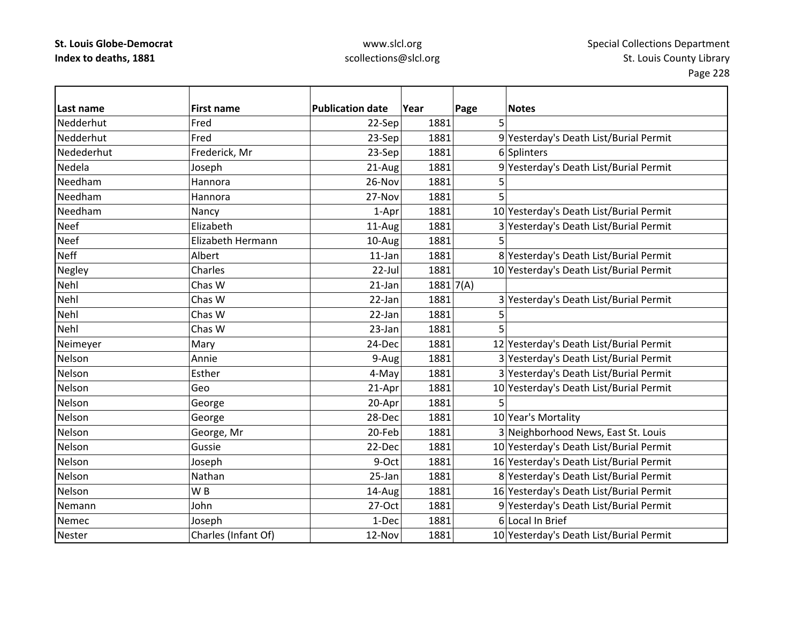| Last name     | <b>First name</b>   | <b>Publication date</b> | Year | Page        | <b>Notes</b>                            |
|---------------|---------------------|-------------------------|------|-------------|-----------------------------------------|
| Nedderhut     | Fred                | 22-Sep                  | 1881 | 5           |                                         |
| Nedderhut     | Fred                | 23-Sep                  | 1881 |             | 9 Yesterday's Death List/Burial Permit  |
| Nedederhut    | Frederick, Mr       | 23-Sep                  | 1881 |             | 6 Splinters                             |
| Nedela        | Joseph              | 21-Aug                  | 1881 |             | 9 Yesterday's Death List/Burial Permit  |
| Needham       | Hannora             | 26-Nov                  | 1881 | 5           |                                         |
| Needham       | Hannora             | 27-Nov                  | 1881 | 5           |                                         |
| Needham       | Nancy               | 1-Apr                   | 1881 |             | 10 Yesterday's Death List/Burial Permit |
| <b>Neef</b>   | Elizabeth           | 11-Aug                  | 1881 |             | 3 Yesterday's Death List/Burial Permit  |
| <b>Neef</b>   | Elizabeth Hermann   | 10-Aug                  | 1881 | 5           |                                         |
| <b>Neff</b>   | Albert              | $11$ -Jan               | 1881 |             | 8 Yesterday's Death List/Burial Permit  |
| Negley        | Charles             | 22-Jul                  | 1881 |             | 10 Yesterday's Death List/Burial Permit |
| Nehl          | Chas W              | $21$ -Jan               |      | 1881   7(A) |                                         |
| Nehl          | Chas W              | 22-Jan                  | 1881 |             | 3 Yesterday's Death List/Burial Permit  |
| Nehl          | Chas W              | 22-Jan                  | 1881 | 5           |                                         |
| Nehl          | Chas W              | 23-Jan                  | 1881 |             |                                         |
| Neimeyer      | Mary                | 24-Dec                  | 1881 |             | 12 Yesterday's Death List/Burial Permit |
| Nelson        | Annie               | 9-Aug                   | 1881 |             | 3 Yesterday's Death List/Burial Permit  |
| Nelson        | Esther              | 4-May                   | 1881 |             | 3 Yesterday's Death List/Burial Permit  |
| Nelson        | Geo                 | 21-Apr                  | 1881 |             | 10 Yesterday's Death List/Burial Permit |
| Nelson        | George              | 20-Apr                  | 1881 | 5           |                                         |
| Nelson        | George              | 28-Dec                  | 1881 |             | 10 Year's Mortality                     |
| Nelson        | George, Mr          | 20-Feb                  | 1881 |             | 3 Neighborhood News, East St. Louis     |
| Nelson        | Gussie              | 22-Dec                  | 1881 |             | 10 Yesterday's Death List/Burial Permit |
| Nelson        | Joseph              | 9-Oct                   | 1881 |             | 16 Yesterday's Death List/Burial Permit |
| Nelson        | Nathan              | 25-Jan                  | 1881 |             | 8 Yesterday's Death List/Burial Permit  |
| Nelson        | W <sub>B</sub>      | 14-Aug                  | 1881 |             | 16 Yesterday's Death List/Burial Permit |
| Nemann        | John                | 27-Oct                  | 1881 |             | 9 Yesterday's Death List/Burial Permit  |
| Nemec         | Joseph              | 1-Dec                   | 1881 |             | 6 Local In Brief                        |
| <b>Nester</b> | Charles (Infant Of) | 12-Nov                  | 1881 |             | 10 Yesterday's Death List/Burial Permit |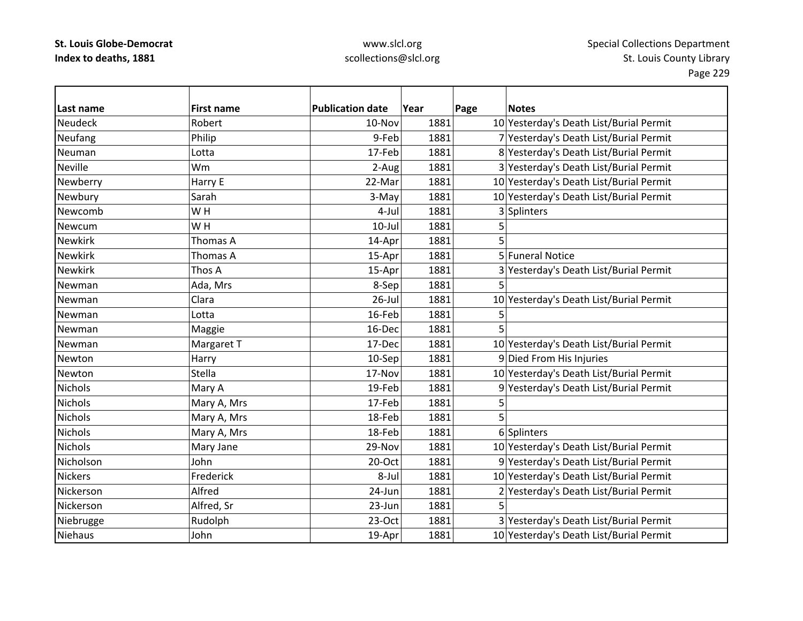## www.slcl.org scollections@slcl.org

 $\overline{\phantom{0}}$ 

| Last name      | <b>First name</b> | <b>Publication date</b> | Year | Page | <b>Notes</b>                            |
|----------------|-------------------|-------------------------|------|------|-----------------------------------------|
| <b>Neudeck</b> | Robert            | 10-Nov                  | 1881 |      | 10 Yesterday's Death List/Burial Permit |
| Neufang        | Philip            | 9-Feb                   | 1881 |      | 7 Yesterday's Death List/Burial Permit  |
| Neuman         | Lotta             | 17-Feb                  | 1881 |      | 8 Yesterday's Death List/Burial Permit  |
| <b>Neville</b> | Wm                | 2-Aug                   | 1881 |      | 3 Yesterday's Death List/Burial Permit  |
| Newberry       | Harry E           | 22-Mar                  | 1881 |      | 10 Yesterday's Death List/Burial Permit |
| Newbury        | Sarah             | 3-May                   | 1881 |      | 10 Yesterday's Death List/Burial Permit |
| Newcomb        | WH                | 4-Jul                   | 1881 |      | 3 Splinters                             |
| Newcum         | WH                | $10$ -Jul               | 1881 | 5    |                                         |
| <b>Newkirk</b> | Thomas A          | 14-Apr                  | 1881 | 5    |                                         |
| <b>Newkirk</b> | Thomas A          | 15-Apr                  | 1881 |      | 5 Funeral Notice                        |
| <b>Newkirk</b> | Thos A            | 15-Apr                  | 1881 |      | 3 Yesterday's Death List/Burial Permit  |
| Newman         | Ada, Mrs          | 8-Sep                   | 1881 | 5    |                                         |
| Newman         | Clara             | $26$ -Jul               | 1881 |      | 10 Yesterday's Death List/Burial Permit |
| Newman         | Lotta             | 16-Feb                  | 1881 |      |                                         |
| Newman         | Maggie            | 16-Dec                  | 1881 |      |                                         |
| Newman         | Margaret T        | 17-Dec                  | 1881 |      | 10 Yesterday's Death List/Burial Permit |
| Newton         | Harry             | 10-Sep                  | 1881 |      | 9 Died From His Injuries                |
| Newton         | <b>Stella</b>     | 17-Nov                  | 1881 |      | 10 Yesterday's Death List/Burial Permit |
| <b>Nichols</b> | Mary A            | 19-Feb                  | 1881 |      | 9 Yesterday's Death List/Burial Permit  |
| <b>Nichols</b> | Mary A, Mrs       | 17-Feb                  | 1881 | 5    |                                         |
| <b>Nichols</b> | Mary A, Mrs       | 18-Feb                  | 1881 | 5    |                                         |
| <b>Nichols</b> | Mary A, Mrs       | 18-Feb                  | 1881 |      | 6 Splinters                             |
| <b>Nichols</b> | Mary Jane         | 29-Nov                  | 1881 |      | 10 Yesterday's Death List/Burial Permit |
| Nicholson      | John              | 20-Oct                  | 1881 |      | 9 Yesterday's Death List/Burial Permit  |
| <b>Nickers</b> | Frederick         | 8-Jul                   | 1881 |      | 10 Yesterday's Death List/Burial Permit |
| Nickerson      | Alfred            | 24-Jun                  | 1881 |      | 2 Yesterday's Death List/Burial Permit  |
| Nickerson      | Alfred, Sr        | 23-Jun                  | 1881 |      |                                         |
| Niebrugge      | Rudolph           | 23-Oct                  | 1881 |      | 3 Yesterday's Death List/Burial Permit  |
| <b>Niehaus</b> | John              | 19-Apr                  | 1881 |      | 10 Yesterday's Death List/Burial Permit |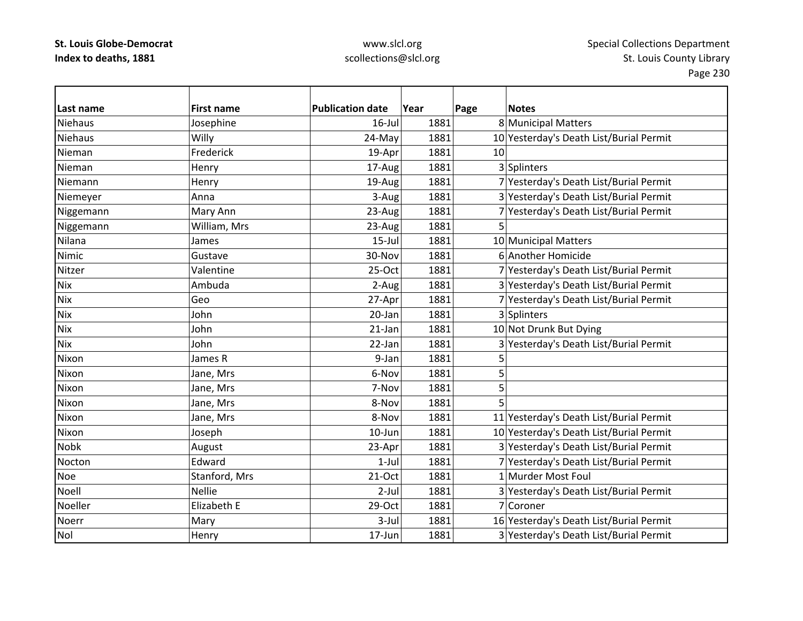| Last name      | <b>First name</b> | <b>Publication date</b> | Year | Page | <b>Notes</b>                            |
|----------------|-------------------|-------------------------|------|------|-----------------------------------------|
| <b>Niehaus</b> | Josephine         | $16$ -Jul               | 1881 |      | 8 Municipal Matters                     |
| <b>Niehaus</b> | Willy             | 24-May                  | 1881 |      | 10 Yesterday's Death List/Burial Permit |
| Nieman         | Frederick         | 19-Apr                  | 1881 | 10   |                                         |
| Nieman         | Henry             | 17-Aug                  | 1881 |      | 3 Splinters                             |
| Niemann        | Henry             | 19-Aug                  | 1881 |      | 7 Yesterday's Death List/Burial Permit  |
| Niemeyer       | Anna              | 3-Aug                   | 1881 |      | 3 Yesterday's Death List/Burial Permit  |
| Niggemann      | Mary Ann          | 23-Aug                  | 1881 |      | 7 Yesterday's Death List/Burial Permit  |
| Niggemann      | William, Mrs      | 23-Aug                  | 1881 |      |                                         |
| Nilana         | James             | $15$ -Jul               | 1881 |      | 10 Municipal Matters                    |
| Nimic          | Gustave           | 30-Nov                  | 1881 |      | 6 Another Homicide                      |
| Nitzer         | Valentine         | 25-Oct                  | 1881 |      | 7 Yesterday's Death List/Burial Permit  |
| <b>Nix</b>     | Ambuda            | 2-Aug                   | 1881 |      | 3 Yesterday's Death List/Burial Permit  |
| <b>Nix</b>     | Geo               | 27-Apr                  | 1881 |      | 7 Yesterday's Death List/Burial Permit  |
| <b>Nix</b>     | John              | 20-Jan                  | 1881 |      | 3 Splinters                             |
| <b>Nix</b>     | John              | $21$ -Jan               | 1881 |      | 10 Not Drunk But Dying                  |
| <b>Nix</b>     | John              | 22-Jan                  | 1881 |      | 3 Yesterday's Death List/Burial Permit  |
| Nixon          | James R           | 9-Jan                   | 1881 | 5    |                                         |
| Nixon          | Jane, Mrs         | 6-Nov                   | 1881 | 5    |                                         |
| Nixon          | Jane, Mrs         | 7-Nov                   | 1881 | 5    |                                         |
| Nixon          | Jane, Mrs         | 8-Nov                   | 1881 |      |                                         |
| Nixon          | Jane, Mrs         | 8-Nov                   | 1881 |      | 11 Yesterday's Death List/Burial Permit |
| Nixon          | Joseph            | 10-Jun                  | 1881 |      | 10 Yesterday's Death List/Burial Permit |
| <b>Nobk</b>    | August            | 23-Apr                  | 1881 |      | 3 Yesterday's Death List/Burial Permit  |
| Nocton         | Edward            | $1-Jul$                 | 1881 |      | 7 Yesterday's Death List/Burial Permit  |
| Noe            | Stanford, Mrs     | 21-Oct                  | 1881 |      | 1 Murder Most Foul                      |
| Noell          | <b>Nellie</b>     | $2$ -Jul                | 1881 |      | 3 Yesterday's Death List/Burial Permit  |
| Noeller        | Elizabeth E       | 29-Oct                  | 1881 |      | 7 Coroner                               |
| Noerr          | Mary              | $3$ -Jul                | 1881 |      | 16 Yesterday's Death List/Burial Permit |
| Nol            | Henry             | 17-Jun                  | 1881 |      | 3 Yesterday's Death List/Burial Permit  |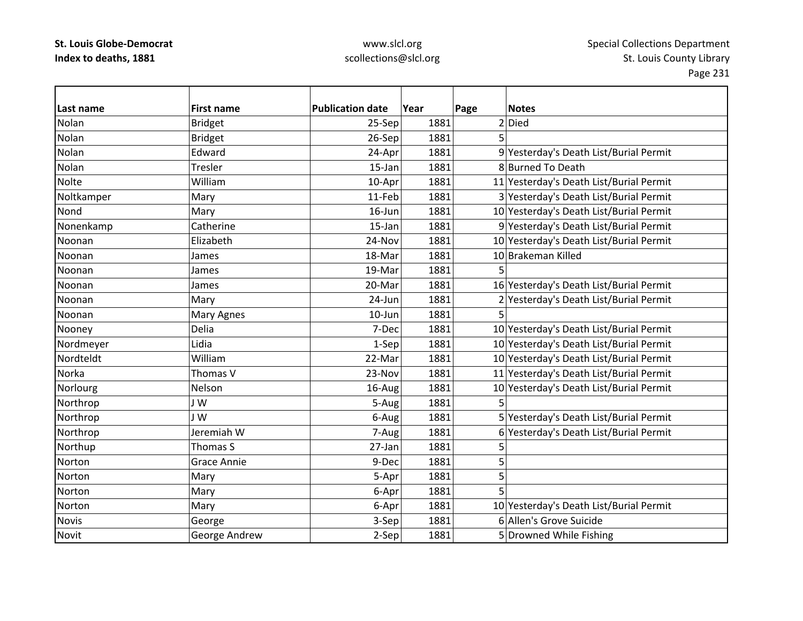| l Last name  | <b>First name</b>  | <b>Publication date</b> | Year | Page | <b>Notes</b>                            |
|--------------|--------------------|-------------------------|------|------|-----------------------------------------|
| Nolan        | <b>Bridget</b>     | 25-Sep                  | 1881 |      | 2 Died                                  |
| Nolan        | <b>Bridget</b>     | 26-Sep                  | 1881 | 5    |                                         |
| Nolan        | Edward             | 24-Apr                  | 1881 |      | 9 Yesterday's Death List/Burial Permit  |
| Nolan        | Tresler            | 15-Jan                  | 1881 |      | 8 Burned To Death                       |
| Nolte        | William            | 10-Apr                  | 1881 |      | 11 Yesterday's Death List/Burial Permit |
| Noltkamper   | Mary               | 11-Feb                  | 1881 |      | 3 Yesterday's Death List/Burial Permit  |
| Nond         | Mary               | 16-Jun                  | 1881 |      | 10 Yesterday's Death List/Burial Permit |
| Nonenkamp    | Catherine          | 15-Jan                  | 1881 |      | 9 Yesterday's Death List/Burial Permit  |
| Noonan       | Elizabeth          | 24-Nov                  | 1881 |      | 10 Yesterday's Death List/Burial Permit |
| Noonan       | James              | 18-Mar                  | 1881 |      | 10 Brakeman Killed                      |
| Noonan       | James              | 19-Mar                  | 1881 | 5    |                                         |
| Noonan       | James              | 20-Mar                  | 1881 |      | 16 Yesterday's Death List/Burial Permit |
| Noonan       | Mary               | 24-Jun                  | 1881 |      | 2 Yesterday's Death List/Burial Permit  |
| Noonan       | Mary Agnes         | $10$ -Jun               | 1881 | 5    |                                         |
| Nooney       | Delia              | 7-Dec                   | 1881 |      | 10 Yesterday's Death List/Burial Permit |
| Nordmeyer    | Lidia              | 1-Sep                   | 1881 |      | 10 Yesterday's Death List/Burial Permit |
| Nordteldt    | William            | 22-Mar                  | 1881 |      | 10 Yesterday's Death List/Burial Permit |
| Norka        | Thomas V           | 23-Nov                  | 1881 |      | 11 Yesterday's Death List/Burial Permit |
| Norlourg     | Nelson             | 16-Aug                  | 1881 |      | 10 Yesterday's Death List/Burial Permit |
| Northrop     | J W                | 5-Aug                   | 1881 | 5    |                                         |
| Northrop     | J W                | 6-Aug                   | 1881 |      | 5 Yesterday's Death List/Burial Permit  |
| Northrop     | Jeremiah W         | 7-Aug                   | 1881 |      | 6 Yesterday's Death List/Burial Permit  |
| Northup      | Thomas S           | 27-Jan                  | 1881 | 5    |                                         |
| Norton       | <b>Grace Annie</b> | 9-Dec                   | 1881 | 5    |                                         |
| Norton       | Mary               | 5-Apr                   | 1881 | 5    |                                         |
| Norton       | Mary               | 6-Apr                   | 1881 | 5    |                                         |
| Norton       | Mary               | 6-Apr                   | 1881 |      | 10 Yesterday's Death List/Burial Permit |
| <b>Novis</b> | George             | 3-Sep                   | 1881 |      | 6 Allen's Grove Suicide                 |
| <b>Novit</b> | George Andrew      | 2-Sep                   | 1881 |      | 5 Drowned While Fishing                 |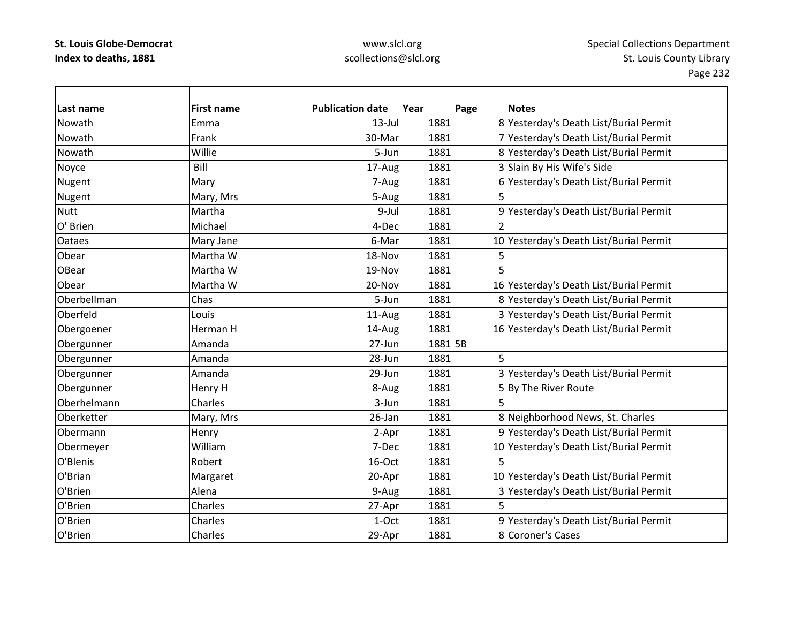| Last name     | <b>First name</b> | <b>Publication date</b> | Year    | Page | <b>Notes</b>                            |
|---------------|-------------------|-------------------------|---------|------|-----------------------------------------|
| Nowath        | Emma              | $13$ -Jul               | 1881    |      | 8 Yesterday's Death List/Burial Permit  |
| Nowath        | Frank             | 30-Mar                  | 1881    |      | 7 Yesterday's Death List/Burial Permit  |
| Nowath        | Willie            | 5-Jun                   | 1881    |      | 8 Yesterday's Death List/Burial Permit  |
| Noyce         | Bill              | 17-Aug                  | 1881    |      | 3 Slain By His Wife's Side              |
| Nugent        | Mary              | 7-Aug                   | 1881    |      | 6 Yesterday's Death List/Burial Permit  |
| Nugent        | Mary, Mrs         | 5-Aug                   | 1881    | 5    |                                         |
| <b>Nutt</b>   | Martha            | 9-Jul                   | 1881    |      | 9 Yesterday's Death List/Burial Permit  |
| O' Brien      | Michael           | 4-Dec                   | 1881    |      |                                         |
| <b>Oataes</b> | Mary Jane         | 6-Mar                   | 1881    |      | 10 Yesterday's Death List/Burial Permit |
| Obear         | Martha W          | 18-Nov                  | 1881    | 5    |                                         |
| OBear         | Martha W          | 19-Nov                  | 1881    | 5    |                                         |
| Obear         | Martha W          | 20-Nov                  | 1881    |      | 16 Yesterday's Death List/Burial Permit |
| Oberbellman   | Chas              | 5-Jun                   | 1881    |      | 8 Yesterday's Death List/Burial Permit  |
| Oberfeld      | Louis             | 11-Aug                  | 1881    |      | 3 Yesterday's Death List/Burial Permit  |
| Obergoener    | Herman H          | 14-Aug                  | 1881    |      | 16 Yesterday's Death List/Burial Permit |
| Obergunner    | Amanda            | 27-Jun                  | 1881 5B |      |                                         |
| Obergunner    | Amanda            | 28-Jun                  | 1881    | 5    |                                         |
| Obergunner    | Amanda            | 29-Jun                  | 1881    |      | 3 Yesterday's Death List/Burial Permit  |
| Obergunner    | Henry H           | 8-Aug                   | 1881    |      | 5 By The River Route                    |
| Oberhelmann   | Charles           | 3-Jun                   | 1881    | 5    |                                         |
| Oberketter    | Mary, Mrs         | 26-Jan                  | 1881    |      | 8 Neighborhood News, St. Charles        |
| Obermann      | Henry             | 2-Apr                   | 1881    |      | 9 Yesterday's Death List/Burial Permit  |
| Obermeyer     | William           | 7-Dec                   | 1881    |      | 10 Yesterday's Death List/Burial Permit |
| O'Blenis      | Robert            | 16-Oct                  | 1881    | 5    |                                         |
| O'Brian       | Margaret          | 20-Apr                  | 1881    |      | 10 Yesterday's Death List/Burial Permit |
| O'Brien       | Alena             | 9-Aug                   | 1881    |      | 3 Yesterday's Death List/Burial Permit  |
| O'Brien       | Charles           | 27-Apr                  | 1881    |      |                                         |
| O'Brien       | Charles           | 1-Oct                   | 1881    |      | 9 Yesterday's Death List/Burial Permit  |
| O'Brien       | Charles           | 29-Apr                  | 1881    |      | 8 Coroner's Cases                       |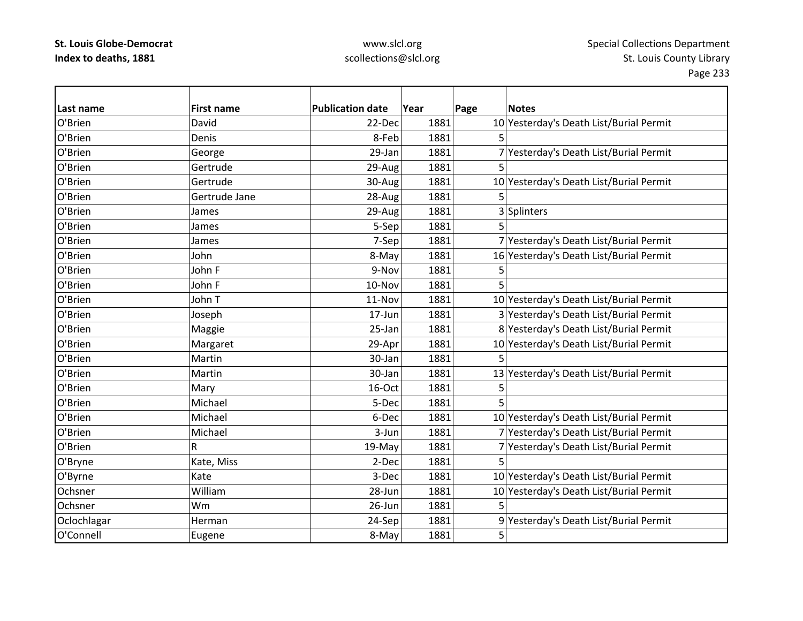## www.slcl.org scollections@slcl.org

 $\overline{\phantom{a}}$ 

| Last name   | <b>First name</b> | <b>Publication date</b> | Year | Page | <b>Notes</b>                            |
|-------------|-------------------|-------------------------|------|------|-----------------------------------------|
| O'Brien     | David             | 22-Dec                  | 1881 |      | 10 Yesterday's Death List/Burial Permit |
| O'Brien     | Denis             | 8-Feb                   | 1881 | 5    |                                         |
| O'Brien     | George            | 29-Jan                  | 1881 |      | 7 Yesterday's Death List/Burial Permit  |
| O'Brien     | Gertrude          | 29-Aug                  | 1881 |      |                                         |
| O'Brien     | Gertrude          | 30-Aug                  | 1881 |      | 10 Yesterday's Death List/Burial Permit |
| O'Brien     | Gertrude Jane     | 28-Aug                  | 1881 | 5    |                                         |
| O'Brien     | James             | 29-Aug                  | 1881 |      | 3 Splinters                             |
| O'Brien     | James             | 5-Sep                   | 1881 |      |                                         |
| O'Brien     | James             | 7-Sep                   | 1881 |      | 7 Yesterday's Death List/Burial Permit  |
| O'Brien     | John              | 8-May                   | 1881 |      | 16 Yesterday's Death List/Burial Permit |
| O'Brien     | John F            | 9-Nov                   | 1881 | 5    |                                         |
| O'Brien     | John F            | 10-Nov                  | 1881 | 5    |                                         |
| O'Brien     | John T            | 11-Nov                  | 1881 |      | 10 Yesterday's Death List/Burial Permit |
| O'Brien     | Joseph            | 17-Jun                  | 1881 |      | 3 Yesterday's Death List/Burial Permit  |
| O'Brien     | Maggie            | 25-Jan                  | 1881 |      | 8 Yesterday's Death List/Burial Permit  |
| O'Brien     | Margaret          | 29-Apr                  | 1881 |      | 10 Yesterday's Death List/Burial Permit |
| O'Brien     | Martin            | 30-Jan                  | 1881 | 5    |                                         |
| O'Brien     | Martin            | 30-Jan                  | 1881 |      | 13 Yesterday's Death List/Burial Permit |
| O'Brien     | Mary              | 16-Oct                  | 1881 | 5    |                                         |
| O'Brien     | Michael           | 5-Dec                   | 1881 |      |                                         |
| O'Brien     | Michael           | 6-Dec                   | 1881 |      | 10 Yesterday's Death List/Burial Permit |
| O'Brien     | Michael           | 3-Jun                   | 1881 |      | 7 Yesterday's Death List/Burial Permit  |
| O'Brien     | R                 | 19-May                  | 1881 |      | 7 Yesterday's Death List/Burial Permit  |
| O'Bryne     | Kate, Miss        | 2-Dec                   | 1881 | 5    |                                         |
| O'Byrne     | Kate              | 3-Dec                   | 1881 |      | 10 Yesterday's Death List/Burial Permit |
| Ochsner     | William           | 28-Jun                  | 1881 |      | 10 Yesterday's Death List/Burial Permit |
| Ochsner     | Wm                | 26-Jun                  | 1881 |      |                                         |
| Oclochlagar | Herman            | 24-Sep                  | 1881 |      | 9 Yesterday's Death List/Burial Permit  |
| O'Connell   | Eugene            | 8-May                   | 1881 | 5    |                                         |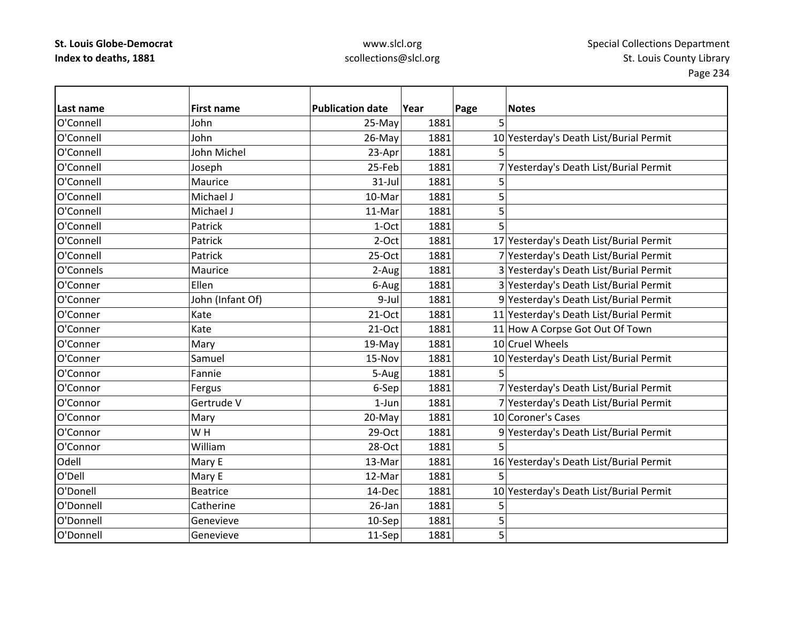| Last name | <b>First name</b> | <b>Publication date</b> | Year | Page | <b>Notes</b>                            |
|-----------|-------------------|-------------------------|------|------|-----------------------------------------|
| O'Connell | John              | 25-May                  | 1881 | 5    |                                         |
| O'Connell | John              | 26-May                  | 1881 |      | 10 Yesterday's Death List/Burial Permit |
| O'Connell | John Michel       | 23-Apr                  | 1881 |      |                                         |
| O'Connell | Joseph            | 25-Feb                  | 1881 |      | 7 Yesterday's Death List/Burial Permit  |
| O'Connell | Maurice           | $31$ -Jul               | 1881 | 5    |                                         |
| O'Connell | Michael J         | 10-Mar                  | 1881 | 5    |                                         |
| O'Connell | Michael J         | 11-Mar                  | 1881 | 5    |                                         |
| O'Connell | Patrick           | 1-Oct                   | 1881 | 5    |                                         |
| O'Connell | Patrick           | $2-Oct$                 | 1881 |      | 17 Yesterday's Death List/Burial Permit |
| O'Connell | Patrick           | 25-Oct                  | 1881 |      | 7 Yesterday's Death List/Burial Permit  |
| O'Connels | Maurice           | 2-Aug                   | 1881 |      | 3 Yesterday's Death List/Burial Permit  |
| O'Conner  | Ellen             | 6-Aug                   | 1881 |      | 3 Yesterday's Death List/Burial Permit  |
| O'Conner  | John (Infant Of)  | 9-Jul                   | 1881 |      | 9 Yesterday's Death List/Burial Permit  |
| O'Conner  | Kate              | $21-Oct$                | 1881 |      | 11 Yesterday's Death List/Burial Permit |
| O'Conner  | Kate              | $21-Oct$                | 1881 |      | 11 How A Corpse Got Out Of Town         |
| O'Conner  | Mary              | 19-May                  | 1881 |      | 10 Cruel Wheels                         |
| O'Conner  | Samuel            | 15-Nov                  | 1881 |      | 10 Yesterday's Death List/Burial Permit |
| O'Connor  | Fannie            | 5-Aug                   | 1881 |      |                                         |
| O'Connor  | Fergus            | 6-Sep                   | 1881 |      | 7 Yesterday's Death List/Burial Permit  |
| O'Connor  | Gertrude V        | $1-Jun$                 | 1881 |      | 7 Yesterday's Death List/Burial Permit  |
| O'Connor  | Mary              | 20-May                  | 1881 |      | 10 Coroner's Cases                      |
| O'Connor  | WH                | $29-Oct$                | 1881 |      | 9 Yesterday's Death List/Burial Permit  |
| O'Connor  | William           | 28-Oct                  | 1881 | 5    |                                         |
| Odell     | Mary E            | 13-Mar                  | 1881 |      | 16 Yesterday's Death List/Burial Permit |
| O'Dell    | Mary E            | 12-Mar                  | 1881 | 5    |                                         |
| O'Donell  | <b>Beatrice</b>   | 14-Dec                  | 1881 |      | 10 Yesterday's Death List/Burial Permit |
| O'Donnell | Catherine         | 26-Jan                  | 1881 | 5    |                                         |
| O'Donnell | Genevieve         | 10-Sep                  | 1881 | 5    |                                         |
| O'Donnell | Genevieve         | 11-Sep                  | 1881 | 5    |                                         |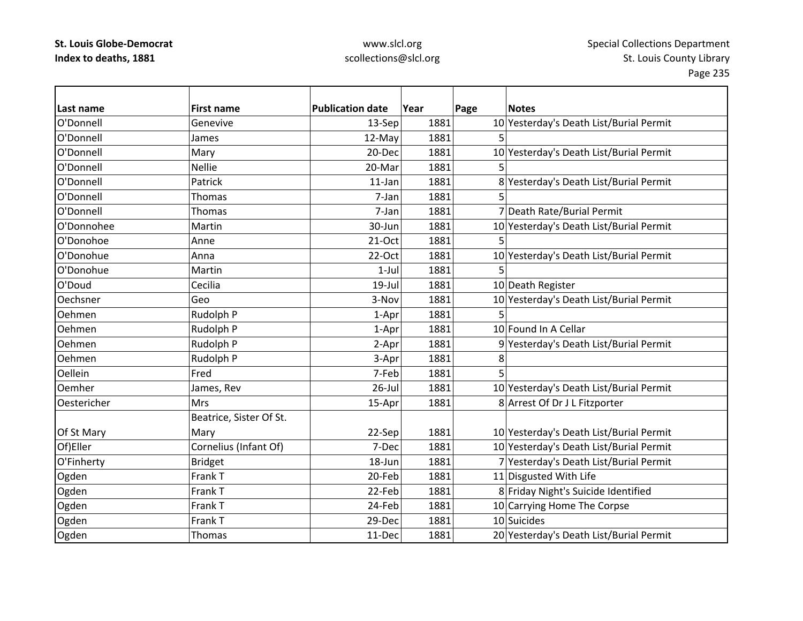## www.slcl.org scollections@slcl.org

 $\overline{\phantom{0}}$ 

| Last name   | <b>First name</b>       | <b>Publication date</b> | Year | Page | <b>Notes</b>                            |
|-------------|-------------------------|-------------------------|------|------|-----------------------------------------|
| O'Donnell   | Genevive                | 13-Sep                  | 1881 |      | 10 Yesterday's Death List/Burial Permit |
| O'Donnell   | James                   | 12-May                  | 1881 | 5    |                                         |
| O'Donnell   | Mary                    | 20-Dec                  | 1881 |      | 10 Yesterday's Death List/Burial Permit |
| O'Donnell   | <b>Nellie</b>           | 20-Mar                  | 1881 |      |                                         |
| O'Donnell   | Patrick                 | 11-Jan                  | 1881 |      | 8 Yesterday's Death List/Burial Permit  |
| O'Donnell   | Thomas                  | 7-Jan                   | 1881 | 5    |                                         |
| O'Donnell   | Thomas                  | 7-Jan                   | 1881 |      | 7 Death Rate/Burial Permit              |
| O'Donnohee  | Martin                  | 30-Jun                  | 1881 |      | 10 Yesterday's Death List/Burial Permit |
| O'Donohoe   | Anne                    | $21-Oct$                | 1881 | 5    |                                         |
| O'Donohue   | Anna                    | 22-Oct                  | 1881 |      | 10 Yesterday's Death List/Burial Permit |
| O'Donohue   | Martin                  | $1-Jul$                 | 1881 | 5    |                                         |
| O'Doud      | Cecilia                 | 19-Jul                  | 1881 |      | 10 Death Register                       |
| Oechsner    | Geo                     | 3-Nov                   | 1881 |      | 10 Yesterday's Death List/Burial Permit |
| Oehmen      | Rudolph P               | 1-Apr                   | 1881 | 5    |                                         |
| Oehmen      | Rudolph P               | 1-Apr                   | 1881 |      | 10 Found In A Cellar                    |
| Oehmen      | Rudolph P               | 2-Apr                   | 1881 |      | 9 Yesterday's Death List/Burial Permit  |
| Oehmen      | Rudolph P               | 3-Apr                   | 1881 | 8    |                                         |
| Oellein     | Fred                    | 7-Feb                   | 1881 |      |                                         |
| Oemher      | James, Rev              | $26$ -Jul               | 1881 |      | 10 Yesterday's Death List/Burial Permit |
| Oestericher | Mrs                     | 15-Apr                  | 1881 |      | 8 Arrest Of Dr J L Fitzporter           |
|             | Beatrice, Sister Of St. |                         |      |      |                                         |
| Of St Mary  | Mary                    | 22-Sep                  | 1881 |      | 10 Yesterday's Death List/Burial Permit |
| Of)Eller    | Cornelius (Infant Of)   | 7-Dec                   | 1881 |      | 10 Yesterday's Death List/Burial Permit |
| O'Finherty  | <b>Bridget</b>          | 18-Jun                  | 1881 |      | 7 Yesterday's Death List/Burial Permit  |
| Ogden       | Frank T                 | 20-Feb                  | 1881 |      | 11 Disgusted With Life                  |
| Ogden       | Frank T                 | 22-Feb                  | 1881 |      | 8 Friday Night's Suicide Identified     |
| Ogden       | Frank T                 | 24-Feb                  | 1881 |      | 10 Carrying Home The Corpse             |
| Ogden       | Frank T                 | 29-Dec                  | 1881 |      | 10 Suicides                             |
| Ogden       | Thomas                  | 11-Dec                  | 1881 |      | 20 Yesterday's Death List/Burial Permit |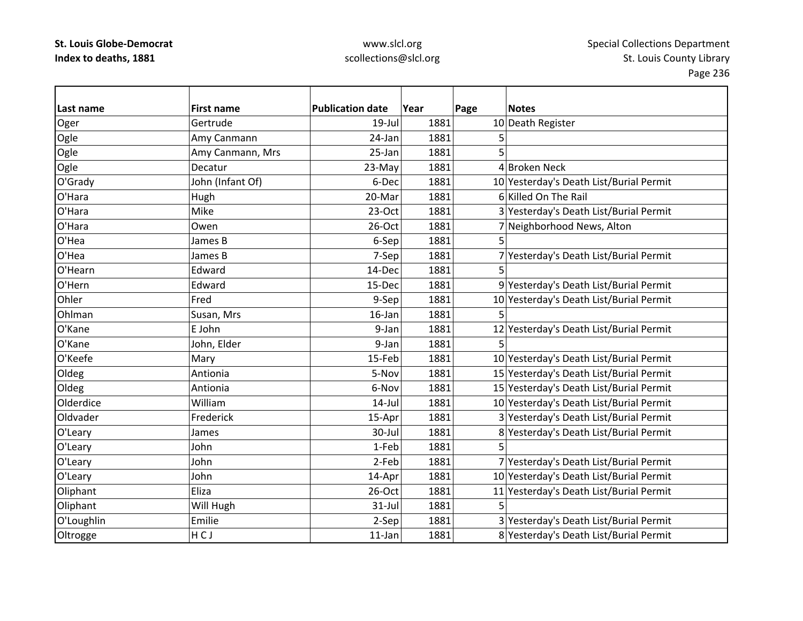| Last name  | <b>First name</b> | <b>Publication date</b> | Year | Page | <b>Notes</b>                            |
|------------|-------------------|-------------------------|------|------|-----------------------------------------|
| Oger       | Gertrude          | $19$ -Jul               | 1881 |      | 10 Death Register                       |
| Ogle       | Amy Canmann       | 24-Jan                  | 1881 | 5    |                                         |
| Ogle       | Amy Canmann, Mrs  | 25-Jan                  | 1881 | 5    |                                         |
| Ogle       | Decatur           | 23-May                  | 1881 |      | 4 Broken Neck                           |
| O'Grady    | John (Infant Of)  | 6-Dec                   | 1881 |      | 10 Yesterday's Death List/Burial Permit |
| O'Hara     | Hugh              | 20-Mar                  | 1881 |      | 6 Killed On The Rail                    |
| O'Hara     | Mike              | $23-Oct$                | 1881 |      | 3 Yesterday's Death List/Burial Permit  |
| O'Hara     | Owen              | 26-Oct                  | 1881 |      | 7 Neighborhood News, Alton              |
| O'Hea      | James B           | 6-Sep                   | 1881 | 5    |                                         |
| O'Hea      | James B           | 7-Sep                   | 1881 |      | 7 Yesterday's Death List/Burial Permit  |
| O'Hearn    | Edward            | 14-Dec                  | 1881 | 5    |                                         |
| O'Hern     | Edward            | 15-Dec                  | 1881 |      | 9 Yesterday's Death List/Burial Permit  |
| Ohler      | Fred              | 9-Sep                   | 1881 |      | 10 Yesterday's Death List/Burial Permit |
| Ohlman     | Susan, Mrs        | 16-Jan                  | 1881 | 5    |                                         |
| O'Kane     | E John            | 9-Jan                   | 1881 |      | 12 Yesterday's Death List/Burial Permit |
| O'Kane     | John, Elder       | 9-Jan                   | 1881 | 5    |                                         |
| O'Keefe    | Mary              | 15-Feb                  | 1881 |      | 10 Yesterday's Death List/Burial Permit |
| Oldeg      | Antionia          | 5-Nov                   | 1881 |      | 15 Yesterday's Death List/Burial Permit |
| Oldeg      | Antionia          | 6-Nov                   | 1881 |      | 15 Yesterday's Death List/Burial Permit |
| Olderdice  | William           | $14$ -Jul               | 1881 |      | 10 Yesterday's Death List/Burial Permit |
| Oldvader   | Frederick         | 15-Apr                  | 1881 |      | 3 Yesterday's Death List/Burial Permit  |
| O'Leary    | James             | 30-Jul                  | 1881 |      | 8 Yesterday's Death List/Burial Permit  |
| O'Leary    | John              | 1-Feb                   | 1881 |      |                                         |
| O'Leary    | John              | 2-Feb                   | 1881 |      | 7 Yesterday's Death List/Burial Permit  |
| O'Leary    | John              | 14-Apr                  | 1881 |      | 10 Yesterday's Death List/Burial Permit |
| Oliphant   | Eliza             | 26-Oct                  | 1881 |      | 11 Yesterday's Death List/Burial Permit |
| Oliphant   | Will Hugh         | $31$ -Jul               | 1881 |      |                                         |
| O'Loughlin | Emilie            | 2-Sep                   | 1881 |      | 3 Yesterday's Death List/Burial Permit  |
| Oltrogge   | HCJ               | $11$ -Jan               | 1881 |      | 8 Yesterday's Death List/Burial Permit  |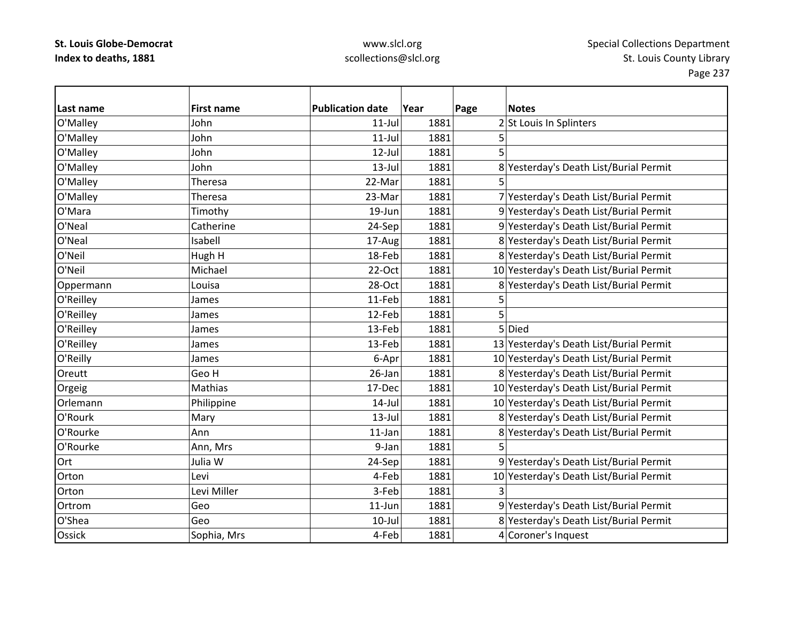## www.slcl.org scollections@slcl.org

 $\overline{\phantom{a}}$ 

| Last name     | <b>First name</b> | <b>Publication date</b> | Year | Page | <b>Notes</b>                            |
|---------------|-------------------|-------------------------|------|------|-----------------------------------------|
| O'Malley      | John              | $11$ -Jul               | 1881 |      | 2 St Louis In Splinters                 |
| O'Malley      | John              | $11$ -Jul               | 1881 | 5    |                                         |
| O'Malley      | John              | 12-Jul                  | 1881 | 5    |                                         |
| O'Malley      | John              | $13$ -Jul               | 1881 |      | 8 Yesterday's Death List/Burial Permit  |
| O'Malley      | Theresa           | 22-Mar                  | 1881 |      |                                         |
| O'Malley      | Theresa           | 23-Mar                  | 1881 |      | 7 Yesterday's Death List/Burial Permit  |
| O'Mara        | Timothy           | 19-Jun                  | 1881 |      | 9 Yesterday's Death List/Burial Permit  |
| O'Neal        | Catherine         | 24-Sep                  | 1881 |      | 9 Yesterday's Death List/Burial Permit  |
| O'Neal        | Isabell           | 17-Aug                  | 1881 |      | 8 Yesterday's Death List/Burial Permit  |
| O'Neil        | Hugh H            | 18-Feb                  | 1881 |      | 8 Yesterday's Death List/Burial Permit  |
| O'Neil        | Michael           | 22-Oct                  | 1881 |      | 10 Yesterday's Death List/Burial Permit |
| Oppermann     | Louisa            | 28-Oct                  | 1881 |      | 8 Yesterday's Death List/Burial Permit  |
| O'Reilley     | James             | 11-Feb                  | 1881 | 5    |                                         |
| O'Reilley     | James             | 12-Feb                  | 1881 | 5    |                                         |
| O'Reilley     | James             | 13-Feb                  | 1881 |      | 5 Died                                  |
| O'Reilley     | James             | 13-Feb                  | 1881 |      | 13 Yesterday's Death List/Burial Permit |
| O'Reilly      | James             | 6-Apr                   | 1881 |      | 10 Yesterday's Death List/Burial Permit |
| Oreutt        | Geo H             | 26-Jan                  | 1881 |      | 8 Yesterday's Death List/Burial Permit  |
| Orgeig        | Mathias           | 17-Dec                  | 1881 |      | 10 Yesterday's Death List/Burial Permit |
| Orlemann      | Philippine        | $14$ -Jul               | 1881 |      | 10 Yesterday's Death List/Burial Permit |
| O'Rourk       | Mary              | $13$ -Jul               | 1881 |      | 8 Yesterday's Death List/Burial Permit  |
| O'Rourke      | Ann               | 11-Jan                  | 1881 |      | 8 Yesterday's Death List/Burial Permit  |
| O'Rourke      | Ann, Mrs          | 9-Jan                   | 1881 |      |                                         |
| Ort           | Julia W           | 24-Sep                  | 1881 |      | 9 Yesterday's Death List/Burial Permit  |
| Orton         | Levi              | 4-Feb                   | 1881 |      | 10 Yesterday's Death List/Burial Permit |
| Orton         | Levi Miller       | 3-Feb                   | 1881 | 3    |                                         |
| Ortrom        | Geo               | $11$ -Jun               | 1881 |      | 9 Yesterday's Death List/Burial Permit  |
| O'Shea        | Geo               | $10$ -Jul               | 1881 |      | 8 Yesterday's Death List/Burial Permit  |
| <b>Ossick</b> | Sophia, Mrs       | 4-Feb                   | 1881 |      | 4 Coroner's Inquest                     |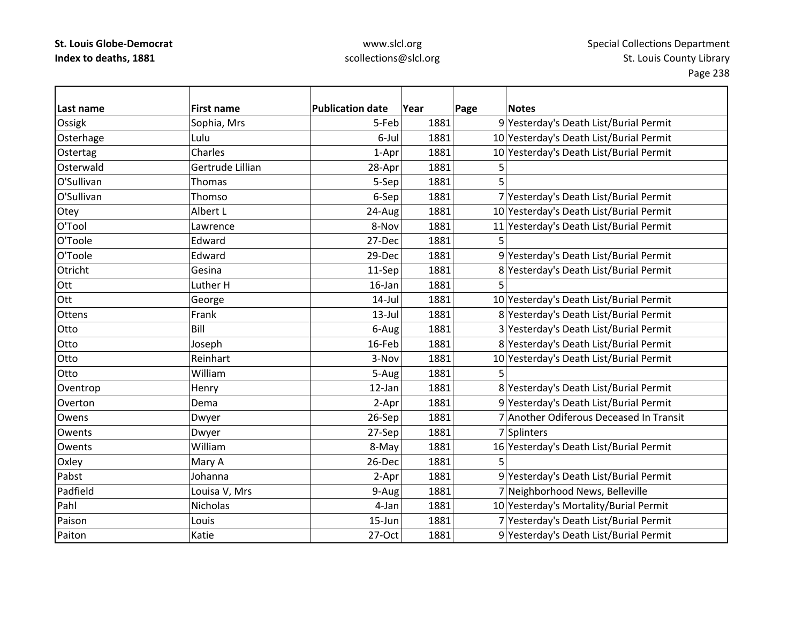| Last name  | <b>First name</b> | <b>Publication date</b> | Year | <b>Notes</b><br>Page                    |
|------------|-------------------|-------------------------|------|-----------------------------------------|
| Ossigk     | Sophia, Mrs       | 5-Feb                   | 1881 | 9 Yesterday's Death List/Burial Permit  |
| Osterhage  | Lulu              | 6-Jul                   | 1881 | 10 Yesterday's Death List/Burial Permit |
| Ostertag   | Charles           | 1-Apr                   | 1881 | 10 Yesterday's Death List/Burial Permit |
| Osterwald  | Gertrude Lillian  | 28-Apr                  | 1881 | 5                                       |
| O'Sullivan | Thomas            | 5-Sep                   | 1881 | 5                                       |
| O'Sullivan | Thomso            | 6-Sep                   | 1881 | 7 Yesterday's Death List/Burial Permit  |
| Otey       | Albert L          | 24-Aug                  | 1881 | 10 Yesterday's Death List/Burial Permit |
| O'Tool     | Lawrence          | 8-Nov                   | 1881 | 11 Yesterday's Death List/Burial Permit |
| O'Toole    | Edward            | 27-Dec                  | 1881 |                                         |
| O'Toole    | Edward            | 29-Dec                  | 1881 | 9 Yesterday's Death List/Burial Permit  |
| Otricht    | Gesina            | 11-Sep                  | 1881 | 8 Yesterday's Death List/Burial Permit  |
| Ott        | Luther H          | $16$ -Jan               | 1881 | 5                                       |
| Ott        | George            | 14-Jul                  | 1881 | 10 Yesterday's Death List/Burial Permit |
| Ottens     | Frank             | $13$ -Jul               | 1881 | 8 Yesterday's Death List/Burial Permit  |
| Otto       | Bill              | 6-Aug                   | 1881 | 3 Yesterday's Death List/Burial Permit  |
| Otto       | Joseph            | 16-Feb                  | 1881 | 8 Yesterday's Death List/Burial Permit  |
| Otto       | Reinhart          | 3-Nov                   | 1881 | 10 Yesterday's Death List/Burial Permit |
| Otto       | William           | 5-Aug                   | 1881 | 5                                       |
| Oventrop   | Henry             | 12-Jan                  | 1881 | 8 Yesterday's Death List/Burial Permit  |
| Overton    | Dema              | 2-Apr                   | 1881 | 9 Yesterday's Death List/Burial Permit  |
| Owens      | Dwyer             | 26-Sep                  | 1881 | 7 Another Odiferous Deceased In Transit |
| Owents     | Dwyer             | 27-Sep                  | 1881 | 7 Splinters                             |
| Owents     | William           | 8-May                   | 1881 | 16 Yesterday's Death List/Burial Permit |
| Oxley      | Mary A            | 26-Dec                  | 1881 | 5                                       |
| Pabst      | Johanna           | 2-Apr                   | 1881 | 9 Yesterday's Death List/Burial Permit  |
| Padfield   | Louisa V, Mrs     | 9-Aug                   | 1881 | 7 Neighborhood News, Belleville         |
| Pahl       | Nicholas          | 4-Jan                   | 1881 | 10 Yesterday's Mortality/Burial Permit  |
| Paison     | Louis             | 15-Jun                  | 1881 | 7 Yesterday's Death List/Burial Permit  |
| Paiton     | Katie             | 27-Oct                  | 1881 | 9 Yesterday's Death List/Burial Permit  |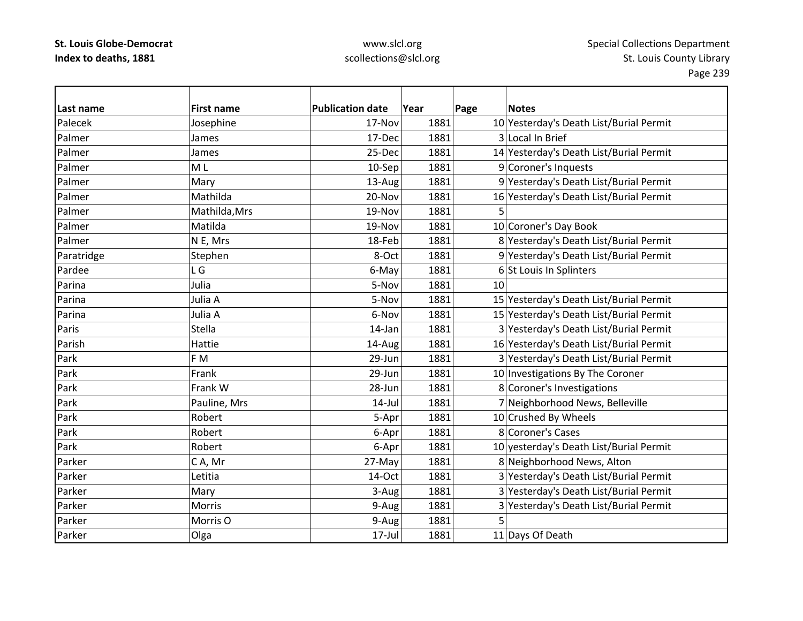| Last name  | <b>First name</b> | <b>Publication date</b> | Year | Page | <b>Notes</b>                            |
|------------|-------------------|-------------------------|------|------|-----------------------------------------|
| Palecek    | Josephine         | 17-Nov                  | 1881 |      | 10 Yesterday's Death List/Burial Permit |
| Palmer     | James             | 17-Dec                  | 1881 |      | 3 Local In Brief                        |
| Palmer     | James             | 25-Dec                  | 1881 |      | 14 Yesterday's Death List/Burial Permit |
| Palmer     | M <sub>L</sub>    | 10-Sep                  | 1881 |      | 9 Coroner's Inquests                    |
| Palmer     | Mary              | 13-Aug                  | 1881 |      | 9 Yesterday's Death List/Burial Permit  |
| Palmer     | Mathilda          | 20-Nov                  | 1881 |      | 16 Yesterday's Death List/Burial Permit |
| Palmer     | Mathilda, Mrs     | 19-Nov                  | 1881 | 5    |                                         |
| Palmer     | Matilda           | 19-Nov                  | 1881 |      | 10 Coroner's Day Book                   |
| Palmer     | N E, Mrs          | 18-Feb                  | 1881 |      | 8 Yesterday's Death List/Burial Permit  |
| Paratridge | Stephen           | 8-Oct                   | 1881 |      | 9 Yesterday's Death List/Burial Permit  |
| Pardee     | L G               | 6-May                   | 1881 |      | 6 St Louis In Splinters                 |
| Parina     | Julia             | 5-Nov                   | 1881 | 10   |                                         |
| Parina     | Julia A           | 5-Nov                   | 1881 |      | 15 Yesterday's Death List/Burial Permit |
| Parina     | Julia A           | 6-Nov                   | 1881 |      | 15 Yesterday's Death List/Burial Permit |
| Paris      | <b>Stella</b>     | 14-Jan                  | 1881 |      | 3 Yesterday's Death List/Burial Permit  |
| Parish     | Hattie            | 14-Aug                  | 1881 |      | 16 Yesterday's Death List/Burial Permit |
| Park       | F M               | 29-Jun                  | 1881 |      | 3 Yesterday's Death List/Burial Permit  |
| Park       | Frank             | 29-Jun                  | 1881 |      | 10 Investigations By The Coroner        |
| Park       | Frank W           | 28-Jun                  | 1881 |      | 8 Coroner's Investigations              |
| Park       | Pauline, Mrs      | $14$ -Jul               | 1881 |      | 7 Neighborhood News, Belleville         |
| Park       | Robert            | 5-Apr                   | 1881 |      | 10 Crushed By Wheels                    |
| Park       | Robert            | 6-Apr                   | 1881 |      | 8 Coroner's Cases                       |
| Park       | Robert            | 6-Apr                   | 1881 |      | 10 yesterday's Death List/Burial Permit |
| Parker     | CA, Mr            | 27-May                  | 1881 |      | 8 Neighborhood News, Alton              |
| Parker     | Letitia           | 14-Oct                  | 1881 |      | 3 Yesterday's Death List/Burial Permit  |
| Parker     | Mary              | 3-Aug                   | 1881 |      | 3 Yesterday's Death List/Burial Permit  |
| Parker     | Morris            | 9-Aug                   | 1881 |      | 3 Yesterday's Death List/Burial Permit  |
| Parker     | Morris O          | 9-Aug                   | 1881 | 5    |                                         |
| Parker     | Olga              | $17$ -Jul               | 1881 |      | 11 Days Of Death                        |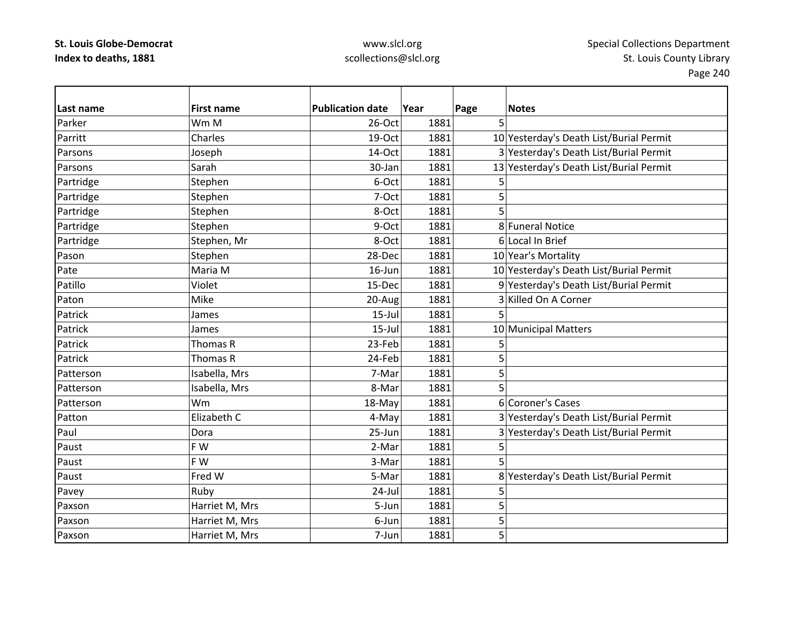| Last name | <b>First name</b> | <b>Publication date</b> | Year | Page<br><b>Notes</b>                    |
|-----------|-------------------|-------------------------|------|-----------------------------------------|
| Parker    | Wm M              | 26-Oct                  | 1881 | 5                                       |
| Parritt   | Charles           | 19-Oct                  | 1881 | 10 Yesterday's Death List/Burial Permit |
| Parsons   | Joseph            | 14-Oct                  | 1881 | 3 Yesterday's Death List/Burial Permit  |
| Parsons   | Sarah             | 30-Jan                  | 1881 | 13 Yesterday's Death List/Burial Permit |
| Partridge | Stephen           | 6-Oct                   | 1881 | 5                                       |
| Partridge | Stephen           | 7-Oct                   | 1881 | 5                                       |
| Partridge | Stephen           | 8-Oct                   | 1881 | 5                                       |
| Partridge | Stephen           | 9-Oct                   | 1881 | 8 Funeral Notice                        |
| Partridge | Stephen, Mr       | 8-Oct                   | 1881 | 6 Local In Brief                        |
| Pason     | Stephen           | 28-Dec                  | 1881 | 10 Year's Mortality                     |
| Pate      | Maria M           | $16$ -Jun               | 1881 | 10 Yesterday's Death List/Burial Permit |
| Patillo   | Violet            | 15-Dec                  | 1881 | 9 Yesterday's Death List/Burial Permit  |
| Paton     | Mike              | 20-Aug                  | 1881 | 3 Killed On A Corner                    |
| Patrick   | James             | $15$ -Jul               | 1881 | 5                                       |
| Patrick   | James             | $15 -$ Jul              | 1881 | 10 Municipal Matters                    |
| Patrick   | Thomas R          | 23-Feb                  | 1881 | 5                                       |
| Patrick   | Thomas R          | 24-Feb                  | 1881 | 5                                       |
| Patterson | Isabella, Mrs     | 7-Mar                   | 1881 | 5                                       |
| Patterson | Isabella, Mrs     | 8-Mar                   | 1881 | 5                                       |
| Patterson | Wm                | 18-May                  | 1881 | 6 Coroner's Cases                       |
| Patton    | Elizabeth C       | 4-May                   | 1881 | 3 Yesterday's Death List/Burial Permit  |
| Paul      | Dora              | 25-Jun                  | 1881 | 3 Yesterday's Death List/Burial Permit  |
| Paust     | F W               | 2-Mar                   | 1881 | 5                                       |
| Paust     | F W               | 3-Mar                   | 1881 | 5                                       |
| Paust     | Fred W            | 5-Mar                   | 1881 | 8 Yesterday's Death List/Burial Permit  |
| Pavey     | Ruby              | 24-Jul                  | 1881 | 5                                       |
| Paxson    | Harriet M, Mrs    | 5-Jun                   | 1881 | 5                                       |
| Paxson    | Harriet M, Mrs    | 6-Jun                   | 1881 | 5                                       |
| Paxson    | Harriet M, Mrs    | 7-Jun                   | 1881 | 5                                       |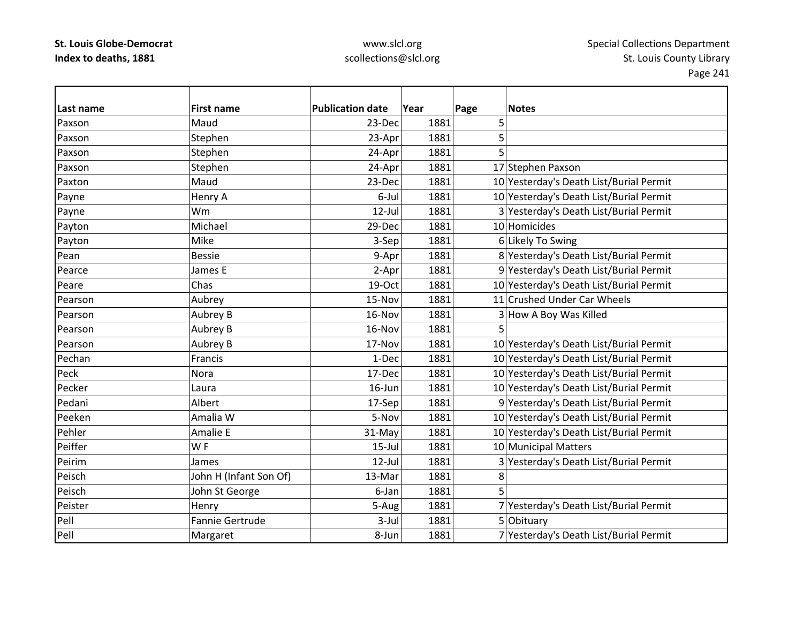| Last name | <b>First name</b>      | <b>Publication date</b> | Year | Page<br><b>Notes</b>                    |
|-----------|------------------------|-------------------------|------|-----------------------------------------|
| Paxson    | Maud                   | 23-Dec                  | 1881 | 5                                       |
| Paxson    | Stephen                | 23-Apr                  | 1881 | 5                                       |
| Paxson    | Stephen                | 24-Apr                  | 1881 | 5                                       |
| Paxson    | Stephen                | 24-Apr                  | 1881 | 17 Stephen Paxson                       |
| Paxton    | Maud                   | 23-Dec                  | 1881 | 10 Yesterday's Death List/Burial Permit |
| Payne     | Henry A                | 6-Jul                   | 1881 | 10 Yesterday's Death List/Burial Permit |
| Payne     | Wm                     | $12$ -Jul               | 1881 | 3 Yesterday's Death List/Burial Permit  |
| Payton    | Michael                | 29-Dec                  | 1881 | 10 Homicides                            |
| Payton    | Mike                   | 3-Sep                   | 1881 | 6 Likely To Swing                       |
| Pean      | <b>Bessie</b>          | 9-Apr                   | 1881 | 8 Yesterday's Death List/Burial Permit  |
| Pearce    | James E                | 2-Apr                   | 1881 | 9 Yesterday's Death List/Burial Permit  |
| Peare     | Chas                   | 19-Oct                  | 1881 | 10 Yesterday's Death List/Burial Permit |
| Pearson   | Aubrey                 | 15-Nov                  | 1881 | 11 Crushed Under Car Wheels             |
| Pearson   | Aubrey B               | 16-Nov                  | 1881 | 3 How A Boy Was Killed                  |
| Pearson   | Aubrey B               | 16-Nov                  | 1881 | 5                                       |
| Pearson   | Aubrey B               | 17-Nov                  | 1881 | 10 Yesterday's Death List/Burial Permit |
| Pechan    | Francis                | 1-Dec                   | 1881 | 10 Yesterday's Death List/Burial Permit |
| Peck      | Nora                   | 17-Dec                  | 1881 | 10 Yesterday's Death List/Burial Permit |
| Pecker    | Laura                  | $16$ -Jun               | 1881 | 10 Yesterday's Death List/Burial Permit |
| Pedani    | Albert                 | 17-Sep                  | 1881 | 9 Yesterday's Death List/Burial Permit  |
| Peeken    | Amalia W               | 5-Nov                   | 1881 | 10 Yesterday's Death List/Burial Permit |
| Pehler    | Amalie E               | 31-May                  | 1881 | 10 Yesterday's Death List/Burial Permit |
| Peiffer   | WF                     | $15$ -Jul               | 1881 | 10 Municipal Matters                    |
| Peirim    | James                  | 12-Jul                  | 1881 | 3 Yesterday's Death List/Burial Permit  |
| Peisch    | John H (Infant Son Of) | 13-Mar                  | 1881 | 8                                       |
| Peisch    | John St George         | 6-Jan                   | 1881 | 5                                       |
| Peister   | Henry                  | 5-Aug                   | 1881 | 7 Yesterday's Death List/Burial Permit  |
| Pell      | Fannie Gertrude        | $3-Jul$                 | 1881 | 5 Obituary                              |
| Pell      | Margaret               | 8-Jun                   | 1881 | 7 Yesterday's Death List/Burial Permit  |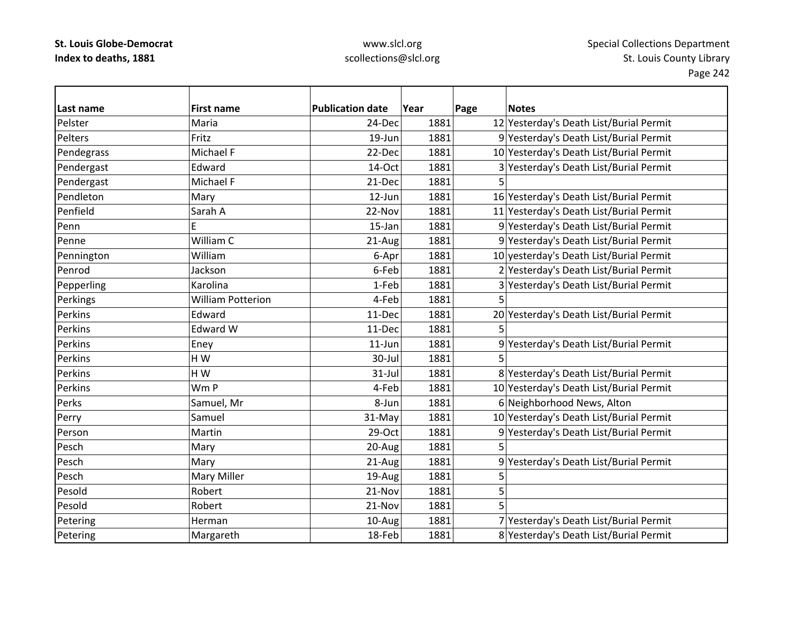| Last name  | <b>First name</b>        | <b>Publication date</b> | Year | Page | <b>Notes</b>                            |
|------------|--------------------------|-------------------------|------|------|-----------------------------------------|
| Pelster    | Maria                    | 24-Dec                  | 1881 |      | 12 Yesterday's Death List/Burial Permit |
| Pelters    | Fritz                    | 19-Jun                  | 1881 |      | 9 Yesterday's Death List/Burial Permit  |
| Pendegrass | Michael F                | 22-Dec                  | 1881 |      | 10 Yesterday's Death List/Burial Permit |
| Pendergast | Edward                   | 14-Oct                  | 1881 |      | 3 Yesterday's Death List/Burial Permit  |
| Pendergast | Michael F                | 21-Dec                  | 1881 | 5    |                                         |
| Pendleton  | Mary                     | 12-Jun                  | 1881 |      | 16 Yesterday's Death List/Burial Permit |
| Penfield   | Sarah A                  | 22-Nov                  | 1881 |      | 11 Yesterday's Death List/Burial Permit |
| Penn       | Ë                        | 15-Jan                  | 1881 |      | 9 Yesterday's Death List/Burial Permit  |
| Penne      | William C                | 21-Aug                  | 1881 |      | 9 Yesterday's Death List/Burial Permit  |
| Pennington | William                  | 6-Apr                   | 1881 |      | 10 yesterday's Death List/Burial Permit |
| Penrod     | Jackson                  | 6-Feb                   | 1881 |      | 2 Yesterday's Death List/Burial Permit  |
| Pepperling | Karolina                 | 1-Feb                   | 1881 |      | 3 Yesterday's Death List/Burial Permit  |
| Perkings   | <b>William Potterion</b> | 4-Feb                   | 1881 |      |                                         |
| Perkins    | Edward                   | 11-Dec                  | 1881 |      | 20 Yesterday's Death List/Burial Permit |
| Perkins    | Edward W                 | 11-Dec                  | 1881 | 5    |                                         |
| Perkins    | Eney                     | $11$ -Jun               | 1881 |      | 9 Yesterday's Death List/Burial Permit  |
| Perkins    | HW                       | 30-Jul                  | 1881 |      |                                         |
| Perkins    | H W                      | 31-Jul                  | 1881 |      | 8 Yesterday's Death List/Burial Permit  |
| Perkins    | Wm P                     | 4-Feb                   | 1881 |      | 10 Yesterday's Death List/Burial Permit |
| Perks      | Samuel, Mr               | 8-Jun                   | 1881 |      | 6 Neighborhood News, Alton              |
| Perry      | Samuel                   | 31-May                  | 1881 |      | 10 Yesterday's Death List/Burial Permit |
| Person     | Martin                   | 29-Oct                  | 1881 |      | 9 Yesterday's Death List/Burial Permit  |
| Pesch      | Mary                     | 20-Aug                  | 1881 |      |                                         |
| Pesch      | Mary                     | 21-Aug                  | 1881 |      | 9 Yesterday's Death List/Burial Permit  |
| Pesch      | Mary Miller              | 19-Aug                  | 1881 | 5    |                                         |
| Pesold     | Robert                   | 21-Nov                  | 1881 | 5    |                                         |
| Pesold     | Robert                   | 21-Nov                  | 1881 |      |                                         |
| Petering   | Herman                   | 10-Aug                  | 1881 |      | 7 Yesterday's Death List/Burial Permit  |
| Petering   | Margareth                | 18-Feb                  | 1881 |      | 8 Yesterday's Death List/Burial Permit  |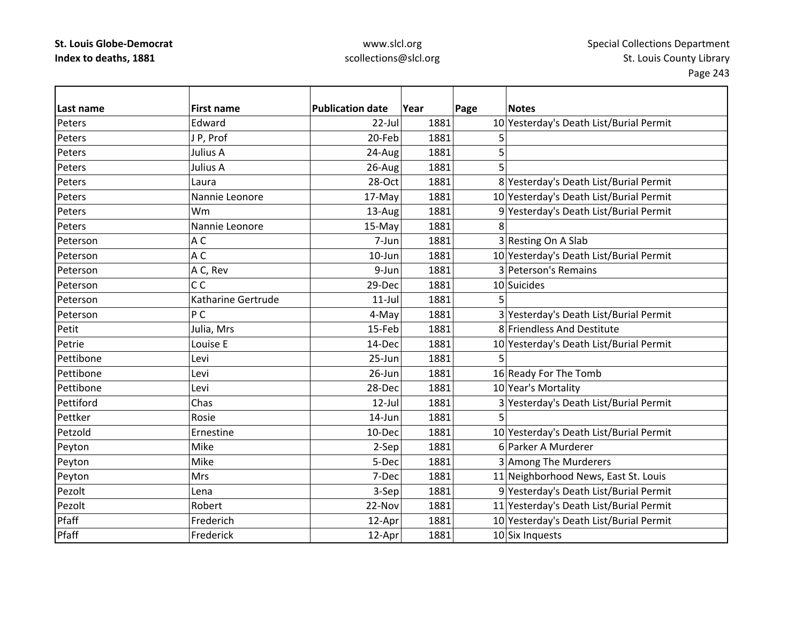| Last name | <b>First name</b>  | <b>Publication date</b> | Year | Page | <b>Notes</b>                            |
|-----------|--------------------|-------------------------|------|------|-----------------------------------------|
| Peters    | Edward             | 22-Jul                  | 1881 |      | 10 Yesterday's Death List/Burial Permit |
| Peters    | JP, Prof           | 20-Feb                  | 1881 | 5    |                                         |
| Peters    | Julius A           | 24-Aug                  | 1881 | 5    |                                         |
| Peters    | Julius A           | 26-Aug                  | 1881 | 5    |                                         |
| Peters    | Laura              | 28-Oct                  | 1881 |      | 8 Yesterday's Death List/Burial Permit  |
| Peters    | Nannie Leonore     | 17-May                  | 1881 |      | 10 Yesterday's Death List/Burial Permit |
| Peters    | Wm                 | 13-Aug                  | 1881 |      | 9 Yesterday's Death List/Burial Permit  |
| Peters    | Nannie Leonore     | 15-May                  | 1881 | 8    |                                         |
| Peterson  | AC                 | 7-Jun                   | 1881 |      | 3 Resting On A Slab                     |
| Peterson  | A <sub>C</sub>     | $10$ -Jun               | 1881 |      | 10 Yesterday's Death List/Burial Permit |
| Peterson  | A C, Rev           | 9-Jun                   | 1881 |      | 3 Peterson's Remains                    |
| Peterson  | C <sub>C</sub>     | 29-Dec                  | 1881 |      | 10 Suicides                             |
| Peterson  | Katharine Gertrude | $11$ -Jul               | 1881 |      |                                         |
| Peterson  | P <sub>C</sub>     | 4-May                   | 1881 |      | 3 Yesterday's Death List/Burial Permit  |
| Petit     | Julia, Mrs         | 15-Feb                  | 1881 |      | 8 Friendless And Destitute              |
| Petrie    | Louise E           | 14-Dec                  | 1881 |      | 10 Yesterday's Death List/Burial Permit |
| Pettibone | Levi               | 25-Jun                  | 1881 | 5    |                                         |
| Pettibone | Levi               | 26-Jun                  | 1881 |      | 16 Ready For The Tomb                   |
| Pettibone | Levi               | 28-Dec                  | 1881 |      | 10 Year's Mortality                     |
| Pettiford | Chas               | $12$ -Jul               | 1881 |      | 3 Yesterday's Death List/Burial Permit  |
| Pettker   | Rosie              | 14-Jun                  | 1881 | 5    |                                         |
| Petzold   | Ernestine          | 10-Dec                  | 1881 |      | 10 Yesterday's Death List/Burial Permit |
| Peyton    | Mike               | 2-Sep                   | 1881 |      | 6 Parker A Murderer                     |
| Peyton    | Mike               | 5-Dec                   | 1881 |      | 3 Among The Murderers                   |
| Peyton    | <b>Mrs</b>         | 7-Dec                   | 1881 |      | 11 Neighborhood News, East St. Louis    |
| Pezolt    | Lena               | 3-Sep                   | 1881 |      | 9 Yesterday's Death List/Burial Permit  |
| Pezolt    | Robert             | 22-Nov                  | 1881 |      | 11 Yesterday's Death List/Burial Permit |
| Pfaff     | Frederich          | 12-Apr                  | 1881 |      | 10 Yesterday's Death List/Burial Permit |
| Pfaff     | Frederick          | 12-Apr                  | 1881 |      | 10 Six Inquests                         |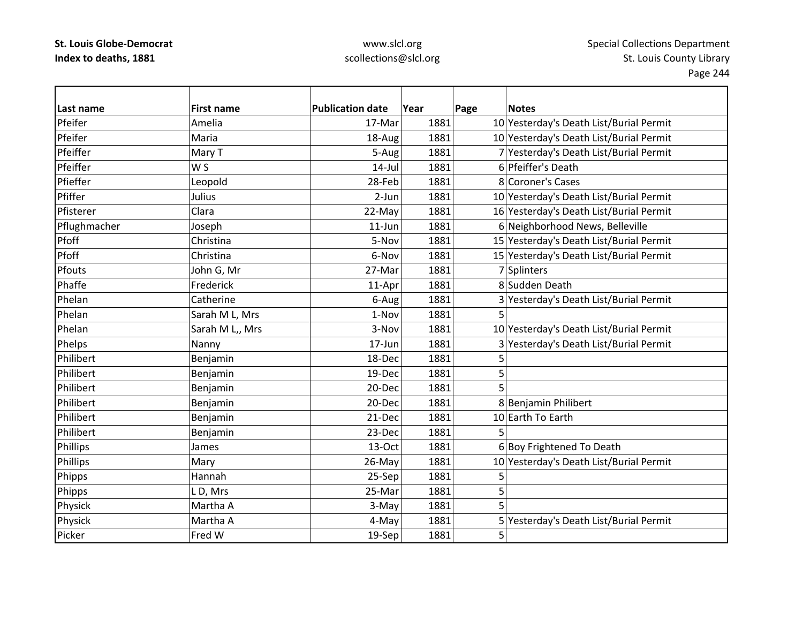| Last name    | <b>First name</b> | <b>Publication date</b> | Year | Page | <b>Notes</b>                            |
|--------------|-------------------|-------------------------|------|------|-----------------------------------------|
| Pfeifer      | Amelia            | 17-Mar                  | 1881 |      | 10 Yesterday's Death List/Burial Permit |
| Pfeifer      | Maria             | 18-Aug                  | 1881 |      | 10 Yesterday's Death List/Burial Permit |
| Pfeiffer     | Mary T            | 5-Aug                   | 1881 |      | 7 Yesterday's Death List/Burial Permit  |
| Pfeiffer     | W S               | $14$ -Jul               | 1881 |      | 6 Pfeiffer's Death                      |
| Pfieffer     | Leopold           | 28-Feb                  | 1881 |      | 8 Coroner's Cases                       |
| Pfiffer      | Julius            | $2-Jun$                 | 1881 |      | 10 Yesterday's Death List/Burial Permit |
| Pfisterer    | Clara             | 22-May                  | 1881 |      | 16 Yesterday's Death List/Burial Permit |
| Pflughmacher | Joseph            | $11$ -Jun               | 1881 |      | 6 Neighborhood News, Belleville         |
| Pfoff        | Christina         | 5-Nov                   | 1881 |      | 15 Yesterday's Death List/Burial Permit |
| Pfoff        | Christina         | 6-Nov                   | 1881 |      | 15 Yesterday's Death List/Burial Permit |
| Pfouts       | John G, Mr        | 27-Mar                  | 1881 |      | 7 Splinters                             |
| Phaffe       | Frederick         | 11-Apr                  | 1881 |      | 8 Sudden Death                          |
| Phelan       | Catherine         | 6-Aug                   | 1881 |      | 3 Yesterday's Death List/Burial Permit  |
| Phelan       | Sarah M L, Mrs    | 1-Nov                   | 1881 | 5    |                                         |
| Phelan       | Sarah M L,, Mrs   | 3-Nov                   | 1881 |      | 10 Yesterday's Death List/Burial Permit |
| Phelps       | Nanny             | 17-Jun                  | 1881 |      | 3 Yesterday's Death List/Burial Permit  |
| Philibert    | Benjamin          | 18-Dec                  | 1881 | 5    |                                         |
| Philibert    | Benjamin          | 19-Dec                  | 1881 | 5    |                                         |
| Philibert    | Benjamin          | 20-Dec                  | 1881 | 5    |                                         |
| Philibert    | Benjamin          | 20-Dec                  | 1881 |      | 8 Benjamin Philibert                    |
| Philibert    | Benjamin          | 21-Dec                  | 1881 |      | 10 Earth To Earth                       |
| Philibert    | Benjamin          | 23-Dec                  | 1881 |      |                                         |
| Phillips     | James             | 13-Oct                  | 1881 |      | 6 Boy Frightened To Death               |
| Phillips     | Mary              | 26-May                  | 1881 |      | 10 Yesterday's Death List/Burial Permit |
| Phipps       | Hannah            | 25-Sep                  | 1881 | 5    |                                         |
| Phipps       | LD, Mrs           | 25-Mar                  | 1881 | 5    |                                         |
| Physick      | Martha A          | 3-May                   | 1881 | 5    |                                         |
| Physick      | Martha A          | 4-May                   | 1881 |      | 5 Yesterday's Death List/Burial Permit  |
| Picker       | Fred W            | 19-Sep                  | 1881 | 5    |                                         |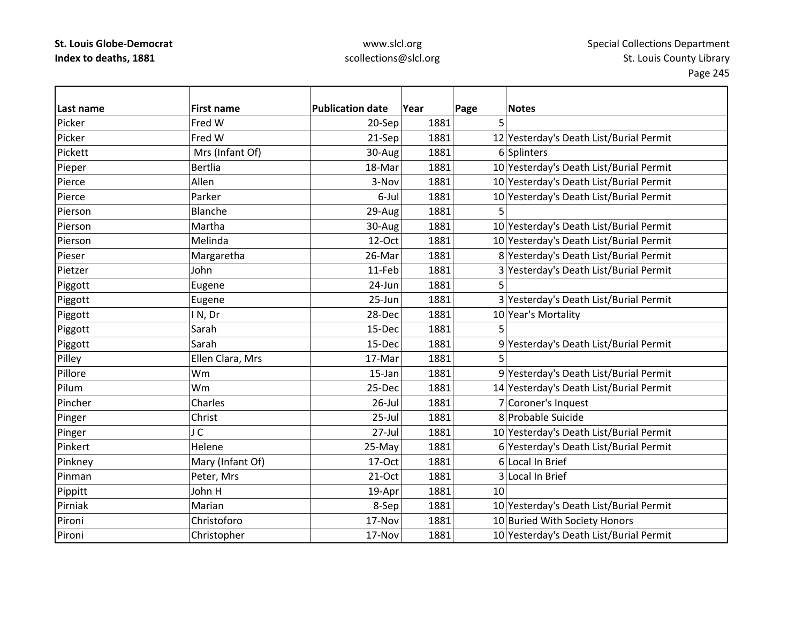| l Last name | <b>First name</b> | <b>Publication date</b> | Year | Page | <b>Notes</b>                            |
|-------------|-------------------|-------------------------|------|------|-----------------------------------------|
| Picker      | Fred W            | 20-Sep                  | 1881 | 5    |                                         |
| Picker      | Fred W            | 21-Sep                  | 1881 |      | 12 Yesterday's Death List/Burial Permit |
| Pickett     | Mrs (Infant Of)   | 30-Aug                  | 1881 |      | 6 Splinters                             |
| Pieper      | <b>Bertlia</b>    | 18-Mar                  | 1881 |      | 10 Yesterday's Death List/Burial Permit |
| Pierce      | Allen             | 3-Nov                   | 1881 |      | 10 Yesterday's Death List/Burial Permit |
| Pierce      | Parker            | 6-Jul                   | 1881 |      | 10 Yesterday's Death List/Burial Permit |
| Pierson     | Blanche           | 29-Aug                  | 1881 | 5    |                                         |
| Pierson     | Martha            | 30-Aug                  | 1881 |      | 10 Yesterday's Death List/Burial Permit |
| Pierson     | Melinda           | 12-Oct                  | 1881 |      | 10 Yesterday's Death List/Burial Permit |
| Pieser      | Margaretha        | 26-Mar                  | 1881 |      | 8 Yesterday's Death List/Burial Permit  |
| Pietzer     | John              | 11-Feb                  | 1881 |      | 3 Yesterday's Death List/Burial Permit  |
| Piggott     | Eugene            | 24-Jun                  | 1881 | 5    |                                         |
| Piggott     | Eugene            | 25-Jun                  | 1881 |      | 3 Yesterday's Death List/Burial Permit  |
| Piggott     | IN, Dr            | 28-Dec                  | 1881 |      | 10 Year's Mortality                     |
| Piggott     | Sarah             | 15-Dec                  | 1881 | 5    |                                         |
| Piggott     | Sarah             | 15-Dec                  | 1881 |      | 9 Yesterday's Death List/Burial Permit  |
| Pilley      | Ellen Clara, Mrs  | 17-Mar                  | 1881 |      |                                         |
| Pillore     | Wm                | 15-Jan                  | 1881 |      | 9 Yesterday's Death List/Burial Permit  |
| Pilum       | Wm                | 25-Dec                  | 1881 |      | 14 Yesterday's Death List/Burial Permit |
| Pincher     | Charles           | $26$ -Jul               | 1881 |      | 7 Coroner's Inquest                     |
| Pinger      | Christ            | $25$ -Jul               | 1881 |      | 8 Probable Suicide                      |
| Pinger      | J C               | $27 -$ Jul              | 1881 |      | 10 Yesterday's Death List/Burial Permit |
| Pinkert     | Helene            | 25-May                  | 1881 |      | 6 Yesterday's Death List/Burial Permit  |
| Pinkney     | Mary (Infant Of)  | 17-Oct                  | 1881 |      | 6 Local In Brief                        |
| Pinman      | Peter, Mrs        | 21-Oct                  | 1881 |      | 3 Local In Brief                        |
| Pippitt     | John H            | 19-Apr                  | 1881 | 10   |                                         |
| Pirniak     | Marian            | 8-Sep                   | 1881 |      | 10 Yesterday's Death List/Burial Permit |
| Pironi      | Christoforo       | 17-Nov                  | 1881 |      | 10 Buried With Society Honors           |
| Pironi      | Christopher       | 17-Nov                  | 1881 |      | 10 Yesterday's Death List/Burial Permit |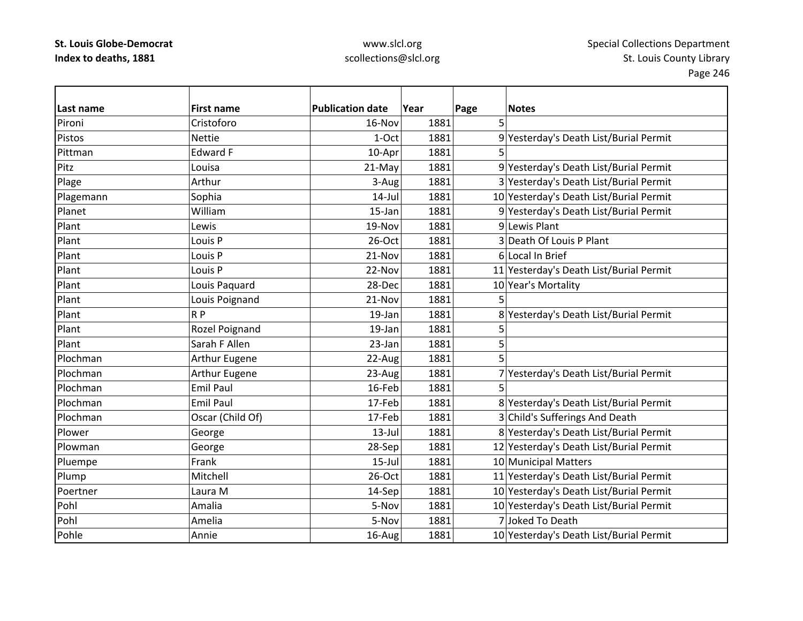| Last name | <b>First name</b>  | <b>Publication date</b> | Year | Page | <b>Notes</b>                            |
|-----------|--------------------|-------------------------|------|------|-----------------------------------------|
| Pironi    | Cristoforo         | 16-Nov                  | 1881 | 5    |                                         |
| Pistos    | <b>Nettie</b>      | 1-Oct                   | 1881 |      | 9 Yesterday's Death List/Burial Permit  |
| Pittman   | Edward F           | 10-Apr                  | 1881 |      |                                         |
| Pitz      | Louisa             | 21-May                  | 1881 |      | 9 Yesterday's Death List/Burial Permit  |
| Plage     | Arthur             | 3-Aug                   | 1881 |      | 3 Yesterday's Death List/Burial Permit  |
| Plagemann | Sophia             | $14$ -Jul               | 1881 |      | 10 Yesterday's Death List/Burial Permit |
| Planet    | William            | 15-Jan                  | 1881 |      | 9 Yesterday's Death List/Burial Permit  |
| Plant     | Lewis              | 19-Nov                  | 1881 |      | 9 Lewis Plant                           |
| Plant     | Louis <sub>P</sub> | 26-Oct                  | 1881 |      | 3 Death Of Louis P Plant                |
| Plant     | Louis P            | 21-Nov                  | 1881 |      | 6 Local In Brief                        |
| Plant     | Louis <sub>P</sub> | 22-Nov                  | 1881 |      | 11 Yesterday's Death List/Burial Permit |
| Plant     | Louis Paquard      | 28-Dec                  | 1881 |      | 10 Year's Mortality                     |
| Plant     | Louis Poignand     | 21-Nov                  | 1881 | 5    |                                         |
| Plant     | R P                | 19-Jan                  | 1881 |      | 8 Yesterday's Death List/Burial Permit  |
| Plant     | Rozel Poignand     | 19-Jan                  | 1881 | 5    |                                         |
| Plant     | Sarah F Allen      | 23-Jan                  | 1881 | 5    |                                         |
| Plochman  | Arthur Eugene      | 22-Aug                  | 1881 | 5    |                                         |
| Plochman  | Arthur Eugene      | 23-Aug                  | 1881 |      | 7 Yesterday's Death List/Burial Permit  |
| Plochman  | <b>Emil Paul</b>   | 16-Feb                  | 1881 | 5    |                                         |
| Plochman  | <b>Emil Paul</b>   | 17-Feb                  | 1881 |      | 8 Yesterday's Death List/Burial Permit  |
| Plochman  | Oscar (Child Of)   | 17-Feb                  | 1881 |      | 3 Child's Sufferings And Death          |
| Plower    | George             | $13$ -Jul               | 1881 |      | 8 Yesterday's Death List/Burial Permit  |
| Plowman   | George             | 28-Sep                  | 1881 |      | 12 Yesterday's Death List/Burial Permit |
| Pluempe   | Frank              | $15$ -Jul               | 1881 |      | 10 Municipal Matters                    |
| Plump     | Mitchell           | 26-Oct                  | 1881 |      | 11 Yesterday's Death List/Burial Permit |
| Poertner  | Laura M            | 14-Sep                  | 1881 |      | 10 Yesterday's Death List/Burial Permit |
| Pohl      | Amalia             | 5-Nov                   | 1881 |      | 10 Yesterday's Death List/Burial Permit |
| Pohl      | Amelia             | 5-Nov                   | 1881 |      | 7 Joked To Death                        |
| Pohle     | Annie              | 16-Aug                  | 1881 |      | 10 Yesterday's Death List/Burial Permit |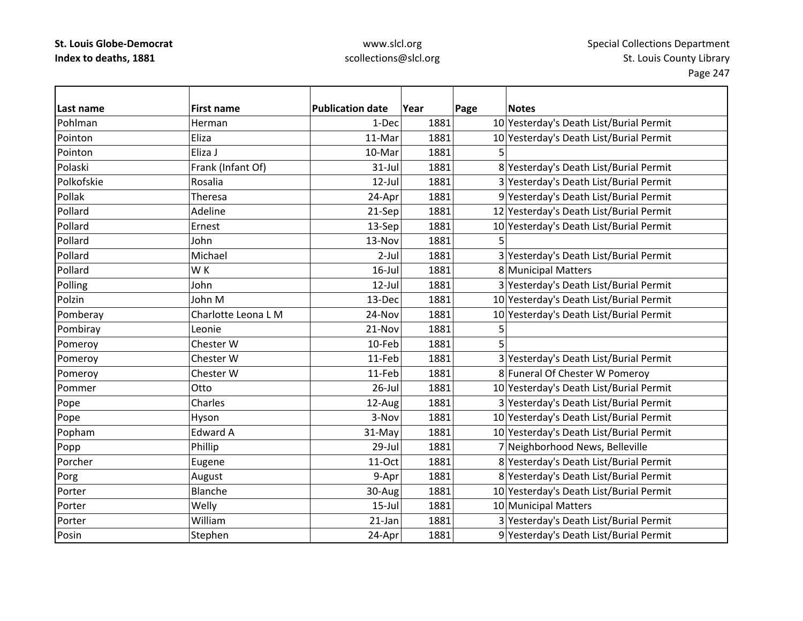| Last name  | <b>First name</b>   | <b>Publication date</b> | Year | Page | <b>Notes</b>                            |
|------------|---------------------|-------------------------|------|------|-----------------------------------------|
| Pohlman    | Herman              | 1-Dec                   | 1881 |      | 10 Yesterday's Death List/Burial Permit |
| Pointon    | Eliza               | 11-Mar                  | 1881 |      | 10 Yesterday's Death List/Burial Permit |
| Pointon    | Eliza J             | 10-Mar                  | 1881 |      |                                         |
| Polaski    | Frank (Infant Of)   | $31$ -Jul               | 1881 |      | 8 Yesterday's Death List/Burial Permit  |
| Polkofskie | Rosalia             | $12$ -Jul               | 1881 |      | 3 Yesterday's Death List/Burial Permit  |
| Pollak     | Theresa             | 24-Apr                  | 1881 |      | 9 Yesterday's Death List/Burial Permit  |
| Pollard    | Adeline             | 21-Sep                  | 1881 |      | 12 Yesterday's Death List/Burial Permit |
| Pollard    | Ernest              | 13-Sep                  | 1881 |      | 10 Yesterday's Death List/Burial Permit |
| Pollard    | John                | 13-Nov                  | 1881 |      |                                         |
| Pollard    | Michael             | $2-Jul$                 | 1881 |      | 3 Yesterday's Death List/Burial Permit  |
| Pollard    | WK                  | $16$ -Jul               | 1881 |      | 8 Municipal Matters                     |
| Polling    | John                | $12$ -Jul               | 1881 |      | 3 Yesterday's Death List/Burial Permit  |
| Polzin     | John M              | 13-Dec                  | 1881 |      | 10 Yesterday's Death List/Burial Permit |
| Pomberay   | Charlotte Leona L M | 24-Nov                  | 1881 |      | 10 Yesterday's Death List/Burial Permit |
| Pombiray   | Leonie              | 21-Nov                  | 1881 | 5    |                                         |
| Pomeroy    | Chester W           | 10-Feb                  | 1881 | 5    |                                         |
| Pomeroy    | Chester W           | 11-Feb                  | 1881 |      | 3 Yesterday's Death List/Burial Permit  |
| Pomeroy    | Chester W           | 11-Feb                  | 1881 |      | 8 Funeral Of Chester W Pomeroy          |
| Pommer     | Otto                | $26$ -Jul               | 1881 |      | 10 Yesterday's Death List/Burial Permit |
| Pope       | Charles             | 12-Aug                  | 1881 |      | 3 Yesterday's Death List/Burial Permit  |
| Pope       | Hyson               | 3-Nov                   | 1881 |      | 10 Yesterday's Death List/Burial Permit |
| Popham     | <b>Edward A</b>     | 31-May                  | 1881 |      | 10 Yesterday's Death List/Burial Permit |
| Popp       | Phillip             | 29-Jul                  | 1881 |      | 7 Neighborhood News, Belleville         |
| Porcher    | Eugene              | 11-Oct                  | 1881 |      | 8 Yesterday's Death List/Burial Permit  |
| Porg       | August              | 9-Apr                   | 1881 |      | 8 Yesterday's Death List/Burial Permit  |
| Porter     | Blanche             | 30-Aug                  | 1881 |      | 10 Yesterday's Death List/Burial Permit |
| Porter     | Welly               | $15$ -Jul               | 1881 |      | 10 Municipal Matters                    |
| Porter     | William             | $21$ -Jan               | 1881 |      | 3 Yesterday's Death List/Burial Permit  |
| Posin      | Stephen             | 24-Apr                  | 1881 |      | 9 Yesterday's Death List/Burial Permit  |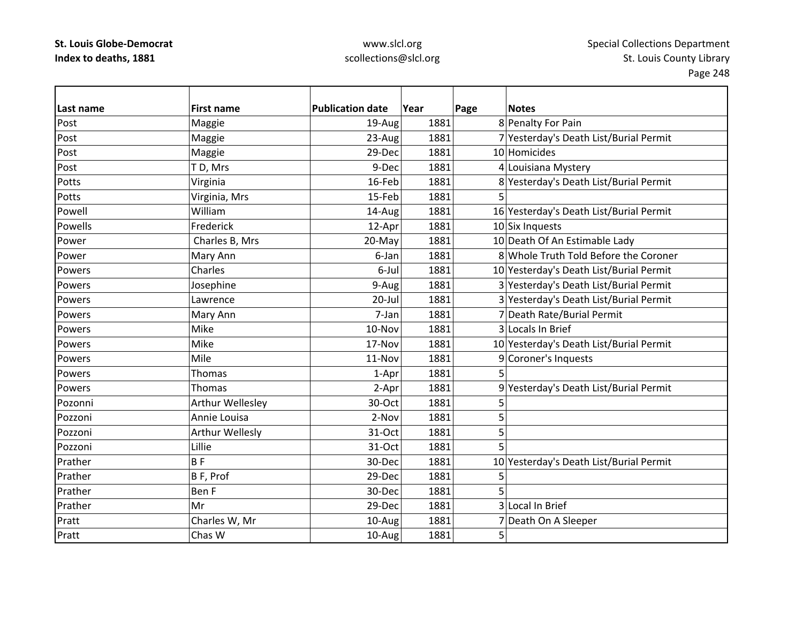| Last name | <b>First name</b> | <b>Publication date</b> | Year | Page | <b>Notes</b>                            |
|-----------|-------------------|-------------------------|------|------|-----------------------------------------|
| Post      | Maggie            | 19-Aug                  | 1881 |      | 8 Penalty For Pain                      |
| Post      | Maggie            | 23-Aug                  | 1881 |      | 7 Yesterday's Death List/Burial Permit  |
| Post      | Maggie            | 29-Dec                  | 1881 |      | 10 Homicides                            |
| Post      | TD, Mrs           | 9-Dec                   | 1881 |      | 4 Louisiana Mystery                     |
| Potts     | Virginia          | 16-Feb                  | 1881 |      | 8 Yesterday's Death List/Burial Permit  |
| Potts     | Virginia, Mrs     | 15-Feb                  | 1881 | 5    |                                         |
| Powell    | William           | 14-Aug                  | 1881 |      | 16 Yesterday's Death List/Burial Permit |
| Powells   | Frederick         | 12-Apr                  | 1881 |      | $10$ Six Inquests                       |
| Power     | Charles B, Mrs    | 20-May                  | 1881 |      | 10 Death Of An Estimable Lady           |
| Power     | Mary Ann          | 6-Jan                   | 1881 |      | 8 Whole Truth Told Before the Coroner   |
| Powers    | Charles           | 6-Jul                   | 1881 |      | 10 Yesterday's Death List/Burial Permit |
| Powers    | Josephine         | 9-Aug                   | 1881 |      | 3 Yesterday's Death List/Burial Permit  |
| Powers    | Lawrence          | 20-Jul                  | 1881 |      | 3 Yesterday's Death List/Burial Permit  |
| Powers    | Mary Ann          | 7-Jan                   | 1881 |      | 7 Death Rate/Burial Permit              |
| Powers    | Mike              | 10-Nov                  | 1881 |      | 3 Locals In Brief                       |
| Powers    | Mike              | 17-Nov                  | 1881 |      | 10 Yesterday's Death List/Burial Permit |
| Powers    | Mile              | 11-Nov                  | 1881 |      | 9 Coroner's Inquests                    |
| Powers    | <b>Thomas</b>     | 1-Apr                   | 1881 | 5    |                                         |
| Powers    | Thomas            | 2-Apr                   | 1881 | 9    | Yesterday's Death List/Burial Permit    |
| Pozonni   | Arthur Wellesley  | 30-Oct                  | 1881 | 5    |                                         |
| Pozzoni   | Annie Louisa      | 2-Nov                   | 1881 | 5    |                                         |
| Pozzoni   | Arthur Wellesly   | 31-Oct                  | 1881 | 5    |                                         |
| Pozzoni   | Lillie            | 31-Oct                  | 1881 | 5    |                                         |
| Prather   | <b>BF</b>         | 30-Dec                  | 1881 |      | 10 Yesterday's Death List/Burial Permit |
| Prather   | B F, Prof         | 29-Dec                  | 1881 | 5    |                                         |
| Prather   | Ben F             | 30-Dec                  | 1881 |      |                                         |
| Prather   | Mr                | 29-Dec                  | 1881 |      | 3 Local In Brief                        |
| Pratt     | Charles W, Mr     | 10-Aug                  | 1881 |      | 7 Death On A Sleeper                    |
| Pratt     | Chas W            | 10-Aug                  | 1881 | 5    |                                         |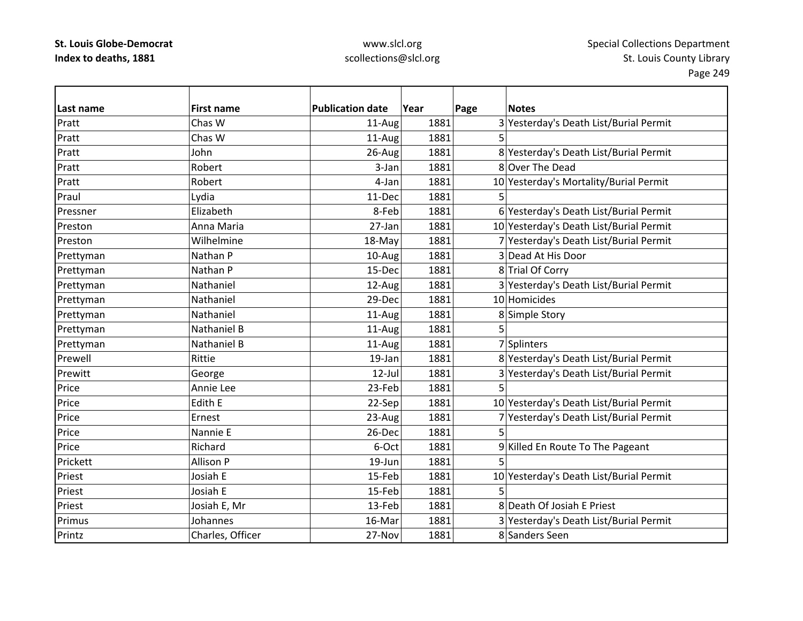| Last name | <b>First name</b>  | <b>Publication date</b> | Year | Page | <b>Notes</b>                            |
|-----------|--------------------|-------------------------|------|------|-----------------------------------------|
| Pratt     | Chas W             | 11-Aug                  | 1881 |      | 3 Yesterday's Death List/Burial Permit  |
| Pratt     | Chas W             | 11-Aug                  | 1881 |      |                                         |
| Pratt     | John               | 26-Aug                  | 1881 |      | 8 Yesterday's Death List/Burial Permit  |
| Pratt     | Robert             | 3-Jan                   | 1881 |      | 8 Over The Dead                         |
| Pratt     | Robert             | 4-Jan                   | 1881 |      | 10 Yesterday's Mortality/Burial Permit  |
| Praul     | Lydia              | 11-Dec                  | 1881 | 5    |                                         |
| Pressner  | Elizabeth          | 8-Feb                   | 1881 |      | 6 Yesterday's Death List/Burial Permit  |
| Preston   | Anna Maria         | 27-Jan                  | 1881 |      | 10 Yesterday's Death List/Burial Permit |
| Preston   | Wilhelmine         | 18-May                  | 1881 |      | 7 Yesterday's Death List/Burial Permit  |
| Prettyman | Nathan P           | 10-Aug                  | 1881 |      | 3 Dead At His Door                      |
| Prettyman | Nathan P           | 15-Dec                  | 1881 |      | 8 Trial Of Corry                        |
| Prettyman | Nathaniel          | 12-Aug                  | 1881 |      | 3 Yesterday's Death List/Burial Permit  |
| Prettyman | Nathaniel          | 29-Dec                  | 1881 |      | 10 Homicides                            |
| Prettyman | Nathaniel          | 11-Aug                  | 1881 |      | 8 Simple Story                          |
| Prettyman | <b>Nathaniel B</b> | 11-Aug                  | 1881 | 5    |                                         |
| Prettyman | Nathaniel B        | 11-Aug                  | 1881 |      | 7 Splinters                             |
| Prewell   | Rittie             | 19-Jan                  | 1881 |      | 8 Yesterday's Death List/Burial Permit  |
| Prewitt   | George             | $12$ -Jul               | 1881 |      | 3 Yesterday's Death List/Burial Permit  |
| Price     | Annie Lee          | 23-Feb                  | 1881 | 5    |                                         |
| Price     | Edith E            | 22-Sep                  | 1881 |      | 10 Yesterday's Death List/Burial Permit |
| Price     | Ernest             | 23-Aug                  | 1881 |      | 7 Yesterday's Death List/Burial Permit  |
| Price     | Nannie E           | 26-Dec                  | 1881 |      |                                         |
| Price     | Richard            | 6-Oct                   | 1881 |      | 9 Killed En Route To The Pageant        |
| Prickett  | Allison P          | 19-Jun                  | 1881 | 5    |                                         |
| Priest    | Josiah E           | 15-Feb                  | 1881 |      | 10 Yesterday's Death List/Burial Permit |
| Priest    | Josiah E           | 15-Feb                  | 1881 | 5    |                                         |
| Priest    | Josiah E, Mr       | 13-Feb                  | 1881 |      | 8 Death Of Josiah E Priest              |
| Primus    | Johannes           | 16-Mar                  | 1881 |      | 3 Yesterday's Death List/Burial Permit  |
| Printz    | Charles, Officer   | 27-Nov                  | 1881 |      | 8 Sanders Seen                          |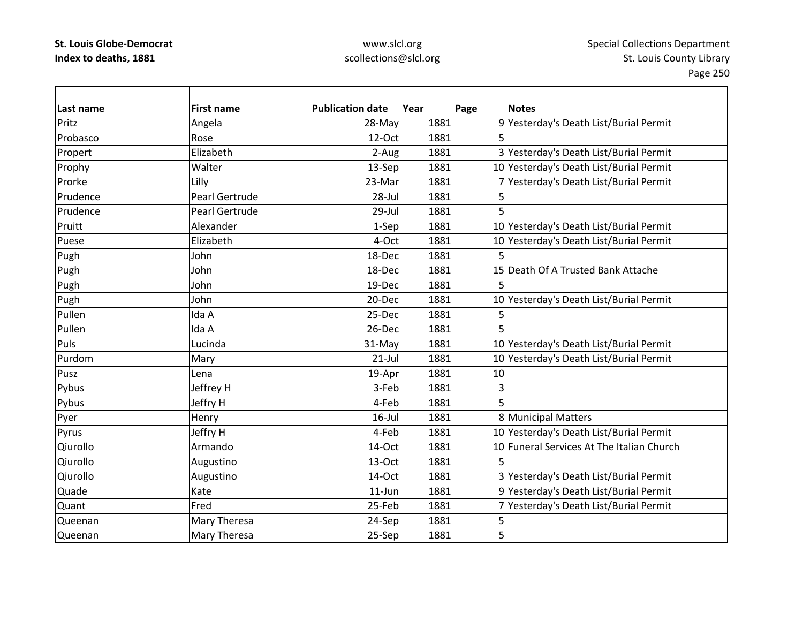## www.slcl.org scollections@slcl.org

 $\overline{\phantom{a}}$ 

| Last name | <b>First name</b>     | <b>Publication date</b> | Year | Page | <b>Notes</b>                              |
|-----------|-----------------------|-------------------------|------|------|-------------------------------------------|
| Pritz     | Angela                | 28-May                  | 1881 |      | 9 Yesterday's Death List/Burial Permit    |
| Probasco  | Rose                  | 12-Oct                  | 1881 | 5    |                                           |
| Propert   | Elizabeth             | 2-Aug                   | 1881 |      | 3 Yesterday's Death List/Burial Permit    |
| Prophy    | Walter                | 13-Sep                  | 1881 |      | 10 Yesterday's Death List/Burial Permit   |
| Prorke    | Lilly                 | 23-Mar                  | 1881 |      | 7 Yesterday's Death List/Burial Permit    |
| Prudence  | <b>Pearl Gertrude</b> | 28-Jul                  | 1881 | 5    |                                           |
| Prudence  | Pearl Gertrude        | 29-Jul                  | 1881 | 5    |                                           |
| Pruitt    | Alexander             | 1-Sep                   | 1881 |      | 10 Yesterday's Death List/Burial Permit   |
| Puese     | Elizabeth             | 4-Oct                   | 1881 |      | 10 Yesterday's Death List/Burial Permit   |
| Pugh      | John                  | 18-Dec                  | 1881 |      |                                           |
| Pugh      | John                  | 18-Dec                  | 1881 |      | 15 Death Of A Trusted Bank Attache        |
| Pugh      | John                  | 19-Dec                  | 1881 | 5    |                                           |
| Pugh      | John                  | 20-Dec                  | 1881 |      | 10 Yesterday's Death List/Burial Permit   |
| Pullen    | Ida A                 | 25-Dec                  | 1881 | 5    |                                           |
| Pullen    | Ida A                 | 26-Dec                  | 1881 |      |                                           |
| Puls      | Lucinda               | 31-May                  | 1881 |      | 10 Yesterday's Death List/Burial Permit   |
| Purdom    | Mary                  | $21$ -Jul               | 1881 |      | 10 Yesterday's Death List/Burial Permit   |
| Pusz      | Lena                  | 19-Apr                  | 1881 | 10   |                                           |
| Pybus     | Jeffrey H             | 3-Feb                   | 1881 | 3    |                                           |
| Pybus     | Jeffry H              | 4-Feb                   | 1881 | 5    |                                           |
| Pyer      | Henry                 | $16$ -Jul               | 1881 |      | 8 Municipal Matters                       |
| Pyrus     | Jeffry H              | 4-Feb                   | 1881 |      | 10 Yesterday's Death List/Burial Permit   |
| Qiurollo  | Armando               | 14-Oct                  | 1881 |      | 10 Funeral Services At The Italian Church |
| Qiurollo  | Augustino             | 13-Oct                  | 1881 | 5    |                                           |
| Qiurollo  | Augustino             | 14-Oct                  | 1881 |      | 3 Yesterday's Death List/Burial Permit    |
| Quade     | Kate                  | $11$ -Jun               | 1881 |      | 9 Yesterday's Death List/Burial Permit    |
| Quant     | Fred                  | 25-Feb                  | 1881 |      | 7 Yesterday's Death List/Burial Permit    |
| Queenan   | Mary Theresa          | 24-Sep                  | 1881 | 5    |                                           |
| Queenan   | <b>Mary Theresa</b>   | 25-Sep                  | 1881 | 5    |                                           |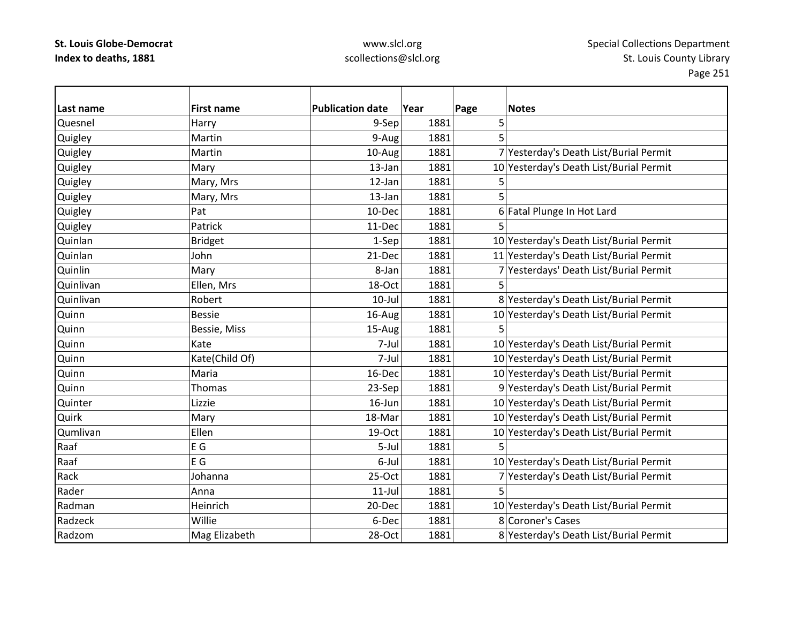| Last name | <b>First name</b> | <b>Publication date</b> | Year | Page<br><b>Notes</b>                    |
|-----------|-------------------|-------------------------|------|-----------------------------------------|
| Quesnel   | Harry             | 9-Sep                   | 1881 | 5                                       |
| Quigley   | Martin            | 9-Aug                   | 1881 | 5                                       |
| Quigley   | Martin            | 10-Aug                  | 1881 | 7 Yesterday's Death List/Burial Permit  |
| Quigley   | Mary              | $13$ -Jan               | 1881 | 10 Yesterday's Death List/Burial Permit |
| Quigley   | Mary, Mrs         | 12-Jan                  | 1881 | 5                                       |
| Quigley   | Mary, Mrs         | 13-Jan                  | 1881 | 5                                       |
| Quigley   | Pat               | 10-Dec                  | 1881 | 6 Fatal Plunge In Hot Lard              |
| Quigley   | Patrick           | 11-Dec                  | 1881 |                                         |
| Quinlan   | <b>Bridget</b>    | 1-Sep                   | 1881 | 10 Yesterday's Death List/Burial Permit |
| Quinlan   | John              | 21-Dec                  | 1881 | 11 Yesterday's Death List/Burial Permit |
| Quinlin   | Mary              | 8-Jan                   | 1881 | 7 Yesterdays' Death List/Burial Permit  |
| Quinlivan | Ellen, Mrs        | 18-Oct                  | 1881 | 5                                       |
| Quinlivan | Robert            | $10$ -Jul               | 1881 | 8 Yesterday's Death List/Burial Permit  |
| Quinn     | <b>Bessie</b>     | 16-Aug                  | 1881 | 10 Yesterday's Death List/Burial Permit |
| Quinn     | Bessie, Miss      | 15-Aug                  | 1881 | 5                                       |
| Quinn     | Kate              | 7-Jul                   | 1881 | 10 Yesterday's Death List/Burial Permit |
| Quinn     | Kate(Child Of)    | 7-Jul                   | 1881 | 10 Yesterday's Death List/Burial Permit |
| Quinn     | Maria             | 16-Dec                  | 1881 | 10 Yesterday's Death List/Burial Permit |
| Quinn     | Thomas            | 23-Sep                  | 1881 | 9 Yesterday's Death List/Burial Permit  |
| Quinter   | Lizzie            | 16-Jun                  | 1881 | 10 Yesterday's Death List/Burial Permit |
| Quirk     | Mary              | 18-Mar                  | 1881 | 10 Yesterday's Death List/Burial Permit |
| Qumlivan  | Ellen             | 19-Oct                  | 1881 | 10 Yesterday's Death List/Burial Permit |
| Raaf      | E G               | 5-Jul                   | 1881 | 5                                       |
| Raaf      | E G               | 6-Jul                   | 1881 | 10 Yesterday's Death List/Burial Permit |
| Rack      | Johanna           | $25-Oct$                | 1881 | 7 Yesterday's Death List/Burial Permit  |
| Rader     | Anna              | $11$ -Jul               | 1881 | 5                                       |
| Radman    | Heinrich          | 20-Dec                  | 1881 | 10 Yesterday's Death List/Burial Permit |
| Radzeck   | Willie            | 6-Dec                   | 1881 | 8 Coroner's Cases                       |
| Radzom    | Mag Elizabeth     | 28-Oct                  | 1881 | 8 Yesterday's Death List/Burial Permit  |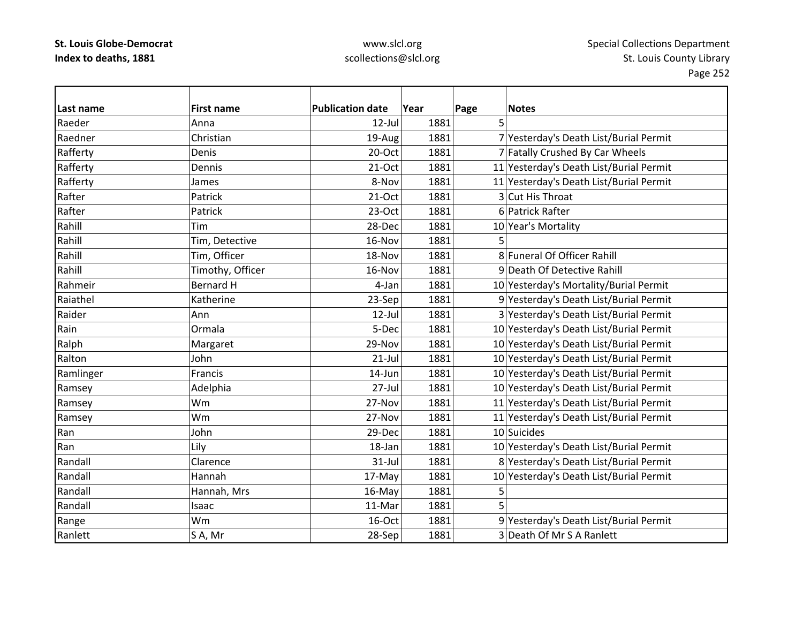| Last name | <b>First name</b> | <b>Publication date</b> | Year | Page | <b>Notes</b>                            |
|-----------|-------------------|-------------------------|------|------|-----------------------------------------|
| Raeder    | Anna              | $12$ -Jul               | 1881 | 5    |                                         |
| Raedner   | Christian         | 19-Aug                  | 1881 |      | 7 Yesterday's Death List/Burial Permit  |
| Rafferty  | Denis             | 20-Oct                  | 1881 |      | 7 Fatally Crushed By Car Wheels         |
| Rafferty  | Dennis            | 21-Oct                  | 1881 |      | 11 Yesterday's Death List/Burial Permit |
| Rafferty  | James             | 8-Nov                   | 1881 |      | 11 Yesterday's Death List/Burial Permit |
| Rafter    | Patrick           | $21-Oct$                | 1881 |      | 3 Cut His Throat                        |
| Rafter    | Patrick           | 23-Oct                  | 1881 |      | 6 Patrick Rafter                        |
| Rahill    | Tim               | 28-Dec                  | 1881 |      | 10 Year's Mortality                     |
| Rahill    | Tim, Detective    | 16-Nov                  | 1881 |      |                                         |
| Rahill    | Tim, Officer      | 18-Nov                  | 1881 |      | 8 Funeral Of Officer Rahill             |
| Rahill    | Timothy, Officer  | 16-Nov                  | 1881 |      | 9 Death Of Detective Rahill             |
| Rahmeir   | <b>Bernard H</b>  | 4-Jan                   | 1881 |      | 10 Yesterday's Mortality/Burial Permit  |
| Raiathel  | Katherine         | 23-Sep                  | 1881 |      | 9 Yesterday's Death List/Burial Permit  |
| Raider    | Ann               | $12$ -Jul               | 1881 |      | 3 Yesterday's Death List/Burial Permit  |
| Rain      | Ormala            | 5-Dec                   | 1881 |      | 10 Yesterday's Death List/Burial Permit |
| Ralph     | Margaret          | 29-Nov                  | 1881 |      | 10 Yesterday's Death List/Burial Permit |
| Ralton    | John              | $21$ -Jul               | 1881 |      | 10 Yesterday's Death List/Burial Permit |
| Ramlinger | Francis           | 14-Jun                  | 1881 |      | 10 Yesterday's Death List/Burial Permit |
| Ramsey    | Adelphia          | 27-Jul                  | 1881 |      | 10 Yesterday's Death List/Burial Permit |
| Ramsey    | Wm                | 27-Nov                  | 1881 |      | 11 Yesterday's Death List/Burial Permit |
| Ramsey    | Wm                | 27-Nov                  | 1881 |      | 11 Yesterday's Death List/Burial Permit |
| Ran       | John              | 29-Dec                  | 1881 |      | 10 Suicides                             |
| Ran       | Lily              | 18-Jan                  | 1881 |      | 10 Yesterday's Death List/Burial Permit |
| Randall   | Clarence          | $31-Jul$                | 1881 |      | 8 Yesterday's Death List/Burial Permit  |
| Randall   | Hannah            | 17-May                  | 1881 |      | 10 Yesterday's Death List/Burial Permit |
| Randall   | Hannah, Mrs       | 16-May                  | 1881 | 5    |                                         |
| Randall   | Isaac             | 11-Mar                  | 1881 | 5    |                                         |
| Range     | Wm                | 16-Oct                  | 1881 |      | 9 Yesterday's Death List/Burial Permit  |
| Ranlett   | SA, Mr            | 28-Sep                  | 1881 |      | 3 Death Of Mr S A Ranlett               |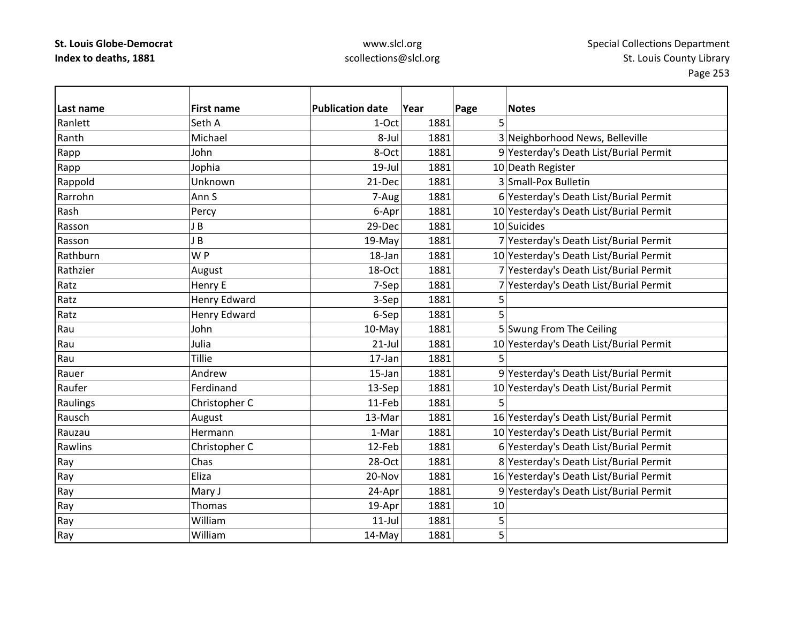| lLast name | <b>First name</b>   | <b>Publication date</b> | Year | Page | <b>Notes</b>                            |
|------------|---------------------|-------------------------|------|------|-----------------------------------------|
| Ranlett    | Seth A              | 1-Oct                   | 1881 | 5    |                                         |
| Ranth      | Michael             | 8-Jul                   | 1881 |      | 3 Neighborhood News, Belleville         |
| Rapp       | John                | 8-Oct                   | 1881 |      | 9 Yesterday's Death List/Burial Permit  |
| Rapp       | Jophia              | $19$ -Jul               | 1881 |      | 10 Death Register                       |
| Rappold    | Unknown             | 21-Dec                  | 1881 |      | 3 Small-Pox Bulletin                    |
| Rarrohn    | Ann S               | 7-Aug                   | 1881 |      | 6 Yesterday's Death List/Burial Permit  |
| Rash       | Percy               | 6-Apr                   | 1881 |      | 10 Yesterday's Death List/Burial Permit |
| Rasson     | J B                 | 29-Dec                  | 1881 |      | 10 Suicides                             |
| Rasson     | J B                 | 19-May                  | 1881 |      | 7 Yesterday's Death List/Burial Permit  |
| Rathburn   | WP                  | 18-Jan                  | 1881 |      | 10 Yesterday's Death List/Burial Permit |
| Rathzier   | August              | 18-Oct                  | 1881 |      | 7 Yesterday's Death List/Burial Permit  |
| Ratz       | Henry E             | 7-Sep                   | 1881 |      | 7 Yesterday's Death List/Burial Permit  |
| Ratz       | <b>Henry Edward</b> | 3-Sep                   | 1881 | 5    |                                         |
| Ratz       | <b>Henry Edward</b> | 6-Sep                   | 1881 | 5    |                                         |
| Rau        | John                | 10-May                  | 1881 |      | 5 Swung From The Ceiling                |
| Rau        | Julia               | $21$ -Jul               | 1881 |      | 10 Yesterday's Death List/Burial Permit |
| Rau        | <b>Tillie</b>       | $17$ -Jan               | 1881 |      |                                         |
| Rauer      | Andrew              | 15-Jan                  | 1881 |      | 9 Yesterday's Death List/Burial Permit  |
| Raufer     | Ferdinand           | 13-Sep                  | 1881 |      | 10 Yesterday's Death List/Burial Permit |
| Raulings   | Christopher C       | 11-Feb                  | 1881 | 5    |                                         |
| Rausch     | August              | 13-Mar                  | 1881 |      | 16 Yesterday's Death List/Burial Permit |
| Rauzau     | Hermann             | 1-Mar                   | 1881 |      | 10 Yesterday's Death List/Burial Permit |
| Rawlins    | Christopher C       | 12-Feb                  | 1881 |      | 6 Yesterday's Death List/Burial Permit  |
| Ray        | Chas                | 28-Oct                  | 1881 |      | 8 Yesterday's Death List/Burial Permit  |
| Ray        | Eliza               | 20-Nov                  | 1881 |      | 16 Yesterday's Death List/Burial Permit |
| Ray        | Mary J              | 24-Apr                  | 1881 |      | 9 Yesterday's Death List/Burial Permit  |
| Ray        | <b>Thomas</b>       | 19-Apr                  | 1881 | 10   |                                         |
| Ray        | William             | $11$ -Jul               | 1881 | 5    |                                         |
| Ray        | William             | 14-May                  | 1881 | 5    |                                         |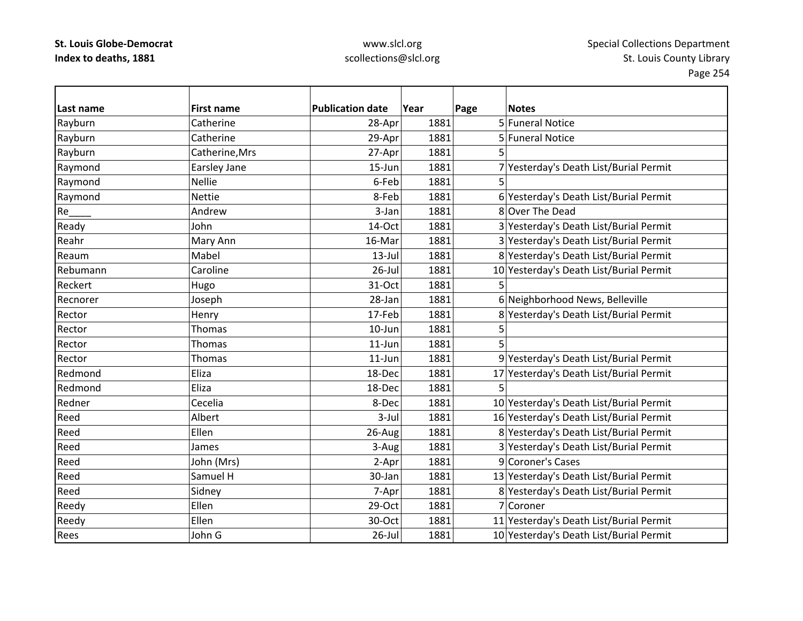| Last name       | <b>First name</b> | <b>Publication date</b> | Year | Page | <b>Notes</b>                            |
|-----------------|-------------------|-------------------------|------|------|-----------------------------------------|
| Rayburn         | Catherine         | 28-Apr                  | 1881 |      | 5 Funeral Notice                        |
| Rayburn         | Catherine         | 29-Apr                  | 1881 |      | 5 Funeral Notice                        |
| Rayburn         | Catherine, Mrs    | 27-Apr                  | 1881 |      |                                         |
| Raymond         | Earsley Jane      | $15$ -Jun               | 1881 |      | 7 Yesterday's Death List/Burial Permit  |
| Raymond         | <b>Nellie</b>     | 6-Feb                   | 1881 | 5    |                                         |
| Raymond         | <b>Nettie</b>     | 8-Feb                   | 1881 |      | 6 Yesterday's Death List/Burial Permit  |
| Re <sub>z</sub> | Andrew            | 3-Jan                   | 1881 |      | 8 Over The Dead                         |
| Ready           | John              | 14-Oct                  | 1881 |      | 3 Yesterday's Death List/Burial Permit  |
| Reahr           | Mary Ann          | 16-Mar                  | 1881 |      | 3 Yesterday's Death List/Burial Permit  |
| Reaum           | Mabel             | $13$ -Jul               | 1881 |      | 8 Yesterday's Death List/Burial Permit  |
| Rebumann        | Caroline          | 26-Jul                  | 1881 |      | 10 Yesterday's Death List/Burial Permit |
| Reckert         | Hugo              | 31-Oct                  | 1881 |      |                                         |
| Recnorer        | Joseph            | 28-Jan                  | 1881 |      | 6 Neighborhood News, Belleville         |
| Rector          | Henry             | 17-Feb                  | 1881 |      | 8 Yesterday's Death List/Burial Permit  |
| Rector          | <b>Thomas</b>     | 10-Jun                  | 1881 | 5    |                                         |
| Rector          | Thomas            | $11$ -Jun               | 1881 | 5    |                                         |
| Rector          | <b>Thomas</b>     | $11$ -Jun               | 1881 |      | 9 Yesterday's Death List/Burial Permit  |
| Redmond         | Eliza             | 18-Dec                  | 1881 |      | 17 Yesterday's Death List/Burial Permit |
| Redmond         | Eliza             | 18-Dec                  | 1881 | 5    |                                         |
| Redner          | Cecelia           | 8-Dec                   | 1881 |      | 10 Yesterday's Death List/Burial Permit |
| Reed            | Albert            | $3$ -Jul                | 1881 |      | 16 Yesterday's Death List/Burial Permit |
| Reed            | Ellen             | 26-Aug                  | 1881 |      | 8 Yesterday's Death List/Burial Permit  |
| Reed            | James             | 3-Aug                   | 1881 |      | 3 Yesterday's Death List/Burial Permit  |
| Reed            | John (Mrs)        | 2-Apr                   | 1881 |      | 9 Coroner's Cases                       |
| Reed            | Samuel H          | 30-Jan                  | 1881 |      | 13 Yesterday's Death List/Burial Permit |
| Reed            | Sidney            | 7-Apr                   | 1881 |      | 8 Yesterday's Death List/Burial Permit  |
| Reedy           | Ellen             | 29-Oct                  | 1881 |      | 7 Coroner                               |
| Reedy           | Ellen             | 30-Oct                  | 1881 |      | 11 Yesterday's Death List/Burial Permit |
| Rees            | John G            | $26$ -Jul               | 1881 |      | 10 Yesterday's Death List/Burial Permit |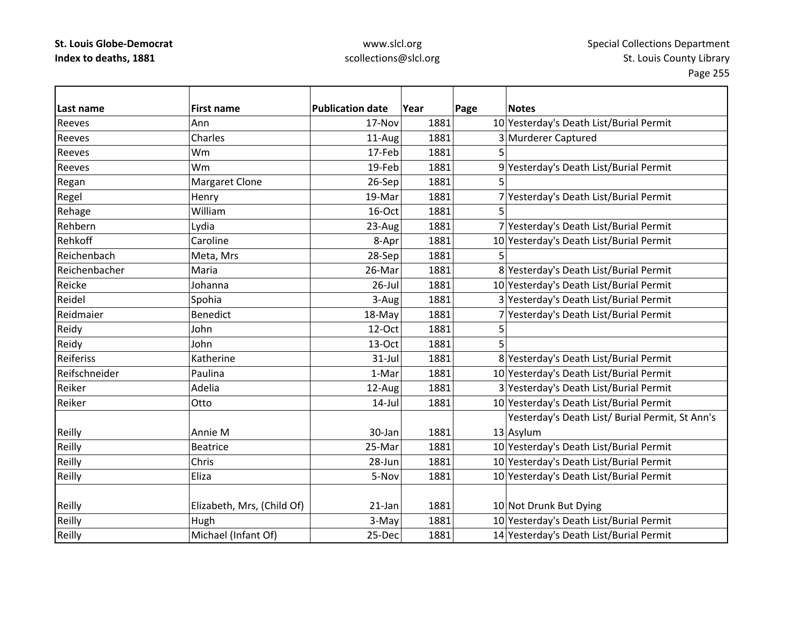| Last name     | <b>First name</b>          | <b>Publication date</b> | Year | Page | <b>Notes</b>                                    |
|---------------|----------------------------|-------------------------|------|------|-------------------------------------------------|
| Reeves        | Ann                        | 17-Nov                  | 1881 |      | 10 Yesterday's Death List/Burial Permit         |
| Reeves        | Charles                    | 11-Aug                  | 1881 |      | 3 Murderer Captured                             |
| Reeves        | Wm                         | 17-Feb                  | 1881 | 5    |                                                 |
| Reeves        | Wm                         | 19-Feb                  | 1881 |      | 9 Yesterday's Death List/Burial Permit          |
| Regan         | <b>Margaret Clone</b>      | 26-Sep                  | 1881 | 5    |                                                 |
| Regel         | Henry                      | 19-Mar                  | 1881 |      | 7 Yesterday's Death List/Burial Permit          |
| Rehage        | William                    | 16-Oct                  | 1881 |      |                                                 |
| Rehbern       | Lydia                      | 23-Aug                  | 1881 |      | 7 Yesterday's Death List/Burial Permit          |
| Rehkoff       | Caroline                   | 8-Apr                   | 1881 |      | 10 Yesterday's Death List/Burial Permit         |
| Reichenbach   | Meta, Mrs                  | 28-Sep                  | 1881 | 5    |                                                 |
| Reichenbacher | Maria                      | 26-Mar                  | 1881 |      | 8 Yesterday's Death List/Burial Permit          |
| Reicke        | Johanna                    | $26$ -Jul               | 1881 |      | 10 Yesterday's Death List/Burial Permit         |
| Reidel        | Spohia                     | 3-Aug                   | 1881 |      | 3 Yesterday's Death List/Burial Permit          |
| Reidmaier     | Benedict                   | 18-May                  | 1881 |      | 7 Yesterday's Death List/Burial Permit          |
| Reidy         | John                       | 12-Oct                  | 1881 | 5    |                                                 |
| Reidy         | John                       | 13-Oct                  | 1881 | 5    |                                                 |
| Reiferiss     | Katherine                  | 31-Jul                  | 1881 |      | 8 Yesterday's Death List/Burial Permit          |
| Reifschneider | Paulina                    | 1-Mar                   | 1881 |      | 10 Yesterday's Death List/Burial Permit         |
| Reiker        | Adelia                     | 12-Aug                  | 1881 |      | 3 Yesterday's Death List/Burial Permit          |
| Reiker        | Otto                       | $14$ -Jul               | 1881 |      | 10 Yesterday's Death List/Burial Permit         |
|               |                            |                         |      |      | Yesterday's Death List/ Burial Permit, St Ann's |
| Reilly        | Annie M                    | 30-Jan                  | 1881 |      | 13 Asylum                                       |
| Reilly        | <b>Beatrice</b>            | 25-Mar                  | 1881 |      | 10 Yesterday's Death List/Burial Permit         |
| Reilly        | Chris                      | 28-Jun                  | 1881 |      | 10 Yesterday's Death List/Burial Permit         |
| Reilly        | Eliza                      | 5-Nov                   | 1881 |      | 10 Yesterday's Death List/Burial Permit         |
|               |                            |                         |      |      |                                                 |
| Reilly        | Elizabeth, Mrs, (Child Of) | 21-Jan                  | 1881 |      | 10 Not Drunk But Dying                          |
| Reilly        | Hugh                       | 3-May                   | 1881 |      | 10 Yesterday's Death List/Burial Permit         |
| Reilly        | Michael (Infant Of)        | 25-Dec                  | 1881 |      | 14 Yesterday's Death List/Burial Permit         |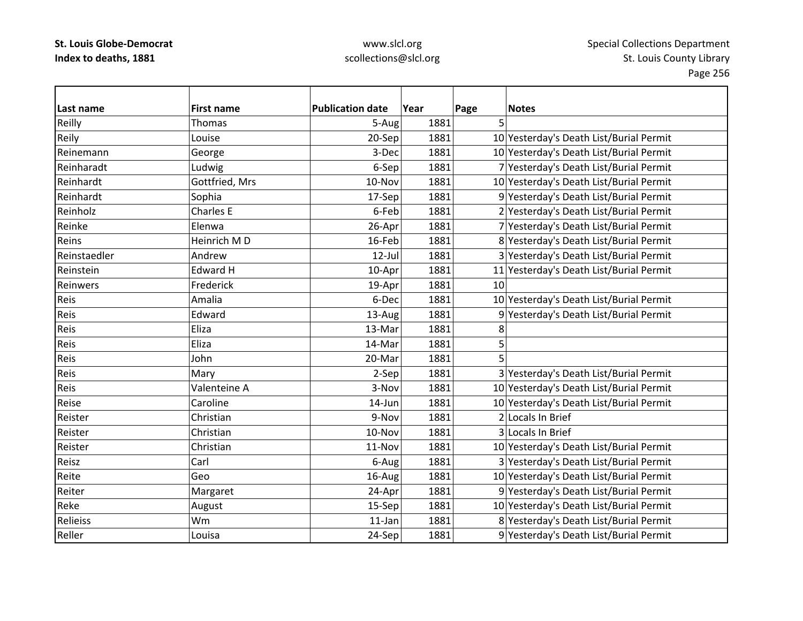## www.slcl.org scollections@slcl.org

 $\overline{\phantom{0}}$ 

| Last name    | <b>First name</b> | <b>Publication date</b> | Year | Page | <b>Notes</b>                            |
|--------------|-------------------|-------------------------|------|------|-----------------------------------------|
| Reilly       | <b>Thomas</b>     | 5-Augl                  | 1881 | 5    |                                         |
| Reily        | Louise            | 20-Sep                  | 1881 |      | 10 Yesterday's Death List/Burial Permit |
| Reinemann    | George            | 3-Dec                   | 1881 |      | 10 Yesterday's Death List/Burial Permit |
| Reinharadt   | Ludwig            | 6-Sep                   | 1881 |      | 7 Yesterday's Death List/Burial Permit  |
| Reinhardt    | Gottfried, Mrs    | 10-Nov                  | 1881 |      | 10 Yesterday's Death List/Burial Permit |
| Reinhardt    | Sophia            | 17-Sep                  | 1881 |      | 9 Yesterday's Death List/Burial Permit  |
| Reinholz     | Charles E         | 6-Feb                   | 1881 |      | 2 Yesterday's Death List/Burial Permit  |
| Reinke       | Elenwa            | 26-Apr                  | 1881 |      | 7 Yesterday's Death List/Burial Permit  |
| Reins        | Heinrich MD       | 16-Feb                  | 1881 |      | 8 Yesterday's Death List/Burial Permit  |
| Reinstaedler | Andrew            | $12$ -Jul               | 1881 |      | 3 Yesterday's Death List/Burial Permit  |
| Reinstein    | <b>Edward H</b>   | 10-Apr                  | 1881 |      | 11 Yesterday's Death List/Burial Permit |
| Reinwers     | Frederick         | 19-Apr                  | 1881 | 10   |                                         |
| Reis         | Amalia            | 6-Dec                   | 1881 |      | 10 Yesterday's Death List/Burial Permit |
| Reis         | Edward            | 13-Aug                  | 1881 |      | 9 Yesterday's Death List/Burial Permit  |
| Reis         | Eliza             | 13-Mar                  | 1881 | 8    |                                         |
| Reis         | Eliza             | 14-Mar                  | 1881 | 5    |                                         |
| Reis         | John              | 20-Mar                  | 1881 | 5    |                                         |
| Reis         | Mary              | 2-Sep                   | 1881 |      | 3 Yesterday's Death List/Burial Permit  |
| Reis         | Valenteine A      | 3-Nov                   | 1881 |      | 10 Yesterday's Death List/Burial Permit |
| Reise        | Caroline          | 14-Jun                  | 1881 |      | 10 Yesterday's Death List/Burial Permit |
| Reister      | Christian         | 9-Nov                   | 1881 |      | 2 Locals In Brief                       |
| Reister      | Christian         | 10-Nov                  | 1881 |      | 3 Locals In Brief                       |
| Reister      | Christian         | 11-Nov                  | 1881 |      | 10 Yesterday's Death List/Burial Permit |
| Reisz        | Carl              | 6-Aug                   | 1881 |      | 3 Yesterday's Death List/Burial Permit  |
| Reite        | Geo               | 16-Aug                  | 1881 |      | 10 Yesterday's Death List/Burial Permit |
| Reiter       | Margaret          | 24-Apr                  | 1881 |      | 9 Yesterday's Death List/Burial Permit  |
| Reke         | August            | 15-Sep                  | 1881 |      | 10 Yesterday's Death List/Burial Permit |
| Relieiss     | Wm                | 11-Jan                  | 1881 |      | 8 Yesterday's Death List/Burial Permit  |
| Reller       | Louisa            | 24-Sep                  | 1881 |      | 9 Yesterday's Death List/Burial Permit  |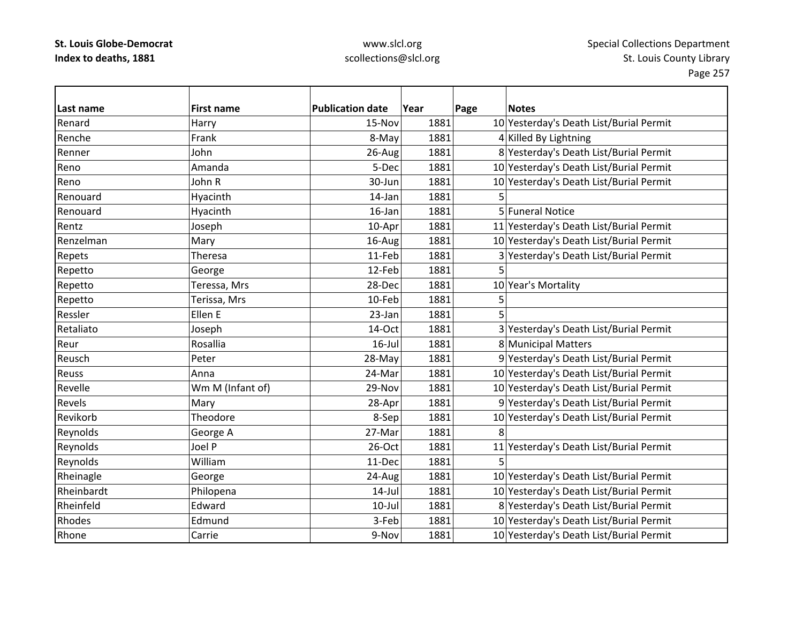| Last name  | <b>First name</b> | <b>Publication date</b> | Year | Page | <b>Notes</b>                            |
|------------|-------------------|-------------------------|------|------|-----------------------------------------|
| Renard     | Harry             | 15-Nov                  | 1881 |      | 10 Yesterday's Death List/Burial Permit |
| Renche     | Frank             | 8-May                   | 1881 |      | 4 Killed By Lightning                   |
| Renner     | John              | 26-Aug                  | 1881 |      | 8 Yesterday's Death List/Burial Permit  |
| Reno       | Amanda            | 5-Dec                   | 1881 |      | 10 Yesterday's Death List/Burial Permit |
| Reno       | John R            | 30-Jun                  | 1881 |      | 10 Yesterday's Death List/Burial Permit |
| Renouard   | Hyacinth          | 14-Jan                  | 1881 |      |                                         |
| Renouard   | Hyacinth          | 16-Jan                  | 1881 |      | 5 Funeral Notice                        |
| Rentz      | Joseph            | 10-Apr                  | 1881 |      | 11 Yesterday's Death List/Burial Permit |
| Renzelman  | Mary              | 16-Aug                  | 1881 |      | 10 Yesterday's Death List/Burial Permit |
| Repets     | Theresa           | 11-Feb                  | 1881 |      | 3 Yesterday's Death List/Burial Permit  |
| Repetto    | George            | 12-Feb                  | 1881 | 5    |                                         |
| Repetto    | Teressa, Mrs      | 28-Dec                  | 1881 |      | 10 Year's Mortality                     |
| Repetto    | Terissa, Mrs      | 10-Feb                  | 1881 | 5    |                                         |
| Ressler    | Ellen E           | 23-Jan                  | 1881 | 5    |                                         |
| Retaliato  | Joseph            | 14-Oct                  | 1881 |      | 3 Yesterday's Death List/Burial Permit  |
| Reur       | Rosallia          | $16$ -Jul               | 1881 |      | 8 Municipal Matters                     |
| Reusch     | Peter             | 28-May                  | 1881 |      | 9 Yesterday's Death List/Burial Permit  |
| Reuss      | Anna              | 24-Mar                  | 1881 |      | 10 Yesterday's Death List/Burial Permit |
| Revelle    | Wm M (Infant of)  | 29-Nov                  | 1881 |      | 10 Yesterday's Death List/Burial Permit |
| Revels     | Mary              | 28-Apr                  | 1881 |      | 9 Yesterday's Death List/Burial Permit  |
| Revikorb   | Theodore          | 8-Sep                   | 1881 |      | 10 Yesterday's Death List/Burial Permit |
| Reynolds   | George A          | 27-Mar                  | 1881 | 8    |                                         |
| Reynolds   | Joel P            | 26-Oct                  | 1881 |      | 11 Yesterday's Death List/Burial Permit |
| Reynolds   | William           | 11-Dec                  | 1881 | 5    |                                         |
| Rheinagle  | George            | 24-Aug                  | 1881 |      | 10 Yesterday's Death List/Burial Permit |
| Rheinbardt | Philopena         | $14$ -Jul               | 1881 |      | 10 Yesterday's Death List/Burial Permit |
| Rheinfeld  | Edward            | $10$ -Jul               | 1881 |      | 8 Yesterday's Death List/Burial Permit  |
| Rhodes     | Edmund            | 3-Feb                   | 1881 |      | 10 Yesterday's Death List/Burial Permit |
| Rhone      | Carrie            | 9-Nov                   | 1881 |      | 10 Yesterday's Death List/Burial Permit |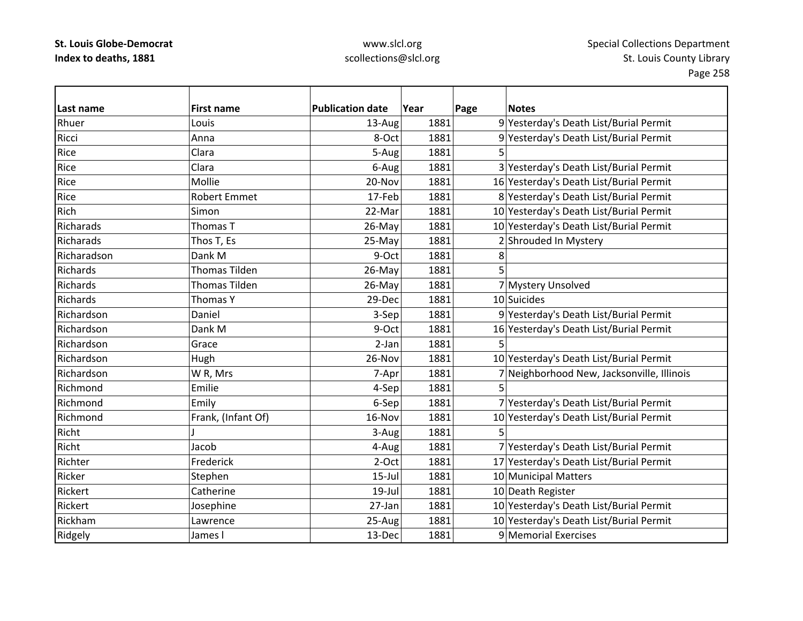## www.slcl.org scollections@slcl.org

 $\overline{\phantom{a}}$ 

| Last name   | <b>First name</b>    | <b>Publication date</b> | Year | Page | <b>Notes</b>                               |
|-------------|----------------------|-------------------------|------|------|--------------------------------------------|
| Rhuer       | Louis                | 13-Aug                  | 1881 |      | 9 Yesterday's Death List/Burial Permit     |
| Ricci       | Anna                 | 8-Oct                   | 1881 |      | 9 Yesterday's Death List/Burial Permit     |
| Rice        | Clara                | 5-Aug                   | 1881 |      |                                            |
| Rice        | Clara                | 6-Aug                   | 1881 |      | 3 Yesterday's Death List/Burial Permit     |
| Rice        | Mollie               | 20-Nov                  | 1881 |      | 16 Yesterday's Death List/Burial Permit    |
| Rice        | <b>Robert Emmet</b>  | 17-Feb                  | 1881 |      | 8 Yesterday's Death List/Burial Permit     |
| Rich        | Simon                | 22-Mar                  | 1881 |      | 10 Yesterday's Death List/Burial Permit    |
| Richarads   | Thomas T             | 26-May                  | 1881 |      | 10 Yesterday's Death List/Burial Permit    |
| Richarads   | Thos T, Es           | 25-May                  | 1881 |      | 2 Shrouded In Mystery                      |
| Richaradson | Dank M               | 9-Oct                   | 1881 | 8    |                                            |
| Richards    | <b>Thomas Tilden</b> | 26-May                  | 1881 | 5    |                                            |
| Richards    | Thomas Tilden        | 26-May                  | 1881 |      | 7 Mystery Unsolved                         |
| Richards    | <b>Thomas Y</b>      | 29-Dec                  | 1881 |      | 10 Suicides                                |
| Richardson  | Daniel               | 3-Sep                   | 1881 |      | 9 Yesterday's Death List/Burial Permit     |
| Richardson  | Dank M               | 9-Oct                   | 1881 |      | 16 Yesterday's Death List/Burial Permit    |
| Richardson  | Grace                | 2-Jan                   | 1881 | 5    |                                            |
| Richardson  | Hugh                 | 26-Nov                  | 1881 |      | 10 Yesterday's Death List/Burial Permit    |
| Richardson  | W R, Mrs             | 7-Apr                   | 1881 |      | 7 Neighborhood New, Jacksonville, Illinois |
| Richmond    | Emilie               | 4-Sep                   | 1881 |      |                                            |
| Richmond    | Emily                | 6-Sep                   | 1881 |      | 7 Yesterday's Death List/Burial Permit     |
| Richmond    | Frank, (Infant Of)   | 16-Nov                  | 1881 |      | 10 Yesterday's Death List/Burial Permit    |
| Richt       |                      | 3-Aug                   | 1881 |      |                                            |
| Richt       | Jacob                | 4-Aug                   | 1881 |      | 7 Yesterday's Death List/Burial Permit     |
| Richter     | Frederick            | $2-Oct$                 | 1881 |      | 17 Yesterday's Death List/Burial Permit    |
| Ricker      | Stephen              | $15$ -Jul               | 1881 |      | 10 Municipal Matters                       |
| Rickert     | Catherine            | $19$ -Jul               | 1881 |      | 10 Death Register                          |
| Rickert     | Josephine            | 27-Jan                  | 1881 |      | 10 Yesterday's Death List/Burial Permit    |
| Rickham     | Lawrence             | 25-Aug                  | 1881 |      | 10 Yesterday's Death List/Burial Permit    |
| Ridgely     | James I              | 13-Dec                  | 1881 |      | 9 Memorial Exercises                       |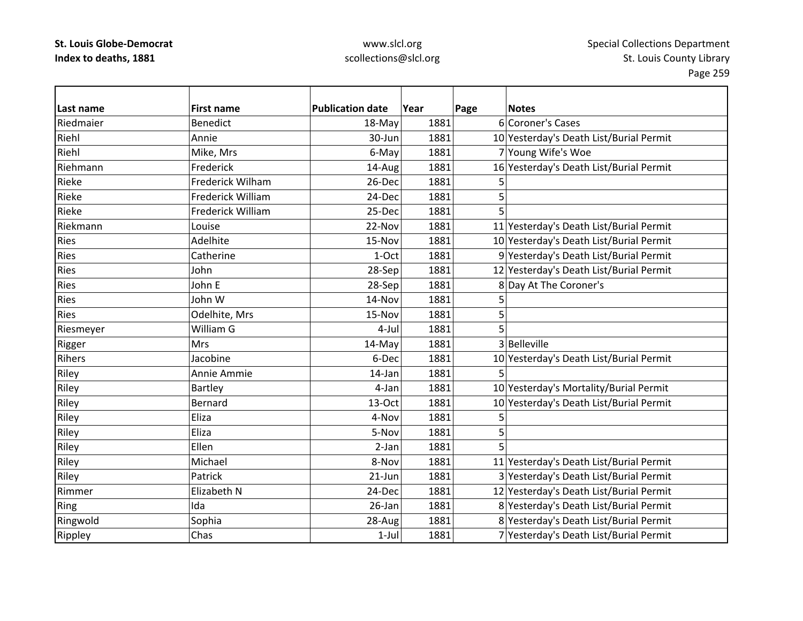| Last name   | <b>First name</b>        | <b>Publication date</b> | Year | Page | <b>Notes</b>                            |
|-------------|--------------------------|-------------------------|------|------|-----------------------------------------|
| Riedmaier   | <b>Benedict</b>          | 18-May                  | 1881 |      | 6 Coroner's Cases                       |
| Riehl       | Annie                    | 30-Jun                  | 1881 |      | 10 Yesterday's Death List/Burial Permit |
| Riehl       | Mike, Mrs                | 6-May                   | 1881 |      | 7 Young Wife's Woe                      |
| Riehmann    | Frederick                | 14-Aug                  | 1881 |      | 16 Yesterday's Death List/Burial Permit |
| Rieke       | Frederick Wilham         | 26-Dec                  | 1881 | 5    |                                         |
| Rieke       | <b>Frederick William</b> | 24-Dec                  | 1881 | 5    |                                         |
| Rieke       | Frederick William        | 25-Dec                  | 1881 | 5    |                                         |
| Riekmann    | Louise                   | 22-Nov                  | 1881 |      | 11 Yesterday's Death List/Burial Permit |
| <b>Ries</b> | Adelhite                 | 15-Nov                  | 1881 |      | 10 Yesterday's Death List/Burial Permit |
| <b>Ries</b> | Catherine                | 1-Oct                   | 1881 |      | 9 Yesterday's Death List/Burial Permit  |
| <b>Ries</b> | John                     | 28-Sep                  | 1881 |      | 12 Yesterday's Death List/Burial Permit |
| <b>Ries</b> | John E                   | 28-Sep                  | 1881 |      | 8 Day At The Coroner's                  |
| Ries        | John W                   | 14-Nov                  | 1881 | 5    |                                         |
| <b>Ries</b> | Odelhite, Mrs            | 15-Nov                  | 1881 | 5    |                                         |
| Riesmeyer   | William G                | 4-Jul                   | 1881 |      |                                         |
| Rigger      | <b>Mrs</b>               | 14-May                  | 1881 |      | 3 Belleville                            |
| Rihers      | Jacobine                 | 6-Dec                   | 1881 |      | 10 Yesterday's Death List/Burial Permit |
| Riley       | Annie Ammie              | 14-Jan                  | 1881 |      |                                         |
| Riley       | Bartley                  | 4-Jan                   | 1881 |      | 10 Yesterday's Mortality/Burial Permit  |
| Riley       | Bernard                  | 13-Oct                  | 1881 |      | 10 Yesterday's Death List/Burial Permit |
| Riley       | Eliza                    | 4-Nov                   | 1881 | 5    |                                         |
| Riley       | Eliza                    | 5-Nov                   | 1881 | 5    |                                         |
| Riley       | <b>Ellen</b>             | 2-Jan                   | 1881 |      |                                         |
| Riley       | Michael                  | 8-Nov                   | 1881 |      | 11 Yesterday's Death List/Burial Permit |
| Riley       | Patrick                  | $21-Jun$                | 1881 |      | 3 Yesterday's Death List/Burial Permit  |
| Rimmer      | Elizabeth N              | 24-Dec                  | 1881 |      | 12 Yesterday's Death List/Burial Permit |
| Ring        | Ida                      | 26-Jan                  | 1881 |      | 8 Yesterday's Death List/Burial Permit  |
| Ringwold    | Sophia                   | 28-Aug                  | 1881 |      | 8 Yesterday's Death List/Burial Permit  |
| Rippley     | Chas                     | $1-Jul$                 | 1881 |      | 7 Yesterday's Death List/Burial Permit  |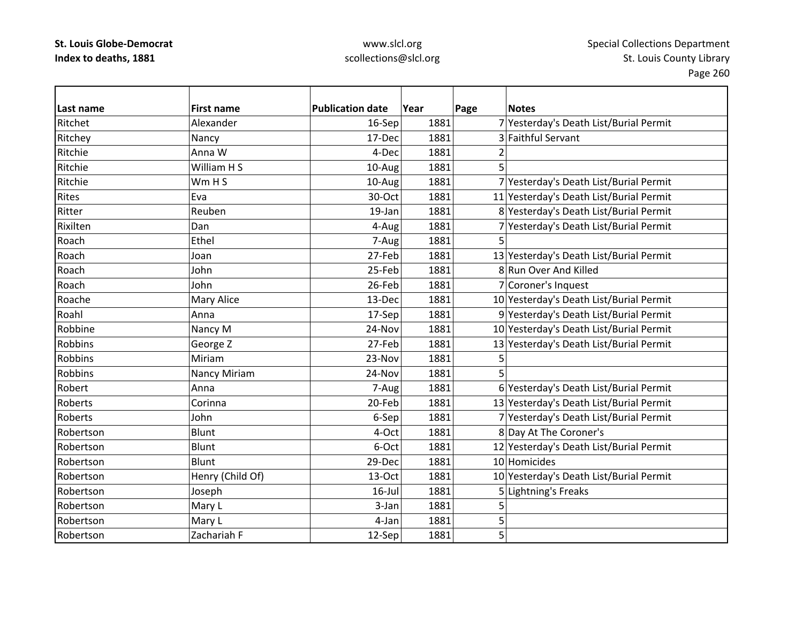| Last name      | <b>First name</b> | <b>Publication date</b> | Year | Page           | <b>Notes</b>                            |
|----------------|-------------------|-------------------------|------|----------------|-----------------------------------------|
| Ritchet        | Alexander         | 16-Sep                  | 1881 |                | 7 Yesterday's Death List/Burial Permit  |
| Ritchey        | Nancy             | 17-Dec                  | 1881 |                | 3 Faithful Servant                      |
| Ritchie        | Anna W            | 4-Dec                   | 1881 | 2              |                                         |
| Ritchie        | William H S       | 10-Aug                  | 1881 | 5              |                                         |
| Ritchie        | Wm H S            | 10-Aug                  | 1881 |                | 7 Yesterday's Death List/Burial Permit  |
| Rites          | Eva               | 30-Oct                  | 1881 |                | 11 Yesterday's Death List/Burial Permit |
| Ritter         | Reuben            | 19-Jan                  | 1881 |                | 8 Yesterday's Death List/Burial Permit  |
| Rixilten       | Dan               | 4-Aug                   | 1881 |                | 7 Yesterday's Death List/Burial Permit  |
| Roach          | Ethel             | 7-Aug                   | 1881 | 5              |                                         |
| Roach          | Joan              | 27-Feb                  | 1881 |                | 13 Yesterday's Death List/Burial Permit |
| Roach          | John              | 25-Feb                  | 1881 |                | 8 Run Over And Killed                   |
| Roach          | John              | 26-Feb                  | 1881 |                | 7 Coroner's Inquest                     |
| Roache         | Mary Alice        | 13-Dec                  | 1881 |                | 10 Yesterday's Death List/Burial Permit |
| Roahl          | Anna              | 17-Sep                  | 1881 |                | 9 Yesterday's Death List/Burial Permit  |
| Robbine        | Nancy M           | 24-Nov                  | 1881 |                | 10 Yesterday's Death List/Burial Permit |
| <b>Robbins</b> | George Z          | 27-Feb                  | 1881 |                | 13 Yesterday's Death List/Burial Permit |
| <b>Robbins</b> | Miriam            | 23-Nov                  | 1881 | 5              |                                         |
| <b>Robbins</b> | Nancy Miriam      | 24-Nov                  | 1881 | 5              |                                         |
| Robert         | Anna              | 7-Aug                   | 1881 |                | 6 Yesterday's Death List/Burial Permit  |
| Roberts        | Corinna           | 20-Feb                  | 1881 |                | 13 Yesterday's Death List/Burial Permit |
| Roberts        | John              | 6-Sep                   | 1881 |                | 7 Yesterday's Death List/Burial Permit  |
| Robertson      | Blunt             | 4-Oct                   | 1881 |                | 8 Day At The Coroner's                  |
| Robertson      | <b>Blunt</b>      | 6-Oct                   | 1881 |                | 12 Yesterday's Death List/Burial Permit |
| Robertson      | Blunt             | 29-Dec                  | 1881 |                | 10 Homicides                            |
| Robertson      | Henry (Child Of)  | 13-Oct                  | 1881 |                | 10 Yesterday's Death List/Burial Permit |
| Robertson      | Joseph            | $16$ -Jul               | 1881 |                | 5 Lightning's Freaks                    |
| Robertson      | Mary L            | 3-Jan                   | 1881 | 5              |                                         |
| Robertson      | Mary L            | 4-Jan                   | 1881 | 5              |                                         |
| Robertson      | Zachariah F       | 12-Sep                  | 1881 | $\overline{5}$ |                                         |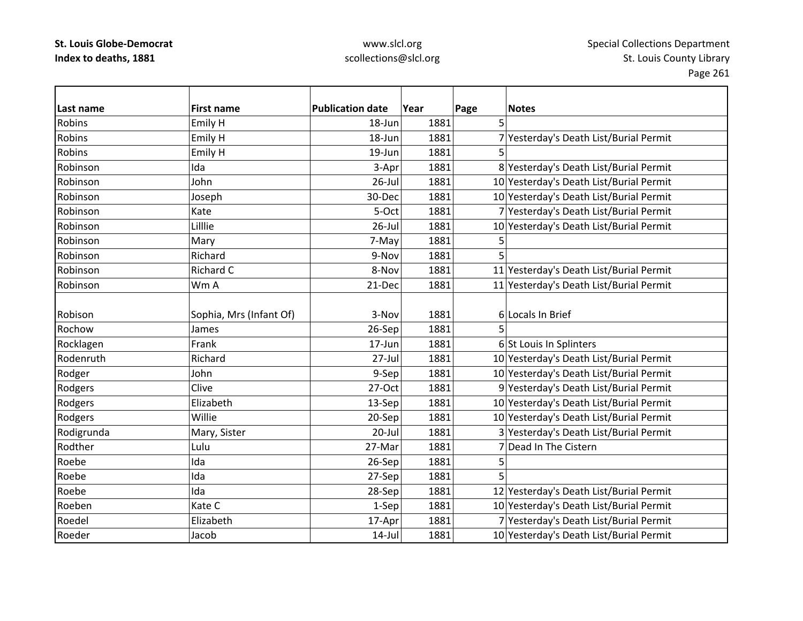| Last name     | <b>First name</b>       | <b>Publication date</b> | Year | Page<br><b>Notes</b>                    |
|---------------|-------------------------|-------------------------|------|-----------------------------------------|
| <b>Robins</b> | Emily H                 | 18-Jun                  | 1881 | 5                                       |
| Robins        | Emily H                 | 18-Jun                  | 1881 | 7 Yesterday's Death List/Burial Permit  |
| Robins        | Emily H                 | 19-Jun                  | 1881 | 5                                       |
| Robinson      | Ida                     | 3-Apr                   | 1881 | 8 Yesterday's Death List/Burial Permit  |
| Robinson      | John                    | $26$ -Jul               | 1881 | 10 Yesterday's Death List/Burial Permit |
| Robinson      | Joseph                  | 30-Dec                  | 1881 | 10 Yesterday's Death List/Burial Permit |
| Robinson      | Kate                    | 5-Oct                   | 1881 | 7 Yesterday's Death List/Burial Permit  |
| Robinson      | Lilllie                 | $26$ -Jul               | 1881 | 10 Yesterday's Death List/Burial Permit |
| Robinson      | Mary                    | 7-May                   | 1881 | 5                                       |
| Robinson      | Richard                 | 9-Nov                   | 1881 | 5                                       |
| Robinson      | Richard C               | 8-Nov                   | 1881 | 11 Yesterday's Death List/Burial Permit |
| Robinson      | Wm A                    | 21-Dec                  | 1881 | 11 Yesterday's Death List/Burial Permit |
|               |                         |                         |      |                                         |
| Robison       | Sophia, Mrs (Infant Of) | 3-Nov                   | 1881 | 6 Locals In Brief                       |
| Rochow        | James                   | 26-Sep                  | 1881 |                                         |
| Rocklagen     | Frank                   | 17-Jun                  | 1881 | 6 St Louis In Splinters                 |
| Rodenruth     | Richard                 | 27-Jul                  | 1881 | 10 Yesterday's Death List/Burial Permit |
| Rodger        | John                    | 9-Sep                   | 1881 | 10 Yesterday's Death List/Burial Permit |
| Rodgers       | Clive                   | 27-Oct                  | 1881 | 9 Yesterday's Death List/Burial Permit  |
| Rodgers       | Elizabeth               | 13-Sep                  | 1881 | 10 Yesterday's Death List/Burial Permit |
| Rodgers       | Willie                  | 20-Sep                  | 1881 | 10 Yesterday's Death List/Burial Permit |
| Rodigrunda    | Mary, Sister            | $20 -$ Jul              | 1881 | 3 Yesterday's Death List/Burial Permit  |
| Rodther       | Lulu                    | 27-Mar                  | 1881 | 7 Dead In The Cistern                   |
| Roebe         | Ida                     | 26-Sep                  | 1881 | 5                                       |
| Roebe         | Ida                     | 27-Sep                  | 1881 | 5                                       |
| Roebe         | Ida                     | 28-Sep                  | 1881 | 12 Yesterday's Death List/Burial Permit |
| Roeben        | Kate C                  | 1-Sep                   | 1881 | 10 Yesterday's Death List/Burial Permit |
| Roedel        | Elizabeth               | 17-Apr                  | 1881 | 7 Yesterday's Death List/Burial Permit  |
| Roeder        | Jacob                   | $14$ -Jul               | 1881 | 10 Yesterday's Death List/Burial Permit |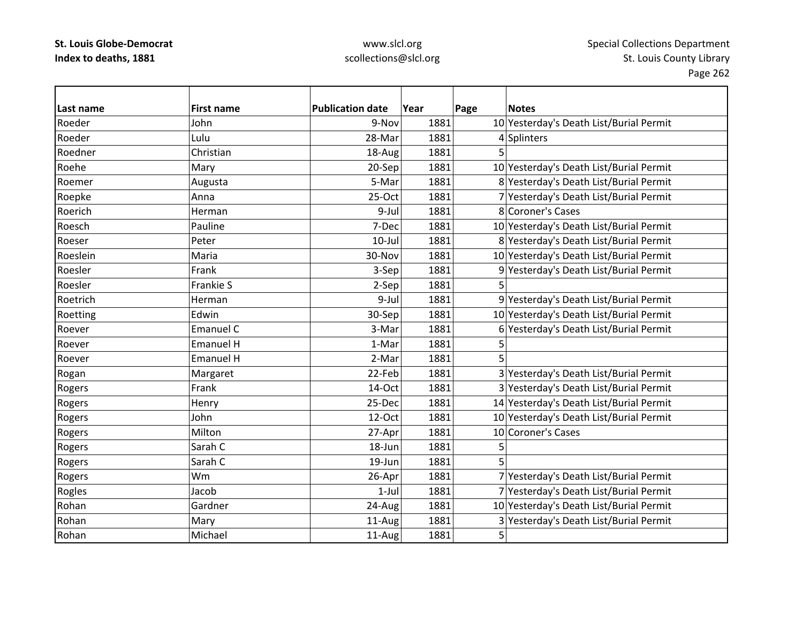## www.slcl.org scollections@slcl.org

 $\overline{\phantom{a}}$ 

| Last name | <b>First name</b> | <b>Publication date</b> | Year | Page | <b>Notes</b>                            |
|-----------|-------------------|-------------------------|------|------|-----------------------------------------|
| Roeder    | John              | 9-Nov                   | 1881 |      | 10 Yesterday's Death List/Burial Permit |
| Roeder    | Lulu              | 28-Mar                  | 1881 |      | 4 Splinters                             |
| Roedner   | Christian         | 18-Aug                  | 1881 |      |                                         |
| Roehe     | Mary              | 20-Sep                  | 1881 |      | 10 Yesterday's Death List/Burial Permit |
| Roemer    | Augusta           | 5-Mar                   | 1881 |      | 8 Yesterday's Death List/Burial Permit  |
| Roepke    | Anna              | 25-Oct                  | 1881 |      | 7 Yesterday's Death List/Burial Permit  |
| Roerich   | Herman            | 9-Jul                   | 1881 |      | 8 Coroner's Cases                       |
| Roesch    | Pauline           | 7-Dec                   | 1881 |      | 10 Yesterday's Death List/Burial Permit |
| Roeser    | Peter             | $10$ -Jul               | 1881 |      | 8 Yesterday's Death List/Burial Permit  |
| Roeslein  | Maria             | 30-Nov                  | 1881 |      | 10 Yesterday's Death List/Burial Permit |
| Roesler   | Frank             | 3-Sep                   | 1881 |      | 9 Yesterday's Death List/Burial Permit  |
| Roesler   | Frankie S         | 2-Sep                   | 1881 | 5    |                                         |
| Roetrich  | Herman            | 9-Jul                   | 1881 |      | 9 Yesterday's Death List/Burial Permit  |
| Roetting  | Edwin             | 30-Sep                  | 1881 |      | 10 Yesterday's Death List/Burial Permit |
| Roever    | Emanuel C         | 3-Mar                   | 1881 |      | 6 Yesterday's Death List/Burial Permit  |
| Roever    | <b>Emanuel H</b>  | 1-Mar                   | 1881 | 5    |                                         |
| Roever    | <b>Emanuel H</b>  | 2-Mar                   | 1881 | 5    |                                         |
| Rogan     | Margaret          | 22-Feb                  | 1881 |      | 3 Yesterday's Death List/Burial Permit  |
| Rogers    | Frank             | 14-Oct                  | 1881 |      | 3 Yesterday's Death List/Burial Permit  |
| Rogers    | Henry             | 25-Dec                  | 1881 |      | 14 Yesterday's Death List/Burial Permit |
| Rogers    | John              | 12-Oct                  | 1881 |      | 10 Yesterday's Death List/Burial Permit |
| Rogers    | Milton            | 27-Apr                  | 1881 |      | 10 Coroner's Cases                      |
| Rogers    | Sarah C           | 18-Jun                  | 1881 | 5    |                                         |
| Rogers    | Sarah C           | $19 - Jun$              | 1881 | 5    |                                         |
| Rogers    | Wm                | 26-Apr                  | 1881 |      | 7 Yesterday's Death List/Burial Permit  |
| Rogles    | Jacob             | $1$ -Jul                | 1881 |      | 7 Yesterday's Death List/Burial Permit  |
| Rohan     | Gardner           | 24-Aug                  | 1881 |      | 10 Yesterday's Death List/Burial Permit |
| Rohan     | Mary              | 11-Aug                  | 1881 |      | 3 Yesterday's Death List/Burial Permit  |
| Rohan     | Michael           | 11-Aug                  | 1881 | 5    |                                         |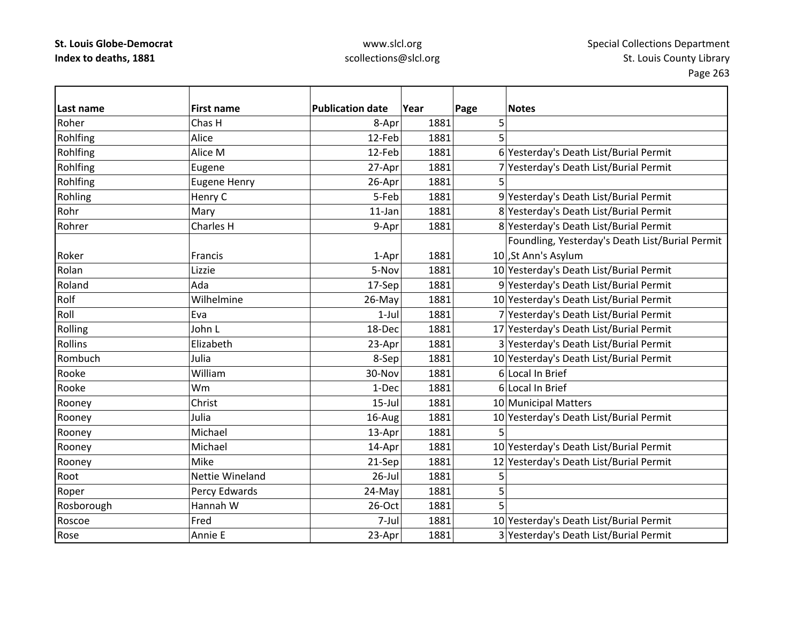| lLast name | <b>First name</b>   | <b>Publication date</b> | Year | Page | <b>Notes</b>                                    |
|------------|---------------------|-------------------------|------|------|-------------------------------------------------|
| Roher      | Chas H              | 8-Apr                   | 1881 | 5    |                                                 |
| Rohlfing   | Alice               | 12-Feb                  | 1881 | 5    |                                                 |
| Rohlfing   | Alice M             | 12-Feb                  | 1881 |      | 6 Yesterday's Death List/Burial Permit          |
| Rohlfing   | Eugene              | 27-Apr                  | 1881 |      | 7 Yesterday's Death List/Burial Permit          |
| Rohlfing   | <b>Eugene Henry</b> | 26-Apr                  | 1881 | 5    |                                                 |
| Rohling    | Henry C             | 5-Feb                   | 1881 |      | 9 Yesterday's Death List/Burial Permit          |
| Rohr       | Mary                | $11$ -Jan               | 1881 |      | 8 Yesterday's Death List/Burial Permit          |
| Rohrer     | Charles H           | 9-Apr                   | 1881 |      | 8 Yesterday's Death List/Burial Permit          |
|            |                     |                         |      |      | Foundling, Yesterday's Death List/Burial Permit |
| Roker      | Francis             | 1-Apr                   | 1881 |      | 10, St Ann's Asylum                             |
| Rolan      | Lizzie              | 5-Nov                   | 1881 |      | 10 Yesterday's Death List/Burial Permit         |
| Roland     | Ada                 | 17-Sep                  | 1881 |      | 9 Yesterday's Death List/Burial Permit          |
| Rolf       | Wilhelmine          | 26-May                  | 1881 |      | 10 Yesterday's Death List/Burial Permit         |
| Roll       | Eva                 | $1-Jul$                 | 1881 |      | 7 Yesterday's Death List/Burial Permit          |
| Rolling    | John L              | 18-Dec                  | 1881 |      | 17 Yesterday's Death List/Burial Permit         |
| Rollins    | Elizabeth           | 23-Apr                  | 1881 |      | 3 Yesterday's Death List/Burial Permit          |
| Rombuch    | Julia               | 8-Sep                   | 1881 |      | 10 Yesterday's Death List/Burial Permit         |
| Rooke      | William             | 30-Nov                  | 1881 |      | 6 Local In Brief                                |
| Rooke      | Wm                  | 1-Dec                   | 1881 |      | 6 Local In Brief                                |
| Rooney     | Christ              | $15$ -Jul               | 1881 |      | 10 Municipal Matters                            |
| Rooney     | Julia               | 16-Aug                  | 1881 |      | 10 Yesterday's Death List/Burial Permit         |
| Rooney     | Michael             | 13-Apr                  | 1881 |      |                                                 |
| Rooney     | Michael             | 14-Apr                  | 1881 |      | 10 Yesterday's Death List/Burial Permit         |
| Rooney     | Mike                | 21-Sep                  | 1881 |      | 12 Yesterday's Death List/Burial Permit         |
| Root       | Nettie Wineland     | $26$ -Jul               | 1881 | 5    |                                                 |
| Roper      | Percy Edwards       | 24-May                  | 1881 | 5    |                                                 |
| Rosborough | Hannah W            | 26-Oct                  | 1881 | 5    |                                                 |
| Roscoe     | Fred                | 7-Jul                   | 1881 |      | 10 Yesterday's Death List/Burial Permit         |
| Rose       | Annie E             | 23-Apr                  | 1881 |      | 3 Yesterday's Death List/Burial Permit          |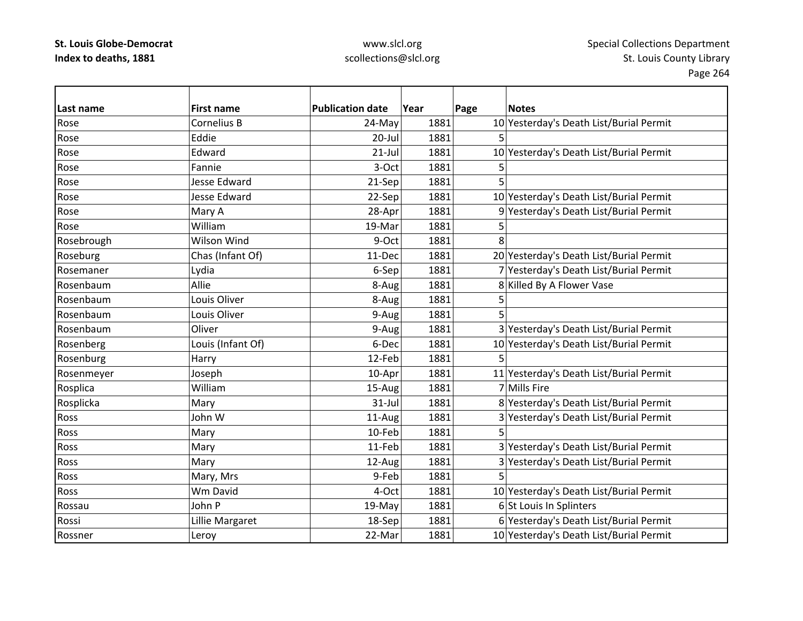| Last name  | <b>First name</b>   | <b>Publication date</b> | Year | Page | <b>Notes</b>                            |
|------------|---------------------|-------------------------|------|------|-----------------------------------------|
| Rose       | Cornelius B         | 24-May                  | 1881 |      | 10 Yesterday's Death List/Burial Permit |
| Rose       | Eddie               | 20-Jul                  | 1881 | 5    |                                         |
| Rose       | Edward              | $21$ -Jul               | 1881 |      | 10 Yesterday's Death List/Burial Permit |
| Rose       | Fannie              | 3-Oct                   | 1881 |      |                                         |
| Rose       | <b>Jesse Edward</b> | 21-Sep                  | 1881 |      |                                         |
| Rose       | <b>Jesse Edward</b> | 22-Sep                  | 1881 |      | 10 Yesterday's Death List/Burial Permit |
| Rose       | Mary A              | 28-Apr                  | 1881 |      | 9 Yesterday's Death List/Burial Permit  |
| Rose       | William             | 19-Mar                  | 1881 | 5    |                                         |
| Rosebrough | Wilson Wind         | 9-Oct                   | 1881 | 8    |                                         |
| Roseburg   | Chas (Infant Of)    | 11-Dec                  | 1881 |      | 20 Yesterday's Death List/Burial Permit |
| Rosemaner  | Lydia               | 6-Sep                   | 1881 |      | 7 Yesterday's Death List/Burial Permit  |
| Rosenbaum  | Allie               | 8-Aug                   | 1881 |      | 8 Killed By A Flower Vase               |
| Rosenbaum  | Louis Oliver        | 8-Aug                   | 1881 | 5    |                                         |
| Rosenbaum  | Louis Oliver        | 9-Aug                   | 1881 | 5    |                                         |
| Rosenbaum  | Oliver              | 9-Aug                   | 1881 |      | 3 Yesterday's Death List/Burial Permit  |
| Rosenberg  | Louis (Infant Of)   | 6-Dec                   | 1881 |      | 10 Yesterday's Death List/Burial Permit |
| Rosenburg  | Harry               | 12-Feb                  | 1881 | 5    |                                         |
| Rosenmeyer | Joseph              | 10-Apr                  | 1881 |      | 11 Yesterday's Death List/Burial Permit |
| Rosplica   | William             | 15-Aug                  | 1881 |      | 7 Mills Fire                            |
| Rosplicka  | Mary                | $31$ -Jul               | 1881 |      | 8 Yesterday's Death List/Burial Permit  |
| Ross       | John W              | 11-Aug                  | 1881 |      | 3 Yesterday's Death List/Burial Permit  |
| Ross       | Mary                | 10-Feb                  | 1881 |      |                                         |
| Ross       | Mary                | 11-Feb                  | 1881 |      | 3 Yesterday's Death List/Burial Permit  |
| Ross       | Mary                | 12-Aug                  | 1881 |      | 3 Yesterday's Death List/Burial Permit  |
| Ross       | Mary, Mrs           | 9-Feb                   | 1881 |      |                                         |
| Ross       | Wm David            | 4-Oct                   | 1881 |      | 10 Yesterday's Death List/Burial Permit |
| Rossau     | John P              | 19-May                  | 1881 |      | 6 St Louis In Splinters                 |
| Rossi      | Lillie Margaret     | 18-Sep                  | 1881 |      | 6 Yesterday's Death List/Burial Permit  |
| Rossner    | Leroy               | 22-Mar                  | 1881 |      | 10 Yesterday's Death List/Burial Permit |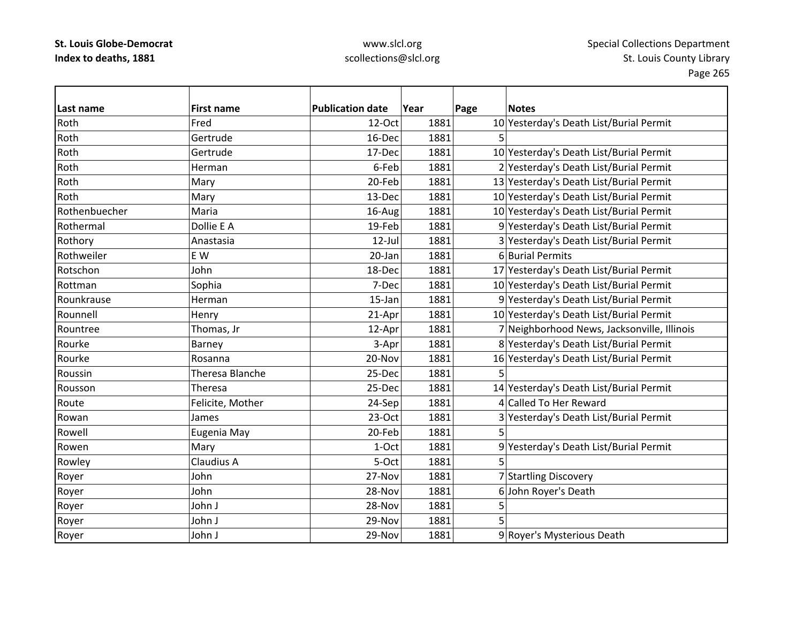## www.slcl.org scollections@slcl.org

 $\overline{\phantom{0}}$ 

| Last name     | <b>First name</b> | <b>Publication date</b> | Year | Page | <b>Notes</b>                                |
|---------------|-------------------|-------------------------|------|------|---------------------------------------------|
| Roth          | Fred              | 12-Oct                  | 1881 |      | 10 Yesterday's Death List/Burial Permit     |
| Roth          | Gertrude          | 16-Dec                  | 1881 | 5    |                                             |
| Roth          | Gertrude          | 17-Dec                  | 1881 |      | 10 Yesterday's Death List/Burial Permit     |
| Roth          | Herman            | 6-Feb                   | 1881 |      | 2 Yesterday's Death List/Burial Permit      |
| Roth          | Mary              | 20-Feb                  | 1881 |      | 13 Yesterday's Death List/Burial Permit     |
| Roth          | Mary              | 13-Dec                  | 1881 |      | 10 Yesterday's Death List/Burial Permit     |
| Rothenbuecher | Maria             | 16-Aug                  | 1881 |      | 10 Yesterday's Death List/Burial Permit     |
| Rothermal     | Dollie E A        | 19-Feb                  | 1881 |      | 9 Yesterday's Death List/Burial Permit      |
| Rothory       | Anastasia         | $12$ -Jul               | 1881 |      | 3 Yesterday's Death List/Burial Permit      |
| Rothweiler    | E W               | 20-Jan                  | 1881 |      | 6 Burial Permits                            |
| Rotschon      | John              | 18-Dec                  | 1881 |      | 17 Yesterday's Death List/Burial Permit     |
| Rottman       | Sophia            | 7-Dec                   | 1881 |      | 10 Yesterday's Death List/Burial Permit     |
| Rounkrause    | Herman            | $15$ -Jan               | 1881 |      | 9 Yesterday's Death List/Burial Permit      |
| Rounnell      | Henry             | 21-Apr                  | 1881 |      | 10 Yesterday's Death List/Burial Permit     |
| Rountree      | Thomas, Jr        | 12-Apr                  | 1881 |      | 7 Neighborhood News, Jacksonville, Illinois |
| Rourke        | Barney            | 3-Apr                   | 1881 |      | 8 Yesterday's Death List/Burial Permit      |
| Rourke        | Rosanna           | 20-Nov                  | 1881 |      | 16 Yesterday's Death List/Burial Permit     |
| Roussin       | Theresa Blanche   | 25-Dec                  | 1881 |      |                                             |
| Rousson       | Theresa           | 25-Dec                  | 1881 |      | 14 Yesterday's Death List/Burial Permit     |
| Route         | Felicite, Mother  | 24-Sep                  | 1881 |      | 4 Called To Her Reward                      |
| Rowan         | James             | 23-Oct                  | 1881 |      | 3 Yesterday's Death List/Burial Permit      |
| Rowell        | Eugenia May       | 20-Feb                  | 1881 | 5    |                                             |
| Rowen         | Mary              | 1-Oct                   | 1881 |      | 9 Yesterday's Death List/Burial Permit      |
| Rowley        | Claudius A        | 5-Oct                   | 1881 | 5    |                                             |
| Royer         | John              | 27-Nov                  | 1881 |      | 7 Startling Discovery                       |
| Royer         | John              | 28-Nov                  | 1881 |      | 6John Royer's Death                         |
| Royer         | John J            | 28-Nov                  | 1881 | 5    |                                             |
| Royer         | John J            | 29-Nov                  | 1881 | 5    |                                             |
| Royer         | John J            | 29-Nov                  | 1881 |      | 9 Royer's Mysterious Death                  |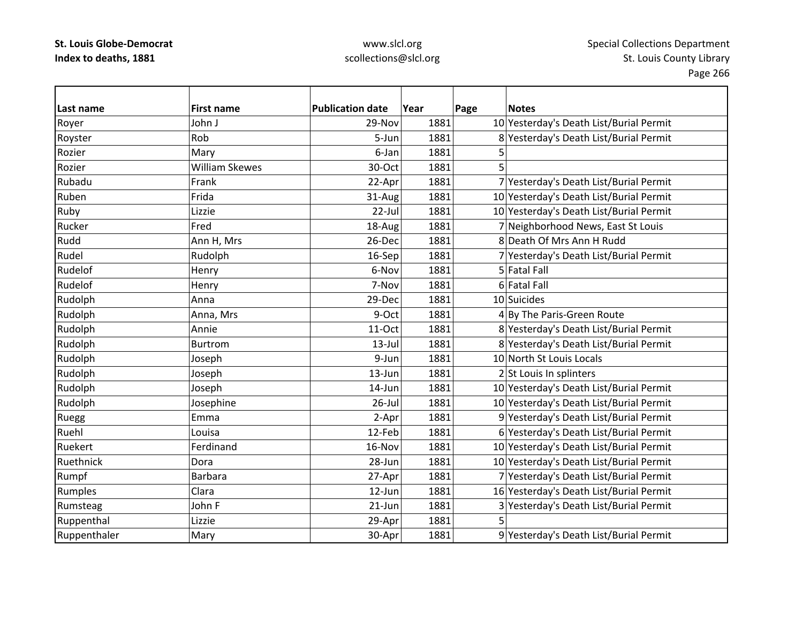| Last name    | <b>First name</b>     | <b>Publication date</b> | Year | Page | <b>Notes</b>                            |
|--------------|-----------------------|-------------------------|------|------|-----------------------------------------|
| Royer        | John J                | 29-Nov                  | 1881 |      | 10 Yesterday's Death List/Burial Permit |
| Royster      | Rob                   | 5-Jun                   | 1881 |      | 8 Yesterday's Death List/Burial Permit  |
| Rozier       | Mary                  | 6-Jan                   | 1881 | 5    |                                         |
| Rozier       | <b>William Skewes</b> | 30-Oct                  | 1881 | 5    |                                         |
| Rubadu       | Frank                 | 22-Apr                  | 1881 |      | 7 Yesterday's Death List/Burial Permit  |
| Ruben        | Frida                 | 31-Aug                  | 1881 |      | 10 Yesterday's Death List/Burial Permit |
| Ruby         | Lizzie                | 22-Jul                  | 1881 |      | 10 Yesterday's Death List/Burial Permit |
| Rucker       | Fred                  | 18-Aug                  | 1881 |      | 7 Neighborhood News, East St Louis      |
| Rudd         | Ann H, Mrs            | 26-Dec                  | 1881 |      | 8 Death Of Mrs Ann H Rudd               |
| Rudel        | Rudolph               | 16-Sep                  | 1881 |      | 7 Yesterday's Death List/Burial Permit  |
| Rudelof      | Henry                 | 6-Nov                   | 1881 |      | 5 Fatal Fall                            |
| Rudelof      | Henry                 | 7-Nov                   | 1881 |      | 6 Fatal Fall                            |
| Rudolph      | Anna                  | 29-Dec                  | 1881 |      | 10 Suicides                             |
| Rudolph      | Anna, Mrs             | 9-Oct                   | 1881 |      | 4 By The Paris-Green Route              |
| Rudolph      | Annie                 | 11-Oct                  | 1881 |      | 8 Yesterday's Death List/Burial Permit  |
| Rudolph      | Burtrom               | $13$ -Jul               | 1881 |      | 8 Yesterday's Death List/Burial Permit  |
| Rudolph      | Joseph                | 9-Jun                   | 1881 |      | 10 North St Louis Locals                |
| Rudolph      | Joseph                | 13-Jun                  | 1881 |      | 2 St Louis In splinters                 |
| Rudolph      | Joseph                | 14-Jun                  | 1881 |      | 10 Yesterday's Death List/Burial Permit |
| Rudolph      | Josephine             | $26$ -Jul               | 1881 |      | 10 Yesterday's Death List/Burial Permit |
| Ruegg        | Emma                  | 2-Apr                   | 1881 |      | 9 Yesterday's Death List/Burial Permit  |
| Ruehl        | Louisa                | 12-Feb                  | 1881 |      | 6 Yesterday's Death List/Burial Permit  |
| Ruekert      | Ferdinand             | 16-Nov                  | 1881 |      | 10 Yesterday's Death List/Burial Permit |
| Ruethnick    | Dora                  | 28-Jun                  | 1881 |      | 10 Yesterday's Death List/Burial Permit |
| Rumpf        | <b>Barbara</b>        | 27-Apr                  | 1881 |      | 7 Yesterday's Death List/Burial Permit  |
| Rumples      | Clara                 | 12-Jun                  | 1881 |      | 16 Yesterday's Death List/Burial Permit |
| Rumsteag     | John F                | $21$ -Jun               | 1881 |      | 3 Yesterday's Death List/Burial Permit  |
| Ruppenthal   | Lizzie                | 29-Apr                  | 1881 | 5    |                                         |
| Ruppenthaler | Mary                  | 30-Apr                  | 1881 |      | 9 Yesterday's Death List/Burial Permit  |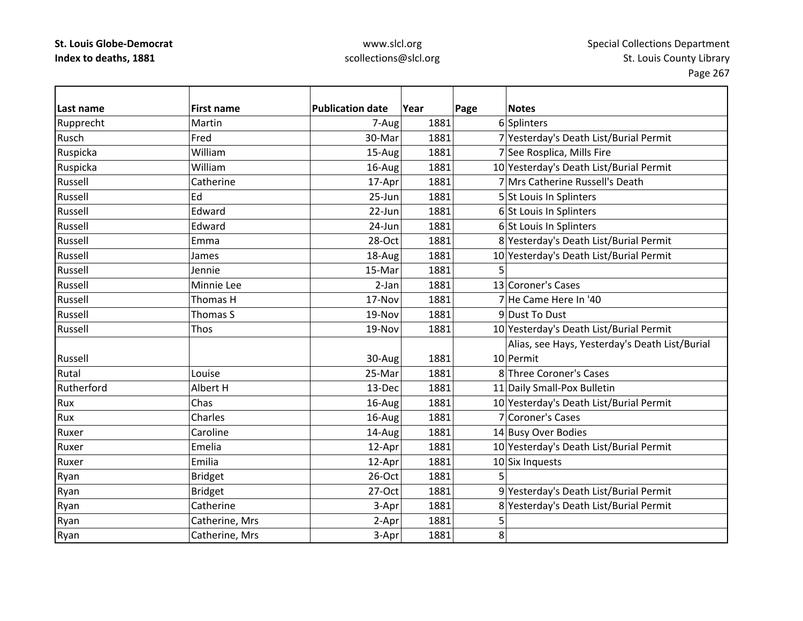| Last name  | <b>First name</b> | <b>Publication date</b> | Year | <b>Notes</b><br>Page                           |
|------------|-------------------|-------------------------|------|------------------------------------------------|
| Rupprecht  | Martin            | 7-Aug                   | 1881 | 6 Splinters                                    |
| Rusch      | Fred              | 30-Mar                  | 1881 | 7 Yesterday's Death List/Burial Permit         |
| Ruspicka   | William           | 15-Aug                  | 1881 | 7 See Rosplica, Mills Fire                     |
| Ruspicka   | William           | 16-Aug                  | 1881 | 10 Yesterday's Death List/Burial Permit        |
| Russell    | Catherine         | 17-Apr                  | 1881 | 7 Mrs Catherine Russell's Death                |
| Russell    | Ed                | 25-Jun                  | 1881 | 5 St Louis In Splinters                        |
| Russell    | Edward            | 22-Jun                  | 1881 | 6 St Louis In Splinters                        |
| Russell    | Edward            | 24-Jun                  | 1881 | 6 St Louis In Splinters                        |
| Russell    | Emma              | 28-Oct                  | 1881 | 8 Yesterday's Death List/Burial Permit         |
| Russell    | James             | 18-Aug                  | 1881 | 10 Yesterday's Death List/Burial Permit        |
| Russell    | Jennie            | 15-Mar                  | 1881 | 5                                              |
| Russell    | Minnie Lee        | 2-Jan                   | 1881 | 13 Coroner's Cases                             |
| Russell    | Thomas H          | 17-Nov                  | 1881 | 7 He Came Here In '40                          |
| Russell    | Thomas S          | 19-Nov                  | 1881 | 9Dust To Dust                                  |
| Russell    | Thos              | 19-Nov                  | 1881 | 10 Yesterday's Death List/Burial Permit        |
|            |                   |                         |      | Alias, see Hays, Yesterday's Death List/Burial |
| Russell    |                   | 30-Aug                  | 1881 | 10 Permit                                      |
| Rutal      | Louise            | 25-Mar                  | 1881 | 8 Three Coroner's Cases                        |
| Rutherford | Albert H          | 13-Dec                  | 1881 | 11 Daily Small-Pox Bulletin                    |
| Rux        | Chas              | 16-Aug                  | 1881 | 10 Yesterday's Death List/Burial Permit        |
| Rux        | Charles           | 16-Aug                  | 1881 | 7 Coroner's Cases                              |
| Ruxer      | Caroline          | 14-Aug                  | 1881 | 14 Busy Over Bodies                            |
| Ruxer      | Emelia            | 12-Apr                  | 1881 | 10 Yesterday's Death List/Burial Permit        |
| Ruxer      | Emilia            | 12-Apr                  | 1881 | $10$ Six Inquests                              |
| Ryan       | <b>Bridget</b>    | 26-Oct                  | 1881 | 5                                              |
| Ryan       | <b>Bridget</b>    | $27-Oct$                | 1881 | 9 Yesterday's Death List/Burial Permit         |
| Ryan       | Catherine         | 3-Apr                   | 1881 | 8 Yesterday's Death List/Burial Permit         |
| Ryan       | Catherine, Mrs    | 2-Apr                   | 1881 | 5                                              |
| Ryan       | Catherine, Mrs    | 3-Apr                   | 1881 | 8                                              |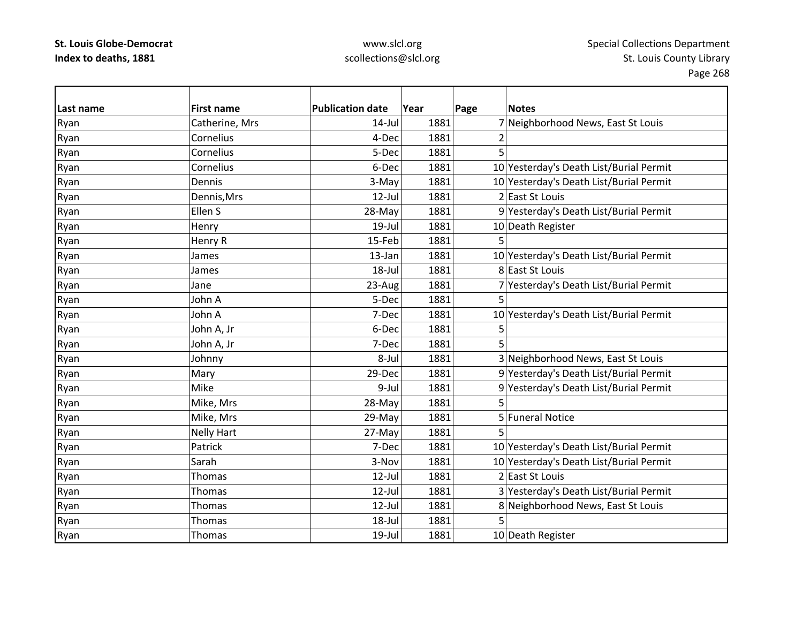| Last name | <b>First name</b> | <b>Publication date</b> | Year | Page | <b>Notes</b>                            |
|-----------|-------------------|-------------------------|------|------|-----------------------------------------|
| Ryan      | Catherine, Mrs    | $14$ -Jul               | 1881 |      | 7 Neighborhood News, East St Louis      |
| Ryan      | Cornelius         | 4-Dec                   | 1881 |      |                                         |
| Ryan      | Cornelius         | 5-Dec                   | 1881 | 5    |                                         |
| Ryan      | Cornelius         | 6-Dec                   | 1881 |      | 10 Yesterday's Death List/Burial Permit |
| Ryan      | Dennis            | 3-May                   | 1881 |      | 10 Yesterday's Death List/Burial Permit |
| Ryan      | Dennis, Mrs       | $12$ -Jul               | 1881 |      | 2 East St Louis                         |
| Ryan      | Ellen S           | 28-May                  | 1881 |      | 9 Yesterday's Death List/Burial Permit  |
| Ryan      | Henry             | $19$ -Jul               | 1881 |      | 10 Death Register                       |
| Ryan      | Henry R           | 15-Feb                  | 1881 | 5    |                                         |
| Ryan      | James             | 13-Jan                  | 1881 |      | 10 Yesterday's Death List/Burial Permit |
| Ryan      | James             | $18 -$ Jul              | 1881 |      | 8 East St Louis                         |
| Ryan      | Jane              | 23-Aug                  | 1881 |      | 7 Yesterday's Death List/Burial Permit  |
| Ryan      | John A            | 5-Dec                   | 1881 |      |                                         |
| Ryan      | John A            | 7-Dec                   | 1881 |      | 10 Yesterday's Death List/Burial Permit |
| Ryan      | John A, Jr        | 6-Dec                   | 1881 | 5    |                                         |
| Ryan      | John A, Jr        | 7-Dec                   | 1881 | 5    |                                         |
| Ryan      | Johnny            | 8-Jul                   | 1881 |      | 3 Neighborhood News, East St Louis      |
| Ryan      | Mary              | 29-Dec                  | 1881 |      | 9 Yesterday's Death List/Burial Permit  |
| Ryan      | Mike              | 9-Jul                   | 1881 |      | 9 Yesterday's Death List/Burial Permit  |
| Ryan      | Mike, Mrs         | 28-May                  | 1881 | 5    |                                         |
| Ryan      | Mike, Mrs         | 29-May                  | 1881 |      | 5 Funeral Notice                        |
| Ryan      | <b>Nelly Hart</b> | 27-May                  | 1881 |      |                                         |
| Ryan      | Patrick           | 7-Dec                   | 1881 |      | 10 Yesterday's Death List/Burial Permit |
| Ryan      | Sarah             | 3-Nov                   | 1881 |      | 10 Yesterday's Death List/Burial Permit |
| Ryan      | Thomas            | $12$ -Jul               | 1881 |      | 2 East St Louis                         |
| Ryan      | Thomas            | $12$ -Jul               | 1881 |      | 3 Yesterday's Death List/Burial Permit  |
| Ryan      | Thomas            | $12$ -Jul               | 1881 |      | 8 Neighborhood News, East St Louis      |
| Ryan      | <b>Thomas</b>     | 18-Jul                  | 1881 |      |                                         |
| Ryan      | Thomas            | $19$ -Jul               | 1881 |      | 10 Death Register                       |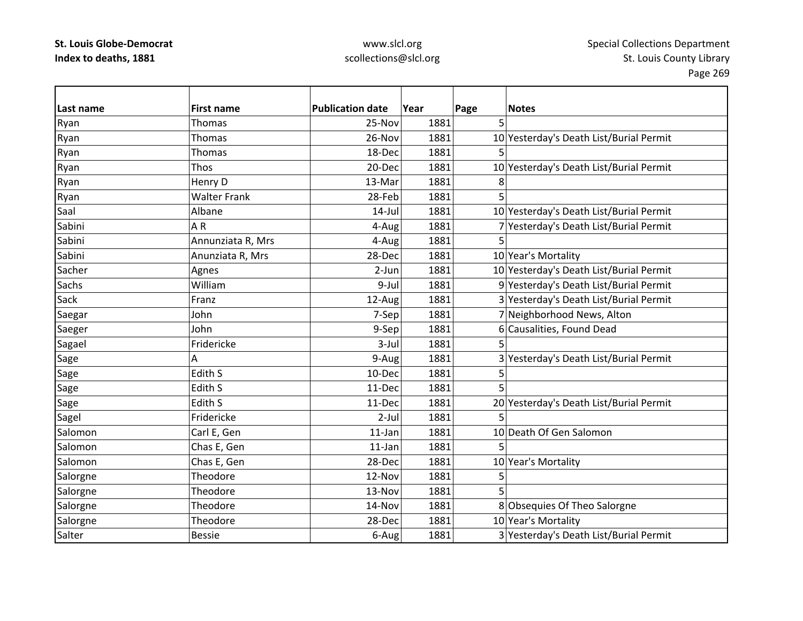| Last name | <b>First name</b>   | <b>Publication date</b> | Year | Page | <b>Notes</b>                            |
|-----------|---------------------|-------------------------|------|------|-----------------------------------------|
| Ryan      | Thomas              | 25-Nov                  | 1881 | 5    |                                         |
| Ryan      | Thomas              | 26-Nov                  | 1881 |      | 10 Yesterday's Death List/Burial Permit |
| Ryan      | Thomas              | 18-Dec                  | 1881 |      |                                         |
| Ryan      | Thos                | 20-Dec                  | 1881 |      | 10 Yesterday's Death List/Burial Permit |
| Ryan      | Henry D             | 13-Mar                  | 1881 | 8    |                                         |
| Ryan      | <b>Walter Frank</b> | 28-Feb                  | 1881 | 5    |                                         |
| Saal      | Albane              | $14$ -Jul               | 1881 |      | 10 Yesterday's Death List/Burial Permit |
| Sabini    | AR                  | 4-Aug                   | 1881 |      | Yesterday's Death List/Burial Permit    |
| Sabini    | Annunziata R, Mrs   | 4-Aug                   | 1881 | 5    |                                         |
| Sabini    | Anunziata R, Mrs    | 28-Dec                  | 1881 |      | 10 Year's Mortality                     |
| Sacher    | Agnes               | $2-Jun$                 | 1881 |      | 10 Yesterday's Death List/Burial Permit |
| Sachs     | William             | 9-Jul                   | 1881 |      | 9 Yesterday's Death List/Burial Permit  |
| Sack      | Franz               | 12-Aug                  | 1881 |      | 3 Yesterday's Death List/Burial Permit  |
| Saegar    | John                | 7-Sep                   | 1881 |      | 7 Neighborhood News, Alton              |
| Saeger    | John                | 9-Sep                   | 1881 |      | 6 Causalities, Found Dead               |
| Sagael    | Fridericke          | 3-Jul                   | 1881 | 5    |                                         |
| Sage      | Α                   | 9-Aug                   | 1881 |      | 3 Yesterday's Death List/Burial Permit  |
| Sage      | Edith S             | 10-Dec                  | 1881 | 5    |                                         |
| Sage      | Edith S             | 11-Dec                  | 1881 | 5    |                                         |
| Sage      | Edith S             | 11-Dec                  | 1881 |      | 20 Yesterday's Death List/Burial Permit |
| Sagel     | Fridericke          | $2$ -Jul                | 1881 | 5    |                                         |
| Salomon   | Carl E, Gen         | $11$ -Jan               | 1881 |      | 10 Death Of Gen Salomon                 |
| Salomon   | Chas E, Gen         | $11$ -Jan               | 1881 |      |                                         |
| Salomon   | Chas E, Gen         | 28-Dec                  | 1881 |      | 10 Year's Mortality                     |
| Salorgne  | Theodore            | 12-Nov                  | 1881 | 5    |                                         |
| Salorgne  | Theodore            | 13-Nov                  | 1881 | 5    |                                         |
| Salorgne  | Theodore            | 14-Nov                  | 1881 |      | 8 Obsequies Of Theo Salorgne            |
| Salorgne  | Theodore            | 28-Dec                  | 1881 |      | 10 Year's Mortality                     |
| Salter    | <b>Bessie</b>       | 6-Aug                   | 1881 |      | 3 Yesterday's Death List/Burial Permit  |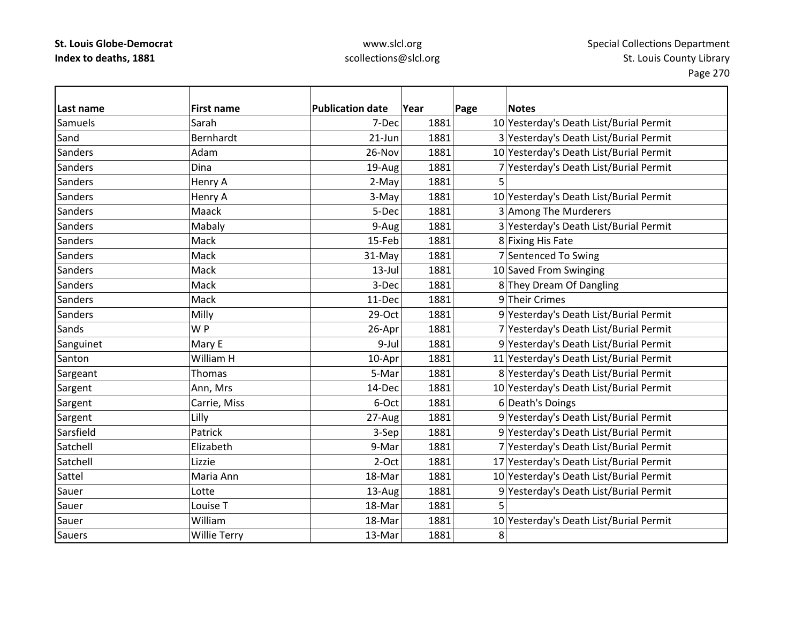## www.slcl.org scollections@slcl.org

 $\overline{\phantom{0}}$ 

| Last name      | <b>First name</b>   | <b>Publication date</b> | Year | Page | <b>Notes</b>                            |
|----------------|---------------------|-------------------------|------|------|-----------------------------------------|
| <b>Samuels</b> | Sarah               | 7-Dec                   | 1881 |      | 10 Yesterday's Death List/Burial Permit |
| Sand           | Bernhardt           | $21$ -Jun               | 1881 |      | 3 Yesterday's Death List/Burial Permit  |
| Sanders        | Adam                | 26-Nov                  | 1881 |      | 10 Yesterday's Death List/Burial Permit |
| Sanders        | Dina                | 19-Aug                  | 1881 |      | 7 Yesterday's Death List/Burial Permit  |
| Sanders        | Henry A             | 2-May                   | 1881 | 5    |                                         |
| Sanders        | Henry A             | 3-May                   | 1881 |      | 10 Yesterday's Death List/Burial Permit |
| Sanders        | Maack               | 5-Dec                   | 1881 |      | 3 Among The Murderers                   |
| Sanders        | Mabaly              | 9-Aug                   | 1881 |      | 3 Yesterday's Death List/Burial Permit  |
| Sanders        | Mack                | 15-Feb                  | 1881 |      | 8 Fixing His Fate                       |
| Sanders        | Mack                | 31-May                  | 1881 |      | 7 Sentenced To Swing                    |
| Sanders        | Mack                | $13$ -Jul               | 1881 |      | 10 Saved From Swinging                  |
| <b>Sanders</b> | Mack                | 3-Dec                   | 1881 |      | 8 They Dream Of Dangling                |
| Sanders        | Mack                | 11-Dec                  | 1881 |      | 9 Their Crimes                          |
| Sanders        | Milly               | 29-Oct                  | 1881 |      | 9 Yesterday's Death List/Burial Permit  |
| Sands          | W <sub>P</sub>      | 26-Apr                  | 1881 |      | 7 Yesterday's Death List/Burial Permit  |
| Sanguinet      | Mary E              | 9-Jul                   | 1881 |      | 9 Yesterday's Death List/Burial Permit  |
| Santon         | William H           | 10-Apr                  | 1881 |      | 11 Yesterday's Death List/Burial Permit |
| Sargeant       | <b>Thomas</b>       | 5-Mar                   | 1881 |      | 8 Yesterday's Death List/Burial Permit  |
| Sargent        | Ann, Mrs            | 14-Dec                  | 1881 |      | 10 Yesterday's Death List/Burial Permit |
| Sargent        | Carrie, Miss        | 6-Oct                   | 1881 |      | 6 Death's Doings                        |
| Sargent        | Lilly               | 27-Aug                  | 1881 |      | 9 Yesterday's Death List/Burial Permit  |
| Sarsfield      | Patrick             | 3-Sep                   | 1881 |      | 9 Yesterday's Death List/Burial Permit  |
| Satchell       | Elizabeth           | 9-Mar                   | 1881 |      | 7 Yesterday's Death List/Burial Permit  |
| Satchell       | Lizzie              | $2-Oct$                 | 1881 |      | 17 Yesterday's Death List/Burial Permit |
| Sattel         | Maria Ann           | 18-Mar                  | 1881 |      | 10 Yesterday's Death List/Burial Permit |
| Sauer          | Lotte               | 13-Aug                  | 1881 |      | 9 Yesterday's Death List/Burial Permit  |
| Sauer          | Louise T            | 18-Mar                  | 1881 |      |                                         |
| Sauer          | William             | 18-Mar                  | 1881 |      | 10 Yesterday's Death List/Burial Permit |
| <b>Sauers</b>  | <b>Willie Terry</b> | 13-Mar                  | 1881 | 8    |                                         |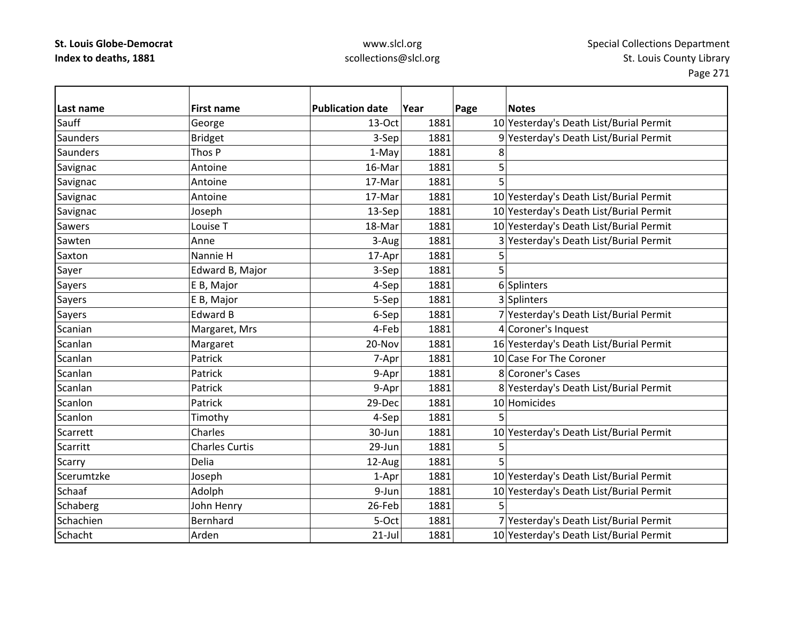### www.slcl.org scollections@slcl.org

**Last name First name Publication date Year Page Notes** SauffGeorge 13‐Oct 1881 10 Yesterday's Death List/Burial Permit **Saunders** Bridget 1881 3-Sep 1881 9 Yesterday's Death List/Burial Permit **Saunders** s 1-May 1881 8 Savignac Antoine 16‐Mar 1881 5 Savignac Antoine 17‐Mar 1881 5 Savignac Antoine 17‐Mar 1881 10 Yesterday's Death List/Burial Permit 1881 Savignac Joseph 13–Sep 1881 10 Yesterday's Death List/Burial Permit SawersLouise<sub>T</sub> 18-Mar 1881 10 Yesterday's Death List/Burial Permit SawtenAnne 3-Aug 1881 3-Aug 1881 3 Yesterday's Death List/Burial Permit Saxton Nannie H 17‐Apr 1881 5 Sayer **Edward B, Major** 1881 **5** Sayers E B, Major | 4-Sep | 1881 6 Splinters Sayers E B, Major Farmer S-Sep 1881 3 Splinters (Bayers 1881) Sayers Edward B 6-Sep 1881 7 Yesterday's Death List/Burial Permit ScanianMargaret, Mrs  $\vert$  4-Feb 1881 4 Coroner's Inquest ScanlanMargaret 20-Nov 1881 16 Yesterday's Death List/Burial Permit ScanlanPatrick **1881** 1881 10 Case For The Coroner ScanlanPatrick 1881 9‐Apr 1881 8 Coroner's Cases ScanlanPatrick 1881 9-Apr 1881 8 Yesterday's Death List/Burial Permit **Scanlon** Patrick **29-Dec** 1881 10 Homicides **Scanlon** n |Timothy | 4-Sep| 1881| 5 **Scarrett**  Charles30-Jun 1881 10 Yesterday's Death List/Burial Permit Scarrittt |Charles Curtis | 29-Jun| 1881| 5  $\overline{5}$ Scarry Delia 12‐Aug 1881 5 ScerumtzkeJoseph 1–Apr 1881 10 Yesterday's Death List/Burial Permit SchaafAdolph 1881 1881 10 Yesterday's Death List/Burial Permit Schaberg John Henry 26-Feb 1881 5 **Schachien** Bernhard **1881** 5-Oct 1881 7 Yesterday's Death List/Burial Permit Schacht Arden21-Jul 1881 10 Yesterday's Death List/Burial Permit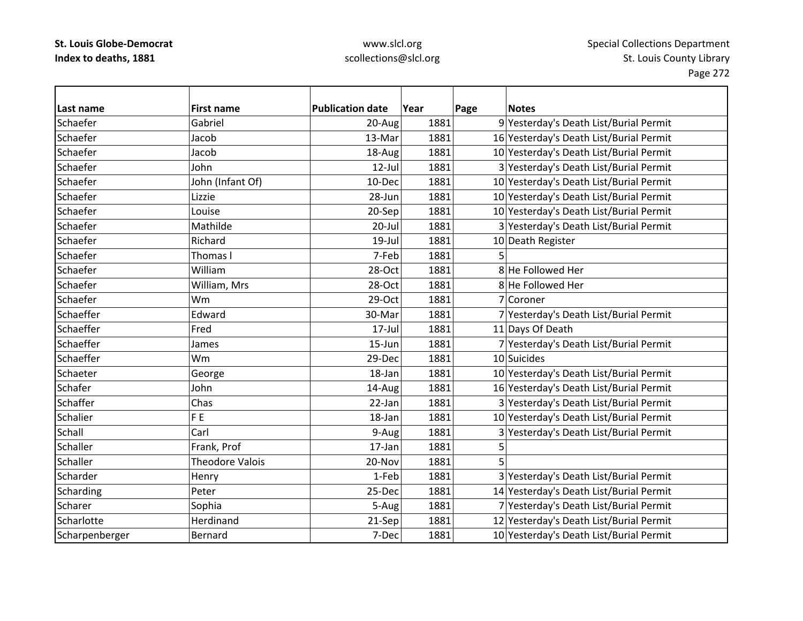| Last name      | <b>First name</b>      | <b>Publication date</b> | Year | <b>Notes</b><br>Page                    |
|----------------|------------------------|-------------------------|------|-----------------------------------------|
| Schaefer       | Gabriel                | 20-Aug                  | 1881 | 9 Yesterday's Death List/Burial Permit  |
| Schaefer       | Jacob                  | 13-Mar                  | 1881 | 16 Yesterday's Death List/Burial Permit |
| Schaefer       | Jacob                  | 18-Aug                  | 1881 | 10 Yesterday's Death List/Burial Permit |
| Schaefer       | John                   | $12$ -Jul               | 1881 | 3 Yesterday's Death List/Burial Permit  |
| Schaefer       | John (Infant Of)       | 10-Dec                  | 1881 | 10 Yesterday's Death List/Burial Permit |
| Schaefer       | Lizzie                 | 28-Jun                  | 1881 | 10 Yesterday's Death List/Burial Permit |
| Schaefer       | Louise                 | 20-Sep                  | 1881 | 10 Yesterday's Death List/Burial Permit |
| Schaefer       | Mathilde               | $20$ -Jul               | 1881 | 3 Yesterday's Death List/Burial Permit  |
| Schaefer       | Richard                | $19$ -Jul               | 1881 | 10 Death Register                       |
| Schaefer       | Thomas I               | 7-Feb                   | 1881 | 5                                       |
| Schaefer       | William                | 28-Oct                  | 1881 | 8 He Followed Her                       |
| Schaefer       | William, Mrs           | 28-Oct                  | 1881 | 8 He Followed Her                       |
| Schaefer       | <b>Wm</b>              | 29-Oct                  | 1881 | 7 Coroner                               |
| Schaeffer      | Edward                 | 30-Mar                  | 1881 | 7 Yesterday's Death List/Burial Permit  |
| Schaeffer      | Fred                   | $17$ -Jul               | 1881 | 11 Days Of Death                        |
| Schaeffer      | James                  | 15-Jun                  | 1881 | 7 Yesterday's Death List/Burial Permit  |
| Schaeffer      | Wm                     | 29-Dec                  | 1881 | 10 Suicides                             |
| Schaeter       | George                 | 18-Jan                  | 1881 | 10 Yesterday's Death List/Burial Permit |
| Schafer        | John                   | 14-Aug                  | 1881 | 16 Yesterday's Death List/Burial Permit |
| Schaffer       | Chas                   | 22-Jan                  | 1881 | 3 Yesterday's Death List/Burial Permit  |
| Schalier       | F <sub>E</sub>         | 18-Jan                  | 1881 | 10 Yesterday's Death List/Burial Permit |
| Schall         | Carl                   | 9-Aug                   | 1881 | 3 Yesterday's Death List/Burial Permit  |
| Schaller       | Frank, Prof            | 17-Jan                  | 1881 | 5                                       |
| Schaller       | <b>Theodore Valois</b> | 20-Nov                  | 1881 | 5                                       |
| Scharder       | Henry                  | 1-Feb                   | 1881 | 3 Yesterday's Death List/Burial Permit  |
| Scharding      | Peter                  | 25-Dec                  | 1881 | 14 Yesterday's Death List/Burial Permit |
| Scharer        | Sophia                 | 5-Aug                   | 1881 | 7 Yesterday's Death List/Burial Permit  |
| Scharlotte     | Herdinand              | 21-Sep                  | 1881 | 12 Yesterday's Death List/Burial Permit |
| Scharpenberger | Bernard                | 7-Dec                   | 1881 | 10 Yesterday's Death List/Burial Permit |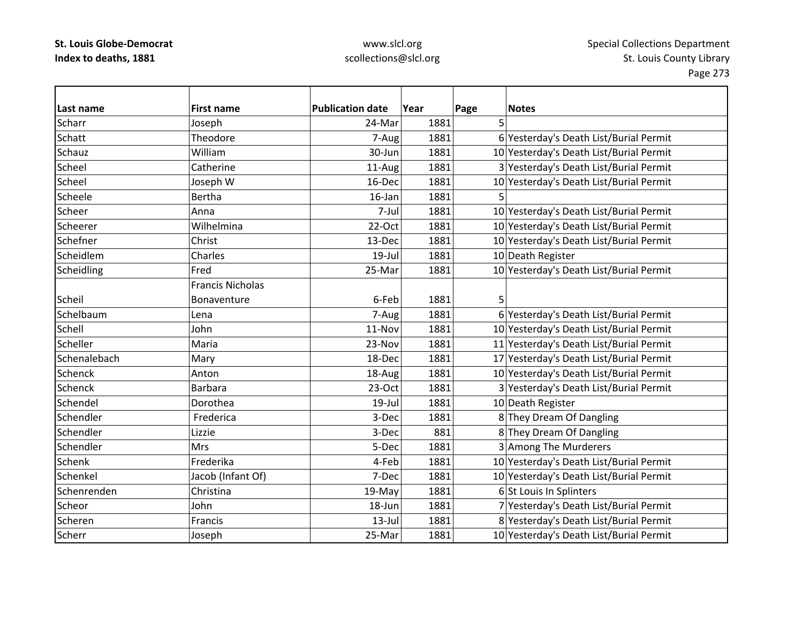| Last name    | <b>First name</b>       | <b>Publication date</b> | Year | Page | <b>Notes</b>                            |
|--------------|-------------------------|-------------------------|------|------|-----------------------------------------|
| Scharr       | Joseph                  | 24-Mar                  | 1881 | 5    |                                         |
| Schatt       | Theodore                | 7-Aug                   | 1881 |      | 6 Yesterday's Death List/Burial Permit  |
| Schauz       | William                 | 30-Jun                  | 1881 |      | 10 Yesterday's Death List/Burial Permit |
| Scheel       | Catherine               | 11-Aug                  | 1881 |      | 3 Yesterday's Death List/Burial Permit  |
| Scheel       | Joseph W                | 16-Dec                  | 1881 |      | 10 Yesterday's Death List/Burial Permit |
| Scheele      | Bertha                  | $16$ -Jan               | 1881 | 5    |                                         |
| Scheer       | Anna                    | 7-Jul                   | 1881 |      | 10 Yesterday's Death List/Burial Permit |
| Scheerer     | Wilhelmina              | 22-Oct                  | 1881 |      | 10 Yesterday's Death List/Burial Permit |
| Schefner     | Christ                  | 13-Dec                  | 1881 |      | 10 Yesterday's Death List/Burial Permit |
| Scheidlem    | Charles                 | $19$ -Jul               | 1881 |      | 10 Death Register                       |
| Scheidling   | Fred                    | 25-Mar                  | 1881 |      | 10 Yesterday's Death List/Burial Permit |
|              | <b>Francis Nicholas</b> |                         |      |      |                                         |
| Scheil       | Bonaventure             | 6-Feb                   | 1881 | 5    |                                         |
| Schelbaum    | Lena                    | 7-Aug                   | 1881 |      | 6 Yesterday's Death List/Burial Permit  |
| Schell       | John                    | 11-Nov                  | 1881 |      | 10 Yesterday's Death List/Burial Permit |
| Scheller     | Maria                   | 23-Nov                  | 1881 |      | 11 Yesterday's Death List/Burial Permit |
| Schenalebach | Mary                    | 18-Dec                  | 1881 |      | 17 Yesterday's Death List/Burial Permit |
| Schenck      | Anton                   | 18-Aug                  | 1881 |      | 10 Yesterday's Death List/Burial Permit |
| Schenck      | <b>Barbara</b>          | 23-Oct                  | 1881 |      | 3 Yesterday's Death List/Burial Permit  |
| Schendel     | Dorothea                | $19$ -Jul               | 1881 |      | 10 Death Register                       |
| Schendler    | Frederica               | 3-Dec                   | 1881 |      | 8 They Dream Of Dangling                |
| Schendler    | Lizzie                  | 3-Dec                   | 881  |      | 8 They Dream Of Dangling                |
| Schendler    | <b>Mrs</b>              | 5-Dec                   | 1881 |      | 3 Among The Murderers                   |
| Schenk       | Frederika               | 4-Feb                   | 1881 |      | 10 Yesterday's Death List/Burial Permit |
| Schenkel     | Jacob (Infant Of)       | 7-Dec                   | 1881 |      | 10 Yesterday's Death List/Burial Permit |
| Schenrenden  | Christina               | 19-May                  | 1881 |      | 6 St Louis In Splinters                 |
| Scheor       | John                    | 18-Jun                  | 1881 |      | 7 Yesterday's Death List/Burial Permit  |
| Scheren      | Francis                 | $13$ -Jul               | 1881 |      | 8 Yesterday's Death List/Burial Permit  |
| Scherr       | Joseph                  | 25-Mar                  | 1881 |      | 10 Yesterday's Death List/Burial Permit |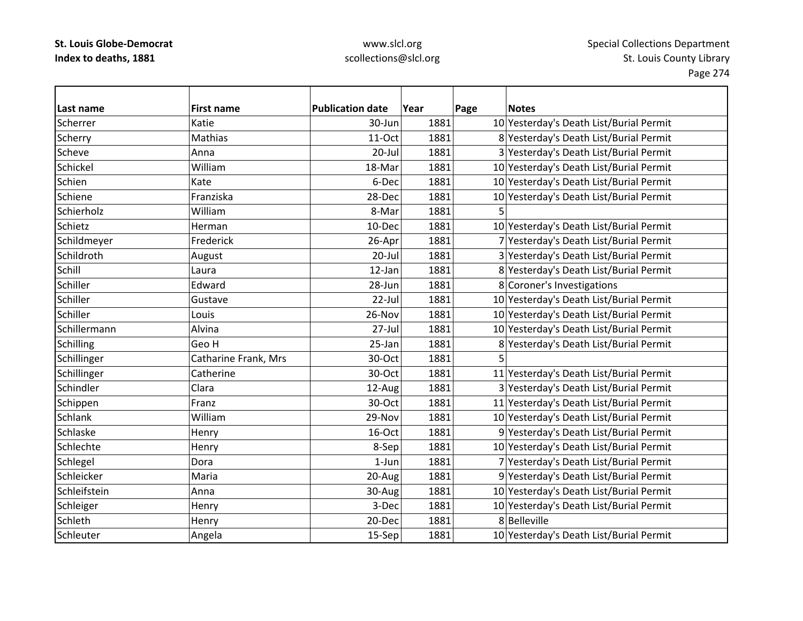| Last name      | <b>First name</b>    | <b>Publication date</b> | Year | Page           | <b>Notes</b>                            |
|----------------|----------------------|-------------------------|------|----------------|-----------------------------------------|
| Scherrer       | Katie                | 30-Jun                  | 1881 |                | 10 Yesterday's Death List/Burial Permit |
| Scherry        | Mathias              | 11-Oct                  | 1881 |                | 8 Yesterday's Death List/Burial Permit  |
| Scheve         | Anna                 | $20$ -Jul               | 1881 |                | 3 Yesterday's Death List/Burial Permit  |
| Schickel       | William              | 18-Mar                  | 1881 |                | 10 Yesterday's Death List/Burial Permit |
| Schien         | Kate                 | 6-Dec                   | 1881 |                | 10 Yesterday's Death List/Burial Permit |
| Schiene        | Franziska            | 28-Dec                  | 1881 |                | 10 Yesterday's Death List/Burial Permit |
| Schierholz     | William              | 8-Mar                   | 1881 | 5              |                                         |
| Schietz        | Herman               | 10-Dec                  | 1881 |                | 10 Yesterday's Death List/Burial Permit |
| Schildmeyer    | Frederick            | 26-Apr                  | 1881 |                | 7 Yesterday's Death List/Burial Permit  |
| Schildroth     | August               | $20 -$ Jul              | 1881 |                | 3 Yesterday's Death List/Burial Permit  |
| Schill         | Laura                | 12-Jan                  | 1881 |                | 8 Yesterday's Death List/Burial Permit  |
| Schiller       | Edward               | 28-Jun                  | 1881 |                | 8 Coroner's Investigations              |
| Schiller       | Gustave              | 22-Jul                  | 1881 |                | 10 Yesterday's Death List/Burial Permit |
| Schiller       | Louis                | 26-Nov                  | 1881 |                | 10 Yesterday's Death List/Burial Permit |
| Schillermann   | Alvina               | 27-Jul                  | 1881 |                | 10 Yesterday's Death List/Burial Permit |
| Schilling      | Geo H                | 25-Jan                  | 1881 |                | 8 Yesterday's Death List/Burial Permit  |
| Schillinger    | Catharine Frank, Mrs | 30-Oct                  | 1881 | $\overline{5}$ |                                         |
| Schillinger    | Catherine            | 30-Oct                  | 1881 |                | 11 Yesterday's Death List/Burial Permit |
| Schindler      | Clara                | 12-Aug                  | 1881 |                | 3 Yesterday's Death List/Burial Permit  |
| Schippen       | Franz                | 30-Oct                  | 1881 |                | 11 Yesterday's Death List/Burial Permit |
| <b>Schlank</b> | William              | 29-Nov                  | 1881 |                | 10 Yesterday's Death List/Burial Permit |
| Schlaske       | Henry                | 16-Oct                  | 1881 |                | 9 Yesterday's Death List/Burial Permit  |
| Schlechte      | Henry                | 8-Sep                   | 1881 |                | 10 Yesterday's Death List/Burial Permit |
| Schlegel       | Dora                 | $1$ -Jun                | 1881 |                | 7 Yesterday's Death List/Burial Permit  |
| Schleicker     | Maria                | 20-Aug                  | 1881 |                | 9 Yesterday's Death List/Burial Permit  |
| Schleifstein   | Anna                 | 30-Aug                  | 1881 |                | 10 Yesterday's Death List/Burial Permit |
| Schleiger      | Henry                | 3-Dec                   | 1881 |                | 10 Yesterday's Death List/Burial Permit |
| Schleth        | Henry                | 20-Dec                  | 1881 |                | 8Belleville                             |
| Schleuter      | Angela               | 15-Sep                  | 1881 |                | 10 Yesterday's Death List/Burial Permit |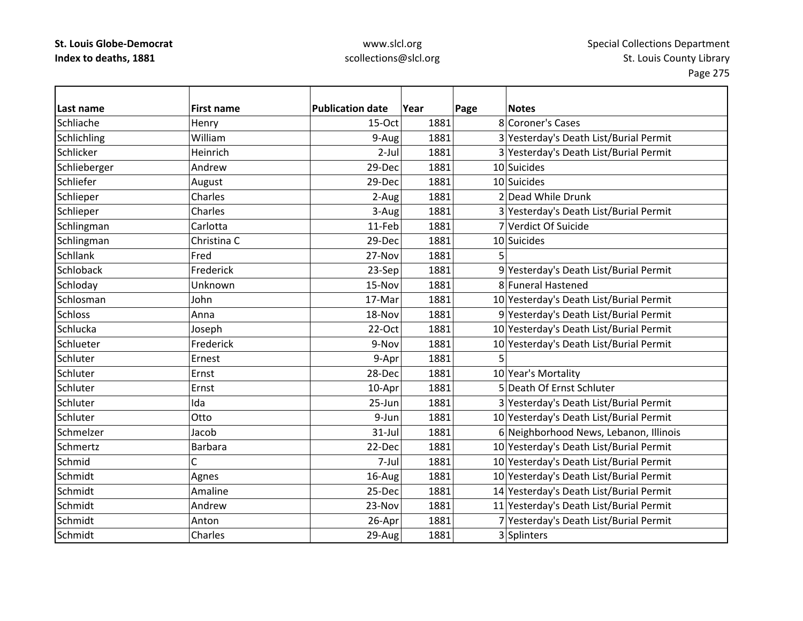| Last name        | <b>First name</b> | <b>Publication date</b> | Year | Page | <b>Notes</b>                            |
|------------------|-------------------|-------------------------|------|------|-----------------------------------------|
| Schliache        | Henry             | 15-Oct                  | 1881 |      | 8 Coroner's Cases                       |
| Schlichling      | William           | 9-Aug                   | 1881 |      | 3 Yesterday's Death List/Burial Permit  |
| Schlicker        | Heinrich          | $2-Jul$                 | 1881 |      | 3 Yesterday's Death List/Burial Permit  |
| Schlieberger     | Andrew            | 29-Dec                  | 1881 |      | 10 Suicides                             |
| Schliefer        | August            | 29-Dec                  | 1881 |      | 10 Suicides                             |
| Schlieper        | Charles           | 2-Aug                   | 1881 |      | 2 Dead While Drunk                      |
| Schlieper        | Charles           | 3-Aug                   | 1881 |      | 3 Yesterday's Death List/Burial Permit  |
| Schlingman       | Carlotta          | 11-Feb                  | 1881 |      | 7 Verdict Of Suicide                    |
| Schlingman       | Christina C       | 29-Dec                  | 1881 |      | 10 Suicides                             |
| <b>Schllank</b>  | Fred              | 27-Nov                  | 1881 | 5    |                                         |
| <b>Schloback</b> | Frederick         | 23-Sep                  | 1881 |      | 9 Yesterday's Death List/Burial Permit  |
| Schloday         | Unknown           | 15-Nov                  | 1881 |      | 8 Funeral Hastened                      |
| Schlosman        | John              | 17-Mar                  | 1881 |      | 10 Yesterday's Death List/Burial Permit |
| <b>Schloss</b>   | Anna              | 18-Nov                  | 1881 |      | 9 Yesterday's Death List/Burial Permit  |
| Schlucka         | Joseph            | 22-Oct                  | 1881 |      | 10 Yesterday's Death List/Burial Permit |
| Schlueter        | Frederick         | 9-Nov                   | 1881 |      | 10 Yesterday's Death List/Burial Permit |
| Schluter         | Ernest            | 9-Apr                   | 1881 | 5    |                                         |
| Schluter         | Ernst             | 28-Dec                  | 1881 |      | 10 Year's Mortality                     |
| Schluter         | Ernst             | 10-Apr                  | 1881 |      | 5 Death Of Ernst Schluter               |
| Schluter         | Ida               | 25-Jun                  | 1881 |      | 3 Yesterday's Death List/Burial Permit  |
| Schluter         | Otto              | 9-Jun                   | 1881 |      | 10 Yesterday's Death List/Burial Permit |
| Schmelzer        | Jacob             | $31$ -Jul               | 1881 |      | 6 Neighborhood News, Lebanon, Illinois  |
| Schmertz         | <b>Barbara</b>    | 22-Dec                  | 1881 |      | 10 Yesterday's Death List/Burial Permit |
| Schmid           | C                 | 7-Jul                   | 1881 |      | 10 Yesterday's Death List/Burial Permit |
| Schmidt          | Agnes             | 16-Aug                  | 1881 |      | 10 Yesterday's Death List/Burial Permit |
| Schmidt          | Amaline           | 25-Dec                  | 1881 |      | 14 Yesterday's Death List/Burial Permit |
| Schmidt          | Andrew            | 23-Nov                  | 1881 |      | 11 Yesterday's Death List/Burial Permit |
| Schmidt          | Anton             | 26-Apr                  | 1881 |      | 7 Yesterday's Death List/Burial Permit  |
| Schmidt          | Charles           | 29-Aug                  | 1881 |      | 3 Splinters                             |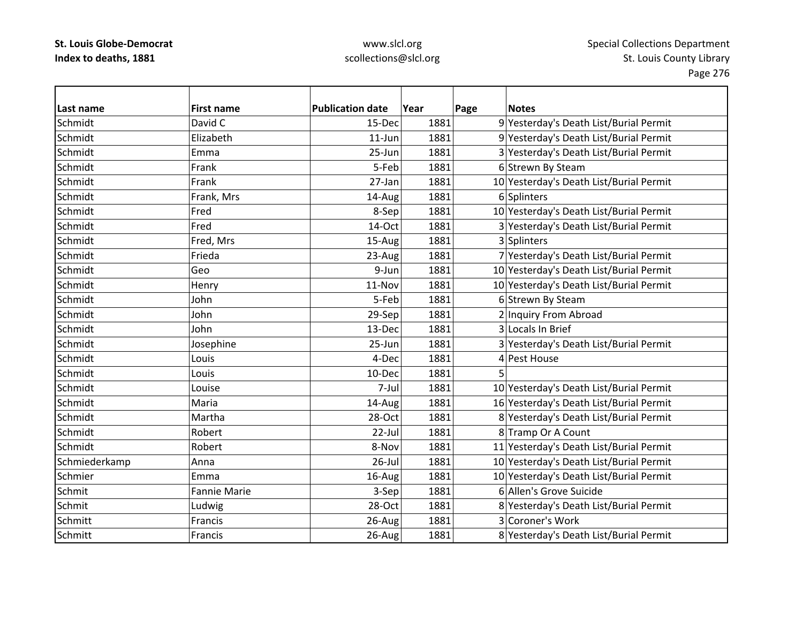| Last name     | <b>First name</b>   | <b>Publication date</b> | Year | Page | <b>Notes</b>                            |
|---------------|---------------------|-------------------------|------|------|-----------------------------------------|
| Schmidt       | David C             | 15-Dec                  | 1881 |      | 9 Yesterday's Death List/Burial Permit  |
| Schmidt       | Elizabeth           | $11$ -Jun               | 1881 |      | 9 Yesterday's Death List/Burial Permit  |
| Schmidt       | Emma                | 25-Jun                  | 1881 |      | 3 Yesterday's Death List/Burial Permit  |
| Schmidt       | Frank               | 5-Feb                   | 1881 |      | 6 Strewn By Steam                       |
| Schmidt       | Frank               | 27-Jan                  | 1881 |      | 10 Yesterday's Death List/Burial Permit |
| Schmidt       | Frank, Mrs          | 14-Aug                  | 1881 |      | 6 Splinters                             |
| Schmidt       | Fred                | 8-Sep                   | 1881 |      | 10 Yesterday's Death List/Burial Permit |
| Schmidt       | Fred                | 14-Oct                  | 1881 |      | 3 Yesterday's Death List/Burial Permit  |
| Schmidt       | Fred, Mrs           | 15-Aug                  | 1881 |      | 3 Splinters                             |
| Schmidt       | Frieda              | 23-Aug                  | 1881 |      | 7 Yesterday's Death List/Burial Permit  |
| Schmidt       | Geo                 | 9-Jun                   | 1881 |      | 10 Yesterday's Death List/Burial Permit |
| Schmidt       | Henry               | 11-Nov                  | 1881 |      | 10 Yesterday's Death List/Burial Permit |
| Schmidt       | John                | 5-Feb                   | 1881 |      | 6 Strewn By Steam                       |
| Schmidt       | John                | 29-Sep                  | 1881 |      | 2 Inquiry From Abroad                   |
| Schmidt       | John                | 13-Dec                  | 1881 |      | 3 Locals In Brief                       |
| Schmidt       | Josephine           | 25-Jun                  | 1881 |      | 3 Yesterday's Death List/Burial Permit  |
| Schmidt       | Louis               | 4-Dec                   | 1881 |      | 4 Pest House                            |
| Schmidt       | Louis               | 10-Dec                  | 1881 |      |                                         |
| Schmidt       | Louise              | 7-Jul                   | 1881 |      | 10 Yesterday's Death List/Burial Permit |
| Schmidt       | Maria               | 14-Aug                  | 1881 |      | 16 Yesterday's Death List/Burial Permit |
| Schmidt       | Martha              | 28-Oct                  | 1881 |      | 8 Yesterday's Death List/Burial Permit  |
| Schmidt       | Robert              | 22-Jul                  | 1881 |      | 8 Tramp Or A Count                      |
| Schmidt       | Robert              | 8-Nov                   | 1881 |      | 11 Yesterday's Death List/Burial Permit |
| Schmiederkamp | Anna                | $26$ -Jul               | 1881 |      | 10 Yesterday's Death List/Burial Permit |
| Schmier       | Emma                | 16-Aug                  | 1881 |      | 10 Yesterday's Death List/Burial Permit |
| Schmit        | <b>Fannie Marie</b> | 3-Sep                   | 1881 |      | 6 Allen's Grove Suicide                 |
| Schmit        | Ludwig              | 28-Oct                  | 1881 |      | 8 Yesterday's Death List/Burial Permit  |
| Schmitt       | Francis             | 26-Aug                  | 1881 |      | 3 Coroner's Work                        |
| Schmitt       | Francis             | 26-Aug                  | 1881 |      | 8 Yesterday's Death List/Burial Permit  |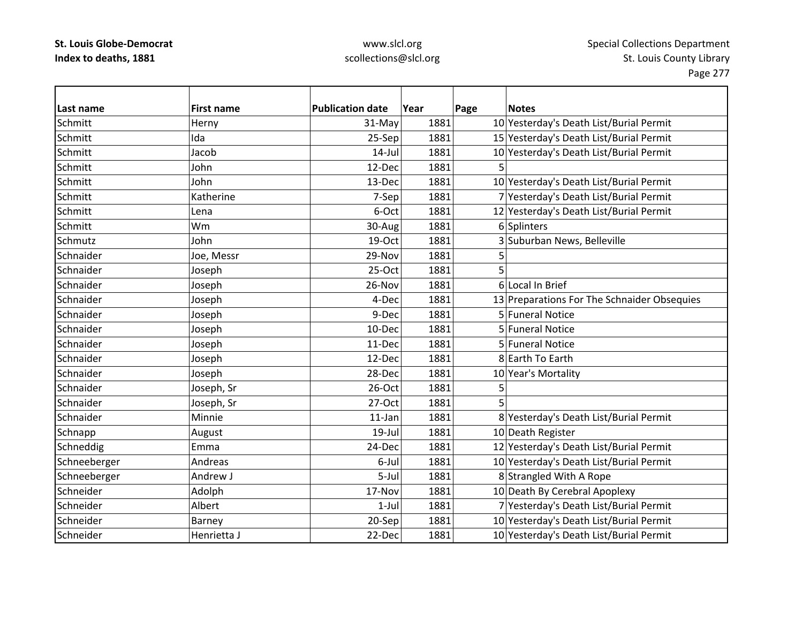### www.slcl.org scollections@slcl.org

**Last nameFirst name Publication date date Year Page Notes Schmitt** Herny 1981 1881 1881 10 Yesterday's Death List/Burial Permit **Schmitt**  Ida25-Sep 1881 15 Yesterday's Death List/Burial Permit **Schmitt**  Jacob14-Jul 1881 10 Yesterday's Death List/Burial Permit **Schmitt**  John12-Dec 1881 5 Schmitt John13-Dec 1881 10 Yesterday's Death List/Burial Permit **Schmitt**  Katherine7-Sep 1881 7 Yesterday's Death List/Burial Permit **Schmitt**  Lena $6$ -Oct 1881 12 Yesterday's Death List/Burial Permit **Schmitt**  Wm30-Aug 1881 6 Splinters Schmutz John19‐Oct 1881 3 Suburban News, Belleville **Schnaider**  $\vert$  1881  $\vert$  29-Nov  $\vert$  1881  $\vert$  5 **Schnaider** r |Joseph | 25-Oct | 1881 | 5 **Schnaider** Joseph 26-Nov 1881 6 Local In Brief **Schnaider** Joseph 1881 1881 13 Preparations For The Schnaider Obsequies **Schnaider**  Joseph 9‐Dec 1881 5 Funeral Notice **Schnaider** Joseph 10‐Dec 1881 5 Funeral Notice **Schnaider** Joseph 11‐Dec 1881 5 Funeral Notice **Schnaider**  Joseph 12‐Dec 1881 8 Earth To Earth **Schnaider** Joseph 28‐Dec 1881 10 Year's Mortality **Schnaider** Joseph, Sr  $26-Oct$  1881 5 SchnaiderJoseph, Sr  $27-Oct$  1881 5 **Schnaider**  Minnie11-Jan 1881 8 Yesterday's Death List/Burial Permit Schnapp August August 19‐Jul 1881 10 Death Register Schneddig Emma 24‐Dec 1881 12 Yesterday's Death List/Burial Permit Schneeberger Andreas Andreas Andreas Andreas **6**–Jul 1881 10 Yesterday's Death List/Burial Permit Schneeberger Andrew J 5‐Jul 1881 8 Strangled With A Rope SchneiderAdolph 17-Nov 1881 10 Death By Cerebral Apoplexy **Schneider** Albert 1961 1981 1-Jul 1881 7 Yesterday's Death List/Burial Permit **Schneider** Barney 20–Sep 1881 10 Yesterday's Death List/Burial Permit **Schneider** Henrietta J 22-Dec 1881 10 Yesterday's Death List/Burial Permit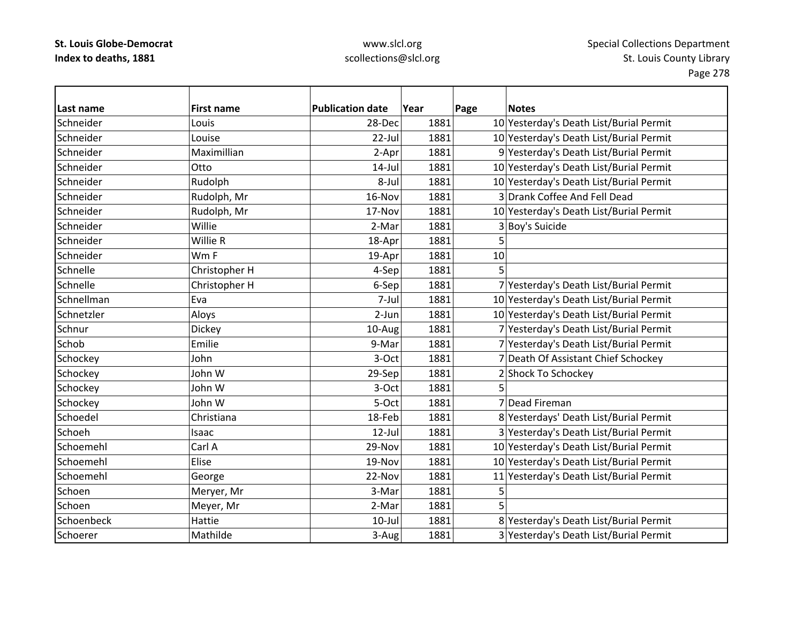| Last name  | <b>First name</b> | <b>Publication date</b> | Year | Page | <b>Notes</b>                            |
|------------|-------------------|-------------------------|------|------|-----------------------------------------|
| Schneider  | Louis             | 28-Dec                  | 1881 |      | 10 Yesterday's Death List/Burial Permit |
| Schneider  | Louise            | $22$ -Jul               | 1881 |      | 10 Yesterday's Death List/Burial Permit |
| Schneider  | Maximillian       | 2-Apr                   | 1881 |      | 9 Yesterday's Death List/Burial Permit  |
| Schneider  | Otto              | $14$ -Jul               | 1881 |      | 10 Yesterday's Death List/Burial Permit |
| Schneider  | Rudolph           | 8-Jul                   | 1881 |      | 10 Yesterday's Death List/Burial Permit |
| Schneider  | Rudolph, Mr       | 16-Nov                  | 1881 |      | 3 Drank Coffee And Fell Dead            |
| Schneider  | Rudolph, Mr       | 17-Nov                  | 1881 |      | 10 Yesterday's Death List/Burial Permit |
| Schneider  | Willie            | 2-Mar                   | 1881 |      | 3 Boy's Suicide                         |
| Schneider  | Willie R          | 18-Apr                  | 1881 | 5    |                                         |
| Schneider  | Wm F              | 19-Apr                  | 1881 | 10   |                                         |
| Schnelle   | Christopher H     | 4-Sep                   | 1881 | 5    |                                         |
| Schnelle   | Christopher H     | 6-Sep                   | 1881 |      | 7 Yesterday's Death List/Burial Permit  |
| Schnellman | Eva               | 7-Jul                   | 1881 |      | 10 Yesterday's Death List/Burial Permit |
| Schnetzler | Aloys             | 2-Jun                   | 1881 |      | 10 Yesterday's Death List/Burial Permit |
| Schnur     | Dickey            | 10-Aug                  | 1881 |      | 7 Yesterday's Death List/Burial Permit  |
| Schob      | Emilie            | 9-Mar                   | 1881 |      | 7 Yesterday's Death List/Burial Permit  |
| Schockey   | John              | 3-Oct                   | 1881 |      | 7 Death Of Assistant Chief Schockey     |
| Schockey   | John W            | 29-Sep                  | 1881 |      | 2 Shock To Schockey                     |
| Schockey   | John W            | 3-Oct                   | 1881 | 5    |                                         |
| Schockey   | John W            | 5-Oct                   | 1881 |      | 7 Dead Fireman                          |
| Schoedel   | Christiana        | 18-Feb                  | 1881 |      | 8 Yesterdays' Death List/Burial Permit  |
| Schoeh     | Isaac             | $12$ -Jul               | 1881 |      | 3 Yesterday's Death List/Burial Permit  |
| Schoemehl  | Carl A            | 29-Nov                  | 1881 |      | 10 Yesterday's Death List/Burial Permit |
| Schoemehl  | Elise             | 19-Nov                  | 1881 |      | 10 Yesterday's Death List/Burial Permit |
| Schoemehl  | George            | 22-Nov                  | 1881 |      | 11 Yesterday's Death List/Burial Permit |
| Schoen     | Meryer, Mr        | 3-Mar                   | 1881 | 5    |                                         |
| Schoen     | Meyer, Mr         | 2-Mar                   | 1881 |      |                                         |
| Schoenbeck | Hattie            | $10$ -Jul               | 1881 |      | 8 Yesterday's Death List/Burial Permit  |
| Schoerer   | Mathilde          | 3-Aug                   | 1881 |      | 3 Yesterday's Death List/Burial Permit  |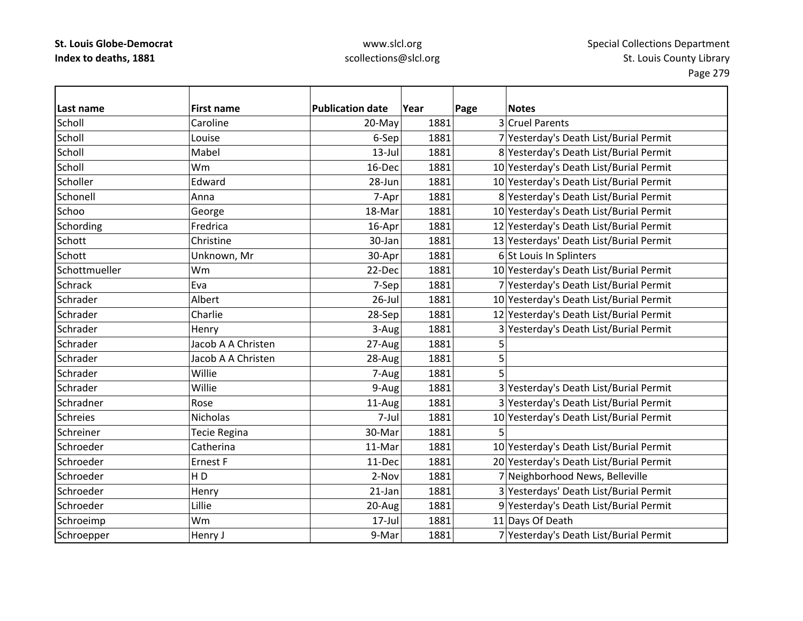| Last name       | <b>First name</b>  | <b>Publication date</b> | Year | Page           | <b>Notes</b>                            |
|-----------------|--------------------|-------------------------|------|----------------|-----------------------------------------|
| Scholl          | Caroline           | 20-May                  | 1881 |                | 3 Cruel Parents                         |
| Scholl          | Louise             | 6-Sep                   | 1881 |                | 7 Yesterday's Death List/Burial Permit  |
| Scholl          | Mabel              | $13$ -Jul               | 1881 |                | 8 Yesterday's Death List/Burial Permit  |
| Scholl          | Wm                 | 16-Dec                  | 1881 |                | 10 Yesterday's Death List/Burial Permit |
| Scholler        | Edward             | 28-Jun                  | 1881 |                | 10 Yesterday's Death List/Burial Permit |
| Schonell        | Anna               | 7-Apr                   | 1881 |                | 8 Yesterday's Death List/Burial Permit  |
| Schoo           | George             | 18-Mar                  | 1881 |                | 10 Yesterday's Death List/Burial Permit |
| Schording       | Fredrica           | 16-Apr                  | 1881 |                | 12 Yesterday's Death List/Burial Permit |
| Schott          | Christine          | 30-Jan                  | 1881 |                | 13 Yesterdays' Death List/Burial Permit |
| Schott          | Unknown, Mr        | 30-Apr                  | 1881 |                | 6 St Louis In Splinters                 |
| Schottmueller   | Wm                 | 22-Dec                  | 1881 |                | 10 Yesterday's Death List/Burial Permit |
| <b>Schrack</b>  | Eva                | 7-Sep                   | 1881 |                | 7 Yesterday's Death List/Burial Permit  |
| Schrader        | Albert             | $26$ -Jul               | 1881 |                | 10 Yesterday's Death List/Burial Permit |
| Schrader        | Charlie            | 28-Sep                  | 1881 |                | 12 Yesterday's Death List/Burial Permit |
| Schrader        | Henry              | 3-Aug                   | 1881 | $\overline{3}$ | Yesterday's Death List/Burial Permit    |
| Schrader        | Jacob A A Christen | 27-Aug                  | 1881 | 5              |                                         |
| Schrader        | Jacob A A Christen | 28-Aug                  | 1881 | 5              |                                         |
| Schrader        | Willie             | 7-Aug                   | 1881 | 5              |                                         |
| Schrader        | Willie             | 9-Aug                   | 1881 |                | 3 Yesterday's Death List/Burial Permit  |
| Schradner       | Rose               | 11-Aug                  | 1881 |                | 3 Yesterday's Death List/Burial Permit  |
| <b>Schreies</b> | Nicholas           | 7-Jul                   | 1881 |                | 10 Yesterday's Death List/Burial Permit |
| Schreiner       | Tecie Regina       | 30-Mar                  | 1881 |                |                                         |
| Schroeder       | Catherina          | 11-Mar                  | 1881 |                | 10 Yesterday's Death List/Burial Permit |
| Schroeder       | Ernest F           | 11-Dec                  | 1881 |                | 20 Yesterday's Death List/Burial Permit |
| Schroeder       | H <sub>D</sub>     | 2-Nov                   | 1881 |                | 7 Neighborhood News, Belleville         |
| Schroeder       | Henry              | $21$ -Jan               | 1881 |                | 3 Yesterdays' Death List/Burial Permit  |
| Schroeder       | Lillie             | 20-Aug                  | 1881 |                | 9 Yesterday's Death List/Burial Permit  |
| Schroeimp       | Wm                 | 17-Jul                  | 1881 |                | 11 Days Of Death                        |
| Schroepper      | Henry J            | 9-Mar                   | 1881 |                | 7 Yesterday's Death List/Burial Permit  |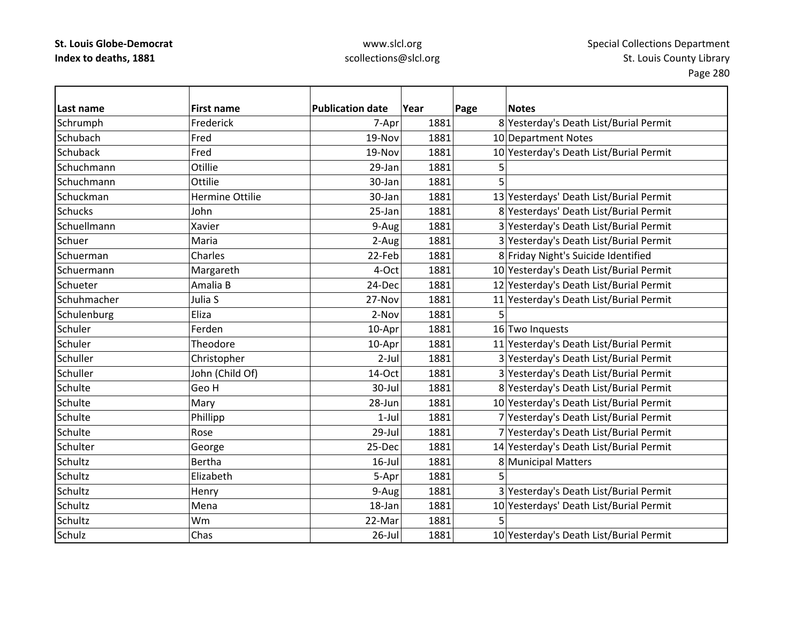| Last name      | <b>First name</b> | <b>Publication date</b> | Year | Page | <b>Notes</b>                            |
|----------------|-------------------|-------------------------|------|------|-----------------------------------------|
| Schrumph       | Frederick         | 7-Apr                   | 1881 |      | 8 Yesterday's Death List/Burial Permit  |
| Schubach       | Fred              | 19-Nov                  | 1881 |      | 10 Department Notes                     |
| Schuback       | Fred              | 19-Nov                  | 1881 |      | 10 Yesterday's Death List/Burial Permit |
| Schuchmann     | Otillie           | 29-Jan                  | 1881 | 5    |                                         |
| Schuchmann     | Ottilie           | 30-Jan                  | 1881 | 5    |                                         |
| Schuckman      | Hermine Ottilie   | 30-Jan                  | 1881 |      | 13 Yesterdays' Death List/Burial Permit |
| <b>Schucks</b> | John              | 25-Jan                  | 1881 |      | 8 Yesterdays' Death List/Burial Permit  |
| Schuellmann    | Xavier            | 9-Aug                   | 1881 |      | 3 Yesterday's Death List/Burial Permit  |
| Schuer         | Maria             | 2-Aug                   | 1881 |      | 3 Yesterday's Death List/Burial Permit  |
| Schuerman      | Charles           | 22-Feb                  | 1881 |      | 8 Friday Night's Suicide Identified     |
| Schuermann     | Margareth         | 4-Oct                   | 1881 |      | 10 Yesterday's Death List/Burial Permit |
| Schueter       | Amalia B          | 24-Dec                  | 1881 |      | 12 Yesterday's Death List/Burial Permit |
| Schuhmacher    | Julia S           | 27-Nov                  | 1881 |      | 11 Yesterday's Death List/Burial Permit |
| Schulenburg    | Eliza             | 2-Nov                   | 1881 | 5.   |                                         |
| Schuler        | Ferden            | 10-Apr                  | 1881 |      | 16 Two Inquests                         |
| Schuler        | Theodore          | 10-Apr                  | 1881 |      | 11 Yesterday's Death List/Burial Permit |
| Schuller       | Christopher       | $2-Jul$                 | 1881 |      | 3 Yesterday's Death List/Burial Permit  |
| Schuller       | John (Child Of)   | 14-Oct                  | 1881 |      | 3 Yesterday's Death List/Burial Permit  |
| Schulte        | Geo H             | 30-Jul                  | 1881 |      | 8 Yesterday's Death List/Burial Permit  |
| Schulte        | Mary              | 28-Jun                  | 1881 |      | 10 Yesterday's Death List/Burial Permit |
| Schulte        | Phillipp          | $1-Jul$                 | 1881 |      | 7 Yesterday's Death List/Burial Permit  |
| Schulte        | Rose              | 29-Jul                  | 1881 |      | 7 Yesterday's Death List/Burial Permit  |
| Schulter       | George            | 25-Dec                  | 1881 |      | 14 Yesterday's Death List/Burial Permit |
| Schultz        | <b>Bertha</b>     | $16$ -Jul               | 1881 |      | 8 Municipal Matters                     |
| Schultz        | Elizabeth         | 5-Apr                   | 1881 | 5    |                                         |
| Schultz        | Henry             | 9-Aug                   | 1881 |      | 3 Yesterday's Death List/Burial Permit  |
| Schultz        | Mena              | 18-Jan                  | 1881 |      | 10 Yesterdays' Death List/Burial Permit |
| Schultz        | Wm                | 22-Mar                  | 1881 | 5    |                                         |
| Schulz         | Chas              | 26-Jul                  | 1881 |      | 10 Yesterday's Death List/Burial Permit |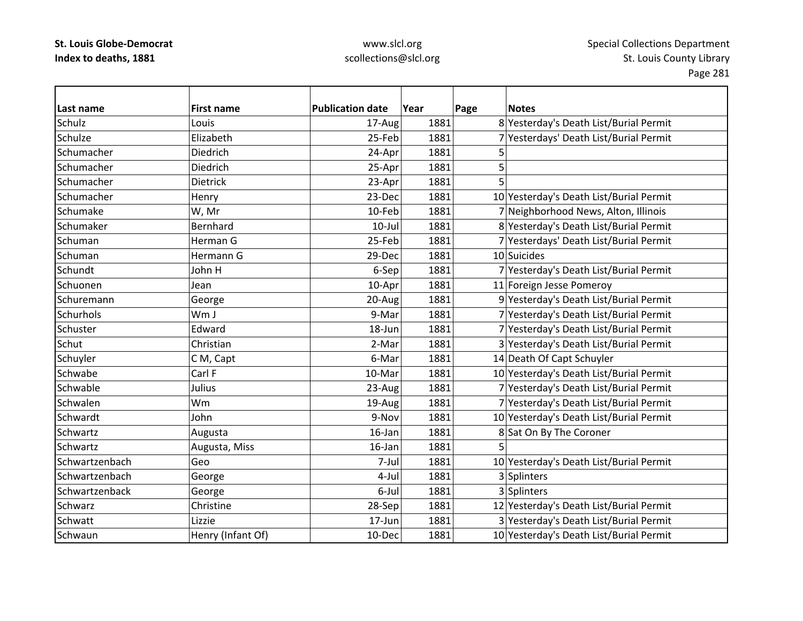| Last name      | <b>First name</b> | <b>Publication date</b> | Year | Page | <b>Notes</b>                            |
|----------------|-------------------|-------------------------|------|------|-----------------------------------------|
| Schulz         | Louis             | 17-Aug                  | 1881 |      | 8 Yesterday's Death List/Burial Permit  |
| Schulze        | Elizabeth         | 25-Feb                  | 1881 |      | 7 Yesterdays' Death List/Burial Permit  |
| Schumacher     | Diedrich          | 24-Apr                  | 1881 | 5    |                                         |
| Schumacher     | Diedrich          | 25-Apr                  | 1881 | 5    |                                         |
| Schumacher     | Dietrick          | 23-Apr                  | 1881 | 5    |                                         |
| Schumacher     | Henry             | 23-Dec                  | 1881 |      | 10 Yesterday's Death List/Burial Permit |
| Schumake       | W, Mr             | 10-Feb                  | 1881 |      | 7 Neighborhood News, Alton, Illinois    |
| Schumaker      | Bernhard          | $10 -$ Jul              | 1881 |      | 8 Yesterday's Death List/Burial Permit  |
| Schuman        | Herman G          | 25-Feb                  | 1881 |      | 7 Yesterdays' Death List/Burial Permit  |
| Schuman        | Hermann G         | 29-Dec                  | 1881 |      | 10 Suicides                             |
| Schundt        | John H            | 6-Sep                   | 1881 |      | 7 Yesterday's Death List/Burial Permit  |
| Schuonen       | Jean              | 10-Apr                  | 1881 |      | 11 Foreign Jesse Pomeroy                |
| Schuremann     | George            | 20-Aug                  | 1881 |      | 9 Yesterday's Death List/Burial Permit  |
| Schurhols      | Wm J              | 9-Mar                   | 1881 |      | 7 Yesterday's Death List/Burial Permit  |
| Schuster       | Edward            | 18-Jun                  | 1881 |      | 7 Yesterday's Death List/Burial Permit  |
| Schut          | Christian         | 2-Mar                   | 1881 |      | 3 Yesterday's Death List/Burial Permit  |
| Schuyler       | C M, Capt         | 6-Mar                   | 1881 |      | 14 Death Of Capt Schuyler               |
| Schwabe        | Carl F            | 10-Mar                  | 1881 |      | 10 Yesterday's Death List/Burial Permit |
| Schwable       | Julius            | 23-Aug                  | 1881 |      | 7 Yesterday's Death List/Burial Permit  |
| Schwalen       | Wm                | 19-Aug                  | 1881 |      | 7 Yesterday's Death List/Burial Permit  |
| Schwardt       | John              | 9-Nov                   | 1881 |      | 10 Yesterday's Death List/Burial Permit |
| Schwartz       | Augusta           | $16$ -Jan               | 1881 |      | 8 Sat On By The Coroner                 |
| Schwartz       | Augusta, Miss     | $16$ -Jan               | 1881 |      |                                         |
| Schwartzenbach | Geo               | 7-Jul                   | 1881 |      | 10 Yesterday's Death List/Burial Permit |
| Schwartzenbach | George            | 4-Jul                   | 1881 |      | 3 Splinters                             |
| Schwartzenback | George            | 6-Jul                   | 1881 |      | 3 Splinters                             |
| Schwarz        | Christine         | 28-Sep                  | 1881 |      | 12 Yesterday's Death List/Burial Permit |
| Schwatt        | Lizzie            | 17-Jun                  | 1881 |      | 3 Yesterday's Death List/Burial Permit  |
| Schwaun        | Henry (Infant Of) | 10-Dec                  | 1881 |      | 10 Yesterday's Death List/Burial Permit |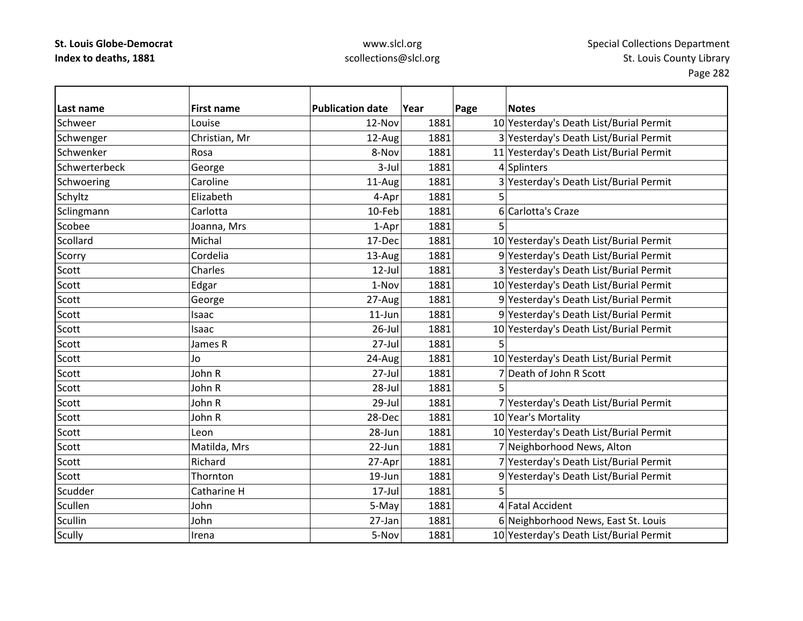| Last name      | <b>First name</b> | <b>Publication date</b> | Year | Page | <b>Notes</b>                            |
|----------------|-------------------|-------------------------|------|------|-----------------------------------------|
| Schweer        | Louise            | 12-Nov                  | 1881 |      | 10 Yesterday's Death List/Burial Permit |
| Schwenger      | Christian, Mr     | 12-Aug                  | 1881 |      | 3 Yesterday's Death List/Burial Permit  |
| Schwenker      | Rosa              | 8-Nov                   | 1881 |      | 11 Yesterday's Death List/Burial Permit |
| Schwerterbeck  | George            | $3$ -Jul                | 1881 |      | 4 Splinters                             |
| Schwoering     | Caroline          | 11-Aug                  | 1881 |      | 3 Yesterday's Death List/Burial Permit  |
| Schyltz        | Elizabeth         | 4-Apr                   | 1881 | 5    |                                         |
| Sclingmann     | Carlotta          | 10-Feb                  | 1881 |      | 6 Carlotta's Craze                      |
| Scobee         | Joanna, Mrs       | 1-Apr                   | 1881 |      |                                         |
| Scollard       | Michal            | 17-Dec                  | 1881 |      | 10 Yesterday's Death List/Burial Permit |
| Scorry         | Cordelia          | 13-Aug                  | 1881 |      | 9 Yesterday's Death List/Burial Permit  |
| Scott          | Charles           | $12$ -Jul               | 1881 |      | 3 Yesterday's Death List/Burial Permit  |
| Scott          | Edgar             | 1-Nov                   | 1881 |      | 10 Yesterday's Death List/Burial Permit |
| Scott          | George            | 27-Aug                  | 1881 |      | 9 Yesterday's Death List/Burial Permit  |
| Scott          | Isaac             | $11$ -Jun               | 1881 |      | 9 Yesterday's Death List/Burial Permit  |
| Scott          | Isaac             | $26$ -Jul               | 1881 |      | 10 Yesterday's Death List/Burial Permit |
| Scott          | James R           | $27 -$ Jul              | 1881 | 5    |                                         |
| Scott          | Jo                | 24-Aug                  | 1881 |      | 10 Yesterday's Death List/Burial Permit |
| Scott          | John R            | 27-Jul                  | 1881 |      | 7 Death of John R Scott                 |
| Scott          | John R            | 28-Jul                  | 1881 | 5    |                                         |
| Scott          | John R            | 29-Jul                  | 1881 |      | 7 Yesterday's Death List/Burial Permit  |
| Scott          | John R            | 28-Dec                  | 1881 |      | 10 Year's Mortality                     |
| Scott          | Leon              | 28-Jun                  | 1881 |      | 10 Yesterday's Death List/Burial Permit |
| Scott          | Matilda, Mrs      | 22-Jun                  | 1881 |      | 7 Neighborhood News, Alton              |
| Scott          | Richard           | 27-Apr                  | 1881 |      | 7 Yesterday's Death List/Burial Permit  |
| Scott          | Thornton          | 19-Jun                  | 1881 |      | 9 Yesterday's Death List/Burial Permit  |
| Scudder        | Catharine H       | $17$ -Jul               | 1881 | 5    |                                         |
| Scullen        | John              | 5-May                   | 1881 |      | 4 Fatal Accident                        |
| <b>Scullin</b> | John              | 27-Jan                  | 1881 |      | 6 Neighborhood News, East St. Louis     |
| Scully         | Irena             | 5-Nov                   | 1881 |      | 10 Yesterday's Death List/Burial Permit |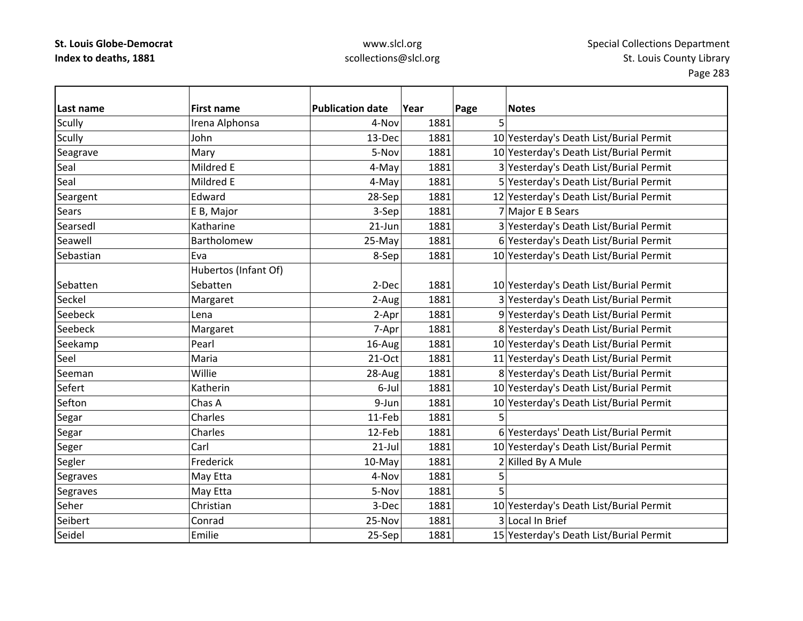| Last name    | <b>First name</b>    | <b>Publication date</b> | Year | Page | <b>Notes</b>                            |
|--------------|----------------------|-------------------------|------|------|-----------------------------------------|
| Scully       | Irena Alphonsa       | 4-Nov                   | 1881 | 5    |                                         |
| Scully       | John                 | 13-Dec                  | 1881 |      | 10 Yesterday's Death List/Burial Permit |
| Seagrave     | Mary                 | 5-Nov                   | 1881 |      | 10 Yesterday's Death List/Burial Permit |
| Seal         | Mildred E            | 4-May                   | 1881 |      | 3 Yesterday's Death List/Burial Permit  |
| Seal         | Mildred E            | 4-May                   | 1881 |      | 5 Yesterday's Death List/Burial Permit  |
| Seargent     | Edward               | 28-Sep                  | 1881 |      | 12 Yesterday's Death List/Burial Permit |
| <b>Sears</b> | E B, Major           | 3-Sep                   | 1881 |      | 7 Major E B Sears                       |
| Searsedl     | Katharine            | $21$ -Jun               | 1881 |      | 3 Yesterday's Death List/Burial Permit  |
| Seawell      | Bartholomew          | 25-May                  | 1881 |      | 6 Yesterday's Death List/Burial Permit  |
| Sebastian    | Eva                  | 8-Sep                   | 1881 |      | 10 Yesterday's Death List/Burial Permit |
|              | Hubertos (Infant Of) |                         |      |      |                                         |
| Sebatten     | Sebatten             | 2-Dec                   | 1881 |      | 10 Yesterday's Death List/Burial Permit |
| Seckel       | Margaret             | 2-Aug                   | 1881 |      | 3 Yesterday's Death List/Burial Permit  |
| Seebeck      | Lena                 | 2-Apr                   | 1881 |      | 9 Yesterday's Death List/Burial Permit  |
| Seebeck      | Margaret             | 7-Apr                   | 1881 |      | 8 Yesterday's Death List/Burial Permit  |
| Seekamp      | Pearl                | 16-Aug                  | 1881 |      | 10 Yesterday's Death List/Burial Permit |
| Seel         | Maria                | 21-Oct                  | 1881 |      | 11 Yesterday's Death List/Burial Permit |
| Seeman       | Willie               | 28-Aug                  | 1881 |      | 8 Yesterday's Death List/Burial Permit  |
| Sefert       | Katherin             | 6-Jul                   | 1881 |      | 10 Yesterday's Death List/Burial Permit |
| Sefton       | Chas A               | 9-Jun                   | 1881 |      | 10 Yesterday's Death List/Burial Permit |
| Segar        | Charles              | 11-Feb                  | 1881 | 5    |                                         |
| Segar        | Charles              | 12-Feb                  | 1881 |      | 6 Yesterdays' Death List/Burial Permit  |
| Seger        | Carl                 | $21$ -Jul               | 1881 |      | 10 Yesterday's Death List/Burial Permit |
| Segler       | Frederick            | 10-May                  | 1881 |      | 2 Killed By A Mule                      |
| Segraves     | May Etta             | 4-Nov                   | 1881 | 5    |                                         |
| Segraves     | May Etta             | 5-Nov                   | 1881 | 5    |                                         |
| Seher        | Christian            | 3-Dec                   | 1881 |      | 10 Yesterday's Death List/Burial Permit |
| Seibert      | Conrad               | 25-Nov                  | 1881 |      | 3 Local In Brief                        |
| Seidel       | Emilie               | 25-Sep                  | 1881 |      | 15 Yesterday's Death List/Burial Permit |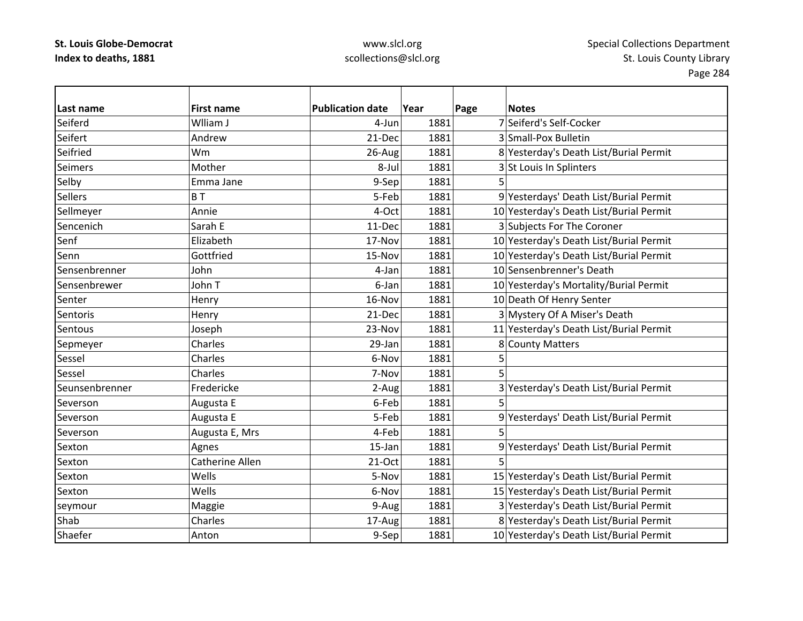| Last name      | <b>First name</b> | <b>Publication date</b> | Year | Page | <b>Notes</b>                            |
|----------------|-------------------|-------------------------|------|------|-----------------------------------------|
| Seiferd        | Wlliam J          | 4-Jun                   | 1881 |      | 7 Seiferd's Self-Cocker                 |
| Seifert        | Andrew            | 21-Dec                  | 1881 |      | 3 Small-Pox Bulletin                    |
| Seifried       | Wm                | 26-Aug                  | 1881 |      | 8 Yesterday's Death List/Burial Permit  |
| <b>Seimers</b> | Mother            | 8-Jul                   | 1881 |      | 3 St Louis In Splinters                 |
| Selby          | Emma Jane         | 9-Sep                   | 1881 |      |                                         |
| <b>Sellers</b> | BT                | 5-Feb                   | 1881 |      | 9 Yesterdays' Death List/Burial Permit  |
| Sellmeyer      | Annie             | 4-Oct                   | 1881 |      | 10 Yesterday's Death List/Burial Permit |
| Sencenich      | Sarah E           | 11-Dec                  | 1881 |      | 3 Subjects For The Coroner              |
| Senf           | Elizabeth         | 17-Nov                  | 1881 |      | 10 Yesterday's Death List/Burial Permit |
| Senn           | Gottfried         | 15-Nov                  | 1881 |      | 10 Yesterday's Death List/Burial Permit |
| Sensenbrenner  | John              | 4-Jan                   | 1881 |      | 10 Sensenbrenner's Death                |
| Sensenbrewer   | John T            | 6-Jan                   | 1881 |      | 10 Yesterday's Mortality/Burial Permit  |
| Senter         | Henry             | 16-Nov                  | 1881 |      | 10 Death Of Henry Senter                |
| Sentoris       | Henry             | 21-Dec                  | 1881 |      | 3 Mystery Of A Miser's Death            |
| Sentous        | Joseph            | 23-Nov                  | 1881 |      | 11 Yesterday's Death List/Burial Permit |
| Sepmeyer       | Charles           | 29-Jan                  | 1881 |      | 8 County Matters                        |
| Sessel         | Charles           | 6-Nov                   | 1881 |      |                                         |
| Sessel         | Charles           | 7-Nov                   | 1881 | 5    |                                         |
| Seunsenbrenner | Fredericke        | 2-Aug                   | 1881 |      | 3 Yesterday's Death List/Burial Permit  |
| Severson       | Augusta E         | 6-Feb                   | 1881 | 5    |                                         |
| Severson       | Augusta E         | 5-Feb                   | 1881 |      | 9 Yesterdays' Death List/Burial Permit  |
| Severson       | Augusta E, Mrs    | 4-Feb                   | 1881 | 5    |                                         |
| Sexton         | Agnes             | 15-Jan                  | 1881 |      | 9 Yesterdays' Death List/Burial Permit  |
| Sexton         | Catherine Allen   | 21-Oct                  | 1881 | 5    |                                         |
| Sexton         | Wells             | 5-Nov                   | 1881 |      | 15 Yesterday's Death List/Burial Permit |
| Sexton         | Wells             | 6-Nov                   | 1881 |      | 15 Yesterday's Death List/Burial Permit |
| seymour        | Maggie            | 9-Aug                   | 1881 |      | 3 Yesterday's Death List/Burial Permit  |
| Shab           | Charles           | 17-Aug                  | 1881 |      | 8 Yesterday's Death List/Burial Permit  |
| Shaefer        | Anton             | 9-Sep                   | 1881 |      | 10 Yesterday's Death List/Burial Permit |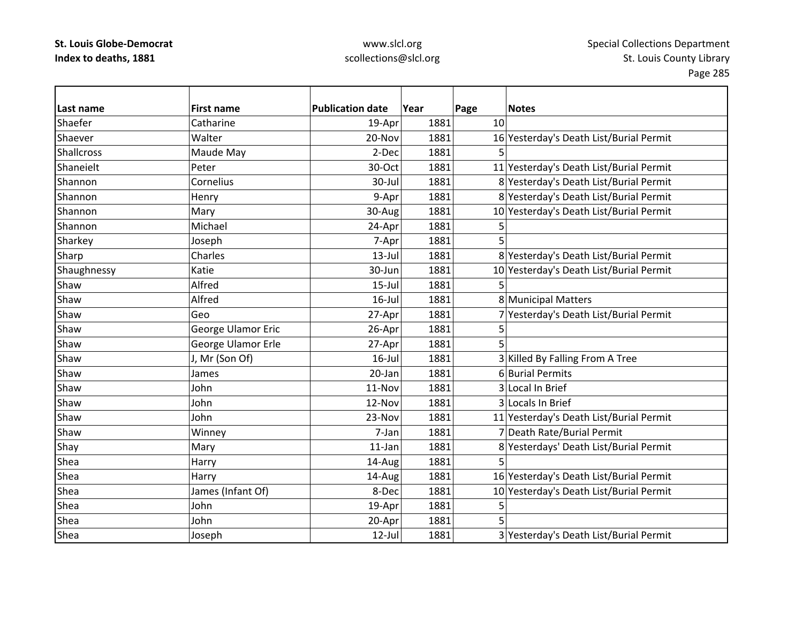| Last name         | <b>First name</b>  | <b>Publication date</b> | Year | Page | <b>Notes</b>                            |
|-------------------|--------------------|-------------------------|------|------|-----------------------------------------|
| Shaefer           | Catharine          | 19-Apr                  | 1881 | 10   |                                         |
| Shaever           | Walter             | 20-Nov                  | 1881 |      | 16 Yesterday's Death List/Burial Permit |
| <b>Shallcross</b> | Maude May          | 2-Dec                   | 1881 |      |                                         |
| Shaneielt         | Peter              | 30-Oct                  | 1881 |      | 11 Yesterday's Death List/Burial Permit |
| Shannon           | Cornelius          | 30-Jul                  | 1881 |      | 8 Yesterday's Death List/Burial Permit  |
| Shannon           | Henry              | 9-Apr                   | 1881 |      | 8 Yesterday's Death List/Burial Permit  |
| Shannon           | Mary               | 30-Aug                  | 1881 |      | 10 Yesterday's Death List/Burial Permit |
| Shannon           | Michael            | 24-Apr                  | 1881 | 5    |                                         |
| Sharkey           | Joseph             | 7-Apr                   | 1881 | 5    |                                         |
| Sharp             | Charles            | $13$ -Jul               | 1881 |      | 8 Yesterday's Death List/Burial Permit  |
| Shaughnessy       | Katie              | 30-Jun                  | 1881 |      | 10 Yesterday's Death List/Burial Permit |
| Shaw              | Alfred             | $15$ -Jul               | 1881 |      |                                         |
| Shaw              | Alfred             | $16$ -Jul               | 1881 |      | 8 Municipal Matters                     |
| Shaw              | Geo                | 27-Apr                  | 1881 |      | 7 Yesterday's Death List/Burial Permit  |
| Shaw              | George Ulamor Eric | 26-Apr                  | 1881 | 5    |                                         |
| Shaw              | George Ulamor Erle | 27-Apr                  | 1881 | 5    |                                         |
| Shaw              | J, Mr (Son Of)     | $16$ -Jul               | 1881 |      | 3 Killed By Falling From A Tree         |
| Shaw              | James              | 20-Jan                  | 1881 |      | 6 Burial Permits                        |
| Shaw              | John               | 11-Nov                  | 1881 |      | 3 Local In Brief                        |
| Shaw              | John               | 12-Nov                  | 1881 |      | 3 Locals In Brief                       |
| Shaw              | John               | 23-Nov                  | 1881 |      | 11 Yesterday's Death List/Burial Permit |
| Shaw              | Winney             | 7-Jan                   | 1881 |      | 7 Death Rate/Burial Permit              |
| Shay              | Mary               | $11$ -Jan               | 1881 |      | 8 Yesterdays' Death List/Burial Permit  |
| Shea              | Harry              | 14-Aug                  | 1881 | 5    |                                         |
| Shea              | Harry              | 14-Aug                  | 1881 |      | 16 Yesterday's Death List/Burial Permit |
| Shea              | James (Infant Of)  | 8-Dec                   | 1881 |      | 10 Yesterday's Death List/Burial Permit |
| Shea              | John               | 19-Apr                  | 1881 | 5    |                                         |
| Shea              | John               | 20-Apr                  | 1881 | 5    |                                         |
| Shea              | Joseph             | $12$ -Jul               | 1881 |      | 3 Yesterday's Death List/Burial Permit  |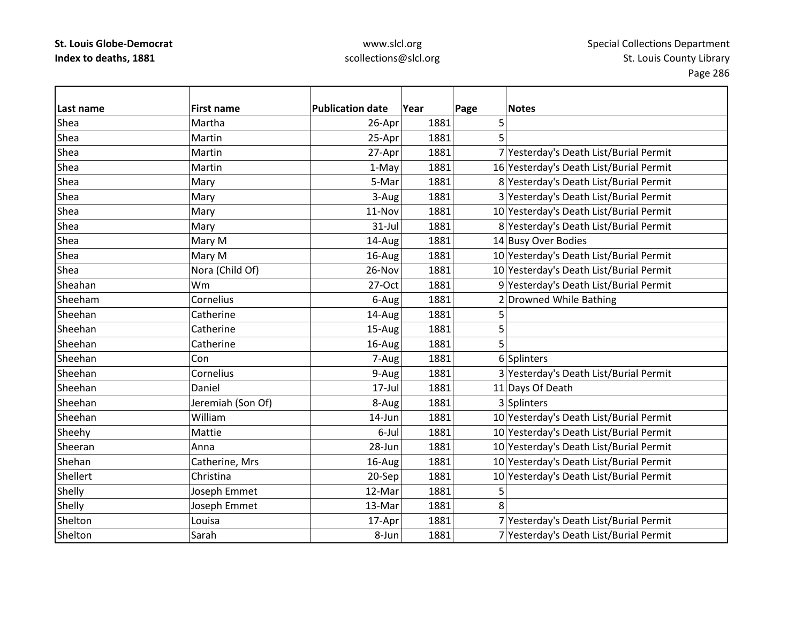| Last name | <b>First name</b> | <b>Publication date</b> | Year | Page | <b>Notes</b>                            |
|-----------|-------------------|-------------------------|------|------|-----------------------------------------|
| Shea      | Martha            | 26-Apr                  | 1881 | 5    |                                         |
| Shea      | Martin            | 25-Apr                  | 1881 | 5    |                                         |
| Shea      | Martin            | 27-Apr                  | 1881 |      | 7 Yesterday's Death List/Burial Permit  |
| Shea      | Martin            | 1-May                   | 1881 |      | 16 Yesterday's Death List/Burial Permit |
| Shea      | Mary              | 5-Mar                   | 1881 |      | 8 Yesterday's Death List/Burial Permit  |
| Shea      | Mary              | 3-Aug                   | 1881 |      | 3 Yesterday's Death List/Burial Permit  |
| Shea      | Mary              | 11-Nov                  | 1881 |      | 10 Yesterday's Death List/Burial Permit |
| Shea      | Mary              | $31$ -Jul               | 1881 |      | 8 Yesterday's Death List/Burial Permit  |
| Shea      | Mary M            | 14-Aug                  | 1881 |      | 14 Busy Over Bodies                     |
| Shea      | Mary M            | 16-Aug                  | 1881 |      | 10 Yesterday's Death List/Burial Permit |
| Shea      | Nora (Child Of)   | 26-Nov                  | 1881 |      | 10 Yesterday's Death List/Burial Permit |
| Sheahan   | Wm                | 27-Oct                  | 1881 |      | 9 Yesterday's Death List/Burial Permit  |
| Sheeham   | Cornelius         | 6-Aug                   | 1881 |      | Drowned While Bathing                   |
| Sheehan   | Catherine         | 14-Aug                  | 1881 | 5    |                                         |
| Sheehan   | Catherine         | 15-Aug                  | 1881 | 5    |                                         |
| Sheehan   | Catherine         | 16-Aug                  | 1881 | 5    |                                         |
| Sheehan   | Con               | 7-Aug                   | 1881 |      | 6 Splinters                             |
| Sheehan   | Cornelius         | 9-Aug                   | 1881 |      | 3 Yesterday's Death List/Burial Permit  |
| Sheehan   | Daniel            | $17$ -Jul               | 1881 |      | 11 Days Of Death                        |
| Sheehan   | Jeremiah (Son Of) | 8-Aug                   | 1881 |      | 3 Splinters                             |
| Sheehan   | William           | 14-Jun                  | 1881 |      | 10 Yesterday's Death List/Burial Permit |
| Sheehy    | Mattie            | 6-Jul                   | 1881 |      | 10 Yesterday's Death List/Burial Permit |
| Sheeran   | Anna              | 28-Jun                  | 1881 |      | 10 Yesterday's Death List/Burial Permit |
| Shehan    | Catherine, Mrs    | 16-Aug                  | 1881 |      | 10 Yesterday's Death List/Burial Permit |
| Shellert  | Christina         | 20-Sep                  | 1881 |      | 10 Yesterday's Death List/Burial Permit |
| Shelly    | Joseph Emmet      | 12-Mar                  | 1881 | 5    |                                         |
| Shelly    | Joseph Emmet      | 13-Mar                  | 1881 | 8    |                                         |
| Shelton   | Louisa            | 17-Apr                  | 1881 |      | 7 Yesterday's Death List/Burial Permit  |
| Shelton   | Sarah             | 8-Jun                   | 1881 |      | 7 Yesterday's Death List/Burial Permit  |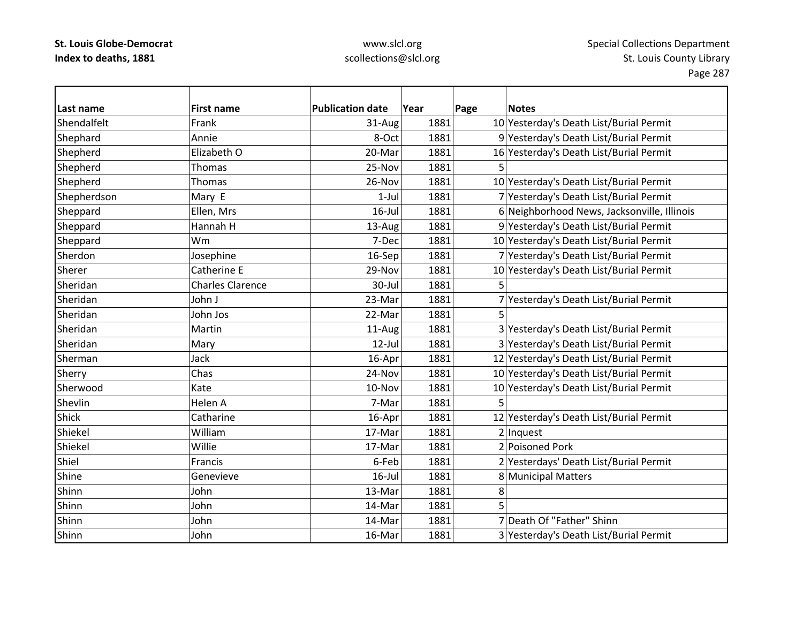## www.slcl.org scollections@slcl.org

 $\overline{\phantom{0}}$ 

| Last name    | <b>First name</b>       | <b>Publication date</b> | Year | Page<br><b>Notes</b>                        |
|--------------|-------------------------|-------------------------|------|---------------------------------------------|
| Shendalfelt  | Frank                   | 31-Aug                  | 1881 | 10 Yesterday's Death List/Burial Permit     |
| Shephard     | Annie                   | 8-Oct                   | 1881 | 9 Yesterday's Death List/Burial Permit      |
| Shepherd     | Elizabeth O             | 20-Mar                  | 1881 | 16 Yesterday's Death List/Burial Permit     |
| Shepherd     | Thomas                  | 25-Nov                  | 1881 | $\overline{5}$                              |
| Shepherd     | Thomas                  | 26-Nov                  | 1881 | 10 Yesterday's Death List/Burial Permit     |
| Shepherdson  | Mary E                  | $1-Jul$                 | 1881 | 7 Yesterday's Death List/Burial Permit      |
| Sheppard     | Ellen, Mrs              | $16$ -Jul               | 1881 | 6 Neighborhood News, Jacksonville, Illinois |
| Sheppard     | Hannah H                | 13-Aug                  | 1881 | 9 Yesterday's Death List/Burial Permit      |
| Sheppard     | Wm                      | 7-Dec                   | 1881 | 10 Yesterday's Death List/Burial Permit     |
| Sherdon      | Josephine               | 16-Sep                  | 1881 | 7 Yesterday's Death List/Burial Permit      |
| Sherer       | Catherine E             | 29-Nov                  | 1881 | 10 Yesterday's Death List/Burial Permit     |
| Sheridan     | <b>Charles Clarence</b> | 30-Jul                  | 1881 |                                             |
| Sheridan     | John J                  | 23-Mar                  | 1881 | 7 Yesterday's Death List/Burial Permit      |
| Sheridan     | John Jos                | 22-Mar                  | 1881 | 5                                           |
| Sheridan     | Martin                  | 11-Aug                  | 1881 | 3 Yesterday's Death List/Burial Permit      |
| Sheridan     | Mary                    | $12$ -Jul               | 1881 | 3 Yesterday's Death List/Burial Permit      |
| Sherman      | Jack                    | 16-Apr                  | 1881 | 12 Yesterday's Death List/Burial Permit     |
| Sherry       | Chas                    | 24-Nov                  | 1881 | 10 Yesterday's Death List/Burial Permit     |
| Sherwood     | Kate                    | 10-Nov                  | 1881 | 10 Yesterday's Death List/Burial Permit     |
| Shevlin      | Helen A                 | 7-Mar                   | 1881 | 5                                           |
| <b>Shick</b> | Catharine               | 16-Apr                  | 1881 | 12 Yesterday's Death List/Burial Permit     |
| Shiekel      | William                 | 17-Mar                  | 1881 | $2$  Inquest                                |
| Shiekel      | Willie                  | 17-Mar                  | 1881 | 2 Poisoned Pork                             |
| Shiel        | Francis                 | 6-Feb                   | 1881 | 2 Yesterdays' Death List/Burial Permit      |
| Shine        | Genevieve               | $16$ -Jul               | 1881 | 8 Municipal Matters                         |
| Shinn        | John                    | 13-Mar                  | 1881 | 8                                           |
| Shinn        | John                    | 14-Mar                  | 1881 | 5                                           |
| Shinn        | John                    | 14-Mar                  | 1881 | 7 Death Of "Father" Shinn                   |
| Shinn        | John                    | 16-Mar                  | 1881 | 3 Yesterday's Death List/Burial Permit      |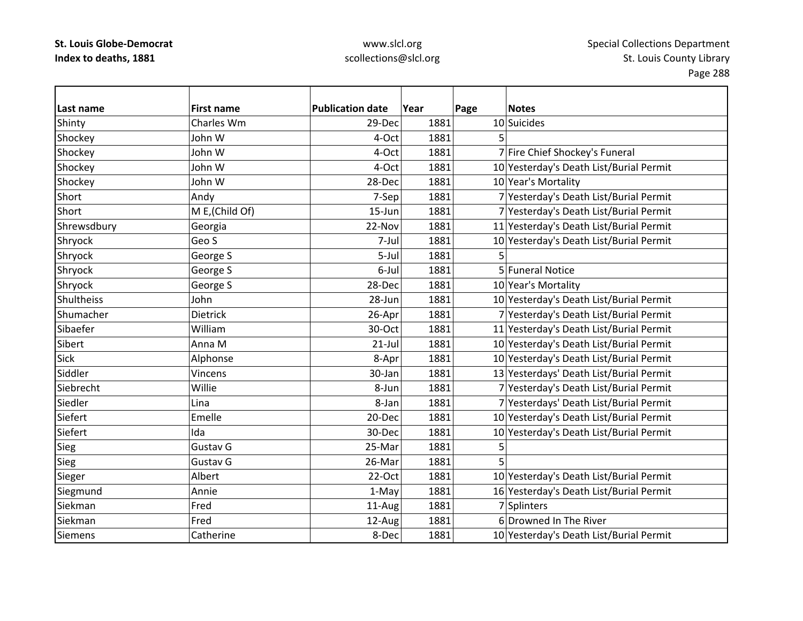| Last name   | <b>First name</b> | <b>Publication date</b> | Year | Page | <b>Notes</b>                            |
|-------------|-------------------|-------------------------|------|------|-----------------------------------------|
| Shinty      | Charles Wm        | 29-Dec                  | 1881 |      | 10 Suicides                             |
| Shockey     | John W            | 4-Oct                   | 1881 | 5    |                                         |
| Shockey     | John W            | 4-Oct                   | 1881 |      | 7 Fire Chief Shockey's Funeral          |
| Shockey     | John W            | 4-Oct                   | 1881 |      | 10 Yesterday's Death List/Burial Permit |
| Shockey     | John W            | 28-Dec                  | 1881 |      | 10 Year's Mortality                     |
| Short       | Andy              | 7-Sep                   | 1881 |      | 7 Yesterday's Death List/Burial Permit  |
| Short       | M E, (Child Of)   | $15 - Jun$              | 1881 |      | 7 Yesterday's Death List/Burial Permit  |
| Shrewsdbury | Georgia           | 22-Nov                  | 1881 |      | 11 Yesterday's Death List/Burial Permit |
| Shryock     | Geo S             | 7-Jul                   | 1881 |      | 10 Yesterday's Death List/Burial Permit |
| Shryock     | George S          | 5-Jul                   | 1881 |      |                                         |
| Shryock     | George S          | 6-Jul                   | 1881 |      | 5 Funeral Notice                        |
| Shryock     | George S          | 28-Dec                  | 1881 |      | 10 Year's Mortality                     |
| Shultheiss  | John              | 28-Jun                  | 1881 |      | 10 Yesterday's Death List/Burial Permit |
| Shumacher   | <b>Dietrick</b>   | 26-Apr                  | 1881 |      | 7 Yesterday's Death List/Burial Permit  |
| Sibaefer    | William           | 30-Oct                  | 1881 |      | 11 Yesterday's Death List/Burial Permit |
| Sibert      | Anna M            | $21$ -Jul               | 1881 |      | 10 Yesterday's Death List/Burial Permit |
| Sick        | Alphonse          | 8-Apr                   | 1881 |      | 10 Yesterday's Death List/Burial Permit |
| Siddler     | Vincens           | 30-Jan                  | 1881 |      | 13 Yesterdays' Death List/Burial Permit |
| Siebrecht   | Willie            | 8-Jun                   | 1881 |      | 7 Yesterday's Death List/Burial Permit  |
| Siedler     | Lina              | 8-Jan                   | 1881 |      | 7 Yesterdays' Death List/Burial Permit  |
| Siefert     | Emelle            | 20-Dec                  | 1881 |      | 10 Yesterday's Death List/Burial Permit |
| Siefert     | Ida               | 30-Dec                  | 1881 |      | 10 Yesterday's Death List/Burial Permit |
| Sieg        | Gustav G          | 25-Mar                  | 1881 | 5    |                                         |
| Sieg        | Gustav G          | 26-Mar                  | 1881 | 5    |                                         |
| Sieger      | Albert            | 22-Oct                  | 1881 |      | 10 Yesterday's Death List/Burial Permit |
| Siegmund    | Annie             | 1-May                   | 1881 |      | 16 Yesterday's Death List/Burial Permit |
| Siekman     | Fred              | 11-Aug                  | 1881 |      | 7 Splinters                             |
| Siekman     | Fred              | 12-Aug                  | 1881 |      | 6 Drowned In The River                  |
| Siemens     | Catherine         | 8-Dec                   | 1881 |      | 10 Yesterday's Death List/Burial Permit |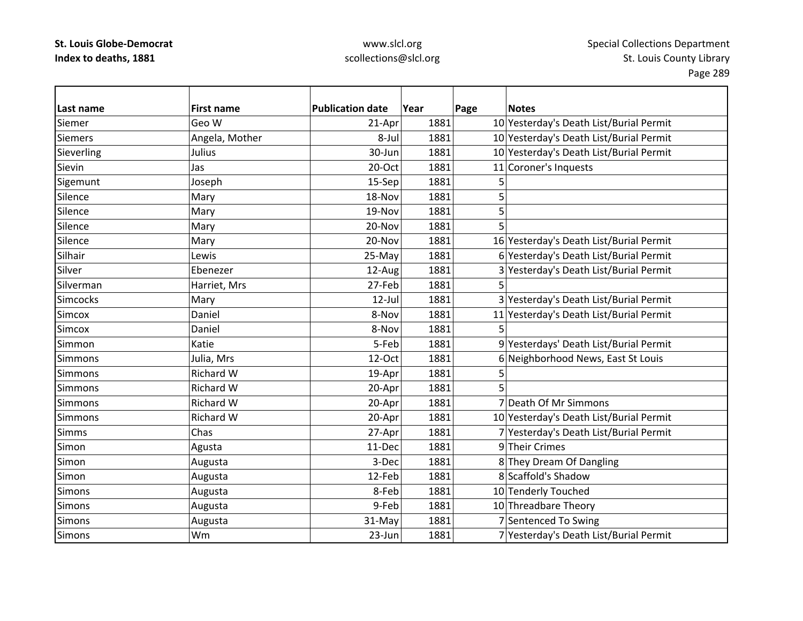| Last name      | <b>First name</b> | <b>Publication date</b> | Year | Page<br><b>Notes</b>                    |
|----------------|-------------------|-------------------------|------|-----------------------------------------|
| Siemer         | Geo W             | 21-Apr                  | 1881 | 10 Yesterday's Death List/Burial Permit |
| <b>Siemers</b> | Angela, Mother    | 8-Jul                   | 1881 | 10 Yesterday's Death List/Burial Permit |
| Sieverling     | Julius            | 30-Jun                  | 1881 | 10 Yesterday's Death List/Burial Permit |
| Sievin         | Jas               | 20-Oct                  | 1881 | 11 Coroner's Inquests                   |
| Sigemunt       | Joseph            | 15-Sep                  | 1881 | 5                                       |
| Silence        | Mary              | 18-Nov                  | 1881 | 5                                       |
| Silence        | Mary              | 19-Nov                  | 1881 | 5                                       |
| Silence        | Mary              | 20-Nov                  | 1881 | 5                                       |
| Silence        | Mary              | 20-Nov                  | 1881 | 16 Yesterday's Death List/Burial Permit |
| Silhair        | Lewis             | 25-May                  | 1881 | 6 Yesterday's Death List/Burial Permit  |
| Silver         | Ebenezer          | 12-Aug                  | 1881 | 3 Yesterday's Death List/Burial Permit  |
| Silverman      | Harriet, Mrs      | 27-Feb                  | 1881 | 5                                       |
| Simcocks       | Mary              | $12$ -Jul               | 1881 | 3 Yesterday's Death List/Burial Permit  |
| Simcox         | Daniel            | 8-Nov                   | 1881 | 11 Yesterday's Death List/Burial Permit |
| Simcox         | Daniel            | 8-Nov                   | 1881 | 5                                       |
| Simmon         | Katie             | 5-Feb                   | 1881 | 9 Yesterdays' Death List/Burial Permit  |
| <b>Simmons</b> | Julia, Mrs        | 12-Oct                  | 1881 | 6 Neighborhood News, East St Louis      |
| Simmons        | Richard W         | 19-Apr                  | 1881 | 5                                       |
| Simmons        | <b>Richard W</b>  | 20-Apr                  | 1881 | 5                                       |
| <b>Simmons</b> | Richard W         | 20-Apr                  | 1881 | 7 Death Of Mr Simmons                   |
| <b>Simmons</b> | <b>Richard W</b>  | 20-Apr                  | 1881 | 10 Yesterday's Death List/Burial Permit |
| <b>Simms</b>   | Chas              | 27-Apr                  | 1881 | 7 Yesterday's Death List/Burial Permit  |
| Simon          | Agusta            | 11-Dec                  | 1881 | 9 Their Crimes                          |
| Simon          | Augusta           | 3-Dec                   | 1881 | 8 They Dream Of Dangling                |
| Simon          | Augusta           | 12-Feb                  | 1881 | 8 Scaffold's Shadow                     |
| Simons         | Augusta           | 8-Feb                   | 1881 | 10 Tenderly Touched                     |
| <b>Simons</b>  | Augusta           | 9-Feb                   | 1881 | 10 Threadbare Theory                    |
| Simons         | Augusta           | 31-May                  | 1881 | 7 Sentenced To Swing                    |
| <b>Simons</b>  | Wm                | $23 - Jun$              | 1881 | 7 Yesterday's Death List/Burial Permit  |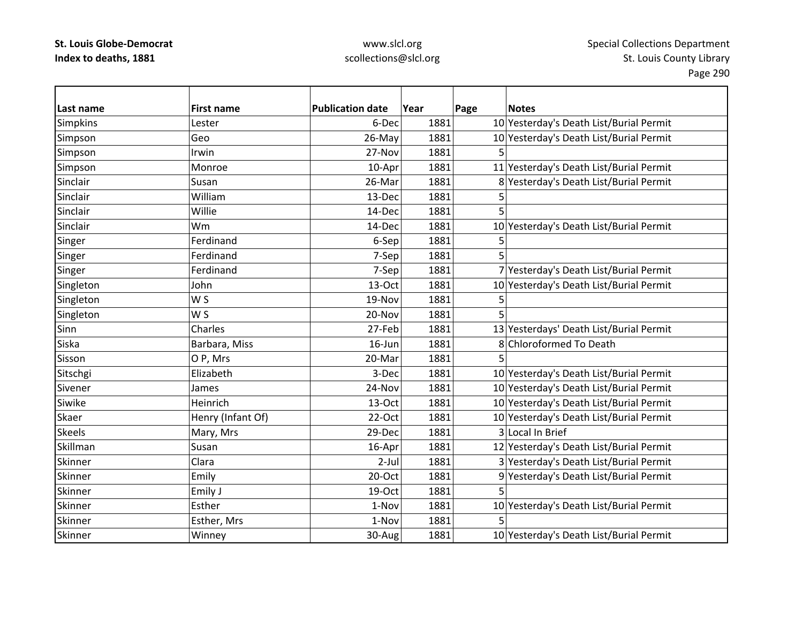| Last name       | <b>First name</b> | <b>Publication date</b> | Year | Page | <b>Notes</b>                            |
|-----------------|-------------------|-------------------------|------|------|-----------------------------------------|
| <b>Simpkins</b> | Lester            | 6-Dec                   | 1881 |      | 10 Yesterday's Death List/Burial Permit |
| Simpson         | Geo               | 26-May                  | 1881 |      | 10 Yesterday's Death List/Burial Permit |
| Simpson         | Irwin             | 27-Nov                  | 1881 |      |                                         |
| Simpson         | Monroe            | 10-Apr                  | 1881 |      | 11 Yesterday's Death List/Burial Permit |
| Sinclair        | Susan             | 26-Mar                  | 1881 |      | 8 Yesterday's Death List/Burial Permit  |
| Sinclair        | William           | 13-Dec                  | 1881 | 5    |                                         |
| Sinclair        | Willie            | 14-Dec                  | 1881 | 5    |                                         |
| Sinclair        | Wm                | 14-Dec                  | 1881 |      | 10 Yesterday's Death List/Burial Permit |
| Singer          | Ferdinand         | 6-Sep                   | 1881 | 5    |                                         |
| Singer          | Ferdinand         | 7-Sep                   | 1881 |      |                                         |
| Singer          | Ferdinand         | 7-Sep                   | 1881 |      | 7 Yesterday's Death List/Burial Permit  |
| Singleton       | John              | 13-Oct                  | 1881 |      | 10 Yesterday's Death List/Burial Permit |
| Singleton       | W S               | 19-Nov                  | 1881 | 5    |                                         |
| Singleton       | W S               | 20-Nov                  | 1881 | 5    |                                         |
| Sinn            | Charles           | 27-Feb                  | 1881 |      | 13 Yesterdays' Death List/Burial Permit |
| Siska           | Barbara, Miss     | 16-Jun                  | 1881 |      | 8 Chloroformed To Death                 |
| Sisson          | O P, Mrs          | 20-Mar                  | 1881 | 5    |                                         |
| Sitschgi        | Elizabeth         | 3-Dec                   | 1881 |      | 10 Yesterday's Death List/Burial Permit |
| Sivener         | James             | 24-Nov                  | 1881 |      | 10 Yesterday's Death List/Burial Permit |
| Siwike          | Heinrich          | 13-Oct                  | 1881 |      | 10 Yesterday's Death List/Burial Permit |
| Skaer           | Henry (Infant Of) | 22-Oct                  | 1881 |      | 10 Yesterday's Death List/Burial Permit |
| <b>Skeels</b>   | Mary, Mrs         | 29-Dec                  | 1881 |      | 3 Local In Brief                        |
| Skillman        | Susan             | 16-Apr                  | 1881 |      | 12 Yesterday's Death List/Burial Permit |
| Skinner         | Clara             | $2-Jul$                 | 1881 |      | 3 Yesterday's Death List/Burial Permit  |
| Skinner         | Emily             | 20-Oct                  | 1881 |      | 9 Yesterday's Death List/Burial Permit  |
| Skinner         | Emily J           | 19-Oct                  | 1881 | 5    |                                         |
| Skinner         | Esther            | 1-Nov                   | 1881 |      | 10 Yesterday's Death List/Burial Permit |
| Skinner         | Esther, Mrs       | 1-Nov                   | 1881 |      |                                         |
| Skinner         | Winney            | 30-Aug                  | 1881 |      | 10 Yesterday's Death List/Burial Permit |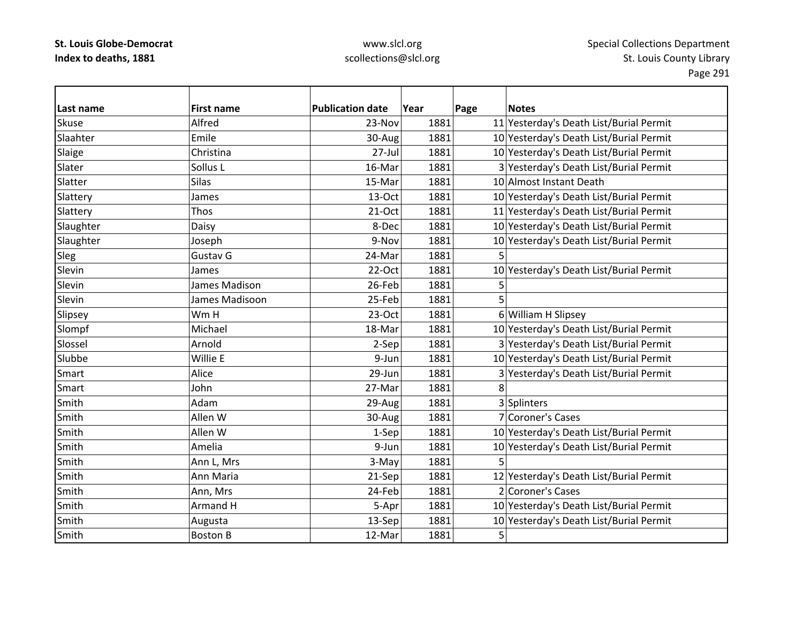| Last name    | <b>First name</b> | <b>Publication date</b> | Year | Page | <b>Notes</b>                            |
|--------------|-------------------|-------------------------|------|------|-----------------------------------------|
| <b>Skuse</b> | Alfred            | 23-Nov                  | 1881 |      | 11 Yesterday's Death List/Burial Permit |
| Slaahter     | Emile             | 30-Aug                  | 1881 |      | 10 Yesterday's Death List/Burial Permit |
| Slaige       | Christina         | 27-Jul                  | 1881 |      | 10 Yesterday's Death List/Burial Permit |
| Slater       | Sollus L          | 16-Mar                  | 1881 |      | 3 Yesterday's Death List/Burial Permit  |
| Slatter      | <b>Silas</b>      | 15-Mar                  | 1881 |      | 10 Almost Instant Death                 |
| Slattery     | James             | 13-Oct                  | 1881 |      | 10 Yesterday's Death List/Burial Permit |
| Slattery     | Thos              | $21-Oct$                | 1881 |      | 11 Yesterday's Death List/Burial Permit |
| Slaughter    | Daisy             | 8-Dec                   | 1881 |      | 10 Yesterday's Death List/Burial Permit |
| Slaughter    | Joseph            | 9-Nov                   | 1881 |      | 10 Yesterday's Death List/Burial Permit |
| Sleg         | Gustav G          | 24-Mar                  | 1881 | 5    |                                         |
| Slevin       | James             | 22-Oct                  | 1881 |      | 10 Yesterday's Death List/Burial Permit |
| Slevin       | James Madison     | 26-Feb                  | 1881 | 5    |                                         |
| Slevin       | James Madisoon    | 25-Feb                  | 1881 | 5    |                                         |
| Slipsey      | Wm H              | $23-Oct$                | 1881 |      | 6 William H Slipsey                     |
| Slompf       | Michael           | 18-Mar                  | 1881 |      | 10 Yesterday's Death List/Burial Permit |
| Slossel      | Arnold            | 2-Sep                   | 1881 |      | 3 Yesterday's Death List/Burial Permit  |
| Slubbe       | Willie E          | 9-Jun                   | 1881 |      | 10 Yesterday's Death List/Burial Permit |
| Smart        | Alice             | 29-Jun                  | 1881 |      | 3 Yesterday's Death List/Burial Permit  |
| Smart        | John              | 27-Mar                  | 1881 | 8    |                                         |
| Smith        | Adam              | 29-Aug                  | 1881 |      | 3 Splinters                             |
| Smith        | Allen W           | 30-Aug                  | 1881 |      | 7 Coroner's Cases                       |
| Smith        | Allen W           | 1-Sep                   | 1881 |      | 10 Yesterday's Death List/Burial Permit |
| Smith        | Amelia            | 9-Jun                   | 1881 |      | 10 Yesterday's Death List/Burial Permit |
| Smith        | Ann L, Mrs        | 3-May                   | 1881 | 5    |                                         |
| Smith        | Ann Maria         | 21-Sep                  | 1881 |      | 12 Yesterday's Death List/Burial Permit |
| Smith        | Ann, Mrs          | 24-Feb                  | 1881 |      | 2 Coroner's Cases                       |
| Smith        | Armand H          | 5-Apr                   | 1881 |      | 10 Yesterday's Death List/Burial Permit |
| Smith        | Augusta           | 13-Sep                  | 1881 |      | 10 Yesterday's Death List/Burial Permit |
| Smith        | <b>Boston B</b>   | 12-Mar                  | 1881 | 5    |                                         |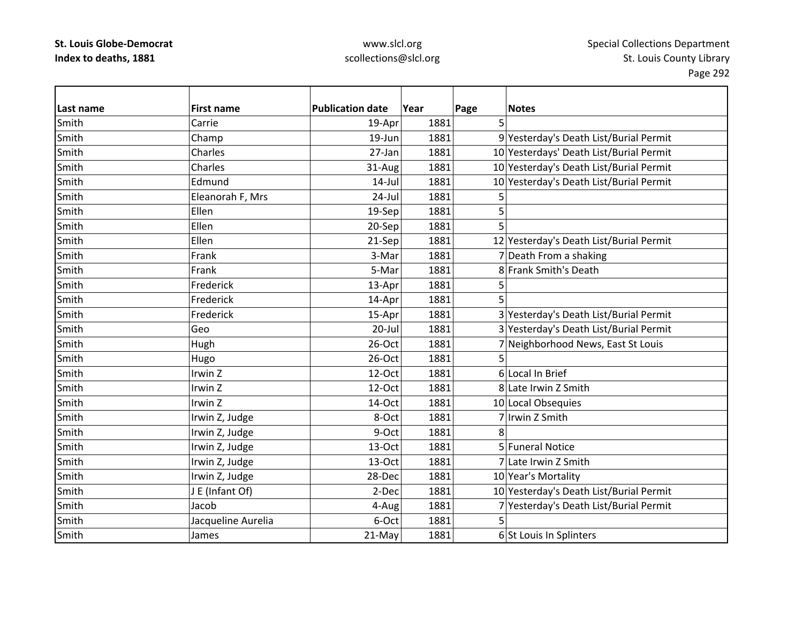| Last name | <b>First name</b>  | <b>Publication date</b> | Year | Page<br><b>Notes</b>                    |
|-----------|--------------------|-------------------------|------|-----------------------------------------|
| Smith     | Carrie             | 19-Apr                  | 1881 | 5                                       |
| Smith     | Champ              | 19-Jun                  | 1881 | 9 Yesterday's Death List/Burial Permit  |
| Smith     | Charles            | 27-Jan                  | 1881 | 10 Yesterdays' Death List/Burial Permit |
| Smith     | Charles            | 31-Aug                  | 1881 | 10 Yesterday's Death List/Burial Permit |
| Smith     | Edmund             | $14$ -Jul               | 1881 | 10 Yesterday's Death List/Burial Permit |
| Smith     | Eleanorah F, Mrs   | 24-Jul                  | 1881 | 5                                       |
| Smith     | Ellen              | 19-Sep                  | 1881 | 5                                       |
| Smith     | Ellen              | 20-Sep                  | 1881 | 5                                       |
| Smith     | Ellen              | 21-Sep                  | 1881 | 12 Yesterday's Death List/Burial Permit |
| Smith     | Frank              | 3-Mar                   | 1881 | 7 Death From a shaking                  |
| Smith     | Frank              | 5-Mar                   | 1881 | 8 Frank Smith's Death                   |
| Smith     | Frederick          | 13-Apr                  | 1881 | 5                                       |
| Smith     | Frederick          | 14-Apr                  | 1881 | 5                                       |
| Smith     | Frederick          | 15-Apr                  | 1881 | 3 Yesterday's Death List/Burial Permit  |
| Smith     | Geo                | $20 -$ Jul              | 1881 | 3 Yesterday's Death List/Burial Permit  |
| Smith     | Hugh               | 26-Oct                  | 1881 | 7 Neighborhood News, East St Louis      |
| Smith     | Hugo               | 26-Oct                  | 1881 | 5                                       |
| Smith     | Irwin Z            | 12-Oct                  | 1881 | 6 Local In Brief                        |
| Smith     | Irwin Z            | 12-Oct                  | 1881 | 8 Late Irwin Z Smith                    |
| Smith     | Irwin Z            | 14-Oct                  | 1881 | 10 Local Obsequies                      |
| Smith     | Irwin Z, Judge     | 8-Oct                   | 1881 | 7 Irwin Z Smith                         |
| Smith     | Irwin Z, Judge     | 9-Oct                   | 1881 | 8                                       |
| Smith     | Irwin Z, Judge     | 13-Oct                  | 1881 | 5 Funeral Notice                        |
| Smith     | Irwin Z, Judge     | 13-Oct                  | 1881 | 7 Late Irwin Z Smith                    |
| Smith     | Irwin Z, Judge     | 28-Dec                  | 1881 | 10 Year's Mortality                     |
| Smith     | J E (Infant Of)    | 2-Dec                   | 1881 | 10 Yesterday's Death List/Burial Permit |
| Smith     | Jacob              | 4-Aug                   | 1881 | 7 Yesterday's Death List/Burial Permit  |
| Smith     | Jacqueline Aurelia | 6-Oct                   | 1881 | 5                                       |
| Smith     | James              | 21-May                  | 1881 | 6 St Louis In Splinters                 |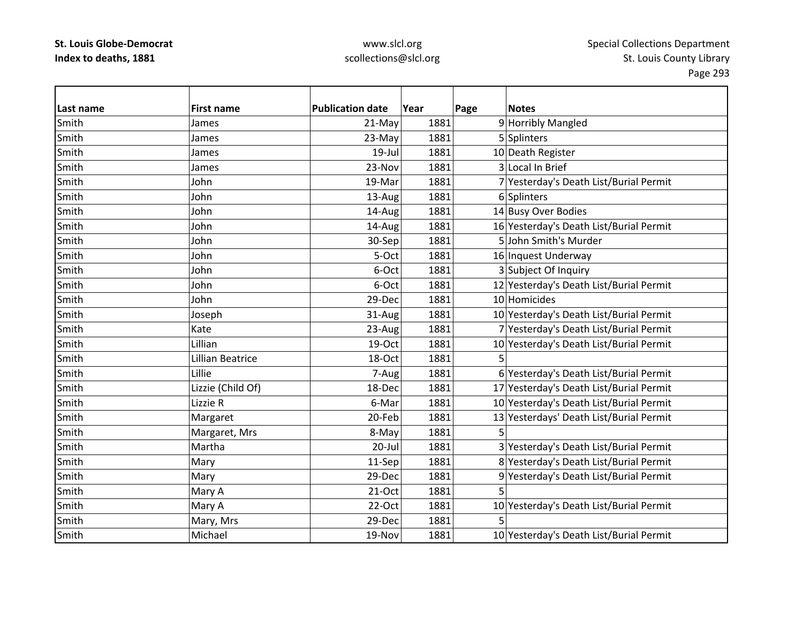| Last name | <b>First name</b>       | <b>Publication date</b> | Year | Page | <b>Notes</b>                            |
|-----------|-------------------------|-------------------------|------|------|-----------------------------------------|
| Smith     | James                   | 21-May                  | 1881 |      | 9 Horribly Mangled                      |
| Smith     | James                   | 23-May                  | 1881 |      | 5 Splinters                             |
| Smith     | James                   | $19$ -Jul               | 1881 |      | 10 Death Register                       |
| Smith     | James                   | 23-Nov                  | 1881 |      | 3 Local In Brief                        |
| Smith     | John                    | 19-Mar                  | 1881 |      | 7 Yesterday's Death List/Burial Permit  |
| Smith     | John                    | 13-Aug                  | 1881 |      | 6 Splinters                             |
| Smith     | John                    | 14-Aug                  | 1881 |      | 14 Busy Over Bodies                     |
| Smith     | John                    | 14-Aug                  | 1881 |      | 16 Yesterday's Death List/Burial Permit |
| Smith     | John                    | 30-Sep                  | 1881 |      | 5 John Smith's Murder                   |
| Smith     | John                    | 5-Oct                   | 1881 |      | 16 Inquest Underway                     |
| Smith     | John                    | 6-Oct                   | 1881 |      | 3 Subject Of Inquiry                    |
| Smith     | John                    | 6-Oct                   | 1881 |      | 12 Yesterday's Death List/Burial Permit |
| Smith     | John                    | 29-Dec                  | 1881 |      | 10 Homicides                            |
| Smith     | Joseph                  | 31-Aug                  | 1881 |      | 10 Yesterday's Death List/Burial Permit |
| Smith     | Kate                    | 23-Aug                  | 1881 |      | 7 Yesterday's Death List/Burial Permit  |
| Smith     | Lillian                 | 19-Oct                  | 1881 |      | 10 Yesterday's Death List/Burial Permit |
| Smith     | <b>Lillian Beatrice</b> | 18-Oct                  | 1881 | 5    |                                         |
| Smith     | Lillie                  | 7-Aug                   | 1881 |      | 6 Yesterday's Death List/Burial Permit  |
| Smith     | Lizzie (Child Of)       | 18-Dec                  | 1881 |      | 17 Yesterday's Death List/Burial Permit |
| Smith     | Lizzie R                | 6-Mar                   | 1881 |      | 10 Yesterday's Death List/Burial Permit |
| Smith     | Margaret                | 20-Feb                  | 1881 |      | 13 Yesterdays' Death List/Burial Permit |
| Smith     | Margaret, Mrs           | 8-May                   | 1881 |      |                                         |
| Smith     | Martha                  | $20 -$ Jul              | 1881 |      | 3 Yesterday's Death List/Burial Permit  |
| Smith     | Mary                    | 11-Sep                  | 1881 |      | 8 Yesterday's Death List/Burial Permit  |
| Smith     | Mary                    | 29-Dec                  | 1881 |      | 9 Yesterday's Death List/Burial Permit  |
| Smith     | Mary A                  | 21-Oct                  | 1881 | 5    |                                         |
| Smith     | Mary A                  | $22-Oct$                | 1881 |      | 10 Yesterday's Death List/Burial Permit |
| Smith     | Mary, Mrs               | 29-Dec                  | 1881 | 5    |                                         |
| Smith     | Michael                 | 19-Nov                  | 1881 |      | 10 Yesterday's Death List/Burial Permit |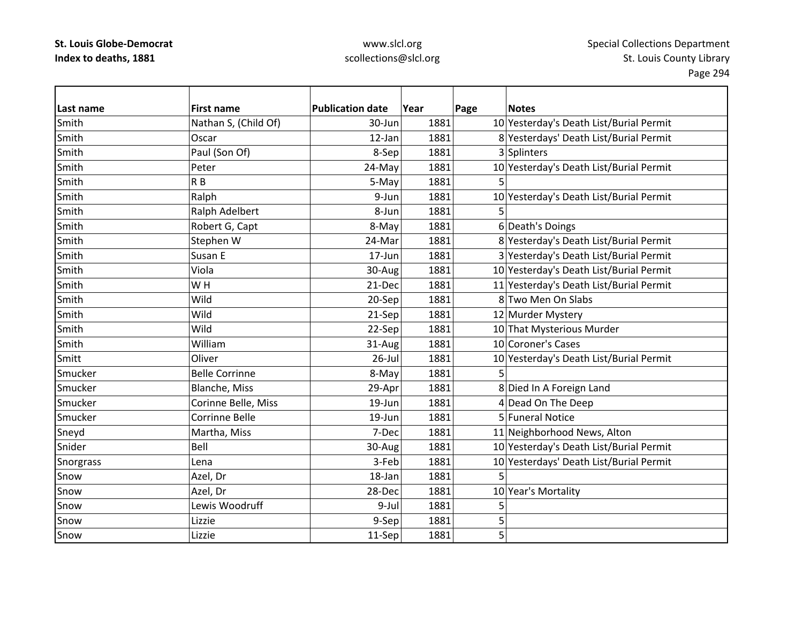| l Last name | <b>First name</b>     | <b>Publication date</b> | Year | Page | <b>Notes</b>                            |
|-------------|-----------------------|-------------------------|------|------|-----------------------------------------|
| Smith       | Nathan S, (Child Of)  | 30-Jun                  | 1881 |      | 10 Yesterday's Death List/Burial Permit |
| Smith       | Oscar                 | 12-Jan                  | 1881 |      | 8 Yesterdays' Death List/Burial Permit  |
| Smith       | Paul (Son Of)         | 8-Sep                   | 1881 |      | 3 Splinters                             |
| Smith       | Peter                 | 24-May                  | 1881 |      | 10 Yesterday's Death List/Burial Permit |
| Smith       | R <sub>B</sub>        | 5-May                   | 1881 | 5    |                                         |
| Smith       | Ralph                 | 9-Jun                   | 1881 |      | 10 Yesterday's Death List/Burial Permit |
| Smith       | Ralph Adelbert        | 8-Jun                   | 1881 | 5    |                                         |
| Smith       | Robert G, Capt        | 8-May                   | 1881 |      | 6 Death's Doings                        |
| Smith       | Stephen W             | 24-Mar                  | 1881 |      | 8 Yesterday's Death List/Burial Permit  |
| Smith       | Susan E               | 17-Jun                  | 1881 |      | 3 Yesterday's Death List/Burial Permit  |
| Smith       | Viola                 | 30-Aug                  | 1881 |      | 10 Yesterday's Death List/Burial Permit |
| Smith       | WH                    | 21-Dec                  | 1881 |      | 11 Yesterday's Death List/Burial Permit |
| Smith       | Wild                  | 20-Sep                  | 1881 |      | 8 Two Men On Slabs                      |
| Smith       | Wild                  | 21-Sep                  | 1881 |      | 12 Murder Mystery                       |
| Smith       | Wild                  | 22-Sep                  | 1881 |      | 10 That Mysterious Murder               |
| Smith       | William               | 31-Aug                  | 1881 |      | 10 Coroner's Cases                      |
| Smitt       | Oliver                | $26$ -Jul               | 1881 |      | 10 Yesterday's Death List/Burial Permit |
| Smucker     | <b>Belle Corrinne</b> | 8-May                   | 1881 | 5.   |                                         |
| Smucker     | Blanche, Miss         | 29-Apr                  | 1881 |      | 8 Died In A Foreign Land                |
| Smucker     | Corinne Belle, Miss   | 19-Jun                  | 1881 |      | 4 Dead On The Deep                      |
| Smucker     | <b>Corrinne Belle</b> | 19-Jun                  | 1881 |      | 5 Funeral Notice                        |
| Sneyd       | Martha, Miss          | 7-Dec                   | 1881 |      | 11 Neighborhood News, Alton             |
| Snider      | Bell                  | 30-Aug                  | 1881 |      | 10 Yesterday's Death List/Burial Permit |
| Snorgrass   | Lena                  | 3-Feb                   | 1881 |      | 10 Yesterdays' Death List/Burial Permit |
| Snow        | Azel, Dr              | 18-Jan                  | 1881 | 5    |                                         |
| Snow        | Azel, Dr              | 28-Dec                  | 1881 |      | 10 Year's Mortality                     |
| Snow        | Lewis Woodruff        | 9-Jul                   | 1881 | 5    |                                         |
| Snow        | Lizzie                | 9-Sep                   | 1881 | 5    |                                         |
| Snow        | Lizzie                | 11-Sep                  | 1881 | 5    |                                         |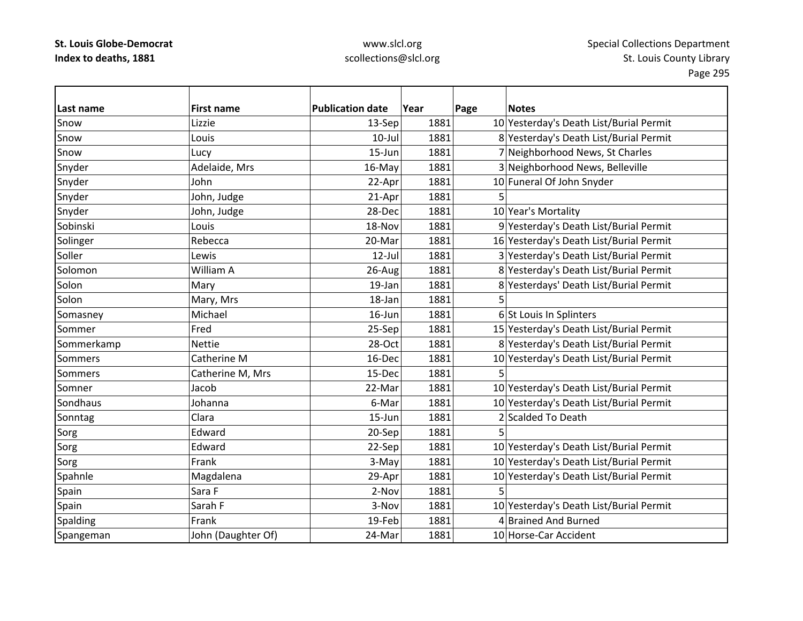## www.slcl.org scollections@slcl.org

 $\overline{\phantom{0}}$ 

| Last name      | <b>First name</b>  | <b>Publication date</b> | Year | Page | <b>Notes</b>                            |
|----------------|--------------------|-------------------------|------|------|-----------------------------------------|
| Snow           | Lizzie             | 13-Sep                  | 1881 |      | 10 Yesterday's Death List/Burial Permit |
| Snow           | Louis              | $10$ -Jul               | 1881 |      | 8 Yesterday's Death List/Burial Permit  |
| Snow           | Lucy               | 15-Jun                  | 1881 |      | 7 Neighborhood News, St Charles         |
| Snyder         | Adelaide, Mrs      | 16-May                  | 1881 |      | 3 Neighborhood News, Belleville         |
| Snyder         | John               | 22-Apr                  | 1881 |      | 10 Funeral Of John Snyder               |
| Snyder         | John, Judge        | 21-Apr                  | 1881 | 5    |                                         |
| Snyder         | John, Judge        | 28-Dec                  | 1881 |      | 10 Year's Mortality                     |
| Sobinski       | Louis              | 18-Nov                  | 1881 |      | 9 Yesterday's Death List/Burial Permit  |
| Solinger       | Rebecca            | 20-Mar                  | 1881 |      | 16 Yesterday's Death List/Burial Permit |
| Soller         | Lewis              | $12$ -Jul               | 1881 |      | 3 Yesterday's Death List/Burial Permit  |
| Solomon        | William A          | 26-Aug                  | 1881 |      | 8 Yesterday's Death List/Burial Permit  |
| Solon          | Mary               | 19-Jan                  | 1881 |      | 8 Yesterdays' Death List/Burial Permit  |
| Solon          | Mary, Mrs          | 18-Jan                  | 1881 |      |                                         |
| Somasney       | Michael            | 16-Jun                  | 1881 |      | 6 St Louis In Splinters                 |
| Sommer         | Fred               | 25-Sep                  | 1881 |      | 15 Yesterday's Death List/Burial Permit |
| Sommerkamp     | <b>Nettie</b>      | 28-Oct                  | 1881 |      | 8 Yesterday's Death List/Burial Permit  |
| <b>Sommers</b> | Catherine M        | 16-Dec                  | 1881 |      | 10 Yesterday's Death List/Burial Permit |
| <b>Sommers</b> | Catherine M, Mrs   | 15-Dec                  | 1881 |      |                                         |
| Somner         | Jacob              | 22-Mar                  | 1881 |      | 10 Yesterday's Death List/Burial Permit |
| Sondhaus       | Johanna            | 6-Mar                   | 1881 |      | 10 Yesterday's Death List/Burial Permit |
| Sonntag        | Clara              | 15-Jun                  | 1881 |      | 2 Scalded To Death                      |
| Sorg           | Edward             | 20-Sep                  | 1881 |      |                                         |
| Sorg           | Edward             | 22-Sep                  | 1881 |      | 10 Yesterday's Death List/Burial Permit |
| Sorg           | Frank              | 3-May                   | 1881 |      | 10 Yesterday's Death List/Burial Permit |
| Spahnle        | Magdalena          | 29-Apr                  | 1881 |      | 10 Yesterday's Death List/Burial Permit |
| Spain          | Sara F             | 2-Nov                   | 1881 | 5    |                                         |
| Spain          | Sarah F            | 3-Nov                   | 1881 |      | 10 Yesterday's Death List/Burial Permit |
| Spalding       | Frank              | 19-Feb                  | 1881 |      | 4 Brained And Burned                    |
| Spangeman      | John (Daughter Of) | 24-Mar                  | 1881 |      | 10 Horse-Car Accident                   |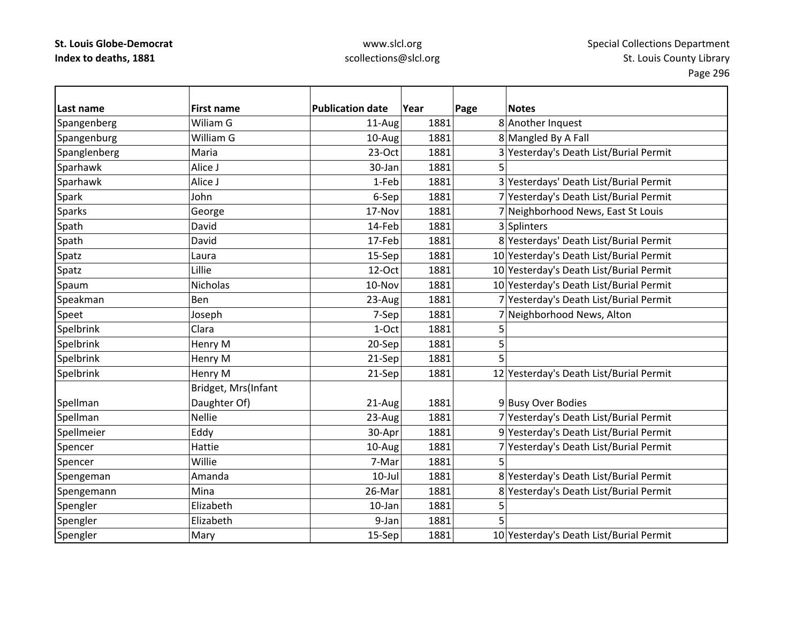| Last name     | <b>First name</b>   | <b>Publication date</b> | Year | Page | <b>Notes</b>                            |
|---------------|---------------------|-------------------------|------|------|-----------------------------------------|
| Spangenberg   | Wiliam G            | 11-Aug                  | 1881 |      | 8 Another Inquest                       |
| Spangenburg   | William G           | 10-Aug                  | 1881 |      | 8 Mangled By A Fall                     |
| Spanglenberg  | Maria               | $23-Oct$                | 1881 |      | 3 Yesterday's Death List/Burial Permit  |
| Sparhawk      | Alice J             | 30-Jan                  | 1881 | 5    |                                         |
| Sparhawk      | Alice J             | 1-Feb                   | 1881 |      | 3 Yesterdays' Death List/Burial Permit  |
| Spark         | John                | 6-Sep                   | 1881 |      | 7 Yesterday's Death List/Burial Permit  |
| <b>Sparks</b> | George              | 17-Nov                  | 1881 |      | 7 Neighborhood News, East St Louis      |
| Spath         | David               | 14-Feb                  | 1881 |      | 3 Splinters                             |
| Spath         | David               | 17-Feb                  | 1881 |      | 8 Yesterdays' Death List/Burial Permit  |
| Spatz         | Laura               | 15-Sep                  | 1881 |      | 10 Yesterday's Death List/Burial Permit |
| Spatz         | Lillie              | 12-Oct                  | 1881 |      | 10 Yesterday's Death List/Burial Permit |
| Spaum         | <b>Nicholas</b>     | 10-Nov                  | 1881 |      | 10 Yesterday's Death List/Burial Permit |
| Speakman      | Ben                 | 23-Aug                  | 1881 |      | 7 Yesterday's Death List/Burial Permit  |
| Speet         | Joseph              | 7-Sep                   | 1881 |      | 7 Neighborhood News, Alton              |
| Spelbrink     | Clara               | 1-Oct                   | 1881 | 5    |                                         |
| Spelbrink     | Henry M             | 20-Sep                  | 1881 | 5    |                                         |
| Spelbrink     | Henry M             | 21-Sep                  | 1881 | 5    |                                         |
| Spelbrink     | Henry M             | 21-Sep                  | 1881 |      | 12 Yesterday's Death List/Burial Permit |
|               | Bridget, Mrs(Infant |                         |      |      |                                         |
| Spellman      | Daughter Of)        | 21-Aug                  | 1881 |      | 9 Busy Over Bodies                      |
| Spellman      | <b>Nellie</b>       | 23-Aug                  | 1881 |      | 7 Yesterday's Death List/Burial Permit  |
| Spellmeier    | Eddy                | 30-Apr                  | 1881 |      | 9 Yesterday's Death List/Burial Permit  |
| Spencer       | Hattie              | 10-Aug                  | 1881 |      | 7 Yesterday's Death List/Burial Permit  |
| Spencer       | Willie              | 7-Mar                   | 1881 | 5    |                                         |
| Spengeman     | Amanda              | $10$ -Jul               | 1881 |      | 8 Yesterday's Death List/Burial Permit  |
| Spengemann    | Mina                | 26-Mar                  | 1881 |      | 8 Yesterday's Death List/Burial Permit  |
| Spengler      | Elizabeth           | $10$ -Jan               | 1881 | 5    |                                         |
| Spengler      | Elizabeth           | 9-Jan                   | 1881 | 5    |                                         |
| Spengler      | Mary                | 15-Sep                  | 1881 |      | 10 Yesterday's Death List/Burial Permit |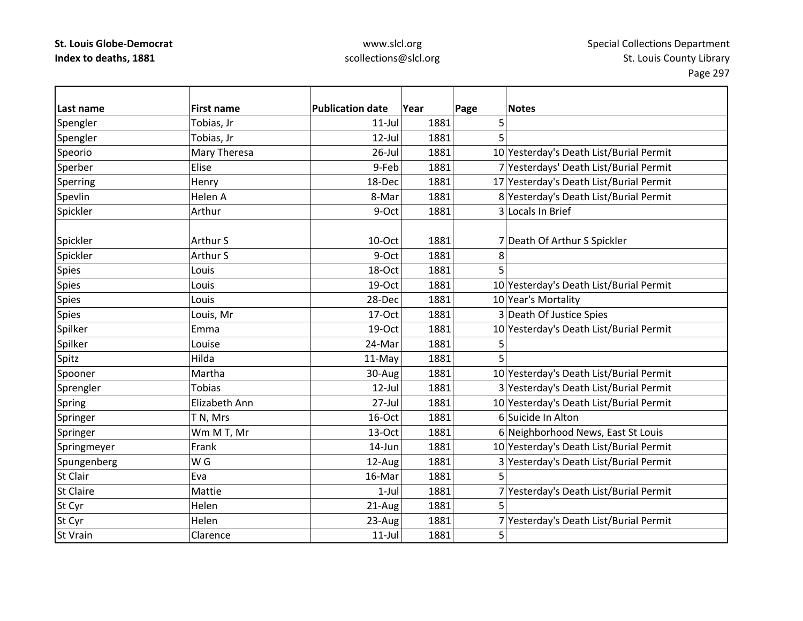| Last name        | <b>First name</b> | <b>Publication date</b> | Year | Page | <b>Notes</b>                            |
|------------------|-------------------|-------------------------|------|------|-----------------------------------------|
| Spengler         | Tobias, Jr        | $11$ -Jul               | 1881 | 5    |                                         |
| Spengler         | Tobias, Jr        | 12-Jul                  | 1881 | 5    |                                         |
| Speorio          | Mary Theresa      | $26$ -Jul               | 1881 |      | 10 Yesterday's Death List/Burial Permit |
| Sperber          | Elise             | 9-Feb                   | 1881 |      | 7 Yesterdays' Death List/Burial Permit  |
| Sperring         | Henry             | 18-Dec                  | 1881 |      | 17 Yesterday's Death List/Burial Permit |
| Spevlin          | Helen A           | 8-Mar                   | 1881 |      | 8 Yesterday's Death List/Burial Permit  |
| Spickler         | Arthur            | 9-Oct                   | 1881 |      | 3 Locals In Brief                       |
|                  |                   |                         |      |      |                                         |
| Spickler         | Arthur S          | 10-Oct                  | 1881 |      | 7 Death Of Arthur S Spickler            |
| Spickler         | Arthur S          | 9-Oct                   | 1881 | 8    |                                         |
| <b>Spies</b>     | Louis             | 18-Oct                  | 1881 | 5    |                                         |
| <b>Spies</b>     | Louis             | 19-Oct                  | 1881 |      | 10 Yesterday's Death List/Burial Permit |
| <b>Spies</b>     | Louis             | 28-Dec                  | 1881 |      | 10 Year's Mortality                     |
| <b>Spies</b>     | Louis, Mr         | 17-Oct                  | 1881 |      | 3 Death Of Justice Spies                |
| Spilker          | Emma              | 19-Oct                  | 1881 |      | 10 Yesterday's Death List/Burial Permit |
| Spilker          | Louise            | 24-Mar                  | 1881 | 5    |                                         |
| Spitz            | Hilda             | 11-May                  | 1881 | 5    |                                         |
| Spooner          | Martha            | 30-Aug                  | 1881 |      | 10 Yesterday's Death List/Burial Permit |
| Sprengler        | <b>Tobias</b>     | $12$ -Jul               | 1881 |      | 3 Yesterday's Death List/Burial Permit  |
| Spring           | Elizabeth Ann     | 27-Jul                  | 1881 |      | 10 Yesterday's Death List/Burial Permit |
| Springer         | T N, Mrs          | 16-Oct                  | 1881 |      | 6 Suicide In Alton                      |
| Springer         | Wm M T, Mr        | 13-Oct                  | 1881 |      | 6 Neighborhood News, East St Louis      |
| Springmeyer      | Frank             | 14-Jun                  | 1881 |      | 10 Yesterday's Death List/Burial Permit |
| Spungenberg      | W <sub>G</sub>    | 12-Aug                  | 1881 |      | 3 Yesterday's Death List/Burial Permit  |
| <b>St Clair</b>  | Eva               | 16-Mar                  | 1881 | 5    |                                         |
| <b>St Claire</b> | Mattie            | $1-Jul$                 | 1881 |      | 7 Yesterday's Death List/Burial Permit  |
| St Cyr           | Helen             | 21-Aug                  | 1881 | 5    |                                         |
| St Cyr           | Helen             | 23-Aug                  | 1881 |      | 7 Yesterday's Death List/Burial Permit  |
| <b>St Vrain</b>  | Clarence          | $11$ -Jul               | 1881 | 5    |                                         |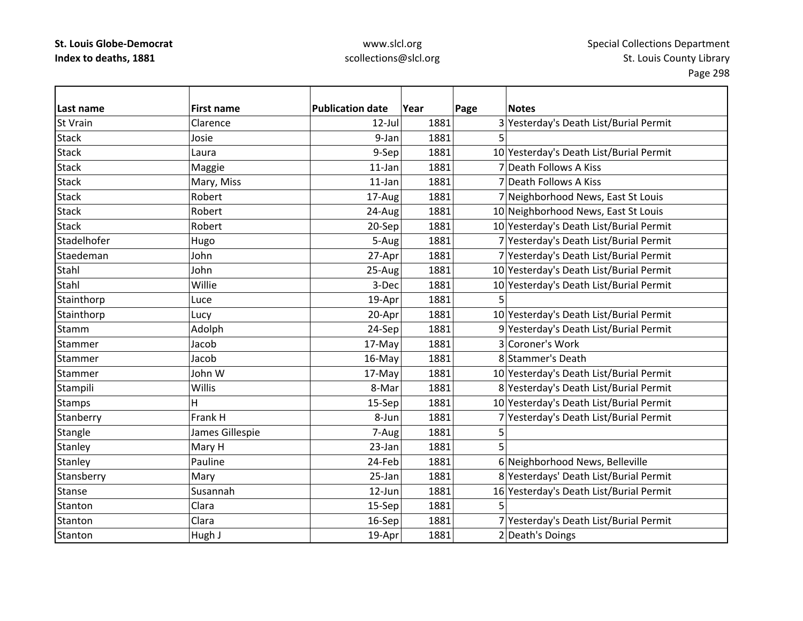## www.slcl.org scollections@slcl.org

 $\overline{\phantom{0}}$ 

| Last name       | <b>First name</b> | <b>Publication date</b> | Year | Page | <b>Notes</b>                            |
|-----------------|-------------------|-------------------------|------|------|-----------------------------------------|
| <b>St Vrain</b> | Clarence          | $12$ -Jul               | 1881 |      | 3 Yesterday's Death List/Burial Permit  |
| <b>Stack</b>    | Josie             | 9-Jan                   | 1881 | 5    |                                         |
| <b>Stack</b>    | Laura             | 9-Sep                   | 1881 |      | 10 Yesterday's Death List/Burial Permit |
| <b>Stack</b>    | Maggie            | 11-Jan                  | 1881 |      | 7 Death Follows A Kiss                  |
| <b>Stack</b>    | Mary, Miss        | $11$ -Jan               | 1881 |      | 7 Death Follows A Kiss                  |
| <b>Stack</b>    | Robert            | 17-Aug                  | 1881 |      | 7 Neighborhood News, East St Louis      |
| <b>Stack</b>    | Robert            | 24-Aug                  | 1881 |      | 10 Neighborhood News, East St Louis     |
| <b>Stack</b>    | Robert            | 20-Sep                  | 1881 |      | 10 Yesterday's Death List/Burial Permit |
| Stadelhofer     | Hugo              | 5-Aug                   | 1881 |      | 7 Yesterday's Death List/Burial Permit  |
| Staedeman       | John              | 27-Apr                  | 1881 |      | 7 Yesterday's Death List/Burial Permit  |
| Stahl           | John              | 25-Aug                  | 1881 |      | 10 Yesterday's Death List/Burial Permit |
| Stahl           | Willie            | 3-Dec                   | 1881 |      | 10 Yesterday's Death List/Burial Permit |
| Stainthorp      | Luce              | 19-Apr                  | 1881 |      |                                         |
| Stainthorp      | Lucy              | 20-Apr                  | 1881 |      | 10 Yesterday's Death List/Burial Permit |
| Stamm           | Adolph            | 24-Sep                  | 1881 |      | 9 Yesterday's Death List/Burial Permit  |
| Stammer         | Jacob             | 17-May                  | 1881 |      | 3 Coroner's Work                        |
| Stammer         | Jacob             | 16-May                  | 1881 |      | 8 Stammer's Death                       |
| Stammer         | John W            | 17-May                  | 1881 |      | 10 Yesterday's Death List/Burial Permit |
| Stampili        | Willis            | 8-Mar                   | 1881 |      | 8 Yesterday's Death List/Burial Permit  |
| <b>Stamps</b>   | Н                 | 15-Sep                  | 1881 |      | 10 Yesterday's Death List/Burial Permit |
| Stanberry       | Frank H           | 8-Jun                   | 1881 |      | 7 Yesterday's Death List/Burial Permit  |
| Stangle         | James Gillespie   | 7-Aug                   | 1881 | 5    |                                         |
| Stanley         | Mary H            | 23-Jan                  | 1881 |      |                                         |
| Stanley         | Pauline           | 24-Feb                  | 1881 |      | 6 Neighborhood News, Belleville         |
| Stansberry      | Mary              | 25-Jan                  | 1881 |      | 8 Yesterdays' Death List/Burial Permit  |
| <b>Stanse</b>   | Susannah          | 12-Jun                  | 1881 |      | 16 Yesterday's Death List/Burial Permit |
| Stanton         | Clara             | 15-Sep                  | 1881 | 5    |                                         |
| Stanton         | Clara             | 16-Sep                  | 1881 |      | 7 Yesterday's Death List/Burial Permit  |
| Stanton         | Hugh J            | 19-Apr                  | 1881 |      | 2 Death's Doings                        |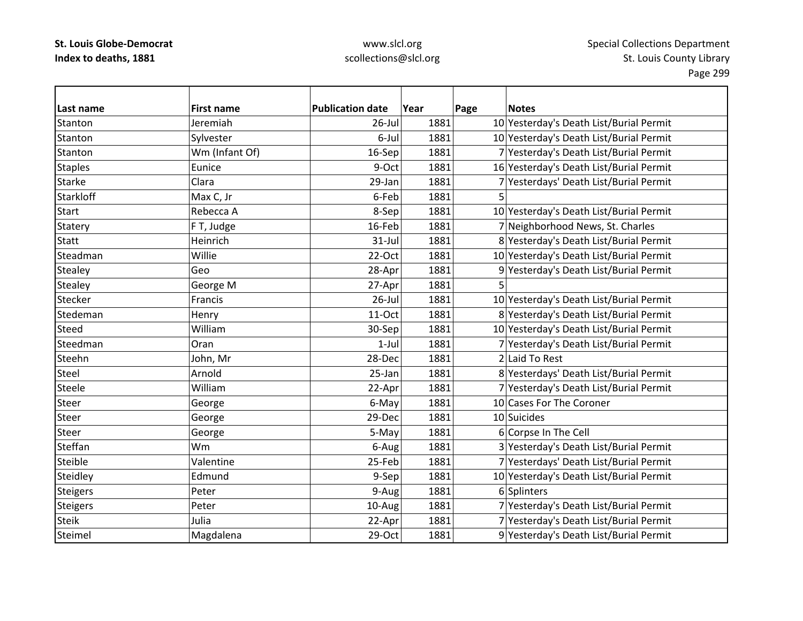| Last name        | <b>First name</b> | <b>Publication date</b> | Year | Page | <b>Notes</b>                            |
|------------------|-------------------|-------------------------|------|------|-----------------------------------------|
| Stanton          | Jeremiah          | $26$ -Jul               | 1881 |      | 10 Yesterday's Death List/Burial Permit |
| Stanton          | Sylvester         | 6-Jul                   | 1881 |      | 10 Yesterday's Death List/Burial Permit |
| Stanton          | Wm (Infant Of)    | 16-Sep                  | 1881 |      | 7 Yesterday's Death List/Burial Permit  |
| <b>Staples</b>   | Eunice            | 9-Oct                   | 1881 |      | 16 Yesterday's Death List/Burial Permit |
| <b>Starke</b>    | Clara             | 29-Jan                  | 1881 |      | 7 Yesterdays' Death List/Burial Permit  |
| <b>Starkloff</b> | Max C, Jr         | 6-Feb                   | 1881 | 5    |                                         |
| <b>Start</b>     | Rebecca A         | 8-Sep                   | 1881 |      | 10 Yesterday's Death List/Burial Permit |
| <b>Statery</b>   | F T, Judge        | 16-Feb                  | 1881 |      | 7 Neighborhood News, St. Charles        |
| <b>Statt</b>     | Heinrich          | $31$ -Jul               | 1881 |      | 8 Yesterday's Death List/Burial Permit  |
| Steadman         | Willie            | 22-Oct                  | 1881 |      | 10 Yesterday's Death List/Burial Permit |
| <b>Stealey</b>   | Geo               | 28-Apr                  | 1881 |      | 9 Yesterday's Death List/Burial Permit  |
| <b>Stealey</b>   | George M          | 27-Apr                  | 1881 | 5    |                                         |
| Stecker          | Francis           | $26$ -Jul               | 1881 |      | 10 Yesterday's Death List/Burial Permit |
| Stedeman         | Henry             | $11-Oct$                | 1881 |      | 8 Yesterday's Death List/Burial Permit  |
| <b>Steed</b>     | William           | 30-Sep                  | 1881 |      | 10 Yesterday's Death List/Burial Permit |
| Steedman         | Oran              | $1-Jul$                 | 1881 |      | 7 Yesterday's Death List/Burial Permit  |
| Steehn           | John, Mr          | 28-Dec                  | 1881 |      | 2 Laid To Rest                          |
| Steel            | Arnold            | 25-Jan                  | 1881 |      | 8 Yesterdays' Death List/Burial Permit  |
| <b>Steele</b>    | William           | 22-Apr                  | 1881 |      | 7 Yesterday's Death List/Burial Permit  |
| <b>Steer</b>     | George            | 6-May                   | 1881 |      | 10 Cases For The Coroner                |
| <b>Steer</b>     | George            | 29-Dec                  | 1881 |      | 10 Suicides                             |
| <b>Steer</b>     | George            | 5-May                   | 1881 |      | 6 Corpse In The Cell                    |
| Steffan          | Wm                | 6-Aug                   | 1881 |      | 3 Yesterday's Death List/Burial Permit  |
| Steible          | Valentine         | 25-Feb                  | 1881 |      | 7 Yesterdays' Death List/Burial Permit  |
| Steidley         | Edmund            | 9-Sep                   | 1881 |      | 10 Yesterday's Death List/Burial Permit |
| <b>Steigers</b>  | Peter             | 9-Aug                   | 1881 |      | 6 Splinters                             |
| <b>Steigers</b>  | Peter             | 10-Aug                  | 1881 |      | 7 Yesterday's Death List/Burial Permit  |
| <b>Steik</b>     | Julia             | 22-Apr                  | 1881 |      | 7 Yesterday's Death List/Burial Permit  |
| Steimel          | Magdalena         | 29-Oct                  | 1881 |      | 9 Yesterday's Death List/Burial Permit  |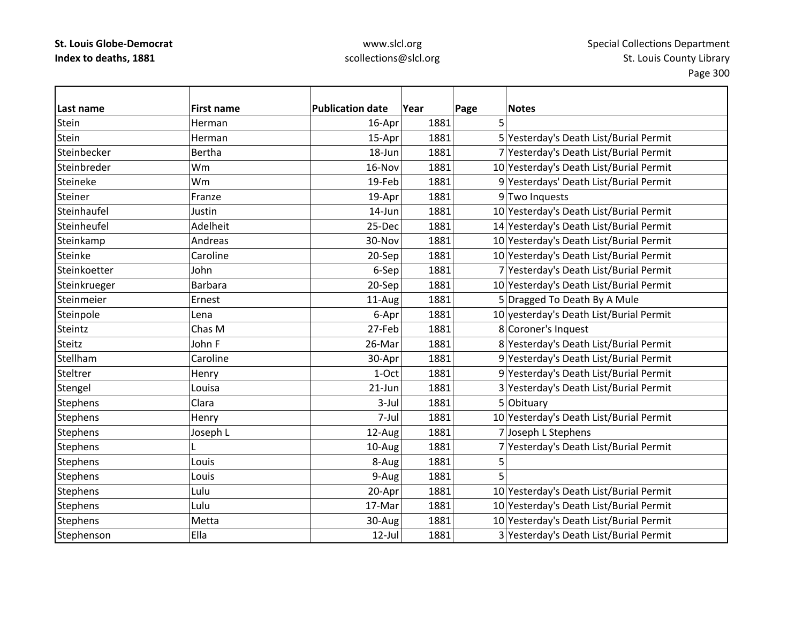| l Last name     | <b>First name</b> | <b>Publication date</b> | Year | Page<br><b>Notes</b>                    |
|-----------------|-------------------|-------------------------|------|-----------------------------------------|
| Stein           | Herman            | 16-Apr                  | 1881 | 5                                       |
| Stein           | Herman            | 15-Apr                  | 1881 | 5 Yesterday's Death List/Burial Permit  |
| Steinbecker     | <b>Bertha</b>     | 18-Jun                  | 1881 | 7 Yesterday's Death List/Burial Permit  |
| Steinbreder     | Wm                | 16-Nov                  | 1881 | 10 Yesterday's Death List/Burial Permit |
| Steineke        | Wm                | 19-Feb                  | 1881 | 9 Yesterdays' Death List/Burial Permit  |
| Steiner         | Franze            | 19-Apr                  | 1881 | 9 Two Inquests                          |
| Steinhaufel     | Justin            | 14-Jun                  | 1881 | 10 Yesterday's Death List/Burial Permit |
| Steinheufel     | Adelheit          | 25-Dec                  | 1881 | 14 Yesterday's Death List/Burial Permit |
| Steinkamp       | Andreas           | 30-Nov                  | 1881 | 10 Yesterday's Death List/Burial Permit |
| Steinke         | Caroline          | 20-Sep                  | 1881 | 10 Yesterday's Death List/Burial Permit |
| Steinkoetter    | John              | 6-Sep                   | 1881 | 7 Yesterday's Death List/Burial Permit  |
| Steinkrueger    | <b>Barbara</b>    | 20-Sep                  | 1881 | 10 Yesterday's Death List/Burial Permit |
| Steinmeier      | Ernest            | 11-Aug                  | 1881 | 5 Dragged To Death By A Mule            |
| Steinpole       | Lena              | 6-Apr                   | 1881 | 10 yesterday's Death List/Burial Permit |
| Steintz         | Chas M            | 27-Feb                  | 1881 | 8 Coroner's Inquest                     |
| <b>Steitz</b>   | John F            | 26-Mar                  | 1881 | 8 Yesterday's Death List/Burial Permit  |
| Stellham        | Caroline          | 30-Apr                  | 1881 | 9 Yesterday's Death List/Burial Permit  |
| Steltrer        | Henry             | 1-Oct                   | 1881 | 9 Yesterday's Death List/Burial Permit  |
| Stengel         | Louisa            | $21$ -Jun               | 1881 | 3 Yesterday's Death List/Burial Permit  |
| <b>Stephens</b> | Clara             | $3$ -Jul                | 1881 | 5 Obituary                              |
| <b>Stephens</b> | Henry             | 7-Jul                   | 1881 | 10 Yesterday's Death List/Burial Permit |
| <b>Stephens</b> | Joseph L          | 12-Aug                  | 1881 | 7 Joseph L Stephens                     |
| <b>Stephens</b> |                   | 10-Aug                  | 1881 | 7 Yesterday's Death List/Burial Permit  |
| <b>Stephens</b> | Louis             | 8-Aug                   | 1881 | 5                                       |
| <b>Stephens</b> | Louis             | 9-Augl                  | 1881 | 5                                       |
| <b>Stephens</b> | Lulu              | 20-Apr                  | 1881 | 10 Yesterday's Death List/Burial Permit |
| <b>Stephens</b> | Lulu              | 17-Mar                  | 1881 | 10 Yesterday's Death List/Burial Permit |
| <b>Stephens</b> | Metta             | 30-Aug                  | 1881 | 10 Yesterday's Death List/Burial Permit |
| Stephenson      | Ella              | $12$ -Jul               | 1881 | 3 Yesterday's Death List/Burial Permit  |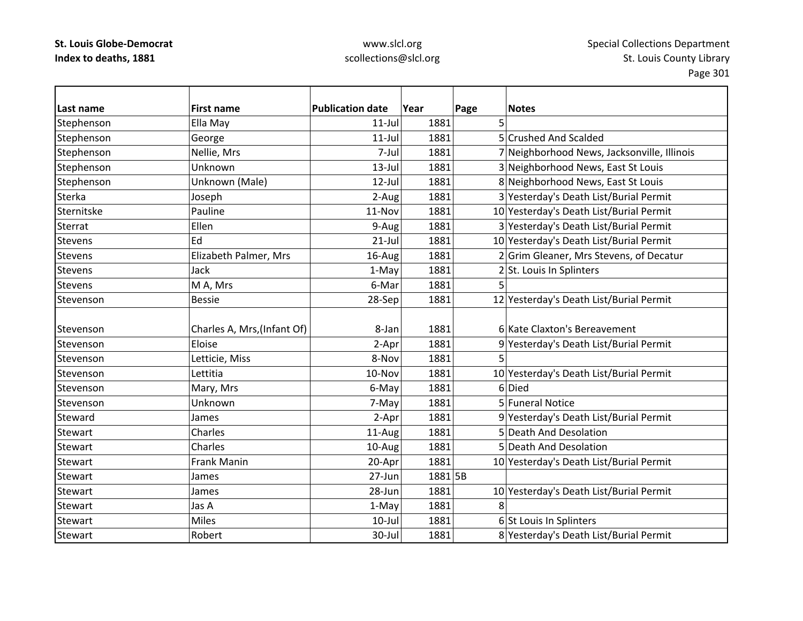| lLast name     | <b>First name</b>           | <b>Publication date</b> | Year    | Page | <b>Notes</b>                                |
|----------------|-----------------------------|-------------------------|---------|------|---------------------------------------------|
| Stephenson     | Ella May                    | $11$ -Jul               | 1881    | 5    |                                             |
| Stephenson     | George                      | $11$ -Jul               | 1881    |      | 5 Crushed And Scalded                       |
| Stephenson     | Nellie, Mrs                 | 7-Jul                   | 1881    |      | 7 Neighborhood News, Jacksonville, Illinois |
| Stephenson     | Unknown                     | $13$ -Jul               | 1881    |      | 3 Neighborhood News, East St Louis          |
| Stephenson     | Unknown (Male)              | $12$ -Jul               | 1881    |      | 8 Neighborhood News, East St Louis          |
| Sterka         | Joseph                      | 2-Aug                   | 1881    |      | 3 Yesterday's Death List/Burial Permit      |
| Sternitske     | Pauline                     | 11-Nov                  | 1881    |      | 10 Yesterday's Death List/Burial Permit     |
| Sterrat        | Ellen                       | 9-Aug                   | 1881    |      | 3 Yesterday's Death List/Burial Permit      |
| <b>Stevens</b> | Ed                          | $21-Jul$                | 1881    |      | 10 Yesterday's Death List/Burial Permit     |
| <b>Stevens</b> | Elizabeth Palmer, Mrs       | 16-Aug                  | 1881    |      | 2 Grim Gleaner, Mrs Stevens, of Decatur     |
| Stevens        | Jack                        | 1-May                   | 1881    |      | 2 St. Louis In Splinters                    |
| Stevens        | M A, Mrs                    | 6-Mar                   | 1881    | 5    |                                             |
| Stevenson      | <b>Bessie</b>               | 28-Sep                  | 1881    |      | 12 Yesterday's Death List/Burial Permit     |
|                |                             |                         |         |      |                                             |
| Stevenson      | Charles A, Mrs, (Infant Of) | 8-Jan                   | 1881    |      | 6 Kate Claxton's Bereavement                |
| Stevenson      | Eloise                      | 2-Apr                   | 1881    |      | 9 Yesterday's Death List/Burial Permit      |
| Stevenson      | Letticie, Miss              | 8-Nov                   | 1881    | 5    |                                             |
| Stevenson      | Lettitia                    | 10-Nov                  | 1881    |      | 10 Yesterday's Death List/Burial Permit     |
| Stevenson      | Mary, Mrs                   | 6-May                   | 1881    |      | 6Died                                       |
| Stevenson      | Unknown                     | 7-May                   | 1881    |      | 5 Funeral Notice                            |
| Steward        | James                       | 2-Apr                   | 1881    |      | 9 Yesterday's Death List/Burial Permit      |
| Stewart        | Charles                     | 11-Aug                  | 1881    |      | 5 Death And Desolation                      |
| <b>Stewart</b> | Charles                     | 10-Aug                  | 1881    |      | 5 Death And Desolation                      |
| Stewart        | Frank Manin                 | 20-Apr                  | 1881    |      | 10 Yesterday's Death List/Burial Permit     |
| Stewart        | James                       | 27-Jun                  | 1881 5B |      |                                             |
| Stewart        | James                       | 28-Jun                  | 1881    |      | 10 Yesterday's Death List/Burial Permit     |
| <b>Stewart</b> | Jas A                       | 1-May                   | 1881    | 8    |                                             |
| Stewart        | <b>Miles</b>                | $10$ -Jul               | 1881    |      | 6 St Louis In Splinters                     |
| <b>Stewart</b> | Robert                      | 30-Jul                  | 1881    |      | 8 Yesterday's Death List/Burial Permit      |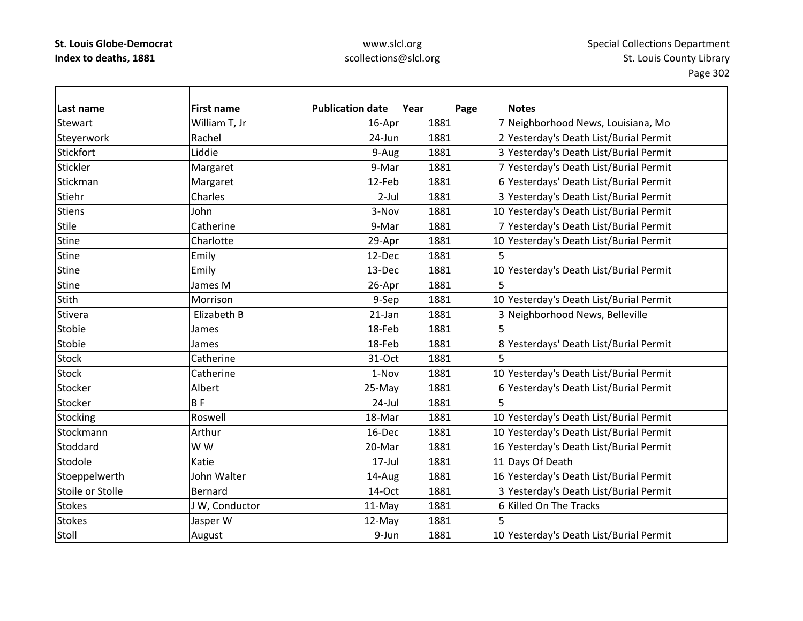| Last name        | <b>First name</b> | <b>Publication date</b> | Year | Page | <b>Notes</b>                            |
|------------------|-------------------|-------------------------|------|------|-----------------------------------------|
| <b>Stewart</b>   | William T, Jr     | 16-Apr                  | 1881 |      | 7 Neighborhood News, Louisiana, Mo      |
| Steyerwork       | Rachel            | 24-Jun                  | 1881 |      | 2 Yesterday's Death List/Burial Permit  |
| Stickfort        | Liddie            | 9-Aug                   | 1881 |      | 3 Yesterday's Death List/Burial Permit  |
| Stickler         | Margaret          | 9-Mar                   | 1881 |      | 7 Yesterday's Death List/Burial Permit  |
| Stickman         | Margaret          | 12-Feb                  | 1881 |      | 6 Yesterdays' Death List/Burial Permit  |
| Stiehr           | Charles           | $2$ -Jul                | 1881 |      | 3 Yesterday's Death List/Burial Permit  |
| <b>Stiens</b>    | John              | 3-Nov                   | 1881 |      | 10 Yesterday's Death List/Burial Permit |
| <b>Stile</b>     | Catherine         | 9-Mar                   | 1881 |      | 7 Yesterday's Death List/Burial Permit  |
| <b>Stine</b>     | Charlotte         | 29-Apr                  | 1881 |      | 10 Yesterday's Death List/Burial Permit |
| <b>Stine</b>     | Emily             | 12-Dec                  | 1881 | 5    |                                         |
| <b>Stine</b>     | Emily             | 13-Dec                  | 1881 |      | 10 Yesterday's Death List/Burial Permit |
| <b>Stine</b>     | James M           | 26-Apr                  | 1881 | 5    |                                         |
| <b>Stith</b>     | Morrison          | 9-Sep                   | 1881 |      | 10 Yesterday's Death List/Burial Permit |
| Stivera          | Elizabeth B       | $21$ -Jan               | 1881 |      | 3 Neighborhood News, Belleville         |
| Stobie           | James             | 18-Feb                  | 1881 | 5    |                                         |
| Stobie           | James             | 18-Feb                  | 1881 |      | 8 Yesterdays' Death List/Burial Permit  |
| <b>Stock</b>     | Catherine         | 31-Oct                  | 1881 |      |                                         |
| <b>Stock</b>     | Catherine         | 1-Nov                   | 1881 |      | 10 Yesterday's Death List/Burial Permit |
| Stocker          | Albert            | 25-May                  | 1881 |      | 6 Yesterday's Death List/Burial Permit  |
| Stocker          | <b>BF</b>         | 24-Jul                  | 1881 | 5    |                                         |
| Stocking         | Roswell           | 18-Mar                  | 1881 |      | 10 Yesterday's Death List/Burial Permit |
| Stockmann        | Arthur            | 16-Dec                  | 1881 |      | 10 Yesterday's Death List/Burial Permit |
| Stoddard         | W W               | 20-Mar                  | 1881 |      | 16 Yesterday's Death List/Burial Permit |
| Stodole          | Katie             | $17$ -Jul               | 1881 |      | 11 Days Of Death                        |
| Stoeppelwerth    | John Walter       | 14-Aug                  | 1881 |      | 16 Yesterday's Death List/Burial Permit |
| Stoile or Stolle | Bernard           | 14-Oct                  | 1881 |      | 3 Yesterday's Death List/Burial Permit  |
| <b>Stokes</b>    | JW, Conductor     | 11-May                  | 1881 |      | 6 Killed On The Tracks                  |
| <b>Stokes</b>    | Jasper W          | 12-May                  | 1881 | 5    |                                         |
| Stoll            | August            | 9-Jun                   | 1881 |      | 10 Yesterday's Death List/Burial Permit |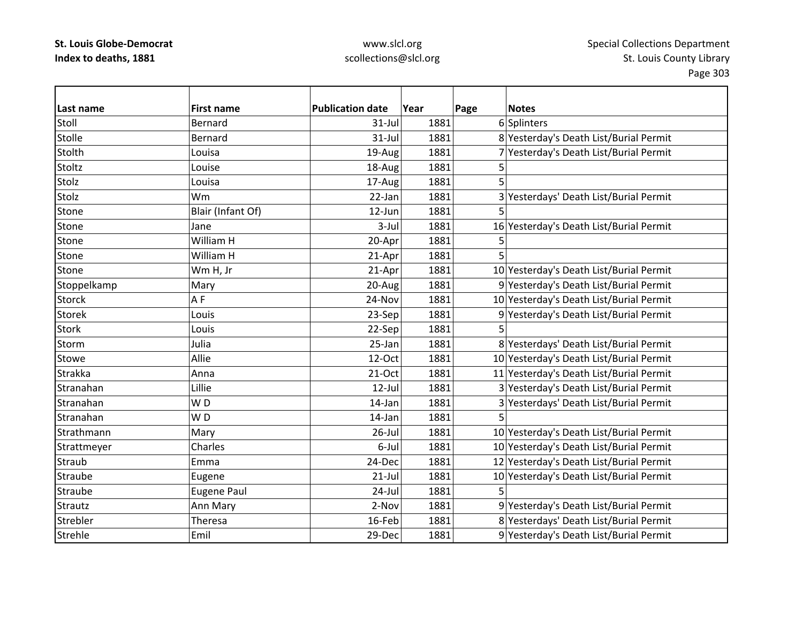| Last name      | <b>First name</b>  | <b>Publication date</b> | Year | Page | <b>Notes</b>                            |
|----------------|--------------------|-------------------------|------|------|-----------------------------------------|
| Stoll          | <b>Bernard</b>     | 31-Jul                  | 1881 |      | 6 Splinters                             |
| Stolle         | Bernard            | 31-Jul                  | 1881 |      | 8 Yesterday's Death List/Burial Permit  |
| Stolth         | Louisa             | 19-Aug                  | 1881 |      | 7 Yesterday's Death List/Burial Permit  |
| Stoltz         | Louise             | 18-Aug                  | 1881 | 5    |                                         |
| Stolz          | Louisa             | 17-Aug                  | 1881 | 5    |                                         |
| Stolz          | Wm                 | 22-Jan                  | 1881 |      | 3 Yesterdays' Death List/Burial Permit  |
| Stone          | Blair (Infant Of)  | 12-Jun                  | 1881 | 5    |                                         |
| Stone          | Jane               | $3$ -Jul                | 1881 |      | 16 Yesterday's Death List/Burial Permit |
| Stone          | William H          | 20-Apr                  | 1881 | 5    |                                         |
| Stone          | William H          | 21-Apr                  | 1881 | 5    |                                         |
| Stone          | Wm H, Jr           | 21-Apr                  | 1881 |      | 10 Yesterday's Death List/Burial Permit |
| Stoppelkamp    | Mary               | 20-Aug                  | 1881 |      | 9 Yesterday's Death List/Burial Permit  |
| <b>Storck</b>  | AF                 | 24-Nov                  | 1881 |      | 10 Yesterday's Death List/Burial Permit |
| <b>Storek</b>  | Louis              | 23-Sep                  | 1881 |      | 9 Yesterday's Death List/Burial Permit  |
| <b>Stork</b>   | Louis              | 22-Sep                  | 1881 | 5    |                                         |
| Storm          | Julia              | 25-Jan                  | 1881 |      | 8 Yesterdays' Death List/Burial Permit  |
| <b>Stowe</b>   | Allie              | 12-Oct                  | 1881 |      | 10 Yesterday's Death List/Burial Permit |
| <b>Strakka</b> | Anna               | $21-Oct$                | 1881 |      | 11 Yesterday's Death List/Burial Permit |
| Stranahan      | Lillie             | $12$ -Jul               | 1881 |      | 3 Yesterday's Death List/Burial Permit  |
| Stranahan      | WD                 | 14-Jan                  | 1881 |      | 3 Yesterdays' Death List/Burial Permit  |
| Stranahan      | WD                 | 14-Jan                  | 1881 | 5    |                                         |
| Strathmann     | Mary               | $26$ -Jul               | 1881 |      | 10 Yesterday's Death List/Burial Permit |
| Strattmeyer    | Charles            | 6-Jul                   | 1881 |      | 10 Yesterday's Death List/Burial Permit |
| Straub         | Emma               | 24-Dec                  | 1881 |      | 12 Yesterday's Death List/Burial Permit |
| Straube        | Eugene             | $21$ -Jul               | 1881 |      | 10 Yesterday's Death List/Burial Permit |
| Straube        | <b>Eugene Paul</b> | $24$ -Jul               | 1881 | 5    |                                         |
| Strautz        | Ann Mary           | 2-Nov                   | 1881 |      | 9 Yesterday's Death List/Burial Permit  |
| Strebler       | <b>Theresa</b>     | 16-Feb                  | 1881 |      | 8 Yesterdays' Death List/Burial Permit  |
| Strehle        | Emil               | 29-Dec                  | 1881 |      | 9 Yesterday's Death List/Burial Permit  |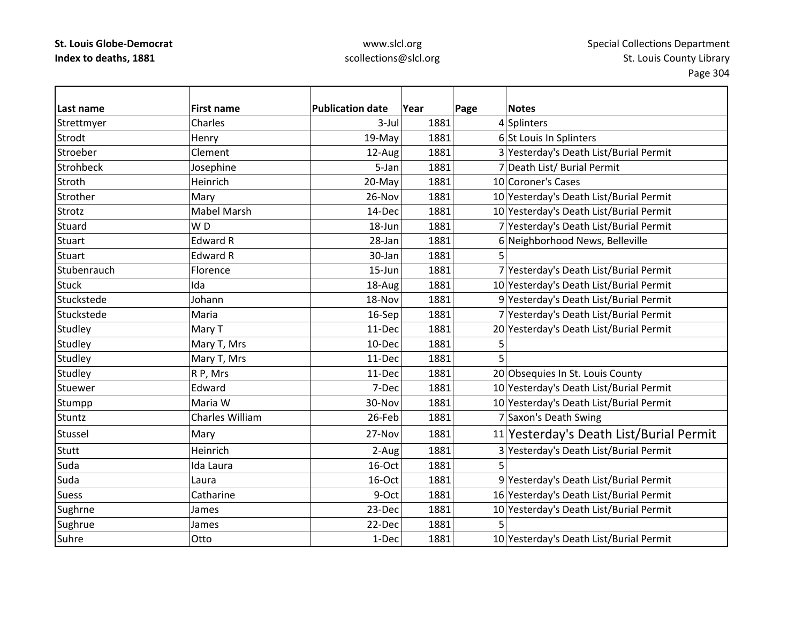| Last name        | <b>First name</b>  | <b>Publication date</b> | Year | Page | <b>Notes</b>                            |
|------------------|--------------------|-------------------------|------|------|-----------------------------------------|
| Strettmyer       | Charles            | $3$ -Jul                | 1881 |      | 4 Splinters                             |
| Strodt           | Henry              | 19-May                  | 1881 |      | 6 St Louis In Splinters                 |
| Stroeber         | Clement            | 12-Aug                  | 1881 |      | 3 Yesterday's Death List/Burial Permit  |
| <b>Strohbeck</b> | Josephine          | 5-Jan                   | 1881 |      | 7 Death List/ Burial Permit             |
| Stroth           | Heinrich           | 20-May                  | 1881 |      | 10 Coroner's Cases                      |
| Strother         | Mary               | 26-Nov                  | 1881 |      | 10 Yesterday's Death List/Burial Permit |
| Strotz           | <b>Mabel Marsh</b> | 14-Dec                  | 1881 |      | 10 Yesterday's Death List/Burial Permit |
| Stuard           | W <sub>D</sub>     | 18-Jun                  | 1881 |      | 7 Yesterday's Death List/Burial Permit  |
| <b>Stuart</b>    | <b>Edward R</b>    | 28-Jan                  | 1881 |      | 6 Neighborhood News, Belleville         |
| <b>Stuart</b>    | <b>Edward R</b>    | 30-Jan                  | 1881 |      |                                         |
| Stubenrauch      | Florence           | $15 - Jun$              | 1881 |      | 7 Yesterday's Death List/Burial Permit  |
| <b>Stuck</b>     | Ida                | 18-Aug                  | 1881 |      | 10 Yesterday's Death List/Burial Permit |
| Stuckstede       | Johann             | 18-Nov                  | 1881 |      | 9 Yesterday's Death List/Burial Permit  |
| Stuckstede       | Maria              | 16-Sep                  | 1881 |      | 7 Yesterday's Death List/Burial Permit  |
| Studley          | Mary T             | 11-Dec                  | 1881 |      | 20 Yesterday's Death List/Burial Permit |
| Studley          | Mary T, Mrs        | 10-Dec                  | 1881 | 5    |                                         |
| Studley          | Mary T, Mrs        | 11-Dec                  | 1881 | 5    |                                         |
| Studley          | R P, Mrs           | 11-Dec                  | 1881 |      | 20 Obsequies In St. Louis County        |
| Stuewer          | Edward             | 7-Dec                   | 1881 |      | 10 Yesterday's Death List/Burial Permit |
| Stumpp           | Maria W            | 30-Nov                  | 1881 |      | 10 Yesterday's Death List/Burial Permit |
| Stuntz           | Charles William    | 26-Feb                  | 1881 |      | 7 Saxon's Death Swing                   |
| Stussel          | Mary               | 27-Nov                  | 1881 |      | 11 Yesterday's Death List/Burial Permit |
| Stutt            | Heinrich           | 2-Aug                   | 1881 |      | 3 Yesterday's Death List/Burial Permit  |
| Suda             | Ida Laura          | 16-Oct                  | 1881 | 5    |                                         |
| Suda             | Laura              | 16-Oct                  | 1881 |      | 9 Yesterday's Death List/Burial Permit  |
| <b>Suess</b>     | Catharine          | 9-Oct                   | 1881 |      | 16 Yesterday's Death List/Burial Permit |
| Sughrne          | James              | 23-Dec                  | 1881 |      | 10 Yesterday's Death List/Burial Permit |
| Sughrue          | James              | 22-Dec                  | 1881 |      |                                         |
| Suhre            | Otto               | 1-Dec                   | 1881 |      | 10 Yesterday's Death List/Burial Permit |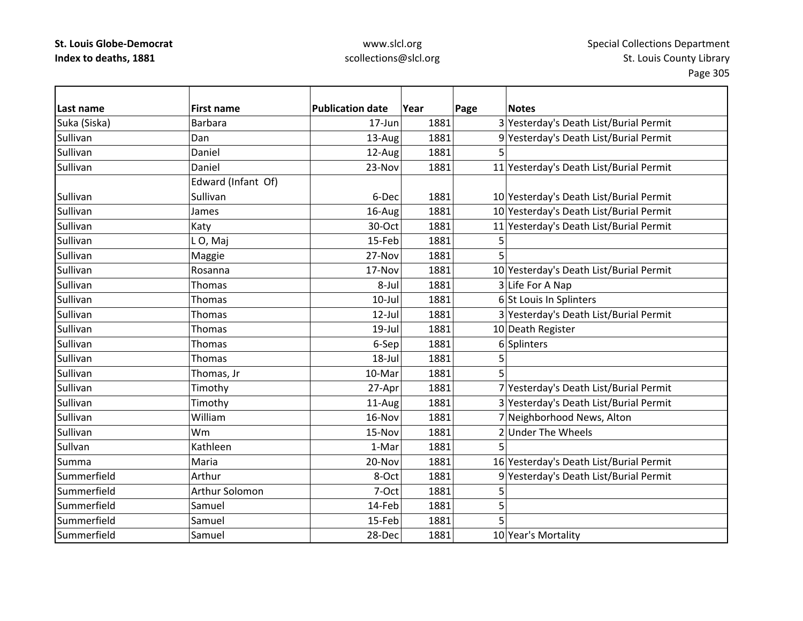| lLast name   | <b>First name</b>  | <b>Publication date</b> | Year | Page<br><b>Notes</b>                    |
|--------------|--------------------|-------------------------|------|-----------------------------------------|
| Suka (Siska) | <b>Barbara</b>     | 17-Jun                  | 1881 | 3 Yesterday's Death List/Burial Permit  |
| Sullivan     | Dan                | 13-Aug                  | 1881 | 9 Yesterday's Death List/Burial Permit  |
| Sullivan     | Daniel             | 12-Aug                  | 1881 | 5                                       |
| Sullivan     | Daniel             | 23-Nov                  | 1881 | 11 Yesterday's Death List/Burial Permit |
|              | Edward (Infant Of) |                         |      |                                         |
| Sullivan     | Sullivan           | 6-Dec                   | 1881 | 10 Yesterday's Death List/Burial Permit |
| Sullivan     | James              | 16-Aug                  | 1881 | 10 Yesterday's Death List/Burial Permit |
| Sullivan     | Katy               | 30-Oct                  | 1881 | 11 Yesterday's Death List/Burial Permit |
| Sullivan     | LO, Maj            | 15-Feb                  | 1881 | 5                                       |
| Sullivan     | Maggie             | 27-Nov                  | 1881 | 5                                       |
| Sullivan     | Rosanna            | 17-Nov                  | 1881 | 10 Yesterday's Death List/Burial Permit |
| Sullivan     | Thomas             | 8-Jul                   | 1881 | 3 Life For A Nap                        |
| Sullivan     | Thomas             | $10$ -Jul               | 1881 | 6 St Louis In Splinters                 |
| Sullivan     | Thomas             | 12-Jul                  | 1881 | 3 Yesterday's Death List/Burial Permit  |
| Sullivan     | Thomas             | 19-Jul                  | 1881 | 10 Death Register                       |
| Sullivan     | <b>Thomas</b>      | 6-Sep                   | 1881 | 6 Splinters                             |
| Sullivan     | Thomas             | $18 -$ Jul              | 1881 | 5                                       |
| Sullivan     | Thomas, Jr         | 10-Mar                  | 1881 | 5                                       |
| Sullivan     | Timothy            | 27-Apr                  | 1881 | 7 Yesterday's Death List/Burial Permit  |
| Sullivan     | Timothy            | 11-Aug                  | 1881 | 3 Yesterday's Death List/Burial Permit  |
| Sullivan     | William            | 16-Nov                  | 1881 | 7 Neighborhood News, Alton              |
| Sullivan     | Wm                 | 15-Nov                  | 1881 | 2 Under The Wheels                      |
| Sullvan      | Kathleen           | 1-Mar                   | 1881 |                                         |
| Summa        | Maria              | 20-Nov                  | 1881 | 16 Yesterday's Death List/Burial Permit |
| Summerfield  | Arthur             | 8-Oct                   | 1881 | 9 Yesterday's Death List/Burial Permit  |
| Summerfield  | Arthur Solomon     | 7-Oct                   | 1881 | 5                                       |
| Summerfield  | Samuel             | 14-Feb                  | 1881 | 5                                       |
| Summerfield  | Samuel             | 15-Feb                  | 1881 | 5                                       |
| Summerfield  | Samuel             | 28-Dec                  | 1881 | 10 Year's Mortality                     |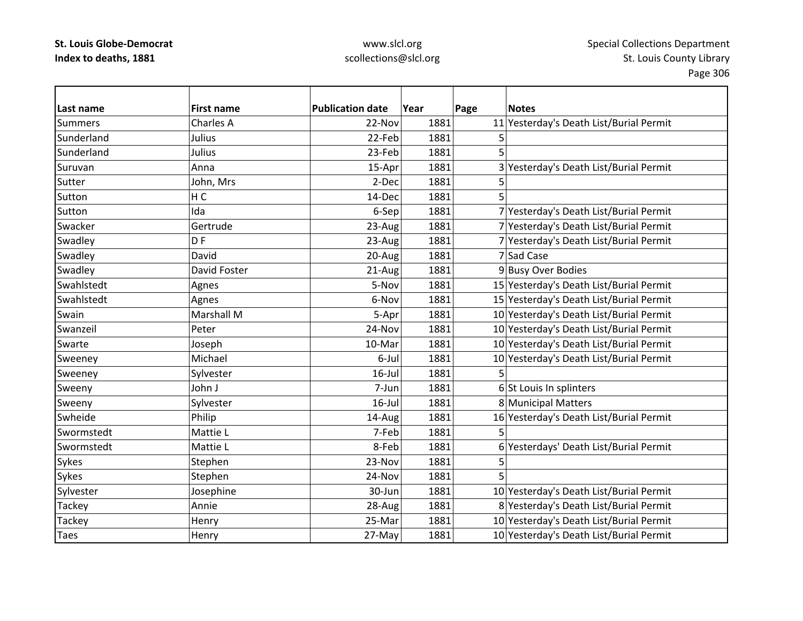| Last name      | <b>First name</b> | <b>Publication date</b> | Year | Page | <b>Notes</b>                            |
|----------------|-------------------|-------------------------|------|------|-----------------------------------------|
| <b>Summers</b> | Charles A         | 22-Nov                  | 1881 |      | 11 Yesterday's Death List/Burial Permit |
| Sunderland     | Julius            | 22-Feb                  | 1881 | 5    |                                         |
| Sunderland     | Julius            | 23-Feb                  | 1881 |      |                                         |
| Suruvan        | Anna              | 15-Apr                  | 1881 |      | 3 Yesterday's Death List/Burial Permit  |
| Sutter         | John, Mrs         | 2-Dec                   | 1881 | 5    |                                         |
| Sutton         | H <sub>C</sub>    | 14-Dec                  | 1881 | 5    |                                         |
| Sutton         | Ida               | 6-Sep                   | 1881 |      | 7 Yesterday's Death List/Burial Permit  |
| Swacker        | Gertrude          | 23-Aug                  | 1881 |      | 7 Yesterday's Death List/Burial Permit  |
| Swadley        | D <sub>F</sub>    | 23-Aug                  | 1881 |      | 7 Yesterday's Death List/Burial Permit  |
| Swadley        | David             | 20-Aug                  | 1881 |      | 7 Sad Case                              |
| Swadley        | David Foster      | 21-Aug                  | 1881 |      | 9 Busy Over Bodies                      |
| Swahlstedt     | Agnes             | 5-Nov                   | 1881 |      | 15 Yesterday's Death List/Burial Permit |
| Swahlstedt     | Agnes             | 6-Nov                   | 1881 |      | 15 Yesterday's Death List/Burial Permit |
| Swain          | Marshall M        | 5-Apr                   | 1881 |      | 10 Yesterday's Death List/Burial Permit |
| Swanzeil       | Peter             | 24-Nov                  | 1881 |      | 10 Yesterday's Death List/Burial Permit |
| Swarte         | Joseph            | 10-Mar                  | 1881 |      | 10 Yesterday's Death List/Burial Permit |
| Sweeney        | Michael           | 6-Jul                   | 1881 |      | 10 Yesterday's Death List/Burial Permit |
| Sweeney        | Sylvester         | $16$ -Jul               | 1881 | 5    |                                         |
| Sweeny         | John J            | 7-Jun                   | 1881 |      | 6 St Louis In splinters                 |
| Sweeny         | Sylvester         | $16$ -Jul               | 1881 |      | 8 Municipal Matters                     |
| Swheide        | Philip            | 14-Aug                  | 1881 |      | 16 Yesterday's Death List/Burial Permit |
| Swormstedt     | Mattie L          | 7-Feb                   | 1881 |      |                                         |
| Swormstedt     | Mattie L          | 8-Feb                   | 1881 | 6    | Yesterdays' Death List/Burial Permit    |
| Sykes          | Stephen           | 23-Nov                  | 1881 |      |                                         |
| Sykes          | Stephen           | 24-Nov                  | 1881 |      |                                         |
| Sylvester      | Josephine         | 30-Jun                  | 1881 |      | 10 Yesterday's Death List/Burial Permit |
| <b>Tackey</b>  | Annie             | 28-Aug                  | 1881 |      | 8 Yesterday's Death List/Burial Permit  |
| Tackey         | Henry             | 25-Mar                  | 1881 |      | 10 Yesterday's Death List/Burial Permit |
| <b>Taes</b>    | Henry             | 27-May                  | 1881 |      | 10 Yesterday's Death List/Burial Permit |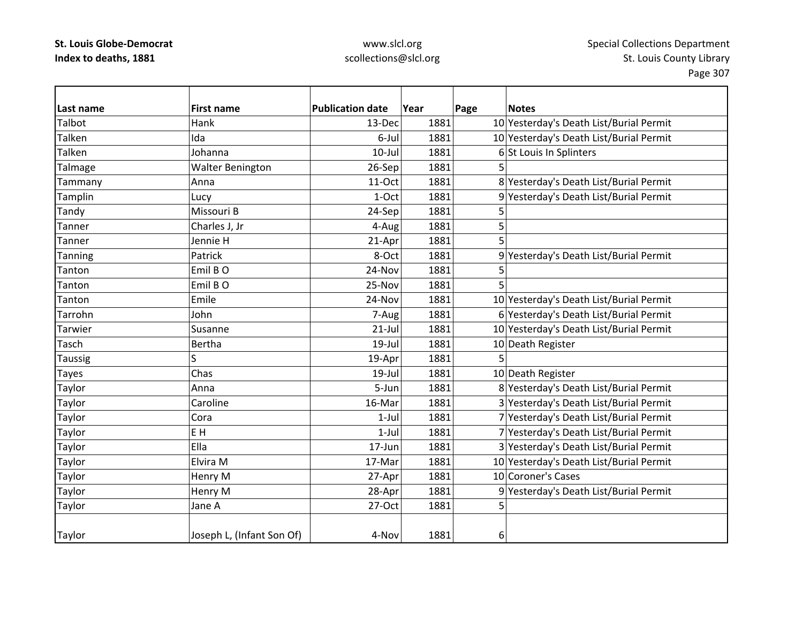| Last name      | <b>First name</b>         | <b>Publication date</b> | Year | Page | <b>Notes</b>                            |
|----------------|---------------------------|-------------------------|------|------|-----------------------------------------|
| Talbot         | Hank                      | 13-Dec                  | 1881 |      | 10 Yesterday's Death List/Burial Permit |
| Talken         | Ida                       | 6-Jul                   | 1881 |      | 10 Yesterday's Death List/Burial Permit |
| Talken         | Johanna                   | $10 -$ Jul              | 1881 |      | 6 St Louis In Splinters                 |
| Talmage        | <b>Walter Benington</b>   | 26-Sep                  | 1881 |      |                                         |
| Tammany        | Anna                      | 11-Oct                  | 1881 |      | 8 Yesterday's Death List/Burial Permit  |
| Tamplin        | Lucy                      | 1-Oct                   | 1881 |      | 9 Yesterday's Death List/Burial Permit  |
| Tandy          | Missouri B                | 24-Sep                  | 1881 | 5    |                                         |
| Tanner         | Charles J, Jr             | 4-Aug                   | 1881 | 5    |                                         |
| Tanner         | Jennie H                  | 21-Apr                  | 1881 | 5    |                                         |
| <b>Tanning</b> | Patrick                   | 8-Oct                   | 1881 |      | 9 Yesterday's Death List/Burial Permit  |
| Tanton         | Emil BO                   | 24-Nov                  | 1881 | 5    |                                         |
| Tanton         | Emil BO                   | 25-Nov                  | 1881 | 5    |                                         |
| Tanton         | Emile                     | 24-Nov                  | 1881 |      | 10 Yesterday's Death List/Burial Permit |
| Tarrohn        | John                      | 7-Aug                   | 1881 |      | 6 Yesterday's Death List/Burial Permit  |
| Tarwier        | Susanne                   | $21$ -Jul               | 1881 |      | 10 Yesterday's Death List/Burial Permit |
| Tasch          | <b>Bertha</b>             | $19$ -Jul               | 1881 |      | 10 Death Register                       |
| <b>Taussig</b> | Ś                         | 19-Apr                  | 1881 | 5    |                                         |
| <b>Tayes</b>   | Chas                      | 19-Jul                  | 1881 |      | 10 Death Register                       |
| Taylor         | Anna                      | 5-Jun                   | 1881 |      | 8 Yesterday's Death List/Burial Permit  |
| Taylor         | Caroline                  | 16-Mar                  | 1881 |      | 3 Yesterday's Death List/Burial Permit  |
| Taylor         | Cora                      | $1-Jul$                 | 1881 |      | 7 Yesterday's Death List/Burial Permit  |
| Taylor         | E H                       | $1-Jul$                 | 1881 |      | 7 Yesterday's Death List/Burial Permit  |
| Taylor         | Ella                      | 17-Jun                  | 1881 |      | 3 Yesterday's Death List/Burial Permit  |
| Taylor         | Elvira M                  | 17-Mar                  | 1881 |      | 10 Yesterday's Death List/Burial Permit |
| Taylor         | Henry M                   | 27-Apr                  | 1881 |      | 10 Coroner's Cases                      |
| Taylor         | Henry M                   | 28-Apr                  | 1881 |      | 9 Yesterday's Death List/Burial Permit  |
| Taylor         | Jane A                    | 27-Oct                  | 1881 | 5    |                                         |
|                |                           |                         |      |      |                                         |
| Taylor         | Joseph L, (Infant Son Of) | 4-Nov                   | 1881 | 6    |                                         |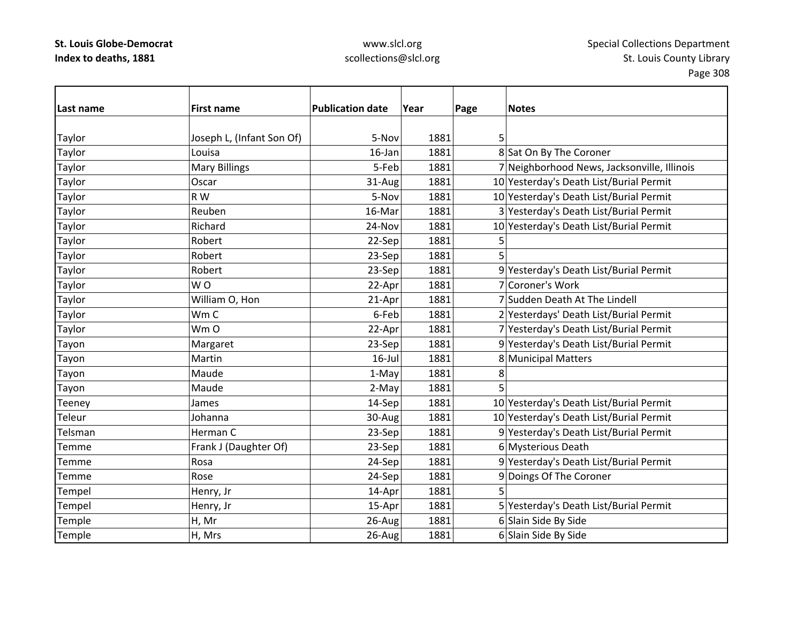| Last name     | <b>First name</b>         | <b>Publication date</b> | Year | Page | <b>Notes</b>                                |
|---------------|---------------------------|-------------------------|------|------|---------------------------------------------|
|               |                           |                         |      |      |                                             |
| <b>Taylor</b> | Joseph L, (Infant Son Of) | 5-Nov                   | 1881 | 5    |                                             |
| Taylor        | Louisa                    | 16-Jan                  | 1881 |      | 8 Sat On By The Coroner                     |
| Taylor        | <b>Mary Billings</b>      | 5-Feb                   | 1881 |      | 7 Neighborhood News, Jacksonville, Illinois |
| Taylor        | Oscar                     | 31-Aug                  | 1881 |      | 10 Yesterday's Death List/Burial Permit     |
| Taylor        | R W                       | 5-Nov                   | 1881 |      | 10 Yesterday's Death List/Burial Permit     |
| Taylor        | Reuben                    | 16-Mar                  | 1881 |      | 3 Yesterday's Death List/Burial Permit      |
| Taylor        | Richard                   | 24-Nov                  | 1881 |      | 10 Yesterday's Death List/Burial Permit     |
| Taylor        | Robert                    | 22-Sep                  | 1881 |      |                                             |
| Taylor        | Robert                    | 23-Sep                  | 1881 | 5    |                                             |
| Taylor        | Robert                    | 23-Sep                  | 1881 |      | 9 Yesterday's Death List/Burial Permit      |
| Taylor        | WO                        | 22-Apr                  | 1881 |      | 7 Coroner's Work                            |
| Taylor        | William O, Hon            | 21-Apr                  | 1881 |      | 7 Sudden Death At The Lindell               |
| Taylor        | Wm C                      | 6-Feb                   | 1881 |      | 2 Yesterdays' Death List/Burial Permit      |
| Taylor        | Wm O                      | 22-Apr                  | 1881 |      | 7 Yesterday's Death List/Burial Permit      |
| Tayon         | Margaret                  | 23-Sep                  | 1881 |      | 9 Yesterday's Death List/Burial Permit      |
| Tayon         | Martin                    | $16$ -Jul               | 1881 |      | 8 Municipal Matters                         |
| Tayon         | Maude                     | 1-May                   | 1881 | 8    |                                             |
| Tayon         | Maude                     | 2-May                   | 1881 |      |                                             |
| Teeney        | James                     | 14-Sep                  | 1881 |      | 10 Yesterday's Death List/Burial Permit     |
| Teleur        | Johanna                   | 30-Aug                  | 1881 |      | 10 Yesterday's Death List/Burial Permit     |
| Telsman       | Herman C                  | 23-Sep                  | 1881 |      | 9 Yesterday's Death List/Burial Permit      |
| <b>Temme</b>  | Frank J (Daughter Of)     | 23-Sep                  | 1881 |      | 6 Mysterious Death                          |
| Temme         | Rosa                      | 24-Sep                  | 1881 |      | 9 Yesterday's Death List/Burial Permit      |
| <b>Temme</b>  | Rose                      | 24-Sep                  | 1881 |      | 9 Doings Of The Coroner                     |
| Tempel        | Henry, Jr                 | 14-Apr                  | 1881 | 5    |                                             |
| Tempel        | Henry, Jr                 | 15-Apr                  | 1881 |      | 5 Yesterday's Death List/Burial Permit      |
| Temple        | H, Mr                     | 26-Aug                  | 1881 |      | 6 Slain Side By Side                        |
| Temple        | H, Mrs                    | 26-Aug                  | 1881 |      | 6 Slain Side By Side                        |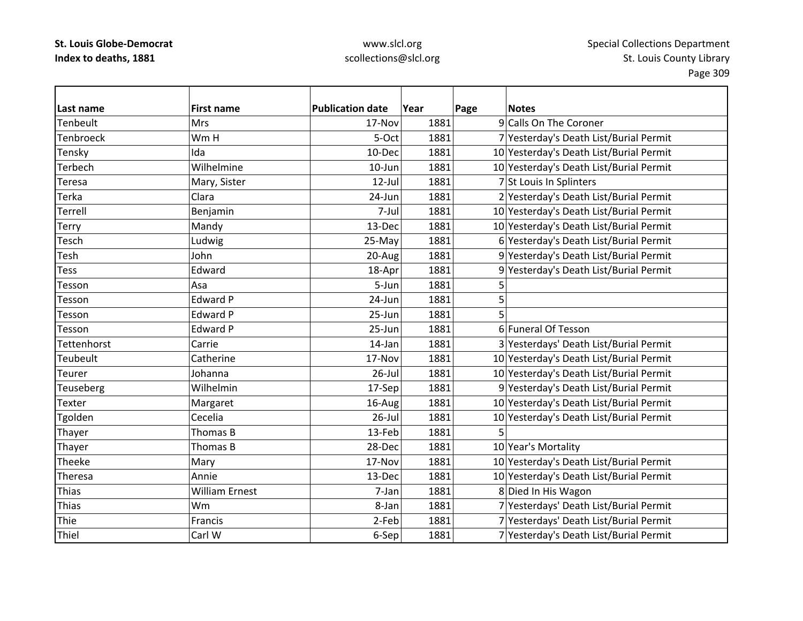| Last name   | <b>First name</b>     | <b>Publication date</b> | Year | Page | <b>Notes</b>                            |
|-------------|-----------------------|-------------------------|------|------|-----------------------------------------|
| Tenbeult    | <b>Mrs</b>            | 17-Nov                  | 1881 |      | 9 Calls On The Coroner                  |
| Tenbroeck   | Wm H                  | 5-Oct                   | 1881 |      | 7 Yesterday's Death List/Burial Permit  |
| Tensky      | Ida                   | 10-Dec                  | 1881 |      | 10 Yesterday's Death List/Burial Permit |
| Terbech     | Wilhelmine            | $10$ -Jun               | 1881 |      | 10 Yesterday's Death List/Burial Permit |
| Teresa      | Mary, Sister          | $12$ -Jul               | 1881 |      | 7 St Louis In Splinters                 |
| Terka       | Clara                 | 24-Jun                  | 1881 |      | 2 Yesterday's Death List/Burial Permit  |
| Terrell     | Benjamin              | 7-Jul                   | 1881 |      | 10 Yesterday's Death List/Burial Permit |
| Terry       | Mandy                 | 13-Dec                  | 1881 |      | 10 Yesterday's Death List/Burial Permit |
| Tesch       | Ludwig                | 25-May                  | 1881 |      | 6 Yesterday's Death List/Burial Permit  |
| Tesh        | John                  | 20-Aug                  | 1881 |      | 9 Yesterday's Death List/Burial Permit  |
| <b>Tess</b> | Edward                | 18-Apr                  | 1881 |      | 9 Yesterday's Death List/Burial Permit  |
| Tesson      | Asa                   | 5-Jun                   | 1881 |      |                                         |
| Tesson      | <b>Edward P</b>       | 24-Jun                  | 1881 | 5    |                                         |
| Tesson      | <b>Edward P</b>       | 25-Jun                  | 1881 | 5    |                                         |
| Tesson      | Edward P              | 25-Jun                  | 1881 |      | 6 Funeral Of Tesson                     |
| Tettenhorst | Carrie                | 14-Jan                  | 1881 |      | 3 Yesterdays' Death List/Burial Permit  |
| Teubeult    | Catherine             | 17-Nov                  | 1881 |      | 10 Yesterday's Death List/Burial Permit |
| Teurer      | Johanna               | $26$ -Jul               | 1881 |      | 10 Yesterday's Death List/Burial Permit |
| Teuseberg   | Wilhelmin             | 17-Sep                  | 1881 |      | 9 Yesterday's Death List/Burial Permit  |
| Texter      | Margaret              | 16-Aug                  | 1881 |      | 10 Yesterday's Death List/Burial Permit |
| Tgolden     | Cecelia               | $26$ -Jul               | 1881 |      | 10 Yesterday's Death List/Burial Permit |
| Thayer      | Thomas B              | 13-Feb                  | 1881 |      |                                         |
| Thayer      | Thomas B              | 28-Dec                  | 1881 |      | 10 Year's Mortality                     |
| Theeke      | Mary                  | 17-Nov                  | 1881 |      | 10 Yesterday's Death List/Burial Permit |
| Theresa     | Annie                 | 13-Dec                  | 1881 |      | 10 Yesterday's Death List/Burial Permit |
| Thias       | <b>William Ernest</b> | 7-Jan                   | 1881 |      | 8 Died In His Wagon                     |
| Thias       | Wm                    | 8-Jan                   | 1881 |      | 7 Yesterdays' Death List/Burial Permit  |
| Thie        | Francis               | 2-Feb                   | 1881 |      | 7 Yesterdays' Death List/Burial Permit  |
| Thiel       | Carl W                | 6-Sep                   | 1881 |      | 7 Yesterday's Death List/Burial Permit  |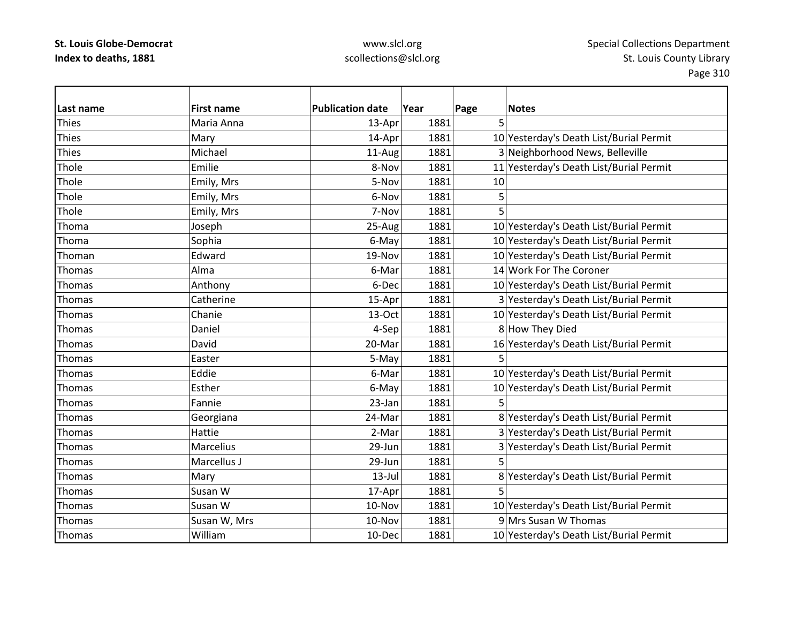| Last name    | <b>First name</b> | <b>Publication date</b> | Year | Page<br>5 | <b>Notes</b>                            |
|--------------|-------------------|-------------------------|------|-----------|-----------------------------------------|
| <b>Thies</b> | Maria Anna        | 13-Apr                  | 1881 |           |                                         |
| <b>Thies</b> | Mary              | 14-Apr                  | 1881 |           | 10 Yesterday's Death List/Burial Permit |
| <b>Thies</b> | Michael           | 11-Aug                  | 1881 |           | 3 Neighborhood News, Belleville         |
| Thole        | Emilie            | 8-Nov                   | 1881 |           | 11 Yesterday's Death List/Burial Permit |
| Thole        | Emily, Mrs        | 5-Nov                   | 1881 | 10        |                                         |
| Thole        | Emily, Mrs        | 6-Nov                   | 1881 | 5         |                                         |
| Thole        | Emily, Mrs        | 7-Nov                   | 1881 |           |                                         |
| Thoma        | Joseph            | 25-Aug                  | 1881 |           | 10 Yesterday's Death List/Burial Permit |
| Thoma        | Sophia            | 6-May                   | 1881 |           | 10 Yesterday's Death List/Burial Permit |
| Thoman       | Edward            | 19-Nov                  | 1881 |           | 10 Yesterday's Death List/Burial Permit |
| Thomas       | Alma              | 6-Mar                   | 1881 |           | 14 Work For The Coroner                 |
| Thomas       | Anthony           | 6-Dec                   | 1881 |           | 10 Yesterday's Death List/Burial Permit |
| Thomas       | Catherine         | 15-Apr                  | 1881 |           | 3 Yesterday's Death List/Burial Permit  |
| Thomas       | Chanie            | $13-Oct$                | 1881 |           | 10 Yesterday's Death List/Burial Permit |
| Thomas       | Daniel            | 4-Sep                   | 1881 |           | 8 How They Died                         |
| Thomas       | David             | 20-Mar                  | 1881 |           | 16 Yesterday's Death List/Burial Permit |
| Thomas       | Easter            | 5-May                   | 1881 | 5         |                                         |
| Thomas       | Eddie             | 6-Mar                   | 1881 |           | 10 Yesterday's Death List/Burial Permit |
| Thomas       | Esther            | 6-May                   | 1881 |           | 10 Yesterday's Death List/Burial Permit |
| Thomas       | Fannie            | 23-Jan                  | 1881 | 5         |                                         |
| Thomas       | Georgiana         | 24-Mar                  | 1881 |           | 8 Yesterday's Death List/Burial Permit  |
| Thomas       | Hattie            | 2-Mar                   | 1881 |           | 3 Yesterday's Death List/Burial Permit  |
| Thomas       | Marcelius         | 29-Jun                  | 1881 |           | 3 Yesterday's Death List/Burial Permit  |
| Thomas       | Marcellus J       | 29-Jun                  | 1881 |           |                                         |
| Thomas       | Mary              | $13$ -Jul               | 1881 |           | 8 Yesterday's Death List/Burial Permit  |
| Thomas       | Susan W           | 17-Apr                  | 1881 | 5         |                                         |
| Thomas       | Susan W           | 10-Nov                  | 1881 |           | 10 Yesterday's Death List/Burial Permit |
| Thomas       | Susan W, Mrs      | 10-Nov                  | 1881 |           | 9 Mrs Susan W Thomas                    |
| Thomas       | William           | 10-Dec                  | 1881 |           | 10 Yesterday's Death List/Burial Permit |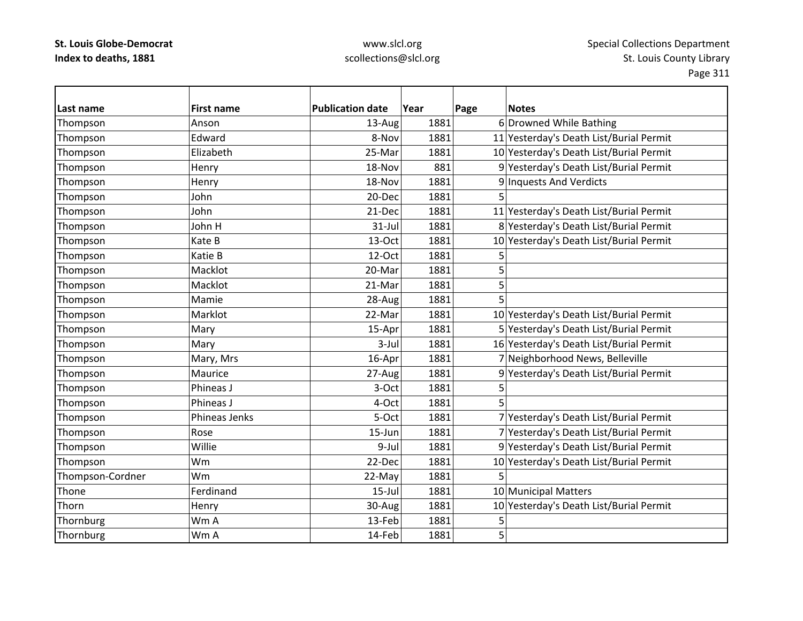| Last name        | <b>First name</b> | <b>Publication date</b> | Year | Page | <b>Notes</b>                            |
|------------------|-------------------|-------------------------|------|------|-----------------------------------------|
| Thompson         | Anson             | 13-Aug                  | 1881 |      | 6 Drowned While Bathing                 |
| Thompson         | Edward            | 8-Nov                   | 1881 |      | 11 Yesterday's Death List/Burial Permit |
| Thompson         | Elizabeth         | 25-Mar                  | 1881 |      | 10 Yesterday's Death List/Burial Permit |
| Thompson         | Henry             | 18-Nov                  | 881  |      | 9 Yesterday's Death List/Burial Permit  |
| Thompson         | Henry             | 18-Nov                  | 1881 |      | 9 Inquests And Verdicts                 |
| Thompson         | John              | 20-Dec                  | 1881 | 5    |                                         |
| Thompson         | John              | 21-Dec                  | 1881 |      | 11 Yesterday's Death List/Burial Permit |
| Thompson         | John H            | $31-Jul$                | 1881 |      | 8 Yesterday's Death List/Burial Permit  |
| Thompson         | Kate B            | 13-Oct                  | 1881 |      | 10 Yesterday's Death List/Burial Permit |
| Thompson         | Katie B           | 12-Oct                  | 1881 | 5    |                                         |
| Thompson         | Macklot           | 20-Mar                  | 1881 | 5    |                                         |
| Thompson         | Macklot           | 21-Mar                  | 1881 | 5    |                                         |
| Thompson         | Mamie             | 28-Aug                  | 1881 | 5    |                                         |
| Thompson         | Marklot           | 22-Mar                  | 1881 |      | 10 Yesterday's Death List/Burial Permit |
| Thompson         | Mary              | 15-Apr                  | 1881 |      | 5 Yesterday's Death List/Burial Permit  |
| Thompson         | Mary              | $3-Jul$                 | 1881 |      | 16 Yesterday's Death List/Burial Permit |
| Thompson         | Mary, Mrs         | 16-Apr                  | 1881 |      | 7 Neighborhood News, Belleville         |
| Thompson         | Maurice           | 27-Aug                  | 1881 |      | 9 Yesterday's Death List/Burial Permit  |
| Thompson         | Phineas J         | 3-Oct                   | 1881 | 5    |                                         |
| Thompson         | Phineas J         | 4-Oct                   | 1881 | 5    |                                         |
| Thompson         | Phineas Jenks     | 5-Oct                   | 1881 |      | 7 Yesterday's Death List/Burial Permit  |
| Thompson         | Rose              | 15-Jun                  | 1881 |      | 7 Yesterday's Death List/Burial Permit  |
| Thompson         | Willie            | 9-Jul                   | 1881 |      | 9 Yesterday's Death List/Burial Permit  |
| Thompson         | Wm                | 22-Dec                  | 1881 |      | 10 Yesterday's Death List/Burial Permit |
| Thompson-Cordner | Wm                | 22-May                  | 1881 | 5    |                                         |
| Thone            | Ferdinand         | $15$ -Jul               | 1881 |      | 10 Municipal Matters                    |
| Thorn            | Henry             | 30-Aug                  | 1881 |      | 10 Yesterday's Death List/Burial Permit |
| Thornburg        | Wm A              | 13-Feb                  | 1881 | 5    |                                         |
| Thornburg        | Wm A              | 14-Feb                  | 1881 | 5    |                                         |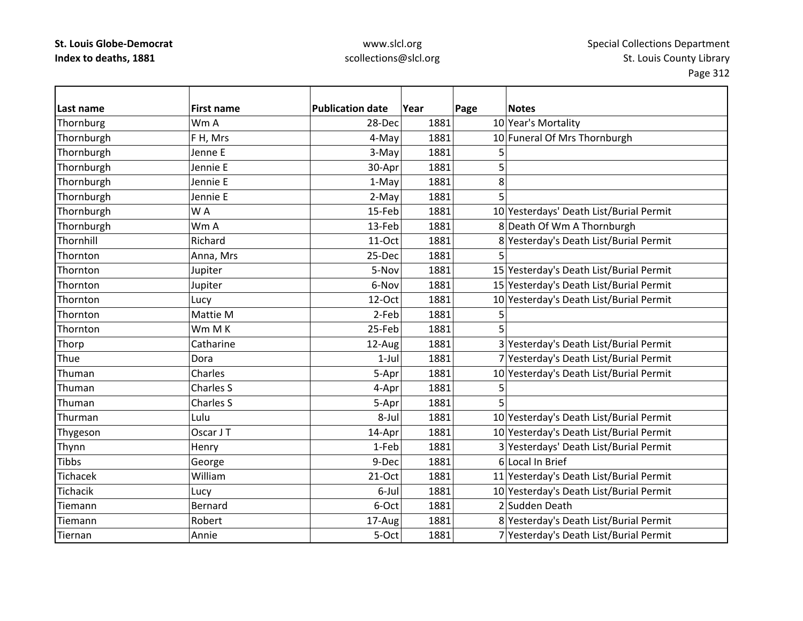| Last name       | <b>First name</b> | <b>Publication date</b> | Year | Page | <b>Notes</b>                            |
|-----------------|-------------------|-------------------------|------|------|-----------------------------------------|
| Thornburg       | Wm A              | 28-Dec                  | 1881 |      | 10 Year's Mortality                     |
| Thornburgh      | FH, Mrs           | 4-May                   | 1881 |      | 10 Funeral Of Mrs Thornburgh            |
| Thornburgh      | Jenne E           | 3-May                   | 1881 | 5    |                                         |
| Thornburgh      | Jennie E          | 30-Apr                  | 1881 | 5    |                                         |
| Thornburgh      | Jennie E          | 1-May                   | 1881 | 8    |                                         |
| Thornburgh      | Jennie E          | 2-May                   | 1881 | 5    |                                         |
| Thornburgh      | WA                | 15-Feb                  | 1881 |      | 10 Yesterdays' Death List/Burial Permit |
| Thornburgh      | Wm A              | 13-Feb                  | 1881 |      | 8 Death Of Wm A Thornburgh              |
| Thornhill       | Richard           | 11-Oct                  | 1881 |      | 8 Yesterday's Death List/Burial Permit  |
| Thornton        | Anna, Mrs         | 25-Dec                  | 1881 | 5    |                                         |
| Thornton        | Jupiter           | 5-Nov                   | 1881 |      | 15 Yesterday's Death List/Burial Permit |
| Thornton        | Jupiter           | 6-Nov                   | 1881 |      | 15 Yesterday's Death List/Burial Permit |
| Thornton        | Lucy              | 12-Oct                  | 1881 |      | 10 Yesterday's Death List/Burial Permit |
| Thornton        | Mattie M          | 2-Feb                   | 1881 |      |                                         |
| Thornton        | Wm M K            | 25-Feb                  | 1881 |      |                                         |
| Thorp           | Catharine         | 12-Aug                  | 1881 |      | 3 Yesterday's Death List/Burial Permit  |
| Thue            | Dora              | $1-Jul$                 | 1881 |      | 7 Yesterday's Death List/Burial Permit  |
| Thuman          | Charles           | 5-Apr                   | 1881 |      | 10 Yesterday's Death List/Burial Permit |
| Thuman          | Charles S         | 4-Apr                   | 1881 |      |                                         |
| Thuman          | Charles S         | 5-Apr                   | 1881 |      |                                         |
| Thurman         | Lulu              | 8-Jul                   | 1881 |      | 10 Yesterday's Death List/Burial Permit |
| Thygeson        | Oscar J T         | 14-Apr                  | 1881 |      | 10 Yesterday's Death List/Burial Permit |
| Thynn           | Henry             | 1-Feb                   | 1881 |      | 3 Yesterdays' Death List/Burial Permit  |
| <b>Tibbs</b>    | George            | 9-Dec                   | 1881 |      | 6 Local In Brief                        |
| <b>Tichacek</b> | William           | 21-Oct                  | 1881 |      | 11 Yesterday's Death List/Burial Permit |
| Tichacik        | Lucy              | 6-Jul                   | 1881 |      | 10 Yesterday's Death List/Burial Permit |
| Tiemann         | Bernard           | 6-Oct                   | 1881 |      | 2 Sudden Death                          |
| Tiemann         | Robert            | 17-Aug                  | 1881 |      | 8 Yesterday's Death List/Burial Permit  |
| Tiernan         | Annie             | 5-Oct                   | 1881 |      | 7 Yesterday's Death List/Burial Permit  |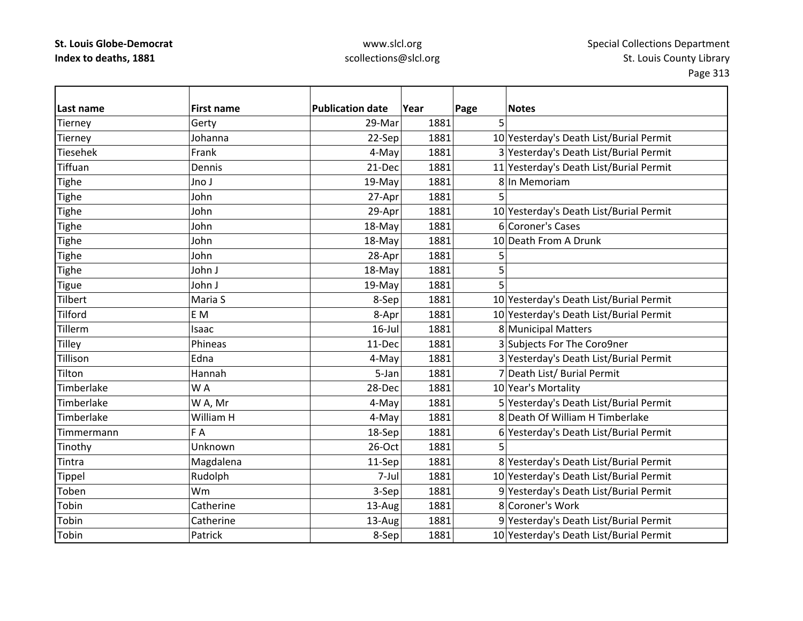| Last name         | <b>First name</b> | <b>Publication date</b> | Year | Page | <b>Notes</b>                            |
|-------------------|-------------------|-------------------------|------|------|-----------------------------------------|
| Tierney           | Gerty             | 29-Mar                  | 1881 | 5    |                                         |
| Tierney           | Johanna           | 22-Sep                  | 1881 |      | 10 Yesterday's Death List/Burial Permit |
| Tiesehek          | Frank             | 4-May                   | 1881 |      | 3 Yesterday's Death List/Burial Permit  |
| Tiffuan           | Dennis            | 21-Dec                  | 1881 |      | 11 Yesterday's Death List/Burial Permit |
| Tighe             | Jno J             | 19-May                  | 1881 |      | 8 In Memoriam                           |
| <b>Tighe</b>      | John              | 27-Apr                  | 1881 | 5    |                                         |
| Tighe             | John              | 29-Apr                  | 1881 |      | 10 Yesterday's Death List/Burial Permit |
| Tighe             | John              | 18-May                  | 1881 |      | 6 Coroner's Cases                       |
| Tighe             | John              | 18-May                  | 1881 |      | 10 Death From A Drunk                   |
| Tighe             | John              | 28-Apr                  | 1881 | 5    |                                         |
| <b>Tighe</b>      | John J            | 18-May                  | 1881 | 5    |                                         |
| <b>Tigue</b>      | John J            | 19-May                  | 1881 | 5    |                                         |
| Tilbert           | Maria S           | 8-Sep                   | 1881 |      | 10 Yesterday's Death List/Burial Permit |
| Tilford           | E M               | 8-Apr                   | 1881 |      | 10 Yesterday's Death List/Burial Permit |
| Tillerm           | Isaac             | $16$ -Jul               | 1881 |      | 8 Municipal Matters                     |
| Tilley            | Phineas           | 11-Dec                  | 1881 |      | 3 Subjects For The Coro9ner             |
| Tillison          | Edna              | 4-May                   | 1881 |      | 3 Yesterday's Death List/Burial Permit  |
| Tilton            | Hannah            | 5-Jan                   | 1881 |      | 7 Death List/ Burial Permit             |
| Timberlake        | WA                | 28-Dec                  | 1881 |      | 10 Year's Mortality                     |
| Timberlake        | W A, Mr           | 4-May                   | 1881 |      | 5 Yesterday's Death List/Burial Permit  |
| Timberlake        | William H         | 4-May                   | 1881 |      | 8 Death Of William H Timberlake         |
| <b>Timmermann</b> | F A               | 18-Sep                  | 1881 |      | 6 Yesterday's Death List/Burial Permit  |
| Tinothy           | Unknown           | 26-Oct                  | 1881 |      |                                         |
| Tintra            | Magdalena         | 11-Sep                  | 1881 |      | 8 Yesterday's Death List/Burial Permit  |
| Tippel            | Rudolph           | 7-Jul                   | 1881 |      | 10 Yesterday's Death List/Burial Permit |
| Toben             | Wm                | 3-Sep                   | 1881 |      | 9 Yesterday's Death List/Burial Permit  |
| Tobin             | Catherine         | 13-Aug                  | 1881 |      | 8 Coroner's Work                        |
| Tobin             | Catherine         | 13-Aug                  | 1881 |      | 9 Yesterday's Death List/Burial Permit  |
| Tobin             | Patrick           | 8-Sep                   | 1881 |      | 10 Yesterday's Death List/Burial Permit |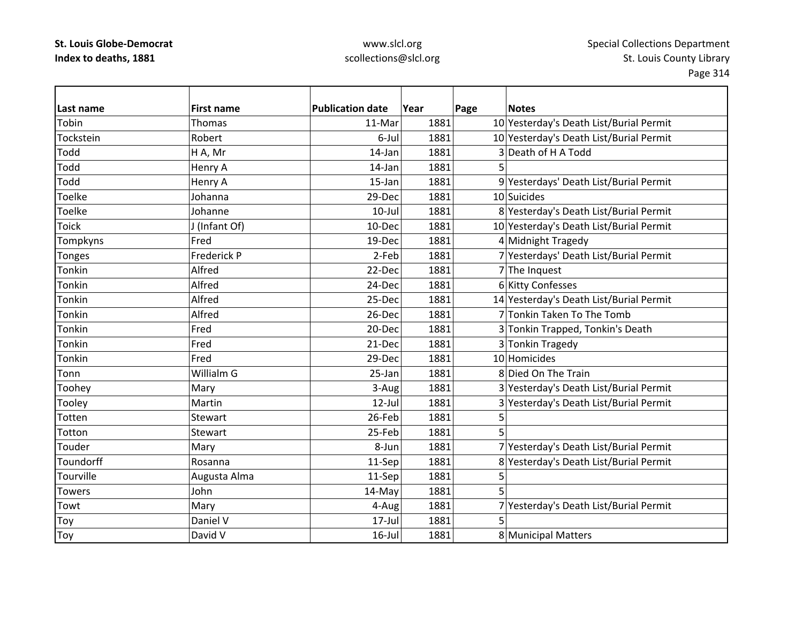| Last name     | <b>First name</b> | <b>Publication date</b> | Year | Page | <b>Notes</b>                            |
|---------------|-------------------|-------------------------|------|------|-----------------------------------------|
| Tobin         | Thomas            | 11-Mar                  | 1881 |      | 10 Yesterday's Death List/Burial Permit |
| Tockstein     | Robert            | 6-Jul                   | 1881 |      | 10 Yesterday's Death List/Burial Permit |
| Todd          | H A, Mr           | 14-Jan                  | 1881 |      | 3 Death of H A Todd                     |
| Todd          | Henry A           | 14-Jan                  | 1881 |      |                                         |
| Todd          | Henry A           | 15-Jan                  | 1881 |      | 9 Yesterdays' Death List/Burial Permit  |
| Toelke        | Johanna           | 29-Dec                  | 1881 |      | 10 Suicides                             |
| Toelke        | Johanne           | $10$ -Jul               | 1881 |      | 8 Yesterday's Death List/Burial Permit  |
| Toick         | J (Infant Of)     | 10-Dec                  | 1881 |      | 10 Yesterday's Death List/Burial Permit |
| Tompkyns      | Fred              | 19-Dec                  | 1881 |      | 4 Midnight Tragedy                      |
| <b>Tonges</b> | Frederick P       | 2-Feb                   | 1881 |      | 7 Yesterdays' Death List/Burial Permit  |
| Tonkin        | Alfred            | 22-Dec                  | 1881 |      | 7 The Inquest                           |
| Tonkin        | Alfred            | 24-Dec                  | 1881 |      | 6 Kitty Confesses                       |
| Tonkin        | Alfred            | 25-Dec                  | 1881 |      | 14 Yesterday's Death List/Burial Permit |
| Tonkin        | Alfred            | 26-Dec                  | 1881 |      | 7 Tonkin Taken To The Tomb              |
| Tonkin        | Fred              | 20-Dec                  | 1881 |      | 3 Tonkin Trapped, Tonkin's Death        |
| Tonkin        | Fred              | 21-Dec                  | 1881 |      | 3 Tonkin Tragedy                        |
| Tonkin        | Fred              | 29-Dec                  | 1881 |      | 10 Homicides                            |
| Tonn          | Willialm G        | 25-Jan                  | 1881 |      | 8 Died On The Train                     |
| Toohey        | Mary              | 3-Aug                   | 1881 |      | 3 Yesterday's Death List/Burial Permit  |
| Tooley        | Martin            | $12$ -Jul               | 1881 |      | 3 Yesterday's Death List/Burial Permit  |
| Totten        | Stewart           | 26-Feb                  | 1881 | 5    |                                         |
| Totton        | Stewart           | 25-Feb                  | 1881 | 5    |                                         |
| Touder        | Mary              | 8-Jun                   | 1881 |      | 7 Yesterday's Death List/Burial Permit  |
| Toundorff     | Rosanna           | 11-Sep                  | 1881 |      | 8 Yesterday's Death List/Burial Permit  |
| Tourville     | Augusta Alma      | 11-Sep                  | 1881 | 5    |                                         |
| <b>Towers</b> | John              | 14-May                  | 1881 | 5    |                                         |
| Towt          | Mary              | 4-Aug                   | 1881 |      | 7 Yesterday's Death List/Burial Permit  |
| Toy           | Daniel V          | 17-Jul                  | 1881 | 5    |                                         |
| Toy           | David V           | $16$ -Jul               | 1881 |      | 8 Municipal Matters                     |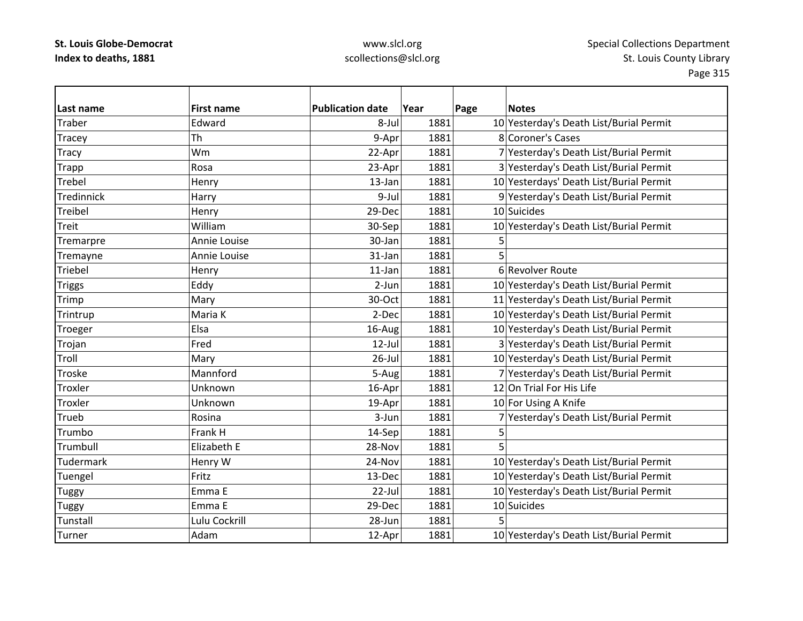| Last name      | <b>First name</b> | <b>Publication date</b> | Year | Page | <b>Notes</b>                            |
|----------------|-------------------|-------------------------|------|------|-----------------------------------------|
| Traber         | Edward            | 8-Jul                   | 1881 |      | 10 Yesterday's Death List/Burial Permit |
| Tracey         | Th                | 9-Apr                   | 1881 |      | 8 Coroner's Cases                       |
| <b>Tracy</b>   | Wm                | 22-Apr                  | 1881 |      | 7 Yesterday's Death List/Burial Permit  |
| <b>Trapp</b>   | Rosa              | 23-Apr                  | 1881 |      | 3 Yesterday's Death List/Burial Permit  |
| <b>Trebel</b>  | Henry             | 13-Jan                  | 1881 |      | 10 Yesterdays' Death List/Burial Permit |
| Tredinnick     | Harry             | 9-Jul                   | 1881 |      | 9 Yesterday's Death List/Burial Permit  |
| Treibel        | Henry             | 29-Dec                  | 1881 |      | 10 Suicides                             |
| Treit          | William           | 30-Sep                  | 1881 |      | 10 Yesterday's Death List/Burial Permit |
| Tremarpre      | Annie Louise      | 30-Jan                  | 1881 | 5    |                                         |
| Tremayne       | Annie Louise      | 31-Jan                  | 1881 |      |                                         |
| Triebel        | Henry             | $11$ -Jan               | 1881 |      | 6 Revolver Route                        |
| <b>Triggs</b>  | Eddy              | 2-Jun                   | 1881 |      | 10 Yesterday's Death List/Burial Permit |
| Trimp          | Mary              | 30-Oct                  | 1881 |      | 11 Yesterday's Death List/Burial Permit |
| Trintrup       | Maria K           | 2-Dec                   | 1881 |      | 10 Yesterday's Death List/Burial Permit |
| Troeger        | Elsa              | 16-Aug                  | 1881 |      | 10 Yesterday's Death List/Burial Permit |
| Trojan         | Fred              | $12$ -Jul               | 1881 |      | 3 Yesterday's Death List/Burial Permit  |
| Troll          | Mary              | $26$ -Jul               | 1881 |      | 10 Yesterday's Death List/Burial Permit |
| Troske         | Mannford          | 5-Aug                   | 1881 |      | 7 Yesterday's Death List/Burial Permit  |
| Troxler        | Unknown           | 16-Apr                  | 1881 |      | 12 On Trial For His Life                |
| <b>Troxler</b> | Unknown           | 19-Apr                  | 1881 |      | 10 For Using A Knife                    |
| Trueb          | Rosina            | 3-Jun                   | 1881 |      | 7 Yesterday's Death List/Burial Permit  |
| Trumbo         | Frank H           | 14-Sep                  | 1881 | 5    |                                         |
| Trumbull       | Elizabeth E       | 28-Nov                  | 1881 |      |                                         |
| Tudermark      | Henry W           | 24-Nov                  | 1881 |      | 10 Yesterday's Death List/Burial Permit |
| Tuengel        | Fritz             | 13-Dec                  | 1881 |      | 10 Yesterday's Death List/Burial Permit |
| <b>Tuggy</b>   | Emma E            | 22-Jul                  | 1881 |      | 10 Yesterday's Death List/Burial Permit |
| <b>Tuggy</b>   | Emma E            | 29-Dec                  | 1881 |      | 10 Suicides                             |
| Tunstall       | Lulu Cockrill     | 28-Jun                  | 1881 |      |                                         |
| Turner         | Adam              | 12-Apr                  | 1881 |      | 10 Yesterday's Death List/Burial Permit |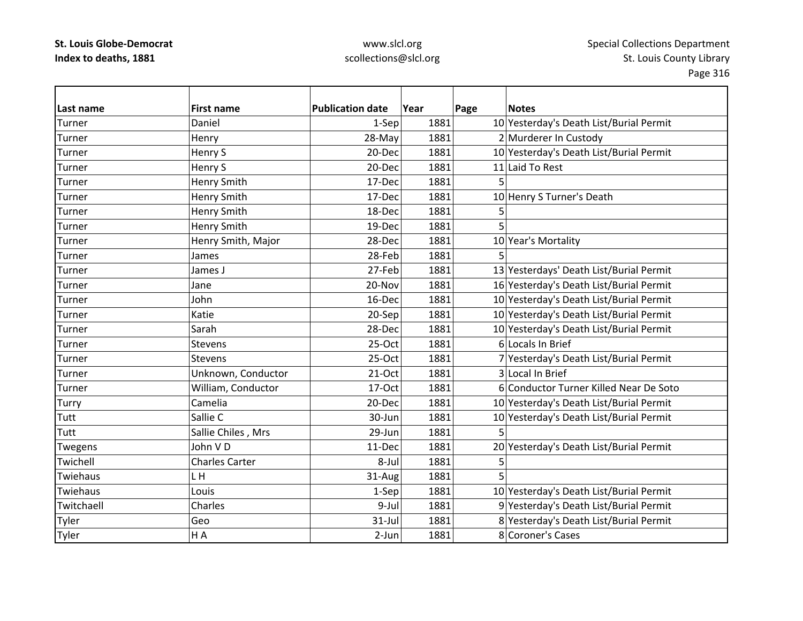| Last name    | <b>First name</b>     | <b>Publication date</b> | Year | Page | <b>Notes</b>                            |
|--------------|-----------------------|-------------------------|------|------|-----------------------------------------|
| Turner       | Daniel                | 1-Sep                   | 1881 |      | 10 Yesterday's Death List/Burial Permit |
| Turner       | Henry                 | 28-May                  | 1881 |      | 2 Murderer In Custody                   |
| Turner       | Henry S               | 20-Dec                  | 1881 |      | 10 Yesterday's Death List/Burial Permit |
| Turner       | Henry S               | 20-Dec                  | 1881 |      | 11 Laid To Rest                         |
| Turner       | <b>Henry Smith</b>    | 17-Dec                  | 1881 |      |                                         |
| Turner       | Henry Smith           | 17-Dec                  | 1881 |      | 10 Henry S Turner's Death               |
| Turner       | Henry Smith           | 18-Dec                  | 1881 | 5    |                                         |
| Turner       | Henry Smith           | 19-Dec                  | 1881 |      |                                         |
| Turner       | Henry Smith, Major    | 28-Dec                  | 1881 |      | 10 Year's Mortality                     |
| Turner       | James                 | 28-Feb                  | 1881 |      |                                         |
| Turner       | James J               | 27-Feb                  | 1881 |      | 13 Yesterdays' Death List/Burial Permit |
| Turner       | Jane                  | 20-Nov                  | 1881 |      | 16 Yesterday's Death List/Burial Permit |
| Turner       | John                  | 16-Dec                  | 1881 |      | 10 Yesterday's Death List/Burial Permit |
| Turner       | Katie                 | 20-Sep                  | 1881 |      | 10 Yesterday's Death List/Burial Permit |
| Turner       | Sarah                 | 28-Dec                  | 1881 |      | 10 Yesterday's Death List/Burial Permit |
| Turner       | Stevens               | 25-Oct                  | 1881 |      | 6 Locals In Brief                       |
| Turner       | Stevens               | 25-Oct                  | 1881 |      | 7 Yesterday's Death List/Burial Permit  |
| Turner       | Unknown, Conductor    | $21-Oct$                | 1881 |      | 3 Local In Brief                        |
| Turner       | William, Conductor    | 17-Oct                  | 1881 |      | 6 Conductor Turner Killed Near De Soto  |
| <b>Turry</b> | Camelia               | 20-Dec                  | 1881 |      | 10 Yesterday's Death List/Burial Permit |
| Tutt         | Sallie C              | 30-Jun                  | 1881 |      | 10 Yesterday's Death List/Burial Permit |
| Tutt         | Sallie Chiles, Mrs    | 29-Jun                  | 1881 | 5    |                                         |
| Twegens      | John VD               | 11-Dec                  | 1881 |      | 20 Yesterday's Death List/Burial Permit |
| Twichell     | <b>Charles Carter</b> | 8-Jul                   | 1881 | 5    |                                         |
| Twiehaus     | L H                   | 31-Aug                  | 1881 |      |                                         |
| Twiehaus     | Louis                 | 1-Sep                   | 1881 |      | 10 Yesterday's Death List/Burial Permit |
| Twitchaell   | Charles               | 9-Jul                   | 1881 |      | 9 Yesterday's Death List/Burial Permit  |
| Tyler        | Geo                   | 31-Jul                  | 1881 |      | 8 Yesterday's Death List/Burial Permit  |
| Tyler        | H A                   | 2-Jun                   | 1881 |      | 8 Coroner's Cases                       |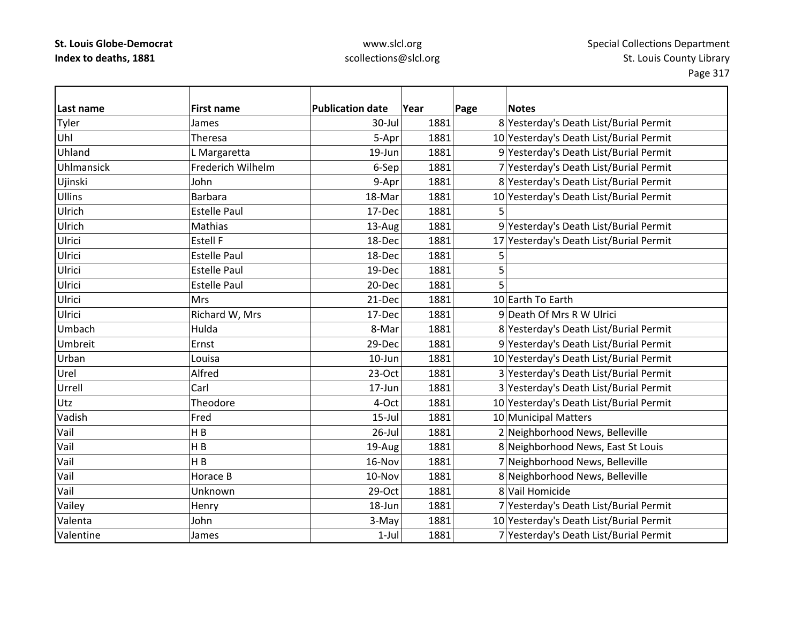| Last name      | <b>First name</b>   | <b>Publication date</b> | Year | Page | <b>Notes</b>                            |
|----------------|---------------------|-------------------------|------|------|-----------------------------------------|
| Tyler          | James               | 30-Jul                  | 1881 |      | 8 Yesterday's Death List/Burial Permit  |
| Uhl            | Theresa             | 5-Apr                   | 1881 |      | 10 Yesterday's Death List/Burial Permit |
| Uhland         | L Margaretta        | 19-Jun                  | 1881 |      | 9 Yesterday's Death List/Burial Permit  |
| Uhlmansick     | Frederich Wilhelm   | 6-Sep                   | 1881 |      | 7 Yesterday's Death List/Burial Permit  |
| Ujinski        | John                | 9-Apr                   | 1881 |      | 8 Yesterday's Death List/Burial Permit  |
| <b>Ullins</b>  | <b>Barbara</b>      | 18-Mar                  | 1881 |      | 10 Yesterday's Death List/Burial Permit |
| Ulrich         | <b>Estelle Paul</b> | 17-Dec                  | 1881 | 5    |                                         |
| Ulrich         | Mathias             | 13-Aug                  | 1881 |      | 9 Yesterday's Death List/Burial Permit  |
| Ulrici         | <b>Estell F</b>     | 18-Dec                  | 1881 |      | 17 Yesterday's Death List/Burial Permit |
| Ulrici         | <b>Estelle Paul</b> | 18-Dec                  | 1881 | 5    |                                         |
| Ulrici         | <b>Estelle Paul</b> | 19-Dec                  | 1881 | 5    |                                         |
| Ulrici         | <b>Estelle Paul</b> | 20-Dec                  | 1881 | 5    |                                         |
| Ulrici         | <b>Mrs</b>          | 21-Dec                  | 1881 |      | 10 Earth To Earth                       |
| Ulrici         | Richard W, Mrs      | 17-Dec                  | 1881 |      | 9 Death Of Mrs R W Ulrici               |
| Umbach         | Hulda               | 8-Mar                   | 1881 |      | 8 Yesterday's Death List/Burial Permit  |
| <b>Umbreit</b> | Ernst               | 29-Dec                  | 1881 |      | 9 Yesterday's Death List/Burial Permit  |
| Urban          | Louisa              | 10-Jun                  | 1881 |      | 10 Yesterday's Death List/Burial Permit |
| Urel           | Alfred              | $23-Oct$                | 1881 |      | 3 Yesterday's Death List/Burial Permit  |
| Urrell         | Carl                | $17 - Jun$              | 1881 |      | 3 Yesterday's Death List/Burial Permit  |
| Utz            | Theodore            | 4-Oct                   | 1881 |      | 10 Yesterday's Death List/Burial Permit |
| Vadish         | Fred                | $15$ -Jul               | 1881 |      | 10 Municipal Matters                    |
| Vail           | H B                 | $26$ -Jul               | 1881 |      | 2 Neighborhood News, Belleville         |
| Vail           | H B                 | 19-Aug                  | 1881 |      | 8 Neighborhood News, East St Louis      |
| Vail           | H B                 | 16-Nov                  | 1881 |      | 7 Neighborhood News, Belleville         |
| Vail           | Horace B            | 10-Nov                  | 1881 |      | 8 Neighborhood News, Belleville         |
| Vail           | Unknown             | 29-Oct                  | 1881 |      | 8 Vail Homicide                         |
| Vailey         | Henry               | 18-Jun                  | 1881 |      | 7 Yesterday's Death List/Burial Permit  |
| Valenta        | John                | 3-May                   | 1881 |      | 10 Yesterday's Death List/Burial Permit |
| Valentine      | James               | $1-Jul$                 | 1881 |      | 7 Yesterday's Death List/Burial Permit  |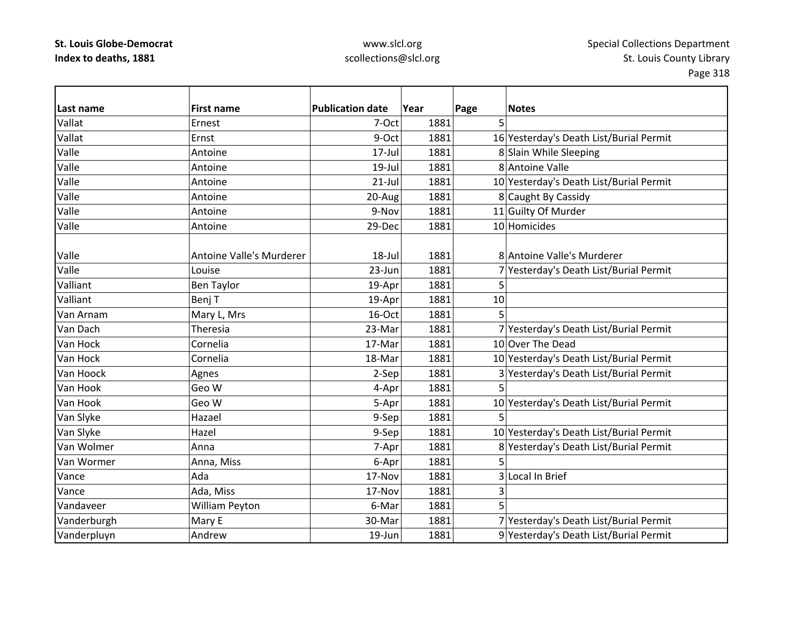## www.slcl.org scollections@slcl.org

 $\overline{\phantom{0}}$ 

| Last name   | <b>First name</b>               | <b>Publication date</b> | Year | Page | <b>Notes</b>                            |
|-------------|---------------------------------|-------------------------|------|------|-----------------------------------------|
| Vallat      | Ernest                          | 7-Oct                   | 1881 | 5    |                                         |
| Vallat      | Ernst                           | 9-Oct                   | 1881 |      | 16 Yesterday's Death List/Burial Permit |
| Valle       | Antoine                         | 17-Jul                  | 1881 |      | 8 Slain While Sleeping                  |
| Valle       | Antoine                         | $19$ -Jul               | 1881 |      | 8 Antoine Valle                         |
| Valle       | Antoine                         | $21$ -Jul               | 1881 |      | 10 Yesterday's Death List/Burial Permit |
| Valle       | Antoine                         | 20-Aug                  | 1881 |      | 8 Caught By Cassidy                     |
| Valle       | Antoine                         | 9-Nov                   | 1881 |      | 11 Guilty Of Murder                     |
| Valle       | Antoine                         | 29-Dec                  | 1881 |      | 10 Homicides                            |
|             |                                 |                         |      |      |                                         |
| Valle       | <b>Antoine Valle's Murderer</b> | 18-Jul                  | 1881 |      | 8 Antoine Valle's Murderer              |
| Valle       | Louise                          | 23-Jun                  | 1881 |      | 7 Yesterday's Death List/Burial Permit  |
| Valliant    | <b>Ben Taylor</b>               | 19-Apr                  | 1881 | 5    |                                         |
| Valliant    | Benj T                          | 19-Apr                  | 1881 | 10   |                                         |
| Van Arnam   | Mary L, Mrs                     | 16-Oct                  | 1881 | 5    |                                         |
| Van Dach    | Theresia                        | 23-Mar                  | 1881 |      | 7 Yesterday's Death List/Burial Permit  |
| Van Hock    | Cornelia                        | 17-Mar                  | 1881 |      | 10 Over The Dead                        |
| Van Hock    | Cornelia                        | 18-Mar                  | 1881 |      | 10 Yesterday's Death List/Burial Permit |
| Van Hoock   | Agnes                           | 2-Sep                   | 1881 |      | 3 Yesterday's Death List/Burial Permit  |
| Van Hook    | Geo W                           | 4-Apr                   | 1881 | 5    |                                         |
| Van Hook    | Geo W                           | 5-Apr                   | 1881 |      | 10 Yesterday's Death List/Burial Permit |
| Van Slyke   | Hazael                          | 9-Sep                   | 1881 | 5    |                                         |
| Van Slyke   | Hazel                           | 9-Sep                   | 1881 |      | 10 Yesterday's Death List/Burial Permit |
| Van Wolmer  | Anna                            | 7-Apr                   | 1881 |      | 8 Yesterday's Death List/Burial Permit  |
| Van Wormer  | Anna, Miss                      | 6-Apr                   | 1881 | 5    |                                         |
| Vance       | Ada                             | 17-Nov                  | 1881 |      | 3 Local In Brief                        |
| Vance       | Ada, Miss                       | 17-Nov                  | 1881 | 3    |                                         |
| Vandaveer   | William Peyton                  | 6-Mar                   | 1881 | 5    |                                         |
| Vanderburgh | Mary E                          | 30-Mar                  | 1881 |      | 7 Yesterday's Death List/Burial Permit  |
| Vanderpluyn | Andrew                          | 19-Jun                  | 1881 |      | 9 Yesterday's Death List/Burial Permit  |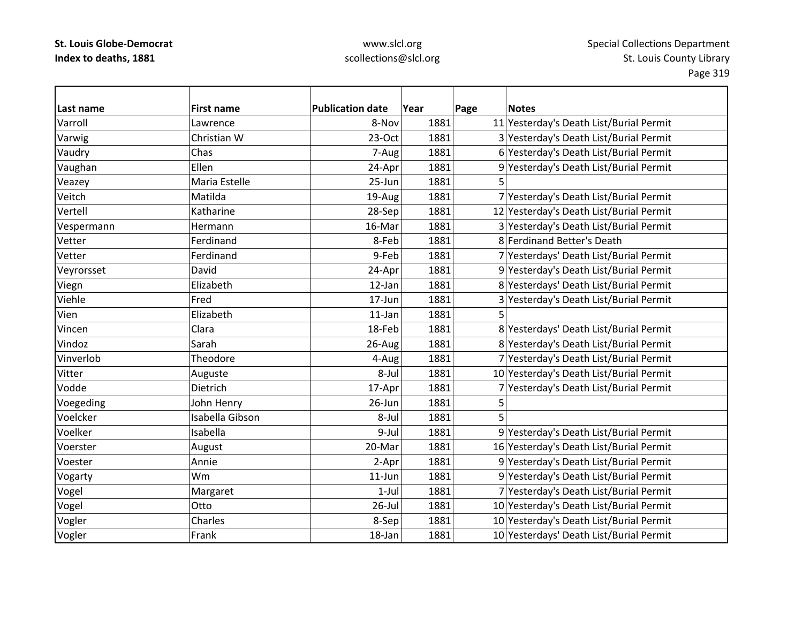| Last name  | <b>First name</b> | <b>Publication date</b> | Year | Page<br><b>Notes</b>                    |
|------------|-------------------|-------------------------|------|-----------------------------------------|
| Varroll    | Lawrence          | 8-Nov                   | 1881 | 11 Yesterday's Death List/Burial Permit |
| Varwig     | Christian W       | $23-Oct$                | 1881 | 3 Yesterday's Death List/Burial Permit  |
| Vaudry     | Chas              | 7-Aug                   | 1881 | 6 Yesterday's Death List/Burial Permit  |
| Vaughan    | Ellen             | 24-Apr                  | 1881 | 9 Yesterday's Death List/Burial Permit  |
| Veazey     | Maria Estelle     | 25-Jun                  | 1881 | 5                                       |
| Veitch     | Matilda           | 19-Aug                  | 1881 | 7 Yesterday's Death List/Burial Permit  |
| Vertell    | Katharine         | 28-Sep                  | 1881 | 12 Yesterday's Death List/Burial Permit |
| Vespermann | Hermann           | 16-Mar                  | 1881 | 3 Yesterday's Death List/Burial Permit  |
| Vetter     | Ferdinand         | 8-Feb                   | 1881 | 8 Ferdinand Better's Death              |
| Vetter     | Ferdinand         | 9-Feb                   | 1881 | 7 Yesterdays' Death List/Burial Permit  |
| Veyrorsset | David             | 24-Apr                  | 1881 | 9 Yesterday's Death List/Burial Permit  |
| Viegn      | Elizabeth         | 12-Jan                  | 1881 | 8 Yesterdays' Death List/Burial Permit  |
| Viehle     | Fred              | 17-Jun                  | 1881 | 3 Yesterday's Death List/Burial Permit  |
| Vien       | Elizabeth         | $11$ -Jan               | 1881 | 5                                       |
| Vincen     | Clara             | 18-Feb                  | 1881 | 8 Yesterdays' Death List/Burial Permit  |
| Vindoz     | Sarah             | 26-Aug                  | 1881 | 8 Yesterday's Death List/Burial Permit  |
| Vinverlob  | Theodore          | 4-Aug                   | 1881 | 7 Yesterday's Death List/Burial Permit  |
| Vitter     | Auguste           | 8-Jul                   | 1881 | 10 Yesterday's Death List/Burial Permit |
| Vodde      | Dietrich          | 17-Apr                  | 1881 | 7 Yesterday's Death List/Burial Permit  |
| Voegeding  | John Henry        | 26-Jun                  | 1881 | 5                                       |
| Voelcker   | Isabella Gibson   | 8-Jul                   | 1881 | 5                                       |
| Voelker    | Isabella          | 9-Jul                   | 1881 | 9 Yesterday's Death List/Burial Permit  |
| Voerster   | August            | 20-Mar                  | 1881 | 16 Yesterday's Death List/Burial Permit |
| Voester    | Annie             | 2-Apr                   | 1881 | 9 Yesterday's Death List/Burial Permit  |
| Vogarty    | <b>Wm</b>         | $11$ -Jun               | 1881 | 9 Yesterday's Death List/Burial Permit  |
| Vogel      | Margaret          | $1-Jul$                 | 1881 | 7 Yesterday's Death List/Burial Permit  |
| Vogel      | Otto              | $26$ -Jul               | 1881 | 10 Yesterday's Death List/Burial Permit |
| Vogler     | Charles           | 8-Sep                   | 1881 | 10 Yesterday's Death List/Burial Permit |
| Vogler     | Frank             | 18-Jan                  | 1881 | 10 Yesterdays' Death List/Burial Permit |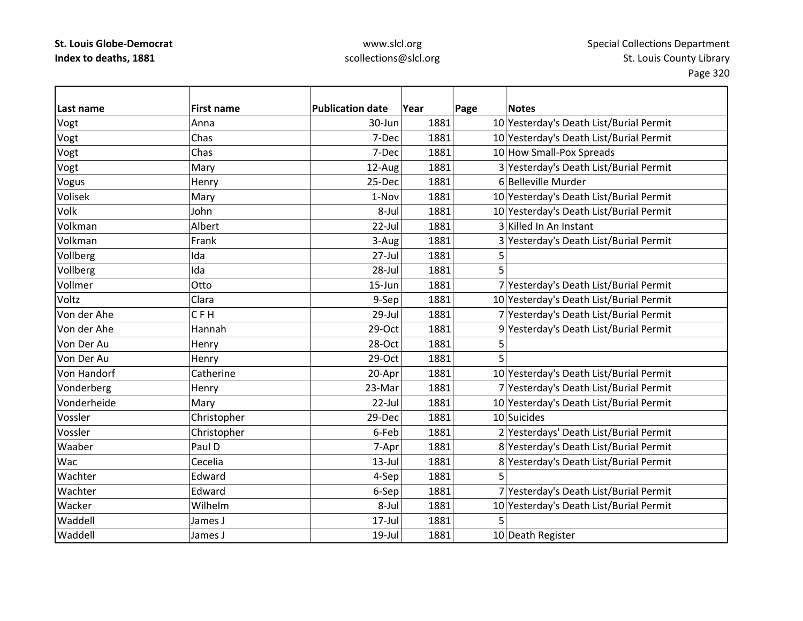| Last name   | <b>First name</b> | <b>Publication date</b> | Year | Page | <b>Notes</b>                            |
|-------------|-------------------|-------------------------|------|------|-----------------------------------------|
| Vogt        | Anna              | 30-Jun                  | 1881 |      | 10 Yesterday's Death List/Burial Permit |
| Vogt        | Chas              | 7-Dec                   | 1881 |      | 10 Yesterday's Death List/Burial Permit |
| Vogt        | Chas              | 7-Dec                   | 1881 |      | 10 How Small-Pox Spreads                |
| Vogt        | Mary              | 12-Aug                  | 1881 |      | 3 Yesterday's Death List/Burial Permit  |
| Vogus       | Henry             | 25-Dec                  | 1881 |      | 6 Belleville Murder                     |
| Volisek     | Mary              | 1-Nov                   | 1881 |      | 10 Yesterday's Death List/Burial Permit |
| Volk        | John              | 8-Jul                   | 1881 |      | 10 Yesterday's Death List/Burial Permit |
| Volkman     | Albert            | 22-Jul                  | 1881 |      | 3 Killed In An Instant                  |
| Volkman     | Frank             | 3-Aug                   | 1881 |      | 3 Yesterday's Death List/Burial Permit  |
| Vollberg    | Ida               | 27-Jul                  | 1881 | 5    |                                         |
| Vollberg    | Ida               | $28 -$ Jul              | 1881 | 5    |                                         |
| Vollmer     | Otto              | 15-Jun                  | 1881 |      | 7 Yesterday's Death List/Burial Permit  |
| Voltz       | Clara             | 9-Sep                   | 1881 |      | 10 Yesterday's Death List/Burial Permit |
| Von der Ahe | <b>CFH</b>        | $29$ -Jul               | 1881 |      | 7 Yesterday's Death List/Burial Permit  |
| Von der Ahe | Hannah            | 29-Oct                  | 1881 |      | 9 Yesterday's Death List/Burial Permit  |
| Von Der Au  | Henry             | 28-Oct                  | 1881 | 5    |                                         |
| Von Der Au  | Henry             | 29-Oct                  | 1881 | 5    |                                         |
| Von Handorf | Catherine         | 20-Apr                  | 1881 |      | 10 Yesterday's Death List/Burial Permit |
| Vonderberg  | Henry             | 23-Mar                  | 1881 |      | 7 Yesterday's Death List/Burial Permit  |
| Vonderheide | Mary              | 22-Jul                  | 1881 |      | 10 Yesterday's Death List/Burial Permit |
| Vossler     | Christopher       | 29-Dec                  | 1881 |      | 10 Suicides                             |
| Vossler     | Christopher       | 6-Feb                   | 1881 |      | 2 Yesterdays' Death List/Burial Permit  |
| Waaber      | Paul D            | 7-Apr                   | 1881 |      | 8 Yesterday's Death List/Burial Permit  |
| Wac         | Cecelia           | $13$ -Jul               | 1881 |      | 8 Yesterday's Death List/Burial Permit  |
| Wachter     | Edward            | 4-Sep                   | 1881 | 5    |                                         |
| Wachter     | Edward            | 6-Sep                   | 1881 |      | 7 Yesterday's Death List/Burial Permit  |
| Wacker      | Wilhelm           | 8-Jul                   | 1881 |      | 10 Yesterday's Death List/Burial Permit |
| Waddell     | James J           | $17 -$ Jul              | 1881 |      |                                         |
| Waddell     | James J           | $19$ -Jul               | 1881 |      | 10 Death Register                       |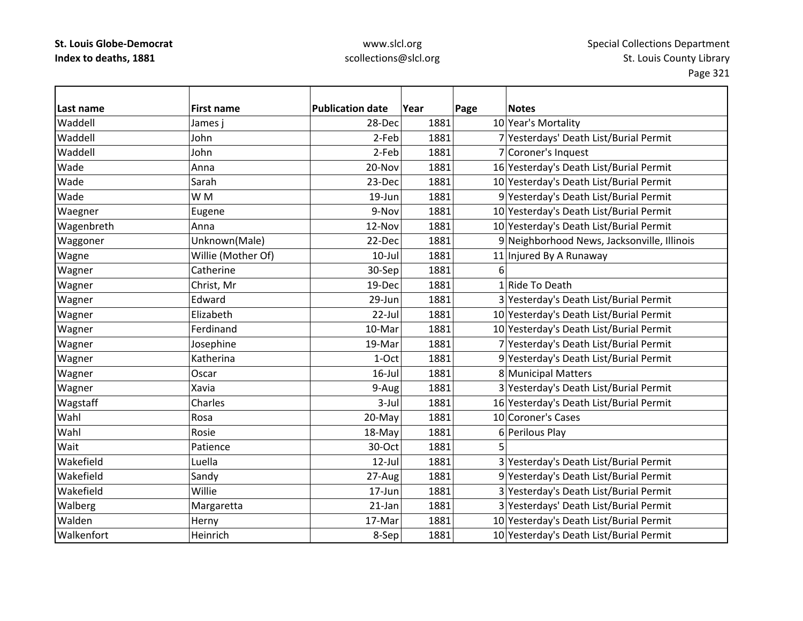### www.slcl.org scollections@slcl.org

**Last name First name Publication date Year Page Notes** Waddell James $28$ -Dec 1881 10 Year's Mortality Waddell John2-Feb 1881 7 Yesterdays' Death List/Burial Permit Waddell John2-Feb 1881 7 Coroner's Inquest WadeAnna 20‐Nov 1881 16 Yesterday's Death List/Burial Permit 16 Anna Wade Sarah23-Dec 1881 10 Yesterday's Death List/Burial Permit Wadee IW W M 19 19-Jun 1881 9 Yesterday's Death List/Burial Permit Waegner  $\vert$ Eugene  $\vert$  9-Nov 1881 10 Yesterday's Death List/Burial Permit Wagenbreth Anna 12‐Nov 1881 10 Yesterday's Death List/Burial Permit Waggoner Unknown(Male) 22‐Dec 1881 9 Neighborhood News, Jacksonville, Illinois Wagne Nillie (Mother Of) 10‐Jul 1881 11 Injured By A Runaway Wagner Catherine 30‐Sep 1881 6 Wagner Christ, Mr 19‐Dec 1881 1|Ride To Death Wagner Edward Edward 29‐Jun 1881 3 Yesterday's Death List/Burial Permit Wagner Elizabeth  $\vert$  22-Jul 1881 10 Yesterday's Death List/Burial Permit Wagner Ferdinand Ferdinand 10‐Mar 1881 10‐Mar 1881 10 Yesterday's Death List/Burial Permit Wagner  $J$ osephine 19‐Mar 1881 7 Yesterday's Death List/Burial Permit Wagner Number Katherina 1981 1–0ct 1881 9 Yesterday's Death List/Burial Permit Wagner  $\vert$  Oscar  $\vert$  16-Jul 1881 8 Municipal Matters Wagner Xavia 1881 3 Yesterday's Death List/Burial Permit 9-Aug 1881 3 Yesterday's Death List/Burial Permit Wagstaff Charles 3‐Jul 1881 16 Yesterday's Death List/Burial Permit Wahl Rosa20-May 1881 10 Coroner's Cases Wahl Rosie18-May 1881 6 Perilous Play Wait Patience30-Oct 1881 5 Wakefield Luella 12‐Jul 1881 3 Yesterday's Death List/Burial Permit WakefieldSandy 27-Aug 1881 9 Yesterday's Death List/Burial Permit Wakefield Willie17-Jun 1881 3 Yesterday's Death List/Burial Permit Walberg Margaretta 1981 21-Jan 1881 3 Yesterdays' Death List/Burial Permit WaldenHerny 17‐Mar 1881 10 Yesterday's Death List/Burial Permit Walkenfort Heinrich8-Sep 1881 10 Yesterday's Death List/Burial Permit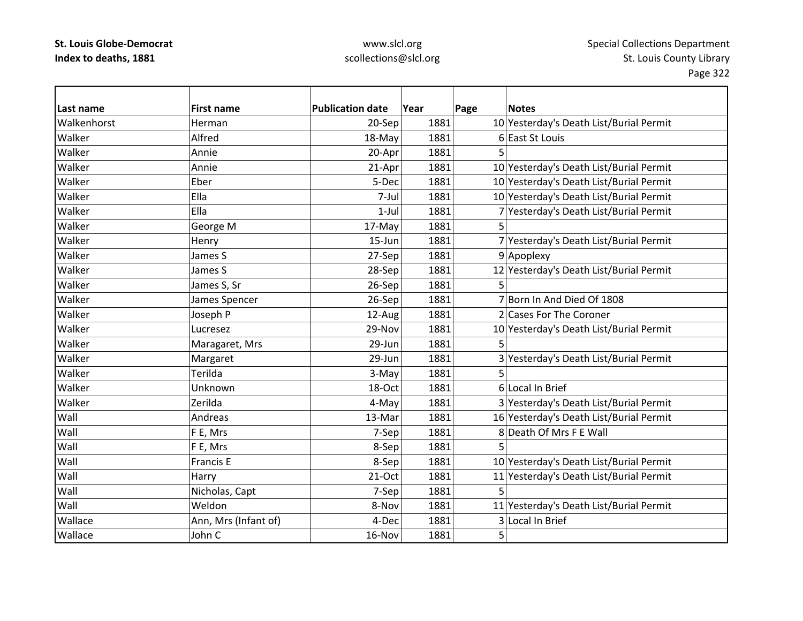| Last name   | <b>First name</b>    | <b>Publication date</b> | Year | Page | <b>Notes</b>                            |
|-------------|----------------------|-------------------------|------|------|-----------------------------------------|
| Walkenhorst | Herman               | 20-Sep                  | 1881 |      | 10 Yesterday's Death List/Burial Permit |
| Walker      | Alfred               | 18-May                  | 1881 |      | 6 East St Louis                         |
| Walker      | Annie                | 20-Apr                  | 1881 | 5    |                                         |
| Walker      | Annie                | 21-Apr                  | 1881 |      | 10 Yesterday's Death List/Burial Permit |
| Walker      | Eber                 | 5-Dec                   | 1881 |      | 10 Yesterday's Death List/Burial Permit |
| Walker      | Ella                 | 7-Jul                   | 1881 |      | 10 Yesterday's Death List/Burial Permit |
| Walker      | Ella                 | $1$ -Jul                | 1881 |      | 7 Yesterday's Death List/Burial Permit  |
| Walker      | George M             | 17-May                  | 1881 | 5    |                                         |
| Walker      | Henry                | 15-Jun                  | 1881 |      | 7 Yesterday's Death List/Burial Permit  |
| Walker      | James S              | 27-Sep                  | 1881 |      | 9 Apoplexy                              |
| Walker      | James S              | 28-Sep                  | 1881 |      | 12 Yesterday's Death List/Burial Permit |
| Walker      | James S, Sr          | 26-Sep                  | 1881 | 5    |                                         |
| Walker      | James Spencer        | 26-Sep                  | 1881 |      | 7 Born In And Died Of 1808              |
| Walker      | Joseph P             | 12-Aug                  | 1881 |      | 2 Cases For The Coroner                 |
| Walker      | Lucresez             | 29-Nov                  | 1881 |      | 10 Yesterday's Death List/Burial Permit |
| Walker      | Maragaret, Mrs       | 29-Jun                  | 1881 | 5    |                                         |
| Walker      | Margaret             | 29-Jun                  | 1881 |      | 3 Yesterday's Death List/Burial Permit  |
| Walker      | Terilda              | 3-May                   | 1881 | 5    |                                         |
| Walker      | Unknown              | 18-Oct                  | 1881 |      | 6 Local In Brief                        |
| Walker      | Zerilda              | 4-May                   | 1881 |      | 3 Yesterday's Death List/Burial Permit  |
| Wall        | Andreas              | 13-Mar                  | 1881 |      | 16 Yesterday's Death List/Burial Permit |
| Wall        | F E, Mrs             | 7-Sep                   | 1881 |      | 8 Death Of Mrs F E Wall                 |
| Wall        | F E, Mrs             | 8-Sep                   | 1881 |      |                                         |
| Wall        | <b>Francis E</b>     | 8-Sep                   | 1881 |      | 10 Yesterday's Death List/Burial Permit |
| Wall        | Harry                | 21-Oct                  | 1881 |      | 11 Yesterday's Death List/Burial Permit |
| Wall        | Nicholas, Capt       | 7-Sep                   | 1881 | 5    |                                         |
| Wall        | Weldon               | 8-Nov                   | 1881 |      | 11 Yesterday's Death List/Burial Permit |
| Wallace     | Ann, Mrs (Infant of) | 4-Dec                   | 1881 |      | 3 Local In Brief                        |
| Wallace     | John C               | 16-Nov                  | 1881 | 5    |                                         |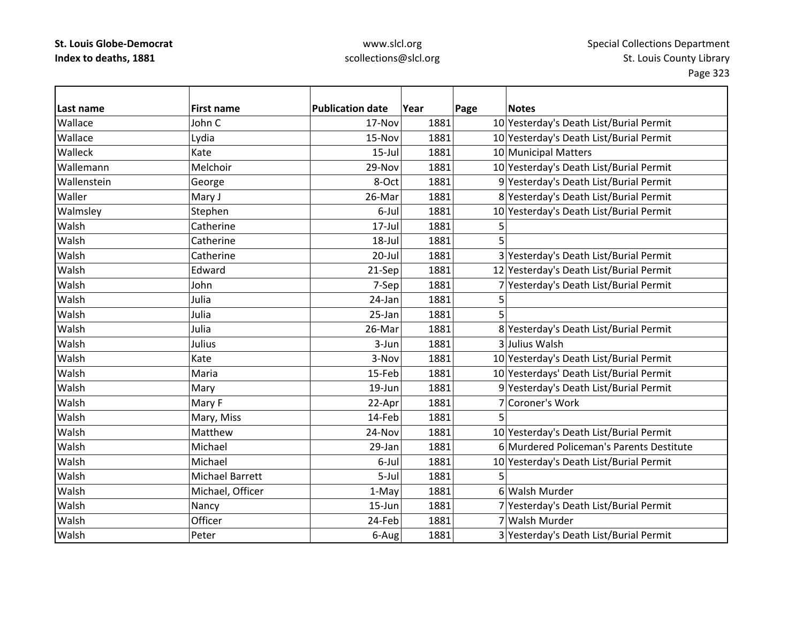### www.slcl.org scollections@slcl.org

**Last name First name Publication date Year Page Notes** WallaceJohn C 17-Nov 1881 10 Yesterday's Death List/Burial Permit WallaceLydia 15‐Nov 1881 10 Yesterday's Death List/Burial Permit Walleck Kate15-Jul 1881 10 Municipal Matters WallemannMelchoir 29-Nov 1881 10 Yesterday's Death List/Burial Permit WallensteinGeorge 8-Oct 1881 9 Yesterday's Death List/Burial Permit WallerMary J 26-Mar | 26-Mar | 1881 8 Yesterday's Death List/Burial Permit Walmsley Stephen 56-Jul 1881 10 Yesterday's Death List/Burial Permit WalshCatherine  $17$ -Jul  $1881$  5 WalshCatherine  $18$ -Jul  $18$ -Jul  $1881$  5 WalshCatherine 20–Jul 1881 3 Yesterday's Death List/Burial Permit WalshEdward 12 | 21‐Sep 1881 12 Yesterday's Death List/Burial Permit WalshJohn 7‐Sep 1881 7 Yesterday's Death List/Burial Permit Walsh Julia 24‐Jan 1881 5 Walsh Julia 25‐Jan 1881 5 WalshJulia 26-Mar 1881 8 Yesterday's Death List/Burial Permit WalshJulius 1881 3-Jun 1881 3 Julius Walsh WalshKate 3-Nov 1881 10 Yesterday's Death List/Burial Permit WalshMaria 15‐Feb 1881 10 Yesterdays' Death List/Burial Permit WalshMary 19 19-Jun 1881 9 Yesterday's Death List/Burial Permit WalshMary F 22-Apr 1881 7 Coroner's Work WalshMary, Miss  $14$ -Feb  $1881$  5 Walsh Matthew24-Nov 1881 10 Yesterday's Death List/Burial Permit WalshMichael 29‐Jan 1881 6 Murdered Policeman's Parents Destitute WalshMichael 1881 6‐Jul 1881 10 Yesterday's Death List/Burial Permit WalshMichael Barrett 1881 5-Jul 1881 WalshMichael, Officer  $1-\text{May}$  1881 6 Walsh Murder WalshNancy 15‐Jun 1881 7 Yesterday's Death List/Burial Permit Walshh |Officer | 24-Feb| 1881| 7|Walsh 7 Walsh Murder WalshPeter 1881 6‐Aug 1881 3 Yesterday's Death List/Burial Permit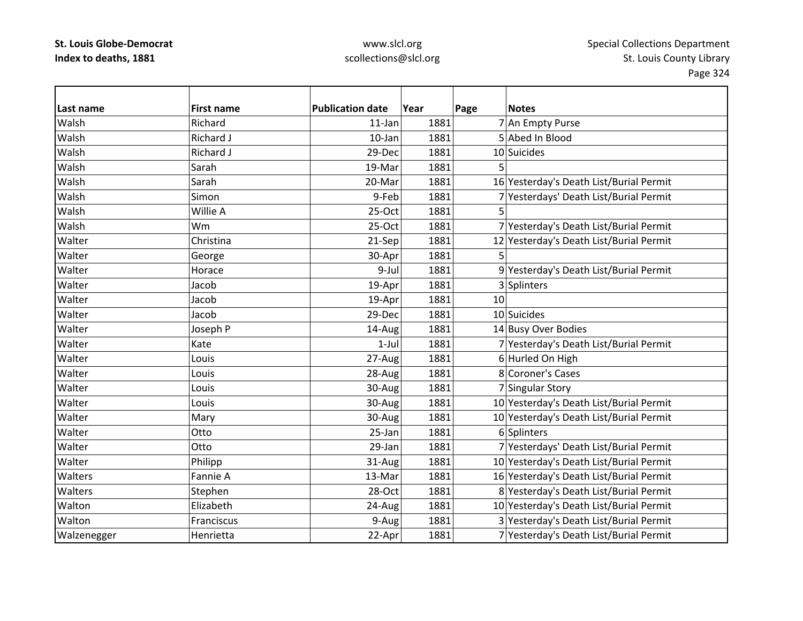| lLast name  | <b>First name</b> | <b>Publication date</b> | Year | Page | <b>Notes</b>                            |
|-------------|-------------------|-------------------------|------|------|-----------------------------------------|
| Walsh       | Richard           | $11$ -Jan               | 1881 |      | 7 An Empty Purse                        |
| Walsh       | <b>Richard J</b>  | 10-Jan                  | 1881 |      | 5 Abed In Blood                         |
| Walsh       | Richard J         | 29-Dec                  | 1881 |      | 10 Suicides                             |
| Walsh       | Sarah             | 19-Mar                  | 1881 | 5    |                                         |
| Walsh       | Sarah             | 20-Mar                  | 1881 |      | 16 Yesterday's Death List/Burial Permit |
| Walsh       | Simon             | 9-Feb                   | 1881 |      | 7 Yesterdays' Death List/Burial Permit  |
| Walsh       | Willie A          | 25-Oct                  | 1881 | 5    |                                         |
| Walsh       | Wm                | 25-Oct                  | 1881 |      | 7 Yesterday's Death List/Burial Permit  |
| Walter      | Christina         | 21-Sep                  | 1881 |      | 12 Yesterday's Death List/Burial Permit |
| Walter      | George            | 30-Apr                  | 1881 | 5    |                                         |
| Walter      | Horace            | 9-Jul                   | 1881 |      | 9 Yesterday's Death List/Burial Permit  |
| Walter      | Jacob             | 19-Apr                  | 1881 |      | 3 Splinters                             |
| Walter      | Jacob             | 19-Apr                  | 1881 | 10   |                                         |
| Walter      | Jacob             | 29-Dec                  | 1881 |      | 10 Suicides                             |
| Walter      | Joseph P          | 14-Aug                  | 1881 |      | 14 Busy Over Bodies                     |
| Walter      | Kate              | $1$ -Jul                | 1881 |      | 7 Yesterday's Death List/Burial Permit  |
| Walter      | Louis             | 27-Aug                  | 1881 |      | 6 Hurled On High                        |
| Walter      | Louis             | 28-Aug                  | 1881 |      | 8 Coroner's Cases                       |
| Walter      | Louis             | 30-Aug                  | 1881 |      | 7 Singular Story                        |
| Walter      | Louis             | 30-Aug                  | 1881 |      | 10 Yesterday's Death List/Burial Permit |
| Walter      | Mary              | 30-Aug                  | 1881 |      | 10 Yesterday's Death List/Burial Permit |
| Walter      | Otto              | 25-Jan                  | 1881 |      | 6 Splinters                             |
| Walter      | Otto              | 29-Jan                  | 1881 |      | 7 Yesterdays' Death List/Burial Permit  |
| Walter      | Philipp           | 31-Aug                  | 1881 |      | 10 Yesterday's Death List/Burial Permit |
| Walters     | Fannie A          | 13-Mar                  | 1881 |      | 16 Yesterday's Death List/Burial Permit |
| Walters     | Stephen           | 28-Oct                  | 1881 |      | 8 Yesterday's Death List/Burial Permit  |
| Walton      | Elizabeth         | 24-Aug                  | 1881 |      | 10 Yesterday's Death List/Burial Permit |
| Walton      | Franciscus        | 9-Aug                   | 1881 |      | 3 Yesterday's Death List/Burial Permit  |
| Walzenegger | Henrietta         | 22-Apr                  | 1881 |      | 7 Yesterday's Death List/Burial Permit  |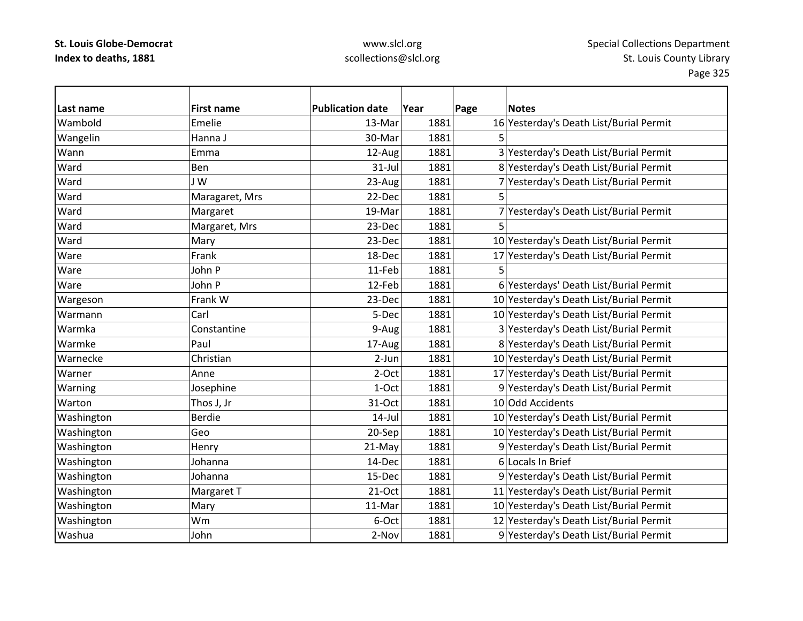## www.slcl.org scollections@slcl.org

 $\overline{\phantom{0}}$ 

| Last name  | <b>First name</b> | <b>Publication date</b> | Year | Page | <b>Notes</b>                            |
|------------|-------------------|-------------------------|------|------|-----------------------------------------|
| Wambold    | Emelie            | 13-Mar                  | 1881 |      | 16 Yesterday's Death List/Burial Permit |
| Wangelin   | Hanna J           | 30-Mar                  | 1881 | 5    |                                         |
| Wann       | Emma              | 12-Aug                  | 1881 |      | 3 Yesterday's Death List/Burial Permit  |
| Ward       | Ben               | $31$ -Jul               | 1881 |      | 8 Yesterday's Death List/Burial Permit  |
| Ward       | J W               | 23-Aug                  | 1881 |      | 7 Yesterday's Death List/Burial Permit  |
| Ward       | Maragaret, Mrs    | 22-Dec                  | 1881 | 5    |                                         |
| Ward       | Margaret          | 19-Mar                  | 1881 |      | 7 Yesterday's Death List/Burial Permit  |
| Ward       | Margaret, Mrs     | 23-Dec                  | 1881 |      |                                         |
| Ward       | Mary              | 23-Dec                  | 1881 |      | 10 Yesterday's Death List/Burial Permit |
| Ware       | Frank             | 18-Dec                  | 1881 |      | 17 Yesterday's Death List/Burial Permit |
| Ware       | John P            | 11-Feb                  | 1881 | 5    |                                         |
| Ware       | John P            | 12-Feb                  | 1881 |      | 6 Yesterdays' Death List/Burial Permit  |
| Wargeson   | Frank W           | 23-Dec                  | 1881 |      | 10 Yesterday's Death List/Burial Permit |
| Warmann    | Carl              | 5-Dec                   | 1881 |      | 10 Yesterday's Death List/Burial Permit |
| Warmka     | Constantine       | 9-Aug                   | 1881 |      | 3 Yesterday's Death List/Burial Permit  |
| Warmke     | Paul              | 17-Aug                  | 1881 |      | 8 Yesterday's Death List/Burial Permit  |
| Warnecke   | Christian         | 2-Jun                   | 1881 |      | 10 Yesterday's Death List/Burial Permit |
| Warner     | Anne              | 2-Oct                   | 1881 |      | 17 Yesterday's Death List/Burial Permit |
| Warning    | Josephine         | 1-Oct                   | 1881 |      | 9 Yesterday's Death List/Burial Permit  |
| Warton     | Thos J, Jr        | 31-Oct                  | 1881 |      | 10 Odd Accidents                        |
| Washington | <b>Berdie</b>     | $14$ -Jul               | 1881 |      | 10 Yesterday's Death List/Burial Permit |
| Washington | Geo               | 20-Sep                  | 1881 |      | 10 Yesterday's Death List/Burial Permit |
| Washington | Henry             | 21-May                  | 1881 |      | 9 Yesterday's Death List/Burial Permit  |
| Washington | Johanna           | 14-Dec                  | 1881 |      | 6 Locals In Brief                       |
| Washington | Johanna           | 15-Dec                  | 1881 |      | 9 Yesterday's Death List/Burial Permit  |
| Washington | Margaret T        | $21-Oct$                | 1881 |      | 11 Yesterday's Death List/Burial Permit |
| Washington | Mary              | 11-Mar                  | 1881 |      | 10 Yesterday's Death List/Burial Permit |
| Washington | Wm                | 6-Oct                   | 1881 |      | 12 Yesterday's Death List/Burial Permit |
| Washua     | John              | 2-Nov                   | 1881 |      | 9 Yesterday's Death List/Burial Permit  |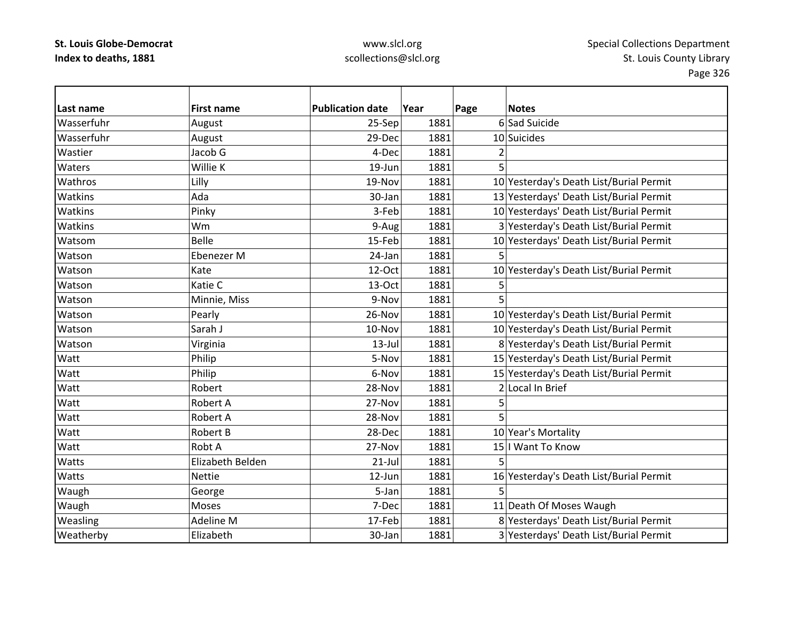## www.slcl.org scollections@slcl.org

 $\overline{\phantom{0}}$ 

| Last name  | <b>First name</b> | <b>Publication date</b> | Year | Page | <b>Notes</b>                            |
|------------|-------------------|-------------------------|------|------|-----------------------------------------|
| Wasserfuhr | August            | 25-Sep                  | 1881 |      | 6 Sad Suicide                           |
| Wasserfuhr | August            | 29-Dec                  | 1881 |      | 10 Suicides                             |
| Wastier    | Jacob G           | 4-Dec                   | 1881 | 2    |                                         |
| Waters     | Willie K          | 19-Jun                  | 1881 | 5    |                                         |
| Wathros    | Lilly             | 19-Nov                  | 1881 |      | 10 Yesterday's Death List/Burial Permit |
| Watkins    | Ada               | 30-Jan                  | 1881 |      | 13 Yesterdays' Death List/Burial Permit |
| Watkins    | Pinky             | 3-Feb                   | 1881 |      | 10 Yesterdays' Death List/Burial Permit |
| Watkins    | Wm                | 9-Aug                   | 1881 |      | 3 Yesterday's Death List/Burial Permit  |
| Watsom     | <b>Belle</b>      | 15-Feb                  | 1881 |      | 10 Yesterdays' Death List/Burial Permit |
| Watson     | Ebenezer M        | 24-Jan                  | 1881 | 5    |                                         |
| Watson     | Kate              | 12-Oct                  | 1881 |      | 10 Yesterday's Death List/Burial Permit |
| Watson     | Katie C           | 13-Oct                  | 1881 | 5    |                                         |
| Watson     | Minnie, Miss      | 9-Nov                   | 1881 |      |                                         |
| Watson     | Pearly            | 26-Nov                  | 1881 |      | 10 Yesterday's Death List/Burial Permit |
| Watson     | Sarah J           | 10-Nov                  | 1881 |      | 10 Yesterday's Death List/Burial Permit |
| Watson     | Virginia          | $13$ -Jul               | 1881 |      | 8 Yesterday's Death List/Burial Permit  |
| Watt       | Philip            | 5-Nov                   | 1881 |      | 15 Yesterday's Death List/Burial Permit |
| Watt       | Philip            | 6-Nov                   | 1881 |      | 15 Yesterday's Death List/Burial Permit |
| Watt       | Robert            | 28-Nov                  | 1881 |      | 2 Local In Brief                        |
| Watt       | Robert A          | 27-Nov                  | 1881 | 5    |                                         |
| Watt       | Robert A          | 28-Nov                  | 1881 | 5    |                                         |
| Watt       | Robert B          | 28-Dec                  | 1881 |      | 10 Year's Mortality                     |
| Watt       | Robt A            | 27-Nov                  | 1881 |      | 15   Want To Know                       |
| Watts      | Elizabeth Belden  | $21$ -Jul               | 1881 | 5    |                                         |
| Watts      | <b>Nettie</b>     | 12-Jun                  | 1881 |      | 16 Yesterday's Death List/Burial Permit |
| Waugh      | George            | 5-Jan                   | 1881 | 5    |                                         |
| Waugh      | Moses             | 7-Dec                   | 1881 |      | 11 Death Of Moses Waugh                 |
| Weasling   | Adeline M         | 17-Feb                  | 1881 |      | 8 Yesterdays' Death List/Burial Permit  |
| Weatherby  | Elizabeth         | 30-Jan                  | 1881 |      | 3 Yesterdays' Death List/Burial Permit  |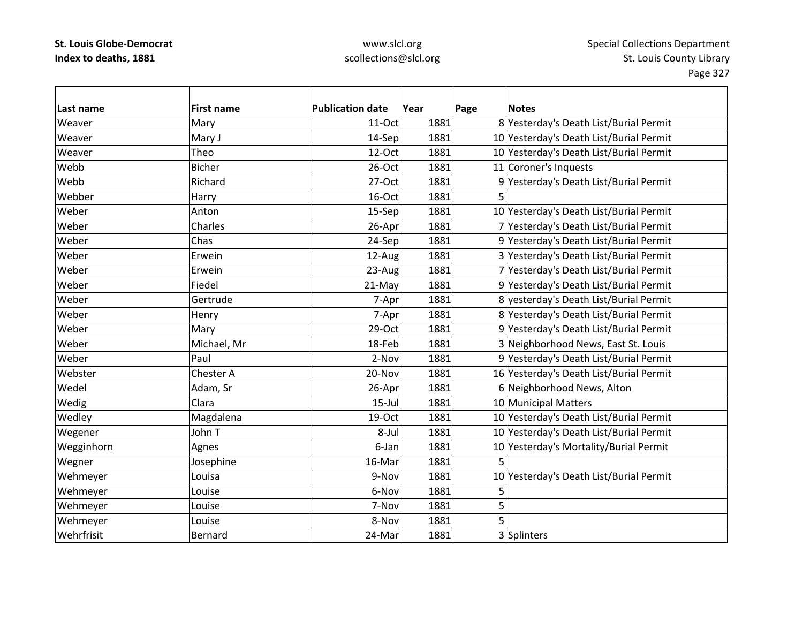| Last name  | <b>First name</b> | <b>Publication date</b> | Year | Page | <b>Notes</b>                            |
|------------|-------------------|-------------------------|------|------|-----------------------------------------|
| Weaver     | Mary              | 11-Oct                  | 1881 |      | 8 Yesterday's Death List/Burial Permit  |
| Weaver     | Mary J            | 14-Sep                  | 1881 |      | 10 Yesterday's Death List/Burial Permit |
| Weaver     | Theo              | 12-Oct                  | 1881 |      | 10 Yesterday's Death List/Burial Permit |
| Webb       | <b>Bicher</b>     | 26-Oct                  | 1881 |      | 11 Coroner's Inquests                   |
| Webb       | Richard           | 27-Oct                  | 1881 |      | 9 Yesterday's Death List/Burial Permit  |
| Webber     | Harry             | 16-Oct                  | 1881 |      |                                         |
| Weber      | Anton             | 15-Sep                  | 1881 |      | 10 Yesterday's Death List/Burial Permit |
| Weber      | Charles           | 26-Apr                  | 1881 |      | 7 Yesterday's Death List/Burial Permit  |
| Weber      | Chas              | 24-Sep                  | 1881 |      | 9 Yesterday's Death List/Burial Permit  |
| Weber      | Erwein            | 12-Aug                  | 1881 |      | 3 Yesterday's Death List/Burial Permit  |
| Weber      | Erwein            | 23-Aug                  | 1881 |      | 7 Yesterday's Death List/Burial Permit  |
| Weber      | Fiedel            | 21-May                  | 1881 |      | 9 Yesterday's Death List/Burial Permit  |
| Weber      | Gertrude          | 7-Apr                   | 1881 |      | 8 yesterday's Death List/Burial Permit  |
| Weber      | Henry             | 7-Apr                   | 1881 |      | 8 Yesterday's Death List/Burial Permit  |
| Weber      | Mary              | $29-Oct$                | 1881 |      | 9 Yesterday's Death List/Burial Permit  |
| Weber      | Michael, Mr       | 18-Feb                  | 1881 |      | 3 Neighborhood News, East St. Louis     |
| Weber      | Paul              | 2-Nov                   | 1881 |      | 9 Yesterday's Death List/Burial Permit  |
| Webster    | Chester A         | 20-Nov                  | 1881 |      | 16 Yesterday's Death List/Burial Permit |
| Wedel      | Adam, Sr          | 26-Apr                  | 1881 |      | 6 Neighborhood News, Alton              |
| Wedig      | Clara             | $15$ -Jul               | 1881 |      | 10 Municipal Matters                    |
| Wedley     | Magdalena         | 19-Oct                  | 1881 |      | 10 Yesterday's Death List/Burial Permit |
| Wegener    | John T            | 8-Jul                   | 1881 |      | 10 Yesterday's Death List/Burial Permit |
| Wegginhorn | Agnes             | 6-Jan                   | 1881 |      | 10 Yesterday's Mortality/Burial Permit  |
| Wegner     | Josephine         | 16-Mar                  | 1881 | 5    |                                         |
| Wehmeyer   | Louisa            | 9-Nov                   | 1881 |      | 10 Yesterday's Death List/Burial Permit |
| Wehmeyer   | Louise            | 6-Nov                   | 1881 | 5    |                                         |
| Wehmeyer   | Louise            | 7-Nov                   | 1881 | 5    |                                         |
| Wehmeyer   | Louise            | 8-Nov                   | 1881 | 5    |                                         |
| Wehrfrisit | Bernard           | 24-Mar                  | 1881 |      | 3 Splinters                             |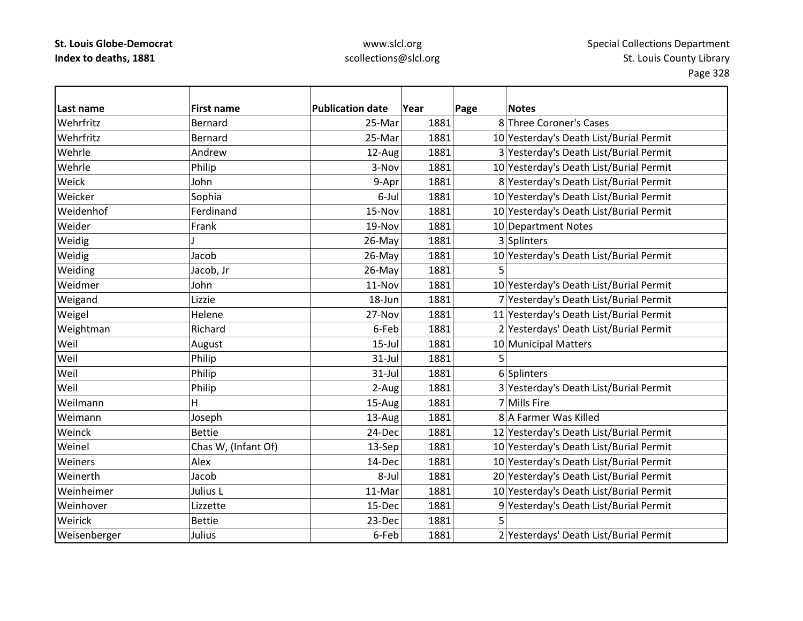| l Last name  | <b>First name</b>   | <b>Publication date</b> | Year | Page | <b>Notes</b>                            |
|--------------|---------------------|-------------------------|------|------|-----------------------------------------|
| Wehrfritz    | Bernard             | 25-Mar                  | 1881 |      | 8 Three Coroner's Cases                 |
| Wehrfritz    | Bernard             | 25-Mar                  | 1881 |      | 10 Yesterday's Death List/Burial Permit |
| Wehrle       | Andrew              | 12-Aug                  | 1881 |      | 3 Yesterday's Death List/Burial Permit  |
| Wehrle       | Philip              | 3-Nov                   | 1881 |      | 10 Yesterday's Death List/Burial Permit |
| Weick        | John                | 9-Apr                   | 1881 |      | 8 Yesterday's Death List/Burial Permit  |
| Weicker      | Sophia              | 6-Jul                   | 1881 |      | 10 Yesterday's Death List/Burial Permit |
| Weidenhof    | Ferdinand           | 15-Nov                  | 1881 |      | 10 Yesterday's Death List/Burial Permit |
| Weider       | Frank               | 19-Nov                  | 1881 |      | 10 Department Notes                     |
| Weidig       |                     | 26-May                  | 1881 |      | 3 Splinters                             |
| Weidig       | Jacob               | 26-May                  | 1881 |      | 10 Yesterday's Death List/Burial Permit |
| Weiding      | Jacob, Jr           | 26-May                  | 1881 | 5    |                                         |
| Weidmer      | John                | 11-Nov                  | 1881 |      | 10 Yesterday's Death List/Burial Permit |
| Weigand      | Lizzie              | 18-Jun                  | 1881 |      | 7 Yesterday's Death List/Burial Permit  |
| Weigel       | Helene              | 27-Nov                  | 1881 |      | 11 Yesterday's Death List/Burial Permit |
| Weightman    | Richard             | 6-Feb                   | 1881 |      | 2 Yesterdays' Death List/Burial Permit  |
| Weil         | August              | $15$ -Jul               | 1881 |      | 10 Municipal Matters                    |
| Weil         | Philip              | $31$ -Jul               | 1881 |      |                                         |
| Weil         | Philip              | $31$ -Jul               | 1881 |      | 6 Splinters                             |
| Weil         | Philip              | 2-Aug                   | 1881 |      | 3 Yesterday's Death List/Burial Permit  |
| Weilmann     | H                   | 15-Aug                  | 1881 |      | 7 Mills Fire                            |
| Weimann      | Joseph              | 13-Aug                  | 1881 |      | 8 A Farmer Was Killed                   |
| Weinck       | <b>Bettie</b>       | 24-Dec                  | 1881 |      | 12 Yesterday's Death List/Burial Permit |
| Weinel       | Chas W, (Infant Of) | 13-Sep                  | 1881 |      | 10 Yesterday's Death List/Burial Permit |
| Weiners      | Alex                | 14-Dec                  | 1881 |      | 10 Yesterday's Death List/Burial Permit |
| Weinerth     | Jacob               | 8-Jul                   | 1881 |      | 20 Yesterday's Death List/Burial Permit |
| Weinheimer   | Julius L            | 11-Mar                  | 1881 |      | 10 Yesterday's Death List/Burial Permit |
| Weinhover    | Lizzette            | 15-Dec                  | 1881 |      | 9 Yesterday's Death List/Burial Permit  |
| Weirick      | <b>Bettie</b>       | 23-Dec                  | 1881 | 5    |                                         |
| Weisenberger | Julius              | 6-Feb                   | 1881 |      | 2 Yesterdays' Death List/Burial Permit  |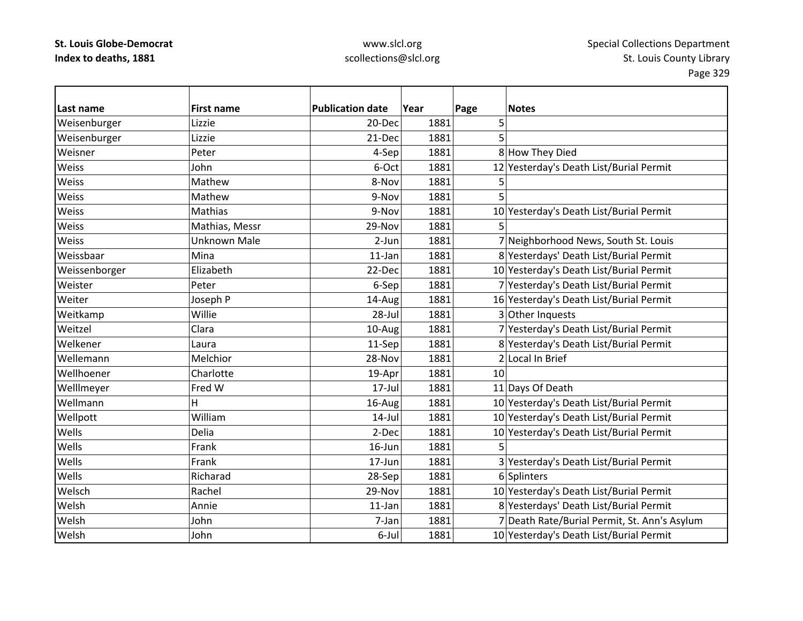| lLast name    | <b>First name</b>   | <b>Publication date</b> | Year | Page | <b>Notes</b>                                 |
|---------------|---------------------|-------------------------|------|------|----------------------------------------------|
| Weisenburger  | Lizzie              | 20-Dec                  | 1881 | 5    |                                              |
| Weisenburger  | Lizzie              | 21-Dec                  | 1881 | 5    |                                              |
| Weisner       | Peter               | 4-Sep                   | 1881 |      | 8 How They Died                              |
| Weiss         | John                | 6-Oct                   | 1881 |      | 12 Yesterday's Death List/Burial Permit      |
| Weiss         | Mathew              | 8-Nov                   | 1881 | 5    |                                              |
| Weiss         | Mathew              | 9-Nov                   | 1881 | 5    |                                              |
| Weiss         | Mathias             | 9-Nov                   | 1881 |      | 10 Yesterday's Death List/Burial Permit      |
| Weiss         | Mathias, Messr      | 29-Nov                  | 1881 |      |                                              |
| Weiss         | <b>Unknown Male</b> | $2-Jun$                 | 1881 |      | 7 Neighborhood News, South St. Louis         |
| Weissbaar     | Mina                | 11-Jan                  | 1881 |      | 8 Yesterdays' Death List/Burial Permit       |
| Weissenborger | Elizabeth           | 22-Dec                  | 1881 |      | 10 Yesterday's Death List/Burial Permit      |
| Weister       | Peter               | 6-Sep                   | 1881 |      | 7 Yesterday's Death List/Burial Permit       |
| Weiter        | Joseph P            | 14-Aug                  | 1881 |      | 16 Yesterday's Death List/Burial Permit      |
| Weitkamp      | Willie              | 28-Jul                  | 1881 |      | 3 Other Inquests                             |
| Weitzel       | Clara               | 10-Aug                  | 1881 |      | 7 Yesterday's Death List/Burial Permit       |
| Welkener      | Laura               | 11-Sep                  | 1881 |      | 8 Yesterday's Death List/Burial Permit       |
| Wellemann     | Melchior            | 28-Nov                  | 1881 |      | 2 Local In Brief                             |
| Wellhoener    | Charlotte           | 19-Apr                  | 1881 | 10   |                                              |
| Welllmeyer    | Fred W              | $17$ -Jul               | 1881 |      | 11 Days Of Death                             |
| Wellmann      | H                   | 16-Aug                  | 1881 |      | 10 Yesterday's Death List/Burial Permit      |
| Wellpott      | William             | $14$ -Jul               | 1881 |      | 10 Yesterday's Death List/Burial Permit      |
| Wells         | Delia               | 2-Dec                   | 1881 |      | 10 Yesterday's Death List/Burial Permit      |
| Wells         | Frank               | $16$ -Jun               | 1881 |      |                                              |
| Wells         | Frank               | 17-Jun                  | 1881 |      | 3 Yesterday's Death List/Burial Permit       |
| Wells         | Richarad            | 28-Sep                  | 1881 |      | 6 Splinters                                  |
| Welsch        | Rachel              | 29-Nov                  | 1881 |      | 10 Yesterday's Death List/Burial Permit      |
| Welsh         | Annie               | $11$ -Jan               | 1881 |      | 8 Yesterdays' Death List/Burial Permit       |
| Welsh         | John                | 7-Jan                   | 1881 |      | 7 Death Rate/Burial Permit, St. Ann's Asylum |
| Welsh         | John                | 6-Jul                   | 1881 |      | 10 Yesterday's Death List/Burial Permit      |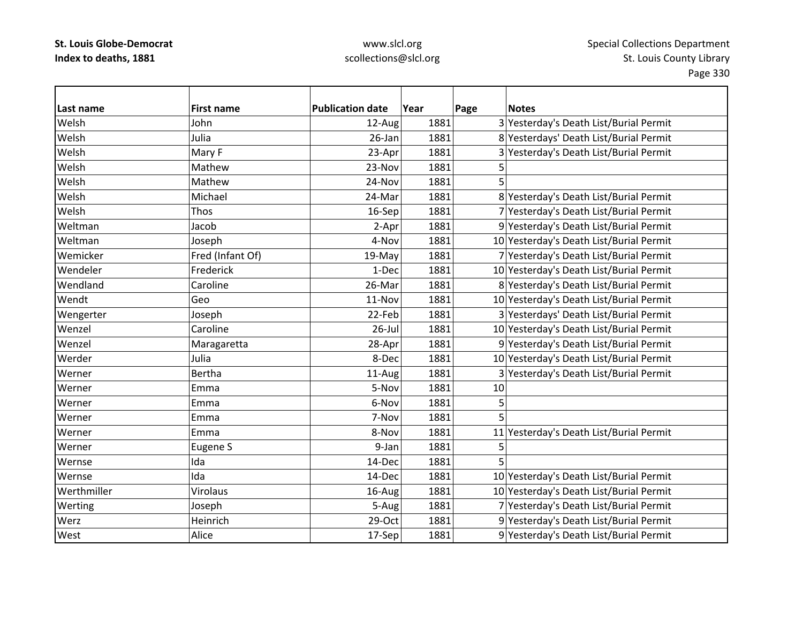| Last name   | <b>First name</b> | <b>Publication date</b> | Year | Page | <b>Notes</b>                            |
|-------------|-------------------|-------------------------|------|------|-----------------------------------------|
| Welsh       | John              | 12-Aug                  | 1881 |      | 3 Yesterday's Death List/Burial Permit  |
| Welsh       | Julia             | 26-Jan                  | 1881 |      | 8 Yesterdays' Death List/Burial Permit  |
| Welsh       | Mary F            | 23-Apr                  | 1881 |      | 3 Yesterday's Death List/Burial Permit  |
| Welsh       | Mathew            | 23-Nov                  | 1881 |      |                                         |
| Welsh       | Mathew            | 24-Nov                  | 1881 |      |                                         |
| Welsh       | Michael           | 24-Mar                  | 1881 |      | 8 Yesterday's Death List/Burial Permit  |
| Welsh       | Thos              | 16-Sep                  | 1881 |      | 7 Yesterday's Death List/Burial Permit  |
| Weltman     | Jacob             | 2-Apr                   | 1881 |      | 9 Yesterday's Death List/Burial Permit  |
| Weltman     | Joseph            | 4-Nov                   | 1881 |      | 10 Yesterday's Death List/Burial Permit |
| Wemicker    | Fred (Infant Of)  | 19-May                  | 1881 |      | 7 Yesterday's Death List/Burial Permit  |
| Wendeler    | Frederick         | 1-Dec                   | 1881 |      | 10 Yesterday's Death List/Burial Permit |
| Wendland    | Caroline          | 26-Mar                  | 1881 |      | 8 Yesterday's Death List/Burial Permit  |
| Wendt       | Geo               | 11-Nov                  | 1881 |      | 10 Yesterday's Death List/Burial Permit |
| Wengerter   | Joseph            | 22-Feb                  | 1881 |      | 3 Yesterdays' Death List/Burial Permit  |
| Wenzel      | Caroline          | $26$ -Jul               | 1881 |      | 10 Yesterday's Death List/Burial Permit |
| Wenzel      | Maragaretta       | 28-Apr                  | 1881 |      | 9 Yesterday's Death List/Burial Permit  |
| Werder      | Julia             | 8-Dec                   | 1881 |      | 10 Yesterday's Death List/Burial Permit |
| Werner      | Bertha            | 11-Aug                  | 1881 |      | 3 Yesterday's Death List/Burial Permit  |
| Werner      | Emma              | 5-Nov                   | 1881 | 10   |                                         |
| Werner      | Emma              | 6-Nov                   | 1881 | 5    |                                         |
| Werner      | Emma              | 7-Nov                   | 1881 | 5    |                                         |
| Werner      | Emma              | 8-Nov                   | 1881 |      | 11 Yesterday's Death List/Burial Permit |
| Werner      | Eugene S          | 9-Jan                   | 1881 | 5    |                                         |
| Wernse      | Ida               | 14-Dec                  | 1881 | 5    |                                         |
| Wernse      | Ida               | 14-Dec                  | 1881 |      | 10 Yesterday's Death List/Burial Permit |
| Werthmiller | <b>Virolaus</b>   | 16-Aug                  | 1881 |      | 10 Yesterday's Death List/Burial Permit |
| Werting     | Joseph            | 5-Aug                   | 1881 |      | 7 Yesterday's Death List/Burial Permit  |
| Werz        | Heinrich          | 29-Oct                  | 1881 |      | 9 Yesterday's Death List/Burial Permit  |
| West        | Alice             | 17-Sep                  | 1881 |      | 9 Yesterday's Death List/Burial Permit  |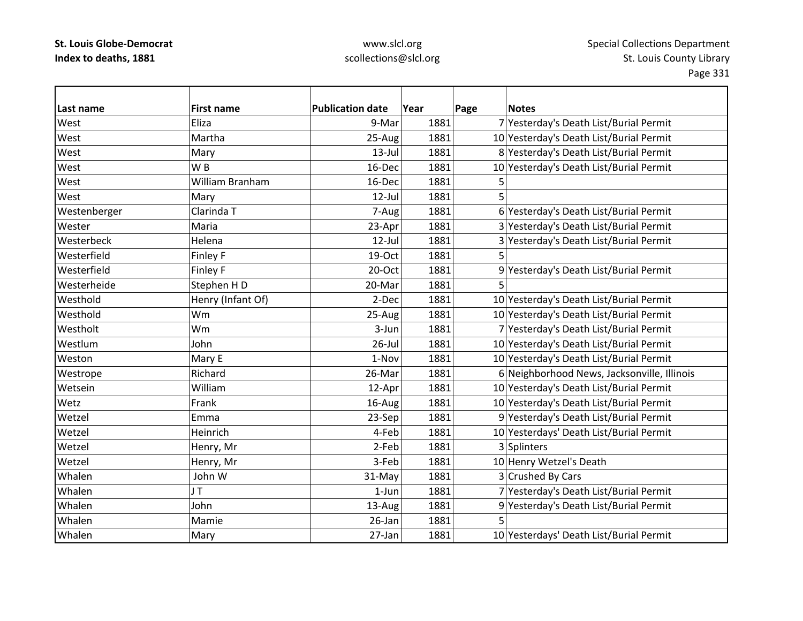| Last name    | <b>First name</b>     | <b>Publication date</b> | Year | Page | <b>Notes</b>                                |
|--------------|-----------------------|-------------------------|------|------|---------------------------------------------|
| West         | Eliza                 | 9-Mar                   | 1881 |      | 7 Yesterday's Death List/Burial Permit      |
| West         | Martha                | 25-Aug                  | 1881 |      | 10 Yesterday's Death List/Burial Permit     |
| West         | Mary                  | $13$ -Jul               | 1881 |      | 8 Yesterday's Death List/Burial Permit      |
| West         | W <sub>B</sub>        | 16-Dec                  | 1881 |      | 10 Yesterday's Death List/Burial Permit     |
| West         | William Branham       | 16-Dec                  | 1881 | 5    |                                             |
| West         | Mary                  | $12$ -Jul               | 1881 | 5    |                                             |
| Westenberger | Clarinda <sub>T</sub> | 7-Aug                   | 1881 |      | 6 Yesterday's Death List/Burial Permit      |
| Wester       | Maria                 | 23-Apr                  | 1881 |      | 3 Yesterday's Death List/Burial Permit      |
| Westerbeck   | Helena                | 12-Jul                  | 1881 |      | 3 Yesterday's Death List/Burial Permit      |
| Westerfield  | Finley F              | 19-Oct                  | 1881 | 5    |                                             |
| Westerfield  | Finley F              | 20-Oct                  | 1881 |      | 9 Yesterday's Death List/Burial Permit      |
| Westerheide  | Stephen HD            | 20-Mar                  | 1881 | 5    |                                             |
| Westhold     | Henry (Infant Of)     | 2-Dec                   | 1881 |      | 10 Yesterday's Death List/Burial Permit     |
| Westhold     | Wm                    | 25-Aug                  | 1881 |      | 10 Yesterday's Death List/Burial Permit     |
| Westholt     | Wm                    | 3-Jun                   | 1881 |      | 7 Yesterday's Death List/Burial Permit      |
| Westlum      | John                  | $26$ -Jul               | 1881 |      | 10 Yesterday's Death List/Burial Permit     |
| Weston       | Mary E                | 1-Nov                   | 1881 |      | 10 Yesterday's Death List/Burial Permit     |
| Westrope     | Richard               | 26-Mar                  | 1881 |      | 6 Neighborhood News, Jacksonville, Illinois |
| Wetsein      | William               | 12-Apr                  | 1881 |      | 10 Yesterday's Death List/Burial Permit     |
| Wetz         | Frank                 | 16-Aug                  | 1881 |      | 10 Yesterday's Death List/Burial Permit     |
| Wetzel       | Emma                  | 23-Sep                  | 1881 |      | 9 Yesterday's Death List/Burial Permit      |
| Wetzel       | Heinrich              | 4-Feb                   | 1881 |      | 10 Yesterdays' Death List/Burial Permit     |
| Wetzel       | Henry, Mr             | 2-Feb                   | 1881 |      | 3 Splinters                                 |
| Wetzel       | Henry, Mr             | 3-Feb                   | 1881 |      | 10 Henry Wetzel's Death                     |
| Whalen       | John W                | 31-May                  | 1881 |      | 3 Crushed By Cars                           |
| Whalen       | JT                    | $1-Jun$                 | 1881 |      | 7 Yesterday's Death List/Burial Permit      |
| Whalen       | John                  | 13-Aug                  | 1881 |      | 9 Yesterday's Death List/Burial Permit      |
| Whalen       | Mamie                 | 26-Jan                  | 1881 | 5    |                                             |
| Whalen       | Mary                  | 27-Jan                  | 1881 |      | 10 Yesterdays' Death List/Burial Permit     |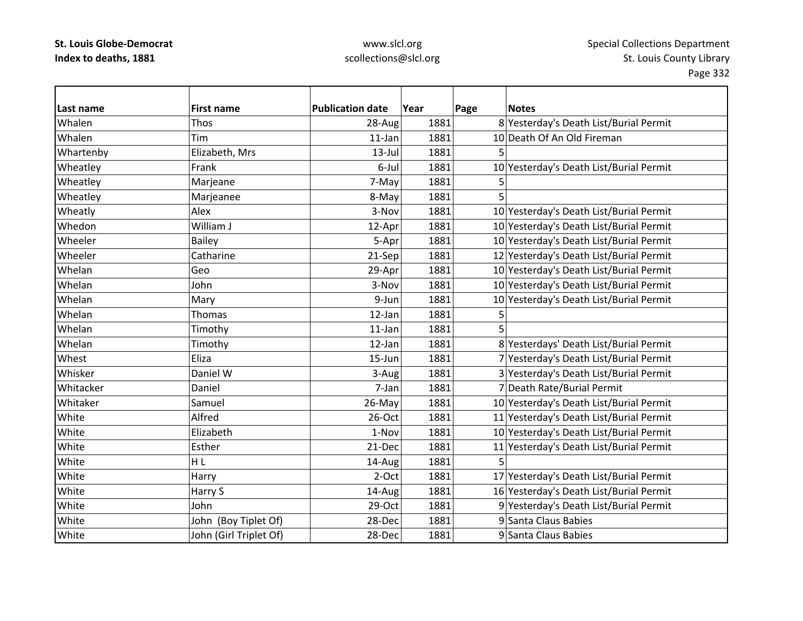| Last name | <b>First name</b>      | <b>Publication date</b> | Year | <b>Notes</b><br>Page                    |
|-----------|------------------------|-------------------------|------|-----------------------------------------|
| Whalen    | Thos                   | 28-Aug                  | 1881 | 8 Yesterday's Death List/Burial Permit  |
| Whalen    | Tim                    | 11-Jan                  | 1881 | 10 Death Of An Old Fireman              |
| Whartenby | Elizabeth, Mrs         | $13$ -Jul               | 1881 | 5                                       |
| Wheatley  | Frank                  | 6-Jul                   | 1881 | 10 Yesterday's Death List/Burial Permit |
| Wheatley  | Marjeane               | 7-May                   | 1881 | 5                                       |
| Wheatley  | Marjeanee              | 8-May                   | 1881 | 5                                       |
| Wheatly   | Alex                   | 3-Nov                   | 1881 | 10 Yesterday's Death List/Burial Permit |
| Whedon    | William J              | 12-Apr                  | 1881 | 10 Yesterday's Death List/Burial Permit |
| Wheeler   | Bailey                 | 5-Apr                   | 1881 | 10 Yesterday's Death List/Burial Permit |
| Wheeler   | Catharine              | 21-Sep                  | 1881 | 12 Yesterday's Death List/Burial Permit |
| Whelan    | Geo                    | 29-Apr                  | 1881 | 10 Yesterday's Death List/Burial Permit |
| Whelan    | John                   | 3-Nov                   | 1881 | 10 Yesterday's Death List/Burial Permit |
| Whelan    | Mary                   | 9-Jun                   | 1881 | 10 Yesterday's Death List/Burial Permit |
| Whelan    | Thomas                 | $12$ -Jan               | 1881 | 5                                       |
| Whelan    | Timothy                | $11$ -Jan               | 1881 | 5                                       |
| Whelan    | Timothy                | 12-Jan                  | 1881 | 8 Yesterdays' Death List/Burial Permit  |
| Whest     | Eliza                  | 15-Jun                  | 1881 | 7 Yesterday's Death List/Burial Permit  |
| Whisker   | Daniel W               | 3-Aug                   | 1881 | 3 Yesterday's Death List/Burial Permit  |
| Whitacker | Daniel                 | 7-Jan                   | 1881 | 7 Death Rate/Burial Permit              |
| Whitaker  | Samuel                 | 26-May                  | 1881 | 10 Yesterday's Death List/Burial Permit |
| White     | Alfred                 | 26-Oct                  | 1881 | 11 Yesterday's Death List/Burial Permit |
| White     | Elizabeth              | 1-Nov                   | 1881 | 10 Yesterday's Death List/Burial Permit |
| White     | Esther                 | 21-Dec                  | 1881 | 11 Yesterday's Death List/Burial Permit |
| White     | HL                     | 14-Aug                  | 1881 | 5                                       |
| White     | Harry                  | 2-Oct                   | 1881 | 17 Yesterday's Death List/Burial Permit |
| White     | Harry S                | 14-Aug                  | 1881 | 16 Yesterday's Death List/Burial Permit |
| White     | John                   | 29-Oct                  | 1881 | 9 Yesterday's Death List/Burial Permit  |
| White     | John (Boy Tiplet Of)   | 28-Dec                  | 1881 | 9 Santa Claus Babies                    |
| White     | John (Girl Triplet Of) | 28-Dec                  | 1881 | 9 Santa Claus Babies                    |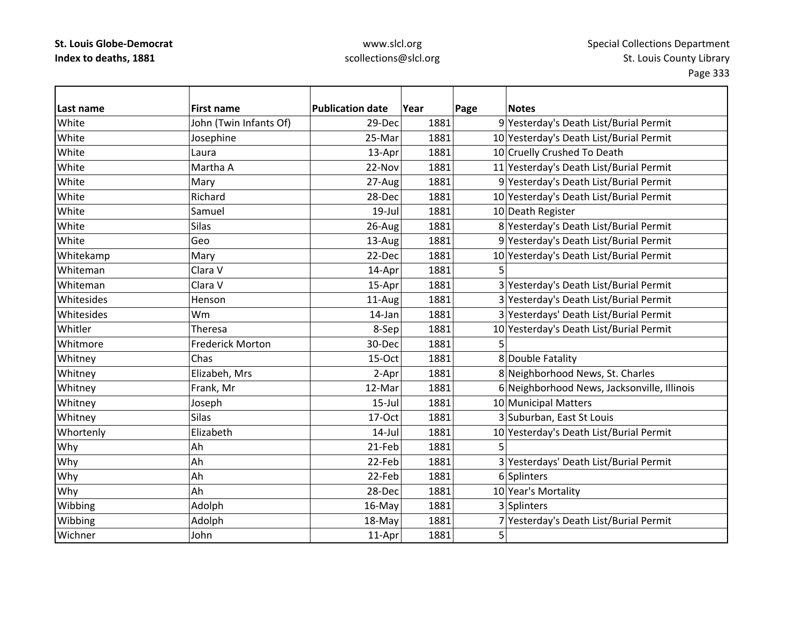| Last name  | <b>First name</b>       | <b>Publication date</b> | Year | Page | <b>Notes</b>                                |
|------------|-------------------------|-------------------------|------|------|---------------------------------------------|
| White      | John (Twin Infants Of)  | 29-Dec                  | 1881 |      | 9 Yesterday's Death List/Burial Permit      |
| White      | Josephine               | 25-Mar                  | 1881 |      | 10 Yesterday's Death List/Burial Permit     |
| White      | Laura                   | 13-Apr                  | 1881 |      | 10 Cruelly Crushed To Death                 |
| White      | Martha A                | 22-Nov                  | 1881 |      | 11 Yesterday's Death List/Burial Permit     |
| White      | Mary                    | 27-Aug                  | 1881 |      | 9 Yesterday's Death List/Burial Permit      |
| White      | Richard                 | 28-Dec                  | 1881 |      | 10 Yesterday's Death List/Burial Permit     |
| White      | Samuel                  | $19$ -Jul               | 1881 |      | 10 Death Register                           |
| White      | <b>Silas</b>            | 26-Aug                  | 1881 |      | 8 Yesterday's Death List/Burial Permit      |
| White      | Geo                     | 13-Aug                  | 1881 |      | 9 Yesterday's Death List/Burial Permit      |
| Whitekamp  | Mary                    | 22-Dec                  | 1881 |      | 10 Yesterday's Death List/Burial Permit     |
| Whiteman   | Clara V                 | 14-Apr                  | 1881 | 5    |                                             |
| Whiteman   | Clara V                 | 15-Apr                  | 1881 |      | 3 Yesterday's Death List/Burial Permit      |
| Whitesides | Henson                  | 11-Aug                  | 1881 |      | 3 Yesterday's Death List/Burial Permit      |
| Whitesides | Wm                      | 14-Jan                  | 1881 |      | 3 Yesterdays' Death List/Burial Permit      |
| Whitler    | Theresa                 | 8-Sep                   | 1881 |      | 10 Yesterday's Death List/Burial Permit     |
| Whitmore   | <b>Frederick Morton</b> | 30-Dec                  | 1881 | 5    |                                             |
| Whitney    | Chas                    | 15-Oct                  | 1881 |      | 8 Double Fatality                           |
| Whitney    | Elizabeh, Mrs           | 2-Apr                   | 1881 |      | 8 Neighborhood News, St. Charles            |
| Whitney    | Frank, Mr               | 12-Mar                  | 1881 |      | 6 Neighborhood News, Jacksonville, Illinois |
| Whitney    | Joseph                  | $15$ -Jul               | 1881 |      | 10 Municipal Matters                        |
| Whitney    | <b>Silas</b>            | 17-Oct                  | 1881 |      | 3 Suburban, East St Louis                   |
| Whortenly  | Elizabeth               | $14$ -Jul               | 1881 |      | 10 Yesterday's Death List/Burial Permit     |
| Why        | Ah                      | 21-Feb                  | 1881 | 5    |                                             |
| Why        | Ah                      | 22-Feb                  | 1881 |      | 3 Yesterdays' Death List/Burial Permit      |
| Why        | Ah                      | 22-Feb                  | 1881 |      | 6 Splinters                                 |
| Why        | Ah                      | 28-Dec                  | 1881 |      | 10 Year's Mortality                         |
| Wibbing    | Adolph                  | 16-May                  | 1881 |      | 3 Splinters                                 |
| Wibbing    | Adolph                  | 18-May                  | 1881 |      | 7 Yesterday's Death List/Burial Permit      |
| Wichner    | John                    | 11-Apr                  | 1881 | 5    |                                             |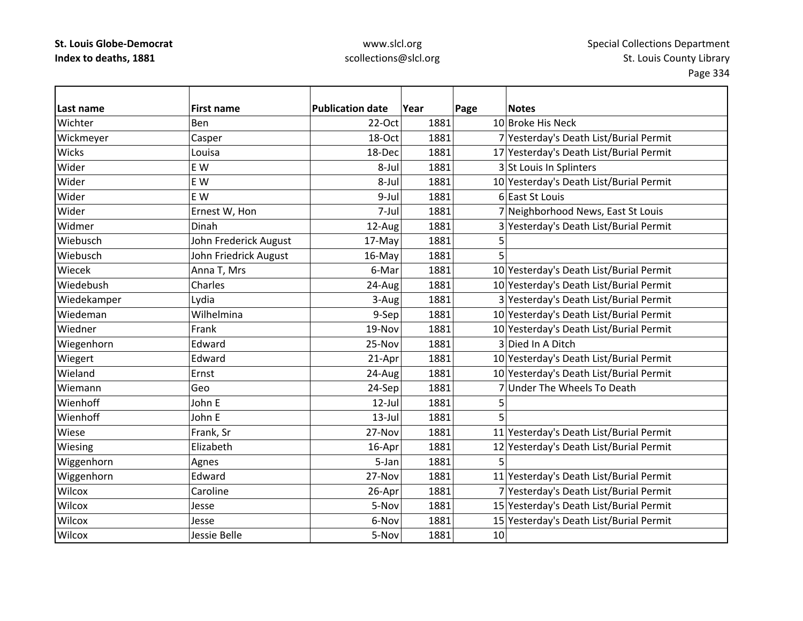| lLast name   | <b>First name</b>     | <b>Publication date</b> | Year | Page | <b>Notes</b>                            |
|--------------|-----------------------|-------------------------|------|------|-----------------------------------------|
| Wichter      | Ben                   | 22-Oct                  | 1881 |      | 10 Broke His Neck                       |
| Wickmeyer    | Casper                | 18-Oct                  | 1881 |      | 7 Yesterday's Death List/Burial Permit  |
| <b>Wicks</b> | Louisa                | 18-Dec                  | 1881 |      | 17 Yesterday's Death List/Burial Permit |
| Wider        | E W                   | 8-Jul                   | 1881 |      | 3 St Louis In Splinters                 |
| Wider        | E W                   | 8-Jul                   | 1881 |      | 10 Yesterday's Death List/Burial Permit |
| Wider        | E W                   | 9-Jul                   | 1881 |      | 6 East St Louis                         |
| Wider        | Ernest W, Hon         | 7-Jul                   | 1881 |      | 7 Neighborhood News, East St Louis      |
| Widmer       | Dinah                 | 12-Aug                  | 1881 |      | 3 Yesterday's Death List/Burial Permit  |
| Wiebusch     | John Frederick August | 17-May                  | 1881 | 5    |                                         |
| Wiebusch     | John Friedrick August | 16-May                  | 1881 | 5    |                                         |
| Wiecek       | Anna T, Mrs           | 6-Mar                   | 1881 |      | 10 Yesterday's Death List/Burial Permit |
| Wiedebush    | Charles               | 24-Aug                  | 1881 |      | 10 Yesterday's Death List/Burial Permit |
| Wiedekamper  | Lydia                 | 3-Aug                   | 1881 |      | 3 Yesterday's Death List/Burial Permit  |
| Wiedeman     | Wilhelmina            | 9-Sep                   | 1881 |      | 10 Yesterday's Death List/Burial Permit |
| Wiedner      | Frank                 | 19-Nov                  | 1881 |      | 10 Yesterday's Death List/Burial Permit |
| Wiegenhorn   | Edward                | 25-Nov                  | 1881 |      | 3 Died In A Ditch                       |
| Wiegert      | Edward                | 21-Apr                  | 1881 |      | 10 Yesterday's Death List/Burial Permit |
| Wieland      | Ernst                 | 24-Aug                  | 1881 |      | 10 Yesterday's Death List/Burial Permit |
| Wiemann      | Geo                   | 24-Sep                  | 1881 |      | 7 Under The Wheels To Death             |
| Wienhoff     | John E                | $12$ -Jul               | 1881 | 5    |                                         |
| Wienhoff     | John E                | $13$ -Jul               | 1881 | 5    |                                         |
| Wiese        | Frank, Sr             | 27-Nov                  | 1881 |      | 11 Yesterday's Death List/Burial Permit |
| Wiesing      | Elizabeth             | 16-Apr                  | 1881 |      | 12 Yesterday's Death List/Burial Permit |
| Wiggenhorn   | Agnes                 | 5-Jan                   | 1881 | 5    |                                         |
| Wiggenhorn   | Edward                | 27-Nov                  | 1881 |      | 11 Yesterday's Death List/Burial Permit |
| Wilcox       | Caroline              | 26-Apr                  | 1881 |      | 7 Yesterday's Death List/Burial Permit  |
| Wilcox       | Jesse                 | 5-Nov                   | 1881 |      | 15 Yesterday's Death List/Burial Permit |
| Wilcox       | Jesse                 | 6-Nov                   | 1881 |      | 15 Yesterday's Death List/Burial Permit |
| Wilcox       | Jessie Belle          | 5-Nov                   | 1881 | 10   |                                         |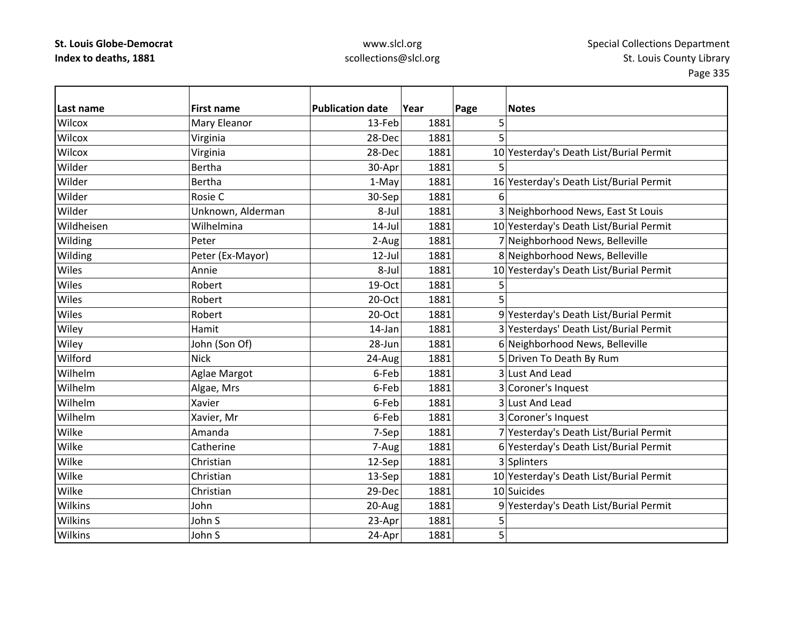## www.slcl.org scollections@slcl.org

 $\overline{\phantom{a}}$ 

| Last name      | <b>First name</b> | <b>Publication date</b> | Year | Page | <b>Notes</b>                            |
|----------------|-------------------|-------------------------|------|------|-----------------------------------------|
| Wilcox         | Mary Eleanor      | 13-Feb                  | 1881 | 5    |                                         |
| Wilcox         | Virginia          | 28-Dec                  | 1881 | 5    |                                         |
| Wilcox         | Virginia          | 28-Dec                  | 1881 |      | 10 Yesterday's Death List/Burial Permit |
| Wilder         | <b>Bertha</b>     | 30-Apr                  | 1881 | 5    |                                         |
| Wilder         | <b>Bertha</b>     | 1-May                   | 1881 |      | 16 Yesterday's Death List/Burial Permit |
| Wilder         | Rosie C           | 30-Sep                  | 1881 | 6    |                                         |
| Wilder         | Unknown, Alderman | 8-Jul                   | 1881 |      | 3 Neighborhood News, East St Louis      |
| Wildheisen     | Wilhelmina        | $14$ -Jul               | 1881 |      | 10 Yesterday's Death List/Burial Permit |
| Wilding        | Peter             | 2-Aug                   | 1881 |      | 7 Neighborhood News, Belleville         |
| Wilding        | Peter (Ex-Mayor)  | $12$ -Jul               | 1881 |      | 8 Neighborhood News, Belleville         |
| Wiles          | Annie             | 8-Jul                   | 1881 |      | 10 Yesterday's Death List/Burial Permit |
| Wiles          | Robert            | 19-Oct                  | 1881 |      |                                         |
| Wiles          | Robert            | 20-Oct                  | 1881 |      |                                         |
| Wiles          | Robert            | 20-Oct                  | 1881 |      | 9 Yesterday's Death List/Burial Permit  |
| Wiley          | Hamit             | 14-Jan                  | 1881 |      | 3 Yesterdays' Death List/Burial Permit  |
| Wiley          | John (Son Of)     | 28-Jun                  | 1881 |      | 6 Neighborhood News, Belleville         |
| Wilford        | <b>Nick</b>       | 24-Aug                  | 1881 |      | 5 Driven To Death By Rum                |
| Wilhelm        | Aglae Margot      | 6-Feb                   | 1881 |      | 3 Lust And Lead                         |
| Wilhelm        | Algae, Mrs        | 6-Feb                   | 1881 |      | 3 Coroner's Inquest                     |
| Wilhelm        | Xavier            | 6-Feb                   | 1881 |      | 3 Lust And Lead                         |
| Wilhelm        | Xavier, Mr        | 6-Feb                   | 1881 |      | 3 Coroner's Inquest                     |
| Wilke          | Amanda            | 7-Sep                   | 1881 |      | 7 Yesterday's Death List/Burial Permit  |
| Wilke          | Catherine         | 7-Aug                   | 1881 |      | 6 Yesterday's Death List/Burial Permit  |
| Wilke          | Christian         | 12-Sep                  | 1881 |      | 3 Splinters                             |
| Wilke          | Christian         | 13-Sep                  | 1881 |      | 10 Yesterday's Death List/Burial Permit |
| Wilke          | Christian         | 29-Dec                  | 1881 |      | 10 Suicides                             |
| <b>Wilkins</b> | John              | 20-Aug                  | 1881 |      | 9 Yesterday's Death List/Burial Permit  |
| Wilkins        | John S            | 23-Apr                  | 1881 | 5    |                                         |
| <b>Wilkins</b> | John S            | 24-Apr                  | 1881 | 5    |                                         |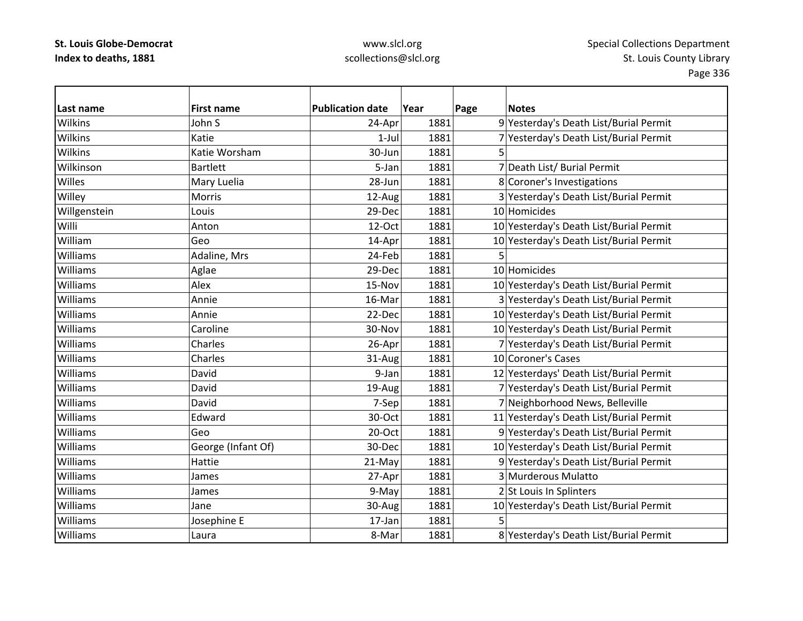## www.slcl.org scollections@slcl.org

 $\overline{\phantom{0}}$ 

| Last name       | <b>First name</b>  | <b>Publication date</b> | Year | Page | <b>Notes</b>                            |
|-----------------|--------------------|-------------------------|------|------|-----------------------------------------|
| Wilkins         | John S             | 24-Apr                  | 1881 |      | 9 Yesterday's Death List/Burial Permit  |
| Wilkins         | Katie              | $1-Jul$                 | 1881 |      | 7 Yesterday's Death List/Burial Permit  |
| Wilkins         | Katie Worsham      | 30-Jun                  | 1881 |      |                                         |
| Wilkinson       | <b>Bartlett</b>    | 5-Jan                   | 1881 |      | 7 Death List/ Burial Permit             |
| Willes          | Mary Luelia        | 28-Jun                  | 1881 |      | 8 Coroner's Investigations              |
| Willey          | Morris             | 12-Aug                  | 1881 |      | 3 Yesterday's Death List/Burial Permit  |
| Willgenstein    | Louis              | 29-Dec                  | 1881 |      | 10 Homicides                            |
| Willi           | Anton              | 12-Oct                  | 1881 |      | 10 Yesterday's Death List/Burial Permit |
| William         | Geo                | 14-Apr                  | 1881 |      | 10 Yesterday's Death List/Burial Permit |
| Williams        | Adaline, Mrs       | 24-Feb                  | 1881 | 5    |                                         |
| Williams        | Aglae              | 29-Dec                  | 1881 |      | 10 Homicides                            |
| Williams        | Alex               | 15-Nov                  | 1881 |      | 10 Yesterday's Death List/Burial Permit |
| Williams        | Annie              | 16-Mar                  | 1881 |      | 3 Yesterday's Death List/Burial Permit  |
| Williams        | Annie              | 22-Dec                  | 1881 |      | 10 Yesterday's Death List/Burial Permit |
| Williams        | Caroline           | 30-Nov                  | 1881 |      | 10 Yesterday's Death List/Burial Permit |
| Williams        | Charles            | 26-Apr                  | 1881 |      | 7 Yesterday's Death List/Burial Permit  |
| Williams        | Charles            | 31-Aug                  | 1881 |      | 10 Coroner's Cases                      |
| Williams        | David              | 9-Jan                   | 1881 |      | 12 Yesterdays' Death List/Burial Permit |
| Williams        | David              | 19-Aug                  | 1881 |      | 7 Yesterday's Death List/Burial Permit  |
| Williams        | David              | 7-Sep                   | 1881 |      | 7 Neighborhood News, Belleville         |
| Williams        | Edward             | 30-Oct                  | 1881 |      | 11 Yesterday's Death List/Burial Permit |
| Williams        | Geo                | 20-Oct                  | 1881 |      | 9 Yesterday's Death List/Burial Permit  |
| Williams        | George (Infant Of) | 30-Dec                  | 1881 |      | 10 Yesterday's Death List/Burial Permit |
| Williams        | Hattie             | 21-May                  | 1881 |      | 9 Yesterday's Death List/Burial Permit  |
| <b>Williams</b> | James              | 27-Apr                  | 1881 |      | 3 Murderous Mulatto                     |
| Williams        | James              | 9-May                   | 1881 |      | 2 St Louis In Splinters                 |
| Williams        | Jane               | 30-Aug                  | 1881 |      | 10 Yesterday's Death List/Burial Permit |
| Williams        | Josephine E        | 17-Jan                  | 1881 | 5    |                                         |
| Williams        | Laura              | 8-Mar                   | 1881 |      | 8 Yesterday's Death List/Burial Permit  |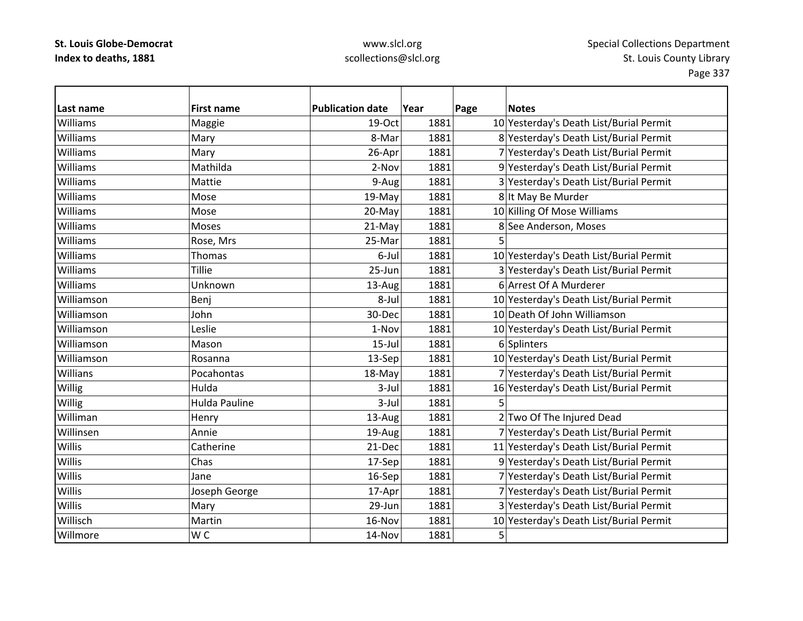## www.slcl.org scollections@slcl.org

 $\overline{\phantom{0}}$ 

| Last name     | <b>First name</b>    | <b>Publication date</b> | Year | Page | <b>Notes</b>                            |
|---------------|----------------------|-------------------------|------|------|-----------------------------------------|
| Williams      | Maggie               | 19-Oct                  | 1881 |      | 10 Yesterday's Death List/Burial Permit |
| Williams      | Mary                 | 8-Mar                   | 1881 |      | 8 Yesterday's Death List/Burial Permit  |
| Williams      | Mary                 | 26-Apr                  | 1881 |      | 7 Yesterday's Death List/Burial Permit  |
| Williams      | Mathilda             | 2-Nov                   | 1881 |      | 9 Yesterday's Death List/Burial Permit  |
| Williams      | Mattie               | 9-Aug                   | 1881 |      | 3 Yesterday's Death List/Burial Permit  |
| Williams      | Mose                 | 19-May                  | 1881 |      | 8 It May Be Murder                      |
| Williams      | Mose                 | 20-May                  | 1881 |      | 10 Killing Of Mose Williams             |
| Williams      | Moses                | 21-May                  | 1881 |      | 8 See Anderson, Moses                   |
| Williams      | Rose, Mrs            | 25-Mar                  | 1881 | 5    |                                         |
| Williams      | Thomas               | 6-Jul                   | 1881 |      | 10 Yesterday's Death List/Burial Permit |
| Williams      | <b>Tillie</b>        | 25-Jun                  | 1881 |      | 3 Yesterday's Death List/Burial Permit  |
| Williams      | Unknown              | 13-Aug                  | 1881 |      | 6 Arrest Of A Murderer                  |
| Williamson    | Benj                 | 8-Jul                   | 1881 |      | 10 Yesterday's Death List/Burial Permit |
| Williamson    | John                 | 30-Dec                  | 1881 |      | 10 Death Of John Williamson             |
| Williamson    | Leslie               | 1-Nov                   | 1881 |      | 10 Yesterday's Death List/Burial Permit |
| Williamson    | Mason                | $15$ -Jul               | 1881 |      | 6 Splinters                             |
| Williamson    | Rosanna              | 13-Sep                  | 1881 |      | 10 Yesterday's Death List/Burial Permit |
| Willians      | Pocahontas           | 18-May                  | 1881 |      | 7 Yesterday's Death List/Burial Permit  |
| Willig        | Hulda                | 3-Jul                   | 1881 |      | 16 Yesterday's Death List/Burial Permit |
| Willig        | <b>Hulda Pauline</b> | 3-Jul                   | 1881 | 5    |                                         |
| Williman      | Henry                | 13-Aug                  | 1881 |      | 2 Two Of The Injured Dead               |
| Willinsen     | Annie                | 19-Aug                  | 1881 |      | 7 Yesterday's Death List/Burial Permit  |
| Willis        | Catherine            | 21-Dec                  | 1881 |      | 11 Yesterday's Death List/Burial Permit |
| Willis        | Chas                 | 17-Sep                  | 1881 |      | 9 Yesterday's Death List/Burial Permit  |
| Willis        | Jane                 | 16-Sep                  | 1881 |      | 7 Yesterday's Death List/Burial Permit  |
| Willis        | Joseph George        | 17-Apr                  | 1881 |      | 7 Yesterday's Death List/Burial Permit  |
| <b>Willis</b> | Mary                 | 29-Jun                  | 1881 |      | 3 Yesterday's Death List/Burial Permit  |
| Willisch      | Martin               | 16-Nov                  | 1881 |      | 10 Yesterday's Death List/Burial Permit |
| Willmore      | W <sub>C</sub>       | 14-Nov                  | 1881 | 5    |                                         |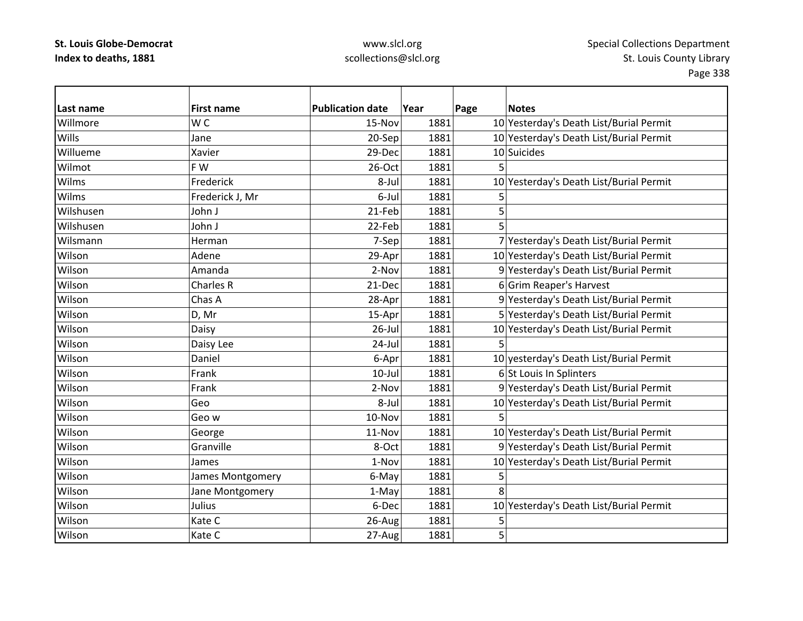| Last name | <b>First name</b> | <b>Publication date</b> | Year | Page | <b>Notes</b>                            |
|-----------|-------------------|-------------------------|------|------|-----------------------------------------|
| Willmore  | W <sub>C</sub>    | 15-Nov                  | 1881 |      | 10 Yesterday's Death List/Burial Permit |
| Wills     | Jane              | 20-Sep                  | 1881 |      | 10 Yesterday's Death List/Burial Permit |
| Willueme  | Xavier            | 29-Dec                  | 1881 |      | 10 Suicides                             |
| Wilmot    | F W               | 26-Oct                  | 1881 | 5    |                                         |
| Wilms     | Frederick         | 8-Jul                   | 1881 |      | 10 Yesterday's Death List/Burial Permit |
| Wilms     | Frederick J, Mr   | 6-Jul                   | 1881 | 5    |                                         |
| Wilshusen | John J            | 21-Feb                  | 1881 | 5    |                                         |
| Wilshusen | John J            | 22-Feb                  | 1881 | 5    |                                         |
| Wilsmann  | Herman            | 7-Sep                   | 1881 |      | 7 Yesterday's Death List/Burial Permit  |
| Wilson    | Adene             | 29-Apr                  | 1881 |      | 10 Yesterday's Death List/Burial Permit |
| Wilson    | Amanda            | 2-Nov                   | 1881 |      | 9 Yesterday's Death List/Burial Permit  |
| Wilson    | Charles R         | 21-Dec                  | 1881 |      | 6 Grim Reaper's Harvest                 |
| Wilson    | Chas A            | 28-Apr                  | 1881 |      | 9 Yesterday's Death List/Burial Permit  |
| Wilson    | D, Mr             | 15-Apr                  | 1881 |      | 5 Yesterday's Death List/Burial Permit  |
| Wilson    | Daisy             | $26$ -Jul               | 1881 |      | 10 Yesterday's Death List/Burial Permit |
| Wilson    | Daisy Lee         | 24-Jul                  | 1881 | 5    |                                         |
| Wilson    | Daniel            | 6-Apr                   | 1881 |      | 10 yesterday's Death List/Burial Permit |
| Wilson    | Frank             | $10$ -Jul               | 1881 |      | 6 St Louis In Splinters                 |
| Wilson    | Frank             | 2-Nov                   | 1881 |      | 9 Yesterday's Death List/Burial Permit  |
| Wilson    | Geo               | 8-Jul                   | 1881 |      | 10 Yesterday's Death List/Burial Permit |
| Wilson    | Geo w             | 10-Nov                  | 1881 | 5    |                                         |
| Wilson    | George            | 11-Nov                  | 1881 |      | 10 Yesterday's Death List/Burial Permit |
| Wilson    | Granville         | 8-Oct                   | 1881 |      | 9 Yesterday's Death List/Burial Permit  |
| Wilson    | James             | 1-Nov                   | 1881 |      | 10 Yesterday's Death List/Burial Permit |
| Wilson    | James Montgomery  | 6-May                   | 1881 | 5    |                                         |
| Wilson    | Jane Montgomery   | 1-May                   | 1881 | 8    |                                         |
| Wilson    | Julius            | 6-Dec                   | 1881 |      | 10 Yesterday's Death List/Burial Permit |
| Wilson    | Kate C            | 26-Aug                  | 1881 | 5    |                                         |
| Wilson    | Kate C            | 27-Aug                  | 1881 | 5    |                                         |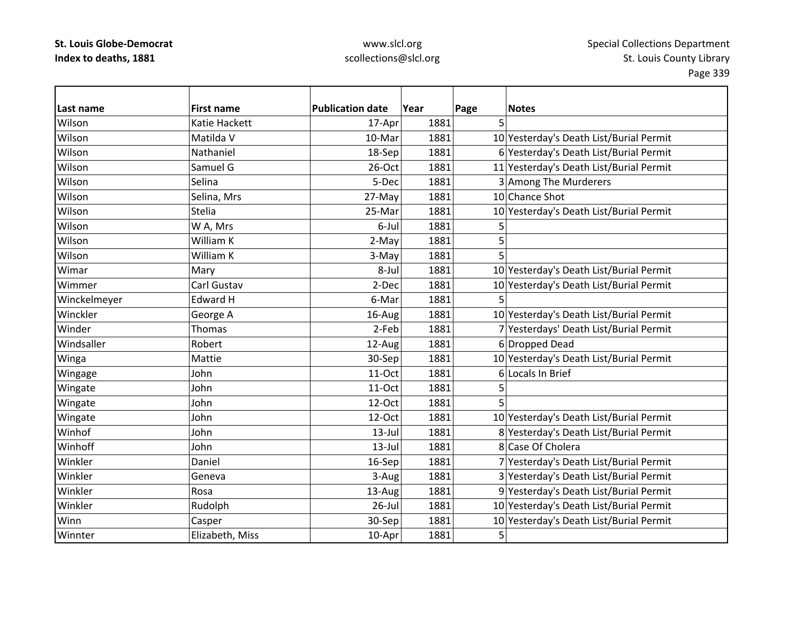| Last name    | <b>First name</b> | <b>Publication date</b> | Year | Page<br><b>Notes</b>                    |
|--------------|-------------------|-------------------------|------|-----------------------------------------|
| Wilson       | Katie Hackett     | 17-Apr                  | 1881 | 5                                       |
| Wilson       | Matilda V         | 10-Mar                  | 1881 | 10 Yesterday's Death List/Burial Permit |
| Wilson       | Nathaniel         | 18-Sep                  | 1881 | 6 Yesterday's Death List/Burial Permit  |
| Wilson       | Samuel G          | $26$ -Oct               | 1881 | 11 Yesterday's Death List/Burial Permit |
| Wilson       | Selina            | 5-Dec                   | 1881 | 3 Among The Murderers                   |
| Wilson       | Selina, Mrs       | 27-May                  | 1881 | 10 Chance Shot                          |
| Wilson       | <b>Stelia</b>     | 25-Mar                  | 1881 | 10 Yesterday's Death List/Burial Permit |
| Wilson       | W A, Mrs          | 6-Jul                   | 1881 | 5                                       |
| Wilson       | William K         | 2-May                   | 1881 | 5                                       |
| Wilson       | William K         | 3-May                   | 1881 | 5                                       |
| Wimar        | Mary              | 8-Jul                   | 1881 | 10 Yesterday's Death List/Burial Permit |
| Wimmer       | Carl Gustav       | 2-Dec                   | 1881 | 10 Yesterday's Death List/Burial Permit |
| Winckelmeyer | <b>Edward H</b>   | 6-Mar                   | 1881 | 5                                       |
| Winckler     | George A          | 16-Aug                  | 1881 | 10 Yesterday's Death List/Burial Permit |
| Winder       | <b>Thomas</b>     | 2-Feb                   | 1881 | 7 Yesterdays' Death List/Burial Permit  |
| Windsaller   | Robert            | 12-Aug                  | 1881 | 6 Dropped Dead                          |
| Winga        | Mattie            | 30-Sep                  | 1881 | 10 Yesterday's Death List/Burial Permit |
| Wingage      | John              | 11-Oct                  | 1881 | 6 Locals In Brief                       |
| Wingate      | John              | 11-Oct                  | 1881 | 5                                       |
| Wingate      | John              | 12-Oct                  | 1881 | 5                                       |
| Wingate      | John              | 12-Oct                  | 1881 | 10 Yesterday's Death List/Burial Permit |
| Winhof       | John              | $13$ -Jul               | 1881 | 8 Yesterday's Death List/Burial Permit  |
| Winhoff      | John              | $13$ -Jul               | 1881 | 8 Case Of Cholera                       |
| Winkler      | Daniel            | 16-Sep                  | 1881 | 7 Yesterday's Death List/Burial Permit  |
| Winkler      | Geneva            | 3-Aug                   | 1881 | 3 Yesterday's Death List/Burial Permit  |
| Winkler      | Rosa              | 13-Aug                  | 1881 | 9 Yesterday's Death List/Burial Permit  |
| Winkler      | Rudolph           | $26$ -Jul               | 1881 | 10 Yesterday's Death List/Burial Permit |
| Winn         | Casper            | 30-Sep                  | 1881 | 10 Yesterday's Death List/Burial Permit |
| Winnter      | Elizabeth, Miss   | 10-Apr                  | 1881 | 5                                       |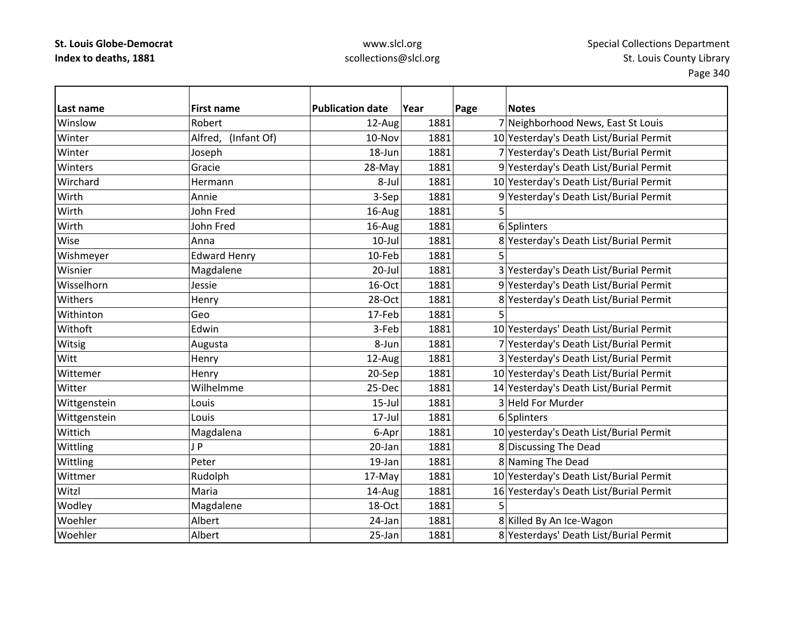| Last name    | <b>First name</b>   | <b>Publication date</b> | Year | Page | <b>Notes</b>                            |
|--------------|---------------------|-------------------------|------|------|-----------------------------------------|
| Winslow      | Robert              | 12-Aug                  | 1881 |      | 7 Neighborhood News, East St Louis      |
| Winter       | Alfred, (Infant Of) | 10-Nov                  | 1881 |      | 10 Yesterday's Death List/Burial Permit |
| Winter       | Joseph              | 18-Jun                  | 1881 |      | 7 Yesterday's Death List/Burial Permit  |
| Winters      | Gracie              | 28-May                  | 1881 |      | 9 Yesterday's Death List/Burial Permit  |
| Wirchard     | Hermann             | 8-Jul                   | 1881 |      | 10 Yesterday's Death List/Burial Permit |
| Wirth        | Annie               | 3-Sep                   | 1881 |      | 9 Yesterday's Death List/Burial Permit  |
| Wirth        | John Fred           | 16-Aug                  | 1881 | 5    |                                         |
| Wirth        | John Fred           | 16-Aug                  | 1881 |      | 6 Splinters                             |
| Wise         | Anna                | $10$ -Jul               | 1881 |      | 8 Yesterday's Death List/Burial Permit  |
| Wishmeyer    | <b>Edward Henry</b> | 10-Feb                  | 1881 | 5    |                                         |
| Wisnier      | Magdalene           | $20$ -Jul               | 1881 |      | 3 Yesterday's Death List/Burial Permit  |
| Wisselhorn   | Jessie              | 16-Oct                  | 1881 |      | 9 Yesterday's Death List/Burial Permit  |
| Withers      | Henry               | 28-Oct                  | 1881 |      | 8 Yesterday's Death List/Burial Permit  |
| Withinton    | Geo                 | 17-Feb                  | 1881 |      |                                         |
| Withoft      | Edwin               | 3-Feb                   | 1881 |      | 10 Yesterdays' Death List/Burial Permit |
| Witsig       | Augusta             | 8-Jun                   | 1881 |      | 7 Yesterday's Death List/Burial Permit  |
| Witt         | Henry               | 12-Aug                  | 1881 |      | 3 Yesterday's Death List/Burial Permit  |
| Wittemer     | Henry               | 20-Sep                  | 1881 |      | 10 Yesterday's Death List/Burial Permit |
| Witter       | Wilhelmme           | 25-Dec                  | 1881 |      | 14 Yesterday's Death List/Burial Permit |
| Wittgenstein | Louis               | $15$ -Jul               | 1881 |      | 3 Held For Murder                       |
| Wittgenstein | Louis               | $17 -$ Jul              | 1881 |      | 6 Splinters                             |
| Wittich      | Magdalena           | 6-Apr                   | 1881 |      | 10 yesterday's Death List/Burial Permit |
| Wittling     | JP                  | 20-Jan                  | 1881 |      | 8 Discussing The Dead                   |
| Wittling     | Peter               | 19-Jan                  | 1881 |      | 8 Naming The Dead                       |
| Wittmer      | Rudolph             | 17-May                  | 1881 |      | 10 Yesterday's Death List/Burial Permit |
| Witzl        | Maria               | 14-Aug                  | 1881 |      | 16 Yesterday's Death List/Burial Permit |
| Wodley       | Magdalene           | 18-Oct                  | 1881 | 5    |                                         |
| Woehler      | Albert              | 24-Jan                  | 1881 |      | 8 Killed By An Ice-Wagon                |
| Woehler      | Albert              | 25-Jan                  | 1881 |      | 8 Yesterdays' Death List/Burial Permit  |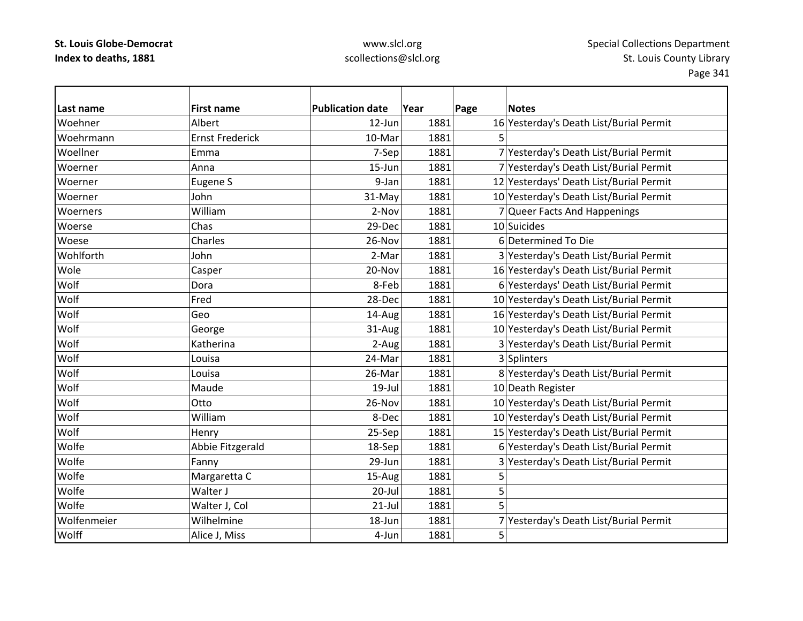### www.slcl.org scollections@slcl.org

**Last nameFirst name Publication date date Year Page Notes** WoehnerAlbert 12–Jun 12-Jun 1881 16 Yesterday's Death List/Burial Permit WoehrmannErnst Frederick 10‐Mar 1881 5 Woellner Emma7-Sep 1881 7 Yesterday's Death List/Burial Permit Woerner Anna15-Jun 1881 7 Yesterday's Death List/Burial Permit WoernerEugene S 1881 1881 12 Yesterdays' Death List/Burial Permit Woerner John31-May 1881 10 Yesterday's Death List/Burial Permit **Woerners**  William2-Nov 1881 7 Queer Facts And Happenings Woerse Chas 29‐Dec 1881 10 Suicides Woesee |Charles | 26-Nov 1881 6 Determined To Die **Wohlforth** John 2‐Mar 1881 3 Yesterday's Death List/Burial Permit WoleCasper 20-Nov 1881 16 Yesterday's Death List/Burial Permit Wolf Dora8-Feb 1881 6 Yesterdays' Death List/Burial Permit **Wolf**  Fred28-Dec 1881 10 Yesterday's Death List/Burial Permit Wolf Geo14-Aug 1881 16 Yesterday's Death List/Burial Permit WolfGeorge 31-Aug 1881 1881 10 Yesterday's Death List/Burial Permit Wolf Katherina2-Aug 1881 3 Yesterday's Death List/Burial Permit **Wolf**  Louisa24-Mar 1881 3 Splinters **Wolf**  Louisa26-Mar 1881 8 Yesterday's Death List/Burial Permit **Wolf**  Maude 19‐Jul 1881 10 Death Register Wolf Otto26-Nov | 1881 | 10 Yesterday's Death List/Burial Permit Wolf William8-Dec 1881 10 Yesterday's Death List/Burial Permit WolfHenry 25‐Sep 1881 15 Yesterday's Death List/Burial Permit WolfeAbbie Fitzgerald 18–Sep 1881 6 Yesterday's Death List/Burial Permit WolfeFanny **29-Jun** 1881 3 Yesterday's Death List/Burial Permit WolfeMargaretta C  $15-Aug$  1881 5 Wolfe Walter J 20‐Jul 1881 55 Wolfe Walter J, Col 21‐Jul 1881 5 Wolfenmeier Wilhelmine18-Jun 1881 7 Yesterday's Death List/Burial Permit **Wolff**  $\begin{array}{|c|c|c|c|}\n \hline\n \text{f} & \text{1881} & \text{5}\n \end{array}$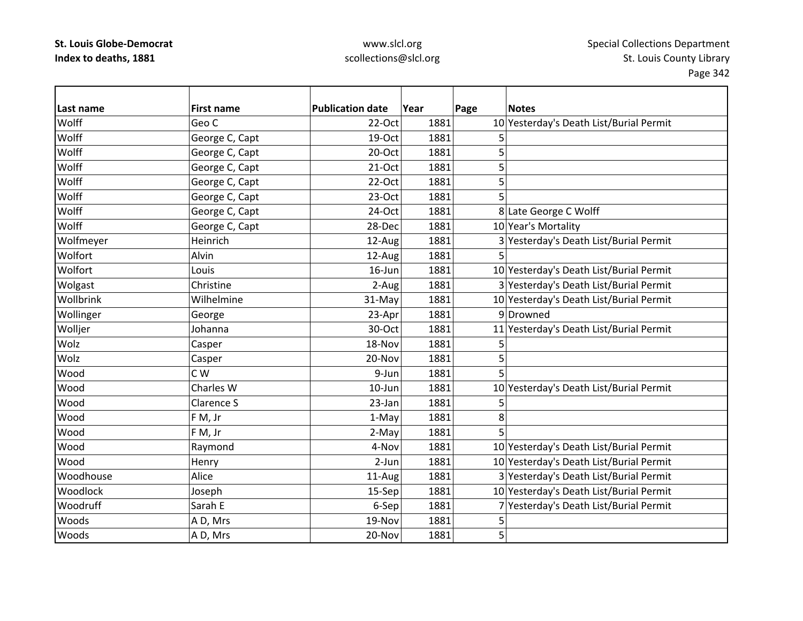| Last name | <b>First name</b> | <b>Publication date</b> | Year | Page | <b>Notes</b>                            |
|-----------|-------------------|-------------------------|------|------|-----------------------------------------|
| Wolff     | Geo C             | 22-Oct                  | 1881 |      | 10 Yesterday's Death List/Burial Permit |
| Wolff     | George C, Capt    | 19-Oct                  | 1881 | 5    |                                         |
| Wolff     | George C, Capt    | 20-Oct                  | 1881 | 5    |                                         |
| Wolff     | George C, Capt    | $21-Oct$                | 1881 | 5    |                                         |
| Wolff     | George C, Capt    | $22-Oct$                | 1881 | 5    |                                         |
| Wolff     | George C, Capt    | 23-Oct                  | 1881 | 5    |                                         |
| Wolff     | George C, Capt    | 24-Oct                  | 1881 |      | 8 Late George C Wolff                   |
| Wolff     | George C, Capt    | 28-Dec                  | 1881 |      | 10 Year's Mortality                     |
| Wolfmeyer | Heinrich          | 12-Aug                  | 1881 |      | 3 Yesterday's Death List/Burial Permit  |
| Wolfort   | Alvin             | 12-Aug                  | 1881 | 5    |                                         |
| Wolfort   | Louis             | $16$ -Jun               | 1881 |      | 10 Yesterday's Death List/Burial Permit |
| Wolgast   | Christine         | 2-Aug                   | 1881 |      | 3 Yesterday's Death List/Burial Permit  |
| Wollbrink | Wilhelmine        | 31-May                  | 1881 |      | 10 Yesterday's Death List/Burial Permit |
| Wollinger | George            | 23-Apr                  | 1881 |      | 9Drowned                                |
| Wolljer   | Johanna           | 30-Oct                  | 1881 |      | 11 Yesterday's Death List/Burial Permit |
| Wolz      | Casper            | 18-Nov                  | 1881 | 5    |                                         |
| Wolz      | Casper            | 20-Nov                  | 1881 | 5    |                                         |
| Wood      | C W               | 9-Jun                   | 1881 |      |                                         |
| Wood      | Charles W         | $10$ -Jun               | 1881 |      | 10 Yesterday's Death List/Burial Permit |
| Wood      | Clarence S        | 23-Jan                  | 1881 | 5    |                                         |
| Wood      | F M, Jr           | 1-May                   | 1881 | 8    |                                         |
| Wood      | F M, Jr           | 2-May                   | 1881 | 5    |                                         |
| Wood      | Raymond           | 4-Nov                   | 1881 |      | 10 Yesterday's Death List/Burial Permit |
| Wood      | Henry             | $2-Jun$                 | 1881 |      | 10 Yesterday's Death List/Burial Permit |
| Woodhouse | Alice             | 11-Aug                  | 1881 |      | 3 Yesterday's Death List/Burial Permit  |
| Woodlock  | Joseph            | 15-Sep                  | 1881 |      | 10 Yesterday's Death List/Burial Permit |
| Woodruff  | Sarah E           | 6-Sep                   | 1881 |      | 7 Yesterday's Death List/Burial Permit  |
| Woods     | A D, Mrs          | 19-Nov                  | 1881 | 5    |                                         |
| Woods     | A D, Mrs          | 20-Nov                  | 1881 | 5    |                                         |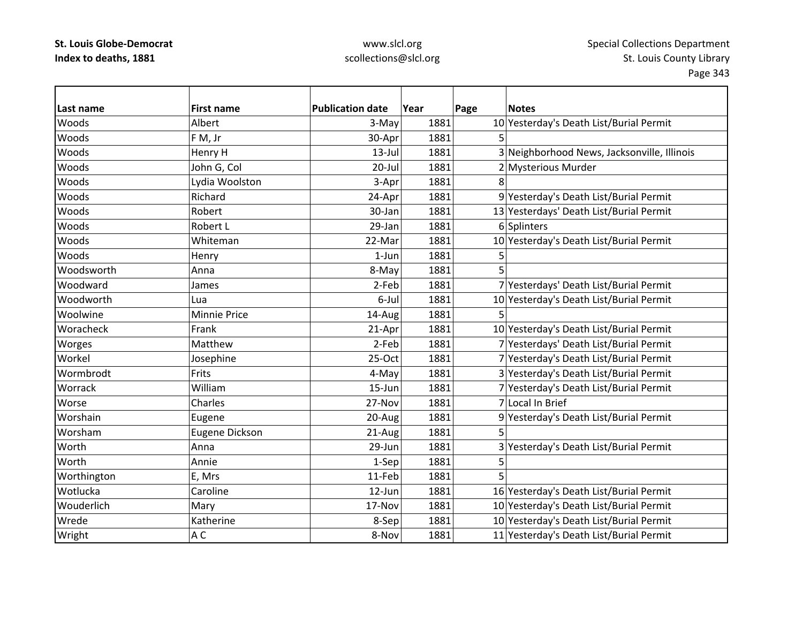| Last name   | <b>First name</b>     | <b>Publication date</b> | Year | Page | <b>Notes</b>                                |
|-------------|-----------------------|-------------------------|------|------|---------------------------------------------|
| Woods       | Albert                | 3-May                   | 1881 |      | 10 Yesterday's Death List/Burial Permit     |
| Woods       | F M, Jr               | 30-Apr                  | 1881 |      |                                             |
| Woods       | Henry H               | $13$ -Jul               | 1881 |      | 3 Neighborhood News, Jacksonville, Illinois |
| Woods       | John G, Col           | $20$ -Jul               | 1881 |      | 2 Mysterious Murder                         |
| Woods       | Lydia Woolston        | 3-Apr                   | 1881 |      |                                             |
| Woods       | Richard               | 24-Apr                  | 1881 |      | 9 Yesterday's Death List/Burial Permit      |
| Woods       | Robert                | 30-Jan                  | 1881 |      | 13 Yesterdays' Death List/Burial Permit     |
| Woods       | Robert L              | 29-Jan                  | 1881 |      | 6 Splinters                                 |
| Woods       | Whiteman              | 22-Mar                  | 1881 |      | 10 Yesterday's Death List/Burial Permit     |
| Woods       | Henry                 | $1-Jun$                 | 1881 | 5    |                                             |
| Woodsworth  | Anna                  | 8-May                   | 1881 | 5    |                                             |
| Woodward    | James                 | 2-Feb                   | 1881 |      | 7 Yesterdays' Death List/Burial Permit      |
| Woodworth   | Lua                   | 6-Jul                   | 1881 |      | 10 Yesterday's Death List/Burial Permit     |
| Woolwine    | <b>Minnie Price</b>   | 14-Aug                  | 1881 | 5    |                                             |
| Woracheck   | Frank                 | 21-Apr                  | 1881 |      | 10 Yesterday's Death List/Burial Permit     |
| Worges      | Matthew               | 2-Feb                   | 1881 |      | 7 Yesterdays' Death List/Burial Permit      |
| Workel      | Josephine             | 25-Oct                  | 1881 |      | 7 Yesterday's Death List/Burial Permit      |
| Wormbrodt   | Frits                 | 4-May                   | 1881 |      | 3 Yesterday's Death List/Burial Permit      |
| Worrack     | William               | 15-Jun                  | 1881 |      | 7 Yesterday's Death List/Burial Permit      |
| Worse       | Charles               | 27-Nov                  | 1881 |      | 7 Local In Brief                            |
| Worshain    | Eugene                | 20-Aug                  | 1881 |      | 9 Yesterday's Death List/Burial Permit      |
| Worsham     | <b>Eugene Dickson</b> | 21-Aug                  | 1881 |      |                                             |
| Worth       | Anna                  | 29-Jun                  | 1881 |      | 3 Yesterday's Death List/Burial Permit      |
| Worth       | Annie                 | 1-Sep                   | 1881 | 5    |                                             |
| Worthington | E, Mrs                | 11-Feb                  | 1881 |      |                                             |
| Wotlucka    | Caroline              | 12-Jun                  | 1881 |      | 16 Yesterday's Death List/Burial Permit     |
| Wouderlich  | Mary                  | 17-Nov                  | 1881 |      | 10 Yesterday's Death List/Burial Permit     |
| Wrede       | Katherine             | 8-Sep                   | 1881 |      | 10 Yesterday's Death List/Burial Permit     |
| Wright      | A <sub>C</sub>        | 8-Nov                   | 1881 |      | 11 Yesterday's Death List/Burial Permit     |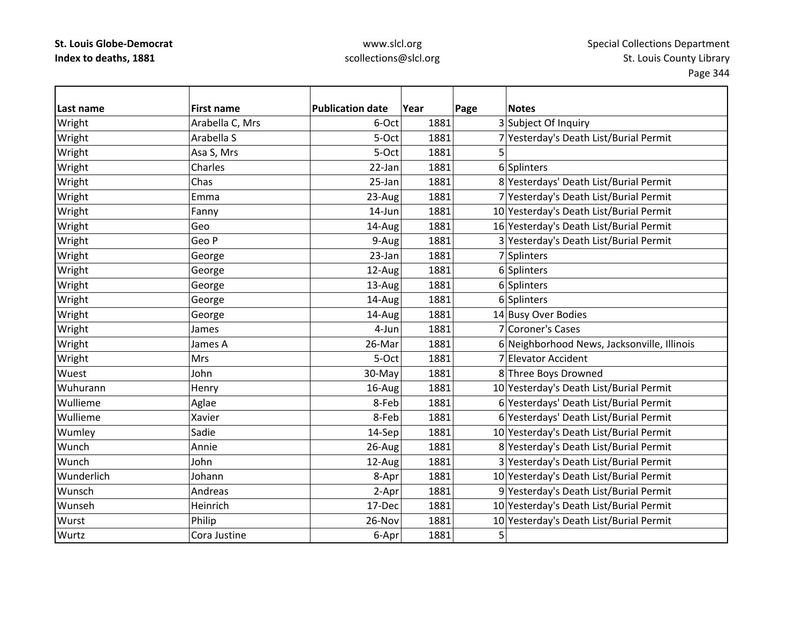| Last name  | <b>First name</b> | <b>Publication date</b> | Year | Page | <b>Notes</b>                                |
|------------|-------------------|-------------------------|------|------|---------------------------------------------|
| Wright     | Arabella C, Mrs   | 6-Oct                   | 1881 |      | 3 Subject Of Inquiry                        |
| Wright     | Arabella S        | 5-Oct                   | 1881 |      | 7 Yesterday's Death List/Burial Permit      |
| Wright     | Asa S, Mrs        | 5-Oct                   | 1881 | 5    |                                             |
| Wright     | Charles           | 22-Jan                  | 1881 |      | 6 Splinters                                 |
| Wright     | Chas              | 25-Jan                  | 1881 |      | 8 Yesterdays' Death List/Burial Permit      |
| Wright     | Emma              | 23-Aug                  | 1881 |      | 7 Yesterday's Death List/Burial Permit      |
| Wright     | Fanny             | 14-Jun                  | 1881 |      | 10 Yesterday's Death List/Burial Permit     |
| Wright     | Geo               | 14-Aug                  | 1881 |      | 16 Yesterday's Death List/Burial Permit     |
| Wright     | Geo P             | 9-Aug                   | 1881 |      | 3 Yesterday's Death List/Burial Permit      |
| Wright     | George            | 23-Jan                  | 1881 |      | 7 Splinters                                 |
| Wright     | George            | 12-Aug                  | 1881 |      | 6 Splinters                                 |
| Wright     | George            | 13-Aug                  | 1881 |      | 6 Splinters                                 |
| Wright     | George            | 14-Aug                  | 1881 |      | 6 Splinters                                 |
| Wright     | George            | 14-Aug                  | 1881 |      | 14 Busy Over Bodies                         |
| Wright     | James             | 4-Jun                   | 1881 |      | 7 Coroner's Cases                           |
| Wright     | James A           | 26-Mar                  | 1881 |      | 6 Neighborhood News, Jacksonville, Illinois |
| Wright     | <b>Mrs</b>        | 5-Oct                   | 1881 |      | 7 Elevator Accident                         |
| Wuest      | John              | 30-May                  | 1881 |      | 8 Three Boys Drowned                        |
| Wuhurann   | Henry             | 16-Aug                  | 1881 |      | 10 Yesterday's Death List/Burial Permit     |
| Wullieme   | Aglae             | 8-Feb                   | 1881 |      | 6 Yesterdays' Death List/Burial Permit      |
| Wullieme   | Xavier            | 8-Feb                   | 1881 |      | 6 Yesterdays' Death List/Burial Permit      |
| Wumley     | Sadie             | 14-Sep                  | 1881 |      | 10 Yesterday's Death List/Burial Permit     |
| Wunch      | Annie             | 26-Aug                  | 1881 |      | 8 Yesterday's Death List/Burial Permit      |
| Wunch      | John              | 12-Aug                  | 1881 |      | 3 Yesterday's Death List/Burial Permit      |
| Wunderlich | Johann            | 8-Apr                   | 1881 |      | 10 Yesterday's Death List/Burial Permit     |
| Wunsch     | Andreas           | 2-Apr                   | 1881 |      | 9 Yesterday's Death List/Burial Permit      |
| Wunseh     | Heinrich          | 17-Dec                  | 1881 |      | 10 Yesterday's Death List/Burial Permit     |
| Wurst      | Philip            | 26-Nov                  | 1881 |      | 10 Yesterday's Death List/Burial Permit     |
| Wurtz      | Cora Justine      | 6-Apr                   | 1881 | 5    |                                             |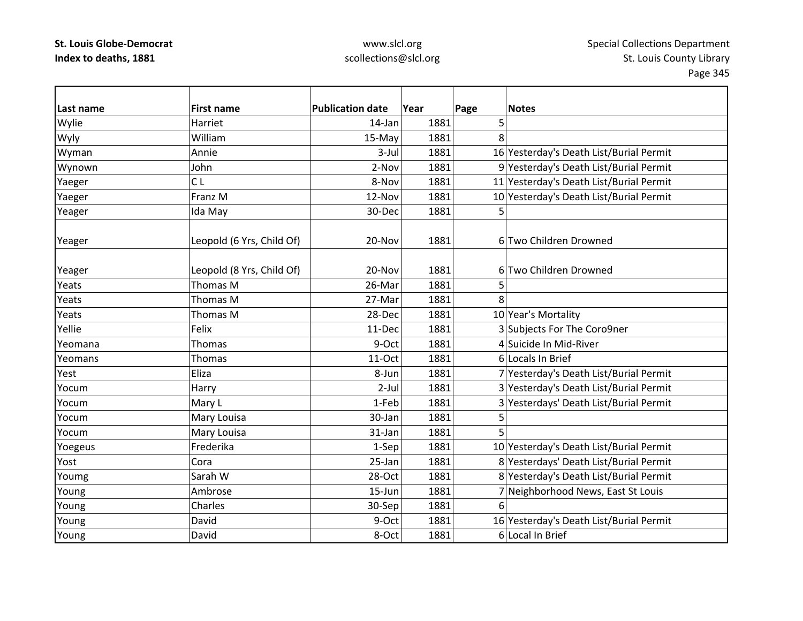| Last name | <b>First name</b>         | <b>Publication date</b> | Year | Page | <b>Notes</b>                            |
|-----------|---------------------------|-------------------------|------|------|-----------------------------------------|
| Wylie     | Harriet                   | $14$ -Jan               | 1881 | 5    |                                         |
| Wyly      | William                   | 15-May                  | 1881 | 8    |                                         |
| Wyman     | Annie                     | $3$ -Jul                | 1881 |      | 16 Yesterday's Death List/Burial Permit |
| Wynown    | John                      | 2-Nov                   | 1881 |      | 9 Yesterday's Death List/Burial Permit  |
| Yaeger    | CL                        | 8-Nov                   | 1881 |      | 11 Yesterday's Death List/Burial Permit |
| Yaeger    | Franz M                   | 12-Nov                  | 1881 |      | 10 Yesterday's Death List/Burial Permit |
| Yeager    | Ida May                   | 30-Dec                  | 1881 | 5    |                                         |
|           |                           |                         |      |      |                                         |
| Yeager    | Leopold (6 Yrs, Child Of) | 20-Nov                  | 1881 |      | 6 Two Children Drowned                  |
|           |                           |                         |      |      |                                         |
| Yeager    | Leopold (8 Yrs, Child Of) | 20-Nov                  | 1881 |      | 6 Two Children Drowned                  |
| Yeats     | Thomas M                  | 26-Mar                  | 1881 | 5    |                                         |
| Yeats     | Thomas M                  | 27-Mar                  | 1881 | 8    |                                         |
| Yeats     | Thomas M                  | 28-Dec                  | 1881 |      | 10 Year's Mortality                     |
| Yellie    | Felix                     | 11-Dec                  | 1881 |      | 3 Subjects For The Coro9ner             |
| Yeomana   | <b>Thomas</b>             | 9-Oct                   | 1881 |      | 4 Suicide In Mid-River                  |
| Yeomans   | Thomas                    | 11-Oct                  | 1881 |      | 6 Locals In Brief                       |
| Yest      | Eliza                     | 8-Jun                   | 1881 |      | 7 Yesterday's Death List/Burial Permit  |
| Yocum     | Harry                     | $2$ -Jul                | 1881 |      | 3 Yesterday's Death List/Burial Permit  |
| Yocum     | Mary L                    | 1-Feb                   | 1881 |      | 3 Yesterdays' Death List/Burial Permit  |
| Yocum     | Mary Louisa               | 30-Jan                  | 1881 | 5    |                                         |
| Yocum     | Mary Louisa               | 31-Jan                  | 1881 | 5    |                                         |
| Yoegeus   | Frederika                 | 1-Sep                   | 1881 |      | 10 Yesterday's Death List/Burial Permit |
| Yost      | Cora                      | 25-Jan                  | 1881 |      | 8 Yesterdays' Death List/Burial Permit  |
| Youmg     | Sarah W                   | 28-Oct                  | 1881 |      | 8 Yesterday's Death List/Burial Permit  |
| Young     | Ambrose                   | $15$ -Jun               | 1881 |      | 7 Neighborhood News, East St Louis      |
| Young     | Charles                   | 30-Sep                  | 1881 | 6    |                                         |
| Young     | David                     | 9-Oct                   | 1881 |      | 16 Yesterday's Death List/Burial Permit |
| Young     | David                     | 8-Oct                   | 1881 |      | 6 Local In Brief                        |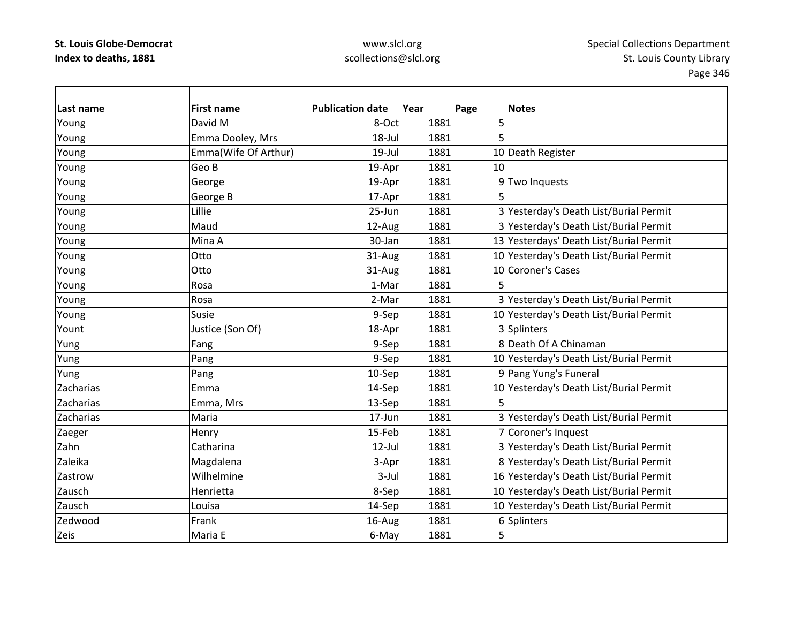| Last name | <b>First name</b>    | <b>Publication date</b> | Year | Page | <b>Notes</b>                            |
|-----------|----------------------|-------------------------|------|------|-----------------------------------------|
| Young     | David M              | 8-Oct                   | 1881 | 5    |                                         |
| Young     | Emma Dooley, Mrs     | 18-Jul                  | 1881 | 5    |                                         |
| Young     | Emma(Wife Of Arthur) | $19$ -Jul               | 1881 |      | 10 Death Register                       |
| Young     | Geo B                | 19-Apr                  | 1881 | 10   |                                         |
| Young     | George               | 19-Apr                  | 1881 |      | 9 Two Inquests                          |
| Young     | George B             | 17-Apr                  | 1881 | 5    |                                         |
| Young     | Lillie               | 25-Jun                  | 1881 |      | 3 Yesterday's Death List/Burial Permit  |
| Young     | Maud                 | 12-Aug                  | 1881 |      | 3 Yesterday's Death List/Burial Permit  |
| Young     | Mina A               | 30-Jan                  | 1881 |      | 13 Yesterdays' Death List/Burial Permit |
| Young     | Otto                 | 31-Aug                  | 1881 |      | 10 Yesterday's Death List/Burial Permit |
| Young     | Otto                 | 31-Aug                  | 1881 |      | 10 Coroner's Cases                      |
| Young     | Rosa                 | 1-Mar                   | 1881 | 5    |                                         |
| Young     | Rosa                 | 2-Mar                   | 1881 |      | 3 Yesterday's Death List/Burial Permit  |
| Young     | Susie                | 9-Sep                   | 1881 |      | 10 Yesterday's Death List/Burial Permit |
| Yount     | Justice (Son Of)     | 18-Apr                  | 1881 |      | 3 Splinters                             |
| Yung      | Fang                 | 9-Sep                   | 1881 |      | 8 Death Of A Chinaman                   |
| Yung      | Pang                 | 9-Sep                   | 1881 |      | 10 Yesterday's Death List/Burial Permit |
| Yung      | Pang                 | 10-Sep                  | 1881 |      | 9 Pang Yung's Funeral                   |
| Zacharias | Emma                 | 14-Sep                  | 1881 |      | 10 Yesterday's Death List/Burial Permit |
| Zacharias | Emma, Mrs            | 13-Sep                  | 1881 | 5    |                                         |
| Zacharias | Maria                | 17-Jun                  | 1881 |      | 3 Yesterday's Death List/Burial Permit  |
| Zaeger    | Henry                | 15-Feb                  | 1881 |      | 7 Coroner's Inquest                     |
| Zahn      | Catharina            | $12$ -Jul               | 1881 |      | 3 Yesterday's Death List/Burial Permit  |
| Zaleika   | Magdalena            | 3-Apr                   | 1881 |      | 8 Yesterday's Death List/Burial Permit  |
| Zastrow   | Wilhelmine           | $3$ -Jul                | 1881 |      | 16 Yesterday's Death List/Burial Permit |
| Zausch    | Henrietta            | 8-Sep                   | 1881 |      | 10 Yesterday's Death List/Burial Permit |
| Zausch    | Louisa               | 14-Sep                  | 1881 |      | 10 Yesterday's Death List/Burial Permit |
| Zedwood   | Frank                | 16-Aug                  | 1881 |      | 6 Splinters                             |
| Zeis      | Maria E              | 6-May                   | 1881 | 5    |                                         |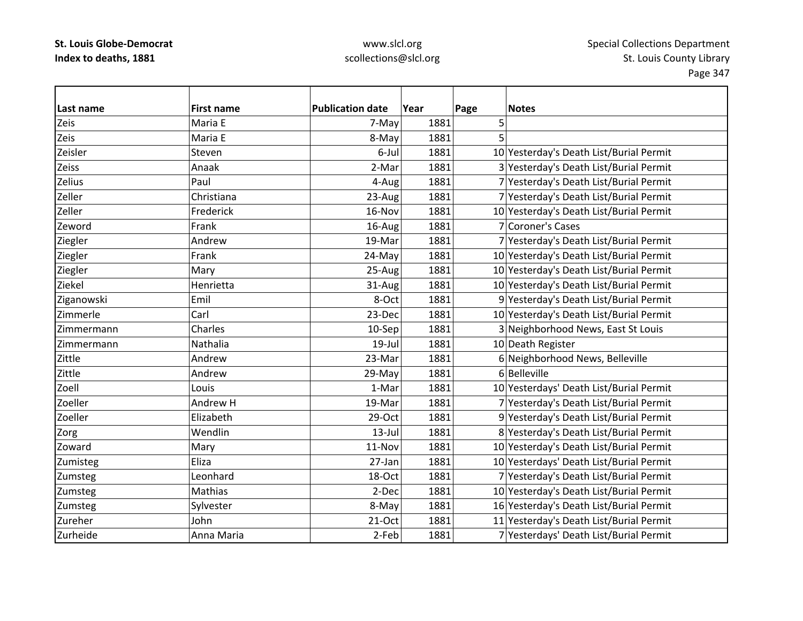| Last name  | <b>First name</b> | <b>Publication date</b> | Year | Page | <b>Notes</b>                            |
|------------|-------------------|-------------------------|------|------|-----------------------------------------|
| Zeis       | Maria E           | 7-Mayl                  | 1881 | 5    |                                         |
| Zeis       | Maria E           | 8-May                   | 1881 |      |                                         |
| Zeisler    | Steven            | 6-Jul                   | 1881 |      | 10 Yesterday's Death List/Burial Permit |
| Zeiss      | Anaak             | 2-Mar                   | 1881 |      | 3 Yesterday's Death List/Burial Permit  |
| Zelius     | Paul              | 4-Aug                   | 1881 |      | 7 Yesterday's Death List/Burial Permit  |
| Zeller     | Christiana        | 23-Aug                  | 1881 |      | 7 Yesterday's Death List/Burial Permit  |
| Zeller     | Frederick         | 16-Nov                  | 1881 |      | 10 Yesterday's Death List/Burial Permit |
| Zeword     | Frank             | 16-Aug                  | 1881 |      | 7 Coroner's Cases                       |
| Ziegler    | Andrew            | 19-Mar                  | 1881 |      | 7 Yesterday's Death List/Burial Permit  |
| Ziegler    | Frank             | 24-May                  | 1881 |      | 10 Yesterday's Death List/Burial Permit |
| Ziegler    | Mary              | 25-Aug                  | 1881 |      | 10 Yesterday's Death List/Burial Permit |
| Ziekel     | Henrietta         | 31-Aug                  | 1881 |      | 10 Yesterday's Death List/Burial Permit |
| Ziganowski | Emil              | 8-Oct                   | 1881 |      | 9 Yesterday's Death List/Burial Permit  |
| Zimmerle   | Carl              | 23-Dec                  | 1881 |      | 10 Yesterday's Death List/Burial Permit |
| Zimmermann | Charles           | 10-Sep                  | 1881 |      | 3 Neighborhood News, East St Louis      |
| Zimmermann | Nathalia          | $19$ -Jul               | 1881 |      | 10 Death Register                       |
| Zittle     | Andrew            | 23-Mar                  | 1881 |      | 6 Neighborhood News, Belleville         |
| Zittle     | Andrew            | 29-May                  | 1881 |      | 6 Belleville                            |
| Zoell      | Louis             | 1-Mar                   | 1881 |      | 10 Yesterdays' Death List/Burial Permit |
| Zoeller    | Andrew H          | 19-Mar                  | 1881 |      | 7 Yesterday's Death List/Burial Permit  |
| Zoeller    | Elizabeth         | 29-Oct                  | 1881 |      | 9 Yesterday's Death List/Burial Permit  |
| Zorg       | Wendlin           | $13$ -Jul               | 1881 |      | 8 Yesterday's Death List/Burial Permit  |
| Zoward     | Mary              | 11-Nov                  | 1881 |      | 10 Yesterday's Death List/Burial Permit |
| Zumisteg   | Eliza             | 27-Jan                  | 1881 |      | 10 Yesterdays' Death List/Burial Permit |
| Zumsteg    | Leonhard          | 18-Oct                  | 1881 |      | 7 Yesterday's Death List/Burial Permit  |
| Zumsteg    | Mathias           | 2-Dec                   | 1881 |      | 10 Yesterday's Death List/Burial Permit |
| Zumsteg    | Sylvester         | 8-May                   | 1881 |      | 16 Yesterday's Death List/Burial Permit |
| Zureher    | John              | 21-Oct                  | 1881 |      | 11 Yesterday's Death List/Burial Permit |
| Zurheide   | Anna Maria        | 2-Feb                   | 1881 |      | 7 Yesterdays' Death List/Burial Permit  |